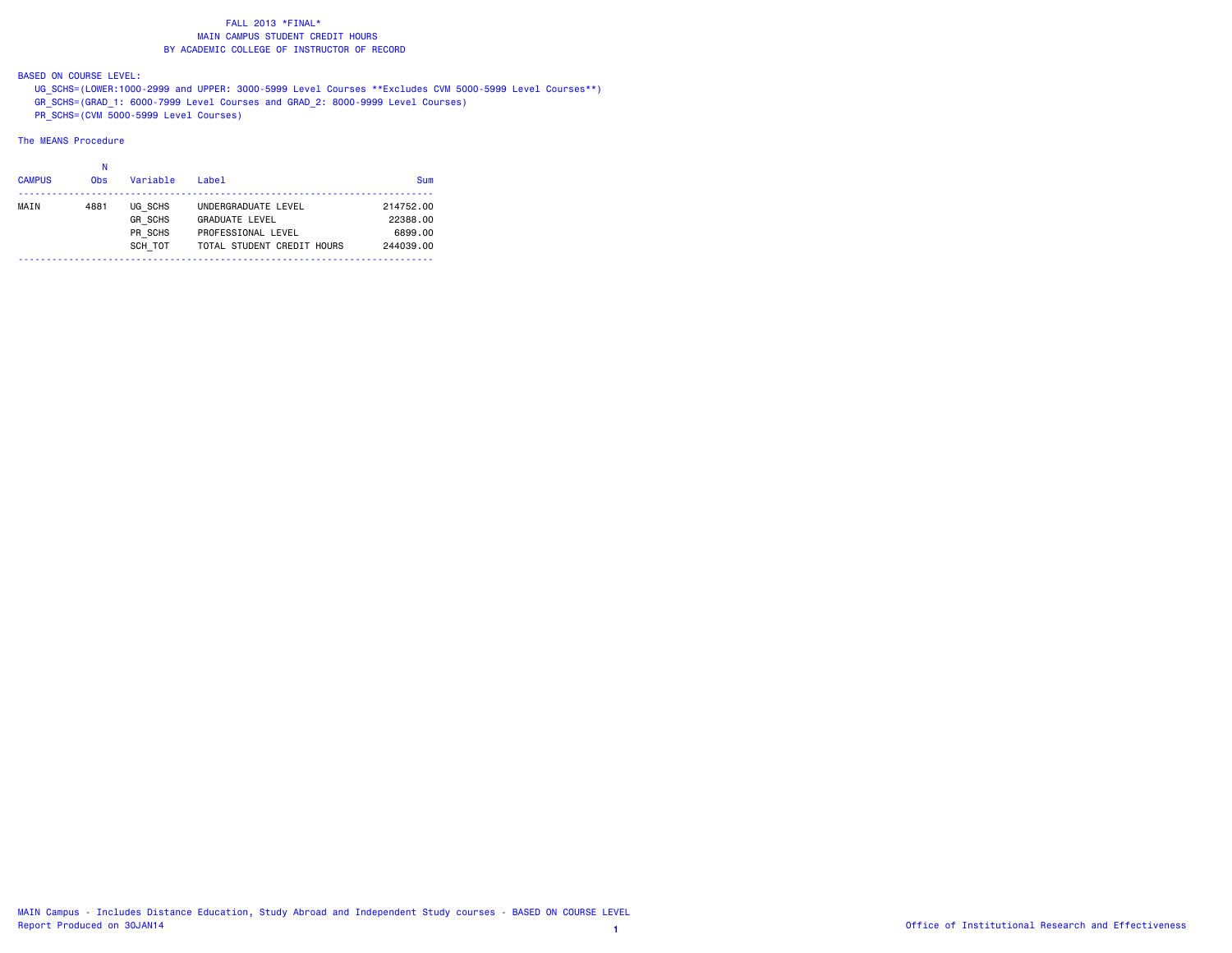# BASED ON COURSE LEVEL:

 UG\_SCHS=(LOWER:1000-2999 and UPPER: 3000-5999 Level Courses \*\*Excludes CVM 5000-5999 Level Courses\*\*) GR\_SCHS=(GRAD\_1: 6000-7999 Level Courses and GRAD\_2: 8000-9999 Level Courses)  $\overline{PR}$  SCHS=(CVM 5000-5999 Level Courses)

| <b>CAMPUS</b> | 0 <sub>bs</sub> | Variable                                        | $I$ ahel                                                                                         | <b>Sum</b>                                    |
|---------------|-----------------|-------------------------------------------------|--------------------------------------------------------------------------------------------------|-----------------------------------------------|
| MAIN          | 4881            | UG SCHS<br><b>GR SCHS</b><br>PR SCHS<br>SCH TOT | UNDERGRADUATE LEVEL<br><b>GRADUATE LEVEL</b><br>PROFESSIONAL LEVEL<br>TOTAL STUDENT CREDIT HOURS | 214752.00<br>22388.00<br>6899.00<br>244039.00 |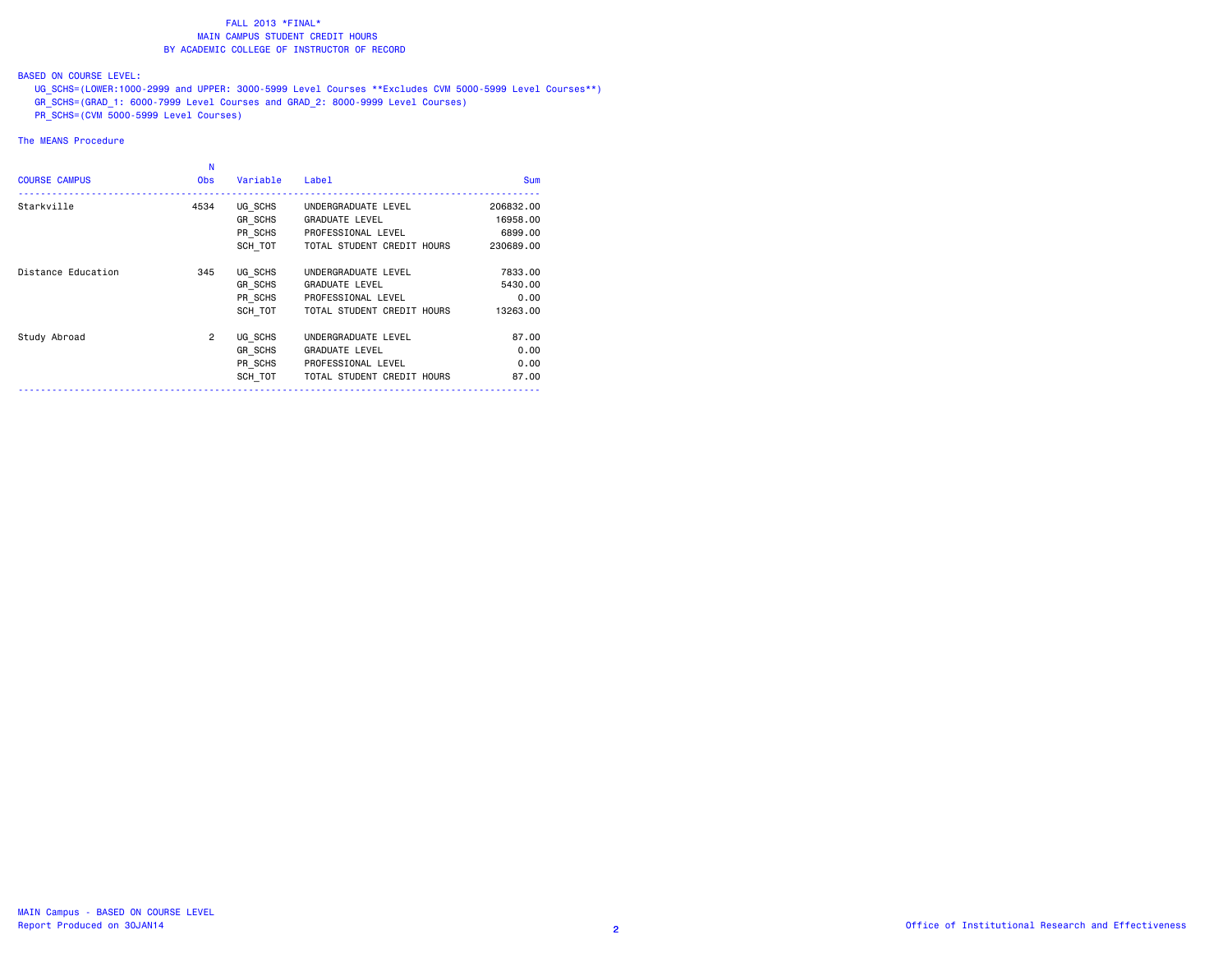# BASED ON COURSE LEVEL:

 UG\_SCHS=(LOWER:1000-2999 and UPPER: 3000-5999 Level Courses \*\*Excludes CVM 5000-5999 Level Courses\*\*) GR\_SCHS=(GRAD\_1: 6000-7999 Level Courses and GRAD\_2: 8000-9999 Level Courses)  $P$ R $\overline{\phantom{0}}$ SCHS=(CVM 5000-5999 Level Courses)

| <b>COURSE CAMPUS</b> | N<br><b>Obs</b> | Variable | Label                      | Sum       |
|----------------------|-----------------|----------|----------------------------|-----------|
| Starkville           | 4534            | UG SCHS  | UNDERGRADUATE LEVEL        | 206832.00 |
|                      |                 | GR SCHS  | <b>GRADUATE LEVEL</b>      | 16958.00  |
|                      |                 | PR SCHS  | PROFESSIONAL LEVEL         | 6899,00   |
|                      |                 | SCH TOT  | TOTAL STUDENT CREDIT HOURS | 230689.00 |
| Distance Education   | 345             | UG SCHS  | UNDERGRADUATE LEVEL        | 7833.00   |
|                      |                 | GR SCHS  | <b>GRADUATE LEVEL</b>      | 5430.00   |
|                      |                 | PR SCHS  | PROFESSIONAL LEVEL         | 0.00      |
|                      |                 | SCH TOT  | TOTAL STUDENT CREDIT HOURS | 13263.00  |
| Study Abroad         | $\overline{2}$  | UG SCHS  | UNDERGRADUATE LEVEL        | 87.00     |
|                      |                 | GR SCHS  | <b>GRADUATE LEVEL</b>      | 0.00      |
|                      |                 | PR SCHS  | PROFESSIONAL LEVEL         | 0.00      |
|                      |                 | SCH TOT  | TOTAL STUDENT CREDIT HOURS | 87.00     |
|                      |                 |          |                            |           |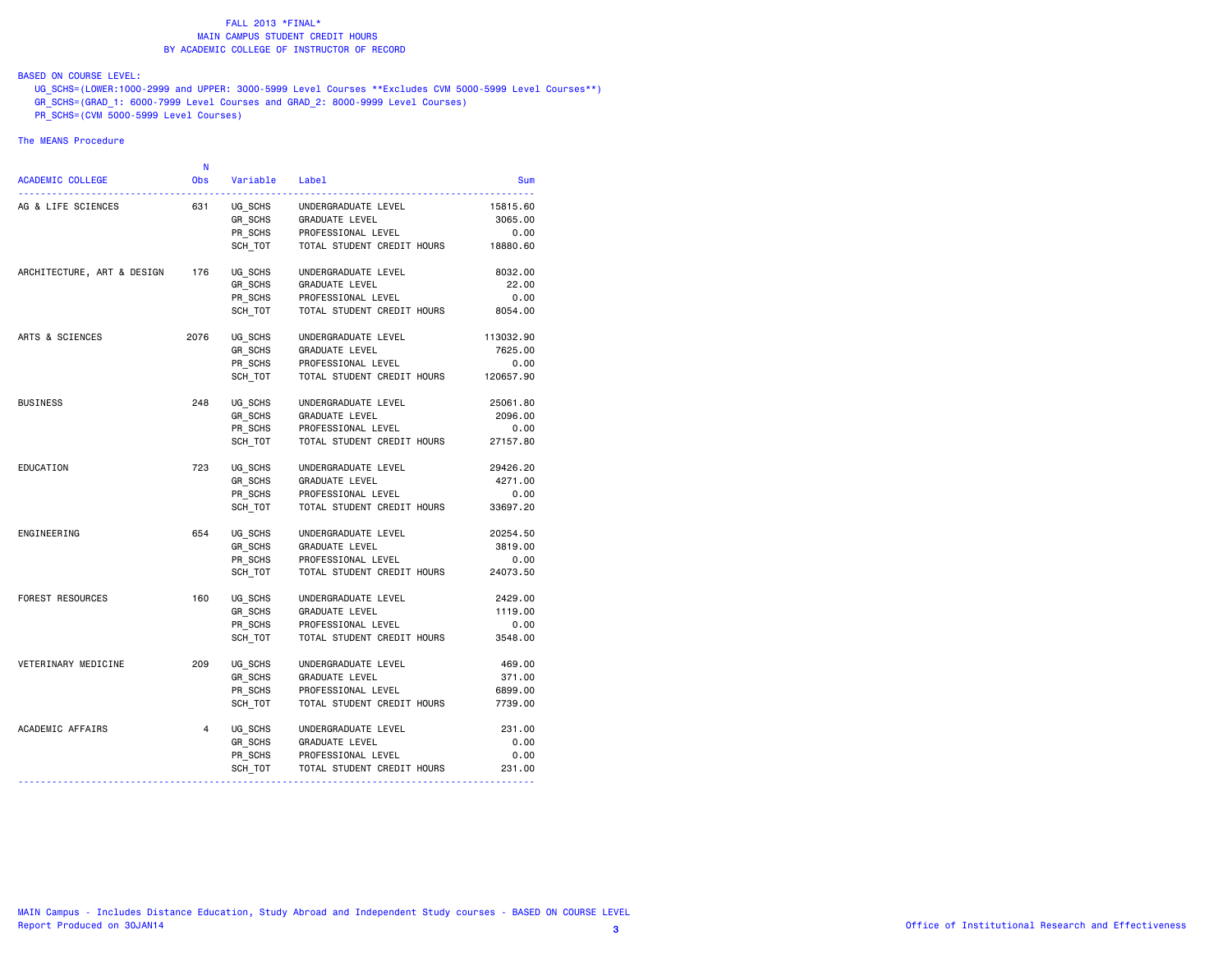# BASED ON COURSE LEVEL:

 UG\_SCHS=(LOWER:1000-2999 and UPPER: 3000-5999 Level Courses \*\*Excludes CVM 5000-5999 Level Courses\*\*) GR\_SCHS=(GRAD\_1: 6000-7999 Level Courses and GRAD\_2: 8000-9999 Level Courses)  $\overline{PR}$  SCHS=(CVM 5000-5999 Level Courses)

|                                  | N              |          |                            |           |
|----------------------------------|----------------|----------|----------------------------|-----------|
| <b>ACADEMIC COLLEGE</b>          | <b>Obs</b>     | Variable | Label                      | Sum       |
| AG & LIFE SCIENCES               | 631            | UG SCHS  | UNDERGRADUATE LEVEL        | 15815.60  |
|                                  |                | GR SCHS  | GRADUATE LEVEL             | 3065.00   |
|                                  |                | PR_SCHS  | PROFESSIONAL LEVEL         | 0.00      |
|                                  |                | SCH TOT  | TOTAL STUDENT CREDIT HOURS | 18880.60  |
| ARCHITECTURE, ART & DESIGN       | 176            | UG SCHS  | UNDERGRADUATE LEVEL        | 8032.00   |
|                                  |                | GR SCHS  | GRADUATE LEVEL             | 22.00     |
|                                  |                | PR_SCHS  | PROFESSIONAL LEVEL         | 0.00      |
|                                  |                | SCH TOT  | TOTAL STUDENT CREDIT HOURS | 8054.00   |
| ARTS & SCIENCES                  | 2076           | UG SCHS  | UNDERGRADUATE LEVEL        | 113032.90 |
|                                  |                | GR SCHS  | <b>GRADUATE LEVEL</b>      | 7625.00   |
|                                  |                | PR SCHS  | PROFESSIONAL LEVEL         | 0.00      |
|                                  |                | SCH TOT  | TOTAL STUDENT CREDIT HOURS | 120657.90 |
| <b>BUSINESS</b>                  | 248            | UG SCHS  | UNDERGRADUATE LEVEL        | 25061.80  |
|                                  |                | GR_SCHS  | GRADUATE LEVEL             | 2096.00   |
|                                  |                | PR SCHS  | PROFESSIONAL LEVEL         | 0.00      |
|                                  |                | SCH TOT  | TOTAL STUDENT CREDIT HOURS | 27157.80  |
| EDUCATION                        | 723            | UG SCHS  | UNDERGRADUATE LEVEL        | 29426.20  |
|                                  |                | GR SCHS  | GRADUATE LEVEL             | 4271.00   |
|                                  |                | PR_SCHS  | PROFESSIONAL LEVEL         | 0.00      |
|                                  |                | SCH TOT  | TOTAL STUDENT CREDIT HOURS | 33697.20  |
| ENGINEERING                      | 654            | UG SCHS  | UNDERGRADUATE LEVEL        | 20254.50  |
|                                  |                | GR SCHS  | GRADUATE LEVEL             | 3819.00   |
|                                  |                | PR SCHS  | PROFESSIONAL LEVEL         | 0.00      |
|                                  |                | SCH TOT  | TOTAL STUDENT CREDIT HOURS | 24073.50  |
| FOREST RESOURCES                 | 160            | UG SCHS  | UNDERGRADUATE LEVEL        | 2429.00   |
|                                  |                | GR SCHS  | GRADUATE LEVEL             | 1119.00   |
|                                  |                | PR_SCHS  | PROFESSIONAL LEVEL         | 0.00      |
|                                  |                | SCH TOT  | TOTAL STUDENT CREDIT HOURS | 3548.00   |
| VETERINARY MEDICINE              | 209            | UG SCHS  | UNDERGRADUATE LEVEL        | 469.00    |
|                                  |                | GR SCHS  | GRADUATE LEVEL             | 371.00    |
|                                  |                | PR SCHS  | PROFESSIONAL LEVEL         | 6899.00   |
|                                  |                | SCH TOT  | TOTAL STUDENT CREDIT HOURS | 7739.00   |
| ACADEMIC AFFAIRS                 | $\overline{4}$ | UG SCHS  | UNDERGRADUATE LEVEL        | 231.00    |
|                                  |                | GR_SCHS  | GRADUATE LEVEL             | 0.00      |
|                                  |                | PR SCHS  | PROFESSIONAL LEVEL         | 0.00      |
|                                  |                | SCH_TOT  | TOTAL STUDENT CREDIT HOURS | 231.00    |
| -------------------------------- |                |          |                            | --------- |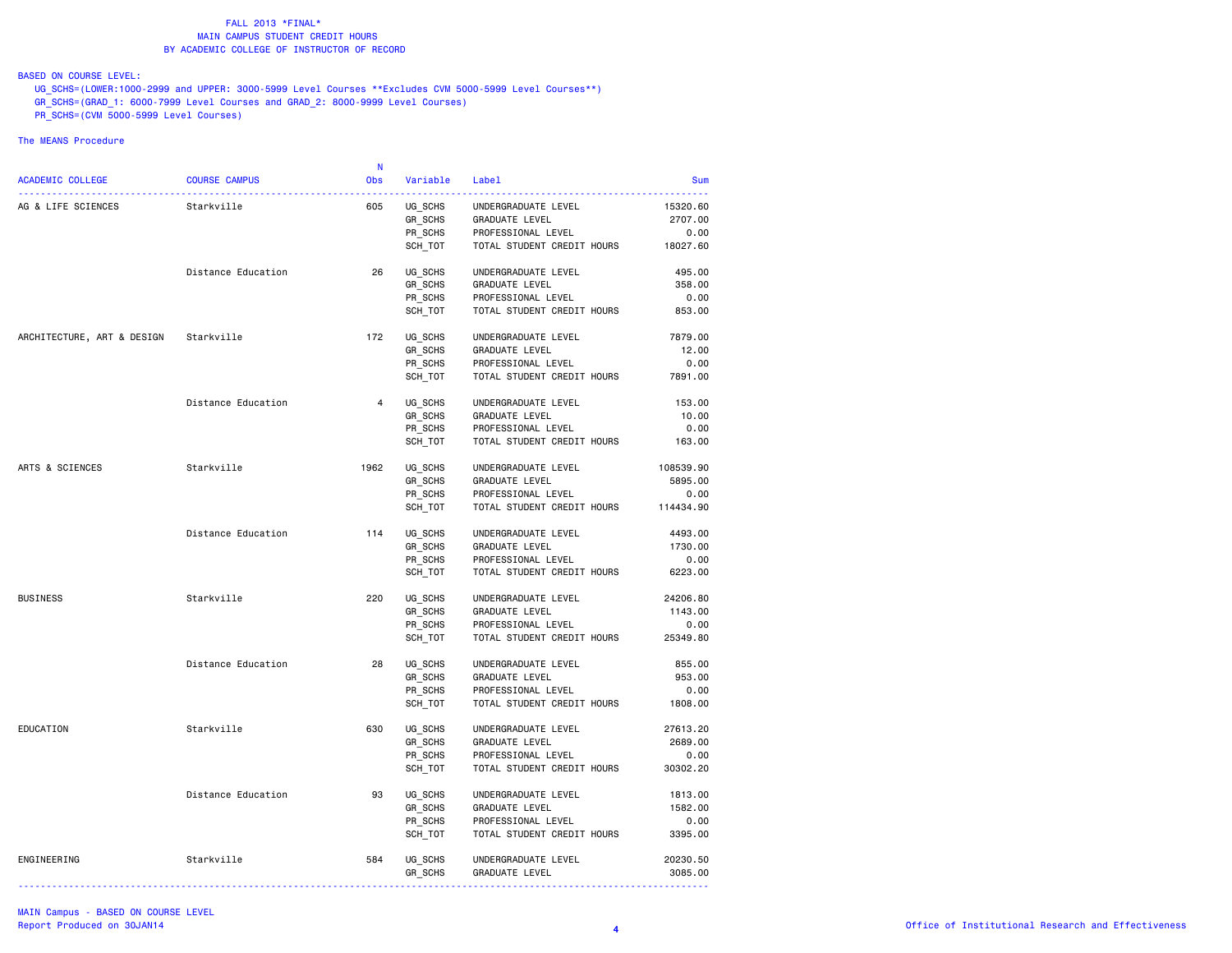BASED ON COURSE LEVEL:

 UG\_SCHS=(LOWER:1000-2999 and UPPER: 3000-5999 Level Courses \*\*Excludes CVM 5000-5999 Level Courses\*\*) GR\_SCHS=(GRAD\_1: 6000-7999 Level Courses and GRAD\_2: 8000-9999 Level Courses)  $P$ R $\overline{\phantom{0}}$ SCHS=(CVM 5000-5999 Level Courses)

|                            |                      | -N         |                |                            |            |
|----------------------------|----------------------|------------|----------------|----------------------------|------------|
| ACADEMIC COLLEGE           | <b>COURSE CAMPUS</b> | <b>Obs</b> | Variable Label |                            | <b>Sum</b> |
| AG & LIFE SCIENCES         | Starkville           | 605        | UG_SCHS        | UNDERGRADUATE LEVEL        | 15320.60   |
|                            |                      |            | GR_SCHS        | GRADUATE LEVEL             | 2707.00    |
|                            |                      |            | PR SCHS        | PROFESSIONAL LEVEL         | 0.00       |
|                            |                      |            | SCH_TOT        | TOTAL STUDENT CREDIT HOURS | 18027.60   |
|                            |                      |            |                |                            |            |
|                            | Distance Education   | 26         | UG_SCHS        | UNDERGRADUATE LEVEL        | 495.00     |
|                            |                      |            | GR SCHS        | GRADUATE LEVEL             | 358,00     |
|                            |                      |            | PR_SCHS        | PROFESSIONAL LEVEL         | 0.00       |
|                            |                      |            | SCH TOT        | TOTAL STUDENT CREDIT HOURS | 853.00     |
| ARCHITECTURE, ART & DESIGN | Starkville           | 172        | UG SCHS        | UNDERGRADUATE LEVEL        | 7879.00    |
|                            |                      |            | GR_SCHS        | <b>GRADUATE LEVEL</b>      | 12.00      |
|                            |                      |            | PR SCHS        | PROFESSIONAL LEVEL         | 0.00       |
|                            |                      |            |                |                            |            |
|                            |                      |            | SCH TOT        | TOTAL STUDENT CREDIT HOURS | 7891.00    |
|                            | Distance Education   | $4 \quad$  | UG SCHS        | UNDERGRADUATE LEVEL        | 153.00     |
|                            |                      |            | GR_SCHS        | GRADUATE LEVEL             | 10.00      |
|                            |                      |            | PR_SCHS        | PROFESSIONAL LEVEL         | 0.00       |
|                            |                      |            | SCH TOT        | TOTAL STUDENT CREDIT HOURS | 163.00     |
| ARTS & SCIENCES            | Starkville           | 1962       | UG SCHS        | UNDERGRADUATE LEVEL        | 108539.90  |
|                            |                      |            | GR_SCHS        | GRADUATE LEVEL             | 5895.00    |
|                            |                      |            | PR_SCHS        | PROFESSIONAL LEVEL         | 0.00       |
|                            |                      |            |                |                            |            |
|                            |                      |            | SCH_TOT        | TOTAL STUDENT CREDIT HOURS | 114434.90  |
|                            | Distance Education   | 114        | UG SCHS        | UNDERGRADUATE LEVEL        | 4493.00    |
|                            |                      |            | GR SCHS        | GRADUATE LEVEL             | 1730.00    |
|                            |                      |            | PR_SCHS        | PROFESSIONAL LEVEL         | 0.00       |
|                            |                      |            | SCH TOT        | TOTAL STUDENT CREDIT HOURS | 6223.00    |
| <b>BUSINESS</b>            | Starkville           | 220        | UG SCHS        | UNDERGRADUATE LEVEL        | 24206.80   |
|                            |                      |            | GR SCHS        | GRADUATE LEVEL             | 1143.00    |
|                            |                      |            | PR_SCHS        | PROFESSIONAL LEVEL         | 0.00       |
|                            |                      |            | SCH_TOT        | TOTAL STUDENT CREDIT HOURS | 25349.80   |
|                            |                      |            |                |                            |            |
|                            | Distance Education   | 28         | UG SCHS        | UNDERGRADUATE LEVEL        | 855.00     |
|                            |                      |            | GR SCHS        | GRADUATE LEVEL             | 953.00     |
|                            |                      |            | PR_SCHS        | PROFESSIONAL LEVEL         | 0.00       |
|                            |                      |            | SCH TOT        | TOTAL STUDENT CREDIT HOURS | 1808.00    |
| EDUCATION                  | Starkville           | 630        | UG_SCHS        | UNDERGRADUATE LEVEL        | 27613.20   |
|                            |                      |            | GR SCHS        | <b>GRADUATE LEVEL</b>      | 2689.00    |
|                            |                      |            | PR_SCHS        | PROFESSIONAL LEVEL         | 0.00       |
|                            |                      |            | SCH_TOT        | TOTAL STUDENT CREDIT HOURS | 30302.20   |
|                            |                      |            |                |                            |            |
|                            | Distance Education   | 93         | UG_SCHS        | UNDERGRADUATE LEVEL        | 1813.00    |
|                            |                      |            | GR_SCHS        | GRADUATE LEVEL             | 1582.00    |
|                            |                      |            | PR_SCHS        | PROFESSIONAL LEVEL         | 0.00       |
|                            |                      |            | SCH TOT        | TOTAL STUDENT CREDIT HOURS | 3395.00    |
| ENGINEERING                | Starkville           | 584        | UG_SCHS        | UNDERGRADUATE LEVEL        | 20230.50   |
|                            |                      |            | GR_SCHS        | GRADUATE LEVEL             | 3085.00    |
|                            |                      |            |                |                            |            |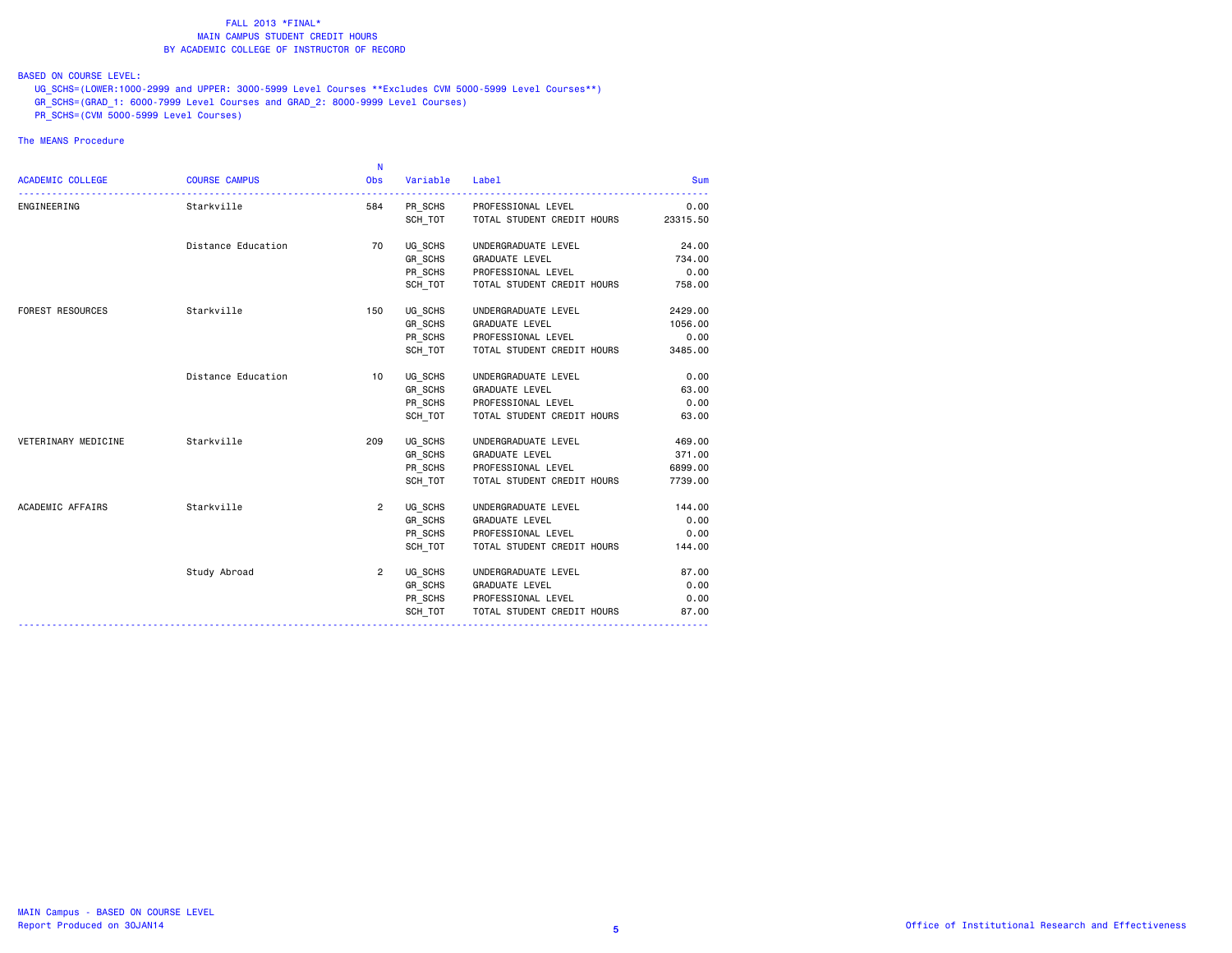# BASED ON COURSE LEVEL:

 UG\_SCHS=(LOWER:1000-2999 and UPPER: 3000-5999 Level Courses \*\*Excludes CVM 5000-5999 Level Courses\*\*) GR\_SCHS=(GRAD\_1: 6000-7999 Level Courses and GRAD\_2: 8000-9999 Level Courses)  $P$ R $\overline{\phantom{0}}$ SCHS=(CVM 5000-5999 Level Courses)

|                         |                      | N              |          |                                    |            |
|-------------------------|----------------------|----------------|----------|------------------------------------|------------|
| <b>ACADEMIC COLLEGE</b> | <b>COURSE CAMPUS</b> | Obs            | Variable | Label                              | <b>Sum</b> |
| ENGINEERING             | Starkville           | 584            |          | PR_SCHS PROFESSIONAL LEVEL         | 0.00       |
|                         |                      |                |          | SCH_TOT TOTAL STUDENT CREDIT HOURS | 23315.50   |
|                         | Distance Education   | 70             | UG_SCHS  | UNDERGRADUATE LEVEL                | 24.00      |
|                         |                      |                |          | GR_SCHS GRADUATE LEVEL             | 734.00     |
|                         |                      |                |          | PR SCHS PROFESSIONAL LEVEL         | 0.00       |
|                         |                      |                | SCH_TOT  | TOTAL STUDENT CREDIT HOURS         | 758.00     |
| <b>FOREST RESOURCES</b> | Starkville           | 150            |          | UG SCHS UNDERGRADUATE LEVEL        | 2429.00    |
|                         |                      |                |          | GR_SCHS GRADUATE LEVEL             | 1056.00    |
|                         |                      |                |          | PR_SCHS PROFESSIONAL LEVEL         | 0.00       |
|                         |                      |                | SCH TOT  | TOTAL STUDENT CREDIT HOURS         | 3485.00    |
|                         | Distance Education   | 10             |          | UG_SCHS UNDERGRADUATE LEVEL        | 0.00       |
|                         |                      |                |          | GR_SCHS GRADUATE LEVEL             | 63.00      |
|                         |                      |                |          | PR_SCHS PROFESSIONAL LEVEL         | 0.00       |
|                         |                      |                | SCH_TOT  | TOTAL STUDENT CREDIT HOURS         | 63.00      |
| VETERINARY MEDICINE     | Starkville           | 209            |          | UG SCHS UNDERGRADUATE LEVEL        | 469.00     |
|                         |                      |                |          | GR_SCHS GRADUATE LEVEL             | 371.00     |
|                         |                      |                | PR_SCHS  | PROFESSIONAL LEVEL                 | 6899.00    |
|                         |                      |                | SCH TOT  | TOTAL STUDENT CREDIT HOURS         | 7739.00    |
| ACADEMIC AFFAIRS        | Starkville           | $2^{\circ}$    | UG SCHS  | UNDERGRADUATE LEVEL                | 144.00     |
|                         |                      |                |          | GR_SCHS GRADUATE LEVEL             | 0.00       |
|                         |                      |                |          | PR SCHS PROFESSIONAL LEVEL         | 0.00       |
|                         |                      |                | SCH TOT  | TOTAL STUDENT CREDIT HOURS         | 144.00     |
|                         | Study Abroad         | $\overline{2}$ |          | UG SCHS UNDERGRADUATE LEVEL        | 87.00      |
|                         |                      |                |          | GR_SCHS GRADUATE LEVEL             | 0.00       |
|                         |                      |                |          | PR_SCHS PROFESSIONAL LEVEL         | 0.00       |
|                         |                      |                | SCH TOT  | TOTAL STUDENT CREDIT HOURS         | 87.00      |
|                         |                      |                |          |                                    |            |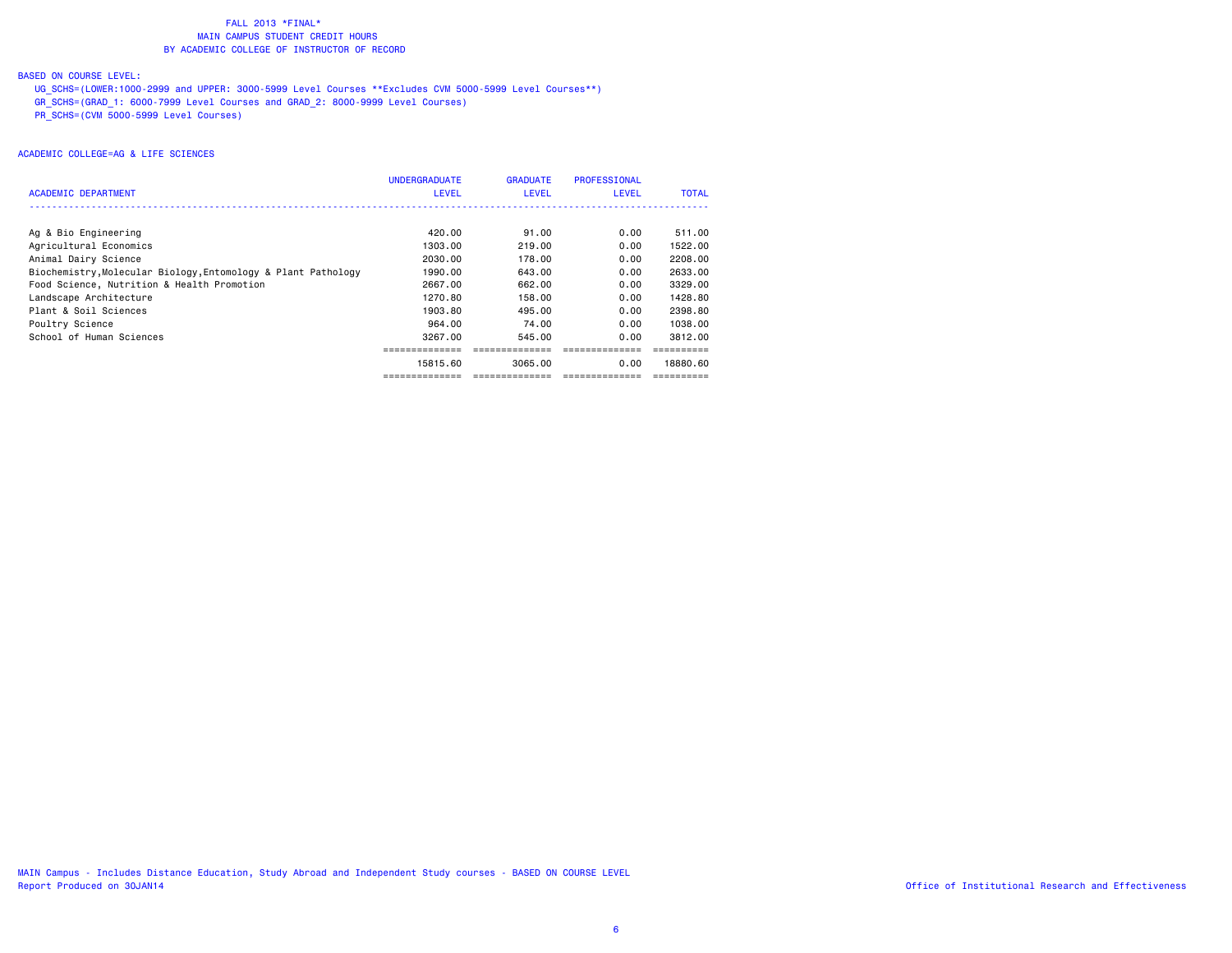# BASED ON COURSE LEVEL:

 UG\_SCHS=(LOWER:1000-2999 and UPPER: 3000-5999 Level Courses \*\*Excludes CVM 5000-5999 Level Courses\*\*) GR\_SCHS=(GRAD\_1: 6000-7999 Level Courses and GRAD\_2: 8000-9999 Level Courses) PR\_SCHS=(CVM 5000-5999 Level Courses)

| ACADEMIC DEPARTMENT                                           | <b>UNDERGRADUATE</b><br><b>LEVEL</b> | <b>GRADUATE</b><br>LEVEL | PROFESSIONAL<br><b>LEVEL</b> | <b>TOTAL</b> |
|---------------------------------------------------------------|--------------------------------------|--------------------------|------------------------------|--------------|
|                                                               |                                      |                          |                              |              |
| Ag & Bio Engineering                                          | 420.00                               | 91.00                    | 0.00                         | 511.00       |
| Agricultural Economics                                        | 1303.00                              | 219.00                   | 0.00                         | 1522.00      |
| Animal Dairy Science                                          | 2030.00                              | 178,00                   | 0.00                         | 2208.00      |
| Biochemistry, Molecular Biology, Entomology & Plant Pathology | 1990.00                              | 643.00                   | 0.00                         | 2633.00      |
| Food Science, Nutrition & Health Promotion                    | 2667.00                              | 662.00                   | 0.00                         | 3329.00      |
| Landscape Architecture                                        | 1270.80                              | 158,00                   | 0.00                         | 1428.80      |
| Plant & Soil Sciences                                         | 1903.80                              | 495.00                   | 0.00                         | 2398.80      |
| Poultry Science                                               | 964.00                               | 74.00                    | 0.00                         | 1038.00      |
| School of Human Sciences                                      | 3267.00                              | 545.00                   | 0.00                         | 3812.00      |
|                                                               |                                      |                          |                              |              |
|                                                               | 15815.60                             | 3065.00                  | 0.00                         | 18880.60     |
|                                                               |                                      | --------------           |                              |              |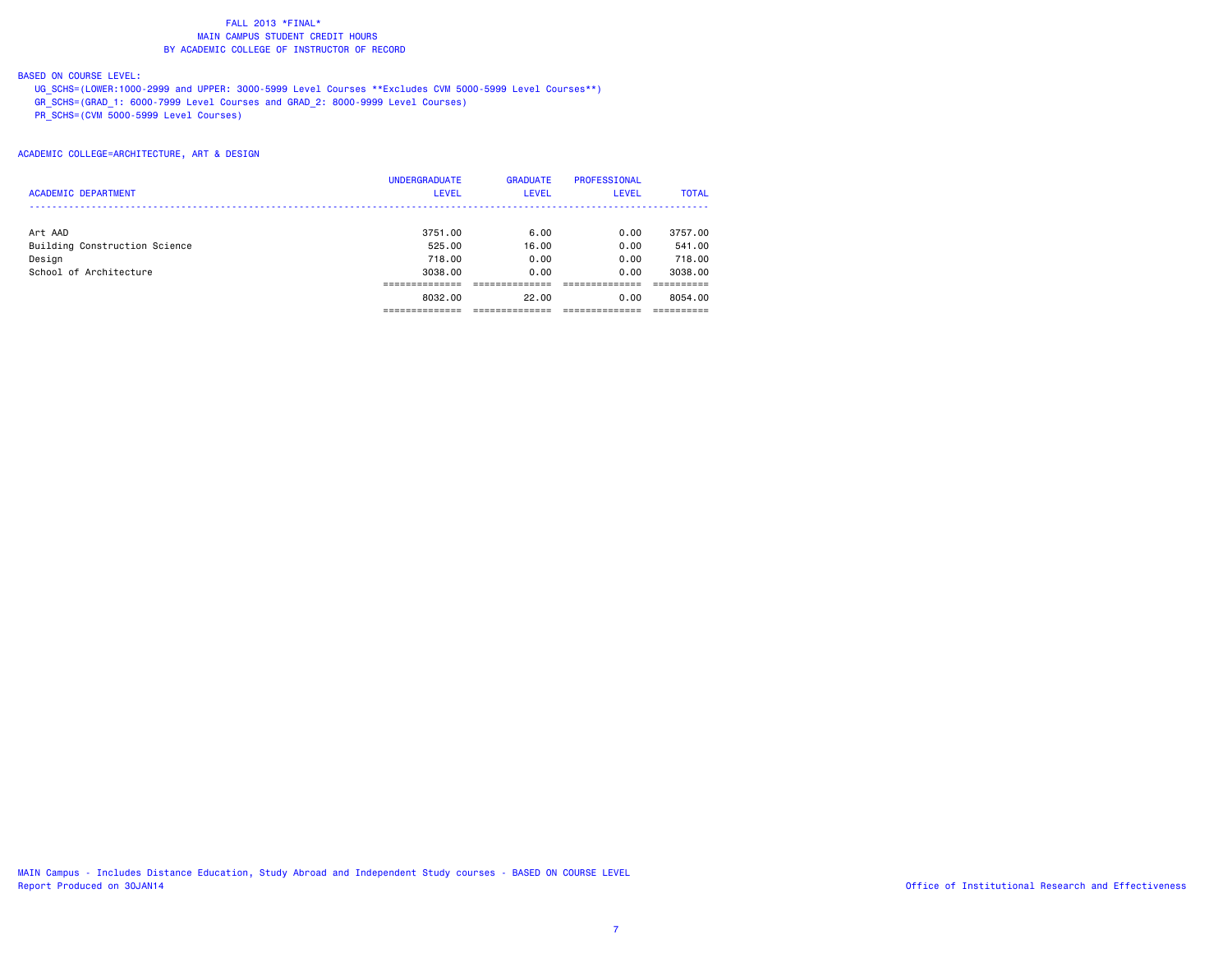# BASED ON COURSE LEVEL:

 UG\_SCHS=(LOWER:1000-2999 and UPPER: 3000-5999 Level Courses \*\*Excludes CVM 5000-5999 Level Courses\*\*) GR\_SCHS=(GRAD\_1: 6000-7999 Level Courses and GRAD\_2: 8000-9999 Level Courses)  $\overline{C}$ CVM 5000-5999 Level Courses)

ACADEMIC COLLEGE=ARCHITECTURE, ART & DESIGN

|                               | <b>UNDERGRADUATE</b> | <b>GRADUATE</b> | <b>PROFESSIONAL</b> |              |
|-------------------------------|----------------------|-----------------|---------------------|--------------|
| <b>ACADEMIC DEPARTMENT</b>    | <b>LEVEL</b>         | <b>LEVEL</b>    | <b>LEVEL</b>        | <b>TOTAL</b> |
|                               |                      |                 |                     |              |
| Art AAD                       | 3751.00              | 6.00            | 0.00                | 3757.00      |
| Building Construction Science | 525,00               | 16.00           | 0.00                | 541.00       |
| Design                        | 718,00               | 0.00            | 0.00                | 718,00       |
| School of Architecture        | 3038,00              | 0.00            | 0.00                | 3038,00      |
|                               |                      |                 |                     |              |
|                               | 8032,00              | 22.00           | 0.00                | 8054.00      |
|                               |                      |                 |                     |              |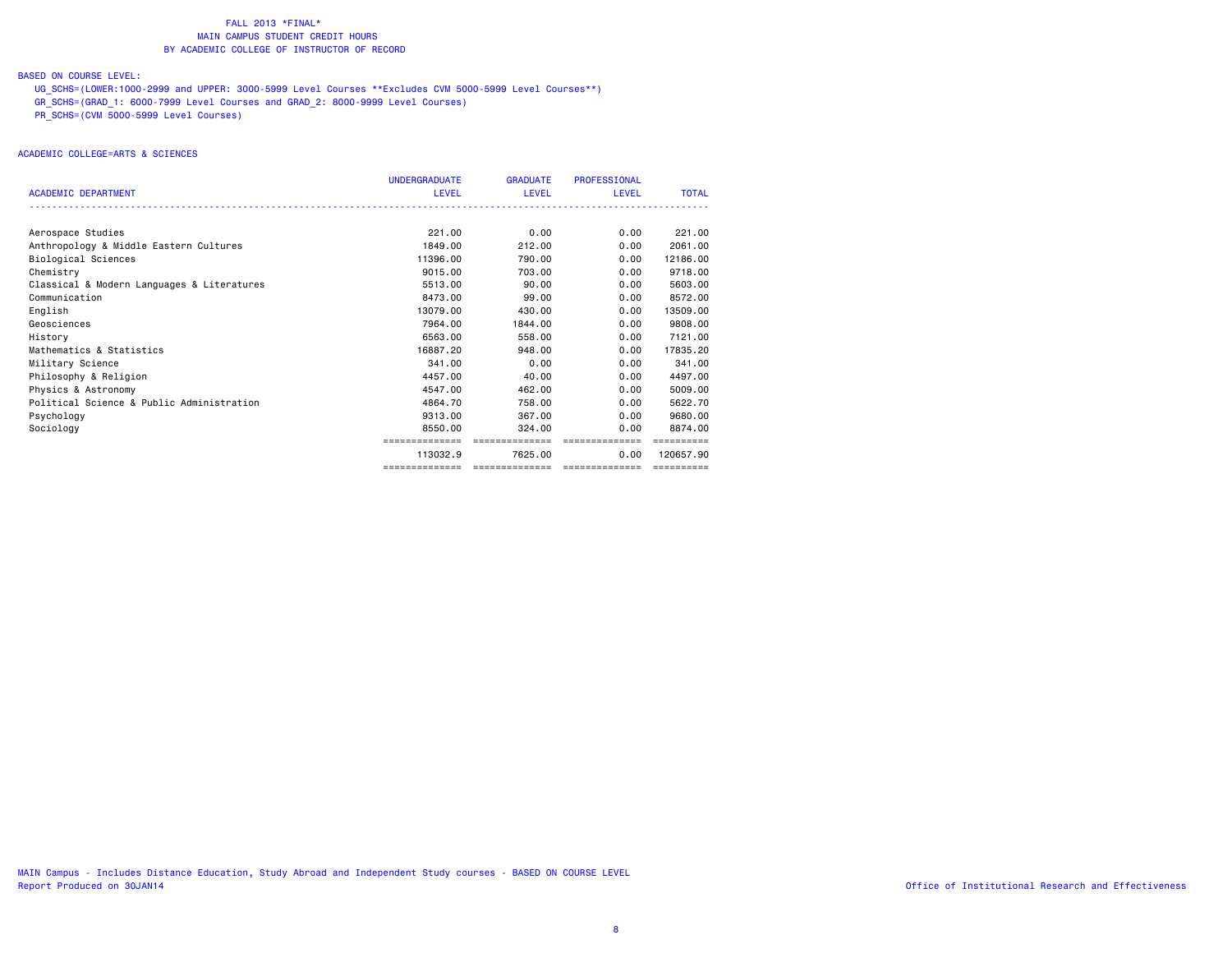# BASED ON COURSE LEVEL:

 UG\_SCHS=(LOWER:1000-2999 and UPPER: 3000-5999 Level Courses \*\*Excludes CVM 5000-5999 Level Courses\*\*) GR\_SCHS=(GRAD\_1: 6000-7999 Level Courses and GRAD\_2: 8000-9999 Level Courses) PR\_SCHS=(CVM 5000-5999 Level Courses)

# ACADEMIC COLLEGE=ARTS & SCIENCES

|                                            | <b>UNDERGRADUATE</b> | <b>GRADUATE</b> | <b>PROFESSIONAL</b>                  |              |
|--------------------------------------------|----------------------|-----------------|--------------------------------------|--------------|
| <b>ACADEMIC DEPARTMENT</b>                 | LEVEL                | LEVEL           | <b>LEVEL</b>                         | <b>TOTAL</b> |
|                                            |                      |                 |                                      |              |
| Aerospace Studies                          | 221.00               | 0.00            | 0.00                                 | 221,00       |
| Anthropology & Middle Eastern Cultures     | 1849.00              | 212,00          | 0.00                                 | 2061.00      |
| Biological Sciences                        | 11396.00             | 790.00          | 0.00                                 | 12186.00     |
| Chemistry                                  | 9015.00              | 703.00          | 0.00                                 | 9718.00      |
| Classical & Modern Languages & Literatures | 5513.00              | 90.00           | 0.00                                 | 5603.00      |
| Communication                              | 8473.00              | 99.00           | 0.00                                 | 8572.00      |
| English                                    | 13079.00             | 430,00          | 0.00                                 | 13509.00     |
| Geosciences                                | 7964.00              | 1844.00         | 0.00                                 | 9808.00      |
| History                                    | 6563.00              | 558.00          | 0.00                                 | 7121.00      |
| Mathematics & Statistics                   | 16887.20             | 948.00          | 0.00                                 | 17835.20     |
| Military Science                           | 341.00               | 0.00            | 0.00                                 | 341.00       |
| Philosophy & Religion                      | 4457.00              | 40.00           | 0.00                                 | 4497.00      |
| Physics & Astronomy                        | 4547.00              | 462,00          | 0.00                                 | 5009.00      |
| Political Science & Public Administration  | 4864.70              | 758.00          | 0.00                                 | 5622.70      |
| Psychology                                 | 9313.00              | 367.00          | 0.00                                 | 9680.00      |
| Sociology                                  | 8550.00              | 324,00          | 0.00                                 | 8874.00      |
|                                            | ==============       | ==============  | ==============                       |              |
|                                            | 113032.9             | 7625.00         | 0.00                                 | 120657.90    |
|                                            | ==============       |                 | ____________________________________ | ==========   |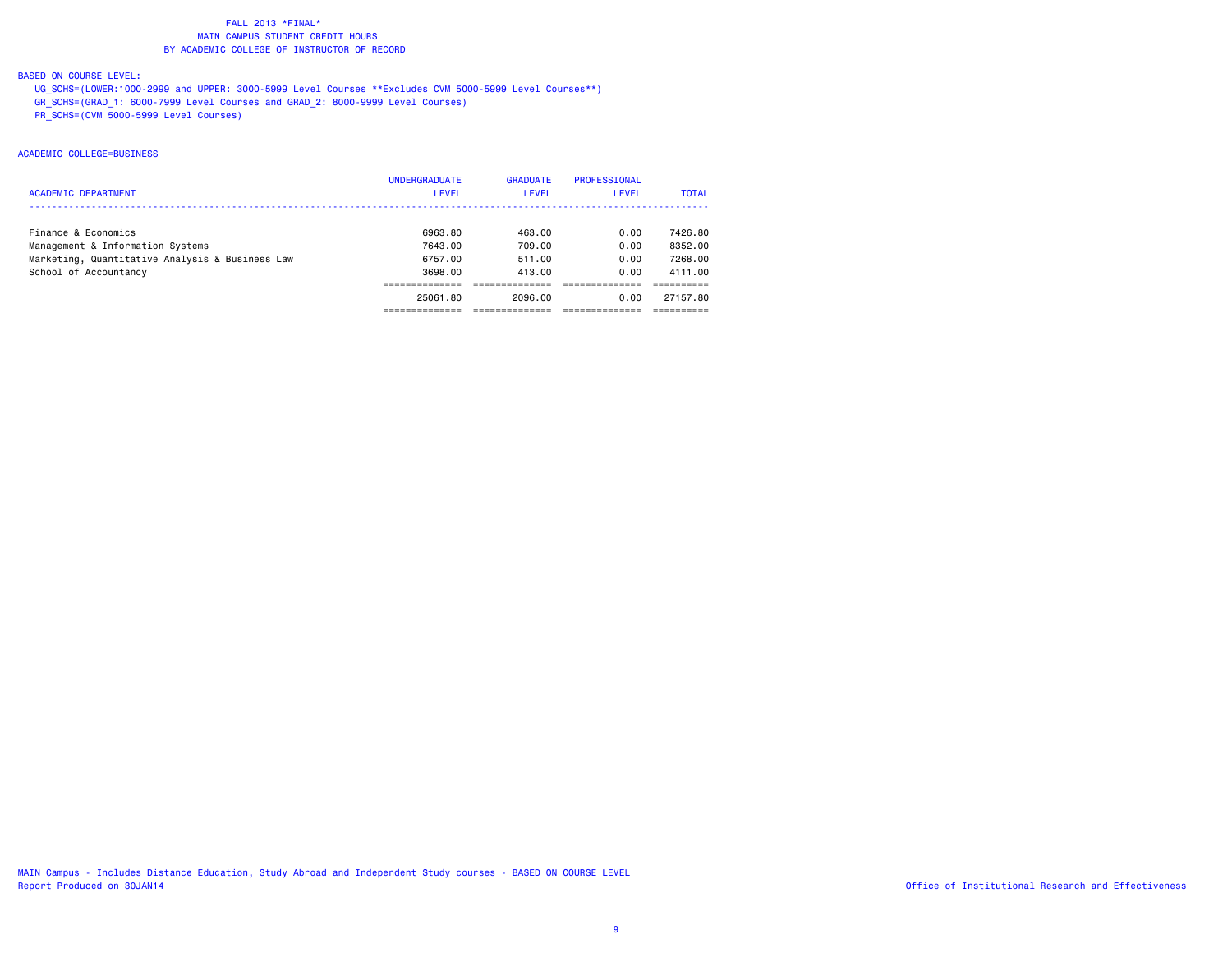# BASED ON COURSE LEVEL:

 UG\_SCHS=(LOWER:1000-2999 and UPPER: 3000-5999 Level Courses \*\*Excludes CVM 5000-5999 Level Courses\*\*) GR\_SCHS=(GRAD\_1: 6000-7999 Level Courses and GRAD\_2: 8000-9999 Level Courses) PR\_SCHS=(CVM 5000-5999 Level Courses)

## ACADEMIC COLLEGE=BUSINESS

| <b>ACADEMIC DEPARTMENT</b>                      | <b>UNDERGRADUATE</b><br>LEVEL | <b>GRADUATE</b><br>LEVEL | PROFESSIONAL<br><b>LEVEL</b> | <b>TOTAL</b> |
|-------------------------------------------------|-------------------------------|--------------------------|------------------------------|--------------|
| Finance & Economics                             | 6963.80                       | 463.00                   | 0.00                         | 7426.80      |
| Management & Information Systems                | 7643.00                       | 709.00                   | 0.00                         | 8352.00      |
| Marketing, Quantitative Analysis & Business Law | 6757.00                       | 511.00                   | 0.00                         | 7268.00      |
| School of Accountancy                           | 3698.00                       | 413.00                   | 0.00                         | 4111.00      |
|                                                 |                               |                          |                              |              |
|                                                 | 25061.80                      | 2096.00                  | 0.00                         | 27157.80     |
|                                                 |                               |                          |                              |              |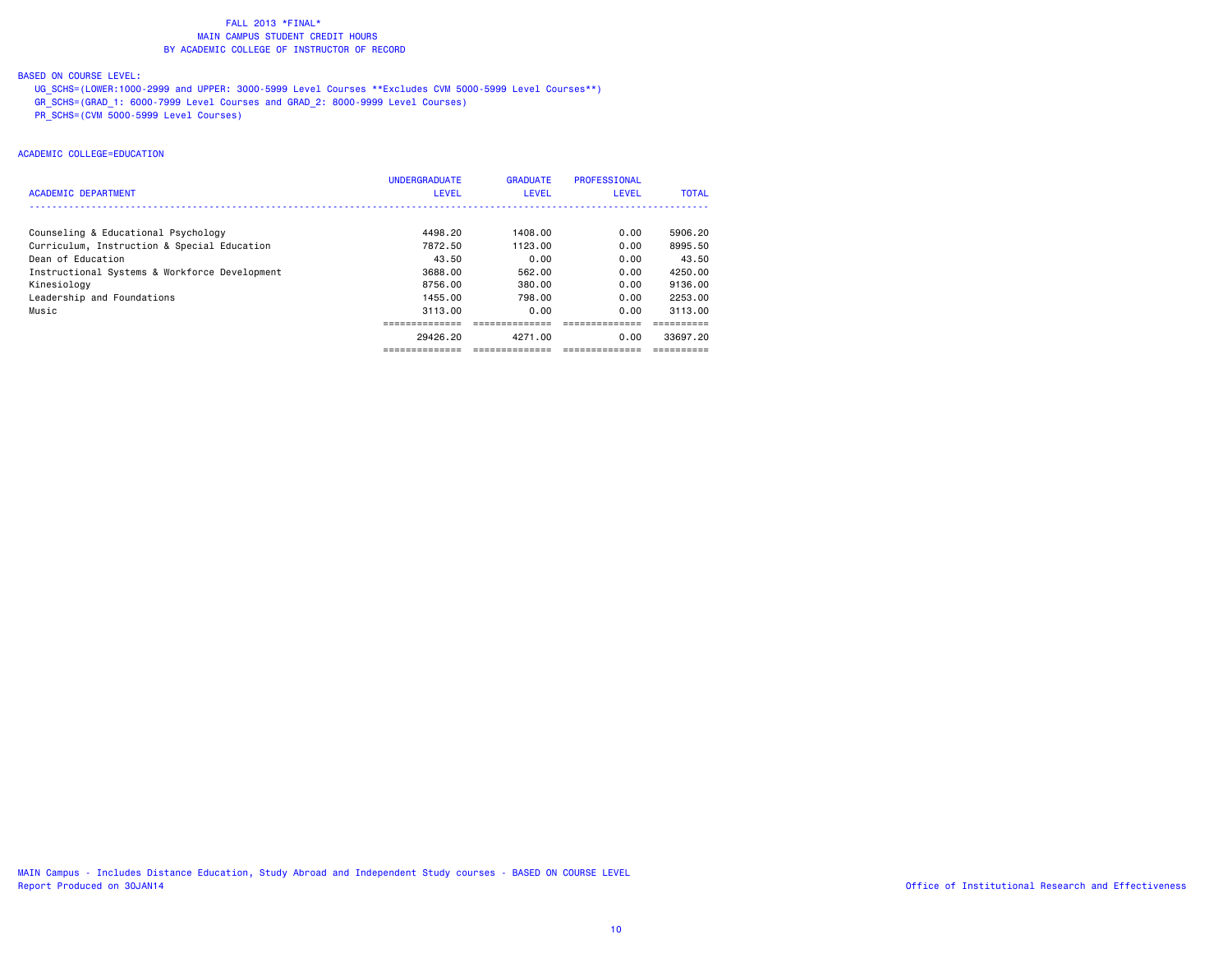# BASED ON COURSE LEVEL:

 UG\_SCHS=(LOWER:1000-2999 and UPPER: 3000-5999 Level Courses \*\*Excludes CVM 5000-5999 Level Courses\*\*) GR\_SCHS=(GRAD\_1: 6000-7999 Level Courses and GRAD\_2: 8000-9999 Level Courses) PR\_SCHS=(CVM 5000-5999 Level Courses)

# ACADEMIC COLLEGE=EDUCATION

| <b>ACADEMIC DEPARTMENT</b>                    | <b>UNDERGRADUATE</b><br><b>LEVEL</b> | <b>GRADUATE</b><br><b>LEVEL</b> | <b>PROFESSIONAL</b><br>LEVEL | <b>TOTAL</b> |
|-----------------------------------------------|--------------------------------------|---------------------------------|------------------------------|--------------|
|                                               |                                      |                                 |                              |              |
| Counseling & Educational Psychology           | 4498.20                              | 1408.00                         | 0.00                         | 5906.20      |
| Curriculum, Instruction & Special Education   | 7872.50                              | 1123.00                         | 0.00                         | 8995.50      |
| Dean of Education                             | 43.50                                | 0.00                            | 0.00                         | 43.50        |
| Instructional Systems & Workforce Development | 3688,00                              | 562.00                          | 0.00                         | 4250.00      |
| Kinesiology                                   | 8756.00                              | 380.00                          | 0.00                         | 9136.00      |
| Leadership and Foundations                    | 1455.00                              | 798.00                          | 0.00                         | 2253.00      |
| Music                                         | 3113.00                              | 0.00                            | 0.00                         | 3113.00      |
|                                               |                                      |                                 |                              |              |
|                                               | 29426.20                             | 4271.00                         | 0.00                         | 33697.20     |
|                                               | -------------                        | -------------                   | -------------                |              |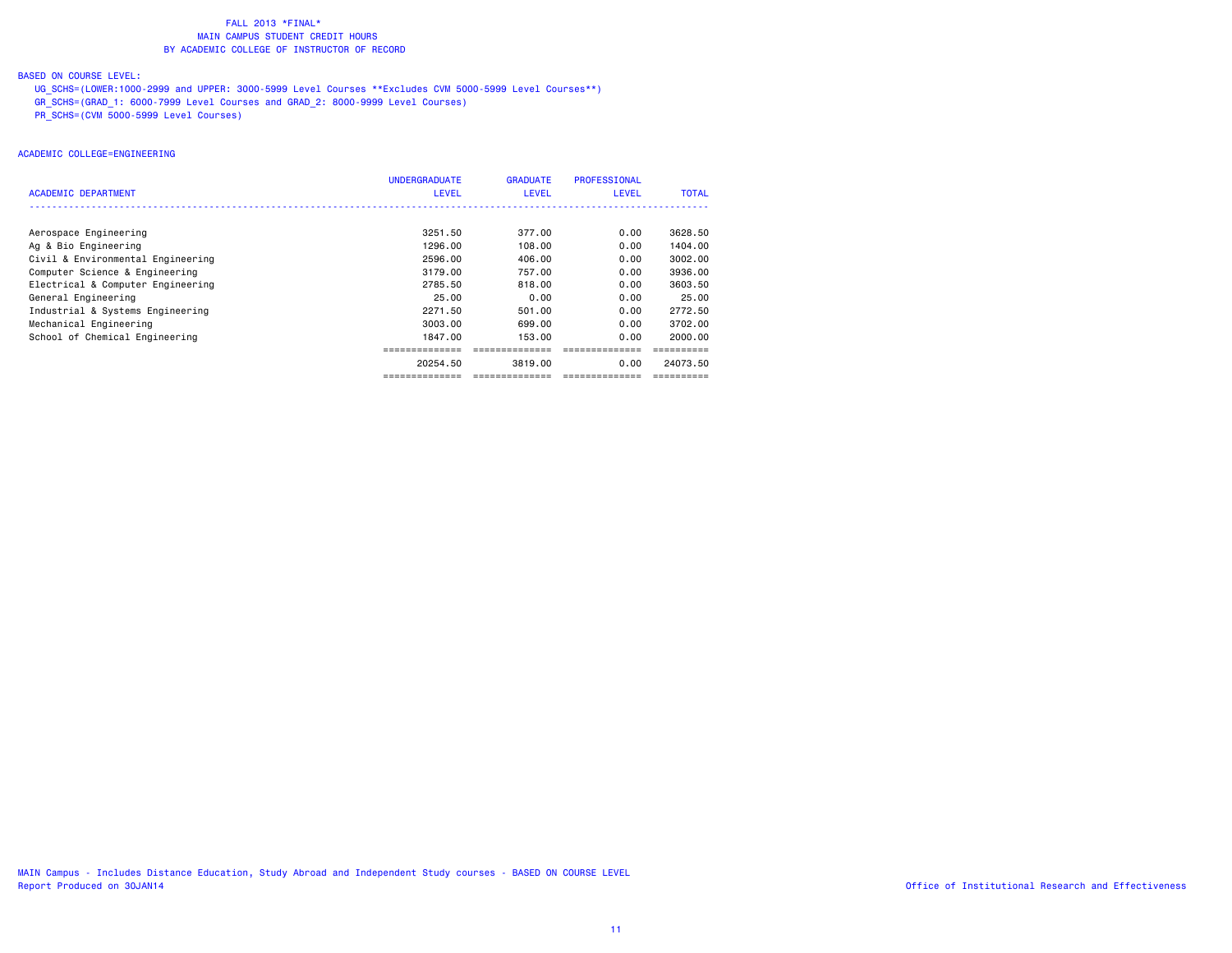# BASED ON COURSE LEVEL:

 UG\_SCHS=(LOWER:1000-2999 and UPPER: 3000-5999 Level Courses \*\*Excludes CVM 5000-5999 Level Courses\*\*) GR\_SCHS=(GRAD\_1: 6000-7999 Level Courses and GRAD\_2: 8000-9999 Level Courses) PR\_SCHS=(CVM 5000-5999 Level Courses)

# ACADEMIC COLLEGE=ENGINEERING

| ACADEMIC DEPARTMENT               | <b>UNDERGRADUATE</b><br><b>LEVEL</b> | <b>GRADUATE</b><br><b>LEVEL</b> | <b>PROFESSIONAL</b><br><b>LEVEL</b> | <b>TOTAL</b> |
|-----------------------------------|--------------------------------------|---------------------------------|-------------------------------------|--------------|
|                                   |                                      |                                 |                                     |              |
| Aerospace Engineering             | 3251.50                              | 377.00                          | 0.00                                | 3628.50      |
| Ag & Bio Engineering              | 1296.00                              | 108.00                          | 0.00                                | 1404.00      |
| Civil & Environmental Engineering | 2596.00                              | 406.00                          | 0.00                                | 3002.00      |
| Computer Science & Engineering    | 3179.00                              | 757.00                          | 0.00                                | 3936.00      |
| Electrical & Computer Engineering | 2785.50                              | 818.00                          | 0.00                                | 3603.50      |
| General Engineering               | 25.00                                | 0.00                            | 0.00                                | 25.00        |
| Industrial & Systems Engineering  | 2271.50                              | 501.00                          | 0.00                                | 2772.50      |
| Mechanical Engineering            | 3003.00                              | 699.00                          | 0.00                                | 3702.00      |
| School of Chemical Engineering    | 1847.00                              | 153,00                          | 0.00                                | 2000.00      |
|                                   |                                      |                                 | ===============                     |              |
|                                   | 20254.50                             | 3819.00                         | 0.00                                | 24073.50     |
|                                   | --------------                       | --------------                  |                                     |              |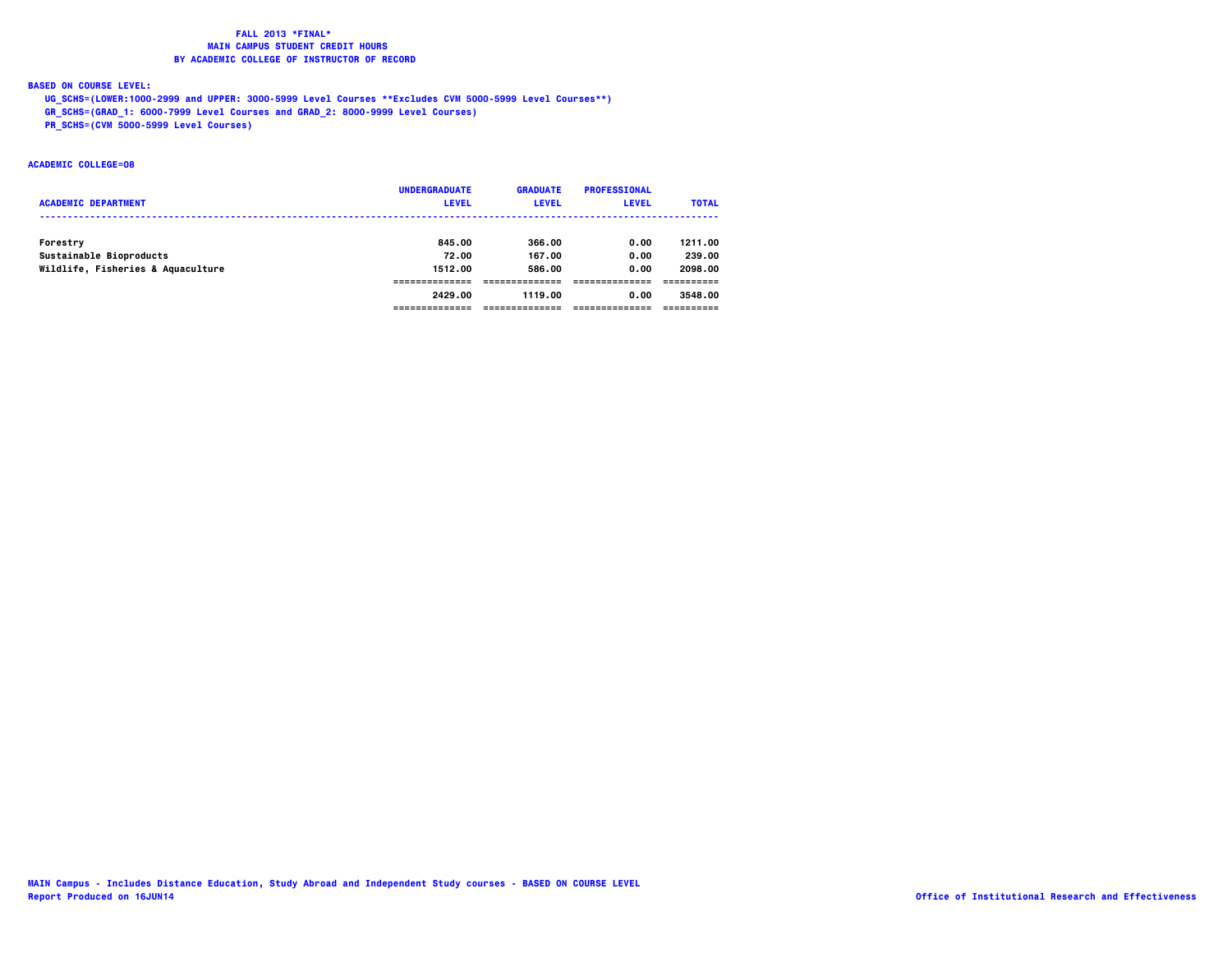# **BASED ON COURSE LEVEL:**

 **UG\_SCHS=(LOWER:1000-2999 and UPPER: 3000-5999 Level Courses \*\*Excludes CVM 5000-5999 Level Courses\*\*)**

 **GR\_SCHS=(GRAD\_1: 6000-7999 Level Courses and GRAD\_2: 8000-9999 Level Courses)**

 **PR\_SCHS=(CVM 5000-5999 Level Courses)**

# **ACADEMIC COLLEGE=08**

|                                   | <b>UNDERGRADUATE</b> | <b>GRADUATE</b> | <b>PROFESSIONAL</b> |              |
|-----------------------------------|----------------------|-----------------|---------------------|--------------|
| <b>ACADEMIC DEPARTMENT</b>        | <b>LEVEL</b>         | <b>LEVEL</b>    | <b>LEVEL</b>        | <b>TOTAL</b> |
|                                   |                      |                 |                     |              |
| Forestry                          | 845.00               | 366.00          | 0.00                | 1211.00      |
| Sustainable Bioproducts           | 72.00                | 167.00          | 0.00                | 239.00       |
| Wildlife, Fisheries & Aquaculture | 1512.00              | 586.00          | 0.00                | 2098.00      |
|                                   |                      |                 |                     |              |
|                                   | 2429.00              | 1119.00         | 0.00                | 3548.00      |
|                                   |                      |                 |                     |              |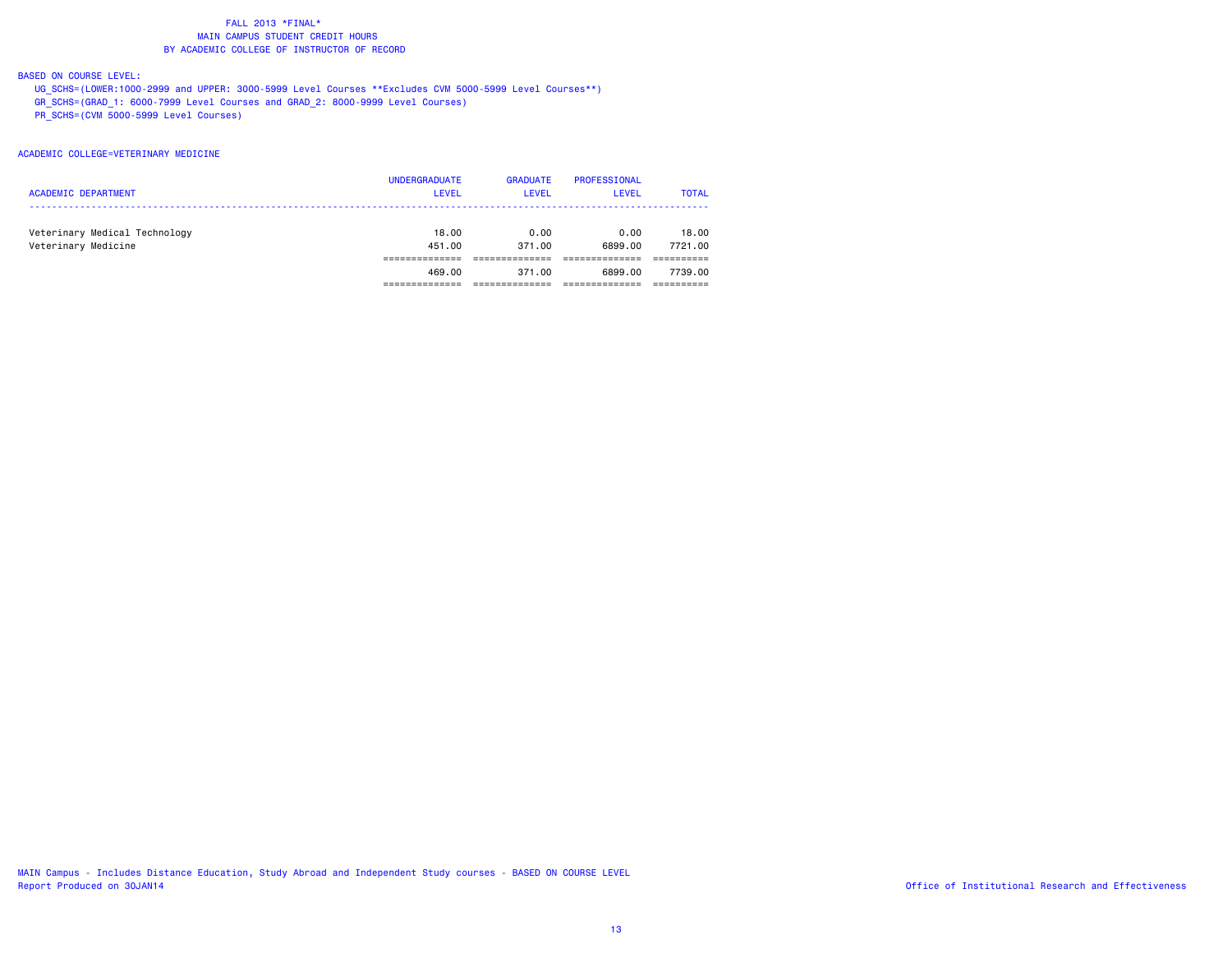# BASED ON COURSE LEVEL:

 UG\_SCHS=(LOWER:1000-2999 and UPPER: 3000-5999 Level Courses \*\*Excludes CVM 5000-5999 Level Courses\*\*) GR\_SCHS=(GRAD\_1: 6000-7999 Level Courses and GRAD\_2: 8000-9999 Level Courses) PR\_SCHS=(CVM 5000-5999 Level Courses)

## ACADEMIC COLLEGE=VETERINARY MEDICINE

| <b>UNDERGRADUATE</b> | <b>GRADUATE</b> | PROFESSIONAL | <b>TOTAL</b> |
|----------------------|-----------------|--------------|--------------|
| <b>LEVEL</b>         | <b>LEVEL</b>    | LEVEL        |              |
| 18.00                | 0.00            | 0.00         | 18,00        |
| 451.00               | 371.00          | 6899.00      | 7721.00      |
| 469.00               | 371.00          | 6899.00      | 7739.00      |
|                      |                 |              |              |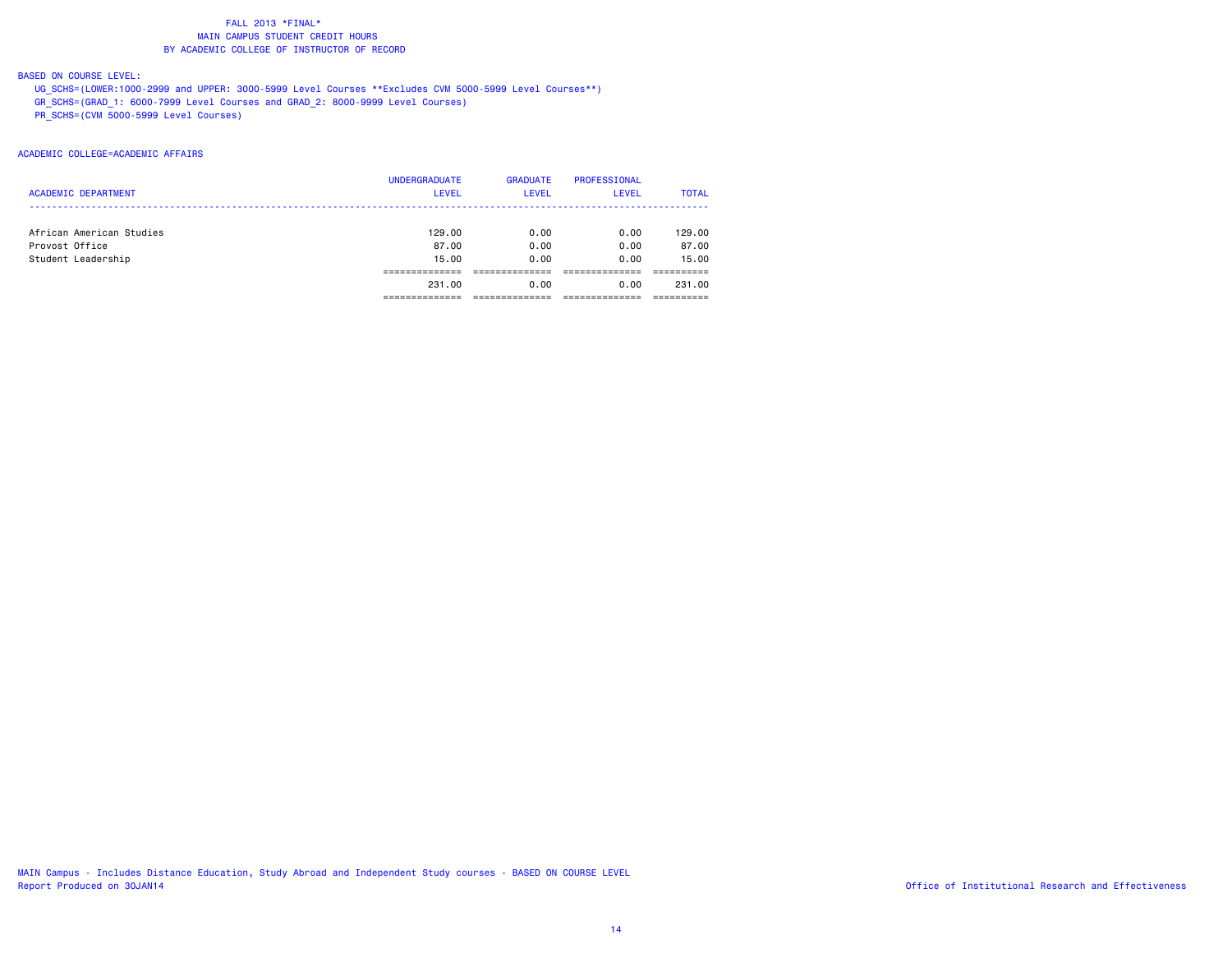# BASED ON COURSE LEVEL:

 UG\_SCHS=(LOWER:1000-2999 and UPPER: 3000-5999 Level Courses \*\*Excludes CVM 5000-5999 Level Courses\*\*) GR\_SCHS=(GRAD\_1: 6000-7999 Level Courses and GRAD\_2: 8000-9999 Level Courses) PR\_SCHS=(CVM 5000-5999 Level Courses)

# ACADEMIC COLLEGE=ACADEMIC AFFAIRS

| <b>ACADEMIC DEPARTMENT</b> | <b>UNDERGRADUATE</b><br><b>LEVEL</b> | <b>GRADUATE</b><br><b>LEVEL</b> | <b>PROFESSIONAL</b><br><b>LEVEL</b> | <b>TOTAL</b> |
|----------------------------|--------------------------------------|---------------------------------|-------------------------------------|--------------|
| African American Studies   | 129,00                               | 0.00                            | 0.00                                | 129,00       |
| Provost Office             | 87.00                                | 0.00                            | 0.00                                | 87.00        |
| Student Leadership         | 15.00                                | 0.00                            | 0.00                                | 15.00        |
|                            | 231,00                               | 0.00                            | 0.00                                | 231,00       |
|                            |                                      |                                 |                                     |              |

MAIN Campus - Includes Distance Education, Study Abroad and Independent Study courses - BASED ON COURSE LEVEL Report Produced on 30JAN14 **Contract and Effectiveness** of institutional Research and Effectiveness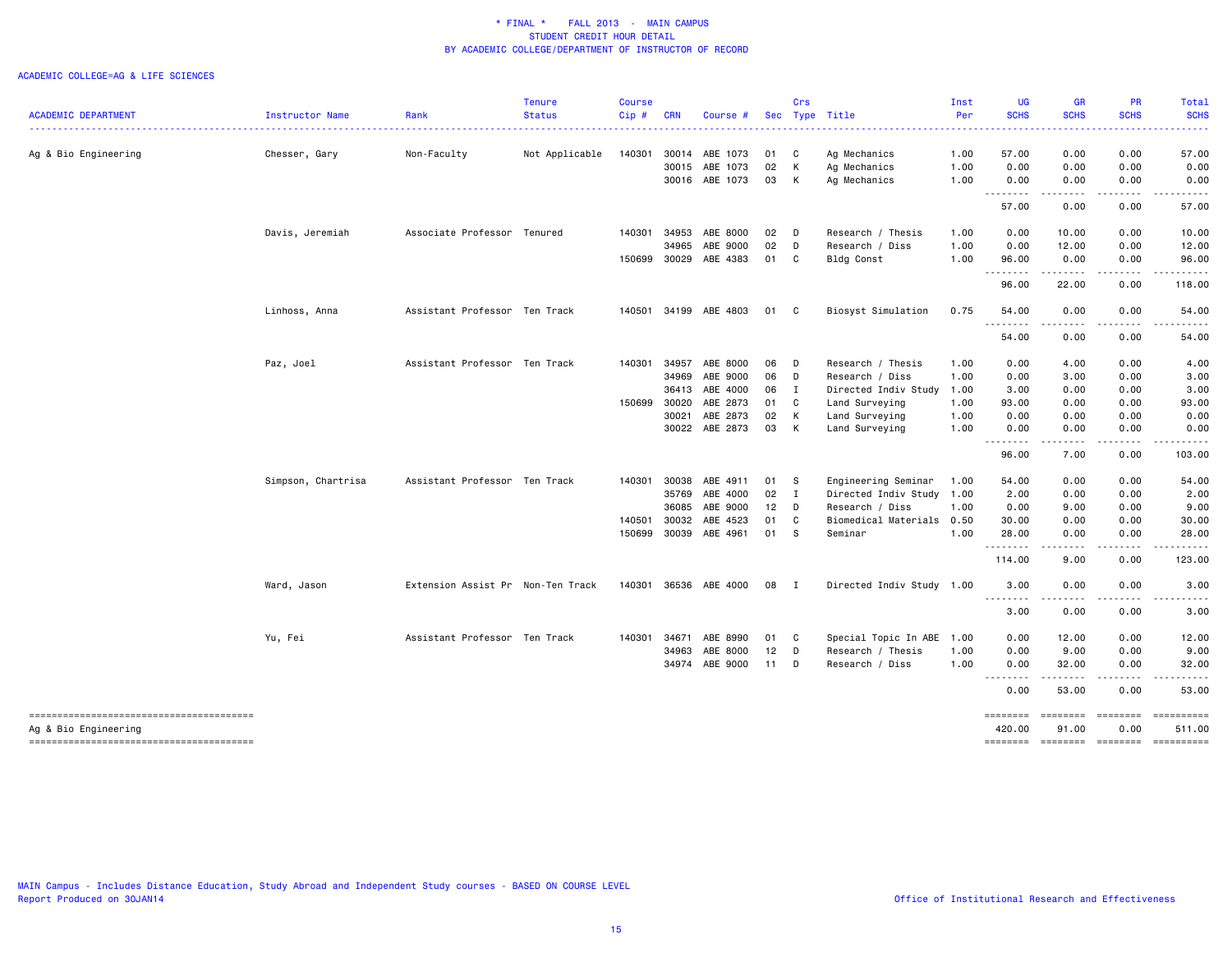#### ACADEMIC COLLEGE=AG & LIFE SCIENCES

| <b>ACADEMIC DEPARTMENT</b> |                    | Rank                              | <b>Tenure</b><br><b>Status</b> | <b>Course</b><br>Cip# | <b>CRN</b> |                       |        | Crs            | Sec Type Title            | Inst<br>Per | <b>UG</b><br><b>SCHS</b> | <b>GR</b><br><b>SCHS</b>                                                                                                                                     | <b>PR</b><br><b>SCHS</b> | Total<br><b>SCHS</b>                                                                                                      |
|----------------------------|--------------------|-----------------------------------|--------------------------------|-----------------------|------------|-----------------------|--------|----------------|---------------------------|-------------|--------------------------|--------------------------------------------------------------------------------------------------------------------------------------------------------------|--------------------------|---------------------------------------------------------------------------------------------------------------------------|
|                            | Instructor Name    |                                   |                                |                       |            | Course #              |        |                |                           |             |                          |                                                                                                                                                              |                          | .                                                                                                                         |
| Ag & Bio Engineering       | Chesser, Gary      | Non-Faculty                       | Not Applicable                 | 140301                | 30014      | ABE 1073              | 01     | C              | Ag Mechanics              | 1.00        | 57.00                    | 0.00                                                                                                                                                         | 0.00                     | 57.00                                                                                                                     |
|                            |                    |                                   |                                |                       | 30015      | ABE 1073              | 02     | К              | Ag Mechanics              | 1.00        | 0.00                     | 0.00                                                                                                                                                         | 0.00                     | 0.00                                                                                                                      |
|                            |                    |                                   |                                |                       |            | 30016 ABE 1073        | 03     | К              | Ag Mechanics              | 1.00        | 0.00                     | 0.00                                                                                                                                                         | 0.00                     | 0.00                                                                                                                      |
|                            |                    |                                   |                                |                       |            |                       |        |                |                           |             | --------<br>57.00        | $\frac{1}{2} \left( \frac{1}{2} \right) \left( \frac{1}{2} \right) \left( \frac{1}{2} \right) \left( \frac{1}{2} \right) \left( \frac{1}{2} \right)$<br>0.00 | .<br>0.00                | . <u>.</u> .<br>57.00                                                                                                     |
|                            | Davis, Jeremiah    | Associate Professor Tenured       |                                | 140301                | 34953      | ABE 8000              | 02     | $\Box$         | Research / Thesis         | 1.00        | 0.00                     | 10.00                                                                                                                                                        | 0.00                     | 10.00                                                                                                                     |
|                            |                    |                                   |                                |                       | 34965      | ABE 9000              | 02     | D              | Research / Diss           | 1.00        | 0.00                     | 12.00                                                                                                                                                        | 0.00                     | 12.00                                                                                                                     |
|                            |                    |                                   |                                | 150699                | 30029      | ABE 4383              | 01     | C              | <b>Bldg Const</b>         | 1.00        | 96.00                    | 0.00                                                                                                                                                         | 0.00                     | 96.00                                                                                                                     |
|                            |                    |                                   |                                |                       |            |                       |        |                |                           |             | .                        | .                                                                                                                                                            | -----                    | $\begin{array}{cccccccccccccc} \bullet & \bullet & \bullet & \bullet & \bullet & \bullet & \bullet & \bullet \end{array}$ |
|                            |                    |                                   |                                |                       |            |                       |        |                |                           |             | 96.00                    | 22.00                                                                                                                                                        | 0.00                     | 118.00                                                                                                                    |
|                            | Linhoss, Anna      | Assistant Professor Ten Track     |                                | 140501                |            | 34199 ABE 4803        | 01     | $\mathbf{C}$   | Biosyst Simulation        | 0.75        | 54.00<br>.               | 0.00<br>.                                                                                                                                                    | 0.00<br>.                | 54.00                                                                                                                     |
|                            |                    |                                   |                                |                       |            |                       |        |                |                           |             | 54.00                    | 0.00                                                                                                                                                         | 0.00                     | 54.00                                                                                                                     |
|                            | Paz, Joel          | Assistant Professor Ten Track     |                                | 140301                | 34957      | ABE 8000              | 06     | D              | Research / Thesis         | 1.00        | 0.00                     | 4.00                                                                                                                                                         | 0.00                     | 4.00                                                                                                                      |
|                            |                    |                                   |                                |                       | 34969      | ABE 9000              | 06     | D              | Research / Diss           | 1.00        | 0.00                     | 3.00                                                                                                                                                         | 0.00                     | 3.00                                                                                                                      |
|                            |                    |                                   |                                |                       | 36413      | ABE 4000              | 06 I   |                | Directed Indiv Study      | 1.00        | 3.00                     | 0.00                                                                                                                                                         | 0.00                     | 3.00                                                                                                                      |
|                            |                    |                                   |                                | 150699                | 30020      | ABE 2873              | 01     | $\mathbf{C}$   | Land Surveying            | 1.00        | 93.00                    | 0.00                                                                                                                                                         | 0.00                     | 93.00                                                                                                                     |
|                            |                    |                                   |                                |                       | 30021      | ABE 2873              | 02     | $\mathsf{K}$   | Land Surveying            | 1.00        | 0.00                     | 0.00                                                                                                                                                         | 0.00                     | 0.00                                                                                                                      |
|                            |                    |                                   |                                |                       |            | 30022 ABE 2873        | 03     | $\mathsf{K}$   | Land Surveying            | 1.00        | 0.00                     | 0.00                                                                                                                                                         | 0.00                     | 0.00                                                                                                                      |
|                            |                    |                                   |                                |                       |            |                       |        |                |                           |             | .<br>96.00               | .<br>7.00                                                                                                                                                    | -----<br>0.00            | .<br>103.00                                                                                                               |
|                            | Simpson, Chartrisa | Assistant Professor Ten Track     |                                | 140301                | 30038      | ABE 4911              | 01     | - S            | Engineering Seminar       | 1.00        | 54.00                    | 0.00                                                                                                                                                         | 0.00                     | 54.00                                                                                                                     |
|                            |                    |                                   |                                |                       | 35769      | ABE 4000              | 02     | $\mathbf{I}$   | Directed Indiv Study 1.00 |             | 2.00                     | 0.00                                                                                                                                                         | 0.00                     | 2.00                                                                                                                      |
|                            |                    |                                   |                                |                       | 36085      | ABE 9000              | 12     | $\Box$         | Research / Diss           | 1.00        | 0.00                     | 9.00                                                                                                                                                         | 0.00                     | 9.00                                                                                                                      |
|                            |                    |                                   |                                | 140501                | 30032      | ABE 4523              | 01     | C              | Biomedical Materials      | 0.50        | 30.00                    | 0.00                                                                                                                                                         | 0.00                     | 30.00                                                                                                                     |
|                            |                    |                                   |                                | 150699                |            | 30039 ABE 4961        | 01     | - S            | Seminar                   | 1.00        | 28.00                    | 0.00                                                                                                                                                         | 0.00                     | 28.00                                                                                                                     |
|                            |                    |                                   |                                |                       |            |                       |        |                |                           |             | <u>.</u><br>114.00       | .<br>9.00                                                                                                                                                    | .<br>0.00                | .<br>123.00                                                                                                               |
|                            |                    |                                   |                                |                       |            |                       |        |                |                           |             |                          |                                                                                                                                                              |                          |                                                                                                                           |
|                            | Ward, Jason        | Extension Assist Pr Non-Ten Track |                                |                       |            | 140301 36536 ABE 4000 | 08     | $\blacksquare$ | Directed Indiv Study 1.00 |             | 3.00<br>. <b>.</b>       | 0.00<br>-----                                                                                                                                                | 0.00<br>-----            | 3.00<br>.                                                                                                                 |
|                            |                    |                                   |                                |                       |            |                       |        |                |                           |             | 3.00                     | 0.00                                                                                                                                                         | 0.00                     | 3.00                                                                                                                      |
|                            | Yu, Fei            | Assistant Professor Ten Track     |                                | 140301                | 34671      | ABE 8990              | 01     | C              | Special Topic In ABE 1.00 |             | 0.00                     | 12.00                                                                                                                                                        | 0.00                     | 12.00                                                                                                                     |
|                            |                    |                                   |                                |                       | 34963      | ABE 8000              | 12     | D              | Research / Thesis         | 1.00        | 0.00                     | 9.00                                                                                                                                                         | 0.00                     | 9.00                                                                                                                      |
|                            |                    |                                   |                                |                       | 34974      | ABE 9000              | $11$ D |                | Research / Diss           | 1.00        | 0.00                     | 32.00                                                                                                                                                        | 0.00                     | 32.00                                                                                                                     |
|                            |                    |                                   |                                |                       |            |                       |        |                |                           |             | .<br>0.00                | .<br>53.00                                                                                                                                                   | -----<br>0.00            | .<br>53.00                                                                                                                |
|                            |                    |                                   |                                |                       |            |                       |        |                |                           |             | $=$ =======              | <b>EEEEEEE</b>                                                                                                                                               | <b>EDDEDED</b>           |                                                                                                                           |
| Ag & Bio Engineering       |                    |                                   |                                |                       |            |                       |        |                |                           |             | 420.00<br>========       | 91.00<br><b>EEEEEEEE</b>                                                                                                                                     | 0.00<br><b>ESSESSE</b>   | 511.00                                                                                                                    |

MAIN Campus - Includes Distance Education, Study Abroad and Independent Study courses - BASED ON COURSE LEVEL Report Produced on 30JAN14 **Office of Institutional Research and Effectiveness Office** of Institutional Research and Effectiveness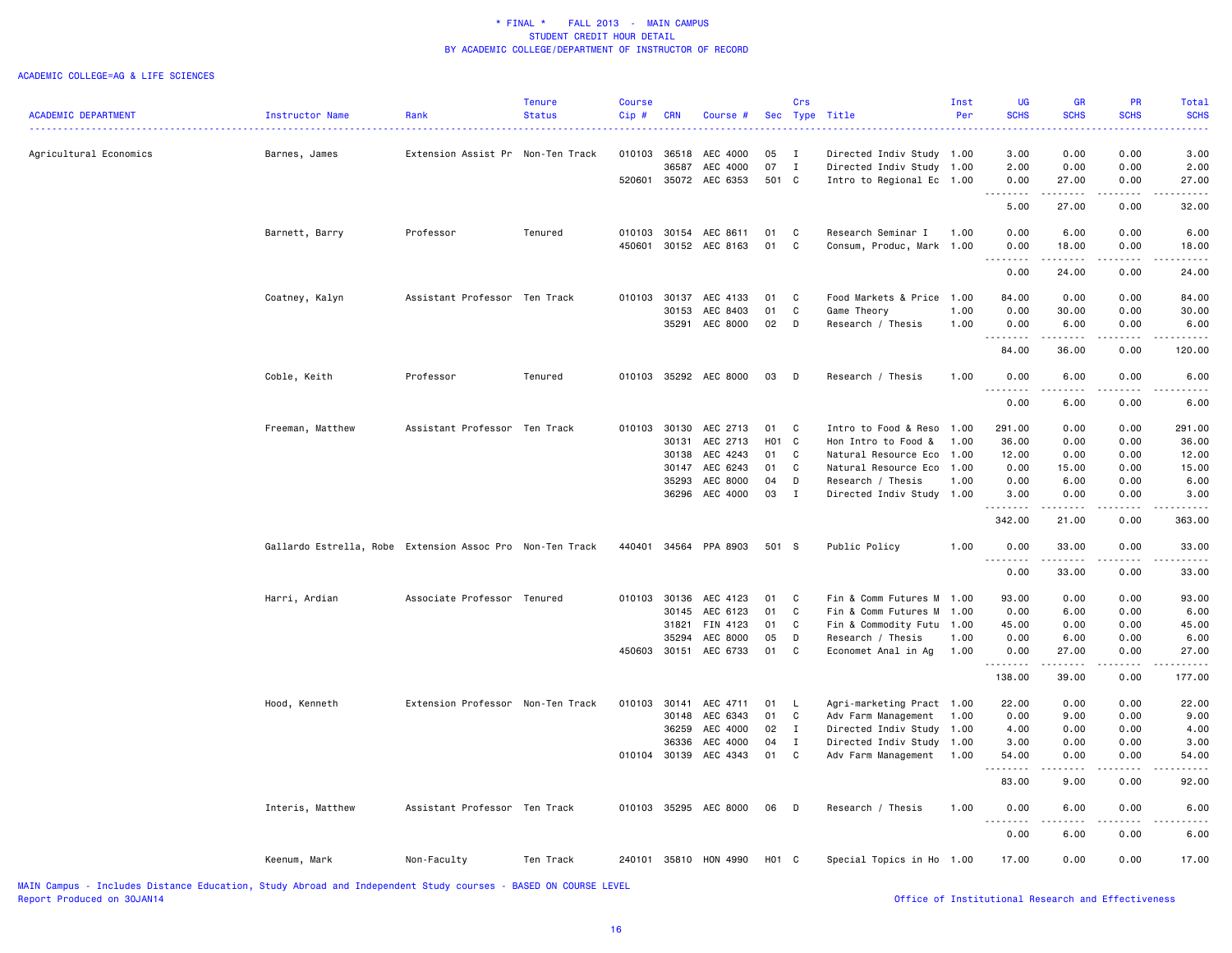#### ACADEMIC COLLEGE=AG & LIFE SCIENCES

|                            |                                                           |                                   | Tenure        | Course       |            |                       |                   | Crs          |                           | Inst | UG          | GR                                                                                                                                                   | PR                                                                                                                                                   | Total       |
|----------------------------|-----------------------------------------------------------|-----------------------------------|---------------|--------------|------------|-----------------------|-------------------|--------------|---------------------------|------|-------------|------------------------------------------------------------------------------------------------------------------------------------------------------|------------------------------------------------------------------------------------------------------------------------------------------------------|-------------|
| <b>ACADEMIC DEPARTMENT</b> | Instructor Name                                           | Rank                              | <b>Status</b> | $Cip$ #      | <b>CRN</b> | Course #              |                   | Sec Type     | Title                     | Per  | <b>SCHS</b> | <b>SCHS</b>                                                                                                                                          | <b>SCHS</b>                                                                                                                                          | <b>SCHS</b> |
|                            |                                                           |                                   |               |              |            |                       |                   |              |                           |      | .           | $\frac{1}{2} \left( \frac{1}{2} \right) \left( \frac{1}{2} \right) \left( \frac{1}{2} \right) \left( \frac{1}{2} \right)$                            |                                                                                                                                                      |             |
| Agricultural Economics     | Barnes, James                                             | Extension Assist Pr Non-Ten Track |               |              |            | 010103 36518 AEC 4000 | 05                | $\mathbf{I}$ | Directed Indiv Study 1.00 |      | 3.00        | 0.00                                                                                                                                                 | 0.00                                                                                                                                                 | 3.00        |
|                            |                                                           |                                   |               |              | 36587      | AEC 4000              | 07                | $\mathbf{I}$ | Directed Indiv Study      | 1.00 | 2.00        | 0.00                                                                                                                                                 | 0.00                                                                                                                                                 | 2.00        |
|                            |                                                           |                                   |               | 520601       |            | 35072 AEC 6353        | 501 C             |              | Intro to Regional Ec 1.00 |      | 0.00        | 27.00                                                                                                                                                | 0.00                                                                                                                                                 | 27.00       |
|                            |                                                           |                                   |               |              |            |                       |                   |              |                           |      | .<br>5.00   | 27.00                                                                                                                                                | 0.00                                                                                                                                                 | 32.00       |
|                            |                                                           |                                   |               |              |            |                       |                   |              |                           |      |             |                                                                                                                                                      |                                                                                                                                                      |             |
|                            | Barnett, Barry                                            | Professor                         | Tenured       | 010103       |            | 30154 AEC 8611        | 01                | $\mathbf{C}$ | Research Seminar I        | 1.00 | 0.00        | 6.00                                                                                                                                                 | 0.00                                                                                                                                                 | 6.00        |
|                            |                                                           |                                   |               | 450601       |            | 30152 AEC 8163        | 01                | $\mathbf{C}$ | Consum, Produc, Mark 1.00 |      | 0.00<br>.   | 18.00<br>$- - - - -$                                                                                                                                 | 0.00                                                                                                                                                 | 18.00       |
|                            |                                                           |                                   |               |              |            |                       |                   |              |                           |      | 0.00        | 24.00                                                                                                                                                | 0.00                                                                                                                                                 | 24.00       |
|                            |                                                           |                                   |               |              |            |                       |                   |              |                           |      |             |                                                                                                                                                      |                                                                                                                                                      |             |
|                            | Coatney, Kalyn                                            | Assistant Professor Ten Track     |               | 010103       |            | 30137 AEC 4133        | 01                | C            | Food Markets & Price      | 1.00 | 84.00       | 0.00                                                                                                                                                 | 0.00                                                                                                                                                 | 84.00       |
|                            |                                                           |                                   |               |              | 30153      | AEC 8403              | 01                | C            | Game Theory               | 1.00 | 0.00        | 30.00                                                                                                                                                | 0.00                                                                                                                                                 | 30.00       |
|                            |                                                           |                                   |               |              | 35291      | AEC 8000              | 02                | $\mathsf{D}$ | Research / Thesis         | 1.00 | 0.00        | 6.00                                                                                                                                                 | 0.00                                                                                                                                                 | 6.00        |
|                            |                                                           |                                   |               |              |            |                       |                   |              |                           |      | .           | .                                                                                                                                                    | $\frac{1}{2} \left( \frac{1}{2} \right) \left( \frac{1}{2} \right) \left( \frac{1}{2} \right) \left( \frac{1}{2} \right) \left( \frac{1}{2} \right)$ | <u>.</u>    |
|                            |                                                           |                                   |               |              |            |                       |                   |              |                           |      | 84.00       | 36.00                                                                                                                                                | 0.00                                                                                                                                                 | 120.00      |
|                            | Coble, Keith                                              | Professor                         | Tenured       |              |            | 010103 35292 AEC 8000 | 03                | $\Box$       | Research / Thesis         | 1.00 | 0.00        | 6.00                                                                                                                                                 | 0.00                                                                                                                                                 | 6.00        |
|                            |                                                           |                                   |               |              |            |                       |                   |              |                           |      | .           | الأمالات الما                                                                                                                                        | $- - - - -$                                                                                                                                          |             |
|                            |                                                           |                                   |               |              |            |                       |                   |              |                           |      | 0.00        | 6.00                                                                                                                                                 | 0.00                                                                                                                                                 | 6.00        |
|                            |                                                           |                                   |               |              |            |                       |                   |              |                           |      |             |                                                                                                                                                      |                                                                                                                                                      |             |
|                            | Freeman, Matthew                                          | Assistant Professor Ten Track     |               |              |            | 010103 30130 AEC 2713 | 01                | $\mathbf{C}$ | Intro to Food & Reso      | 1.00 | 291.00      | 0.00                                                                                                                                                 | 0.00                                                                                                                                                 | 291.00      |
|                            |                                                           |                                   |               |              | 30131      | AEC 2713              | H01 C             |              | Hon Intro to Food &       | 1.00 | 36.00       | 0.00                                                                                                                                                 | 0.00                                                                                                                                                 | 36.00       |
|                            |                                                           |                                   |               |              | 30138      | AEC 4243              | 01                | C            | Natural Resource Eco 1.00 |      | 12.00       | 0.00                                                                                                                                                 | 0.00                                                                                                                                                 | 12.00       |
|                            |                                                           |                                   |               |              |            | 30147 AEC 6243        | 01                | C            | Natural Resource Eco      | 1.00 | 0.00        | 15.00                                                                                                                                                | 0.00                                                                                                                                                 | 15.00       |
|                            |                                                           |                                   |               |              | 35293      | AEC 8000              | 04                | D            | Research / Thesis         | 1.00 | 0.00        | 6.00                                                                                                                                                 | 0.00                                                                                                                                                 | 6.00        |
|                            |                                                           |                                   |               |              |            | 36296 AEC 4000        | 03                | I            | Directed Indiv Study      | 1.00 | 3.00        | 0.00                                                                                                                                                 | 0.00                                                                                                                                                 | 3.00        |
|                            |                                                           |                                   |               |              |            |                       |                   |              |                           |      | .<br>342.00 | 21.00                                                                                                                                                | 0.00                                                                                                                                                 | 363.00      |
|                            |                                                           |                                   |               |              |            |                       |                   |              |                           |      |             |                                                                                                                                                      |                                                                                                                                                      |             |
|                            | Gallardo Estrella, Robe Extension Assoc Pro Non-Ten Track |                                   |               | 440401       |            | 34564 PPA 8903        | 501 S             |              | Public Policy             | 1.00 | 0.00<br>.   | 33.00<br>.                                                                                                                                           | 0.00<br>.                                                                                                                                            | 33.00       |
|                            |                                                           |                                   |               |              |            |                       |                   |              |                           |      | 0.00        | 33.00                                                                                                                                                | 0.00                                                                                                                                                 | 33.00       |
|                            |                                                           |                                   |               |              |            |                       |                   |              |                           |      |             |                                                                                                                                                      |                                                                                                                                                      |             |
|                            | Harri, Ardian                                             | Associate Professor Tenured       |               | 010103       | 30136      | AEC 4123              | 01                | C            | Fin & Comm Futures M      | 1.00 | 93.00       | 0.00                                                                                                                                                 | 0.00                                                                                                                                                 | 93.00       |
|                            |                                                           |                                   |               |              | 30145      | AEC 6123              | 01                | C            | Fin & Comm Futures M      | 1.00 | 0.00        | 6.00                                                                                                                                                 | 0.00                                                                                                                                                 | 6.00        |
|                            |                                                           |                                   |               |              | 31821      | FIN 4123              | 01                | C            | Fin & Commodity Futu      | 1.00 | 45.00       | 0.00                                                                                                                                                 | 0.00                                                                                                                                                 | 45.00       |
|                            |                                                           |                                   |               |              | 35294      | AEC 8000              | 05                | D            | Research / Thesis         | 1.00 | 0.00        | 6.00                                                                                                                                                 | 0.00                                                                                                                                                 | 6.00        |
|                            |                                                           |                                   |               | 450603 30151 |            | AEC 6733              | 01                | C            | Economet Anal in Ag       | 1.00 | 0.00        | 27.00                                                                                                                                                | 0.00                                                                                                                                                 | 27.00       |
|                            |                                                           |                                   |               |              |            |                       |                   |              |                           |      | .           | $\frac{1}{2} \left( \frac{1}{2} \right) \left( \frac{1}{2} \right) \left( \frac{1}{2} \right) \left( \frac{1}{2} \right) \left( \frac{1}{2} \right)$ | $\frac{1}{2}$                                                                                                                                        |             |
|                            |                                                           |                                   |               |              |            |                       |                   |              |                           |      | 138.00      | 39.00                                                                                                                                                | 0.00                                                                                                                                                 | 177.00      |
|                            | Hood, Kenneth                                             | Extension Professor Non-Ten Track |               | 010103       |            | 30141 AEC 4711        | 01                | $\mathsf{L}$ | Agri-marketing Pract 1.00 |      | 22.00       | 0.00                                                                                                                                                 | 0.00                                                                                                                                                 | 22.00       |
|                            |                                                           |                                   |               |              |            | 30148 AEC 6343        | 01                | $\mathbf{C}$ | Adv Farm Management       | 1.00 | 0.00        | 9.00                                                                                                                                                 | 0.00                                                                                                                                                 | 9.00        |
|                            |                                                           |                                   |               |              | 36259      | AEC 4000              | 02                | $\mathbf{I}$ | Directed Indiv Study 1.00 |      | 4.00        | 0.00                                                                                                                                                 | 0.00                                                                                                                                                 | 4.00        |
|                            |                                                           |                                   |               |              |            | 36336 AEC 4000        | 04                | $\mathbf I$  | Directed Indiv Study 1.00 |      | 3.00        | 0.00                                                                                                                                                 | 0.00                                                                                                                                                 | 3.00        |
|                            |                                                           |                                   |               |              |            |                       |                   |              |                           |      |             | 0.00                                                                                                                                                 |                                                                                                                                                      |             |
|                            |                                                           |                                   |               |              |            | 010104 30139 AEC 4343 | 01                | $\mathbf{C}$ | Adv Farm Management       | 1.00 | 54.00<br>.  | $\omega$ is a $\omega$                                                                                                                               | 0.00<br>.                                                                                                                                            | 54.00<br>.  |
|                            |                                                           |                                   |               |              |            |                       |                   |              |                           |      | 83.00       | 9.00                                                                                                                                                 | 0.00                                                                                                                                                 | 92.00       |
|                            | Interis, Matthew                                          | Assistant Professor Ten Track     |               |              |            | 010103 35295 AEC 8000 | 06                | D            | Research / Thesis         | 1.00 | 0.00        | 6.00                                                                                                                                                 | 0.00                                                                                                                                                 | 6.00        |
|                            |                                                           |                                   |               |              |            |                       |                   |              |                           |      | .           | .                                                                                                                                                    |                                                                                                                                                      |             |
|                            |                                                           |                                   |               |              |            |                       |                   |              |                           |      | 0.00        | 6.00                                                                                                                                                 | 0.00                                                                                                                                                 | 6.00        |
|                            | Keenum, Mark                                              | Non-Faculty                       | Ten Track     |              |            | 240101 35810 HON 4990 | H <sub>01</sub> C |              | Special Topics in Ho 1.00 |      | 17.00       | 0.00                                                                                                                                                 | 0.00                                                                                                                                                 | 17.00       |
|                            |                                                           |                                   |               |              |            |                       |                   |              |                           |      |             |                                                                                                                                                      |                                                                                                                                                      |             |
|                            |                                                           |                                   |               |              |            |                       |                   |              |                           |      |             |                                                                                                                                                      |                                                                                                                                                      |             |

MAIN Campus - Includes Distance Education, Study Abroad and Independent Study courses - BASED ON COURSE LEVEL Report Produced on 30JAN14 **Office of Institutional Research and Effectiveness Office** of Institutional Research and Effectiveness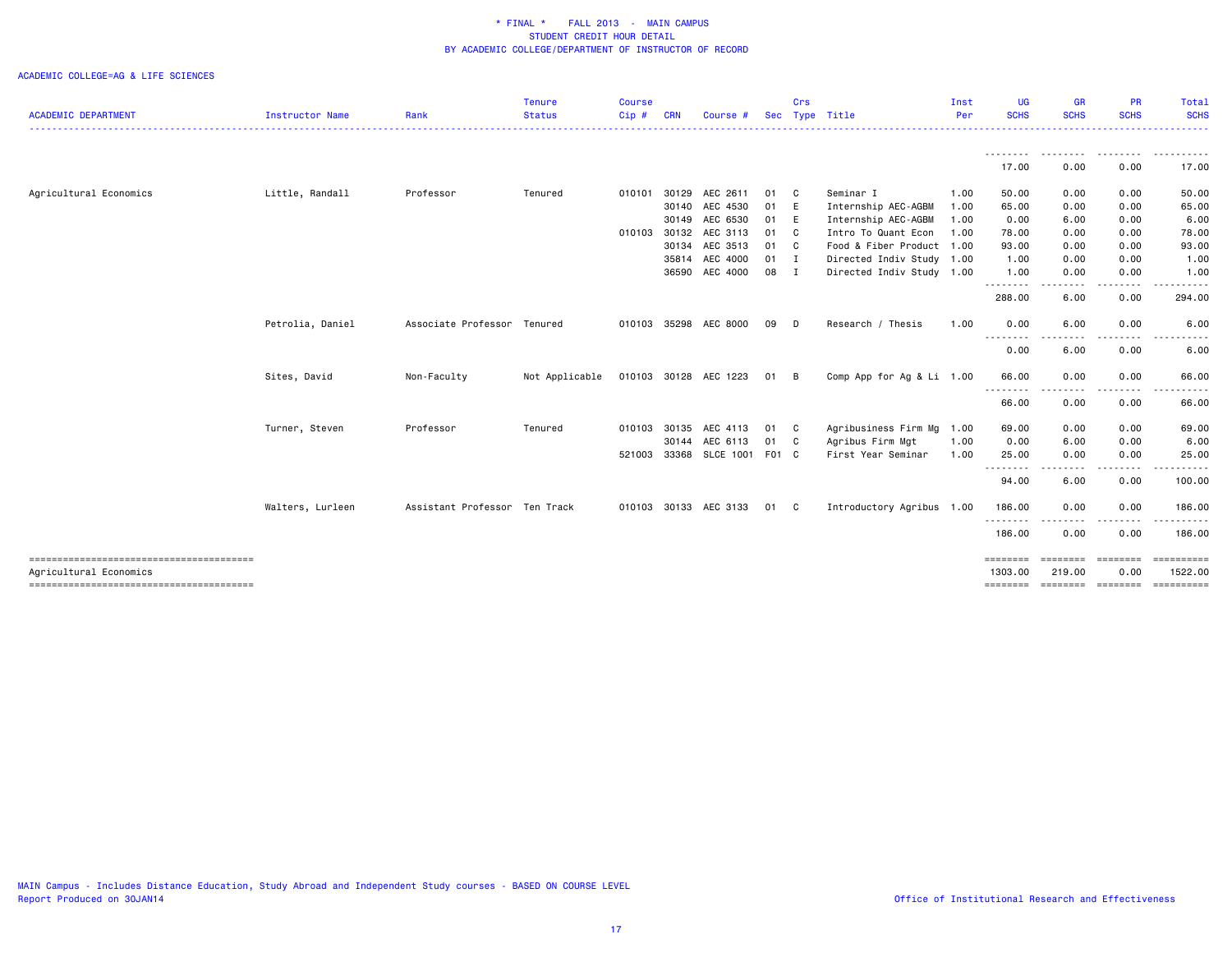|                            |                  |                               | <b>Tenure</b>  | <b>Course</b> |            |                       |      | Crs          |                           | Inst | UG                  | <b>GR</b>                    | <b>PR</b>        | Total                 |
|----------------------------|------------------|-------------------------------|----------------|---------------|------------|-----------------------|------|--------------|---------------------------|------|---------------------|------------------------------|------------------|-----------------------|
| <b>ACADEMIC DEPARTMENT</b> | Instructor Name  | Rank                          | <b>Status</b>  | Cip#          | <b>CRN</b> | Course #              | Sec  |              | Type Title                | Per  | <b>SCHS</b>         | <b>SCHS</b>                  | <b>SCHS</b>      | <b>SCHS</b>           |
|                            |                  |                               |                |               |            |                       |      |              |                           |      | --------<br>17.00   | --------<br>0.00             | .<br>0.00        | ----------<br>17.00   |
| Agricultural Economics     | Little, Randall  | Professor                     | Tenured        | 010101        | 30129      | AEC 2611              | 01   | $\mathbf{C}$ | Seminar I                 | 1.00 | 50.00               | 0.00                         | 0.00             | 50.00                 |
|                            |                  |                               |                |               |            | 30140 AEC 4530        | 01 E |              | Internship AEC-AGBM       | 1.00 | 65.00               | 0.00                         | 0.00             | 65.00                 |
|                            |                  |                               |                |               |            | 30149 AEC 6530        | 01 E |              | Internship AEC-AGBM       | 1.00 | 0.00                | 6.00                         | 0.00             | 6.00                  |
|                            |                  |                               |                | 010103        |            | 30132 AEC 3113        | 01 C |              | Intro To Quant Econ       | 1.00 | 78.00               | 0.00                         | 0.00             | 78.00                 |
|                            |                  |                               |                |               |            | 30134 AEC 3513        | 01 C |              | Food & Fiber Product      | 1.00 | 93.00               | 0.00                         | 0.00             | 93.00                 |
|                            |                  |                               |                |               |            | 35814 AEC 4000        | 01 I |              | Directed Indiv Study 1.00 |      | 1.00                | 0.00                         | 0.00             | 1.00                  |
|                            |                  |                               |                |               |            | 36590 AEC 4000        | 08 I |              | Directed Indiv Study 1.00 |      | 1.00                | 0.00                         | 0.00             | 1.00                  |
|                            |                  |                               |                |               |            |                       |      |              |                           |      | <u>.</u><br>288.00  | $\frac{1}{2}$<br>6.00        | 0.00             | 294.00                |
|                            | Petrolia, Daniel | Associate Professor Tenured   |                |               |            | 010103 35298 AEC 8000 | 09 D |              | Research / Thesis         | 1.00 | 0.00                | 6.00                         | 0.00             | 6.00                  |
|                            |                  |                               |                |               |            |                       |      |              |                           |      | --------<br>0.00    | $\frac{1}{2}$<br>6.00        | 0.00             | 6.00                  |
|                            | Sites, David     | Non-Faculty                   | Not Applicable |               |            | 010103 30128 AEC 1223 | 01 B |              | Comp App for Ag & Li 1.00 |      | 66.00               | 0.00                         | 0.00             | 66.00                 |
|                            |                  |                               |                |               |            |                       |      |              |                           |      | --------<br>66.00   | .<br>0.00                    | 0.00             | 66.00                 |
|                            | Turner, Steven   | Professor                     | Tenured        | 010103        | 30135      | AEC 4113              | 01 C |              | Agribusiness Firm Mg      | 1.00 | 69.00               | 0.00                         | 0.00             | 69.00                 |
|                            |                  |                               |                |               |            | 30144 AEC 6113        | 01 C |              | Agribus Firm Mgt          | 1.00 | 0.00                | 6.00                         | 0.00             | 6.00                  |
|                            |                  |                               |                | 521003        |            | 33368 SLCE 1001 F01 C |      |              | First Year Seminar        | 1.00 | 25.00               | 0.00<br>----                 | 0.00             | 25.00                 |
|                            |                  |                               |                |               |            |                       |      |              |                           |      | 94.00               | 6.00                         | -----<br>0.00    | 100.00                |
|                            | Walters, Lurleen | Assistant Professor Ten Track |                |               |            | 010103 30133 AEC 3133 | 01 C |              | Introductory Agribus 1.00 |      | 186.00              | 0.00                         | 0.00             | 186.00                |
|                            |                  |                               |                |               |            |                       |      |              |                           |      | --------<br>186.00  | $\sim$ $\sim$ $\sim$<br>0.00 | 0.00             | 186.00                |
| Agricultural Economics     |                  |                               |                |               |            |                       |      |              |                           |      | ========<br>1303.00 | ========<br>219.00           | ========<br>0.00 | ==========<br>1522.00 |
|                            |                  |                               |                |               |            |                       |      |              |                           |      | ========            | ========                     | ========         | ==========            |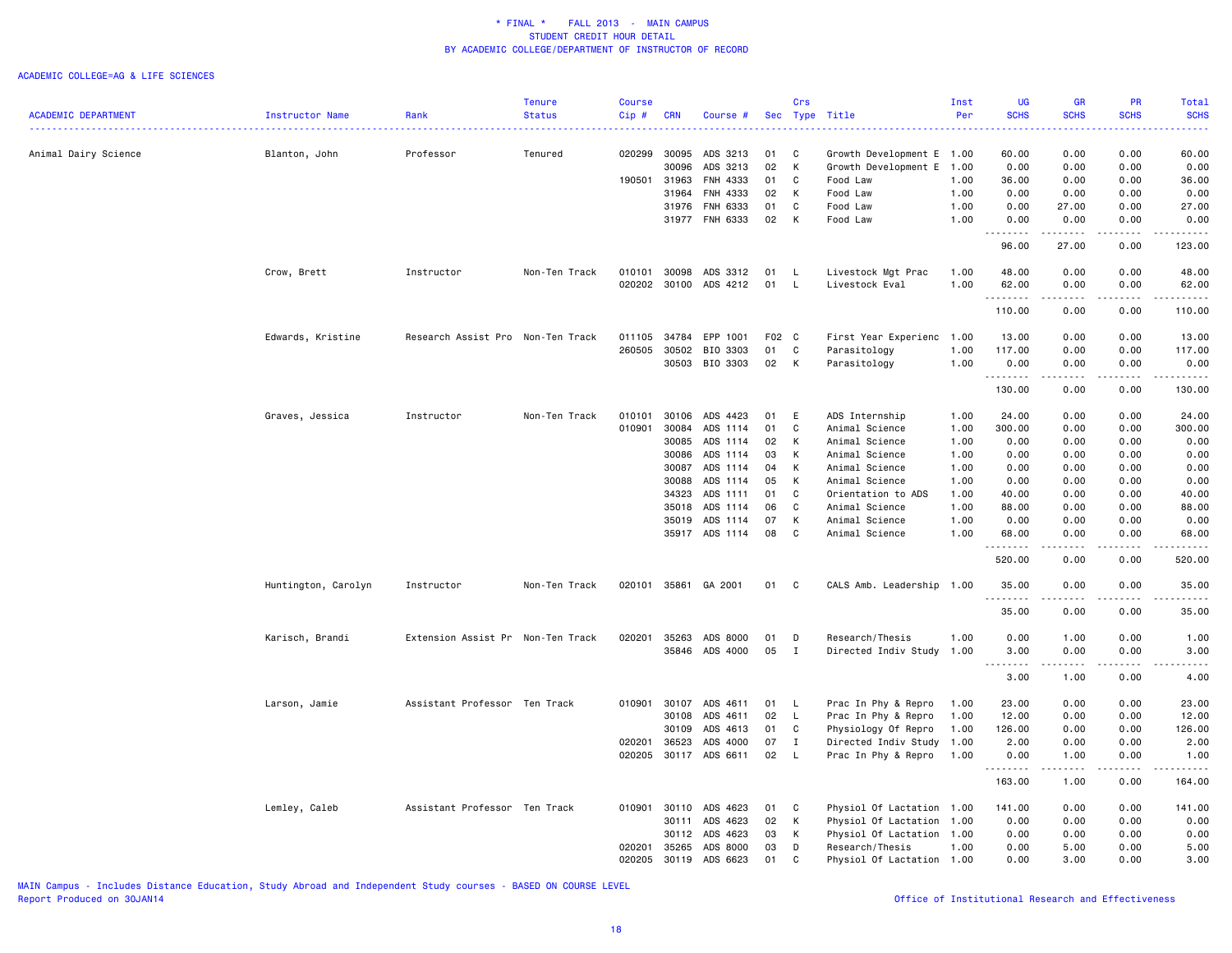#### ACADEMIC COLLEGE=AG & LIFE SCIENCES

|                            |                        |                                   | <b>Tenure</b> | <b>Course</b> |            |                |       | Crs          |                           | Inst | <b>UG</b>                          | <b>GR</b>       | <b>PR</b>     | Total       |
|----------------------------|------------------------|-----------------------------------|---------------|---------------|------------|----------------|-------|--------------|---------------------------|------|------------------------------------|-----------------|---------------|-------------|
| <b>ACADEMIC DEPARTMENT</b> | <b>Instructor Name</b> | Rank                              | <b>Status</b> | Cip#          | <b>CRN</b> | Course #       | Sec   |              | Type Title                | Per  | <b>SCHS</b>                        | <b>SCHS</b>     | <b>SCHS</b>   | <b>SCHS</b> |
| Animal Dairy Science       | Blanton, John          | Professor                         | Tenured       | 020299        | 30095      | ADS 3213       | 01    | C            | Growth Development E 1.00 |      | 60.00                              | 0.00            | 0.00          | 60.00       |
|                            |                        |                                   |               |               | 30096      | ADS 3213       | 02    | K            | Growth Development E      | 1.00 | 0.00                               | 0.00            | 0.00          | 0.00        |
|                            |                        |                                   |               | 190501        | 31963      | FNH 4333       | 01    | C            | Food Law                  | 1.00 | 36.00                              | 0.00            | 0.00          | 36.00       |
|                            |                        |                                   |               |               | 31964      | FNH 4333       | 02    | K            | Food Law                  | 1.00 | 0.00                               | 0.00            | 0.00          | 0.00        |
|                            |                        |                                   |               |               | 31976      | FNH 6333       | 01    | C            | Food Law                  | 1.00 | 0.00                               | 27.00           | 0.00          | 27.00       |
|                            |                        |                                   |               |               | 31977      | FNH 6333       | 02    | K            | Food Law                  | 1.00 | 0.00                               | 0.00            | 0.00          | 0.00        |
|                            |                        |                                   |               |               |            |                |       |              |                           |      | .                                  |                 |               | .           |
|                            |                        |                                   |               |               |            |                |       |              |                           |      | 96.00                              | 27.00           | 0.00          | 123.00      |
|                            | Crow, Brett            | Instructor                        | Non-Ten Track | 010101        | 30098      | ADS 3312       | 01    | L.           | Livestock Mgt Prac        | 1.00 | 48.00                              | 0.00            | 0.00          | 48.00       |
|                            |                        |                                   |               | 020202        |            | 30100 ADS 4212 | 01    | L.           | Livestock Eval            | 1.00 | 62.00                              | 0.00            | 0.00          | 62.00       |
|                            |                        |                                   |               |               |            |                |       |              |                           |      | .                                  | $\frac{1}{2}$   | $\frac{1}{2}$ | .           |
|                            |                        |                                   |               |               |            |                |       |              |                           |      | 110.00                             | 0.00            | 0.00          | 110.00      |
|                            | Edwards, Kristine      | Research Assist Pro Non-Ten Track |               | 011105        | 34784      | EPP 1001       | F02 C |              | First Year Experienc      | 1.00 | 13.00                              | 0.00            | 0.00          | 13.00       |
|                            |                        |                                   |               | 260505        | 30502      | BIO 3303       | 01    | $\mathbf C$  | Parasitology              | 1.00 | 117.00                             | 0.00            | 0.00          | 117.00      |
|                            |                        |                                   |               |               | 30503      | BIO 3303       | 02    | K            | Parasitology              | 1.00 | 0.00                               | 0.00            | 0.00          | 0.00        |
|                            |                        |                                   |               |               |            |                |       |              |                           |      | .                                  |                 |               | المتمامين   |
|                            |                        |                                   |               |               |            |                |       |              |                           |      | 130.00                             | 0.00            | 0.00          | 130.00      |
|                            | Graves, Jessica        | Instructor                        | Non-Ten Track | 010101        | 30106      | ADS 4423       | 01    | E            | ADS Internship            | 1.00 | 24.00                              | 0.00            | 0.00          | 24.00       |
|                            |                        |                                   |               | 010901        | 30084      | ADS 1114       | 01    | C            | Animal Science            | 1.00 | 300.00                             | 0.00            | 0.00          | 300.00      |
|                            |                        |                                   |               |               | 30085      | ADS 1114       | 02    | К            | Animal Science            | 1.00 | 0.00                               | 0.00            | 0.00          | 0.00        |
|                            |                        |                                   |               |               | 30086      | ADS 1114       | 03    | К            | Animal Science            | 1.00 | 0.00                               | 0.00            | 0.00          | 0.00        |
|                            |                        |                                   |               |               | 30087      | ADS 1114       | 04    | К            | Animal Science            | 1.00 | 0.00                               | 0.00            | 0.00          | 0.00        |
|                            |                        |                                   |               |               | 30088      | ADS 1114       | 05    | К            | Animal Science            | 1.00 | 0.00                               | 0.00            | 0.00          | 0.00        |
|                            |                        |                                   |               |               | 34323      | ADS 1111       | 01    | C            | Orientation to ADS        | 1.00 | 40.00                              | 0.00            | 0.00          | 40.00       |
|                            |                        |                                   |               |               | 35018      | ADS 1114       | 06    | C            | Animal Science            | 1.00 | 88.00                              | 0.00            | 0.00          | 88.00       |
|                            |                        |                                   |               |               | 35019      | ADS 1114       | 07    | К            | Animal Science            | 1.00 | 0.00                               | 0.00            | 0.00          | 0.00        |
|                            |                        |                                   |               |               |            | 35917 ADS 1114 | 08    | $\mathbf{C}$ | Animal Science            | 1.00 | 68.00                              | 0.00            | 0.00          | 68.00       |
|                            |                        |                                   |               |               |            |                |       |              |                           |      | 520.00                             | 0.00            | 0.00          | 520.00      |
|                            |                        |                                   |               |               |            |                |       |              |                           |      |                                    |                 |               |             |
|                            | Huntington, Carolyn    | Instructor                        | Non-Ten Track | 020101        |            | 35861 GA 2001  | 01    | $\mathbf{C}$ | CALS Amb. Leadership 1.00 |      | 35.00<br>.                         | 0.00<br>.       | 0.00<br>.     | 35.00<br>.  |
|                            |                        |                                   |               |               |            |                |       |              |                           |      | 35.00                              | 0.00            | 0.00          | 35.00       |
|                            | Karisch, Brandi        | Extension Assist Pr Non-Ten Track |               | 020201        | 35263      | ADS 8000       | 01    | D            | Research/Thesis           | 1.00 | 0.00                               | 1.00            | 0.00          | 1.00        |
|                            |                        |                                   |               |               | 35846      | ADS 4000       | 05    | $\mathbf I$  | Directed Indiv Study      | 1.00 | 3.00                               | 0.00            | 0.00          | 3.00        |
|                            |                        |                                   |               |               |            |                |       |              |                           |      | د د د د<br>$\sim$ $\sim$ .<br>3.00 | د د د د<br>1.00 | $  -$<br>0.00 | .<br>4.00   |
|                            | Larson, Jamie          | Assistant Professor Ten Track     |               | 010901        | 30107      | ADS 4611       | 01    | L.           | Prac In Phy & Repro       | 1.00 | 23.00                              | 0.00            | 0.00          | 23.00       |
|                            |                        |                                   |               |               | 30108      | ADS 4611       | 02    | L.           | Prac In Phy & Repro       | 1.00 | 12.00                              | 0.00            | 0.00          | 12.00       |
|                            |                        |                                   |               |               | 30109      | ADS 4613       | 01    | C            | Physiology Of Repro       | 1.00 | 126.00                             | 0.00            | 0.00          | 126.00      |
|                            |                        |                                   |               | 020201        | 36523      | ADS 4000       | 07    | $\mathbf{I}$ | Directed Indiv Study      | 1.00 | 2.00                               | 0.00            | 0.00          | 2.00        |
|                            |                        |                                   |               | 020205        | 30117      | ADS 6611       | 02    | L.           | Prac In Phy & Repro       | 1.00 | 0.00                               | 1.00            | 0.00          | 1.00        |
|                            |                        |                                   |               |               |            |                |       |              |                           |      | .                                  |                 |               |             |
|                            |                        |                                   |               |               |            |                |       |              |                           |      | 163.00                             | 1.00            | 0.00          | 164.00      |
|                            | Lemley, Caleb          | Assistant Professor Ten Track     |               | 010901        | 30110      | ADS 4623       | 01    | $\mathbf{C}$ | Physiol Of Lactation 1.00 |      | 141.00                             | 0.00            | 0.00          | 141.00      |
|                            |                        |                                   |               |               | 30111      | ADS 4623       | 02    | К            | Physiol Of Lactation 1.00 |      | 0.00                               | 0.00            | 0.00          | 0.00        |
|                            |                        |                                   |               |               | 30112      | ADS 4623       | 03    | К            | Physiol Of Lactation 1.00 |      | 0.00                               | 0.00            | 0.00          | 0.00        |
|                            |                        |                                   |               | 020201        | 35265      | ADS 8000       | 03    | D            | Research/Thesis           | 1.00 | 0.00                               | 5.00            | 0.00          | 5.00        |
|                            |                        |                                   |               | 020205        | 30119      | ADS 6623       | 01    | $\mathbb{C}$ | Physiol Of Lactation 1.00 |      | 0.00                               | 3.00            | 0.00          | 3.00        |

MAIN Campus - Includes Distance Education, Study Abroad and Independent Study courses - BASED ON COURSE LEVEL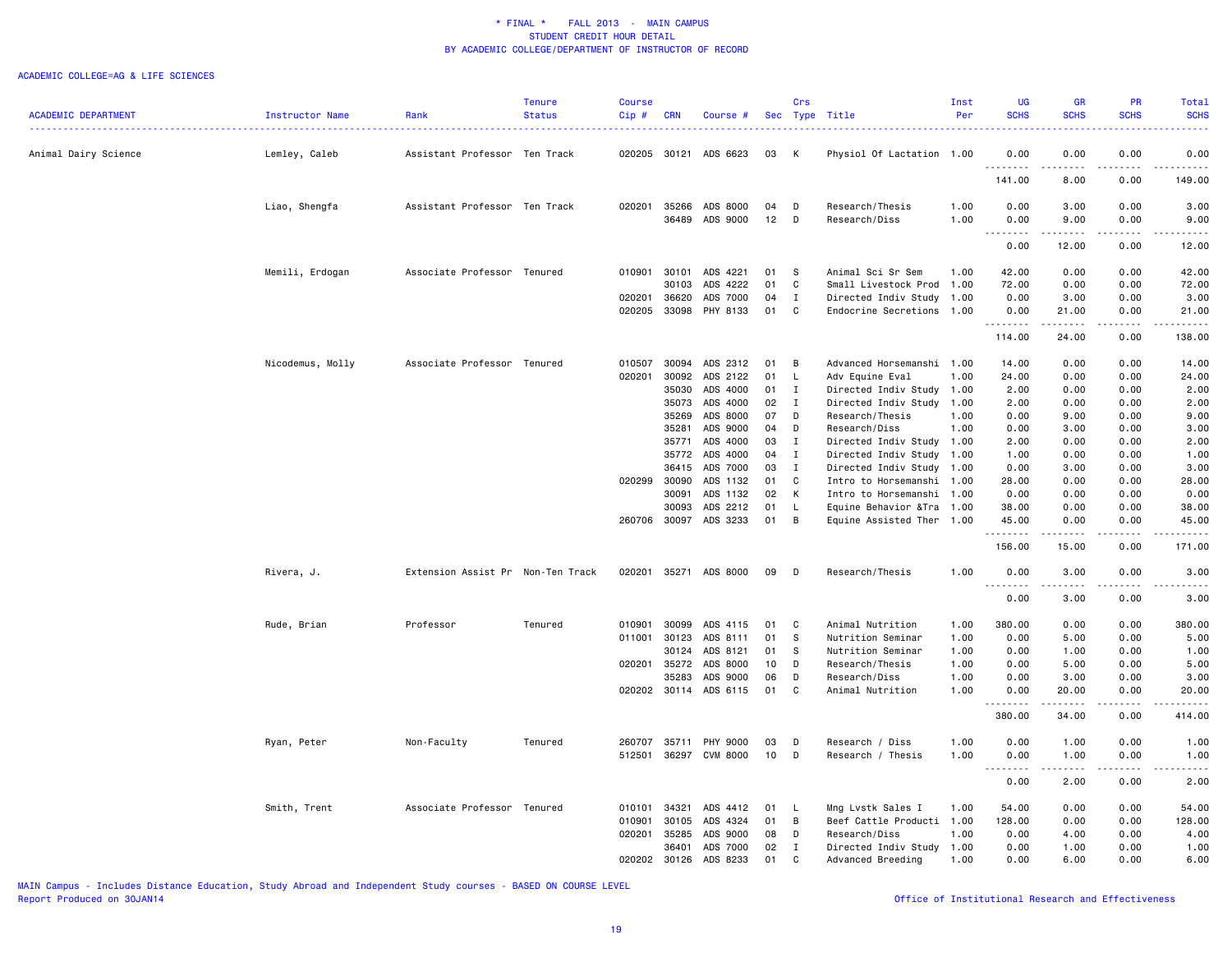#### ACADEMIC COLLEGE=AG & LIFE SCIENCES

|                            |                        |                                   | <b>Tenure</b> | <b>Course</b> |            |                       |            | Crs          |                            | Inst | <b>UG</b>                         | <b>GR</b>                                                                                                                                                     | PR          | Total                          |
|----------------------------|------------------------|-----------------------------------|---------------|---------------|------------|-----------------------|------------|--------------|----------------------------|------|-----------------------------------|---------------------------------------------------------------------------------------------------------------------------------------------------------------|-------------|--------------------------------|
| <b>ACADEMIC DEPARTMENT</b> | <b>Instructor Name</b> | Rank                              | <b>Status</b> | Cip#          | <b>CRN</b> | Course #              | <b>Sec</b> | Type         | Title                      | Per  | <b>SCHS</b>                       | <b>SCHS</b>                                                                                                                                                   | <b>SCHS</b> | <b>SCHS</b>                    |
| Animal Dairy Science       | Lemley, Caleb          | Assistant Professor Ten Track     |               | 020205 30121  |            | ADS 6623              | 03         | К            | Physiol Of Lactation 1.00  |      | 0.00                              | 0.00                                                                                                                                                          | 0.00        | 0.00                           |
|                            |                        |                                   |               |               |            |                       |            |              |                            |      | .<br>141.00                       | .<br>8.00                                                                                                                                                     | .<br>0.00   | .<br>149.00                    |
|                            | Liao, Shengfa          | Assistant Professor Ten Track     |               | 020201        | 35266      | ADS 8000              | 04         | D            | Research/Thesis            | 1.00 | 0.00                              | 3.00                                                                                                                                                          | 0.00        | 3.00                           |
|                            |                        |                                   |               |               | 36489      | ADS 9000              | 12         | D            | Research/Diss              | 1.00 | 0.00                              | 9.00                                                                                                                                                          | 0.00        | 9.00                           |
|                            |                        |                                   |               |               |            |                       |            |              |                            |      | 0.00                              | 12.00                                                                                                                                                         | 0.00        | 12.00                          |
|                            | Memili, Erdogan        | Associate Professor Tenured       |               | 010901        | 30101      | ADS 4221              | 01         | S            | Animal Sci Sr Sem          | 1.00 | 42.00                             | 0.00                                                                                                                                                          | 0.00        | 42.00                          |
|                            |                        |                                   |               |               | 30103      | ADS 4222              | 01         | C            | Small Livestock Prod       | 1.00 | 72.00                             | 0.00                                                                                                                                                          | 0.00        | 72.00                          |
|                            |                        |                                   |               | 020201        | 36620      | ADS 7000              | 04         | $\mathbf I$  | Directed Indiv Study       | 1.00 | 0.00                              | 3.00                                                                                                                                                          | 0.00        | 3.00                           |
|                            |                        |                                   |               | 020205        | 33098      | PHY 8133              | 01         | C            | Endocrine Secretions 1.00  |      | 0.00                              | 21.00                                                                                                                                                         | 0.00        | 21.00                          |
|                            |                        |                                   |               |               |            |                       |            |              |                            |      | .<br>114.00                       | .<br>24.00                                                                                                                                                    | .<br>0.00   | .<br>138.00                    |
|                            | Nicodemus, Molly       | Associate Professor Tenured       |               | 010507        | 30094      | ADS 2312              | 01         | B            | Advanced Horsemanshi 1.00  |      | 14.00                             | 0.00                                                                                                                                                          | 0.00        | 14.00                          |
|                            |                        |                                   |               | 020201        | 30092      | ADS 2122              | 01         | $\mathsf{L}$ | Adv Equine Eval            | 1.00 | 24.00                             | 0.00                                                                                                                                                          | 0.00        | 24.00                          |
|                            |                        |                                   |               |               | 35030      | ADS 4000              | 01         | Ι.           | Directed Indiv Study       | 1.00 | 2.00                              | 0.00                                                                                                                                                          | 0.00        | 2.00                           |
|                            |                        |                                   |               |               | 35073      | ADS 4000              | 02         | $\mathbf{I}$ | Directed Indiv Study       | 1.00 | 2.00                              | 0.00                                                                                                                                                          | 0.00        | 2.00                           |
|                            |                        |                                   |               |               | 35269      | ADS 8000              | 07         | D            | Research/Thesis            | 1.00 | 0.00                              | 9.00                                                                                                                                                          | 0.00        | 9.00                           |
|                            |                        |                                   |               |               | 35281      | ADS 9000              | 04         | D            | Research/Diss              | 1.00 | 0.00                              | 3.00                                                                                                                                                          | 0.00        | 3.00                           |
|                            |                        |                                   |               |               | 35771      | ADS 4000              | 03         | Ι.           | Directed Indiv Study       | 1.00 | 2.00                              | 0.00                                                                                                                                                          | 0.00        | 2.00                           |
|                            |                        |                                   |               |               | 35772      | ADS 4000              | 04         | I            | Directed Indiv Study 1.00  |      | 1.00                              | 0.00                                                                                                                                                          | 0.00        | 1.00                           |
|                            |                        |                                   |               |               | 36415      | ADS 7000              | 03         | $\mathbf{I}$ | Directed Indiv Study       | 1.00 | 0.00                              | 3.00                                                                                                                                                          | 0.00        | 3.00                           |
|                            |                        |                                   |               | 020299        | 30090      | ADS 1132              | 01         | C            | Intro to Horsemanshi 1.00  |      | 28.00                             | 0.00                                                                                                                                                          | 0.00        | 28.00                          |
|                            |                        |                                   |               |               | 30091      | ADS 1132              | 02         | K            | Intro to Horsemanshi 1.00  |      | 0.00                              | 0.00                                                                                                                                                          | 0.00        | 0.00                           |
|                            |                        |                                   |               |               | 30093      | ADS 2212              | 01         | $\mathsf{L}$ | Equine Behavior & Tra 1.00 |      | 38.00                             | 0.00                                                                                                                                                          | 0.00        | 38.00                          |
|                            |                        |                                   |               | 260706        | 30097      | ADS 3233              | 01         | B            | Equine Assisted Ther 1.00  |      | 45.00                             | 0.00                                                                                                                                                          | 0.00        | 45.00                          |
|                            |                        |                                   |               |               |            |                       |            |              |                            |      | <u>.</u><br>156.00                | 15.00                                                                                                                                                         | .<br>0.00   | . <b>.</b><br>171.00           |
|                            |                        |                                   |               |               |            |                       |            |              |                            |      |                                   |                                                                                                                                                               |             |                                |
|                            | Rivera, J.             | Extension Assist Pr Non-Ten Track |               | 020201        |            | 35271 ADS 8000        | 09         | D            | Research/Thesis            | 1.00 | 0.00<br><u>.</u>                  | 3.00                                                                                                                                                          | 0.00        | 3.00                           |
|                            |                        |                                   |               |               |            |                       |            |              |                            |      | 0.00                              | 3.00                                                                                                                                                          | 0.00        | 3.00                           |
|                            | Rude, Brian            | Professor                         | Tenured       | 010901        | 30099      | ADS 4115              | 01         | C            | Animal Nutrition           | 1.00 | 380.00                            | 0.00                                                                                                                                                          | 0.00        | 380.00                         |
|                            |                        |                                   |               | 011001        | 30123      | ADS 8111              | 01         | S            | Nutrition Seminar          | 1.00 | 0.00                              | 5.00                                                                                                                                                          | 0.00        | 5.00                           |
|                            |                        |                                   |               |               | 30124      | ADS 8121              | 01         | s            | Nutrition Seminar          | 1.00 | 0.00                              | 1.00                                                                                                                                                          | 0.00        | 1.00                           |
|                            |                        |                                   |               | 020201        | 35272      | ADS 8000              | 10         | D            | Research/Thesis            | 1.00 | 0.00                              | 5.00                                                                                                                                                          | 0.00        | 5.00                           |
|                            |                        |                                   |               |               | 35283      | ADS 9000              | 06         | D            | Research/Diss              | 1.00 | 0.00                              | 3.00                                                                                                                                                          | 0.00        | 3.00                           |
|                            |                        |                                   |               |               |            | 020202 30114 ADS 6115 | 01         | C            | Animal Nutrition           | 1.00 | 0.00<br>.                         | 20.00<br>$\frac{1}{2} \left( \frac{1}{2} \right) \left( \frac{1}{2} \right) \left( \frac{1}{2} \right) \left( \frac{1}{2} \right) \left( \frac{1}{2} \right)$ | 0.00<br>.   | 20.00                          |
|                            |                        |                                   |               |               |            |                       |            |              |                            |      | 380.00                            | 34.00                                                                                                                                                         | 0.00        | 414.00                         |
|                            | Ryan, Peter            | Non-Faculty                       | Tenured       | 260707        | 35711      | <b>PHY 9000</b>       | 03         | D            | Research / Diss            | 1.00 | 0.00                              | 1.00                                                                                                                                                          | 0.00        | 1.00                           |
|                            |                        |                                   |               | 512501        | 36297      | <b>CVM 8000</b>       | 10         | D            | Research / Thesis          | 1.00 | 0.00                              | 1.00                                                                                                                                                          | 0.00        | 1.00                           |
|                            |                        |                                   |               |               |            |                       |            |              |                            |      | .<br>$\sim$ $\sim$ $\sim$<br>0.00 | الدامات بال<br>2.00                                                                                                                                           | .<br>0.00   | $\omega$ is a $\omega$<br>2.00 |
|                            |                        |                                   |               |               |            |                       |            |              |                            |      |                                   |                                                                                                                                                               |             |                                |
|                            | Smith, Trent           | Associate Professor Tenured       |               | 010101        | 34321      | ADS 4412              | 01         | <b>L</b>     | Mng Lvstk Sales I          | 1.00 | 54.00                             | 0.00                                                                                                                                                          | 0.00        | 54.00                          |
|                            |                        |                                   |               | 010901        | 30105      | ADS 4324              | 01         | В            | Beef Cattle Producti       | 1.00 | 128.00                            | 0.00                                                                                                                                                          | 0.00        | 128.00                         |
|                            |                        |                                   |               | 020201        | 35285      | ADS 9000<br>ADS 7000  | 08<br>02   | D            | Research/Diss              | 1.00 | 0.00                              | 4.00                                                                                                                                                          | 0.00        | 4.00                           |
|                            |                        |                                   |               |               | 36401      |                       |            | I            | Directed Indiv Study       | 1.00 | 0.00                              | 1.00                                                                                                                                                          | 0.00        | 1.00                           |
|                            |                        |                                   |               | 020202        | 30126      | ADS 8233              | 01         | C            | Advanced Breeding          | 1.00 | 0.00                              | 6.00                                                                                                                                                          | 0.00        | 6.00                           |

MAIN Campus - Includes Distance Education, Study Abroad and Independent Study courses - BASED ON COURSE LEVEL

## Office of Institutional Research and Effectiveness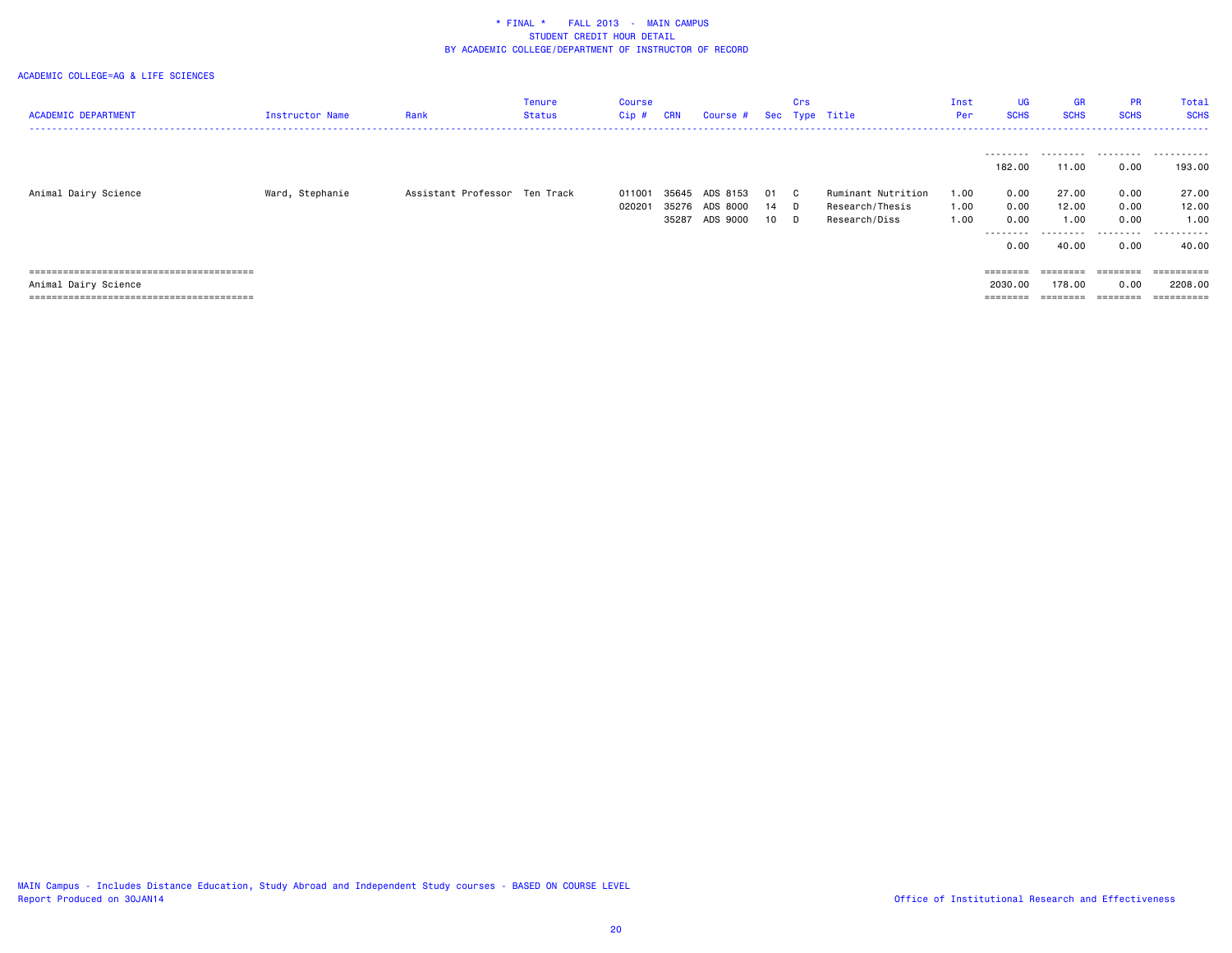| <b>ACADEMIC DEPARTMENT</b> | <b>Instructor Name</b> | Rank                          | Tenure<br>Status | Course<br>Cip #  | <b>CRN</b>              | Course #                         |                | Crs                      | Sec Type Title                                         | Inst<br>Per          | <b>UG</b><br><b>SCHS</b>                 | <b>GR</b><br><b>SCHS</b>             | <b>PR</b><br><b>SCHS</b>     | Total<br><b>SCHS</b>                 |
|----------------------------|------------------------|-------------------------------|------------------|------------------|-------------------------|----------------------------------|----------------|--------------------------|--------------------------------------------------------|----------------------|------------------------------------------|--------------------------------------|------------------------------|--------------------------------------|
|                            |                        |                               |                  |                  |                         |                                  |                |                          |                                                        |                      | 182.00                                   | 11.00                                | 0.00                         | 193.00                               |
| Animal Dairy Science       | Ward, Stephanie        | Assistant Professor Ten Track |                  | 011001<br>020201 | 35645<br>35276<br>35287 | ADS 8153<br>ADS 8000<br>ADS 9000 | 01<br>14<br>10 | $\mathbf{C}$<br>D.<br>D. | Ruminant Nutrition<br>Research/Thesis<br>Research/Diss | 1.00<br>1.00<br>1.00 | 0.00<br>0.00<br>0.00<br>.<br>0.00        | 27.00<br>12.00<br>1.00<br>.<br>40.00 | 0.00<br>0.00<br>0.00<br>0.00 | 27.00<br>12.00<br>1.00<br>.<br>40.00 |
| Animal Dairy Science       |                        |                               |                  |                  |                         |                                  |                |                          |                                                        |                      | $=$ = = = = = = =<br>2030.00<br>======== | ========<br>178.00<br>========       | ========<br>0.00<br>======== | 2208.00<br>==========                |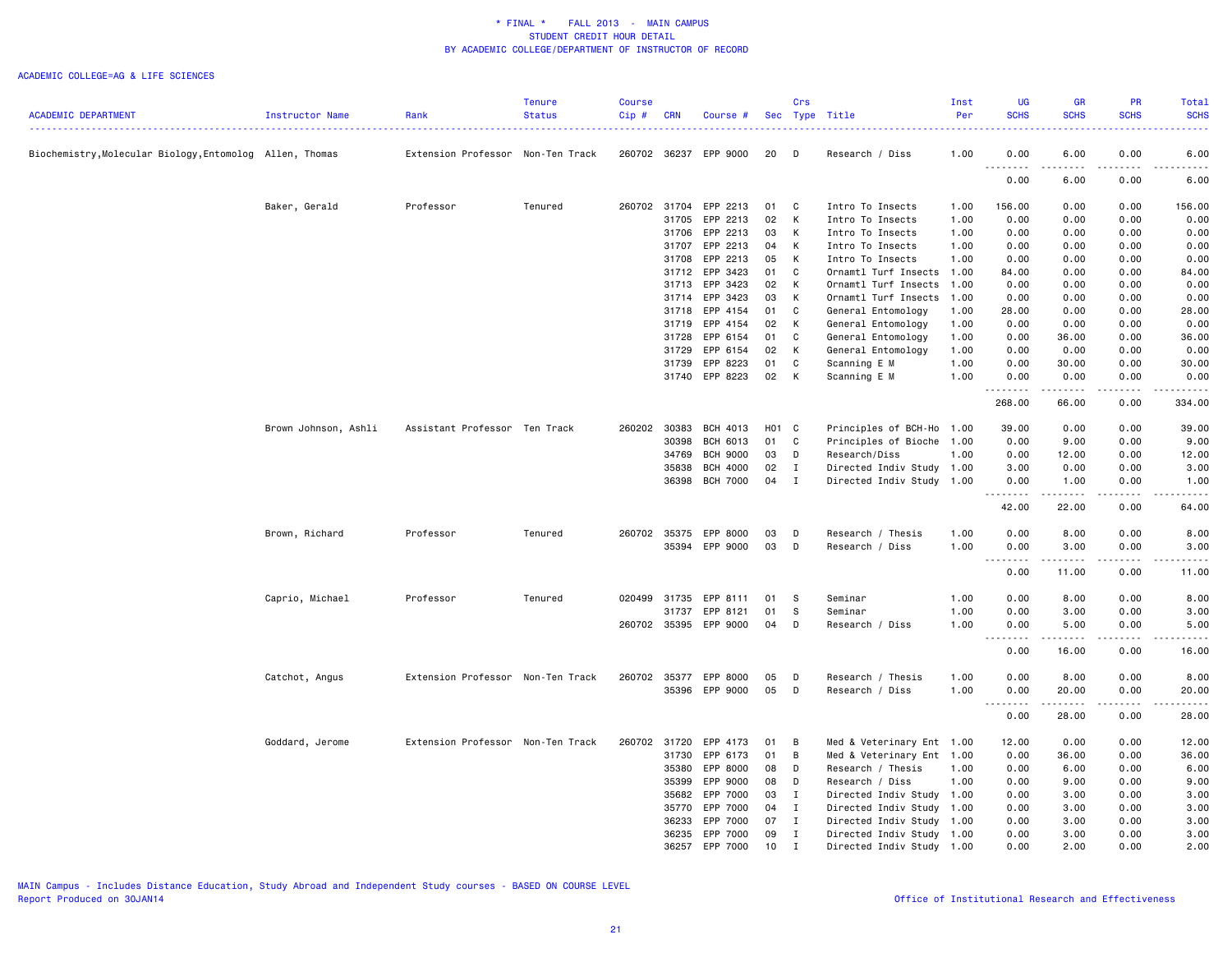|                                                          |                      |                                   | <b>Tenure</b> | <b>Course</b> |            |                 |       | Crs            |                           | Inst | UG            | GR                                                                                                                              | <b>PR</b>   | Total                                      |
|----------------------------------------------------------|----------------------|-----------------------------------|---------------|---------------|------------|-----------------|-------|----------------|---------------------------|------|---------------|---------------------------------------------------------------------------------------------------------------------------------|-------------|--------------------------------------------|
| <b>ACADEMIC DEPARTMENT</b>                               | Instructor Name      | Rank                              | <b>Status</b> | Cip#          | <b>CRN</b> | Course #        |       |                | Sec Type Title            | Per  | <b>SCHS</b>   | <b>SCHS</b>                                                                                                                     | <b>SCHS</b> | <b>SCHS</b>                                |
| Biochemistry, Molecular Biology, Entomolog Allen, Thomas |                      | Extension Professor Non-Ten Track |               | 260702 36237  |            | EPP 9000        | 20    | D              | Research / Diss           | 1.00 | 0.00          | 6.00                                                                                                                            | 0.00        | 6.00                                       |
|                                                          |                      |                                   |               |               |            |                 |       |                |                           |      | .<br>0.00     | .<br>6.00                                                                                                                       | .<br>0.00   | $- - - - -$<br>6.00                        |
|                                                          | Baker, Gerald        | Professor                         | Tenured       | 260702        | 31704      | EPP 2213        | 01    | C              | Intro To Insects          | 1.00 | 156.00        | 0.00                                                                                                                            | 0.00        | 156.00                                     |
|                                                          |                      |                                   |               |               | 31705      | EPP 2213        | 02    | K              | Intro To Insects          | 1.00 | 0.00          | 0.00                                                                                                                            | 0.00        | 0.00                                       |
|                                                          |                      |                                   |               |               | 31706      | EPP 2213        | 03    | K              | Intro To Insects          | 1.00 | 0.00          | 0.00                                                                                                                            | 0.00        | 0.00                                       |
|                                                          |                      |                                   |               |               | 31707      | EPP 2213        | 04    | K              | Intro To Insects          | 1.00 | 0.00          | 0.00                                                                                                                            | 0.00        | 0.00                                       |
|                                                          |                      |                                   |               |               | 31708      | EPP 2213        | 05    | K              | Intro To Insects          | 1.00 | 0.00          | 0.00                                                                                                                            | 0.00        | 0.00                                       |
|                                                          |                      |                                   |               |               | 31712      | EPP 3423        | 01    | C              | Ornamtl Turf Insects 1.00 |      | 84.00         | 0.00                                                                                                                            | 0.00        | 84.00                                      |
|                                                          |                      |                                   |               |               | 31713      | EPP 3423        | 02    | K              | Ornamtl Turf Insects      | 1.00 | 0.00          | 0.00                                                                                                                            | 0.00        | 0.00                                       |
|                                                          |                      |                                   |               |               | 31714      | EPP 3423        | 03    | K              | Ornamtl Turf Insects      | 1.00 | 0.00          | 0.00                                                                                                                            | 0.00        | 0.00                                       |
|                                                          |                      |                                   |               |               | 31718      | EPP 4154        | 01    | C              | General Entomology        | 1.00 | 28.00         | 0.00                                                                                                                            | 0.00        | 28.00                                      |
|                                                          |                      |                                   |               |               | 31719      | EPP 4154        | 02    | K              | General Entomology        | 1.00 | 0.00          | 0.00                                                                                                                            | 0.00        | 0.00                                       |
|                                                          |                      |                                   |               |               | 31728      | EPP 6154        | 01    | $\mathbf{C}$   | General Entomology        | 1.00 | 0.00          | 36.00                                                                                                                           | 0.00        | 36.00                                      |
|                                                          |                      |                                   |               |               | 31729      | EPP 6154        | 02    | K              | General Entomology        | 1.00 | 0.00          | 0.00                                                                                                                            | 0.00        | 0.00                                       |
|                                                          |                      |                                   |               |               | 31739      | EPP 8223        | 01    | C              | Scanning E M              | 1.00 | 0.00          | 30.00                                                                                                                           | 0.00        | 30.00                                      |
|                                                          |                      |                                   |               |               | 31740      | EPP 8223        | 02    | К              | Scanning E M              | 1.00 | 0.00<br>.     | 0.00<br>.                                                                                                                       | 0.00<br>.   | 0.00<br>.                                  |
|                                                          |                      |                                   |               |               |            |                 |       |                |                           |      | 268.00        | 66.00                                                                                                                           | 0.00        | 334.00                                     |
|                                                          | Brown Johnson, Ashli | Assistant Professor Ten Track     |               | 260202        | 30383      | BCH 4013        | H01 C |                | Principles of BCH-Ho      | 1.00 | 39.00         | 0.00                                                                                                                            | 0.00        | 39.00                                      |
|                                                          |                      |                                   |               |               | 30398      | BCH 6013        | 01    | C              | Principles of Bioche      | 1.00 | 0.00          | 9.00                                                                                                                            | 0.00        | 9.00                                       |
|                                                          |                      |                                   |               |               | 34769      | <b>BCH 9000</b> | 03    | D              | Research/Diss             | 1.00 | 0.00          | 12.00                                                                                                                           | 0.00        | 12.00                                      |
|                                                          |                      |                                   |               |               | 35838      | <b>BCH 4000</b> | 02    | $\mathbf{I}$   | Directed Indiv Study 1.00 |      | 3.00          | 0.00                                                                                                                            | 0.00        | 3.00                                       |
|                                                          |                      |                                   |               |               | 36398      | <b>BCH 7000</b> | 04    | $\mathbf I$    | Directed Indiv Study      | 1.00 | 0.00<br>.     | 1.00                                                                                                                            | 0.00        | 1.00                                       |
|                                                          |                      |                                   |               |               |            |                 |       |                |                           |      | 42.00         | 22.00                                                                                                                           | 0.00        | 64.00                                      |
|                                                          | Brown, Richard       | Professor                         | Tenured       | 260702 35375  |            | EPP 8000        | 03    | D              | Research / Thesis         | 1.00 | 0.00          | 8.00                                                                                                                            | 0.00        | 8.00                                       |
|                                                          |                      |                                   |               |               |            | 35394 EPP 9000  | 03    | D              | Research / Diss           | 1.00 | 0.00          | 3.00                                                                                                                            | 0.00        | 3.00                                       |
|                                                          |                      |                                   |               |               |            |                 |       |                |                           |      |               |                                                                                                                                 |             |                                            |
|                                                          |                      |                                   |               |               |            |                 |       |                |                           |      | 0.00          | 11.00                                                                                                                           | 0.00        | 11.00                                      |
|                                                          | Caprio, Michael      | Professor                         | Tenured       | 020499 31735  |            | EPP 8111        | 01    | - S            | Seminar                   | 1.00 | 0.00          | 8.00                                                                                                                            | 0.00        | 8.00                                       |
|                                                          |                      |                                   |               |               | 31737      | EPP 8121        | 01    | -S             | Seminar                   | 1.00 | 0.00          | 3.00                                                                                                                            | 0.00        | 3.00                                       |
|                                                          |                      |                                   |               | 260702 35395  |            | EPP 9000        | 04    | D              | Research / Diss           | 1.00 | 0.00          | 5.00                                                                                                                            | 0.00        | 5.00<br>$\sim$ $\sim$ $\sim$ $\sim$ $\sim$ |
|                                                          |                      |                                   |               |               |            |                 |       |                |                           |      | 0.00          | 16.00                                                                                                                           | 0.00        | 16.00                                      |
|                                                          | Catchot, Angus       | Extension Professor Non-Ten Track |               | 260702 35377  |            | EPP 8000        | 05    | D              | Research / Thesis         | 1.00 | 0.00          | 8.00                                                                                                                            | 0.00        | 8.00                                       |
|                                                          |                      |                                   |               |               |            | 35396 EPP 9000  | 05    | D              | Research / Diss           | 1.00 | 0.00          | 20.00                                                                                                                           | 0.00        | 20.00                                      |
|                                                          |                      |                                   |               |               |            |                 |       |                |                           |      | 1.1.1.1.1.1.1 | $\begin{array}{cccccccccc} \bullet & \bullet & \bullet & \bullet & \bullet & \bullet & \bullet & \bullet & \bullet \end{array}$ | $- - - - -$ | .                                          |
|                                                          |                      |                                   |               |               |            |                 |       |                |                           |      | 0.00          | 28.00                                                                                                                           | 0.00        | 28.00                                      |
|                                                          | Goddard, Jerome      | Extension Professor Non-Ten Track |               | 260702 31720  |            | EPP 4173        | 01    | $\overline{B}$ | Med & Veterinary Ent 1.00 |      | 12.00         | 0.00                                                                                                                            | 0.00        | 12.00                                      |
|                                                          |                      |                                   |               |               | 31730      | EPP 6173        | 01    | B              | Med & Veterinary Ent 1.00 |      | 0.00          | 36.00                                                                                                                           | 0.00        | 36.00                                      |
|                                                          |                      |                                   |               |               | 35380      | EPP 8000        | 08    | D              | Research / Thesis         | 1.00 | 0.00          | 6.00                                                                                                                            | 0.00        | 6.00                                       |
|                                                          |                      |                                   |               |               | 35399      | EPP 9000        | 08    | D              | Research / Diss           | 1.00 | 0.00          | 9.00                                                                                                                            | 0.00        | 9.00                                       |
|                                                          |                      |                                   |               |               | 35682      | EPP 7000        | 03    | $\mathbf{I}$   | Directed Indiv Study      | 1.00 | 0.00          | 3.00                                                                                                                            | 0.00        | 3.00                                       |
|                                                          |                      |                                   |               |               | 35770      | EPP 7000        | 04    | I              | Directed Indiv Study 1.00 |      | 0.00          | 3.00                                                                                                                            | 0.00        | 3.00                                       |
|                                                          |                      |                                   |               |               | 36233      | EPP 7000        | 07    | I              | Directed Indiv Study      | 1.00 | 0.00          | 3.00                                                                                                                            | 0.00        | 3.00                                       |
|                                                          |                      |                                   |               |               | 36235      | EPP 7000        | 09    | $\mathbf{I}$   | Directed Indiv Study 1.00 |      | 0.00          | 3.00                                                                                                                            | 0.00        | 3.00                                       |
|                                                          |                      |                                   |               |               | 36257      | EPP 7000        | 10    | I              | Directed Indiv Study 1.00 |      | 0.00          | 2.00                                                                                                                            | 0.00        | 2.00                                       |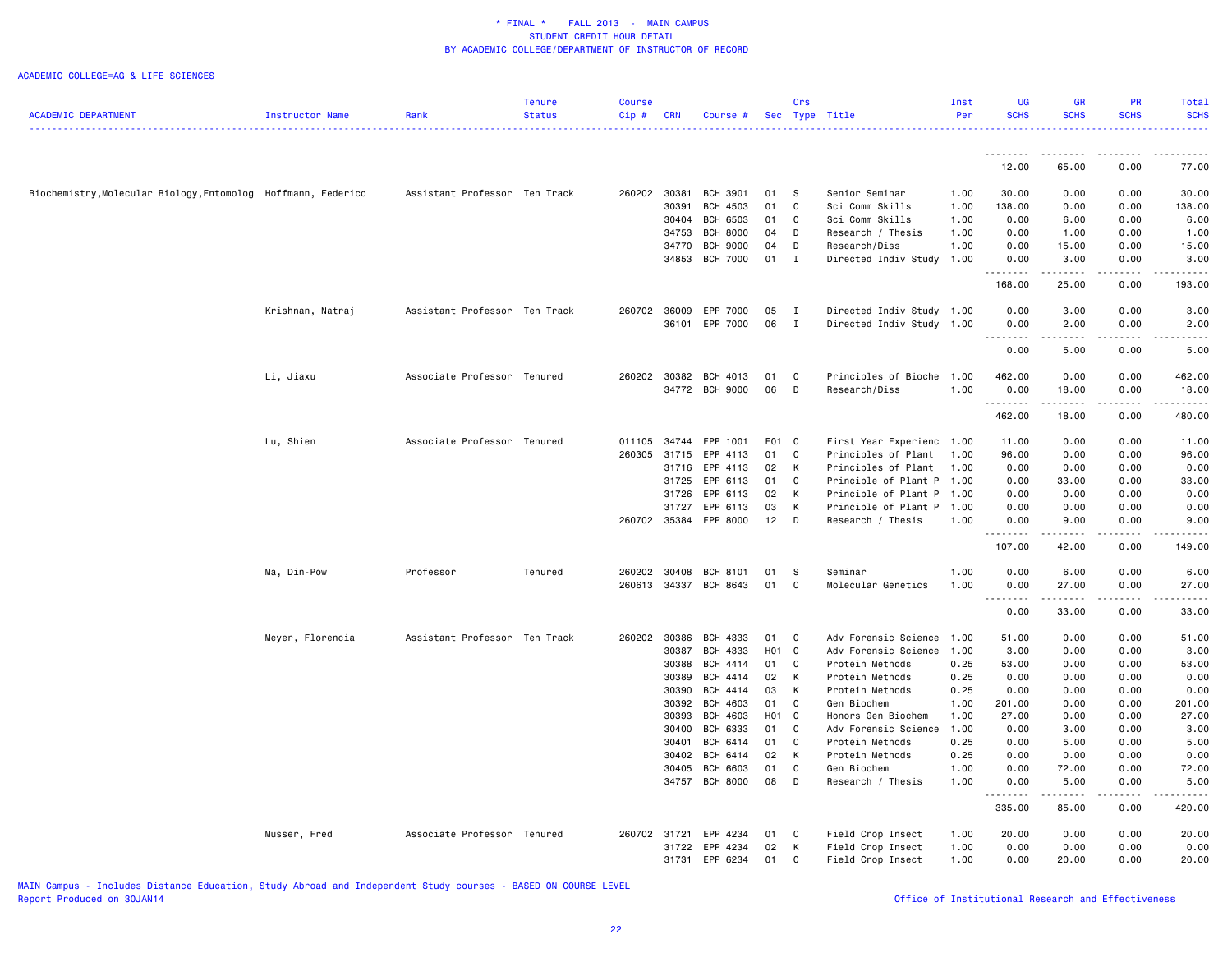#### ACADEMIC COLLEGE=AG & LIFE SCIENCES

|                                                               |                  |                               | Tenure        | <b>Course</b> |            |                       |                   | Crs          |                           | Inst | <b>UG</b>            | <b>GR</b>                                                                                                                                                    | <b>PR</b>     | Total                                                                                                                                                                                   |
|---------------------------------------------------------------|------------------|-------------------------------|---------------|---------------|------------|-----------------------|-------------------|--------------|---------------------------|------|----------------------|--------------------------------------------------------------------------------------------------------------------------------------------------------------|---------------|-----------------------------------------------------------------------------------------------------------------------------------------------------------------------------------------|
| <b>ACADEMIC DEPARTMENT</b>                                    | Instructor Name  | Rank                          | <b>Status</b> | Cip#          | <b>CRN</b> | Course #              |                   |              | Sec Type Title            | Per  | <b>SCHS</b>          | <b>SCHS</b>                                                                                                                                                  | <b>SCHS</b>   | <b>SCHS</b><br>.                                                                                                                                                                        |
|                                                               |                  |                               |               |               |            |                       |                   |              |                           |      | .                    | .                                                                                                                                                            | .             | .                                                                                                                                                                                       |
|                                                               |                  |                               |               |               |            |                       |                   |              |                           |      | 12.00                | 65.00                                                                                                                                                        | 0.00          | 77.00                                                                                                                                                                                   |
| Biochemistry, Molecular Biology, Entomolog Hoffmann, Federico |                  | Assistant Professor Ten Track |               | 260202        | 30381      | <b>BCH 3901</b>       | 01                | -S           | Senior Seminar            | 1.00 | 30.00                | 0.00                                                                                                                                                         | 0.00          | 30.00                                                                                                                                                                                   |
|                                                               |                  |                               |               |               | 30391      | <b>BCH 4503</b>       | 01                | C            | Sci Comm Skills           | 1.00 | 138.00               | 0.00                                                                                                                                                         | 0.00          | 138.00                                                                                                                                                                                  |
|                                                               |                  |                               |               |               | 30404      | <b>BCH 6503</b>       | 01                | C            | Sci Comm Skills           | 1.00 | 0.00                 | 6.00                                                                                                                                                         | 0.00          | 6.00                                                                                                                                                                                    |
|                                                               |                  |                               |               |               | 34753      | <b>BCH 8000</b>       | 04                | D            | Research / Thesis         | 1.00 | 0.00                 | 1.00                                                                                                                                                         | 0.00          | 1.00                                                                                                                                                                                    |
|                                                               |                  |                               |               |               | 34770      | <b>BCH 9000</b>       | 04                | D            | Research/Diss             | 1.00 | 0.00                 | 15.00                                                                                                                                                        | 0.00          | 15.00                                                                                                                                                                                   |
|                                                               |                  |                               |               |               | 34853      | <b>BCH 7000</b>       | 01                | $\mathbf I$  | Directed Indiv Study      | 1.00 | 0.00<br>.            | 3.00<br>.                                                                                                                                                    | 0.00<br>.     | 3.00<br>$\frac{1}{2} \left( \frac{1}{2} \right) \left( \frac{1}{2} \right) \left( \frac{1}{2} \right) \left( \frac{1}{2} \right) \left( \frac{1}{2} \right)$                            |
|                                                               |                  |                               |               |               |            |                       |                   |              |                           |      | 168.00               | 25.00                                                                                                                                                        | 0.00          | 193.00                                                                                                                                                                                  |
|                                                               | Krishnan, Natraj | Assistant Professor Ten Track |               | 260702        | 36009      | EPP 7000              | 05                | $\mathbf{I}$ | Directed Indiv Study 1.00 |      | 0.00                 | 3.00                                                                                                                                                         | 0.00          | 3.00                                                                                                                                                                                    |
|                                                               |                  |                               |               |               | 36101      | EPP 7000              | 06                | $\mathbf{I}$ | Directed Indiv Study 1.00 |      | 0.00                 | 2.00                                                                                                                                                         | 0.00          | 2.00                                                                                                                                                                                    |
|                                                               |                  |                               |               |               |            |                       |                   |              |                           |      | $\sim$ $\sim$ $\sim$ |                                                                                                                                                              |               |                                                                                                                                                                                         |
|                                                               |                  |                               |               |               |            |                       |                   |              |                           |      | 0.00                 | 5.00                                                                                                                                                         | 0.00          | 5.00                                                                                                                                                                                    |
|                                                               | Li, Jiaxu        | Associate Professor Tenured   |               | 260202        | 30382      | BCH 4013              | 01                | C            | Principles of Bioche      | 1.00 | 462.00               | 0.00                                                                                                                                                         | 0.00          | 462.00                                                                                                                                                                                  |
|                                                               |                  |                               |               |               |            | 34772 BCH 9000        | 06                | D            | Research/Diss             | 1.00 | 0.00                 | 18.00                                                                                                                                                        | 0.00          | 18.00                                                                                                                                                                                   |
|                                                               |                  |                               |               |               |            |                       |                   |              |                           |      | .                    | .                                                                                                                                                            | .             | .                                                                                                                                                                                       |
|                                                               |                  |                               |               |               |            |                       |                   |              |                           |      | 462.00               | 18.00                                                                                                                                                        | 0.00          | 480.00                                                                                                                                                                                  |
|                                                               | Lu, Shien        | Associate Professor Tenured   |               | 011105 34744  |            | EPP 1001              | F01 C             |              | First Year Experienc 1.00 |      | 11.00                | 0.00                                                                                                                                                         | 0.00          | 11.00                                                                                                                                                                                   |
|                                                               |                  |                               |               | 260305        | 31715      | EPP 4113              | 01                | C            | Principles of Plant       | 1.00 | 96.00                | 0.00                                                                                                                                                         | 0.00          | 96.00                                                                                                                                                                                   |
|                                                               |                  |                               |               |               | 31716      | EPP 4113              | 02                | К            | Principles of Plant       | 1.00 | 0.00                 | 0.00                                                                                                                                                         | 0.00          | 0.00                                                                                                                                                                                    |
|                                                               |                  |                               |               |               | 31725      | EPP 6113              | 01                | C            | Principle of Plant P 1.00 |      | 0.00                 | 33.00                                                                                                                                                        | 0.00          | 33.00                                                                                                                                                                                   |
|                                                               |                  |                               |               |               | 31726      | EPP 6113              | 02                | K            | Principle of Plant P 1.00 |      | 0.00                 | 0.00                                                                                                                                                         | 0.00          | 0.00                                                                                                                                                                                    |
|                                                               |                  |                               |               |               | 31727      | EPP 6113              | 03                | К            | Principle of Plant P      | 1.00 | 0.00                 | 0.00                                                                                                                                                         | 0.00          | 0.00                                                                                                                                                                                    |
|                                                               |                  |                               |               | 260702 35384  |            | EPP 8000              | 12                | D            | Research / Thesis         | 1.00 | 0.00                 | 9.00<br>$\frac{1}{2} \left( \frac{1}{2} \right) \left( \frac{1}{2} \right) \left( \frac{1}{2} \right) \left( \frac{1}{2} \right) \left( \frac{1}{2} \right)$ | 0.00<br>.     | 9.00                                                                                                                                                                                    |
|                                                               |                  |                               |               |               |            |                       |                   |              |                           |      | 107.00               | 42.00                                                                                                                                                        | 0.00          | 149.00                                                                                                                                                                                  |
|                                                               | Ma, Din-Pow      | Professor                     | Tenured       | 260202        | 30408      | <b>BCH 8101</b>       | 01                | S            | Seminar                   | 1.00 | 0.00                 | 6.00                                                                                                                                                         | 0.00          | 6.00                                                                                                                                                                                    |
|                                                               |                  |                               |               |               |            | 260613 34337 BCH 8643 | 01                | C            | Molecular Genetics        | 1.00 | 0.00                 | 27.00                                                                                                                                                        | 0.00          | 27.00                                                                                                                                                                                   |
|                                                               |                  |                               |               |               |            |                       |                   |              |                           |      | .<br>0.00            | ------<br>33.00                                                                                                                                              | -----<br>0.00 | .<br>33.00                                                                                                                                                                              |
|                                                               | Meyer, Florencia | Assistant Professor Ten Track |               | 260202 30386  |            | BCH 4333              | 01                | $\mathbf{C}$ | Adv Forensic Science      | 1.00 | 51.00                | 0.00                                                                                                                                                         | 0.00          | 51.00                                                                                                                                                                                   |
|                                                               |                  |                               |               |               | 30387      | <b>BCH 4333</b>       | H <sub>01</sub> C |              | Adv Forensic Science      | 1.00 | 3.00                 | 0.00                                                                                                                                                         | 0.00          | 3.00                                                                                                                                                                                    |
|                                                               |                  |                               |               |               | 30388      | BCH 4414              | 01                | C.           | Protein Methods           | 0.25 | 53.00                | 0.00                                                                                                                                                         | 0.00          | 53.00                                                                                                                                                                                   |
|                                                               |                  |                               |               |               | 30389      | <b>BCH 4414</b>       | 02                | К            | Protein Methods           | 0.25 | 0.00                 | 0.00                                                                                                                                                         | 0.00          | 0.00                                                                                                                                                                                    |
|                                                               |                  |                               |               |               | 30390      | BCH 4414              | 03                | K            | Protein Methods           | 0.25 | 0.00                 | 0.00                                                                                                                                                         | 0.00          | 0.00                                                                                                                                                                                    |
|                                                               |                  |                               |               |               | 30392      | <b>BCH 4603</b>       | 01                | C            | Gen Biochem               | 1.00 | 201.00               | 0.00                                                                                                                                                         | 0.00          | 201.00                                                                                                                                                                                  |
|                                                               |                  |                               |               |               | 30393      | <b>BCH 4603</b>       | H01 C             |              | Honors Gen Biochem        | 1.00 | 27.00                | 0.00                                                                                                                                                         | 0.00          | 27.00                                                                                                                                                                                   |
|                                                               |                  |                               |               |               | 30400      | <b>BCH 6333</b>       | 01                | C            | Adv Forensic Science      | 1.00 | 0.00                 | 3.00                                                                                                                                                         | 0.00          | 3.00                                                                                                                                                                                    |
|                                                               |                  |                               |               |               | 30401      | <b>BCH 6414</b>       | 01                | C            | Protein Methods           | 0.25 | 0.00                 | 5.00                                                                                                                                                         | 0.00          | 5.00                                                                                                                                                                                    |
|                                                               |                  |                               |               |               | 30402      | <b>BCH 6414</b>       | 02                | K            | Protein Methods           | 0.25 | 0.00                 | 0.00                                                                                                                                                         | 0.00          | 0.00                                                                                                                                                                                    |
|                                                               |                  |                               |               |               | 30405      | <b>BCH 6603</b>       | 01                | C            | Gen Biochem               | 1.00 | 0.00                 | 72.00                                                                                                                                                        | 0.00          | 72.00                                                                                                                                                                                   |
|                                                               |                  |                               |               |               |            | 34757 BCH 8000        | 08                | D            | Research / Thesis         | 1.00 | 0.00<br><u>.</u>     | 5.00<br>. <u>.</u>                                                                                                                                           | 0.00<br>.     | 5.00<br>$\frac{1}{2} \left( \frac{1}{2} \right) \left( \frac{1}{2} \right) \left( \frac{1}{2} \right) \left( \frac{1}{2} \right) \left( \frac{1}{2} \right) \left( \frac{1}{2} \right)$ |
|                                                               |                  |                               |               |               |            |                       |                   |              |                           |      | 335.00               | 85.00                                                                                                                                                        | 0.00          | 420.00                                                                                                                                                                                  |
|                                                               | Musser, Fred     | Associate Professor Tenured   |               | 260702 31721  |            | EPP 4234              | 01                | C            | Field Crop Insect         | 1.00 | 20.00                | 0.00                                                                                                                                                         | 0.00          | 20.00                                                                                                                                                                                   |
|                                                               |                  |                               |               |               | 31722      | EPP 4234              | 02                | К            | Field Crop Insect         | 1.00 | 0.00                 | 0.00                                                                                                                                                         | 0.00          | 0.00                                                                                                                                                                                    |
|                                                               |                  |                               |               |               | 31731      | EPP 6234              | 01                | C            | Field Crop Insect         | 1.00 | 0.00                 | 20.00                                                                                                                                                        | 0.00          | 20.00                                                                                                                                                                                   |

MAIN Campus - Includes Distance Education, Study Abroad and Independent Study courses - BASED ON COURSE LEVEL

# Office of Institutional Research and Effectiveness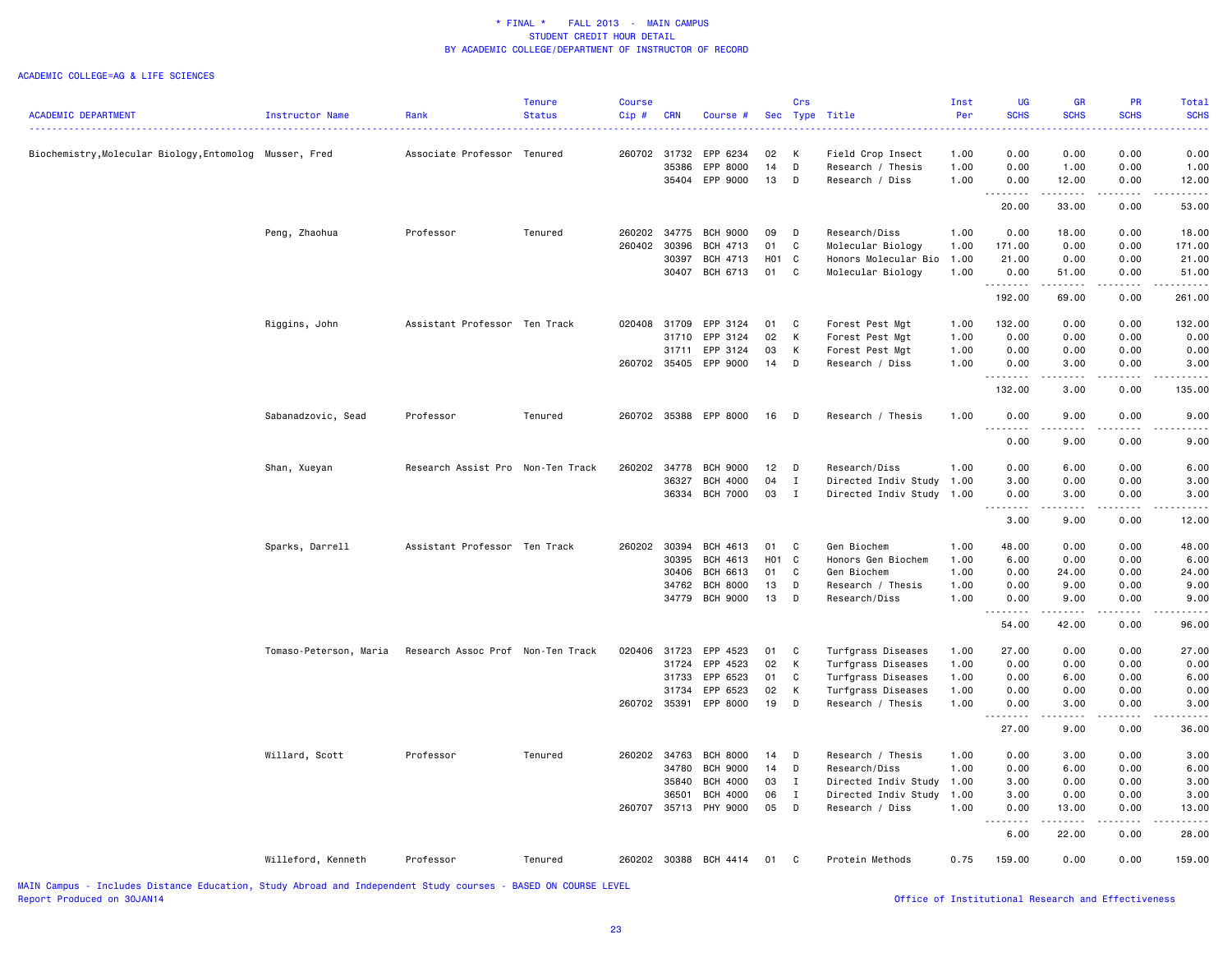#### ACADEMIC COLLEGE=AG & LIFE SCIENCES

|                                                                                          |                        |                                   | Tenure                       | Course       |            |                       |                   | Crs          |                      | Inst | UG                                                                                                                                                           | <b>GR</b>                                                                                                                                                     | PR                                                                                                                                                   | Total       |
|------------------------------------------------------------------------------------------|------------------------|-----------------------------------|------------------------------|--------------|------------|-----------------------|-------------------|--------------|----------------------|------|--------------------------------------------------------------------------------------------------------------------------------------------------------------|---------------------------------------------------------------------------------------------------------------------------------------------------------------|------------------------------------------------------------------------------------------------------------------------------------------------------|-------------|
| <b>ACADEMIC DEPARTMENT</b>                                                               | Instructor Name        | Rank                              | <b>Status</b>                | Cip#         | <b>CRN</b> | Course #              |                   | Sec Type     | Title                | Per  | <b>SCHS</b>                                                                                                                                                  | <b>SCHS</b>                                                                                                                                                   | <b>SCHS</b>                                                                                                                                          | <b>SCHS</b> |
|                                                                                          |                        |                                   | .                            |              |            |                       |                   |              |                      |      | .                                                                                                                                                            | $\frac{1}{2} \left( \frac{1}{2} \right) \left( \frac{1}{2} \right) \left( \frac{1}{2} \right) \left( \frac{1}{2} \right)$                                     |                                                                                                                                                      |             |
| Biochemistry, Molecular Biology, Entomolog Musser, Fred                                  |                        | Associate Professor Tenured       |                              |              |            | 260702 31732 EPP 6234 | 02                | $\mathsf{K}$ | Field Crop Insect    | 1.00 | 0.00                                                                                                                                                         | 0.00                                                                                                                                                          | 0.00                                                                                                                                                 | 0.00        |
|                                                                                          |                        |                                   |                              |              | 35386      | EPP 8000              | 14                | D            | Research / Thesis    | 1.00 | 0.00                                                                                                                                                         | 1.00                                                                                                                                                          | 0.00                                                                                                                                                 | 1.00        |
|                                                                                          |                        |                                   |                              |              |            | 35404 EPP 9000        | 13                | D            | Research / Diss      | 1.00 | 0.00                                                                                                                                                         | 12.00                                                                                                                                                         | 0.00                                                                                                                                                 | 12.00       |
|                                                                                          |                        |                                   |                              |              |            |                       |                   |              |                      |      | .<br>20.00                                                                                                                                                   | $\frac{1}{2} \left( \frac{1}{2} \right) \left( \frac{1}{2} \right) \left( \frac{1}{2} \right) \left( \frac{1}{2} \right) \left( \frac{1}{2} \right)$<br>33.00 | 0.00                                                                                                                                                 | 53.00       |
|                                                                                          | Peng, Zhaohua          | Professor                         | Tenured                      | 260202       | 34775      | <b>BCH 9000</b>       | 09                | D            | Research/Diss        | 1.00 | 0.00                                                                                                                                                         | 18.00                                                                                                                                                         | 0.00                                                                                                                                                 | 18.00       |
|                                                                                          |                        |                                   |                              | 260402       | 30396      | <b>BCH 4713</b>       | 01                | C            | Molecular Biology    | 1.00 | 171.00                                                                                                                                                       | 0.00                                                                                                                                                          | 0.00                                                                                                                                                 | 171.00      |
|                                                                                          |                        |                                   |                              |              | 30397      | <b>BCH 4713</b>       | H <sub>01</sub> C |              | Honors Molecular Bio | 1.00 | 21.00                                                                                                                                                        | 0.00                                                                                                                                                          | 0.00                                                                                                                                                 | 21.00       |
|                                                                                          |                        |                                   |                              |              |            | 30407 BCH 6713        | 01                | $\mathbf{C}$ | Molecular Biology    | 1.00 | 0.00                                                                                                                                                         | 51.00                                                                                                                                                         | 0.00                                                                                                                                                 | 51.00       |
|                                                                                          |                        |                                   |                              |              |            |                       |                   |              |                      |      | .                                                                                                                                                            | المتمالين                                                                                                                                                     | $- - - - -$                                                                                                                                          | .           |
|                                                                                          |                        |                                   |                              |              |            |                       |                   |              |                      |      | 192.00                                                                                                                                                       | 69.00                                                                                                                                                         | 0.00                                                                                                                                                 | 261.00      |
|                                                                                          | Riggins, John          | Assistant Professor Ten Track     |                              |              |            | 020408 31709 EPP 3124 | 01                | $\mathbf{C}$ | Forest Pest Mgt      | 1.00 | 132.00                                                                                                                                                       | 0.00                                                                                                                                                          | 0.00                                                                                                                                                 | 132.00      |
|                                                                                          |                        |                                   |                              |              | 31710      | EPP 3124              | 02                | К            | Forest Pest Mgt      | 1.00 | 0.00                                                                                                                                                         | 0.00                                                                                                                                                          | 0.00                                                                                                                                                 | 0.00        |
|                                                                                          |                        |                                   |                              |              | 31711      | EPP 3124              | 03                | К            | Forest Pest Mgt      | 1.00 | 0.00                                                                                                                                                         | 0.00                                                                                                                                                          | 0.00                                                                                                                                                 | 0.00        |
|                                                                                          |                        |                                   |                              |              |            | 260702 35405 EPP 9000 | 14 D              |              | Research / Diss      | 1.00 | 0.00<br><u>.</u>                                                                                                                                             | 3.00<br>$\frac{1}{2}$                                                                                                                                         | 0.00<br>.                                                                                                                                            | 3.00        |
|                                                                                          |                        |                                   |                              |              |            |                       |                   |              |                      |      | 132.00                                                                                                                                                       | 3.00                                                                                                                                                          | 0.00                                                                                                                                                 | 135.00      |
|                                                                                          | Sabanadzovic, Sead     | Professor                         | Tenured                      |              |            | 260702 35388 EPP 8000 | 16 D              |              | Research / Thesis    | 1.00 | 0.00                                                                                                                                                         | 9.00                                                                                                                                                          | 0.00                                                                                                                                                 | 9.00        |
|                                                                                          |                        |                                   |                              |              |            |                       |                   |              |                      |      | .<br>0.00                                                                                                                                                    | د د د د<br>9.00                                                                                                                                               | $- - - - -$<br>0.00                                                                                                                                  | 9.00        |
|                                                                                          | Shan, Xueyan           | Research Assist Pro Non-Ten Track |                              | 260202       | 34778      | <b>BCH 9000</b>       | 12 <sub>2</sub>   | $\mathsf{D}$ | Research/Diss        | 1.00 | 0.00                                                                                                                                                         | 6.00                                                                                                                                                          | 0.00                                                                                                                                                 | 6.00        |
|                                                                                          |                        |                                   |                              |              | 36327      | <b>BCH 4000</b>       | 04                | $\mathbf I$  | Directed Indiv Study | 1.00 | 3.00                                                                                                                                                         | 0.00                                                                                                                                                          | 0.00                                                                                                                                                 | 3.00        |
|                                                                                          |                        |                                   |                              |              | 36334      | <b>BCH 7000</b>       | 03                | $\mathbf{I}$ |                      | 1.00 | 0.00                                                                                                                                                         | 3.00                                                                                                                                                          | 0.00                                                                                                                                                 | 3.00        |
|                                                                                          |                        |                                   |                              |              |            |                       |                   |              | Directed Indiv Study |      | .                                                                                                                                                            | الأنابات                                                                                                                                                      | $\frac{1}{2} \left( \frac{1}{2} \right) \left( \frac{1}{2} \right) \left( \frac{1}{2} \right) \left( \frac{1}{2} \right) \left( \frac{1}{2} \right)$ | .           |
|                                                                                          |                        |                                   |                              |              |            |                       |                   |              |                      |      | 3.00                                                                                                                                                         | 9.00                                                                                                                                                          | 0.00                                                                                                                                                 | 12.00       |
|                                                                                          | Sparks, Darrell        | Assistant Professor Ten Track     |                              | 260202       | 30394      | BCH 4613              | 01                | $\mathbf{C}$ | Gen Biochem          | 1.00 | 48.00                                                                                                                                                        | 0.00                                                                                                                                                          | 0.00                                                                                                                                                 | 48.00       |
|                                                                                          |                        |                                   |                              |              | 30395      | BCH 4613              | H <sub>01</sub> C |              | Honors Gen Biochem   | 1.00 | 6.00                                                                                                                                                         | 0.00                                                                                                                                                          | 0.00                                                                                                                                                 | 6.00        |
|                                                                                          |                        |                                   |                              |              | 30406      | BCH 6613              | 01                | C            | Gen Biochem          | 1.00 | 0.00                                                                                                                                                         | 24.00                                                                                                                                                         | 0.00                                                                                                                                                 | 24.00       |
|                                                                                          |                        |                                   |                              |              | 34762      | <b>BCH 8000</b>       | 13                | D            | Research / Thesis    | 1.00 | 0.00                                                                                                                                                         | 9.00                                                                                                                                                          | 0.00                                                                                                                                                 | 9.00        |
|                                                                                          |                        |                                   |                              |              | 34779      | <b>BCH 9000</b>       | 13                | D            | Research/Diss        | 1.00 | 0.00                                                                                                                                                         | 9.00                                                                                                                                                          | 0.00                                                                                                                                                 | 9.00        |
|                                                                                          |                        |                                   |                              |              |            |                       |                   |              |                      |      | .                                                                                                                                                            | .                                                                                                                                                             | .                                                                                                                                                    | .           |
|                                                                                          |                        |                                   |                              |              |            |                       |                   |              |                      |      | 54.00                                                                                                                                                        | 42.00                                                                                                                                                         | 0.00                                                                                                                                                 | 96.00       |
|                                                                                          | Tomaso-Peterson, Maria | Research Assoc Prof Non-Ten Track |                              | 020406 31723 |            | EPP 4523              | 01                | $\mathbf{C}$ | Turfgrass Diseases   | 1.00 | 27.00                                                                                                                                                        | 0.00                                                                                                                                                          | 0.00                                                                                                                                                 | 27.00       |
|                                                                                          |                        |                                   |                              |              | 31724      | EPP 4523              | 02                | К            | Turfgrass Diseases   | 1.00 | 0.00                                                                                                                                                         | 0.00                                                                                                                                                          | 0.00                                                                                                                                                 | 0.00        |
|                                                                                          |                        |                                   |                              |              | 31733      | EPP 6523              | 01                | C            | Turfgrass Diseases   | 1.00 | 0.00                                                                                                                                                         | 6.00                                                                                                                                                          | 0.00                                                                                                                                                 | 6.00        |
|                                                                                          |                        |                                   |                              |              | 31734      | EPP 6523              | 02                | К            | Turfgrass Diseases   | 1.00 | 0.00                                                                                                                                                         | 0.00                                                                                                                                                          | 0.00                                                                                                                                                 | 0.00        |
|                                                                                          |                        |                                   |                              | 260702 35391 |            | EPP 8000              | 19                | D            | Research / Thesis    | 1.00 | 0.00                                                                                                                                                         | 3.00                                                                                                                                                          | 0.00                                                                                                                                                 | 3.00        |
|                                                                                          |                        |                                   |                              |              |            |                       |                   |              |                      |      | .<br>$\sim$ $\sim$<br>27.00                                                                                                                                  | د د د د<br>9.00                                                                                                                                               | -----<br>0.00                                                                                                                                        | 36.00       |
|                                                                                          | Willard, Scott         | Professor                         | Tenured                      | 260202 34763 |            | <b>BCH 8000</b>       | 14                | D            | Research / Thesis    | 1.00 | 0.00                                                                                                                                                         | 3.00                                                                                                                                                          | 0.00                                                                                                                                                 | 3.00        |
|                                                                                          |                        |                                   |                              |              | 34780      | <b>BCH 9000</b>       | 14                | D            | Research/Diss        | 1.00 | 0.00                                                                                                                                                         | 6.00                                                                                                                                                          | 0.00                                                                                                                                                 | 6.00        |
|                                                                                          |                        |                                   |                              |              | 35840      | <b>BCH 4000</b>       | 03                | $\mathbf{I}$ | Directed Indiv Study | 1.00 | 3.00                                                                                                                                                         | 0.00                                                                                                                                                          | 0.00                                                                                                                                                 | 3.00        |
|                                                                                          |                        |                                   |                              |              | 36501      | <b>BCH 4000</b>       | 06                | $\mathbf I$  | Directed Indiv Study | 1.00 | 3.00                                                                                                                                                         | 0.00                                                                                                                                                          | 0.00                                                                                                                                                 | 3.00        |
|                                                                                          |                        |                                   |                              |              |            | 260707 35713 PHY 9000 | 05                | $\mathsf{D}$ | Research / Diss      | 1.00 | 0.00                                                                                                                                                         | 13.00                                                                                                                                                         | 0.00                                                                                                                                                 | 13.00       |
|                                                                                          |                        |                                   |                              |              |            |                       |                   |              |                      |      | $\frac{1}{2} \left( \frac{1}{2} \right) \left( \frac{1}{2} \right) \left( \frac{1}{2} \right) \left( \frac{1}{2} \right) \left( \frac{1}{2} \right)$<br>6.00 | .<br>22.00                                                                                                                                                    | 0.00                                                                                                                                                 | 28.00       |
|                                                                                          | Willeford, Kenneth     | Professor                         | Tenured                      |              |            | 260202 30388 BCH 4414 | 01 C              |              | Protein Methods      | 0.75 | 159.00                                                                                                                                                       | 0.00                                                                                                                                                          | 0.00                                                                                                                                                 | 159.00      |
| UATH Compus - The Ludes Distance Education - Ctudy Abossed and Tedescodent Ctudy severes |                        |                                   | <b>DAOED ON COURSE LEVEL</b> |              |            |                       |                   |              |                      |      |                                                                                                                                                              |                                                                                                                                                               |                                                                                                                                                      |             |

MAIN Campus - Includes Distance Education, Study Abroad and Independent Study courses - BASED ON COURSE LEVEL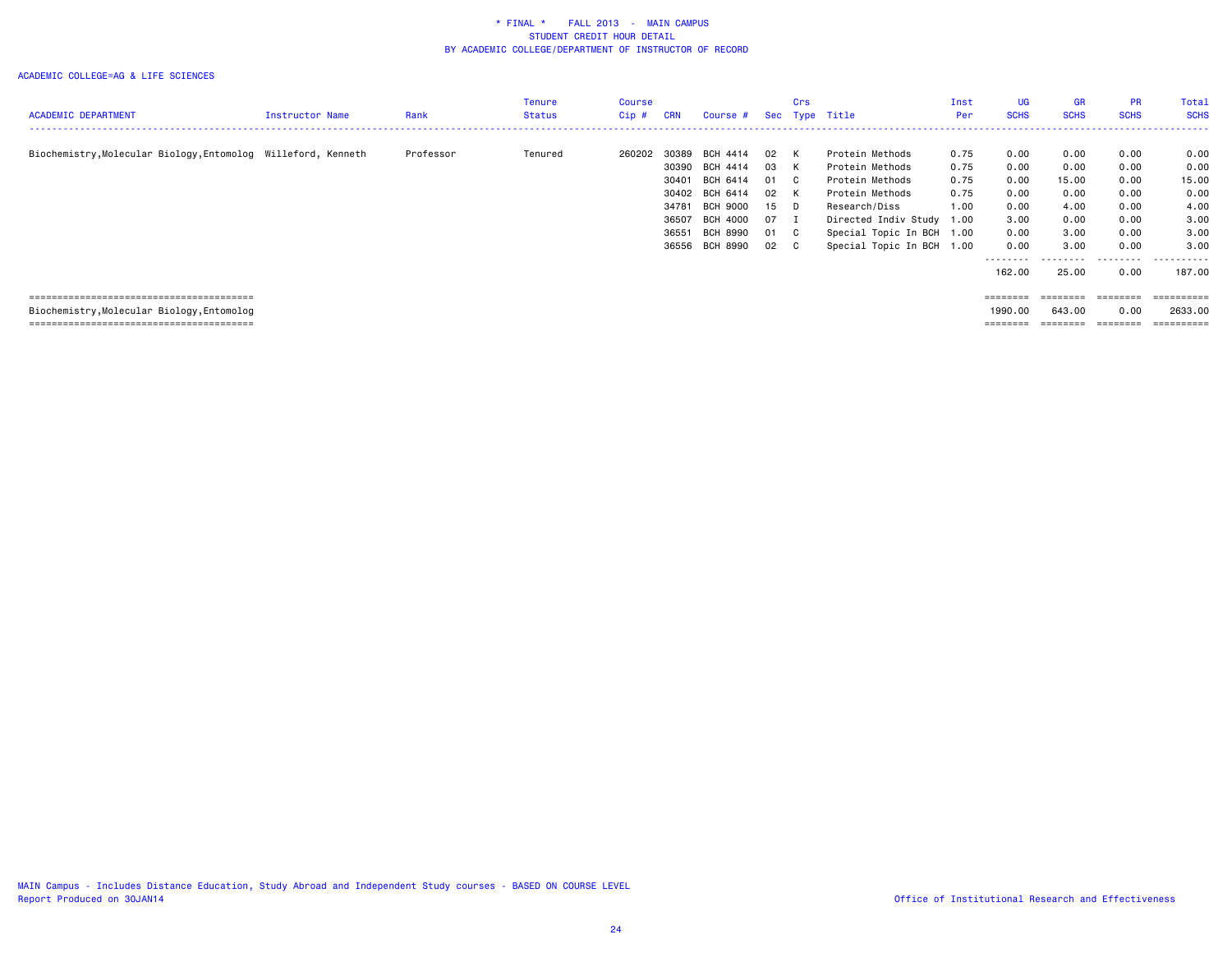|                                                               |                 |           | Tenure  | Course |            |                 |      | Crs |                           | Inst | UG                | <b>GR</b>         | <b>PR</b>   | Total       |
|---------------------------------------------------------------|-----------------|-----------|---------|--------|------------|-----------------|------|-----|---------------------------|------|-------------------|-------------------|-------------|-------------|
| <b>ACADEMIC DEPARTMENT</b>                                    | Instructor Name | Rank      | Status  | Cip #  | <b>CRN</b> | Course #        |      |     | Sec Type Title            | Per  | <b>SCHS</b>       | <b>SCHS</b>       | <b>SCHS</b> | <b>SCHS</b> |
|                                                               |                 |           |         |        |            |                 |      |     |                           |      |                   |                   |             | -------     |
| Biochemistry, Molecular Biology, Entomolog Willeford, Kenneth |                 | Professor | Tenured | 260202 | 30389      | BCH 4414        | 02 K |     | Protein Methods           | 0.75 | 0.00              | 0.00              | 0.00        | 0.00        |
|                                                               |                 |           |         |        |            | 30390 BCH 4414  | 03   | K   | Protein Methods           | 0.75 | 0.00              | 0.00              | 0.00        | 0.00        |
|                                                               |                 |           |         |        | 30401      | BCH 6414        | 01 C |     | Protein Methods           | 0.75 | 0.00              | 15.00             | 0.00        | 15.00       |
|                                                               |                 |           |         |        | 30402      | BCH 6414        | 02 K |     | Protein Methods           | 0.75 | 0.00              | 0.00              | 0.00        | 0.00        |
|                                                               |                 |           |         |        | 34781      | BCH 9000        | 15 D |     | Research/Diss             | 1.00 | 0.00              | 4.00              | 0.00        | 4.00        |
|                                                               |                 |           |         |        | 36507      | <b>BCH 4000</b> | 07 I |     | Directed Indiv Study 1.00 |      | 3.00              | 0.00              | 0.00        | 3.00        |
|                                                               |                 |           |         |        | 36551      | BCH 8990        | 01 C |     | Special Topic In BCH 1.00 |      | 0.00              | 3.00              | 0.00        | 3.00        |
|                                                               |                 |           |         |        | 36556      | BCH 8990        | 02 C |     | Special Topic In BCH 1.00 |      | 0.00              | 3.00              | 0.00        | 3,00        |
|                                                               |                 |           |         |        |            |                 |      |     |                           |      | --------          |                   | .           | .           |
|                                                               |                 |           |         |        |            |                 |      |     |                           |      | 162.00            | 25.00             | 0.00        | 187.00      |
|                                                               |                 |           |         |        |            |                 |      |     |                           |      |                   |                   |             |             |
|                                                               |                 |           |         |        |            |                 |      |     |                           |      | $=$ = = = = = = = | ========          | ========    | ==========  |
| Biochemistry, Molecular Biology, Entomolog                    |                 |           |         |        |            |                 |      |     |                           |      | 1990.00           | 643.00            | 0.00        | 2633.00     |
|                                                               |                 |           |         |        |            |                 |      |     |                           |      |                   | $=$ = = = = = = = |             | ==========  |
|                                                               |                 |           |         |        |            |                 |      |     |                           |      |                   |                   |             |             |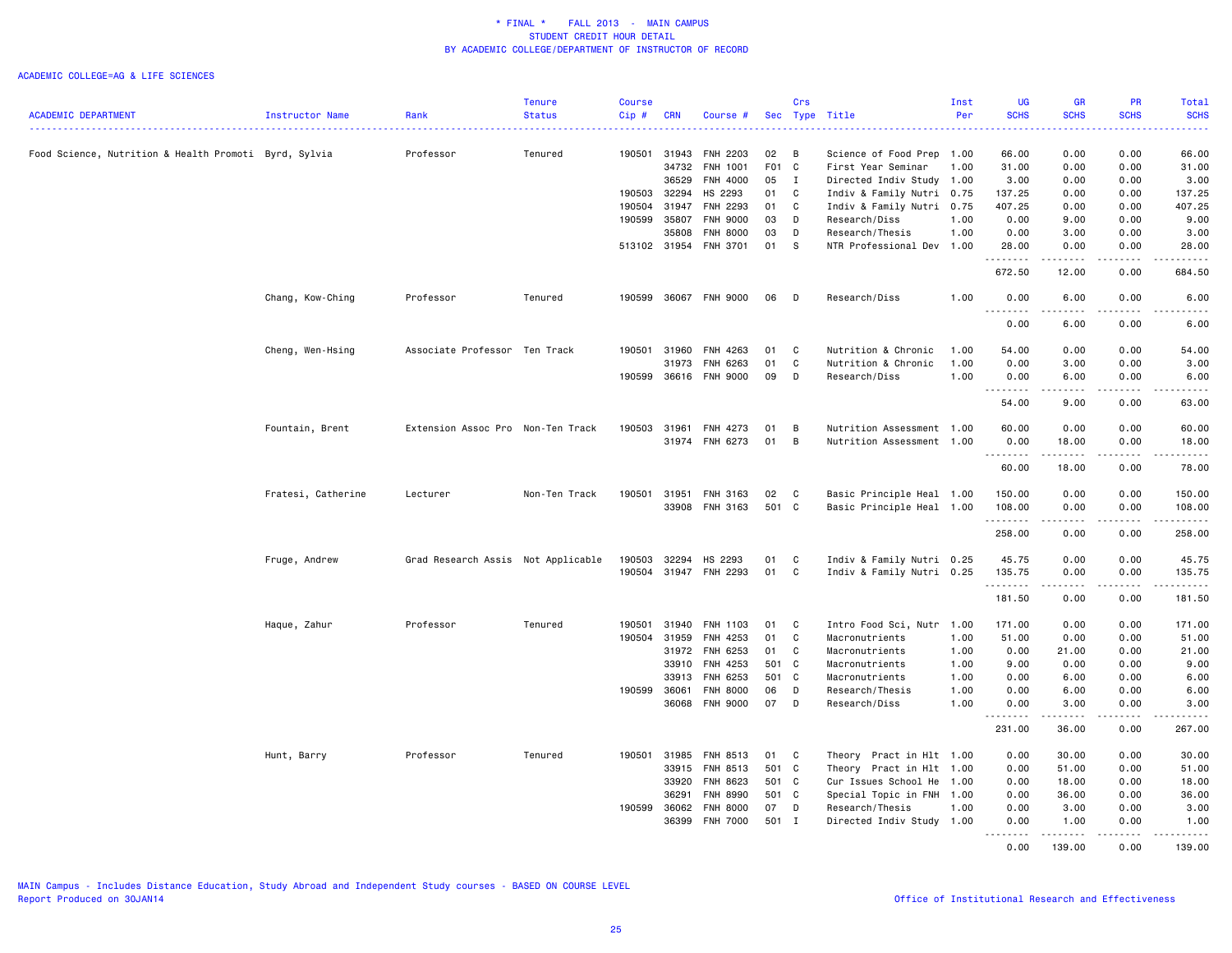|                                                       |                    |                                    | <b>Tenure</b> | <b>Course</b> |              |                       |       | Crs          |                           | Inst | <b>UG</b>                                                                                                                                                     | <b>GR</b>     | PR                                  | Total                                                |
|-------------------------------------------------------|--------------------|------------------------------------|---------------|---------------|--------------|-----------------------|-------|--------------|---------------------------|------|---------------------------------------------------------------------------------------------------------------------------------------------------------------|---------------|-------------------------------------|------------------------------------------------------|
| <b>ACADEMIC DEPARTMENT</b>                            | Instructor Name    | Rank                               | <b>Status</b> | Cip#          | <b>CRN</b>   | Course #              |       |              | Sec Type Title            | Per  | <b>SCHS</b>                                                                                                                                                   | <b>SCHS</b>   | <b>SCHS</b>                         | <b>SCHS</b><br>الدائدات                              |
| Food Science, Nutrition & Health Promoti Byrd, Sylvia |                    | Professor                          | Tenured       | 190501 31943  |              | FNH 2203              | 02    | В            | Science of Food Prep      | 1.00 | 66.00                                                                                                                                                         | 0.00          | 0.00                                | 66.00                                                |
|                                                       |                    |                                    |               |               | 34732        | FNH 1001              | F01   | $\mathbf{C}$ | First Year Seminar        | 1.00 | 31.00                                                                                                                                                         | 0.00          | 0.00                                | 31.00                                                |
|                                                       |                    |                                    |               |               | 36529        | FNH 4000              | 05    | $\mathbf{I}$ | Directed Indiv Study 1.00 |      | 3.00                                                                                                                                                          | 0.00          | 0.00                                | 3.00                                                 |
|                                                       |                    |                                    |               | 190503 32294  |              | HS 2293               | 01    | C            | Indiv & Family Nutri 0.75 |      | 137.25                                                                                                                                                        | 0.00          | 0.00                                | 137.25                                               |
|                                                       |                    |                                    |               | 190504        | 31947        | FNH 2293              | 01    | C            | Indiv & Family Nutri 0.75 |      | 407.25                                                                                                                                                        | 0.00          | 0.00                                | 407.25                                               |
|                                                       |                    |                                    |               | 190599        | 35807        | FNH 9000              | 03    | D            | Research/Diss             | 1.00 | 0.00                                                                                                                                                          | 9.00          | 0.00                                | 9.00                                                 |
|                                                       |                    |                                    |               |               | 35808        | <b>FNH 8000</b>       | 03    | D            | Research/Thesis           | 1.00 | 0.00                                                                                                                                                          | 3.00          | 0.00                                | 3.00                                                 |
|                                                       |                    |                                    |               | 513102 31954  |              | <b>FNH 3701</b>       | 01    | - S          | NTR Professional Dev 1.00 |      | 28.00<br>$\frac{1}{2} \left( \frac{1}{2} \right) \left( \frac{1}{2} \right) \left( \frac{1}{2} \right) \left( \frac{1}{2} \right) \left( \frac{1}{2} \right)$ | 0.00          | 0.00<br>$\sim$ $\sim$ $\sim$        | 28.00<br>-----                                       |
|                                                       |                    |                                    |               |               |              |                       |       |              |                           |      | 672.50                                                                                                                                                        | 12.00         | 0.00                                | 684.50                                               |
|                                                       | Chang, Kow-Ching   | Professor                          | Tenured       | 190599        |              | 36067 FNH 9000        | 06    | D            | Research/Diss             | 1.00 | 0.00                                                                                                                                                          | 6.00          | 0.00                                | 6.00<br>.                                            |
|                                                       |                    |                                    |               |               |              |                       |       |              |                           |      | .<br>0.00                                                                                                                                                     | 6.00          | 0.00                                | 6.00                                                 |
|                                                       | Cheng, Wen-Hsing   | Associate Professor Ten Track      |               | 190501        | 31960        | FNH 4263              | 01    | C            | Nutrition & Chronic       | 1.00 | 54.00                                                                                                                                                         | 0.00          | 0.00                                | 54.00                                                |
|                                                       |                    |                                    |               |               | 31973        | FNH 6263              | 01    | C            | Nutrition & Chronic       | 1.00 | 0.00                                                                                                                                                          | 3.00          | 0.00                                | 3.00                                                 |
|                                                       |                    |                                    |               | 190599        | 36616        | <b>FNH 9000</b>       | 09    | D            | Research/Diss             | 1.00 | 0.00<br>د د د د<br>$\sim$ $\sim$                                                                                                                              | 6.00          | 0.00<br>$  -$                       | 6.00<br>.                                            |
|                                                       |                    |                                    |               |               |              |                       |       |              |                           |      | 54.00                                                                                                                                                         | 9.00          | 0.00                                | 63.00                                                |
|                                                       | Fountain, Brent    | Extension Assoc Pro Non-Ten Track  |               | 190503        | 31961        | FNH 4273              | 01    | B            | Nutrition Assessment 1.00 |      | 60.00                                                                                                                                                         | 0.00          | 0.00                                | 60.00                                                |
|                                                       |                    |                                    |               |               | 31974        | FNH 6273              | 01    | B            | Nutrition Assessment 1.00 |      | 0.00                                                                                                                                                          | 18.00         | 0.00                                | 18.00                                                |
|                                                       |                    |                                    |               |               |              |                       |       |              |                           |      | .                                                                                                                                                             | .             | .                                   | .                                                    |
|                                                       |                    |                                    |               |               |              |                       |       |              |                           |      | 60.00                                                                                                                                                         | 18.00         | 0.00                                | 78.00                                                |
|                                                       | Fratesi, Catherine | Lecturer                           | Non-Ten Track | 190501        | 31951        | FNH 3163              | 02    | C            | Basic Principle Heal 1.00 |      | 150.00                                                                                                                                                        | 0.00          | 0.00                                | 150.00                                               |
|                                                       |                    |                                    |               |               | 33908        | FNH 3163              | 501 C |              | Basic Principle Heal 1.00 |      | 108.00<br><u>.</u>                                                                                                                                            | 0.00<br>.     | 0.00<br>.                           | 108.00<br>$- - - - - - -$                            |
|                                                       |                    |                                    |               |               |              |                       |       |              |                           |      | 258.00                                                                                                                                                        | 0.00          | 0.00                                | 258.00                                               |
|                                                       | Fruge, Andrew      | Grad Research Assis Not Applicable |               | 190503        | 32294        | HS 2293               | 01    | C            | Indiv & Family Nutri 0.25 |      | 45.75                                                                                                                                                         | 0.00          | 0.00                                | 45.75                                                |
|                                                       |                    |                                    |               |               |              | 190504 31947 FNH 2293 | 01    | C            | Indiv & Family Nutri 0.25 |      | 135.75<br>.                                                                                                                                                   | 0.00<br>----- | 0.00<br>د د د د                     | 135.75                                               |
|                                                       |                    |                                    |               |               |              |                       |       |              |                           |      | 181.50                                                                                                                                                        | 0.00          | 0.00                                | 181.50                                               |
|                                                       | Haque, Zahur       | Professor                          | Tenured       | 190501        | 31940        | FNH 1103              | 01    | C            | Intro Food Sci, Nutr 1.00 |      | 171.00                                                                                                                                                        | 0.00          | 0.00                                | 171.00                                               |
|                                                       |                    |                                    |               | 190504 31959  |              | FNH 4253              | 01    | C            | Macronutrients            | 1.00 | 51.00                                                                                                                                                         | 0.00          | 0.00                                | 51.00                                                |
|                                                       |                    |                                    |               |               | 31972        | FNH 6253              | 01    | C            | Macronutrients            | 1.00 | 0.00                                                                                                                                                          | 21.00         | 0.00                                | 21.00                                                |
|                                                       |                    |                                    |               |               | 33910        | FNH 4253              | 501 C |              | Macronutrients            | 1.00 | 9.00                                                                                                                                                          | 0.00          | 0.00                                | 9.00                                                 |
|                                                       |                    |                                    |               |               | 33913        | FNH 6253              | 501 C |              | Macronutrients            | 1.00 | 0.00                                                                                                                                                          | 6.00          | 0.00                                | 6.00                                                 |
|                                                       |                    |                                    |               | 190599        | 36061        | <b>FNH 8000</b>       | 06    | D            | Research/Thesis           | 1.00 | 0.00                                                                                                                                                          | 6.00          | 0.00                                | 6.00                                                 |
|                                                       |                    |                                    |               |               | 36068        | <b>FNH 9000</b>       | 07    | D            | Research/Diss             | 1.00 | 0.00<br>.                                                                                                                                                     | 3.00<br>.     | 0.00<br>$\frac{1}{2}$               | 3.00<br>.                                            |
|                                                       |                    |                                    |               |               |              |                       |       |              |                           |      | 231.00                                                                                                                                                        | 36.00         | 0.00                                | 267.00                                               |
|                                                       | Hunt, Barry        | Professor                          | Tenured       |               | 190501 31985 | FNH 8513              | 01    | C            | Theory Pract in Hlt 1.00  |      | 0.00                                                                                                                                                          | 30.00         | 0.00                                | 30.00                                                |
|                                                       |                    |                                    |               |               | 33915        | FNH 8513              | 501 C |              | Theory Pract in Hlt 1.00  |      | 0.00                                                                                                                                                          | 51.00         | 0.00                                | 51.00                                                |
|                                                       |                    |                                    |               |               | 33920        | FNH 8623              | 501 C |              | Cur Issues School He      | 1.00 | 0.00                                                                                                                                                          | 18.00         | 0.00                                | 18.00                                                |
|                                                       |                    |                                    |               |               | 36291        | FNH 8990              | 501 C |              | Special Topic in FNH 1.00 |      | 0.00                                                                                                                                                          | 36.00         | 0.00                                | 36.00                                                |
|                                                       |                    |                                    |               | 190599 36062  |              | FNH 8000              | 07    | D            | Research/Thesis           | 1.00 | 0.00                                                                                                                                                          | 3.00          | 0.00                                | 3.00                                                 |
|                                                       |                    |                                    |               |               | 36399        | FNH 7000              | 501 I |              | Directed Indiv Study 1.00 |      | 0.00<br>$\sim$ $\sim$ $\sim$<br>.                                                                                                                             | 1.00          | 0.00<br>$\sim$ $\sim$ $\sim$ $\sim$ | 1.00<br>$\omega$ $\omega$ $\omega$ $\omega$ $\omega$ |
|                                                       |                    |                                    |               |               |              |                       |       |              |                           |      | 0.00                                                                                                                                                          | 139.00        | 0.00                                | 139.00                                               |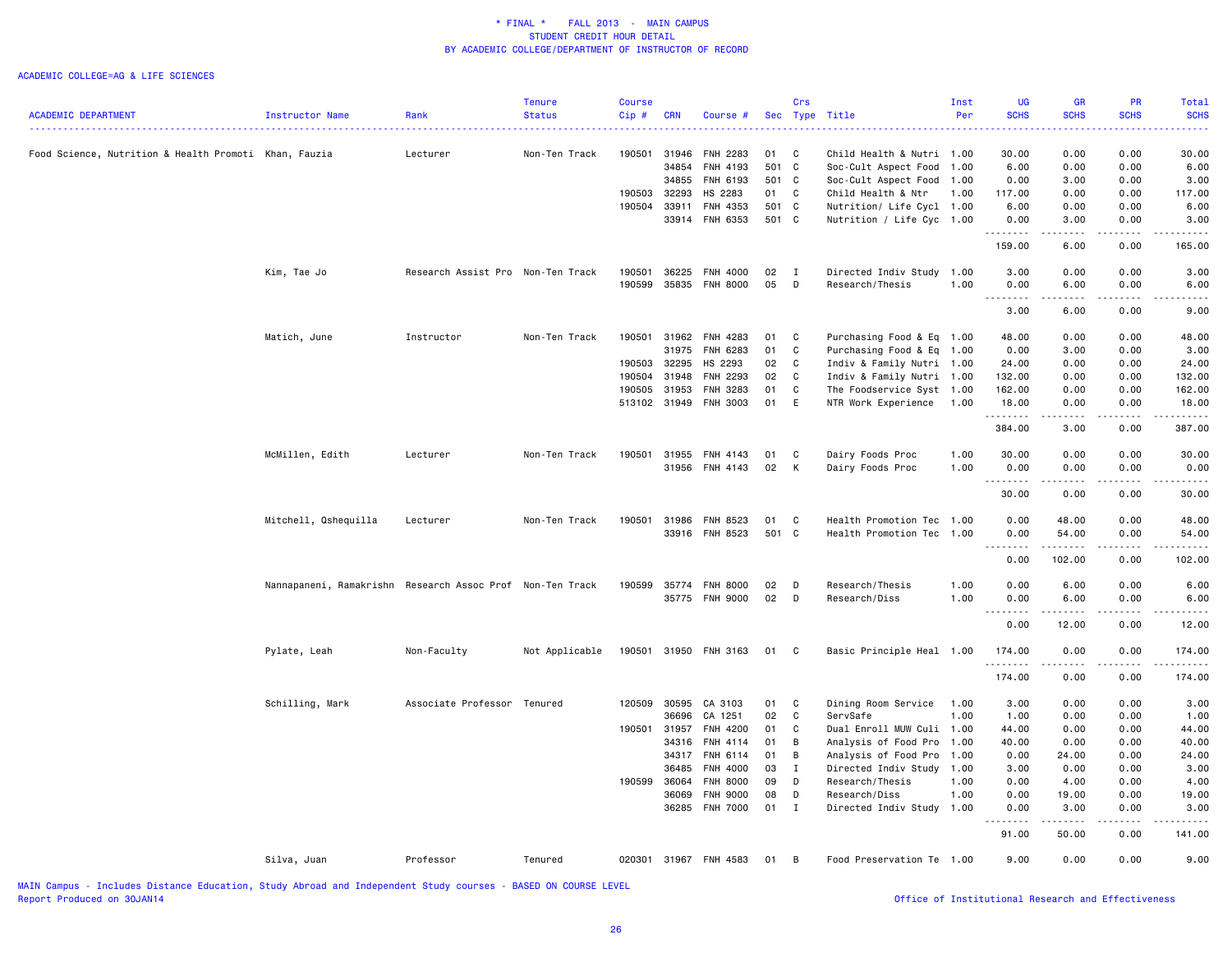#### ACADEMIC COLLEGE=AG & LIFE SCIENCES

|                                                       |                                                           |                                   | <b>Tenure</b>  | <b>Course</b> |                |                                    |          | Crs               |                                       | Inst         | <b>UG</b>                                                                                                                                                     | <b>GR</b>                                                                                                                         | PR                                                                                                                                                           | Total         |
|-------------------------------------------------------|-----------------------------------------------------------|-----------------------------------|----------------|---------------|----------------|------------------------------------|----------|-------------------|---------------------------------------|--------------|---------------------------------------------------------------------------------------------------------------------------------------------------------------|-----------------------------------------------------------------------------------------------------------------------------------|--------------------------------------------------------------------------------------------------------------------------------------------------------------|---------------|
| <b>ACADEMIC DEPARTMENT</b>                            | Instructor Name                                           | Rank                              | <b>Status</b>  | Cip#          | <b>CRN</b>     | Course #                           |          |                   | Sec Type Title                        | Per          | <b>SCHS</b>                                                                                                                                                   | <b>SCHS</b>                                                                                                                       | <b>SCHS</b>                                                                                                                                                  | <b>SCHS</b>   |
|                                                       |                                                           |                                   |                |               |                |                                    |          |                   |                                       |              |                                                                                                                                                               |                                                                                                                                   |                                                                                                                                                              |               |
| Food Science, Nutrition & Health Promoti Khan, Fauzia |                                                           | Lecturer                          | Non-Ten Track  | 190501        | 31946          | FNH 2283                           | 01       | $\mathbf{C}$      | Child Health & Nutri                  | 1.00         | 30.00                                                                                                                                                         | 0.00                                                                                                                              | 0.00                                                                                                                                                         | 30.00         |
|                                                       |                                                           |                                   |                |               | 34854          | FNH 4193                           | 501 C    |                   | Soc-Cult Aspect Food                  | 1.00         | 6.00                                                                                                                                                          | 0.00                                                                                                                              | 0.00                                                                                                                                                         | 6.00          |
|                                                       |                                                           |                                   |                |               | 34855          | FNH 6193                           | 501 C    |                   | Soc-Cult Aspect Food 1.00             |              | 0.00                                                                                                                                                          | 3.00                                                                                                                              | 0.00                                                                                                                                                         | 3.00          |
|                                                       |                                                           |                                   |                | 190503        | 32293          | HS 2283                            | 01       | C                 | Child Health & Ntr                    | 1.00         | 117.00                                                                                                                                                        | 0.00                                                                                                                              | 0.00                                                                                                                                                         | 117.00        |
|                                                       |                                                           |                                   |                | 190504        | 33911          | FNH 4353                           | 501 C    |                   | Nutrition/ Life Cycl 1.00             |              | 6.00                                                                                                                                                          | 0.00                                                                                                                              | 0.00                                                                                                                                                         | 6.00          |
|                                                       |                                                           |                                   |                |               | 33914          | FNH 6353                           | 501 C    |                   | Nutrition / Life Cyc 1.00             |              | 0.00<br>.                                                                                                                                                     | 3.00<br>$\frac{1}{2} \left( \frac{1}{2} \right) \left( \frac{1}{2} \right) \left( \frac{1}{2} \right) \left( \frac{1}{2} \right)$ | 0.00<br>.                                                                                                                                                    | 3.00<br>.     |
|                                                       |                                                           |                                   |                |               |                |                                    |          |                   |                                       |              | 159.00                                                                                                                                                        | 6.00                                                                                                                              | 0.00                                                                                                                                                         | 165.00        |
|                                                       | Kim, Tae Jo                                               | Research Assist Pro Non-Ten Track |                | 190501        | 36225          | FNH 4000                           | 02       | $\mathbf{I}$      | Directed Indiv Study                  | 1.00         | 3.00                                                                                                                                                          | 0.00                                                                                                                              | 0.00                                                                                                                                                         | 3.00          |
|                                                       |                                                           |                                   |                | 190599        |                | 35835 FNH 8000                     | 05       | D                 | Research/Thesis                       | 1.00         | 0.00                                                                                                                                                          | 6.00                                                                                                                              | 0.00                                                                                                                                                         | 6.00          |
|                                                       |                                                           |                                   |                |               |                |                                    |          |                   |                                       |              | $- - - - -$<br>3.00                                                                                                                                           | 6.00                                                                                                                              | 0.00                                                                                                                                                         | 9.00          |
|                                                       |                                                           |                                   |                |               |                |                                    |          |                   |                                       |              |                                                                                                                                                               |                                                                                                                                   |                                                                                                                                                              |               |
|                                                       | Matich, June                                              | Instructor                        | Non-Ten Track  | 190501        |                | 31962 FNH 4283                     | 01       | $\mathbf{C}$      | Purchasing Food & Eq 1.00             |              | 48.00                                                                                                                                                         | 0.00                                                                                                                              | 0.00                                                                                                                                                         | 48.00         |
|                                                       |                                                           |                                   |                |               | 31975          | FNH 6283                           | 01       | C                 | Purchasing Food & Eq 1.00             |              | 0.00                                                                                                                                                          | 3.00                                                                                                                              | 0.00                                                                                                                                                         | 3.00          |
|                                                       |                                                           |                                   |                | 190503        | 32295          | HS 2293                            | 02       | $\mathbf{C}$      | Indiv & Family Nutri 1.00             |              | 24.00                                                                                                                                                         | 0.00                                                                                                                              | 0.00                                                                                                                                                         | 24.00         |
|                                                       |                                                           |                                   |                | 190504        | 31948          | FNH 2293                           | 02       | $\mathbf{C}$      | Indiv & Family Nutri 1.00             |              | 132.00                                                                                                                                                        | 0.00                                                                                                                              | 0.00                                                                                                                                                         | 132.00        |
|                                                       |                                                           |                                   |                | 190505        | 31953          | FNH 3283                           | 01       | C                 | The Foodservice Syst 1.00             |              | 162.00                                                                                                                                                        | 0.00                                                                                                                              | 0.00                                                                                                                                                         | 162.00        |
|                                                       |                                                           |                                   |                |               |                | 513102 31949 FNH 3003              | 01       | E                 | NTR Work Experience                   | 1.00         | 18.00<br>.                                                                                                                                                    | 0.00<br>.                                                                                                                         | 0.00<br>$\frac{1}{2} \left( \frac{1}{2} \right) \left( \frac{1}{2} \right) \left( \frac{1}{2} \right) \left( \frac{1}{2} \right) \left( \frac{1}{2} \right)$ | 18.00<br>.    |
|                                                       |                                                           |                                   |                |               |                |                                    |          |                   |                                       |              | 384.00                                                                                                                                                        | 3.00                                                                                                                              | 0.00                                                                                                                                                         | 387.00        |
|                                                       | McMillen, Edith                                           | Lecturer                          | Non-Ten Track  | 190501        | 31955          | FNH 4143                           | 01       | C                 | Dairy Foods Proc                      | 1.00         | 30.00                                                                                                                                                         | 0.00                                                                                                                              | 0.00                                                                                                                                                         | 30.00         |
|                                                       |                                                           |                                   |                |               |                | 31956 FNH 4143                     | 02       | K                 | Dairy Foods Proc                      | 1.00         | 0.00                                                                                                                                                          | 0.00                                                                                                                              | 0.00                                                                                                                                                         | 0.00          |
|                                                       |                                                           |                                   |                |               |                |                                    |          |                   |                                       |              | .<br>30.00                                                                                                                                                    | $\sim$ $\sim$ $\sim$ $\sim$<br>0.00                                                                                               | 0.00                                                                                                                                                         | 30.00         |
|                                                       | Mitchell, Qshequilla                                      | Lecturer                          | Non-Ten Track  | 190501        | 31986          | FNH 8523                           | 01       | C                 | Health Promotion Tec                  | 1.00         | 0.00                                                                                                                                                          | 48.00                                                                                                                             | 0.00                                                                                                                                                         | 48.00         |
|                                                       |                                                           |                                   |                |               |                | 33916 FNH 8523                     | 501 C    |                   | Health Promotion Tec                  | 1.00         | 0.00                                                                                                                                                          | 54.00                                                                                                                             | 0.00                                                                                                                                                         | 54.00         |
|                                                       |                                                           |                                   |                |               |                |                                    |          |                   |                                       |              | $\frac{1}{2} \left( \frac{1}{2} \right) \left( \frac{1}{2} \right) \left( \frac{1}{2} \right) \left( \frac{1}{2} \right) \left( \frac{1}{2} \right)$          | .                                                                                                                                 | .                                                                                                                                                            |               |
|                                                       |                                                           |                                   |                |               |                |                                    |          |                   |                                       |              | 0.00                                                                                                                                                          | 102.00                                                                                                                            | 0.00                                                                                                                                                         | 102.00        |
|                                                       | Nannapaneni, Ramakrishn Research Assoc Prof Non-Ten Track |                                   |                | 190599        | 35774          | <b>FNH 8000</b>                    | 02       | D                 | Research/Thesis                       | 1.00         | 0.00                                                                                                                                                          | 6.00                                                                                                                              | 0.00                                                                                                                                                         | 6.00          |
|                                                       |                                                           |                                   |                |               | 35775          | <b>FNH 9000</b>                    | 02       | $\mathsf{D}$      | Research/Diss                         | 1.00         | 0.00                                                                                                                                                          | 6.00<br>د د د                                                                                                                     | 0.00                                                                                                                                                         | 6.00          |
|                                                       |                                                           |                                   |                |               |                |                                    |          |                   |                                       |              | -----<br>0.00                                                                                                                                                 | 12.00                                                                                                                             | 0.00                                                                                                                                                         | 12.00         |
|                                                       | Pylate, Leah                                              | Non-Faculty                       | Not Applicable | 190501        |                | 31950 FNH 3163                     | 01 C     |                   | Basic Principle Heal 1.00             |              | 174.00                                                                                                                                                        | 0.00                                                                                                                              | 0.00                                                                                                                                                         | 174.00        |
|                                                       |                                                           |                                   |                |               |                |                                    |          |                   |                                       |              | .<br>174.00                                                                                                                                                   | $\sim$ $\sim$ $\sim$<br>0.00                                                                                                      | .<br>0.00                                                                                                                                                    | 174.00        |
|                                                       | Schilling, Mark                                           | Associate Professor Tenured       |                | 120509        | 30595          | CA 3103                            | 01       | $\mathbf{C}$      | Dining Room Service                   | 1.00         | 3.00                                                                                                                                                          | 0.00                                                                                                                              | 0.00                                                                                                                                                         | 3.00          |
|                                                       |                                                           |                                   |                |               | 36696          | CA 1251                            | 02       | $\mathbf{C}$      | ServSafe                              | 1.00         | 1.00                                                                                                                                                          | 0.00                                                                                                                              | 0.00                                                                                                                                                         | 1.00          |
|                                                       |                                                           |                                   |                | 190501        | 31957          | FNH 4200                           | 01       | C                 | Dual Enroll MUW Culi 1.00             |              | 44.00                                                                                                                                                         | 0.00                                                                                                                              | 0.00                                                                                                                                                         | 44.00         |
|                                                       |                                                           |                                   |                |               | 34316          | FNH 4114                           | 01       | B                 | Analysis of Food Pro                  | 1.00         | 40.00                                                                                                                                                         | 0.00                                                                                                                              | 0.00                                                                                                                                                         | 40.00         |
|                                                       |                                                           |                                   |                |               | 34317          | FNH 6114                           | 01       | B                 | Analysis of Food Pro                  | 1.00         | 0.00                                                                                                                                                          | 24.00                                                                                                                             | 0.00                                                                                                                                                         | 24.00         |
|                                                       |                                                           |                                   |                |               | 36485          | FNH 4000                           | 03       | $\mathbf{I}$      | Directed Indiv Study                  | 1.00         | 3.00                                                                                                                                                          | 0.00                                                                                                                              | 0.00                                                                                                                                                         | 3.00          |
|                                                       |                                                           |                                   |                | 190599        | 36064          |                                    | 09       | D                 | Research/Thesis                       | 1.00         | 0.00                                                                                                                                                          |                                                                                                                                   |                                                                                                                                                              | 4.00          |
|                                                       |                                                           |                                   |                |               |                | <b>FNH 8000</b>                    |          |                   |                                       |              |                                                                                                                                                               | 4.00                                                                                                                              | 0.00                                                                                                                                                         |               |
|                                                       |                                                           |                                   |                |               | 36069<br>36285 | <b>FNH 9000</b><br><b>FNH 7000</b> | 08<br>01 | D<br>$\mathbf{I}$ | Research/Diss<br>Directed Indiv Study | 1.00<br>1.00 | 0.00<br>0.00                                                                                                                                                  | 19.00<br>3.00                                                                                                                     | 0.00<br>0.00                                                                                                                                                 | 19.00<br>3.00 |
|                                                       |                                                           |                                   |                |               |                |                                    |          |                   |                                       |              | $\frac{1}{2} \left( \frac{1}{2} \right) \left( \frac{1}{2} \right) \left( \frac{1}{2} \right) \left( \frac{1}{2} \right) \left( \frac{1}{2} \right)$<br>91.00 | د د د د د<br>50.00                                                                                                                | .<br>0.00                                                                                                                                                    | 141.00        |
|                                                       |                                                           |                                   |                |               |                |                                    |          |                   |                                       |              |                                                                                                                                                               |                                                                                                                                   |                                                                                                                                                              |               |
|                                                       | Silva, Juan                                               | Professor                         | Tenured        |               |                | 020301 31967 FNH 4583              | 01 B     |                   | Food Preservation Te 1.00             |              | 9.00                                                                                                                                                          | 0.00                                                                                                                              | 0.00                                                                                                                                                         | 9.00          |

MAIN Campus - Includes Distance Education, Study Abroad and Independent Study courses - BASED ON COURSE LEVEL Report Produced on 30JAN14 **Office of Institutional Research and Effectiveness Office** of Institutional Research and Effectiveness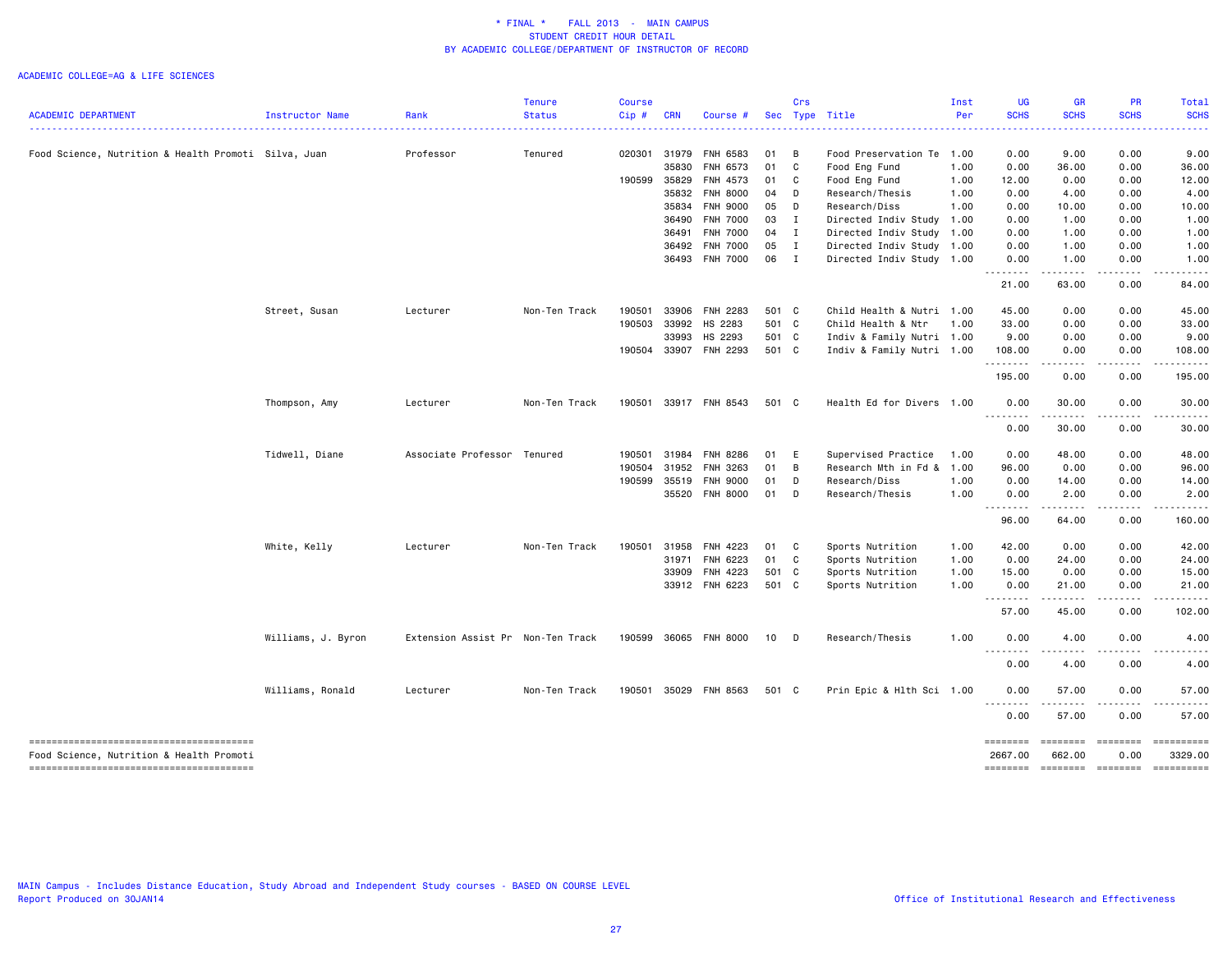|                                                      |                    |                                   | <b>Tenure</b> | <b>Course</b> |            |                       |       | Crs                        |                            | Inst | <b>UG</b>                      | <b>GR</b>          | <b>PR</b>   | Total                               |
|------------------------------------------------------|--------------------|-----------------------------------|---------------|---------------|------------|-----------------------|-------|----------------------------|----------------------------|------|--------------------------------|--------------------|-------------|-------------------------------------|
| <b>ACADEMIC DEPARTMENT</b>                           | Instructor Name    | Rank<br>. <u>.</u> .              | <b>Status</b> | Cip#          | <b>CRN</b> | Course #              |       |                            | Sec Type Title<br><u>.</u> | Per  | <b>SCHS</b>                    | <b>SCHS</b>        | <b>SCHS</b> | <b>SCHS</b>                         |
| Food Science, Nutrition & Health Promoti Silva, Juan |                    | Professor                         | Tenured       | 020301        | 31979      | FNH 6583              | 01    | B                          | Food Preservation Te       | 1.00 | 0.00                           | 9.00               | 0.00        | 9.00                                |
|                                                      |                    |                                   |               |               | 35830      | FNH 6573              | 01    | $\mathbf{C}$               | Food Eng Fund              | 1.00 | 0.00                           | 36.00              | 0.00        | 36.00                               |
|                                                      |                    |                                   |               | 190599        | 35829      | FNH 4573              | 01    | C                          | Food Eng Fund              | 1.00 | 12.00                          | 0.00               | 0.00        | 12.00                               |
|                                                      |                    |                                   |               |               | 35832      | <b>FNH 8000</b>       | 04    | D                          | Research/Thesis            | 1.00 | 0.00                           | 4.00               | 0.00        | 4.00                                |
|                                                      |                    |                                   |               |               | 35834      | <b>FNH 9000</b>       | 05    | D                          | Research/Diss              | 1.00 | 0.00                           | 10.00              | 0.00        | 10.00                               |
|                                                      |                    |                                   |               |               | 36490      | FNH 7000              | 03    | $\mathbf{I}$               | Directed Indiv Study 1.00  |      | 0.00                           | 1.00               | 0.00        | 1.00                                |
|                                                      |                    |                                   |               |               | 36491      | FNH 7000              | 04    | $\mathbf{I}$               | Directed Indiv Study 1.00  |      | 0.00                           | 1.00               | 0.00        | 1.00                                |
|                                                      |                    |                                   |               |               | 36492      | <b>FNH 7000</b>       | 05    | $\mathbf{I}$               | Directed Indiv Study 1.00  |      | 0.00                           | 1.00               | 0.00        | 1.00                                |
|                                                      |                    |                                   |               |               |            | 36493 FNH 7000        | 06 I  |                            | Directed Indiv Study 1.00  |      | 0.00<br>.                      | 1.00<br>.          | 0.00<br>.   | 1.00                                |
|                                                      |                    |                                   |               |               |            |                       |       |                            |                            |      | 21.00                          | 63.00              | 0.00        | 84.00                               |
|                                                      | Street, Susan      | Lecturer                          | Non-Ten Track | 190501        | 33906      | FNH 2283              | 501 C |                            | Child Health & Nutri 1.00  |      | 45.00                          | 0.00               | 0.00        | 45.00                               |
|                                                      |                    |                                   |               | 190503        | 33992      | HS 2283               | 501 C |                            | Child Health & Ntr         | 1.00 | 33.00                          | 0.00               | 0.00        | 33.00                               |
|                                                      |                    |                                   |               |               | 33993      | HS 2293               | 501 C |                            | Indiv & Family Nutri 1.00  |      | 9.00                           | 0.00               | 0.00        | 9.00                                |
|                                                      |                    |                                   |               | 190504        |            | 33907 FNH 2293        | 501 C |                            | Indiv & Family Nutri 1.00  |      | 108.00<br>.                    | 0.00<br>.          | 0.00        | 108.00                              |
|                                                      |                    |                                   |               |               |            |                       |       |                            |                            |      | 195.00                         | 0.00               | 0.00        | 195.00                              |
|                                                      | Thompson, Amy      | Lecturer                          | Non-Ten Track |               |            | 190501 33917 FNH 8543 | 501 C |                            | Health Ed for Divers 1.00  |      | 0.00<br>.                      | 30.00<br>.         | 0.00        | 30.00                               |
|                                                      |                    |                                   |               |               |            |                       |       |                            |                            |      | 0.00                           | 30.00              | 0.00        | 30.00                               |
|                                                      | Tidwell, Diane     | Associate Professor Tenured       |               | 190501        | 31984      | FNH 8286              | 01 E  |                            | Supervised Practice        | 1.00 | 0.00                           | 48.00              | 0.00        | 48.00                               |
|                                                      |                    |                                   |               | 190504        | 31952      | FNH 3263              | 01    | B                          | Research Mth in Fd & 1.00  |      | 96.00                          | 0.00               | 0.00        | 96.00                               |
|                                                      |                    |                                   |               | 190599        | 35519      | <b>FNH 9000</b>       | 01    | D                          | Research/Diss              | 1.00 | 0.00                           | 14.00              | 0.00        | 14.00                               |
|                                                      |                    |                                   |               |               |            | 35520 FNH 8000        | 01    | D                          | Research/Thesis            | 1.00 | 0.00<br>$- - - - -$<br>$- - -$ | 2.00               | 0.00        | 2.00                                |
|                                                      |                    |                                   |               |               |            |                       |       |                            |                            |      | 96.00                          | 64.00              | 0.00        | 160.00                              |
|                                                      | White, Kelly       | Lecturer                          | Non-Ten Track | 190501        | 31958      | <b>FNH 4223</b>       | 01    | $\overline{\phantom{a}}$ C | Sports Nutrition           | 1.00 | 42.00                          | 0.00               | 0.00        | 42.00                               |
|                                                      |                    |                                   |               |               | 31971      | FNH 6223              | 01 C  |                            | Sports Nutrition           | 1.00 | 0.00                           | 24.00              | 0.00        | 24.00                               |
|                                                      |                    |                                   |               |               | 33909      | FNH 4223              | 501 C |                            | Sports Nutrition           | 1.00 | 15.00                          | 0.00               | 0.00        | 15.00                               |
|                                                      |                    |                                   |               |               |            | 33912 FNH 6223        | 501 C |                            | Sports Nutrition           | 1.00 | 0.00<br><u>.</u>               | 21.00<br>-----     | 0.00<br>.   | 21.00                               |
|                                                      |                    |                                   |               |               |            |                       |       |                            |                            |      | 57.00                          | 45.00              | 0.00        | 102.00                              |
|                                                      | Williams, J. Byron | Extension Assist Pr Non-Ten Track |               | 190599        |            | 36065 FNH 8000        | 10 D  |                            | Research/Thesis            | 1.00 | 0.00                           | 4.00               | 0.00        | 4.00                                |
|                                                      |                    |                                   |               |               |            |                       |       |                            |                            |      | 0.00                           | $  -$<br>4.00      | 0.00        | 4.00                                |
|                                                      | Williams, Ronald   | Lecturer                          | Non-Ten Track | 190501        |            | 35029 FNH 8563        | 501 C |                            | Prin Epic & Hlth Sci 1.00  |      | 0.00                           | 57.00              | 0.00        | 57.00                               |
|                                                      |                    |                                   |               |               |            |                       |       |                            |                            |      | 0.00                           | 57.00              | 0.00        | 57.00                               |
| Food Science, Nutrition & Health Promoti             |                    |                                   |               |               |            |                       |       |                            |                            |      | ========<br>2667.00            | ========<br>662.00 | 0.00        | <b>EDEDEDEED</b><br>3329.00         |
| --------------------------------------               |                    |                                   |               |               |            |                       |       |                            |                            |      |                                |                    |             | -------- ------- -------- --------- |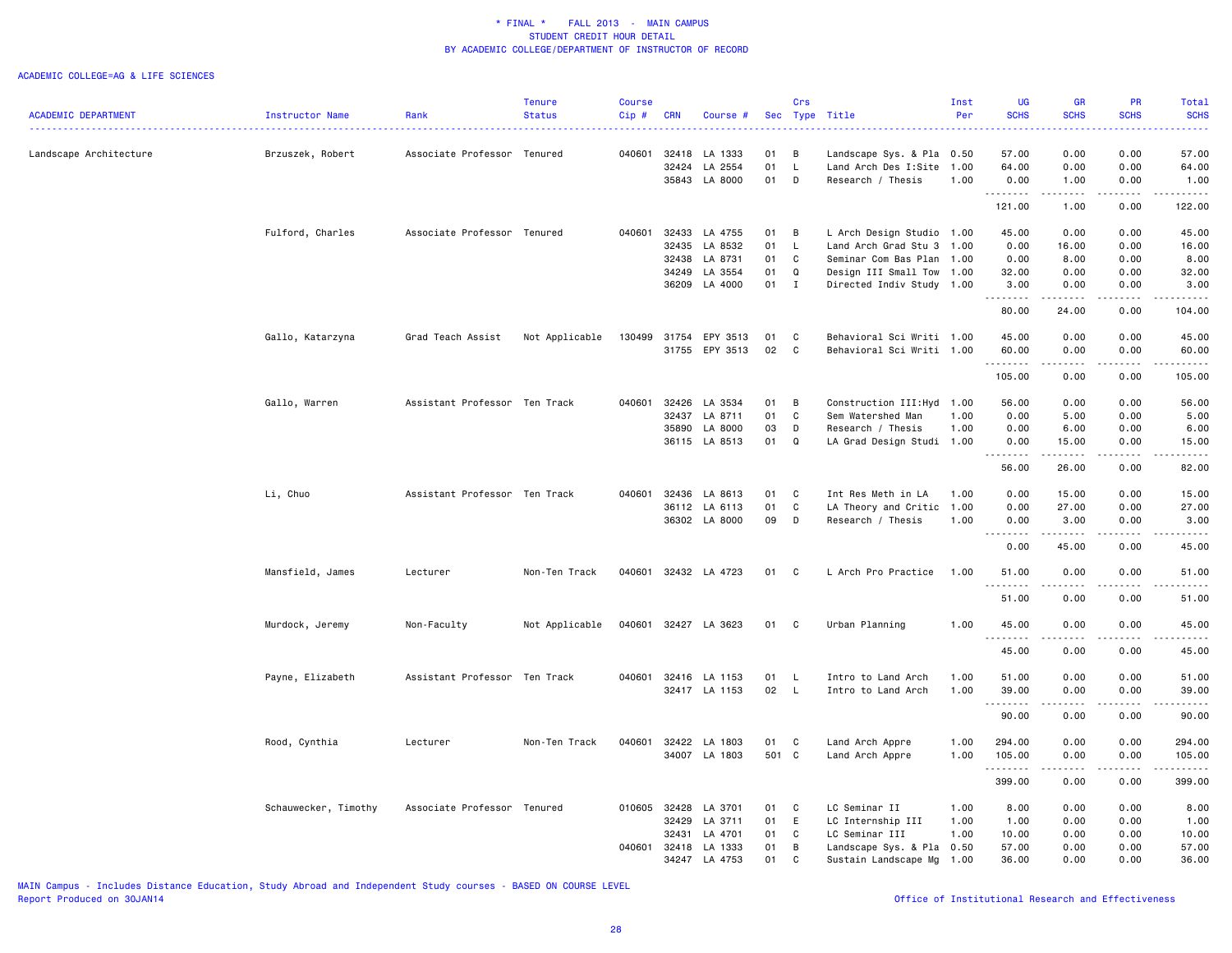#### ACADEMIC COLLEGE=AG & LIFE SCIENCES

|                            |                      |                               | Tenure         | <b>Course</b> |              |                      |       | Crs          |                            | Inst | <b>UG</b>                      | GR                                                                                                                                                           | <b>PR</b>   | Total                                                                                                                                                |
|----------------------------|----------------------|-------------------------------|----------------|---------------|--------------|----------------------|-------|--------------|----------------------------|------|--------------------------------|--------------------------------------------------------------------------------------------------------------------------------------------------------------|-------------|------------------------------------------------------------------------------------------------------------------------------------------------------|
| <b>ACADEMIC DEPARTMENT</b> | Instructor Name      | Rank                          | <b>Status</b>  | Cip#          | <b>CRN</b>   | Course #             |       |              | Sec Type Title             | Per  | <b>SCHS</b><br>.               | <b>SCHS</b><br>$\frac{1}{2} \left( \frac{1}{2} \right) \left( \frac{1}{2} \right) \left( \frac{1}{2} \right) \left( \frac{1}{2} \right)$                     | <b>SCHS</b> | <b>SCHS</b><br>$\frac{1}{2} \left( \frac{1}{2} \right) \left( \frac{1}{2} \right) \left( \frac{1}{2} \right) \left( \frac{1}{2} \right)$             |
|                            |                      |                               |                |               |              |                      |       |              |                            |      |                                |                                                                                                                                                              |             |                                                                                                                                                      |
| Landscape Architecture     | Brzuszek, Robert     | Associate Professor Tenured   |                | 040601        | 32418        | LA 1333              | 01    | B            | Landscape Sys. & Pla       | 0.50 | 57.00                          | 0.00                                                                                                                                                         | 0.00        | 57.00                                                                                                                                                |
|                            |                      |                               |                |               | 32424        | LA 2554              | 01    | L.           | Land Arch Des I:Site       | 1.00 | 64.00                          | 0.00                                                                                                                                                         | 0.00        | 64.00                                                                                                                                                |
|                            |                      |                               |                |               |              | 35843 LA 8000        | 01    | D            | Research / Thesis          | 1.00 | 0.00<br>.                      | 1.00<br>$\omega$ is $\omega$ in $\omega$                                                                                                                     | 0.00<br>.   | 1.00<br>------                                                                                                                                       |
|                            |                      |                               |                |               |              |                      |       |              |                            |      | 121.00                         | 1.00                                                                                                                                                         | 0.00        | 122.00                                                                                                                                               |
|                            | Fulford, Charles     | Associate Professor Tenured   |                | 040601        | 32433        | LA 4755              | 01    | B            | L Arch Design Studio 1.00  |      | 45.00                          | 0.00                                                                                                                                                         | 0.00        | 45.00                                                                                                                                                |
|                            |                      |                               |                |               | 32435        | LA 8532              | 01    | $\mathsf{L}$ | Land Arch Grad Stu 3       | 1.00 | 0.00                           | 16.00                                                                                                                                                        | 0.00        | 16.00                                                                                                                                                |
|                            |                      |                               |                |               | 32438        | LA 8731              | 01    | C            | Seminar Com Bas Plan       | 1.00 | 0.00                           | 8.00                                                                                                                                                         | 0.00        | 8.00                                                                                                                                                 |
|                            |                      |                               |                |               | 34249        | LA 3554              | 01    | Q            | Design III Small Tow 1.00  |      | 32.00                          | 0.00                                                                                                                                                         | 0.00        | 32.00                                                                                                                                                |
|                            |                      |                               |                |               |              | 36209 LA 4000        | 01    | $\mathbf{I}$ | Directed Indiv Study 1.00  |      | 3.00<br>.                      | 0.00                                                                                                                                                         | 0.00        | 3.00                                                                                                                                                 |
|                            |                      |                               |                |               |              |                      |       |              |                            |      | 80.00                          | $- - - - -$<br>24.00                                                                                                                                         | .<br>0.00   | .<br>104.00                                                                                                                                          |
|                            | Gallo, Katarzyna     | Grad Teach Assist             | Not Applicable | 130499        | 31754        | EPY 3513             | 01    | C            | Behavioral Sci Writi 1.00  |      | 45.00                          | 0.00                                                                                                                                                         | 0.00        | 45.00                                                                                                                                                |
|                            |                      |                               |                |               |              | 31755 EPY 3513       | 02    | C            | Behavioral Sci Writi 1.00  |      | 60.00                          | 0.00                                                                                                                                                         | 0.00        | 60.00                                                                                                                                                |
|                            |                      |                               |                |               |              |                      |       |              |                            |      | .                              | .                                                                                                                                                            | .           | -----                                                                                                                                                |
|                            |                      |                               |                |               |              |                      |       |              |                            |      | 105.00                         | 0.00                                                                                                                                                         | 0.00        | 105.00                                                                                                                                               |
|                            | Gallo, Warren        | Assistant Professor Ten Track |                | 040601        | 32426        | LA 3534              | 01    | B            | Construction III: Hyd 1.00 |      | 56.00                          | 0.00                                                                                                                                                         | 0.00        | 56.00                                                                                                                                                |
|                            |                      |                               |                |               | 32437        | LA 8711              | 01    | C            | Sem Watershed Man          | 1.00 | 0.00                           | 5.00                                                                                                                                                         | 0.00        | 5.00                                                                                                                                                 |
|                            |                      |                               |                |               | 35890        | LA 8000              | 03    | D            | Research / Thesis          | 1.00 | 0.00                           | 6.00                                                                                                                                                         | 0.00        | 6.00                                                                                                                                                 |
|                            |                      |                               |                |               |              | 36115 LA 8513        | 01    | $\Omega$     | LA Grad Design Studi 1.00  |      | 0.00                           | 15.00                                                                                                                                                        | 0.00        | 15.00                                                                                                                                                |
|                            |                      |                               |                |               |              |                      |       |              |                            |      | .<br>56.00                     | .<br>26.00                                                                                                                                                   | .<br>0.00   | .<br>82.00                                                                                                                                           |
|                            | Li, Chuo             | Assistant Professor Ten Track |                | 040601        | 32436        | LA 8613              | 01    | C            | Int Res Meth in LA         | 1.00 | 0.00                           | 15.00                                                                                                                                                        | 0.00        | 15.00                                                                                                                                                |
|                            |                      |                               |                |               |              | 36112 LA 6113        | 01    | C            | LA Theory and Critic       | 1.00 | 0.00                           | 27.00                                                                                                                                                        | 0.00        | 27.00                                                                                                                                                |
|                            |                      |                               |                |               |              | 36302 LA 8000        | 09    | D            | Research / Thesis          | 1.00 | 0.00                           | 3.00                                                                                                                                                         | 0.00        | 3.00                                                                                                                                                 |
|                            |                      |                               |                |               |              |                      |       |              |                            |      | <u>.</u><br>0.00               | .<br>45.00                                                                                                                                                   | .<br>0.00   | .<br>45.00                                                                                                                                           |
|                            | Mansfield, James     | Lecturer                      | Non-Ten Track  |               |              | 040601 32432 LA 4723 | 01    | C            | L Arch Pro Practice        | 1.00 | 51.00                          | 0.00                                                                                                                                                         | 0.00        | 51.00                                                                                                                                                |
|                            |                      |                               |                |               |              |                      |       |              |                            |      | <b><i><u></u></i></b><br>51.00 | $\frac{1}{2} \left( \frac{1}{2} \right) \left( \frac{1}{2} \right) \left( \frac{1}{2} \right) \left( \frac{1}{2} \right) \left( \frac{1}{2} \right)$<br>0.00 | .<br>0.00   | .<br>51.00                                                                                                                                           |
|                            | Murdock, Jeremy      | Non-Faculty                   | Not Applicable |               |              | 040601 32427 LA 3623 | 01    | $\mathbf{C}$ | Urban Planning             | 1.00 | 45.00                          | 0.00                                                                                                                                                         | 0.00        | 45.00                                                                                                                                                |
|                            |                      |                               |                |               |              |                      |       |              |                            |      | . <b>.</b>                     |                                                                                                                                                              |             |                                                                                                                                                      |
|                            |                      |                               |                |               |              |                      |       |              |                            |      | 45.00                          | 0.00                                                                                                                                                         | 0.00        | 45.00                                                                                                                                                |
|                            | Payne, Elizabeth     | Assistant Professor Ten Track |                | 040601        |              | 32416 LA 1153        | 01    | <b>L</b>     | Intro to Land Arch         | 1.00 | 51.00                          | 0.00                                                                                                                                                         | 0.00        | 51.00                                                                                                                                                |
|                            |                      |                               |                |               |              | 32417 LA 1153        | 02    | L.           | Intro to Land Arch         | 1.00 | 39.00                          | 0.00                                                                                                                                                         | 0.00        | 39.00                                                                                                                                                |
|                            |                      |                               |                |               |              |                      |       |              |                            |      | .<br>90.00                     | المتماما<br>0.00                                                                                                                                             | .<br>0.00   | .<br>90.00                                                                                                                                           |
|                            | Rood, Cynthia        | Lecturer                      | Non-Ten Track  | 040601        | 32422        | LA 1803              | 01    | C            | Land Arch Appre            | 1.00 | 294.00                         | 0.00                                                                                                                                                         | 0.00        | 294.00                                                                                                                                               |
|                            |                      |                               |                |               |              | 34007 LA 1803        | 501 C |              | Land Arch Appre            | 1.00 | 105.00                         | 0.00                                                                                                                                                         | 0.00        | 105.00                                                                                                                                               |
|                            |                      |                               |                |               |              |                      |       |              |                            |      | .                              | .                                                                                                                                                            | .           | $\frac{1}{2} \left( \frac{1}{2} \right) \left( \frac{1}{2} \right) \left( \frac{1}{2} \right) \left( \frac{1}{2} \right) \left( \frac{1}{2} \right)$ |
|                            |                      |                               |                |               |              |                      |       |              |                            |      | 399.00                         | 0.00                                                                                                                                                         | 0.00        | 399.00                                                                                                                                               |
|                            | Schauwecker, Timothy | Associate Professor Tenured   |                |               | 010605 32428 | LA 3701              | 01    | C            | LC Seminar II              | 1.00 | 8.00                           | 0.00                                                                                                                                                         | 0.00        | 8.00                                                                                                                                                 |
|                            |                      |                               |                |               | 32429        | LA 3711              | 01    | E            | LC Internship III          | 1.00 | 1.00                           | 0.00                                                                                                                                                         | 0.00        | 1.00                                                                                                                                                 |
|                            |                      |                               |                |               | 32431        | LA 4701              | 01    | C            | LC Seminar III             | 1.00 | 10.00                          | 0.00                                                                                                                                                         | 0.00        | 10.00                                                                                                                                                |
|                            |                      |                               |                | 040601        | 32418        | LA 1333              | 01    | В            | Landscape Sys. & Pla       | 0.50 | 57.00                          | 0.00                                                                                                                                                         | 0.00        | 57.00                                                                                                                                                |
|                            |                      |                               |                |               | 34247        | LA 4753              | 01    | C            | Sustain Landscape Mg       | 1.00 | 36.00                          | 0.00                                                                                                                                                         | 0.00        | 36.00                                                                                                                                                |

MAIN Campus - Includes Distance Education, Study Abroad and Independent Study courses - BASED ON COURSE LEVEL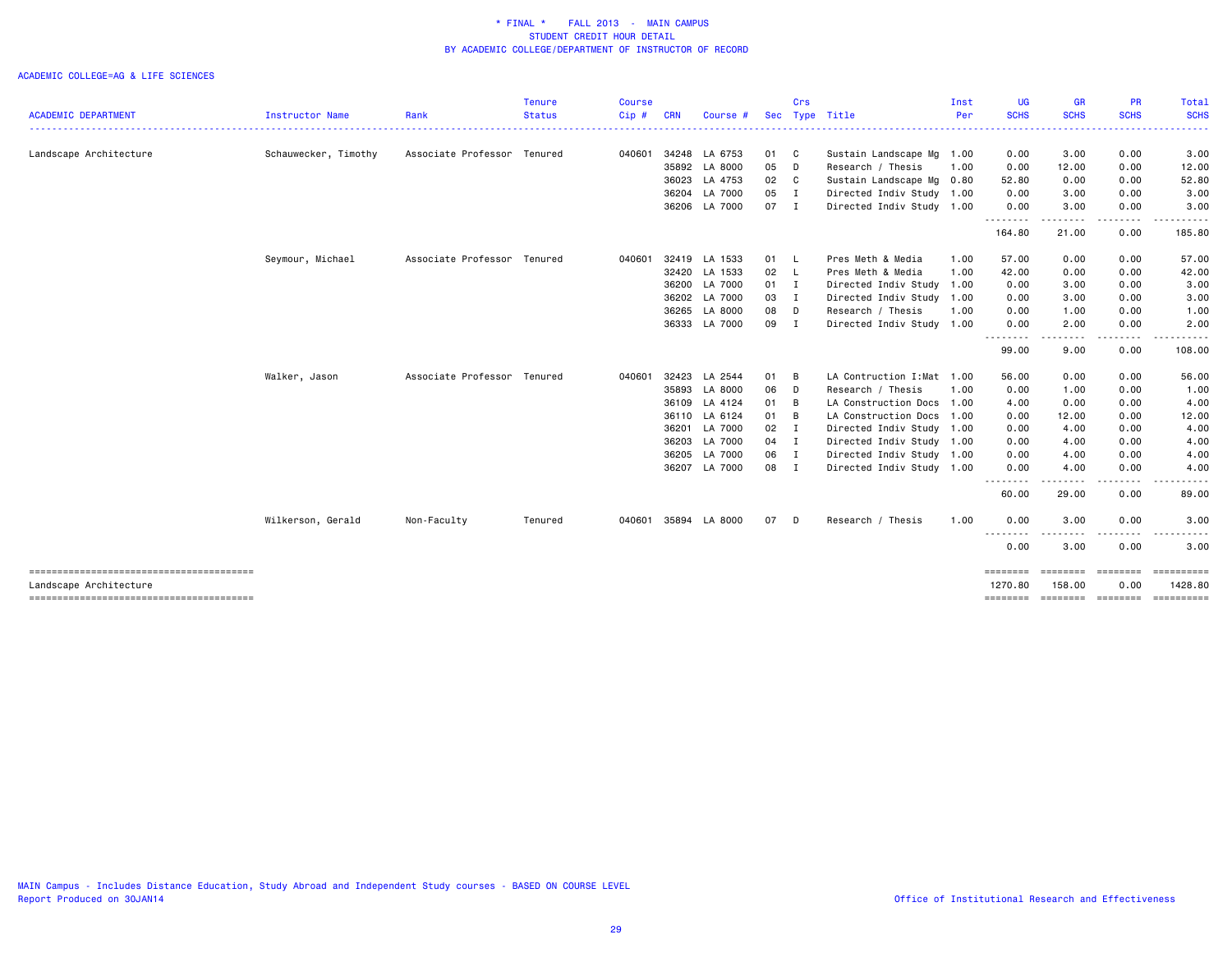|                            |                      |                             | <b>Tenure</b> | <b>Course</b> |            |               |              | Crs |                            | Inst | UG                  | <b>GR</b>                | PR                      | Total                          |
|----------------------------|----------------------|-----------------------------|---------------|---------------|------------|---------------|--------------|-----|----------------------------|------|---------------------|--------------------------|-------------------------|--------------------------------|
| <b>ACADEMIC DEPARTMENT</b> | Instructor Name      | Rank                        | <b>Status</b> | Cip#          | <b>CRN</b> | Course #      | <b>Sec</b>   |     | Type Title                 | Per  | <b>SCHS</b>         | <b>SCHS</b><br>--------  | <b>SCHS</b>             | <b>SCHS</b><br>- - - - - - - - |
| Landscape Architecture     | Schauwecker, Timothy | Associate Professor Tenured |               | 040601        |            | 34248 LA 6753 | 01 C         |     | Sustain Landscape Mg 1.00  |      | 0.00                | 3.00                     | 0.00                    | 3.00                           |
|                            |                      |                             |               |               |            | 35892 LA 8000 | 05 D         |     | Research / Thesis          | 1.00 | 0.00                | 12.00                    | 0.00                    | 12.00                          |
|                            |                      |                             |               |               | 36023      | LA 4753       | 02 C         |     | Sustain Landscape Mg 0.80  |      | 52.80               | 0.00                     | 0.00                    | 52.80                          |
|                            |                      |                             |               |               |            | 36204 LA 7000 | 05 I         |     | Directed Indiv Study 1.00  |      | 0.00                | 3.00                     | 0.00                    | 3.00                           |
|                            |                      |                             |               |               |            | 36206 LA 7000 | 07 I         |     | Directed Indiv Study 1.00  |      | 0.00<br>.           | 3.00<br>-----            | 0.00<br>.               | 3.00                           |
|                            |                      |                             |               |               |            |               |              |     |                            |      | 164.80              | 21.00                    | 0.00                    | 185.80                         |
|                            | Seymour, Michael     | Associate Professor Tenured |               | 040601        |            | 32419 LA 1533 | 01 L         |     | Pres Meth & Media          | 1.00 | 57.00               | 0.00                     | 0.00                    | 57.00                          |
|                            |                      |                             |               |               |            | 32420 LA 1533 | $02 \quad L$ |     | Pres Meth & Media          | 1.00 | 42.00               | 0.00                     | 0.00                    | 42.00                          |
|                            |                      |                             |               |               | 36200      | LA 7000       | 01 I         |     | Directed Indiv Study       | 1.00 | 0.00                | 3.00                     | 0.00                    | 3.00                           |
|                            |                      |                             |               |               |            | 36202 LA 7000 | 03 I         |     | Directed Indiv Study       | 1.00 | 0.00                | 3.00                     | 0.00                    | 3.00                           |
|                            |                      |                             |               |               | 36265      | LA 8000       | 08 D         |     | Research / Thesis          | 1.00 | 0.00                | 1.00                     | 0.00                    | 1.00                           |
|                            |                      |                             |               |               |            | 36333 LA 7000 | 09 I         |     | Directed Indiv Study 1.00  |      | 0.00<br>.           | 2.00                     | 0.00                    | 2.00                           |
|                            |                      |                             |               |               |            |               |              |     |                            |      | 99.00               | 9.00                     | 0.00                    | 108.00                         |
|                            | Walker, Jason        | Associate Professor Tenured |               | 040601        | 32423      | LA 2544       | 01 B         |     | LA Contruction I: Mat 1.00 |      | 56.00               | 0.00                     | 0.00                    | 56.00                          |
|                            |                      |                             |               |               | 35893      | LA 8000       | 06 D         |     | Research / Thesis          | 1.00 | 0.00                | 1.00                     | 0.00                    | 1.00                           |
|                            |                      |                             |               |               |            | 36109 LA 4124 | 01 B         |     | LA Construction Docs       | 1.00 | 4.00                | 0.00                     | 0.00                    | 4.00                           |
|                            |                      |                             |               |               |            | 36110 LA 6124 | $01 \quad B$ |     | LA Construction Docs       | 1.00 | 0.00                | 12.00                    | 0.00                    | 12.00                          |
|                            |                      |                             |               |               | 36201      | LA 7000       | $02 \quad I$ |     | Directed Indiv Study 1.00  |      | 0.00                | 4.00                     | 0.00                    | 4.00                           |
|                            |                      |                             |               |               | 36203      | LA 7000       | 04 I         |     | Directed Indiv Study 1.00  |      | 0.00                | 4.00                     | 0.00                    | 4.00                           |
|                            |                      |                             |               |               |            | 36205 LA 7000 | 06 I         |     | Directed Indiv Study 1.00  |      | 0.00                | 4.00                     | 0.00                    | 4.00                           |
|                            |                      |                             |               |               |            | 36207 LA 7000 | 08 I         |     | Directed Indiv Study 1.00  |      | 0.00                | 4.00<br>.                | 0.00<br>$\frac{1}{2}$   | 4.00                           |
|                            |                      |                             |               |               |            |               |              |     |                            |      | .<br>60.00          | 29.00                    | 0.00                    | 89.00                          |
|                            | Wilkerson, Gerald    | Non-Faculty                 | Tenured       | 040601        |            | 35894 LA 8000 | 07 D         |     | Research / Thesis          | 1.00 | 0.00                | 3.00                     | 0.00                    | 3.00                           |
|                            |                      |                             |               |               |            |               |              |     |                            |      | .<br>0.00           | 3.00                     | 0.00                    | 3.00                           |
| Landscape Architecture     |                      |                             |               |               |            |               |              |     |                            |      | ========<br>1270.80 | <b>EEEEEEE</b><br>158.00 | <b>EBBEBBBB</b><br>0.00 | 1428.80                        |
|                            |                      |                             |               |               |            |               |              |     |                            |      | ========            |                          | --------- --------      |                                |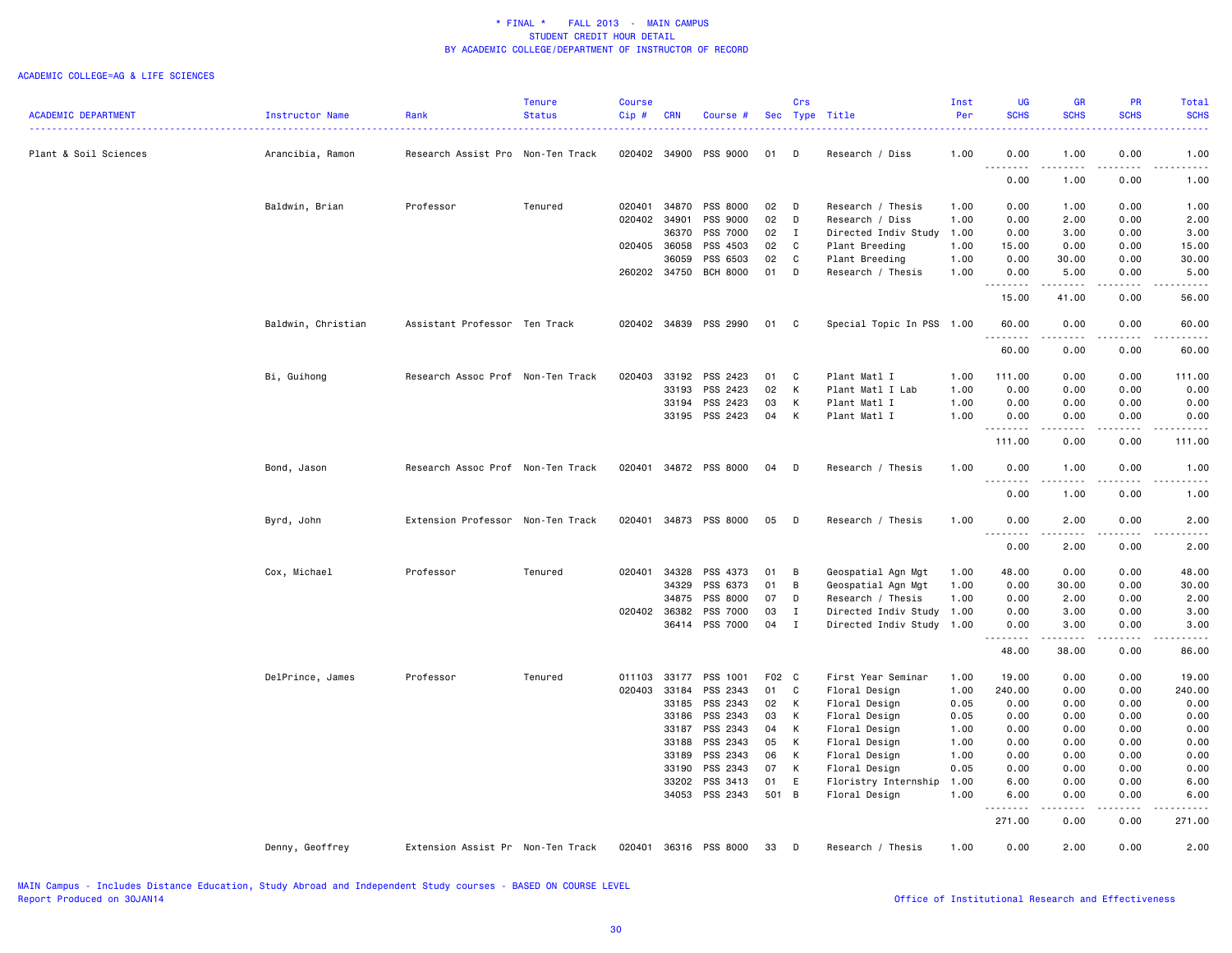|                            |                    |                                   | <b>Tenure</b> | <b>Course</b> |            |                       |       | Crs          |                           | Inst | UG                                      | <b>GR</b>          | <b>PR</b>                    | Total                              |
|----------------------------|--------------------|-----------------------------------|---------------|---------------|------------|-----------------------|-------|--------------|---------------------------|------|-----------------------------------------|--------------------|------------------------------|------------------------------------|
| <b>ACADEMIC DEPARTMENT</b> | Instructor Name    | Rank                              | <b>Status</b> | $Cip$ #       | <b>CRN</b> | Course #              |       |              | Sec Type Title            | Per  | <b>SCHS</b>                             | <b>SCHS</b>        | <b>SCHS</b>                  | <b>SCHS</b><br>----                |
| Plant & Soil Sciences      | Arancibia, Ramon   | Research Assist Pro Non-Ten Track |               | 020402        | 34900      | PSS 9000              | 01    | D            | Research / Diss           | 1.00 | 0.00                                    | 1.00               | 0.00                         | 1.00                               |
|                            |                    |                                   |               |               |            |                       |       |              |                           |      | $- - - -$<br>0.00                       | $- - - -$<br>1.00  | $\sim$ $\sim$ $\sim$<br>0.00 | -----<br>1.00                      |
|                            | Baldwin, Brian     | Professor                         | Tenured       | 020401        | 34870      | PSS 8000              | 02    | D            | Research / Thesis         | 1.00 | 0.00                                    | 1.00               | 0.00                         | 1.00                               |
|                            |                    |                                   |               | 020402        | 34901      | PSS 9000              | 02    | D            | Research / Diss           | 1.00 | 0.00                                    | 2.00               | 0.00                         | 2.00                               |
|                            |                    |                                   |               |               | 36370      | PSS 7000              | 02    | $\mathbf{I}$ | Directed Indiv Study      | 1.00 | 0.00                                    | 3.00               | 0.00                         | 3.00                               |
|                            |                    |                                   |               | 020405 36058  |            | PSS 4503              | 02    | C            | Plant Breeding            | 1.00 | 15.00                                   | 0.00               | 0.00                         | 15.00                              |
|                            |                    |                                   |               |               | 36059      | PSS 6503              | 02    | C            | Plant Breeding            | 1.00 | 0.00                                    | 30.00              | 0.00                         | 30.00                              |
|                            |                    |                                   |               | 260202 34750  |            | <b>BCH 8000</b>       | 01    | D            | Research / Thesis         | 1.00 | 0.00                                    | 5.00               | 0.00                         | 5.00                               |
|                            |                    |                                   |               |               |            |                       |       |              |                           |      | 15.00                                   | 41.00              | 0.00                         | 56.00                              |
|                            | Baldwin, Christian | Assistant Professor Ten Track     |               |               |            | 020402 34839 PSS 2990 | 01    | $\mathbf{C}$ | Special Topic In PSS 1.00 |      | 60.00                                   | 0.00               | 0.00                         | 60.00                              |
|                            |                    |                                   |               |               |            |                       |       |              |                           |      | 60.00                                   | .<br>0.00          | $- - - - -$<br>0.00          | .<br>60.00                         |
|                            | Bi, Guihong        | Research Assoc Prof Non-Ten Track |               | 020403        | 33192      | PSS 2423              | 01    | C            | Plant Matl I              | 1.00 | 111.00                                  | 0.00               | 0.00                         | 111.00                             |
|                            |                    |                                   |               |               | 33193      | PSS 2423              | 02    | K            | Plant Matl I Lab          | 1.00 | 0.00                                    | 0.00               | 0.00                         | 0.00                               |
|                            |                    |                                   |               |               | 33194      | PSS 2423              | 03    | К            | Plant Matl I              | 1.00 | 0.00                                    | 0.00               | 0.00                         | 0.00                               |
|                            |                    |                                   |               |               | 33195      | PSS 2423              | 04    | K            | Plant Matl I              | 1.00 | 0.00                                    | 0.00               | 0.00                         | 0.00                               |
|                            |                    |                                   |               |               |            |                       |       |              |                           |      | .<br>111.00                             | -----<br>0.00      | .<br>0.00                    | .<br>111.00                        |
|                            | Bond, Jason        | Research Assoc Prof Non-Ten Track |               | 020401        |            | 34872 PSS 8000        | 04    | D            | Research / Thesis         | 1.00 | 0.00                                    | 1.00               | 0.00                         | 1.00                               |
|                            |                    |                                   |               |               |            |                       |       |              |                           |      |                                         | $- - - - -$        | .                            | $\sim$ $\sim$ $\sim$ $\sim$ $\sim$ |
|                            |                    |                                   |               |               |            |                       |       |              |                           |      | 0.00                                    | 1.00               | 0.00                         | 1.00                               |
|                            | Byrd, John         | Extension Professor Non-Ten Track |               | 020401        |            | 34873 PSS 8000        | 05    | D            | Research / Thesis         | 1.00 | 0.00<br>- - - -                         | 2.00               | 0.00                         | 2.00                               |
|                            |                    |                                   |               |               |            |                       |       |              |                           |      | 0.00                                    | 2.00               | 0.00                         | 2.00                               |
|                            | Cox, Michael       | Professor                         | Tenured       | 020401        | 34328      | PSS 4373              | 01    | B            | Geospatial Agn Mgt        | 1.00 | 48.00                                   | 0.00               | 0.00                         | 48.00                              |
|                            |                    |                                   |               |               | 34329      | PSS 6373              | 01    | В            | Geospatial Agn Mgt        | 1.00 | 0.00                                    | 30.00              | 0.00                         | 30.00                              |
|                            |                    |                                   |               |               | 34875      | PSS 8000              | 07    | D            | Research / Thesis         | 1.00 | 0.00                                    | 2.00               | 0.00                         | 2.00                               |
|                            |                    |                                   |               | 020402 36382  |            | PSS 7000              | 03    | $\mathbf{I}$ | Directed Indiv Study      | 1.00 | 0.00                                    | 3.00               | 0.00                         | 3.00                               |
|                            |                    |                                   |               |               | 36414      | PSS 7000              | 04    | $\mathbf{I}$ | Directed Indiv Study 1.00 |      | 0.00                                    | 3.00               | 0.00                         | 3.00                               |
|                            |                    |                                   |               |               |            |                       |       |              |                           |      | 48.00                                   | د د د د د<br>38.00 | $   -$<br>0.00               | .<br>86.00                         |
|                            | DelPrince, James   | Professor                         | Tenured       | 011103 33177  |            | PSS 1001              | F02 C |              | First Year Seminar        | 1.00 | 19.00                                   | 0.00               | 0.00                         | 19.00                              |
|                            |                    |                                   |               | 020403 33184  |            | PSS 2343              | 01    | $\mathbf c$  | Floral Design             | 1.00 | 240.00                                  | 0.00               | 0.00                         | 240.00                             |
|                            |                    |                                   |               |               | 33185      | PSS 2343              | 02    | K            | Floral Design             | 0.05 | 0.00                                    | 0.00               | 0.00                         | 0.00                               |
|                            |                    |                                   |               |               | 33186      | PSS 2343              | 03    | K            | Floral Design             | 0.05 | 0.00                                    | 0.00               | 0.00                         | 0.00                               |
|                            |                    |                                   |               |               | 33187      | PSS 2343              | 04    | К            | Floral Design             | 1.00 | 0.00                                    | 0.00               | 0.00                         | 0.00                               |
|                            |                    |                                   |               |               | 33188      | PSS 2343              | 05    | K            | Floral Design             | 1.00 | 0.00                                    | 0.00               | 0.00                         | 0.00                               |
|                            |                    |                                   |               |               | 33189      | PSS 2343              | 06    | K            | Floral Design             | 1.00 | 0.00                                    | 0.00               | 0.00                         | 0.00                               |
|                            |                    |                                   |               |               |            | PSS 2343              | 07    | К            |                           | 0.05 |                                         |                    |                              | 0.00                               |
|                            |                    |                                   |               |               | 33190      |                       |       |              | Floral Design             |      | 0.00                                    | 0.00               | 0.00                         |                                    |
|                            |                    |                                   |               |               | 33202      | PSS 3413              | 01    | E            | Floristry Internship      | 1.00 | 6.00                                    | 0.00               | 0.00                         | 6.00                               |
|                            |                    |                                   |               |               | 34053      | PSS 2343              | 501 B |              | Floral Design             | 1.00 | 6.00<br>د د د د<br>$\sim$ $\sim$ $\sim$ | 0.00<br>.          | 0.00<br>.                    | 6.00<br>.                          |
|                            |                    |                                   |               |               |            |                       |       |              |                           |      | 271.00                                  | 0.00               | 0.00                         | 271.00                             |
|                            | Denny, Geoffrey    | Extension Assist Pr Non-Ten Track |               | 020401        |            | 36316 PSS 8000        | 33    | D            | Research / Thesis         | 1.00 | 0.00                                    | 2.00               | 0.00                         | 2.00                               |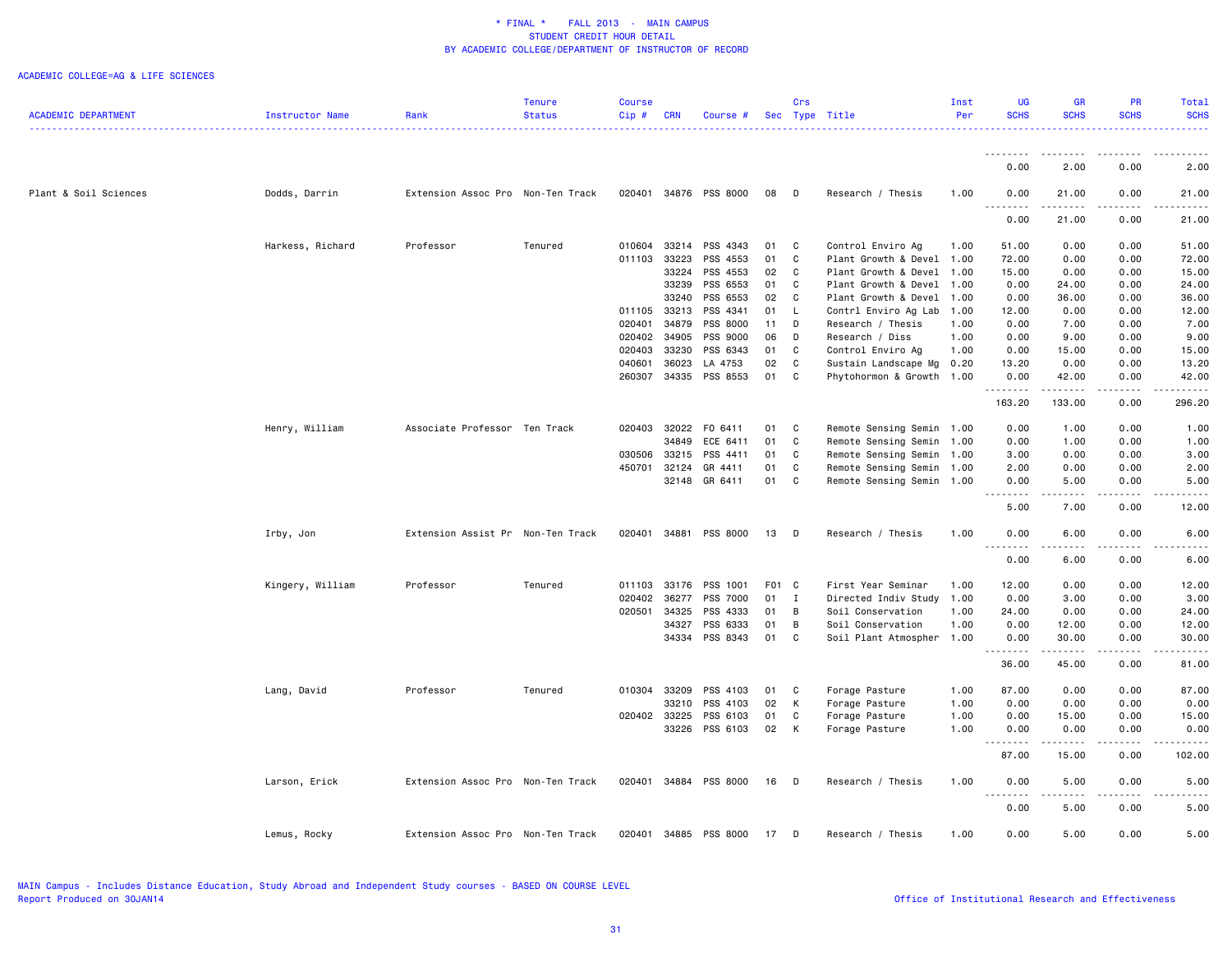|                            |                  |                                   | Tenure        | <b>Course</b> |              |                       |       | Crs            |                           | Inst | UG                        | <b>GR</b>                                                                                                                         | PR                  | Total       |
|----------------------------|------------------|-----------------------------------|---------------|---------------|--------------|-----------------------|-------|----------------|---------------------------|------|---------------------------|-----------------------------------------------------------------------------------------------------------------------------------|---------------------|-------------|
| <b>ACADEMIC DEPARTMENT</b> | Instructor Name  | Rank                              | <b>Status</b> | Cip#          | <b>CRN</b>   | Course #              |       |                | Sec Type Title            | Per  | <b>SCHS</b>               | <b>SCHS</b>                                                                                                                       | <b>SCHS</b>         | <b>SCHS</b> |
|                            |                  |                                   |               |               |              |                       |       |                |                           |      |                           |                                                                                                                                   |                     |             |
|                            |                  |                                   |               |               |              |                       |       |                |                           |      | <u>.</u><br>0.00          | .<br>2.00                                                                                                                         | 0.00                | 2.00        |
| Plant & Soil Sciences      | Dodds, Darrin    | Extension Assoc Pro Non-Ten Track |               | 020401        |              | 34876 PSS 8000        | 08    | D              | Research / Thesis         | 1.00 | 0.00                      | 21.00                                                                                                                             | 0.00                | 21.00       |
|                            |                  |                                   |               |               |              |                       |       |                |                           |      | <u>.</u><br>0.00          | .<br>21.00                                                                                                                        | .<br>0.00           | .<br>21.00  |
|                            | Harkess, Richard | Professor                         | Tenured       | 010604        | 33214        | PSS 4343              | 01    | C              | Control Enviro Ag         | 1.00 | 51.00                     | 0.00                                                                                                                              | 0.00                | 51.00       |
|                            |                  |                                   |               | 011103        | 33223        | PSS 4553              | 01    | C              | Plant Growth & Devel 1.00 |      | 72.00                     | 0.00                                                                                                                              | 0.00                | 72.00       |
|                            |                  |                                   |               |               | 33224        | PSS 4553              | 02    | C              | Plant Growth & Devel      | 1.00 | 15.00                     | 0.00                                                                                                                              | 0.00                | 15.00       |
|                            |                  |                                   |               |               | 33239        | PSS 6553              | 01    | C              | Plant Growth & Devel      | 1.00 | 0.00                      | 24.00                                                                                                                             | 0.00                | 24.00       |
|                            |                  |                                   |               |               | 33240        | PSS 6553              | 02    | C              | Plant Growth & Devel      | 1.00 | 0.00                      | 36.00                                                                                                                             | 0.00                | 36.00       |
|                            |                  |                                   |               |               | 011105 33213 | PSS 4341              | 01    | - L            | Contrl Enviro Ag Lab      | 1.00 | 12.00                     | 0.00                                                                                                                              | 0.00                | 12.00       |
|                            |                  |                                   |               | 020401        | 34879        | PSS 8000              | 11    | D              | Research / Thesis         | 1.00 | 0.00                      | 7.00                                                                                                                              | 0.00                | 7.00        |
|                            |                  |                                   |               | 020402        | 34905        | PSS 9000              | 06    | D              | Research / Diss           | 1.00 | 0.00                      | 9.00                                                                                                                              | 0.00                | 9.00        |
|                            |                  |                                   |               | 020403        | 33230        | PSS 6343              | 01    | C              | Control Enviro Ag         | 1.00 | 0.00                      | 15.00                                                                                                                             | 0.00                | 15.00       |
|                            |                  |                                   |               | 040601        | 36023        | LA 4753               | 02    | C              | Sustain Landscape Mg      | 0.20 | 13.20                     | 0.00                                                                                                                              | 0.00                | 13.20       |
|                            |                  |                                   |               | 260307        |              | 34335 PSS 8553        | 01    | C              | Phytohormon & Growth      | 1.00 | 0.00<br><u>.</u>          | 42.00                                                                                                                             | 0.00                | 42.00       |
|                            |                  |                                   |               |               |              |                       |       |                |                           |      | 163.20                    | 133.00                                                                                                                            | 0.00                | 296.20      |
|                            | Henry, William   | Associate Professor Ten Track     |               | 020403        | 32022        | FO 6411               | 01    | $\mathbf{C}$   | Remote Sensing Semin 1.00 |      | 0.00                      | 1.00                                                                                                                              | 0.00                | 1.00        |
|                            |                  |                                   |               |               | 34849        | ECE 6411              | 01    | $\mathbf{C}$   | Remote Sensing Semin      | 1.00 | 0.00                      | 1.00                                                                                                                              | 0.00                | 1.00        |
|                            |                  |                                   |               | 030506        | 33215        | PSS 4411              | 01    | C              | Remote Sensing Semin      | 1.00 | 3.00                      | 0.00                                                                                                                              | 0.00                | 3.00        |
|                            |                  |                                   |               | 450701        | 32124        | GR 4411               | 01    | C              | Remote Sensing Semin 1.00 |      | 2.00                      | 0.00                                                                                                                              | 0.00                | 2.00        |
|                            |                  |                                   |               |               |              | 32148 GR 6411         | 01 C  |                | Remote Sensing Semin 1.00 |      | 0.00<br><u>.</u><br>$  -$ | 5.00<br>$\frac{1}{2} \left( \frac{1}{2} \right) \left( \frac{1}{2} \right) \left( \frac{1}{2} \right) \left( \frac{1}{2} \right)$ | 0.00<br>.           | 5.00        |
|                            |                  |                                   |               |               |              |                       |       |                |                           |      | 5.00                      | 7.00                                                                                                                              | 0.00                | 12.00       |
|                            | Irby, Jon        | Extension Assist Pr Non-Ten Track |               | 020401        |              | 34881 PSS 8000        | 13    | $\mathsf{D}$   | Research / Thesis         | 1.00 | 0.00<br>.                 | 6.00<br>----                                                                                                                      | 0.00<br>.           | 6.00        |
|                            |                  |                                   |               |               |              |                       |       |                |                           |      | 0.00                      | 6.00                                                                                                                              | 0.00                | 6.00        |
|                            | Kingery, William | Professor                         | Tenured       | 011103        | 33176        | PSS 1001              | F01 C |                | First Year Seminar        | 1.00 | 12.00                     | 0.00                                                                                                                              | 0.00                | 12.00       |
|                            |                  |                                   |               | 020402        | 36277        | PSS 7000              | 01    | $\blacksquare$ | Directed Indiv Study 1.00 |      | 0.00                      | 3.00                                                                                                                              | 0.00                | 3.00        |
|                            |                  |                                   |               | 020501        | 34325        | PSS 4333              | 01    | $\overline{B}$ | Soil Conservation         | 1.00 | 24.00                     | 0.00                                                                                                                              | 0.00                | 24.00       |
|                            |                  |                                   |               |               | 34327        | PSS 6333              | 01    | B              | Soil Conservation         | 1.00 | 0.00                      | 12.00                                                                                                                             | 0.00                | 12.00       |
|                            |                  |                                   |               |               |              | 34334 PSS 8343        | 01    | $\mathbf{C}$   | Soil Plant Atmospher      | 1.00 | 0.00                      | 30.00<br>.                                                                                                                        | 0.00                | 30.00       |
|                            |                  |                                   |               |               |              |                       |       |                |                           |      | 36.00                     | 45.00                                                                                                                             | 0.00                | 81.00       |
|                            | Lang, David      | Professor                         | Tenured       | 010304        | 33209        | PSS 4103              | 01    | C              | Forage Pasture            | 1.00 | 87.00                     | 0.00                                                                                                                              | 0.00                | 87.00       |
|                            |                  |                                   |               |               | 33210        | PSS 4103              | 02    | K              | Forage Pasture            | 1.00 | 0.00                      | 0.00                                                                                                                              | 0.00                | 0.00        |
|                            |                  |                                   |               | 020402        | 33225        | PSS 6103              | 01    | C              | Forage Pasture            | 1.00 | 0.00                      | 15.00                                                                                                                             | 0.00                | 15.00       |
|                            |                  |                                   |               |               |              | 33226 PSS 6103        | 02    | K              | Forage Pasture            | 1.00 | 0.00<br><u>.</u>          | 0.00<br>$- - - - -$                                                                                                               | 0.00<br>.           | 0.00        |
|                            |                  |                                   |               |               |              |                       |       |                |                           |      | 87.00                     | 15.00                                                                                                                             | 0.00                | 102.00      |
|                            | Larson, Erick    | Extension Assoc Pro Non-Ten Track |               |               |              | 020401 34884 PSS 8000 | 16    | $\Box$         | Research / Thesis         | 1.00 | 0.00<br>.                 | 5.00<br>.                                                                                                                         | 0.00<br>$- - - - -$ | 5.00        |
|                            |                  |                                   |               |               |              |                       |       |                |                           |      | 0.00                      | 5.00                                                                                                                              | 0.00                | 5.00        |
|                            | Lemus, Rocky     | Extension Assoc Pro Non-Ten Track |               | 020401        |              | 34885 PSS 8000        | 17    | D              | Research / Thesis         | 1.00 | 0.00                      | 5.00                                                                                                                              | 0.00                | 5.00        |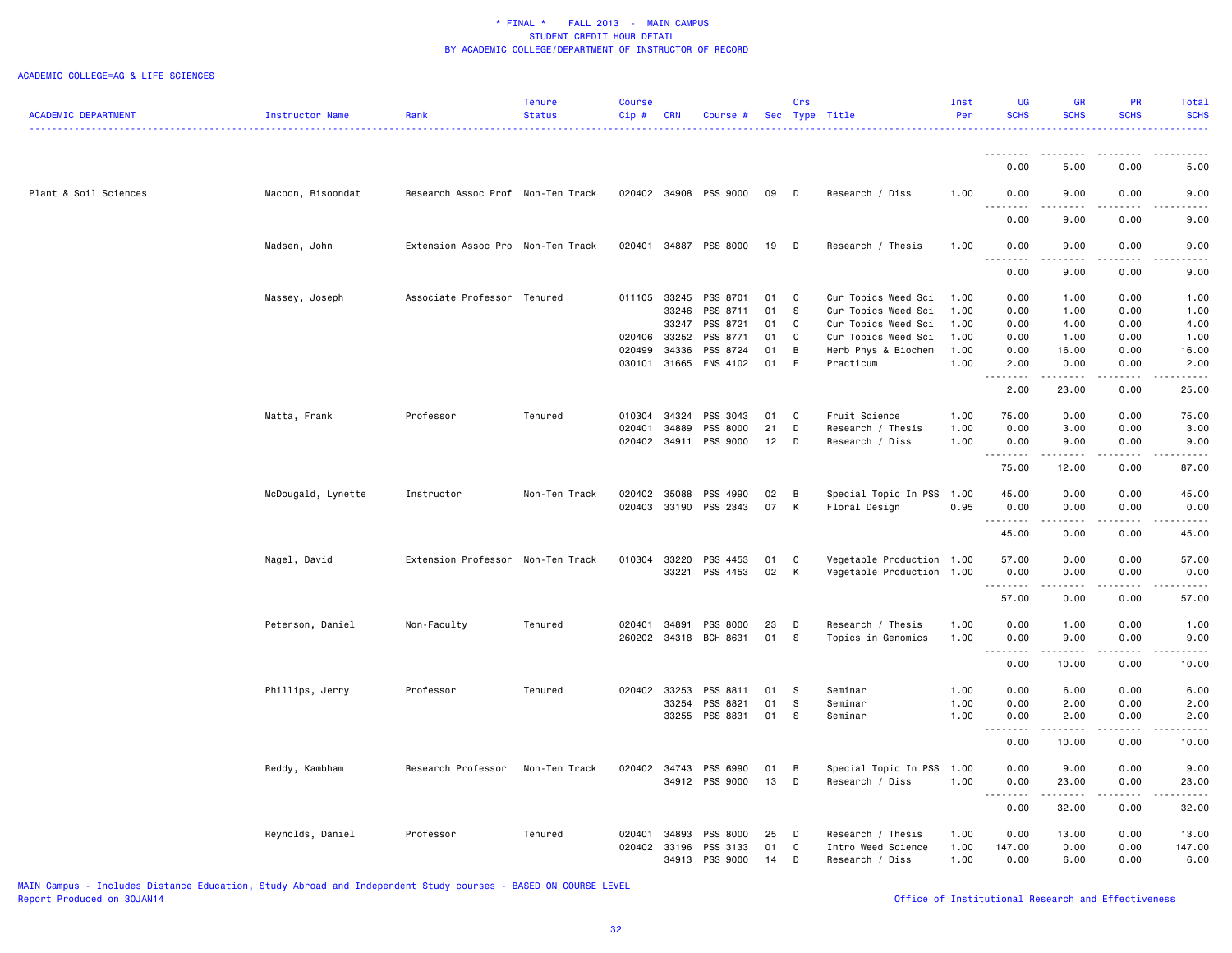#### ACADEMIC COLLEGE=AG & LIFE SCIENCES

|                            |                    |                                   | Tenure        | <b>Course</b> |            |                       |    | Crs          |                           | Inst | UG                  | <b>GR</b>                                                                                                                                                     | PR                | Total       |
|----------------------------|--------------------|-----------------------------------|---------------|---------------|------------|-----------------------|----|--------------|---------------------------|------|---------------------|---------------------------------------------------------------------------------------------------------------------------------------------------------------|-------------------|-------------|
| <b>ACADEMIC DEPARTMENT</b> | Instructor Name    | Rank                              | <b>Status</b> | $Cip$ #       | <b>CRN</b> | Course #              |    |              | Sec Type Title            | Per  | <b>SCHS</b>         | <b>SCHS</b>                                                                                                                                                   | <b>SCHS</b>       | <b>SCHS</b> |
|                            |                    |                                   |               |               |            |                       |    |              |                           |      |                     |                                                                                                                                                               |                   | $- - - - -$ |
|                            |                    |                                   |               |               |            |                       |    |              |                           |      | . <b>.</b>          | $\frac{1}{2}$                                                                                                                                                 | $- - - - -$       |             |
|                            |                    |                                   |               |               |            |                       |    |              |                           |      | 0.00                | 5.00                                                                                                                                                          | 0.00              | 5.00        |
| Plant & Soil Sciences      | Macoon, Bisoondat  | Research Assoc Prof Non-Ten Track |               |               |            | 020402 34908 PSS 9000 | 09 | D            | Research / Diss           | 1.00 | 0.00                | 9.00                                                                                                                                                          | 0.00              | 9.00        |
|                            |                    |                                   |               |               |            |                       |    |              |                           |      | 0.00                | 9.00                                                                                                                                                          | 0.00              | 9.00        |
|                            | Madsen, John       | Extension Assoc Pro Non-Ten Track |               | 020401        |            | 34887 PSS 8000        | 19 | $\Box$       | Research / Thesis         | 1.00 | 0.00                | 9.00                                                                                                                                                          | 0.00              | 9.00        |
|                            |                    |                                   |               |               |            |                       |    |              |                           |      | 0.00                | .<br>9.00                                                                                                                                                     | 0.00              | 9.00        |
|                            |                    |                                   |               |               |            |                       |    |              |                           |      |                     |                                                                                                                                                               |                   |             |
|                            | Massey, Joseph     | Associate Professor Tenured       |               |               |            | 011105 33245 PSS 8701 | 01 | $\mathbf{C}$ | Cur Topics Weed Sci       | 1.00 | 0.00                | 1.00                                                                                                                                                          | 0.00              | 1.00        |
|                            |                    |                                   |               |               | 33246      | PSS 8711              | 01 | s            | Cur Topics Weed Sci       | 1.00 | 0.00                | 1.00                                                                                                                                                          | 0.00              | 1.00        |
|                            |                    |                                   |               |               | 33247      | PSS 8721              | 01 | C.           | Cur Topics Weed Sci       | 1.00 | 0.00                | 4.00                                                                                                                                                          | 0.00              | 4.00        |
|                            |                    |                                   |               | 020406        | 33252      | PSS 8771              | 01 | C            | Cur Topics Weed Sci       | 1.00 | 0.00                | 1.00                                                                                                                                                          | 0.00              | 1.00        |
|                            |                    |                                   |               | 020499        | 34336      | PSS 8724              | 01 | B            | Herb Phys & Biochem       | 1.00 | 0.00                | 16.00                                                                                                                                                         | 0.00              | 16.00       |
|                            |                    |                                   |               | 030101        |            | 31665 ENS 4102        | 01 | E            | Practicum                 | 1.00 | 2.00<br>.           | 0.00<br>.                                                                                                                                                     | 0.00<br>2.2.2.2.2 | 2.00<br>.   |
|                            |                    |                                   |               |               |            |                       |    |              |                           |      | 2.00                | 23.00                                                                                                                                                         | 0.00              | 25.00       |
|                            | Matta, Frank       | Professor                         | Tenured       | 010304        | 34324      | PSS 3043              | 01 | $\mathbf{C}$ | Fruit Science             | 1.00 | 75.00               | 0.00                                                                                                                                                          | 0.00              | 75.00       |
|                            |                    |                                   |               | 020401        | 34889      | PSS 8000              | 21 | D            | Research / Thesis         | 1.00 | 0.00                | 3.00                                                                                                                                                          | 0.00              | 3.00        |
|                            |                    |                                   |               | 020402        |            | 34911 PSS 9000        | 12 | D            | Research / Diss           | 1.00 | 0.00                | 9.00                                                                                                                                                          | 0.00              | 9.00        |
|                            |                    |                                   |               |               |            |                       |    |              |                           |      | . <b>.</b><br>75.00 | $- - - - -$<br>12.00                                                                                                                                          | .<br>0.00         | 87.00       |
|                            | McDougald, Lynette | Instructor                        | Non-Ten Track | 020402        | 35088      | PSS 4990              | 02 | B            | Special Topic In PSS      | 1.00 | 45.00               | 0.00                                                                                                                                                          | 0.00              | 45.00       |
|                            |                    |                                   |               | 020403        |            | 33190 PSS 2343        | 07 | K            | Floral Design             | 0.95 | 0.00                | 0.00                                                                                                                                                          | 0.00              | 0.00        |
|                            |                    |                                   |               |               |            |                       |    |              |                           |      | .<br>45.00          | $\frac{1}{2}$<br>0.00                                                                                                                                         | .<br>0.00         | 45.00       |
|                            |                    |                                   |               |               |            |                       |    |              |                           |      |                     |                                                                                                                                                               |                   |             |
|                            | Nagel, David       | Extension Professor Non-Ten Track |               | 010304        | 33220      | PSS 4453              | 01 | C            | Vegetable Production 1.00 |      | 57.00               | 0.00                                                                                                                                                          | 0.00              | 57.00       |
|                            |                    |                                   |               |               |            | 33221 PSS 4453        | 02 | K            | Vegetable Production      | 1.00 | 0.00<br>. <b>.</b>  | 0.00                                                                                                                                                          | 0.00              | 0.00        |
|                            |                    |                                   |               |               |            |                       |    |              |                           |      | 57.00               | 0.00                                                                                                                                                          | 0.00              | 57.00       |
|                            | Peterson, Daniel   | Non-Faculty                       | Tenured       | 020401        | 34891      | PSS 8000              | 23 | D            | Research / Thesis         | 1.00 | 0.00                | 1.00                                                                                                                                                          | 0.00              | 1.00        |
|                            |                    |                                   |               | 260202        |            | 34318 BCH 8631        | 01 | - S          | Topics in Genomics        | 1.00 | 0.00                | 9.00                                                                                                                                                          | 0.00              | 9.00        |
|                            |                    |                                   |               |               |            |                       |    |              |                           |      | <u>.</u><br>0.00    | $\frac{1}{2} \left( \frac{1}{2} \right) \left( \frac{1}{2} \right) \left( \frac{1}{2} \right) \left( \frac{1}{2} \right) \left( \frac{1}{2} \right)$<br>10.00 | .<br>0.00         | 10.00       |
|                            | Phillips, Jerry    | Professor                         | Tenured       | 020402 33253  |            | PSS 8811              | 01 | <b>S</b>     | Seminar                   | 1.00 | 0.00                | 6.00                                                                                                                                                          | 0.00              | 6.00        |
|                            |                    |                                   |               |               | 33254      | PSS 8821              | 01 | s            | Seminar                   | 1.00 | 0.00                | 2.00                                                                                                                                                          | 0.00              | 2.00        |
|                            |                    |                                   |               |               | 33255      | PSS 8831              | 01 | - S          | Seminar                   | 1.00 | 0.00                | 2.00                                                                                                                                                          | 0.00              | 2.00        |
|                            |                    |                                   |               |               |            |                       |    |              |                           |      | . <b>.</b>          | .                                                                                                                                                             | $- - - - -$       | .           |
|                            |                    |                                   |               |               |            |                       |    |              |                           |      | 0.00                | 10.00                                                                                                                                                         | 0.00              | 10.00       |
|                            | Reddy, Kambham     | Research Professor                | Non-Ten Track | 020402        |            | 34743 PSS 6990        | 01 | B            | Special Topic In PSS      | 1.00 | 0.00                | 9.00                                                                                                                                                          | 0.00              | 9.00        |
|                            |                    |                                   |               |               |            | 34912 PSS 9000        | 13 | D            | Research / Diss           | 1.00 | 0.00                | 23.00                                                                                                                                                         | 0.00              | 23.00       |
|                            |                    |                                   |               |               |            |                       |    |              |                           |      | <u>.</u><br>0.00    | 32.00                                                                                                                                                         | 0.00              | 32.00       |
|                            | Reynolds, Daniel   | Professor                         | Tenured       | 020401        | 34893      | PSS 8000              | 25 | D            | Research / Thesis         | 1.00 | 0.00                | 13.00                                                                                                                                                         | 0.00              | 13.00       |
|                            |                    |                                   |               | 020402        | 33196      | PSS 3133              | 01 | C            | Intro Weed Science        | 1.00 | 147.00              | 0.00                                                                                                                                                          | 0.00              | 147.00      |
|                            |                    |                                   |               |               |            | 34913 PSS 9000        | 14 | D            | Research / Diss           | 1.00 | 0.00                | 6.00                                                                                                                                                          | 0.00              | 6.00        |

MAIN Campus - Includes Distance Education, Study Abroad and Independent Study courses - BASED ON COURSE LEVEL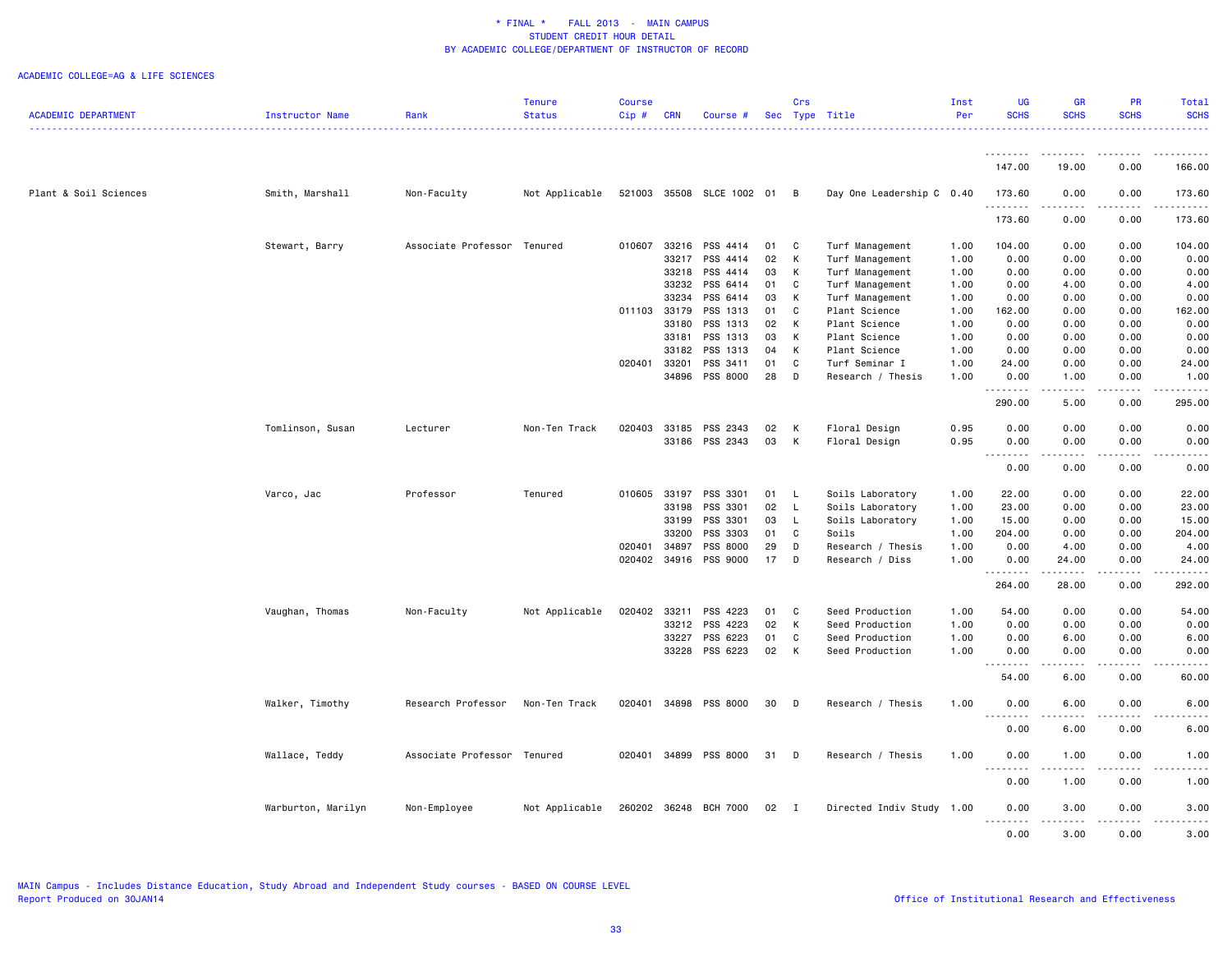|                            |                    |                             | Tenure         | <b>Course</b> |              |                           |    | Crs            |                           | Inst | UG                 | <b>GR</b>                                                                                                                                                     | PR               | Total        |
|----------------------------|--------------------|-----------------------------|----------------|---------------|--------------|---------------------------|----|----------------|---------------------------|------|--------------------|---------------------------------------------------------------------------------------------------------------------------------------------------------------|------------------|--------------|
| <b>ACADEMIC DEPARTMENT</b> | Instructor Name    | Rank                        | <b>Status</b>  | Cip#          | <b>CRN</b>   | Course #                  |    |                | Sec Type Title            | Per  | <b>SCHS</b>        | <b>SCHS</b>                                                                                                                                                   | <b>SCHS</b>      | <b>SCHS</b>  |
|                            |                    |                             |                |               |              |                           |    |                |                           |      | --------           | --------                                                                                                                                                      | .                | .            |
|                            |                    |                             |                |               |              |                           |    |                |                           |      | 147.00             | 19.00                                                                                                                                                         | 0.00             | 166.00       |
| Plant & Soil Sciences      | Smith, Marshall    | Non-Faculty                 | Not Applicable |               |              | 521003 35508 SLCE 1002 01 |    | $\overline{B}$ | Day One Leadership C 0.40 |      | 173.60             | 0.00                                                                                                                                                          | 0.00             | 173.60       |
|                            |                    |                             |                |               |              |                           |    |                |                           |      | .<br>173.60        | $\sim$ $\sim$ $\sim$ $\sim$<br>0.00                                                                                                                           | .<br>0.00        | .<br>173.60  |
|                            | Stewart, Barry     | Associate Professor Tenured |                | 010607        | 33216        | PSS 4414                  | 01 | C              | Turf Management           | 1.00 | 104.00             | 0.00                                                                                                                                                          | 0.00             | 104.00       |
|                            |                    |                             |                |               | 33217        | PSS 4414                  | 02 | К              | Turf Management           | 1.00 | 0.00               | 0.00                                                                                                                                                          | 0.00             | 0.00         |
|                            |                    |                             |                |               | 33218        | PSS 4414                  | 03 | $\mathsf{K}$   | Turf Management           | 1.00 | 0.00               | 0.00                                                                                                                                                          | 0.00             | 0.00         |
|                            |                    |                             |                |               | 33232        | PSS 6414                  | 01 | C              | Turf Management           | 1.00 | 0.00               | 4.00                                                                                                                                                          | 0.00             | 4.00         |
|                            |                    |                             |                |               | 33234        | PSS 6414                  | 03 | K              | Turf Management           | 1.00 | 0.00               | 0.00                                                                                                                                                          | 0.00             | 0.00         |
|                            |                    |                             |                |               | 011103 33179 | PSS 1313                  | 01 | C              | Plant Science             | 1.00 | 162.00             | 0.00                                                                                                                                                          | 0.00             | 162.00       |
|                            |                    |                             |                |               | 33180        | PSS 1313                  | 02 | K              | Plant Science             | 1.00 | 0.00               | 0.00                                                                                                                                                          | 0.00             | 0.00         |
|                            |                    |                             |                |               | 33181        | PSS 1313                  | 03 | К              | Plant Science             | 1.00 | 0.00               | 0.00                                                                                                                                                          | 0.00             | 0.00         |
|                            |                    |                             |                |               | 33182        | PSS 1313                  | 04 | К              | Plant Science             | 1.00 | 0.00               | 0.00                                                                                                                                                          | 0.00             | 0.00         |
|                            |                    |                             |                | 020401        | 33201        | PSS 3411                  | 01 | C              | Turf Seminar I            | 1.00 | 24.00              | 0.00                                                                                                                                                          | 0.00             | 24.00        |
|                            |                    |                             |                |               |              | 34896 PSS 8000            | 28 | D              | Research / Thesis         | 1.00 | 0.00               | 1.00                                                                                                                                                          | 0.00             | 1.00         |
|                            |                    |                             |                |               |              |                           |    |                |                           |      | 290.00             | 5.00                                                                                                                                                          | 0.00             | 295.00       |
|                            | Tomlinson, Susan   | Lecturer                    | Non-Ten Track  | 020403        |              | 33185 PSS 2343            | 02 | К              | Floral Design             | 0.95 | 0.00               | 0.00                                                                                                                                                          | 0.00             | 0.00         |
|                            |                    |                             |                |               |              | 33186 PSS 2343            | 03 | K              | Floral Design             | 0.95 | 0.00<br>. <b>.</b> | 0.00<br>$\sim$ $\sim$ $\sim$ $\sim$                                                                                                                           | 0.00<br>.        | 0.00<br>---- |
|                            |                    |                             |                |               |              |                           |    |                |                           |      | 0.00               | 0.00                                                                                                                                                          | 0.00             | 0.00         |
|                            | Varco, Jac         | Professor                   | Tenured        | 010605        | 33197        | PSS 3301                  | 01 | - L            | Soils Laboratory          | 1.00 | 22.00              | 0.00                                                                                                                                                          | 0.00             | 22.00        |
|                            |                    |                             |                |               | 33198        | PSS 3301                  | 02 | - L            | Soils Laboratory          | 1.00 | 23.00              | 0.00                                                                                                                                                          | 0.00             | 23.00        |
|                            |                    |                             |                |               | 33199        | PSS 3301                  | 03 | L.             | Soils Laboratory          | 1.00 | 15.00              | 0.00                                                                                                                                                          | 0.00             | 15.00        |
|                            |                    |                             |                |               | 33200        | PSS 3303                  | 01 | C              | Soils                     | 1.00 | 204.00             | 0.00                                                                                                                                                          | 0.00             | 204.00       |
|                            |                    |                             |                | 020401        | 34897        | PSS 8000                  | 29 | D              | Research / Thesis         | 1.00 | 0.00               | 4.00                                                                                                                                                          | 0.00             | 4.00         |
|                            |                    |                             |                | 020402        |              | 34916 PSS 9000            | 17 | D              | Research / Diss           | 1.00 | 0.00<br><u>.</u>   | 24.00<br>$\frac{1}{2} \left( \frac{1}{2} \right) \left( \frac{1}{2} \right) \left( \frac{1}{2} \right) \left( \frac{1}{2} \right) \left( \frac{1}{2} \right)$ | 0.00<br><u>.</u> | 24.00        |
|                            |                    |                             |                |               |              |                           |    |                |                           |      | 264.00             | 28.00                                                                                                                                                         | 0.00             | 292.00       |
|                            | Vaughan, Thomas    | Non-Faculty                 | Not Applicable | 020402        | 33211        | PSS 4223                  | 01 | $\mathbf{C}$   | Seed Production           | 1.00 | 54.00              | 0.00                                                                                                                                                          | 0.00             | 54.00        |
|                            |                    |                             |                |               | 33212        | PSS 4223                  | 02 | K              | Seed Production           | 1.00 | 0.00               | 0.00                                                                                                                                                          | 0.00             | 0.00         |
|                            |                    |                             |                |               | 33227        | PSS 6223                  | 01 | C              | Seed Production           | 1.00 | 0.00               | 6.00                                                                                                                                                          | 0.00             | 6.00         |
|                            |                    |                             |                |               |              | 33228 PSS 6223            | 02 | K              | Seed Production           | 1.00 | 0.00               | 0.00                                                                                                                                                          | 0.00             | 0.00         |
|                            |                    |                             |                |               |              |                           |    |                |                           |      | .<br>54.00         | $\sim$ $\sim$ $\sim$ $\sim$<br>6.00                                                                                                                           | .<br>0.00        | 60.00        |
|                            | Walker, Timothy    | Research Professor          | Non-Ten Track  | 020401        |              | 34898 PSS 8000            | 30 | D              | Research / Thesis         | 1.00 | 0.00               | 6.00                                                                                                                                                          | 0.00             | 6.00         |
|                            |                    |                             |                |               |              |                           |    |                |                           |      | 0.00               | 6.00                                                                                                                                                          | 0.00             | 6.00         |
|                            | Wallace, Teddy     | Associate Professor Tenured |                | 020401        |              | 34899 PSS 8000            | 31 | D              | Research / Thesis         | 1.00 | 0.00               | 1.00                                                                                                                                                          | 0.00             | 1.00         |
|                            |                    |                             |                |               |              |                           |    |                |                           |      | 0.00               | 1.00                                                                                                                                                          | 0.00             | 1.00         |
|                            |                    |                             |                |               |              |                           |    |                |                           |      |                    |                                                                                                                                                               |                  |              |
|                            | Warburton, Marilyn | Non-Employee                | Not Applicable |               |              | 260202 36248 BCH 7000     | 02 | $\blacksquare$ | Directed Indiv Study 1.00 |      | 0.00               | 3.00                                                                                                                                                          | 0.00             | 3.00         |
|                            |                    |                             |                |               |              |                           |    |                |                           |      | 0.00               | 3.00                                                                                                                                                          | 0.00             | 3.00         |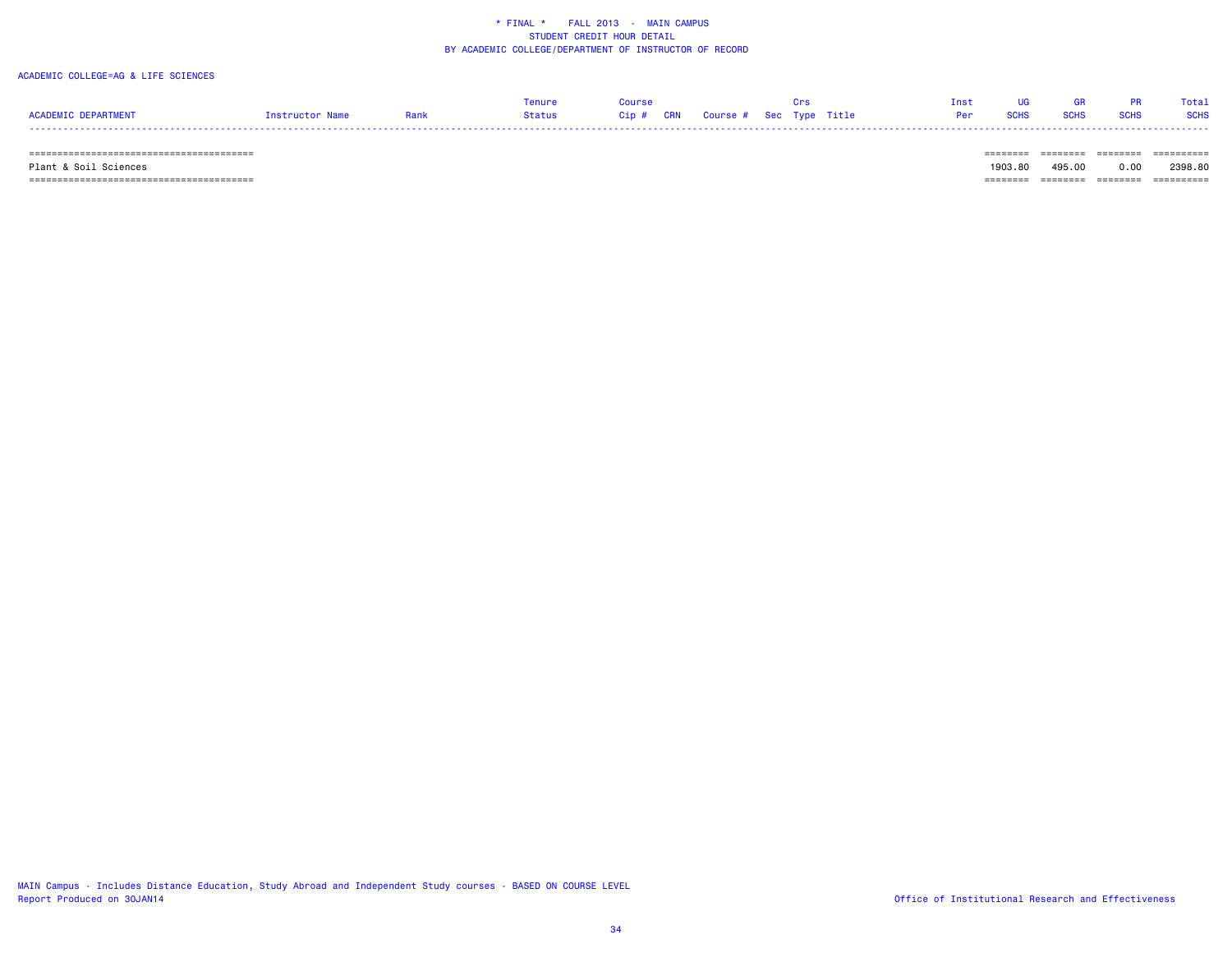#### ACADEMIC COLLEGE=AG & LIFE SCIENCES

|                     |          |      | enur   |                                   |  |  | [ne· |             |      | Total       |
|---------------------|----------|------|--------|-----------------------------------|--|--|------|-------------|------|-------------|
| ACADEMIC DEPARTMENT | :tructor | Rank | Status | Cip # CRN Course # Sec Type Title |  |  |      | <b>SUBS</b> | ound | <b>SCHS</b> |
| ----                |          |      |        |                                   |  |  |      |             |      |             |

======================================== ======== ======== ======== ==========

Plant & Soil Sciences 1903.80 495.00 0.00 2398.80

======================================== ======== ======== ======== ==========

MAIN Campus - Includes Distance Education, Study Abroad and Independent Study courses - BASED ON COURSE LEVEL Report Produced on 30JAN14 **Contract and Effectiveness** of Institutional Research and Effectiveness

-------- ------- ------- ---------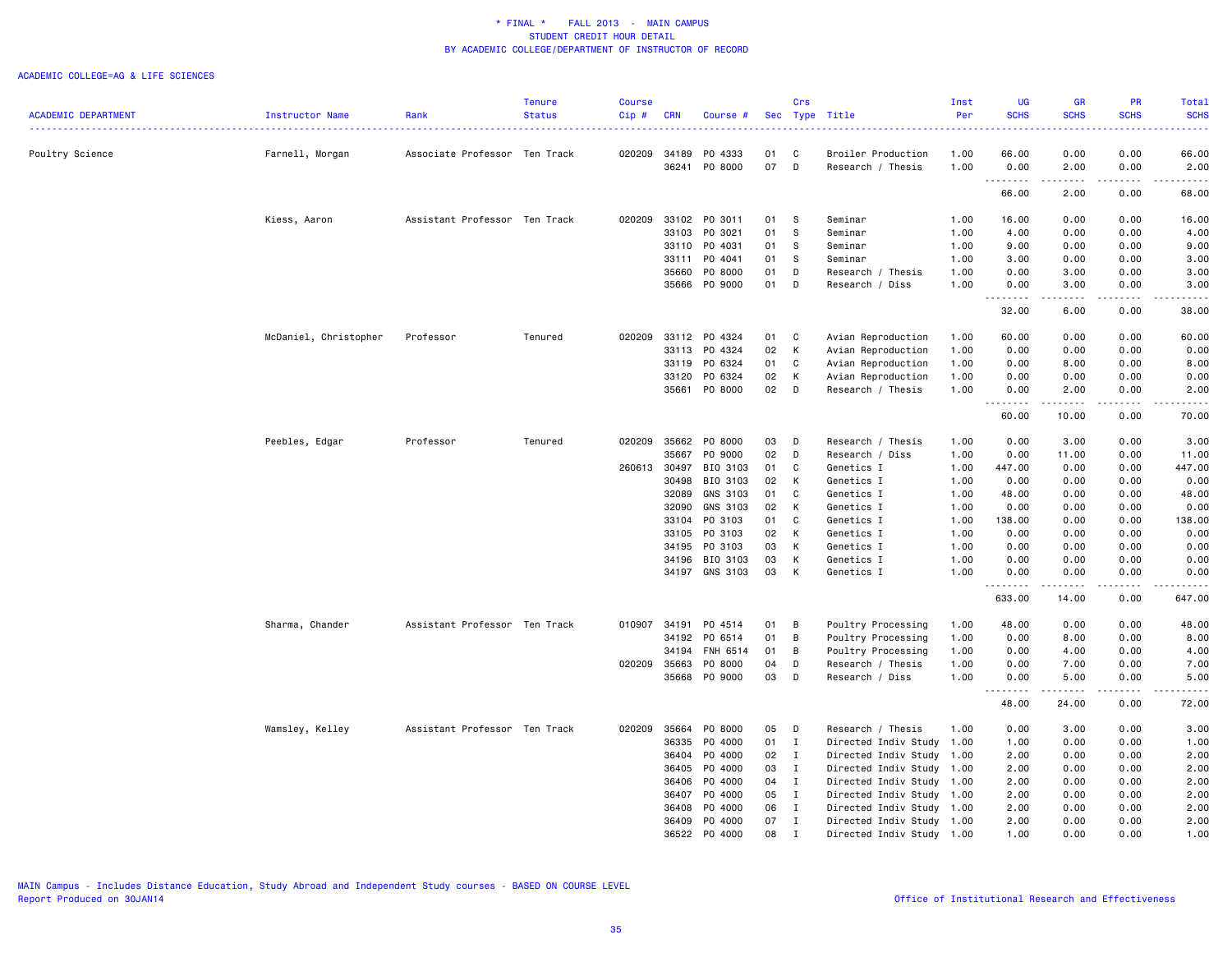|                            |                       |                               | <b>Tenure</b> | <b>Course</b> |            |          |     | Crs            |                           | Inst | <b>UG</b>                    | <b>GR</b>   | PR              | Total                                                                                                                                                        |
|----------------------------|-----------------------|-------------------------------|---------------|---------------|------------|----------|-----|----------------|---------------------------|------|------------------------------|-------------|-----------------|--------------------------------------------------------------------------------------------------------------------------------------------------------------|
| <b>ACADEMIC DEPARTMENT</b> | Instructor Name       | Rank                          | <b>Status</b> | Cip#          | <b>CRN</b> | Course # | Sec | Type           | Title                     | Per  | <b>SCHS</b>                  | <b>SCHS</b> | <b>SCHS</b>     | <b>SCHS</b><br>$\frac{1}{2} \left( \frac{1}{2} \right) \left( \frac{1}{2} \right) \left( \frac{1}{2} \right) \left( \frac{1}{2} \right)$                     |
| Poultry Science            | Farnell, Morgan       | Associate Professor Ten Track |               | 020209        | 34189      | P0 4333  | 01  | C              | Broiler Production        | 1.00 | 66.00                        | 0.00        | 0.00            | 66.00                                                                                                                                                        |
|                            |                       |                               |               |               | 36241      | PO 8000  | 07  | D              | Research / Thesis         | 1.00 | 0.00                         | 2.00        | 0.00            | 2.00                                                                                                                                                         |
|                            |                       |                               |               |               |            |          |     |                |                           |      | 66.00                        | 2.00        | 0.00            | 68.00                                                                                                                                                        |
|                            | Kiess, Aaron          | Assistant Professor Ten Track |               | 020209        | 33102      | PO 3011  | 01  | s              | Seminar                   | 1.00 | 16.00                        | 0.00        | 0.00            | 16.00                                                                                                                                                        |
|                            |                       |                               |               |               | 33103      | PO 3021  | 01  | s              | Seminar                   | 1.00 | 4.00                         | 0.00        | 0.00            | 4.00                                                                                                                                                         |
|                            |                       |                               |               |               | 33110      | PO 4031  | 01  | s              | Seminar                   | 1.00 | 9.00                         | 0.00        | 0.00            | 9.00                                                                                                                                                         |
|                            |                       |                               |               |               | 33111      | P0 4041  | 01  | <b>S</b>       | Seminar                   | 1.00 | 3.00                         | 0.00        | 0.00            | 3.00                                                                                                                                                         |
|                            |                       |                               |               |               | 35660      | P0 8000  | 01  | D              | Research / Thesis         | 1.00 | 0.00                         | 3.00        | 0.00            | 3.00                                                                                                                                                         |
|                            |                       |                               |               |               | 35666      | PO 9000  | 01  | D              | Research / Diss           | 1.00 | 0.00<br>.                    | 3.00<br>.   | 0.00<br>.       | 3.00<br>.                                                                                                                                                    |
|                            |                       |                               |               |               |            |          |     |                |                           |      | 32.00                        | 6.00        | 0.00            | 38.00                                                                                                                                                        |
|                            | McDaniel, Christopher | Professor                     | Tenured       | 020209        | 33112      | PO 4324  | 01  | C              | Avian Reproduction        | 1.00 | 60.00                        | 0.00        | 0.00            | 60.00                                                                                                                                                        |
|                            |                       |                               |               |               | 33113      | P0 4324  | 02  | К              | Avian Reproduction        | 1.00 | 0.00                         | 0.00        | 0.00            | 0.00                                                                                                                                                         |
|                            |                       |                               |               |               | 33119      | PO 6324  | 01  | C              | Avian Reproduction        | 1.00 | 0.00                         | 8.00        | 0.00            | 8.00                                                                                                                                                         |
|                            |                       |                               |               |               | 33120      | P0 6324  | 02  | К              | Avian Reproduction        | 1.00 | 0.00                         | 0.00        | 0.00            | 0.00                                                                                                                                                         |
|                            |                       |                               |               |               | 35661      | P0 8000  | 02  | D              | Research / Thesis         | 1.00 | 0.00<br>.                    | 2.00<br>.   | 0.00<br>د د د د | 2.00<br>$\frac{1}{2} \left( \frac{1}{2} \right) \left( \frac{1}{2} \right) \left( \frac{1}{2} \right) \left( \frac{1}{2} \right) \left( \frac{1}{2} \right)$ |
|                            |                       |                               |               |               |            |          |     |                |                           |      | 60.00                        | 10.00       | 0.00            | 70.00                                                                                                                                                        |
|                            | Peebles, Edgar        | Professor                     | Tenured       | 020209        | 35662      | P0 8000  | 03  | D              | Research / Thesis         | 1.00 | 0.00                         | 3.00        | 0.00            | 3.00                                                                                                                                                         |
|                            |                       |                               |               |               | 35667      | PO 9000  | 02  | D              | Research / Diss           | 1.00 | 0.00                         | 11.00       | 0.00            | 11.00                                                                                                                                                        |
|                            |                       |                               |               | 260613 30497  |            | BIO 3103 | 01  | C              | Genetics I                | 1.00 | 447.00                       | 0.00        | 0.00            | 447.00                                                                                                                                                       |
|                            |                       |                               |               |               | 30498      | BIO 3103 | 02  | К              | Genetics I                | 1.00 | 0.00                         | 0.00        | 0.00            | 0.00                                                                                                                                                         |
|                            |                       |                               |               |               | 32089      | GNS 3103 | 01  | C              | Genetics I                | 1.00 | 48.00                        | 0.00        | 0.00            | 48.00                                                                                                                                                        |
|                            |                       |                               |               |               | 32090      | GNS 3103 | 02  | К              | Genetics I                | 1.00 | 0.00                         | 0.00        | 0.00            | 0.00                                                                                                                                                         |
|                            |                       |                               |               |               | 33104      | PO 3103  | 01  | C              | Genetics I                | 1.00 | 138.00                       | 0.00        | 0.00            | 138.00                                                                                                                                                       |
|                            |                       |                               |               |               | 33105      | PO 3103  | 02  | K              | Genetics I                | 1.00 | 0.00                         | 0.00        | 0.00            | 0.00                                                                                                                                                         |
|                            |                       |                               |               |               | 34195      | PO 3103  | 03  | К              | Genetics I                | 1.00 | 0.00                         | 0.00        | 0.00            | 0.00                                                                                                                                                         |
|                            |                       |                               |               |               | 34196      | BIO 3103 | 03  | К              | Genetics I                | 1.00 | 0.00                         | 0.00        | 0.00            | 0.00                                                                                                                                                         |
|                            |                       |                               |               |               | 34197      | GNS 3103 | 03  | К              | Genetics I                | 1.00 | 0.00                         | 0.00        | 0.00            | 0.00<br>.                                                                                                                                                    |
|                            |                       |                               |               |               |            |          |     |                |                           |      | 633.00                       | 14.00       | 0.00            | 647.00                                                                                                                                                       |
|                            | Sharma, Chander       | Assistant Professor Ten Track |               | 010907        | 34191      | PO 4514  | 01  | B              | Poultry Processing        | 1.00 | 48.00                        | 0.00        | 0.00            | 48.00                                                                                                                                                        |
|                            |                       |                               |               |               | 34192      | P0 6514  | 01  | B              | Poultry Processing        | 1.00 | 0.00                         | 8.00        | 0.00            | 8.00                                                                                                                                                         |
|                            |                       |                               |               |               | 34194      | FNH 6514 | 01  | B              | Poultry Processing        | 1.00 | 0.00                         | 4.00        | 0.00            | 4.00                                                                                                                                                         |
|                            |                       |                               |               | 020209        | 35663      | P0 8000  | 04  | D              | Research / Thesis         | 1.00 | 0.00                         | 7.00        | 0.00            | 7.00                                                                                                                                                         |
|                            |                       |                               |               |               | 35668      | PO 9000  | 03  | D              | Research / Diss           | 1.00 | 0.00<br>$\sim$ $\sim$ $\sim$ | 5.00<br>.   | 0.00<br>د د د د | 5.00<br>-----                                                                                                                                                |
|                            |                       |                               |               |               |            |          |     |                |                           |      | 48.00                        | 24.00       | 0.00            | 72.00                                                                                                                                                        |
|                            | Wamsley, Kelley       | Assistant Professor Ten Track |               | 020209        | 35664      | P0 8000  | 05  | D              | Research / Thesis         | 1.00 | 0.00                         | 3.00        | 0.00            | 3.00                                                                                                                                                         |
|                            |                       |                               |               |               | 36335      | P0 4000  | 01  | $\mathbf{I}$   | Directed Indiv Study 1.00 |      | 1.00                         | 0.00        | 0.00            | 1.00                                                                                                                                                         |
|                            |                       |                               |               |               | 36404      | P0 4000  | 02  | $\mathbf{I}$   | Directed Indiv Study 1.00 |      | 2.00                         | 0.00        | 0.00            | 2.00                                                                                                                                                         |
|                            |                       |                               |               |               | 36405      | P0 4000  | 03  | $\mathbf{I}$   | Directed Indiv Study 1.00 |      | 2.00                         | 0.00        | 0.00            | 2.00                                                                                                                                                         |
|                            |                       |                               |               |               | 36406      | P0 4000  | 04  | $\mathbf{I}$   | Directed Indiv Study 1.00 |      | 2.00                         | 0.00        | 0.00            | 2.00                                                                                                                                                         |
|                            |                       |                               |               |               | 36407      | P0 4000  | 05  | $\blacksquare$ | Directed Indiv Study 1.00 |      | 2.00                         | 0.00        | 0.00            | 2.00                                                                                                                                                         |
|                            |                       |                               |               |               | 36408      | P0 4000  | 06  | $\mathbf{I}$   | Directed Indiv Study 1.00 |      | 2.00                         | 0.00        | 0.00            | 2.00                                                                                                                                                         |
|                            |                       |                               |               |               | 36409      | P0 4000  | 07  | $\mathbf{I}$   | Directed Indiv Study 1.00 |      | 2.00                         | 0.00        | 0.00            | 2.00                                                                                                                                                         |
|                            |                       |                               |               |               | 36522      | P0 4000  | 08  | Ι.             | Directed Indiv Study 1.00 |      | 1.00                         | 0.00        | 0.00            | 1.00                                                                                                                                                         |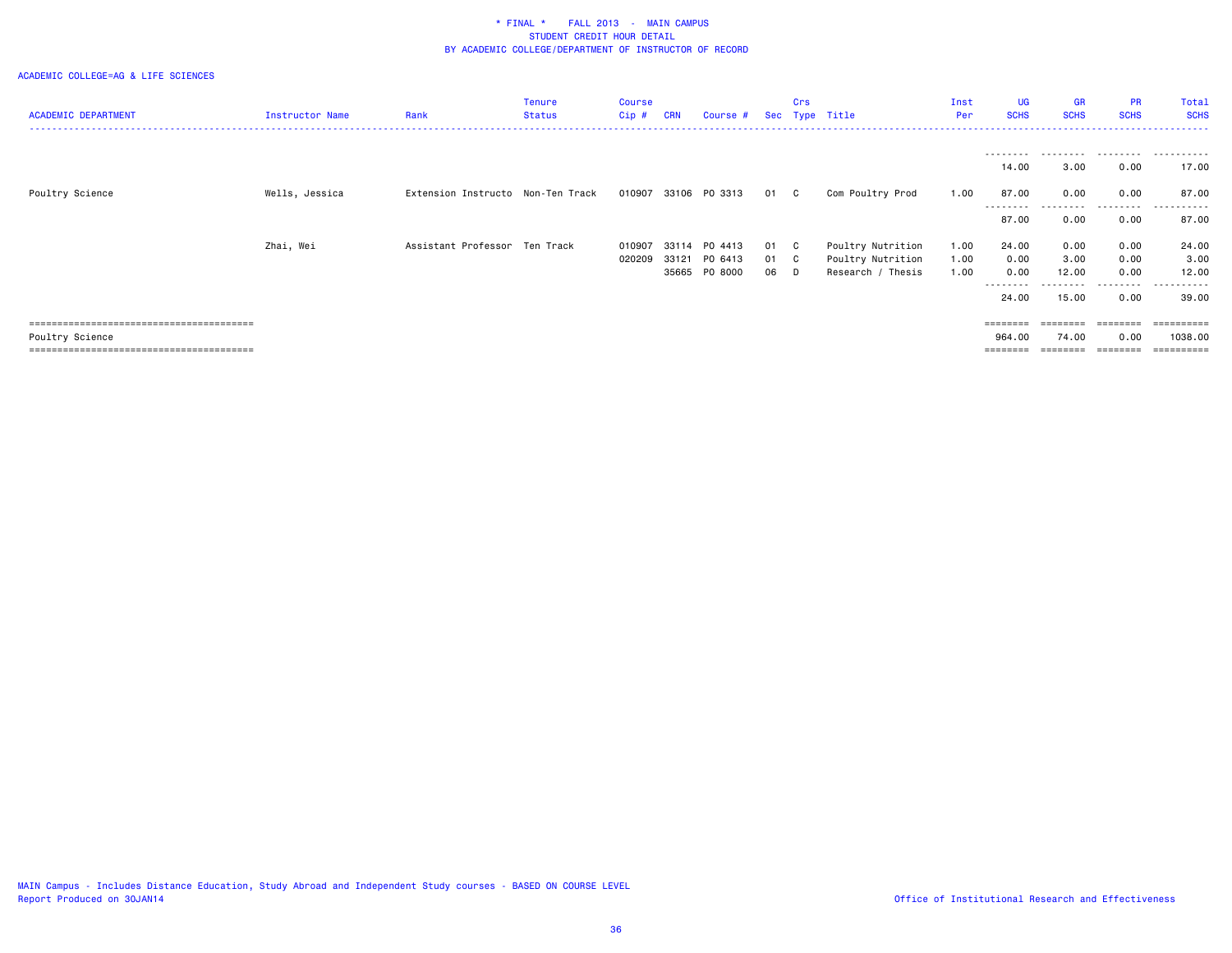| <b>ACADEMIC DEPARTMENT</b> | Instructor Name | Rank                              | Tenure<br><b>Status</b> | <b>Course</b><br>Cip# | <b>CRN</b>     | Course #                            |                      | Crs | Sec Type Title                                              | Inst<br>Per          | <b>UG</b><br><b>SCHS</b>                   | <b>GR</b><br><b>SCHS</b>       | PR<br><b>SCHS</b>            | Total<br><b>SCHS</b>                          |
|----------------------------|-----------------|-----------------------------------|-------------------------|-----------------------|----------------|-------------------------------------|----------------------|-----|-------------------------------------------------------------|----------------------|--------------------------------------------|--------------------------------|------------------------------|-----------------------------------------------|
|                            |                 |                                   |                         |                       |                |                                     |                      |     |                                                             |                      | - - - - - - - - -<br>14.00                 | ---------<br>3.00              | .<br>0.00                    | .<br>17.00                                    |
| Poultry Science            | Wells, Jessica  | Extension Instructo Non-Ten Track |                         | 010907                |                | 33106 PO 3313                       | 01 C                 |     | Com Poultry Prod                                            | 1.00                 | 87.00                                      | 0.00                           | 0.00                         | 87.00                                         |
|                            |                 |                                   |                         |                       |                |                                     |                      |     |                                                             |                      | ---------<br>87.00                         | ---------<br>0.00              | ---------<br>0.00            | .<br>87.00                                    |
|                            | Zhai, Wei       | Assistant Professor Ten Track     |                         | 010907<br>020209      | 33114<br>33121 | PO 4413<br>PO 6413<br>35665 PO 8000 | 01 C<br>01 C<br>06 D |     | Poultry Nutrition<br>Poultry Nutrition<br>Research / Thesis | 1.00<br>1.00<br>1.00 | 24.00<br>0.00<br>0.00<br>--------<br>24.00 | 0.00<br>3.00<br>12.00<br>15.00 | 0.00<br>0.00<br>0.00<br>0.00 | 24.00<br>3.00<br>12.00<br>------<br>39.00     |
| Poultry Science            |                 |                                   |                         |                       |                |                                     |                      |     |                                                             |                      | ========<br>964.00                         | ========<br>74.00              | ========<br>0.00             | $=$ = = = = = = = = :<br>1038.00<br>========= |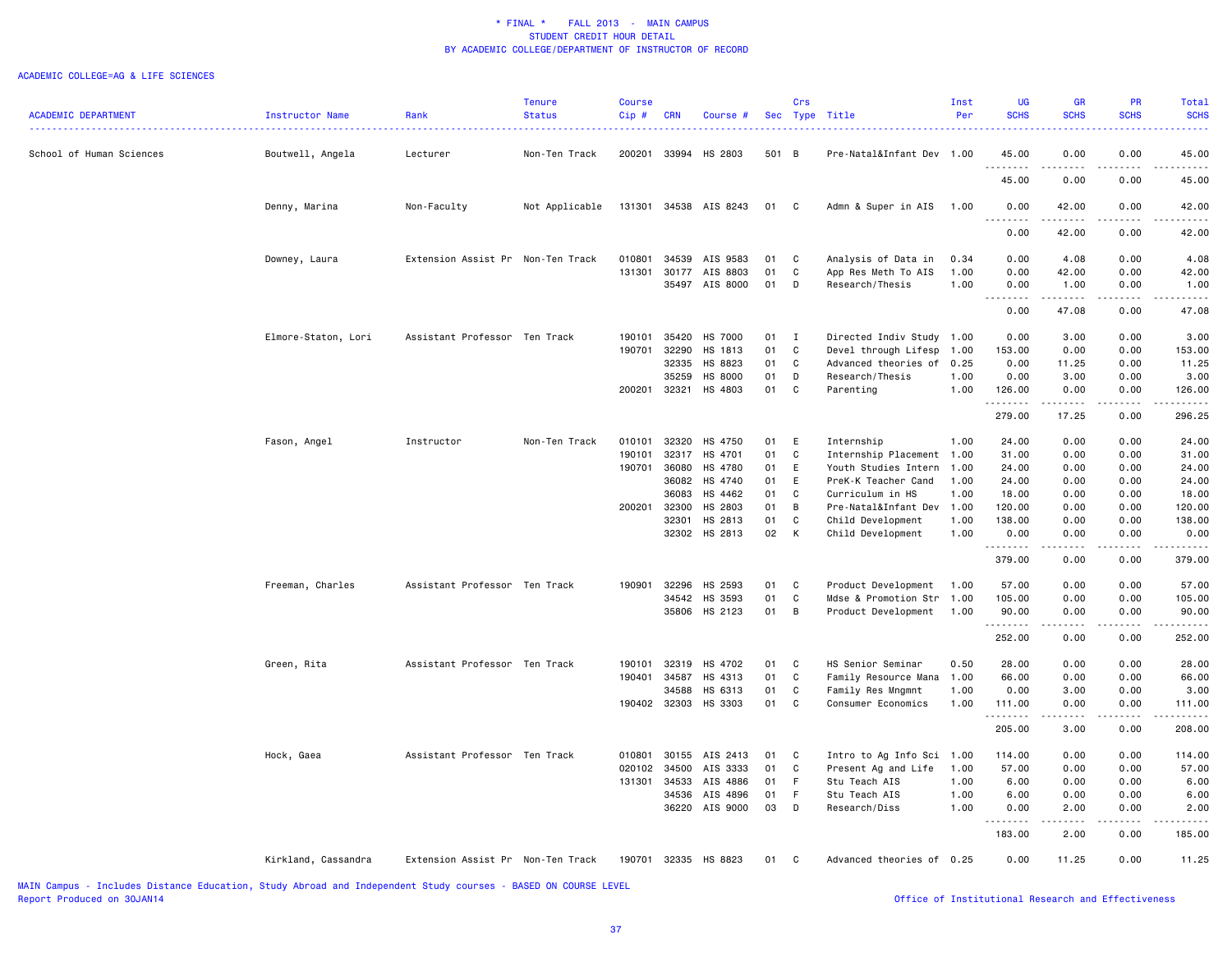#### ACADEMIC COLLEGE=AG & LIFE SCIENCES

|                            |                     |                                   | <b>Tenure</b>  | <b>Course</b> |                |                       |          | Crs          |                                                | Inst         | <b>UG</b>         | <b>GR</b>                                                                                                                                                                                                                                                                                                                            | PR                          | Total            |
|----------------------------|---------------------|-----------------------------------|----------------|---------------|----------------|-----------------------|----------|--------------|------------------------------------------------|--------------|-------------------|--------------------------------------------------------------------------------------------------------------------------------------------------------------------------------------------------------------------------------------------------------------------------------------------------------------------------------------|-----------------------------|------------------|
| <b>ACADEMIC DEPARTMENT</b> | Instructor Name     | Rank                              | <b>Status</b>  | Cip#          | <b>CRN</b>     | Course #              |          |              | Sec Type Title                                 | Per          | <b>SCHS</b>       | <b>SCHS</b>                                                                                                                                                                                                                                                                                                                          | <b>SCHS</b>                 | <b>SCHS</b>      |
|                            |                     |                                   |                |               |                |                       |          |              |                                                |              |                   |                                                                                                                                                                                                                                                                                                                                      |                             |                  |
|                            |                     |                                   |                |               |                |                       |          |              |                                                |              |                   |                                                                                                                                                                                                                                                                                                                                      |                             |                  |
| School of Human Sciences   | Boutwell, Angela    | Lecturer                          | Non-Ten Track  |               |                | 200201 33994 HS 2803  | 501 B    |              | Pre-Natal&Infant Dev 1.00                      |              | 45.00<br><u>.</u> | 0.00<br>.                                                                                                                                                                                                                                                                                                                            | 0.00<br>.                   | 45.00<br>.       |
|                            |                     |                                   |                |               |                |                       |          |              |                                                |              | 45.00             | 0.00                                                                                                                                                                                                                                                                                                                                 | 0.00                        | 45.00            |
|                            |                     |                                   |                |               |                |                       |          |              |                                                |              |                   |                                                                                                                                                                                                                                                                                                                                      |                             |                  |
|                            | Denny, Marina       | Non-Faculty                       | Not Applicable |               |                | 131301 34538 AIS 8243 | 01       | $\mathbf{C}$ | Admn & Super in AIS                            | 1.00         | 0.00              | 42.00                                                                                                                                                                                                                                                                                                                                | 0.00                        | 42.00            |
|                            |                     |                                   |                |               |                |                       |          |              |                                                |              | .                 | .                                                                                                                                                                                                                                                                                                                                    | .                           | .                |
|                            |                     |                                   |                |               |                |                       |          |              |                                                |              | 0.00              | 42.00                                                                                                                                                                                                                                                                                                                                | 0.00                        | 42.00            |
|                            |                     |                                   |                |               |                |                       |          |              |                                                |              |                   |                                                                                                                                                                                                                                                                                                                                      |                             |                  |
|                            | Downey, Laura       | Extension Assist Pr Non-Ten Track |                | 010801        |                | 34539 AIS 9583        | 01       | $\mathbf{C}$ | Analysis of Data in                            | 0.34         | 0.00              | 4.08                                                                                                                                                                                                                                                                                                                                 | 0.00                        | 4.08             |
|                            |                     |                                   |                | 131301        | 30177          | AIS 8803              | 01       | C            | App Res Meth To AIS                            | 1.00         | 0.00              | 42.00                                                                                                                                                                                                                                                                                                                                | 0.00                        | 42.00            |
|                            |                     |                                   |                |               |                | 35497 AIS 8000        | 01       | D            | Research/Thesis                                | 1.00         | 0.00<br>.         | 1.00                                                                                                                                                                                                                                                                                                                                 | 0.00                        | 1.00             |
|                            |                     |                                   |                |               |                |                       |          |              |                                                |              | 0.00              | 47.08                                                                                                                                                                                                                                                                                                                                | 0.00                        | 47.08            |
|                            |                     |                                   |                |               |                |                       |          |              |                                                |              |                   |                                                                                                                                                                                                                                                                                                                                      |                             |                  |
|                            | Elmore-Staton, Lori | Assistant Professor Ten Track     |                | 190101        | 35420          | HS 7000               | 01       | $\mathbf{I}$ | Directed Indiv Study 1.00                      |              | 0.00              | 3.00                                                                                                                                                                                                                                                                                                                                 | 0.00                        | 3.00             |
|                            |                     |                                   |                | 190701        | 32290          | HS 1813               | 01       | C            | Devel through Lifesp                           | 1.00         | 153.00            | 0.00                                                                                                                                                                                                                                                                                                                                 | 0.00                        | 153.00           |
|                            |                     |                                   |                |               | 32335          | HS 8823               | 01       | C            | Advanced theories of 0.25                      |              | 0.00              | 11.25                                                                                                                                                                                                                                                                                                                                | 0.00                        | 11.25            |
|                            |                     |                                   |                |               | 35259          | HS 8000               | 01       | D            | Research/Thesis                                | 1.00         | 0.00              | 3.00                                                                                                                                                                                                                                                                                                                                 | 0.00                        | 3.00             |
|                            |                     |                                   |                | 200201        | 32321          | HS 4803               | 01       | C            | Parenting                                      | 1.00         | 126.00            | 0.00                                                                                                                                                                                                                                                                                                                                 | 0.00                        | 126.00           |
|                            |                     |                                   |                |               |                |                       |          |              |                                                |              | .                 | .                                                                                                                                                                                                                                                                                                                                    | .                           | .                |
|                            |                     |                                   |                |               |                |                       |          |              |                                                |              | 279.00            | 17.25                                                                                                                                                                                                                                                                                                                                | 0.00                        | 296.25           |
|                            |                     |                                   |                |               |                |                       |          |              |                                                |              |                   |                                                                                                                                                                                                                                                                                                                                      |                             |                  |
|                            | Fason, Angel        | Instructor                        | Non-Ten Track  | 010101        | 32320          | HS 4750               | 01       | E            | Internship                                     | 1.00         | 24.00             | 0.00                                                                                                                                                                                                                                                                                                                                 | 0.00                        | 24.00            |
|                            |                     |                                   |                | 190101        | 32317          | HS 4701               | 01       | C            | Internship Placement 1.00                      |              | 31.00             | 0.00                                                                                                                                                                                                                                                                                                                                 | 0.00                        | 31.00            |
|                            |                     |                                   |                | 190701        | 36080          | HS 4780               | 01       | E            | Youth Studies Intern 1.00                      |              | 24.00             | 0.00                                                                                                                                                                                                                                                                                                                                 | 0.00                        | 24.00            |
|                            |                     |                                   |                |               | 36082          | HS 4740               | 01       | E            | PreK-K Teacher Cand                            | 1.00         | 24.00             | 0.00                                                                                                                                                                                                                                                                                                                                 | 0.00                        | 24.00            |
|                            |                     |                                   |                |               | 36083          | HS 4462               | 01       | C.           | Curriculum in HS                               | 1.00         | 18.00             | 0.00                                                                                                                                                                                                                                                                                                                                 | 0.00                        | 18.00            |
|                            |                     |                                   |                | 200201        | 32300<br>32301 | HS 2803<br>HS 2813    | 01<br>01 | B<br>C       | Pre-Natal&Infant Dev 1.00                      |              | 120.00<br>138.00  | 0.00<br>0.00                                                                                                                                                                                                                                                                                                                         | 0.00<br>0.00                | 120.00<br>138.00 |
|                            |                     |                                   |                |               |                | 32302 HS 2813         | 02       | K            | Child Development<br>Child Development         | 1.00<br>1.00 | 0.00              | 0.00                                                                                                                                                                                                                                                                                                                                 | 0.00                        | 0.00             |
|                            |                     |                                   |                |               |                |                       |          |              |                                                |              | .                 | الدامات                                                                                                                                                                                                                                                                                                                              | .                           | .                |
|                            |                     |                                   |                |               |                |                       |          |              |                                                |              | 379.00            | 0.00                                                                                                                                                                                                                                                                                                                                 | 0.00                        | 379.00           |
|                            |                     |                                   |                |               |                |                       |          |              |                                                |              |                   |                                                                                                                                                                                                                                                                                                                                      |                             |                  |
|                            | Freeman, Charles    | Assistant Professor Ten Track     |                | 190901        | 32296          | HS 2593               | 01       | C            | Product Development                            | 1.00         | 57.00             | 0.00                                                                                                                                                                                                                                                                                                                                 | 0.00                        | 57.00            |
|                            |                     |                                   |                |               | 34542          | HS 3593               | 01       | C.           | Mdse & Promotion Str                           | 1.00         | 105.00            | 0.00                                                                                                                                                                                                                                                                                                                                 | 0.00                        | 105.00           |
|                            |                     |                                   |                |               |                | 35806 HS 2123         | 01       | B            | Product Development                            | 1.00         | 90.00             | 0.00                                                                                                                                                                                                                                                                                                                                 | 0.00                        | 90.00            |
|                            |                     |                                   |                |               |                |                       |          |              |                                                |              | .                 | $\frac{1}{2} \left( \begin{array}{ccc} 1 & 0 & 0 & 0 \\ 0 & 0 & 0 & 0 \\ 0 & 0 & 0 & 0 \\ 0 & 0 & 0 & 0 \\ 0 & 0 & 0 & 0 \\ 0 & 0 & 0 & 0 \\ 0 & 0 & 0 & 0 \\ 0 & 0 & 0 & 0 \\ 0 & 0 & 0 & 0 \\ 0 & 0 & 0 & 0 \\ 0 & 0 & 0 & 0 & 0 \\ 0 & 0 & 0 & 0 & 0 \\ 0 & 0 & 0 & 0 & 0 \\ 0 & 0 & 0 & 0 & 0 \\ 0 & 0 & 0 & 0 & 0 \\ 0 & 0 & 0$ | $\sim$ $\sim$ $\sim$ $\sim$ | .                |
|                            |                     |                                   |                |               |                |                       |          |              |                                                |              | 252.00            | 0.00                                                                                                                                                                                                                                                                                                                                 | 0.00                        | 252.00           |
|                            |                     |                                   |                |               |                |                       |          |              |                                                |              |                   |                                                                                                                                                                                                                                                                                                                                      |                             |                  |
|                            | Green, Rita         | Assistant Professor Ten Track     |                | 190101        | 32319<br>34587 | HS 4702               | 01<br>01 | C<br>C       | HS Senior Seminar                              | 0.50         | 28.00<br>66.00    | 0.00                                                                                                                                                                                                                                                                                                                                 | 0.00                        | 28.00            |
|                            |                     |                                   |                | 190401        | 34588          | HS 4313<br>HS 6313    | 01       | C            | Family Resource Mana 1.00<br>Family Res Mngmnt | 1.00         | 0.00              | 0.00<br>3.00                                                                                                                                                                                                                                                                                                                         | 0.00<br>0.00                | 66.00<br>3.00    |
|                            |                     |                                   |                | 190402        | 32303          | HS 3303               | 01       | C            | Consumer Economics                             | 1.00         | 111.00            | 0.00                                                                                                                                                                                                                                                                                                                                 | 0.00                        | 111.00           |
|                            |                     |                                   |                |               |                |                       |          |              |                                                |              | .                 | الدامات                                                                                                                                                                                                                                                                                                                              | .                           | $- - - - -$      |
|                            |                     |                                   |                |               |                |                       |          |              |                                                |              | 205.00            | 3.00                                                                                                                                                                                                                                                                                                                                 | 0.00                        | 208.00           |
|                            |                     |                                   |                |               |                |                       |          |              |                                                |              |                   |                                                                                                                                                                                                                                                                                                                                      |                             |                  |
|                            | Hock, Gaea          | Assistant Professor Ten Track     |                | 010801        | 30155          | AIS 2413              | 01       | C            | Intro to Ag Info Sci 1.00                      |              | 114.00            | 0.00                                                                                                                                                                                                                                                                                                                                 | 0.00                        | 114.00           |
|                            |                     |                                   |                | 020102        | 34500          | AIS 3333              | 01       | C            | Present Ag and Life                            | 1.00         | 57.00             | 0.00                                                                                                                                                                                                                                                                                                                                 | 0.00                        | 57.00            |
|                            |                     |                                   |                | 131301        | 34533          | AIS 4886              | 01       | F            | Stu Teach AIS                                  | 1.00         | 6.00              | 0.00                                                                                                                                                                                                                                                                                                                                 | 0.00                        | 6.00             |
|                            |                     |                                   |                |               | 34536          | AIS 4896              | 01       | F            | Stu Teach AIS                                  | 1.00         | 6.00              | 0.00                                                                                                                                                                                                                                                                                                                                 | 0.00                        | 6.00             |
|                            |                     |                                   |                |               | 36220          | AIS 9000              | 03       | D            | Research/Diss                                  | 1.00         | 0.00              | 2.00                                                                                                                                                                                                                                                                                                                                 | 0.00                        | 2.00             |
|                            |                     |                                   |                |               |                |                       |          |              |                                                |              | .                 | .                                                                                                                                                                                                                                                                                                                                    | .                           | .                |
|                            |                     |                                   |                |               |                |                       |          |              |                                                |              | 183.00            | 2.00                                                                                                                                                                                                                                                                                                                                 | 0.00                        | 185.00           |
|                            | Kirkland, Cassandra | Extension Assist Pr Non-Ten Track |                | 190701        |                | 32335 HS 8823         | 01       | C            | Advanced theories of 0.25                      |              | 0.00              | 11.25                                                                                                                                                                                                                                                                                                                                | 0.00                        | 11.25            |
|                            |                     |                                   |                |               |                |                       |          |              |                                                |              |                   |                                                                                                                                                                                                                                                                                                                                      |                             |                  |
|                            |                     |                                   |                |               |                |                       |          |              |                                                |              |                   |                                                                                                                                                                                                                                                                                                                                      |                             |                  |

MAIN Campus - Includes Distance Education, Study Abroad and Independent Study courses - BASED ON COURSE LEVEL Report Produced on 30JAN14 **Office of Institutional Research and Effectiveness Office** of Institutional Research and Effectiveness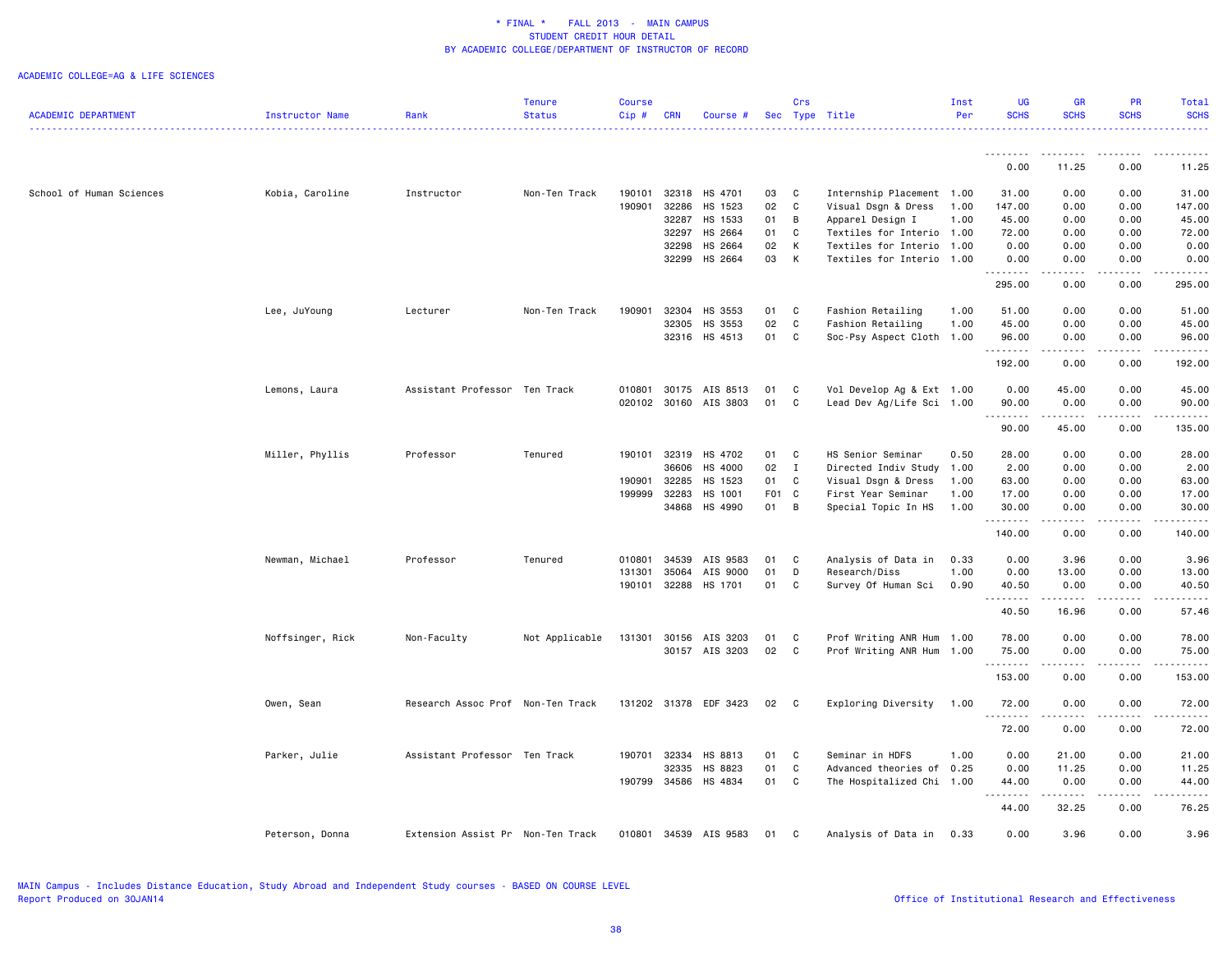### ACADEMIC COLLEGE=AG & LIFE SCIENCES

|                            |                  |                                   | <b>Tenure</b>  | <b>Course</b> |            |                       |       | Crs            |                           | Inst | UG                                                                                                                                                                                                                                                                                                                                                                                                                                                                                     | GR                                                                                                                                                           | <b>PR</b>                           | Total            |
|----------------------------|------------------|-----------------------------------|----------------|---------------|------------|-----------------------|-------|----------------|---------------------------|------|----------------------------------------------------------------------------------------------------------------------------------------------------------------------------------------------------------------------------------------------------------------------------------------------------------------------------------------------------------------------------------------------------------------------------------------------------------------------------------------|--------------------------------------------------------------------------------------------------------------------------------------------------------------|-------------------------------------|------------------|
| <b>ACADEMIC DEPARTMENT</b> | Instructor Name  | Rank                              | <b>Status</b>  | Cip#          | <b>CRN</b> | Course #              |       |                | Sec Type Title            | Per  | <b>SCHS</b>                                                                                                                                                                                                                                                                                                                                                                                                                                                                            | <b>SCHS</b>                                                                                                                                                  | <b>SCHS</b>                         | <b>SCHS</b><br>. |
|                            |                  |                                   |                |               |            |                       |       |                |                           |      |                                                                                                                                                                                                                                                                                                                                                                                                                                                                                        |                                                                                                                                                              |                                     |                  |
|                            |                  |                                   |                |               |            |                       |       |                |                           |      | 0.00                                                                                                                                                                                                                                                                                                                                                                                                                                                                                   | 11.25                                                                                                                                                        | 0.00                                | 11.25            |
| School of Human Sciences   | Kobia, Caroline  | Instructor                        | Non-Ten Track  | 190101        | 32318      | HS 4701               | 03    | C              | Internship Placement 1.00 |      | 31.00                                                                                                                                                                                                                                                                                                                                                                                                                                                                                  | 0.00                                                                                                                                                         | 0.00                                | 31.00            |
|                            |                  |                                   |                | 190901        | 32286      | HS 1523               | 02    | C              | Visual Dsgn & Dress       | 1.00 | 147.00                                                                                                                                                                                                                                                                                                                                                                                                                                                                                 | 0.00                                                                                                                                                         | 0.00                                | 147.00           |
|                            |                  |                                   |                |               | 32287      | HS 1533               | 01    | В              | Apparel Design I          | 1.00 | 45.00                                                                                                                                                                                                                                                                                                                                                                                                                                                                                  | 0.00                                                                                                                                                         | 0.00                                | 45.00            |
|                            |                  |                                   |                |               | 32297      | HS 2664               | 01    | C              | Textiles for Interio 1.00 |      | 72.00                                                                                                                                                                                                                                                                                                                                                                                                                                                                                  | 0.00                                                                                                                                                         | 0.00                                | 72.00            |
|                            |                  |                                   |                |               | 32298      | HS 2664               | 02    | K              | Textiles for Interio 1.00 |      | 0.00                                                                                                                                                                                                                                                                                                                                                                                                                                                                                   | 0.00                                                                                                                                                         | 0.00                                | 0.00             |
|                            |                  |                                   |                |               | 32299      | HS 2664               | 03    | K              | Textiles for Interio 1.00 |      | 0.00<br>.                                                                                                                                                                                                                                                                                                                                                                                                                                                                              | 0.00<br>22222                                                                                                                                                | 0.00<br>$\sim$ $\sim$ $\sim$ $\sim$ | 0.00<br>.        |
|                            |                  |                                   |                |               |            |                       |       |                |                           |      | 295.00                                                                                                                                                                                                                                                                                                                                                                                                                                                                                 | 0.00                                                                                                                                                         | 0.00                                | 295.00           |
|                            | Lee, JuYoung     | Lecturer                          | Non-Ten Track  | 190901        | 32304      | HS 3553               | 01    | C              | Fashion Retailing         | 1.00 | 51.00                                                                                                                                                                                                                                                                                                                                                                                                                                                                                  | 0.00                                                                                                                                                         | 0.00                                | 51.00            |
|                            |                  |                                   |                |               | 32305      | HS 3553               | 02    | C              | Fashion Retailing         | 1.00 | 45.00                                                                                                                                                                                                                                                                                                                                                                                                                                                                                  | 0.00                                                                                                                                                         | 0.00                                | 45.00            |
|                            |                  |                                   |                |               | 32316      | HS 4513               | 01    | C              | Soc-Psy Aspect Cloth 1.00 |      | 96.00<br>.                                                                                                                                                                                                                                                                                                                                                                                                                                                                             | 0.00<br>-----                                                                                                                                                | 0.00<br>.                           | 96.00<br>.       |
|                            |                  |                                   |                |               |            |                       |       |                |                           |      | 192.00                                                                                                                                                                                                                                                                                                                                                                                                                                                                                 | 0.00                                                                                                                                                         | 0.00                                | 192.00           |
|                            | Lemons, Laura    | Assistant Professor Ten Track     |                | 010801        |            | 30175 AIS 8513        | 01    | C              | Vol Develop Ag & Ext 1.00 |      | 0.00                                                                                                                                                                                                                                                                                                                                                                                                                                                                                   | 45.00                                                                                                                                                        | 0.00                                | 45.00            |
|                            |                  |                                   |                |               |            | 020102 30160 AIS 3803 | 01    | $\mathbb C$    | Lead Dev Ag/Life Sci 1.00 |      | 90.00                                                                                                                                                                                                                                                                                                                                                                                                                                                                                  | 0.00                                                                                                                                                         | 0.00                                | 90.00            |
|                            |                  |                                   |                |               |            |                       |       |                |                           |      | 1.1.1.1.1.1.1<br>90.00                                                                                                                                                                                                                                                                                                                                                                                                                                                                 | .<br>45.00                                                                                                                                                   | .<br>0.00                           | .<br>135.00      |
|                            |                  |                                   |                |               |            |                       |       |                |                           |      |                                                                                                                                                                                                                                                                                                                                                                                                                                                                                        |                                                                                                                                                              |                                     |                  |
|                            | Miller, Phyllis  | Professor                         | Tenured        | 190101        | 32319      | HS 4702               | 01    | C              | HS Senior Seminar         | 0.50 | 28.00                                                                                                                                                                                                                                                                                                                                                                                                                                                                                  | 0.00                                                                                                                                                         | 0.00                                | 28.00            |
|                            |                  |                                   |                |               | 36606      | HS 4000               | 02    | $\mathbf{I}$   | Directed Indiv Study 1.00 |      | 2.00                                                                                                                                                                                                                                                                                                                                                                                                                                                                                   | 0.00                                                                                                                                                         | 0.00                                | 2.00             |
|                            |                  |                                   |                | 190901        | 32285      | HS 1523               | 01    | С              | Visual Dsgn & Dress       | 1.00 | 63.00                                                                                                                                                                                                                                                                                                                                                                                                                                                                                  | 0.00                                                                                                                                                         | 0.00                                | 63.00            |
|                            |                  |                                   |                | 199999        | 32283      | HS 1001               | F01 C |                | First Year Seminar        | 1.00 | 17.00                                                                                                                                                                                                                                                                                                                                                                                                                                                                                  | 0.00                                                                                                                                                         | 0.00                                | 17.00            |
|                            |                  |                                   |                |               | 34868      | HS 4990               | 01    | $\overline{B}$ | Special Topic In HS       | 1.00 | 30.00<br>.                                                                                                                                                                                                                                                                                                                                                                                                                                                                             | 0.00<br>$\frac{1}{2} \left( \frac{1}{2} \right) \left( \frac{1}{2} \right) \left( \frac{1}{2} \right) \left( \frac{1}{2} \right) \left( \frac{1}{2} \right)$ | 0.00<br>.                           | 30.00<br>.       |
|                            |                  |                                   |                |               |            |                       |       |                |                           |      | 140.00                                                                                                                                                                                                                                                                                                                                                                                                                                                                                 | 0.00                                                                                                                                                         | 0.00                                | 140.00           |
|                            | Newman, Michael  | Professor                         | Tenured        | 010801        | 34539      | AIS 9583              | 01    | C              | Analysis of Data in       | 0.33 | 0.00                                                                                                                                                                                                                                                                                                                                                                                                                                                                                   | 3.96                                                                                                                                                         | 0.00                                | 3.96             |
|                            |                  |                                   |                | 131301        | 35064      | AIS 9000              | 01    | D              | Research/Diss             | 1.00 | 0.00                                                                                                                                                                                                                                                                                                                                                                                                                                                                                   | 13.00                                                                                                                                                        | 0.00                                | 13.00            |
|                            |                  |                                   |                | 190101        | 32288      | HS 1701               | 01    | C              | Survey Of Human Sci       | 0.90 | 40.50<br>.                                                                                                                                                                                                                                                                                                                                                                                                                                                                             | 0.00<br>------                                                                                                                                               | 0.00<br>.                           | 40.50<br>.       |
|                            |                  |                                   |                |               |            |                       |       |                |                           |      | 40.50                                                                                                                                                                                                                                                                                                                                                                                                                                                                                  | 16.96                                                                                                                                                        | 0.00                                | 57.46            |
|                            | Noffsinger, Rick | Non-Faculty                       | Not Applicable | 131301        | 30156      | AIS 3203              | 01    | C              | Prof Writing ANR Hum 1.00 |      | 78.00                                                                                                                                                                                                                                                                                                                                                                                                                                                                                  | 0.00                                                                                                                                                         | 0.00                                | 78.00            |
|                            |                  |                                   |                |               |            | 30157 AIS 3203        | 02    | C              | Prof Writing ANR Hum 1.00 |      | 75.00                                                                                                                                                                                                                                                                                                                                                                                                                                                                                  | 0.00                                                                                                                                                         | 0.00                                | 75.00            |
|                            |                  |                                   |                |               |            |                       |       |                |                           |      | .                                                                                                                                                                                                                                                                                                                                                                                                                                                                                      | . <u>.</u>                                                                                                                                                   | .                                   | .                |
|                            |                  |                                   |                |               |            |                       |       |                |                           |      | 153.00                                                                                                                                                                                                                                                                                                                                                                                                                                                                                 | 0.00                                                                                                                                                         | 0.00                                | 153.00           |
|                            | Owen, Sean       | Research Assoc Prof Non-Ten Track |                |               |            | 131202 31378 EDF 3423 | 02    | C              | Exploring Diversity       | 1.00 | 72.00                                                                                                                                                                                                                                                                                                                                                                                                                                                                                  | 0.00<br>المتمام المتحدة                                                                                                                                      | 0.00<br>.                           | 72.00<br>.       |
|                            |                  |                                   |                |               |            |                       |       |                |                           |      | 72.00                                                                                                                                                                                                                                                                                                                                                                                                                                                                                  | 0.00                                                                                                                                                         | 0.00                                | 72.00            |
|                            | Parker, Julie    | Assistant Professor Ten Track     |                | 190701        | 32334      | HS 8813               | 01    | C              | Seminar in HDFS           | 1.00 | 0.00                                                                                                                                                                                                                                                                                                                                                                                                                                                                                   | 21.00                                                                                                                                                        | 0.00                                | 21.00            |
|                            |                  |                                   |                |               | 32335      | HS 8823               | 01    | С              | Advanced theories of      | 0.25 | 0.00                                                                                                                                                                                                                                                                                                                                                                                                                                                                                   | 11.25                                                                                                                                                        | 0.00                                | 11.25            |
|                            |                  |                                   |                | 190799 34586  |            | HS 4834               | 01    | $\mathbb C$    | The Hospitalized Chi 1.00 |      | 44.00                                                                                                                                                                                                                                                                                                                                                                                                                                                                                  | 0.00                                                                                                                                                         | 0.00                                | 44.00            |
|                            |                  |                                   |                |               |            |                       |       |                |                           |      | $\begin{array}{cccccccccccccc} \multicolumn{2}{c}{} & \multicolumn{2}{c}{} & \multicolumn{2}{c}{} & \multicolumn{2}{c}{} & \multicolumn{2}{c}{} & \multicolumn{2}{c}{} & \multicolumn{2}{c}{} & \multicolumn{2}{c}{} & \multicolumn{2}{c}{} & \multicolumn{2}{c}{} & \multicolumn{2}{c}{} & \multicolumn{2}{c}{} & \multicolumn{2}{c}{} & \multicolumn{2}{c}{} & \multicolumn{2}{c}{} & \multicolumn{2}{c}{} & \multicolumn{2}{c}{} & \multicolumn{2}{c}{} & \multicolumn{2}{c}{} & \$ | .                                                                                                                                                            | .                                   | .                |
|                            |                  |                                   |                |               |            |                       |       |                |                           |      | 44.00                                                                                                                                                                                                                                                                                                                                                                                                                                                                                  | 32.25                                                                                                                                                        | 0.00                                | 76.25            |
|                            | Peterson, Donna  | Extension Assist Pr Non-Ten Track |                | 010801        |            | 34539 AIS 9583        | 01    | C              | Analysis of Data in       | 0.33 | 0.00                                                                                                                                                                                                                                                                                                                                                                                                                                                                                   | 3.96                                                                                                                                                         | 0.00                                | 3.96             |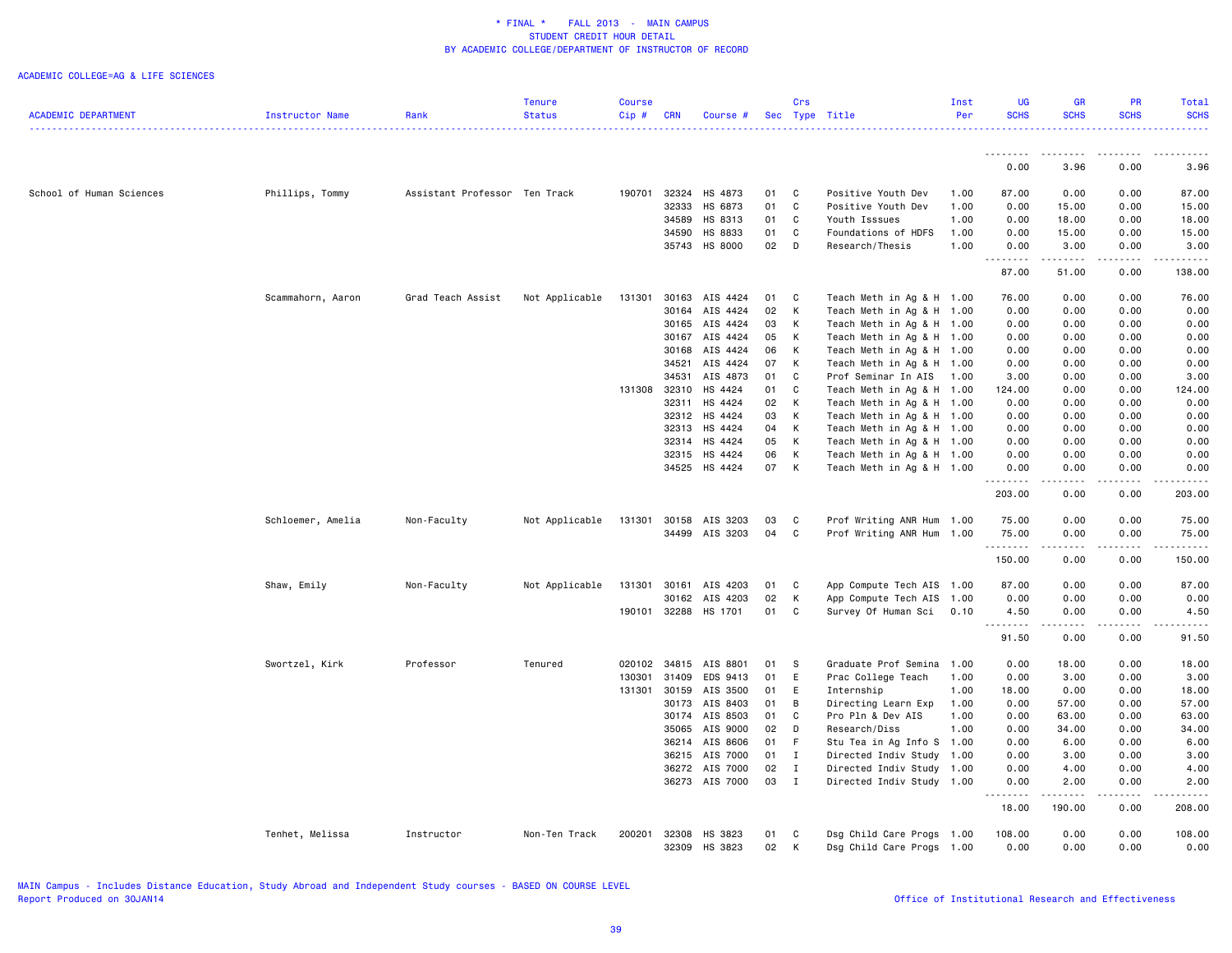ACADEMIC COLLEGE=AG & LIFE SCIENCES

|                            |                   |                               | <b>Tenure</b>  | <b>Course</b> |                |                      |          | Crs          |                                                        | Inst | <b>UG</b>           | <b>GR</b>                                                                                                                                                                                                                                                                                                                                    | <b>PR</b>                                                                                                                                                    | Total                                                                                                                                                        |
|----------------------------|-------------------|-------------------------------|----------------|---------------|----------------|----------------------|----------|--------------|--------------------------------------------------------|------|---------------------|----------------------------------------------------------------------------------------------------------------------------------------------------------------------------------------------------------------------------------------------------------------------------------------------------------------------------------------------|--------------------------------------------------------------------------------------------------------------------------------------------------------------|--------------------------------------------------------------------------------------------------------------------------------------------------------------|
| <b>ACADEMIC DEPARTMENT</b> | Instructor Name   | Rank                          | <b>Status</b>  | Cip#          | <b>CRN</b>     | Course #             |          |              | Sec Type Title                                         | Per  | <b>SCHS</b>         | <b>SCHS</b>                                                                                                                                                                                                                                                                                                                                  | <b>SCHS</b>                                                                                                                                                  | <b>SCHS</b><br><u>.</u>                                                                                                                                      |
|                            |                   |                               |                |               |                |                      |          |              |                                                        |      | .                   |                                                                                                                                                                                                                                                                                                                                              |                                                                                                                                                              |                                                                                                                                                              |
|                            |                   |                               |                |               |                |                      |          |              |                                                        |      | 0.00                | 3.96                                                                                                                                                                                                                                                                                                                                         | 0.00                                                                                                                                                         | 3.96                                                                                                                                                         |
| School of Human Sciences   | Phillips, Tommy   | Assistant Professor Ten Track |                | 190701        | 32324          | HS 4873              | 01       | C            | Positive Youth Dev                                     | 1.00 | 87.00               | 0.00                                                                                                                                                                                                                                                                                                                                         | 0.00                                                                                                                                                         | 87.00                                                                                                                                                        |
|                            |                   |                               |                |               | 32333          | HS 6873              | 01       | C            | Positive Youth Dev                                     | 1.00 | 0.00                | 15.00                                                                                                                                                                                                                                                                                                                                        | 0.00                                                                                                                                                         | 15.00                                                                                                                                                        |
|                            |                   |                               |                |               | 34589          | HS 8313              | 01       | $\mathbf C$  | Youth Isssues                                          | 1.00 | 0.00                | 18.00                                                                                                                                                                                                                                                                                                                                        | 0.00                                                                                                                                                         | 18.00                                                                                                                                                        |
|                            |                   |                               |                |               | 34590          | HS 8833              | 01       | C            | Foundations of HDFS                                    | 1.00 | 0.00                | 15.00                                                                                                                                                                                                                                                                                                                                        | 0.00                                                                                                                                                         | 15.00                                                                                                                                                        |
|                            |                   |                               |                |               |                | 35743 HS 8000        | 02       | D            | Research/Thesis                                        | 1.00 | 0.00<br>.           | 3.00<br>.                                                                                                                                                                                                                                                                                                                                    | 0.00<br>22222                                                                                                                                                | 3.00<br>.                                                                                                                                                    |
|                            |                   |                               |                |               |                |                      |          |              |                                                        |      | 87.00               | 51.00                                                                                                                                                                                                                                                                                                                                        | 0.00                                                                                                                                                         | 138.00                                                                                                                                                       |
|                            | Scammahorn, Aaron | Grad Teach Assist             | Not Applicable | 131301        | 30163          | AIS 4424             | 01       | C            | Teach Meth in Ag & H 1.00                              |      | 76.00               | 0.00                                                                                                                                                                                                                                                                                                                                         | 0.00                                                                                                                                                         | 76.00                                                                                                                                                        |
|                            |                   |                               |                |               | 30164          | AIS 4424             | 02       | К            | Teach Meth in Ag & H 1.00                              |      | 0.00                | 0.00                                                                                                                                                                                                                                                                                                                                         | 0.00                                                                                                                                                         | 0.00                                                                                                                                                         |
|                            |                   |                               |                |               | 30165          | AIS 4424             | 03       | К            | Teach Meth in Ag & H 1.00                              |      | 0.00                | 0.00                                                                                                                                                                                                                                                                                                                                         | 0.00                                                                                                                                                         | 0.00                                                                                                                                                         |
|                            |                   |                               |                |               | 30167          | AIS 4424             | 05       | К            | Teach Meth in Ag & H 1.00                              |      | 0.00                | 0.00                                                                                                                                                                                                                                                                                                                                         | 0.00                                                                                                                                                         | 0.00                                                                                                                                                         |
|                            |                   |                               |                |               | 30168          | AIS 4424             | 06       | K            | Teach Meth in Ag & H 1.00                              |      | 0.00                | 0.00                                                                                                                                                                                                                                                                                                                                         | 0.00                                                                                                                                                         | 0.00                                                                                                                                                         |
|                            |                   |                               |                |               | 34521          | AIS 4424             | 07       | К            | Teach Meth in Ag & H 1.00                              |      | 0.00                | 0.00                                                                                                                                                                                                                                                                                                                                         | 0.00                                                                                                                                                         | 0.00                                                                                                                                                         |
|                            |                   |                               |                |               | 34531          | AIS 4873             | 01       | C            | Prof Seminar In AIS 1.00                               |      | 3.00                | 0.00                                                                                                                                                                                                                                                                                                                                         | 0.00                                                                                                                                                         | 3.00                                                                                                                                                         |
|                            |                   |                               |                | 131308        | 32310          | HS 4424              | 01       | C            | Teach Meth in Ag & H 1.00                              |      | 124.00              | 0.00                                                                                                                                                                                                                                                                                                                                         | 0.00                                                                                                                                                         | 124.00                                                                                                                                                       |
|                            |                   |                               |                |               | 32311          | HS 4424              | 02       | К            | Teach Meth in Ag & H 1.00                              |      | 0.00                | 0.00                                                                                                                                                                                                                                                                                                                                         | 0.00                                                                                                                                                         | 0.00                                                                                                                                                         |
|                            |                   |                               |                |               | 32312<br>32313 | HS 4424<br>HS 4424   | 03<br>04 | К<br>К       | Teach Meth in Ag & H 1.00<br>Teach Meth in Ag & H 1.00 |      | 0.00<br>0.00        | 0.00<br>0.00                                                                                                                                                                                                                                                                                                                                 | 0.00<br>0.00                                                                                                                                                 | 0.00<br>0.00                                                                                                                                                 |
|                            |                   |                               |                |               | 32314          | HS 4424              | 05       | K            | Teach Meth in Ag & H 1.00                              |      | 0.00                | 0.00                                                                                                                                                                                                                                                                                                                                         | 0.00                                                                                                                                                         | 0.00                                                                                                                                                         |
|                            |                   |                               |                |               |                | 32315 HS 4424        | 06       | К            | Teach Meth in Ag & H 1.00                              |      | 0.00                | 0.00                                                                                                                                                                                                                                                                                                                                         | 0.00                                                                                                                                                         | 0.00                                                                                                                                                         |
|                            |                   |                               |                |               |                | 34525 HS 4424        | 07       | К            | Teach Meth in Ag & H 1.00                              |      | 0.00                | 0.00                                                                                                                                                                                                                                                                                                                                         | 0.00                                                                                                                                                         | 0.00                                                                                                                                                         |
|                            |                   |                               |                |               |                |                      |          |              |                                                        |      | .<br>203.00         | .<br>0.00                                                                                                                                                                                                                                                                                                                                    | -----<br>0.00                                                                                                                                                | .<br>203.00                                                                                                                                                  |
|                            | Schloemer, Amelia | Non-Faculty                   | Not Applicable | 131301        | 30158          | AIS 3203             | 03       | C            | Prof Writing ANR Hum 1.00                              |      | 75.00               | 0.00                                                                                                                                                                                                                                                                                                                                         | 0.00                                                                                                                                                         | 75.00                                                                                                                                                        |
|                            |                   |                               |                |               | 34499          | AIS 3203             | 04       | C            | Prof Writing ANR Hum 1.00                              |      | 75.00<br>. <b>.</b> | 0.00                                                                                                                                                                                                                                                                                                                                         | 0.00                                                                                                                                                         | 75.00                                                                                                                                                        |
|                            |                   |                               |                |               |                |                      |          |              |                                                        |      | 150.00              | 0.00                                                                                                                                                                                                                                                                                                                                         | 0.00                                                                                                                                                         | 150.00                                                                                                                                                       |
|                            | Shaw, Emily       | Non-Faculty                   | Not Applicable | 131301        | 30161          | AIS 4203             | 01       | C            | App Compute Tech AIS 1.00                              |      | 87.00               | 0.00                                                                                                                                                                                                                                                                                                                                         | 0.00                                                                                                                                                         | 87.00                                                                                                                                                        |
|                            |                   |                               |                |               | 30162          | AIS 4203             | 02       | К            | App Compute Tech AIS 1.00                              |      | 0.00                | 0.00                                                                                                                                                                                                                                                                                                                                         | 0.00                                                                                                                                                         | 0.00                                                                                                                                                         |
|                            |                   |                               |                |               |                | 190101 32288 HS 1701 | 01       | C            | Survey Of Human Sci                                    | 0.10 | 4.50<br>.           | 0.00                                                                                                                                                                                                                                                                                                                                         | 0.00<br>$\frac{1}{2} \left( \frac{1}{2} \right) \left( \frac{1}{2} \right) \left( \frac{1}{2} \right) \left( \frac{1}{2} \right) \left( \frac{1}{2} \right)$ | 4.50<br>.                                                                                                                                                    |
|                            |                   |                               |                |               |                |                      |          |              |                                                        |      | 91.50               | $\frac{1}{2} \left( \begin{array}{ccc} 1 & 0 & 0 & 0 \\ 0 & 0 & 0 & 0 \\ 0 & 0 & 0 & 0 \\ 0 & 0 & 0 & 0 \\ 0 & 0 & 0 & 0 \\ 0 & 0 & 0 & 0 \\ 0 & 0 & 0 & 0 \\ 0 & 0 & 0 & 0 \\ 0 & 0 & 0 & 0 \\ 0 & 0 & 0 & 0 \\ 0 & 0 & 0 & 0 & 0 \\ 0 & 0 & 0 & 0 & 0 \\ 0 & 0 & 0 & 0 & 0 \\ 0 & 0 & 0 & 0 & 0 \\ 0 & 0 & 0 & 0 & 0 \\ 0 & 0 & 0$<br>0.00 | 0.00                                                                                                                                                         | 91.50                                                                                                                                                        |
|                            | Swortzel, Kirk    | Professor                     | Tenured        | 020102        |                | 34815 AIS 8801       | 01       | - S          | Graduate Prof Semina                                   | 1.00 | 0.00                | 18.00                                                                                                                                                                                                                                                                                                                                        | 0.00                                                                                                                                                         | 18.00                                                                                                                                                        |
|                            |                   |                               |                | 130301        | 31409          | EDS 9413             | 01       | E            | Prac College Teach                                     | 1.00 | 0.00                | 3.00                                                                                                                                                                                                                                                                                                                                         | 0.00                                                                                                                                                         | 3.00                                                                                                                                                         |
|                            |                   |                               |                | 131301 30159  |                | AIS 3500             | 01       | Ε            | Internship                                             | 1.00 | 18.00               | 0.00                                                                                                                                                                                                                                                                                                                                         | 0.00                                                                                                                                                         | 18.00                                                                                                                                                        |
|                            |                   |                               |                |               | 30173          | AIS 8403             | 01       | B            | Directing Learn Exp                                    | 1.00 | 0.00                | 57.00                                                                                                                                                                                                                                                                                                                                        | 0.00                                                                                                                                                         | 57.00                                                                                                                                                        |
|                            |                   |                               |                |               | 30174          | AIS 8503             | 01       | C            | Pro Pln & Dev AIS                                      | 1.00 | 0.00                | 63.00                                                                                                                                                                                                                                                                                                                                        | 0.00                                                                                                                                                         | 63.00                                                                                                                                                        |
|                            |                   |                               |                |               | 35065          | AIS 9000             | 02       | D            | Research/Diss                                          | 1.00 | 0.00                | 34.00                                                                                                                                                                                                                                                                                                                                        | 0.00                                                                                                                                                         | 34.00                                                                                                                                                        |
|                            |                   |                               |                |               |                | 36214 AIS 8606       | 01       | F.           | Stu Tea in Ag Info S 1.00                              |      | 0.00                | 6.00                                                                                                                                                                                                                                                                                                                                         | 0.00                                                                                                                                                         | 6.00                                                                                                                                                         |
|                            |                   |                               |                |               | 36215          | AIS 7000             | 01       | $\mathbf{I}$ | Directed Indiv Study 1.00                              |      | 0.00                | 3.00                                                                                                                                                                                                                                                                                                                                         | 0.00                                                                                                                                                         | 3.00                                                                                                                                                         |
|                            |                   |                               |                |               |                | 36272 AIS 7000       | 02       | $\mathbf{I}$ | Directed Indiv Study                                   | 1.00 | 0.00                | 4.00                                                                                                                                                                                                                                                                                                                                         | 0.00                                                                                                                                                         | 4.00                                                                                                                                                         |
|                            |                   |                               |                |               |                | 36273 AIS 7000       | 03       | $\mathbf{I}$ | Directed Indiv Study 1.00                              |      | 0.00<br>.           | 2.00<br>.                                                                                                                                                                                                                                                                                                                                    | 0.00<br>.                                                                                                                                                    | 2.00<br>$\frac{1}{2} \left( \frac{1}{2} \right) \left( \frac{1}{2} \right) \left( \frac{1}{2} \right) \left( \frac{1}{2} \right) \left( \frac{1}{2} \right)$ |
|                            |                   |                               |                |               |                |                      |          |              |                                                        |      | 18.00               | 190.00                                                                                                                                                                                                                                                                                                                                       | 0.00                                                                                                                                                         | 208.00                                                                                                                                                       |
|                            | Tenhet, Melissa   | Instructor                    | Non-Ten Track  | 200201        | 32308<br>32309 | HS 3823<br>HS 3823   | 01<br>02 | C<br>К       | Dsg Child Care Progs 1.00<br>Dsg Child Care Progs 1.00 |      | 108,00<br>0.00      | 0.00<br>0.00                                                                                                                                                                                                                                                                                                                                 | 0.00<br>0.00                                                                                                                                                 | 108.00<br>0.00                                                                                                                                               |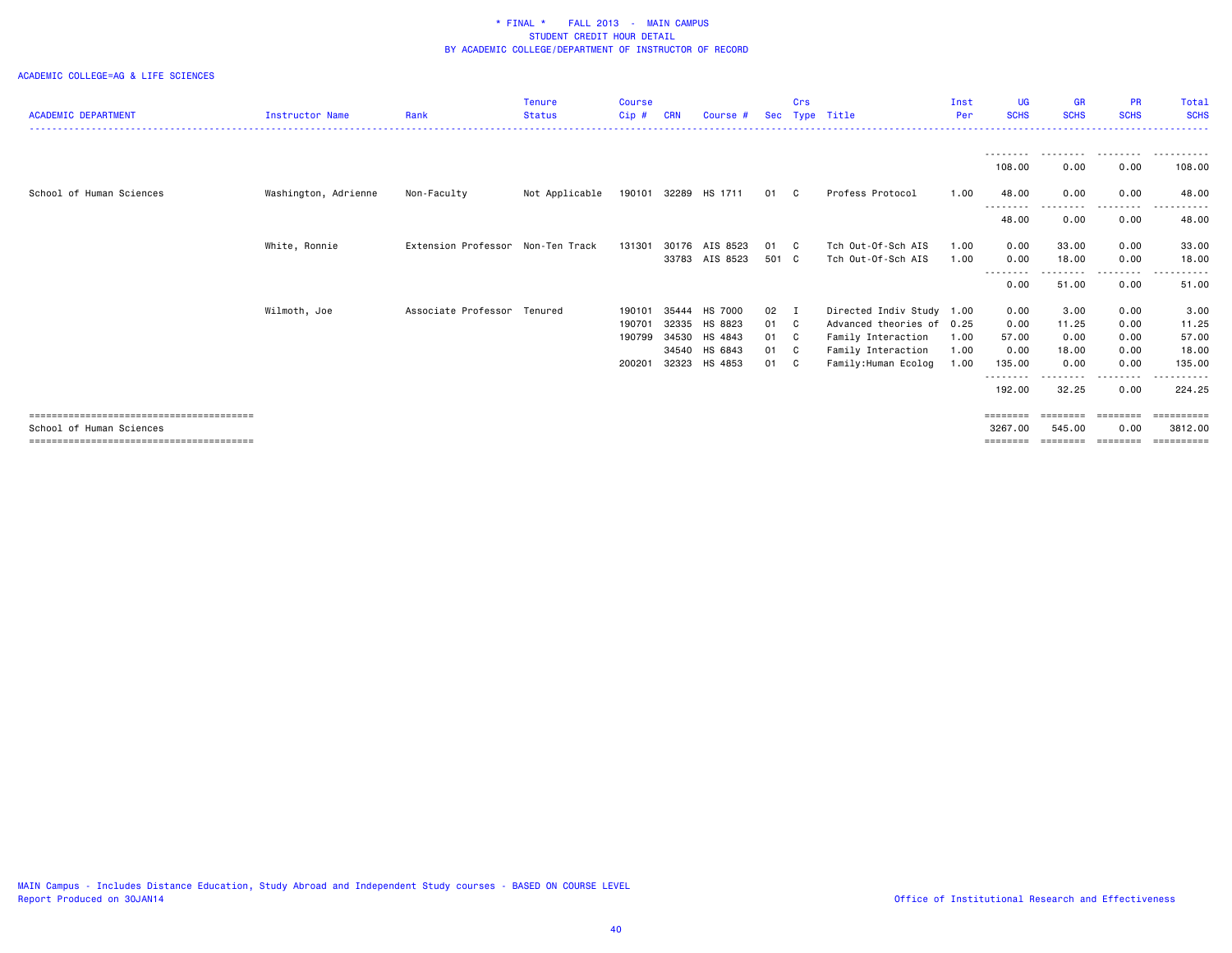### ACADEMIC COLLEGE=AG & LIFE SCIENCES

|                            |                        |                                   | <b>Tenure</b>  | <b>Course</b> |            |                |       | Crs          |                           | Inst | UG                 | <b>GR</b>   | <b>PR</b>                                                               | Total                   |
|----------------------------|------------------------|-----------------------------------|----------------|---------------|------------|----------------|-------|--------------|---------------------------|------|--------------------|-------------|-------------------------------------------------------------------------|-------------------------|
| <b>ACADEMIC DEPARTMENT</b> | <b>Instructor Name</b> | Rank                              | <b>Status</b>  | Cip#          | <b>CRN</b> | Course #       |       |              | Sec Type Title            | Per  | <b>SCHS</b>        | <b>SCHS</b> | <b>SCHS</b>                                                             | <b>SCHS</b>             |
|                            |                        |                                   |                |               |            |                |       |              |                           |      |                    |             |                                                                         |                         |
|                            |                        |                                   |                |               |            |                |       |              |                           |      | 108.00             | 0.00        | ---------<br>0.00                                                       | 108.00                  |
| School of Human Sciences   | Washington, Adrienne   | Non-Faculty                       | Not Applicable | 190101        |            | 32289 HS 1711  | 01    | C C          | Profess Protocol          | 1.00 | 48.00              | 0.00        | 0.00                                                                    | 48.00                   |
|                            |                        |                                   |                |               |            |                |       |              |                           |      | --------<br>48.00  | 0.00        | 0.00                                                                    | 48.00                   |
|                            | White, Ronnie          | Extension Professor Non-Ten Track |                | 131301        | 30176      | AIS 8523       | 01    | $\mathbf{C}$ | Tch Out-Of-Sch AIS        | 1.00 | 0.00               | 33.00       | 0.00                                                                    | 33.00                   |
|                            |                        |                                   |                |               |            | 33783 AIS 8523 | 501 C |              | Tch Out-Of-Sch AIS        | 1.00 | 0.00               | 18.00       | 0.00                                                                    | 18.00                   |
|                            |                        |                                   |                |               |            |                |       |              |                           |      | .<br>0.00          | 51.00       | .<br>0.00                                                               | 51.00                   |
|                            | Wilmoth, Joe           | Associate Professor Tenured       |                | 190101        | 35444      | HS 7000        | 02    | $\mathbf I$  | Directed Indiv Study 1.00 |      | 0.00               | 3.00        | 0.00                                                                    | 3.00                    |
|                            |                        |                                   |                | 190701        | 32335      | HS 8823        | 01    | C            | Advanced theories of      | 0.25 | 0.00               | 11.25       | 0.00                                                                    | 11.25                   |
|                            |                        |                                   |                | 190799        | 34530      | HS 4843        | 01    | C C          | Family Interaction        | 1.00 | 57.00              | 0.00        | 0.00                                                                    | 57.00                   |
|                            |                        |                                   |                |               | 34540      | HS 6843        | 01    | $\mathbf{C}$ | Family Interaction        | 1.00 | 0.00               | 18.00       | 0.00                                                                    | 18.00                   |
|                            |                        |                                   |                | 200201        | 32323      | HS 4853        | 01    | C            | Family:Human Ecolog       | 1.00 | 135.00<br>-------- | 0.00<br>.   | 0.00<br>.                                                               | 135.00<br>- - - - - - - |
|                            |                        |                                   |                |               |            |                |       |              |                           |      | 192.00             | 32.25       | 0.00                                                                    | 224.25                  |
|                            |                        |                                   |                |               |            |                |       |              |                           |      | $=$ = = = = = = =  | ========    | $\qquad \qquad \equiv \equiv \equiv \equiv \equiv \equiv \equiv \equiv$ |                         |
| School of Human Sciences   |                        |                                   |                |               |            |                |       |              |                           |      | 3267.00            | 545.00      | 0.00                                                                    | 3812,00                 |
|                            |                        |                                   |                |               |            |                |       |              |                           |      | ========           | ========    | ========                                                                | ==========              |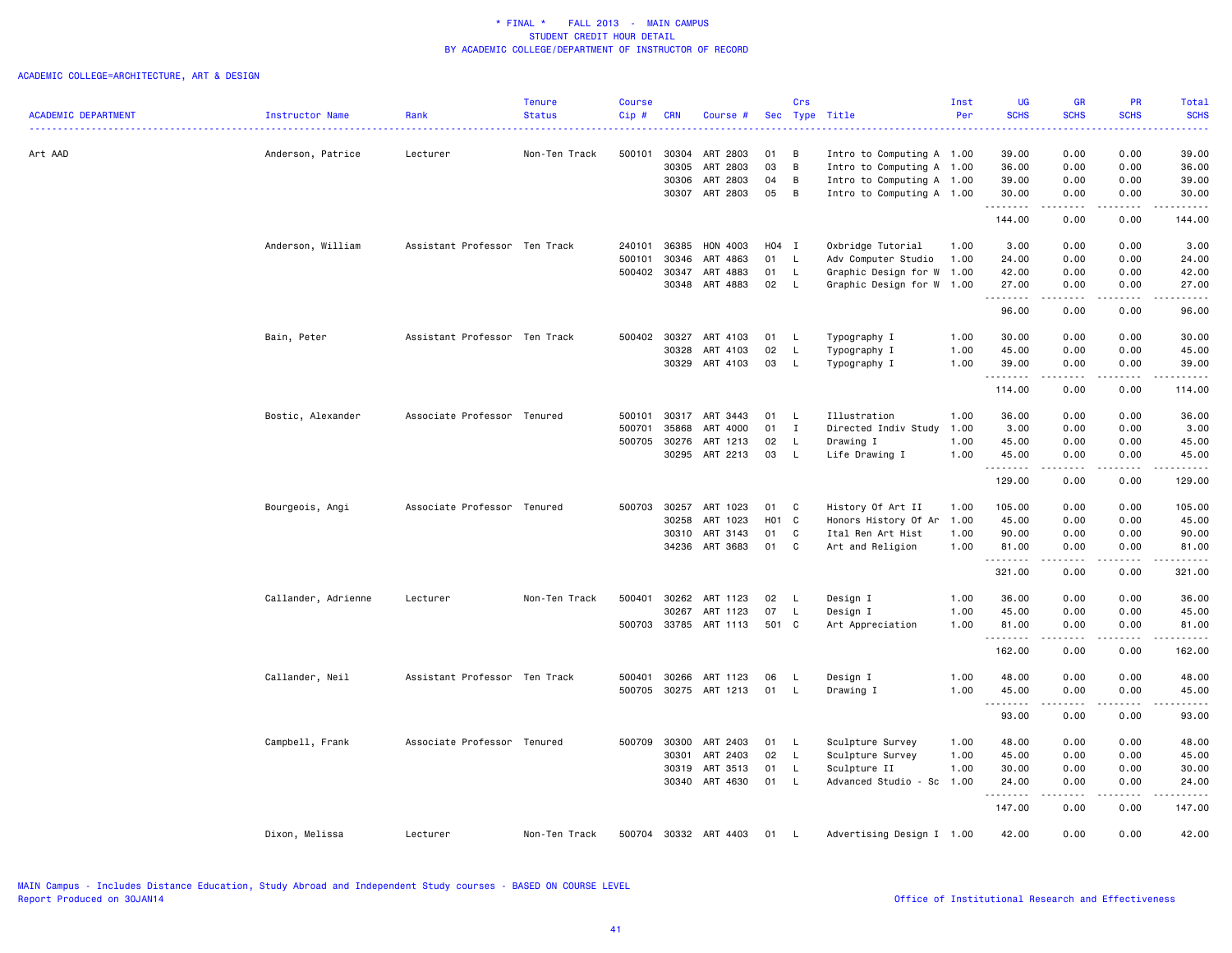|                            |                     |                               | <b>Tenure</b> | <b>Course</b> |            |                       |                   | Crs          |                                                        | Inst | <b>UG</b>      | <b>GR</b>                      | PR                                                                                                                                                           | Total                                                                                                                                    |
|----------------------------|---------------------|-------------------------------|---------------|---------------|------------|-----------------------|-------------------|--------------|--------------------------------------------------------|------|----------------|--------------------------------|--------------------------------------------------------------------------------------------------------------------------------------------------------------|------------------------------------------------------------------------------------------------------------------------------------------|
| <b>ACADEMIC DEPARTMENT</b> | Instructor Name     | Rank                          | <b>Status</b> | Cip#          | <b>CRN</b> | Course #              |                   |              | Sec Type Title                                         | Per  | <b>SCHS</b>    | <b>SCHS</b>                    | <b>SCHS</b>                                                                                                                                                  | <b>SCHS</b><br>$\frac{1}{2} \left( \frac{1}{2} \right) \left( \frac{1}{2} \right) \left( \frac{1}{2} \right) \left( \frac{1}{2} \right)$ |
|                            |                     |                               |               |               | 30304      |                       |                   |              |                                                        |      |                |                                |                                                                                                                                                              |                                                                                                                                          |
| Art AAD                    | Anderson, Patrice   | Lecturer                      | Non-Ten Track | 500101        | 30305      | ART 2803<br>ART 2803  | 01<br>03          | В<br>B       | Intro to Computing A 1.00                              |      | 39.00<br>36.00 | 0.00                           | 0.00<br>0.00                                                                                                                                                 | 39.00<br>36.00                                                                                                                           |
|                            |                     |                               |               |               | 30306      | ART 2803              | 04                | B            | Intro to Computing A 1.00                              |      | 39.00          | 0.00<br>0.00                   | 0.00                                                                                                                                                         | 39.00                                                                                                                                    |
|                            |                     |                               |               |               | 30307      | ART 2803              | 05                | B            | Intro to Computing A 1.00<br>Intro to Computing A 1.00 |      |                | 0.00                           | 0.00                                                                                                                                                         | 30.00                                                                                                                                    |
|                            |                     |                               |               |               |            |                       |                   |              |                                                        |      | 30.00<br>.     | . <b>.</b>                     | .                                                                                                                                                            | .                                                                                                                                        |
|                            |                     |                               |               |               |            |                       |                   |              |                                                        |      | 144.00         | 0.00                           | 0.00                                                                                                                                                         | 144.00                                                                                                                                   |
|                            | Anderson, William   | Assistant Professor Ten Track |               | 240101        | 36385      | HON 4003              | H04 I             |              | Oxbridge Tutorial                                      | 1.00 | 3.00           | 0.00                           | 0.00                                                                                                                                                         | 3.00                                                                                                                                     |
|                            |                     |                               |               | 500101        | 30346      | ART 4863              | 01                | $\mathsf{L}$ | Adv Computer Studio                                    | 1.00 | 24.00          | 0.00                           | 0.00                                                                                                                                                         | 24.00                                                                                                                                    |
|                            |                     |                               |               | 500402        | 30347      | ART 4883              | 01                | L.           | Graphic Design for W 1.00                              |      | 42.00          | 0.00                           | 0.00                                                                                                                                                         | 42.00                                                                                                                                    |
|                            |                     |                               |               |               |            | 30348 ART 4883        | 02                | - L          | Graphic Design for W 1.00                              |      | 27.00<br>.     | 0.00<br>.                      | 0.00<br>.                                                                                                                                                    | 27.00<br>.                                                                                                                               |
|                            |                     |                               |               |               |            |                       |                   |              |                                                        |      | 96.00          | 0.00                           | 0.00                                                                                                                                                         | 96.00                                                                                                                                    |
|                            | Bain, Peter         | Assistant Professor Ten Track |               | 500402        | 30327      | ART 4103              | 01                | L.           | Typography I                                           | 1.00 | 30.00          | 0.00                           | 0.00                                                                                                                                                         | 30.00                                                                                                                                    |
|                            |                     |                               |               |               | 30328      | ART 4103              | 02                | $\mathsf{L}$ | Typography I                                           | 1.00 | 45.00          | 0.00                           | 0.00                                                                                                                                                         | 45.00                                                                                                                                    |
|                            |                     |                               |               |               | 30329      | ART 4103              | 03                | L.           | Typography I                                           | 1.00 | 39.00<br>.     | 0.00<br>$\omega$ is a $\omega$ | 0.00<br>.                                                                                                                                                    | 39.00<br>.                                                                                                                               |
|                            |                     |                               |               |               |            |                       |                   |              |                                                        |      | 114.00         | 0.00                           | 0.00                                                                                                                                                         | 114.00                                                                                                                                   |
|                            | Bostic, Alexander   | Associate Professor Tenured   |               | 500101        | 30317      | ART 3443              | 01                | - L          | Illustration                                           | 1.00 | 36.00          | 0.00                           | 0.00                                                                                                                                                         | 36.00                                                                                                                                    |
|                            |                     |                               |               | 500701        | 35868      | ART 4000              | 01                | $\mathbf I$  | Directed Indiv Study                                   | 1.00 | 3.00           | 0.00                           | 0.00                                                                                                                                                         | 3.00                                                                                                                                     |
|                            |                     |                               |               | 500705        | 30276      | ART 1213              | 02                | L.           | Drawing I                                              | 1.00 | 45.00          | 0.00                           | 0.00                                                                                                                                                         | 45.00                                                                                                                                    |
|                            |                     |                               |               |               |            | 30295 ART 2213        | 03                | $\mathsf{L}$ | Life Drawing I                                         | 1.00 | 45.00          | 0.00                           | 0.00                                                                                                                                                         | 45.00                                                                                                                                    |
|                            |                     |                               |               |               |            |                       |                   |              |                                                        |      | .              | .                              | .                                                                                                                                                            | .                                                                                                                                        |
|                            |                     |                               |               |               |            |                       |                   |              |                                                        |      | 129.00         | 0.00                           | 0.00                                                                                                                                                         | 129.00                                                                                                                                   |
|                            | Bourgeois, Angi     | Associate Professor Tenured   |               | 500703        | 30257      | ART 1023              | 01                | C            | History Of Art II                                      | 1.00 | 105.00         | 0.00                           | 0.00                                                                                                                                                         | 105.00                                                                                                                                   |
|                            |                     |                               |               |               | 30258      | ART 1023              | H <sub>01</sub> C |              | Honors History Of Ar                                   | 1.00 | 45.00          | 0.00                           | 0.00                                                                                                                                                         | 45.00                                                                                                                                    |
|                            |                     |                               |               |               | 30310      | ART 3143              | 01                | C            | Ital Ren Art Hist                                      | 1.00 | 90.00          | 0.00                           | 0.00                                                                                                                                                         | 90.00                                                                                                                                    |
|                            |                     |                               |               |               |            | 34236 ART 3683        | 01                | C            | Art and Religion                                       | 1.00 | 81.00<br>.     | 0.00<br>.                      | 0.00<br>.                                                                                                                                                    | 81.00<br>.                                                                                                                               |
|                            |                     |                               |               |               |            |                       |                   |              |                                                        |      | 321.00         | 0.00                           | 0.00                                                                                                                                                         | 321.00                                                                                                                                   |
|                            | Callander, Adrienne | Lecturer                      | Non-Ten Track | 500401        | 30262      | ART 1123              | 02                | L.           | Design I                                               | 1.00 | 36.00          | 0.00                           | 0.00                                                                                                                                                         | 36.00                                                                                                                                    |
|                            |                     |                               |               |               | 30267      | ART 1123              | 07                | L.           | Design I                                               | 1.00 | 45.00          | 0.00                           | 0.00                                                                                                                                                         | 45.00                                                                                                                                    |
|                            |                     |                               |               |               |            | 500703 33785 ART 1113 | 501 C             |              | Art Appreciation                                       | 1.00 | 81.00          | 0.00                           | 0.00                                                                                                                                                         | 81.00                                                                                                                                    |
|                            |                     |                               |               |               |            |                       |                   |              |                                                        |      | .<br>162.00    | .<br>0.00                      | .<br>0.00                                                                                                                                                    | .<br>162.00                                                                                                                              |
|                            | Callander, Neil     | Assistant Professor Ten Track |               | 500401        | 30266      | ART 1123              | 06                | - L          | Design I                                               | 1.00 | 48.00          | 0.00                           | 0.00                                                                                                                                                         | 48.00                                                                                                                                    |
|                            |                     |                               |               | 500705        |            | 30275 ART 1213        | 01                | $\mathsf{L}$ | Drawing I                                              | 1.00 | 45.00          | 0.00                           | 0.00                                                                                                                                                         | 45.00                                                                                                                                    |
|                            |                     |                               |               |               |            |                       |                   |              |                                                        |      | .              | .                              | -----                                                                                                                                                        | .                                                                                                                                        |
|                            |                     |                               |               |               |            |                       |                   |              |                                                        |      | 93.00          | 0.00                           | 0.00                                                                                                                                                         | 93.00                                                                                                                                    |
|                            | Campbell, Frank     | Associate Professor Tenured   |               | 500709        | 30300      | ART 2403              | 01                | <b>L</b>     | Sculpture Survey                                       | 1.00 | 48.00          | 0.00                           | 0.00                                                                                                                                                         | 48.00                                                                                                                                    |
|                            |                     |                               |               |               | 30301      | ART 2403              | 02                | $\mathsf{L}$ | Sculpture Survey                                       | 1.00 | 45.00          | 0.00                           | 0.00                                                                                                                                                         | 45.00                                                                                                                                    |
|                            |                     |                               |               |               | 30319      | ART 3513              | 01                | L.           | Sculpture II                                           | 1.00 | 30.00          | 0.00                           | 0.00                                                                                                                                                         | 30.00                                                                                                                                    |
|                            |                     |                               |               |               |            | 30340 ART 4630        | 01                | $\mathsf{L}$ | Advanced Studio - Sc 1.00                              |      | 24.00<br>.     | 0.00<br>.                      | 0.00<br>$\frac{1}{2} \left( \frac{1}{2} \right) \left( \frac{1}{2} \right) \left( \frac{1}{2} \right) \left( \frac{1}{2} \right) \left( \frac{1}{2} \right)$ | 24.00<br>.                                                                                                                               |
|                            |                     |                               |               |               |            |                       |                   |              |                                                        |      | 147.00         | 0.00                           | 0.00                                                                                                                                                         | 147.00                                                                                                                                   |
|                            | Dixon, Melissa      | Lecturer                      | Non-Ten Track |               |            | 500704 30332 ART 4403 | 01                | L.           | Advertising Design I 1.00                              |      | 42.00          | 0.00                           | 0.00                                                                                                                                                         | 42.00                                                                                                                                    |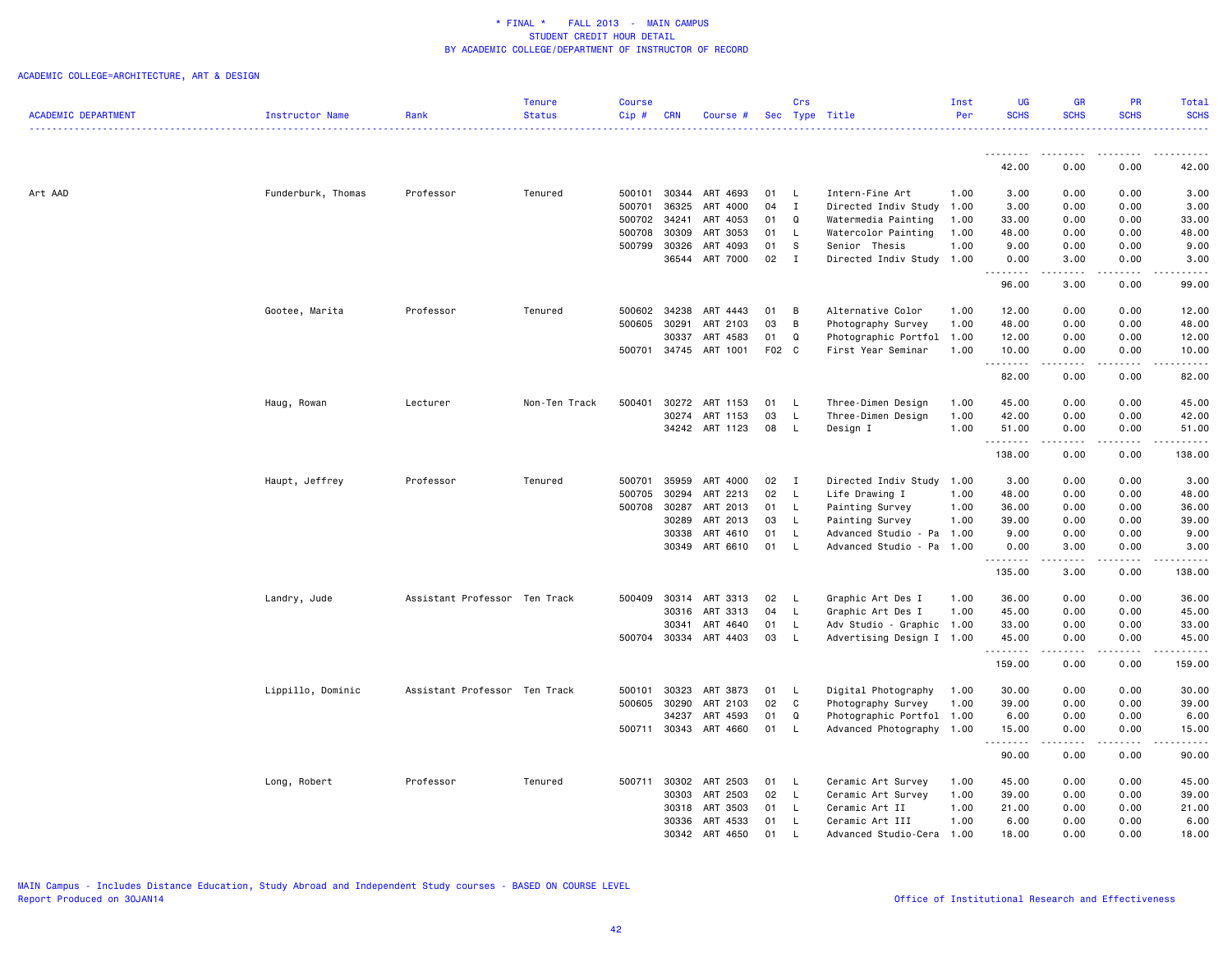|                            |                    |                               | <b>Tenure</b> | <b>Course</b> |            |                       |       | Crs          |                           | Inst | UG                | <b>GR</b>          | <b>PR</b>                                                                                                                                                    | Total                |
|----------------------------|--------------------|-------------------------------|---------------|---------------|------------|-----------------------|-------|--------------|---------------------------|------|-------------------|--------------------|--------------------------------------------------------------------------------------------------------------------------------------------------------------|----------------------|
| <b>ACADEMIC DEPARTMENT</b> | Instructor Name    | Rank                          | <b>Status</b> | $Cip \#$      | <b>CRN</b> | Course #              |       |              | Sec Type Title            | Per  | <b>SCHS</b>       | <b>SCHS</b>        | <b>SCHS</b>                                                                                                                                                  | <b>SCHS</b><br>22222 |
|                            |                    |                               |               |               |            |                       |       |              |                           |      |                   |                    |                                                                                                                                                              |                      |
|                            |                    |                               |               |               |            |                       |       |              |                           |      | 42.00             | 0.00               | 0.00                                                                                                                                                         | 42.00                |
| Art AAD                    | Funderburk, Thomas | Professor                     | Tenured       | 500101        | 30344      | ART 4693              | 01    | - L          | Intern-Fine Art           | 1.00 | 3.00              | 0.00               | 0.00                                                                                                                                                         | 3.00                 |
|                            |                    |                               |               | 500701        | 36325      | ART 4000              | 04    | $\mathbf{I}$ | Directed Indiv Study      | 1.00 | 3.00              | 0.00               | 0.00                                                                                                                                                         | 3.00                 |
|                            |                    |                               |               | 500702        | 34241      | ART 4053              | 01    | Q            | Watermedia Painting       | 1.00 | 33.00             | 0.00               | 0.00                                                                                                                                                         | 33.00                |
|                            |                    |                               |               | 500708        | 30309      | ART 3053              | 01    | $\mathsf{L}$ | Watercolor Painting       | 1.00 | 48.00             | 0.00               | 0.00                                                                                                                                                         | 48.00                |
|                            |                    |                               |               | 500799        | 30326      | ART 4093              | 01    | -S           | Senior Thesis             | 1.00 | 9.00              | 0.00               | 0.00                                                                                                                                                         | 9.00                 |
|                            |                    |                               |               |               |            | 36544 ART 7000        | 02    | $\mathbf{I}$ | Directed Indiv Study 1.00 |      | 0.00<br>.         | 3.00<br>.          | 0.00<br>.                                                                                                                                                    | 3.00<br>.            |
|                            |                    |                               |               |               |            |                       |       |              |                           |      | 96.00             | 3.00               | 0.00                                                                                                                                                         | 99.00                |
|                            | Gootee, Marita     | Professor                     | Tenured       | 500602        | 34238      | ART 4443              | 01    | B            | Alternative Color         | 1.00 | 12.00             | 0.00               | 0.00                                                                                                                                                         | 12.00                |
|                            |                    |                               |               | 500605        | 30291      | ART 2103              | 03    | B            | Photography Survey        | 1.00 | 48.00             | 0.00               | 0.00                                                                                                                                                         | 48.00                |
|                            |                    |                               |               |               | 30337      | ART 4583              | 01    | Q            | Photographic Portfol 1.00 |      | 12.00             | 0.00               | 0.00                                                                                                                                                         | 12.00                |
|                            |                    |                               |               | 500701        |            | 34745 ART 1001        | F02 C |              | First Year Seminar        | 1.00 | 10.00<br>.        | 0.00<br>.          | 0.00<br>.                                                                                                                                                    | 10.00<br>.           |
|                            |                    |                               |               |               |            |                       |       |              |                           |      | 82.00             | 0.00               | 0.00                                                                                                                                                         | 82.00                |
|                            | Haug, Rowan        | Lecturer                      | Non-Ten Track | 500401        | 30272      | ART 1153              | 01    | - L          | Three-Dimen Design        | 1.00 | 45.00             | 0.00               | 0.00                                                                                                                                                         | 45.00                |
|                            |                    |                               |               |               | 30274      | ART 1153              | 03    | $\mathsf{L}$ | Three-Dimen Design        | 1.00 | 42.00             | 0.00               | 0.00                                                                                                                                                         | 42.00                |
|                            |                    |                               |               |               |            | 34242 ART 1123        | 08    | $\mathsf{L}$ | Design I                  | 1.00 | 51.00             | 0.00               | 0.00                                                                                                                                                         | 51.00                |
|                            |                    |                               |               |               |            |                       |       |              |                           |      | .<br>138.00       | .<br>0.00          | .<br>0.00                                                                                                                                                    | .<br>138.00          |
|                            | Haupt, Jeffrey     | Professor                     | Tenured       | 500701        | 35959      | ART 4000              | 02    | $\mathbf{I}$ | Directed Indiv Study      | 1.00 | 3.00              | 0.00               | 0.00                                                                                                                                                         | 3.00                 |
|                            |                    |                               |               | 500705        | 30294      | ART 2213              | 02    | <b>L</b>     | Life Drawing I            | 1.00 | 48.00             | 0.00               | 0.00                                                                                                                                                         | 48.00                |
|                            |                    |                               |               | 500708        | 30287      | ART 2013              | 01    | $\mathsf{L}$ | Painting Survey           | 1.00 | 36.00             | 0.00               | 0.00                                                                                                                                                         | 36.00                |
|                            |                    |                               |               |               | 30289      | ART 2013              | 03    | <b>L</b>     | Painting Survey           | 1.00 | 39.00             | 0.00               | 0.00                                                                                                                                                         | 39.00                |
|                            |                    |                               |               |               | 30338      | ART 4610              | 01    | - L          | Advanced Studio - Pa      | 1.00 | 9.00              | 0.00               | 0.00                                                                                                                                                         | 9.00                 |
|                            |                    |                               |               |               |            | 30349 ART 6610        | 01    | $\mathsf{L}$ | Advanced Studio - Pa      | 1.00 | 0.00<br>.         | 3.00<br>.          | 0.00<br>-----                                                                                                                                                | 3.00<br>.            |
|                            |                    |                               |               |               |            |                       |       |              |                           |      | 135.00            | 3.00               | 0.00                                                                                                                                                         | 138.00               |
|                            | Landry, Jude       | Assistant Professor Ten Track |               | 500409        | 30314      | ART 3313              | 02    | <b>L</b>     | Graphic Art Des I         | 1.00 | 36.00             | 0.00               | 0.00                                                                                                                                                         | 36.00                |
|                            |                    |                               |               |               | 30316      | ART 3313              | 04    | $\mathsf{L}$ | Graphic Art Des I         | 1.00 | 45.00             | 0.00               | 0.00                                                                                                                                                         | 45.00                |
|                            |                    |                               |               |               | 30341      | ART 4640              | 01    | L            | Adv Studio - Graphic 1.00 |      | 33.00             | 0.00               | 0.00                                                                                                                                                         | 33.00                |
|                            |                    |                               |               |               |            | 500704 30334 ART 4403 | 03    | $\mathsf{L}$ | Advertising Design I 1.00 |      | 45.00<br>.        | 0.00<br>. <b>.</b> | 0.00<br>$\frac{1}{2} \left( \frac{1}{2} \right) \left( \frac{1}{2} \right) \left( \frac{1}{2} \right) \left( \frac{1}{2} \right) \left( \frac{1}{2} \right)$ | 45.00<br>.           |
|                            |                    |                               |               |               |            |                       |       |              |                           |      | 159.00            | 0.00               | 0.00                                                                                                                                                         | 159.00               |
|                            | Lippillo, Dominic  | Assistant Professor Ten Track |               | 500101        | 30323      | ART 3873              | 01    | - L          | Digital Photography       | 1.00 | 30.00             | 0.00               | 0.00                                                                                                                                                         | 30.00                |
|                            |                    |                               |               | 500605        | 30290      | ART 2103              | 02    | $\mathtt{C}$ | Photography Survey        | 1.00 | 39.00             | 0.00               | 0.00                                                                                                                                                         | 39.00                |
|                            |                    |                               |               |               | 34237      | ART 4593              | 01    | Q            | Photographic Portfol 1.00 |      | 6.00              | 0.00               | 0.00                                                                                                                                                         | 6.00                 |
|                            |                    |                               |               | 500711        | 30343      | ART 4660              | 01    | - L          | Advanced Photography 1.00 |      | 15.00<br><u>.</u> | 0.00               | 0.00                                                                                                                                                         | 15.00                |
|                            |                    |                               |               |               |            |                       |       |              |                           |      | 90.00             | 0.00               | 0.00                                                                                                                                                         | 90.00                |
|                            | Long, Robert       | Professor                     | Tenured       |               |            | 500711 30302 ART 2503 | 01    | - L          | Ceramic Art Survey        | 1.00 | 45.00             | 0.00               | 0.00                                                                                                                                                         | 45.00                |
|                            |                    |                               |               |               | 30303      | ART 2503              | 02    | $\mathsf{L}$ | Ceramic Art Survey        | 1.00 | 39.00             | 0.00               | 0.00                                                                                                                                                         | 39.00                |
|                            |                    |                               |               |               | 30318      | ART 3503              | 01    | L.           | Ceramic Art II            | 1.00 | 21.00             | 0.00               | 0.00                                                                                                                                                         | 21.00                |
|                            |                    |                               |               |               |            | 30336 ART 4533        | 01    | $\mathsf{L}$ | Ceramic Art III           | 1.00 | 6.00              | 0.00               | 0.00                                                                                                                                                         | 6.00                 |
|                            |                    |                               |               |               |            | 30342 ART 4650        | 01    |              | Advanced Studio-Cera      | 1.00 | 18.00             | 0.00               | 0.00                                                                                                                                                         | 18.00                |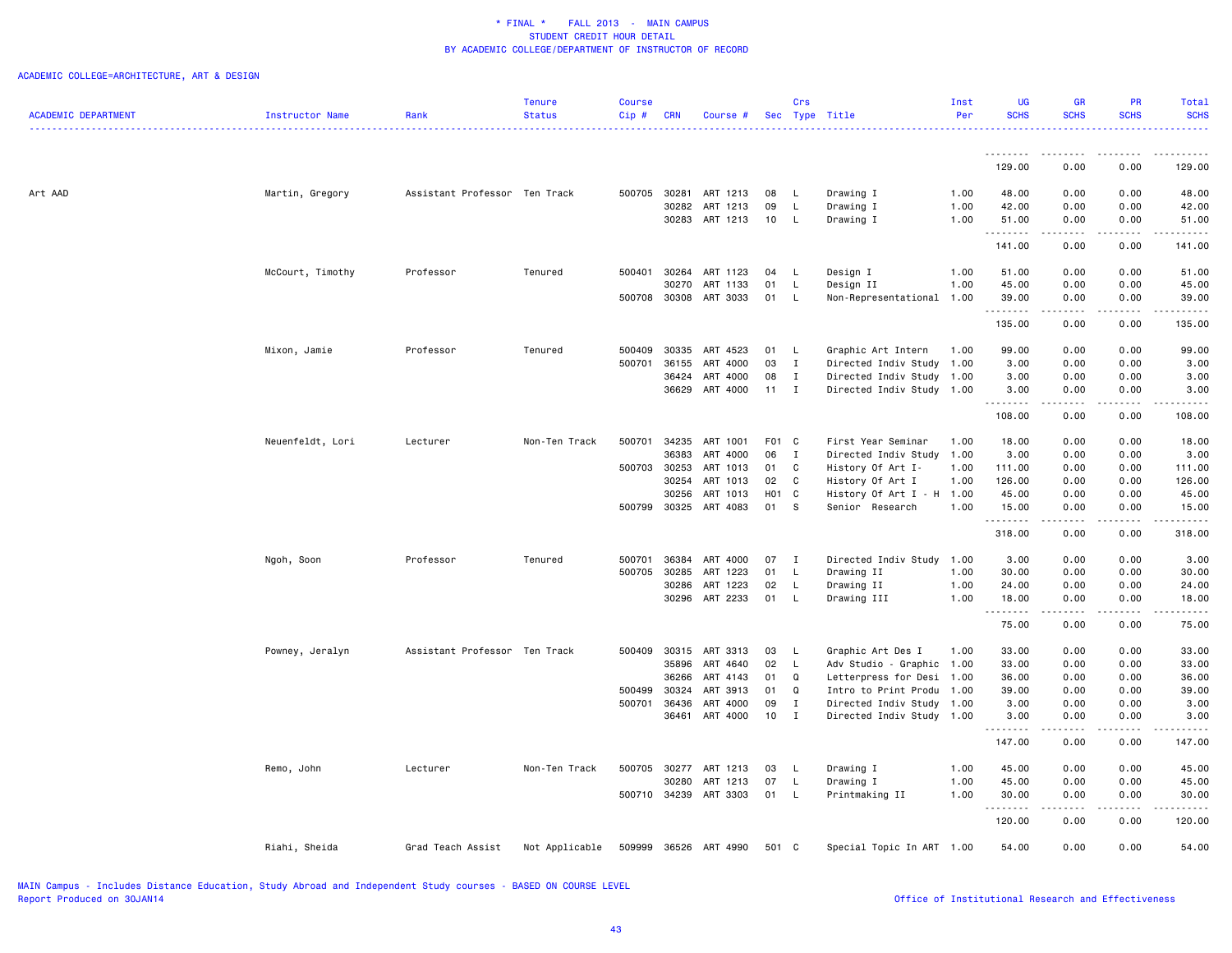|                            |                        |                               | Tenure         | <b>Course</b> |            |                       |              | Crs          |                           | Inst | <b>UG</b>          | <b>GR</b>                           | PR                  | Total                                                                                                                                                                                     |
|----------------------------|------------------------|-------------------------------|----------------|---------------|------------|-----------------------|--------------|--------------|---------------------------|------|--------------------|-------------------------------------|---------------------|-------------------------------------------------------------------------------------------------------------------------------------------------------------------------------------------|
| <b>ACADEMIC DEPARTMENT</b> | <b>Instructor Name</b> | Rank                          | <b>Status</b>  | Cip#          | <b>CRN</b> | Course #              |              |              | Sec Type Title            | Per  | <b>SCHS</b>        | <b>SCHS</b>                         | <b>SCHS</b>         | <b>SCHS</b>                                                                                                                                                                               |
|                            |                        |                               |                |               |            |                       |              |              |                           |      | .                  |                                     |                     |                                                                                                                                                                                           |
|                            |                        |                               |                |               |            |                       |              |              |                           |      | 129.00             | 0.00                                | 0.00                | 129.00                                                                                                                                                                                    |
| Art AAD                    | Martin, Gregory        | Assistant Professor Ten Track |                |               |            | 500705 30281 ART 1213 | 08           | - L          | Drawing I                 | 1.00 | 48.00              | 0.00                                | 0.00                | 48.00                                                                                                                                                                                     |
|                            |                        |                               |                |               | 30282      | ART 1213              | 09           | L            | Drawing I                 | 1.00 | 42.00              | 0.00                                | 0.00                | 42.00                                                                                                                                                                                     |
|                            |                        |                               |                |               |            | 30283 ART 1213        | 10           | L.           | Drawing I                 | 1.00 | 51.00              | 0.00                                | 0.00                | 51.00                                                                                                                                                                                     |
|                            |                        |                               |                |               |            |                       |              |              |                           |      | <u>.</u><br>141.00 | 0.00                                | 0.00                | 141.00                                                                                                                                                                                    |
|                            | McCourt, Timothy       | Professor                     | Tenured        | 500401        |            | 30264 ART 1123        | 04           | - L          | Design I                  | 1.00 | 51.00              | 0.00                                | 0.00                | 51.00                                                                                                                                                                                     |
|                            |                        |                               |                |               | 30270      | ART 1133              | 01           | L            | Design II                 | 1.00 | 45.00              | 0.00                                | 0.00                | 45.00                                                                                                                                                                                     |
|                            |                        |                               |                | 500708        | 30308      | ART 3033              | 01           | L.           | Non-Representational      | 1.00 | 39.00              | 0.00                                | 0.00                | 39.00                                                                                                                                                                                     |
|                            |                        |                               |                |               |            |                       |              |              |                           |      | .                  | الدامات بال                         | .                   | .                                                                                                                                                                                         |
|                            |                        |                               |                |               |            |                       |              |              |                           |      | 135.00             | 0.00                                | 0.00                | 135.00                                                                                                                                                                                    |
|                            | Mixon, Jamie           | Professor                     | Tenured        | 500409        | 30335      | ART 4523              | 01           | - L          | Graphic Art Intern        | 1.00 | 99.00              | 0.00                                | 0.00                | 99.00                                                                                                                                                                                     |
|                            |                        |                               |                | 500701        | 36155      | ART 4000              | 03           | $\mathbf{I}$ | Directed Indiv Study      | 1.00 | 3.00               | 0.00                                | 0.00                | 3.00                                                                                                                                                                                      |
|                            |                        |                               |                |               | 36424      | ART 4000              | 08           | I            | Directed Indiv Study      | 1.00 | 3.00               | 0.00                                | 0.00                | 3.00                                                                                                                                                                                      |
|                            |                        |                               |                |               |            | 36629 ART 4000        | $11 \quad I$ |              | Directed Indiv Study 1.00 |      | 3.00<br>.          | 0.00<br>$\omega$ is a $\omega$      | 0.00<br>.           | 3.00<br>.                                                                                                                                                                                 |
|                            |                        |                               |                |               |            |                       |              |              |                           |      | 108.00             | 0.00                                | 0.00                | 108.00                                                                                                                                                                                    |
|                            | Neuenfeldt, Lori       | Lecturer                      | Non-Ten Track  | 500701        |            | 34235 ART 1001        | F01 C        |              | First Year Seminar        | 1.00 | 18.00              | 0.00                                | 0.00                | 18.00                                                                                                                                                                                     |
|                            |                        |                               |                |               | 36383      | ART 4000              | 06           | $\mathbf{I}$ | Directed Indiv Study      | 1.00 | 3.00               | 0.00                                | 0.00                | 3.00                                                                                                                                                                                      |
|                            |                        |                               |                | 500703        | 30253      | ART 1013              | 01           | $\mathbf{C}$ | History Of Art I-         | 1.00 | 111.00             | 0.00                                | 0.00                | 111.00                                                                                                                                                                                    |
|                            |                        |                               |                |               | 30254      | ART 1013              | 02           | C            | History Of Art I          | 1.00 | 126.00             | 0.00                                | 0.00                | 126.00                                                                                                                                                                                    |
|                            |                        |                               |                |               | 30256      | ART 1013              | H01 C        |              | History Of Art I - H      | 1.00 | 45.00              | 0.00                                | 0.00                | 45.00                                                                                                                                                                                     |
|                            |                        |                               |                | 500799        |            | 30325 ART 4083        | 01 S         |              | Senior Research           | 1.00 | 15.00              | 0.00                                | 0.00                | 15.00                                                                                                                                                                                     |
|                            |                        |                               |                |               |            |                       |              |              |                           |      | .<br>318.00        | $\sim$ $\sim$ $\sim$ $\sim$<br>0.00 | د د د د<br>0.00     | 318.00                                                                                                                                                                                    |
|                            | Ngoh, Soon             | Professor                     | Tenured        | 500701        | 36384      | ART 4000              | 07           | $\mathbf{I}$ | Directed Indiv Study 1.00 |      | 3.00               | 0.00                                | 0.00                | 3.00                                                                                                                                                                                      |
|                            |                        |                               |                | 500705        | 30285      | ART 1223              | 01           | $\mathsf{L}$ | Drawing II                | 1.00 | 30.00              | 0.00                                | 0.00                | 30.00                                                                                                                                                                                     |
|                            |                        |                               |                |               | 30286      | ART 1223              | 02           | L.           | Drawing II                | 1.00 | 24.00              | 0.00                                | 0.00                | 24.00                                                                                                                                                                                     |
|                            |                        |                               |                |               |            | 30296 ART 2233        | 01           | $\mathsf{L}$ | Drawing III               | 1.00 | 18.00              | 0.00                                | 0.00                | 18.00                                                                                                                                                                                     |
|                            |                        |                               |                |               |            |                       |              |              |                           |      | .<br>75.00         | .<br>0.00                           | 0.00                | 75.00                                                                                                                                                                                     |
|                            | Powney, Jeralyn        | Assistant Professor Ten Track |                | 500409        |            | 30315 ART 3313        | 03           | - L          | Graphic Art Des I         | 1.00 | 33.00              | 0.00                                | 0.00                | 33.00                                                                                                                                                                                     |
|                            |                        |                               |                |               |            | 35896 ART 4640        | 02           | $\mathsf{L}$ | Adv Studio - Graphic 1.00 |      | 33.00              | 0.00                                | 0.00                | 33.00                                                                                                                                                                                     |
|                            |                        |                               |                |               | 36266      | ART 4143              | 01           | Q            | Letterpress for Desi      | 1.00 | 36.00              | 0.00                                | 0.00                | 36.00                                                                                                                                                                                     |
|                            |                        |                               |                | 500499        | 30324      | ART 3913              | 01           | Q            | Intro to Print Produ      | 1.00 | 39.00              | 0.00                                | 0.00                | 39.00                                                                                                                                                                                     |
|                            |                        |                               |                | 500701        | 36436      | ART 4000              | 09           | $\mathbf{I}$ | Directed Indiv Study      | 1.00 | 3.00               | 0.00                                | 0.00                | 3.00                                                                                                                                                                                      |
|                            |                        |                               |                |               |            | 36461 ART 4000        | 10           | $\mathbf{I}$ | Directed Indiv Study 1.00 |      | 3.00               | 0.00                                | 0.00                | 3.00                                                                                                                                                                                      |
|                            |                        |                               |                |               |            |                       |              |              |                           |      | .<br>147.00        | $\sim$ $\sim$ $\sim$ $\sim$<br>0.00 | $- - - - -$<br>0.00 | $\frac{1}{2} \left( \frac{1}{2} \right) \left( \frac{1}{2} \right) \left( \frac{1}{2} \right) \left( \frac{1}{2} \right) \left( \frac{1}{2} \right) \left( \frac{1}{2} \right)$<br>147.00 |
|                            |                        |                               |                |               |            |                       |              |              |                           |      |                    |                                     |                     |                                                                                                                                                                                           |
|                            | Remo, John             | Lecturer                      | Non-Ten Track  | 500705        | 30277      | ART 1213              | 03           | <b>L</b>     | Drawing I                 | 1.00 | 45.00              | 0.00                                | 0.00                | 45.00                                                                                                                                                                                     |
|                            |                        |                               |                |               | 30280      | ART 1213              | 07           | L.           | Drawing I                 | 1.00 | 45.00              | 0.00                                | 0.00                | 45.00                                                                                                                                                                                     |
|                            |                        |                               |                |               |            | 500710 34239 ART 3303 | 01 L         |              | Printmaking II            | 1.00 | 30.00<br>.         | 0.00<br>والمالية                    | 0.00<br>.           | 30.00<br>.                                                                                                                                                                                |
|                            |                        |                               |                |               |            |                       |              |              |                           |      | 120.00             | 0.00                                | 0.00                | 120.00                                                                                                                                                                                    |
|                            | Riahi, Sheida          | Grad Teach Assist             | Not Applicable | 509999        |            | 36526 ART 4990        | 501 C        |              | Special Topic In ART 1.00 |      | 54.00              | 0.00                                | 0.00                | 54.00                                                                                                                                                                                     |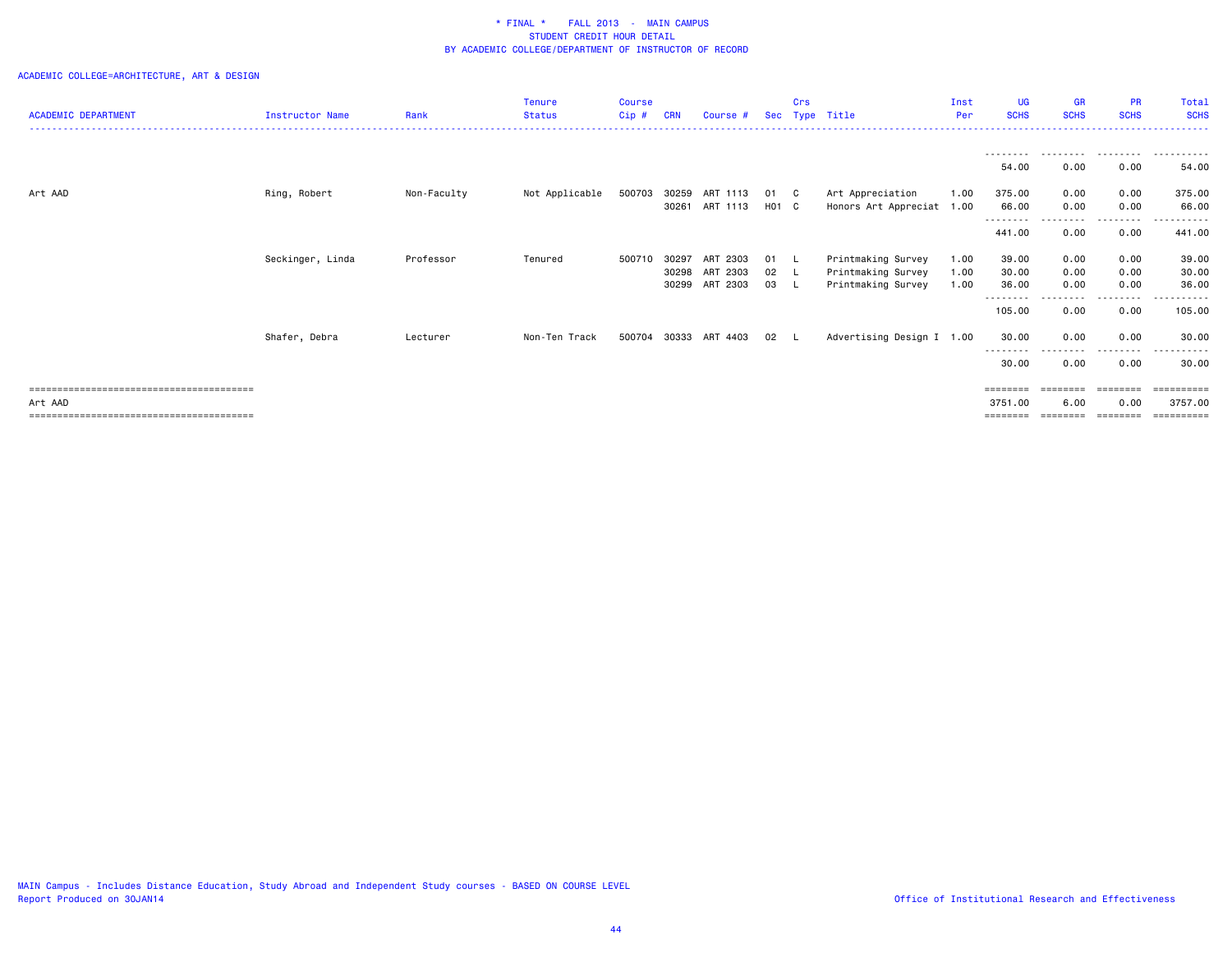| <b>ACADEMIC DEPARTMENT</b> | <b>Instructor Name</b> | Rank        | <b>Tenure</b><br><b>Status</b> | <b>Course</b><br>Cip# | <b>CRN</b> | Course #       | Sec               | Crs      | Type Title                | Inst<br>Per | <b>UG</b><br><b>SCHS</b>         | <b>GR</b><br><b>SCHS</b> | <b>PR</b><br><b>SCHS</b> | Total<br><b>SCHS</b> |
|----------------------------|------------------------|-------------|--------------------------------|-----------------------|------------|----------------|-------------------|----------|---------------------------|-------------|----------------------------------|--------------------------|--------------------------|----------------------|
|                            |                        |             |                                |                       |            |                |                   |          |                           |             |                                  |                          |                          |                      |
|                            |                        |             |                                |                       |            |                |                   |          |                           |             | ---------<br>54.00               | .<br>0.00                | .<br>0.00                | .<br>54.00           |
| Art AAD                    | Ring, Robert           | Non-Faculty | Not Applicable                 | 500703 30259          |            | ART 1113       | 01                | - C      | Art Appreciation          | 1.00        | 375.00                           | 0.00                     | 0.00                     | 375.00               |
|                            |                        |             |                                |                       | 30261      | ART 1113       | H <sub>01</sub> C |          | Honors Art Appreciat 1.00 |             | 66.00                            | 0.00                     | 0.00                     | 66.00                |
|                            |                        |             |                                |                       |            |                |                   |          |                           |             | $\cdots \cdots \cdots$<br>441.00 | 0.00                     | 0.00                     | 441.00               |
|                            | Seckinger, Linda       | Professor   | Tenured                        | 500710                | 30297      | ART 2303       | 01                | <b>L</b> | Printmaking Survey        | 1.00        | 39.00                            | 0.00                     | 0.00                     | 39.00                |
|                            |                        |             |                                |                       | 30298      | ART 2303       | 02 L              |          | Printmaking Survey        | 1.00        | 30.00                            | 0.00                     | 0.00                     | 30.00                |
|                            |                        |             |                                |                       |            | 30299 ART 2303 | 03 L              |          | Printmaking Survey        | 1.00        | 36.00<br>--------                | 0.00                     | 0.00<br>--------         | 36.00<br>-------     |
|                            |                        |             |                                |                       |            |                |                   |          |                           |             | 105.00                           | 0.00                     | 0.00                     | 105.00               |
|                            | Shafer, Debra          | Lecturer    | Non-Ten Track                  | 500704                | 30333      | ART 4403       | 02                |          | Advertising Design I 1.00 |             | 30.00                            | 0.00                     | 0.00                     | 30.00                |
|                            |                        |             |                                |                       |            |                |                   |          |                           |             | 30.00                            | 0.00                     | . <b>.</b><br>0.00       | 30.00                |
|                            |                        |             |                                |                       |            |                |                   |          |                           |             | ========                         | ========                 | ========                 | ==========           |
| Art AAD                    |                        |             |                                |                       |            |                |                   |          |                           |             | 3751.00                          | 6.00                     | 0.00                     | 3757.00              |
|                            |                        |             |                                |                       |            |                |                   |          |                           |             | ========                         |                          |                          |                      |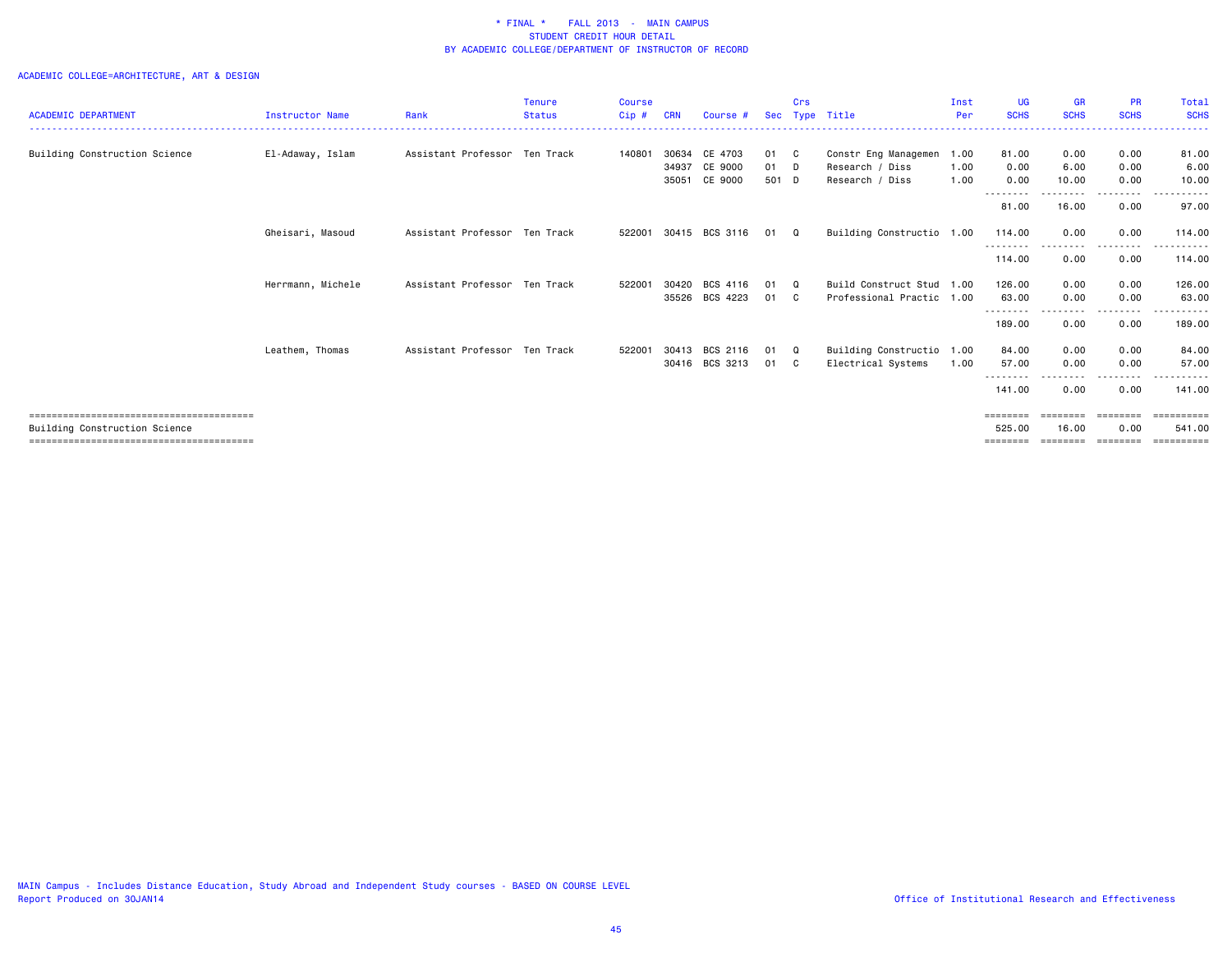|                               |                        |                               | <b>Tenure</b> | Course  |            |                |       | Crs      |                           | Inst | <b>UG</b>                         | GR                | <b>PR</b>                                                               | Total       |
|-------------------------------|------------------------|-------------------------------|---------------|---------|------------|----------------|-------|----------|---------------------------|------|-----------------------------------|-------------------|-------------------------------------------------------------------------|-------------|
| <b>ACADEMIC DEPARTMENT</b>    | <b>Instructor Name</b> | Rank                          | <b>Status</b> | $Cip$ # | <b>CRN</b> | Course #       |       | Sec Type | Title                     | Per  | <b>SCHS</b>                       | <b>SCHS</b>       | <b>SCHS</b>                                                             | <b>SCHS</b> |
|                               |                        |                               |               |         |            |                |       |          |                           |      |                                   |                   |                                                                         |             |
| Building Construction Science | El-Adaway, Islam       | Assistant Professor Ten Track |               | 140801  | 30634      | CE 4703        | 01    | - C      | Constr Eng Managemen      | 1.00 | 81.00                             | 0.00              | 0.00                                                                    | 81.00       |
|                               |                        |                               |               |         | 34937      | CE 9000        | 01    | <b>D</b> | Research / Diss           | 1.00 | 0.00                              | 6.00              | 0.00                                                                    | 6.00        |
|                               |                        |                               |               |         | 35051      | CE 9000        | 501 D |          | Research / Diss           | 1.00 | 0.00<br>--------                  | 10.00<br>-------- | 0.00<br>--------                                                        | 10.00<br>.  |
|                               |                        |                               |               |         |            |                |       |          |                           |      | 81.00                             | 16.00             | 0.00                                                                    | 97.00       |
|                               | Gheisari, Masoud       | Assistant Professor Ten Track |               | 522001  |            | 30415 BCS 3116 | 01    | $\Omega$ | Building Constructio 1.00 |      | 114.00<br>--------                | 0.00              | 0.00<br>$\cdots$                                                        | 114,00      |
|                               |                        |                               |               |         |            |                |       |          |                           |      | 114.00                            | 0.00              | 0.00                                                                    | 114.00      |
|                               | Herrmann, Michele      | Assistant Professor Ten Track |               | 522001  | 30420      | BCS 4116       | 01    | Q        | Build Construct Stud      | 1.00 | 126.00                            | 0.00              | 0.00                                                                    | 126.00      |
|                               |                        |                               |               |         | 35526      | BCS 4223       | 01    | - C      | Professional Practic 1.00 |      | 63.00                             | 0.00              | 0.00                                                                    | 63,00       |
|                               |                        |                               |               |         |            |                |       |          |                           |      | <u> - - - - - - - -</u><br>189.00 | 0.00              | ----<br>0.00                                                            | 189.00      |
|                               | Leathem, Thomas        | Assistant Professor Ten Track |               | 522001  | 30413      | BCS 2116       | 01    | Q        | Building Constructio 1.00 |      | 84.00                             | 0.00              | 0.00                                                                    | 84.00       |
|                               |                        |                               |               |         |            | 30416 BCS 3213 | 01    | - C      | Electrical Systems        | 1.00 | 57.00                             | 0.00              | 0.00                                                                    | 57.00       |
|                               |                        |                               |               |         |            |                |       |          |                           |      | 141.00                            | 0.00              | 0.00                                                                    | 141.00      |
|                               |                        |                               |               |         |            |                |       |          |                           |      | ========                          | ========          | ========                                                                | ==========  |
| Building Construction Science |                        |                               |               |         |            |                |       |          |                           |      | 525.00                            | 16.00             | 0.00                                                                    | 541.00      |
|                               |                        |                               |               |         |            |                |       |          |                           |      | $=$ = = = = = = =                 | ========          | $\qquad \qquad \equiv \equiv \equiv \equiv \equiv \equiv \equiv \equiv$ |             |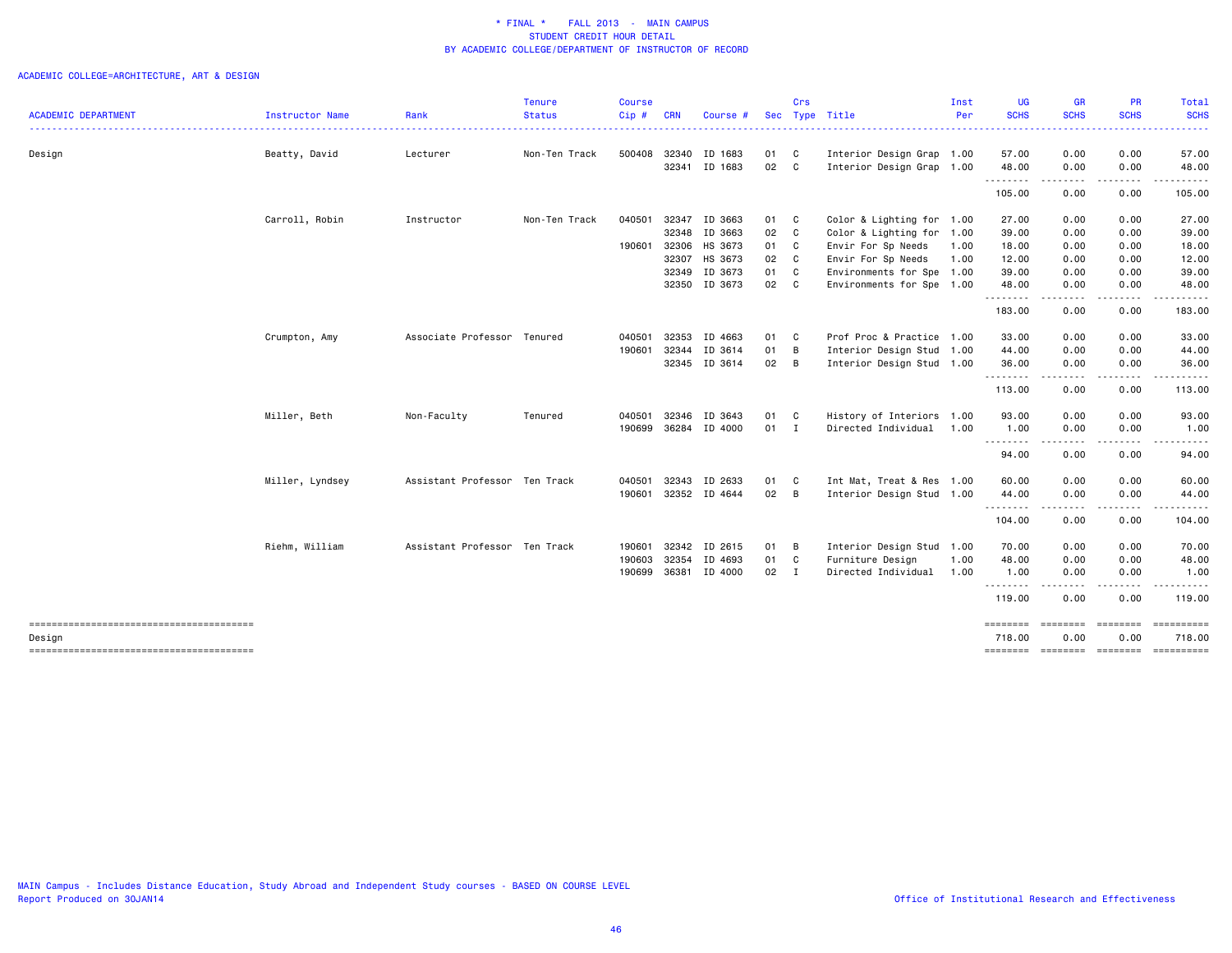# ACADEMIC COLLEGE=ARCHITECTURE, ART & DESIGN

|                            |                        |                               | <b>Tenure</b> | <b>Course</b> |            |               |            | Crs            |                           | Inst | <b>UG</b>         | <b>GR</b>                                                                                                                                                                               | <b>PR</b>               | <b>Total</b>                                                                                                                                                                                                                                                                                                                                                                                                                                                                                   |
|----------------------------|------------------------|-------------------------------|---------------|---------------|------------|---------------|------------|----------------|---------------------------|------|-------------------|-----------------------------------------------------------------------------------------------------------------------------------------------------------------------------------------|-------------------------|------------------------------------------------------------------------------------------------------------------------------------------------------------------------------------------------------------------------------------------------------------------------------------------------------------------------------------------------------------------------------------------------------------------------------------------------------------------------------------------------|
| <b>ACADEMIC DEPARTMENT</b> | <b>Instructor Name</b> | Rank                          | <b>Status</b> | Cip#          | <b>CRN</b> | Course        | <b>Sec</b> |                | Type Title                | Per  | <b>SCHS</b>       | <b>SCHS</b>                                                                                                                                                                             | <b>SCHS</b>             | <b>SCHS</b><br>$\frac{1}{2} \left( \frac{1}{2} \right) \left( \frac{1}{2} \right) \left( \frac{1}{2} \right) \left( \frac{1}{2} \right) \left( \frac{1}{2} \right)$                                                                                                                                                                                                                                                                                                                            |
| Design                     | Beatty, David          | Lecturer                      | Non-Ten Track | 500408        | 32340      | ID 1683       | 01         | C              | Interior Design Grap 1.00 |      | 57.00             | 0.00                                                                                                                                                                                    | 0.00                    | 57.00                                                                                                                                                                                                                                                                                                                                                                                                                                                                                          |
|                            |                        |                               |               |               | 32341      | ID 1683       | 02         | C              | Interior Design Grap 1.00 |      | 48.00             | 0.00                                                                                                                                                                                    | 0.00                    | 48.00                                                                                                                                                                                                                                                                                                                                                                                                                                                                                          |
|                            |                        |                               |               |               |            |               |            |                |                           |      | .                 | $\frac{1}{2} \left( \frac{1}{2} \right) \left( \frac{1}{2} \right) \left( \frac{1}{2} \right) \left( \frac{1}{2} \right) \left( \frac{1}{2} \right)$                                    | .                       | .                                                                                                                                                                                                                                                                                                                                                                                                                                                                                              |
|                            |                        |                               |               |               |            |               |            |                |                           |      | 105.00            | 0.00                                                                                                                                                                                    | 0.00                    | 105.00                                                                                                                                                                                                                                                                                                                                                                                                                                                                                         |
|                            | Carroll, Robin         | Instructor                    | Non-Ten Track | 040501        | 32347      | ID 3663       | 01         | C <sub>1</sub> | Color & Lighting for 1.00 |      | 27.00             | 0.00                                                                                                                                                                                    | 0.00                    | 27.00                                                                                                                                                                                                                                                                                                                                                                                                                                                                                          |
|                            |                        |                               |               |               | 32348      | ID 3663       | 02         | C              | Color & Lighting for 1.00 |      | 39.00             | 0.00                                                                                                                                                                                    | 0.00                    | 39.00                                                                                                                                                                                                                                                                                                                                                                                                                                                                                          |
|                            |                        |                               |               | 190601        | 32306      | HS 3673       | 01         | C              | Envir For Sp Needs        | 1.00 | 18.00             | 0.00                                                                                                                                                                                    | 0.00                    | 18.00                                                                                                                                                                                                                                                                                                                                                                                                                                                                                          |
|                            |                        |                               |               |               | 32307      | HS 3673       | 02         | C              | Envir For Sp Needs        | 1.00 | 12.00             | 0.00                                                                                                                                                                                    | 0.00                    | 12.00                                                                                                                                                                                                                                                                                                                                                                                                                                                                                          |
|                            |                        |                               |               |               | 32349      | ID 3673       | 01         | C              | Environments for Spe 1.00 |      | 39.00             | 0.00                                                                                                                                                                                    | 0.00                    | 39.00                                                                                                                                                                                                                                                                                                                                                                                                                                                                                          |
|                            |                        |                               |               |               |            | 32350 ID 3673 | 02         | C              | Environments for Spe 1.00 |      | 48.00             | 0.00<br>-----                                                                                                                                                                           | 0.00<br>.               | 48.00<br>.                                                                                                                                                                                                                                                                                                                                                                                                                                                                                     |
|                            |                        |                               |               |               |            |               |            |                |                           |      | 183.00            | 0.00                                                                                                                                                                                    | 0.00                    | 183.00                                                                                                                                                                                                                                                                                                                                                                                                                                                                                         |
|                            | Crumpton, Amy          | Associate Professor Tenured   |               | 040501        | 32353      | ID 4663       | 01         | C              | Prof Proc & Practice 1.00 |      | 33.00             | 0.00                                                                                                                                                                                    | 0.00                    | 33.00                                                                                                                                                                                                                                                                                                                                                                                                                                                                                          |
|                            |                        |                               |               | 190601        | 32344      | ID 3614       | 01         | B              | Interior Design Stud 1.00 |      | 44.00             | 0.00                                                                                                                                                                                    | 0.00                    | 44.00                                                                                                                                                                                                                                                                                                                                                                                                                                                                                          |
|                            |                        |                               |               |               | 32345      | ID 3614       | 02         | B              | Interior Design Stud 1.00 |      | 36.00             | 0.00                                                                                                                                                                                    | 0.00                    | 36.00                                                                                                                                                                                                                                                                                                                                                                                                                                                                                          |
|                            |                        |                               |               |               |            |               |            |                |                           |      | 113.00            | .<br>0.00                                                                                                                                                                               | $\cdots$<br>0.00        | .<br>113.00                                                                                                                                                                                                                                                                                                                                                                                                                                                                                    |
|                            | Miller, Beth           | Non-Faculty                   | Tenured       | 040501        | 32346      | ID 3643       | 01         | C              | History of Interiors 1.00 |      | 93.00             | 0.00                                                                                                                                                                                    | 0.00                    | 93.00                                                                                                                                                                                                                                                                                                                                                                                                                                                                                          |
|                            |                        |                               |               | 190699        |            | 36284 ID 4000 | $01$ I     |                | Directed Individual       | 1.00 | 1.00              | 0.00                                                                                                                                                                                    | 0.00                    | 1.00                                                                                                                                                                                                                                                                                                                                                                                                                                                                                           |
|                            |                        |                               |               |               |            |               |            |                |                           |      | --------<br>94.00 | $\frac{1}{2} \left( \frac{1}{2} \right) \left( \frac{1}{2} \right) \left( \frac{1}{2} \right) \left( \frac{1}{2} \right) \left( \frac{1}{2} \right) \left( \frac{1}{2} \right)$<br>0.00 | .<br>0.00               | .<br>94.00                                                                                                                                                                                                                                                                                                                                                                                                                                                                                     |
|                            | Miller, Lyndsey        | Assistant Professor Ten Track |               | 040501        | 32343      | ID 2633       | 01         | C <sub>c</sub> | Int Mat, Treat & Res 1.00 |      | 60.00             | 0.00                                                                                                                                                                                    | 0.00                    | 60.00                                                                                                                                                                                                                                                                                                                                                                                                                                                                                          |
|                            |                        |                               |               | 190601        |            | 32352 ID 4644 | 02         | B              | Interior Design Stud 1.00 |      | 44.00             | 0.00                                                                                                                                                                                    | 0.00                    | 44.00                                                                                                                                                                                                                                                                                                                                                                                                                                                                                          |
|                            |                        |                               |               |               |            |               |            |                |                           |      | .<br>104.00       | .<br>0.00                                                                                                                                                                               | .<br>0.00               | .<br>104.00                                                                                                                                                                                                                                                                                                                                                                                                                                                                                    |
|                            | Riehm, William         | Assistant Professor Ten Track |               | 190601        | 32342      | ID 2615       | 01         | B              | Interior Design Stud      | 1.00 | 70.00             | 0.00                                                                                                                                                                                    | 0.00                    | 70.00                                                                                                                                                                                                                                                                                                                                                                                                                                                                                          |
|                            |                        |                               |               | 190603        | 32354      | ID 4693       | 01         | C              | Furniture Design          | 1.00 | 48.00             | 0.00                                                                                                                                                                                    | 0.00                    | 48.00                                                                                                                                                                                                                                                                                                                                                                                                                                                                                          |
|                            |                        |                               |               | 190699        | 36381      | ID 4000       | 02         | I              | Directed Individual       | 1.00 | 1.00<br>.         | 0.00                                                                                                                                                                                    | 0.00<br>.               | 1.00<br>$\begin{array}{cccccccccccccc} \multicolumn{2}{c}{} & \multicolumn{2}{c}{} & \multicolumn{2}{c}{} & \multicolumn{2}{c}{} & \multicolumn{2}{c}{} & \multicolumn{2}{c}{} & \multicolumn{2}{c}{} & \multicolumn{2}{c}{} & \multicolumn{2}{c}{} & \multicolumn{2}{c}{} & \multicolumn{2}{c}{} & \multicolumn{2}{c}{} & \multicolumn{2}{c}{} & \multicolumn{2}{c}{} & \multicolumn{2}{c}{} & \multicolumn{2}{c}{} & \multicolumn{2}{c}{} & \multicolumn{2}{c}{} & \multicolumn{2}{c}{} & \$ |
|                            |                        |                               |               |               |            |               |            |                |                           |      | 119.00            | 0.00                                                                                                                                                                                    | 0.00                    | 119.00                                                                                                                                                                                                                                                                                                                                                                                                                                                                                         |
|                            |                        |                               |               |               |            |               |            |                |                           |      | ========          | ========                                                                                                                                                                                | <b>EBBEBBBB</b>         | <b>Expressed</b>                                                                                                                                                                                                                                                                                                                                                                                                                                                                               |
| Design                     |                        |                               |               |               |            |               |            |                |                           |      | 718.00            | 0.00<br>======== ========                                                                                                                                                               | 0.00<br><b>ESSESSES</b> | 718.00                                                                                                                                                                                                                                                                                                                                                                                                                                                                                         |
|                            |                        |                               |               |               |            |               |            |                |                           |      |                   |                                                                                                                                                                                         |                         |                                                                                                                                                                                                                                                                                                                                                                                                                                                                                                |

MAIN Campus - Includes Distance Education, Study Abroad and Independent Study courses - BASED ON COURSE LEVEL Report Produced on 30JAN14 **Office of Institutional Research and Effectiveness**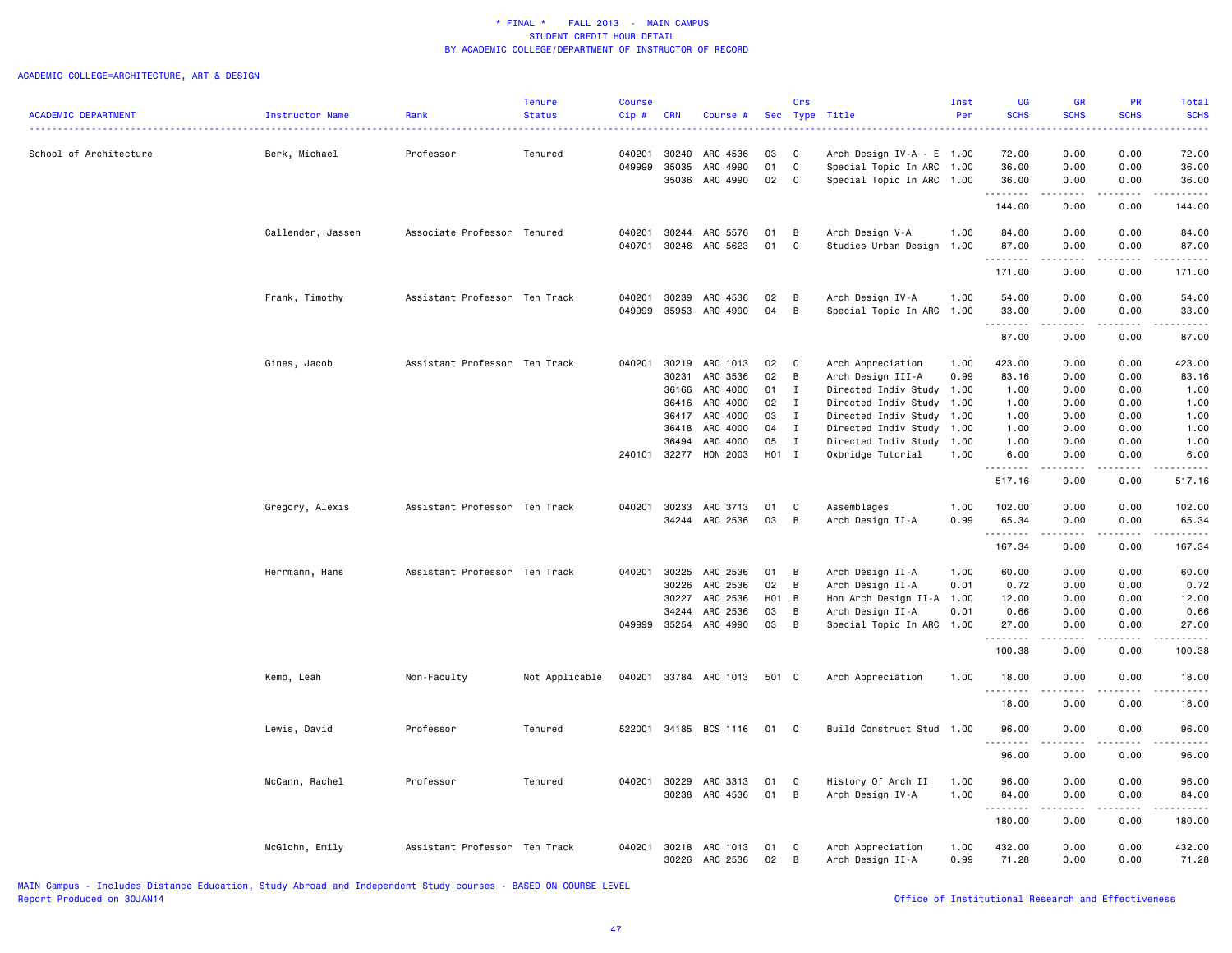# ACADEMIC COLLEGE=ARCHITECTURE, ART & DESIGN

| <b>SCHS</b><br><b>SCHS</b><br><b>ACADEMIC DEPARTMENT</b><br><b>SCHS</b><br><b>Instructor Name</b><br>Rank<br><b>Status</b><br>Cip#<br><b>CRN</b><br>Course #<br><b>Sec</b><br>Type Title<br>Per<br>Professor<br>0.00<br>School of Architecture<br>Berk, Michael<br>Tenured<br>040201<br>30240<br>ARC 4536<br>03<br>C<br>Arch Design $IV-A - E$ 1.00<br>72.00<br>0.00<br>049999<br>35035<br>ARC 4990<br>01<br>C<br>Special Topic In ARC<br>36.00<br>0.00<br>0.00<br>1.00<br>02<br>C<br>0.00<br>35036<br>ARC 4990<br>Special Topic In ARC 1.00<br>36.00<br>0.00<br>.<br>د د د د د<br>. | <b>SCHS</b><br>.<br>72.00<br>36.00<br>36.00<br>.<br>144.00 |
|--------------------------------------------------------------------------------------------------------------------------------------------------------------------------------------------------------------------------------------------------------------------------------------------------------------------------------------------------------------------------------------------------------------------------------------------------------------------------------------------------------------------------------------------------------------------------------------|------------------------------------------------------------|
|                                                                                                                                                                                                                                                                                                                                                                                                                                                                                                                                                                                      |                                                            |
|                                                                                                                                                                                                                                                                                                                                                                                                                                                                                                                                                                                      |                                                            |
|                                                                                                                                                                                                                                                                                                                                                                                                                                                                                                                                                                                      |                                                            |
|                                                                                                                                                                                                                                                                                                                                                                                                                                                                                                                                                                                      |                                                            |
| 144.00<br>0.00<br>0.00                                                                                                                                                                                                                                                                                                                                                                                                                                                                                                                                                               |                                                            |
| Callender, Jassen<br>Associate Professor Tenured<br>040201<br>30244<br>ARC 5576<br>01<br>B<br>Arch Design V-A<br>1.00<br>84.00<br>0.00<br>0.00                                                                                                                                                                                                                                                                                                                                                                                                                                       | 84.00                                                      |
| 040701 30246 ARC 5623<br>01<br>C<br>Studies Urban Design<br>87.00<br>0.00<br>1.00<br>0.00<br>.<br>$\sim$ $\sim$ $\sim$ $\sim$<br>$\sim$ $\sim$ $\sim$                                                                                                                                                                                                                                                                                                                                                                                                                                | 87.00<br>$\sim$ $\sim$ $\sim$ $\sim$                       |
| 171.00<br>0.00<br>0.00                                                                                                                                                                                                                                                                                                                                                                                                                                                                                                                                                               | 171.00                                                     |
| Frank, Timothy<br>Assistant Professor Ten Track<br>ARC 4536<br>54.00<br>0.00<br>0.00<br>040201<br>30239<br>02<br>B<br>Arch Design IV-A<br>1.00                                                                                                                                                                                                                                                                                                                                                                                                                                       | 54.00                                                      |
| 049999<br>35953<br>ARC 4990<br>04<br>B<br>Special Topic In ARC<br>1.00<br>33.00<br>0.00<br>0.00<br>2.2.2.2.2<br>.                                                                                                                                                                                                                                                                                                                                                                                                                                                                    | 33.00<br>.                                                 |
| 87.00<br>0.00<br>0.00                                                                                                                                                                                                                                                                                                                                                                                                                                                                                                                                                                | 87.00                                                      |
| Gines, Jacob<br>Assistant Professor Ten Track<br>040201<br>30219<br>ARC 1013<br>02<br>C<br>Arch Appreciation<br>423.00<br>0.00<br>0.00<br>1.00                                                                                                                                                                                                                                                                                                                                                                                                                                       | 423.00                                                     |
| ARC 3536<br>02<br>B<br>0.00<br>30231<br>Arch Design III-A<br>0.99<br>83.16<br>0.00                                                                                                                                                                                                                                                                                                                                                                                                                                                                                                   | 83.16                                                      |
| ARC 4000<br>Directed Indiv Study<br>0.00<br>0.00<br>36166<br>01<br>Ι<br>1.00<br>1.00                                                                                                                                                                                                                                                                                                                                                                                                                                                                                                 | 1.00                                                       |
| ARC 4000<br>02<br>$\mathbf{I}$<br>Directed Indiv Study<br>0.00<br>0.00<br>36416<br>1.00<br>1.00                                                                                                                                                                                                                                                                                                                                                                                                                                                                                      | 1.00                                                       |
| ARC 4000<br>03<br>Directed Indiv Study<br>0.00<br>0.00<br>36417<br>$\mathbf{I}$<br>1.00<br>1.00                                                                                                                                                                                                                                                                                                                                                                                                                                                                                      | 1.00                                                       |
| ARC 4000<br>04<br>36418<br>$\mathbf{I}$<br>Directed Indiv Study 1.00<br>1.00<br>0.00<br>0.00                                                                                                                                                                                                                                                                                                                                                                                                                                                                                         | 1.00                                                       |
| ARC 4000<br>05<br>1.00<br>0.00<br>0.00<br>36494<br>$\mathbf{I}$<br>Directed Indiv Study<br>1.00                                                                                                                                                                                                                                                                                                                                                                                                                                                                                      | 1.00                                                       |
| H01 I<br>HON 2003<br>0.00<br>240101 32277<br>Oxbridge Tutorial<br>1.00<br>6.00<br>0.00<br>.<br>.<br>.                                                                                                                                                                                                                                                                                                                                                                                                                                                                                | 6.00<br>.                                                  |
| 517.16<br>0.00<br>0.00                                                                                                                                                                                                                                                                                                                                                                                                                                                                                                                                                               | 517.16                                                     |
| Gregory, Alexis<br>Assistant Professor Ten Track<br>040201<br>30233<br>ARC 3713<br>01<br>C<br>Assemblages<br>1.00<br>102.00<br>0.00<br>0.00                                                                                                                                                                                                                                                                                                                                                                                                                                          | 102.00                                                     |
| 03<br>34244 ARC 2536<br>B<br>Arch Design II-A<br>0.99<br>65.34<br>0.00<br>0.00<br>.<br>.<br>.                                                                                                                                                                                                                                                                                                                                                                                                                                                                                        | 65.34<br>.                                                 |
| 167.34<br>0.00<br>0.00                                                                                                                                                                                                                                                                                                                                                                                                                                                                                                                                                               | 167.34                                                     |
| Herrmann, Hans<br>Assistant Professor Ten Track<br>040201<br>30225<br>ARC 2536<br>01<br>Arch Design II-A<br>1.00<br>60.00<br>0.00<br>0.00<br>B                                                                                                                                                                                                                                                                                                                                                                                                                                       | 60.00                                                      |
| 02<br>30226<br>ARC 2536<br>B<br>Arch Design II-A<br>0.01<br>0.72<br>0.00<br>0.00                                                                                                                                                                                                                                                                                                                                                                                                                                                                                                     | 0.72                                                       |
| ARC 2536<br><b>HO1</b><br>Hon Arch Design II-A 1.00<br>12.00<br>0.00<br>0.00<br>30227<br>B                                                                                                                                                                                                                                                                                                                                                                                                                                                                                           | 12.00                                                      |
| 34244<br>ARC 2536<br>03<br>B<br>Arch Design II-A<br>0.01<br>0.66<br>0.00<br>0.00                                                                                                                                                                                                                                                                                                                                                                                                                                                                                                     | 0.66                                                       |
| 049999<br>35254<br>ARC 4990<br>03<br>B<br>Special Topic In ARC<br>27.00<br>0.00<br>0.00<br>1.00<br>.<br>.<br>.                                                                                                                                                                                                                                                                                                                                                                                                                                                                       | 27,00<br>.                                                 |
| 100.38<br>0.00<br>0.00                                                                                                                                                                                                                                                                                                                                                                                                                                                                                                                                                               | 100.38                                                     |
| Non-Faculty<br>Not Applicable<br>040201<br>33784 ARC 1013<br>501 C<br>1.00<br>18.00<br>0.00<br>0.00<br>Kemp, Leah<br>Arch Appreciation<br><u>.</u>                                                                                                                                                                                                                                                                                                                                                                                                                                   | 18.00                                                      |
| 18.00<br>0.00<br>0.00                                                                                                                                                                                                                                                                                                                                                                                                                                                                                                                                                                | 18.00                                                      |
| Professor<br>522001<br>34185 BCS 1116<br>Build Construct Stud 1.00<br>96.00<br>0.00<br>0.00<br>Lewis, David<br>Tenured<br>01<br>Q                                                                                                                                                                                                                                                                                                                                                                                                                                                    | 96.00                                                      |
| 96.00<br>0.00<br>0.00                                                                                                                                                                                                                                                                                                                                                                                                                                                                                                                                                                | 96.00                                                      |
| Professor<br>040201<br>30229<br>ARC 3313<br>History Of Arch II<br>1.00<br>96.00<br>0.00<br>0.00<br>McCann, Rachel<br>Tenured<br>01<br>C                                                                                                                                                                                                                                                                                                                                                                                                                                              | 96.00                                                      |
| ARC 4536<br>01<br>B<br>30238<br>Arch Design IV-A<br>1.00<br>84.00<br>0.00<br>0.00                                                                                                                                                                                                                                                                                                                                                                                                                                                                                                    | 84.00                                                      |
| .<br>$\frac{1}{2} \frac{1}{2} \frac{1}{2} \frac{1}{2} \frac{1}{2} \frac{1}{2} \frac{1}{2} \frac{1}{2}$<br>$\sim$ $\sim$ $\sim$ $\sim$                                                                                                                                                                                                                                                                                                                                                                                                                                                | .                                                          |
| 180.00<br>0.00<br>0.00                                                                                                                                                                                                                                                                                                                                                                                                                                                                                                                                                               | 180.00                                                     |
| Assistant Professor Ten Track<br>040201<br>432.00<br>0.00<br>0.00<br>McGlohn, Emily<br>30218<br>ARC 1013<br>01<br>C<br>Arch Appreciation<br>1.00<br>0.00<br>30226 ARC 2536<br>02<br>B<br>Arch Design II-A<br>0.99<br>71.28<br>0.00                                                                                                                                                                                                                                                                                                                                                   | 432.00<br>71.28                                            |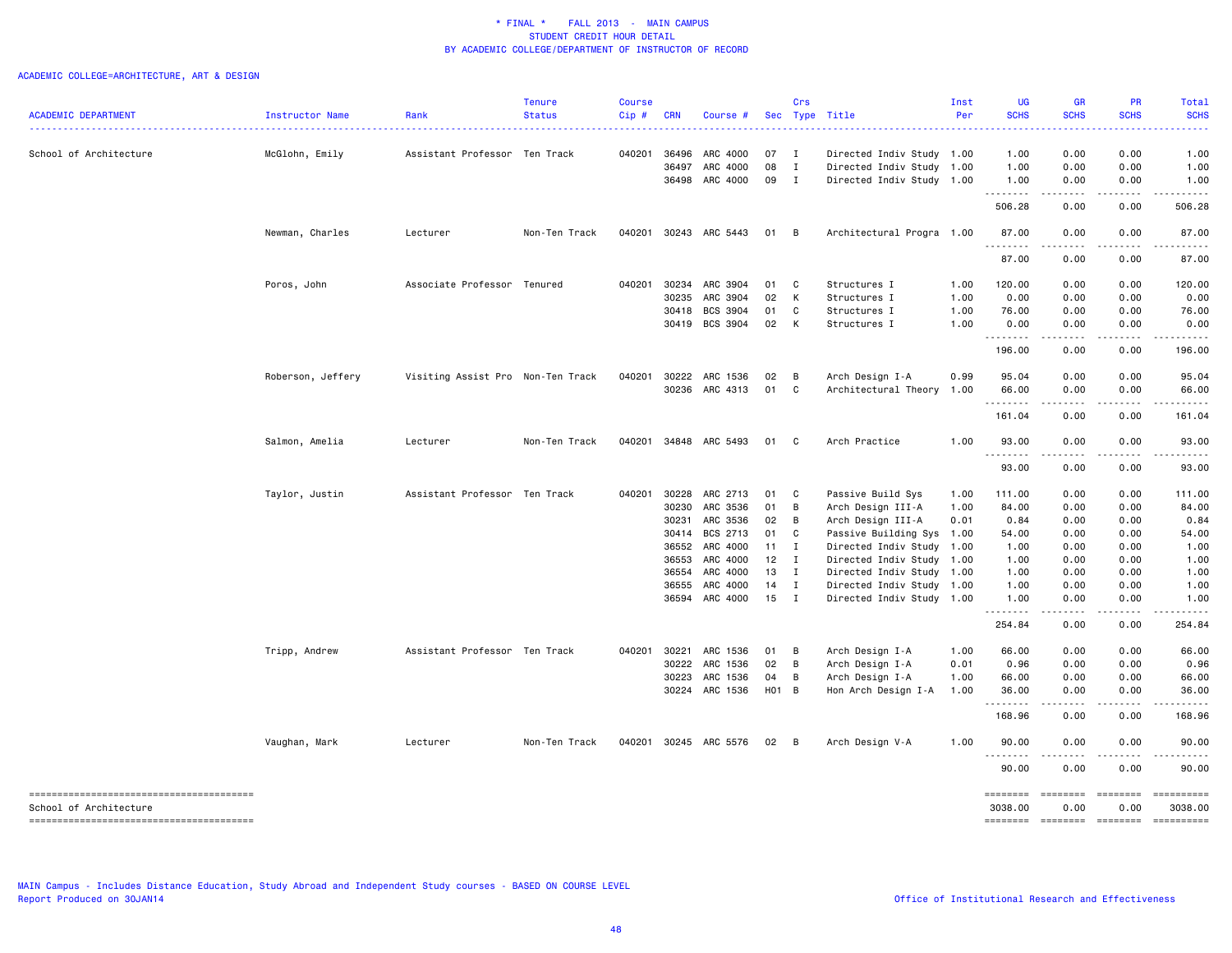# ACADEMIC COLLEGE=ARCHITECTURE, ART & DESIGN

| <b>ACADEMIC DEPARTMENT</b> | Instructor Name   | Rank                              | <b>Tenure</b><br><b>Status</b> | <b>Course</b><br>Cip# | <b>CRN</b> | Course #                         | Sec               | Crs            | Type Title                                        | Inst<br>Per | <b>UG</b><br><b>SCHS</b> | <b>GR</b><br><b>SCHS</b>                                                                                                          | PR<br><b>SCHS</b>                                                                                                                                                                                                                                                                                                                                                                                                                                                                              | Total<br><b>SCHS</b>                                                                                                                                                                                                                                                                                                                                                                                                                 |
|----------------------------|-------------------|-----------------------------------|--------------------------------|-----------------------|------------|----------------------------------|-------------------|----------------|---------------------------------------------------|-------------|--------------------------|-----------------------------------------------------------------------------------------------------------------------------------|------------------------------------------------------------------------------------------------------------------------------------------------------------------------------------------------------------------------------------------------------------------------------------------------------------------------------------------------------------------------------------------------------------------------------------------------------------------------------------------------|--------------------------------------------------------------------------------------------------------------------------------------------------------------------------------------------------------------------------------------------------------------------------------------------------------------------------------------------------------------------------------------------------------------------------------------|
| School of Architecture     | McGlohn, Emily    | Assistant Professor Ten Track     |                                | 040201                | 36496      | ARC 4000                         | 07                | $\blacksquare$ | Directed Indiv Study 1.00                         |             | 1.00                     | 0.00                                                                                                                              | 0.00                                                                                                                                                                                                                                                                                                                                                                                                                                                                                           | 1.00                                                                                                                                                                                                                                                                                                                                                                                                                                 |
|                            |                   |                                   |                                |                       | 36497      | ARC 4000                         | 08                | $\mathbf I$    | Directed Indiv Study                              | 1.00        | 1.00                     | 0.00                                                                                                                              | 0.00                                                                                                                                                                                                                                                                                                                                                                                                                                                                                           | 1.00                                                                                                                                                                                                                                                                                                                                                                                                                                 |
|                            |                   |                                   |                                |                       |            | 36498 ARC 4000                   | 09                | $\mathbf{I}$   | Directed Indiv Study 1.00                         |             | 1.00                     | 0.00                                                                                                                              | 0.00                                                                                                                                                                                                                                                                                                                                                                                                                                                                                           | 1.00                                                                                                                                                                                                                                                                                                                                                                                                                                 |
|                            |                   |                                   |                                |                       |            |                                  |                   |                |                                                   |             | .<br>506.28              | $\sim$ $\sim$ $\sim$ $\sim$<br>0.00                                                                                               | .<br>0.00                                                                                                                                                                                                                                                                                                                                                                                                                                                                                      | 506.28                                                                                                                                                                                                                                                                                                                                                                                                                               |
|                            | Newman, Charles   | Lecturer                          | Non-Ten Track                  | 040201                |            | 30243 ARC 5443                   | 01                | $\overline{B}$ | Architectural Progra 1.00                         |             | 87.00                    | 0.00                                                                                                                              | 0.00                                                                                                                                                                                                                                                                                                                                                                                                                                                                                           | 87.00                                                                                                                                                                                                                                                                                                                                                                                                                                |
|                            |                   |                                   |                                |                       |            |                                  |                   |                |                                                   |             | .<br>87.00               | 0.00                                                                                                                              | 0.00                                                                                                                                                                                                                                                                                                                                                                                                                                                                                           | 87.00                                                                                                                                                                                                                                                                                                                                                                                                                                |
|                            |                   |                                   |                                |                       |            |                                  |                   |                |                                                   |             |                          |                                                                                                                                   |                                                                                                                                                                                                                                                                                                                                                                                                                                                                                                |                                                                                                                                                                                                                                                                                                                                                                                                                                      |
|                            | Poros, John       | Associate Professor Tenured       |                                | 040201                |            | 30234 ARC 3904                   | 01                | C              | Structures I                                      | 1.00        | 120.00                   | 0.00                                                                                                                              | 0.00                                                                                                                                                                                                                                                                                                                                                                                                                                                                                           | 120.00                                                                                                                                                                                                                                                                                                                                                                                                                               |
|                            |                   |                                   |                                |                       | 30235      | ARC 3904                         | 02                | К              | Structures I                                      | 1.00        | 0.00                     | 0.00                                                                                                                              | 0.00                                                                                                                                                                                                                                                                                                                                                                                                                                                                                           | 0.00                                                                                                                                                                                                                                                                                                                                                                                                                                 |
|                            |                   |                                   |                                |                       |            | 30418 BCS 3904                   | 01                | C              | Structures I                                      | 1.00        | 76.00                    | 0.00                                                                                                                              | 0.00                                                                                                                                                                                                                                                                                                                                                                                                                                                                                           | 76.00                                                                                                                                                                                                                                                                                                                                                                                                                                |
|                            |                   |                                   |                                |                       |            | 30419 BCS 3904                   | 02                | К              | Structures I                                      | 1.00        | 0.00<br>.                | 0.00<br>.                                                                                                                         | 0.00<br><u>.</u>                                                                                                                                                                                                                                                                                                                                                                                                                                                                               | 0.00                                                                                                                                                                                                                                                                                                                                                                                                                                 |
|                            |                   |                                   |                                |                       |            |                                  |                   |                |                                                   |             | 196.00                   | 0.00                                                                                                                              | 0.00                                                                                                                                                                                                                                                                                                                                                                                                                                                                                           | 196.00                                                                                                                                                                                                                                                                                                                                                                                                                               |
|                            | Roberson, Jeffery | Visiting Assist Pro Non-Ten Track |                                | 040201                |            | 30222 ARC 1536                   | 02                | В              | Arch Design I-A                                   | 0.99        | 95.04                    | 0.00                                                                                                                              | 0.00                                                                                                                                                                                                                                                                                                                                                                                                                                                                                           | 95.04                                                                                                                                                                                                                                                                                                                                                                                                                                |
|                            |                   |                                   |                                |                       |            | 30236 ARC 4313                   | 01                | C              | Architectural Theory                              | 1.00        | 66.00                    | 0.00                                                                                                                              | 0.00                                                                                                                                                                                                                                                                                                                                                                                                                                                                                           | 66.00                                                                                                                                                                                                                                                                                                                                                                                                                                |
|                            |                   |                                   |                                |                       |            |                                  |                   |                |                                                   |             | . <b>.</b><br>161.04     | - - - -<br>0.00                                                                                                                   | 0.00                                                                                                                                                                                                                                                                                                                                                                                                                                                                                           | 161.04                                                                                                                                                                                                                                                                                                                                                                                                                               |
|                            | Salmon, Amelia    | Lecturer                          | Non-Ten Track                  |                       |            | 040201 34848 ARC 5493            | 01 C              |                | Arch Practice                                     | 1.00        | 93.00                    | 0.00                                                                                                                              | 0.00                                                                                                                                                                                                                                                                                                                                                                                                                                                                                           | 93.00                                                                                                                                                                                                                                                                                                                                                                                                                                |
|                            |                   |                                   |                                |                       |            |                                  |                   |                |                                                   |             | .<br>93.00               | د د د د<br>0.00                                                                                                                   | <u>.</u><br>0.00                                                                                                                                                                                                                                                                                                                                                                                                                                                                               | 93.00                                                                                                                                                                                                                                                                                                                                                                                                                                |
|                            | Taylor, Justin    | Assistant Professor Ten Track     |                                | 040201                | 30228      | ARC 2713                         | 01                | C              | Passive Build Sys                                 | 1.00        | 111.00                   | 0.00                                                                                                                              | 0.00                                                                                                                                                                                                                                                                                                                                                                                                                                                                                           | 111.00                                                                                                                                                                                                                                                                                                                                                                                                                               |
|                            |                   |                                   |                                |                       | 30230      | ARC 3536                         | 01                | B              | Arch Design III-A                                 | 1.00        | 84.00                    | 0.00                                                                                                                              | 0.00                                                                                                                                                                                                                                                                                                                                                                                                                                                                                           | 84.00                                                                                                                                                                                                                                                                                                                                                                                                                                |
|                            |                   |                                   |                                |                       | 30231      | ARC 3536                         | 02                | B              | Arch Design III-A                                 | 0.01        | 0.84                     | 0.00                                                                                                                              | 0.00                                                                                                                                                                                                                                                                                                                                                                                                                                                                                           | 0.84                                                                                                                                                                                                                                                                                                                                                                                                                                 |
|                            |                   |                                   |                                |                       | 30414      | BCS 2713                         | 01                | C              | Passive Building Sys                              | 1.00        | 54.00                    | 0.00                                                                                                                              | 0.00                                                                                                                                                                                                                                                                                                                                                                                                                                                                                           | 54.00                                                                                                                                                                                                                                                                                                                                                                                                                                |
|                            |                   |                                   |                                |                       | 36552      | ARC 4000                         | 11                | Ι.             | Directed Indiv Study                              | 1.00        | 1.00                     | 0.00                                                                                                                              | 0.00                                                                                                                                                                                                                                                                                                                                                                                                                                                                                           | 1.00                                                                                                                                                                                                                                                                                                                                                                                                                                 |
|                            |                   |                                   |                                |                       |            | 36553 ARC 4000                   | 12                | I              | Directed Indiv Study                              | 1.00        | 1.00                     | 0.00                                                                                                                              | 0.00                                                                                                                                                                                                                                                                                                                                                                                                                                                                                           | 1.00                                                                                                                                                                                                                                                                                                                                                                                                                                 |
|                            |                   |                                   |                                |                       | 36554      | ARC 4000                         | 13                | I              |                                                   |             | 1.00                     | 0.00                                                                                                                              | 0.00                                                                                                                                                                                                                                                                                                                                                                                                                                                                                           | 1.00                                                                                                                                                                                                                                                                                                                                                                                                                                 |
|                            |                   |                                   |                                |                       |            |                                  |                   | I              | Directed Indiv Study                              | 1.00        |                          |                                                                                                                                   |                                                                                                                                                                                                                                                                                                                                                                                                                                                                                                |                                                                                                                                                                                                                                                                                                                                                                                                                                      |
|                            |                   |                                   |                                |                       |            | 36555 ARC 4000<br>36594 ARC 4000 | 14<br>$15$ I      |                | Directed Indiv Study<br>Directed Indiv Study 1.00 | 1.00        | 1.00<br>1.00             | 0.00<br>0.00                                                                                                                      | 0.00<br>0.00                                                                                                                                                                                                                                                                                                                                                                                                                                                                                   | 1.00<br>1.00                                                                                                                                                                                                                                                                                                                                                                                                                         |
|                            |                   |                                   |                                |                       |            |                                  |                   |                |                                                   |             | <u>.</u><br>254.84       | .<br>0.00                                                                                                                         | .<br>0.00                                                                                                                                                                                                                                                                                                                                                                                                                                                                                      | 254.84                                                                                                                                                                                                                                                                                                                                                                                                                               |
|                            | Tripp, Andrew     | Assistant Professor Ten Track     |                                | 040201                | 30221      | ARC 1536                         | 01                | В              | Arch Design I-A                                   | 1.00        | 66.00                    | 0.00                                                                                                                              | 0.00                                                                                                                                                                                                                                                                                                                                                                                                                                                                                           | 66.00                                                                                                                                                                                                                                                                                                                                                                                                                                |
|                            |                   |                                   |                                |                       | 30222      | ARC 1536                         | 02                | B              | Arch Design I-A                                   | 0.01        | 0.96                     | 0.00                                                                                                                              | 0.00                                                                                                                                                                                                                                                                                                                                                                                                                                                                                           | 0.96                                                                                                                                                                                                                                                                                                                                                                                                                                 |
|                            |                   |                                   |                                |                       |            |                                  |                   |                |                                                   |             |                          |                                                                                                                                   |                                                                                                                                                                                                                                                                                                                                                                                                                                                                                                |                                                                                                                                                                                                                                                                                                                                                                                                                                      |
|                            |                   |                                   |                                |                       | 30223      | ARC 1536                         | 04                | В              | Arch Design I-A                                   | 1.00        | 66.00                    | 0.00                                                                                                                              | 0.00                                                                                                                                                                                                                                                                                                                                                                                                                                                                                           | 66.00                                                                                                                                                                                                                                                                                                                                                                                                                                |
|                            |                   |                                   |                                |                       |            | 30224 ARC 1536                   | H <sub>01</sub> B |                | Hon Arch Design I-A                               | 1.00        | 36.00<br>-----           | 0.00<br>.                                                                                                                         | 0.00                                                                                                                                                                                                                                                                                                                                                                                                                                                                                           | 36.00                                                                                                                                                                                                                                                                                                                                                                                                                                |
|                            |                   |                                   |                                |                       |            |                                  |                   |                |                                                   |             | 168.96                   | 0.00                                                                                                                              | 0.00                                                                                                                                                                                                                                                                                                                                                                                                                                                                                           | 168.96                                                                                                                                                                                                                                                                                                                                                                                                                               |
|                            | Vaughan, Mark     | Lecturer                          | Non-Ten Track                  | 040201                |            | 30245 ARC 5576                   | 02                | $\overline{B}$ | Arch Design V-A                                   | 1.00        | 90.00<br>.               | 0.00<br>$\frac{1}{2} \left( \frac{1}{2} \right) \left( \frac{1}{2} \right) \left( \frac{1}{2} \right) \left( \frac{1}{2} \right)$ | 0.00                                                                                                                                                                                                                                                                                                                                                                                                                                                                                           | 90.00                                                                                                                                                                                                                                                                                                                                                                                                                                |
|                            |                   |                                   |                                |                       |            |                                  |                   |                |                                                   |             | 90.00                    | 0.00                                                                                                                              | 0.00                                                                                                                                                                                                                                                                                                                                                                                                                                                                                           | 90.00                                                                                                                                                                                                                                                                                                                                                                                                                                |
| School of Architecture     |                   |                                   |                                |                       |            |                                  |                   |                |                                                   |             | ========<br>3038.00      | ========<br>0.00                                                                                                                  | $\begin{array}{cccccccccc} \multicolumn{2}{c}{} & \multicolumn{2}{c}{} & \multicolumn{2}{c}{} & \multicolumn{2}{c}{} & \multicolumn{2}{c}{} & \multicolumn{2}{c}{} & \multicolumn{2}{c}{} & \multicolumn{2}{c}{} & \multicolumn{2}{c}{} & \multicolumn{2}{c}{} & \multicolumn{2}{c}{} & \multicolumn{2}{c}{} & \multicolumn{2}{c}{} & \multicolumn{2}{c}{} & \multicolumn{2}{c}{} & \multicolumn{2}{c}{} & \multicolumn{2}{c}{} & \multicolumn{2}{c}{} & \multicolumn{2}{c}{} & \mult$<br>0.00 | ==========<br>3038.00                                                                                                                                                                                                                                                                                                                                                                                                                |
|                            |                   |                                   |                                |                       |            |                                  |                   |                |                                                   |             | ========                 |                                                                                                                                   | ========                                                                                                                                                                                                                                                                                                                                                                                                                                                                                       | $\begin{minipage}{0.9\linewidth} \hspace*{-0.2cm} \textbf{1} & \textbf{2} & \textbf{3} & \textbf{5} & \textbf{6} & \textbf{7} \\ \textbf{5} & \textbf{6} & \textbf{7} & \textbf{8} & \textbf{8} & \textbf{9} & \textbf{1} \\ \textbf{6} & \textbf{8} & \textbf{8} & \textbf{8} & \textbf{9} & \textbf{1} \\ \textbf{7} & \textbf{9} & \textbf{9} & \textbf{1} & \textbf{1} & \textbf{1} \\ \textbf{8} & \textbf{1} & \textbf{1} & \$ |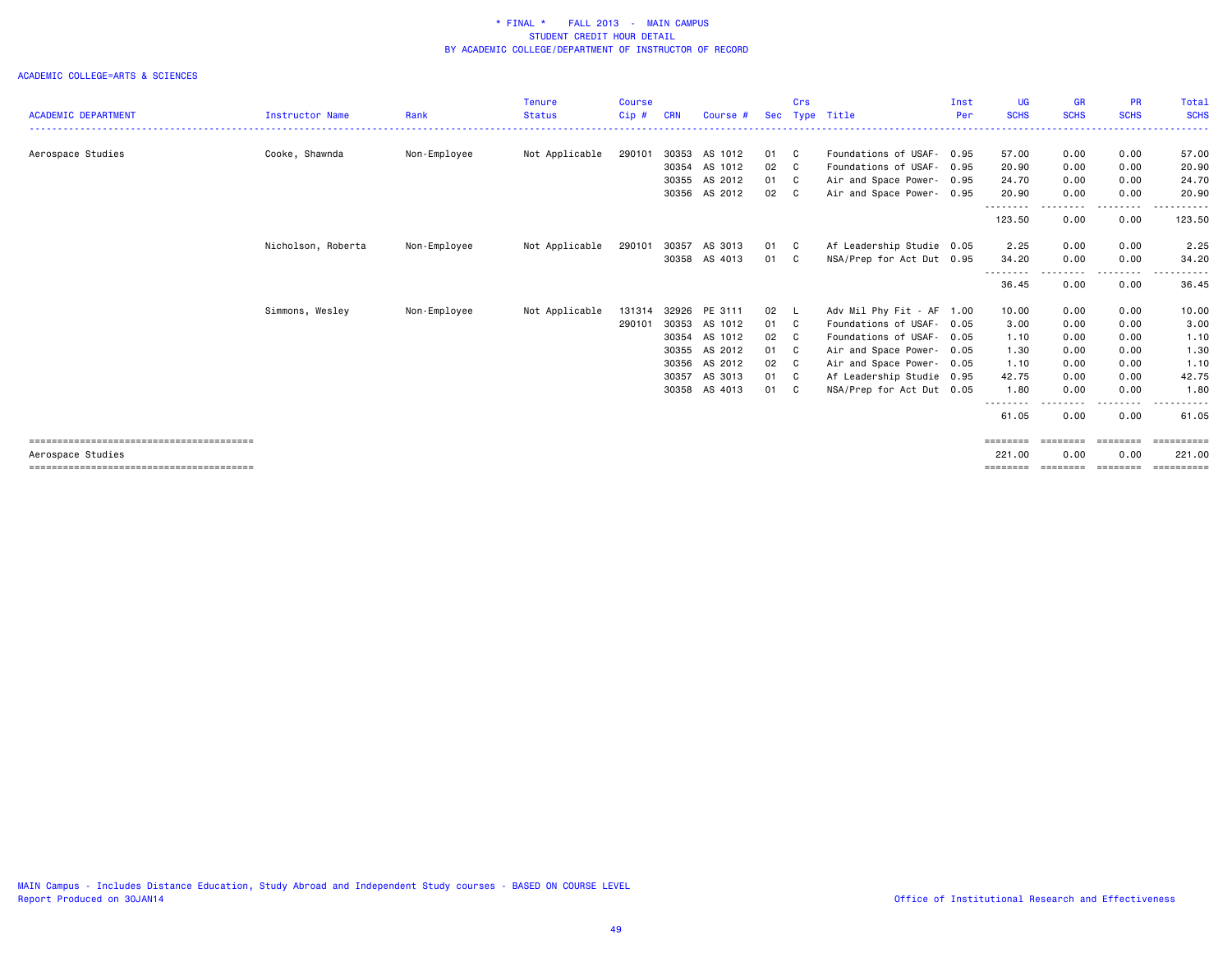|                            |                    |              | <b>Tenure</b>  | <b>Course</b> |            |               |      | Crs            |                           | Inst | <b>UG</b>         | GR          | <b>PR</b>        | Total                |
|----------------------------|--------------------|--------------|----------------|---------------|------------|---------------|------|----------------|---------------------------|------|-------------------|-------------|------------------|----------------------|
| <b>ACADEMIC DEPARTMENT</b> | Instructor Name    | Rank         | <b>Status</b>  | $Cip$ #       | <b>CRN</b> | Course #      | Sec  | Type           | Title                     | Per  | <b>SCHS</b>       | <b>SCHS</b> | <b>SCHS</b>      | <b>SCHS</b>          |
| Aerospace Studies          | Cooke, Shawnda     | Non-Employee | Not Applicable | 290101        | 30353      | AS 1012       | 01 C |                | Foundations of USAF- 0.95 |      | 57.00             | 0.00        | 0.00             | 57.00                |
|                            |                    |              |                |               | 30354      | AS 1012       | 02   | C <sub>1</sub> | Foundations of USAF-      | 0.95 | 20.90             | 0.00        | 0.00             | 20.90                |
|                            |                    |              |                |               | 30355      | AS 2012       | 01 C |                | Air and Space Power- 0.95 |      | 24.70             | 0.00        | 0.00             | 24.70                |
|                            |                    |              |                |               |            | 30356 AS 2012 | 02 C |                | Air and Space Power- 0.95 |      | 20.90<br>-------- | 0.00        | 0.00<br>----     | 20.90                |
|                            |                    |              |                |               |            |               |      |                |                           |      | 123.50            | 0.00        | 0.00             | 123.50               |
|                            | Nicholson, Roberta | Non-Employee | Not Applicable | 290101        | 30357      | AS 3013       | 01 C |                | Af Leadership Studie 0.05 |      | 2.25              | 0.00        | 0.00             | 2.25                 |
|                            |                    |              |                |               | 30358      | AS 4013       | 01   | C C            | NSA/Prep for Act Dut 0.95 |      | 34.20             | 0.00        | 0.00             | 34.20                |
|                            |                    |              |                |               |            |               |      |                |                           |      | --------<br>36.45 | .<br>0.00   | --------<br>0.00 | .<br>36.45           |
|                            | Simmons, Wesley    | Non-Employee | Not Applicable | 131314        | 32926      | PE 3111       | 02   | - L            | Adv Mil Phy Fit - AF 1.00 |      | 10.00             | 0.00        | 0.00             | 10.00                |
|                            |                    |              |                | 290101        | 30353      | AS 1012       | 01   | $\mathbf{C}$   | Foundations of USAF- 0.05 |      | 3.00              | 0.00        | 0.00             | 3.00                 |
|                            |                    |              |                |               | 30354      | AS 1012       | 02   | C C            | Foundations of USAF- 0.05 |      | 1.10              | 0.00        | 0.00             | 1.10                 |
|                            |                    |              |                |               | 30355      | AS 2012       | 01 C |                | Air and Space Power- 0.05 |      | 1.30              | 0.00        | 0.00             | 1.30                 |
|                            |                    |              |                |               | 30356      | AS 2012       | 02   | C              | Air and Space Power- 0.05 |      | 1.10              | 0.00        | 0.00             | 1.10                 |
|                            |                    |              |                |               | 30357      | AS 3013       | 01 C |                | Af Leadership Studie 0.95 |      | 42.75             | 0.00        | 0.00             | 42.75                |
|                            |                    |              |                |               | 30358      | AS 4013       | 01   | C .            | NSA/Prep for Act Dut 0.05 |      | 1.80              | 0.00        | 0.00             | 1.80<br>. <b>.</b> . |
|                            |                    |              |                |               |            |               |      |                |                           |      | --------<br>61.05 | 0.00        | 0.00             | 61.05                |
|                            |                    |              |                |               |            |               |      |                |                           |      | ========          | ========    | ========         | ==========           |
| Aerospace Studies          |                    |              |                |               |            |               |      |                |                           |      | 221.00            | 0.00        | 0.00             | 221.00               |
|                            |                    |              |                |               |            |               |      |                |                           |      |                   |             |                  |                      |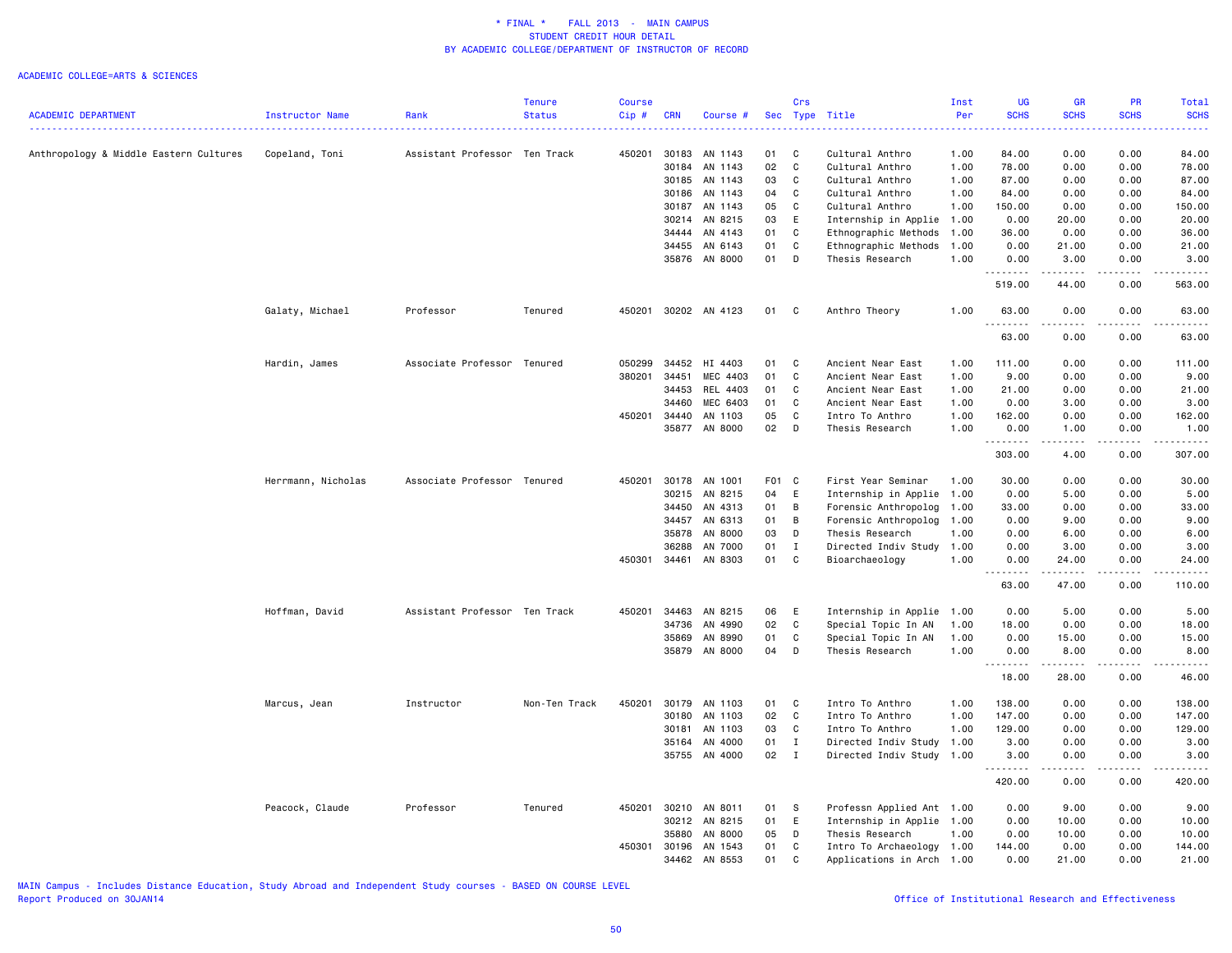|                                        |                    |                               | <b>Tenure</b> | <b>Course</b> |            |                      |       | Crs          |                           | Inst | UG                                   | <b>GR</b>                                                                                                                                                     | <b>PR</b>    | Total                  |
|----------------------------------------|--------------------|-------------------------------|---------------|---------------|------------|----------------------|-------|--------------|---------------------------|------|--------------------------------------|---------------------------------------------------------------------------------------------------------------------------------------------------------------|--------------|------------------------|
| <b>ACADEMIC DEPARTMENT</b>             | Instructor Name    | Rank                          | <b>Status</b> | Cip#          | <b>CRN</b> | Course #             |       |              | Sec Type Title            | Per  | <b>SCHS</b>                          | <b>SCHS</b>                                                                                                                                                   | <b>SCHS</b>  | <b>SCHS</b>            |
|                                        |                    |                               |               |               |            |                      |       |              |                           |      | .                                    | د عام عام .                                                                                                                                                   | $-2 - 2 - 2$ | .                      |
| Anthropology & Middle Eastern Cultures | Copeland, Toni     | Assistant Professor Ten Track |               |               |            | 450201 30183 AN 1143 | 01    | C            | Cultural Anthro           | 1.00 | 84.00                                | 0.00                                                                                                                                                          | 0.00         | 84.00                  |
|                                        |                    |                               |               |               | 30184      | AN 1143              | 02    | $\mathbf c$  | Cultural Anthro           | 1.00 | 78.00                                | 0.00                                                                                                                                                          | 0.00         | 78.00                  |
|                                        |                    |                               |               |               | 30185      | AN 1143              | 03    | C            | Cultural Anthro           | 1.00 | 87.00                                | 0.00                                                                                                                                                          | 0.00         | 87.00                  |
|                                        |                    |                               |               |               | 30186      | AN 1143              | 04    | C            | Cultural Anthro           | 1.00 | 84.00                                | 0.00                                                                                                                                                          | 0.00         | 84.00                  |
|                                        |                    |                               |               |               | 30187      | AN 1143              | 05    | C            | Cultural Anthro           | 1.00 | 150.00                               | 0.00                                                                                                                                                          | 0.00         | 150.00                 |
|                                        |                    |                               |               |               | 30214      | AN 8215              | 03    | E            | Internship in Applie      | 1.00 | 0.00                                 | 20.00                                                                                                                                                         | 0.00         | 20.00                  |
|                                        |                    |                               |               |               | 34444      | AN 4143              | 01    | C            | Ethnographic Methods      | 1.00 | 36.00                                | 0.00                                                                                                                                                          | 0.00         | 36.00                  |
|                                        |                    |                               |               |               | 34455      | AN 6143              | 01    | C            | Ethnographic Methods      | 1.00 | 0.00                                 | 21.00                                                                                                                                                         | 0.00         | 21.00                  |
|                                        |                    |                               |               |               | 35876      | AN 8000              | 01    | D            | Thesis Research           | 1.00 | 0.00                                 | 3.00                                                                                                                                                          | 0.00         | 3.00                   |
|                                        |                    |                               |               |               |            |                      |       |              |                           |      | <u>.</u>                             | .                                                                                                                                                             | .            | .                      |
|                                        |                    |                               |               |               |            |                      |       |              |                           |      | 519.00                               | 44.00                                                                                                                                                         | 0.00         | 563.00                 |
|                                        |                    |                               |               |               |            |                      |       |              |                           |      |                                      |                                                                                                                                                               |              |                        |
|                                        | Galaty, Michael    | Professor                     | Tenured       | 450201        |            | 30202 AN 4123        | 01    | C            | Anthro Theory             | 1.00 | 63.00<br>. <b>.</b>                  | 0.00<br>.                                                                                                                                                     | 0.00<br>.    | 63.00<br>.             |
|                                        |                    |                               |               |               |            |                      |       |              |                           |      | 63.00                                | 0.00                                                                                                                                                          | 0.00         | 63.00                  |
|                                        | Hardin, James      | Associate Professor Tenured   |               | 050299        | 34452      | HI 4403              | 01    | C            | Ancient Near East         | 1.00 | 111.00                               | 0.00                                                                                                                                                          | 0.00         | 111.00                 |
|                                        |                    |                               |               | 380201        | 34451      | MEC 4403             | 01    | C            | Ancient Near East         | 1.00 | 9.00                                 | 0.00                                                                                                                                                          | 0.00         | 9.00                   |
|                                        |                    |                               |               |               | 34453      | REL 4403             | 01    | C            | Ancient Near East         | 1.00 | 21.00                                | 0.00                                                                                                                                                          | 0.00         | 21.00                  |
|                                        |                    |                               |               |               | 34460      | MEC 6403             | 01    | C            | Ancient Near East         | 1.00 | 0.00                                 | 3.00                                                                                                                                                          | 0.00         | 3.00                   |
|                                        |                    |                               |               | 450201        | 34440      | AN 1103              | 05    | C            | Intro To Anthro           | 1.00 | 162.00                               | 0.00                                                                                                                                                          | 0.00         | 162.00                 |
|                                        |                    |                               |               |               | 35877      | AN 8000              | 02    | $\mathsf{D}$ | Thesis Research           | 1.00 | 0.00                                 | 1.00                                                                                                                                                          | 0.00         | 1.00                   |
|                                        |                    |                               |               |               |            |                      |       |              |                           |      | .                                    | .                                                                                                                                                             | المتماما     | .                      |
|                                        |                    |                               |               |               |            |                      |       |              |                           |      | 303.00                               | 4.00                                                                                                                                                          | 0.00         | 307.00                 |
|                                        | Herrmann, Nicholas | Associate Professor Tenured   |               | 450201        | 30178      | AN 1001              | F01 C |              | First Year Seminar        | 1.00 | 30.00                                | 0.00                                                                                                                                                          | 0.00         | 30.00                  |
|                                        |                    |                               |               |               | 30215      | AN 8215              | 04    | E            | Internship in Applie      | 1.00 | 0.00                                 | 5.00                                                                                                                                                          | 0.00         | 5.00                   |
|                                        |                    |                               |               |               | 34450      | AN 4313              | 01    | B            | Forensic Anthropolog      | 1.00 | 33.00                                | 0.00                                                                                                                                                          | 0.00         | 33.00                  |
|                                        |                    |                               |               |               | 34457      | AN 6313              | 01    | B            | Forensic Anthropolog      | 1.00 | 0.00                                 | 9.00                                                                                                                                                          | 0.00         | 9.00                   |
|                                        |                    |                               |               |               | 35878      | AN 8000              | 03    | D            | Thesis Research           | 1.00 | 0.00                                 | 6.00                                                                                                                                                          | 0.00         | 6.00                   |
|                                        |                    |                               |               |               | 36288      | AN 7000              | 01    | $\mathbf I$  | Directed Indiv Study      | 1.00 | 0.00                                 | 3.00                                                                                                                                                          | 0.00         | 3.00                   |
|                                        |                    |                               |               | 450301        | 34461      | AN 8303              | 01    | C            | Bioarchaeology            | 1.00 | 0.00                                 | 24.00                                                                                                                                                         | 0.00         | 24.00                  |
|                                        |                    |                               |               |               |            |                      |       |              |                           |      | $\sim$ $\sim$ $\sim$ $\sim$<br>63.00 | .<br>47.00                                                                                                                                                    | .<br>0.00    | .<br>110.00            |
|                                        |                    |                               |               |               |            |                      |       |              |                           |      |                                      |                                                                                                                                                               |              |                        |
|                                        | Hoffman, David     | Assistant Professor Ten Track |               | 450201        | 34463      | AN 8215              | 06    | E            | Internship in Applie      | 1.00 | 0.00                                 | 5.00                                                                                                                                                          | 0.00         | 5.00                   |
|                                        |                    |                               |               |               | 34736      | AN 4990              | 02    | $\mathbf c$  | Special Topic In AN       | 1.00 | 18.00                                | 0.00                                                                                                                                                          | 0.00         | 18.00                  |
|                                        |                    |                               |               |               | 35869      | AN 8990              | 01    | $\mathbb{C}$ | Special Topic In AN       | 1.00 | 0.00                                 | 15.00                                                                                                                                                         | 0.00         | 15.00                  |
|                                        |                    |                               |               |               | 35879      | AN 8000              | 04    | D            | Thesis Research           | 1.00 | 0.00                                 | 8.00                                                                                                                                                          | 0.00         | 8.00                   |
|                                        |                    |                               |               |               |            |                      |       |              |                           |      | .<br>18.00                           | $\frac{1}{2} \left( \frac{1}{2} \right) \left( \frac{1}{2} \right) \left( \frac{1}{2} \right) \left( \frac{1}{2} \right) \left( \frac{1}{2} \right)$<br>28.00 | .<br>0.00    | $\frac{1}{2}$<br>46.00 |
|                                        | Marcus, Jean       | Instructor                    | Non-Ten Track | 450201        | 30179      | AN 1103              | 01    | C            | Intro To Anthro           | 1.00 | 138.00                               | 0.00                                                                                                                                                          | 0.00         | 138.00                 |
|                                        |                    |                               |               |               | 30180      | AN 1103              | 02    | C            | Intro To Anthro           | 1.00 | 147.00                               | 0.00                                                                                                                                                          | 0.00         | 147.00                 |
|                                        |                    |                               |               |               | 30181      | AN 1103              | 03    | C            | Intro To Anthro           | 1.00 | 129.00                               | 0.00                                                                                                                                                          | 0.00         | 129.00                 |
|                                        |                    |                               |               |               | 35164      | AN 4000              | 01    | $\mathbf{I}$ | Directed Indiv Study      | 1.00 | 3.00                                 | 0.00                                                                                                                                                          | 0.00         | 3.00                   |
|                                        |                    |                               |               |               | 35755      | AN 4000              | 02    | I            | Directed Indiv Study      | 1.00 | 3.00                                 | 0.00                                                                                                                                                          | 0.00         | 3.00                   |
|                                        |                    |                               |               |               |            |                      |       |              |                           |      | .                                    |                                                                                                                                                               |              |                        |
|                                        |                    |                               |               |               |            |                      |       |              |                           |      | 420.00                               | 0.00                                                                                                                                                          | 0.00         | 420.00                 |
|                                        | Peacock, Claude    | Professor                     | Tenured       | 450201        | 30210      | AN 8011              | 01    | <b>S</b>     | Professn Applied Ant 1.00 |      | 0.00                                 | 9.00                                                                                                                                                          | 0.00         | 9.00                   |
|                                        |                    |                               |               |               | 30212      | AN 8215              | 01    | E            | Internship in Applie 1.00 |      | 0.00                                 | 10.00                                                                                                                                                         | 0.00         | 10.00                  |
|                                        |                    |                               |               |               | 35880      | AN 8000              | 05    | D            | Thesis Research           | 1.00 | 0.00                                 | 10.00                                                                                                                                                         | 0.00         | 10.00                  |
|                                        |                    |                               |               | 450301        | 30196      | AN 1543              | 01    | C            | Intro To Archaeology      | 1.00 | 144.00                               | 0.00                                                                                                                                                          | 0.00         | 144.00                 |
|                                        |                    |                               |               |               | 34462      | AN 8553              | 01    | $\mathbb{C}$ | Applications in Arch 1.00 |      | 0.00                                 | 21.00                                                                                                                                                         | 0.00         | 21.00                  |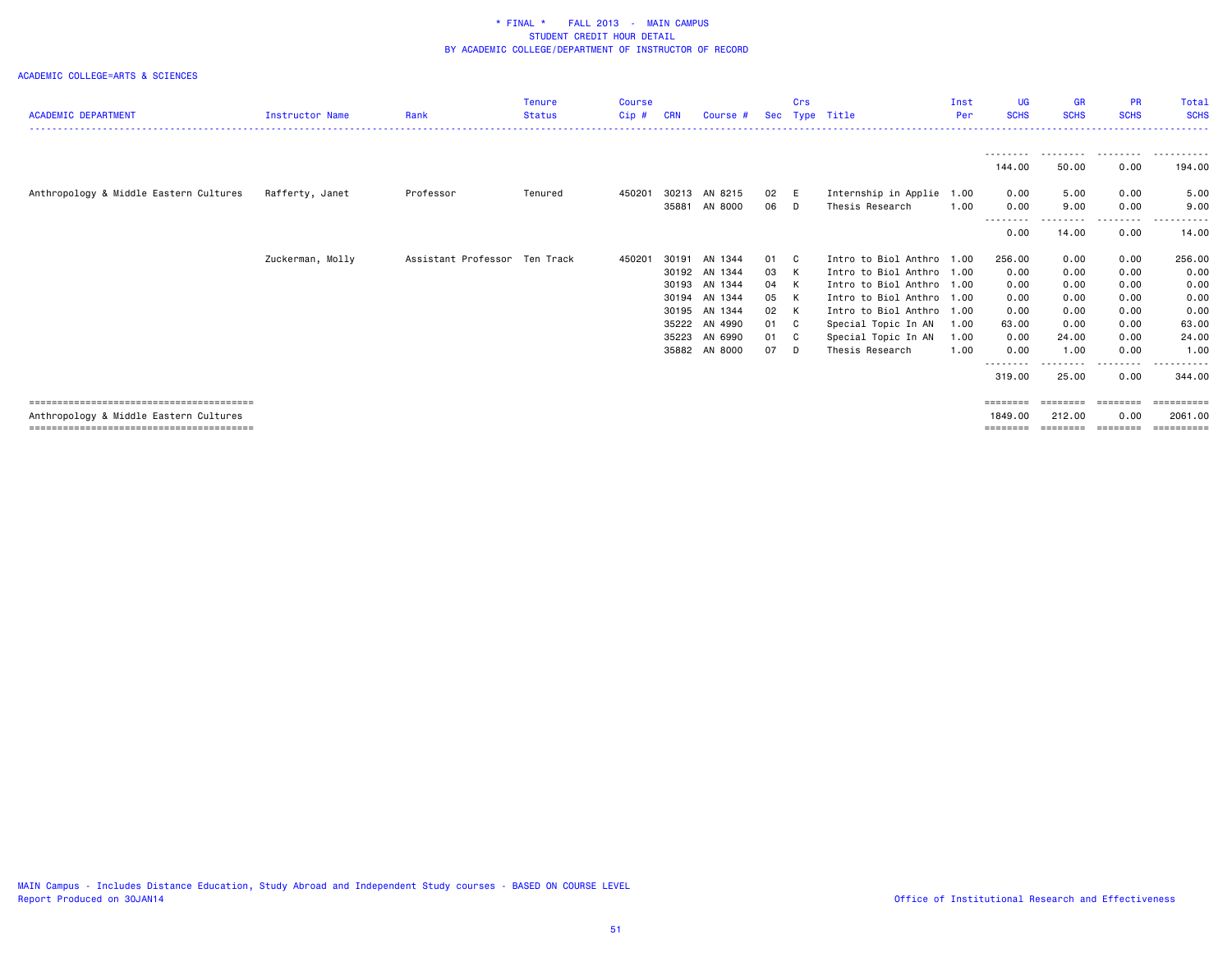|                                        |                        |                               | <b>Tenure</b> | <b>Course</b> |            |          |      | Crs |                           | Inst | <b>UG</b>          | <b>GR</b>         | <b>PR</b>               | <b>Total</b> |
|----------------------------------------|------------------------|-------------------------------|---------------|---------------|------------|----------|------|-----|---------------------------|------|--------------------|-------------------|-------------------------|--------------|
| <b>ACADEMIC DEPARTMENT</b>             | <b>Instructor Name</b> | Rank                          | <b>Status</b> | Cip#          | <b>CRN</b> | Course # | Sec  |     | Type Title                | Per  | <b>SCHS</b>        | <b>SCHS</b>       | <b>SCHS</b>             | <b>SCHS</b>  |
|                                        |                        |                               |               |               |            |          |      |     |                           |      |                    |                   | ---------               | ----------   |
|                                        |                        |                               |               |               |            |          |      |     |                           |      | 144.00             | 50.00             | 0.00                    | 194.00       |
| Anthropology & Middle Eastern Cultures | Rafferty, Janet        | Professor                     | Tenured       | 450201        | 30213      | AN 8215  | 02 E |     | Internship in Applie      | 1.00 | 0.00               | 5.00              | 0.00                    | 5.00         |
|                                        |                        |                               |               |               | 35881      | AN 8000  | 06 D |     | Thesis Research           | 1.00 | 0.00               | 9.00              | 0.00                    | 9.00         |
|                                        |                        |                               |               |               |            |          |      |     |                           |      | ---------<br>0.00  | 14.00             | 0.00                    | 14.00        |
|                                        | Zuckerman, Molly       | Assistant Professor Ten Track |               | 450201        | 30191      | AN 1344  | 01 C |     | Intro to Biol Anthro 1.00 |      | 256.00             | 0.00              | 0.00                    | 256.00       |
|                                        |                        |                               |               |               | 30192      | AN 1344  | 03 K |     | Intro to Biol Anthro 1.00 |      | 0.00               | 0.00              | 0.00                    | 0.00         |
|                                        |                        |                               |               |               | 30193      | AN 1344  | 04 K |     | Intro to Biol Anthro 1.00 |      | 0.00               | 0.00              | 0.00                    | 0.00         |
|                                        |                        |                               |               |               | 30194      | AN 1344  | 05 K |     | Intro to Biol Anthro 1.00 |      | 0.00               | 0.00              | 0.00                    | 0.00         |
|                                        |                        |                               |               |               | 30195      | AN 1344  | 02 K |     | Intro to Biol Anthro 1.00 |      | 0.00               | 0.00              | 0.00                    | 0.00         |
|                                        |                        |                               |               |               | 35222      | AN 4990  | 01 C |     | Special Topic In AN       | 1.00 | 63.00              | 0.00              | 0.00                    | 63.00        |
|                                        |                        |                               |               |               | 35223      | AN 6990  | 01 C |     | Special Topic In AN       | 1.00 | 0.00               | 24.00             | 0.00                    | 24.00        |
|                                        |                        |                               |               |               | 35882      | AN 8000  | 07   | D.  | Thesis Research           | 1.00 | 0.00               | 1.00              | 0.00                    | 1.00         |
|                                        |                        |                               |               |               |            |          |      |     |                           |      | --------<br>319.00 | --------<br>25.00 | - - - - - - - -<br>0.00 | 344.00       |
|                                        |                        |                               |               |               |            |          |      |     |                           |      | ========           | --------          | ========                | ==========   |
| Anthropology & Middle Eastern Cultures |                        |                               |               |               |            |          |      |     |                           |      | 1849.00            | 212.00            | 0.00                    | 2061.00      |
|                                        |                        |                               |               |               |            |          |      |     |                           |      | ========           | ========          | ========                | -----------  |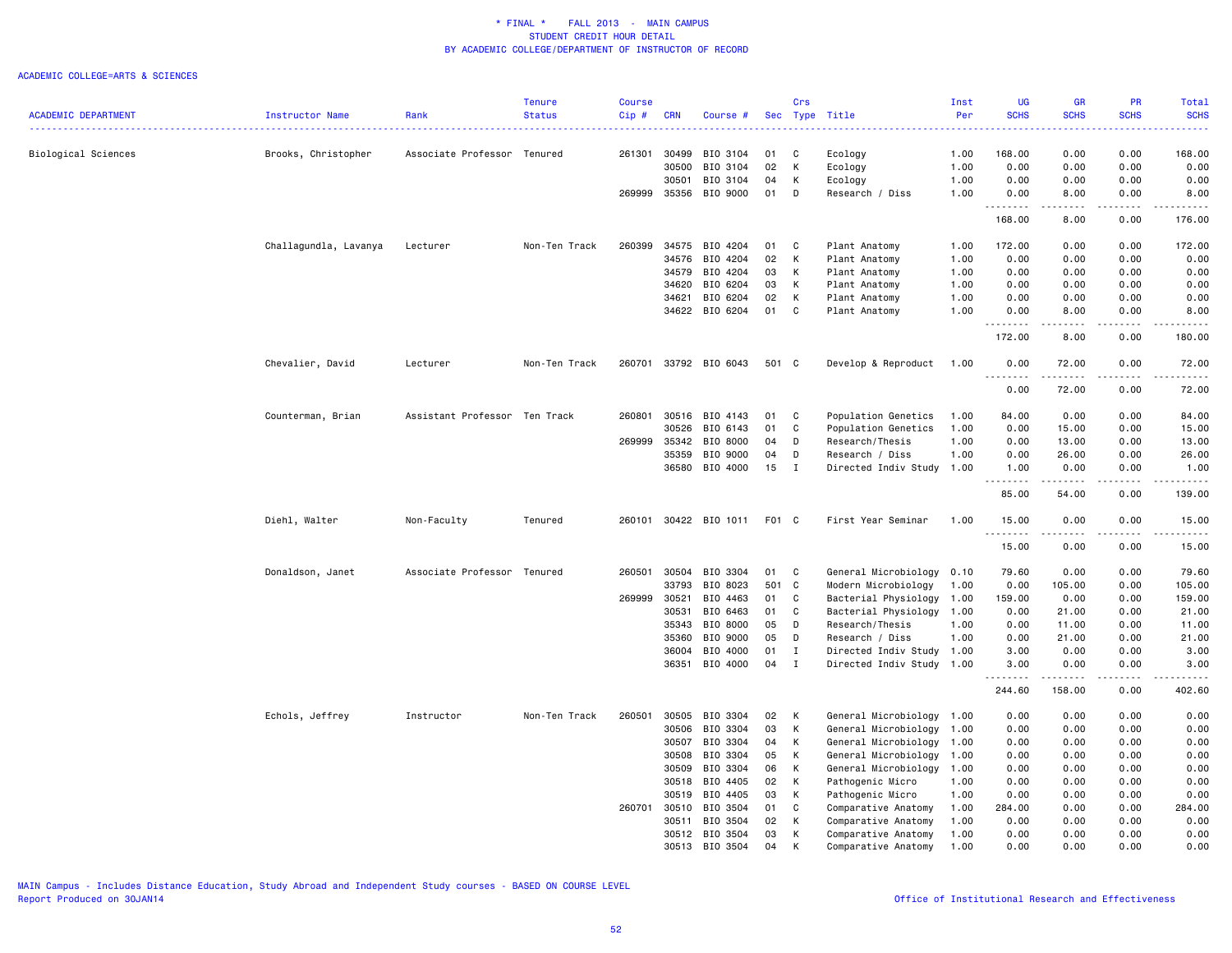|                            |                       |                               | <b>Tenure</b> | <b>Course</b> |            |                |       | Crs          |                           | Inst | UG                    | GR          | <b>PR</b>     | Total                                                                                                                     |
|----------------------------|-----------------------|-------------------------------|---------------|---------------|------------|----------------|-------|--------------|---------------------------|------|-----------------------|-------------|---------------|---------------------------------------------------------------------------------------------------------------------------|
| <b>ACADEMIC DEPARTMENT</b> | Instructor Name       | Rank                          | <b>Status</b> | Cip#          | <b>CRN</b> | Course #       |       |              | Sec Type Title            | Per  | <b>SCHS</b>           | <b>SCHS</b> | <b>SCHS</b>   | <b>SCHS</b>                                                                                                               |
|                            |                       |                               |               |               |            |                |       |              |                           |      |                       |             |               | $\frac{1}{2} \left( \frac{1}{2} \right) \left( \frac{1}{2} \right) \left( \frac{1}{2} \right) \left( \frac{1}{2} \right)$ |
| Biological Sciences        | Brooks, Christopher   | Associate Professor Tenured   |               | 261301        | 30499      | BIO 3104       | 01    | C            | Ecology                   | 1.00 | 168.00                | 0.00        | 0.00          | 168.00                                                                                                                    |
|                            |                       |                               |               |               | 30500      | BIO 3104       | 02    | К            | Ecology                   | 1.00 | 0.00                  | 0.00        | 0.00          | 0.00                                                                                                                      |
|                            |                       |                               |               |               | 30501      | BIO 3104       | 04    | К            | Ecology                   | 1.00 | 0.00                  | 0.00        | 0.00          | 0.00                                                                                                                      |
|                            |                       |                               |               | 269999        | 35356      | BIO 9000       | 01    | D            | Research / Diss           | 1.00 | 0.00                  | 8.00        | 0.00          | 8.00                                                                                                                      |
|                            |                       |                               |               |               |            |                |       |              |                           |      | <b><i><u></u></i></b> | -----       | .             | .                                                                                                                         |
|                            |                       |                               |               |               |            |                |       |              |                           |      | 168.00                | 8.00        | 0.00          | 176.00                                                                                                                    |
|                            | Challagundla, Lavanya | Lecturer                      | Non-Ten Track | 260399        | 34575      | BIO 4204       | 01    | C            | Plant Anatomy             | 1.00 | 172.00                | 0.00        | 0.00          | 172.00                                                                                                                    |
|                            |                       |                               |               |               | 34576      | BIO 4204       | 02    | К            | Plant Anatomy             | 1.00 | 0.00                  | 0.00        | 0.00          | 0.00                                                                                                                      |
|                            |                       |                               |               |               | 34579      | BIO 4204       | 03    | К            | Plant Anatomy             | 1.00 | 0.00                  | 0.00        | 0.00          | 0.00                                                                                                                      |
|                            |                       |                               |               |               | 34620      | BIO 6204       | 03    | K            | Plant Anatomy             | 1.00 | 0.00                  | 0.00        | 0.00          | 0.00                                                                                                                      |
|                            |                       |                               |               |               | 34621      | BIO 6204       | 02    | K            | Plant Anatomy             | 1.00 | 0.00                  | 0.00        | 0.00          | 0.00                                                                                                                      |
|                            |                       |                               |               |               |            | 34622 BIO 6204 | 01    | $\mathbf{C}$ | Plant Anatomy             | 1.00 | 0.00                  | 8.00        | 0.00          | 8.00                                                                                                                      |
|                            |                       |                               |               |               |            |                |       |              |                           |      | 172.00                | .<br>8.00   | .<br>0.00     | . <b>.</b> .<br>180.00                                                                                                    |
|                            |                       |                               |               |               |            |                |       |              |                           |      |                       |             |               |                                                                                                                           |
|                            | Chevalier, David      | Lecturer                      | Non-Ten Track | 260701        |            | 33792 BIO 6043 | 501 C |              | Develop & Reproduct       | 1.00 | 0.00<br>.             | 72.00<br>.  | 0.00<br>----- | 72.00<br>.                                                                                                                |
|                            |                       |                               |               |               |            |                |       |              |                           |      | 0.00                  | 72.00       | 0.00          | 72.00                                                                                                                     |
|                            | Counterman, Brian     | Assistant Professor Ten Track |               | 260801        | 30516      | BIO 4143       | 01    | C            | Population Genetics       | 1.00 | 84.00                 | 0.00        | 0.00          | 84.00                                                                                                                     |
|                            |                       |                               |               |               | 30526      | BIO 6143       | 01    | C            | Population Genetics       | 1.00 | 0.00                  | 15.00       | 0.00          | 15.00                                                                                                                     |
|                            |                       |                               |               | 269999        | 35342      | BIO 8000       | 04    | D            | Research/Thesis           | 1.00 | 0.00                  | 13.00       | 0.00          | 13.00                                                                                                                     |
|                            |                       |                               |               |               |            |                |       |              |                           |      |                       |             |               |                                                                                                                           |
|                            |                       |                               |               |               | 35359      | BIO 9000       | 04    | D            | Research / Diss           | 1.00 | 0.00                  | 26.00       | 0.00          | 26.00                                                                                                                     |
|                            |                       |                               |               |               | 36580      | BIO 4000       | 15    | $\mathbf{I}$ | Directed Indiv Study      | 1.00 | 1.00<br>.             | 0.00        | 0.00<br>.     | 1.00<br>$\frac{1}{2}$                                                                                                     |
|                            |                       |                               |               |               |            |                |       |              |                           |      | 85.00                 | 54.00       | 0.00          | 139.00                                                                                                                    |
|                            | Diehl, Walter         | Non-Faculty                   | Tenured       | 260101        |            | 30422 BIO 1011 | F01 C |              | First Year Seminar        | 1.00 | 15.00                 | 0.00        | 0.00          | 15.00                                                                                                                     |
|                            |                       |                               |               |               |            |                |       |              |                           |      |                       |             |               |                                                                                                                           |
|                            |                       |                               |               |               |            |                |       |              |                           |      | 15.00                 | 0.00        | 0.00          | 15.00                                                                                                                     |
|                            | Donaldson, Janet      | Associate Professor Tenured   |               | 260501        | 30504      | BIO 3304       | 01    | C            | General Microbiology      | 0.10 | 79.60                 | 0.00        | 0.00          | 79.60                                                                                                                     |
|                            |                       |                               |               |               | 33793      | BIO 8023       | 501 C |              | Modern Microbiology       | 1.00 | 0.00                  | 105.00      | 0.00          | 105.00                                                                                                                    |
|                            |                       |                               |               | 269999        | 30521      | BIO 4463       | 01    | $\mathbf C$  | Bacterial Physiology      | 1.00 | 159.00                | 0.00        | 0.00          | 159.00                                                                                                                    |
|                            |                       |                               |               |               | 30531      | BIO 6463       | 01    | C            | Bacterial Physiology      | 1.00 | 0.00                  | 21.00       | 0.00          | 21.00                                                                                                                     |
|                            |                       |                               |               |               | 35343      | BIO 8000       | 05    | D            | Research/Thesis           | 1.00 | 0.00                  | 11.00       | 0.00          | 11.00                                                                                                                     |
|                            |                       |                               |               |               | 35360      | BIO 9000       | 05    | D            | Research / Diss           | 1.00 | 0.00                  | 21.00       | 0.00          | 21.00                                                                                                                     |
|                            |                       |                               |               |               | 36004      | BIO 4000       | 01    | $\mathbf{I}$ | Directed Indiv Study      | 1.00 | 3.00                  | 0.00        | 0.00          | 3.00                                                                                                                      |
|                            |                       |                               |               |               | 36351      | BIO 4000       | 04    | $\mathbf{I}$ | Directed Indiv Study 1.00 |      | 3.00                  | 0.00        | 0.00          | 3.00                                                                                                                      |
|                            |                       |                               |               |               |            |                |       |              |                           |      | <u>.</u><br>244.60    | .<br>158.00 | .<br>0.00     | .<br>402.60                                                                                                               |
|                            | Echols, Jeffrey       | Instructor                    | Non-Ten Track | 260501        | 30505      | BIO 3304       | 02    | K            | General Microbiology      | 1.00 | 0.00                  | 0.00        | 0.00          | 0.00                                                                                                                      |
|                            |                       |                               |               |               | 30506      | BIO 3304       | 03    | K            | General Microbiology      | 1.00 | 0.00                  | 0.00        | 0.00          | 0.00                                                                                                                      |
|                            |                       |                               |               |               | 30507      | BIO 3304       | 04    | К            | General Microbiology      | 1.00 | 0.00                  | 0.00        | 0.00          | 0.00                                                                                                                      |
|                            |                       |                               |               |               |            |                |       |              |                           |      |                       |             |               |                                                                                                                           |
|                            |                       |                               |               |               | 30508      | BIO 3304       | 05    | К            | General Microbiology      | 1.00 | 0.00                  | 0.00        | 0.00          | 0.00                                                                                                                      |
|                            |                       |                               |               |               | 30509      | BIO 3304       | 06    | К            | General Microbiology      | 1.00 | 0.00                  | 0.00        | 0.00          | 0.00                                                                                                                      |
|                            |                       |                               |               |               | 30518      | BIO 4405       | 02    | K            | Pathogenic Micro          | 1.00 | 0.00                  | 0.00        | 0.00          | 0.00                                                                                                                      |
|                            |                       |                               |               |               | 30519      | BIO 4405       | 03    | К            | Pathogenic Micro          | 1.00 | 0.00                  | 0.00        | 0.00          | 0.00                                                                                                                      |
|                            |                       |                               |               | 260701        | 30510      | BIO 3504       | 01    | C            | Comparative Anatomy       | 1.00 | 284.00                | 0.00        | 0.00          | 284.00                                                                                                                    |
|                            |                       |                               |               |               | 30511      | BIO 3504       | 02    | К            | Comparative Anatomy       | 1.00 | 0.00                  | 0.00        | 0.00          | 0.00                                                                                                                      |
|                            |                       |                               |               |               |            | 30512 BIO 3504 | 03    | К            | Comparative Anatomy       | 1.00 | 0.00                  | 0.00        | 0.00          | 0.00                                                                                                                      |
|                            |                       |                               |               |               | 30513      | BIO 3504       | 04    | K            | Comparative Anatomy       | 1.00 | 0.00                  | 0.00        | 0.00          | 0.00                                                                                                                      |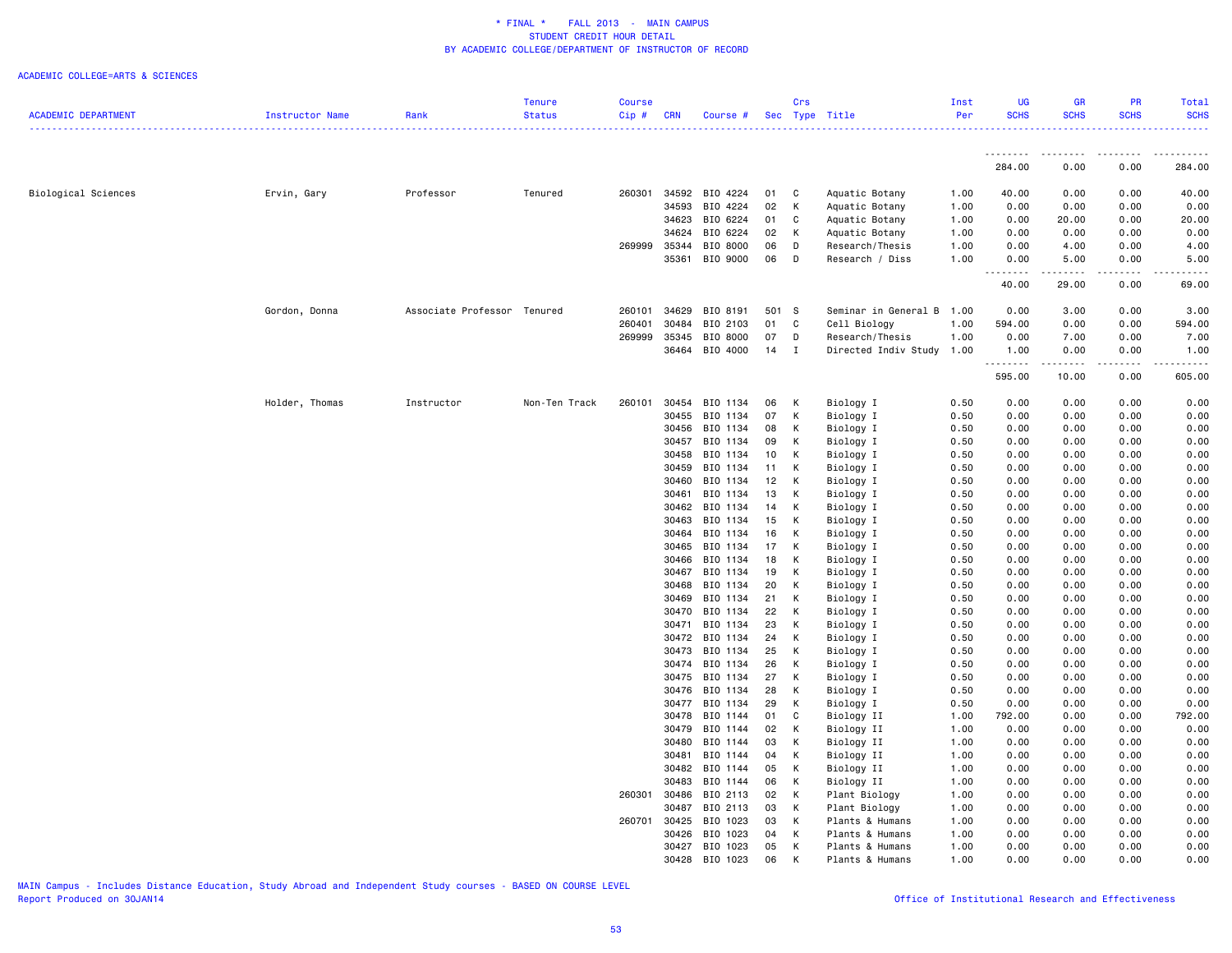|                            |                 |                             | <b>Tenure</b> | <b>Course</b> |            |                |       | Crs          |                      | Inst | <b>UG</b>   | <b>GR</b>          | <b>PR</b>   | Total       |
|----------------------------|-----------------|-----------------------------|---------------|---------------|------------|----------------|-------|--------------|----------------------|------|-------------|--------------------|-------------|-------------|
| <b>ACADEMIC DEPARTMENT</b> | Instructor Name | Rank                        | <b>Status</b> | Cip#          | <b>CRN</b> | Course #       |       |              | Sec Type Title       | Per  | <b>SCHS</b> | <b>SCHS</b>        | <b>SCHS</b> | <b>SCHS</b> |
|                            |                 |                             |               |               |            |                |       |              |                      |      |             |                    |             |             |
|                            |                 |                             |               |               |            |                |       |              |                      |      | .<br>284.00 | . <b>.</b><br>0.00 | .<br>0.00   | 284.00      |
| Biological Sciences        | Ervin, Gary     | Professor                   | Tenured       | 260301        | 34592      | BIO 4224       | 01    | C            | Aquatic Botany       | 1.00 | 40.00       | 0.00               | 0.00        | 40.00       |
|                            |                 |                             |               |               | 34593      | BIO 4224       | 02    | К            | Aquatic Botany       | 1.00 | 0.00        | 0.00               | 0.00        | 0.00        |
|                            |                 |                             |               |               | 34623      | BIO 6224       | 01    | C            | Aquatic Botany       | 1.00 | 0.00        | 20.00              | 0.00        | 20.00       |
|                            |                 |                             |               |               | 34624      | BIO 6224       | 02    | К            | Aquatic Botany       | 1.00 | 0.00        | 0.00               | 0.00        | 0.00        |
|                            |                 |                             |               | 269999        | 35344      | BIO 8000       | 06    | D            | Research/Thesis      | 1.00 | 0.00        | 4.00               | 0.00        | 4.00        |
|                            |                 |                             |               |               | 35361      | BIO 9000       | 06    | D            | Research / Diss      | 1.00 | 0.00        | 5.00               | 0.00        | 5.00        |
|                            |                 |                             |               |               |            |                |       |              |                      |      |             |                    |             |             |
|                            |                 |                             |               |               |            |                |       |              |                      |      | 40.00       | 29.00              | 0.00        | 69.00       |
|                            | Gordon, Donna   | Associate Professor Tenured |               | 260101        | 34629      | BIO 8191       | 501 S |              | Seminar in General B | 1.00 | 0.00        | 3.00               | 0.00        | 3.00        |
|                            |                 |                             |               | 260401        | 30484      | BIO 2103       | 01    | C            | Cell Biology         | 1.00 | 594.00      | 0.00               | 0.00        | 594.00      |
|                            |                 |                             |               | 269999        | 35345      | BIO 8000       | 07    | D            | Research/Thesis      | 1.00 | 0.00        | 7.00               | 0.00        | 7.00        |
|                            |                 |                             |               |               |            | 36464 BIO 4000 | 14    | $\mathbf{I}$ | Directed Indiv Study | 1.00 | 1.00        | 0.00               | 0.00        | 1.00        |
|                            |                 |                             |               |               |            |                |       |              |                      |      | .<br>595.00 | .<br>10.00         | .<br>0.00   | .<br>605.00 |
|                            | Holder, Thomas  | Instructor                  | Non-Ten Track | 260101        | 30454      | BIO 1134       | 06    | К            | Biology I            | 0.50 | 0.00        | 0.00               | 0.00        | 0.00        |
|                            |                 |                             |               |               | 30455      | BIO 1134       | 07    | K            | Biology I            | 0.50 | 0.00        | 0.00               | 0.00        | 0.00        |
|                            |                 |                             |               |               | 30456      | BIO 1134       | 08    | K            | Biology I            | 0.50 | 0.00        | 0.00               | 0.00        | 0.00        |
|                            |                 |                             |               |               | 30457      | BIO 1134       | 09    | К            | Biology I            | 0.50 | 0.00        | 0.00               | 0.00        | 0.00        |
|                            |                 |                             |               |               | 30458      | BIO 1134       | 10    | К            | Biology I            | 0.50 | 0.00        | 0.00               | 0.00        | 0.00        |
|                            |                 |                             |               |               | 30459      | BIO 1134       | 11    | K            | Biology I            | 0.50 | 0.00        | 0.00               | 0.00        | 0.00        |
|                            |                 |                             |               |               | 30460      | BIO 1134       | 12    | К            | Biology I            | 0.50 | 0.00        | 0.00               | 0.00        | 0.00        |
|                            |                 |                             |               |               | 30461      | BIO 1134       | 13    | К            | Biology I            | 0.50 | 0.00        | 0.00               | 0.00        | 0.00        |
|                            |                 |                             |               |               | 30462      | BIO 1134       | 14    | К            | Biology I            | 0.50 | 0.00        | 0.00               | 0.00        | 0.00        |
|                            |                 |                             |               |               | 30463      | BIO 1134       | 15    | К            | Biology I            | 0.50 | 0.00        | 0.00               | 0.00        | 0.00        |
|                            |                 |                             |               |               | 30464      | BIO 1134       | 16    | К            | Biology I            | 0.50 | 0.00        | 0.00               | 0.00        | 0.00        |
|                            |                 |                             |               |               | 30465      | BIO 1134       | 17    | К            | Biology I            | 0.50 | 0.00        | 0.00               | 0.00        | 0.00        |
|                            |                 |                             |               |               | 30466      | BIO 1134       | 18    | K            | Biology I            | 0.50 | 0.00        | 0.00               | 0.00        | 0.00        |
|                            |                 |                             |               |               | 30467      | BIO 1134       | 19    | К            | Biology I            | 0.50 | 0.00        | 0.00               | 0.00        | 0.00        |
|                            |                 |                             |               |               | 30468      | BIO 1134       | 20    | К            | Biology I            | 0.50 | 0.00        | 0.00               | 0.00        | 0.00        |
|                            |                 |                             |               |               | 30469      | BIO 1134       | 21    | К            | Biology I            | 0.50 | 0.00        | 0.00               | 0.00        | 0.00        |
|                            |                 |                             |               |               | 30470      | BIO 1134       | 22    | K            | Biology I            | 0.50 | 0.00        | 0.00               | 0.00        | 0.00        |
|                            |                 |                             |               |               | 30471      | BIO 1134       | 23    | K            | Biology I            | 0.50 | 0.00        | 0.00               | 0.00        | 0.00        |
|                            |                 |                             |               |               | 30472      | BIO 1134       | 24    | К            | Biology I            | 0.50 | 0.00        | 0.00               | 0.00        | 0.00        |
|                            |                 |                             |               |               | 30473      | BIO 1134       | 25    | K            | Biology I            | 0.50 | 0.00        | 0.00               | 0.00        | 0.00        |
|                            |                 |                             |               |               | 30474      | BIO 1134       | 26    | K            | Biology I            | 0.50 | 0.00        | 0.00               | 0.00        | 0.00        |
|                            |                 |                             |               |               | 30475      | BIO 1134       | 27    | К            | Biology I            | 0.50 | 0.00        | 0.00               | 0.00        | 0.00        |
|                            |                 |                             |               |               | 30476      | BIO 1134       | 28    | К            | Biology I            | 0.50 | 0.00        | 0.00               | 0.00        | 0.00        |
|                            |                 |                             |               |               | 30477      | BIO 1134       | 29    | K            | Biology I            | 0.50 | 0.00        | 0.00               | 0.00        | 0.00        |
|                            |                 |                             |               |               | 30478      | BIO 1144       | 01    | C            | Biology II           | 1.00 | 792.00      | 0.00               | 0.00        | 792.00      |
|                            |                 |                             |               |               | 30479      | BIO 1144       | 02    | К            | Biology II           | 1.00 | 0.00        | 0.00               | 0.00        | 0.00        |
|                            |                 |                             |               |               | 30480      | BIO 1144       | 03    | Κ            | Biology II           | 1.00 | 0.00        | 0.00               | 0.00        | 0.00        |
|                            |                 |                             |               |               | 30481      | BIO 1144       | 04    | К            | Biology II           | 1.00 | 0.00        | 0.00               | 0.00        | 0.00        |
|                            |                 |                             |               |               | 30482      | BIO 1144       | 05    | К            | Biology II           | 1.00 | 0.00        | 0.00               | 0.00        | 0.00        |
|                            |                 |                             |               |               | 30483      | BIO 1144       | 06    | К            | Biology II           | 1.00 | 0.00        | 0.00               | 0.00        | 0.00        |
|                            |                 |                             |               | 260301        | 30486      | BIO 2113       | 02    | К            | Plant Biology        | 1.00 | 0.00        | 0.00               | 0.00        | 0.00        |
|                            |                 |                             |               |               | 30487      | BIO 2113       | 03    | К            | Plant Biology        | 1.00 | 0.00        | 0.00               | 0.00        | 0.00        |
|                            |                 |                             |               | 260701 30425  |            | BIO 1023       | 03    | К            | Plants & Humans      | 1.00 | 0.00        | 0.00               | 0.00        | 0.00        |
|                            |                 |                             |               |               | 30426      | BIO 1023       | 04    | К            | Plants & Humans      | 1.00 | 0.00        | 0.00               | 0.00        | 0.00        |
|                            |                 |                             |               |               | 30427      | BIO 1023       | 05    | К            | Plants & Humans      | 1.00 | 0.00        | 0.00               | 0.00        | 0.00        |
|                            |                 |                             |               |               | 30428      | BIO 1023       | 06    | K            | Plants & Humans      | 1.00 | 0.00        | 0.00               | 0.00        | 0.00        |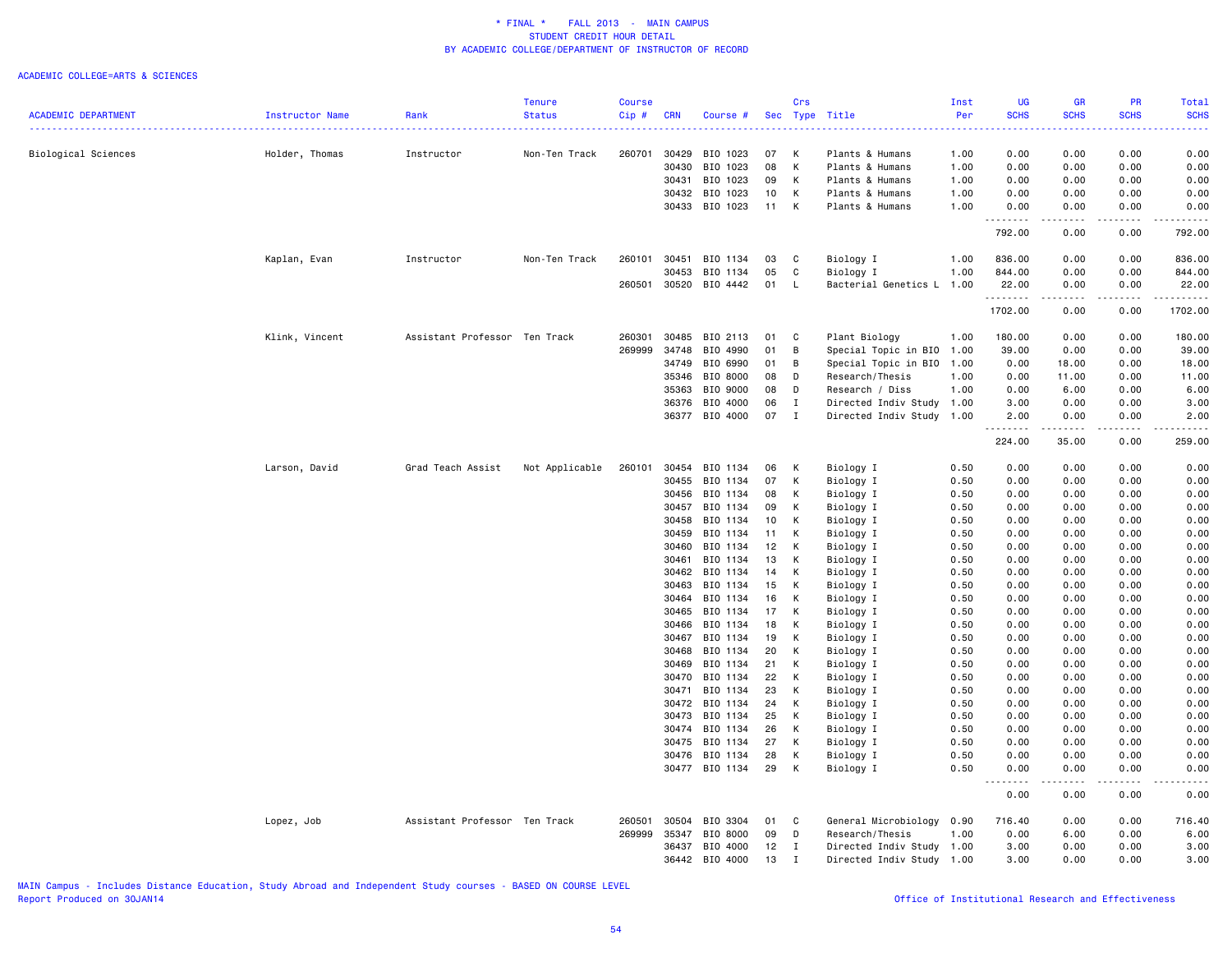### ACADEMIC COLLEGE=ARTS & SCIENCES

|                            |                 |                               | <b>Tenure</b>  | <b>Course</b> |                |                      |          | Crs                        |                                    | Inst         | UG                       | <b>GR</b>                                                                                                                 | PR                                                                                                                                                           | Total         |
|----------------------------|-----------------|-------------------------------|----------------|---------------|----------------|----------------------|----------|----------------------------|------------------------------------|--------------|--------------------------|---------------------------------------------------------------------------------------------------------------------------|--------------------------------------------------------------------------------------------------------------------------------------------------------------|---------------|
| <b>ACADEMIC DEPARTMENT</b> | Instructor Name | Rank                          | <b>Status</b>  | Cip#          | <b>CRN</b>     | Course #             |          |                            | Sec Type Title                     | Per          | <b>SCHS</b>              | <b>SCHS</b>                                                                                                               | <b>SCHS</b>                                                                                                                                                  | <b>SCHS</b>   |
|                            |                 |                               |                |               |                |                      |          |                            |                                    |              |                          |                                                                                                                           |                                                                                                                                                              |               |
| Biological Sciences        | Holder, Thomas  | Instructor                    | Non-Ten Track  | 260701        | 30429<br>30430 | BIO 1023<br>BIO 1023 | 07<br>08 | K<br>K                     | Plants & Humans                    | 1.00         | 0.00                     | 0.00                                                                                                                      | 0.00                                                                                                                                                         | 0.00          |
|                            |                 |                               |                |               | 30431          | BIO 1023             | 09       | K                          | Plants & Humans<br>Plants & Humans | 1.00<br>1.00 | 0.00<br>0.00             | 0.00<br>0.00                                                                                                              | 0.00<br>0.00                                                                                                                                                 | 0.00<br>0.00  |
|                            |                 |                               |                |               |                | 30432 BIO 1023       | 10       | K                          | Plants & Humans                    | 1.00         | 0.00                     | 0.00                                                                                                                      | 0.00                                                                                                                                                         | 0.00          |
|                            |                 |                               |                |               | 30433          | BIO 1023             | 11       | K                          | Plants & Humans                    | 1.00         | 0.00                     | 0.00                                                                                                                      | 0.00                                                                                                                                                         | 0.00          |
|                            |                 |                               |                |               |                |                      |          |                            |                                    |              | <u>.</u> .               | $\frac{1}{2} \left( \frac{1}{2} \right) \left( \frac{1}{2} \right) \left( \frac{1}{2} \right) \left( \frac{1}{2} \right)$ | .                                                                                                                                                            | $- - - - - -$ |
|                            |                 |                               |                |               |                |                      |          |                            |                                    |              | 792.00                   | 0.00                                                                                                                      | 0.00                                                                                                                                                         | 792.00        |
|                            | Kaplan, Evan    | Instructor                    | Non-Ten Track  | 260101        | 30451          | BIO 1134             | 03       | $\mathbf{C}$               | Biology I                          | 1.00         | 836.00                   | 0.00                                                                                                                      | 0.00                                                                                                                                                         | 836.00        |
|                            |                 |                               |                |               | 30453          | BIO 1134             | 05       | $\mathbf{C}$               | Biology I                          | 1.00         | 844.00                   | 0.00                                                                                                                      | 0.00                                                                                                                                                         | 844.00        |
|                            |                 |                               |                | 260501        |                | 30520 BIO 4442       | 01       | - L                        | Bacterial Genetics L               | 1.00         | 22.00<br>.               | 0.00<br>.                                                                                                                 | 0.00                                                                                                                                                         | 22.00         |
|                            |                 |                               |                |               |                |                      |          |                            |                                    |              | 1702.00                  | 0.00                                                                                                                      | 0.00                                                                                                                                                         | 1702.00       |
|                            | Klink, Vincent  | Assistant Professor Ten Track |                | 260301        | 30485          | BIO 2113             | 01       | $\overline{\phantom{a}}$ C | Plant Biology                      | 1.00         | 180.00                   | 0.00                                                                                                                      | 0.00                                                                                                                                                         | 180.00        |
|                            |                 |                               |                | 269999        | 34748          | BIO 4990             | 01       | B                          | Special Topic in BIO               | 1.00         | 39.00                    | 0.00                                                                                                                      | 0.00                                                                                                                                                         | 39.00         |
|                            |                 |                               |                |               | 34749          | BIO 6990             | 01       | B                          | Special Topic in BIO               | 1.00         | 0.00                     | 18.00                                                                                                                     | 0.00                                                                                                                                                         | 18.00         |
|                            |                 |                               |                |               | 35346          | BIO 8000             | 08       | D                          | Research/Thesis                    | 1.00         | 0.00                     | 11.00                                                                                                                     | 0.00                                                                                                                                                         | 11.00         |
|                            |                 |                               |                |               | 35363          | BIO 9000             | 08       | D                          | Research / Diss                    | 1.00         | 0.00                     | 6.00                                                                                                                      | 0.00                                                                                                                                                         | 6.00          |
|                            |                 |                               |                |               | 36376          | BIO 4000             | 06       | $\mathbf{I}$               | Directed Indiv Study 1.00          |              | 3.00                     | 0.00                                                                                                                      | 0.00                                                                                                                                                         | 3.00          |
|                            |                 |                               |                |               |                | 36377 BIO 4000       | 07       | $\mathbf{I}$               | Directed Indiv Study               | 1.00         | 2.00<br>-----<br>$- - -$ | 0.00<br>.                                                                                                                 | 0.00<br>.                                                                                                                                                    | 2.00          |
|                            |                 |                               |                |               |                |                      |          |                            |                                    |              | 224.00                   | 35.00                                                                                                                     | 0.00                                                                                                                                                         | 259.00        |
|                            | Larson, David   | Grad Teach Assist             | Not Applicable | 260101        | 30454          | BIO 1134             | 06       | K                          | Biology I                          | 0.50         | 0.00                     | 0.00                                                                                                                      | 0.00                                                                                                                                                         | 0.00          |
|                            |                 |                               |                |               | 30455          | BIO 1134             | 07       | К                          | Biology I                          | 0.50         | 0.00                     | 0.00                                                                                                                      | 0.00                                                                                                                                                         | 0.00          |
|                            |                 |                               |                |               | 30456          | BIO 1134             | 08       | K                          | Biology I                          | 0.50         | 0.00                     | 0.00                                                                                                                      | 0.00                                                                                                                                                         | 0.00          |
|                            |                 |                               |                |               | 30457          | BIO 1134             | 09       | к                          | Biology I                          | 0.50         | 0.00                     | 0.00                                                                                                                      | 0.00                                                                                                                                                         | 0.00          |
|                            |                 |                               |                |               | 30458          | BIO 1134             | 10       | K                          | Biology I                          | 0.50         | 0.00                     | 0.00                                                                                                                      | 0.00                                                                                                                                                         | 0.00          |
|                            |                 |                               |                |               | 30459          | BIO 1134             | 11       | K                          | Biology I                          | 0.50         | 0.00                     | 0.00                                                                                                                      | 0.00                                                                                                                                                         | 0.00          |
|                            |                 |                               |                |               | 30460          | BIO 1134             | 12       | $\mathsf{K}$               | Biology I                          | 0.50         | 0.00                     | 0.00                                                                                                                      | 0.00                                                                                                                                                         | 0.00          |
|                            |                 |                               |                |               | 30461          | BIO 1134             | 13       | K                          | Biology I                          | 0.50         | 0.00                     | 0.00                                                                                                                      | 0.00                                                                                                                                                         | 0.00          |
|                            |                 |                               |                |               | 30462          | BIO 1134             | 14       | K                          | Biology I                          | 0.50         | 0.00                     | 0.00                                                                                                                      | 0.00                                                                                                                                                         | 0.00          |
|                            |                 |                               |                |               | 30463          | BIO 1134             | 15       | K                          | Biology I                          | 0.50         | 0.00                     | 0.00                                                                                                                      | 0.00                                                                                                                                                         | 0.00          |
|                            |                 |                               |                |               | 30464          | BIO 1134             | 16       | K                          | Biology I                          | 0.50         | 0.00                     | 0.00                                                                                                                      | 0.00                                                                                                                                                         | 0.00          |
|                            |                 |                               |                |               | 30465          | BIO 1134             | 17       | K                          | Biology I                          | 0.50         | 0.00                     | 0.00                                                                                                                      | 0.00                                                                                                                                                         | 0.00          |
|                            |                 |                               |                |               | 30466          | BIO 1134             | 18       | K                          | Biology I                          | 0.50         | 0.00                     | 0.00                                                                                                                      | 0.00                                                                                                                                                         | 0.00          |
|                            |                 |                               |                |               | 30467          | BIO 1134             | 19       | K                          | Biology I                          | 0.50         | 0.00                     | 0.00                                                                                                                      | 0.00                                                                                                                                                         | 0.00          |
|                            |                 |                               |                |               | 30468          | BIO 1134             | 20       | К                          | Biology I                          | 0.50         | 0.00                     | 0.00                                                                                                                      | 0.00                                                                                                                                                         | 0.00          |
|                            |                 |                               |                |               | 30469          | BIO 1134             | 21       | K                          | Biology I                          | 0.50         | 0.00                     | 0.00                                                                                                                      | 0.00                                                                                                                                                         | 0.00          |
|                            |                 |                               |                |               | 30470          | BIO 1134<br>BIO 1134 | 22       | К<br>K                     | Biology I                          | 0.50         | 0.00                     | 0.00                                                                                                                      | 0.00                                                                                                                                                         | 0.00          |
|                            |                 |                               |                |               | 30471<br>30472 | BIO 1134             | 23<br>24 | к                          | Biology I                          | 0.50<br>0.50 | 0.00<br>0.00             | 0.00<br>0.00                                                                                                              | 0.00<br>0.00                                                                                                                                                 | 0.00<br>0.00  |
|                            |                 |                               |                |               | 30473          | BIO 1134             | 25       | K                          | Biology I<br>Biology I             | 0.50         | 0.00                     | 0.00                                                                                                                      | 0.00                                                                                                                                                         | 0.00          |
|                            |                 |                               |                |               | 30474          | BIO 1134             | 26       | K                          | Biology I                          | 0.50         | 0.00                     | 0.00                                                                                                                      | 0.00                                                                                                                                                         | 0.00          |
|                            |                 |                               |                |               | 30475          | BIO 1134             | 27       | K                          | Biology I                          | 0.50         | 0.00                     | 0.00                                                                                                                      | 0.00                                                                                                                                                         | 0.00          |
|                            |                 |                               |                |               | 30476          | BIO 1134             | 28       | к                          | Biology I                          | 0.50         | 0.00                     | 0.00                                                                                                                      | 0.00                                                                                                                                                         | 0.00          |
|                            |                 |                               |                |               |                | 30477 BIO 1134       | 29       | K                          | Biology I                          | 0.50         | 0.00                     | 0.00                                                                                                                      | 0.00                                                                                                                                                         | 0.00          |
|                            |                 |                               |                |               |                |                      |          |                            |                                    |              | .<br>0.00                | .<br>0.00                                                                                                                 | $\frac{1}{2} \left( \frac{1}{2} \right) \left( \frac{1}{2} \right) \left( \frac{1}{2} \right) \left( \frac{1}{2} \right) \left( \frac{1}{2} \right)$<br>0.00 | 0.00          |
|                            | Lopez, Job      | Assistant Professor Ten Track |                | 260501        | 30504          | BIO 3304             | 01       | C                          | General Microbiology               | 0.90         | 716.40                   | 0.00                                                                                                                      | 0.00                                                                                                                                                         | 716.40        |
|                            |                 |                               |                | 269999        | 35347          | BIO 8000             | 09       | D                          | Research/Thesis                    | 1.00         | 0.00                     | 6.00                                                                                                                      | 0.00                                                                                                                                                         | 6.00          |
|                            |                 |                               |                |               | 36437          | BIO 4000             | 12       | $\mathbf{I}$               | Directed Indiv Study 1.00          |              | 3.00                     | 0.00                                                                                                                      | 0.00                                                                                                                                                         | 3.00          |
|                            |                 |                               |                |               |                | 36442 BIO 4000       | 13       | $\mathbf{I}$               | Directed Indiv Study 1.00          |              | 3.00                     | 0.00                                                                                                                      | 0.00                                                                                                                                                         | 3.00          |
|                            |                 |                               |                |               |                |                      |          |                            |                                    |              |                          |                                                                                                                           |                                                                                                                                                              |               |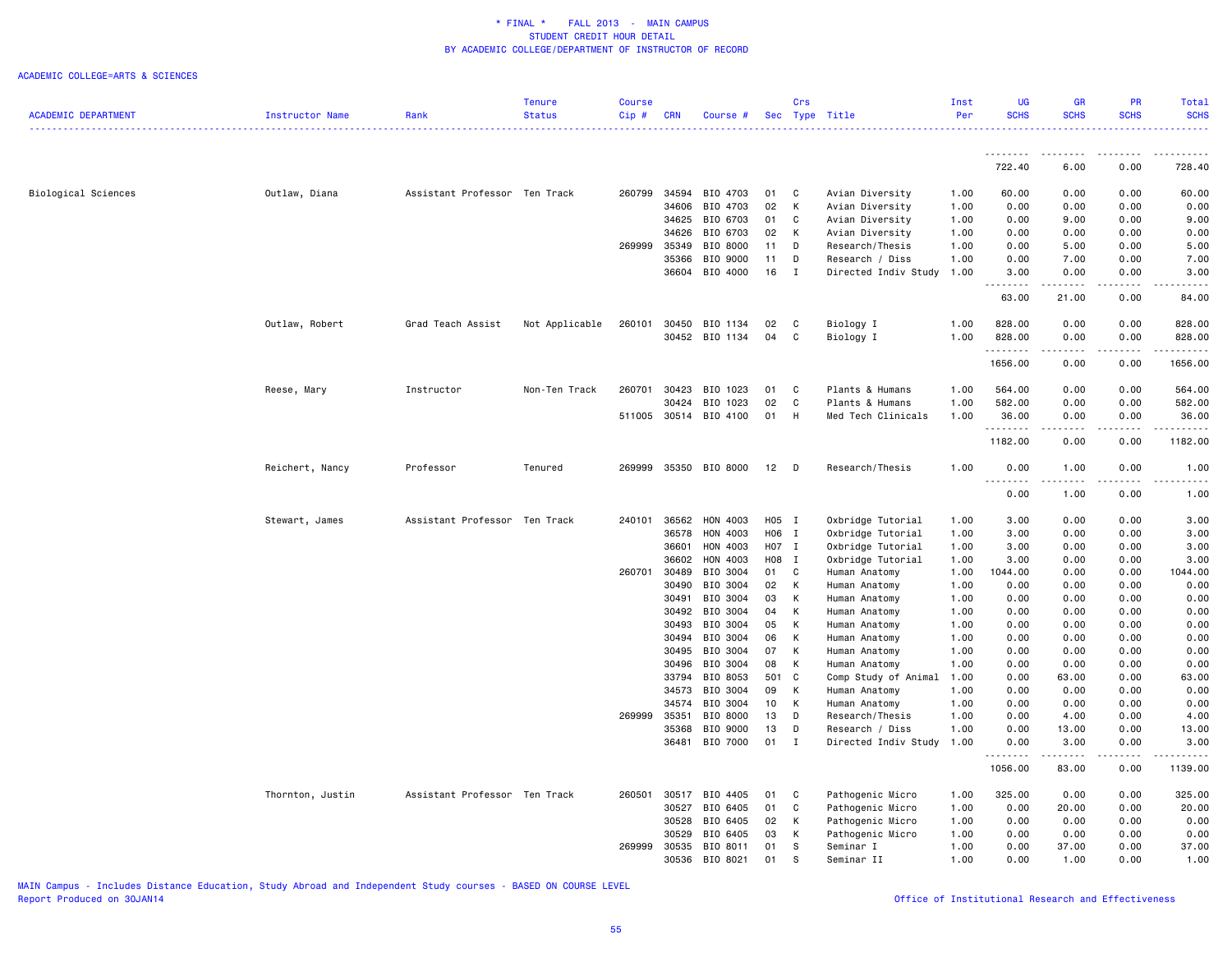### ACADEMIC COLLEGE=ARTS & SCIENCES

|                            |                  |                               | <b>Tenure</b>  | Course |                |                       |                       | Crs                 |                                         | Inst         | <b>UG</b>           | <b>GR</b>                           | <b>PR</b>     | Total            |
|----------------------------|------------------|-------------------------------|----------------|--------|----------------|-----------------------|-----------------------|---------------------|-----------------------------------------|--------------|---------------------|-------------------------------------|---------------|------------------|
| <b>ACADEMIC DEPARTMENT</b> | Instructor Name  | Rank                          | <b>Status</b>  | Cip#   | <b>CRN</b>     | Course #              |                       |                     | Sec Type Title                          | Per          | <b>SCHS</b>         | <b>SCHS</b>                         | <b>SCHS</b>   | <b>SCHS</b><br>. |
|                            |                  |                               |                |        |                |                       |                       |                     |                                         |              |                     |                                     | <u>.</u>      | .                |
|                            |                  |                               |                |        |                |                       |                       |                     |                                         |              | 722.40              | 6.00                                | 0.00          | 728.40           |
| Biological Sciences        | Outlaw, Diana    | Assistant Professor Ten Track |                | 260799 |                | 34594 BIO 4703        | 01                    | $\mathbf{C}$        | Avian Diversity                         | 1.00         | 60.00               | 0.00                                | 0.00          | 60.00            |
|                            |                  |                               |                |        | 34606          | BIO 4703              | 02                    | K                   | Avian Diversity                         | 1.00         | 0.00                | 0.00                                | 0.00          | 0.00             |
|                            |                  |                               |                |        | 34625          | BIO 6703              | 01                    | C                   | Avian Diversity                         | 1.00         | 0.00                | 9.00                                | 0.00          | 9.00             |
|                            |                  |                               |                |        | 34626          | BIO 6703              | 02                    | K                   | Avian Diversity                         | 1.00         | 0.00                | 0.00                                | 0.00          | 0.00             |
|                            |                  |                               |                | 269999 | 35349          | BIO 8000              | 11                    | D                   | Research/Thesis                         | 1.00         | 0.00                | 5.00                                | 0.00          | 5.00             |
|                            |                  |                               |                |        | 35366          | BIO 9000              | 11                    | D                   | Research / Diss                         | 1.00         | 0.00                | 7.00                                | 0.00          | 7.00             |
|                            |                  |                               |                |        |                | 36604 BIO 4000        | 16                    | $\mathbf{I}$        | Directed Indiv Study                    | 1.00         | 3.00                | 0.00                                | 0.00          | 3.00             |
|                            |                  |                               |                |        |                |                       |                       |                     |                                         |              | 63.00               | 21.00                               | 0.00          | 84.00            |
|                            | Outlaw, Robert   | Grad Teach Assist             | Not Applicable | 260101 |                | 30450 BIO 1134        | 02                    | C <sub>1</sub>      | Biology I                               | 1.00         | 828.00              | 0.00                                | 0.00          | 828.00           |
|                            |                  |                               |                |        |                | 30452 BIO 1134        | 04                    | C                   | Biology I                               | 1.00         | 828.00              | 0.00                                | 0.00          | 828.00           |
|                            |                  |                               |                |        |                |                       |                       |                     |                                         |              | .                   | .                                   | -----         | .                |
|                            |                  |                               |                |        |                |                       |                       |                     |                                         |              | 1656.00             | 0.00                                | 0.00          | 1656.00          |
|                            | Reese, Mary      | Instructor                    | Non-Ten Track  | 260701 |                | 30423 BIO 1023        | 01                    | $\mathbf{C}$        | Plants & Humans                         | 1.00         | 564.00              | 0.00                                | 0.00          | 564.00           |
|                            |                  |                               |                |        | 30424          | BIO 1023              | 02                    | C                   | Plants & Humans                         | 1.00         | 582.00              | 0.00                                | 0.00          | 582.00           |
|                            |                  |                               |                |        |                | 511005 30514 BIO 4100 | 01                    | H                   | Med Tech Clinicals                      | 1.00         | 36.00<br>. <b>.</b> | 0.00<br>.                           | 0.00          | 36.00            |
|                            |                  |                               |                |        |                |                       |                       |                     |                                         |              | 1182.00             | 0.00                                | 0.00          | 1182.00          |
|                            | Reichert, Nancy  | Professor                     | Tenured        | 269999 |                | 35350 BIO 8000        | $12$ D                |                     | Research/Thesis                         | 1.00         | 0.00                | 1.00                                | 0.00          | 1.00             |
|                            |                  |                               |                |        |                |                       |                       |                     |                                         |              | .<br>0.00           | $\sim$ $\sim$ $\sim$ $\sim$<br>1.00 | .<br>0.00     | 1.00             |
|                            | Stewart, James   | Assistant Professor Ten Track |                | 240101 | 36562          | HON 4003              | H05 I                 |                     | Oxbridge Tutorial                       | 1.00         | 3.00                | 0.00                                | 0.00          | 3.00             |
|                            |                  |                               |                |        | 36578          | HON 4003              | H06 I                 |                     | Oxbridge Tutorial                       | 1.00         | 3.00                | 0.00                                | 0.00          | 3.00             |
|                            |                  |                               |                |        | 36601          | HON 4003              | H07 I                 |                     | Oxbridge Tutorial                       | 1.00         | 3.00                | 0.00                                | 0.00          | 3.00             |
|                            |                  |                               |                |        | 36602          | HON 4003              | H08 I                 |                     | Oxbridge Tutorial                       | 1.00         | 3.00                | 0.00                                | 0.00          | 3.00             |
|                            |                  |                               |                | 260701 | 30489          | BIO 3004              | 01 C                  |                     | Human Anatomy                           | 1.00         | 1044.00             | 0.00                                | 0.00          | 1044.00          |
|                            |                  |                               |                |        | 30490          | BIO 3004              | 02 K                  |                     | Human Anatomy                           | 1.00         | 0.00                | 0.00                                | 0.00          | 0.00             |
|                            |                  |                               |                |        | 30491          | BIO 3004              | 03                    | K                   | Human Anatomy                           | 1.00         | 0.00                | 0.00                                | 0.00          | 0.00             |
|                            |                  |                               |                |        | 30492          | BIO 3004              | 04                    | K                   | Human Anatomy                           | 1.00         | 0.00                | 0.00                                | 0.00          | 0.00             |
|                            |                  |                               |                |        | 30493          | BIO 3004              | 05                    | K                   | Human Anatomy                           | 1.00         | 0.00                | 0.00                                | 0.00          | 0.00             |
|                            |                  |                               |                |        | 30494          | BIO 3004              | 06                    | K                   | Human Anatomy                           | 1.00         | 0.00                | 0.00                                | 0.00          | 0.00             |
|                            |                  |                               |                |        | 30495          | BIO 3004              | 07                    | K                   | Human Anatomy                           | 1.00         | 0.00                | 0.00                                | 0.00          | 0.00             |
|                            |                  |                               |                |        | 30496          | BIO 3004              | 08                    | K                   | Human Anatomy                           | 1.00         | 0.00                | 0.00                                | 0.00          | 0.00             |
|                            |                  |                               |                |        |                | 33794 BIO 8053        | 501 C                 |                     | Comp Study of Animal                    | 1.00         | 0.00                | 63.00                               | 0.00          | 63.00            |
|                            |                  |                               |                |        | 34573          | BIO 3004              | 09                    | K                   | Human Anatomy                           | 1.00         | 0.00                | 0.00                                | 0.00          | 0.00             |
|                            |                  |                               |                |        | 34574          | BIO 3004<br>BIO 8000  | 10 <sub>1</sub><br>13 | K<br>D              | Human Anatomy                           | 1.00<br>1.00 | 0.00<br>0.00        | 0.00                                | 0.00          | 0.00             |
|                            |                  |                               |                | 269999 | 35351<br>35368 | BIO 9000              | 13                    |                     | Research/Thesis                         | 1.00         | 0.00                | 4.00<br>13.00                       | 0.00<br>0.00  | 4.00<br>13.00    |
|                            |                  |                               |                |        | 36481          | BIO 7000              | 01                    | D<br>$\blacksquare$ | Research / Diss<br>Directed Indiv Study | 1.00         | 0.00                | 3.00                                | 0.00          | 3.00             |
|                            |                  |                               |                |        |                |                       |                       |                     |                                         |              | <u>.</u><br>1056.00 | .<br>83.00                          | -----<br>0.00 | 1139.00          |
|                            |                  |                               |                |        |                |                       |                       |                     |                                         |              |                     |                                     |               |                  |
|                            | Thornton, Justin | Assistant Professor Ten Track |                | 260501 | 30517<br>30527 | BIO 4405<br>BIO 6405  | 01<br>01              | C<br>C              | Pathogenic Micro                        | 1.00<br>1.00 | 325.00<br>0.00      | 0.00<br>20.00                       | 0.00<br>0.00  | 325.00<br>20.00  |
|                            |                  |                               |                |        | 30528          | BIO 6405              | 02                    | K                   | Pathogenic Micro<br>Pathogenic Micro    | 1.00         | 0.00                | 0.00                                | 0.00          | 0.00             |
|                            |                  |                               |                |        | 30529          | BIO 6405              | 03                    | K                   | Pathogenic Micro                        | 1.00         | 0.00                | 0.00                                | 0.00          | 0.00             |
|                            |                  |                               |                | 269999 |                | 30535 BIO 8011        | 01                    | s                   | Seminar I                               | 1.00         | 0.00                | 37.00                               | 0.00          | 37.00            |
|                            |                  |                               |                |        |                | 30536 BIO 8021        | 01                    | S                   | Seminar II                              | 1.00         | 0.00                | 1.00                                | 0.00          | 1.00             |
|                            |                  |                               |                |        |                |                       |                       |                     |                                         |              |                     |                                     |               |                  |

MAIN Campus - Includes Distance Education, Study Abroad and Independent Study courses - BASED ON COURSE LEVEL

# Office of Institutional Research and Effectiveness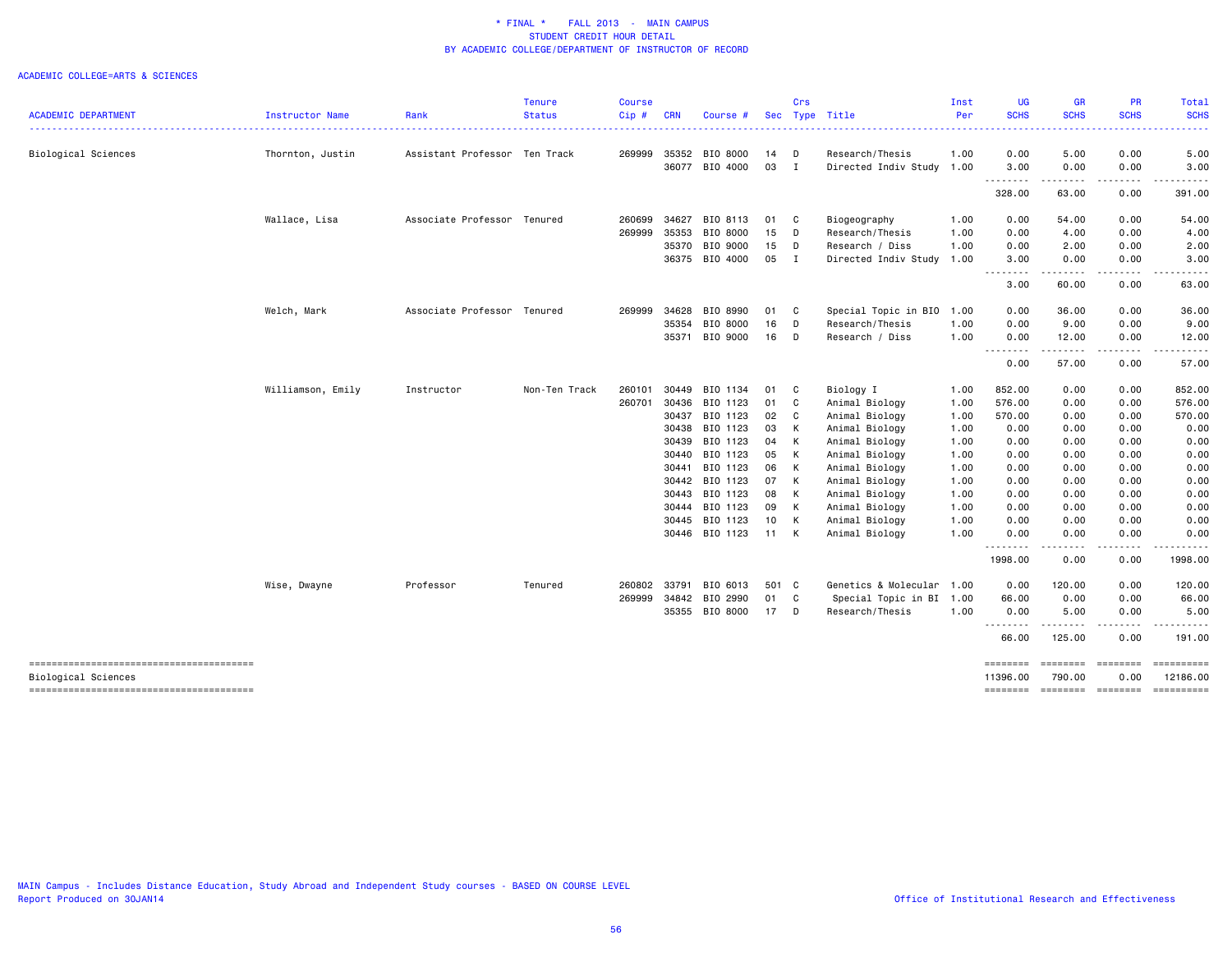|                                                               |                   |                               | <b>Tenure</b> | <b>Course</b> |            |                |                 | Crs          |                           | Inst | <b>UG</b>            | <b>GR</b>                                                                                                                                                                                                                                                                                                                                                                                                                                                                              | PR                             | Total                  |
|---------------------------------------------------------------|-------------------|-------------------------------|---------------|---------------|------------|----------------|-----------------|--------------|---------------------------|------|----------------------|----------------------------------------------------------------------------------------------------------------------------------------------------------------------------------------------------------------------------------------------------------------------------------------------------------------------------------------------------------------------------------------------------------------------------------------------------------------------------------------|--------------------------------|------------------------|
| <b>ACADEMIC DEPARTMENT</b>                                    | Instructor Name   | Rank                          | <b>Status</b> | Cip#          | <b>CRN</b> | Course #       | Sec             |              | Type Title                | Per  | <b>SCHS</b>          | <b>SCHS</b><br>-----                                                                                                                                                                                                                                                                                                                                                                                                                                                                   | <b>SCHS</b>                    | <b>SCHS</b><br>-----   |
| Biological Sciences                                           | Thornton, Justin  | Assistant Professor Ten Track |               | 269999        |            | 35352 BIO 8000 | 14 D            |              | Research/Thesis           | 1.00 | 0.00                 | 5.00                                                                                                                                                                                                                                                                                                                                                                                                                                                                                   | 0.00                           | 5.00                   |
|                                                               |                   |                               |               |               |            | 36077 BIO 4000 | 03              | $\mathbf{I}$ | Directed Indiv Study 1.00 |      | 3.00                 | 0.00                                                                                                                                                                                                                                                                                                                                                                                                                                                                                   | 0.00                           | 3.00                   |
|                                                               |                   |                               |               |               |            |                |                 |              |                           |      | .<br>328.00          | .<br>63.00                                                                                                                                                                                                                                                                                                                                                                                                                                                                             | $\cdots \cdots \cdots$<br>0.00 | ------<br>391.00       |
|                                                               | Wallace, Lisa     | Associate Professor Tenured   |               | 260699        | 34627      | BIO 8113       | 01 C            |              | Biogeography              | 1.00 | 0.00                 | 54.00                                                                                                                                                                                                                                                                                                                                                                                                                                                                                  | 0.00                           | 54.00                  |
|                                                               |                   |                               |               | 269999        | 35353      | BIO 8000       | 15              | $\mathsf{D}$ | Research/Thesis           | 1.00 | 0.00                 | 4.00                                                                                                                                                                                                                                                                                                                                                                                                                                                                                   | 0.00                           | 4.00                   |
|                                                               |                   |                               |               |               | 35370      | BIO 9000       | 15              | $\mathsf{D}$ | Research / Diss           | 1.00 | 0.00                 | 2.00                                                                                                                                                                                                                                                                                                                                                                                                                                                                                   | 0.00                           | 2.00                   |
|                                                               |                   |                               |               |               |            | 36375 BIO 4000 | 05 I            |              | Directed Indiv Study      | 1.00 | 3.00                 | 0.00                                                                                                                                                                                                                                                                                                                                                                                                                                                                                   | 0.00                           | 3.00                   |
|                                                               |                   |                               |               |               |            |                |                 |              |                           |      | -----<br>3.00        | $\frac{1}{2} \left( \frac{1}{2} \right) \left( \frac{1}{2} \right) \left( \frac{1}{2} \right) \left( \frac{1}{2} \right)$<br>60.00                                                                                                                                                                                                                                                                                                                                                     | 0.00                           | 63.00                  |
|                                                               | Welch, Mark       | Associate Professor Tenured   |               | 269999        | 34628      | BIO 8990       | 01              | - C          | Special Topic in BIO      | 1.00 | 0.00                 | 36.00                                                                                                                                                                                                                                                                                                                                                                                                                                                                                  | 0.00                           | 36.00                  |
|                                                               |                   |                               |               |               | 35354      | BIO 8000       | 16              | D            | Research/Thesis           | 1.00 | 0.00                 | 9.00                                                                                                                                                                                                                                                                                                                                                                                                                                                                                   | 0.00                           | 9.00                   |
|                                                               |                   |                               |               |               | 35371      | BIO 9000       | 16 D            |              | Research / Diss           | 1.00 | 0.00                 | 12.00                                                                                                                                                                                                                                                                                                                                                                                                                                                                                  | 0.00                           | 12.00                  |
|                                                               |                   |                               |               |               |            |                |                 |              |                           |      | .<br>0.00            | .<br>57.00                                                                                                                                                                                                                                                                                                                                                                                                                                                                             | -----<br>0.00                  | .<br>57.00             |
|                                                               | Williamson, Emily | Instructor                    | Non-Ten Track | 260101        | 30449      | BIO 1134       | 01 C            |              | Biology I                 | 1.00 | 852.00               | 0.00                                                                                                                                                                                                                                                                                                                                                                                                                                                                                   | 0.00                           | 852.00                 |
|                                                               |                   |                               |               | 260701        | 30436      | BIO 1123       | 01              | C            | Animal Biology            | 1.00 | 576.00               | 0.00                                                                                                                                                                                                                                                                                                                                                                                                                                                                                   | 0.00                           | 576.00                 |
|                                                               |                   |                               |               |               | 30437      | BIO 1123       | 02              | C            | Animal Biology            | 1.00 | 570.00               | 0.00                                                                                                                                                                                                                                                                                                                                                                                                                                                                                   | 0.00                           | 570.00                 |
|                                                               |                   |                               |               |               | 30438      | BIO 1123       | 03              | K            | Animal Biology            | 1.00 | 0.00                 | 0.00                                                                                                                                                                                                                                                                                                                                                                                                                                                                                   | 0.00                           | 0.00                   |
|                                                               |                   |                               |               |               | 30439      | BIO 1123       | 04              | К            | Animal Biology            | 1.00 | 0.00                 | 0.00                                                                                                                                                                                                                                                                                                                                                                                                                                                                                   | 0.00                           | 0.00                   |
|                                                               |                   |                               |               |               | 30440      | BIO 1123       | 05              | К            | Animal Biology            | 1.00 | 0.00                 | 0.00                                                                                                                                                                                                                                                                                                                                                                                                                                                                                   | 0.00                           | 0.00                   |
|                                                               |                   |                               |               |               | 30441      | BIO 1123       | 06              | К            | Animal Biology            | 1.00 | 0.00                 | 0.00                                                                                                                                                                                                                                                                                                                                                                                                                                                                                   | 0.00                           | 0.00                   |
|                                                               |                   |                               |               |               |            | 30442 BIO 1123 | 07              | K            | Animal Biology            | 1.00 | 0.00                 | 0.00                                                                                                                                                                                                                                                                                                                                                                                                                                                                                   | 0.00                           | 0.00                   |
|                                                               |                   |                               |               |               | 30443      | BIO 1123       | 08              | K            | Animal Biology            | 1.00 | 0.00                 | 0.00                                                                                                                                                                                                                                                                                                                                                                                                                                                                                   | 0.00                           | 0.00                   |
|                                                               |                   |                               |               |               | 30444      | BIO 1123       | 09              | К            | Animal Biology            | 1.00 | 0.00                 | 0.00                                                                                                                                                                                                                                                                                                                                                                                                                                                                                   | 0.00                           | 0.00                   |
|                                                               |                   |                               |               |               |            | 30445 BIO 1123 | 10 <sub>1</sub> | K            | Animal Biology            | 1.00 | 0.00                 | 0.00                                                                                                                                                                                                                                                                                                                                                                                                                                                                                   | 0.00                           | 0.00                   |
|                                                               |                   |                               |               |               |            | 30446 BIO 1123 | 11 K            |              | Animal Biology            | 1.00 | 0.00                 | 0.00                                                                                                                                                                                                                                                                                                                                                                                                                                                                                   | 0.00                           | 0.00                   |
|                                                               |                   |                               |               |               |            |                |                 |              |                           |      | <u>.</u><br>1998.00  | $- - -$<br>0.00                                                                                                                                                                                                                                                                                                                                                                                                                                                                        | 0.00                           | 1998.00                |
|                                                               | Wise, Dwayne      | Professor                     | Tenured       | 260802        | 33791      | BIO 6013       | 501 C           |              | Genetics & Molecular      | 1.00 | 0.00                 | 120.00                                                                                                                                                                                                                                                                                                                                                                                                                                                                                 | 0.00                           | 120.00                 |
|                                                               |                   |                               |               | 269999        | 34842      | BIO 2990       | 01 C            |              | Special Topic in BI       | 1.00 | 66.00                | 0.00                                                                                                                                                                                                                                                                                                                                                                                                                                                                                   | 0.00                           | 66.00                  |
|                                                               |                   |                               |               |               |            | 35355 BIO 8000 | 17 D            |              | Research/Thesis           | 1.00 | 0.00                 | 5.00                                                                                                                                                                                                                                                                                                                                                                                                                                                                                   | 0.00                           | 5.00                   |
|                                                               |                   |                               |               |               |            |                |                 |              |                           |      | 66.00                | .<br>125.00                                                                                                                                                                                                                                                                                                                                                                                                                                                                            | 0.00                           | 191.00                 |
| --------------------------------------<br>Biological Sciences |                   |                               |               |               |            |                |                 |              |                           |      | ========<br>11396.00 | ========<br>790.00                                                                                                                                                                                                                                                                                                                                                                                                                                                                     | <b>ESSESSES</b><br>0.00        | ==========<br>12186.00 |
| --------------------------------------                        |                   |                               |               |               |            |                |                 |              |                           |      | ========             | $\begin{array}{cccccccccc} \multicolumn{2}{c}{} & \multicolumn{2}{c}{} & \multicolumn{2}{c}{} & \multicolumn{2}{c}{} & \multicolumn{2}{c}{} & \multicolumn{2}{c}{} & \multicolumn{2}{c}{} & \multicolumn{2}{c}{} & \multicolumn{2}{c}{} & \multicolumn{2}{c}{} & \multicolumn{2}{c}{} & \multicolumn{2}{c}{} & \multicolumn{2}{c}{} & \multicolumn{2}{c}{} & \multicolumn{2}{c}{} & \multicolumn{2}{c}{} & \multicolumn{2}{c}{} & \multicolumn{2}{c}{} & \multicolumn{2}{c}{} & \mult$ | <b>ESSESSES</b>                | ==========             |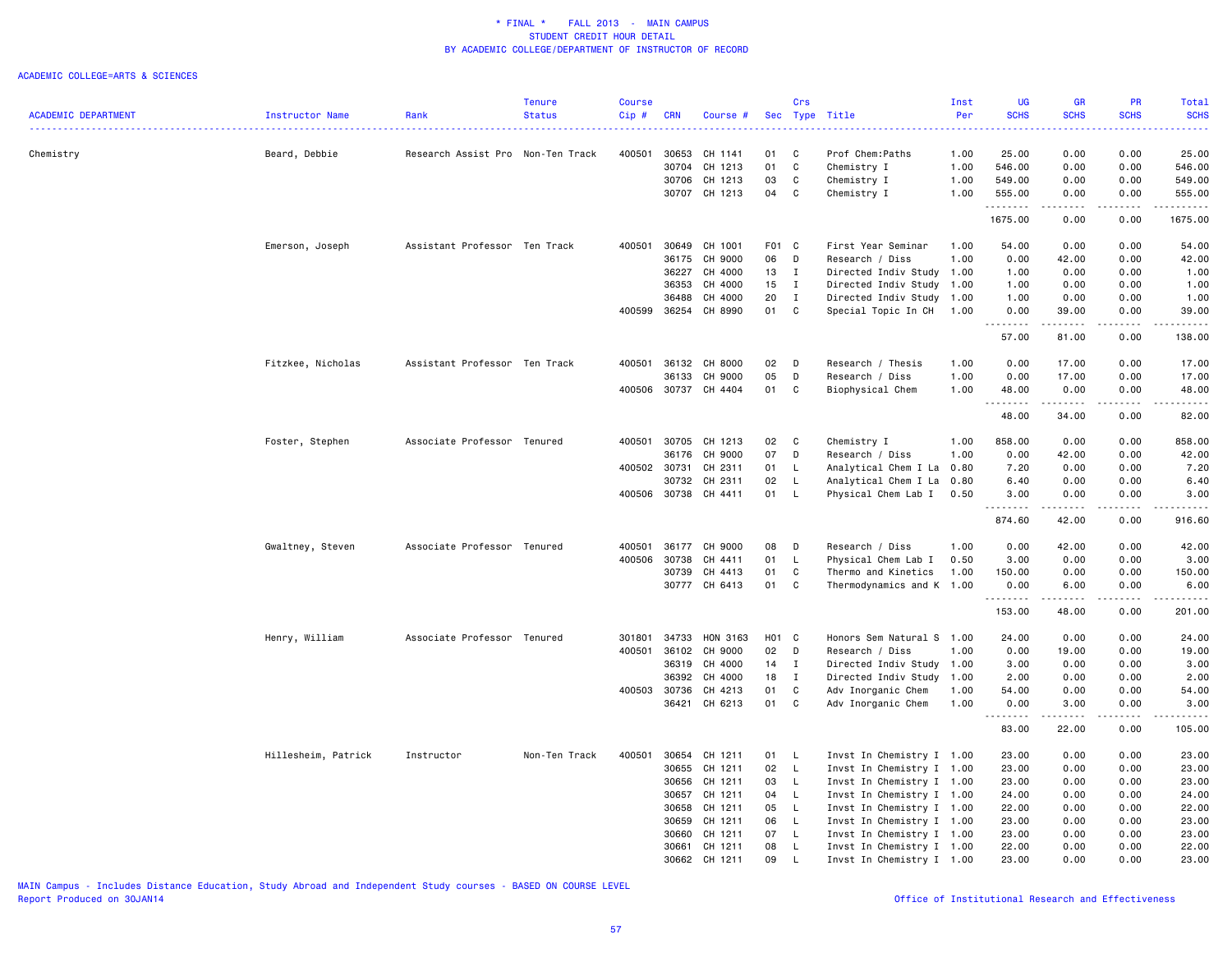#### ACADEMIC COLLEGE=ARTS & SCIENCES

|                            |                     |                                   | <b>Tenure</b> | Course       |            |                      |       | Crs          |                           | Inst | UG          | <b>GR</b>        | <b>PR</b>          | Total       |
|----------------------------|---------------------|-----------------------------------|---------------|--------------|------------|----------------------|-------|--------------|---------------------------|------|-------------|------------------|--------------------|-------------|
| <b>ACADEMIC DEPARTMENT</b> | Instructor Name     | Rank                              | <b>Status</b> | Cip#         | <b>CRN</b> | Course #             |       |              | Sec Type Title            | Per  | <b>SCHS</b> | <b>SCHS</b>      | <b>SCHS</b>        | <b>SCHS</b> |
|                            |                     |                                   |               |              |            |                      |       |              |                           |      |             |                  |                    |             |
| Chemistry                  | Beard, Debbie       | Research Assist Pro Non-Ten Track |               | 400501       | 30653      | CH 1141              | 01    | C            | Prof Chem: Paths          | 1.00 | 25.00       | 0.00             | 0.00               | 25.00       |
|                            |                     |                                   |               |              | 30704      | CH 1213              | 01    | C            | Chemistry I               | 1.00 | 546.00      | 0.00             | 0.00               | 546.00      |
|                            |                     |                                   |               |              | 30706      | CH 1213              | 03    | C            | Chemistry I               | 1.00 | 549.00      | 0.00             | 0.00               | 549.00      |
|                            |                     |                                   |               |              |            | 30707 CH 1213        | 04    | C            | Chemistry I               | 1.00 | 555.00<br>. | 0.00<br><u>.</u> | 0.00<br>.          | 555.00<br>. |
|                            |                     |                                   |               |              |            |                      |       |              |                           |      | 1675.00     | 0.00             | 0.00               | 1675.00     |
|                            | Emerson, Joseph     | Assistant Professor Ten Track     |               | 400501       | 30649      | CH 1001              | F01 C |              | First Year Seminar        | 1.00 | 54.00       | 0.00             | 0.00               | 54.00       |
|                            |                     |                                   |               |              | 36175      | CH 9000              | 06    | D            | Research / Diss           | 1.00 | 0.00        | 42.00            | 0.00               | 42.00       |
|                            |                     |                                   |               |              | 36227      | CH 4000              | 13    | I            | Directed Indiv Study      | 1.00 | 1.00        | 0.00             | 0.00               | 1.00        |
|                            |                     |                                   |               |              | 36353      | CH 4000              | 15    | I            | Directed Indiv Study      | 1.00 | 1.00        | 0.00             | 0.00               | 1.00        |
|                            |                     |                                   |               |              | 36488      | CH 4000              | 20    | $\mathbf{I}$ | Directed Indiv Study      | 1.00 | 1.00        | 0.00             | 0.00               | 1.00        |
|                            |                     |                                   |               | 400599       | 36254      | CH 8990              | 01    | $\mathbf{C}$ | Special Topic In CH       | 1.00 | 0.00<br>.   | 39.00            | 0.00<br>.          | 39.00<br>.  |
|                            |                     |                                   |               |              |            |                      |       |              |                           |      | 57.00       | 81.00            | 0.00               | 138.00      |
|                            | Fitzkee, Nicholas   | Assistant Professor Ten Track     |               | 400501       |            | 36132 CH 8000        | 02    | D            | Research / Thesis         | 1.00 | 0.00        | 17.00            | 0.00               | 17.00       |
|                            |                     |                                   |               |              | 36133      | CH 9000              | 05    | D            | Research / Diss           | 1.00 | 0.00        | 17.00            | 0.00               | 17.00       |
|                            |                     |                                   |               |              |            | 400506 30737 CH 4404 | 01    | C            | Biophysical Chem          | 1.00 | 48.00       | 0.00             | 0.00               | 48.00       |
|                            |                     |                                   |               |              |            |                      |       |              |                           |      | .           | .                | .                  | .           |
|                            |                     |                                   |               |              |            |                      |       |              |                           |      | 48.00       | 34.00            | 0.00               | 82.00       |
|                            | Foster, Stephen     | Associate Professor Tenured       |               | 400501       |            | 30705 CH 1213        | 02    | $\mathbf{C}$ | Chemistry I               | 1.00 | 858.00      | 0.00             | 0.00               | 858.00      |
|                            |                     |                                   |               |              | 36176      | CH 9000              | 07    | D            | Research / Diss           | 1.00 | 0.00        | 42.00            | 0.00               | 42.00       |
|                            |                     |                                   |               | 400502 30731 |            | CH 2311              | 01    | L.           | Analytical Chem I La 0.80 |      | 7.20        | 0.00             | 0.00               | 7.20        |
|                            |                     |                                   |               |              | 30732      | CH 2311              | 02    | L.           | Analytical Chem I La 0.80 |      | 6.40        | 0.00             | 0.00               | 6.40        |
|                            |                     |                                   |               | 400506 30738 |            | CH 4411              | 01    | L.           | Physical Chem Lab I       | 0.50 | 3.00        | 0.00             | 0.00               | 3.00        |
|                            |                     |                                   |               |              |            |                      |       |              |                           |      | .<br>874.60 | 42.00            | . <b>.</b><br>0.00 | 916.60      |
|                            | Gwaltney, Steven    | Associate Professor Tenured       |               | 400501       | 36177      | CH 9000              | 08    | D            | Research / Diss           | 1.00 | 0.00        | 42.00            | 0.00               | 42.00       |
|                            |                     |                                   |               | 400506       | 30738      | CH 4411              | 01    | L.           | Physical Chem Lab I       | 0.50 | 3.00        | 0.00             | 0.00               | 3.00        |
|                            |                     |                                   |               |              | 30739      | CH 4413              | 01    | C            | Thermo and Kinetics       | 1.00 | 150.00      | 0.00             | 0.00               | 150.00      |
|                            |                     |                                   |               |              | 30777      | CH 6413              | 01    | C            | Thermodynamics and K 1.00 |      | 0.00        | 6.00             | 0.00               | 6.00        |
|                            |                     |                                   |               |              |            |                      |       |              |                           |      | .<br>153.00 | .<br>48.00       | .<br>0.00          | .<br>201.00 |
|                            | Henry, William      | Associate Professor Tenured       |               | 301801       | 34733      | HON 3163             | H01 C |              | Honors Sem Natural S 1.00 |      | 24.00       | 0.00             | 0.00               | 24.00       |
|                            |                     |                                   |               | 400501       | 36102      | CH 9000              | 02    | $\mathsf{D}$ | Research / Diss           | 1.00 | 0.00        | 19.00            | 0.00               | 19.00       |
|                            |                     |                                   |               |              | 36319      | CH 4000              | 14    | $\mathbf I$  | Directed Indiv Study 1.00 |      | 3.00        | 0.00             | 0.00               | 3.00        |
|                            |                     |                                   |               |              | 36392      | CH 4000              | 18    | $\mathbf{I}$ | Directed Indiv Study 1.00 |      | 2.00        | 0.00             | 0.00               | 2.00        |
|                            |                     |                                   |               | 400503       | 30736      | CH 4213              | 01    | C            | Adv Inorganic Chem        | 1.00 | 54.00       | 0.00             | 0.00               | 54.00       |
|                            |                     |                                   |               |              |            | 36421 CH 6213        | 01    | C            | Adv Inorganic Chem        | 1.00 | 0.00        | 3.00             | 0.00               | 3.00        |
|                            |                     |                                   |               |              |            |                      |       |              |                           |      | .<br>83.00  | 22.00            | 0.00               | .<br>105.00 |
|                            | Hillesheim, Patrick | Instructor                        | Non-Ten Track | 400501       | 30654      | CH 1211              | 01    | L.           | Invst In Chemistry I 1.00 |      | 23.00       | 0.00             | 0.00               | 23.00       |
|                            |                     |                                   |               |              | 30655      | CH 1211              | 02    | $\mathsf{L}$ | Invst In Chemistry I 1.00 |      | 23.00       | 0.00             | 0.00               | 23.00       |
|                            |                     |                                   |               |              | 30656      | CH 1211              | 03    | $\mathsf{L}$ | Invst In Chemistry I 1.00 |      | 23.00       | 0.00             | 0.00               | 23.00       |
|                            |                     |                                   |               |              | 30657      | CH 1211              | 04    | $\mathsf{L}$ | Invst In Chemistry I 1.00 |      | 24.00       | 0.00             | 0.00               | 24.00       |
|                            |                     |                                   |               |              | 30658      | CH 1211              | 05    | $\mathsf{L}$ | Invst In Chemistry I 1.00 |      | 22.00       | 0.00             | 0.00               | 22.00       |
|                            |                     |                                   |               |              | 30659      | CH 1211              | 06    | $\mathsf{L}$ | Invst In Chemistry I 1.00 |      | 23.00       | 0.00             | 0.00               | 23.00       |
|                            |                     |                                   |               |              | 30660      | CH 1211              | 07    | L.           | Invst In Chemistry I 1.00 |      | 23.00       | 0.00             | 0.00               | 23.00       |
|                            |                     |                                   |               |              | 30661      | CH 1211              | 08    | $\mathsf{L}$ | Invst In Chemistry I 1.00 |      | 22.00       | 0.00             | 0.00               | 22.00       |
|                            |                     |                                   |               |              | 30662      | CH 1211              | 09    | L            | Invst In Chemistry I 1.00 |      | 23,00       | 0.00             | 0.00               | 23.00       |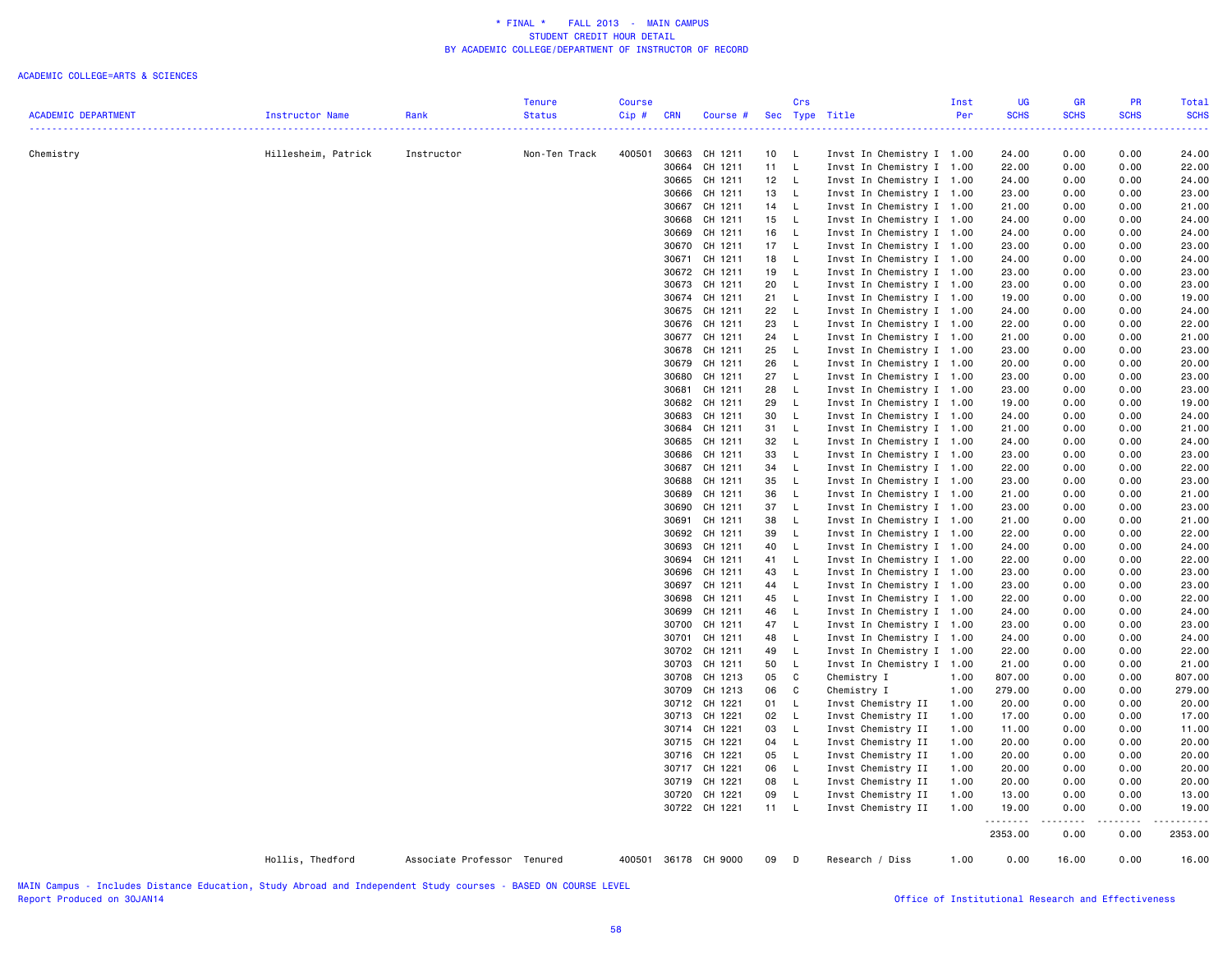### ACADEMIC COLLEGE=ARTS & SCIENCES

| <b>ACADEMIC DEPARTMENT</b><br><b>Status</b><br>Cip#<br><b>CRN</b><br>Per<br><b>SCHS</b><br><b>SCHS</b><br><b>SCHS</b><br>Instructor Name<br>Rank<br>Sec Type Title<br>Course #<br>.<br>$\frac{1}{2} \left( \frac{1}{2} \right) \left( \frac{1}{2} \right) \left( \frac{1}{2} \right) \left( \frac{1}{2} \right) \left( \frac{1}{2} \right)$<br>.<br>Hillesheim, Patrick<br>400501<br>30663 CH 1211<br>Invst In Chemistry I 1.00<br>0.00<br>0.00<br>Chemistry<br>Instructor<br>Non-Ten Track<br>10 L<br>24.00<br>30664<br>CH 1211<br>11<br>$\mathsf{L}$<br>Invst In Chemistry I 1.00<br>22.00<br>0.00<br>0.00<br>30665 CH 1211<br>12 L<br>0.00<br>0.00<br>Invst In Chemistry I 1.00<br>24.00<br>30666 CH 1211<br>Invst In Chemistry I 1.00<br>0.00<br>0.00<br>13<br>- L<br>23.00<br>14 L<br>30667 CH 1211<br>Invst In Chemistry I 1.00<br>0.00<br>0.00<br>21.00<br>30668<br>CH 1211<br>15<br>$\mathsf{L}$<br>Invst In Chemistry I 1.00<br>0.00<br>0.00<br>24.00<br>CH 1211<br>16<br>0.00<br>30669<br>- L<br>Invst In Chemistry I 1.00<br>24.00<br>0.00<br>30670<br>CH 1211<br>17 L<br>Invst In Chemistry I 1.00<br>0.00<br>0.00<br>23.00<br>30671 CH 1211<br>18 L<br>Invst In Chemistry I 1.00<br>0.00<br>0.00<br>24.00<br>30672 CH 1211<br>19<br>- L<br>Invst In Chemistry I 1.00<br>23.00<br>0.00<br>0.00<br>CH 1211<br>20<br>0.00<br>0.00<br>30673<br>- L<br>Invst In Chemistry I 1.00<br>23.00<br>30674 CH 1211<br>21<br>Invst In Chemistry I 1.00<br>0.00<br>0.00<br>L.<br>19.00<br>22<br>30675 CH 1211<br>$\mathsf{L}$<br>Invst In Chemistry I 1.00<br>0.00<br>0.00<br>24.00<br>30676<br>CH 1211<br>23<br>Invst In Chemistry I 1.00<br>0.00<br>0.00<br>L.<br>22.00<br>30677 CH 1211<br>24<br>Invst In Chemistry I 1.00<br>0.00<br>- L<br>21.00<br>0.00<br>30678<br>CH 1211<br>25<br><b>L</b><br>Invst In Chemistry I 1.00<br>0.00<br>0.00<br>23.00<br>30679<br>CH 1211<br>26<br>$\mathsf{L}$<br>Invst In Chemistry I 1.00<br>0.00<br>0.00<br>20.00<br>30680<br>CH 1211<br>27<br>L.<br>Invst In Chemistry I 1.00<br>23.00<br>0.00<br>0.00<br>28<br>Invst In Chemistry I 1.00<br>0.00<br>30681<br>CH 1211<br>- L<br>23.00<br>0.00<br>30682 CH 1211<br>29<br>$\mathsf{L}$<br>Invst In Chemistry I 1.00<br>19.00<br>0.00<br>0.00<br>30683<br>CH 1211<br>30<br>- L<br>Invst In Chemistry I 1.00<br>24.00<br>0.00<br>0.00<br>30684<br>CH 1211<br>31<br>L.<br>Invst In Chemistry I 1.00<br>21.00<br>0.00<br>0.00<br>30685<br>CH 1211<br>32<br>$\mathsf{L}$<br>Invst In Chemistry I 1.00<br>24.00<br>0.00<br>0.00<br>30686 CH 1211<br>33<br>$\mathsf{L}$<br>Invst In Chemistry I 1.00<br>23.00<br>0.00<br>0.00<br>30687 CH 1211<br>34<br>Invst In Chemistry I 1.00<br>0.00<br>L.<br>22.00<br>0.00<br>30688<br>CH 1211<br>35<br>$\mathsf{L}$<br>Invst In Chemistry I 1.00<br>0.00<br>0.00<br>23.00<br>30689<br>CH 1211<br>36<br>$\mathsf{L}$<br>Invst In Chemistry I 1.00<br>0.00<br>0.00<br>21.00<br>30690 CH 1211<br>37<br>Invst In Chemistry I 1.00<br><b>L</b><br>23.00<br>0.00<br>0.00<br>CH 1211<br>Invst In Chemistry I 1.00<br>30691<br>38<br>$\mathsf{L}$<br>21.00<br>0.00<br>0.00<br>30692 CH 1211<br>39<br>$\mathsf{L}$<br>Invst In Chemistry I 1.00<br>22.00<br>0.00<br>0.00<br>30693 CH 1211<br>40<br>$\mathsf{L}$<br>Invst In Chemistry I 1.00<br>24.00<br>0.00<br>0.00<br>30694 CH 1211<br>41 L<br>Invst In Chemistry I 1.00<br>22.00<br>0.00<br>0.00<br>30696 CH 1211<br>43<br>$\mathsf{L}$<br>Invst In Chemistry I 1.00<br>23.00<br>0.00<br>0.00<br>30697 CH 1211<br>44<br>$\mathsf{L}$<br>Invst In Chemistry I 1.00<br>23.00<br>0.00<br>0.00<br>CH 1211<br>Invst In Chemistry I 1.00<br>0.00<br>0.00<br>22.00<br>30698<br>45<br>$\mathsf{L}$<br>22.00<br>30699 CH 1211<br>46<br>$\mathsf{L}$<br>Invst In Chemistry I 1.00<br>0.00<br>0.00<br>24.00<br>24.00<br>30700<br>CH 1211<br>47<br>Invst In Chemistry I 1.00<br>0.00<br>0.00<br>23.00<br>$\mathsf{L}$<br>23.00<br>30701 CH 1211<br>0.00<br>48<br>$\mathsf{L}$<br>Invst In Chemistry I 1.00<br>24.00<br>0.00<br>24.00<br>30702 CH 1211<br>Invst In Chemistry I 1.00<br>0.00<br>0.00<br>22.00<br>49<br>- L<br>22.00<br>50<br>30703 CH 1211<br>$\mathsf{L}$<br>Invst In Chemistry I 1.00<br>0.00<br>0.00<br>21.00<br>21.00<br>30708<br>CH 1213<br>05<br>C<br>Chemistry I<br>807.00<br>0.00<br>0.00<br>807.00<br>1.00<br>30709 CH 1213<br>06<br>C<br>Chemistry I<br>1.00<br>279.00<br>0.00<br>0.00<br>279.00<br>0.00<br>0.00<br>30712 CH 1221<br>01<br>L.<br>Invst Chemistry II<br>1.00<br>20.00<br>30713 CH 1221<br>02<br>$\mathsf{L}$<br>0.00<br>0.00<br>Invst Chemistry II<br>1.00<br>17.00<br>CH 1221<br>03<br>$\mathsf{L}$<br>Invst Chemistry II<br>0.00<br>30714<br>1.00<br>11.00<br>0.00<br>30715 CH 1221<br>04<br>- L<br>Invst Chemistry II<br>20.00<br>0.00<br>0.00<br>1.00<br>0.00<br>30716 CH 1221<br>05<br><b>L</b><br>Invst Chemistry II<br>1.00<br>20.00<br>0.00<br>06<br>$\mathsf{L}$<br>0.00<br>0.00<br>30717 CH 1221<br>Invst Chemistry II<br>1.00<br>20.00<br>30719<br>CH 1221<br>08<br>Invst Chemistry II<br>20.00<br>0.00<br>0.00<br>L.<br>1.00<br>0.00<br>0.00<br>30720 CH 1221<br>09<br>- L<br>Invst Chemistry II<br>1.00<br>13.00<br>30722 CH 1221<br>11 L<br>Invst Chemistry II<br>1.00<br>19.00<br>0.00<br>0.00<br>.<br>.<br>.<br>2353.00<br>0.00<br>0.00<br>Hollis, Thedford<br>Associate Professor Tenured<br>400501 36178 CH 9000<br>09<br>Research / Diss<br>1.00<br>0.00<br>16.00<br>0.00<br>$\Box$ |  | Tenure | <b>Course</b> |  | Crs | Inst | UG | <b>GR</b> | <b>PR</b> | Total       |
|---------------------------------------------------------------------------------------------------------------------------------------------------------------------------------------------------------------------------------------------------------------------------------------------------------------------------------------------------------------------------------------------------------------------------------------------------------------------------------------------------------------------------------------------------------------------------------------------------------------------------------------------------------------------------------------------------------------------------------------------------------------------------------------------------------------------------------------------------------------------------------------------------------------------------------------------------------------------------------------------------------------------------------------------------------------------------------------------------------------------------------------------------------------------------------------------------------------------------------------------------------------------------------------------------------------------------------------------------------------------------------------------------------------------------------------------------------------------------------------------------------------------------------------------------------------------------------------------------------------------------------------------------------------------------------------------------------------------------------------------------------------------------------------------------------------------------------------------------------------------------------------------------------------------------------------------------------------------------------------------------------------------------------------------------------------------------------------------------------------------------------------------------------------------------------------------------------------------------------------------------------------------------------------------------------------------------------------------------------------------------------------------------------------------------------------------------------------------------------------------------------------------------------------------------------------------------------------------------------------------------------------------------------------------------------------------------------------------------------------------------------------------------------------------------------------------------------------------------------------------------------------------------------------------------------------------------------------------------------------------------------------------------------------------------------------------------------------------------------------------------------------------------------------------------------------------------------------------------------------------------------------------------------------------------------------------------------------------------------------------------------------------------------------------------------------------------------------------------------------------------------------------------------------------------------------------------------------------------------------------------------------------------------------------------------------------------------------------------------------------------------------------------------------------------------------------------------------------------------------------------------------------------------------------------------------------------------------------------------------------------------------------------------------------------------------------------------------------------------------------------------------------------------------------------------------------------------------------------------------------------------------------------------------------------------------------------------------------------------------------------------------------------------------------------------------------------------------------------------------------------------------------------------------------------------------------------------------------------------------------------------------------------------------------------------------------------------------------------------------------------------------------------------------------------------------------------------------------------------------------------------------------------------------------------------------------------------------------------------------------------------------------------------------------------------------------------------------------------------------------------------------------------------------------------------------------------------------------------------------------------------------------------------------------------------------------------------------------------------------------------------------------------|--|--------|---------------|--|-----|------|----|-----------|-----------|-------------|
|                                                                                                                                                                                                                                                                                                                                                                                                                                                                                                                                                                                                                                                                                                                                                                                                                                                                                                                                                                                                                                                                                                                                                                                                                                                                                                                                                                                                                                                                                                                                                                                                                                                                                                                                                                                                                                                                                                                                                                                                                                                                                                                                                                                                                                                                                                                                                                                                                                                                                                                                                                                                                                                                                                                                                                                                                                                                                                                                                                                                                                                                                                                                                                                                                                                                                                                                                                                                                                                                                                                                                                                                                                                                                                                                                                                                                                                                                                                                                                                                                                                                                                                                                                                                                                                                                                                                                                                                                                                                                                                                                                                                                                                                                                                                                                                                                                                                                                                                                                                                                                                                                                                                                                                                                                                                                                                                                                                                   |  |        |               |  |     |      |    |           |           | <b>SCHS</b> |
|                                                                                                                                                                                                                                                                                                                                                                                                                                                                                                                                                                                                                                                                                                                                                                                                                                                                                                                                                                                                                                                                                                                                                                                                                                                                                                                                                                                                                                                                                                                                                                                                                                                                                                                                                                                                                                                                                                                                                                                                                                                                                                                                                                                                                                                                                                                                                                                                                                                                                                                                                                                                                                                                                                                                                                                                                                                                                                                                                                                                                                                                                                                                                                                                                                                                                                                                                                                                                                                                                                                                                                                                                                                                                                                                                                                                                                                                                                                                                                                                                                                                                                                                                                                                                                                                                                                                                                                                                                                                                                                                                                                                                                                                                                                                                                                                                                                                                                                                                                                                                                                                                                                                                                                                                                                                                                                                                                                                   |  |        |               |  |     |      |    |           |           | . <u>.</u>  |
|                                                                                                                                                                                                                                                                                                                                                                                                                                                                                                                                                                                                                                                                                                                                                                                                                                                                                                                                                                                                                                                                                                                                                                                                                                                                                                                                                                                                                                                                                                                                                                                                                                                                                                                                                                                                                                                                                                                                                                                                                                                                                                                                                                                                                                                                                                                                                                                                                                                                                                                                                                                                                                                                                                                                                                                                                                                                                                                                                                                                                                                                                                                                                                                                                                                                                                                                                                                                                                                                                                                                                                                                                                                                                                                                                                                                                                                                                                                                                                                                                                                                                                                                                                                                                                                                                                                                                                                                                                                                                                                                                                                                                                                                                                                                                                                                                                                                                                                                                                                                                                                                                                                                                                                                                                                                                                                                                                                                   |  |        |               |  |     |      |    |           |           | 24.00       |
|                                                                                                                                                                                                                                                                                                                                                                                                                                                                                                                                                                                                                                                                                                                                                                                                                                                                                                                                                                                                                                                                                                                                                                                                                                                                                                                                                                                                                                                                                                                                                                                                                                                                                                                                                                                                                                                                                                                                                                                                                                                                                                                                                                                                                                                                                                                                                                                                                                                                                                                                                                                                                                                                                                                                                                                                                                                                                                                                                                                                                                                                                                                                                                                                                                                                                                                                                                                                                                                                                                                                                                                                                                                                                                                                                                                                                                                                                                                                                                                                                                                                                                                                                                                                                                                                                                                                                                                                                                                                                                                                                                                                                                                                                                                                                                                                                                                                                                                                                                                                                                                                                                                                                                                                                                                                                                                                                                                                   |  |        |               |  |     |      |    |           |           | 22.00       |
|                                                                                                                                                                                                                                                                                                                                                                                                                                                                                                                                                                                                                                                                                                                                                                                                                                                                                                                                                                                                                                                                                                                                                                                                                                                                                                                                                                                                                                                                                                                                                                                                                                                                                                                                                                                                                                                                                                                                                                                                                                                                                                                                                                                                                                                                                                                                                                                                                                                                                                                                                                                                                                                                                                                                                                                                                                                                                                                                                                                                                                                                                                                                                                                                                                                                                                                                                                                                                                                                                                                                                                                                                                                                                                                                                                                                                                                                                                                                                                                                                                                                                                                                                                                                                                                                                                                                                                                                                                                                                                                                                                                                                                                                                                                                                                                                                                                                                                                                                                                                                                                                                                                                                                                                                                                                                                                                                                                                   |  |        |               |  |     |      |    |           |           | 24.00       |
|                                                                                                                                                                                                                                                                                                                                                                                                                                                                                                                                                                                                                                                                                                                                                                                                                                                                                                                                                                                                                                                                                                                                                                                                                                                                                                                                                                                                                                                                                                                                                                                                                                                                                                                                                                                                                                                                                                                                                                                                                                                                                                                                                                                                                                                                                                                                                                                                                                                                                                                                                                                                                                                                                                                                                                                                                                                                                                                                                                                                                                                                                                                                                                                                                                                                                                                                                                                                                                                                                                                                                                                                                                                                                                                                                                                                                                                                                                                                                                                                                                                                                                                                                                                                                                                                                                                                                                                                                                                                                                                                                                                                                                                                                                                                                                                                                                                                                                                                                                                                                                                                                                                                                                                                                                                                                                                                                                                                   |  |        |               |  |     |      |    |           |           | 23.00       |
|                                                                                                                                                                                                                                                                                                                                                                                                                                                                                                                                                                                                                                                                                                                                                                                                                                                                                                                                                                                                                                                                                                                                                                                                                                                                                                                                                                                                                                                                                                                                                                                                                                                                                                                                                                                                                                                                                                                                                                                                                                                                                                                                                                                                                                                                                                                                                                                                                                                                                                                                                                                                                                                                                                                                                                                                                                                                                                                                                                                                                                                                                                                                                                                                                                                                                                                                                                                                                                                                                                                                                                                                                                                                                                                                                                                                                                                                                                                                                                                                                                                                                                                                                                                                                                                                                                                                                                                                                                                                                                                                                                                                                                                                                                                                                                                                                                                                                                                                                                                                                                                                                                                                                                                                                                                                                                                                                                                                   |  |        |               |  |     |      |    |           |           | 21.00       |
|                                                                                                                                                                                                                                                                                                                                                                                                                                                                                                                                                                                                                                                                                                                                                                                                                                                                                                                                                                                                                                                                                                                                                                                                                                                                                                                                                                                                                                                                                                                                                                                                                                                                                                                                                                                                                                                                                                                                                                                                                                                                                                                                                                                                                                                                                                                                                                                                                                                                                                                                                                                                                                                                                                                                                                                                                                                                                                                                                                                                                                                                                                                                                                                                                                                                                                                                                                                                                                                                                                                                                                                                                                                                                                                                                                                                                                                                                                                                                                                                                                                                                                                                                                                                                                                                                                                                                                                                                                                                                                                                                                                                                                                                                                                                                                                                                                                                                                                                                                                                                                                                                                                                                                                                                                                                                                                                                                                                   |  |        |               |  |     |      |    |           |           | 24.00       |
|                                                                                                                                                                                                                                                                                                                                                                                                                                                                                                                                                                                                                                                                                                                                                                                                                                                                                                                                                                                                                                                                                                                                                                                                                                                                                                                                                                                                                                                                                                                                                                                                                                                                                                                                                                                                                                                                                                                                                                                                                                                                                                                                                                                                                                                                                                                                                                                                                                                                                                                                                                                                                                                                                                                                                                                                                                                                                                                                                                                                                                                                                                                                                                                                                                                                                                                                                                                                                                                                                                                                                                                                                                                                                                                                                                                                                                                                                                                                                                                                                                                                                                                                                                                                                                                                                                                                                                                                                                                                                                                                                                                                                                                                                                                                                                                                                                                                                                                                                                                                                                                                                                                                                                                                                                                                                                                                                                                                   |  |        |               |  |     |      |    |           |           | 24.00       |
|                                                                                                                                                                                                                                                                                                                                                                                                                                                                                                                                                                                                                                                                                                                                                                                                                                                                                                                                                                                                                                                                                                                                                                                                                                                                                                                                                                                                                                                                                                                                                                                                                                                                                                                                                                                                                                                                                                                                                                                                                                                                                                                                                                                                                                                                                                                                                                                                                                                                                                                                                                                                                                                                                                                                                                                                                                                                                                                                                                                                                                                                                                                                                                                                                                                                                                                                                                                                                                                                                                                                                                                                                                                                                                                                                                                                                                                                                                                                                                                                                                                                                                                                                                                                                                                                                                                                                                                                                                                                                                                                                                                                                                                                                                                                                                                                                                                                                                                                                                                                                                                                                                                                                                                                                                                                                                                                                                                                   |  |        |               |  |     |      |    |           |           | 23.00       |
|                                                                                                                                                                                                                                                                                                                                                                                                                                                                                                                                                                                                                                                                                                                                                                                                                                                                                                                                                                                                                                                                                                                                                                                                                                                                                                                                                                                                                                                                                                                                                                                                                                                                                                                                                                                                                                                                                                                                                                                                                                                                                                                                                                                                                                                                                                                                                                                                                                                                                                                                                                                                                                                                                                                                                                                                                                                                                                                                                                                                                                                                                                                                                                                                                                                                                                                                                                                                                                                                                                                                                                                                                                                                                                                                                                                                                                                                                                                                                                                                                                                                                                                                                                                                                                                                                                                                                                                                                                                                                                                                                                                                                                                                                                                                                                                                                                                                                                                                                                                                                                                                                                                                                                                                                                                                                                                                                                                                   |  |        |               |  |     |      |    |           |           | 24.00       |
|                                                                                                                                                                                                                                                                                                                                                                                                                                                                                                                                                                                                                                                                                                                                                                                                                                                                                                                                                                                                                                                                                                                                                                                                                                                                                                                                                                                                                                                                                                                                                                                                                                                                                                                                                                                                                                                                                                                                                                                                                                                                                                                                                                                                                                                                                                                                                                                                                                                                                                                                                                                                                                                                                                                                                                                                                                                                                                                                                                                                                                                                                                                                                                                                                                                                                                                                                                                                                                                                                                                                                                                                                                                                                                                                                                                                                                                                                                                                                                                                                                                                                                                                                                                                                                                                                                                                                                                                                                                                                                                                                                                                                                                                                                                                                                                                                                                                                                                                                                                                                                                                                                                                                                                                                                                                                                                                                                                                   |  |        |               |  |     |      |    |           |           | 23.00       |
|                                                                                                                                                                                                                                                                                                                                                                                                                                                                                                                                                                                                                                                                                                                                                                                                                                                                                                                                                                                                                                                                                                                                                                                                                                                                                                                                                                                                                                                                                                                                                                                                                                                                                                                                                                                                                                                                                                                                                                                                                                                                                                                                                                                                                                                                                                                                                                                                                                                                                                                                                                                                                                                                                                                                                                                                                                                                                                                                                                                                                                                                                                                                                                                                                                                                                                                                                                                                                                                                                                                                                                                                                                                                                                                                                                                                                                                                                                                                                                                                                                                                                                                                                                                                                                                                                                                                                                                                                                                                                                                                                                                                                                                                                                                                                                                                                                                                                                                                                                                                                                                                                                                                                                                                                                                                                                                                                                                                   |  |        |               |  |     |      |    |           |           | 23.00       |
|                                                                                                                                                                                                                                                                                                                                                                                                                                                                                                                                                                                                                                                                                                                                                                                                                                                                                                                                                                                                                                                                                                                                                                                                                                                                                                                                                                                                                                                                                                                                                                                                                                                                                                                                                                                                                                                                                                                                                                                                                                                                                                                                                                                                                                                                                                                                                                                                                                                                                                                                                                                                                                                                                                                                                                                                                                                                                                                                                                                                                                                                                                                                                                                                                                                                                                                                                                                                                                                                                                                                                                                                                                                                                                                                                                                                                                                                                                                                                                                                                                                                                                                                                                                                                                                                                                                                                                                                                                                                                                                                                                                                                                                                                                                                                                                                                                                                                                                                                                                                                                                                                                                                                                                                                                                                                                                                                                                                   |  |        |               |  |     |      |    |           |           | 19.00       |
|                                                                                                                                                                                                                                                                                                                                                                                                                                                                                                                                                                                                                                                                                                                                                                                                                                                                                                                                                                                                                                                                                                                                                                                                                                                                                                                                                                                                                                                                                                                                                                                                                                                                                                                                                                                                                                                                                                                                                                                                                                                                                                                                                                                                                                                                                                                                                                                                                                                                                                                                                                                                                                                                                                                                                                                                                                                                                                                                                                                                                                                                                                                                                                                                                                                                                                                                                                                                                                                                                                                                                                                                                                                                                                                                                                                                                                                                                                                                                                                                                                                                                                                                                                                                                                                                                                                                                                                                                                                                                                                                                                                                                                                                                                                                                                                                                                                                                                                                                                                                                                                                                                                                                                                                                                                                                                                                                                                                   |  |        |               |  |     |      |    |           |           | 24.00       |
|                                                                                                                                                                                                                                                                                                                                                                                                                                                                                                                                                                                                                                                                                                                                                                                                                                                                                                                                                                                                                                                                                                                                                                                                                                                                                                                                                                                                                                                                                                                                                                                                                                                                                                                                                                                                                                                                                                                                                                                                                                                                                                                                                                                                                                                                                                                                                                                                                                                                                                                                                                                                                                                                                                                                                                                                                                                                                                                                                                                                                                                                                                                                                                                                                                                                                                                                                                                                                                                                                                                                                                                                                                                                                                                                                                                                                                                                                                                                                                                                                                                                                                                                                                                                                                                                                                                                                                                                                                                                                                                                                                                                                                                                                                                                                                                                                                                                                                                                                                                                                                                                                                                                                                                                                                                                                                                                                                                                   |  |        |               |  |     |      |    |           |           | 22.00       |
|                                                                                                                                                                                                                                                                                                                                                                                                                                                                                                                                                                                                                                                                                                                                                                                                                                                                                                                                                                                                                                                                                                                                                                                                                                                                                                                                                                                                                                                                                                                                                                                                                                                                                                                                                                                                                                                                                                                                                                                                                                                                                                                                                                                                                                                                                                                                                                                                                                                                                                                                                                                                                                                                                                                                                                                                                                                                                                                                                                                                                                                                                                                                                                                                                                                                                                                                                                                                                                                                                                                                                                                                                                                                                                                                                                                                                                                                                                                                                                                                                                                                                                                                                                                                                                                                                                                                                                                                                                                                                                                                                                                                                                                                                                                                                                                                                                                                                                                                                                                                                                                                                                                                                                                                                                                                                                                                                                                                   |  |        |               |  |     |      |    |           |           | 21.00       |
|                                                                                                                                                                                                                                                                                                                                                                                                                                                                                                                                                                                                                                                                                                                                                                                                                                                                                                                                                                                                                                                                                                                                                                                                                                                                                                                                                                                                                                                                                                                                                                                                                                                                                                                                                                                                                                                                                                                                                                                                                                                                                                                                                                                                                                                                                                                                                                                                                                                                                                                                                                                                                                                                                                                                                                                                                                                                                                                                                                                                                                                                                                                                                                                                                                                                                                                                                                                                                                                                                                                                                                                                                                                                                                                                                                                                                                                                                                                                                                                                                                                                                                                                                                                                                                                                                                                                                                                                                                                                                                                                                                                                                                                                                                                                                                                                                                                                                                                                                                                                                                                                                                                                                                                                                                                                                                                                                                                                   |  |        |               |  |     |      |    |           |           | 23.00       |
|                                                                                                                                                                                                                                                                                                                                                                                                                                                                                                                                                                                                                                                                                                                                                                                                                                                                                                                                                                                                                                                                                                                                                                                                                                                                                                                                                                                                                                                                                                                                                                                                                                                                                                                                                                                                                                                                                                                                                                                                                                                                                                                                                                                                                                                                                                                                                                                                                                                                                                                                                                                                                                                                                                                                                                                                                                                                                                                                                                                                                                                                                                                                                                                                                                                                                                                                                                                                                                                                                                                                                                                                                                                                                                                                                                                                                                                                                                                                                                                                                                                                                                                                                                                                                                                                                                                                                                                                                                                                                                                                                                                                                                                                                                                                                                                                                                                                                                                                                                                                                                                                                                                                                                                                                                                                                                                                                                                                   |  |        |               |  |     |      |    |           |           | 20.00       |
|                                                                                                                                                                                                                                                                                                                                                                                                                                                                                                                                                                                                                                                                                                                                                                                                                                                                                                                                                                                                                                                                                                                                                                                                                                                                                                                                                                                                                                                                                                                                                                                                                                                                                                                                                                                                                                                                                                                                                                                                                                                                                                                                                                                                                                                                                                                                                                                                                                                                                                                                                                                                                                                                                                                                                                                                                                                                                                                                                                                                                                                                                                                                                                                                                                                                                                                                                                                                                                                                                                                                                                                                                                                                                                                                                                                                                                                                                                                                                                                                                                                                                                                                                                                                                                                                                                                                                                                                                                                                                                                                                                                                                                                                                                                                                                                                                                                                                                                                                                                                                                                                                                                                                                                                                                                                                                                                                                                                   |  |        |               |  |     |      |    |           |           | 23.00       |
|                                                                                                                                                                                                                                                                                                                                                                                                                                                                                                                                                                                                                                                                                                                                                                                                                                                                                                                                                                                                                                                                                                                                                                                                                                                                                                                                                                                                                                                                                                                                                                                                                                                                                                                                                                                                                                                                                                                                                                                                                                                                                                                                                                                                                                                                                                                                                                                                                                                                                                                                                                                                                                                                                                                                                                                                                                                                                                                                                                                                                                                                                                                                                                                                                                                                                                                                                                                                                                                                                                                                                                                                                                                                                                                                                                                                                                                                                                                                                                                                                                                                                                                                                                                                                                                                                                                                                                                                                                                                                                                                                                                                                                                                                                                                                                                                                                                                                                                                                                                                                                                                                                                                                                                                                                                                                                                                                                                                   |  |        |               |  |     |      |    |           |           | 23.00       |
|                                                                                                                                                                                                                                                                                                                                                                                                                                                                                                                                                                                                                                                                                                                                                                                                                                                                                                                                                                                                                                                                                                                                                                                                                                                                                                                                                                                                                                                                                                                                                                                                                                                                                                                                                                                                                                                                                                                                                                                                                                                                                                                                                                                                                                                                                                                                                                                                                                                                                                                                                                                                                                                                                                                                                                                                                                                                                                                                                                                                                                                                                                                                                                                                                                                                                                                                                                                                                                                                                                                                                                                                                                                                                                                                                                                                                                                                                                                                                                                                                                                                                                                                                                                                                                                                                                                                                                                                                                                                                                                                                                                                                                                                                                                                                                                                                                                                                                                                                                                                                                                                                                                                                                                                                                                                                                                                                                                                   |  |        |               |  |     |      |    |           |           | 19.00       |
|                                                                                                                                                                                                                                                                                                                                                                                                                                                                                                                                                                                                                                                                                                                                                                                                                                                                                                                                                                                                                                                                                                                                                                                                                                                                                                                                                                                                                                                                                                                                                                                                                                                                                                                                                                                                                                                                                                                                                                                                                                                                                                                                                                                                                                                                                                                                                                                                                                                                                                                                                                                                                                                                                                                                                                                                                                                                                                                                                                                                                                                                                                                                                                                                                                                                                                                                                                                                                                                                                                                                                                                                                                                                                                                                                                                                                                                                                                                                                                                                                                                                                                                                                                                                                                                                                                                                                                                                                                                                                                                                                                                                                                                                                                                                                                                                                                                                                                                                                                                                                                                                                                                                                                                                                                                                                                                                                                                                   |  |        |               |  |     |      |    |           |           | 24.00       |
|                                                                                                                                                                                                                                                                                                                                                                                                                                                                                                                                                                                                                                                                                                                                                                                                                                                                                                                                                                                                                                                                                                                                                                                                                                                                                                                                                                                                                                                                                                                                                                                                                                                                                                                                                                                                                                                                                                                                                                                                                                                                                                                                                                                                                                                                                                                                                                                                                                                                                                                                                                                                                                                                                                                                                                                                                                                                                                                                                                                                                                                                                                                                                                                                                                                                                                                                                                                                                                                                                                                                                                                                                                                                                                                                                                                                                                                                                                                                                                                                                                                                                                                                                                                                                                                                                                                                                                                                                                                                                                                                                                                                                                                                                                                                                                                                                                                                                                                                                                                                                                                                                                                                                                                                                                                                                                                                                                                                   |  |        |               |  |     |      |    |           |           | 21.00       |
|                                                                                                                                                                                                                                                                                                                                                                                                                                                                                                                                                                                                                                                                                                                                                                                                                                                                                                                                                                                                                                                                                                                                                                                                                                                                                                                                                                                                                                                                                                                                                                                                                                                                                                                                                                                                                                                                                                                                                                                                                                                                                                                                                                                                                                                                                                                                                                                                                                                                                                                                                                                                                                                                                                                                                                                                                                                                                                                                                                                                                                                                                                                                                                                                                                                                                                                                                                                                                                                                                                                                                                                                                                                                                                                                                                                                                                                                                                                                                                                                                                                                                                                                                                                                                                                                                                                                                                                                                                                                                                                                                                                                                                                                                                                                                                                                                                                                                                                                                                                                                                                                                                                                                                                                                                                                                                                                                                                                   |  |        |               |  |     |      |    |           |           | 24.00       |
|                                                                                                                                                                                                                                                                                                                                                                                                                                                                                                                                                                                                                                                                                                                                                                                                                                                                                                                                                                                                                                                                                                                                                                                                                                                                                                                                                                                                                                                                                                                                                                                                                                                                                                                                                                                                                                                                                                                                                                                                                                                                                                                                                                                                                                                                                                                                                                                                                                                                                                                                                                                                                                                                                                                                                                                                                                                                                                                                                                                                                                                                                                                                                                                                                                                                                                                                                                                                                                                                                                                                                                                                                                                                                                                                                                                                                                                                                                                                                                                                                                                                                                                                                                                                                                                                                                                                                                                                                                                                                                                                                                                                                                                                                                                                                                                                                                                                                                                                                                                                                                                                                                                                                                                                                                                                                                                                                                                                   |  |        |               |  |     |      |    |           |           | 23.00       |
|                                                                                                                                                                                                                                                                                                                                                                                                                                                                                                                                                                                                                                                                                                                                                                                                                                                                                                                                                                                                                                                                                                                                                                                                                                                                                                                                                                                                                                                                                                                                                                                                                                                                                                                                                                                                                                                                                                                                                                                                                                                                                                                                                                                                                                                                                                                                                                                                                                                                                                                                                                                                                                                                                                                                                                                                                                                                                                                                                                                                                                                                                                                                                                                                                                                                                                                                                                                                                                                                                                                                                                                                                                                                                                                                                                                                                                                                                                                                                                                                                                                                                                                                                                                                                                                                                                                                                                                                                                                                                                                                                                                                                                                                                                                                                                                                                                                                                                                                                                                                                                                                                                                                                                                                                                                                                                                                                                                                   |  |        |               |  |     |      |    |           |           | 22.00       |
|                                                                                                                                                                                                                                                                                                                                                                                                                                                                                                                                                                                                                                                                                                                                                                                                                                                                                                                                                                                                                                                                                                                                                                                                                                                                                                                                                                                                                                                                                                                                                                                                                                                                                                                                                                                                                                                                                                                                                                                                                                                                                                                                                                                                                                                                                                                                                                                                                                                                                                                                                                                                                                                                                                                                                                                                                                                                                                                                                                                                                                                                                                                                                                                                                                                                                                                                                                                                                                                                                                                                                                                                                                                                                                                                                                                                                                                                                                                                                                                                                                                                                                                                                                                                                                                                                                                                                                                                                                                                                                                                                                                                                                                                                                                                                                                                                                                                                                                                                                                                                                                                                                                                                                                                                                                                                                                                                                                                   |  |        |               |  |     |      |    |           |           | 23.00       |
|                                                                                                                                                                                                                                                                                                                                                                                                                                                                                                                                                                                                                                                                                                                                                                                                                                                                                                                                                                                                                                                                                                                                                                                                                                                                                                                                                                                                                                                                                                                                                                                                                                                                                                                                                                                                                                                                                                                                                                                                                                                                                                                                                                                                                                                                                                                                                                                                                                                                                                                                                                                                                                                                                                                                                                                                                                                                                                                                                                                                                                                                                                                                                                                                                                                                                                                                                                                                                                                                                                                                                                                                                                                                                                                                                                                                                                                                                                                                                                                                                                                                                                                                                                                                                                                                                                                                                                                                                                                                                                                                                                                                                                                                                                                                                                                                                                                                                                                                                                                                                                                                                                                                                                                                                                                                                                                                                                                                   |  |        |               |  |     |      |    |           |           | 21.00       |
|                                                                                                                                                                                                                                                                                                                                                                                                                                                                                                                                                                                                                                                                                                                                                                                                                                                                                                                                                                                                                                                                                                                                                                                                                                                                                                                                                                                                                                                                                                                                                                                                                                                                                                                                                                                                                                                                                                                                                                                                                                                                                                                                                                                                                                                                                                                                                                                                                                                                                                                                                                                                                                                                                                                                                                                                                                                                                                                                                                                                                                                                                                                                                                                                                                                                                                                                                                                                                                                                                                                                                                                                                                                                                                                                                                                                                                                                                                                                                                                                                                                                                                                                                                                                                                                                                                                                                                                                                                                                                                                                                                                                                                                                                                                                                                                                                                                                                                                                                                                                                                                                                                                                                                                                                                                                                                                                                                                                   |  |        |               |  |     |      |    |           |           | 23.00       |
|                                                                                                                                                                                                                                                                                                                                                                                                                                                                                                                                                                                                                                                                                                                                                                                                                                                                                                                                                                                                                                                                                                                                                                                                                                                                                                                                                                                                                                                                                                                                                                                                                                                                                                                                                                                                                                                                                                                                                                                                                                                                                                                                                                                                                                                                                                                                                                                                                                                                                                                                                                                                                                                                                                                                                                                                                                                                                                                                                                                                                                                                                                                                                                                                                                                                                                                                                                                                                                                                                                                                                                                                                                                                                                                                                                                                                                                                                                                                                                                                                                                                                                                                                                                                                                                                                                                                                                                                                                                                                                                                                                                                                                                                                                                                                                                                                                                                                                                                                                                                                                                                                                                                                                                                                                                                                                                                                                                                   |  |        |               |  |     |      |    |           |           | 21.00       |
|                                                                                                                                                                                                                                                                                                                                                                                                                                                                                                                                                                                                                                                                                                                                                                                                                                                                                                                                                                                                                                                                                                                                                                                                                                                                                                                                                                                                                                                                                                                                                                                                                                                                                                                                                                                                                                                                                                                                                                                                                                                                                                                                                                                                                                                                                                                                                                                                                                                                                                                                                                                                                                                                                                                                                                                                                                                                                                                                                                                                                                                                                                                                                                                                                                                                                                                                                                                                                                                                                                                                                                                                                                                                                                                                                                                                                                                                                                                                                                                                                                                                                                                                                                                                                                                                                                                                                                                                                                                                                                                                                                                                                                                                                                                                                                                                                                                                                                                                                                                                                                                                                                                                                                                                                                                                                                                                                                                                   |  |        |               |  |     |      |    |           |           | 22.00       |
|                                                                                                                                                                                                                                                                                                                                                                                                                                                                                                                                                                                                                                                                                                                                                                                                                                                                                                                                                                                                                                                                                                                                                                                                                                                                                                                                                                                                                                                                                                                                                                                                                                                                                                                                                                                                                                                                                                                                                                                                                                                                                                                                                                                                                                                                                                                                                                                                                                                                                                                                                                                                                                                                                                                                                                                                                                                                                                                                                                                                                                                                                                                                                                                                                                                                                                                                                                                                                                                                                                                                                                                                                                                                                                                                                                                                                                                                                                                                                                                                                                                                                                                                                                                                                                                                                                                                                                                                                                                                                                                                                                                                                                                                                                                                                                                                                                                                                                                                                                                                                                                                                                                                                                                                                                                                                                                                                                                                   |  |        |               |  |     |      |    |           |           | 24.00       |
|                                                                                                                                                                                                                                                                                                                                                                                                                                                                                                                                                                                                                                                                                                                                                                                                                                                                                                                                                                                                                                                                                                                                                                                                                                                                                                                                                                                                                                                                                                                                                                                                                                                                                                                                                                                                                                                                                                                                                                                                                                                                                                                                                                                                                                                                                                                                                                                                                                                                                                                                                                                                                                                                                                                                                                                                                                                                                                                                                                                                                                                                                                                                                                                                                                                                                                                                                                                                                                                                                                                                                                                                                                                                                                                                                                                                                                                                                                                                                                                                                                                                                                                                                                                                                                                                                                                                                                                                                                                                                                                                                                                                                                                                                                                                                                                                                                                                                                                                                                                                                                                                                                                                                                                                                                                                                                                                                                                                   |  |        |               |  |     |      |    |           |           | 22.00       |
|                                                                                                                                                                                                                                                                                                                                                                                                                                                                                                                                                                                                                                                                                                                                                                                                                                                                                                                                                                                                                                                                                                                                                                                                                                                                                                                                                                                                                                                                                                                                                                                                                                                                                                                                                                                                                                                                                                                                                                                                                                                                                                                                                                                                                                                                                                                                                                                                                                                                                                                                                                                                                                                                                                                                                                                                                                                                                                                                                                                                                                                                                                                                                                                                                                                                                                                                                                                                                                                                                                                                                                                                                                                                                                                                                                                                                                                                                                                                                                                                                                                                                                                                                                                                                                                                                                                                                                                                                                                                                                                                                                                                                                                                                                                                                                                                                                                                                                                                                                                                                                                                                                                                                                                                                                                                                                                                                                                                   |  |        |               |  |     |      |    |           |           | 23.00       |
|                                                                                                                                                                                                                                                                                                                                                                                                                                                                                                                                                                                                                                                                                                                                                                                                                                                                                                                                                                                                                                                                                                                                                                                                                                                                                                                                                                                                                                                                                                                                                                                                                                                                                                                                                                                                                                                                                                                                                                                                                                                                                                                                                                                                                                                                                                                                                                                                                                                                                                                                                                                                                                                                                                                                                                                                                                                                                                                                                                                                                                                                                                                                                                                                                                                                                                                                                                                                                                                                                                                                                                                                                                                                                                                                                                                                                                                                                                                                                                                                                                                                                                                                                                                                                                                                                                                                                                                                                                                                                                                                                                                                                                                                                                                                                                                                                                                                                                                                                                                                                                                                                                                                                                                                                                                                                                                                                                                                   |  |        |               |  |     |      |    |           |           | 23.00       |
|                                                                                                                                                                                                                                                                                                                                                                                                                                                                                                                                                                                                                                                                                                                                                                                                                                                                                                                                                                                                                                                                                                                                                                                                                                                                                                                                                                                                                                                                                                                                                                                                                                                                                                                                                                                                                                                                                                                                                                                                                                                                                                                                                                                                                                                                                                                                                                                                                                                                                                                                                                                                                                                                                                                                                                                                                                                                                                                                                                                                                                                                                                                                                                                                                                                                                                                                                                                                                                                                                                                                                                                                                                                                                                                                                                                                                                                                                                                                                                                                                                                                                                                                                                                                                                                                                                                                                                                                                                                                                                                                                                                                                                                                                                                                                                                                                                                                                                                                                                                                                                                                                                                                                                                                                                                                                                                                                                                                   |  |        |               |  |     |      |    |           |           |             |
|                                                                                                                                                                                                                                                                                                                                                                                                                                                                                                                                                                                                                                                                                                                                                                                                                                                                                                                                                                                                                                                                                                                                                                                                                                                                                                                                                                                                                                                                                                                                                                                                                                                                                                                                                                                                                                                                                                                                                                                                                                                                                                                                                                                                                                                                                                                                                                                                                                                                                                                                                                                                                                                                                                                                                                                                                                                                                                                                                                                                                                                                                                                                                                                                                                                                                                                                                                                                                                                                                                                                                                                                                                                                                                                                                                                                                                                                                                                                                                                                                                                                                                                                                                                                                                                                                                                                                                                                                                                                                                                                                                                                                                                                                                                                                                                                                                                                                                                                                                                                                                                                                                                                                                                                                                                                                                                                                                                                   |  |        |               |  |     |      |    |           |           |             |
|                                                                                                                                                                                                                                                                                                                                                                                                                                                                                                                                                                                                                                                                                                                                                                                                                                                                                                                                                                                                                                                                                                                                                                                                                                                                                                                                                                                                                                                                                                                                                                                                                                                                                                                                                                                                                                                                                                                                                                                                                                                                                                                                                                                                                                                                                                                                                                                                                                                                                                                                                                                                                                                                                                                                                                                                                                                                                                                                                                                                                                                                                                                                                                                                                                                                                                                                                                                                                                                                                                                                                                                                                                                                                                                                                                                                                                                                                                                                                                                                                                                                                                                                                                                                                                                                                                                                                                                                                                                                                                                                                                                                                                                                                                                                                                                                                                                                                                                                                                                                                                                                                                                                                                                                                                                                                                                                                                                                   |  |        |               |  |     |      |    |           |           |             |
|                                                                                                                                                                                                                                                                                                                                                                                                                                                                                                                                                                                                                                                                                                                                                                                                                                                                                                                                                                                                                                                                                                                                                                                                                                                                                                                                                                                                                                                                                                                                                                                                                                                                                                                                                                                                                                                                                                                                                                                                                                                                                                                                                                                                                                                                                                                                                                                                                                                                                                                                                                                                                                                                                                                                                                                                                                                                                                                                                                                                                                                                                                                                                                                                                                                                                                                                                                                                                                                                                                                                                                                                                                                                                                                                                                                                                                                                                                                                                                                                                                                                                                                                                                                                                                                                                                                                                                                                                                                                                                                                                                                                                                                                                                                                                                                                                                                                                                                                                                                                                                                                                                                                                                                                                                                                                                                                                                                                   |  |        |               |  |     |      |    |           |           |             |
|                                                                                                                                                                                                                                                                                                                                                                                                                                                                                                                                                                                                                                                                                                                                                                                                                                                                                                                                                                                                                                                                                                                                                                                                                                                                                                                                                                                                                                                                                                                                                                                                                                                                                                                                                                                                                                                                                                                                                                                                                                                                                                                                                                                                                                                                                                                                                                                                                                                                                                                                                                                                                                                                                                                                                                                                                                                                                                                                                                                                                                                                                                                                                                                                                                                                                                                                                                                                                                                                                                                                                                                                                                                                                                                                                                                                                                                                                                                                                                                                                                                                                                                                                                                                                                                                                                                                                                                                                                                                                                                                                                                                                                                                                                                                                                                                                                                                                                                                                                                                                                                                                                                                                                                                                                                                                                                                                                                                   |  |        |               |  |     |      |    |           |           |             |
|                                                                                                                                                                                                                                                                                                                                                                                                                                                                                                                                                                                                                                                                                                                                                                                                                                                                                                                                                                                                                                                                                                                                                                                                                                                                                                                                                                                                                                                                                                                                                                                                                                                                                                                                                                                                                                                                                                                                                                                                                                                                                                                                                                                                                                                                                                                                                                                                                                                                                                                                                                                                                                                                                                                                                                                                                                                                                                                                                                                                                                                                                                                                                                                                                                                                                                                                                                                                                                                                                                                                                                                                                                                                                                                                                                                                                                                                                                                                                                                                                                                                                                                                                                                                                                                                                                                                                                                                                                                                                                                                                                                                                                                                                                                                                                                                                                                                                                                                                                                                                                                                                                                                                                                                                                                                                                                                                                                                   |  |        |               |  |     |      |    |           |           |             |
|                                                                                                                                                                                                                                                                                                                                                                                                                                                                                                                                                                                                                                                                                                                                                                                                                                                                                                                                                                                                                                                                                                                                                                                                                                                                                                                                                                                                                                                                                                                                                                                                                                                                                                                                                                                                                                                                                                                                                                                                                                                                                                                                                                                                                                                                                                                                                                                                                                                                                                                                                                                                                                                                                                                                                                                                                                                                                                                                                                                                                                                                                                                                                                                                                                                                                                                                                                                                                                                                                                                                                                                                                                                                                                                                                                                                                                                                                                                                                                                                                                                                                                                                                                                                                                                                                                                                                                                                                                                                                                                                                                                                                                                                                                                                                                                                                                                                                                                                                                                                                                                                                                                                                                                                                                                                                                                                                                                                   |  |        |               |  |     |      |    |           |           |             |
|                                                                                                                                                                                                                                                                                                                                                                                                                                                                                                                                                                                                                                                                                                                                                                                                                                                                                                                                                                                                                                                                                                                                                                                                                                                                                                                                                                                                                                                                                                                                                                                                                                                                                                                                                                                                                                                                                                                                                                                                                                                                                                                                                                                                                                                                                                                                                                                                                                                                                                                                                                                                                                                                                                                                                                                                                                                                                                                                                                                                                                                                                                                                                                                                                                                                                                                                                                                                                                                                                                                                                                                                                                                                                                                                                                                                                                                                                                                                                                                                                                                                                                                                                                                                                                                                                                                                                                                                                                                                                                                                                                                                                                                                                                                                                                                                                                                                                                                                                                                                                                                                                                                                                                                                                                                                                                                                                                                                   |  |        |               |  |     |      |    |           |           | 20.00       |
|                                                                                                                                                                                                                                                                                                                                                                                                                                                                                                                                                                                                                                                                                                                                                                                                                                                                                                                                                                                                                                                                                                                                                                                                                                                                                                                                                                                                                                                                                                                                                                                                                                                                                                                                                                                                                                                                                                                                                                                                                                                                                                                                                                                                                                                                                                                                                                                                                                                                                                                                                                                                                                                                                                                                                                                                                                                                                                                                                                                                                                                                                                                                                                                                                                                                                                                                                                                                                                                                                                                                                                                                                                                                                                                                                                                                                                                                                                                                                                                                                                                                                                                                                                                                                                                                                                                                                                                                                                                                                                                                                                                                                                                                                                                                                                                                                                                                                                                                                                                                                                                                                                                                                                                                                                                                                                                                                                                                   |  |        |               |  |     |      |    |           |           | 17.00       |
|                                                                                                                                                                                                                                                                                                                                                                                                                                                                                                                                                                                                                                                                                                                                                                                                                                                                                                                                                                                                                                                                                                                                                                                                                                                                                                                                                                                                                                                                                                                                                                                                                                                                                                                                                                                                                                                                                                                                                                                                                                                                                                                                                                                                                                                                                                                                                                                                                                                                                                                                                                                                                                                                                                                                                                                                                                                                                                                                                                                                                                                                                                                                                                                                                                                                                                                                                                                                                                                                                                                                                                                                                                                                                                                                                                                                                                                                                                                                                                                                                                                                                                                                                                                                                                                                                                                                                                                                                                                                                                                                                                                                                                                                                                                                                                                                                                                                                                                                                                                                                                                                                                                                                                                                                                                                                                                                                                                                   |  |        |               |  |     |      |    |           |           | 11.00       |
|                                                                                                                                                                                                                                                                                                                                                                                                                                                                                                                                                                                                                                                                                                                                                                                                                                                                                                                                                                                                                                                                                                                                                                                                                                                                                                                                                                                                                                                                                                                                                                                                                                                                                                                                                                                                                                                                                                                                                                                                                                                                                                                                                                                                                                                                                                                                                                                                                                                                                                                                                                                                                                                                                                                                                                                                                                                                                                                                                                                                                                                                                                                                                                                                                                                                                                                                                                                                                                                                                                                                                                                                                                                                                                                                                                                                                                                                                                                                                                                                                                                                                                                                                                                                                                                                                                                                                                                                                                                                                                                                                                                                                                                                                                                                                                                                                                                                                                                                                                                                                                                                                                                                                                                                                                                                                                                                                                                                   |  |        |               |  |     |      |    |           |           | 20.00       |
|                                                                                                                                                                                                                                                                                                                                                                                                                                                                                                                                                                                                                                                                                                                                                                                                                                                                                                                                                                                                                                                                                                                                                                                                                                                                                                                                                                                                                                                                                                                                                                                                                                                                                                                                                                                                                                                                                                                                                                                                                                                                                                                                                                                                                                                                                                                                                                                                                                                                                                                                                                                                                                                                                                                                                                                                                                                                                                                                                                                                                                                                                                                                                                                                                                                                                                                                                                                                                                                                                                                                                                                                                                                                                                                                                                                                                                                                                                                                                                                                                                                                                                                                                                                                                                                                                                                                                                                                                                                                                                                                                                                                                                                                                                                                                                                                                                                                                                                                                                                                                                                                                                                                                                                                                                                                                                                                                                                                   |  |        |               |  |     |      |    |           |           | 20.00       |
|                                                                                                                                                                                                                                                                                                                                                                                                                                                                                                                                                                                                                                                                                                                                                                                                                                                                                                                                                                                                                                                                                                                                                                                                                                                                                                                                                                                                                                                                                                                                                                                                                                                                                                                                                                                                                                                                                                                                                                                                                                                                                                                                                                                                                                                                                                                                                                                                                                                                                                                                                                                                                                                                                                                                                                                                                                                                                                                                                                                                                                                                                                                                                                                                                                                                                                                                                                                                                                                                                                                                                                                                                                                                                                                                                                                                                                                                                                                                                                                                                                                                                                                                                                                                                                                                                                                                                                                                                                                                                                                                                                                                                                                                                                                                                                                                                                                                                                                                                                                                                                                                                                                                                                                                                                                                                                                                                                                                   |  |        |               |  |     |      |    |           |           | 20.00       |
|                                                                                                                                                                                                                                                                                                                                                                                                                                                                                                                                                                                                                                                                                                                                                                                                                                                                                                                                                                                                                                                                                                                                                                                                                                                                                                                                                                                                                                                                                                                                                                                                                                                                                                                                                                                                                                                                                                                                                                                                                                                                                                                                                                                                                                                                                                                                                                                                                                                                                                                                                                                                                                                                                                                                                                                                                                                                                                                                                                                                                                                                                                                                                                                                                                                                                                                                                                                                                                                                                                                                                                                                                                                                                                                                                                                                                                                                                                                                                                                                                                                                                                                                                                                                                                                                                                                                                                                                                                                                                                                                                                                                                                                                                                                                                                                                                                                                                                                                                                                                                                                                                                                                                                                                                                                                                                                                                                                                   |  |        |               |  |     |      |    |           |           | 20.00       |
|                                                                                                                                                                                                                                                                                                                                                                                                                                                                                                                                                                                                                                                                                                                                                                                                                                                                                                                                                                                                                                                                                                                                                                                                                                                                                                                                                                                                                                                                                                                                                                                                                                                                                                                                                                                                                                                                                                                                                                                                                                                                                                                                                                                                                                                                                                                                                                                                                                                                                                                                                                                                                                                                                                                                                                                                                                                                                                                                                                                                                                                                                                                                                                                                                                                                                                                                                                                                                                                                                                                                                                                                                                                                                                                                                                                                                                                                                                                                                                                                                                                                                                                                                                                                                                                                                                                                                                                                                                                                                                                                                                                                                                                                                                                                                                                                                                                                                                                                                                                                                                                                                                                                                                                                                                                                                                                                                                                                   |  |        |               |  |     |      |    |           |           | 13.00       |
|                                                                                                                                                                                                                                                                                                                                                                                                                                                                                                                                                                                                                                                                                                                                                                                                                                                                                                                                                                                                                                                                                                                                                                                                                                                                                                                                                                                                                                                                                                                                                                                                                                                                                                                                                                                                                                                                                                                                                                                                                                                                                                                                                                                                                                                                                                                                                                                                                                                                                                                                                                                                                                                                                                                                                                                                                                                                                                                                                                                                                                                                                                                                                                                                                                                                                                                                                                                                                                                                                                                                                                                                                                                                                                                                                                                                                                                                                                                                                                                                                                                                                                                                                                                                                                                                                                                                                                                                                                                                                                                                                                                                                                                                                                                                                                                                                                                                                                                                                                                                                                                                                                                                                                                                                                                                                                                                                                                                   |  |        |               |  |     |      |    |           |           | 19.00       |
|                                                                                                                                                                                                                                                                                                                                                                                                                                                                                                                                                                                                                                                                                                                                                                                                                                                                                                                                                                                                                                                                                                                                                                                                                                                                                                                                                                                                                                                                                                                                                                                                                                                                                                                                                                                                                                                                                                                                                                                                                                                                                                                                                                                                                                                                                                                                                                                                                                                                                                                                                                                                                                                                                                                                                                                                                                                                                                                                                                                                                                                                                                                                                                                                                                                                                                                                                                                                                                                                                                                                                                                                                                                                                                                                                                                                                                                                                                                                                                                                                                                                                                                                                                                                                                                                                                                                                                                                                                                                                                                                                                                                                                                                                                                                                                                                                                                                                                                                                                                                                                                                                                                                                                                                                                                                                                                                                                                                   |  |        |               |  |     |      |    |           |           | .           |
|                                                                                                                                                                                                                                                                                                                                                                                                                                                                                                                                                                                                                                                                                                                                                                                                                                                                                                                                                                                                                                                                                                                                                                                                                                                                                                                                                                                                                                                                                                                                                                                                                                                                                                                                                                                                                                                                                                                                                                                                                                                                                                                                                                                                                                                                                                                                                                                                                                                                                                                                                                                                                                                                                                                                                                                                                                                                                                                                                                                                                                                                                                                                                                                                                                                                                                                                                                                                                                                                                                                                                                                                                                                                                                                                                                                                                                                                                                                                                                                                                                                                                                                                                                                                                                                                                                                                                                                                                                                                                                                                                                                                                                                                                                                                                                                                                                                                                                                                                                                                                                                                                                                                                                                                                                                                                                                                                                                                   |  |        |               |  |     |      |    |           |           | 2353.00     |
|                                                                                                                                                                                                                                                                                                                                                                                                                                                                                                                                                                                                                                                                                                                                                                                                                                                                                                                                                                                                                                                                                                                                                                                                                                                                                                                                                                                                                                                                                                                                                                                                                                                                                                                                                                                                                                                                                                                                                                                                                                                                                                                                                                                                                                                                                                                                                                                                                                                                                                                                                                                                                                                                                                                                                                                                                                                                                                                                                                                                                                                                                                                                                                                                                                                                                                                                                                                                                                                                                                                                                                                                                                                                                                                                                                                                                                                                                                                                                                                                                                                                                                                                                                                                                                                                                                                                                                                                                                                                                                                                                                                                                                                                                                                                                                                                                                                                                                                                                                                                                                                                                                                                                                                                                                                                                                                                                                                                   |  |        |               |  |     |      |    |           |           | 16.00       |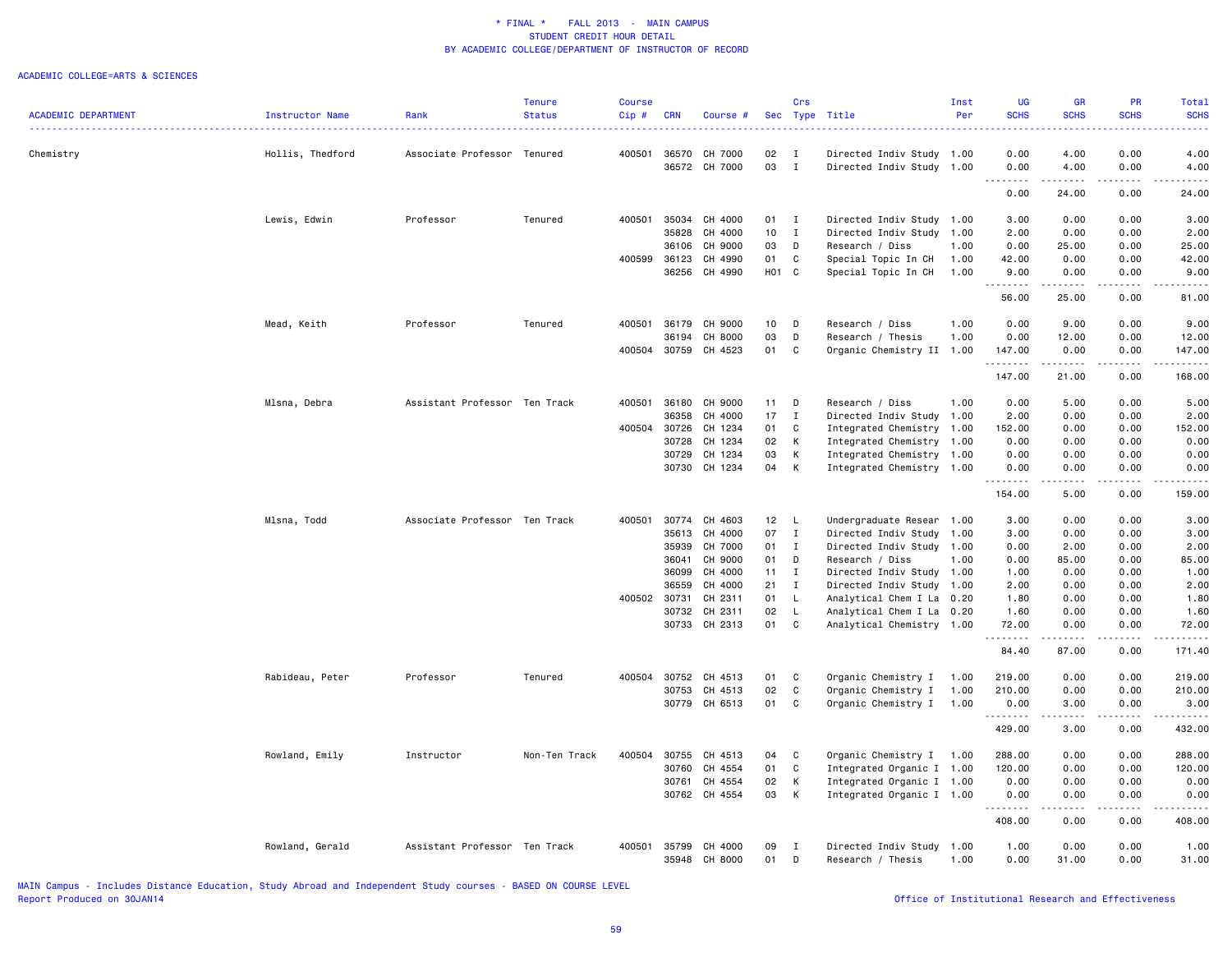|                            |                  |                               | <b>Tenure</b> | <b>Course</b> |              |               |       | Crs          |                           | Inst | UG                                                                                                                                       | GR                                                                                                                                                           | <b>PR</b>                           | Total              |
|----------------------------|------------------|-------------------------------|---------------|---------------|--------------|---------------|-------|--------------|---------------------------|------|------------------------------------------------------------------------------------------------------------------------------------------|--------------------------------------------------------------------------------------------------------------------------------------------------------------|-------------------------------------|--------------------|
| <b>ACADEMIC DEPARTMENT</b> | Instructor Name  | Rank                          | <b>Status</b> | Cip#          | <b>CRN</b>   | Course #      |       |              | Sec Type Title            | Per  | <b>SCHS</b><br>$\frac{1}{2} \left( \frac{1}{2} \right) \left( \frac{1}{2} \right) \left( \frac{1}{2} \right) \left( \frac{1}{2} \right)$ | <b>SCHS</b>                                                                                                                                                  | <b>SCHS</b>                         | <b>SCHS</b><br>.   |
|                            |                  |                               |               |               |              |               |       |              |                           |      |                                                                                                                                          |                                                                                                                                                              |                                     |                    |
| Chemistry                  | Hollis, Thedford | Associate Professor Tenured   |               | 400501        |              | 36570 CH 7000 | 02    | $\mathbf{I}$ | Directed Indiv Study 1.00 |      | 0.00                                                                                                                                     | 4.00                                                                                                                                                         | 0.00                                | 4.00               |
|                            |                  |                               |               |               | 36572        | CH 7000       | 03    | I            | Directed Indiv Study      | 1.00 | 0.00<br>.                                                                                                                                | 4.00<br>$\frac{1}{2} \left( \frac{1}{2} \right) \left( \frac{1}{2} \right) \left( \frac{1}{2} \right) \left( \frac{1}{2} \right) \left( \frac{1}{2} \right)$ | 0.00<br>.                           | 4.00<br>.          |
|                            |                  |                               |               |               |              |               |       |              |                           |      | 0.00                                                                                                                                     | 24.00                                                                                                                                                        | 0.00                                | 24.00              |
|                            | Lewis, Edwin     | Professor                     | Tenured       | 400501        | 35034        | CH 4000       | 01    | $\mathbf{I}$ | Directed Indiv Study 1.00 |      | 3.00                                                                                                                                     | 0.00                                                                                                                                                         | 0.00                                | 3.00               |
|                            |                  |                               |               |               | 35828        | CH 4000       | 10    | $\mathbf{I}$ | Directed Indiv Study      | 1.00 | 2.00                                                                                                                                     | 0.00                                                                                                                                                         | 0.00                                | 2.00               |
|                            |                  |                               |               |               | 36106        | CH 9000       | 03    | D            | Research / Diss           | 1.00 | 0.00                                                                                                                                     | 25.00                                                                                                                                                        | 0.00                                | 25.00              |
|                            |                  |                               |               | 400599        | 36123        | CH 4990       | 01    | C            | Special Topic In CH       | 1.00 | 42.00                                                                                                                                    | 0.00                                                                                                                                                         | 0.00                                | 42.00              |
|                            |                  |                               |               |               | 36256        | CH 4990       | H01 C |              | Special Topic In CH       | 1.00 | 9.00<br>-----                                                                                                                            | 0.00<br>د د د د د                                                                                                                                            | 0.00<br>$\sim$ $\sim$ $\sim$ $\sim$ | 9.00<br>والمناصبات |
|                            |                  |                               |               |               |              |               |       |              |                           |      | 56.00                                                                                                                                    | 25.00                                                                                                                                                        | 0.00                                | 81.00              |
|                            | Mead, Keith      | Professor                     | Tenured       | 400501        | 36179        | CH 9000       | 10    | D            | Research / Diss           | 1.00 | 0.00                                                                                                                                     | 9.00                                                                                                                                                         | 0.00                                | 9.00               |
|                            |                  |                               |               |               | 36194        | CH 8000       | 03    | D            | Research / Thesis         | 1.00 | 0.00                                                                                                                                     | 12.00                                                                                                                                                        | 0.00                                | 12.00              |
|                            |                  |                               |               |               | 400504 30759 | CH 4523       | 01    | C            | Organic Chemistry II 1.00 |      | 147.00<br>.                                                                                                                              | 0.00<br>.                                                                                                                                                    | 0.00<br>.                           | 147.00<br>.        |
|                            |                  |                               |               |               |              |               |       |              |                           |      | 147.00                                                                                                                                   | 21.00                                                                                                                                                        | 0.00                                | 168.00             |
|                            | Mlsna, Debra     | Assistant Professor Ten Track |               | 400501        | 36180        | CH 9000       | 11    | D            | Research / Diss           | 1.00 | 0.00                                                                                                                                     | 5.00                                                                                                                                                         | 0.00                                | 5.00               |
|                            |                  |                               |               |               | 36358        | CH 4000       | 17    | $\mathbf{I}$ | Directed Indiv Study      | 1.00 | 2.00                                                                                                                                     | 0.00                                                                                                                                                         | 0.00                                | 2.00               |
|                            |                  |                               |               | 400504        | 30726        | CH 1234       | 01    | C            | Integrated Chemistry 1.00 |      | 152.00                                                                                                                                   | 0.00                                                                                                                                                         | 0.00                                | 152.00             |
|                            |                  |                               |               |               | 30728        | CH 1234       | 02    | K            | Integrated Chemistry 1.00 |      | 0.00                                                                                                                                     | 0.00                                                                                                                                                         | 0.00                                | 0.00               |
|                            |                  |                               |               |               | 30729        | CH 1234       | 03    | K            | Integrated Chemistry 1.00 |      | 0.00                                                                                                                                     | 0.00                                                                                                                                                         | 0.00                                | 0.00               |
|                            |                  |                               |               |               | 30730        | CH 1234       | 04    | К            | Integrated Chemistry      | 1.00 | 0.00                                                                                                                                     | 0.00                                                                                                                                                         | 0.00                                | 0.00               |
|                            |                  |                               |               |               |              |               |       |              |                           |      | .<br>154.00                                                                                                                              | 5.00                                                                                                                                                         | 0.00                                | 159.00             |
|                            | Mlsna, Todd      | Associate Professor Ten Track |               | 400501        | 30774        | CH 4603       | 12    | L            | Undergraduate Resear 1.00 |      | 3.00                                                                                                                                     | 0.00                                                                                                                                                         | 0.00                                | 3.00               |
|                            |                  |                               |               |               | 35613        | CH 4000       | 07    | $\mathbf I$  | Directed Indiv Study      | 1.00 | 3.00                                                                                                                                     | 0.00                                                                                                                                                         | 0.00                                | 3.00               |
|                            |                  |                               |               |               | 35939        | CH 7000       | 01    | Ι            | Directed Indiv Study      | 1.00 | 0.00                                                                                                                                     | 2.00                                                                                                                                                         | 0.00                                | 2.00               |
|                            |                  |                               |               |               | 36041        | CH 9000       | 01    | D            | Research / Diss           | 1.00 | 0.00                                                                                                                                     | 85.00                                                                                                                                                        | 0.00                                | 85.00              |
|                            |                  |                               |               |               | 36099        | CH 4000       | 11    | $\mathbf{I}$ | Directed Indiv Study      | 1.00 | 1.00                                                                                                                                     | 0.00                                                                                                                                                         | 0.00                                | 1.00               |
|                            |                  |                               |               |               | 36559        | CH 4000       | 21    | $\mathbf{I}$ | Directed Indiv Study 1.00 |      | 2.00                                                                                                                                     | 0.00                                                                                                                                                         | 0.00                                | 2.00               |
|                            |                  |                               |               | 400502 30731  |              | CH 2311       | 01    | $\mathsf L$  | Analytical Chem I La      | 0.20 | 1.80                                                                                                                                     | 0.00                                                                                                                                                         | 0.00                                | 1.80               |
|                            |                  |                               |               |               | 30732        | CH 2311       | 02    | L            | Analytical Chem I La      | 0.20 | 1.60                                                                                                                                     | 0.00                                                                                                                                                         | 0.00                                | 1.60               |
|                            |                  |                               |               |               |              | 30733 CH 2313 | 01    | C            | Analytical Chemistry 1.00 |      | 72.00<br>.                                                                                                                               | 0.00<br>.                                                                                                                                                    | 0.00<br>.                           | 72.00<br>.         |
|                            |                  |                               |               |               |              |               |       |              |                           |      | 84.40                                                                                                                                    | 87.00                                                                                                                                                        | 0.00                                | 171.40             |
|                            | Rabideau, Peter  | Professor                     | Tenured       | 400504        | 30752        | CH 4513       | 01    | C            | Organic Chemistry I       | 1.00 | 219.00                                                                                                                                   | 0.00                                                                                                                                                         | 0.00                                | 219.00             |
|                            |                  |                               |               |               | 30753        | CH 4513       | 02    | C            | Organic Chemistry I       | 1.00 | 210.00                                                                                                                                   | 0.00                                                                                                                                                         | 0.00                                | 210.00             |
|                            |                  |                               |               |               |              | 30779 CH 6513 | 01    | C            | Organic Chemistry I       | 1.00 | 0.00                                                                                                                                     | 3.00                                                                                                                                                         | 0.00                                | 3.00               |
|                            |                  |                               |               |               |              |               |       |              |                           |      | .<br>429.00                                                                                                                              | .<br>3.00                                                                                                                                                    | 2.2.2.2.2<br>0.00                   | <u>.</u><br>432.00 |
|                            | Rowland, Emily   | Instructor                    | Non-Ten Track | 400504        | 30755        | CH 4513       | 04    | C            | Organic Chemistry I       | 1.00 | 288.00                                                                                                                                   | 0.00                                                                                                                                                         | 0.00                                | 288.00             |
|                            |                  |                               |               |               | 30760        | CH 4554       | 01    | C            | Integrated Organic I      | 1.00 | 120.00                                                                                                                                   | 0.00                                                                                                                                                         | 0.00                                | 120.00             |
|                            |                  |                               |               |               | 30761        | CH 4554       | 02    | К            | Integrated Organic I 1.00 |      | 0.00                                                                                                                                     | 0.00                                                                                                                                                         | 0.00                                | 0.00               |
|                            |                  |                               |               |               |              | 30762 CH 4554 | 03    | K            | Integrated Organic I 1.00 |      | 0.00                                                                                                                                     | 0.00                                                                                                                                                         | 0.00<br>.                           | 0.00               |
|                            |                  |                               |               |               |              |               |       |              |                           |      | .<br>408.00                                                                                                                              | .<br>0.00                                                                                                                                                    | 0.00                                | .<br>408.00        |
|                            | Rowland, Gerald  | Assistant Professor Ten Track |               | 400501        | 35799        | CH 4000       | 09    | <b>I</b>     | Directed Indiv Study      | 1.00 | 1.00                                                                                                                                     | 0.00                                                                                                                                                         | 0.00                                | 1.00               |
|                            |                  |                               |               |               | 35948        | CH 8000       | 01    | D            | Research / Thesis         | 1.00 | 0.00                                                                                                                                     | 31.00                                                                                                                                                        | 0.00                                | 31.00              |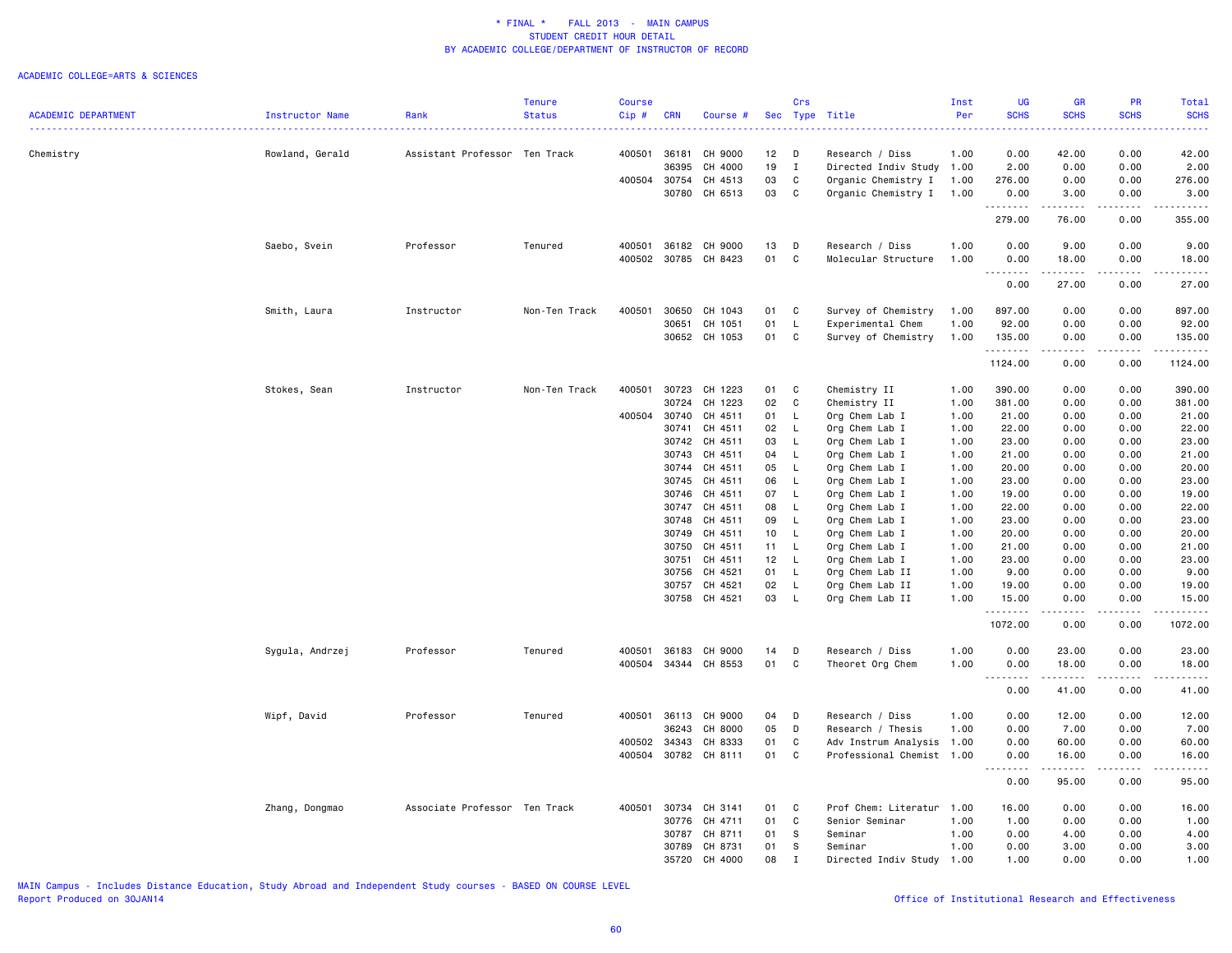#### ACADEMIC COLLEGE=ARTS & SCIENCES

|                            |                 |                               | <b>Tenure</b> | <b>Course</b> |            |                      |                 | Crs          |                           | Inst | <b>UG</b>        | <b>GR</b>                                                                                                                                                     | PR          | Total                    |
|----------------------------|-----------------|-------------------------------|---------------|---------------|------------|----------------------|-----------------|--------------|---------------------------|------|------------------|---------------------------------------------------------------------------------------------------------------------------------------------------------------|-------------|--------------------------|
| <b>ACADEMIC DEPARTMENT</b> | Instructor Name | Rank                          | <b>Status</b> | Cip#          | <b>CRN</b> | Course #             |                 |              | Sec Type Title            | Per  | <b>SCHS</b>      | <b>SCHS</b>                                                                                                                                                   | <b>SCHS</b> | <b>SCHS</b>              |
|                            |                 |                               |               |               |            |                      |                 |              |                           |      |                  |                                                                                                                                                               |             |                          |
| Chemistry                  | Rowland, Gerald | Assistant Professor Ten Track |               | 400501 36181  |            | CH 9000              | 12              | D            | Research / Diss           | 1.00 | 0.00             | 42.00                                                                                                                                                         | 0.00        | 42.00                    |
|                            |                 |                               |               |               | 36395      | CH 4000              | 19              | I            | Directed Indiv Study      | 1.00 | 2.00             | 0.00                                                                                                                                                          | 0.00        | 2.00                     |
|                            |                 |                               |               | 400504        | 30754      | CH 4513              | 03              | C            | Organic Chemistry I       | 1.00 | 276.00           | 0.00                                                                                                                                                          | 0.00        | 276.00                   |
|                            |                 |                               |               |               | 30780      | CH 6513              | 03              | C            | Organic Chemistry I       | 1.00 | 0.00<br>.        | 3.00<br>.                                                                                                                                                     | 0.00<br>.   | 3.00<br>.                |
|                            |                 |                               |               |               |            |                      |                 |              |                           |      | 279.00           | 76.00                                                                                                                                                         | 0.00        | 355.00                   |
|                            | Saebo, Svein    | Professor                     | Tenured       | 400501        |            | 36182 CH 9000        | 13              | D            | Research / Diss           | 1.00 | 0.00             | 9.00                                                                                                                                                          | 0.00        | 9.00                     |
|                            |                 |                               |               | 400502        | 30785      | CH 8423              | 01              | C            | Molecular Structure       | 1.00 | 0.00<br><u>.</u> | 18.00<br>$- - - - -$                                                                                                                                          | 0.00        | 18.00                    |
|                            |                 |                               |               |               |            |                      |                 |              |                           |      | 0.00             | 27.00                                                                                                                                                         | 0.00        | 27.00                    |
|                            | Smith, Laura    | Instructor                    | Non-Ten Track | 400501        | 30650      | CH 1043              | 01              | C            | Survey of Chemistry       | 1.00 | 897.00           | 0.00                                                                                                                                                          | 0.00        | 897.00                   |
|                            |                 |                               |               |               | 30651      | CH 1051              | 01              | L            | Experimental Chem         | 1.00 | 92.00            | 0.00                                                                                                                                                          | 0.00        | 92.00                    |
|                            |                 |                               |               |               |            | 30652 CH 1053        | 01              | C            | Survey of Chemistry       | 1.00 | 135.00<br>.      | 0.00<br>.                                                                                                                                                     | 0.00<br>.   | 135.00<br>الداعات عالمات |
|                            |                 |                               |               |               |            |                      |                 |              |                           |      | 1124.00          | 0.00                                                                                                                                                          | 0.00        | 1124.00                  |
|                            | Stokes, Sean    | Instructor                    | Non-Ten Track | 400501        | 30723      | CH 1223              | 01              | C            | Chemistry II              | 1.00 | 390.00           | 0.00                                                                                                                                                          | 0.00        | 390.00                   |
|                            |                 |                               |               |               | 30724      | CH 1223              | 02              | C            | Chemistry II              | 1.00 | 381.00           | 0.00                                                                                                                                                          | 0.00        | 381.00                   |
|                            |                 |                               |               | 400504        | 30740      | CH 4511              | 01              | $\mathsf{L}$ | Org Chem Lab I            | 1.00 | 21.00            | 0.00                                                                                                                                                          | 0.00        | 21.00                    |
|                            |                 |                               |               |               | 30741      | CH 4511              | 02              | $\mathsf{L}$ | Org Chem Lab I            | 1.00 | 22.00            | 0.00                                                                                                                                                          | 0.00        | 22.00                    |
|                            |                 |                               |               |               | 30742      | CH 4511              | 03              | $\mathsf{L}$ | Org Chem Lab I            | 1.00 | 23.00            | 0.00                                                                                                                                                          | 0.00        | 23.00                    |
|                            |                 |                               |               |               | 30743      | CH 4511              | 04              | - L          | Org Chem Lab I            | 1.00 | 21.00            | 0.00                                                                                                                                                          | 0.00        | 21.00                    |
|                            |                 |                               |               |               | 30744      | CH 4511              | 05              | $\mathsf{L}$ | Org Chem Lab I            | 1.00 | 20.00            | 0.00                                                                                                                                                          | 0.00        | 20.00                    |
|                            |                 |                               |               |               | 30745      | CH 4511              | 06              | L            | Org Chem Lab I            | 1.00 | 23.00            | 0.00                                                                                                                                                          | 0.00        | 23.00                    |
|                            |                 |                               |               |               | 30746      | CH 4511              | 07              | $\mathsf{L}$ | Org Chem Lab I            | 1.00 | 19.00            | 0.00                                                                                                                                                          | 0.00        | 19.00                    |
|                            |                 |                               |               |               | 30747      | CH 4511              | 08              | $\mathsf{L}$ | Org Chem Lab I            | 1.00 | 22.00            | 0.00                                                                                                                                                          | 0.00        | 22.00                    |
|                            |                 |                               |               |               | 30748      | CH 4511              | 09              | L.           | Org Chem Lab I            | 1.00 | 23.00            | 0.00                                                                                                                                                          | 0.00        | 23.00                    |
|                            |                 |                               |               |               |            |                      |                 |              |                           |      |                  |                                                                                                                                                               |             |                          |
|                            |                 |                               |               |               | 30749      | CH 4511              | 10 <sub>1</sub> | $\mathsf{L}$ | Org Chem Lab I            | 1.00 | 20.00            | 0.00                                                                                                                                                          | 0.00        | 20.00                    |
|                            |                 |                               |               |               | 30750      | CH 4511              | 11 L            |              | Org Chem Lab I            | 1.00 | 21.00            | 0.00                                                                                                                                                          | 0.00        | 21.00                    |
|                            |                 |                               |               |               | 30751      | CH 4511              | 12              | $\mathsf{L}$ | Org Chem Lab I            | 1.00 | 23.00            | 0.00                                                                                                                                                          | 0.00        | 23.00                    |
|                            |                 |                               |               |               | 30756      | CH 4521              | 01              | L.           | Org Chem Lab II           | 1.00 | 9.00             | 0.00                                                                                                                                                          | 0.00        | 9.00                     |
|                            |                 |                               |               |               | 30757      | CH 4521              | 02              | $\mathsf{L}$ | Org Chem Lab II           | 1.00 | 19.00            | 0.00                                                                                                                                                          | 0.00        | 19.00                    |
|                            |                 |                               |               |               |            | 30758 CH 4521        | 03              | $\mathsf{L}$ | Org Chem Lab II           | 1.00 | 15.00<br>.       | 0.00<br>.                                                                                                                                                     | 0.00<br>.   | 15.00<br><u>.</u>        |
|                            |                 |                               |               |               |            |                      |                 |              |                           |      | 1072.00          | 0.00                                                                                                                                                          | 0.00        | 1072.00                  |
|                            | Sygula, Andrzej | Professor                     | Tenured       | 400501        | 36183      | CH 9000              | 14              | D            | Research / Diss           | 1.00 | 0.00             | 23.00                                                                                                                                                         | 0.00        | 23.00                    |
|                            |                 |                               |               |               |            | 400504 34344 CH 8553 | 01              | C            | Theoret Org Chem          | 1.00 | 0.00             | 18.00                                                                                                                                                         | 0.00        | 18.00                    |
|                            |                 |                               |               |               |            |                      |                 |              |                           |      | .<br>0.00        | .<br>41.00                                                                                                                                                    | .<br>0.00   | ------<br>41.00          |
|                            | Wipf, David     | Professor                     | Tenured       | 400501        | 36113      | CH 9000              | 04              | D            | Research / Diss           | 1.00 | 0.00             | 12.00                                                                                                                                                         | 0.00        | 12.00                    |
|                            |                 |                               |               |               | 36243      | CH 8000              | 05              | D            | Research / Thesis         | 1.00 | 0.00             | 7.00                                                                                                                                                          | 0.00        | 7.00                     |
|                            |                 |                               |               | 400502        | 34343      | CH 8333              | 01              | C            | Adv Instrum Analysis 1.00 |      | 0.00             | 60.00                                                                                                                                                         | 0.00        | 60.00                    |
|                            |                 |                               |               | 400504        |            | 30782 CH 8111        | 01              | C            | Professional Chemist 1.00 |      | 0.00             | 16.00                                                                                                                                                         | 0.00        | 16.00                    |
|                            |                 |                               |               |               |            |                      |                 |              |                           |      | .<br>0.00        | $\frac{1}{2} \left( \frac{1}{2} \right) \left( \frac{1}{2} \right) \left( \frac{1}{2} \right) \left( \frac{1}{2} \right) \left( \frac{1}{2} \right)$<br>95.00 | 0.00        | 95.00                    |
|                            |                 | Associate Professor Ten Track |               | 400501        | 30734      | CH 3141              | 01              | C            | Prof Chem: Literatur      | 1.00 | 16.00            | 0.00                                                                                                                                                          | 0.00        | 16.00                    |
|                            | Zhang, Dongmao  |                               |               |               |            |                      |                 |              |                           |      |                  |                                                                                                                                                               |             |                          |
|                            |                 |                               |               |               | 30776      | CH 4711              | 01              | C            | Senior Seminar            | 1.00 | 1.00             | 0.00                                                                                                                                                          | 0.00        | 1.00                     |
|                            |                 |                               |               |               | 30787      | CH 8711              | 01              | s            | Seminar                   | 1.00 | 0.00             | 4.00                                                                                                                                                          | 0.00        | 4.00                     |
|                            |                 |                               |               |               | 30789      | CH 8731              | 01              | s            | Seminar                   | 1.00 | 0.00             | 3.00                                                                                                                                                          | 0.00        | 3.00                     |
|                            |                 |                               |               |               | 35720      | CH 4000              | 08              | $\mathbf I$  | Directed Indiv Study      | 1.00 | 1.00             | 0.00                                                                                                                                                          | 0.00        | 1.00                     |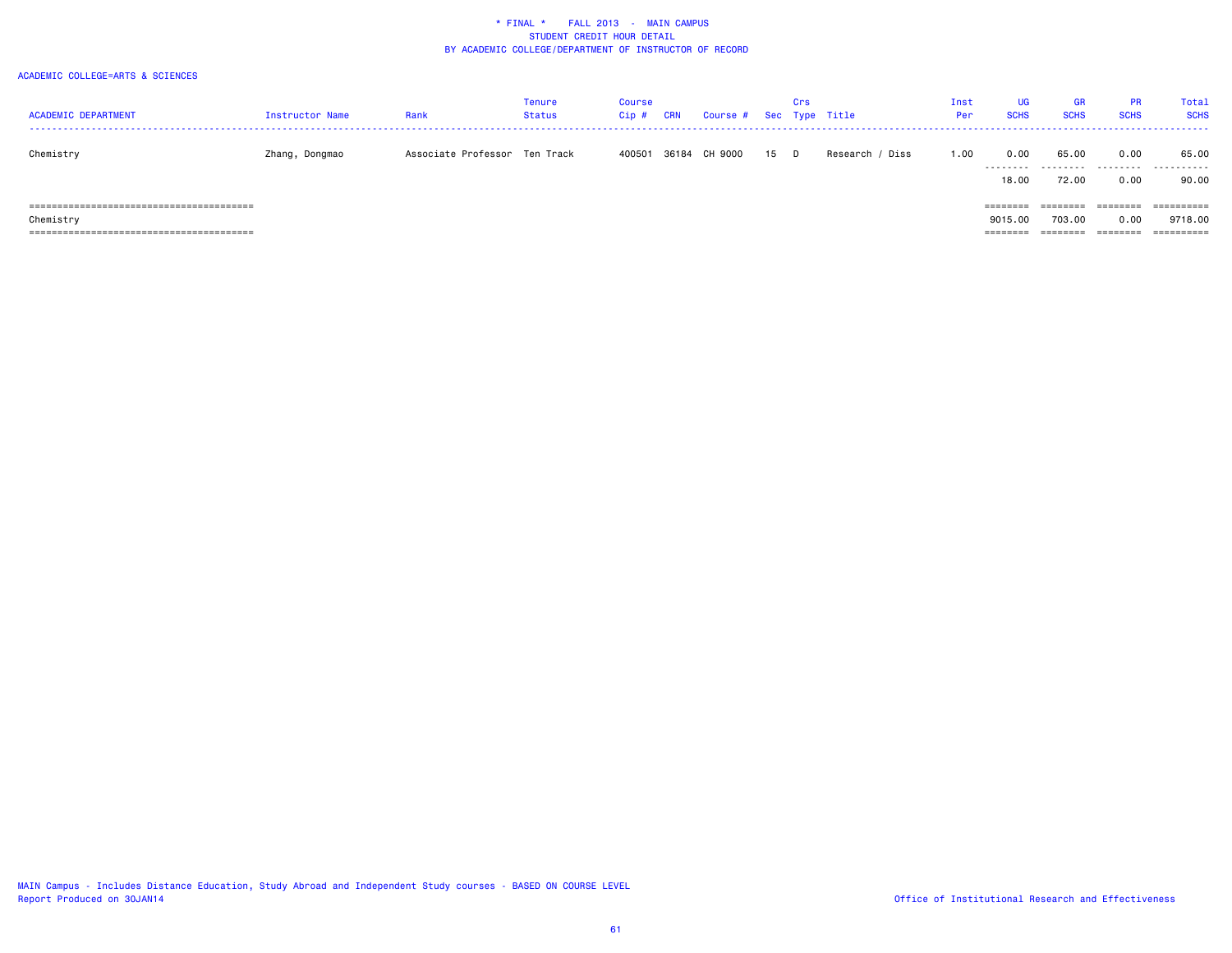| <b>ACADEMIC DEPARTMENT</b> | Instructor Name | Rank                          | Tenure<br>Status | Course<br>Cip # | CRN | Course # Sec Type Title |      | Crs |                 | Inst<br>Per | <b>UG</b><br><b>SCHS</b> | <b>GR</b><br><b>SCHS</b> | <b>PR</b><br><b>SCHS</b> | Total<br><b>SCHS</b> |
|----------------------------|-----------------|-------------------------------|------------------|-----------------|-----|-------------------------|------|-----|-----------------|-------------|--------------------------|--------------------------|--------------------------|----------------------|
|                            |                 |                               |                  |                 |     |                         |      |     |                 |             |                          |                          |                          |                      |
| Chemistry                  | Zhang, Dongmao  | Associate Professor Ten Track |                  |                 |     | 400501 36184 CH 9000    | 15 D |     | Research / Diss | 1.00        | 0.00                     | 65.00                    | 0.00                     | 65.00                |
|                            |                 |                               |                  |                 |     |                         |      |     |                 |             |                          |                          | .                        | .                    |
|                            |                 |                               |                  |                 |     |                         |      |     |                 |             | 18,00                    | 72.00                    | 0.00                     | 90.00                |
|                            |                 |                               |                  |                 |     |                         |      |     |                 |             | ========                 | ========                 | ========                 | ==========           |
| Chemistry                  |                 |                               |                  |                 |     |                         |      |     |                 |             | 9015,00                  | 703.00                   | 0.00                     | 9718.00              |
|                            |                 |                               |                  |                 |     |                         |      |     |                 |             | ========                 |                          |                          | ==========           |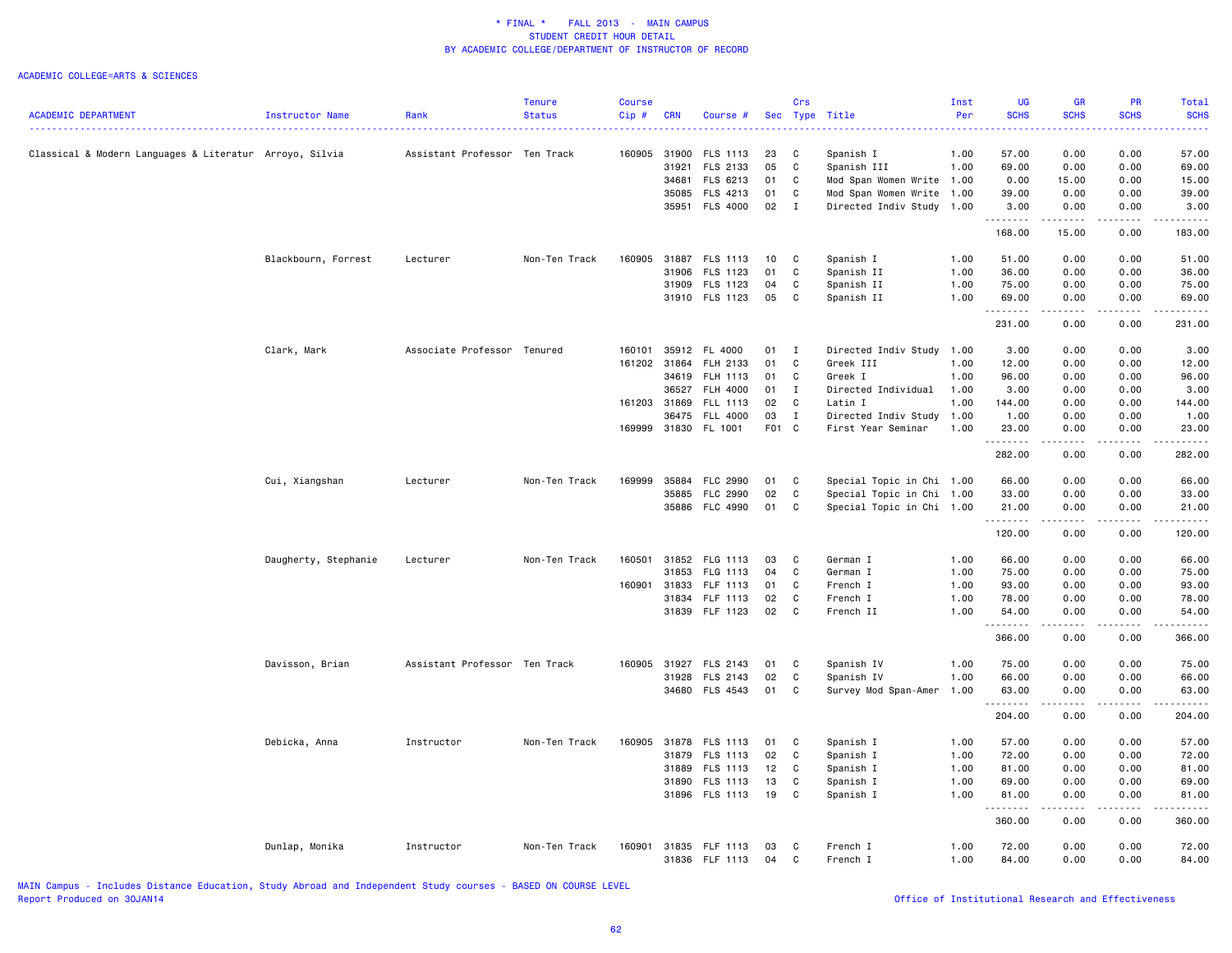|                                                         |                      |                               | <b>Tenure</b> | <b>Course</b> |            |                      |       | Crs          |                           | Inst | UG          | GR                                                                                                                        | <b>PR</b>                                                                                                                                                    | Total                                                                                                                                                                                     |
|---------------------------------------------------------|----------------------|-------------------------------|---------------|---------------|------------|----------------------|-------|--------------|---------------------------|------|-------------|---------------------------------------------------------------------------------------------------------------------------|--------------------------------------------------------------------------------------------------------------------------------------------------------------|-------------------------------------------------------------------------------------------------------------------------------------------------------------------------------------------|
| <b>ACADEMIC DEPARTMENT</b>                              | Instructor Name      | Rank                          | <b>Status</b> | Cip#          | <b>CRN</b> | Course #             | Sec   |              | Type Title                | Per  | <b>SCHS</b> | <b>SCHS</b>                                                                                                               | <b>SCHS</b>                                                                                                                                                  | <b>SCHS</b>                                                                                                                                                                               |
|                                                         |                      |                               |               |               |            |                      |       |              |                           |      | .           | . د د د د                                                                                                                 | .                                                                                                                                                            | .                                                                                                                                                                                         |
| Classical & Modern Languages & Literatur Arroyo, Silvia |                      | Assistant Professor Ten Track |               | 160905 31900  |            | FLS 1113             | 23    | C            | Spanish I                 | 1.00 | 57.00       | 0.00                                                                                                                      | 0.00                                                                                                                                                         | 57.00                                                                                                                                                                                     |
|                                                         |                      |                               |               |               | 31921      | FLS 2133             | 05    | C            | Spanish III               | 1.00 | 69.00       | 0.00                                                                                                                      | 0.00                                                                                                                                                         | 69.00                                                                                                                                                                                     |
|                                                         |                      |                               |               |               | 34681      | FLS 6213             | 01    | C            | Mod Span Women Write 1.00 |      | 0.00        | 15.00                                                                                                                     | 0.00                                                                                                                                                         | 15.00                                                                                                                                                                                     |
|                                                         |                      |                               |               |               | 35085      | FLS 4213             | 01    | C            | Mod Span Women Write      | 1.00 | 39.00       | 0.00                                                                                                                      | 0.00                                                                                                                                                         | 39.00                                                                                                                                                                                     |
|                                                         |                      |                               |               |               |            | 35951 FLS 4000       | 02    | $\mathbf{I}$ | Directed Indiv Study      | 1.00 | 3.00        | 0.00                                                                                                                      | 0.00                                                                                                                                                         | 3.00                                                                                                                                                                                      |
|                                                         |                      |                               |               |               |            |                      |       |              |                           |      | .<br>168.00 | .<br>15.00                                                                                                                | $\omega$ is a set of<br>0.00                                                                                                                                 | 2.2.2.2.2.3<br>183.00                                                                                                                                                                     |
|                                                         | Blackbourn, Forrest  | Lecturer                      | Non-Ten Track | 160905        |            | 31887 FLS 1113       | 10    | $\mathbf{C}$ | Spanish I                 | 1.00 | 51.00       | 0.00                                                                                                                      | 0.00                                                                                                                                                         | 51.00                                                                                                                                                                                     |
|                                                         |                      |                               |               |               | 31906      | FLS 1123             | 01    | C            | Spanish II                | 1.00 | 36.00       | 0.00                                                                                                                      | 0.00                                                                                                                                                         | 36.00                                                                                                                                                                                     |
|                                                         |                      |                               |               |               | 31909      | FLS 1123             | 04    | C            | Spanish II                | 1.00 | 75.00       | 0.00                                                                                                                      | 0.00                                                                                                                                                         | 75.00                                                                                                                                                                                     |
|                                                         |                      |                               |               |               |            | 31910 FLS 1123       | 05    | C            | Spanish II                | 1.00 | 69.00       | 0.00                                                                                                                      | 0.00                                                                                                                                                         | 69.00                                                                                                                                                                                     |
|                                                         |                      |                               |               |               |            |                      |       |              |                           |      | .           | .                                                                                                                         | $\frac{1}{2} \left( \frac{1}{2} \right) \left( \frac{1}{2} \right) \left( \frac{1}{2} \right) \left( \frac{1}{2} \right) \left( \frac{1}{2} \right)$         | .                                                                                                                                                                                         |
|                                                         |                      |                               |               |               |            |                      |       |              |                           |      | 231.00      | 0.00                                                                                                                      | 0.00                                                                                                                                                         | 231.00                                                                                                                                                                                    |
|                                                         | Clark, Mark          | Associate Professor Tenured   |               | 160101        | 35912      | FL 4000              | 01    | $\mathbf{I}$ | Directed Indiv Study      | 1.00 | 3.00        | 0.00                                                                                                                      | 0.00                                                                                                                                                         | 3.00                                                                                                                                                                                      |
|                                                         |                      |                               |               | 161202        | 31864      | FLH 2133             | 01    | C            | Greek III                 | 1.00 | 12.00       | 0.00                                                                                                                      | 0.00                                                                                                                                                         | 12.00                                                                                                                                                                                     |
|                                                         |                      |                               |               |               | 34619      | <b>FLH 1113</b>      | 01    | C            | Greek I                   | 1.00 | 96.00       | 0.00                                                                                                                      | 0.00                                                                                                                                                         | 96.00                                                                                                                                                                                     |
|                                                         |                      |                               |               |               | 36527      | FLH 4000             | 01    | I            | Directed Individual       | 1.00 | 3.00        | 0.00                                                                                                                      | 0.00                                                                                                                                                         | 3.00                                                                                                                                                                                      |
|                                                         |                      |                               |               | 161203 31869  |            | FLL 1113             | 02    | C            | Latin I                   | 1.00 | 144.00      | 0.00                                                                                                                      | 0.00                                                                                                                                                         | 144.00                                                                                                                                                                                    |
|                                                         |                      |                               |               |               | 36475      | <b>FLL 4000</b>      | 03    | $\mathbf{I}$ | Directed Indiv Study      | 1.00 | 1.00        | 0.00                                                                                                                      | 0.00                                                                                                                                                         | 1.00                                                                                                                                                                                      |
|                                                         |                      |                               |               |               |            | 169999 31830 FL 1001 | F01 C |              | First Year Seminar        | 1.00 | 23.00       | 0.00                                                                                                                      | 0.00                                                                                                                                                         | 23.00                                                                                                                                                                                     |
|                                                         |                      |                               |               |               |            |                      |       |              |                           |      | .<br>282.00 | $\omega_{\alpha}=\omega_{\alpha}=\omega_{\alpha}$<br>0.00                                                                 | .<br>0.00                                                                                                                                                    | $\frac{1}{2} \left( \frac{1}{2} \right) \left( \frac{1}{2} \right) \left( \frac{1}{2} \right) \left( \frac{1}{2} \right) \left( \frac{1}{2} \right) \left( \frac{1}{2} \right)$<br>282.00 |
|                                                         | Cui, Xiangshan       | Lecturer                      | Non-Ten Track | 169999        | 35884      | <b>FLC 2990</b>      | 01    | C            | Special Topic in Chi 1.00 |      | 66.00       | 0.00                                                                                                                      | 0.00                                                                                                                                                         | 66.00                                                                                                                                                                                     |
|                                                         |                      |                               |               |               | 35885      | <b>FLC 2990</b>      | 02    | C            | Special Topic in Chi 1.00 |      | 33.00       | 0.00                                                                                                                      | 0.00                                                                                                                                                         | 33.00                                                                                                                                                                                     |
|                                                         |                      |                               |               |               | 35886      | FLC 4990             | 01    | C            | Special Topic in Chi 1.00 |      | 21.00       | 0.00                                                                                                                      | 0.00                                                                                                                                                         | 21.00                                                                                                                                                                                     |
|                                                         |                      |                               |               |               |            |                      |       |              |                           |      | .           | $\frac{1}{2} \left( \frac{1}{2} \right) \left( \frac{1}{2} \right) \left( \frac{1}{2} \right) \left( \frac{1}{2} \right)$ | .                                                                                                                                                            | .                                                                                                                                                                                         |
|                                                         |                      |                               |               |               |            |                      |       |              |                           |      | 120.00      | 0.00                                                                                                                      | 0.00                                                                                                                                                         | 120.00                                                                                                                                                                                    |
|                                                         | Daugherty, Stephanie | Lecturer                      | Non-Ten Track | 160501        | 31852      | FLG 1113             | 03    | C            | German I                  | 1.00 | 66.00       | 0.00                                                                                                                      | 0.00                                                                                                                                                         | 66.00                                                                                                                                                                                     |
|                                                         |                      |                               |               |               | 31853      | FLG 1113             | 04    | C            | German I                  | 1.00 | 75.00       | 0.00                                                                                                                      | 0.00                                                                                                                                                         | 75.00                                                                                                                                                                                     |
|                                                         |                      |                               |               | 160901        | 31833      | FLF 1113             | 01    | C            | French I                  | 1.00 | 93.00       | 0.00                                                                                                                      | 0.00                                                                                                                                                         | 93.00                                                                                                                                                                                     |
|                                                         |                      |                               |               |               | 31834      | FLF 1113             | 02    | C            | French I                  | 1.00 | 78.00       | 0.00                                                                                                                      | 0.00                                                                                                                                                         | 78.00                                                                                                                                                                                     |
|                                                         |                      |                               |               |               |            | 31839 FLF 1123       | 02    | C            | French II                 | 1.00 | 54.00       | 0.00                                                                                                                      | 0.00                                                                                                                                                         | 54.00                                                                                                                                                                                     |
|                                                         |                      |                               |               |               |            |                      |       |              |                           |      | .<br>366.00 | .<br>0.00                                                                                                                 | الأعامات<br>0.00                                                                                                                                             | .<br>366.00                                                                                                                                                                               |
|                                                         |                      | Assistant Professor Ten Track |               | 160905        | 31927      | FLS 2143             | 01    | C            | Spanish IV                | 1.00 | 75.00       | 0.00                                                                                                                      | 0.00                                                                                                                                                         | 75.00                                                                                                                                                                                     |
|                                                         | Davisson, Brian      |                               |               |               | 31928      | FLS 2143             | 02    | $\mathtt{C}$ | Spanish IV                | 1.00 | 66.00       | 0.00                                                                                                                      | 0.00                                                                                                                                                         | 66.00                                                                                                                                                                                     |
|                                                         |                      |                               |               |               |            | 34680 FLS 4543       | 01    | C            | Survey Mod Span-Amer      | 1.00 | 63.00       | 0.00                                                                                                                      | 0.00                                                                                                                                                         | 63.00                                                                                                                                                                                     |
|                                                         |                      |                               |               |               |            |                      |       |              |                           |      | .<br>204.00 | -----<br>0.00                                                                                                             | $\frac{1}{2} \left( \frac{1}{2} \right) \left( \frac{1}{2} \right) \left( \frac{1}{2} \right) \left( \frac{1}{2} \right) \left( \frac{1}{2} \right)$<br>0.00 | .<br>204.00                                                                                                                                                                               |
|                                                         |                      |                               |               |               |            |                      |       |              |                           |      |             |                                                                                                                           |                                                                                                                                                              |                                                                                                                                                                                           |
|                                                         | Debicka, Anna        | Instructor                    | Non-Ten Track | 160905        | 31878      | FLS 1113             | 01    | C            | Spanish I                 | 1.00 | 57.00       | 0.00                                                                                                                      | 0.00                                                                                                                                                         | 57.00                                                                                                                                                                                     |
|                                                         |                      |                               |               |               | 31879      | FLS 1113             | 02    | C            | Spanish I                 | 1.00 | 72.00       | 0.00                                                                                                                      | 0.00                                                                                                                                                         | 72.00                                                                                                                                                                                     |
|                                                         |                      |                               |               |               | 31889      | FLS 1113             | 12    | C            | Spanish I                 | 1.00 | 81.00       | 0.00                                                                                                                      | 0.00                                                                                                                                                         | 81.00                                                                                                                                                                                     |
|                                                         |                      |                               |               |               | 31890      | FLS 1113             | 13    | C            | Spanish I                 | 1.00 | 69.00       | 0.00                                                                                                                      | 0.00                                                                                                                                                         | 69.00                                                                                                                                                                                     |
|                                                         |                      |                               |               |               |            | 31896 FLS 1113       | 19    | C            | Spanish I                 | 1.00 | 81.00<br>.  | 0.00<br>.                                                                                                                 | 0.00<br>.                                                                                                                                                    | 81.00<br>.                                                                                                                                                                                |
|                                                         |                      |                               |               |               |            |                      |       |              |                           |      | 360.00      | 0.00                                                                                                                      | 0.00                                                                                                                                                         | 360.00                                                                                                                                                                                    |
|                                                         | Dunlap, Monika       | Instructor                    | Non-Ten Track | 160901        |            | 31835 FLF 1113       | 03    | C            | French I                  | 1.00 | 72.00       | 0.00                                                                                                                      | 0.00                                                                                                                                                         | 72.00                                                                                                                                                                                     |
|                                                         |                      |                               |               |               |            | 31836 FLF 1113       | 04    | $\mathtt{C}$ | French I                  | 1.00 | 84.00       | 0.00                                                                                                                      | 0.00                                                                                                                                                         | 84.00                                                                                                                                                                                     |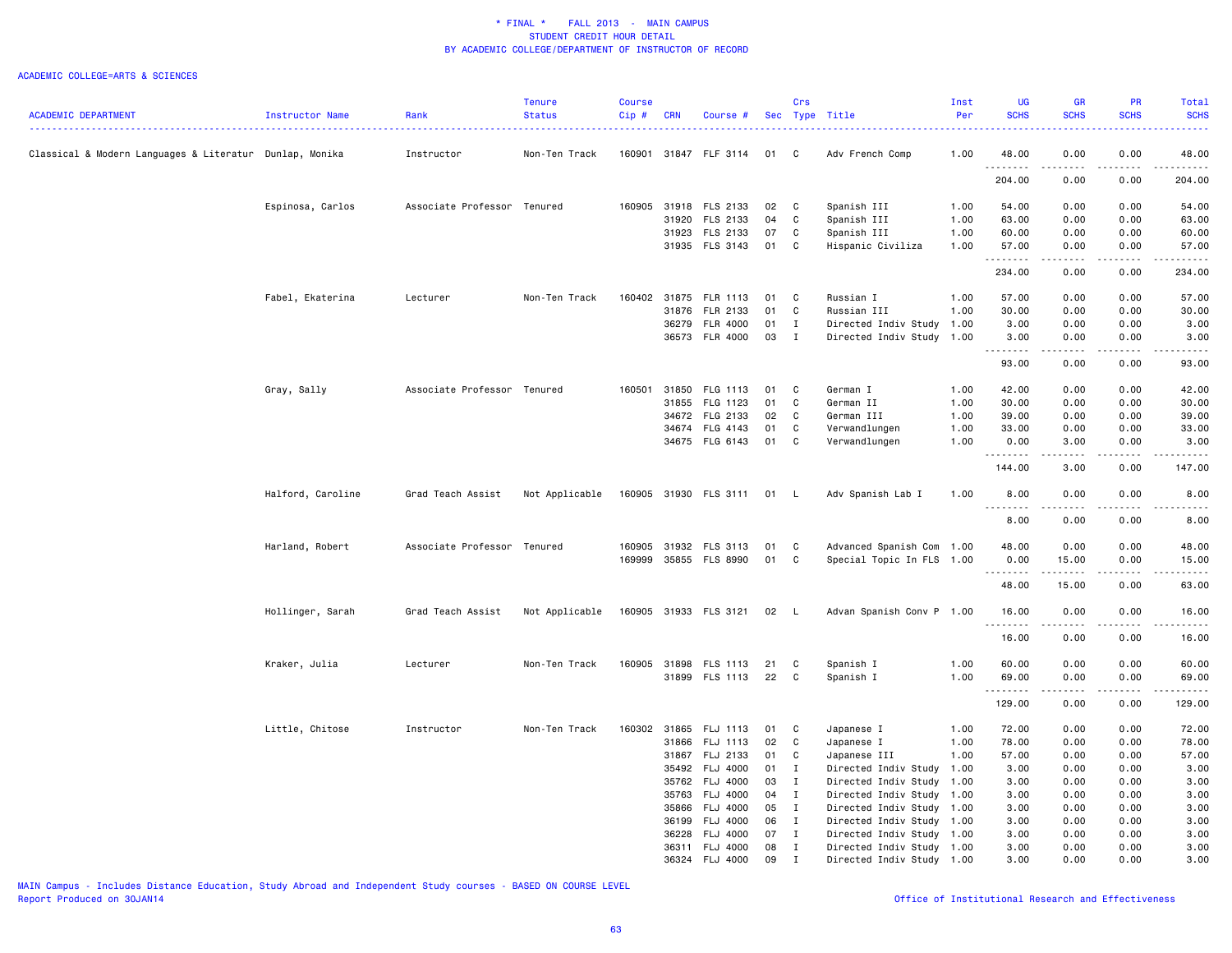### ACADEMIC COLLEGE=ARTS & SCIENCES

|                                                         |                   |                             | <b>Tenure</b>  | <b>Course</b> |            |                       |    | Crs          |                           | Inst | <b>UG</b>            | <b>GR</b>                      | <b>PR</b>             | Total                                                                                                                             |
|---------------------------------------------------------|-------------------|-----------------------------|----------------|---------------|------------|-----------------------|----|--------------|---------------------------|------|----------------------|--------------------------------|-----------------------|-----------------------------------------------------------------------------------------------------------------------------------|
| <b>ACADEMIC DEPARTMENT</b>                              | Instructor Name   | Rank                        | <b>Status</b>  | Cip#          | <b>CRN</b> | Course #              |    |              | Sec Type Title            | Per  | <b>SCHS</b>          | <b>SCHS</b>                    | <b>SCHS</b>           | <b>SCHS</b>                                                                                                                       |
| Classical & Modern Languages & Literatur Dunlap, Monika |                   | Instructor                  | Non-Ten Track  |               |            | 160901 31847 FLF 3114 | 01 | C            | Adv French Comp           | 1.00 | 48.00                | 0.00                           | 0.00                  | 48.00                                                                                                                             |
|                                                         |                   |                             |                |               |            |                       |    |              |                           |      | . <b>.</b><br>204.00 | .<br>0.00                      | $- - - -$<br>0.00     | .<br>204.00                                                                                                                       |
|                                                         | Espinosa, Carlos  | Associate Professor Tenured |                | 160905        | 31918      | FLS 2133              | 02 | C            | Spanish III               | 1.00 | 54.00                | 0.00                           | 0.00                  | 54.00                                                                                                                             |
|                                                         |                   |                             |                |               | 31920      | FLS 2133              | 04 | C            | Spanish III               | 1.00 | 63.00                | 0.00                           | 0.00                  | 63.00                                                                                                                             |
|                                                         |                   |                             |                |               | 31923      | FLS 2133              | 07 | C            | Spanish III               | 1.00 | 60.00                | 0.00                           | 0.00                  | 60.00                                                                                                                             |
|                                                         |                   |                             |                |               |            | 31935 FLS 3143        | 01 | C            | Hispanic Civiliza         | 1.00 | 57.00<br>.           | 0.00<br>.                      | 0.00<br>.             | 57.00<br>.                                                                                                                        |
|                                                         |                   |                             |                |               |            |                       |    |              |                           |      | 234.00               | 0.00                           | 0.00                  | 234.00                                                                                                                            |
|                                                         | Fabel, Ekaterina  | Lecturer                    | Non-Ten Track  |               |            | 160402 31875 FLR 1113 | 01 | C            | Russian I                 | 1.00 | 57.00                | 0.00                           | 0.00                  | 57.00                                                                                                                             |
|                                                         |                   |                             |                |               | 31876      | FLR 2133              | 01 | C            | Russian III               | 1.00 | 30.00                | 0.00                           | 0.00                  | 30.00                                                                                                                             |
|                                                         |                   |                             |                |               | 36279      | <b>FLR 4000</b>       | 01 | $\mathbf{I}$ | Directed Indiv Study 1.00 |      | 3.00                 | 0.00                           | 0.00                  | 3.00                                                                                                                              |
|                                                         |                   |                             |                |               | 36573      | <b>FLR 4000</b>       | 03 | $\mathbf{I}$ | Directed Indiv Study 1.00 |      | 3.00<br>.            | 0.00<br>.                      | 0.00<br>.             | 3.00<br>.                                                                                                                         |
|                                                         |                   |                             |                |               |            |                       |    |              |                           |      | 93.00                | 0.00                           | 0.00                  | 93.00                                                                                                                             |
|                                                         | Gray, Sally       | Associate Professor Tenured |                | 160501        | 31850      | FLG 1113              | 01 | C            | German I                  | 1.00 | 42.00                | 0.00                           | 0.00                  | 42.00                                                                                                                             |
|                                                         |                   |                             |                |               | 31855      | FLG 1123              | 01 | C            | German II                 | 1.00 | 30.00                | 0.00                           | 0.00                  | 30.00                                                                                                                             |
|                                                         |                   |                             |                |               | 34672      | FLG 2133              | 02 | C            | German III                | 1.00 | 39.00                | 0.00                           | 0.00                  | 39.00                                                                                                                             |
|                                                         |                   |                             |                |               | 34674      | FLG 4143              | 01 | C            | Verwandlungen             | 1.00 | 33.00                | 0.00                           | 0.00                  | 33.00                                                                                                                             |
|                                                         |                   |                             |                |               |            | 34675 FLG 6143        | 01 | C            | Verwandlungen             | 1.00 | 0.00                 | 3.00                           | 0.00                  | 3.00                                                                                                                              |
|                                                         |                   |                             |                |               |            |                       |    |              |                           |      | .<br>144.00          | <b><i><u>.</u></i></b><br>3.00 | .<br>0.00             | .<br>147.00                                                                                                                       |
|                                                         | Halford, Caroline | Grad Teach Assist           | Not Applicable |               |            | 160905 31930 FLS 3111 | 01 | <b>L</b>     | Adv Spanish Lab I         | 1.00 | 8.00                 | 0.00<br>$\frac{1}{2}$          | 0.00<br>$\frac{1}{2}$ | 8.00<br>$\frac{1}{2} \left( \frac{1}{2} \right) \left( \frac{1}{2} \right) \left( \frac{1}{2} \right) \left( \frac{1}{2} \right)$ |
|                                                         |                   |                             |                |               |            |                       |    |              |                           |      | .<br>8.00            | 0.00                           | 0.00                  | 8.00                                                                                                                              |
|                                                         | Harland, Robert   | Associate Professor Tenured |                | 160905        |            | 31932 FLS 3113        | 01 | C            | Advanced Spanish Com      | 1.00 | 48.00                | 0.00                           | 0.00                  | 48.00                                                                                                                             |
|                                                         |                   |                             |                | 169999        |            | 35855 FLS 8990        | 01 | C            | Special Topic In FLS 1.00 |      | 0.00                 | 15.00                          | 0.00                  | 15.00                                                                                                                             |
|                                                         |                   |                             |                |               |            |                       |    |              |                           |      | .                    | .                              | .                     | .                                                                                                                                 |
|                                                         |                   |                             |                |               |            |                       |    |              |                           |      | 48.00                | 15.00                          | 0.00                  | 63.00                                                                                                                             |
|                                                         | Hollinger, Sarah  | Grad Teach Assist           | Not Applicable |               |            | 160905 31933 FLS 3121 | 02 | - L          | Advan Spanish Conv P 1.00 |      | 16.00<br>.           | 0.00<br>. <b>.</b>             | 0.00<br>.             | 16.00<br>.                                                                                                                        |
|                                                         |                   |                             |                |               |            |                       |    |              |                           |      | 16.00                | 0.00                           | 0.00                  | 16.00                                                                                                                             |
|                                                         | Kraker, Julia     | Lecturer                    | Non-Ten Track  |               |            | 160905 31898 FLS 1113 | 21 | C            | Spanish I                 | 1.00 | 60.00                | 0.00                           | 0.00                  | 60.00                                                                                                                             |
|                                                         |                   |                             |                |               |            | 31899 FLS 1113        | 22 | C            | Spanish I                 | 1.00 | 69.00<br>.           | 0.00<br>$-2 - 2 - 2 - 1$       | 0.00<br>2.2.2.2.2     | 69.00<br>.                                                                                                                        |
|                                                         |                   |                             |                |               |            |                       |    |              |                           |      | 129.00               | 0.00                           | 0.00                  | 129.00                                                                                                                            |
|                                                         | Little, Chitose   | Instructor                  | Non-Ten Track  | 160302 31865  |            | FLJ 1113              | 01 | C            | Japanese I                | 1.00 | 72.00                | 0.00                           | 0.00                  | 72.00                                                                                                                             |
|                                                         |                   |                             |                |               | 31866      | FLJ 1113              | 02 | C            | Japanese I                | 1.00 | 78.00                | 0.00                           | 0.00                  | 78.00                                                                                                                             |
|                                                         |                   |                             |                |               | 31867      | FLJ 2133              | 01 | C            | Japanese III              | 1.00 | 57.00                | 0.00                           | 0.00                  | 57.00                                                                                                                             |
|                                                         |                   |                             |                |               | 35492      | <b>FLJ 4000</b>       | 01 | $\mathbf{I}$ | Directed Indiv Study 1.00 |      | 3.00                 | 0.00                           | 0.00                  | 3.00                                                                                                                              |
|                                                         |                   |                             |                |               | 35762      | FLJ 4000              | 03 | $\mathbf{I}$ | Directed Indiv Study 1.00 |      | 3.00                 | 0.00                           | 0.00                  | 3.00                                                                                                                              |
|                                                         |                   |                             |                |               | 35763      | FLJ 4000              | 04 | $\mathbf{I}$ | Directed Indiv Study 1.00 |      | 3.00                 | 0.00                           | 0.00                  | 3.00                                                                                                                              |
|                                                         |                   |                             |                |               | 35866      | FLJ 4000              | 05 | $\mathbf{I}$ | Directed Indiv Study 1.00 |      | 3.00                 | 0.00                           | 0.00                  | 3.00                                                                                                                              |
|                                                         |                   |                             |                |               | 36199      | FLJ 4000              | 06 | $\mathbf{I}$ | Directed Indiv Study 1.00 |      | 3.00                 | 0.00                           | 0.00                  | 3.00                                                                                                                              |
|                                                         |                   |                             |                |               | 36228      | FLJ 4000              | 07 | $\mathbf{I}$ | Directed Indiv Study      | 1.00 | 3.00                 | 0.00                           | 0.00                  | 3.00                                                                                                                              |
|                                                         |                   |                             |                |               | 36311      | <b>FLJ 4000</b>       | 08 | $\mathbf{I}$ | Directed Indiv Study 1.00 |      | 3.00                 | 0.00                           | 0.00                  | 3.00                                                                                                                              |
|                                                         |                   |                             |                |               | 36324      | <b>FLJ 4000</b>       | 09 | $\mathbf I$  | Directed Indiv Study 1.00 |      | 3.00                 | 0.00                           | 0.00                  | 3.00                                                                                                                              |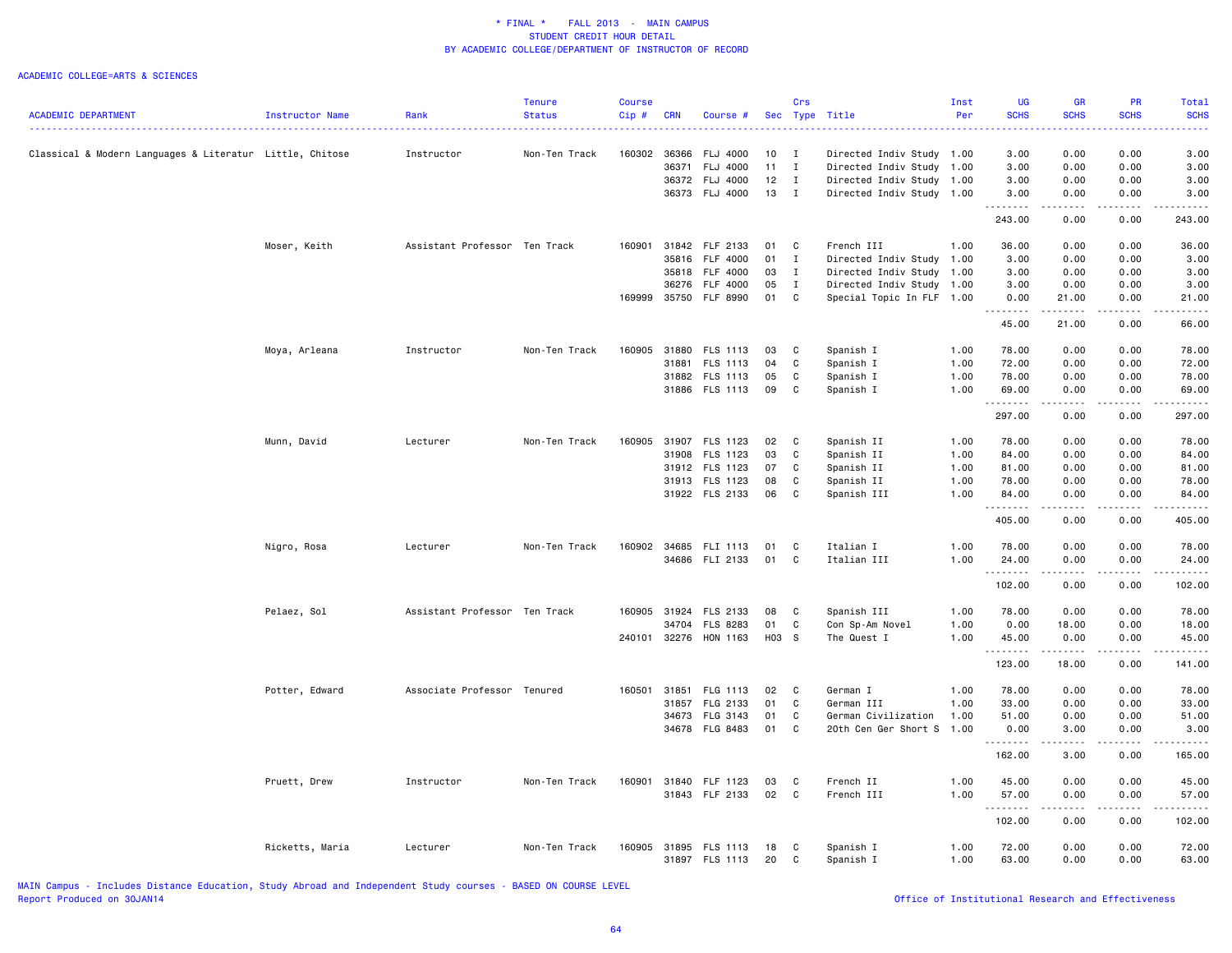|                                                          |                 |                               | <b>Tenure</b> | <b>Course</b> |            |                                  |            | Crs          |                           | Inst         | <b>UG</b>          | <b>GR</b>                                                                                                                                                     | PR                  | Total            |
|----------------------------------------------------------|-----------------|-------------------------------|---------------|---------------|------------|----------------------------------|------------|--------------|---------------------------|--------------|--------------------|---------------------------------------------------------------------------------------------------------------------------------------------------------------|---------------------|------------------|
| <b>ACADEMIC DEPARTMENT</b>                               | Instructor Name | Rank                          | <b>Status</b> | Cip#          | <b>CRN</b> | Course #                         | <b>Sec</b> |              | Type Title                | Per          | <b>SCHS</b>        | <b>SCHS</b>                                                                                                                                                   | <b>SCHS</b>         | <b>SCHS</b>      |
|                                                          |                 |                               |               |               |            |                                  |            |              |                           |              |                    |                                                                                                                                                               |                     |                  |
| Classical & Modern Languages & Literatur Little, Chitose |                 | Instructor                    | Non-Ten Track | 160302        | 36366      | <b>FLJ 4000</b>                  | 10         | $\mathbf{I}$ | Directed Indiv Study 1.00 |              | 3.00               | 0.00                                                                                                                                                          | 0.00                | 3.00             |
|                                                          |                 |                               |               |               | 36371      | FLJ 4000                         | 11         | I            | Directed Indiv Study      | 1.00         | 3.00               | 0.00                                                                                                                                                          | 0.00                | 3.00             |
|                                                          |                 |                               |               |               |            | 36372 FLJ 4000                   | 12         | $\mathbf{I}$ | Directed Indiv Study 1.00 |              | 3.00               | 0.00                                                                                                                                                          | 0.00                | 3.00             |
|                                                          |                 |                               |               |               |            | 36373 FLJ 4000                   | 13         | $\mathbf{I}$ | Directed Indiv Study 1.00 |              | 3.00               | 0.00                                                                                                                                                          | 0.00<br>-----       | 3.00<br><u>.</u> |
|                                                          |                 |                               |               |               |            |                                  |            |              |                           |              | .<br>243.00        | .<br>0.00                                                                                                                                                     | 0.00                | 243.00           |
|                                                          | Moser, Keith    | Assistant Professor Ten Track |               | 160901        |            | 31842 FLF 2133                   | 01         | C            | French III                | 1.00         | 36.00              | 0.00                                                                                                                                                          | 0.00                | 36.00            |
|                                                          |                 |                               |               |               | 35816      | FLF 4000                         | 01         | $\mathbf{I}$ | Directed Indiv Study      | 1.00         | 3.00               | 0.00                                                                                                                                                          | 0.00                | 3.00             |
|                                                          |                 |                               |               |               | 35818      | <b>FLF 4000</b>                  | 03         | $\mathbf{I}$ | Directed Indiv Study 1.00 |              | 3.00               | 0.00                                                                                                                                                          | 0.00                | 3.00             |
|                                                          |                 |                               |               |               | 36276      | FLF 4000                         | 05         | $\mathbf{I}$ | Directed Indiv Study 1.00 |              | 3.00               | 0.00                                                                                                                                                          | 0.00                | 3.00             |
|                                                          |                 |                               |               | 169999        |            | 35750 FLF 8990                   | 01         | C            | Special Topic In FLF 1.00 |              | 0.00               | 21.00                                                                                                                                                         | 0.00                | 21.00            |
|                                                          |                 |                               |               |               |            |                                  |            |              |                           |              | .<br>45.00         | .<br>21.00                                                                                                                                                    | .<br>0.00           | .<br>66.00       |
|                                                          | Moya, Arleana   | Instructor                    | Non-Ten Track | 160905        | 31880      | FLS 1113                         | 03         | C            | Spanish I                 | 1.00         | 78.00              | 0.00                                                                                                                                                          | 0.00                | 78.00            |
|                                                          |                 |                               |               |               | 31881      | FLS 1113                         | 04         | C            | Spanish I                 | 1.00         | 72.00              | 0.00                                                                                                                                                          | 0.00                | 72.00            |
|                                                          |                 |                               |               |               |            | 31882 FLS 1113                   | 05         | C            | Spanish I                 | 1.00         | 78.00              | 0.00                                                                                                                                                          | 0.00                | 78.00            |
|                                                          |                 |                               |               |               |            | 31886 FLS 1113                   | 09         | C            | Spanish I                 | 1.00         | 69.00              | 0.00                                                                                                                                                          | 0.00                | 69.00            |
|                                                          |                 |                               |               |               |            |                                  |            |              |                           |              | .<br>297.00        | . <b>.</b><br>0.00                                                                                                                                            | المتماما<br>0.00    | 297.00           |
|                                                          | Munn, David     | Lecturer                      | Non-Ten Track | 160905        |            | 31907 FLS 1123                   | 02         | $\mathbf{C}$ | Spanish II                | 1.00         | 78.00              | 0.00                                                                                                                                                          | 0.00                | 78.00            |
|                                                          |                 |                               |               |               | 31908      | FLS 1123                         | 03         | C            | Spanish II                | 1.00         | 84.00              | 0.00                                                                                                                                                          | 0.00                | 84.00            |
|                                                          |                 |                               |               |               |            | 31912 FLS 1123                   | 07         | C            | Spanish II                | 1.00         | 81.00              | 0.00                                                                                                                                                          | 0.00                | 81.00            |
|                                                          |                 |                               |               |               |            | 31913 FLS 1123                   | 08         | C            | Spanish II                | 1.00         | 78.00              | 0.00                                                                                                                                                          | 0.00                | 78.00            |
|                                                          |                 |                               |               |               |            | 31922 FLS 2133                   | 06         | C            | Spanish III               | 1.00         | 84.00              | 0.00                                                                                                                                                          | 0.00                | 84.00            |
|                                                          |                 |                               |               |               |            |                                  |            |              |                           |              | <u>.</u><br>405.00 | .<br>0.00                                                                                                                                                     | $- - - - -$<br>0.00 | .<br>405.00      |
|                                                          |                 |                               |               |               |            |                                  |            |              |                           |              |                    |                                                                                                                                                               |                     |                  |
|                                                          | Nigro, Rosa     | Lecturer                      | Non-Ten Track |               |            | 160902 34685 FLI 1113            | 01         | C            | Italian I                 | 1.00         | 78.00              | 0.00                                                                                                                                                          | 0.00                | 78.00            |
|                                                          |                 |                               |               |               |            | 34686 FLI 2133                   | 01         | C            | Italian III               | 1.00         | 24.00<br>.         | 0.00<br>$\frac{1}{2} \left( \frac{1}{2} \right) \left( \frac{1}{2} \right) \left( \frac{1}{2} \right) \left( \frac{1}{2} \right)$                             | 0.00<br>.           | 24.00<br>.       |
|                                                          |                 |                               |               |               |            |                                  |            |              |                           |              | 102.00             | 0.00                                                                                                                                                          | 0.00                | 102.00           |
|                                                          | Pelaez, Sol     | Assistant Professor Ten Track |               | 160905        | 31924      | FLS 2133                         | 08         | C            | Spanish III               | 1.00         | 78.00              | 0.00                                                                                                                                                          | 0.00                | 78.00            |
|                                                          |                 |                               |               |               | 34704      | <b>FLS 8283</b>                  | 01         | C            | Con Sp-Am Novel           | 1.00         | 0.00               | 18.00                                                                                                                                                         | 0.00                | 18.00            |
|                                                          |                 |                               |               |               |            | 240101 32276 HON 1163            | H03 S      |              | The Quest I               | 1.00         | 45.00              | 0.00                                                                                                                                                          | 0.00                | 45.00            |
|                                                          |                 |                               |               |               |            |                                  |            |              |                           |              | .<br>123.00        | $\frac{1}{2} \left( \frac{1}{2} \right) \left( \frac{1}{2} \right) \left( \frac{1}{2} \right) \left( \frac{1}{2} \right) \left( \frac{1}{2} \right)$<br>18.00 | .<br>0.00           | .<br>141.00      |
|                                                          | Potter, Edward  | Associate Professor Tenured   |               | 160501        | 31851      | FLG 1113                         | 02         | $\mathbf{C}$ | German I                  | 1.00         | 78.00              | 0.00                                                                                                                                                          | 0.00                | 78.00            |
|                                                          |                 |                               |               |               | 31857      | FLG 2133                         | 01         | C            | German III                | 1.00         | 33.00              | 0.00                                                                                                                                                          | 0.00                | 33.00            |
|                                                          |                 |                               |               |               | 34673      | FLG 3143                         | 01         | C            | German Civilization       | 1.00         | 51.00              | 0.00                                                                                                                                                          | 0.00                | 51.00            |
|                                                          |                 |                               |               |               |            | 34678 FLG 8483                   | 01         | C            | 20th Cen Ger Short S 1.00 |              | 0.00               | 3.00                                                                                                                                                          | 0.00                | 3.00             |
|                                                          |                 |                               |               |               |            |                                  |            |              |                           |              | .<br>162.00        | $\frac{1}{2} \left( \frac{1}{2} \right) \left( \frac{1}{2} \right) \left( \frac{1}{2} \right) \left( \frac{1}{2} \right) \left( \frac{1}{2} \right)$<br>3.00  | .<br>0.00           | 165.00           |
|                                                          |                 | Instructor                    | Non-Ten Track | 160901        | 31840      | FLF 1123                         | 03         | C            | French II                 | 1.00         | 45.00              | 0.00                                                                                                                                                          | 0.00                | 45.00            |
|                                                          | Pruett, Drew    |                               |               |               |            | 31843 FLF 2133                   | 02         | C            | French III                | 1.00         | 57.00              | 0.00                                                                                                                                                          | 0.00                | 57.00            |
|                                                          |                 |                               |               |               |            |                                  |            |              |                           |              | .                  | .                                                                                                                                                             | .                   | . <b>.</b>       |
|                                                          |                 |                               |               |               |            |                                  |            |              |                           |              | 102.00             | 0.00                                                                                                                                                          | 0.00                | 102.00           |
|                                                          | Ricketts, Maria | Lecturer                      | Non-Ten Track | 160905        |            | 31895 FLS 1113<br>31897 FLS 1113 | 18<br>20   | C<br>C       | Spanish I<br>Spanish I    | 1.00<br>1.00 | 72.00<br>63.00     | 0.00<br>0.00                                                                                                                                                  | 0.00<br>0.00        | 72.00<br>63.00   |
|                                                          |                 |                               |               |               |            |                                  |            |              |                           |              |                    |                                                                                                                                                               |                     |                  |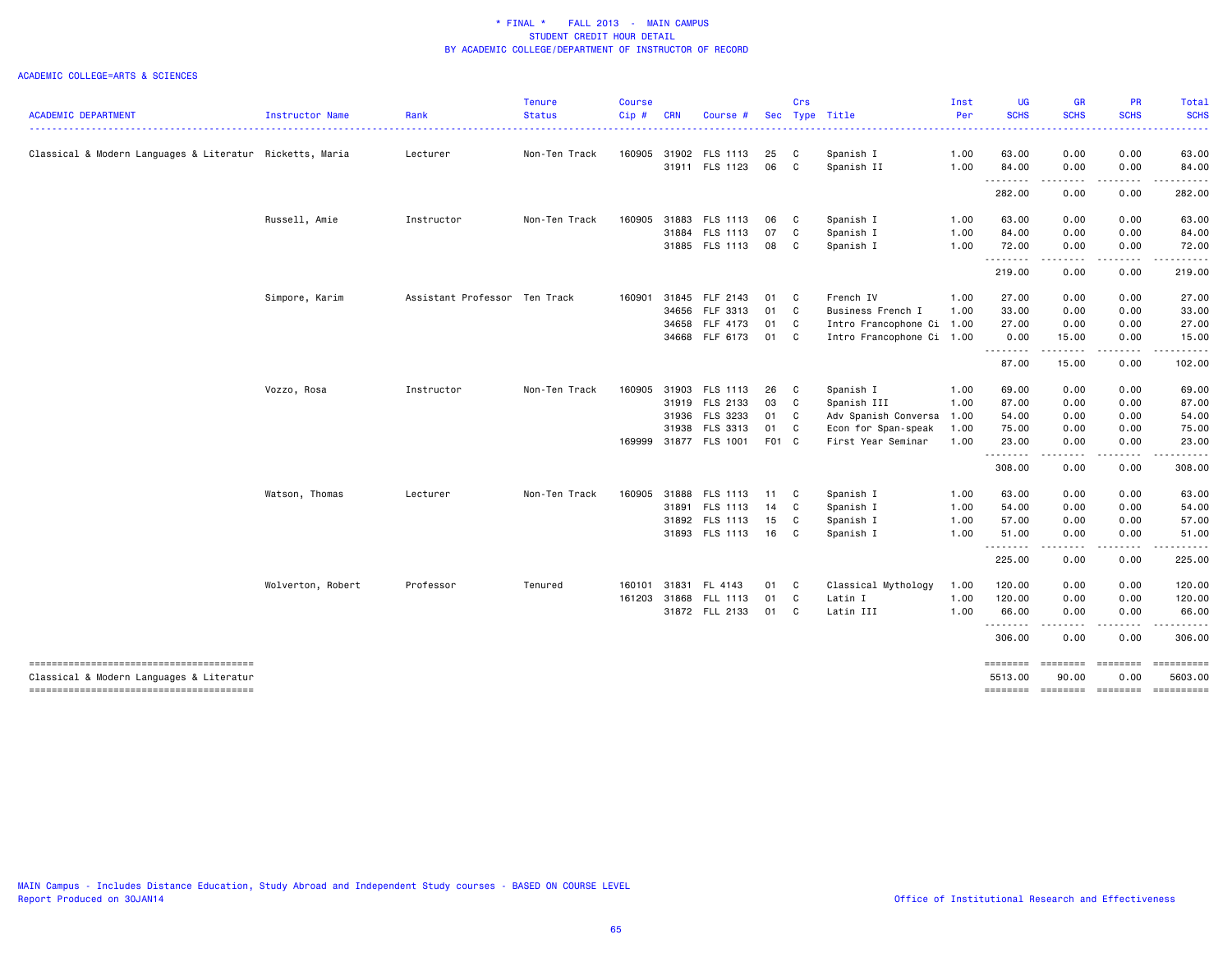|                                                                                    |                   |                               | <b>Tenure</b> | Course |            |                       |       | Crs            |                           | Inst | UG                  | <b>GR</b>                                                                        | PR                | Total            |
|------------------------------------------------------------------------------------|-------------------|-------------------------------|---------------|--------|------------|-----------------------|-------|----------------|---------------------------|------|---------------------|----------------------------------------------------------------------------------|-------------------|------------------|
| <b>ACADEMIC DEPARTMENT</b>                                                         | Instructor Name   | Rank                          | <b>Status</b> | Cip#   | <b>CRN</b> | Course #              |       |                | Sec Type Title            | Per  | <b>SCHS</b>         | <b>SCHS</b>                                                                      | <b>SCHS</b>       | <b>SCHS</b>      |
| Classical & Modern Languages & Literatur Ricketts, Maria                           |                   | Lecturer                      | Non-Ten Track | 160905 |            | 31902 FLS 1113        | 25    | $\mathbf{C}$   | Spanish I                 | 1.00 | 63.00               | 0.00                                                                             | 0.00              | 63.00            |
|                                                                                    |                   |                               |               |        |            | 31911 FLS 1123        | 06 C  |                | Spanish II                | 1.00 | 84.00               | 0.00                                                                             | 0.00              | 84.00            |
|                                                                                    |                   |                               |               |        |            |                       |       |                |                           |      | .<br>282.00         | $\sim$ $\sim$ $\sim$ $\sim$<br>0.00                                              | -----<br>0.00     | 282.00           |
|                                                                                    | Russell, Amie     | Instructor                    | Non-Ten Track | 160905 |            | 31883 FLS 1113        | 06 C  |                | Spanish I                 | 1.00 | 63.00               | 0.00                                                                             | 0.00              | 63.00            |
|                                                                                    |                   |                               |               |        |            | 31884 FLS 1113        | 07    | $\mathbf{C}$   | Spanish I                 | 1.00 | 84.00               | 0.00                                                                             | 0.00              | 84.00            |
|                                                                                    |                   |                               |               |        |            | 31885 FLS 1113        | 08 C  |                | Spanish I                 | 1.00 | 72.00               | 0.00                                                                             | 0.00              | 72.00            |
|                                                                                    |                   |                               |               |        |            |                       |       |                |                           |      | .<br>219.00         | .<br>0.00                                                                        | -----<br>0.00     | 219.00           |
|                                                                                    | Simpore, Karim    | Assistant Professor Ten Track |               | 160901 |            | 31845 FLF 2143        | 01 C  |                | French IV                 | 1.00 | 27.00               | 0.00                                                                             | 0.00              | 27.00            |
|                                                                                    |                   |                               |               |        | 34656      | FLF 3313              | 01 C  |                | Business French I         | 1.00 | 33.00               | 0.00                                                                             | 0.00              | 33.00            |
|                                                                                    |                   |                               |               |        |            | 34658 FLF 4173        | 01 C  |                | Intro Francophone Ci 1.00 |      | 27.00               | 0.00                                                                             | 0.00              | 27.00            |
|                                                                                    |                   |                               |               |        |            | 34668 FLF 6173        | 01 C  |                | Intro Francophone Ci 1.00 |      | 0.00                | 15.00                                                                            | 0.00              | 15.00            |
|                                                                                    |                   |                               |               |        |            |                       |       |                |                           |      | .<br>87.00          | .<br>15.00                                                                       | -----<br>0.00     | .<br>102.00      |
|                                                                                    | Vozzo, Rosa       | Instructor                    | Non-Ten Track | 160905 |            | 31903 FLS 1113        | 26    | $\overline{c}$ | Spanish I                 | 1.00 | 69.00               | 0.00                                                                             | 0.00              | 69.00            |
|                                                                                    |                   |                               |               |        |            | 31919 FLS 2133        | 03    | $\mathbf{C}$   | Spanish III               | 1.00 | 87.00               | 0.00                                                                             | 0.00              | 87.00            |
|                                                                                    |                   |                               |               |        | 31936      | FLS 3233              | 01 C  |                | Adv Spanish Conversa      | 1.00 | 54.00               | 0.00                                                                             | 0.00              | 54.00            |
|                                                                                    |                   |                               |               |        |            | 31938 FLS 3313        | 01 C  |                | Econ for Span-speak       | 1.00 | 75.00               | 0.00                                                                             | 0.00              | 75.00            |
|                                                                                    |                   |                               |               |        |            | 169999 31877 FLS 1001 | F01 C |                | First Year Seminar        | 1.00 | 23.00               | 0.00                                                                             | 0.00              | 23.00            |
|                                                                                    |                   |                               |               |        |            |                       |       |                |                           |      | .<br>308.00         | د د د د<br>0.00                                                                  | -----<br>0.00     | ------<br>308.00 |
|                                                                                    | Watson, Thomas    | Lecturer                      | Non-Ten Track | 160905 |            | 31888 FLS 1113        | 11 C  |                | Spanish I                 | 1.00 | 63.00               | 0.00                                                                             | 0.00              | 63.00            |
|                                                                                    |                   |                               |               |        |            | 31891 FLS 1113        | 14    | $\mathbf{C}$   | Spanish I                 | 1.00 | 54.00               | 0.00                                                                             | 0.00              | 54.00            |
|                                                                                    |                   |                               |               |        |            | 31892 FLS 1113        | 15 C  |                | Spanish I                 | 1.00 | 57.00               | 0.00                                                                             | 0.00              | 57.00            |
|                                                                                    |                   |                               |               |        |            | 31893 FLS 1113        | 16 C  |                | Spanish I                 | 1.00 | 51.00               | 0.00                                                                             | 0.00              | 51.00            |
|                                                                                    |                   |                               |               |        |            |                       |       |                |                           |      | .<br>225.00         | $\cdots$<br>0.00                                                                 | -----<br>0.00     | 225.00           |
|                                                                                    | Wolverton, Robert | Professor                     | Tenured       | 160101 |            | 31831 FL 4143         | 01 C  |                | Classical Mythology       | 1.00 | 120.00              | 0.00                                                                             | 0.00              | 120.00           |
|                                                                                    |                   |                               |               | 161203 |            | 31868 FLL 1113        | 01 C  |                | Latin I                   | 1.00 | 120.00              | 0.00                                                                             | 0.00              | 120.00           |
|                                                                                    |                   |                               |               |        |            | 31872 FLL 2133        | 01 C  |                | Latin III                 | 1.00 | 66.00               | 0.00                                                                             | 0.00              | 66.00            |
|                                                                                    |                   |                               |               |        |            |                       |       |                |                           |      | .<br>306.00         | $\sim$ $\sim$ $\sim$ $\sim$<br>0.00                                              | -----<br>0.00     | 306.00           |
| --------------------------------------<br>Classical & Modern Languages & Literatur |                   |                               |               |        |            |                       |       |                |                           |      | ========<br>5513.00 | $\qquad \qquad \equiv \equiv \equiv \equiv \equiv \equiv \equiv \equiv$<br>90.00 | ========<br>0.00  | 5603.00          |
| --------------------------------------                                             |                   |                               |               |        |            |                       |       |                |                           |      | ========            |                                                                                  | ======== ======== | ==========       |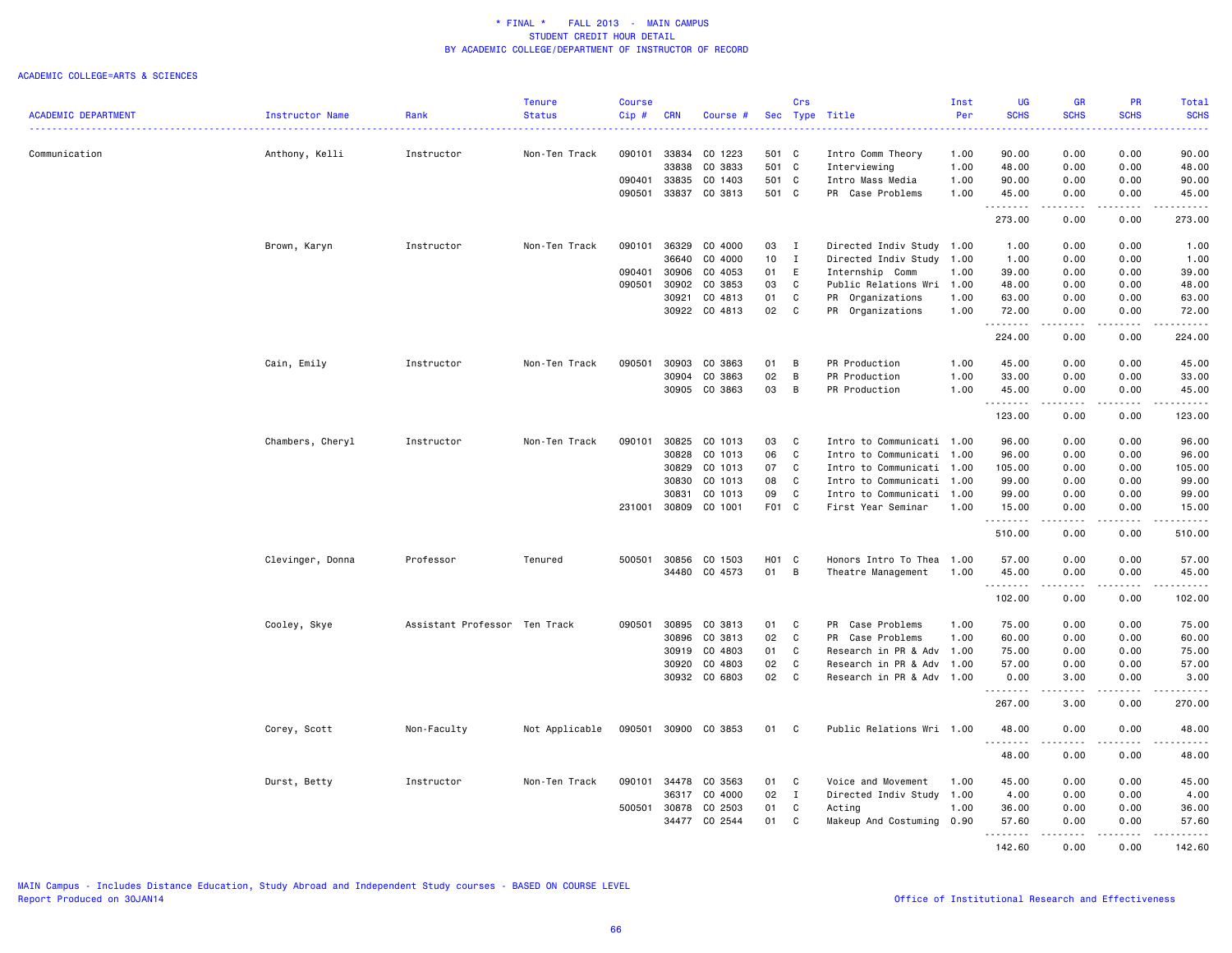|                            |                  |                               | <b>Tenure</b>  | <b>Course</b> |              |               |                 | Crs            |                           | Inst | <b>UG</b>          | <b>GR</b>   | PR                                  | Total                    |
|----------------------------|------------------|-------------------------------|----------------|---------------|--------------|---------------|-----------------|----------------|---------------------------|------|--------------------|-------------|-------------------------------------|--------------------------|
| <b>ACADEMIC DEPARTMENT</b> | Instructor Name  | Rank                          | <b>Status</b>  | Cip#          | <b>CRN</b>   | Course #      |                 |                | Sec Type Title            | Per  | <b>SCHS</b>        | <b>SCHS</b> | <b>SCHS</b>                         | <b>SCHS</b><br>المتمامين |
| Communication              | Anthony, Kelli   | Instructor                    | Non-Ten Track  | 090101        | 33834        | CO 1223       | 501 C           |                | Intro Comm Theory         | 1.00 | 90.00              | 0.00        | 0.00                                | 90.00                    |
|                            |                  |                               |                |               | 33838        | CO 3833       | 501 C           |                | Interviewing              | 1.00 | 48.00              | 0.00        | 0.00                                | 48.00                    |
|                            |                  |                               |                | 090401        | 33835        | CO 1403       | 501 C           |                | Intro Mass Media          | 1.00 | 90.00              | 0.00        | 0.00                                | 90.00                    |
|                            |                  |                               |                | 090501        | 33837        | CO 3813       | 501 C           |                | PR Case Problems          | 1.00 | 45.00              | 0.00        | 0.00                                | 45.00                    |
|                            |                  |                               |                |               |              |               |                 |                |                           |      | <u>.</u><br>273.00 | .<br>0.00   | .<br>0.00                           | .<br>273.00              |
|                            | Brown, Karyn     | Instructor                    | Non-Ten Track  | 090101        | 36329        | CO 4000       | 03              | $\mathbf{I}$   | Directed Indiv Study 1.00 |      | 1.00               | 0.00        | 0.00                                | 1.00                     |
|                            |                  |                               |                |               | 36640        | CO 4000       | 10 <sub>1</sub> | $\mathbf{I}$   | Directed Indiv Study 1.00 |      | 1.00               | 0.00        | 0.00                                | 1.00                     |
|                            |                  |                               |                | 090401        | 30906        | CO 4053       | 01              | E              | Internship Comm           | 1.00 | 39.00              | 0.00        | 0.00                                | 39.00                    |
|                            |                  |                               |                | 090501        | 30902        | CO 3853       | 03              | C              | Public Relations Wri 1.00 |      | 48.00              | 0.00        | 0.00                                | 48.00                    |
|                            |                  |                               |                |               | 30921        | CO 4813       | 01              | C              | PR Organizations          | 1.00 | 63.00              | 0.00        | 0.00                                | 63.00                    |
|                            |                  |                               |                |               |              | 30922 CO 4813 | 02              | $\mathbf c$    | PR Organizations          | 1.00 | 72.00              | 0.00        | 0.00                                | 72.00                    |
|                            |                  |                               |                |               |              |               |                 |                |                           |      | .<br>224.00        | 0.00        | $\sim$ $\sim$ $\sim$ $\sim$<br>0.00 | .<br>224.00              |
|                            | Cain, Emily      | Instructor                    | Non-Ten Track  | 090501        | 30903        | CO 3863       | 01              | B              | PR Production             | 1.00 | 45.00              | 0.00        | 0.00                                | 45.00                    |
|                            |                  |                               |                |               | 30904        | CO 3863       | 02              | В              | PR Production             | 1.00 | 33.00              | 0.00        | 0.00                                | 33.00                    |
|                            |                  |                               |                |               | 30905        | CO 3863       | 03              | B              | PR Production             | 1.00 | 45.00              | 0.00        | 0.00                                | 45.00                    |
|                            |                  |                               |                |               |              |               |                 |                |                           |      | .<br>123.00        | .<br>0.00   | .<br>0.00                           | 123.00                   |
|                            | Chambers, Cheryl | Instructor                    | Non-Ten Track  | 090101        | 30825        | CO 1013       | 03              | C              | Intro to Communicati 1.00 |      | 96.00              | 0.00        | 0.00                                | 96.00                    |
|                            |                  |                               |                |               | 30828        | CO 1013       | 06              | $\mathbf c$    | Intro to Communicati 1.00 |      | 96.00              | 0.00        | 0.00                                | 96.00                    |
|                            |                  |                               |                |               | 30829        | CO 1013       | 07              | C              | Intro to Communicati 1.00 |      | 105.00             | 0.00        | 0.00                                | 105.00                   |
|                            |                  |                               |                |               | 30830        | CO 1013       | 08              | C              | Intro to Communicati 1.00 |      | 99.00              | 0.00        | 0.00                                | 99.00                    |
|                            |                  |                               |                |               | 30831        | CO 1013       | 09              | C              | Intro to Communicati 1.00 |      | 99.00              | 0.00        | 0.00                                | 99.00                    |
|                            |                  |                               |                | 231001        | 30809        | CO 1001       | F01 C           |                | First Year Seminar        | 1.00 | 15.00              | 0.00        | 0.00                                | 15.00                    |
|                            |                  |                               |                |               |              |               |                 |                |                           |      | .<br>510.00        | .<br>0.00   | .<br>0.00                           | .<br>510.00              |
|                            |                  | Professor                     | Tenured        | 500501        | 30856        | CO 1503       | H01 C           |                | Honors Intro To Thea      |      | 57.00              | 0.00        | 0.00                                | 57.00                    |
|                            | Clevinger, Donna |                               |                |               |              |               |                 |                |                           | 1.00 |                    |             |                                     |                          |
|                            |                  |                               |                |               |              | 34480 CO 4573 | 01              | $\overline{B}$ | Theatre Management        | 1.00 | 45.00<br>.         | 0.00<br>.   | 0.00<br>.                           | 45.00<br>.               |
|                            |                  |                               |                |               |              |               |                 |                |                           |      | 102.00             | 0.00        | 0.00                                | 102.00                   |
|                            | Cooley, Skye     | Assistant Professor Ten Track |                | 090501        | 30895        | CO 3813       | 01              | C              | PR Case Problems          | 1.00 | 75.00              | 0.00        | 0.00                                | 75.00                    |
|                            |                  |                               |                |               | 30896        | CO 3813       | 02              | C              | PR Case Problems          | 1.00 | 60.00              | 0.00        | 0.00                                | 60.00                    |
|                            |                  |                               |                |               | 30919        | CO 4803       | 01              | C              | Research in PR & Adv 1.00 |      | 75.00              | 0.00        | 0.00                                | 75.00                    |
|                            |                  |                               |                |               | 30920        | CO 4803       | 02              | $\mathbb{C}$   | Research in PR & Adv      | 1.00 | 57.00              | 0.00        | 0.00                                | 57.00                    |
|                            |                  |                               |                |               | 30932        | CO 6803       | 02              | $\mathbb{C}$   | Research in PR & Adv 1.00 |      | 0.00               | 3.00        | 0.00                                | 3.00                     |
|                            |                  |                               |                |               |              |               |                 |                |                           |      | .<br>267.00        | .<br>3.00   | د د د د<br>0.00                     | .<br>270.00              |
|                            | Corey, Scott     | Non-Faculty                   | Not Applicable | 090501        | 30900        | CO 3853       | 01              | C              | Public Relations Wri 1.00 |      | 48.00              | 0.00        | 0.00                                | 48.00                    |
|                            |                  |                               |                |               |              |               |                 |                |                           |      | .<br>48.00         | 0.00        | 0.00                                | 48.00                    |
|                            | Durst, Betty     | Instructor                    | Non-Ten Track  | 090101        | 34478        | CO 3563       | 01              | C              | Voice and Movement        | 1.00 | 45.00              | 0.00        | 0.00                                | 45.00                    |
|                            |                  |                               |                |               | 36317        | CO 4000       | 02              | $\mathbf{I}$   | Directed Indiv Study 1.00 |      | 4.00               | 0.00        | 0.00                                | 4.00                     |
|                            |                  |                               |                |               | 500501 30878 | CO 2503       | 01              | $\mathtt{C}$   | Acting                    | 1.00 | 36.00              | 0.00        | 0.00                                | 36.00                    |
|                            |                  |                               |                |               | 34477        | CO 2544       | 01              | C              | Makeup And Costuming      | 0.90 | 57.60              | 0.00        | 0.00                                | 57.60                    |
|                            |                  |                               |                |               |              |               |                 |                |                           |      | .<br>142.60        | 0.00        | 0.00                                | 142.60                   |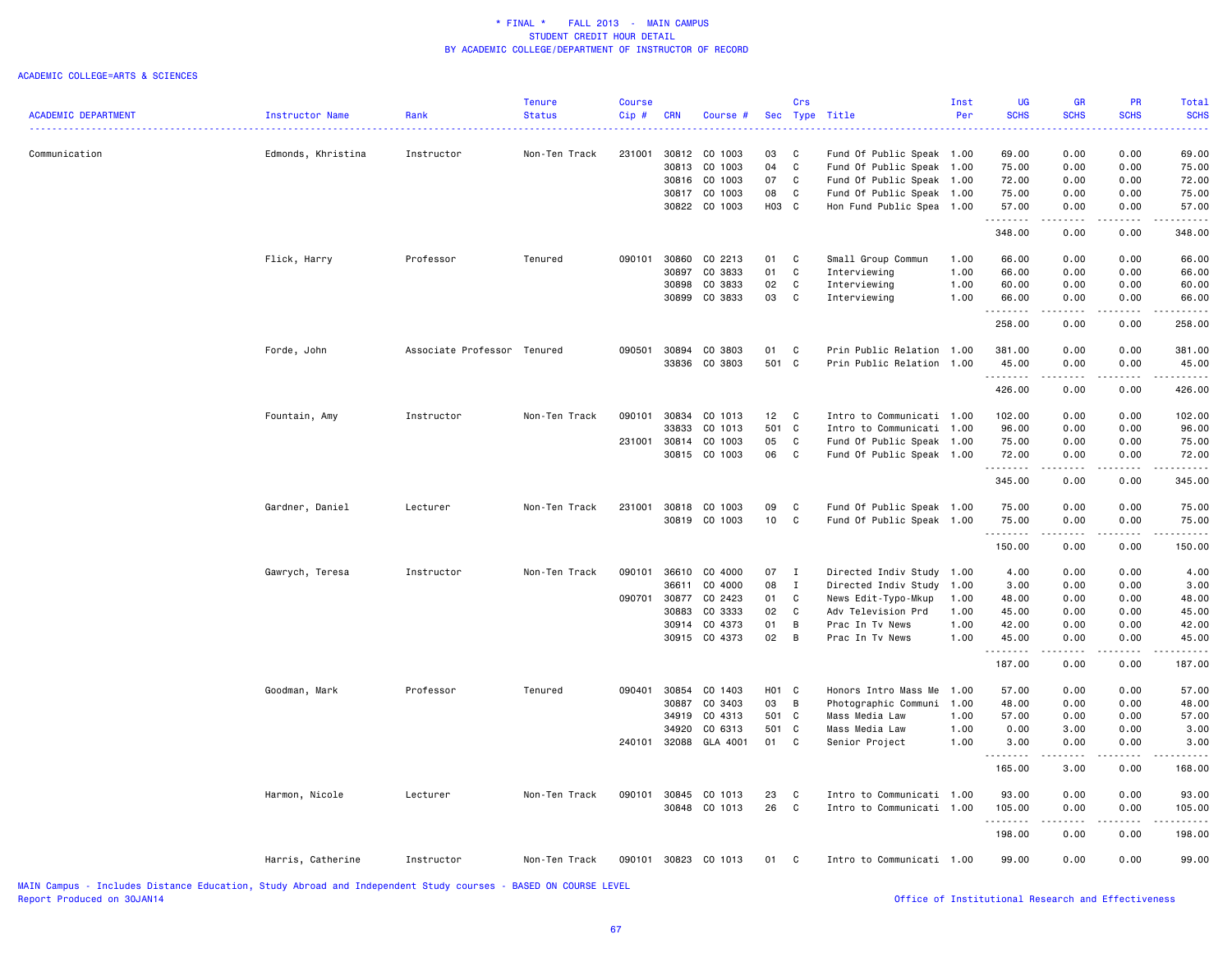### ACADEMIC COLLEGE=ARTS & SCIENCES

|                            |                    |                             | Tenure        | Course  |            |                |                 | Crs            |                           | Inst | <b>UG</b>   | <b>GR</b>                                                                                                                 | <b>PR</b>   | Total           |
|----------------------------|--------------------|-----------------------------|---------------|---------|------------|----------------|-----------------|----------------|---------------------------|------|-------------|---------------------------------------------------------------------------------------------------------------------------|-------------|-----------------|
| <b>ACADEMIC DEPARTMENT</b> | Instructor Name    | Rank                        | <b>Status</b> | $Cip$ # | <b>CRN</b> | Course #       |                 |                | Sec Type Title            | Per  | <b>SCHS</b> | <b>SCHS</b>                                                                                                               | <b>SCHS</b> | <b>SCHS</b>     |
|                            |                    |                             |               |         |            |                |                 |                |                           |      | .           | $\frac{1}{2} \left( \frac{1}{2} \right) \left( \frac{1}{2} \right) \left( \frac{1}{2} \right) \left( \frac{1}{2} \right)$ | .           | .               |
| Communication              | Edmonds, Khristina | Instructor                  | Non-Ten Track | 231001  |            | 30812 CO 1003  | 03              | <b>C</b>       | Fund Of Public Speak 1.00 |      | 69.00       | 0.00                                                                                                                      | 0.00        | 69.00           |
|                            |                    |                             |               |         |            | 30813 CO 1003  | 04              | C              | Fund Of Public Speak      | 1.00 | 75.00       | 0.00                                                                                                                      | 0.00        | 75.00           |
|                            |                    |                             |               |         |            | 30816 CO 1003  | 07              | C              | Fund Of Public Speak 1.00 |      | 72.00       | 0.00                                                                                                                      | 0.00        | 72.00           |
|                            |                    |                             |               |         |            | 30817 CO 1003  | 08              | C              | Fund Of Public Speak 1.00 |      | 75.00       | 0.00                                                                                                                      | 0.00        | 75.00           |
|                            |                    |                             |               |         |            | 30822 CO 1003  | H03 C           |                | Hon Fund Public Spea 1.00 |      | 57.00       | 0.00                                                                                                                      | 0.00        | 57.00           |
|                            |                    |                             |               |         |            |                |                 |                |                           |      | .<br>348.00 | .<br>0.00                                                                                                                 | .<br>0.00   | .<br>348.00     |
|                            | Flick, Harry       | Professor                   | Tenured       | 090101  |            | 30860 CO 2213  | 01 C            |                | Small Group Commun        | 1.00 | 66.00       | 0.00                                                                                                                      | 0.00        | 66.00           |
|                            |                    |                             |               |         | 30897      | CO 3833        | 01              | C              | Interviewing              | 1.00 | 66.00       | 0.00                                                                                                                      | 0.00        | 66.00           |
|                            |                    |                             |               |         | 30898      | CO 3833        | 02              | C              | Interviewing              | 1.00 | 60.00       | 0.00                                                                                                                      | 0.00        | 60.00           |
|                            |                    |                             |               |         | 30899      | CO 3833        | 03              | $\mathbf{C}$   | Interviewing              | 1.00 | 66.00       | 0.00                                                                                                                      | 0.00        | 66.00           |
|                            |                    |                             |               |         |            |                |                 |                |                           |      | .           | .                                                                                                                         | .           | $- - - - - - -$ |
|                            |                    |                             |               |         |            |                |                 |                |                           |      | 258.00      | 0.00                                                                                                                      | 0.00        | 258.00          |
|                            | Forde, John        | Associate Professor Tenured |               | 090501  | 30894      | CO 3803        | 01              | C              | Prin Public Relation 1.00 |      | 381.00      | 0.00                                                                                                                      | 0.00        | 381.00          |
|                            |                    |                             |               |         |            | 33836 CO 3803  | 501 C           |                | Prin Public Relation 1.00 |      | 45.00       | 0.00                                                                                                                      | 0.00        | 45.00           |
|                            |                    |                             |               |         |            |                |                 |                |                           |      | .<br>426.00 | .<br>0.00                                                                                                                 | .<br>0.00   | 426.00          |
|                            | Fountain, Amy      | Instructor                  | Non-Ten Track | 090101  | 30834      | CO 1013        | 12 <sub>2</sub> | $\mathbf{C}$   | Intro to Communicati 1.00 |      | 102.00      | 0.00                                                                                                                      | 0.00        | 102.00          |
|                            |                    |                             |               |         | 33833      | CO 1013        | 501 C           |                | Intro to Communicati 1.00 |      | 96.00       | 0.00                                                                                                                      | 0.00        | 96.00           |
|                            |                    |                             |               | 231001  | 30814      | CO 1003        | 05              | C              | Fund Of Public Speak 1.00 |      | 75.00       | 0.00                                                                                                                      | 0.00        | 75.00           |
|                            |                    |                             |               |         |            | 30815 CO 1003  | 06              | $\mathbf{C}$   |                           |      | 72.00       | 0.00                                                                                                                      | 0.00        | 72.00           |
|                            |                    |                             |               |         |            |                |                 |                | Fund Of Public Speak 1.00 |      | .           | .                                                                                                                         | .           | .               |
|                            |                    |                             |               |         |            |                |                 |                |                           |      | 345.00      | 0.00                                                                                                                      | 0.00        | 345.00          |
|                            | Gardner, Daniel    | Lecturer                    | Non-Ten Track | 231001  |            | 30818 CO 1003  | 09              | C              | Fund Of Public Speak 1.00 |      | 75.00       | 0.00                                                                                                                      | 0.00        | 75.00           |
|                            |                    |                             |               |         |            | 30819 CO 1003  | 10              | C              | Fund Of Public Speak 1.00 |      | 75.00       | 0.00                                                                                                                      | 0.00        | 75.00           |
|                            |                    |                             |               |         |            |                |                 |                |                           |      | .           | $\sim$ $\sim$ $\sim$ $\sim$                                                                                               | .           | .               |
|                            |                    |                             |               |         |            |                |                 |                |                           |      | 150.00      | 0.00                                                                                                                      | 0.00        | 150.00          |
|                            | Gawrych, Teresa    | Instructor                  | Non-Ten Track | 090101  | 36610      | CO 4000        | 07              | $\blacksquare$ | Directed Indiv Study 1.00 |      | 4.00        | 0.00                                                                                                                      | 0.00        | 4.00            |
|                            |                    |                             |               |         | 36611      | CO 4000        | 08              | $\mathbf{I}$   | Directed Indiv Study      | 1.00 | 3.00        | 0.00                                                                                                                      | 0.00        | 3.00            |
|                            |                    |                             |               | 090701  | 30877      | CO 2423        | 01              | C              | News Edit-Typo-Mkup       | 1.00 | 48.00       | 0.00                                                                                                                      | 0.00        | 48.00           |
|                            |                    |                             |               |         | 30883      | CO 3333        | 02              | C              | Adv Television Prd        | 1.00 | 45.00       | 0.00                                                                                                                      | 0.00        | 45.00           |
|                            |                    |                             |               |         |            | 30914 CO 4373  | 01              | B              | Prac In Tv News           | 1.00 | 42.00       | 0.00                                                                                                                      | 0.00        | 42.00           |
|                            |                    |                             |               |         |            | 30915 CO 4373  | 02              | B              | Prac In Tv News           | 1.00 | 45.00       | 0.00                                                                                                                      | 0.00        | 45.00           |
|                            |                    |                             |               |         |            |                |                 |                |                           |      | .<br>187.00 | .<br>0.00                                                                                                                 | .<br>0.00   | .<br>187.00     |
|                            | Goodman, Mark      | Professor                   | Tenured       | 090401  | 30854      | CO 1403        | H01 C           |                | Honors Intro Mass Me      | 1.00 | 57.00       | 0.00                                                                                                                      | 0.00        | 57.00           |
|                            |                    |                             |               |         |            |                |                 |                |                           |      |             |                                                                                                                           |             |                 |
|                            |                    |                             |               |         | 30887      | CO 3403        | 03              | B              | Photographic Communi 1.00 |      | 48.00       | 0.00                                                                                                                      | 0.00        | 48.00           |
|                            |                    |                             |               |         | 34919      | CO 4313        | 501 C           |                | Mass Media Law            | 1.00 | 57.00       | 0.00                                                                                                                      | 0.00        | 57.00           |
|                            |                    |                             |               |         | 34920      | CO 6313        | 501 C           |                | Mass Media Law            | 1.00 | 0.00        | 3.00                                                                                                                      | 0.00        | 3.00            |
|                            |                    |                             |               | 240101  |            | 32088 GLA 4001 | 01              | $\mathbf{C}$   | Senior Project            | 1.00 | 3.00<br>.   | 0.00<br>.                                                                                                                 | 0.00<br>.   | 3.00            |
|                            |                    |                             |               |         |            |                |                 |                |                           |      | 165.00      | 3.00                                                                                                                      | 0.00        | 168.00          |
|                            | Harmon, Nicole     | Lecturer                    | Non-Ten Track | 090101  |            | 30845 CO 1013  | 23              | C              | Intro to Communicati 1.00 |      | 93.00       | 0.00                                                                                                                      | 0.00        | 93.00           |
|                            |                    |                             |               |         |            | 30848 CO 1013  | 26              | C              | Intro to Communicati 1.00 |      | 105.00      | 0.00                                                                                                                      | 0.00        | 105.00          |
|                            |                    |                             |               |         |            |                |                 |                |                           |      | .<br>198.00 | $ -$<br>0.00                                                                                                              | 0.00        | 198.00          |
|                            | Harris, Catherine  | Instructor                  | Non-Ten Track | 090101  |            | 30823 CO 1013  | 01              | $\mathbf{C}$   | Intro to Communicati 1.00 |      | 99.00       | 0.00                                                                                                                      | 0.00        | 99.00           |
|                            |                    |                             |               |         |            |                |                 |                |                           |      |             |                                                                                                                           |             |                 |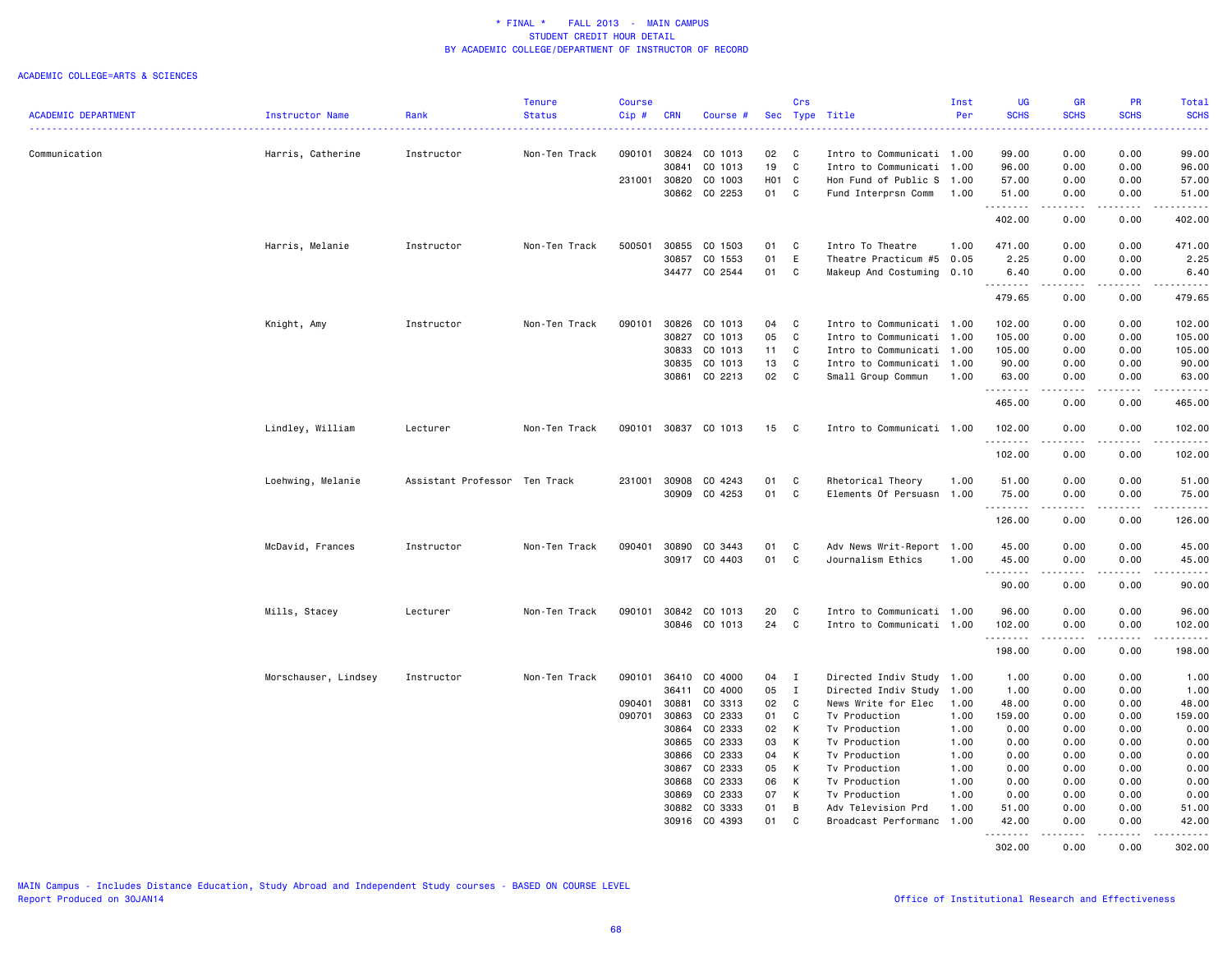|                            |                      |                               | <b>Tenure</b> | <b>Course</b> |            |               |            | Crs          |                           | Inst | UG                | <b>GR</b>                                                                                                       | <b>PR</b>   | Total             |
|----------------------------|----------------------|-------------------------------|---------------|---------------|------------|---------------|------------|--------------|---------------------------|------|-------------------|-----------------------------------------------------------------------------------------------------------------|-------------|-------------------|
| <b>ACADEMIC DEPARTMENT</b> | Instructor Name      | Rank                          | <b>Status</b> | $Cip$ #       | <b>CRN</b> | Course #      |            |              | Sec Type Title            | Per  | <b>SCHS</b>       | <b>SCHS</b>                                                                                                     | <b>SCHS</b> | <b>SCHS</b>       |
|                            |                      |                               |               |               |            |               |            |              |                           |      |                   |                                                                                                                 |             | المتمام           |
| Communication              | Harris, Catherine    | Instructor                    | Non-Ten Track | 090101        | 30824      | CO 1013       | 02         | C            | Intro to Communicati 1.00 |      | 99.00             | 0.00                                                                                                            | 0.00        | 99.00             |
|                            |                      |                               |               |               | 30841      | CO 1013       | 19         | $\mathbb{C}$ | Intro to Communicati 1.00 |      | 96.00             | 0.00                                                                                                            | 0.00        | 96.00             |
|                            |                      |                               |               | 231001        | 30820      | CO 1003       | <b>HO1</b> | C            | Hon Fund of Public S      | 1.00 | 57.00             | 0.00                                                                                                            | 0.00        | 57.00             |
|                            |                      |                               |               |               | 30862      | CO 2253       | 01         | C            | Fund Interprsn Comm       | 1.00 | 51.00             | 0.00                                                                                                            | 0.00        | 51.00             |
|                            |                      |                               |               |               |            |               |            |              |                           |      | .<br>402.00       | <u>.</u><br>0.00                                                                                                | .<br>0.00   | .<br>402.00       |
|                            | Harris, Melanie      | Instructor                    | Non-Ten Track | 500501        | 30855      | CO 1503       | 01         | C            | Intro To Theatre          | 1.00 | 471.00            | 0.00                                                                                                            | 0.00        | 471.00            |
|                            |                      |                               |               |               | 30857      | CO 1553       | 01         | E            | Theatre Practicum #5      | 0.05 | 2.25              | 0.00                                                                                                            | 0.00        | 2.25              |
|                            |                      |                               |               |               | 34477      | CO 2544       | 01         | C            | Makeup And Costuming 0.10 |      | 6.40              | 0.00                                                                                                            | 0.00        | 6.40              |
|                            |                      |                               |               |               |            |               |            |              |                           |      | .                 | $\begin{array}{cccccccccccccc} \bullet & \bullet & \bullet & \bullet & \bullet & \bullet & \bullet \end{array}$ | .           | المستحدث          |
|                            |                      |                               |               |               |            |               |            |              |                           |      | 479.65            | 0.00                                                                                                            | 0.00        | 479.65            |
|                            | Knight, Amy          | Instructor                    | Non-Ten Track | 090101        | 30826      | CO 1013       | 04         | C            | Intro to Communicati 1.00 |      | 102.00            | 0.00                                                                                                            | 0.00        | 102.00            |
|                            |                      |                               |               |               | 30827      | CO 1013       | 05         | C            | Intro to Communicati      | 1.00 | 105.00            | 0.00                                                                                                            | 0.00        | 105.00            |
|                            |                      |                               |               |               | 30833      | CO 1013       | 11         | C            | Intro to Communicati 1.00 |      | 105.00            | 0.00                                                                                                            | 0.00        | 105.00            |
|                            |                      |                               |               |               | 30835      | CO 1013       | 13         | C            | Intro to Communicati 1.00 |      | 90.00             | 0.00                                                                                                            | 0.00        | 90.00             |
|                            |                      |                               |               |               | 30861      | CO 2213       | 02         | C            | Small Group Commun        | 1.00 | 63.00             | 0.00                                                                                                            | 0.00        | 63.00             |
|                            |                      |                               |               |               |            |               |            |              |                           |      | .                 | .                                                                                                               | $\cdots$    | .                 |
|                            |                      |                               |               |               |            |               |            |              |                           |      | 465.00            | 0.00                                                                                                            | 0.00        | 465.00            |
|                            | Lindley, William     | Lecturer                      | Non-Ten Track | 090101        |            | 30837 CO 1013 | 15         | C            | Intro to Communicati 1.00 |      | 102.00<br>.       | 0.00<br>------                                                                                                  | 0.00<br>.   | 102.00            |
|                            |                      |                               |               |               |            |               |            |              |                           |      | 102.00            | 0.00                                                                                                            | 0.00        | 102.00            |
|                            | Loehwing, Melanie    | Assistant Professor Ten Track |               | 231001        | 30908      | CO 4243       | 01         | C            | Rhetorical Theory         | 1.00 | 51.00             | 0.00                                                                                                            | 0.00        | 51.00             |
|                            |                      |                               |               |               | 30909      | CO 4253       | 01         | $\mathbb{C}$ | Elements Of Persuasn 1.00 |      | 75.00             | 0.00                                                                                                            | 0.00        | 75.00             |
|                            |                      |                               |               |               |            |               |            |              |                           |      | .                 | .                                                                                                               | .           | .                 |
|                            |                      |                               |               |               |            |               |            |              |                           |      | 126.00            | 0.00                                                                                                            | 0.00        | 126.00            |
|                            | McDavid, Frances     | Instructor                    | Non-Ten Track | 090401        | 30890      | CO 3443       | 01         | C            | Adv News Writ-Report 1.00 |      | 45.00             | 0.00                                                                                                            | 0.00        | 45.00             |
|                            |                      |                               |               |               | 30917      | CO 4403       | 01         | С            | Journalism Ethics         | 1.00 | 45.00             | 0.00                                                                                                            | 0.00        | 45.00<br>.        |
|                            |                      |                               |               |               |            |               |            |              |                           |      | 90.00             | 0.00                                                                                                            | 0.00        | 90.00             |
|                            | Mills, Stacey        | Lecturer                      | Non-Ten Track | 090101        | 30842      | CO 1013       | 20         | C            | Intro to Communicati 1.00 |      | 96.00             | 0.00                                                                                                            | 0.00        | 96.00             |
|                            |                      |                               |               |               |            | 30846 CO 1013 | 24         | C            | Intro to Communicati 1.00 |      | 102.00            | 0.00                                                                                                            | 0.00        | 102.00            |
|                            |                      |                               |               |               |            |               |            |              |                           |      | .                 |                                                                                                                 |             | والمستحدث         |
|                            |                      |                               |               |               |            |               |            |              |                           |      | 198.00            | 0.00                                                                                                            | 0.00        | 198.00            |
|                            | Morschauser, Lindsey | Instructor                    | Non-Ten Track | 090101        | 36410      | CO 4000       | 04         | $\mathbf{I}$ | Directed Indiv Study 1.00 |      | 1.00              | 0.00                                                                                                            | 0.00        | 1.00              |
|                            |                      |                               |               |               | 36411      | CO 4000       | 05         | $\mathbf{I}$ | Directed Indiv Study      | 1.00 | 1.00              | 0.00                                                                                                            | 0.00        | 1.00              |
|                            |                      |                               |               | 090401        | 30881      | CO 3313       | 02         | $\mathtt{C}$ | News Write for Elec       | 1.00 | 48.00             | 0.00                                                                                                            | 0.00        | 48.00             |
|                            |                      |                               |               | 090701        | 30863      | CO 2333       | 01         | C            | Tv Production             | 1.00 | 159.00            | 0.00                                                                                                            | 0.00        | 159.00            |
|                            |                      |                               |               |               | 30864      | CO 2333       | 02         | K            | Tv Production             | 1.00 | 0.00              | 0.00                                                                                                            | 0.00        | 0.00              |
|                            |                      |                               |               |               | 30865      | CO 2333       | 03         | К            | Tv Production             | 1.00 | 0.00              | 0.00                                                                                                            | 0.00        | 0.00              |
|                            |                      |                               |               |               | 30866      | CO 2333       | 04         | K            | Tv Production             | 1.00 | 0.00              | 0.00                                                                                                            | 0.00        | 0.00              |
|                            |                      |                               |               |               | 30867      | CO 2333       | 05         | K            | Tv Production             | 1.00 | 0.00              | 0.00                                                                                                            | 0.00        | 0.00              |
|                            |                      |                               |               |               |            |               |            |              |                           |      |                   |                                                                                                                 |             |                   |
|                            |                      |                               |               |               | 30868      | CO 2333       | 06         | K            | Tv Production             | 1.00 | 0.00              | 0.00                                                                                                            | 0.00        | 0.00              |
|                            |                      |                               |               |               | 30869      | CO 2333       | 07         | K            | Tv Production             | 1.00 | 0.00              | 0.00                                                                                                            | 0.00        | 0.00              |
|                            |                      |                               |               |               | 30882      | CO 3333       | 01         | В            | Adv Television Prd        | 1.00 | 51.00             | 0.00                                                                                                            | 0.00        | 51.00             |
|                            |                      |                               |               |               | 30916      | CO 4393       | 01         | C            | Broadcast Performanc      | 1.00 | 42.00<br><u>.</u> | 0.00<br>.                                                                                                       | 0.00<br>.   | 42.00<br><u>.</u> |
|                            |                      |                               |               |               |            |               |            |              |                           |      | 302.00            | 0.00                                                                                                            | 0.00        | 302.00            |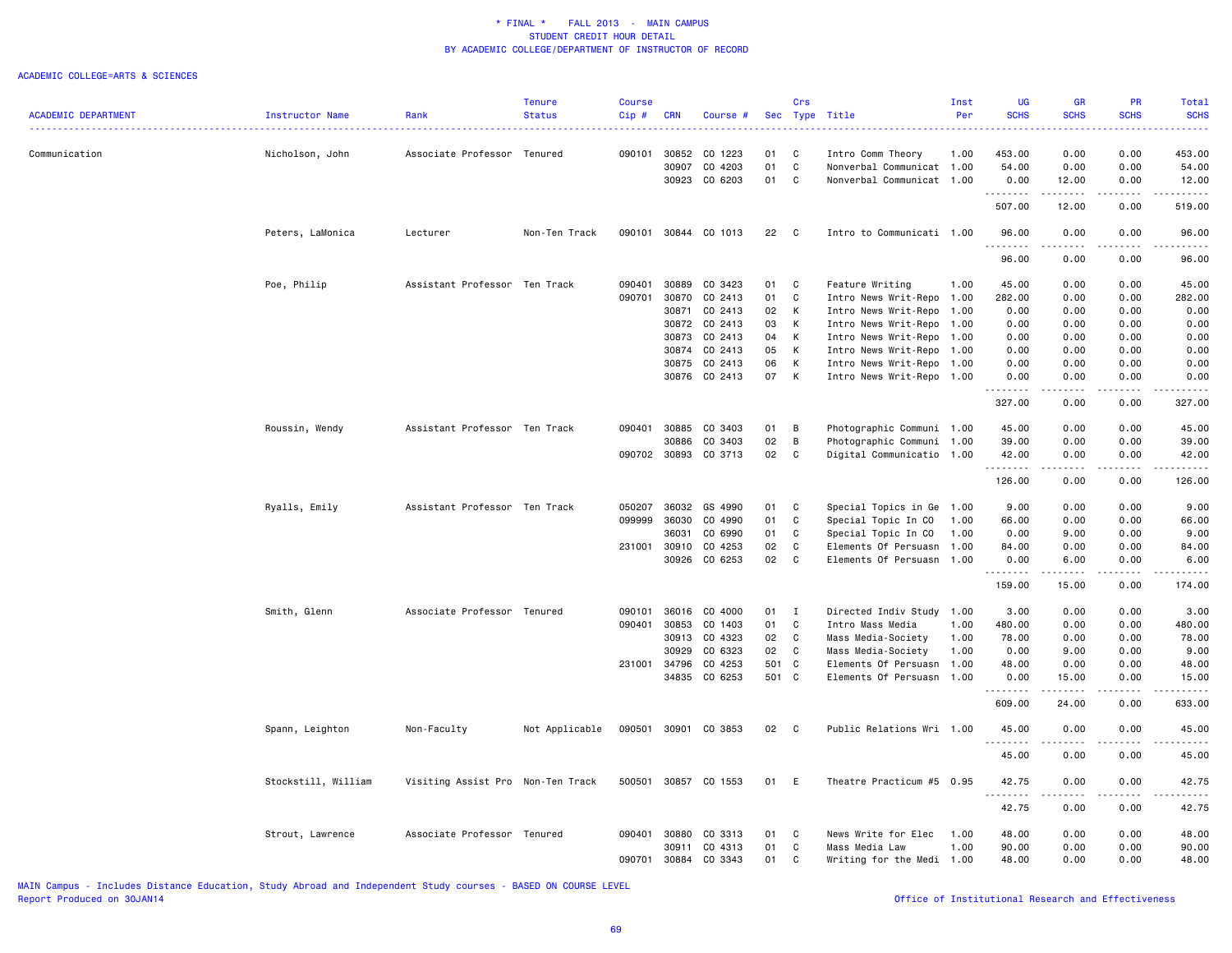#### ACADEMIC COLLEGE=ARTS & SCIENCES

|                            |                     |                                   | <b>Tenure</b>  | Course |              |                      |          | Crs          |                           | Inst | <b>UG</b>            | <b>GR</b>             | <b>PR</b>   | Total       |
|----------------------------|---------------------|-----------------------------------|----------------|--------|--------------|----------------------|----------|--------------|---------------------------|------|----------------------|-----------------------|-------------|-------------|
| <b>ACADEMIC DEPARTMENT</b> | Instructor Name     | Rank                              | <b>Status</b>  | Cip#   | <b>CRN</b>   | Course #             |          |              | Sec Type Title            | Per  | <b>SCHS</b>          | <b>SCHS</b>           | <b>SCHS</b> | <b>SCHS</b> |
| Communication              |                     | Associate Professor Tenured       |                | 090101 | 30852        | CO 1223              | 01       | C            | Intro Comm Theory         | 1.00 | 453.00               | 0.00                  | 0.00        | 453.00      |
|                            | Nicholson, John     |                                   |                |        | 30907        | CO 4203              | 01       | C            | Nonverbal Communicat      | 1.00 | 54.00                | 0.00                  | 0.00        | 54.00       |
|                            |                     |                                   |                |        | 30923        | CO 6203              | 01       | C.           | Nonverbal Communicat 1.00 |      | 0.00                 | 12.00                 | 0.00        | 12.00       |
|                            |                     |                                   |                |        |              |                      |          |              |                           |      | .<br>507.00          | 12.00                 | 0.00        | 519.00      |
|                            | Peters, LaMonica    | Lecturer                          | Non-Ten Track  |        |              | 090101 30844 CO 1013 | 22       | $\mathbf{C}$ | Intro to Communicati 1.00 |      | 96.00                | 0.00                  | 0.00        | 96.00       |
|                            |                     |                                   |                |        |              |                      |          |              |                           |      | .                    | .                     | .           |             |
|                            |                     |                                   |                |        |              |                      |          |              |                           |      | 96.00                | 0.00                  | 0.00        | 96.00       |
|                            | Poe, Philip         | Assistant Professor Ten Track     |                | 090401 | 30889        | CO 3423              | 01       | C            | Feature Writing           | 1.00 | 45.00                | 0.00                  | 0.00        | 45.00       |
|                            |                     |                                   |                | 090701 | 30870        | CO 2413              | 01       | C            | Intro News Writ-Repo 1.00 |      | 282.00               | 0.00                  | 0.00        | 282.00      |
|                            |                     |                                   |                |        | 30871        | CO 2413              | 02       | K            | Intro News Writ-Repo      | 1.00 | 0.00                 | 0.00                  | 0.00        | 0.00        |
|                            |                     |                                   |                |        |              | 30872 CO 2413        | 03       | K<br>K       | Intro News Writ-Repo      | 1.00 | 0.00                 | 0.00                  | 0.00        | 0.00        |
|                            |                     |                                   |                |        | 30873        | CO 2413              | 04<br>05 |              | Intro News Writ-Repo      | 1.00 | 0.00                 | 0.00                  | 0.00        | 0.00        |
|                            |                     |                                   |                |        |              | 30874 CO 2413        |          | K            | Intro News Writ-Repo      | 1.00 | 0.00                 | 0.00                  | 0.00        | 0.00        |
|                            |                     |                                   |                |        | 30875        | CO 2413              | 06       | K            | Intro News Writ-Repo      | 1.00 | 0.00                 | 0.00                  | 0.00        | 0.00        |
|                            |                     |                                   |                |        |              | 30876 CO 2413        | 07 K     |              | Intro News Writ-Repo 1.00 |      | 0.00                 | 0.00                  | 0.00        | 0.00        |
|                            |                     |                                   |                |        |              |                      |          |              |                           |      | 327.00               | 0.00                  | 0.00        | 327.00      |
|                            | Roussin, Wendy      | Assistant Professor Ten Track     |                | 090401 | 30885        | CO 3403              | 01       | B            | Photographic Communi 1.00 |      | 45.00                | 0.00                  | 0.00        | 45.00       |
|                            |                     |                                   |                |        | 30886        | CO 3403              | 02       | B            | Photographic Communi 1.00 |      | 39.00                | 0.00                  | 0.00        | 39.00       |
|                            |                     |                                   |                |        | 090702 30893 | CO 3713              | 02       | C            | Digital Communicatio      | 1.00 | 42.00                | 0.00                  | 0.00        | 42.00       |
|                            |                     |                                   |                |        |              |                      |          |              |                           |      | .                    | .                     | . <b>.</b>  | .           |
|                            |                     |                                   |                |        |              |                      |          |              |                           |      | 126.00               | 0.00                  | 0.00        | 126.00      |
|                            | Ryalls, Emily       | Assistant Professor Ten Track     |                | 050207 | 36032        | GS 4990              | 01       | $\,$ C       | Special Topics in Ge 1.00 |      | 9.00                 | 0.00                  | 0.00        | 9.00        |
|                            |                     |                                   |                | 099999 | 36030        | CO 4990              | 01       | C            | Special Topic In CO       | 1.00 | 66.00                | 0.00                  | 0.00        | 66.00       |
|                            |                     |                                   |                |        | 36031        | CO 6990              | 01       | C            | Special Topic In CO       | 1.00 | 0.00                 | 9.00                  | 0.00        | 9.00        |
|                            |                     |                                   |                | 231001 | 30910        | CO 4253              | 02       | $\mathbb{C}$ | Elements Of Persuasn      | 1.00 | 84.00                | 0.00                  | 0.00        | 84.00       |
|                            |                     |                                   |                |        | 30926        | CO 6253              | 02       | C            | Elements Of Persuasn      | 1.00 | 0.00                 | 6.00                  | 0.00        | 6.00        |
|                            |                     |                                   |                |        |              |                      |          |              |                           |      | . <b>.</b><br>159.00 | .<br>15.00            | .<br>0.00   | 174.00      |
|                            | Smith, Glenn        | Associate Professor Tenured       |                | 090101 | 36016        | CO 4000              | 01       | $\mathbf{I}$ | Directed Indiv Study      | 1.00 | 3.00                 | 0.00                  | 0.00        | 3.00        |
|                            |                     |                                   |                | 090401 | 30853        | CO 1403              | 01       | C            | Intro Mass Media          | 1.00 | 480.00               | 0.00                  | 0.00        | 480.00      |
|                            |                     |                                   |                |        | 30913        | CO 4323              | 02       | C            | Mass Media-Society        | 1.00 | 78.00                | 0.00                  | 0.00        | 78.00       |
|                            |                     |                                   |                |        | 30929        | CO 6323              | 02       | C            | Mass Media-Society        | 1.00 | 0.00                 | 9.00                  | 0.00        | 9.00        |
|                            |                     |                                   |                | 231001 | 34796        | CO 4253              | 501 C    |              | Elements Of Persuasn      | 1.00 | 48.00                | 0.00                  | 0.00        | 48.00       |
|                            |                     |                                   |                |        |              | 34835 CO 6253        | 501 C    |              | Elements Of Persuasn 1.00 |      | 0.00                 | 15.00                 | 0.00        | 15.00       |
|                            |                     |                                   |                |        |              |                      |          |              |                           |      | <u>.</u><br>609.00   | 24.00                 | 0.00        | 633.00      |
|                            | Spann, Leighton     | Non-Faculty                       | Not Applicable |        |              | 090501 30901 CO 3853 | 02 C     |              | Public Relations Wri 1.00 |      | 45.00                | 0.00                  | 0.00        | 45.00       |
|                            |                     |                                   |                |        |              |                      |          |              |                           |      | <u>.</u>             | $\frac{1}{2}$         |             |             |
|                            |                     |                                   |                |        |              |                      |          |              |                           |      | 45.00                | 0.00                  | 0.00        | 45.00       |
|                            | Stockstill, William | Visiting Assist Pro Non-Ten Track |                |        |              | 500501 30857 CO 1553 | 01       | E            | Theatre Practicum #5 0.95 |      | 42.75<br>.           | 0.00<br>$\frac{1}{2}$ | 0.00        | 42.75       |
|                            |                     |                                   |                |        |              |                      |          |              |                           |      | 42.75                | 0.00                  | 0.00        | 42.75       |
|                            | Strout, Lawrence    | Associate Professor Tenured       |                | 090401 | 30880        | CO 3313              | 01       | C            | News Write for Elec       | 1.00 | 48.00                | 0.00                  | 0.00        | 48.00       |
|                            |                     |                                   |                |        | 30911        | CO 4313              | 01       | C            | Mass Media Law            | 1.00 | 90.00                | 0.00                  | 0.00        | 90.00       |
|                            |                     |                                   |                | 090701 | 30884        | CO 3343              | 01       | C            | Writing for the Medi 1.00 |      | 48.00                | 0.00                  | 0.00        | 48.00       |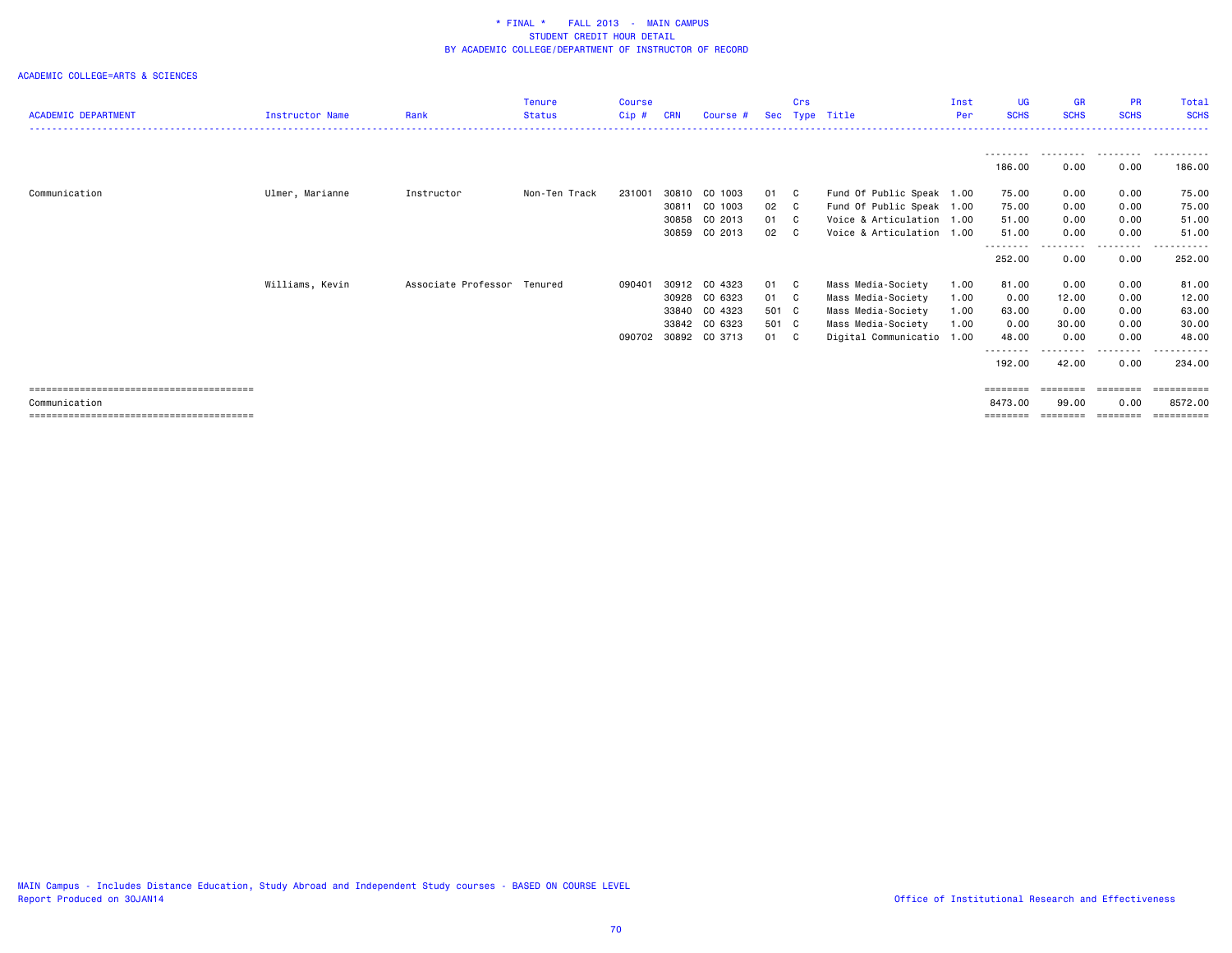|                            |                 |                             | <b>Tenure</b> | <b>Course</b> |            |               |       | Crs |                           | Inst | UG.                       | <b>GR</b>   | <b>PR</b>   | <b>Total</b>            |
|----------------------------|-----------------|-----------------------------|---------------|---------------|------------|---------------|-------|-----|---------------------------|------|---------------------------|-------------|-------------|-------------------------|
| <b>ACADEMIC DEPARTMENT</b> | Instructor Name | Rank                        | <b>Status</b> | Cip#          | <b>CRN</b> | Course #      | Sec   |     | Type Title                | Per  | <b>SCHS</b>               | <b>SCHS</b> | <b>SCHS</b> | <b>SCHS</b>             |
|                            |                 |                             |               |               |            |               |       |     |                           |      |                           |             |             |                         |
|                            |                 |                             |               |               |            |               |       |     |                           |      | ---------                 | .           | .           | .                       |
|                            |                 |                             |               |               |            |               |       |     |                           |      | 186.00                    | 0.00        | 0.00        | 186.00                  |
| Communication              | Ulmer, Marianne | Instructor                  | Non-Ten Track | 231001        | 30810      | CO 1003       | 01    | C C | Fund Of Public Speak 1.00 |      | 75.00                     | 0.00        | 0.00        | 75.00                   |
|                            |                 |                             |               |               | 30811      | CO 1003       | 02 C  |     | Fund Of Public Speak 1.00 |      | 75.00                     | 0.00        | 0.00        | 75.00                   |
|                            |                 |                             |               |               | 30858      | CO 2013       | 01 C  |     | Voice & Articulation 1.00 |      | 51.00                     | 0.00        | 0.00        | 51.00                   |
|                            |                 |                             |               |               | 30859      | CO 2013       | 02 C  |     | Voice & Articulation 1.00 |      | 51.00                     | 0.00        | 0.00        | 51.00                   |
|                            |                 |                             |               |               |            |               |       |     |                           |      | - - - - - - - -<br>252.00 | 0.00        | 0.00        | 252.00                  |
|                            | Williams, Kevin | Associate Professor Tenured |               | 090401        |            | 30912 CO 4323 | 01    | - C | Mass Media-Society        | 1.00 | 81.00                     | 0.00        | 0.00        | 81.00                   |
|                            |                 |                             |               |               | 30928      | CO 6323       | 01 C  |     | Mass Media-Society        | 1.00 | 0.00                      | 12.00       | 0.00        | 12.00                   |
|                            |                 |                             |               |               | 33840      | CO 4323       | 501 C |     | Mass Media-Society        | 1.00 | 63.00                     | 0.00        | 0.00        | 63.00                   |
|                            |                 |                             |               |               | 33842      | CO 6323       | 501 C |     | Mass Media-Society        | 1.00 | 0.00                      | 30.00       | 0.00        | 30.00                   |
|                            |                 |                             |               | 090702        |            | 30892 CO 3713 | 01 C  |     | Digital Communicatio 1.00 |      | 48.00                     | 0.00        | 0.00        | 48.00                   |
|                            |                 |                             |               |               |            |               |       |     |                           |      | 192.00                    | 42.00       | .<br>0.00   | - - - - - - -<br>234.00 |
|                            |                 |                             |               |               |            |               |       |     |                           |      |                           |             | ========    | ==========              |
| Communication              |                 |                             |               |               |            |               |       |     |                           |      | 8473.00                   | 99.00       | 0.00        | 8572.00                 |
|                            |                 |                             |               |               |            |               |       |     |                           |      | ========                  | ========    | ========    | ==========              |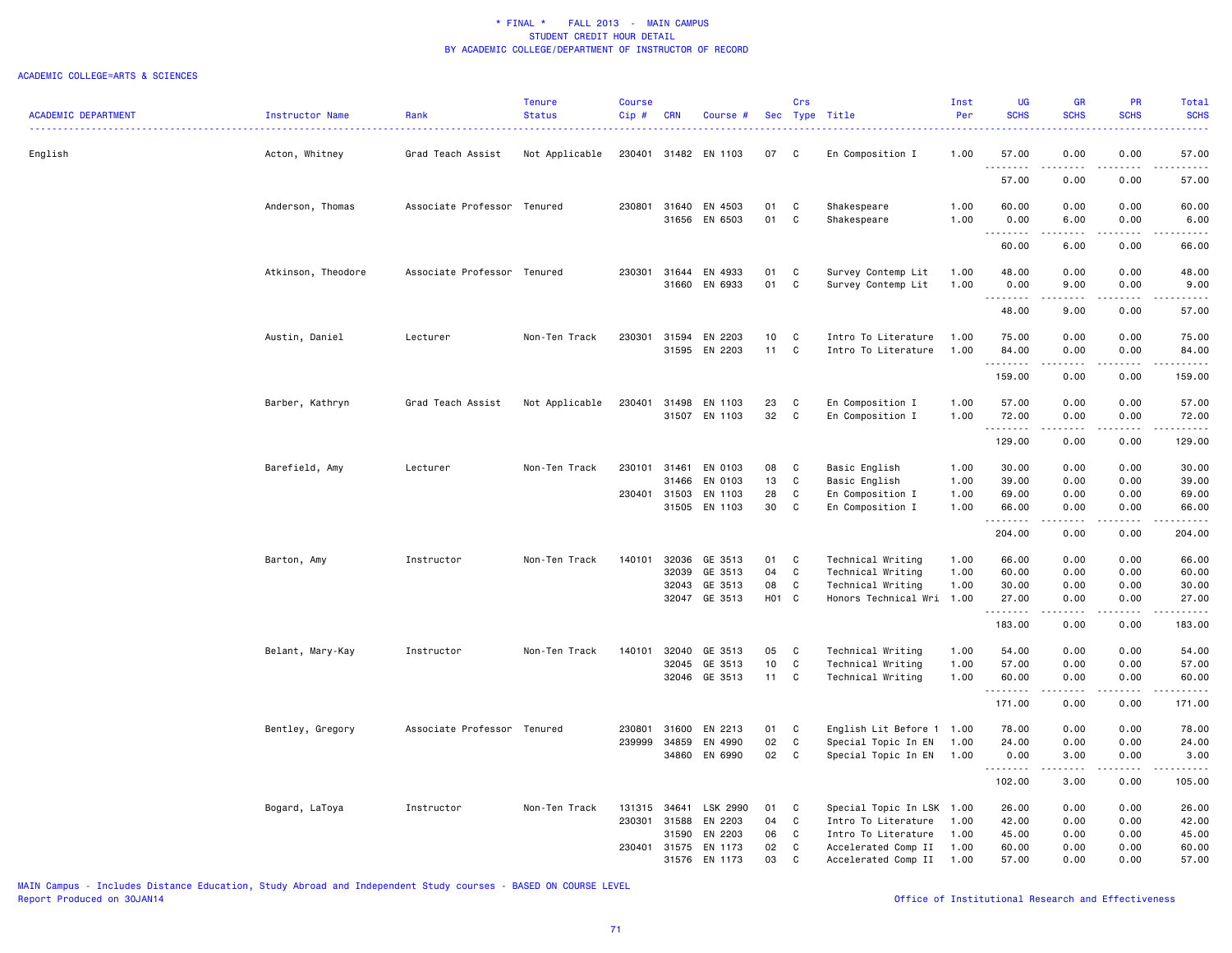|                            |                    |                             | Tenure         | <b>Course</b> |              |                                |             | Crs    |                                                | Inst         | <b>UG</b>      | <b>GR</b>                                                                                                                                                                                                                                                                                                                            | PR           | Total                                                                                                                                                                           |
|----------------------------|--------------------|-----------------------------|----------------|---------------|--------------|--------------------------------|-------------|--------|------------------------------------------------|--------------|----------------|--------------------------------------------------------------------------------------------------------------------------------------------------------------------------------------------------------------------------------------------------------------------------------------------------------------------------------------|--------------|---------------------------------------------------------------------------------------------------------------------------------------------------------------------------------|
| <b>ACADEMIC DEPARTMENT</b> | Instructor Name    | Rank                        | <b>Status</b>  | $Cip$ #       | <b>CRN</b>   | Course #                       |             |        | Sec Type Title                                 | Per          | <b>SCHS</b>    | <b>SCHS</b>                                                                                                                                                                                                                                                                                                                          | <b>SCHS</b>  | <b>SCHS</b>                                                                                                                                                                     |
| English                    | Acton, Whitney     | Grad Teach Assist           | Not Applicable | 230401        |              | 31482 EN 1103                  | 07          | C      | En Composition I                               | 1.00         | 57.00<br>.     | 0.00<br>.                                                                                                                                                                                                                                                                                                                            | 0.00<br>.    | 57.00<br>$- - - -$                                                                                                                                                              |
|                            |                    |                             |                |               |              |                                |             |        |                                                |              | 57.00          | 0.00                                                                                                                                                                                                                                                                                                                                 | 0.00         | 57.00                                                                                                                                                                           |
|                            | Anderson, Thomas   | Associate Professor         | Tenured        | 230801        | 31640        | EN 4503                        | 01          | C      | Shakespeare                                    | 1.00         | 60.00          | 0.00                                                                                                                                                                                                                                                                                                                                 | 0.00         | 60.00                                                                                                                                                                           |
|                            |                    |                             |                |               |              | 31656 EN 6503                  | 01          | C      | Shakespeare                                    | 1.00         | 0.00<br>.      | 6.00                                                                                                                                                                                                                                                                                                                                 | 0.00         | 6.00                                                                                                                                                                            |
|                            |                    |                             |                |               |              |                                |             |        |                                                |              | 60.00          | 6.00                                                                                                                                                                                                                                                                                                                                 | 0.00         | 66.00                                                                                                                                                                           |
|                            | Atkinson, Theodore | Associate Professor Tenured |                |               |              | 230301 31644 EN 4933           | 01          | C      | Survey Contemp Lit                             | 1.00         | 48.00          | 0.00                                                                                                                                                                                                                                                                                                                                 | 0.00         | 48.00                                                                                                                                                                           |
|                            |                    |                             |                |               |              | 31660 EN 6933                  | 01          | C      | Survey Contemp Lit                             | 1.00         | 0.00           | 9.00                                                                                                                                                                                                                                                                                                                                 | 0.00         | 9.00                                                                                                                                                                            |
|                            |                    |                             |                |               |              |                                |             |        |                                                |              | .<br>48.00     | .<br>9.00                                                                                                                                                                                                                                                                                                                            | .<br>0.00    | -----<br>57.00                                                                                                                                                                  |
|                            | Austin, Daniel     | Lecturer                    | Non-Ten Track  |               | 230301 31594 | EN 2203                        | 10          | C      | Intro To Literature                            | 1.00         | 75.00          | 0.00                                                                                                                                                                                                                                                                                                                                 | 0.00         | 75.00                                                                                                                                                                           |
|                            |                    |                             |                |               |              | 31595 EN 2203                  | 11          | C      | Intro To Literature                            | 1.00         | 84.00          | 0.00                                                                                                                                                                                                                                                                                                                                 | 0.00         | 84.00                                                                                                                                                                           |
|                            |                    |                             |                |               |              |                                |             |        |                                                |              | .<br>159.00    | $\frac{1}{2} \left( \frac{1}{2} \right) \left( \frac{1}{2} \right) \left( \frac{1}{2} \right) \left( \frac{1}{2} \right)$<br>0.00                                                                                                                                                                                                    | .<br>0.00    | .<br>159.00                                                                                                                                                                     |
|                            |                    |                             |                |               |              |                                |             |        |                                                |              |                |                                                                                                                                                                                                                                                                                                                                      |              |                                                                                                                                                                                 |
|                            | Barber, Kathryn    | Grad Teach Assist           | Not Applicable | 230401        |              | 31498 EN 1103<br>31507 EN 1103 | 23<br>32    | C<br>C | En Composition I<br>En Composition I           | 1.00<br>1.00 | 57.00<br>72.00 | 0.00<br>0.00                                                                                                                                                                                                                                                                                                                         | 0.00<br>0.00 | 57.00<br>72.00                                                                                                                                                                  |
|                            |                    |                             |                |               |              |                                |             |        |                                                |              | .              | $\frac{1}{2} \left( \begin{array}{ccc} 1 & 0 & 0 & 0 \\ 0 & 0 & 0 & 0 \\ 0 & 0 & 0 & 0 \\ 0 & 0 & 0 & 0 \\ 0 & 0 & 0 & 0 \\ 0 & 0 & 0 & 0 \\ 0 & 0 & 0 & 0 \\ 0 & 0 & 0 & 0 \\ 0 & 0 & 0 & 0 \\ 0 & 0 & 0 & 0 \\ 0 & 0 & 0 & 0 & 0 \\ 0 & 0 & 0 & 0 & 0 \\ 0 & 0 & 0 & 0 & 0 \\ 0 & 0 & 0 & 0 & 0 \\ 0 & 0 & 0 & 0 & 0 \\ 0 & 0 & 0$ | .            | $\frac{1}{2} \left( \frac{1}{2} \right) \left( \frac{1}{2} \right) \left( \frac{1}{2} \right) \left( \frac{1}{2} \right) \left( \frac{1}{2} \right) \left( \frac{1}{2} \right)$ |
|                            |                    |                             |                |               |              |                                |             |        |                                                |              | 129.00         | 0.00                                                                                                                                                                                                                                                                                                                                 | 0.00         | 129.00                                                                                                                                                                          |
|                            | Barefield, Amy     | Lecturer                    | Non-Ten Track  | 230101        | 31461        | EN 0103                        | 08          | C      | Basic English                                  | 1.00         | 30.00          | 0.00                                                                                                                                                                                                                                                                                                                                 | 0.00         | 30.00                                                                                                                                                                           |
|                            |                    |                             |                |               | 31466        | EN 0103                        | 13          | C      | Basic English                                  | 1.00         | 39.00          | 0.00                                                                                                                                                                                                                                                                                                                                 | 0.00         | 39.00                                                                                                                                                                           |
|                            |                    |                             |                |               | 230401 31503 | EN 1103<br>31505 EN 1103       | 28<br>30    | C<br>C | En Composition I<br>En Composition I           | 1.00<br>1.00 | 69.00<br>66.00 | 0.00<br>0.00                                                                                                                                                                                                                                                                                                                         | 0.00<br>0.00 | 69.00<br>66.00                                                                                                                                                                  |
|                            |                    |                             |                |               |              |                                |             |        |                                                |              | .              | .                                                                                                                                                                                                                                                                                                                                    |              | .                                                                                                                                                                               |
|                            |                    |                             |                |               |              |                                |             |        |                                                |              | 204.00         | 0.00                                                                                                                                                                                                                                                                                                                                 | 0.00         | 204.00                                                                                                                                                                          |
|                            | Barton, Amy        | Instructor                  | Non-Ten Track  | 140101        | 32036        | GE 3513                        | 01          | C      | Technical Writing                              | 1.00         | 66.00          | 0.00                                                                                                                                                                                                                                                                                                                                 | 0.00         | 66.00                                                                                                                                                                           |
|                            |                    |                             |                |               | 32039        | GE 3513                        | 04          | C      | Technical Writing                              | 1.00         | 60.00          | 0.00                                                                                                                                                                                                                                                                                                                                 | 0.00         | 60.00                                                                                                                                                                           |
|                            |                    |                             |                |               | 32043        | GE 3513<br>32047 GE 3513       | 08<br>H01 C | C      | Technical Writing<br>Honors Technical Wri 1.00 | 1.00         | 30.00<br>27.00 | 0.00<br>0.00                                                                                                                                                                                                                                                                                                                         | 0.00<br>0.00 | 30.00<br>27.00                                                                                                                                                                  |
|                            |                    |                             |                |               |              |                                |             |        |                                                |              | .              | .                                                                                                                                                                                                                                                                                                                                    | .            | .                                                                                                                                                                               |
|                            |                    |                             |                |               |              |                                |             |        |                                                |              | 183.00         | 0.00                                                                                                                                                                                                                                                                                                                                 | 0.00         | 183.00                                                                                                                                                                          |
|                            | Belant, Mary-Kay   | Instructor                  | Non-Ten Track  | 140101        | 32040        | GE 3513                        | 05          | C      | Technical Writing                              | 1.00         | 54.00          | 0.00                                                                                                                                                                                                                                                                                                                                 | 0.00         | 54.00                                                                                                                                                                           |
|                            |                    |                             |                |               | 32045        | GE 3513                        | 10          | C      | Technical Writing                              | 1.00         | 57.00          | 0.00                                                                                                                                                                                                                                                                                                                                 | 0.00         | 57.00                                                                                                                                                                           |
|                            |                    |                             |                |               |              | 32046 GE 3513                  | $11 -$      | C      | Technical Writing                              | 1.00         | 60.00<br>.     | 0.00<br>.                                                                                                                                                                                                                                                                                                                            | 0.00<br>.    | 60.00<br>.                                                                                                                                                                      |
|                            |                    |                             |                |               |              |                                |             |        |                                                |              | 171.00         | 0.00                                                                                                                                                                                                                                                                                                                                 | 0.00         | 171.00                                                                                                                                                                          |
|                            | Bentley, Gregory   | Associate Professor         | Tenured        |               | 230801 31600 | EN 2213                        | 01          | C      | English Lit Before 1 1.00                      |              | 78.00          | 0.00                                                                                                                                                                                                                                                                                                                                 | 0.00         | 78.00                                                                                                                                                                           |
|                            |                    |                             |                | 239999        | 34859        | EN 4990                        | 02          | C      | Special Topic In EN                            | 1.00         | 24.00          | 0.00                                                                                                                                                                                                                                                                                                                                 | 0.00         | 24.00                                                                                                                                                                           |
|                            |                    |                             |                |               |              | 34860 EN 6990                  | 02          | C      | Special Topic In EN                            | 1.00         | 0.00<br>.      | 3.00                                                                                                                                                                                                                                                                                                                                 | 0.00         | 3.00<br>.                                                                                                                                                                       |
|                            |                    |                             |                |               |              |                                |             |        |                                                |              | 102.00         | 3.00                                                                                                                                                                                                                                                                                                                                 | 0.00         | 105.00                                                                                                                                                                          |
|                            | Bogard, LaToya     | Instructor                  | Non-Ten Track  |               | 131315 34641 | LSK 2990                       | 01          | C      | Special Topic In LSK 1.00                      |              | 26.00          | 0.00                                                                                                                                                                                                                                                                                                                                 | 0.00         | 26.00                                                                                                                                                                           |
|                            |                    |                             |                |               | 230301 31588 | EN 2203                        | 04          | C      | Intro To Literature                            | 1.00         | 42.00          | 0.00                                                                                                                                                                                                                                                                                                                                 | 0.00         | 42.00                                                                                                                                                                           |
|                            |                    |                             |                |               | 31590        | EN 2203                        | 06          | C      | Intro To Literature                            | 1.00         | 45.00          | 0.00                                                                                                                                                                                                                                                                                                                                 | 0.00         | 45.00                                                                                                                                                                           |
|                            |                    |                             |                |               | 230401 31575 | EN 1173                        | 02          | C      | Accelerated Comp II                            | 1.00         | 60.00          | 0.00                                                                                                                                                                                                                                                                                                                                 | 0.00         | 60.00                                                                                                                                                                           |
|                            |                    |                             |                |               | 31576        | EN 1173                        | 03          | C      | Accelerated Comp II                            | 1.00         | 57.00          | 0.00                                                                                                                                                                                                                                                                                                                                 | 0.00         | 57.00                                                                                                                                                                           |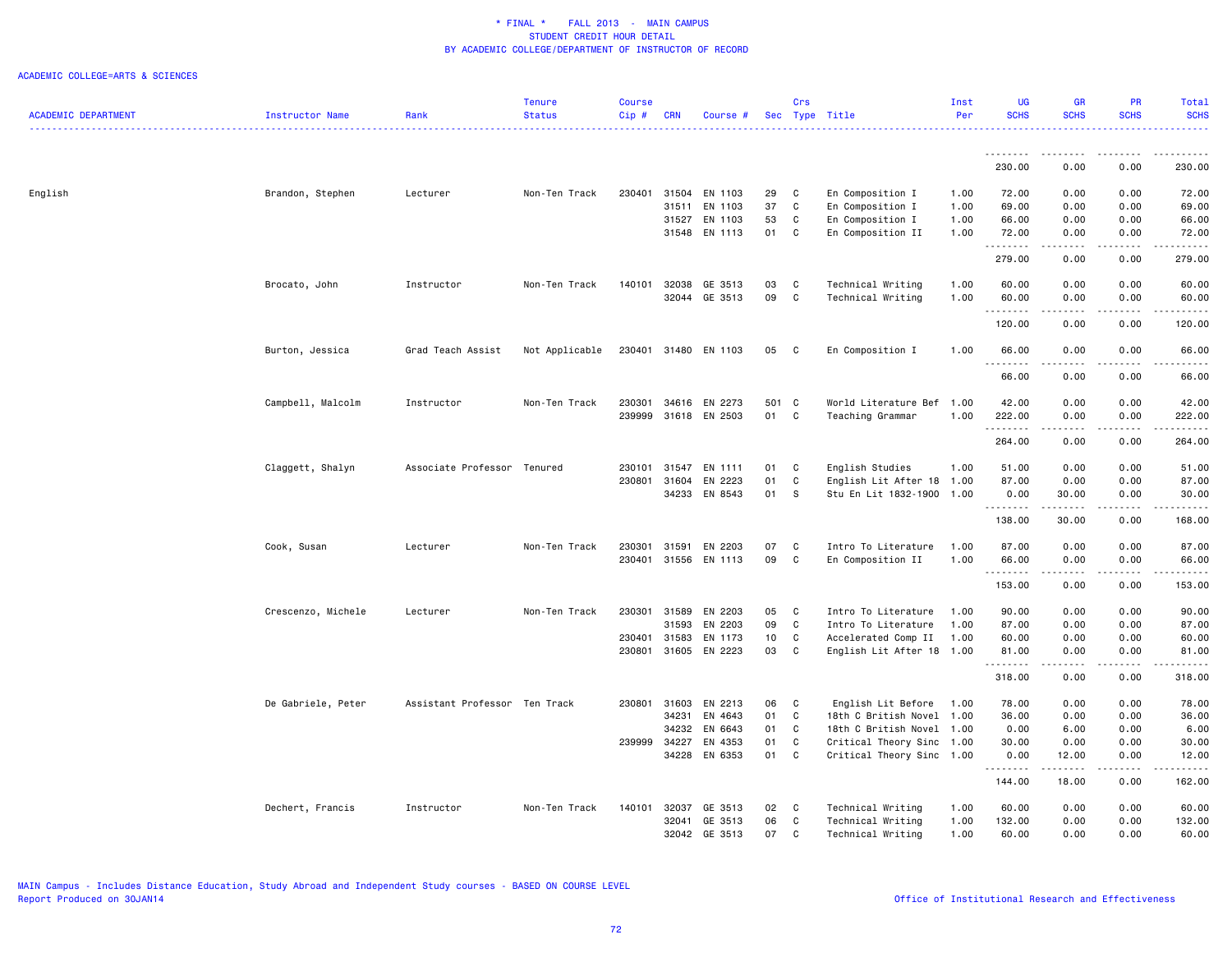|                            |                        |                               | <b>Tenure</b>  | Course |            |                      |       | Crs          |                           | Inst | UG          | <b>GR</b>                           | PR                             | Total                                         |
|----------------------------|------------------------|-------------------------------|----------------|--------|------------|----------------------|-------|--------------|---------------------------|------|-------------|-------------------------------------|--------------------------------|-----------------------------------------------|
| <b>ACADEMIC DEPARTMENT</b> | <b>Instructor Name</b> | Rank                          | <b>Status</b>  | Cip#   | <b>CRN</b> | Course #             |       |              | Sec Type Title            | Per  | <b>SCHS</b> | <b>SCHS</b>                         | <b>SCHS</b>                    | <b>SCHS</b>                                   |
|                            |                        |                               |                |        |            |                      |       |              |                           |      | .           | .                                   | .                              |                                               |
|                            |                        |                               |                |        |            |                      |       |              |                           |      | 230.00      | 0.00                                | 0.00                           | 230.00                                        |
| English                    | Brandon, Stephen       | Lecturer                      | Non-Ten Track  | 230401 |            | 31504 EN 1103        | 29    | C            | En Composition I          | 1.00 | 72.00       | 0.00                                | 0.00                           | 72.00                                         |
|                            |                        |                               |                |        |            | 31511 EN 1103        | 37    | C            | En Composition I          | 1.00 | 69.00       | 0.00                                | 0.00                           | 69.00                                         |
|                            |                        |                               |                |        |            | 31527 EN 1103        | 53    | C            | En Composition I          | 1.00 | 66.00       | 0.00                                | 0.00                           | 66.00                                         |
|                            |                        |                               |                |        |            | 31548 EN 1113        | 01    | C            | En Composition II         | 1.00 | 72.00       | 0.00                                | 0.00                           | 72.00                                         |
|                            |                        |                               |                |        |            |                      |       |              |                           |      | .<br>279.00 | ----<br>0.00                        | د د د د<br>0.00                | 279.00                                        |
|                            | Brocato, John          | Instructor                    | Non-Ten Track  | 140101 |            | 32038 GE 3513        | 03    | C            | Technical Writing         | 1.00 | 60.00       | 0.00                                | 0.00                           | 60.00                                         |
|                            |                        |                               |                |        |            | 32044 GE 3513        | 09    | C            | Technical Writing         | 1.00 | 60.00       | 0.00                                | 0.00                           | 60.00                                         |
|                            |                        |                               |                |        |            |                      |       |              |                           |      | .<br>120.00 | .<br>0.00                           | .<br>0.00                      | 120.00                                        |
|                            | Burton, Jessica        | Grad Teach Assist             | Not Applicable | 230401 |            | 31480 EN 1103        | 05    | $\mathbf{C}$ | En Composition I          | 1.00 | 66.00       | 0.00                                | 0.00                           | 66.00                                         |
|                            |                        |                               |                |        |            |                      |       |              |                           |      | .<br>66.00  | $\sim$ $\sim$ $\sim$ $\sim$<br>0.00 | .<br>0.00                      | .<br>66.00                                    |
|                            | Campbell, Malcolm      | Instructor                    | Non-Ten Track  | 230301 | 34616      | EN 2273              | 501 C |              | World Literature Bef      | 1.00 | 42.00       | 0.00                                | 0.00                           | 42.00                                         |
|                            |                        |                               |                | 239999 |            | 31618 EN 2503        | 01 C  |              | Teaching Grammar          | 1.00 | 222.00      | 0.00                                | 0.00<br>.                      | 222.00                                        |
|                            |                        |                               |                |        |            |                      |       |              |                           |      | .<br>264.00 | المتمالين<br>0.00                   | 0.00                           | $\omega$ is $\omega$ in $\omega$ in<br>264.00 |
|                            | Claggett, Shalyn       | Associate Professor Tenured   |                |        |            | 230101 31547 EN 1111 | 01    | C            | English Studies           | 1.00 | 51.00       | 0.00                                | 0.00                           | 51.00                                         |
|                            |                        |                               |                | 230801 | 31604      | EN 2223              | 01    | C            | English Lit After 18 1.00 |      | 87.00       | 0.00                                | 0.00                           | 87.00                                         |
|                            |                        |                               |                |        |            | 34233 EN 8543        | 01    | <b>S</b>     | Stu En Lit 1832-1900      | 1.00 | 0.00<br>.   | 30.00<br>.                          | 0.00                           | 30.00<br>.                                    |
|                            |                        |                               |                |        |            |                      |       |              |                           |      | 138.00      | 30.00                               | 0.00                           | 168.00                                        |
|                            | Cook, Susan            | Lecturer                      | Non-Ten Track  | 230301 | 31591      | EN 2203              | 07    | C            | Intro To Literature       | 1.00 | 87.00       | 0.00                                | 0.00                           | 87.00                                         |
|                            |                        |                               |                | 230401 |            | 31556 EN 1113        | 09    | C            | En Composition II         | 1.00 | 66.00       | 0.00                                | 0.00                           | 66.00                                         |
|                            |                        |                               |                |        |            |                      |       |              |                           |      | .<br>153.00 | .<br>0.00                           | $\omega$ is a set of .<br>0.00 | $\omega$ is $\omega$ in $\omega$ in<br>153.00 |
|                            | Crescenzo, Michele     | Lecturer                      | Non-Ten Track  | 230301 | 31589      | EN 2203              | 05    | C            | Intro To Literature       | 1.00 | 90.00       | 0.00                                | 0.00                           | 90.00                                         |
|                            |                        |                               |                |        | 31593      | EN 2203              | 09    | C            | Intro To Literature       | 1.00 | 87.00       | 0.00                                | 0.00                           | 87.00                                         |
|                            |                        |                               |                | 230401 | 31583      | EN 1173              | 10    | C            | Accelerated Comp II       | 1.00 | 60.00       | 0.00                                | 0.00                           | 60.00                                         |
|                            |                        |                               |                | 230801 | 31605      | EN 2223              | 03    | C            | English Lit After 18 1.00 |      | 81.00<br>.  | 0.00<br>.                           | 0.00                           | 81.00                                         |
|                            |                        |                               |                |        |            |                      |       |              |                           |      | 318.00      | 0.00                                | 0.00                           | 318.00                                        |
|                            | De Gabriele, Peter     | Assistant Professor Ten Track |                | 230801 |            | 31603 EN 2213        | 06    | C            | English Lit Before        | 1.00 | 78.00       | 0.00                                | 0.00                           | 78.00                                         |
|                            |                        |                               |                |        | 34231      | EN 4643              | 01    | C            | 18th C British Novel      | 1.00 | 36.00       | 0.00                                | 0.00                           | 36.00                                         |
|                            |                        |                               |                |        | 34232      | EN 6643              | 01    | C            | 18th C British Novel      | 1.00 | 0.00        | 6.00                                | 0.00                           | 6.00                                          |
|                            |                        |                               |                | 239999 | 34227      | EN 4353              | 01    | C            | Critical Theory Sinc 1.00 |      | 30.00       | 0.00                                | 0.00                           | 30.00                                         |
|                            |                        |                               |                |        |            | 34228 EN 6353        | 01 C  |              | Critical Theory Sinc 1.00 |      | 0.00<br>.   | 12.00<br>.                          | 0.00<br>.                      | 12.00                                         |
|                            |                        |                               |                |        |            |                      |       |              |                           |      | 144.00      | 18.00                               | 0.00                           | 162.00                                        |
|                            | Dechert, Francis       | Instructor                    | Non-Ten Track  | 140101 |            | 32037 GE 3513        | 02    | <b>C</b>     | Technical Writing         | 1.00 | 60.00       | 0.00                                | 0.00                           | 60.00                                         |
|                            |                        |                               |                |        | 32041      | GE 3513              | 06    | C            | Technical Writing         | 1.00 | 132.00      | 0.00                                | 0.00                           | 132.00                                        |
|                            |                        |                               |                |        | 32042      | GE 3513              | 07    | C            | Technical Writing         | 1.00 | 60.00       | 0.00                                | 0.00                           | 60.00                                         |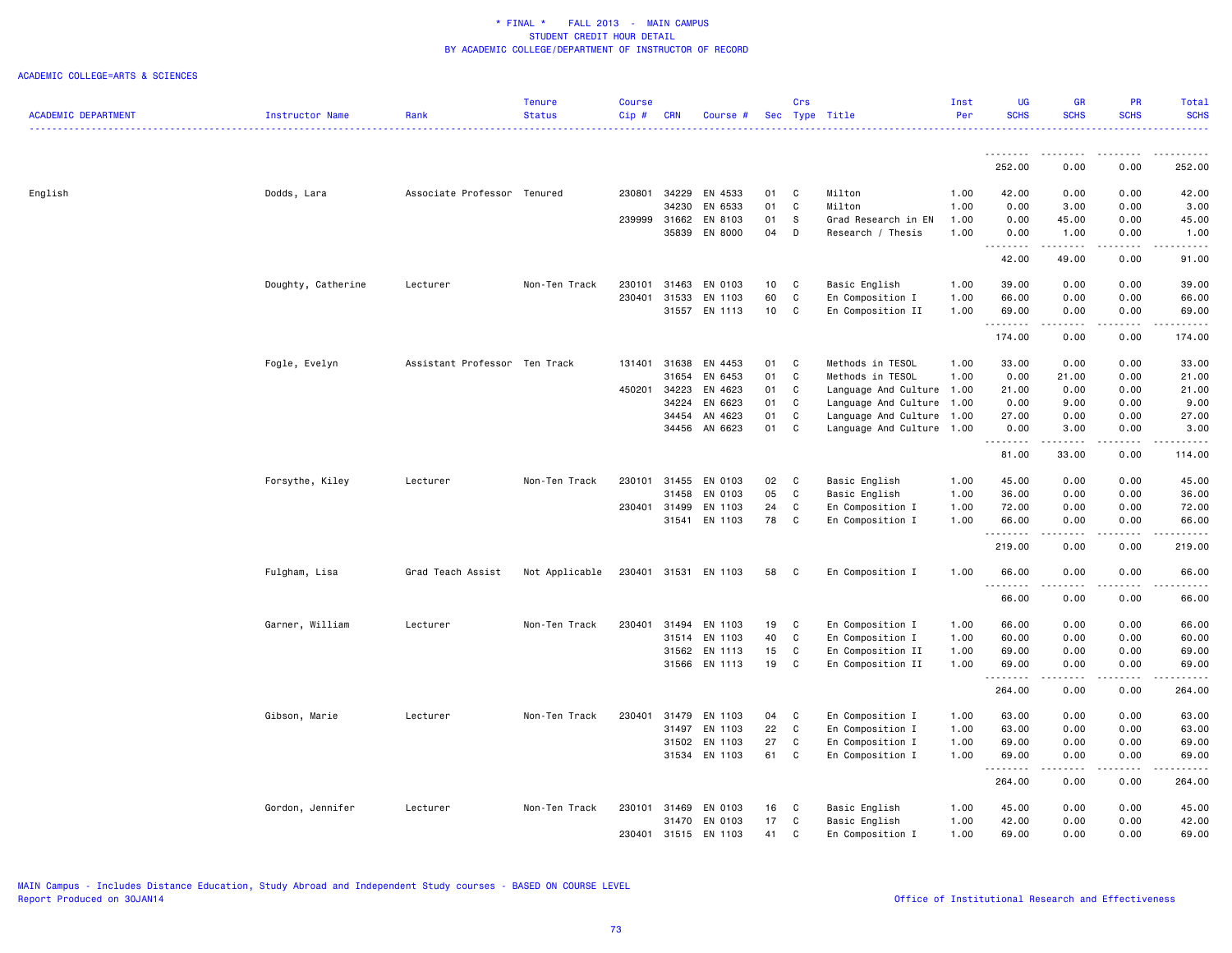|                            |                    |                               | <b>Tenure</b>  | <b>Course</b> |            |               |    | Crs          |                           | Inst | <b>UG</b>              | <b>GR</b>                                                                                                                                                    | <b>PR</b>             | Total                                                                                                                                                          |
|----------------------------|--------------------|-------------------------------|----------------|---------------|------------|---------------|----|--------------|---------------------------|------|------------------------|--------------------------------------------------------------------------------------------------------------------------------------------------------------|-----------------------|----------------------------------------------------------------------------------------------------------------------------------------------------------------|
| <b>ACADEMIC DEPARTMENT</b> | Instructor Name    | Rank                          | <b>Status</b>  | Cip#          | <b>CRN</b> | Course #      |    |              | Sec Type Title            | Per  | <b>SCHS</b>            | <b>SCHS</b>                                                                                                                                                  | <b>SCHS</b>           | <b>SCHS</b><br>.                                                                                                                                               |
|                            |                    |                               |                |               |            |               |    |              |                           |      |                        |                                                                                                                                                              |                       |                                                                                                                                                                |
|                            |                    |                               |                |               |            |               |    |              |                           |      | .<br>252.00            | 0.00                                                                                                                                                         | .<br>0.00             | $\frac{1}{2} \left( \frac{1}{2} \right) \left( \frac{1}{2} \right) \left( \frac{1}{2} \right) \left( \frac{1}{2} \right) \left( \frac{1}{2} \right)$<br>252.00 |
| English                    | Dodds, Lara        | Associate Professor Tenured   |                | 230801        | 34229      | EN 4533       | 01 | C            | Milton                    | 1.00 | 42.00                  | 0.00                                                                                                                                                         | 0.00                  | 42.00                                                                                                                                                          |
|                            |                    |                               |                |               | 34230      | EN 6533       | 01 | $\mathsf{C}$ | Milton                    | 1.00 | 0.00                   | 3.00                                                                                                                                                         | 0.00                  | 3.00                                                                                                                                                           |
|                            |                    |                               |                | 239999        | 31662      | EN 8103       | 01 | S            | Grad Research in EN       | 1.00 | 0.00                   | 45.00                                                                                                                                                        | 0.00                  | 45.00                                                                                                                                                          |
|                            |                    |                               |                |               | 35839      | EN 8000       | 04 | D            | Research / Thesis         | 1.00 | 0.00<br>.              | 1.00<br>.                                                                                                                                                    | 0.00<br>الأعامات      | 1.00<br>$\omega$ is $\omega$ in .                                                                                                                              |
|                            |                    |                               |                |               |            |               |    |              |                           |      | 42.00                  | 49.00                                                                                                                                                        | 0.00                  | 91.00                                                                                                                                                          |
|                            | Doughty, Catherine | Lecturer                      | Non-Ten Track  | 230101        | 31463      | EN 0103       | 10 | $\mathbf c$  | Basic English             | 1.00 | 39.00                  | 0.00                                                                                                                                                         | 0.00                  | 39.00                                                                                                                                                          |
|                            |                    |                               |                | 230401        | 31533      | EN 1103       | 60 | C            | En Composition I          | 1.00 | 66.00                  | 0.00                                                                                                                                                         | 0.00                  | 66.00                                                                                                                                                          |
|                            |                    |                               |                |               | 31557      | EN 1113       | 10 | C            | En Composition II         | 1.00 | 69.00<br><u>.</u>      | 0.00<br>.                                                                                                                                                    | 0.00<br>.             | 69.00<br>.                                                                                                                                                     |
|                            |                    |                               |                |               |            |               |    |              |                           |      | 174.00                 | 0.00                                                                                                                                                         | 0.00                  | 174.00                                                                                                                                                         |
|                            | Fogle, Evelyn      | Assistant Professor Ten Track |                | 131401        | 31638      | EN 4453       | 01 | C            | Methods in TESOL          | 1.00 | 33.00                  | 0.00                                                                                                                                                         | 0.00                  | 33.00                                                                                                                                                          |
|                            |                    |                               |                |               | 31654      | EN 6453       | 01 | $\mathbb{C}$ | Methods in TESOL          | 1.00 | 0.00                   | 21.00                                                                                                                                                        | 0.00                  | 21.00                                                                                                                                                          |
|                            |                    |                               |                | 450201        | 34223      | EN 4623       | 01 | C            | Language And Culture 1.00 |      | 21.00                  | 0.00                                                                                                                                                         | 0.00                  | 21.00                                                                                                                                                          |
|                            |                    |                               |                |               | 34224      | EN 6623       | 01 | C            | Language And Culture      | 1.00 | 0.00                   | 9.00                                                                                                                                                         | 0.00                  | 9.00                                                                                                                                                           |
|                            |                    |                               |                |               | 34454      | AN 4623       | 01 | $\mathbb{C}$ | Language And Culture      | 1.00 | 27.00                  | 0.00                                                                                                                                                         | 0.00                  | 27.00                                                                                                                                                          |
|                            |                    |                               |                |               | 34456      | AN 6623       | 01 | C            | Language And Culture 1.00 |      | 0.00<br>.              | 3.00<br>.                                                                                                                                                    | 0.00<br>.             | 3.00<br>.                                                                                                                                                      |
|                            |                    |                               |                |               |            |               |    |              |                           |      | 81.00                  | 33.00                                                                                                                                                        | 0.00                  | 114.00                                                                                                                                                         |
|                            | Forsythe, Kiley    | Lecturer                      | Non-Ten Track  | 230101        | 31455      | EN 0103       | 02 | C            | Basic English             | 1.00 | 45.00                  | 0.00                                                                                                                                                         | 0.00                  | 45.00                                                                                                                                                          |
|                            |                    |                               |                |               | 31458      | EN 0103       | 05 | $\mathbb{C}$ | Basic English             | 1.00 | 36.00                  | 0.00                                                                                                                                                         | 0.00                  | 36.00                                                                                                                                                          |
|                            |                    |                               |                | 230401 31499  |            | EN 1103       | 24 | C            | En Composition I          | 1.00 | 72.00                  | 0.00                                                                                                                                                         | 0.00                  | 72.00                                                                                                                                                          |
|                            |                    |                               |                |               | 31541      | EN 1103       | 78 | C            | En Composition I          | 1.00 | 66.00<br><u>.</u>      | 0.00                                                                                                                                                         | 0.00<br>$\frac{1}{2}$ | 66.00<br>.                                                                                                                                                     |
|                            |                    |                               |                |               |            |               |    |              |                           |      | 219.00                 | 0.00                                                                                                                                                         | 0.00                  | 219.00                                                                                                                                                         |
|                            | Fulgham, Lisa      | Grad Teach Assist             | Not Applicable | 230401        |            | 31531 EN 1103 | 58 | C            | En Composition I          | 1.00 | 66.00<br>$\frac{1}{2}$ | 0.00                                                                                                                                                         | 0.00                  | 66.00                                                                                                                                                          |
|                            |                    |                               |                |               |            |               |    |              |                           |      | 66.00                  | 0.00                                                                                                                                                         | 0.00                  | 66.00                                                                                                                                                          |
|                            | Garner, William    | Lecturer                      | Non-Ten Track  | 230401        | 31494      | EN 1103       | 19 | $\mathbf c$  | En Composition I          | 1.00 | 66.00                  | 0.00                                                                                                                                                         | 0.00                  | 66.00                                                                                                                                                          |
|                            |                    |                               |                |               | 31514      | EN 1103       | 40 | C            | En Composition I          | 1.00 | 60.00                  | 0.00                                                                                                                                                         | 0.00                  | 60.00                                                                                                                                                          |
|                            |                    |                               |                |               | 31562      | EN 1113       | 15 | C            | En Composition II         | 1.00 | 69.00                  | 0.00                                                                                                                                                         | 0.00                  | 69.00                                                                                                                                                          |
|                            |                    |                               |                |               |            | 31566 EN 1113 | 19 | C            | En Composition II         | 1.00 | 69.00<br><u>.</u>      | 0.00<br>----                                                                                                                                                 | 0.00<br>$\frac{1}{2}$ | 69.00<br>.                                                                                                                                                     |
|                            |                    |                               |                |               |            |               |    |              |                           |      | 264.00                 | 0.00                                                                                                                                                         | 0.00                  | 264.00                                                                                                                                                         |
|                            | Gibson, Marie      | Lecturer                      | Non-Ten Track  | 230401        | 31479      | EN 1103       | 04 | C            | En Composition I          | 1.00 | 63.00                  | 0.00                                                                                                                                                         | 0.00                  | 63.00                                                                                                                                                          |
|                            |                    |                               |                |               | 31497      | EN 1103       | 22 | C            | En Composition I          | 1.00 | 63.00                  | 0.00                                                                                                                                                         | 0.00                  | 63.00                                                                                                                                                          |
|                            |                    |                               |                |               | 31502      | EN 1103       | 27 | C            | En Composition I          | 1.00 | 69.00                  | 0.00                                                                                                                                                         | 0.00                  | 69.00                                                                                                                                                          |
|                            |                    |                               |                |               |            | 31534 EN 1103 | 61 | C            | En Composition I          | 1.00 | 69.00<br>.             | 0.00<br>$\frac{1}{2} \left( \frac{1}{2} \right) \left( \frac{1}{2} \right) \left( \frac{1}{2} \right) \left( \frac{1}{2} \right) \left( \frac{1}{2} \right)$ | 0.00<br>.             | 69.00<br>.                                                                                                                                                     |
|                            |                    |                               |                |               |            |               |    |              |                           |      | 264.00                 | 0.00                                                                                                                                                         | 0.00                  | 264.00                                                                                                                                                         |
|                            | Gordon, Jennifer   | Lecturer                      | Non-Ten Track  | 230101        | 31469      | EN 0103       | 16 | C            | Basic English             | 1.00 | 45.00                  | 0.00                                                                                                                                                         | 0.00                  | 45.00                                                                                                                                                          |
|                            |                    |                               |                |               |            | 31470 EN 0103 | 17 | $\mathbb{C}$ | Basic English             | 1.00 | 42.00                  | 0.00                                                                                                                                                         | 0.00                  | 42.00                                                                                                                                                          |
|                            |                    |                               |                | 230401        | 31515      | EN 1103       | 41 | C.           | En Composition I          | 1.00 | 69.00                  | 0.00                                                                                                                                                         | 0.00                  | 69.00                                                                                                                                                          |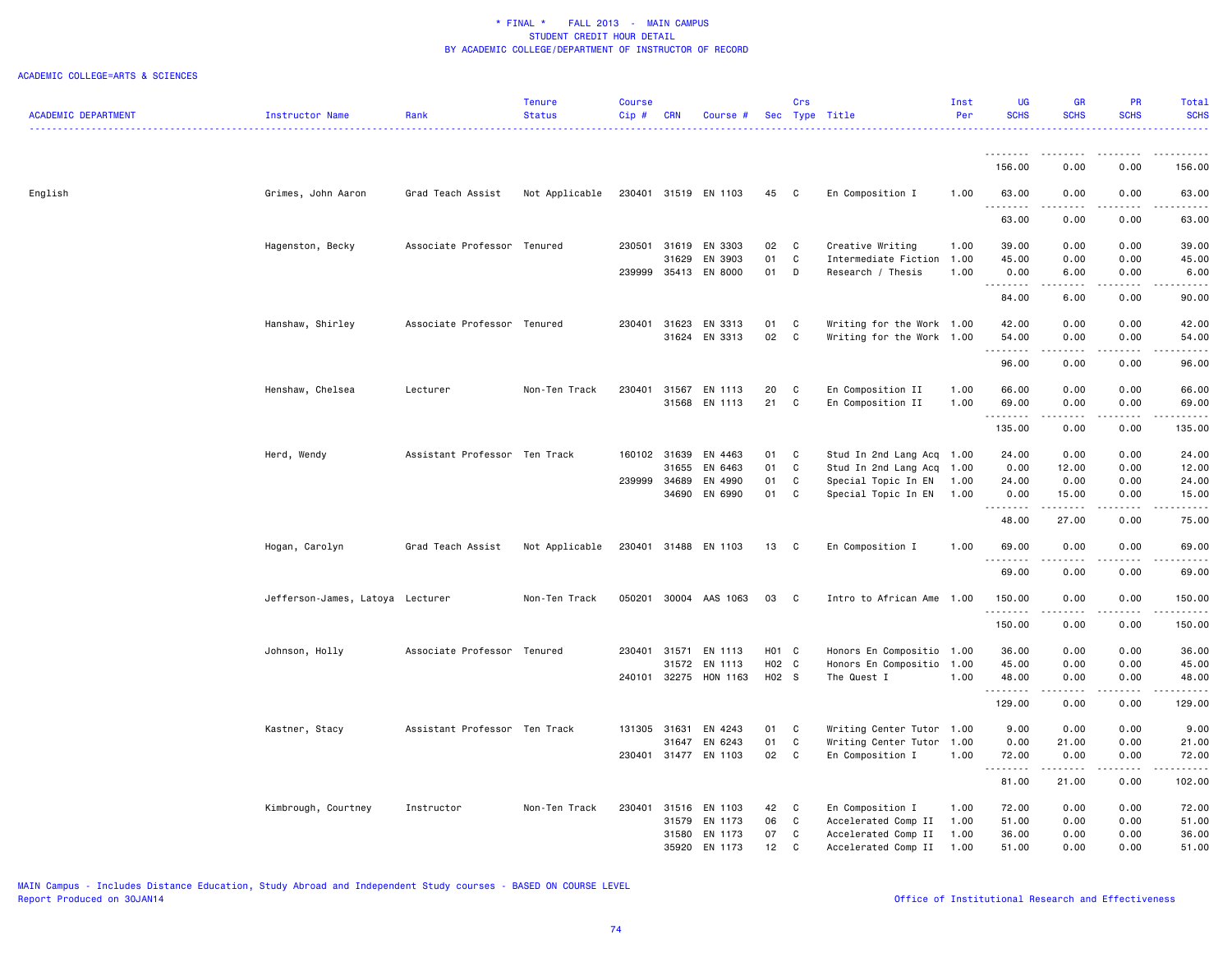### ACADEMIC COLLEGE=ARTS & SCIENCES

|                            |                                  |                               | <b>Tenure</b>  | <b>Course</b> |              |                       |       | Crs          |                           | Inst | UG          | <b>GR</b>                                                                                                                                                     | <b>PR</b>   | Total                  |
|----------------------------|----------------------------------|-------------------------------|----------------|---------------|--------------|-----------------------|-------|--------------|---------------------------|------|-------------|---------------------------------------------------------------------------------------------------------------------------------------------------------------|-------------|------------------------|
| <b>ACADEMIC DEPARTMENT</b> | Instructor Name                  | Rank                          | <b>Status</b>  | Cip#          | <b>CRN</b>   | Course #              |       |              | Sec Type Title            | Per  | <b>SCHS</b> | <b>SCHS</b>                                                                                                                                                   | <b>SCHS</b> | <b>SCHS</b>            |
|                            |                                  |                               |                |               |              |                       |       |              |                           |      |             |                                                                                                                                                               |             |                        |
|                            |                                  |                               |                |               |              |                       |       |              |                           |      | .<br>156.00 | .<br>0.00                                                                                                                                                     | .<br>0.00   | .<br>156.00            |
| English                    | Grimes, John Aaron               | Grad Teach Assist             | Not Applicable |               |              | 230401 31519 EN 1103  | 45    | C            | En Composition I          | 1.00 | 63.00       | 0.00                                                                                                                                                          | 0.00        | 63.00                  |
|                            |                                  |                               |                |               |              |                       |       |              |                           |      | .<br>63.00  | .<br>0.00                                                                                                                                                     | .<br>0.00   | .<br>63.00             |
|                            | Hagenston, Becky                 | Associate Professor           | Tenured        | 230501        | 31619        | EN 3303               | 02    | C            | Creative Writing          | 1.00 | 39.00       | 0.00                                                                                                                                                          | 0.00        | 39.00                  |
|                            |                                  |                               |                |               | 31629        | EN 3903               | 01    | C            | Intermediate Fiction      | 1.00 | 45.00       | 0.00                                                                                                                                                          | 0.00        | 45.00                  |
|                            |                                  |                               |                |               |              | 239999 35413 EN 8000  | 01    | D            | Research / Thesis         | 1.00 | 0.00<br>.   | 6.00<br>$\frac{1}{2} \left( \frac{1}{2} \right) \left( \frac{1}{2} \right) \left( \frac{1}{2} \right) \left( \frac{1}{2} \right)$                             | 0.00        | 6.00                   |
|                            |                                  |                               |                |               |              |                       |       |              |                           |      | 84.00       | 6.00                                                                                                                                                          | 0.00        | 90.00                  |
|                            | Hanshaw, Shirley                 | Associate Professor Tenured   |                |               | 230401 31623 | EN 3313               | 01    | C            | Writing for the Work 1.00 |      | 42.00       | 0.00                                                                                                                                                          | 0.00        | 42.00                  |
|                            |                                  |                               |                |               | 31624        | EN 3313               | 02    | C            | Writing for the Work 1.00 |      | 54.00<br>.  | 0.00<br>$\omega$ is a $\omega$                                                                                                                                | 0.00<br>.   | 54.00<br>$\frac{1}{2}$ |
|                            |                                  |                               |                |               |              |                       |       |              |                           |      | 96.00       | 0.00                                                                                                                                                          | 0.00        | 96.00                  |
|                            | Henshaw, Chelsea                 | Lecturer                      | Non-Ten Track  | 230401        | 31567        | EN 1113               | 20    | C            | En Composition II         | 1.00 | 66.00       | 0.00                                                                                                                                                          | 0.00        | 66.00                  |
|                            |                                  |                               |                |               |              | 31568 EN 1113         | 21    | C            | En Composition II         | 1.00 | 69.00<br>.  | 0.00<br>د د د د                                                                                                                                               | 0.00<br>.   | 69.00<br>.             |
|                            |                                  |                               |                |               |              |                       |       |              |                           |      | 135.00      | 0.00                                                                                                                                                          | 0.00        | 135.00                 |
|                            | Herd, Wendy                      | Assistant Professor Ten Track |                |               | 160102 31639 | EN 4463               | 01    | C            | Stud In 2nd Lang Acq 1.00 |      | 24.00       | 0.00                                                                                                                                                          | 0.00        | 24.00                  |
|                            |                                  |                               |                |               | 31655        | EN 6463               | 01    | C            | Stud In 2nd Lang Acq      | 1.00 | 0.00        | 12.00                                                                                                                                                         | 0.00        | 12.00                  |
|                            |                                  |                               |                | 239999        | 34689        | EN 4990               | 01    | C            | Special Topic In EN       | 1.00 | 24.00       | 0.00                                                                                                                                                          | 0.00        | 24.00                  |
|                            |                                  |                               |                |               | 34690        | EN 6990               | 01    | C            | Special Topic In EN       | 1.00 | 0.00<br>.   | 15.00<br>$\frac{1}{2} \left( \frac{1}{2} \right) \left( \frac{1}{2} \right) \left( \frac{1}{2} \right) \left( \frac{1}{2} \right) \left( \frac{1}{2} \right)$ | 0.00<br>.   | 15.00                  |
|                            |                                  |                               |                |               |              |                       |       |              |                           |      | 48.00       | 27.00                                                                                                                                                         | 0.00        | 75.00                  |
|                            | Hogan, Carolyn                   | Grad Teach Assist             | Not Applicable |               |              | 230401 31488 EN 1103  | 13    | $\mathbf{C}$ | En Composition I          | 1.00 | 69.00<br>.  | 0.00<br>.                                                                                                                                                     | 0.00<br>.   | 69.00<br>.             |
|                            |                                  |                               |                |               |              |                       |       |              |                           |      | 69.00       | 0.00                                                                                                                                                          | 0.00        | 69.00                  |
|                            | Jefferson-James, Latoya Lecturer |                               | Non-Ten Track  |               |              | 050201 30004 AAS 1063 | 03    | C            | Intro to African Ame 1.00 |      | 150.00<br>. | 0.00<br>د د د د                                                                                                                                               | 0.00<br>.   | 150.00<br>.            |
|                            |                                  |                               |                |               |              |                       |       |              |                           |      | 150.00      | 0.00                                                                                                                                                          | 0.00        | 150.00                 |
|                            | Johnson, Holly                   | Associate Professor           | Tenured        | 230401        | 31571        | EN 1113               | H01 C |              | Honors En Compositio 1.00 |      | 36.00       | 0.00                                                                                                                                                          | 0.00        | 36.00                  |
|                            |                                  |                               |                |               | 31572        | EN 1113               | H02 C |              | Honors En Compositio      | 1.00 | 45.00       | 0.00                                                                                                                                                          | 0.00        | 45.00                  |
|                            |                                  |                               |                |               |              | 240101 32275 HON 1163 | H02 S |              | The Quest I               | 1.00 | 48.00<br>.  | 0.00<br>المتمالين                                                                                                                                             | 0.00<br>.   | 48.00                  |
|                            |                                  |                               |                |               |              |                       |       |              |                           |      | 129.00      | 0.00                                                                                                                                                          | 0.00        | 129.00                 |
|                            | Kastner, Stacy                   | Assistant Professor Ten Track |                | 131305 31631  |              | EN 4243               | 01    | C            | Writing Center Tutor 1.00 |      | 9.00        | 0.00                                                                                                                                                          | 0.00        | 9.00                   |
|                            |                                  |                               |                |               | 31647        | EN 6243               | 01    | C            | Writing Center Tutor      | 1.00 | 0.00        | 21.00                                                                                                                                                         | 0.00        | 21.00                  |
|                            |                                  |                               |                |               |              | 230401 31477 EN 1103  | 02    | C            | En Composition I          | 1.00 | 72.00<br>.  | 0.00<br>.                                                                                                                                                     | 0.00<br>.   | 72.00<br>.             |
|                            |                                  |                               |                |               |              |                       |       |              |                           |      | 81.00       | 21.00                                                                                                                                                         | 0.00        | 102.00                 |
|                            | Kimbrough, Courtney              | Instructor                    | Non-Ten Track  |               | 230401 31516 | EN 1103               | 42    | C            | En Composition I          | 1.00 | 72.00       | 0.00                                                                                                                                                          | 0.00        | 72.00                  |
|                            |                                  |                               |                |               |              | 31579 EN 1173         | 06    | C            | Accelerated Comp II       | 1.00 | 51.00       | 0.00                                                                                                                                                          | 0.00        | 51.00                  |
|                            |                                  |                               |                |               | 31580        | EN 1173               | 07    | C            | Accelerated Comp II       | 1.00 | 36.00       | 0.00                                                                                                                                                          | 0.00        | 36.00                  |
|                            |                                  |                               |                |               |              | 35920 EN 1173         | 12    | C            | Accelerated Comp II       | 1.00 | 51.00       | 0.00                                                                                                                                                          | 0.00        | 51.00                  |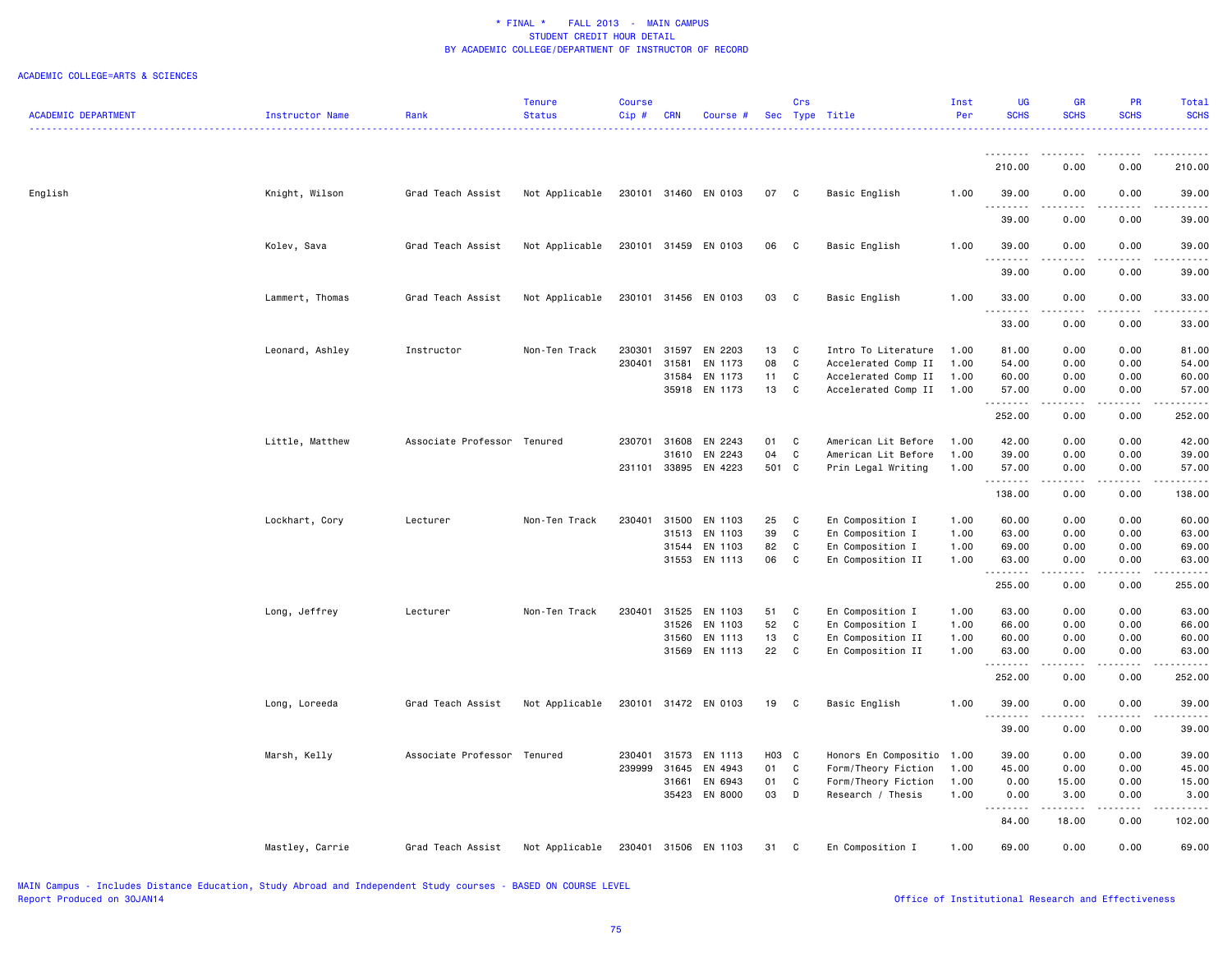|                            |                 |                             | <b>Tenure</b>  | <b>Course</b> |            |                      |       | Crs          |                           | Inst | <b>UG</b>                      | <b>GR</b>             | <b>PR</b>                                                                                                                         | Total            |
|----------------------------|-----------------|-----------------------------|----------------|---------------|------------|----------------------|-------|--------------|---------------------------|------|--------------------------------|-----------------------|-----------------------------------------------------------------------------------------------------------------------------------|------------------|
| <b>ACADEMIC DEPARTMENT</b> | Instructor Name | Rank                        | <b>Status</b>  | Cip#          | <b>CRN</b> | Course #             |       |              | Sec Type Title            | Per  | <b>SCHS</b>                    | <b>SCHS</b>           | <b>SCHS</b>                                                                                                                       | <b>SCHS</b><br>. |
|                            |                 |                             |                |               |            |                      |       |              |                           |      |                                |                       |                                                                                                                                   |                  |
|                            |                 |                             |                |               |            |                      |       |              |                           |      | 210.00                         | 0.00                  | 0.00                                                                                                                              | 210.00           |
| English                    | Knight, Wilson  | Grad Teach Assist           | Not Applicable |               |            | 230101 31460 EN 0103 | 07    | $\mathbf{C}$ | Basic English             | 1.00 | 39.00                          | 0.00                  | 0.00                                                                                                                              | 39.00            |
|                            |                 |                             |                |               |            |                      |       |              |                           |      | .<br>39.00                     | .<br>0.00             | .<br>0.00                                                                                                                         | .<br>39.00       |
|                            | Kolev, Sava     | Grad Teach Assist           | Not Applicable |               |            | 230101 31459 EN 0103 | 06    | C            | Basic English             | 1.00 | 39.00                          | 0.00                  | 0.00                                                                                                                              | 39.00            |
|                            |                 |                             |                |               |            |                      |       |              |                           |      | .<br>39.00                     | .<br>0.00             | .<br>0.00                                                                                                                         | .<br>39.00       |
|                            | Lammert, Thomas | Grad Teach Assist           | Not Applicable |               |            | 230101 31456 EN 0103 | 03    | C            | Basic English             | 1.00 | 33.00                          | 0.00                  | 0.00                                                                                                                              | 33.00            |
|                            |                 |                             |                |               |            |                      |       |              |                           |      | .<br>33.00                     | $\frac{1}{2}$<br>0.00 | $\frac{1}{2}$<br>0.00                                                                                                             | .<br>33.00       |
|                            | Leonard, Ashley | Instructor                  | Non-Ten Track  | 230301        | 31597      | EN 2203              | 13    | C            | Intro To Literature       | 1.00 | 81.00                          | 0.00                  | 0.00                                                                                                                              | 81.00            |
|                            |                 |                             |                | 230401        | 31581      | EN 1173              | 08    | C            | Accelerated Comp II       | 1.00 | 54.00                          | 0.00                  | 0.00                                                                                                                              | 54.00            |
|                            |                 |                             |                |               | 31584      | EN 1173              | 11    | C            | Accelerated Comp II       | 1.00 | 60.00                          | 0.00                  | 0.00                                                                                                                              | 60.00            |
|                            |                 |                             |                |               |            | 35918 EN 1173        | 13    | C            | Accelerated Comp II       | 1.00 | 57.00<br><b><i><u></u></i></b> | 0.00<br>.             | 0.00<br>.                                                                                                                         | 57.00<br>.       |
|                            |                 |                             |                |               |            |                      |       |              |                           |      | 252.00                         | 0.00                  | 0.00                                                                                                                              | 252.00           |
|                            | Little, Matthew | Associate Professor Tenured |                | 230701        | 31608      | EN 2243              | 01    | C            | American Lit Before       | 1.00 | 42.00                          | 0.00                  | 0.00                                                                                                                              | 42.00            |
|                            |                 |                             |                |               | 31610      | EN 2243              | 04    | $\mathbf C$  | American Lit Before       | 1.00 | 39.00                          | 0.00                  | 0.00                                                                                                                              | 39.00            |
|                            |                 |                             |                |               |            | 231101 33895 EN 4223 | 501 C |              | Prin Legal Writing        | 1.00 | 57.00<br>.                     | 0.00                  | 0.00<br>$\sim$ $\sim$ $\sim$ $\sim$                                                                                               | 57.00<br>.       |
|                            |                 |                             |                |               |            |                      |       |              |                           |      | 138.00                         | 0.00                  | 0.00                                                                                                                              | 138.00           |
|                            | Lockhart, Cory  | Lecturer                    | Non-Ten Track  | 230401        | 31500      | EN 1103              | 25    | C            | En Composition I          | 1.00 | 60.00                          | 0.00                  | 0.00                                                                                                                              | 60.00            |
|                            |                 |                             |                |               | 31513      | EN 1103              | 39    | C            | En Composition I          | 1.00 | 63.00                          | 0.00                  | 0.00                                                                                                                              | 63.00            |
|                            |                 |                             |                |               | 31544      | EN 1103              | 82    | C            | En Composition I          | 1.00 | 69.00                          | 0.00                  | 0.00                                                                                                                              | 69.00            |
|                            |                 |                             |                |               |            | 31553 EN 1113        | 06    | C            | En Composition II         | 1.00 | 63.00                          | 0.00                  | 0.00                                                                                                                              | 63.00            |
|                            |                 |                             |                |               |            |                      |       |              |                           |      | .<br>255.00                    | 0.00                  | 0.00                                                                                                                              | 255.00           |
|                            | Long, Jeffrey   | Lecturer                    | Non-Ten Track  | 230401        | 31525      | EN 1103              | 51    | C            | En Composition I          | 1.00 | 63.00                          | 0.00                  | 0.00                                                                                                                              | 63.00            |
|                            |                 |                             |                |               | 31526      | EN 1103              | 52    | $\mathbf{C}$ | En Composition I          | 1.00 | 66.00                          | 0.00                  | 0.00                                                                                                                              | 66.00            |
|                            |                 |                             |                |               | 31560      | EN 1113              | 13    | C            | En Composition II         | 1.00 | 60.00                          | 0.00                  | 0.00                                                                                                                              | 60.00            |
|                            |                 |                             |                |               |            | 31569 EN 1113        | 22    | C            | En Composition II         | 1.00 | 63.00                          | 0.00                  | 0.00                                                                                                                              | 63.00            |
|                            |                 |                             |                |               |            |                      |       |              |                           |      | 252.00                         | 0.00                  | 0.00                                                                                                                              | 252.00           |
|                            | Long, Loreeda   | Grad Teach Assist           | Not Applicable |               |            | 230101 31472 EN 0103 | 19    | $\mathbf{C}$ | Basic English             | 1.00 | 39.00<br>.                     | 0.00<br>.             | 0.00<br>$\frac{1}{2} \left( \frac{1}{2} \right) \left( \frac{1}{2} \right) \left( \frac{1}{2} \right) \left( \frac{1}{2} \right)$ | 39.00            |
|                            |                 |                             |                |               |            |                      |       |              |                           |      | 39.00                          | 0.00                  | 0.00                                                                                                                              | 39.00            |
|                            | Marsh, Kelly    | Associate Professor Tenured |                | 230401        | 31573      | EN 1113              | H03 C |              | Honors En Compositio 1.00 |      | 39.00                          | 0.00                  | 0.00                                                                                                                              | 39.00            |
|                            |                 |                             |                | 239999        | 31645      | EN 4943              | 01    | C            | Form/Theory Fiction       | 1.00 | 45.00                          | 0.00                  | 0.00                                                                                                                              | 45.00            |
|                            |                 |                             |                |               | 31661      | EN 6943              | 01    | C            | Form/Theory Fiction       | 1.00 | 0.00                           | 15.00                 | 0.00                                                                                                                              | 15.00            |
|                            |                 |                             |                |               |            | 35423 EN 8000        | 03    | D            | Research / Thesis         | 1.00 | 0.00<br>.                      | 3.00                  | 0.00<br>.                                                                                                                         | 3.00<br>.        |
|                            |                 |                             |                |               |            |                      |       |              |                           |      | 84.00                          | 18.00                 | 0.00                                                                                                                              | 102.00           |
|                            | Mastley, Carrie | Grad Teach Assist           | Not Applicable |               |            | 230401 31506 EN 1103 | 31    | $\mathbf{C}$ | En Composition I          | 1.00 | 69.00                          | 0.00                  | 0.00                                                                                                                              | 69.00            |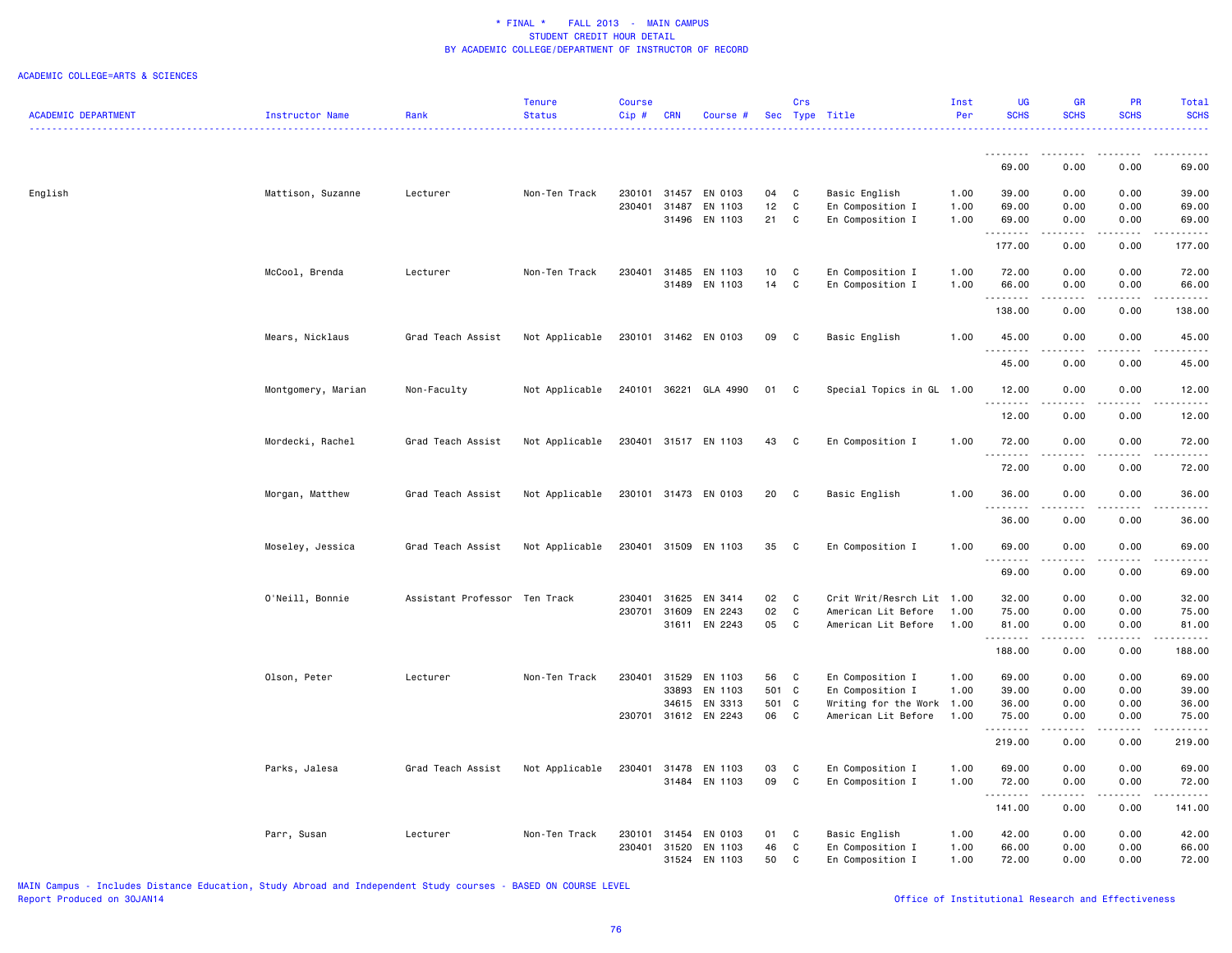| <b>ACADEMIC DEPARTMENT</b> | Instructor Name    | Rank                          | <b>Tenure</b><br><b>Status</b> | <b>Course</b><br>Cip# | <b>CRN</b>     | Course #             |          | Crs          | Sec Type Title                       | Inst<br>Per  | UG<br><b>SCHS</b>    | <b>GR</b><br><b>SCHS</b> | PR<br><b>SCHS</b>                                                                                                                                            | Total<br><b>SCHS</b> |
|----------------------------|--------------------|-------------------------------|--------------------------------|-----------------------|----------------|----------------------|----------|--------------|--------------------------------------|--------------|----------------------|--------------------------|--------------------------------------------------------------------------------------------------------------------------------------------------------------|----------------------|
|                            |                    |                               | <u>.</u>                       |                       |                |                      |          |              |                                      |              |                      |                          |                                                                                                                                                              |                      |
|                            |                    |                               |                                |                       |                |                      |          |              |                                      |              | . <b>.</b><br>69.00  | .<br>0.00                | .<br>0.00                                                                                                                                                    | <u>.</u><br>69.00    |
|                            |                    |                               |                                |                       |                |                      |          |              |                                      |              |                      |                          |                                                                                                                                                              |                      |
| English                    | Mattison, Suzanne  | Lecturer                      | Non-Ten Track                  | 230101                |                | 31457 EN 0103        | 04       | C            | Basic English                        | 1.00         | 39.00                | 0.00                     | 0.00                                                                                                                                                         | 39.00                |
|                            |                    |                               |                                | 230401                | 31487<br>31496 | EN 1103<br>EN 1103   | 12<br>21 | C<br>C       | En Composition I<br>En Composition I | 1.00<br>1.00 | 69.00<br>69.00       | 0.00<br>0.00             | 0.00<br>0.00                                                                                                                                                 | 69.00<br>69.00       |
|                            |                    |                               |                                |                       |                |                      |          |              |                                      |              | .                    |                          |                                                                                                                                                              |                      |
|                            |                    |                               |                                |                       |                |                      |          |              |                                      |              | 177.00               | 0.00                     | 0.00                                                                                                                                                         | 177.00               |
|                            | McCool, Brenda     | Lecturer                      | Non-Ten Track                  | 230401                |                | 31485 EN 1103        | 10       | $\mathbf c$  | En Composition I                     | 1.00         | 72.00                | 0.00                     | 0.00                                                                                                                                                         | 72.00                |
|                            |                    |                               |                                |                       |                | 31489 EN 1103        | 14       | $\mathbf c$  | En Composition I                     | 1.00         | 66.00                | 0.00                     | 0.00                                                                                                                                                         | 66.00                |
|                            |                    |                               |                                |                       |                |                      |          |              |                                      |              | .<br>138.00          | $- - - -$<br>0.00        | .<br>0.00                                                                                                                                                    | .<br>138.00          |
|                            | Mears, Nicklaus    | Grad Teach Assist             | Not Applicable                 |                       |                | 230101 31462 EN 0103 | 09       | $\mathbf{C}$ | Basic English                        | 1.00         | 45.00                | 0.00                     | 0.00                                                                                                                                                         | 45.00                |
|                            |                    |                               |                                |                       |                |                      |          |              |                                      |              | .                    | .                        | .                                                                                                                                                            |                      |
|                            |                    |                               |                                |                       |                |                      |          |              |                                      |              | 45.00                | 0.00                     | 0.00                                                                                                                                                         | 45.00                |
|                            | Montgomery, Marian | Non-Faculty                   | Not Applicable                 | 240101                |                | 36221 GLA 4990       | 01 C     |              | Special Topics in GL 1.00            |              | 12.00                | 0.00<br>.                | 0.00                                                                                                                                                         | 12.00                |
|                            |                    |                               |                                |                       |                |                      |          |              |                                      |              | 12.00                | 0.00                     | 0.00                                                                                                                                                         | 12.00                |
|                            | Mordecki, Rachel   | Grad Teach Assist             | Not Applicable                 |                       |                | 230401 31517 EN 1103 | 43       | $\mathbf{C}$ | En Composition I                     | 1.00         | 72.00                | 0.00                     | 0.00                                                                                                                                                         | 72.00                |
|                            |                    |                               |                                |                       |                |                      |          |              |                                      |              | .<br>72.00           | $\cdots$<br>0.00         | -----<br>0.00                                                                                                                                                | 72.00                |
|                            | Morgan, Matthew    | Grad Teach Assist             | Not Applicable                 |                       |                | 230101 31473 EN 0103 | 20       | $\mathbf{C}$ | Basic English                        | 1.00         | 36.00                | 0.00                     | 0.00                                                                                                                                                         | 36.00                |
|                            |                    |                               |                                |                       |                |                      |          |              |                                      |              | <u>.</u><br>36.00    | $\frac{1}{2}$<br>0.00    | $- - - - -$<br>0.00                                                                                                                                          | .<br>36.00           |
|                            |                    |                               |                                |                       |                |                      |          |              |                                      |              |                      |                          |                                                                                                                                                              |                      |
|                            | Moseley, Jessica   | Grad Teach Assist             | Not Applicable                 | 230401                |                | 31509 EN 1103        | 35       | C            | En Composition I                     | 1.00         | 69.00<br>.           | 0.00<br>المتمالين        | 0.00<br>$\frac{1}{2} \left( \frac{1}{2} \right) \left( \frac{1}{2} \right) \left( \frac{1}{2} \right) \left( \frac{1}{2} \right) \left( \frac{1}{2} \right)$ | 69.00<br>.           |
|                            |                    |                               |                                |                       |                |                      |          |              |                                      |              | 69.00                | 0.00                     | 0.00                                                                                                                                                         | 69.00                |
|                            | O'Neill, Bonnie    | Assistant Professor Ten Track |                                | 230401                | 31625          | EN 3414              | 02       | C            | Crit Writ/Resrch Lit 1.00            |              | 32.00                | 0.00                     | 0.00                                                                                                                                                         | 32.00                |
|                            |                    |                               |                                | 230701                | 31609          | EN 2243              | 02       | C            | American Lit Before                  | 1.00         | 75.00                | 0.00                     | 0.00                                                                                                                                                         | 75.00                |
|                            |                    |                               |                                |                       |                | 31611 EN 2243        | 05       | C            | American Lit Before                  | 1.00         | 81.00<br>--------    | 0.00<br>.                | 0.00<br>-----                                                                                                                                                | 81.00<br>.           |
|                            |                    |                               |                                |                       |                |                      |          |              |                                      |              | 188.00               | 0.00                     | 0.00                                                                                                                                                         | 188.00               |
|                            | Olson, Peter       | Lecturer                      | Non-Ten Track                  | 230401                | 31529          | EN 1103              | 56       | C            | En Composition I                     | 1.00         | 69.00                | 0.00                     | 0.00                                                                                                                                                         | 69.00                |
|                            |                    |                               |                                |                       |                | 33893 EN 1103        | 501 C    |              | En Composition I                     | 1.00         | 39.00                | 0.00                     | 0.00                                                                                                                                                         | 39.00                |
|                            |                    |                               |                                |                       |                | 34615 EN 3313        | 501 C    |              | Writing for the Work 1.00            |              | 36.00                | 0.00                     | 0.00                                                                                                                                                         | 36.00                |
|                            |                    |                               |                                | 230701                |                | 31612 EN 2243        | 06       | C            | American Lit Before                  | 1.00         | 75.00<br>.           | 0.00                     | 0.00                                                                                                                                                         | 75.00                |
|                            |                    |                               |                                |                       |                |                      |          |              |                                      |              | 219.00               | 0.00                     | 0.00                                                                                                                                                         | 219.00               |
|                            | Parks, Jalesa      | Grad Teach Assist             | Not Applicable                 | 230401                |                | 31478 EN 1103        | 03       | C            | En Composition I                     | 1.00         | 69.00                | 0.00                     | 0.00                                                                                                                                                         | 69.00                |
|                            |                    |                               |                                |                       |                | 31484 EN 1103        | 09       | C            | En Composition I                     | 1.00         | 72.00                | 0.00                     | 0.00                                                                                                                                                         | 72.00                |
|                            |                    |                               |                                |                       |                |                      |          |              |                                      |              | . <b>.</b><br>141.00 | .<br>0.00                | -----<br>0.00                                                                                                                                                | 141.00               |
|                            | Parr, Susan        | Lecturer                      | Non-Ten Track                  | 230101                |                | 31454 EN 0103        | 01       | <b>C</b>     | Basic English                        | 1.00         | 42.00                | 0.00                     | 0.00                                                                                                                                                         | 42.00                |
|                            |                    |                               |                                | 230401                | 31520          | EN 1103              | 46       | C            | En Composition I                     | 1.00         | 66.00                | 0.00                     | 0.00                                                                                                                                                         | 66.00                |
|                            |                    |                               |                                |                       |                | 31524 EN 1103        | 50       | $\mathbb{C}$ | En Composition I                     | 1.00         | 72.00                | 0.00                     | 0.00                                                                                                                                                         | 72.00                |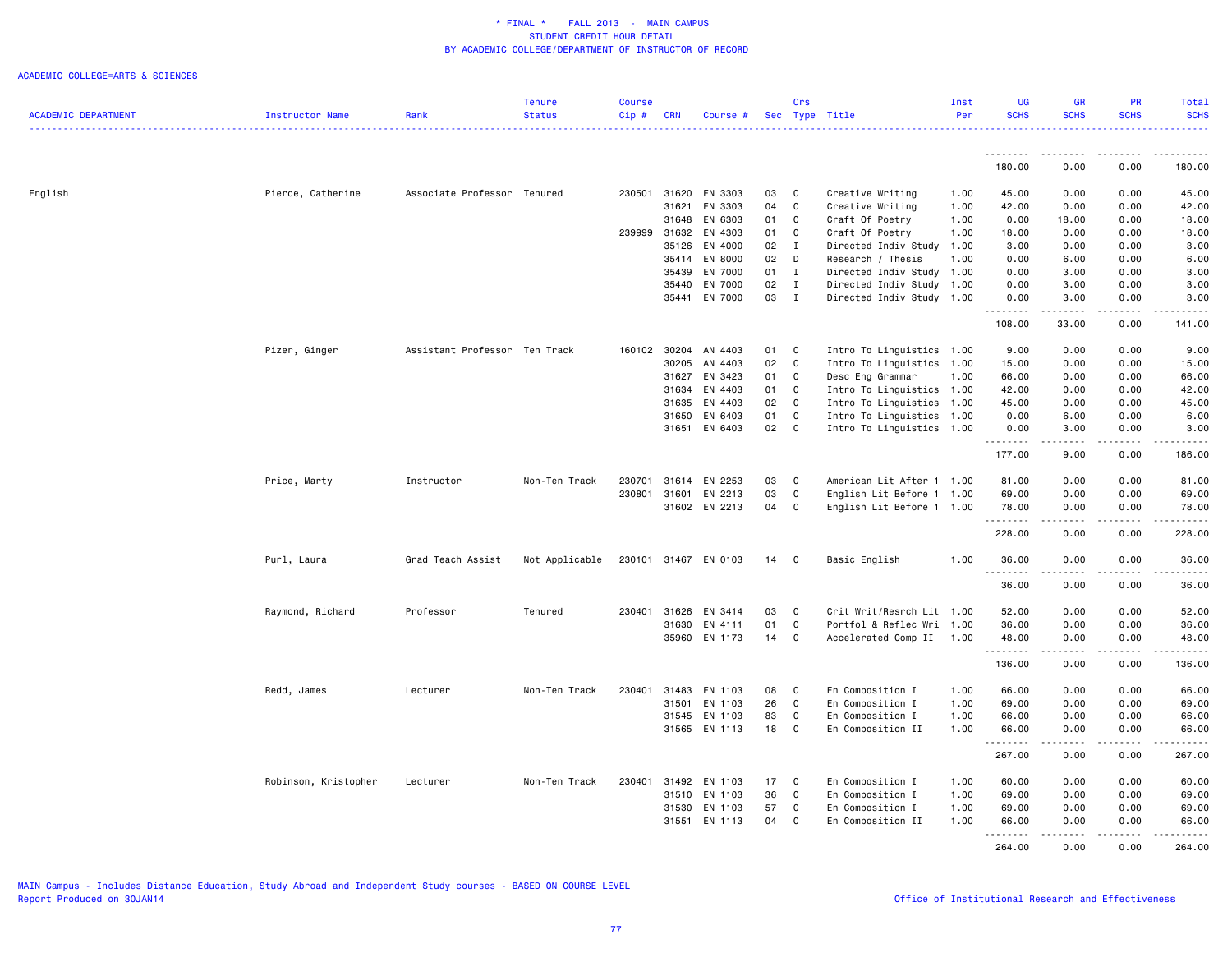|                            |                      |                               | <b>Tenure</b>  | <b>Course</b> |                |                      |          | Crs          |                           | Inst         | <b>UG</b>        | GR            | <b>PR</b>                           | Total                 |
|----------------------------|----------------------|-------------------------------|----------------|---------------|----------------|----------------------|----------|--------------|---------------------------|--------------|------------------|---------------|-------------------------------------|-----------------------|
| <b>ACADEMIC DEPARTMENT</b> | Instructor Name      | Rank                          | <b>Status</b>  | Cip#          | <b>CRN</b>     | Course #             |          |              | Sec Type Title            | Per          | <b>SCHS</b>      | <b>SCHS</b>   | <b>SCHS</b>                         | <b>SCHS</b><br>.      |
|                            |                      |                               |                |               |                |                      |          |              |                           |              | .                |               |                                     |                       |
|                            |                      |                               |                |               |                |                      |          |              |                           |              | 180.00           | 0.00          | 0.00                                | 180.00                |
| English                    | Pierce, Catherine    | Associate Professor Tenured   |                |               | 230501 31620   | EN 3303              | 03       | C            | Creative Writing          | 1.00         | 45.00            | 0.00          | 0.00                                | 45.00                 |
|                            |                      |                               |                |               | 31621          | EN 3303              | 04       | C            | Creative Writing          | 1.00         | 42.00            | 0.00          | 0.00                                | 42.00                 |
|                            |                      |                               |                |               | 31648          | EN 6303              | 01       | C            | Craft Of Poetry           | 1.00         | 0.00             | 18.00         | 0.00                                | 18.00                 |
|                            |                      |                               |                | 239999        | 31632          | EN 4303              | 01       | C            | Craft Of Poetry           | 1.00         | 18.00            | 0.00          | 0.00                                | 18.00                 |
|                            |                      |                               |                |               | 35126          | EN 4000              | 02       | $\mathbf{I}$ | Directed Indiv Study      | 1.00         | 3.00             | 0.00          | 0.00                                | 3.00                  |
|                            |                      |                               |                |               | 35414          | EN 8000              | 02       | D            | Research / Thesis         | 1.00         | 0.00             | 6.00          | 0.00                                | 6.00                  |
|                            |                      |                               |                |               | 35439          | EN 7000              | 01       | $\mathbf I$  | Directed Indiv Study 1.00 |              | 0.00             | 3.00          | 0.00                                | 3.00                  |
|                            |                      |                               |                |               | 35440          | EN 7000              | 02       | $\mathbf{I}$ |                           |              | 0.00             | 3.00          | 0.00                                | 3.00                  |
|                            |                      |                               |                |               |                |                      | 03       |              | Directed Indiv Study 1.00 |              |                  |               |                                     |                       |
|                            |                      |                               |                |               | 35441          | EN 7000              |          | I            | Directed Indiv Study      | 1.00         | 0.00<br>.        | 3.00          | 0.00                                | 3.00<br>$\frac{1}{2}$ |
|                            |                      |                               |                |               |                |                      |          |              |                           |              | 108.00           | 33.00         | 0.00                                | 141.00                |
|                            | Pizer, Ginger        | Assistant Professor Ten Track |                | 160102        | 30204          | AN 4403              | 01       | C            | Intro To Linguistics 1.00 |              | 9.00             | 0.00          | 0.00                                | 9.00                  |
|                            |                      |                               |                |               | 30205          | AN 4403              | 02       | C            | Intro To Linguistics      | 1.00         | 15.00            | 0.00          | 0.00                                | 15.00                 |
|                            |                      |                               |                |               | 31627          | EN 3423              | 01       | C            | Desc Eng Grammar          | 1.00         | 66.00            | 0.00          | 0.00                                | 66.00                 |
|                            |                      |                               |                |               | 31634          | EN 4403              | 01       | C            | Intro To Linguistics 1.00 |              | 42.00            | 0.00          | 0.00                                | 42.00                 |
|                            |                      |                               |                |               | 31635          | EN 4403              | 02       | C            | Intro To Linguistics 1.00 |              | 45.00            | 0.00          | 0.00                                | 45.00                 |
|                            |                      |                               |                |               | 31650          | EN 6403              | 01       | C            | Intro To Linguistics 1.00 |              | 0.00             | 6.00          | 0.00                                | 6.00                  |
|                            |                      |                               |                |               | 31651          | EN 6403              | 02       | C            | Intro To Linguistics 1.00 |              | 0.00             | 3.00          | 0.00                                | 3.00                  |
|                            |                      |                               |                |               |                |                      |          |              |                           |              | .<br>177.00      | .<br>9.00     | $\sim$ $\sim$ $\sim$ $\sim$<br>0.00 | والمناصبات<br>186.00  |
|                            |                      |                               |                |               |                |                      |          |              |                           |              |                  |               |                                     |                       |
|                            | Price, Marty         | Instructor                    | Non-Ten Track  | 230701        | 31614          | EN 2253              | 03       | C            | American Lit After 1 1.00 |              | 81.00            | 0.00          | 0.00                                | 81.00                 |
|                            |                      |                               |                | 230801        | 31601          | EN 2213              | 03       | C            | English Lit Before 1 1.00 |              | 69.00            | 0.00          | 0.00                                | 69.00                 |
|                            |                      |                               |                |               |                | 31602 EN 2213        | 04       | C            | English Lit Before 1 1.00 |              | 78.00<br>.       | 0.00          | 0.00<br>$- - - - -$                 | 78.00<br>.            |
|                            |                      |                               |                |               |                |                      |          |              |                           |              | 228.00           | 0.00          | 0.00                                | 228.00                |
|                            | Purl, Laura          | Grad Teach Assist             | Not Applicable |               |                | 230101 31467 EN 0103 | 14       | C            | Basic English             | 1.00         | 36.00            | 0.00          | 0.00                                | 36.00                 |
|                            |                      |                               |                |               |                |                      |          |              |                           |              | <b></b><br>36.00 | .<br>0.00     | .<br>0.00                           | . <u>.</u> .<br>36.00 |
|                            | Raymond, Richard     | Professor                     | Tenured        | 230401        | 31626          | EN 3414              | 03       | C            | Crit Writ/Resrch Lit 1.00 |              | 52.00            | 0.00          | 0.00                                | 52.00                 |
|                            |                      |                               |                |               | 31630          | EN 4111              | 01       | C            | Portfol & Reflec Wri 1.00 |              | 36.00            | 0.00          | 0.00                                | 36.00                 |
|                            |                      |                               |                |               |                | 35960 EN 1173        | 14       | C            | Accelerated Comp II 1.00  |              | 48.00            | 0.00          | 0.00                                | 48.00                 |
|                            |                      |                               |                |               |                |                      |          |              |                           |              | .<br>136.00      | -----<br>0.00 | .<br>0.00                           | .<br>136.00           |
|                            | Redd, James          | Lecturer                      | Non-Ten Track  | 230401        | 31483          | EN 1103              | 08       | C            | En Composition I          | 1.00         | 66.00            | 0.00          | 0.00                                | 66.00                 |
|                            |                      |                               |                |               | 31501          | EN 1103              | 26       | C            | En Composition I          | 1.00         | 69.00            | 0.00          | 0.00                                | 69.00                 |
|                            |                      |                               |                |               |                | 31545 EN 1103        | 83       | C            | En Composition I          | 1.00         | 66.00            | 0.00          | 0.00                                | 66.00                 |
|                            |                      |                               |                |               |                | 31565 EN 1113        | 18       | C            | En Composition II         | 1.00         | 66.00            | 0.00          | 0.00                                | 66.00                 |
|                            |                      |                               |                |               |                |                      |          |              |                           |              | .<br>267.00      | .<br>0.00     | <b>.</b><br>0.00                    | .<br>267.00           |
|                            | Robinson, Kristopher | Lecturer                      | Non-Ten Track  | 230401        | 31492          | EN 1103              | 17       | C            | En Composition I          | 1.00         | 60.00            | 0.00          | 0.00                                | 60.00                 |
|                            |                      |                               |                |               | 31510          | EN 1103              | 36       | C            | En Composition I          | 1.00         | 69.00            | 0.00          | 0.00                                | 69.00                 |
|                            |                      |                               |                |               |                |                      |          | C            |                           |              |                  |               | 0.00                                |                       |
|                            |                      |                               |                |               | 31530<br>31551 | EN 1103              | 57<br>04 | C            | En Composition I          | 1.00<br>1.00 | 69.00            | 0.00          |                                     | 69.00                 |
|                            |                      |                               |                |               |                | EN 1113              |          |              | En Composition II         |              | 66.00<br>.       | 0.00<br>.     | 0.00<br>$- - - - -$                 | 66.00<br><u>.</u>     |
|                            |                      |                               |                |               |                |                      |          |              |                           |              | 264.00           | 0.00          | 0.00                                | 264.00                |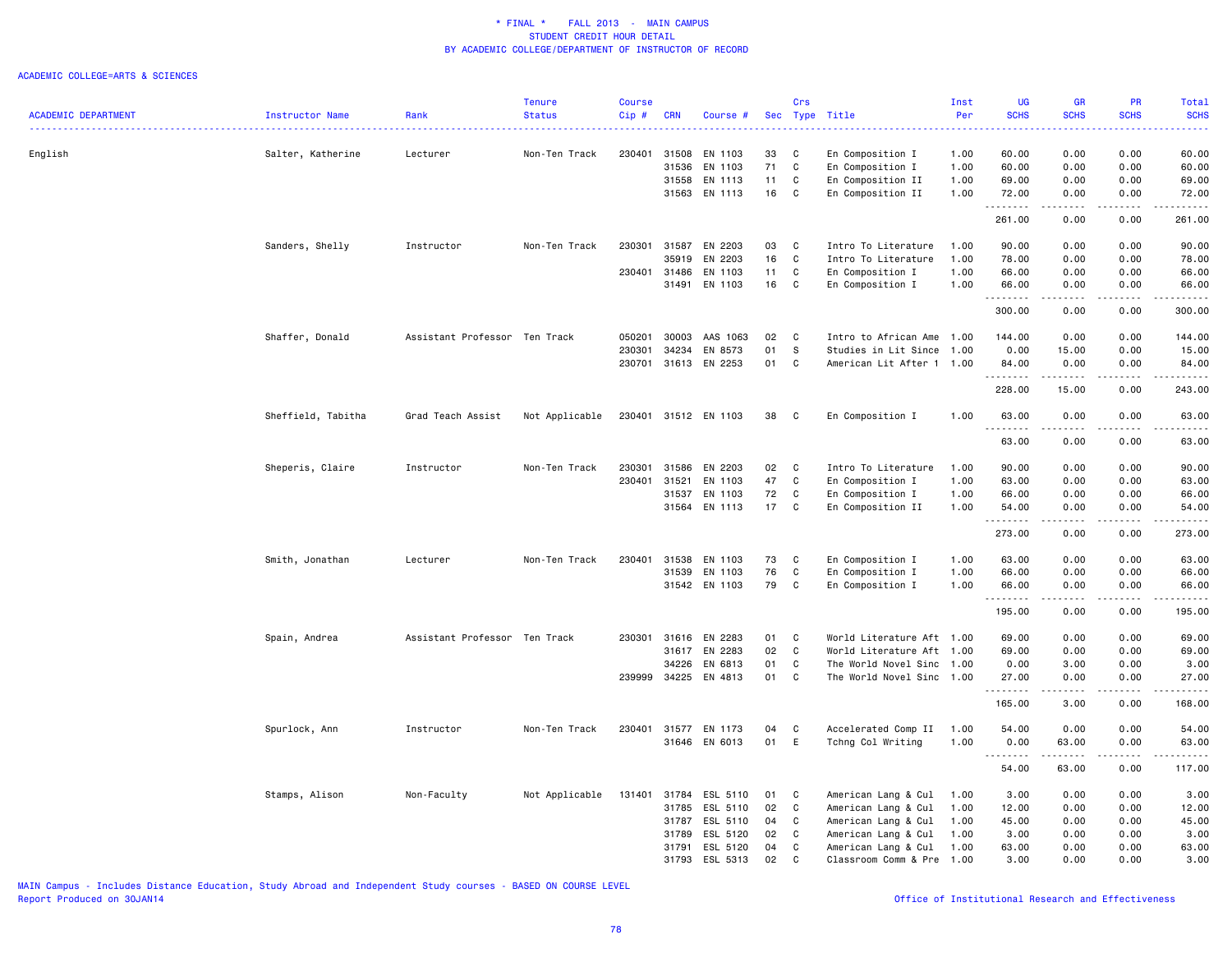#### ACADEMIC COLLEGE=ARTS & SCIENCES

|                            |                    |                               | <b>Tenure</b>  | <b>Course</b> |            |               |    | Crs          |                           | Inst | <b>UG</b>            | <b>GR</b>     | <b>PR</b>                   | <b>Total</b>           |
|----------------------------|--------------------|-------------------------------|----------------|---------------|------------|---------------|----|--------------|---------------------------|------|----------------------|---------------|-----------------------------|------------------------|
| <b>ACADEMIC DEPARTMENT</b> | Instructor Name    | Rank                          | <b>Status</b>  | Cip#          | <b>CRN</b> | Course #      |    |              | Sec Type Title            | Per  | <b>SCHS</b><br>.     | <b>SCHS</b>   | <b>SCHS</b><br>$-2 - 1 - 1$ | <b>SCHS</b>            |
|                            |                    |                               |                |               |            |               |    |              |                           |      |                      | $-1 - 1 - 1$  |                             | .                      |
| English                    | Salter, Katherine  | Lecturer                      | Non-Ten Track  | 230401        | 31508      | EN 1103       | 33 | C            | En Composition I          | 1.00 | 60.00                | 0.00          | 0.00                        | 60.00                  |
|                            |                    |                               |                |               | 31536      | EN 1103       | 71 | C            | En Composition I          | 1.00 | 60.00                | 0.00          | 0.00                        | 60.00                  |
|                            |                    |                               |                |               | 31558      | EN 1113       | 11 | C            | En Composition II         | 1.00 | 69.00                | 0.00          | 0.00                        | 69.00                  |
|                            |                    |                               |                |               |            | 31563 EN 1113 | 16 | C            | En Composition II         | 1.00 | 72.00                | 0.00          | 0.00                        | 72.00                  |
|                            |                    |                               |                |               |            |               |    |              |                           |      | .<br>261.00          | .<br>0.00     | .<br>0.00                   | .<br>261.00            |
|                            | Sanders, Shelly    | Instructor                    | Non-Ten Track  | 230301        | 31587      | EN 2203       | 03 | C            | Intro To Literature       | 1.00 | 90.00                | 0.00          | 0.00                        | 90.00                  |
|                            |                    |                               |                |               | 35919      | EN 2203       | 16 | C            | Intro To Literature       | 1.00 | 78.00                | 0.00          | 0.00                        | 78.00                  |
|                            |                    |                               |                | 230401        | 31486      | EN 1103       | 11 | C            | En Composition I          | 1.00 | 66.00                | 0.00          | 0.00                        | 66.00                  |
|                            |                    |                               |                |               | 31491      | EN 1103       | 16 | C            | En Composition I          | 1.00 | 66.00                | 0.00          | 0.00                        | 66.00                  |
|                            |                    |                               |                |               |            |               |    |              |                           |      | .<br>300.00          | .<br>0.00     | .<br>0.00                   | .<br>300.00            |
|                            | Shaffer, Donald    | Assistant Professor Ten Track |                | 050201        | 30003      | AAS 1063      | 02 | C            | Intro to African Ame      | 1.00 | 144.00               | 0.00          | 0.00                        | 144.00                 |
|                            |                    |                               |                | 230301        | 34234      | EN 8573       | 01 | S            | Studies in Lit Since      | 1.00 | 0.00                 | 15.00         | 0.00                        | 15.00                  |
|                            |                    |                               |                | 230701        |            | 31613 EN 2253 | 01 | C            | American Lit After 1 1.00 |      | 84.00                | 0.00          | 0.00                        | 84.00                  |
|                            |                    |                               |                |               |            |               |    |              |                           |      | .                    |               |                             |                        |
|                            |                    |                               |                |               |            |               |    |              |                           |      | 228.00               | 15.00         | 0.00                        | 243.00                 |
|                            | Sheffield, Tabitha | Grad Teach Assist             | Not Applicable | 230401        |            | 31512 EN 1103 | 38 | $\mathbf{C}$ | En Composition I          | 1.00 | 63.00                | 0.00          | 0.00                        | 63.00                  |
|                            |                    |                               |                |               |            |               |    |              |                           |      | .<br>63.00           | 0.00          | 0.00                        | 63.00                  |
|                            | Sheperis, Claire   | Instructor                    | Non-Ten Track  | 230301        | 31586      | EN 2203       | 02 | C            | Intro To Literature       | 1.00 | 90.00                | 0.00          | 0.00                        | 90.00                  |
|                            |                    |                               |                | 230401        | 31521      | EN 1103       | 47 | $\mathtt{C}$ | En Composition I          | 1.00 | 63.00                | 0.00          | 0.00                        | 63.00                  |
|                            |                    |                               |                |               | 31537      | EN 1103       | 72 | C            | En Composition I          | 1.00 | 66.00                | 0.00          | 0.00                        | 66.00                  |
|                            |                    |                               |                |               | 31564      | EN 1113       | 17 | C            | En Composition II         | 1.00 | 54.00                | 0.00          | 0.00                        | 54.00                  |
|                            |                    |                               |                |               |            |               |    |              |                           |      | . <b>.</b><br>273.00 | 0.00          | $  -$<br>0.00               | . <u>.</u> .<br>273.00 |
|                            |                    |                               |                |               |            |               |    |              |                           |      |                      |               |                             |                        |
|                            | Smith, Jonathan    | Lecturer                      | Non-Ten Track  | 230401        | 31538      | EN 1103       | 73 | C            | En Composition I          | 1.00 | 63.00                | 0.00          | 0.00                        | 63.00                  |
|                            |                    |                               |                |               | 31539      | EN 1103       | 76 | C            | En Composition I          | 1.00 | 66.00                | 0.00          | 0.00                        | 66.00                  |
|                            |                    |                               |                |               |            | 31542 EN 1103 | 79 | C            | En Composition I          | 1.00 | 66.00                | 0.00          | 0.00                        | 66.00                  |
|                            |                    |                               |                |               |            |               |    |              |                           |      | --------<br>195.00   | -----<br>0.00 | .<br>0.00                   | .<br>195.00            |
|                            | Spain, Andrea      | Assistant Professor Ten Track |                | 230301        | 31616      | EN 2283       | 01 | C            | World Literature Aft 1.00 |      | 69.00                | 0.00          | 0.00                        | 69.00                  |
|                            |                    |                               |                |               | 31617      | EN 2283       | 02 | C            | World Literature Aft 1.00 |      | 69.00                | 0.00          | 0.00                        | 69.00                  |
|                            |                    |                               |                |               | 34226      | EN 6813       | 01 | C            | The World Novel Sinc 1.00 |      | 0.00                 | 3.00          | 0.00                        | 3.00                   |
|                            |                    |                               |                | 239999        | 34225      | EN 4813       | 01 | C            | The World Novel Sinc 1.00 |      | 27.00                | 0.00          | 0.00                        | 27.00                  |
|                            |                    |                               |                |               |            |               |    |              |                           |      | <u>.</u><br>165.00   | 3.00          | $\frac{1}{2}$<br>0.00       | .<br>168.00            |
|                            | Spurlock, Ann      | Instructor                    | Non-Ten Track  | 230401        |            | 31577 EN 1173 | 04 | C            | Accelerated Comp II       | 1.00 | 54.00                | 0.00          | 0.00                        | 54.00                  |
|                            |                    |                               |                |               |            | 31646 EN 6013 | 01 | E            | Tchng Col Writing         | 1.00 | 0.00                 | 63.00         | 0.00                        | 63.00                  |
|                            |                    |                               |                |               |            |               |    |              |                           |      |                      | .             | .                           | .                      |
|                            |                    |                               |                |               |            |               |    |              |                           |      | 54.00                | 63.00         | 0.00                        | 117.00                 |
|                            | Stamps, Alison     | Non-Faculty                   | Not Applicable | 131401        | 31784      | ESL 5110      | 01 | C            | American Lang & Cul       | 1.00 | 3.00                 | 0.00          | 0.00                        | 3.00                   |
|                            |                    |                               |                |               | 31785      | ESL 5110      | 02 | $\mathbf{C}$ | American Lang & Cul       | 1.00 | 12.00                | 0.00          | 0.00                        | 12.00                  |
|                            |                    |                               |                |               | 31787      | ESL 5110      | 04 | C            | American Lang & Cul       | 1.00 | 45.00                | 0.00          | 0.00                        | 45.00                  |
|                            |                    |                               |                |               | 31789      | ESL 5120      | 02 | C            | American Lang & Cul       | 1.00 | 3.00                 | 0.00          | 0.00                        | 3.00                   |
|                            |                    |                               |                |               | 31791      | ESL 5120      | 04 | C            | American Lang & Cul       | 1.00 | 63.00                | 0.00          | 0.00                        | 63.00                  |
|                            |                    |                               |                |               | 31793      | ESL 5313      | 02 | $\mathbb{C}$ | Classroom Comm & Pre      | 1.00 | 3.00                 | 0.00          | 0.00                        | 3.00                   |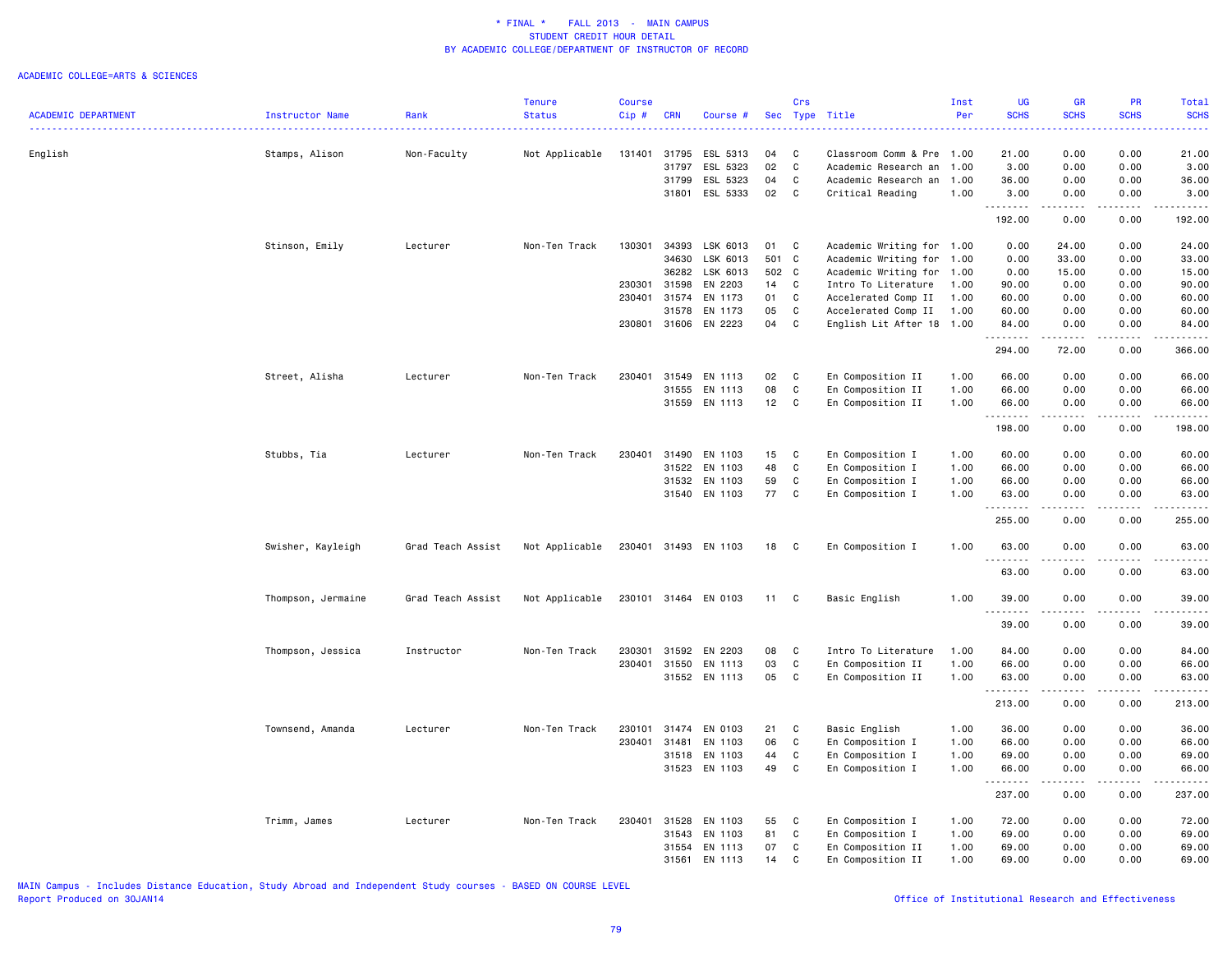#### ACADEMIC COLLEGE=ARTS & SCIENCES

|                            |                    |                   | <b>Tenure</b>  | <b>Course</b> |              |                      |       | Crs      |                           | Inst | UG          | <b>GR</b>                                                                                                                 | <b>PR</b>     | Total                                                                                                                     |
|----------------------------|--------------------|-------------------|----------------|---------------|--------------|----------------------|-------|----------|---------------------------|------|-------------|---------------------------------------------------------------------------------------------------------------------------|---------------|---------------------------------------------------------------------------------------------------------------------------|
| <b>ACADEMIC DEPARTMENT</b> | Instructor Name    | Rank              | <b>Status</b>  | Cip#          | <b>CRN</b>   | Course #             |       | Sec Type | Title                     | Per  | <b>SCHS</b> | <b>SCHS</b>                                                                                                               | <b>SCHS</b>   | <b>SCHS</b>                                                                                                               |
|                            |                    |                   |                |               |              |                      |       |          |                           |      |             | <b><i><u><u>.</u></u></i></b>                                                                                             |               | $\frac{1}{2} \left( \frac{1}{2} \right) \left( \frac{1}{2} \right) \left( \frac{1}{2} \right) \left( \frac{1}{2} \right)$ |
| English                    | Stamps, Alison     | Non-Faculty       | Not Applicable | 131401 31795  |              | ESL 5313             | 04    | C        | Classroom Comm & Pre 1.00 |      | 21.00       | 0.00                                                                                                                      | 0.00          | 21.00                                                                                                                     |
|                            |                    |                   |                |               | 31797        | ESL 5323             | 02    | C        | Academic Research an      | 1.00 | 3.00        | 0.00                                                                                                                      | 0.00          | 3.00                                                                                                                      |
|                            |                    |                   |                |               | 31799        | ESL 5323             | 04    | C        | Academic Research an      | 1.00 | 36.00       | 0.00                                                                                                                      | 0.00          | 36.00                                                                                                                     |
|                            |                    |                   |                |               | 31801        | ESL 5333             | 02    | C        | Critical Reading          | 1.00 | 3.00        | 0.00                                                                                                                      | 0.00          | 3.00                                                                                                                      |
|                            |                    |                   |                |               |              |                      |       |          |                           |      | .           | د د د د                                                                                                                   | د د د د       |                                                                                                                           |
|                            |                    |                   |                |               |              |                      |       |          |                           |      | 192.00      | 0.00                                                                                                                      | 0.00          | 192.00                                                                                                                    |
|                            | Stinson, Emily     | Lecturer          | Non-Ten Track  | 130301        | 34393        | LSK 6013             | 01    | C        | Academic Writing for 1.00 |      | 0.00        | 24.00                                                                                                                     | 0.00          | 24.00                                                                                                                     |
|                            |                    |                   |                |               | 34630        | LSK 6013             | 501 C |          | Academic Writing for      | 1.00 | 0.00        | 33.00                                                                                                                     | 0.00          | 33.00                                                                                                                     |
|                            |                    |                   |                |               | 36282        | LSK 6013             | 502 C |          | Academic Writing for      | 1.00 | 0.00        | 15.00                                                                                                                     | 0.00          | 15.00                                                                                                                     |
|                            |                    |                   |                | 230301        | 31598        | EN 2203              | 14    | C        | Intro To Literature       | 1.00 | 90.00       | 0.00                                                                                                                      | 0.00          | 90.00                                                                                                                     |
|                            |                    |                   |                |               | 230401 31574 | EN 1173              | 01    | C        | Accelerated Comp II       | 1.00 | 60.00       | 0.00                                                                                                                      | 0.00          | 60.00                                                                                                                     |
|                            |                    |                   |                |               | 31578        | EN 1173              | 05    | C        | Accelerated Comp II       | 1.00 | 60.00       | 0.00                                                                                                                      | 0.00          | 60.00                                                                                                                     |
|                            |                    |                   |                |               |              | 230801 31606 EN 2223 | 04    | C        | English Lit After 18 1.00 |      | 84.00       | 0.00                                                                                                                      | 0.00          | 84.00                                                                                                                     |
|                            |                    |                   |                |               |              |                      |       |          |                           |      | .           | .                                                                                                                         | .             | .                                                                                                                         |
|                            |                    |                   |                |               |              |                      |       |          |                           |      | 294.00      | 72.00                                                                                                                     | 0.00          | 366.00                                                                                                                    |
|                            | Street, Alisha     | Lecturer          | Non-Ten Track  | 230401        | 31549        | EN 1113              | 02    | C        | En Composition II         | 1.00 | 66.00       | 0.00                                                                                                                      | 0.00          | 66.00                                                                                                                     |
|                            |                    |                   |                |               | 31555        | EN 1113              | 08    | C        | En Composition II         | 1.00 | 66.00       | 0.00                                                                                                                      | 0.00          | 66.00                                                                                                                     |
|                            |                    |                   |                |               | 31559        | EN 1113              | 12    | C        | En Composition II         | 1.00 | 66.00       | 0.00                                                                                                                      | 0.00          | 66.00                                                                                                                     |
|                            |                    |                   |                |               |              |                      |       |          |                           |      | .           | .                                                                                                                         | .             | .                                                                                                                         |
|                            |                    |                   |                |               |              |                      |       |          |                           |      | 198.00      | 0.00                                                                                                                      | 0.00          | 198.00                                                                                                                    |
|                            | Stubbs, Tia        | Lecturer          | Non-Ten Track  | 230401        | 31490        | EN 1103              | 15    | C        | En Composition I          | 1.00 | 60.00       | 0.00                                                                                                                      | 0.00          | 60.00                                                                                                                     |
|                            |                    |                   |                |               |              | 31522 EN 1103        | 48    | C        | En Composition I          | 1.00 | 66.00       | 0.00                                                                                                                      | 0.00          | 66.00                                                                                                                     |
|                            |                    |                   |                |               |              | 31532 EN 1103        | 59    | C        | En Composition I          | 1.00 | 66.00       | 0.00                                                                                                                      | 0.00          | 66.00                                                                                                                     |
|                            |                    |                   |                |               |              | 31540 EN 1103        | 77    | C        | En Composition I          | 1.00 | 63.00       | 0.00                                                                                                                      | 0.00          | 63.00                                                                                                                     |
|                            |                    |                   |                |               |              |                      |       |          |                           |      | .<br>255.00 | الأنابات<br>0.00                                                                                                          | 22222<br>0.00 | 2.2.2.2.2<br>255.00                                                                                                       |
|                            |                    |                   |                |               |              |                      |       |          |                           |      |             |                                                                                                                           |               |                                                                                                                           |
|                            | Swisher, Kayleigh  | Grad Teach Assist | Not Applicable |               |              | 230401 31493 EN 1103 | 18    | C        | En Composition I          | 1.00 | 63.00<br>.  | 0.00<br>.                                                                                                                 | 0.00          | 63.00<br>.                                                                                                                |
|                            |                    |                   |                |               |              |                      |       |          |                           |      | 63.00       | 0.00                                                                                                                      | 0.00          | 63.00                                                                                                                     |
|                            | Thompson, Jermaine | Grad Teach Assist | Not Applicable |               |              | 230101 31464 EN 0103 | 11    | C        | Basic English             | 1.00 | 39.00       | 0.00                                                                                                                      | 0.00          | 39.00                                                                                                                     |
|                            |                    |                   |                |               |              |                      |       |          |                           |      | <u>.</u>    | $\frac{1}{2} \left( \frac{1}{2} \right) \left( \frac{1}{2} \right) \left( \frac{1}{2} \right) \left( \frac{1}{2} \right)$ | -----         | .                                                                                                                         |
|                            |                    |                   |                |               |              |                      |       |          |                           |      | 39.00       | 0.00                                                                                                                      | 0.00          | 39.00                                                                                                                     |
|                            | Thompson, Jessica  | Instructor        | Non-Ten Track  | 230301        | 31592        | EN 2203              | 08    | C        | Intro To Literature       | 1.00 | 84.00       | 0.00                                                                                                                      | 0.00          | 84.00                                                                                                                     |
|                            |                    |                   |                |               | 230401 31550 | EN 1113              | 03    | C        | En Composition II         | 1.00 | 66.00       | 0.00                                                                                                                      | 0.00          | 66.00                                                                                                                     |
|                            |                    |                   |                |               |              | 31552 EN 1113        | 05    | C        | En Composition II         | 1.00 | 63.00       | 0.00                                                                                                                      | 0.00          | 63.00                                                                                                                     |
|                            |                    |                   |                |               |              |                      |       |          |                           |      | .           | الأناب                                                                                                                    | د د د د       |                                                                                                                           |
|                            |                    |                   |                |               |              |                      |       |          |                           |      | 213.00      | 0.00                                                                                                                      | 0.00          | 213.00                                                                                                                    |
|                            | Townsend, Amanda   | Lecturer          | Non-Ten Track  |               | 230101 31474 | EN 0103              | 21    | C        | Basic English             | 1.00 | 36.00       | 0.00                                                                                                                      | 0.00          | 36.00                                                                                                                     |
|                            |                    |                   |                | 230401        | 31481        | EN 1103              | 06    | C        | En Composition I          | 1.00 | 66.00       | 0.00                                                                                                                      | 0.00          | 66.00                                                                                                                     |
|                            |                    |                   |                |               | 31518        | EN 1103              | 44    | C        | En Composition I          | 1.00 | 69.00       | 0.00                                                                                                                      | 0.00          | 69.00                                                                                                                     |
|                            |                    |                   |                |               |              | 31523 EN 1103        | 49    | C        | En Composition I          | 1.00 | 66.00<br>.  | 0.00<br>.                                                                                                                 | 0.00<br>.     | 66.00<br><u>.</u>                                                                                                         |
|                            |                    |                   |                |               |              |                      |       |          |                           |      | 237.00      | 0.00                                                                                                                      | 0.00          | 237.00                                                                                                                    |
|                            | Trimm, James       | Lecturer          | Non-Ten Track  | 230401        | 31528        | EN 1103              | 55    | C        | En Composition I          | 1.00 | 72.00       | 0.00                                                                                                                      | 0.00          | 72.00                                                                                                                     |
|                            |                    |                   |                |               | 31543        | EN 1103              | 81    | C        | En Composition I          | 1.00 | 69.00       | 0.00                                                                                                                      | 0.00          | 69.00                                                                                                                     |
|                            |                    |                   |                |               | 31554        | EN 1113              | 07    | C        | En Composition II         | 1.00 | 69.00       | 0.00                                                                                                                      | 0.00          | 69.00                                                                                                                     |
|                            |                    |                   |                |               | 31561        | EN 1113              | 14    | C        |                           | 1.00 | 69.00       | 0.00                                                                                                                      | 0.00          | 69.00                                                                                                                     |
|                            |                    |                   |                |               |              |                      |       |          | En Composition II         |      |             |                                                                                                                           |               |                                                                                                                           |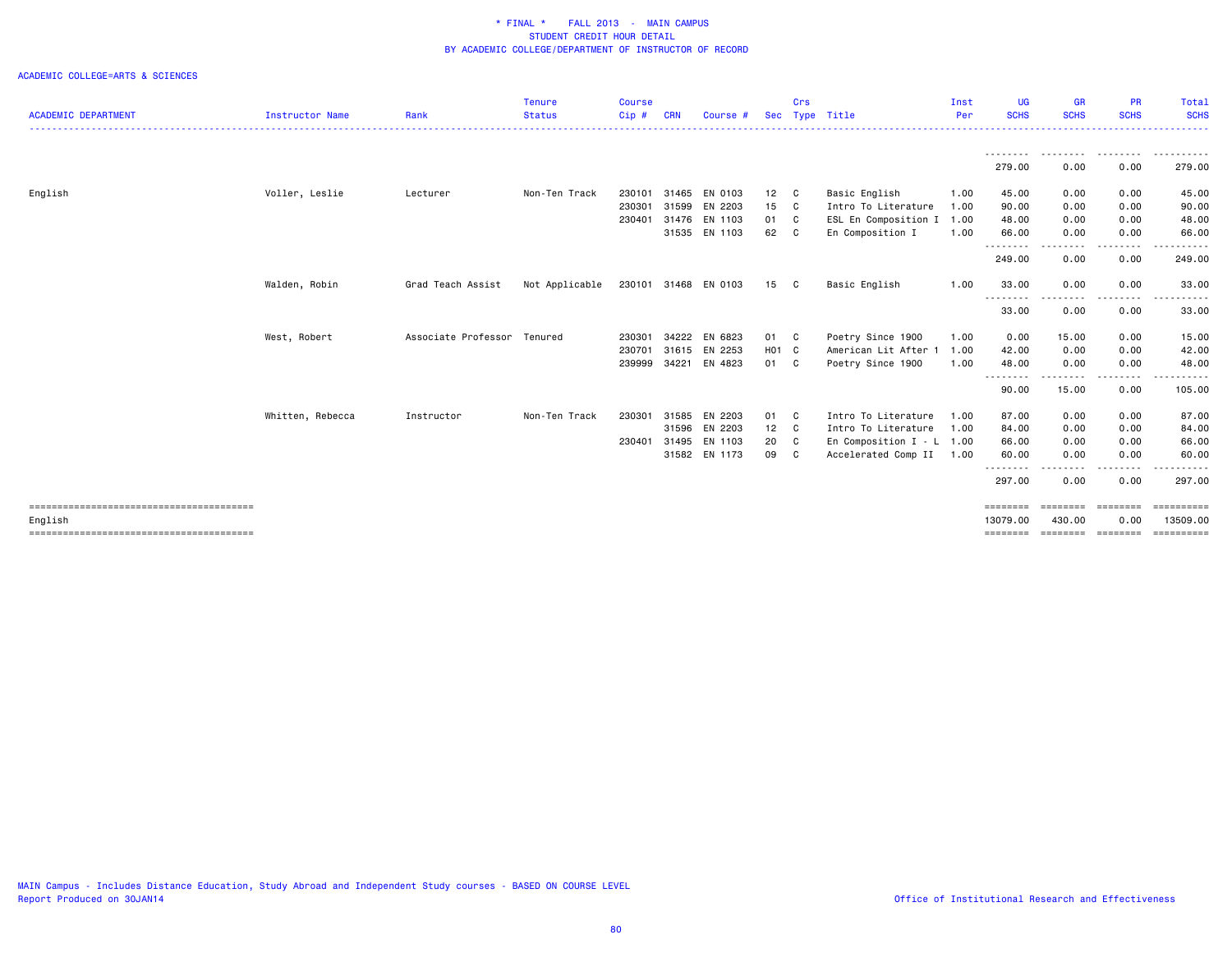| <b>SCHS</b><br>$Cip$ #<br><b>SCHS</b><br><b>SCHS</b><br><b>ACADEMIC DEPARTMENT</b><br>Rank<br><b>Status</b><br><b>CRN</b><br>Type Title<br>Instructor Name<br>Sec<br>Per<br>Course<br>.<br>.<br>--------<br>--------<br>279.00<br>0.00<br>0.00<br>Voller, Leslie<br>Non-Ten Track<br>31465 EN 0103<br>0.00<br>English<br>Lecturer<br>230101<br>12 C<br>Basic English<br>1.00<br>45.00<br>0.00<br>230301<br>31599<br>EN 2203<br>15 C<br>Intro To Literature<br>0.00<br>1.00<br>90.00<br>0.00<br>31476<br>EN 1103<br>ESL En Composition I 1.00<br>0.00<br>230401<br>01 C<br>48.00<br>0.00<br>31535 EN 1103<br>62 C<br>66.00<br>0.00<br>En Composition I<br>1.00<br>0.00<br>--------<br>----<br>249.00<br>0.00<br>0.00<br>230101 31468 EN 0103<br>33.00<br>0.00<br>0.00<br>Walden, Robin<br>Grad Teach Assist<br>Not Applicable<br>15<br>Basic English<br>1.00<br>$\mathbf{C}$<br>.<br>$\cdots$<br>. <b>.</b><br>33.00<br>0.00<br>0.00<br>Associate Professor<br>EN 6823<br>West, Robert<br>Tenured<br>34222<br>01 C<br>15.00<br>0.00<br>230301<br>Poetry Since 1900<br>1.00<br>0.00<br>31615 EN 2253<br>230701<br>H01 C<br>American Lit After<br>0.00<br>0.00<br>1.00<br>42.00<br>34221<br>EN 4823<br>239999<br>0.00<br>01 C<br>Poetry Since 1900<br>1.00<br>48.00<br>0.00<br>- - - - - - - -<br>.<br>. <u>.</u> .<br>90.00<br>15.00<br>0.00<br>Whitten, Rebecca<br>Non-Ten Track<br>31585<br>EN 2203<br>87.00<br>0.00<br>87.00<br>Instructor<br>230301<br>01 C<br>Intro To Literature<br>1.00<br>0.00<br>31596 EN 2203<br>12 C<br>Intro To Literature<br>0.00<br>1.00<br>84.00<br>0.00<br>31495<br>EN 1103<br>En Composition $I - L$ 1.00<br>66.00<br>230401<br>20<br>C<br>66.00<br>0.00<br>0.00<br>31582 EN 1173<br>09<br>$\mathbf{C}$<br>Accelerated Comp II<br>60.00<br>0.00<br>0.00<br>1.00<br><u>.</u><br>. <b>. .</b> .<br>297.00<br>0.00<br>0.00<br>========<br>========<br>========<br>13079.00<br>13509.00<br>430,00<br>0.00<br>English |  | <b>Tenure</b> | <b>Course</b> |  | Crs | Inst | <b>UG</b> | <b>GR</b> | PR | Total                   |
|-------------------------------------------------------------------------------------------------------------------------------------------------------------------------------------------------------------------------------------------------------------------------------------------------------------------------------------------------------------------------------------------------------------------------------------------------------------------------------------------------------------------------------------------------------------------------------------------------------------------------------------------------------------------------------------------------------------------------------------------------------------------------------------------------------------------------------------------------------------------------------------------------------------------------------------------------------------------------------------------------------------------------------------------------------------------------------------------------------------------------------------------------------------------------------------------------------------------------------------------------------------------------------------------------------------------------------------------------------------------------------------------------------------------------------------------------------------------------------------------------------------------------------------------------------------------------------------------------------------------------------------------------------------------------------------------------------------------------------------------------------------------------------------------------------------------------------------------------------------------------------------------------------------------------------------------------|--|---------------|---------------|--|-----|------|-----------|-----------|----|-------------------------|
|                                                                                                                                                                                                                                                                                                                                                                                                                                                                                                                                                                                                                                                                                                                                                                                                                                                                                                                                                                                                                                                                                                                                                                                                                                                                                                                                                                                                                                                                                                                                                                                                                                                                                                                                                                                                                                                                                                                                                 |  |               |               |  |     |      |           |           |    | <b>SCHS</b>             |
|                                                                                                                                                                                                                                                                                                                                                                                                                                                                                                                                                                                                                                                                                                                                                                                                                                                                                                                                                                                                                                                                                                                                                                                                                                                                                                                                                                                                                                                                                                                                                                                                                                                                                                                                                                                                                                                                                                                                                 |  |               |               |  |     |      |           |           |    |                         |
|                                                                                                                                                                                                                                                                                                                                                                                                                                                                                                                                                                                                                                                                                                                                                                                                                                                                                                                                                                                                                                                                                                                                                                                                                                                                                                                                                                                                                                                                                                                                                                                                                                                                                                                                                                                                                                                                                                                                                 |  |               |               |  |     |      |           |           |    | 279.00                  |
|                                                                                                                                                                                                                                                                                                                                                                                                                                                                                                                                                                                                                                                                                                                                                                                                                                                                                                                                                                                                                                                                                                                                                                                                                                                                                                                                                                                                                                                                                                                                                                                                                                                                                                                                                                                                                                                                                                                                                 |  |               |               |  |     |      |           |           |    | 45.00                   |
|                                                                                                                                                                                                                                                                                                                                                                                                                                                                                                                                                                                                                                                                                                                                                                                                                                                                                                                                                                                                                                                                                                                                                                                                                                                                                                                                                                                                                                                                                                                                                                                                                                                                                                                                                                                                                                                                                                                                                 |  |               |               |  |     |      |           |           |    | 90.00                   |
|                                                                                                                                                                                                                                                                                                                                                                                                                                                                                                                                                                                                                                                                                                                                                                                                                                                                                                                                                                                                                                                                                                                                                                                                                                                                                                                                                                                                                                                                                                                                                                                                                                                                                                                                                                                                                                                                                                                                                 |  |               |               |  |     |      |           |           |    | 48.00                   |
|                                                                                                                                                                                                                                                                                                                                                                                                                                                                                                                                                                                                                                                                                                                                                                                                                                                                                                                                                                                                                                                                                                                                                                                                                                                                                                                                                                                                                                                                                                                                                                                                                                                                                                                                                                                                                                                                                                                                                 |  |               |               |  |     |      |           |           |    | 66.00                   |
|                                                                                                                                                                                                                                                                                                                                                                                                                                                                                                                                                                                                                                                                                                                                                                                                                                                                                                                                                                                                                                                                                                                                                                                                                                                                                                                                                                                                                                                                                                                                                                                                                                                                                                                                                                                                                                                                                                                                                 |  |               |               |  |     |      |           |           |    | 249.00                  |
|                                                                                                                                                                                                                                                                                                                                                                                                                                                                                                                                                                                                                                                                                                                                                                                                                                                                                                                                                                                                                                                                                                                                                                                                                                                                                                                                                                                                                                                                                                                                                                                                                                                                                                                                                                                                                                                                                                                                                 |  |               |               |  |     |      |           |           |    | 33.00                   |
|                                                                                                                                                                                                                                                                                                                                                                                                                                                                                                                                                                                                                                                                                                                                                                                                                                                                                                                                                                                                                                                                                                                                                                                                                                                                                                                                                                                                                                                                                                                                                                                                                                                                                                                                                                                                                                                                                                                                                 |  |               |               |  |     |      |           |           |    | .<br>33.00              |
|                                                                                                                                                                                                                                                                                                                                                                                                                                                                                                                                                                                                                                                                                                                                                                                                                                                                                                                                                                                                                                                                                                                                                                                                                                                                                                                                                                                                                                                                                                                                                                                                                                                                                                                                                                                                                                                                                                                                                 |  |               |               |  |     |      |           |           |    | 15.00                   |
|                                                                                                                                                                                                                                                                                                                                                                                                                                                                                                                                                                                                                                                                                                                                                                                                                                                                                                                                                                                                                                                                                                                                                                                                                                                                                                                                                                                                                                                                                                                                                                                                                                                                                                                                                                                                                                                                                                                                                 |  |               |               |  |     |      |           |           |    | 42.00                   |
|                                                                                                                                                                                                                                                                                                                                                                                                                                                                                                                                                                                                                                                                                                                                                                                                                                                                                                                                                                                                                                                                                                                                                                                                                                                                                                                                                                                                                                                                                                                                                                                                                                                                                                                                                                                                                                                                                                                                                 |  |               |               |  |     |      |           |           |    | 48.00                   |
|                                                                                                                                                                                                                                                                                                                                                                                                                                                                                                                                                                                                                                                                                                                                                                                                                                                                                                                                                                                                                                                                                                                                                                                                                                                                                                                                                                                                                                                                                                                                                                                                                                                                                                                                                                                                                                                                                                                                                 |  |               |               |  |     |      |           |           |    | .<br>105.00             |
|                                                                                                                                                                                                                                                                                                                                                                                                                                                                                                                                                                                                                                                                                                                                                                                                                                                                                                                                                                                                                                                                                                                                                                                                                                                                                                                                                                                                                                                                                                                                                                                                                                                                                                                                                                                                                                                                                                                                                 |  |               |               |  |     |      |           |           |    |                         |
|                                                                                                                                                                                                                                                                                                                                                                                                                                                                                                                                                                                                                                                                                                                                                                                                                                                                                                                                                                                                                                                                                                                                                                                                                                                                                                                                                                                                                                                                                                                                                                                                                                                                                                                                                                                                                                                                                                                                                 |  |               |               |  |     |      |           |           |    | 84.00                   |
|                                                                                                                                                                                                                                                                                                                                                                                                                                                                                                                                                                                                                                                                                                                                                                                                                                                                                                                                                                                                                                                                                                                                                                                                                                                                                                                                                                                                                                                                                                                                                                                                                                                                                                                                                                                                                                                                                                                                                 |  |               |               |  |     |      |           |           |    |                         |
|                                                                                                                                                                                                                                                                                                                                                                                                                                                                                                                                                                                                                                                                                                                                                                                                                                                                                                                                                                                                                                                                                                                                                                                                                                                                                                                                                                                                                                                                                                                                                                                                                                                                                                                                                                                                                                                                                                                                                 |  |               |               |  |     |      |           |           |    | 60.00                   |
|                                                                                                                                                                                                                                                                                                                                                                                                                                                                                                                                                                                                                                                                                                                                                                                                                                                                                                                                                                                                                                                                                                                                                                                                                                                                                                                                                                                                                                                                                                                                                                                                                                                                                                                                                                                                                                                                                                                                                 |  |               |               |  |     |      |           |           |    |                         |
|                                                                                                                                                                                                                                                                                                                                                                                                                                                                                                                                                                                                                                                                                                                                                                                                                                                                                                                                                                                                                                                                                                                                                                                                                                                                                                                                                                                                                                                                                                                                                                                                                                                                                                                                                                                                                                                                                                                                                 |  |               |               |  |     |      |           |           |    | 297.00                  |
|                                                                                                                                                                                                                                                                                                                                                                                                                                                                                                                                                                                                                                                                                                                                                                                                                                                                                                                                                                                                                                                                                                                                                                                                                                                                                                                                                                                                                                                                                                                                                                                                                                                                                                                                                                                                                                                                                                                                                 |  |               |               |  |     |      |           |           |    | ==========              |
| ========<br>========<br>========                                                                                                                                                                                                                                                                                                                                                                                                                                                                                                                                                                                                                                                                                                                                                                                                                                                                                                                                                                                                                                                                                                                                                                                                                                                                                                                                                                                                                                                                                                                                                                                                                                                                                                                                                                                                                                                                                                                |  |               |               |  |     |      |           |           |    | $=$ = = = = = = = = = = |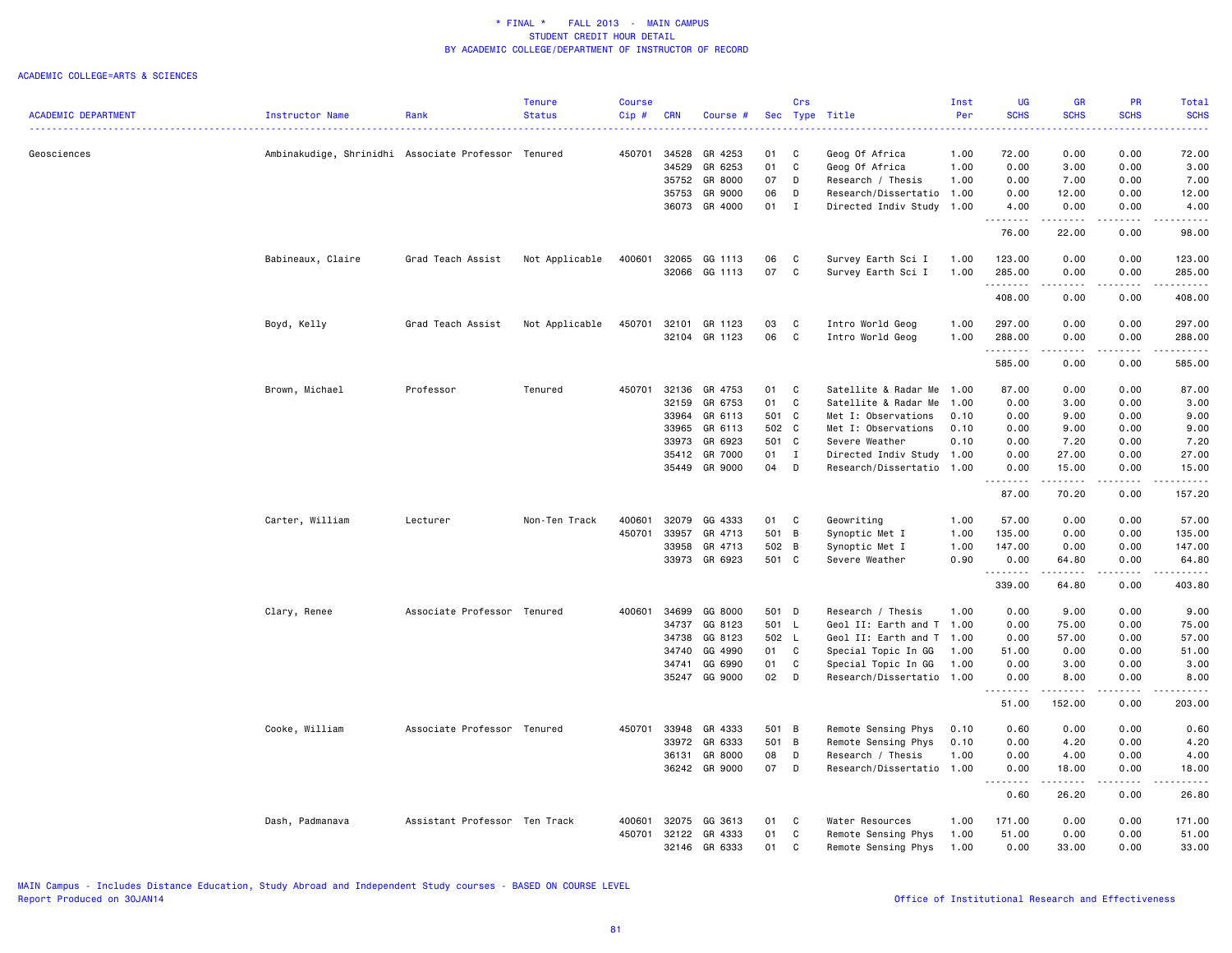|                            |                                                     |                               | <b>Tenure</b>  | <b>Course</b> |            |               |       | Crs          |                           | Inst | UG                 | <b>GR</b>         | <b>PR</b>             | Total              |
|----------------------------|-----------------------------------------------------|-------------------------------|----------------|---------------|------------|---------------|-------|--------------|---------------------------|------|--------------------|-------------------|-----------------------|--------------------|
| <b>ACADEMIC DEPARTMENT</b> | Instructor Name                                     | Rank                          | <b>Status</b>  | Cip#          | <b>CRN</b> | Course #      |       |              | Sec Type Title            | Per  | <b>SCHS</b>        | <b>SCHS</b>       | <b>SCHS</b>           | <b>SCHS</b>        |
| Geosciences                | Ambinakudige, Shrinidhi Associate Professor Tenured |                               |                | 450701        | 34528      | GR 4253       | 01    | C            | Geog Of Africa            | 1.00 | 72.00              | 0.00              | 0.00                  | 72.00              |
|                            |                                                     |                               |                |               | 34529      | GR 6253       | 01    | C            | Geog Of Africa            | 1.00 | 0.00               | 3.00              | 0.00                  | 3.00               |
|                            |                                                     |                               |                |               | 35752      | GR 8000       | 07    | D            | Research / Thesis         | 1.00 | 0.00               | 7.00              | 0.00                  | 7.00               |
|                            |                                                     |                               |                |               | 35753      | GR 9000       | 06    | D            | Research/Dissertatio      | 1.00 | 0.00               | 12.00             | 0.00                  | 12.00              |
|                            |                                                     |                               |                |               | 36073      | GR 4000       | 01    | $\mathbf{I}$ | Directed Indiv Study      | 1.00 | 4.00<br>.          | 0.00<br>.         | 0.00<br>.             | 4.00<br>.          |
|                            |                                                     |                               |                |               |            |               |       |              |                           |      | 76.00              | 22.00             | 0.00                  | 98.00              |
|                            | Babineaux, Claire                                   | Grad Teach Assist             | Not Applicable | 400601        | 32065      | GG 1113       | 06    | C            | Survey Earth Sci I        | 1.00 | 123.00             | 0.00              | 0.00                  | 123.00             |
|                            |                                                     |                               |                |               |            | 32066 GG 1113 | 07    | C            | Survey Earth Sci I        | 1.00 | 285.00             | 0.00              | 0.00                  | 285.00             |
|                            |                                                     |                               |                |               |            |               |       |              |                           |      | .                  |                   |                       | .                  |
|                            |                                                     |                               |                |               |            |               |       |              |                           |      | 408.00             | 0.00              | 0.00                  | 408.00             |
|                            | Boyd, Kelly                                         | Grad Teach Assist             | Not Applicable | 450701        | 32101      | GR 1123       | 03    | C            | Intro World Geog          | 1.00 | 297.00             | 0.00              | 0.00                  | 297.00             |
|                            |                                                     |                               |                |               | 32104      | GR 1123       | 06    | C            | Intro World Geog          | 1.00 | 288.00<br>.        | 0.00<br>$- - - -$ | 0.00<br>$\frac{1}{2}$ | 288.00<br><u>.</u> |
|                            |                                                     |                               |                |               |            |               |       |              |                           |      | 585.00             | 0.00              | 0.00                  | 585.00             |
|                            | Brown, Michael                                      | Professor                     | Tenured        | 450701        | 32136      | GR 4753       | 01    | C            | Satellite & Radar Me      | 1.00 | 87.00              | 0.00              | 0.00                  | 87.00              |
|                            |                                                     |                               |                |               | 32159      | GR 6753       | 01    | C            | Satellite & Radar Me      | 1.00 | 0.00               | 3.00              | 0.00                  | 3.00               |
|                            |                                                     |                               |                |               | 33964      | GR 6113       | 501 C |              | Met I: Observations       | 0.10 | 0.00               | 9.00              | 0.00                  | 9.00               |
|                            |                                                     |                               |                |               | 33965      | GR 6113       | 502 C |              | Met I: Observations       | 0.10 | 0.00               | 9.00              | 0.00                  | 9.00               |
|                            |                                                     |                               |                |               | 33973      | GR 6923       | 501 C |              | Severe Weather            | 0.10 | 0.00               | 7.20              | 0.00                  | 7.20               |
|                            |                                                     |                               |                |               | 35412      | GR 7000       | 01    | I            | Directed Indiv Study      | 1.00 | 0.00               | 27.00             | 0.00                  | 27.00              |
|                            |                                                     |                               |                |               | 35449      | GR 9000       | 04    | D            | Research/Dissertatio 1.00 |      | 0.00               | 15.00             | 0.00                  | 15.00              |
|                            |                                                     |                               |                |               |            |               |       |              |                           |      | <u>.</u><br>87.00  | .<br>70.20        | .<br>0.00             | .<br>157.20        |
|                            | Carter, William                                     | Lecturer                      | Non-Ten Track  | 400601        | 32079      | GG 4333       | 01    | C            | Geowriting                | 1.00 | 57.00              | 0.00              | 0.00                  | 57.00              |
|                            |                                                     |                               |                | 450701        | 33957      | GR 4713       | 501 B |              | Synoptic Met I            | 1.00 | 135.00             | 0.00              | 0.00                  | 135.00             |
|                            |                                                     |                               |                |               | 33958      | GR 4713       | 502 B |              | Synoptic Met I            | 1.00 | 147.00             | 0.00              | 0.00                  | 147.00             |
|                            |                                                     |                               |                |               | 33973      | GR 6923       | 501 C |              | Severe Weather            | 0.90 | 0.00               | 64.80             | 0.00                  | 64.80              |
|                            |                                                     |                               |                |               |            |               |       |              |                           |      | .<br>339.00        | .<br>64.80        | .<br>0.00             | .<br>403.80        |
|                            | Clary, Renee                                        | Associate Professor Tenured   |                | 400601        | 34699      | GG 8000       | 501 D |              | Research / Thesis         | 1.00 | 0.00               | 9.00              | 0.00                  | 9.00               |
|                            |                                                     |                               |                |               | 34737      | GG 8123       | 501 L |              | Geol II: Earth and T      | 1.00 | 0.00               | 75.00             | 0.00                  | 75.00              |
|                            |                                                     |                               |                |               | 34738      | GG 8123       | 502 L |              | Geol II: Earth and T      | 1.00 | 0.00               | 57.00             | 0.00                  | 57.00              |
|                            |                                                     |                               |                |               | 34740      | GG 4990       | 01    | $\mathbf{C}$ | Special Topic In GG       | 1.00 | 51.00              | 0.00              | 0.00                  | 51.00              |
|                            |                                                     |                               |                |               | 34741      | GG 6990       | 01    | C            | Special Topic In GG       | 1.00 | 0.00               | 3.00              | 0.00                  | 3.00               |
|                            |                                                     |                               |                |               | 35247      | GG 9000       | 02    | D            | Research/Dissertatio 1.00 |      | 0.00<br>.          | 8.00<br>.         | 0.00<br>.             | 8.00<br>.          |
|                            |                                                     |                               |                |               |            |               |       |              |                           |      | 51.00              | 152.00            | 0.00                  | 203.00             |
|                            | Cooke, William                                      | Associate Professor Tenured   |                | 450701        | 33948      | GR 4333       | 501 B |              | Remote Sensing Phys       | 0.10 | 0.60               | 0.00              | 0.00                  | 0.60               |
|                            |                                                     |                               |                |               | 33972      | GR 6333       | 501 B |              | Remote Sensing Phys       | 0.10 | 0.00               | 4.20              | 0.00                  | 4.20               |
|                            |                                                     |                               |                |               | 36131      | GR 8000       | 08    | D            | Research / Thesis         | 1.00 | 0.00               | 4.00              | 0.00                  | 4.00               |
|                            |                                                     |                               |                |               |            | 36242 GR 9000 | 07    | $\mathsf{D}$ | Research/Dissertatio 1.00 |      | 0.00<br>$  -$<br>. | 18.00<br>.        | 0.00<br>.             | 18.00<br>.         |
|                            |                                                     |                               |                |               |            |               |       |              |                           |      | 0.60               | 26.20             | 0.00                  | 26.80              |
|                            | Dash, Padmanava                                     | Assistant Professor Ten Track |                | 400601        | 32075      | GG 3613       | 01    | C            | Water Resources           | 1.00 | 171.00             | 0.00              | 0.00                  | 171.00             |
|                            |                                                     |                               |                | 450701        | 32122      | GR 4333       | 01    | C            | Remote Sensing Phys       | 1.00 | 51.00              | 0.00              | 0.00                  | 51.00              |
|                            |                                                     |                               |                |               | 32146      | GR 6333       | 01    | C            | Remote Sensing Phys       | 1.00 | 0.00               | 33.00             | 0.00                  | 33.00              |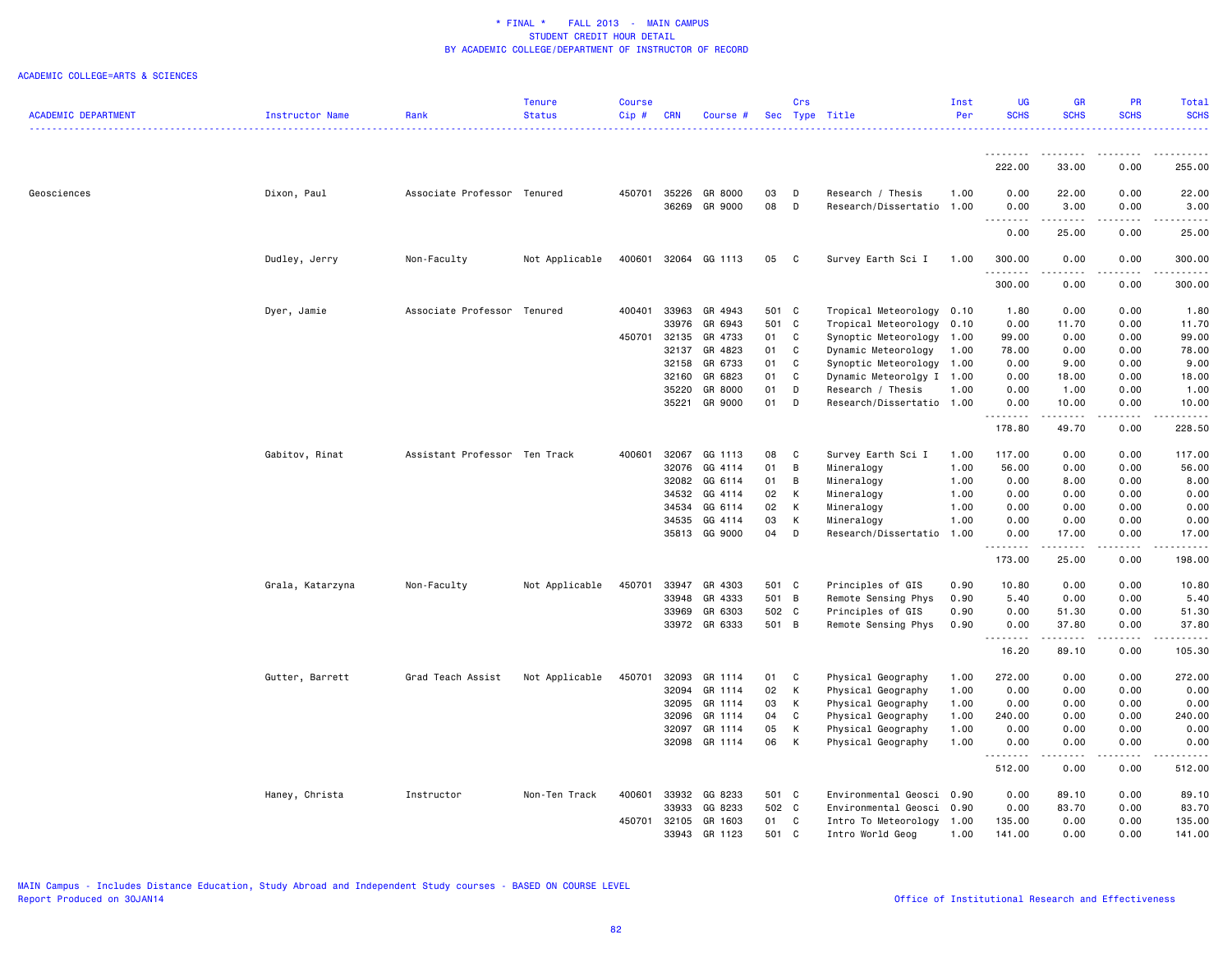|                            |                  |                               | Tenure         | <b>Course</b> |            |               |       | Crs |                           | Inst | UG                 | <b>GR</b>         | <b>PR</b>                           | Total       |
|----------------------------|------------------|-------------------------------|----------------|---------------|------------|---------------|-------|-----|---------------------------|------|--------------------|-------------------|-------------------------------------|-------------|
| <b>ACADEMIC DEPARTMENT</b> | Instructor Name  | Rank                          | <b>Status</b>  | Cip#          | <b>CRN</b> | Course #      |       |     | Sec Type Title            | Per  | <b>SCHS</b>        | <b>SCHS</b>       | <b>SCHS</b>                         | <b>SCHS</b> |
|                            |                  |                               |                |               |            |               |       |     |                           |      | .                  |                   |                                     | .           |
|                            |                  |                               |                |               |            |               |       |     |                           |      | <u>.</u><br>222.00 | <u>.</u><br>33.00 | .<br>0.00                           | 255.00      |
| Geosciences                | Dixon, Paul      | Associate Professor Tenured   |                | 450701        | 35226      | GR 8000       | 03    | D   | Research / Thesis         | 1.00 | 0.00               | 22.00             | 0.00                                | 22.00       |
|                            |                  |                               |                |               | 36269      | GR 9000       | 08    | D   | Research/Dissertatio      | 1.00 | 0.00               | 3.00              | 0.00                                | 3.00        |
|                            |                  |                               |                |               |            |               |       |     |                           |      | 0.00               | 25.00             | 0.00                                | .<br>25.00  |
|                            | Dudley, Jerry    | Non-Faculty                   | Not Applicable | 400601        |            | 32064 GG 1113 | 05    | C   | Survey Earth Sci I        | 1.00 | 300.00             | 0.00              | 0.00                                | 300.00      |
|                            |                  |                               |                |               |            |               |       |     |                           |      | .<br>300.00        | 0.00              | 0.00                                | .<br>300.00 |
|                            | Dyer, Jamie      | Associate Professor Tenured   |                | 400401        | 33963      | GR 4943       | 501 C |     | Tropical Meteorology 0.10 |      | 1.80               | 0.00              | 0.00                                | 1.80        |
|                            |                  |                               |                |               | 33976      | GR 6943       | 501 C |     | Tropical Meteorology      | 0.10 | 0.00               | 11.70             | 0.00                                | 11.70       |
|                            |                  |                               |                | 450701        | 32135      | GR 4733       | 01    | C   | Synoptic Meteorology 1.00 |      | 99.00              | 0.00              | 0.00                                | 99.00       |
|                            |                  |                               |                |               | 32137      | GR 4823       | 01    | C   | Dynamic Meteorology       | 1.00 | 78.00              | 0.00              | 0.00                                | 78.00       |
|                            |                  |                               |                |               | 32158      | GR 6733       | 01    | C   | Synoptic Meteorology      | 1.00 | 0.00               | 9.00              | 0.00                                | 9.00        |
|                            |                  |                               |                |               | 32160      | GR 6823       | 01    | C   | Dynamic Meteorolgy I 1.00 |      | 0.00               | 18.00             | 0.00                                | 18.00       |
|                            |                  |                               |                |               | 35220      | GR 8000       | 01    | D   | Research / Thesis         | 1.00 | 0.00               | 1.00              | 0.00                                | 1.00        |
|                            |                  |                               |                |               | 35221      | GR 9000       | 01    | D   | Research/Dissertatio      | 1.00 | 0.00<br>.          | 10.00             | 0.00<br>$\sim$ $\sim$ $\sim$ $\sim$ | 10.00<br>.  |
|                            |                  |                               |                |               |            |               |       |     |                           |      | 178.80             | 49.70             | 0.00                                | 228.50      |
|                            | Gabitov, Rinat   | Assistant Professor Ten Track |                | 400601        | 32067      | GG 1113       | 08    | C   | Survey Earth Sci I        | 1.00 | 117.00             | 0.00              | 0.00                                | 117.00      |
|                            |                  |                               |                |               | 32076      | GG 4114       | 01    | B   | Mineralogy                | 1.00 | 56.00              | 0.00              | 0.00                                | 56.00       |
|                            |                  |                               |                |               | 32082      | GG 6114       | 01    | B   | Mineralogy                | 1.00 | 0.00               | 8.00              | 0.00                                | 8.00        |
|                            |                  |                               |                |               | 34532      | GG 4114       | 02    | К   | Mineralogy                | 1.00 | 0.00               | 0.00              | 0.00                                | 0.00        |
|                            |                  |                               |                |               | 34534      | GG 6114       | 02    | K   | Mineralogy                | 1.00 | 0.00               | 0.00              | 0.00                                | 0.00        |
|                            |                  |                               |                |               | 34535      | GG 4114       | 03    | К   | Mineralogy                | 1.00 | 0.00               | 0.00              | 0.00                                | 0.00        |
|                            |                  |                               |                |               | 35813      | GG 9000       | 04    | D   | Research/Dissertatio      | 1.00 | 0.00               | 17.00             | 0.00                                | 17.00<br>.  |
|                            |                  |                               |                |               |            |               |       |     |                           |      | 173.00             | 25.00             | 0.00                                | 198.00      |
|                            | Grala, Katarzyna | Non-Faculty                   | Not Applicable | 450701        | 33947      | GR 4303       | 501 C |     | Principles of GIS         | 0.90 | 10.80              | 0.00              | 0.00                                | 10.80       |
|                            |                  |                               |                |               | 33948      | GR 4333       | 501 B |     | Remote Sensing Phys       | 0.90 | 5.40               | 0.00              | 0.00                                | 5.40        |
|                            |                  |                               |                |               | 33969      | GR 6303       | 502 C |     | Principles of GIS         | 0.90 | 0.00               | 51.30             | 0.00                                | 51.30       |
|                            |                  |                               |                |               |            | 33972 GR 6333 | 501 B |     | Remote Sensing Phys       | 0.90 | 0.00<br>.          | 37.80<br>.        | 0.00<br>.                           | 37.80<br>.  |
|                            |                  |                               |                |               |            |               |       |     |                           |      | 16.20              | 89.10             | 0.00                                | 105.30      |
|                            | Gutter, Barrett  | Grad Teach Assist             | Not Applicable | 450701        | 32093      | GR 1114       | 01    | C   | Physical Geography        | 1.00 | 272.00             | 0.00              | 0.00                                | 272.00      |
|                            |                  |                               |                |               | 32094      | GR 1114       | 02    | К   | Physical Geography        | 1.00 | 0.00               | 0.00              | 0.00                                | 0.00        |
|                            |                  |                               |                |               | 32095      | GR 1114       | 03    | К   | Physical Geography        | 1.00 | 0.00               | 0.00              | 0.00                                | 0.00        |
|                            |                  |                               |                |               | 32096      | GR 1114       | 04    | C   | Physical Geography        | 1.00 | 240.00             | 0.00              | 0.00                                | 240.00      |
|                            |                  |                               |                |               | 32097      | GR 1114       | 05    | К   | Physical Geography        | 1.00 | 0.00               | 0.00              | 0.00                                | 0.00        |
|                            |                  |                               |                |               |            | 32098 GR 1114 | 06    | К   | Physical Geography        | 1.00 | 0.00<br>.          | 0.00<br><b>.</b>  | 0.00<br>$\sim$ $\sim$ $\sim$ $\sim$ | 0.00<br>.   |
|                            |                  |                               |                |               |            |               |       |     |                           |      | 512.00             | 0.00              | 0.00                                | 512.00      |
|                            | Haney, Christa   | Instructor                    | Non-Ten Track  | 400601        | 33932      | GG 8233       | 501 C |     | Environmental Geosci      | 0.90 | 0.00               | 89.10             | 0.00                                | 89.10       |
|                            |                  |                               |                |               | 33933      | GG 8233       | 502 C |     | Environmental Geosci      | 0.90 | 0.00               | 83.70             | 0.00                                | 83.70       |
|                            |                  |                               |                | 450701        | 32105      | GR 1603       | 01    | C   | Intro To Meteorology 1.00 |      | 135.00             | 0.00              | 0.00                                | 135.00      |
|                            |                  |                               |                |               | 33943      | GR 1123       | 501   | C   | Intro World Geog          | 1.00 | 141.00             | 0.00              | 0.00                                | 141.00      |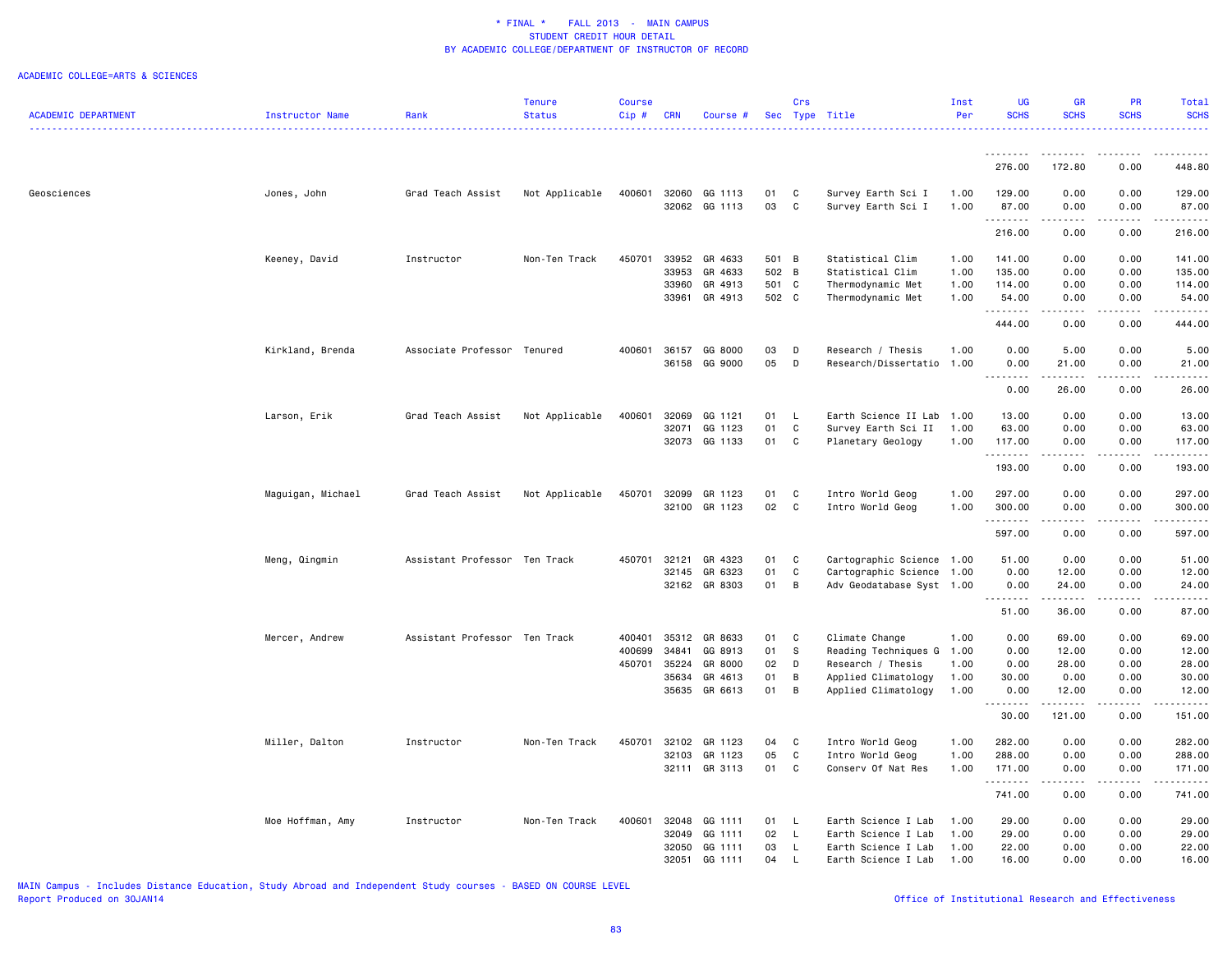|                            |                   |                               | <b>Tenure</b>  | <b>Course</b> |            |               |       | Crs          |                           | Inst | UG               | GR                                                                                                                                                                                                                                                                                                                                            | <b>PR</b>        | Total                                                                                                                                                                                    |
|----------------------------|-------------------|-------------------------------|----------------|---------------|------------|---------------|-------|--------------|---------------------------|------|------------------|-----------------------------------------------------------------------------------------------------------------------------------------------------------------------------------------------------------------------------------------------------------------------------------------------------------------------------------------------|------------------|------------------------------------------------------------------------------------------------------------------------------------------------------------------------------------------|
| <b>ACADEMIC DEPARTMENT</b> | Instructor Name   | Rank                          | <b>Status</b>  | Cip#          | <b>CRN</b> | Course #      |       |              | Sec Type Title            | Per  | <b>SCHS</b>      | <b>SCHS</b>                                                                                                                                                                                                                                                                                                                                   | <b>SCHS</b>      | <b>SCHS</b><br>.                                                                                                                                                                         |
|                            |                   |                               |                |               |            |               |       |              |                           |      | <u>.</u>         | <u>.</u>                                                                                                                                                                                                                                                                                                                                      | $- - - - -$      | .                                                                                                                                                                                        |
|                            |                   |                               |                |               |            |               |       |              |                           |      | 276.00           | 172.80                                                                                                                                                                                                                                                                                                                                        | 0.00             | 448.80                                                                                                                                                                                   |
| Geosciences                | Jones, John       | Grad Teach Assist             | Not Applicable | 400601        | 32060      | GG 1113       | 01    | C            | Survey Earth Sci I        | 1.00 | 129.00           | 0.00                                                                                                                                                                                                                                                                                                                                          | 0.00             | 129.00                                                                                                                                                                                   |
|                            |                   |                               |                |               |            | 32062 GG 1113 | 03    | C            | Survey Earth Sci I        | 1.00 | 87.00<br>.       | 0.00<br>.                                                                                                                                                                                                                                                                                                                                     | 0.00<br>.        | 87.00<br>.                                                                                                                                                                               |
|                            |                   |                               |                |               |            |               |       |              |                           |      | 216.00           | 0.00                                                                                                                                                                                                                                                                                                                                          | 0.00             | 216.00                                                                                                                                                                                   |
|                            | Keeney, David     | Instructor                    | Non-Ten Track  | 450701        | 33952      | GR 4633       | 501 B |              | Statistical Clim          | 1.00 | 141.00           | 0.00                                                                                                                                                                                                                                                                                                                                          | 0.00             | 141.00                                                                                                                                                                                   |
|                            |                   |                               |                |               | 33953      | GR 4633       | 502 B |              | Statistical Clim          | 1.00 | 135.00           | 0.00                                                                                                                                                                                                                                                                                                                                          | 0.00             | 135.00                                                                                                                                                                                   |
|                            |                   |                               |                |               | 33960      | GR 4913       | 501 C |              | Thermodynamic Met         | 1.00 | 114.00           | 0.00                                                                                                                                                                                                                                                                                                                                          | 0.00             | 114.00                                                                                                                                                                                   |
|                            |                   |                               |                |               | 33961      | GR 4913       | 502 C |              | Thermodynamic Met         | 1.00 | 54.00<br>.       | 0.00<br>.                                                                                                                                                                                                                                                                                                                                     | 0.00<br>.        | 54.00<br>$\frac{1}{2} \left( \frac{1}{2} \right) \left( \frac{1}{2} \right) \left( \frac{1}{2} \right) \left( \frac{1}{2} \right) \left( \frac{1}{2} \right) \left( \frac{1}{2} \right)$ |
|                            |                   |                               |                |               |            |               |       |              |                           |      | 444.00           | 0.00                                                                                                                                                                                                                                                                                                                                          | 0.00             | 444.00                                                                                                                                                                                   |
|                            | Kirkland, Brenda  | Associate Professor Tenured   |                | 400601        | 36157      | GG 8000       | 03    | D            | Research / Thesis         | 1.00 | 0.00             | 5.00                                                                                                                                                                                                                                                                                                                                          | 0.00             | 5.00                                                                                                                                                                                     |
|                            |                   |                               |                |               | 36158      | GG 9000       | 05    | D            | Research/Dissertatio      | 1.00 | 0.00<br><u>.</u> | 21.00<br>$\omega = \omega = \omega$                                                                                                                                                                                                                                                                                                           | 0.00<br>.        | 21.00<br>.                                                                                                                                                                               |
|                            |                   |                               |                |               |            |               |       |              |                           |      | 0.00             | 26.00                                                                                                                                                                                                                                                                                                                                         | 0.00             | 26.00                                                                                                                                                                                    |
|                            | Larson, Erik      | Grad Teach Assist             | Not Applicable | 400601        | 32069      | GG 1121       | 01    | L.           | Earth Science II Lab      | 1.00 | 13.00            | 0.00                                                                                                                                                                                                                                                                                                                                          | 0.00             | 13.00                                                                                                                                                                                    |
|                            |                   |                               |                |               | 32071      | GG 1123       | 01    | C            | Survey Earth Sci II       | 1.00 | 63.00            | 0.00                                                                                                                                                                                                                                                                                                                                          | 0.00             | 63.00                                                                                                                                                                                    |
|                            |                   |                               |                |               | 32073      | GG 1133       | 01    | C            | Planetary Geology         | 1.00 | 117.00<br>.      | 0.00<br>$\omega$ is $\omega$ in                                                                                                                                                                                                                                                                                                               | 0.00<br>المتماما | 117.00<br>22222                                                                                                                                                                          |
|                            |                   |                               |                |               |            |               |       |              |                           |      | 193.00           | 0.00                                                                                                                                                                                                                                                                                                                                          | 0.00             | 193.00                                                                                                                                                                                   |
|                            | Maguigan, Michael | Grad Teach Assist             | Not Applicable | 450701        | 32099      | GR 1123       | 01    | C            | Intro World Geog          | 1.00 | 297.00           | 0.00                                                                                                                                                                                                                                                                                                                                          | 0.00             | 297.00                                                                                                                                                                                   |
|                            |                   |                               |                |               | 32100      | GR 1123       | 02    | C            | Intro World Geog          | 1.00 | 300.00<br>.      | 0.00<br>.                                                                                                                                                                                                                                                                                                                                     | 0.00<br>.        | 300.00<br>2.2.2.2.2.3                                                                                                                                                                    |
|                            |                   |                               |                |               |            |               |       |              |                           |      | 597.00           | 0.00                                                                                                                                                                                                                                                                                                                                          | 0.00             | 597.00                                                                                                                                                                                   |
|                            | Meng, Qingmin     | Assistant Professor Ten Track |                | 450701        | 32121      | GR 4323       | 01    | C            | Cartographic Science 1.00 |      | 51.00            | 0.00                                                                                                                                                                                                                                                                                                                                          | 0.00             | 51.00                                                                                                                                                                                    |
|                            |                   |                               |                |               | 32145      | GR 6323       | 01    | C            | Cartographic Science 1.00 |      | 0.00             | 12.00                                                                                                                                                                                                                                                                                                                                         | 0.00             | 12.00                                                                                                                                                                                    |
|                            |                   |                               |                |               |            | 32162 GR 8303 | 01    | B            | Adv Geodatabase Syst 1.00 |      | 0.00<br>.        | 24.00<br>$\frac{1}{2} \left( \begin{array}{ccc} 1 & 0 & 0 & 0 \\ 0 & 0 & 0 & 0 \\ 0 & 0 & 0 & 0 \\ 0 & 0 & 0 & 0 \\ 0 & 0 & 0 & 0 \\ 0 & 0 & 0 & 0 \\ 0 & 0 & 0 & 0 \\ 0 & 0 & 0 & 0 \\ 0 & 0 & 0 & 0 \\ 0 & 0 & 0 & 0 \\ 0 & 0 & 0 & 0 & 0 \\ 0 & 0 & 0 & 0 & 0 \\ 0 & 0 & 0 & 0 & 0 \\ 0 & 0 & 0 & 0 & 0 \\ 0 & 0 & 0 & 0 & 0 \\ 0 & 0 & 0$ | 0.00<br>د د د د  | 24.00                                                                                                                                                                                    |
|                            |                   |                               |                |               |            |               |       |              |                           |      | 51.00            | 36.00                                                                                                                                                                                                                                                                                                                                         | 0.00             | 87.00                                                                                                                                                                                    |
|                            | Mercer, Andrew    | Assistant Professor Ten Track |                | 400401        | 35312      | GR 8633       | 01    | C            | Climate Change            | 1.00 | 0.00             | 69.00                                                                                                                                                                                                                                                                                                                                         | 0.00             | 69.00                                                                                                                                                                                    |
|                            |                   |                               |                | 400699        | 34841      | GG 8913       | 01    | S            | Reading Techniques G 1.00 |      | 0.00             | 12.00                                                                                                                                                                                                                                                                                                                                         | 0.00             | 12.00                                                                                                                                                                                    |
|                            |                   |                               |                | 450701        | 35224      | GR 8000       | 02    | D            | Research / Thesis         | 1.00 | 0.00             | 28.00                                                                                                                                                                                                                                                                                                                                         | 0.00             | 28.00                                                                                                                                                                                    |
|                            |                   |                               |                |               | 35634      | GR 4613       | 01    | B            | Applied Climatology       | 1.00 | 30.00            | 0.00                                                                                                                                                                                                                                                                                                                                          | 0.00             | 30.00                                                                                                                                                                                    |
|                            |                   |                               |                |               |            | 35635 GR 6613 | 01    | B            | Applied Climatology       | 1.00 | 0.00<br>.        | 12.00<br>.                                                                                                                                                                                                                                                                                                                                    | 0.00<br>.        | 12.00<br>. <b>.</b>                                                                                                                                                                      |
|                            |                   |                               |                |               |            |               |       |              |                           |      | 30.00            | 121.00                                                                                                                                                                                                                                                                                                                                        | 0.00             | 151.00                                                                                                                                                                                   |
|                            | Miller, Dalton    | Instructor                    | Non-Ten Track  | 450701        | 32102      | GR 1123       | 04    | C            | Intro World Geog          | 1.00 | 282.00           | 0.00                                                                                                                                                                                                                                                                                                                                          | 0.00             | 282.00                                                                                                                                                                                   |
|                            |                   |                               |                |               | 32103      | GR 1123       | 05    | C            | Intro World Geog          | 1.00 | 288.00           | 0.00                                                                                                                                                                                                                                                                                                                                          | 0.00             | 288.00                                                                                                                                                                                   |
|                            |                   |                               |                |               |            | 32111 GR 3113 | 01    | C            | Conserv Of Nat Res        | 1.00 | 171.00<br>.      | 0.00<br>$\frac{1}{2} \left( \begin{array}{ccc} 1 & 0 & 0 & 0 \\ 0 & 0 & 0 & 0 \\ 0 & 0 & 0 & 0 \\ 0 & 0 & 0 & 0 \\ 0 & 0 & 0 & 0 \\ 0 & 0 & 0 & 0 \\ 0 & 0 & 0 & 0 \\ 0 & 0 & 0 & 0 \\ 0 & 0 & 0 & 0 \\ 0 & 0 & 0 & 0 \\ 0 & 0 & 0 & 0 & 0 \\ 0 & 0 & 0 & 0 & 0 \\ 0 & 0 & 0 & 0 & 0 \\ 0 & 0 & 0 & 0 & 0 \\ 0 & 0 & 0 & 0 & 0 \\ 0 & 0 & 0$  | 0.00<br>.        | 171.00<br>.                                                                                                                                                                              |
|                            |                   |                               |                |               |            |               |       |              |                           |      | 741.00           | 0.00                                                                                                                                                                                                                                                                                                                                          | 0.00             | 741.00                                                                                                                                                                                   |
|                            | Moe Hoffman, Amy  | Instructor                    | Non-Ten Track  | 400601        | 32048      | GG 1111       | 01    | L.           | Earth Science I Lab       | 1.00 | 29.00            | 0.00                                                                                                                                                                                                                                                                                                                                          | 0.00             | 29.00                                                                                                                                                                                    |
|                            |                   |                               |                |               | 32049      | GG 1111       | 02    | $\mathsf{L}$ | Earth Science I Lab       | 1.00 | 29.00            | 0.00                                                                                                                                                                                                                                                                                                                                          | 0.00             | 29.00                                                                                                                                                                                    |
|                            |                   |                               |                |               | 32050      | GG 1111       | 03    | L.           | Earth Science I Lab       | 1.00 | 22.00            | 0.00                                                                                                                                                                                                                                                                                                                                          | 0.00             | 22.00                                                                                                                                                                                    |
|                            |                   |                               |                |               | 32051      | GG 1111       | 04    | L            | Earth Science I Lab       | 1.00 | 16.00            | 0.00                                                                                                                                                                                                                                                                                                                                          | 0.00             | 16.00                                                                                                                                                                                    |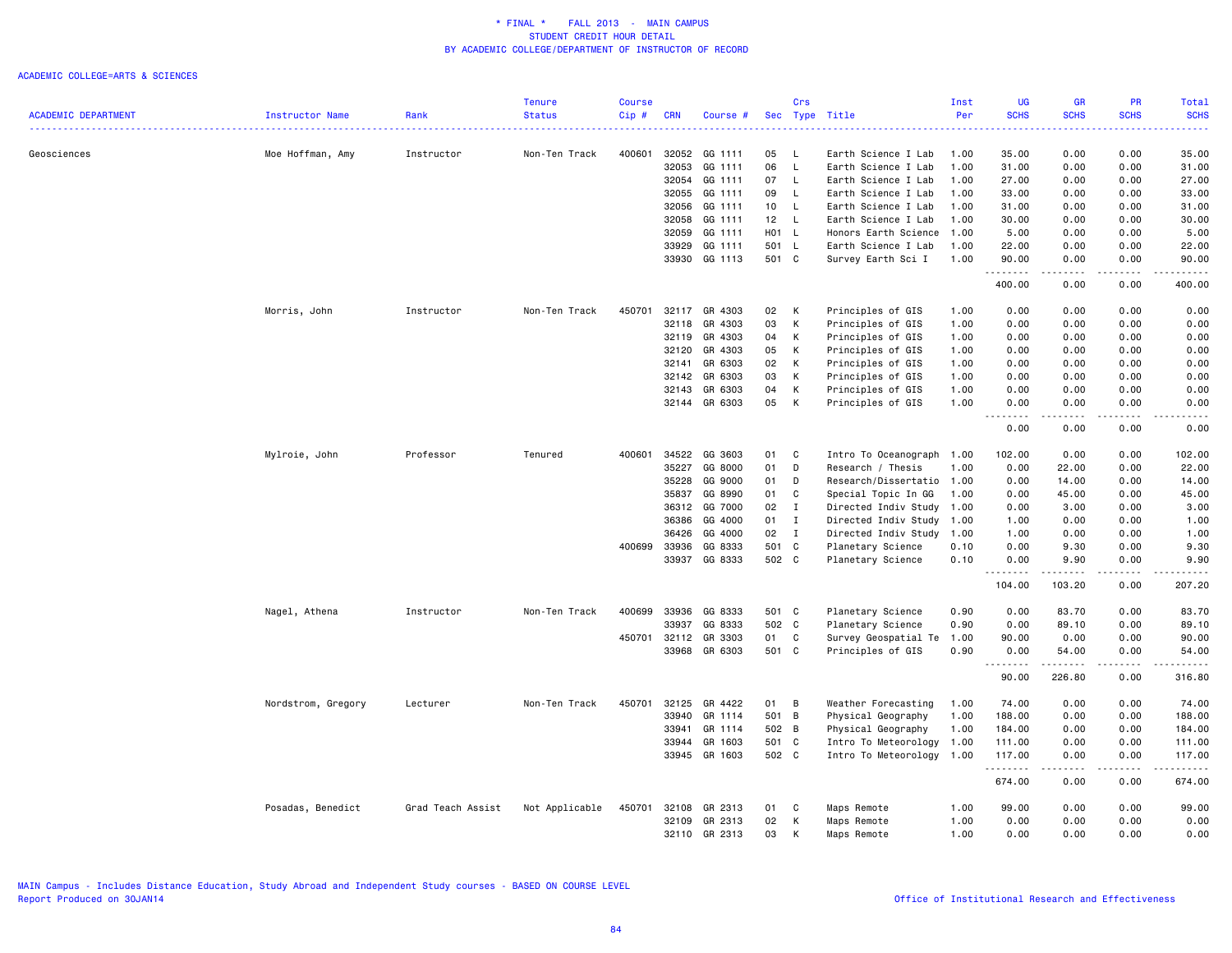|                            |                    |                   | <b>Tenure</b>  | <b>Course</b> |            |          |       | Crs            |                           | Inst | UG          | <b>GR</b>        | <b>PR</b>                                                                                                                         | <b>Total</b>                                                                                                                             |
|----------------------------|--------------------|-------------------|----------------|---------------|------------|----------|-------|----------------|---------------------------|------|-------------|------------------|-----------------------------------------------------------------------------------------------------------------------------------|------------------------------------------------------------------------------------------------------------------------------------------|
| <b>ACADEMIC DEPARTMENT</b> | Instructor Name    | Rank              | <b>Status</b>  | Cip#          | <b>CRN</b> | Course # |       |                | Sec Type Title            | Per  | <b>SCHS</b> | <b>SCHS</b>      | <b>SCHS</b>                                                                                                                       | <b>SCHS</b><br>$\frac{1}{2} \left( \frac{1}{2} \right) \left( \frac{1}{2} \right) \left( \frac{1}{2} \right) \left( \frac{1}{2} \right)$ |
| Geosciences                | Moe Hoffman, Amy   | Instructor        | Non-Ten Track  | 400601        | 32052      | GG 1111  | 05    | L              | Earth Science I Lab       | 1.00 | 35.00       | 0.00             | 0.00                                                                                                                              | 35.00                                                                                                                                    |
|                            |                    |                   |                |               | 32053      | GG 1111  | 06    | L              | Earth Science I Lab       | 1.00 | 31.00       | 0.00             | 0.00                                                                                                                              | 31.00                                                                                                                                    |
|                            |                    |                   |                |               | 32054      | GG 1111  | 07    | $\mathsf{L}$   | Earth Science I Lab       | 1.00 | 27.00       | 0.00             | 0.00                                                                                                                              | 27.00                                                                                                                                    |
|                            |                    |                   |                |               | 32055      | GG 1111  | 09    | L.             | Earth Science I Lab       | 1.00 | 33.00       | 0.00             | 0.00                                                                                                                              | 33.00                                                                                                                                    |
|                            |                    |                   |                |               | 32056      | GG 1111  | 10    | L.             | Earth Science I Lab       | 1.00 | 31.00       | 0.00             | 0.00                                                                                                                              | 31.00                                                                                                                                    |
|                            |                    |                   |                |               | 32058      | GG 1111  | 12    | $\mathsf{L}$   | Earth Science I Lab       | 1.00 | 30.00       | 0.00             | 0.00                                                                                                                              | 30.00                                                                                                                                    |
|                            |                    |                   |                |               | 32059      | GG 1111  | H01 L |                | Honors Earth Science      | 1.00 | 5.00        | 0.00             | 0.00                                                                                                                              | 5.00                                                                                                                                     |
|                            |                    |                   |                |               | 33929      | GG 1111  | 501 L |                | Earth Science I Lab       | 1.00 | 22.00       | 0.00             | 0.00                                                                                                                              | 22.00                                                                                                                                    |
|                            |                    |                   |                |               | 33930      | GG 1113  | 501 C |                | Survey Earth Sci I        | 1.00 | 90.00       | 0.00             | 0.00                                                                                                                              | 90.00                                                                                                                                    |
|                            |                    |                   |                |               |            |          |       |                |                           |      | .<br>400.00 | $\cdots$<br>0.00 | .<br>0.00                                                                                                                         | .<br>400.00                                                                                                                              |
|                            | Morris, John       | Instructor        | Non-Ten Track  | 450701        | 32117      | GR 4303  | 02    | K              | Principles of GIS         | 1.00 | 0.00        | 0.00             | 0.00                                                                                                                              | 0.00                                                                                                                                     |
|                            |                    |                   |                |               | 32118      | GR 4303  | 03    | K              | Principles of GIS         | 1.00 | 0.00        | 0.00             | 0.00                                                                                                                              | 0.00                                                                                                                                     |
|                            |                    |                   |                |               | 32119      | GR 4303  | 04    | К              | Principles of GIS         | 1.00 | 0.00        | 0.00             | 0.00                                                                                                                              | 0.00                                                                                                                                     |
|                            |                    |                   |                |               | 32120      | GR 4303  | 05    | К              | Principles of GIS         | 1.00 | 0.00        | 0.00             | 0.00                                                                                                                              | 0.00                                                                                                                                     |
|                            |                    |                   |                |               | 32141      | GR 6303  | 02    | К              | Principles of GIS         | 1.00 | 0.00        | 0.00             | 0.00                                                                                                                              | 0.00                                                                                                                                     |
|                            |                    |                   |                |               | 32142      | GR 6303  | 03    | К              | Principles of GIS         | 1.00 | 0.00        | 0.00             | 0.00                                                                                                                              | 0.00                                                                                                                                     |
|                            |                    |                   |                |               | 32143      | GR 6303  | 04    | К              | Principles of GIS         | 1.00 | 0.00        | 0.00             | 0.00                                                                                                                              | 0.00                                                                                                                                     |
|                            |                    |                   |                |               | 32144      | GR 6303  | 05    | К              | Principles of GIS         | 1.00 | 0.00<br>.   | 0.00             | 0.00<br>$\sim$ $\sim$ $\sim$                                                                                                      | 0.00<br>.                                                                                                                                |
|                            |                    |                   |                |               |            |          |       |                |                           |      | 0.00        | 0.00             | 0.00                                                                                                                              | 0.00                                                                                                                                     |
|                            | Mylroie, John      | Professor         | Tenured        | 400601        | 34522      | GG 3603  | 01    | C              | Intro To Oceanograph      | 1.00 | 102.00      | 0.00             | 0.00                                                                                                                              | 102.00                                                                                                                                   |
|                            |                    |                   |                |               | 35227      | GG 8000  | 01    | D              | Research / Thesis         | 1.00 | 0.00        | 22.00            | 0.00                                                                                                                              | 22.00                                                                                                                                    |
|                            |                    |                   |                |               | 35228      | GG 9000  | 01    | D              | Research/Dissertatio 1.00 |      | 0.00        | 14.00            | 0.00                                                                                                                              | 14.00                                                                                                                                    |
|                            |                    |                   |                |               | 35837      | GG 8990  | 01    | C              | Special Topic In GG       | 1.00 | 0.00        | 45.00            | 0.00                                                                                                                              | 45.00                                                                                                                                    |
|                            |                    |                   |                |               | 36312      | GG 7000  | 02    | I              | Directed Indiv Study      | 1.00 | 0.00        | 3.00             | 0.00                                                                                                                              | 3.00                                                                                                                                     |
|                            |                    |                   |                |               | 36386      | GG 4000  | 01    | I              | Directed Indiv Study      | 1.00 | 1.00        | 0.00             | 0.00                                                                                                                              | 1.00                                                                                                                                     |
|                            |                    |                   |                |               | 36426      | GG 4000  | 02    | $\blacksquare$ | Directed Indiv Study      | 1.00 | 1.00        | 0.00             | 0.00                                                                                                                              | 1.00                                                                                                                                     |
|                            |                    |                   |                | 400699        | 33936      | GG 8333  | 501 C |                | Planetary Science         | 0.10 | 0.00        | 9.30             | 0.00                                                                                                                              | 9.30                                                                                                                                     |
|                            |                    |                   |                |               | 33937      | GG 8333  | 502 C |                | Planetary Science         | 0.10 | 0.00<br>.   | 9.90<br>.        | 0.00<br>.                                                                                                                         | 9.90<br>.                                                                                                                                |
|                            |                    |                   |                |               |            |          |       |                |                           |      | 104.00      | 103.20           | 0.00                                                                                                                              | 207.20                                                                                                                                   |
|                            | Nagel, Athena      | Instructor        | Non-Ten Track  | 400699        | 33936      | GG 8333  | 501 C |                | Planetary Science         | 0.90 | 0.00        | 83.70            | 0.00                                                                                                                              | 83.70                                                                                                                                    |
|                            |                    |                   |                |               | 33937      | GG 8333  | 502 C |                | Planetary Science         | 0.90 | 0.00        | 89.10            | 0.00                                                                                                                              | 89.10                                                                                                                                    |
|                            |                    |                   |                | 450701        | 32112      | GR 3303  | 01    | C              | Survey Geospatial Te      | 1.00 | 90.00       | 0.00             | 0.00                                                                                                                              | 90.00                                                                                                                                    |
|                            |                    |                   |                |               | 33968      | GR 6303  | 501 C |                | Principles of GIS         | 0.90 | 0.00<br>.   | 54.00<br>.       | 0.00<br>$\frac{1}{2}$                                                                                                             | 54.00<br>.                                                                                                                               |
|                            |                    |                   |                |               |            |          |       |                |                           |      | 90.00       | 226.80           | 0.00                                                                                                                              | 316.80                                                                                                                                   |
|                            | Nordstrom, Gregory | Lecturer          | Non-Ten Track  | 450701        | 32125      | GR 4422  | 01    | B              | Weather Forecasting       | 1.00 | 74.00       | 0.00             | 0.00                                                                                                                              | 74.00                                                                                                                                    |
|                            |                    |                   |                |               | 33940      | GR 1114  | 501 B |                | Physical Geography        | 1.00 | 188.00      | 0.00             | 0.00                                                                                                                              | 188.00                                                                                                                                   |
|                            |                    |                   |                |               | 33941      | GR 1114  | 502 B |                | Physical Geography        | 1.00 | 184.00      | 0.00             | 0.00                                                                                                                              | 184.00                                                                                                                                   |
|                            |                    |                   |                |               | 33944      | GR 1603  | 501 C |                | Intro To Meteorology      | 1.00 | 111.00      | 0.00             | 0.00                                                                                                                              | 111.00                                                                                                                                   |
|                            |                    |                   |                |               | 33945      | GR 1603  | 502 C |                | Intro To Meteorology      | 1.00 | 117.00<br>. | 0.00             | 0.00<br>$\frac{1}{2} \left( \frac{1}{2} \right) \left( \frac{1}{2} \right) \left( \frac{1}{2} \right) \left( \frac{1}{2} \right)$ | 117.00<br>.                                                                                                                              |
|                            |                    |                   |                |               |            |          |       |                |                           |      | 674.00      | 0.00             | 0.00                                                                                                                              | 674.00                                                                                                                                   |
|                            | Posadas, Benedict  | Grad Teach Assist | Not Applicable | 450701        | 32108      | GR 2313  | 01    | C              | Maps Remote               | 1.00 | 99.00       | 0.00             | 0.00                                                                                                                              | 99.00                                                                                                                                    |
|                            |                    |                   |                |               | 32109      | GR 2313  | 02    | К              | Maps Remote               | 1.00 | 0.00        | 0.00             | 0.00                                                                                                                              | 0.00                                                                                                                                     |
|                            |                    |                   |                |               | 32110      | GR 2313  | 03    | K              | Maps Remote               | 1.00 | 0.00        | 0.00             | 0.00                                                                                                                              | 0.00                                                                                                                                     |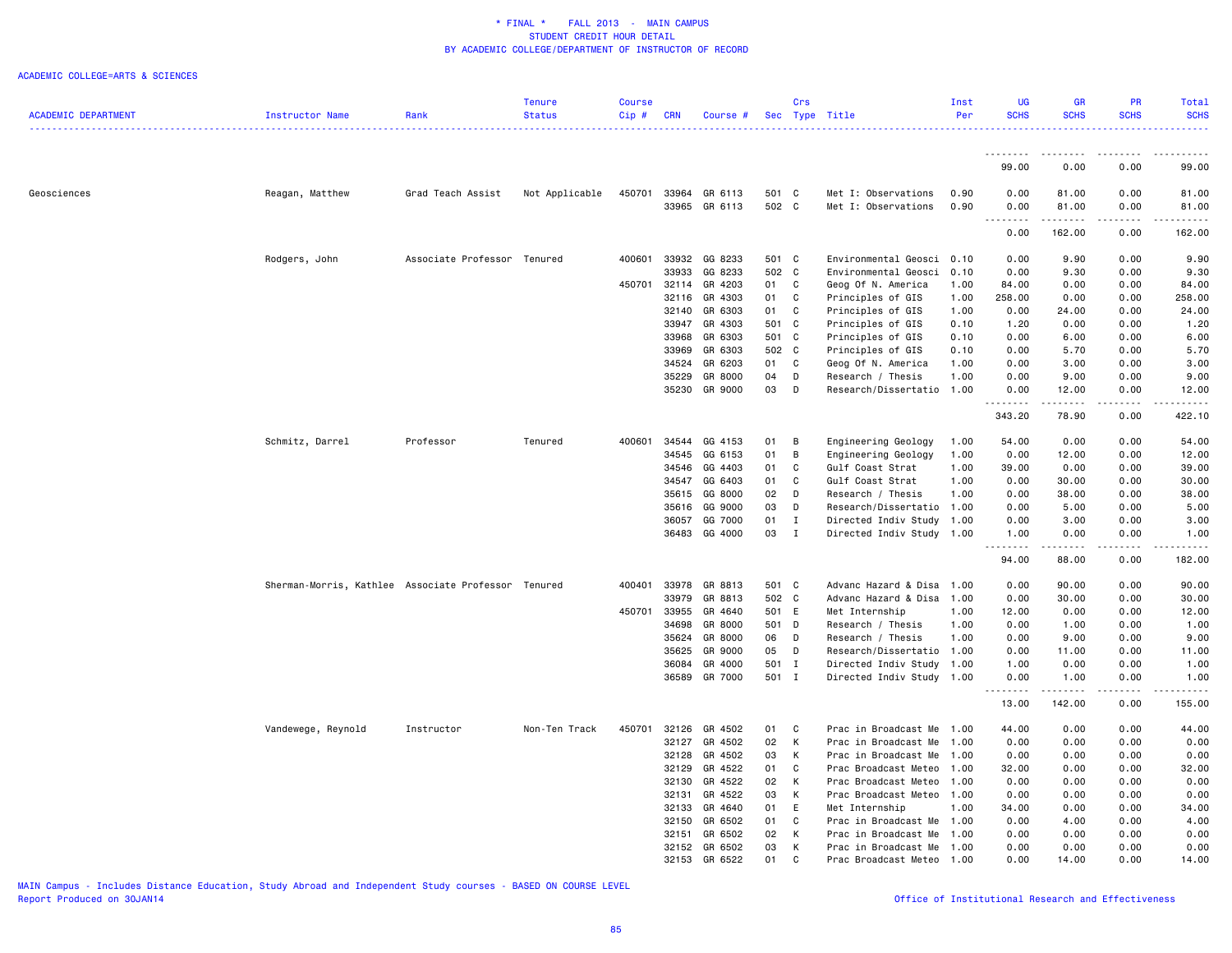### ACADEMIC COLLEGE=ARTS & SCIENCES

|                            |                                                     |                             | Tenure         | <b>Course</b> |            |               |       | Crs            |                           | Inst | UG                            | <b>GR</b>                                                                                                                                                     | <b>PR</b>                                                                                                                                                    | Total           |
|----------------------------|-----------------------------------------------------|-----------------------------|----------------|---------------|------------|---------------|-------|----------------|---------------------------|------|-------------------------------|---------------------------------------------------------------------------------------------------------------------------------------------------------------|--------------------------------------------------------------------------------------------------------------------------------------------------------------|-----------------|
| <b>ACADEMIC DEPARTMENT</b> | Instructor Name                                     | Rank                        | <b>Status</b>  | Cip#          | <b>CRN</b> | Course #      |       |                | Sec Type Title            | Per  | <b>SCHS</b>                   | <b>SCHS</b>                                                                                                                                                   | <b>SCHS</b>                                                                                                                                                  | <b>SCHS</b>     |
|                            |                                                     |                             |                |               |            |               |       |                |                           |      |                               |                                                                                                                                                               |                                                                                                                                                              | .               |
|                            |                                                     |                             |                |               |            |               |       |                |                           |      | ---------                     | ---------                                                                                                                                                     | <u>.</u>                                                                                                                                                     | $- - - - - - -$ |
|                            |                                                     |                             |                |               |            |               |       |                |                           |      | 99.00                         | 0.00                                                                                                                                                          | 0.00                                                                                                                                                         | 99.00           |
| Geosciences                | Reagan, Matthew                                     | Grad Teach Assist           | Not Applicable | 450701        |            | 33964 GR 6113 | 501 C |                | Met I: Observations       | 0.90 | 0.00                          | 81.00                                                                                                                                                         | 0.00                                                                                                                                                         | 81.00           |
|                            |                                                     |                             |                |               |            | 33965 GR 6113 | 502 C |                | Met I: Observations       | 0.90 | 0.00<br>.                     | 81.00<br>222222                                                                                                                                               | 0.00<br>$\frac{1}{2} \left( \frac{1}{2} \right) \left( \frac{1}{2} \right) \left( \frac{1}{2} \right) \left( \frac{1}{2} \right) \left( \frac{1}{2} \right)$ | 81.00<br>.      |
|                            |                                                     |                             |                |               |            |               |       |                |                           |      | 0.00                          | 162.00                                                                                                                                                        | 0.00                                                                                                                                                         | 162.00          |
|                            | Rodgers, John                                       | Associate Professor Tenured |                | 400601        |            | 33932 GG 8233 | 501 C |                | Environmental Geosci      | 0.10 | 0.00                          | 9.90                                                                                                                                                          | 0.00                                                                                                                                                         | 9.90            |
|                            |                                                     |                             |                |               | 33933      | GG 8233       | 502 C |                | Environmental Geosci      | 0.10 | 0.00                          | 9.30                                                                                                                                                          | 0.00                                                                                                                                                         | 9.30            |
|                            |                                                     |                             |                | 450701        | 32114      | GR 4203       | 01    | C              | Geog Of N. America        | 1.00 | 84.00                         | 0.00                                                                                                                                                          | 0.00                                                                                                                                                         | 84.00           |
|                            |                                                     |                             |                |               | 32116      | GR 4303       | 01    | C              | Principles of GIS         | 1.00 | 258.00                        | 0.00                                                                                                                                                          | 0.00                                                                                                                                                         | 258.00          |
|                            |                                                     |                             |                |               | 32140      | GR 6303       | 01    | $\mathbf{C}$   | Principles of GIS         | 1.00 | 0.00                          | 24.00                                                                                                                                                         | 0.00                                                                                                                                                         | 24.00           |
|                            |                                                     |                             |                |               | 33947      | GR 4303       | 501 C |                | Principles of GIS         | 0.10 | 1.20                          | 0.00                                                                                                                                                          | 0.00                                                                                                                                                         | 1.20            |
|                            |                                                     |                             |                |               | 33968      | GR 6303       | 501 C |                | Principles of GIS         | 0.10 | 0.00                          | 6.00                                                                                                                                                          | 0.00                                                                                                                                                         | 6.00            |
|                            |                                                     |                             |                |               | 33969      |               | 502 C |                |                           | 0.10 | 0.00                          |                                                                                                                                                               |                                                                                                                                                              |                 |
|                            |                                                     |                             |                |               |            | GR 6303       |       |                | Principles of GIS         |      |                               | 5.70                                                                                                                                                          | 0.00                                                                                                                                                         | 5.70            |
|                            |                                                     |                             |                |               | 34524      | GR 6203       | 01 C  |                | Geog Of N. America        | 1.00 | 0.00                          | 3.00                                                                                                                                                          | 0.00                                                                                                                                                         | 3.00            |
|                            |                                                     |                             |                |               | 35229      | GR 8000       | 04    | D              | Research / Thesis         | 1.00 | 0.00                          | 9.00                                                                                                                                                          | 0.00                                                                                                                                                         | 9.00            |
|                            |                                                     |                             |                |               |            | 35230 GR 9000 | 03    | $\Box$         | Research/Dissertatio 1.00 |      | 0.00<br>.                     | 12.00<br>$\frac{1}{2} \left( \frac{1}{2} \right) \left( \frac{1}{2} \right) \left( \frac{1}{2} \right) \left( \frac{1}{2} \right) \left( \frac{1}{2} \right)$ | 0.00<br>.                                                                                                                                                    | 12.00           |
|                            |                                                     |                             |                |               |            |               |       |                |                           |      | 343.20                        | 78.90                                                                                                                                                         | 0.00                                                                                                                                                         | 422.10          |
|                            | Schmitz, Darrel                                     | Professor                   | Tenured        | 400601        |            | 34544 GG 4153 | 01    | B              | Engineering Geology       | 1.00 | 54.00                         | 0.00                                                                                                                                                          | 0.00                                                                                                                                                         | 54.00           |
|                            |                                                     |                             |                |               | 34545      | GG 6153       | 01    | $\overline{B}$ | Engineering Geology       | 1.00 | 0.00                          | 12.00                                                                                                                                                         | 0.00                                                                                                                                                         | 12.00           |
|                            |                                                     |                             |                |               | 34546      | GG 4403       | 01    | C              | Gulf Coast Strat          | 1.00 | 39.00                         | 0.00                                                                                                                                                          | 0.00                                                                                                                                                         | 39.00           |
|                            |                                                     |                             |                |               | 34547      | GG 6403       | 01    | C              | Gulf Coast Strat          | 1.00 | 0.00                          | 30.00                                                                                                                                                         | 0.00                                                                                                                                                         | 30.00           |
|                            |                                                     |                             |                |               |            | 35615 GG 8000 | 02 D  |                | Research / Thesis         | 1.00 | 0.00                          | 38.00                                                                                                                                                         | 0.00                                                                                                                                                         | 38.00           |
|                            |                                                     |                             |                |               | 35616      | GG 9000       | 03    | D              | Research/Dissertatio      | 1.00 | 0.00                          | 5.00                                                                                                                                                          | 0.00                                                                                                                                                         | 5.00            |
|                            |                                                     |                             |                |               |            | 36057 GG 7000 | 01    | $\mathbf{I}$   | Directed Indiv Study      | 1.00 | 0.00                          | 3.00                                                                                                                                                          | 0.00                                                                                                                                                         | 3.00            |
|                            |                                                     |                             |                |               |            | 36483 GG 4000 | 03 I  |                | Directed Indiv Study      | 1.00 | 1.00                          | 0.00                                                                                                                                                          | 0.00                                                                                                                                                         | 1.00            |
|                            |                                                     |                             |                |               |            |               |       |                |                           |      | -----<br>94.00                | .<br>88.00                                                                                                                                                    | 0.00                                                                                                                                                         | 182.00          |
|                            | Sherman-Morris, Kathlee Associate Professor Tenured |                             |                | 400401        |            | 33978 GR 8813 | 501 C |                | Advanc Hazard & Disa      | 1.00 | 0.00                          | 90.00                                                                                                                                                         | 0.00                                                                                                                                                         | 90.00           |
|                            |                                                     |                             |                |               | 33979      | GR 8813       | 502 C |                | Advanc Hazard & Disa      | 1.00 | 0.00                          | 30.00                                                                                                                                                         | 0.00                                                                                                                                                         | 30.00           |
|                            |                                                     |                             |                | 450701        | 33955      | GR 4640       | 501 E |                | Met Internship            | 1.00 | 12.00                         | 0.00                                                                                                                                                          | 0.00                                                                                                                                                         | 12.00           |
|                            |                                                     |                             |                |               | 34698      | GR 8000       | 501 D |                | Research / Thesis         | 1.00 | 0.00                          | 1.00                                                                                                                                                          | 0.00                                                                                                                                                         | 1.00            |
|                            |                                                     |                             |                |               | 35624      | GR 8000       | 06 D  |                | Research / Thesis         | 1.00 | 0.00                          | 9.00                                                                                                                                                          | 0.00                                                                                                                                                         | 9.00            |
|                            |                                                     |                             |                |               | 35625      | GR 9000       | 05    | D              | Research/Dissertatio      | 1.00 | 0.00                          | 11.00                                                                                                                                                         | 0.00                                                                                                                                                         | 11.00           |
|                            |                                                     |                             |                |               |            | 36084 GR 4000 | 501 I |                | Directed Indiv Study      | 1.00 | 1.00                          | 0.00                                                                                                                                                          | 0.00                                                                                                                                                         | 1.00            |
|                            |                                                     |                             |                |               |            | 36589 GR 7000 | 501 I |                | Directed Indiv Study 1.00 |      | 0.00                          | 1.00                                                                                                                                                          | 0.00                                                                                                                                                         | 1.00            |
|                            |                                                     |                             |                |               |            |               |       |                |                           |      | $\sim$ $\sim$ $\sim$<br>13.00 | $\sim$ $\sim$ $\sim$<br>142.00                                                                                                                                | 0.00                                                                                                                                                         | 155.00          |
|                            | Vandewege, Reynold                                  | Instructor                  | Non-Ten Track  | 450701        |            | 32126 GR 4502 | 01 C  |                | Prac in Broadcast Me 1.00 |      | 44.00                         | 0.00                                                                                                                                                          | 0.00                                                                                                                                                         | 44.00           |
|                            |                                                     |                             |                |               | 32127      | GR 4502       | 02    | $\mathsf{K}$   | Prac in Broadcast Me      | 1.00 | 0.00                          | 0.00                                                                                                                                                          | 0.00                                                                                                                                                         | 0.00            |
|                            |                                                     |                             |                |               | 32128      | GR 4502       | 03    | K              | Prac in Broadcast Me      | 1.00 | 0.00                          | 0.00                                                                                                                                                          | 0.00                                                                                                                                                         | 0.00            |
|                            |                                                     |                             |                |               | 32129      | GR 4522       | 01    | C              | Prac Broadcast Meteo      | 1.00 | 32.00                         | 0.00                                                                                                                                                          | 0.00                                                                                                                                                         | 32.00           |
|                            |                                                     |                             |                |               | 32130      | GR 4522       | 02    | K              | Prac Broadcast Meteo      | 1.00 | 0.00                          | 0.00                                                                                                                                                          | 0.00                                                                                                                                                         | 0.00            |
|                            |                                                     |                             |                |               | 32131      | GR 4522       | 03    | K              | Prac Broadcast Meteo      | 1.00 | 0.00                          | 0.00                                                                                                                                                          | 0.00                                                                                                                                                         | 0.00            |
|                            |                                                     |                             |                |               |            | 32133 GR 4640 | 01    | E              | Met Internship            | 1.00 | 34.00                         | 0.00                                                                                                                                                          | 0.00                                                                                                                                                         | 34.00           |
|                            |                                                     |                             |                |               | 32150      | GR 6502       | 01    | C              | Prac in Broadcast Me      | 1.00 | 0.00                          | 4.00                                                                                                                                                          | 0.00                                                                                                                                                         | 4.00            |
|                            |                                                     |                             |                |               | 32151      | GR 6502       | 02    | K              | Prac in Broadcast Me      | 1.00 | 0.00                          | 0.00                                                                                                                                                          | 0.00                                                                                                                                                         | 0.00            |
|                            |                                                     |                             |                |               |            | 32152 GR 6502 | 03    | к              | Prac in Broadcast Me      | 1.00 | 0.00                          | 0.00                                                                                                                                                          | 0.00                                                                                                                                                         | 0.00            |
|                            |                                                     |                             |                |               |            | 32153 GR 6522 | 01    | C              | Prac Broadcast Meteo      | 1.00 | 0.00                          | 14.00                                                                                                                                                         | 0.00                                                                                                                                                         | 14.00           |
|                            |                                                     |                             |                |               |            |               |       |                |                           |      |                               |                                                                                                                                                               |                                                                                                                                                              |                 |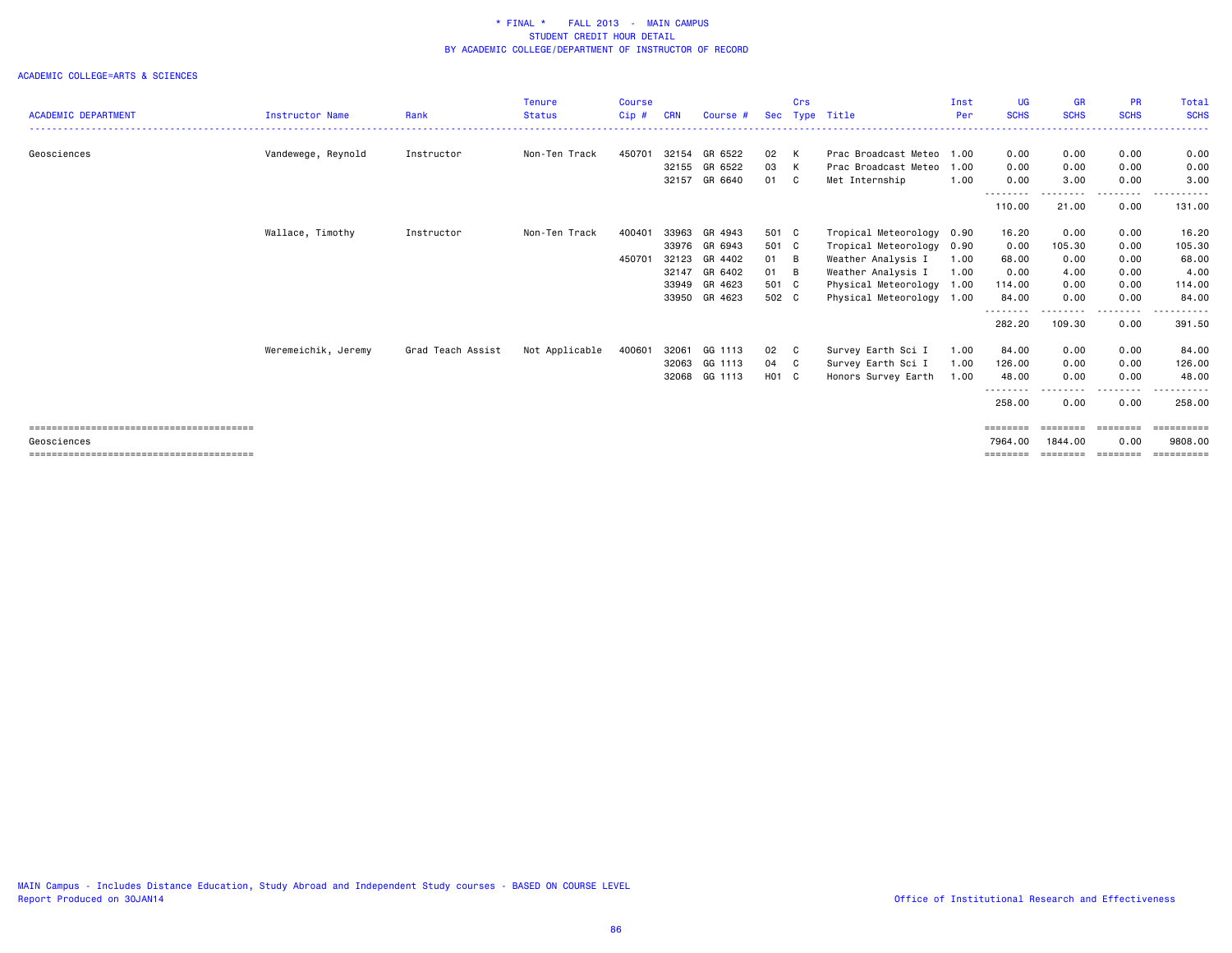|                            |                        |                   | <b>Tenure</b>  | <b>Course</b> |            |               |       | Crs |                           | Inst | UG                  | <b>GR</b>            | <b>PR</b>   | <b>Total</b>       |
|----------------------------|------------------------|-------------------|----------------|---------------|------------|---------------|-------|-----|---------------------------|------|---------------------|----------------------|-------------|--------------------|
| <b>ACADEMIC DEPARTMENT</b> | <b>Instructor Name</b> | Rank              | <b>Status</b>  | Cip#          | <b>CRN</b> | Course #      | Sec   |     | Type Title                | Per  | <b>SCHS</b>         | <b>SCHS</b>          | <b>SCHS</b> | <b>SCHS</b>        |
| Geosciences                | Vandewege, Reynold     | Instructor        | Non-Ten Track  | 450701        | 32154      | GR 6522       | 02 K  |     | Prac Broadcast Meteo      | 1.00 | 0.00                | 0.00                 | 0.00        | 0.00               |
|                            |                        |                   |                |               | 32155      | GR 6522       | 03 K  |     | Prac Broadcast Meteo      | 1.00 | 0.00                | 0.00                 | 0.00        | 0.00               |
|                            |                        |                   |                |               | 32157      | GR 6640       | 01    | - C | Met Internship            | 1.00 | 0.00<br>---------   | 3.00<br>---------    | 0.00<br>.   | 3.00<br>---------- |
|                            |                        |                   |                |               |            |               |       |     |                           |      | 110.00              | 21.00                | 0.00        | 131.00             |
|                            | Wallace, Timothy       | Instructor        | Non-Ten Track  | 400401        | 33963      | GR 4943       | 501 C |     | Tropical Meteorology 0.90 |      | 16.20               | 0.00                 | 0.00        | 16.20              |
|                            |                        |                   |                |               |            | 33976 GR 6943 | 501 C |     | Tropical Meteorology 0.90 |      | 0.00                | 105.30               | 0.00        | 105.30             |
|                            |                        |                   |                | 450701        | 32123      | GR 4402       | 01 B  |     | Weather Analysis I        | 1.00 | 68.00               | 0.00                 | 0.00        | 68.00              |
|                            |                        |                   |                |               | 32147      | GR 6402       | 01 B  |     | Weather Analysis I        | 1.00 | 0.00                | 4.00                 | 0.00        | 4.00               |
|                            |                        |                   |                |               | 33949      | GR 4623       | 501 C |     | Physical Meteorology 1.00 |      | 114.00              | 0.00                 | 0.00        | 114.00             |
|                            |                        |                   |                |               | 33950      | GR 4623       | 502 C |     | Physical Meteorology 1.00 |      | 84.00               | 0.00                 | 0.00        | 84.00              |
|                            |                        |                   |                |               |            |               |       |     |                           |      | --------<br>282.20  | 109.30               | 0.00        | 391.50             |
|                            | Weremeichik, Jeremy    | Grad Teach Assist | Not Applicable | 400601        | 32061      | GG 1113       | 02    | - C | Survey Earth Sci I        | 1.00 | 84.00               | 0.00                 | 0.00        | 84.00              |
|                            |                        |                   |                |               | 32063      | GG 1113       | 04 C  |     | Survey Earth Sci I        | 1.00 | 126.00              | 0.00                 | 0.00        | 126.00             |
|                            |                        |                   |                |               |            | 32068 GG 1113 | H01 C |     | Honors Survey Earth       | 1.00 | 48.00               | 0.00                 | 0.00        | 48.00              |
|                            |                        |                   |                |               |            |               |       |     |                           |      | ---------<br>258.00 | . <b>.</b> .<br>0.00 | .<br>0.00   | 258.00             |
|                            |                        |                   |                |               |            |               |       |     |                           |      | ========            | ========             | ========    | ==========         |
| Geosciences                |                        |                   |                |               |            |               |       |     |                           |      | 7964.00             | 1844.00              | 0.00        | 9808.00            |
|                            |                        |                   |                |               |            |               |       |     |                           |      | ========            | ========             | ========    | ==========         |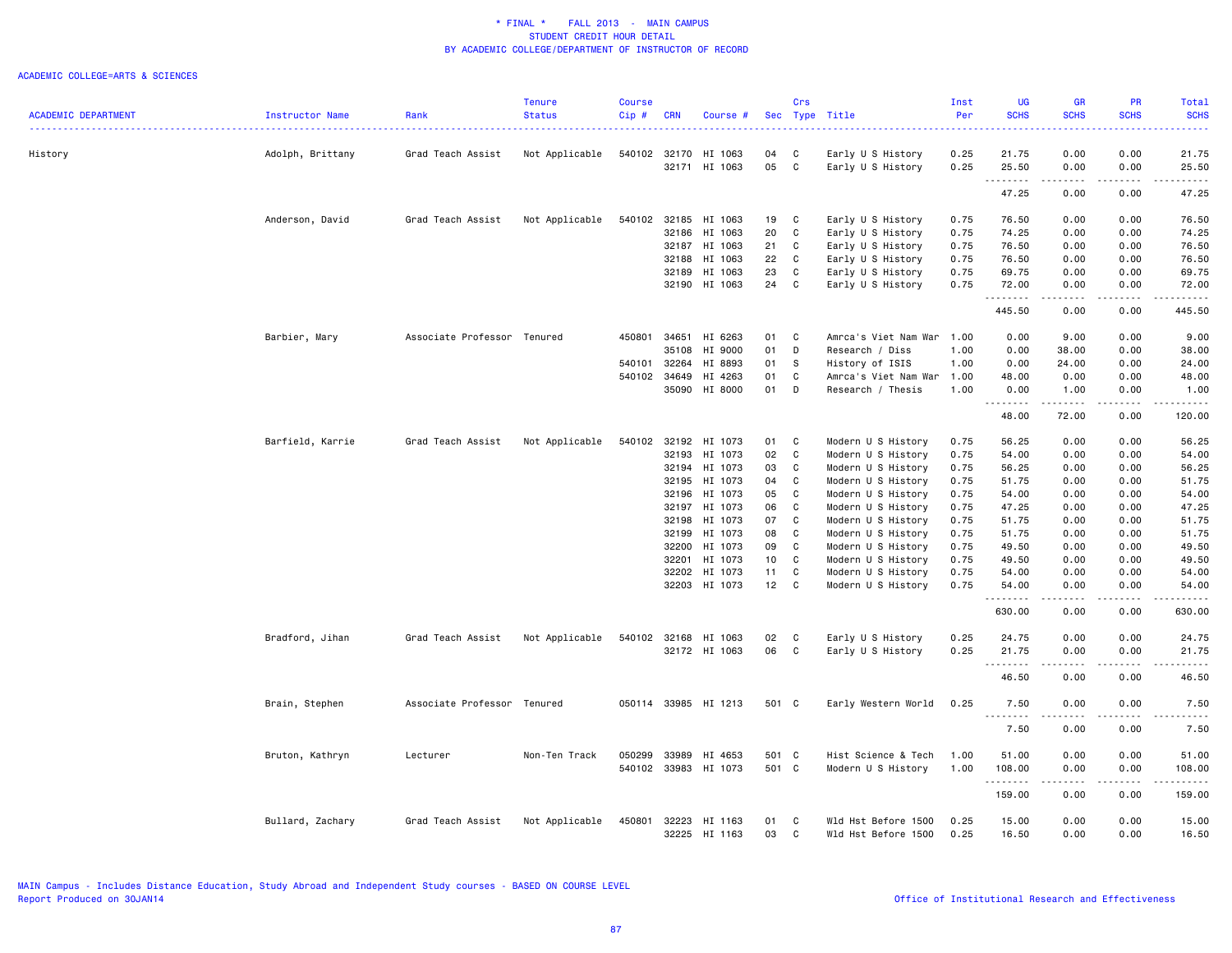|                            |                  |                             | <b>Tenure</b>  | <b>Course</b> |            |                                |          | Crs          |                                        | Inst         | UG             | <b>GR</b>                   | PR           | Total                                                                                                                                                |
|----------------------------|------------------|-----------------------------|----------------|---------------|------------|--------------------------------|----------|--------------|----------------------------------------|--------------|----------------|-----------------------------|--------------|------------------------------------------------------------------------------------------------------------------------------------------------------|
| <b>ACADEMIC DEPARTMENT</b> | Instructor Name  | Rank                        | <b>Status</b>  | Cip#          | <b>CRN</b> | Course #                       |          |              | Sec Type Title                         | Per          | <b>SCHS</b>    | <b>SCHS</b>                 | <b>SCHS</b>  | <b>SCHS</b>                                                                                                                                          |
|                            |                  |                             |                |               |            |                                |          |              |                                        |              |                |                             |              |                                                                                                                                                      |
| History                    | Adolph, Brittany | Grad Teach Assist           | Not Applicable | 540102        |            | 32170 HI 1063<br>32171 HI 1063 | 04<br>05 | C<br>C       | Early U S History<br>Early U S History | 0.25<br>0.25 | 21.75<br>25.50 | 0.00<br>0.00                | 0.00<br>0.00 | 21.75<br>25.50                                                                                                                                       |
|                            |                  |                             |                |               |            |                                |          |              |                                        |              | .<br>47.25     | .<br>0.00                   | .<br>0.00    | .<br>47.25                                                                                                                                           |
|                            | Anderson, David  | Grad Teach Assist           | Not Applicable |               |            | 540102 32185 HI 1063           | 19       | C            | Early U S History                      | 0.75         | 76.50          | 0.00                        | 0.00         | 76.50                                                                                                                                                |
|                            |                  |                             |                |               |            |                                |          |              |                                        |              |                |                             |              |                                                                                                                                                      |
|                            |                  |                             |                |               |            | 32186 HI 1063                  | 20       | C            | Early U S History                      | 0.75         | 74.25          | 0.00                        | 0.00         | 74.25                                                                                                                                                |
|                            |                  |                             |                |               |            | 32187 HI 1063                  | 21       | C            | Early U S History                      | 0.75         | 76.50          | 0.00                        | 0.00         | 76.50                                                                                                                                                |
|                            |                  |                             |                |               | 32188      | HI 1063                        | 22       | C            | Early U S History                      | 0.75         | 76.50          | 0.00                        | 0.00         | 76.50                                                                                                                                                |
|                            |                  |                             |                |               | 32189      | HI 1063                        | 23       | C            | Early U S History                      | 0.75         | 69.75          | 0.00                        | 0.00         | 69.75                                                                                                                                                |
|                            |                  |                             |                |               |            | 32190 HI 1063                  | 24 C     |              | Early U S History                      | 0.75         | 72.00<br>.     | 0.00<br>.                   | 0.00<br>.    | 72.00<br>.                                                                                                                                           |
|                            |                  |                             |                |               |            |                                |          |              |                                        |              | 445.50         | 0.00                        | 0.00         | 445.50                                                                                                                                               |
|                            | Barbier, Mary    | Associate Professor Tenured |                | 450801 34651  |            | HI 6263                        | 01       | C            | Amrca's Viet Nam War                   | 1.00         | 0.00           | 9.00                        | 0.00         | 9.00                                                                                                                                                 |
|                            |                  |                             |                |               | 35108      | HI 9000                        | 01       | D            | Research / Diss                        | 1.00         | 0.00           | 38.00                       | 0.00         | 38.00                                                                                                                                                |
|                            |                  |                             |                | 540101        | 32264      | HI 8893                        | 01       | - S          | History of ISIS                        | 1.00         | 0.00           | 24.00                       | 0.00         | 24.00                                                                                                                                                |
|                            |                  |                             |                | 540102        | 34649      | HI 4263                        | 01       | C            | Amrca's Viet Nam War                   | 1.00         | 48.00          | 0.00                        | 0.00         | 48.00                                                                                                                                                |
|                            |                  |                             |                |               |            | 35090 HI 8000                  | 01       | D            | Research / Thesis                      | 1.00         | 0.00<br>.      | 1.00<br>------              | 0.00<br>.    | 1.00<br>$- - - - -$                                                                                                                                  |
|                            |                  |                             |                |               |            |                                |          |              |                                        |              | 48.00          | 72.00                       | 0.00         | 120.00                                                                                                                                               |
|                            | Barfield, Karrie | Grad Teach Assist           | Not Applicable | 540102        |            | 32192 HI 1073                  | 01       | C            | Modern U S History                     | 0.75         | 56.25          | 0.00                        | 0.00         | 56.25                                                                                                                                                |
|                            |                  |                             |                |               | 32193      | HI 1073                        | 02       | C            | Modern U S History                     | 0.75         | 54.00          | 0.00                        | 0.00         | 54.00                                                                                                                                                |
|                            |                  |                             |                |               | 32194      | HI 1073                        | 03       | C            | Modern U S History                     | 0.75         | 56.25          | 0.00                        | 0.00         | 56.25                                                                                                                                                |
|                            |                  |                             |                |               | 32195      | HI 1073                        | 04       | C            | Modern U S History                     | 0.75         | 51.75          | 0.00                        | 0.00         | 51.75                                                                                                                                                |
|                            |                  |                             |                |               | 32196      | HI 1073                        | 05       | C            | Modern U S History                     | 0.75         | 54.00          | 0.00                        | 0.00         | 54.00                                                                                                                                                |
|                            |                  |                             |                |               | 32197      | HI 1073                        | 06       | C            | Modern U S History                     | 0.75         | 47.25          | 0.00                        | 0.00         | 47.25                                                                                                                                                |
|                            |                  |                             |                |               | 32198      | HI 1073                        | 07       | C            | Modern U S History                     | 0.75         | 51.75          | 0.00                        | 0.00         | 51.75                                                                                                                                                |
|                            |                  |                             |                |               | 32199      | HI 1073                        | 08       | C            | Modern U S History                     | 0.75         | 51.75          | 0.00                        | 0.00         | 51.75                                                                                                                                                |
|                            |                  |                             |                |               |            |                                |          |              |                                        |              |                |                             |              |                                                                                                                                                      |
|                            |                  |                             |                |               | 32200      | HI 1073                        | 09       | C            | Modern U S History                     | 0.75         | 49.50          | 0.00                        | 0.00         | 49.50                                                                                                                                                |
|                            |                  |                             |                |               | 32201      | HI 1073                        | 10       | C            | Modern U S History                     | 0.75         | 49.50          | 0.00                        | 0.00         | 49.50                                                                                                                                                |
|                            |                  |                             |                |               | 32202      | HI 1073                        | 11       | C            | Modern U S History                     | 0.75         | 54.00          | 0.00                        | 0.00         | 54.00                                                                                                                                                |
|                            |                  |                             |                |               |            | 32203 HI 1073                  | 12       | $\mathbf{C}$ | Modern U S History                     | 0.75         | 54.00<br>.     | 0.00<br>.                   | 0.00<br>.    | 54.00<br>.                                                                                                                                           |
|                            |                  |                             |                |               |            |                                |          |              |                                        |              | 630.00         | 0.00                        | 0.00         | 630.00                                                                                                                                               |
|                            | Bradford, Jihan  | Grad Teach Assist           | Not Applicable | 540102        |            | 32168 HI 1063                  | 02       | C            | Early U S History                      | 0.25         | 24.75          | 0.00                        | 0.00         | 24.75                                                                                                                                                |
|                            |                  |                             |                |               |            | 32172 HI 1063                  | 06       | C            | Early U S History                      | 0.25         | 21.75          | 0.00                        | 0.00         | 21.75                                                                                                                                                |
|                            |                  |                             |                |               |            |                                |          |              |                                        |              | .              | $\omega = \omega/\omega$    | .            | .                                                                                                                                                    |
|                            |                  |                             |                |               |            |                                |          |              |                                        |              | 46.50          | 0.00                        | 0.00         | 46.50                                                                                                                                                |
|                            | Brain, Stephen   | Associate Professor         | Tenured        |               |            | 050114 33985 HI 1213           | 501 C    |              | Early Western World                    | 0.25         | 7.50           | 0.00                        | 0.00         | 7.50                                                                                                                                                 |
|                            |                  |                             |                |               |            |                                |          |              |                                        |              | 7.50           | 0.00                        | 0.00         | 7.50                                                                                                                                                 |
|                            | Bruton, Kathryn  | Lecturer                    | Non-Ten Track  | 050299        | 33989      | HI 4653                        | 501 C    |              | Hist Science & Tech                    | 1.00         | 51.00          | 0.00                        | 0.00         | 51.00                                                                                                                                                |
|                            |                  |                             |                |               |            | 540102 33983 HI 1073           | 501 C    |              | Modern U S History                     | 1.00         | 108.00         | 0.00                        | 0.00         | 108.00                                                                                                                                               |
|                            |                  |                             |                |               |            |                                |          |              |                                        |              | .              | $\sim$ $\sim$ $\sim$ $\sim$ | .            | $\frac{1}{2} \left( \frac{1}{2} \right) \left( \frac{1}{2} \right) \left( \frac{1}{2} \right) \left( \frac{1}{2} \right) \left( \frac{1}{2} \right)$ |
|                            |                  |                             |                |               |            |                                |          |              |                                        |              | 159.00         | 0.00                        | 0.00         | 159.00                                                                                                                                               |
|                            |                  |                             |                |               |            |                                |          |              |                                        |              |                |                             |              |                                                                                                                                                      |
|                            | Bullard, Zachary | Grad Teach Assist           | Not Applicable | 450801        | 32223      | HI 1163                        | 01       | C            | Wld Hst Before 1500                    | 0.25         | 15.00          | 0.00                        | 0.00         | 15.00                                                                                                                                                |
|                            |                  |                             |                |               |            | 32225 HI 1163                  | 03       | C            | Wld Hst Before 1500                    | 0.25         | 16.50          | 0.00                        | 0.00         | 16.50                                                                                                                                                |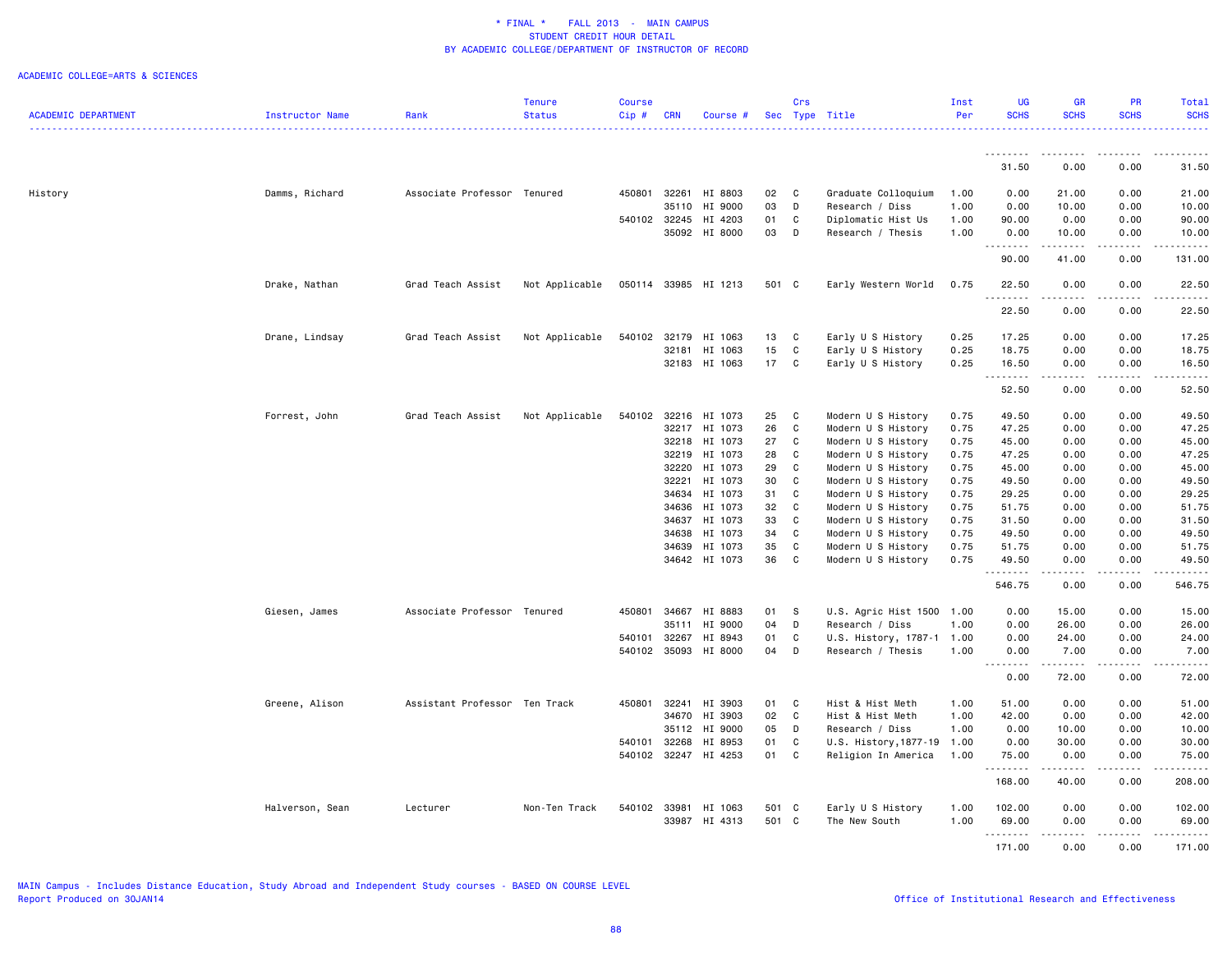|                            |                 |                               | <b>Tenure</b>  | <b>Course</b> |              |                      |       | Crs            |                           | Inst | <b>UG</b>   | <b>GR</b>   | <b>PR</b>                    | Total             |
|----------------------------|-----------------|-------------------------------|----------------|---------------|--------------|----------------------|-------|----------------|---------------------------|------|-------------|-------------|------------------------------|-------------------|
| <b>ACADEMIC DEPARTMENT</b> | Instructor Name | Rank                          | <b>Status</b>  | Cip#          | <b>CRN</b>   | Course #             |       |                | Sec Type Title            | Per  | <b>SCHS</b> | <b>SCHS</b> | <b>SCHS</b>                  | <b>SCHS</b><br>.  |
|                            |                 |                               |                |               |              |                      |       |                |                           |      | .           | .           |                              |                   |
|                            |                 |                               |                |               |              |                      |       |                |                           |      | 31.50       | 0.00        | 0.00                         | 31.50             |
| History                    | Damms, Richard  | Associate Professor Tenured   |                |               |              | 450801 32261 HI 8803 | 02    | $\overline{C}$ | Graduate Colloquium       | 1.00 | 0.00        | 21.00       | 0.00                         | 21.00             |
|                            |                 |                               |                |               | 35110        | HI 9000              | 03    | D              | Research / Diss           | 1.00 | 0.00        | 10.00       | 0.00                         | 10.00             |
|                            |                 |                               |                |               | 540102 32245 | HI 4203              | 01    | C              | Diplomatic Hist Us        | 1.00 | 90.00       | 0.00        | 0.00                         | 90.00             |
|                            |                 |                               |                |               |              | 35092 HI 8000        | 03    | D              | Research / Thesis         | 1.00 | 0.00<br>.   | 10.00<br>.  | 0.00<br>$- - - - -$          | 10.00<br>------   |
|                            |                 |                               |                |               |              |                      |       |                |                           |      | 90.00       | 41.00       | 0.00                         | 131.00            |
|                            | Drake, Nathan   | Grad Teach Assist             | Not Applicable |               |              | 050114 33985 HI 1213 | 501 C |                | Early Western World       | 0.75 | 22.50<br>.  | 0.00<br>.   | 0.00<br>$\omega$ is a set of | 22.50<br>.        |
|                            |                 |                               |                |               |              |                      |       |                |                           |      | 22.50       | 0.00        | 0.00                         | 22.50             |
|                            | Drane, Lindsay  | Grad Teach Assist             | Not Applicable | 540102        | 32179        | HI 1063              | 13    | C              | Early U S History         | 0.25 | 17.25       | 0.00        | 0.00                         | 17.25             |
|                            |                 |                               |                |               |              | 32181 HI 1063        | 15    | $\mathbf c$    | Early U S History         | 0.25 | 18.75       | 0.00        | 0.00                         | 18.75             |
|                            |                 |                               |                |               |              | 32183 HI 1063        | 17    | C              | Early U S History         | 0.25 | 16.50<br>.  | 0.00<br>.   | 0.00<br>.                    | 16.50             |
|                            |                 |                               |                |               |              |                      |       |                |                           |      | 52.50       | 0.00        | 0.00                         | .<br>52.50        |
|                            | Forrest, John   | Grad Teach Assist             | Not Applicable |               |              | 540102 32216 HI 1073 | 25    | $\mathbf{C}$   | Modern U S History        | 0.75 | 49.50       | 0.00        | 0.00                         | 49.50             |
|                            |                 |                               |                |               | 32217        | HI 1073              | 26    | C              | Modern U S History        | 0.75 | 47.25       | 0.00        | 0.00                         | 47.25             |
|                            |                 |                               |                |               | 32218        | HI 1073              | 27    | C              | Modern U S History        | 0.75 | 45.00       | 0.00        | 0.00                         | 45.00             |
|                            |                 |                               |                |               | 32219        | HI 1073              | 28    | C              | Modern U S History        | 0.75 | 47.25       | 0.00        | 0.00                         | 47.25             |
|                            |                 |                               |                |               | 32220        | HI 1073              | 29    | C              | Modern U S History        | 0.75 | 45.00       | 0.00        | 0.00                         | 45.00             |
|                            |                 |                               |                |               | 32221        | HI 1073              | 30    | C              | Modern U S History        | 0.75 | 49.50       | 0.00        | 0.00                         | 49.50             |
|                            |                 |                               |                |               | 34634        | HI 1073              | 31    | C              | Modern U S History        | 0.75 | 29.25       | 0.00        | 0.00                         | 29.25             |
|                            |                 |                               |                |               | 34636        | HI 1073              | 32    | $\mathbf c$    | Modern U S History        | 0.75 | 51.75       | 0.00        | 0.00                         | 51.75             |
|                            |                 |                               |                |               | 34637        | HI 1073              | 33    | C              | Modern U S History        | 0.75 | 31.50       | 0.00        | 0.00                         | 31.50             |
|                            |                 |                               |                |               | 34638        | HI 1073              | 34    | C              | Modern U S History        | 0.75 | 49.50       | 0.00        | 0.00                         | 49.50             |
|                            |                 |                               |                |               | 34639        | HI 1073              | 35    | $\mathbf c$    | Modern U S History        | 0.75 | 51.75       | 0.00        | 0.00                         | 51.75             |
|                            |                 |                               |                |               |              | 34642 HI 1073        | 36    | C              | Modern U S History        | 0.75 | 49.50<br>.  | 0.00<br>.   | 0.00<br>.                    | 49.50<br>.        |
|                            |                 |                               |                |               |              |                      |       |                |                           |      | 546.75      | 0.00        | 0.00                         | 546.75            |
|                            | Giesen, James   | Associate Professor Tenured   |                | 450801        | 34667        | HI 8883              | 01    | - S            | U.S. Agric Hist 1500 1.00 |      | 0.00        | 15.00       | 0.00                         | 15.00             |
|                            |                 |                               |                |               | 35111        | HI 9000              | 04    | D              | Research / Diss           | 1.00 | 0.00        | 26.00       | 0.00                         | 26.00             |
|                            |                 |                               |                | 540101        | 32267        | HI 8943              | 01    | $\mathbf c$    | U.S. History, 1787-1 1.00 |      | 0.00        | 24.00       | 0.00                         | 24.00             |
|                            |                 |                               |                | 540102        | 35093        | HI 8000              | 04    | D              | Research / Thesis         | 1.00 | 0.00<br>.   | 7.00        | 0.00                         | 7.00<br>المتمامين |
|                            |                 |                               |                |               |              |                      |       |                |                           |      | 0.00        | 72.00       | 0.00                         | 72.00             |
|                            | Greene, Alison  | Assistant Professor Ten Track |                | 450801        | 32241        | HI 3903              | 01    | C              | Hist & Hist Meth          | 1.00 | 51.00       | 0.00        | 0.00                         | 51.00             |
|                            |                 |                               |                |               | 34670        | HI 3903              | 02    | $\mathbf c$    | Hist & Hist Meth          | 1.00 | 42.00       | 0.00        | 0.00                         | 42.00             |
|                            |                 |                               |                |               | 35112        | HI 9000              | 05    | D              | Research / Diss           | 1.00 | 0.00        | 10.00       | 0.00                         | 10.00             |
|                            |                 |                               |                | 540101        | 32268        | HI 8953              | 01    | C              | U.S. History, 1877-19     | 1.00 | 0.00        | 30.00       | 0.00                         | 30.00             |
|                            |                 |                               |                |               |              | 540102 32247 HI 4253 | 01    | C              | Religion In America       | 1.00 | 75.00<br>.  | 0.00        | 0.00<br>.                    | 75.00<br>.        |
|                            |                 |                               |                |               |              |                      |       |                |                           |      | 168.00      | 40.00       | 0.00                         | 208.00            |
|                            | Halverson, Sean | Lecturer                      | Non-Ten Track  |               |              | 540102 33981 HI 1063 | 501 C |                | Early U S History         | 1.00 | 102.00      | 0.00        | 0.00                         | 102.00            |
|                            |                 |                               |                |               |              | 33987 HI 4313        | 501 C |                | The New South             | 1.00 | 69.00       | 0.00        | 0.00                         | 69.00             |
|                            |                 |                               |                |               |              |                      |       |                |                           |      | .           | .           | <b>.</b>                     | .                 |
|                            |                 |                               |                |               |              |                      |       |                |                           |      | 171.00      | 0.00        | 0.00                         | 171.00            |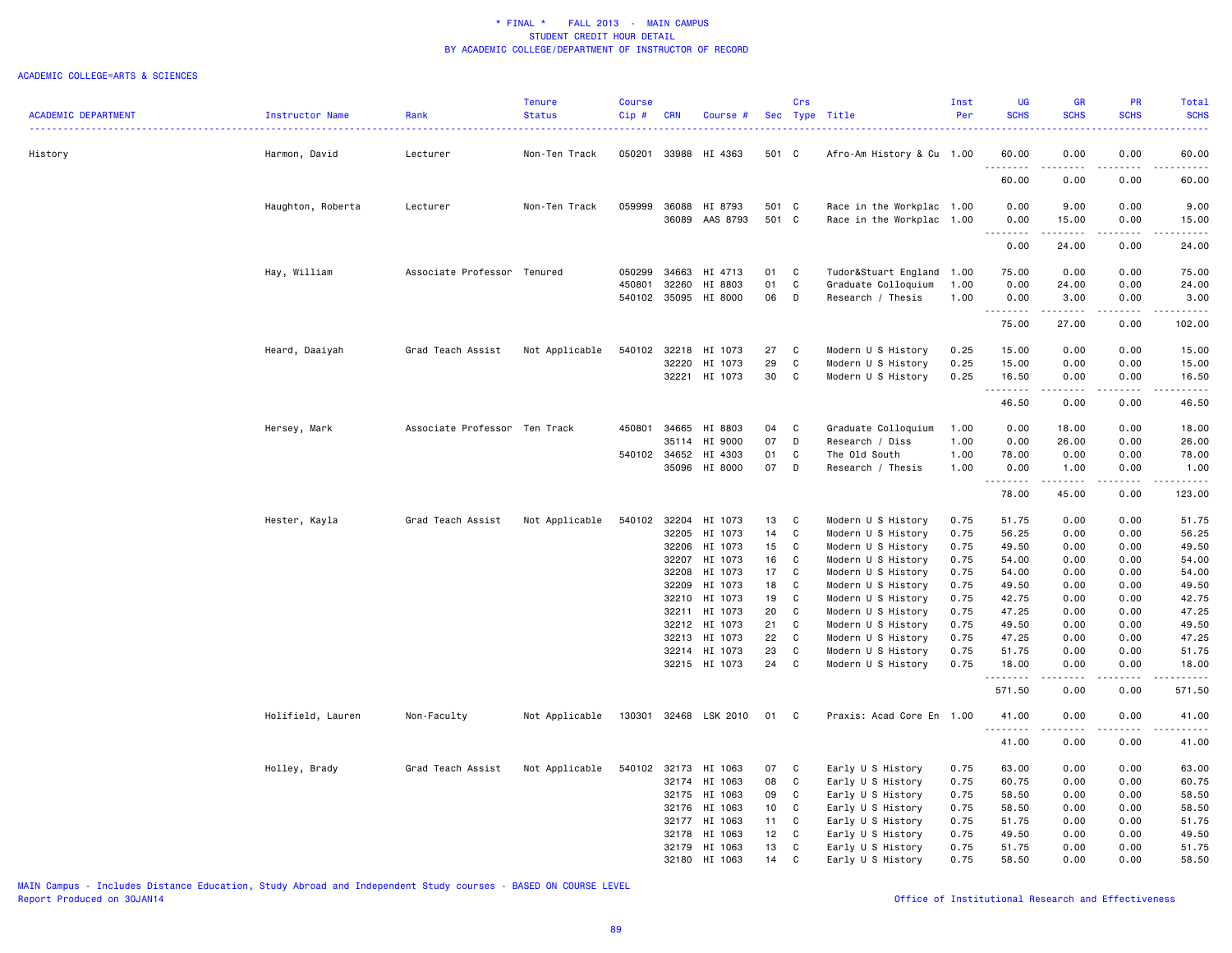#### ACADEMIC COLLEGE=ARTS & SCIENCES

|                            |                   |                               | <b>Tenure</b>  | <b>Course</b> |                |                       |                 | Crs              |                                          | Inst         | UG                            | <b>GR</b>                                                                                                                                                    | <b>PR</b>                           | Total                                                                                                                              |
|----------------------------|-------------------|-------------------------------|----------------|---------------|----------------|-----------------------|-----------------|------------------|------------------------------------------|--------------|-------------------------------|--------------------------------------------------------------------------------------------------------------------------------------------------------------|-------------------------------------|------------------------------------------------------------------------------------------------------------------------------------|
| <b>ACADEMIC DEPARTMENT</b> | Instructor Name   | Rank                          | <b>Status</b>  | Cip#          | <b>CRN</b>     | Course #              |                 |                  | Sec Type Title                           | Per          | <b>SCHS</b>                   | <b>SCHS</b>                                                                                                                                                  | <b>SCHS</b>                         | <b>SCHS</b>                                                                                                                        |
| History                    | Harmon, David     | Lecturer                      | Non-Ten Track  | 050201        |                | 33988 HI 4363         | 501 C           |                  | Afro-Am History & Cu 1.00                |              | 60.00                         | 0.00                                                                                                                                                         | 0.00                                | 60.00                                                                                                                              |
|                            |                   |                               |                |               |                |                       |                 |                  |                                          |              | .<br>60.00                    | د د د د<br>0.00                                                                                                                                              | $\sim$ $\sim$ $\sim$ $\sim$<br>0.00 | $\frac{1}{2} \left( \frac{1}{2} \right) \left( \frac{1}{2} \right) \left( \frac{1}{2} \right) \left( \frac{1}{2} \right)$<br>60.00 |
|                            | Haughton, Roberta | Lecturer                      | Non-Ten Track  | 059999        | 36088          | HI 8793               | 501 C           |                  | Race in the Workplac 1.00                |              | 0.00                          | 9.00                                                                                                                                                         | 0.00                                | 9.00                                                                                                                               |
|                            |                   |                               |                |               | 36089          | AAS 8793              | 501 C           |                  | Race in the Workplac 1.00                |              | 0.00<br>.                     | 15.00                                                                                                                                                        | 0.00                                | 15.00                                                                                                                              |
|                            |                   |                               |                |               |                |                       |                 |                  |                                          |              | 0.00                          | 24.00                                                                                                                                                        | 0.00                                | 24.00                                                                                                                              |
|                            | Hay, William      | Associate Professor Tenured   |                | 050299        | 34663          | HI 4713               | 01              | C                | Tudor&Stuart England                     | 1.00         | 75.00                         | 0.00                                                                                                                                                         | 0.00                                | 75.00                                                                                                                              |
|                            |                   |                               |                | 450801        | 32260          | HI 8803               | 01              | C                | Graduate Colloquium                      | 1.00         | 0.00                          | 24.00                                                                                                                                                        | 0.00                                | 24.00                                                                                                                              |
|                            |                   |                               |                | 540102 35095  |                | HI 8000               | 06              | D                | Research / Thesis                        | 1.00         | 0.00                          | 3.00<br>.                                                                                                                                                    | 0.00<br>.                           | 3.00<br>.                                                                                                                          |
|                            |                   |                               |                |               |                |                       |                 |                  |                                          |              | 75.00                         | 27.00                                                                                                                                                        | 0.00                                | 102.00                                                                                                                             |
|                            | Heard, Daaiyah    | Grad Teach Assist             | Not Applicable | 540102        | 32218          | HI 1073               | 27              | C                | Modern U S History                       | 0.25         | 15.00                         | 0.00                                                                                                                                                         | 0.00                                | 15.00                                                                                                                              |
|                            |                   |                               |                |               | 32220          | HI 1073               | 29              | C                | Modern U S History                       | 0.25         | 15.00                         | 0.00                                                                                                                                                         | 0.00                                | 15.00                                                                                                                              |
|                            |                   |                               |                |               |                | 32221 HI 1073         | 30              | C                | Modern U S History                       | 0.25         | 16.50<br><u>.</u>             | 0.00<br>$\frac{1}{2} \left( \frac{1}{2} \right) \left( \frac{1}{2} \right) \left( \frac{1}{2} \right) \left( \frac{1}{2} \right) \left( \frac{1}{2} \right)$ | 0.00<br>.                           | 16.50<br>.                                                                                                                         |
|                            |                   |                               |                |               |                |                       |                 |                  |                                          |              | 46.50                         | 0.00                                                                                                                                                         | 0.00                                | 46.50                                                                                                                              |
|                            | Hersey, Mark      | Associate Professor Ten Track |                | 450801        | 34665          | HI 8803               | 04              | C                | Graduate Colloquium                      | 1.00         | 0.00                          | 18.00                                                                                                                                                        | 0.00                                | 18.00                                                                                                                              |
|                            |                   |                               |                |               | 35114          | HI 9000               | 07              | D                | Research / Diss                          | 1.00         | 0.00                          | 26.00                                                                                                                                                        | 0.00                                | 26.00                                                                                                                              |
|                            |                   |                               |                | 540102        | 34652          | HI 4303               | 01              | C                | The Old South                            | 1.00         | 78.00                         | 0.00                                                                                                                                                         | 0.00                                | 78.00                                                                                                                              |
|                            |                   |                               |                |               |                | 35096 HI 8000         | 07              | D                | Research / Thesis                        | 1.00         | 0.00<br><u> - - - - - - -</u> | 1.00<br>$\frac{1}{2} \left( \frac{1}{2} \right) \left( \frac{1}{2} \right) \left( \frac{1}{2} \right) \left( \frac{1}{2} \right) \left( \frac{1}{2} \right)$ | 0.00<br>.                           | 1.00<br>.                                                                                                                          |
|                            |                   |                               |                |               |                |                       |                 |                  |                                          |              | 78.00                         | 45.00                                                                                                                                                        | 0.00                                | 123.00                                                                                                                             |
|                            | Hester, Kayla     | Grad Teach Assist             | Not Applicable | 540102        | 32204          | HI 1073               | 13              | C                | Modern U S History                       | 0.75         | 51.75                         | 0.00                                                                                                                                                         | 0.00                                | 51.75                                                                                                                              |
|                            |                   |                               |                |               | 32205          | HI 1073               | 14              | C                | Modern U S History                       | 0.75         | 56.25                         | 0.00                                                                                                                                                         | 0.00                                | 56.25                                                                                                                              |
|                            |                   |                               |                |               | 32206          | HI 1073               | 15              | C                | Modern U S History                       | 0.75         | 49.50                         | 0.00                                                                                                                                                         | 0.00                                | 49.50                                                                                                                              |
|                            |                   |                               |                |               | 32207          | HI 1073               | 16              | C                | Modern U S History                       | 0.75         | 54.00                         | 0.00                                                                                                                                                         | 0.00                                | 54.00                                                                                                                              |
|                            |                   |                               |                |               | 32208          | HI 1073               | 17              | C                | Modern U S History                       | 0.75         | 54.00                         | 0.00                                                                                                                                                         | 0.00                                | 54.00                                                                                                                              |
|                            |                   |                               |                |               | 32209          | HI 1073               | 18              | C                | Modern U S History                       | 0.75         | 49.50                         | 0.00                                                                                                                                                         | 0.00                                | 49.50                                                                                                                              |
|                            |                   |                               |                |               | 32210          | HI 1073               | 19              | C                | Modern U S History                       | 0.75         | 42.75                         | 0.00                                                                                                                                                         | 0.00                                | 42.75                                                                                                                              |
|                            |                   |                               |                |               |                | 32211 HI 1073         | 20              | C                | Modern U S History                       | 0.75         | 47.25                         | 0.00                                                                                                                                                         | 0.00                                | 47.25                                                                                                                              |
|                            |                   |                               |                |               | 32212          | HI 1073<br>HI 1073    | 21<br>22        | C<br>$\mathbf c$ | Modern U S History                       | 0.75<br>0.75 | 49.50<br>47.25                | 0.00<br>0.00                                                                                                                                                 | 0.00<br>0.00                        | 49.50<br>47.25                                                                                                                     |
|                            |                   |                               |                |               | 32213<br>32214 | HI 1073               | 23              | C                | Modern U S History<br>Modern U S History | 0.75         | 51.75                         | 0.00                                                                                                                                                         | 0.00                                | 51.75                                                                                                                              |
|                            |                   |                               |                |               |                | 32215 HI 1073         | 24              | C                | Modern U S History                       | 0.75         | 18.00                         | 0.00                                                                                                                                                         | 0.00                                | 18.00                                                                                                                              |
|                            |                   |                               |                |               |                |                       |                 |                  |                                          |              | 571.50                        | 0.00                                                                                                                                                         | 0.00                                | .<br>571.50                                                                                                                        |
|                            | Holifield, Lauren | Non-Faculty                   | Not Applicable |               |                | 130301 32468 LSK 2010 | 01              | C.               | Praxis: Acad Core En                     | 1.00         | 41.00                         | 0.00                                                                                                                                                         | 0.00                                | 41.00                                                                                                                              |
|                            |                   |                               |                |               |                |                       |                 |                  |                                          |              | <u>.</u><br>41.00             | 0.00                                                                                                                                                         | 0.00                                | .<br>41.00                                                                                                                         |
|                            | Holley, Brady     | Grad Teach Assist             | Not Applicable |               |                | 540102 32173 HI 1063  | 07              | C                | Early U S History                        | 0.75         | 63.00                         | 0.00                                                                                                                                                         | 0.00                                | 63.00                                                                                                                              |
|                            |                   |                               |                |               |                | 32174 HI 1063         | 08              | $\mathbf c$      | Early U S History                        | 0.75         | 60.75                         | 0.00                                                                                                                                                         | 0.00                                | 60.75                                                                                                                              |
|                            |                   |                               |                |               | 32175          | HI 1063               | 09              | C                | Early U S History                        | 0.75         | 58.50                         | 0.00                                                                                                                                                         | 0.00                                | 58.50                                                                                                                              |
|                            |                   |                               |                |               | 32176          | HI 1063               | 10 <sub>1</sub> | $\mathbf{C}$     | Early U S History                        | 0.75         | 58.50                         | 0.00                                                                                                                                                         | 0.00                                | 58.50                                                                                                                              |
|                            |                   |                               |                |               | 32177          | HI 1063               | 11              | C                | Early U S History                        | 0.75         | 51.75                         | 0.00                                                                                                                                                         | 0.00                                | 51.75                                                                                                                              |
|                            |                   |                               |                |               | 32178          | HI 1063               | 12              | C                | Early U S History                        | 0.75         | 49.50                         | 0.00                                                                                                                                                         | 0.00                                | 49.50                                                                                                                              |
|                            |                   |                               |                |               | 32179          | HI 1063               | 13              | C                | Early U S History                        | 0.75         | 51.75                         | 0.00                                                                                                                                                         | 0.00                                | 51.75                                                                                                                              |
|                            |                   |                               |                |               |                | 32180 HI 1063         | 14              | $\mathbb{C}$     | Early U S History                        | 0.75         | 58.50                         | 0.00                                                                                                                                                         | 0.00                                | 58.50                                                                                                                              |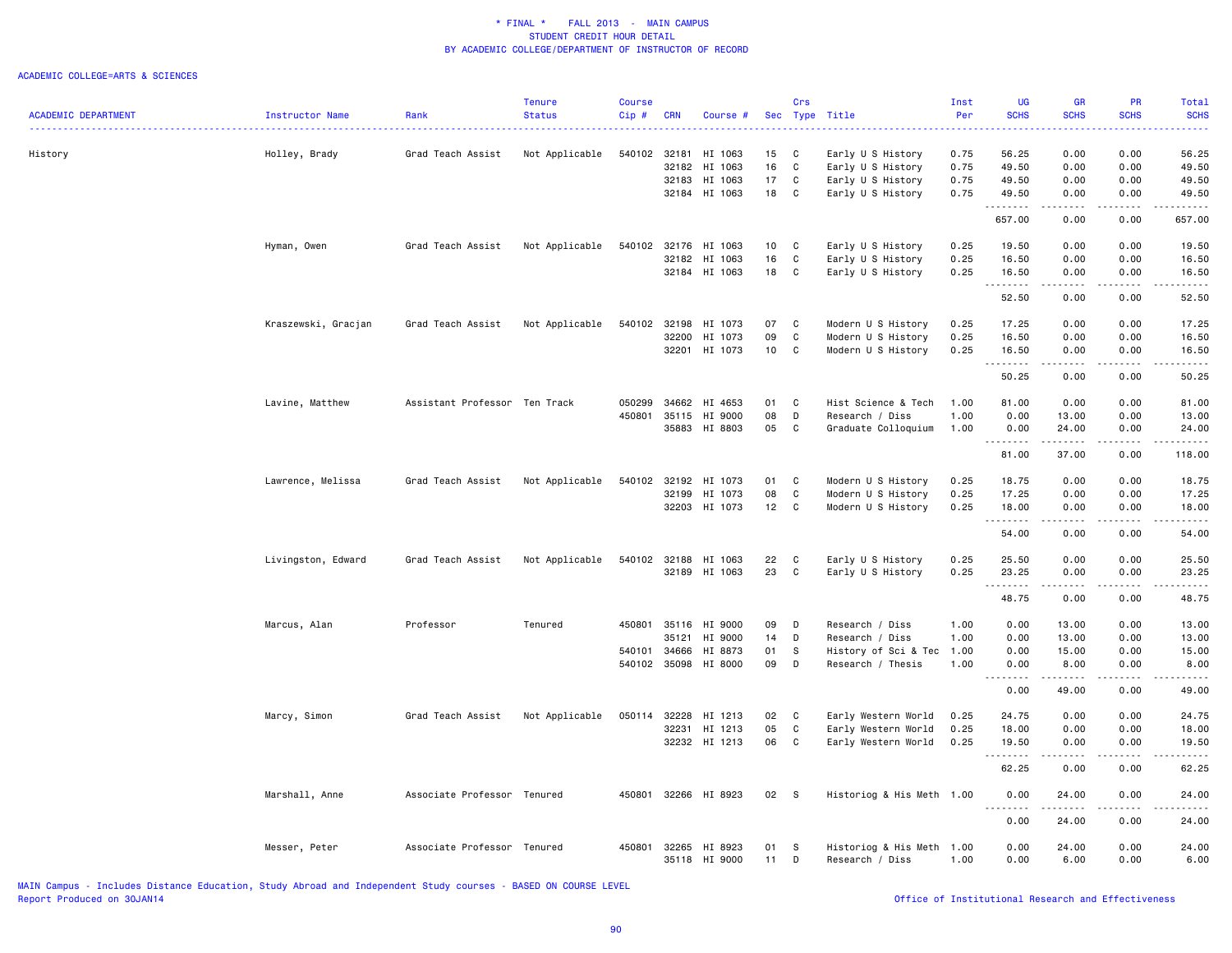|                            |                     |                               | <b>Tenure</b>  | <b>Course</b> |            |                      |                 | Crs          |                           | Inst | UG                  | <b>GR</b>              | <b>PR</b>   | Total       |
|----------------------------|---------------------|-------------------------------|----------------|---------------|------------|----------------------|-----------------|--------------|---------------------------|------|---------------------|------------------------|-------------|-------------|
| <b>ACADEMIC DEPARTMENT</b> | Instructor Name     | Rank                          | <b>Status</b>  | Cip#          | <b>CRN</b> | Course #             |                 |              | Sec Type Title            | Per  | <b>SCHS</b>         | <b>SCHS</b>            | <b>SCHS</b> | <b>SCHS</b> |
|                            |                     |                               |                |               |            |                      |                 |              |                           |      |                     |                        |             |             |
| History                    | Holley, Brady       | Grad Teach Assist             | Not Applicable | 540102 32181  |            | HI 1063              | 15              | C            | Early U S History         | 0.75 | 56.25               | 0.00                   | 0.00        | 56.25       |
|                            |                     |                               |                |               | 32182      | HI 1063              | 16              | C            | Early U S History         | 0.75 | 49.50               | 0.00                   | 0.00        | 49.50       |
|                            |                     |                               |                |               | 32183      | HI 1063              | 17              | C            | Early U S History         | 0.75 | 49.50               | 0.00                   | 0.00        | 49.50       |
|                            |                     |                               |                |               |            | 32184 HI 1063        | 18              | C            | Early U S History         | 0.75 | 49.50<br>.          | 0.00<br>.              | 0.00<br>.   | 49.50<br>.  |
|                            |                     |                               |                |               |            |                      |                 |              |                           |      | 657.00              | 0.00                   | 0.00        | 657.00      |
|                            | Hyman, Owen         | Grad Teach Assist             | Not Applicable | 540102        | 32176      | HI 1063              | 10 <sub>1</sub> | C            | Early U S History         | 0.25 | 19.50               | 0.00                   | 0.00        | 19.50       |
|                            |                     |                               |                |               | 32182      | HI 1063              | 16              | $\mathtt{C}$ | Early U S History         | 0.25 | 16.50               | 0.00                   | 0.00        | 16.50       |
|                            |                     |                               |                |               |            | 32184 HI 1063        | 18              | C            | Early U S History         | 0.25 | 16.50<br>. <b>.</b> | 0.00<br>.              | 0.00<br>.   | 16.50<br>.  |
|                            |                     |                               |                |               |            |                      |                 |              |                           |      | 52.50               | 0.00                   | 0.00        | 52.50       |
|                            | Kraszewski, Gracjan | Grad Teach Assist             | Not Applicable | 540102        | 32198      | HI 1073              | 07              | C            | Modern U S History        | 0.25 | 17.25               | 0.00                   | 0.00        | 17.25       |
|                            |                     |                               |                |               | 32200      | HI 1073              | 09              | $\mathbb{C}$ | Modern U S History        | 0.25 | 16.50               | 0.00                   | 0.00        | 16.50       |
|                            |                     |                               |                |               |            | 32201 HI 1073        | 10              | C            | Modern U S History        | 0.25 | 16.50               | 0.00                   | 0.00        | 16.50       |
|                            |                     |                               |                |               |            |                      |                 |              |                           |      | .<br>50.25          | .<br>0.00              | .<br>0.00   | .<br>50.25  |
|                            | Lavine, Matthew     | Assistant Professor Ten Track |                | 050299        | 34662      | HI 4653              | 01              | C            | Hist Science & Tech       | 1.00 | 81.00               | 0.00                   | 0.00        | 81.00       |
|                            |                     |                               |                | 450801        | 35115      | HI 9000              | 08              | D            | Research / Diss           | 1.00 | 0.00                | 13.00                  | 0.00        | 13.00       |
|                            |                     |                               |                |               |            | 35883 HI 8803        | 05              | C            | Graduate Colloquium       | 1.00 | 0.00                | 24.00                  | 0.00        | 24.00       |
|                            |                     |                               |                |               |            |                      |                 |              |                           |      | .<br>81.00          | .<br>37.00             | .<br>0.00   | .<br>118.00 |
|                            | Lawrence, Melissa   | Grad Teach Assist             | Not Applicable | 540102 32192  |            | HI 1073              | 01              | C            | Modern U S History        | 0.25 | 18.75               | 0.00                   | 0.00        | 18.75       |
|                            |                     |                               |                |               | 32199      | HI 1073              | 08              | C            | Modern U S History        | 0.25 | 17.25               | 0.00                   | 0.00        | 17.25       |
|                            |                     |                               |                |               |            | 32203 HI 1073        | 12 <sub>2</sub> | C            | Modern U S History        | 0.25 | 18.00               | 0.00                   | 0.00        | 18.00       |
|                            |                     |                               |                |               |            |                      |                 |              |                           |      | .                   |                        |             | $   -$      |
|                            |                     |                               |                |               |            |                      |                 |              |                           |      | 54.00               | 0.00                   | 0.00        | 54.00       |
|                            | Livingston, Edward  | Grad Teach Assist             | Not Applicable | 540102        | 32188      | HI 1063              | 22              | C            | Early U S History         | 0.25 | 25.50               | 0.00                   | 0.00        | 25.50       |
|                            |                     |                               |                |               |            | 32189 HI 1063        | 23              | C            | Early U S History         | 0.25 | 23.25               | 0.00                   | 0.00        | 23.25       |
|                            |                     |                               |                |               |            |                      |                 |              |                           |      | 48.75               | .<br>0.00              | .<br>0.00   | .<br>48.75  |
|                            | Marcus, Alan        | Professor                     | Tenured        |               |            | 450801 35116 HI 9000 | 09              | D            | Research / Diss           | 1.00 | 0.00                | 13.00                  | 0.00        | 13.00       |
|                            |                     |                               |                |               | 35121      | HI 9000              | 14              | D            | Research / Diss           | 1.00 | 0.00                | 13.00                  | 0.00        | 13.00       |
|                            |                     |                               |                | 540101        | 34666      | HI 8873              | 01              | s            | History of Sci & Tec      | 1.00 | 0.00                | 15.00                  | 0.00        | 15.00       |
|                            |                     |                               |                | 540102 35098  |            | HI 8000              | 09              | D            | Research / Thesis         | 1.00 | 0.00                | 8.00                   | 0.00        | 8.00        |
|                            |                     |                               |                |               |            |                      |                 |              |                           |      | 0.00                | $\frac{1}{2}$<br>49.00 | 0.00        | .<br>49.00  |
|                            | Marcy, Simon        | Grad Teach Assist             | Not Applicable | 050114        | 32228      | HI 1213              | 02              | C            | Early Western World       | 0.25 | 24.75               | 0.00                   | 0.00        | 24.75       |
|                            |                     |                               |                |               | 32231      | HI 1213              | 05              | $\mathsf{C}$ | Early Western World       | 0.25 | 18.00               | 0.00                   | 0.00        | 18.00       |
|                            |                     |                               |                |               |            | 32232 HI 1213        | 06              | C            | Early Western World       | 0.25 | 19.50               | 0.00                   | 0.00        | 19.50       |
|                            |                     |                               |                |               |            |                      |                 |              |                           |      | 1.1.1.1.1.1.1       | 22222                  | .           | .           |
|                            |                     |                               |                |               |            |                      |                 |              |                           |      | 62.25               | 0.00                   | 0.00        | 62.25       |
|                            | Marshall, Anne      | Associate Professor Tenured   |                | 450801        |            | 32266 HI 8923        | 02              | <b>S</b>     | Historiog & His Meth 1.00 |      | 0.00<br>.           | 24.00<br>. <b>.</b>    | 0.00<br>.   | 24.00<br>.  |
|                            |                     |                               |                |               |            |                      |                 |              |                           |      | 0.00                | 24.00                  | 0.00        | 24.00       |
|                            | Messer, Peter       | Associate Professor Tenured   |                | 450801        | 32265      | HI 8923              | 01              | -S           | Historiog & His Meth 1.00 |      | 0.00                | 24.00                  | 0.00        | 24.00       |
|                            |                     |                               |                |               |            | 35118 HI 9000        | 11              | D            | Research / Diss           | 1.00 | 0.00                | 6.00                   | 0.00        | 6.00        |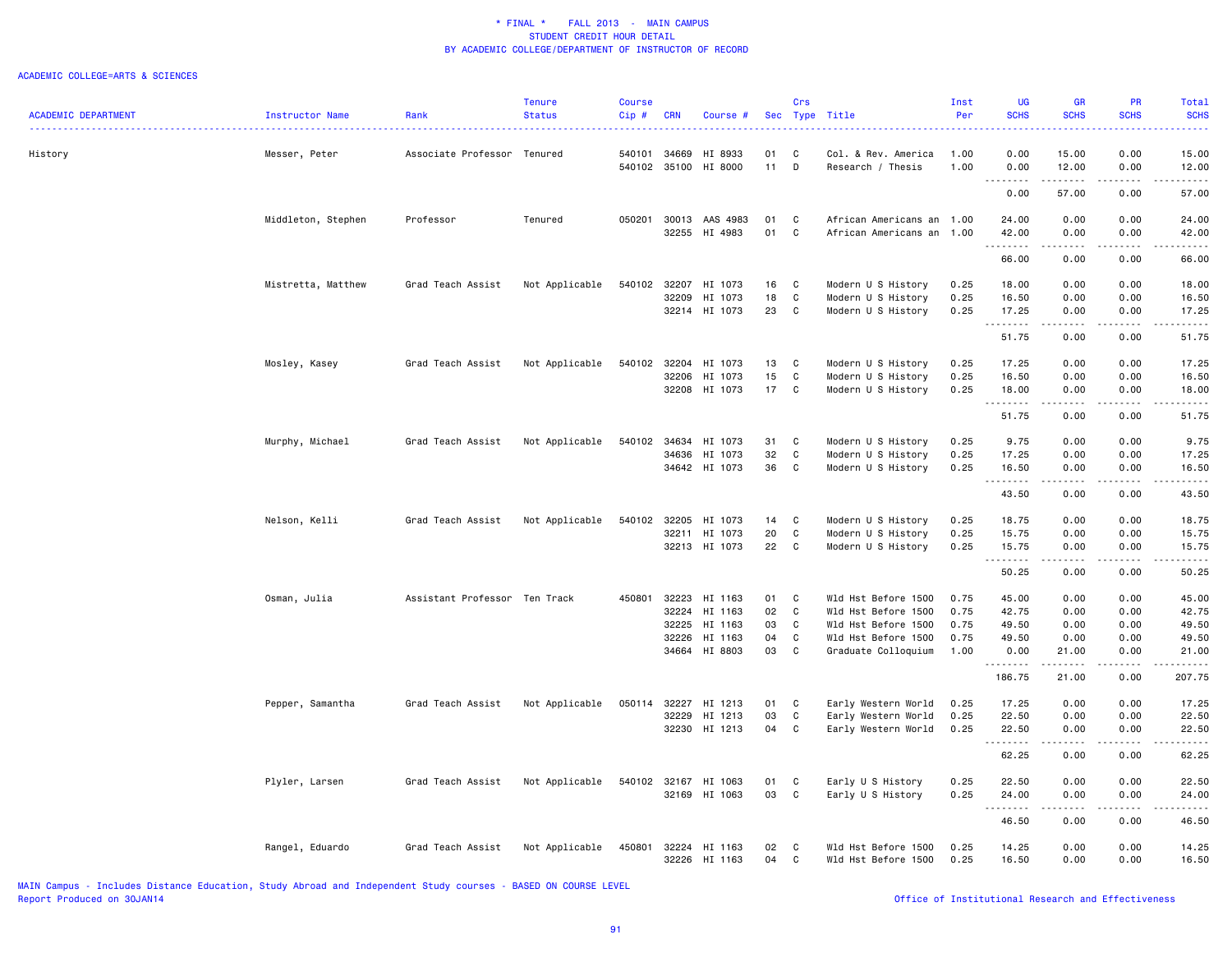|                            |                    |                               | <b>Tenure</b>  | <b>Course</b> |                |                    |          | Crs          |                                            | Inst         | UG                  | <b>GR</b>           | PR                   | Total                  |
|----------------------------|--------------------|-------------------------------|----------------|---------------|----------------|--------------------|----------|--------------|--------------------------------------------|--------------|---------------------|---------------------|----------------------|------------------------|
| <b>ACADEMIC DEPARTMENT</b> | Instructor Name    | Rank                          | <b>Status</b>  | Cip#          | <b>CRN</b>     | Course #           |          |              | Sec Type Title                             | Per          | <b>SCHS</b>         | <b>SCHS</b>         | <b>SCHS</b>          | <b>SCHS</b><br>الداعات |
|                            |                    |                               |                |               |                |                    |          |              |                                            |              |                     |                     |                      |                        |
| History                    | Messer, Peter      | Associate Professor Tenured   |                | 540101        | 34669          | HI 8933            | 01       | C            | Col. & Rev. America                        | 1.00         | 0.00                | 15.00               | 0.00                 | 15.00                  |
|                            |                    |                               |                | 540102 35100  |                | HI 8000            | 11       | D            | Research / Thesis                          | 1.00         | 0.00<br>.           | 12.00<br>. <u>.</u> | 0.00<br>. <u>.</u> . | 12.00<br>.             |
|                            |                    |                               |                |               |                |                    |          |              |                                            |              | 0.00                | 57.00               | 0.00                 | 57.00                  |
|                            | Middleton, Stephen | Professor                     | Tenured        | 050201        | 30013          | AAS 4983           | 01       | C            | African Americans an 1.00                  |              | 24.00               | 0.00                | 0.00                 | 24.00                  |
|                            |                    |                               |                |               | 32255          | HI 4983            | 01       | $\mathbf{C}$ | African Americans an 1.00                  |              | 42.00               | 0.00                | 0.00                 | 42.00                  |
|                            |                    |                               |                |               |                |                    |          |              |                                            |              | . <b>.</b><br>66.00 | .<br>0.00           | $- - - -$<br>0.00    | .<br>66.00             |
|                            | Mistretta, Matthew | Grad Teach Assist             | Not Applicable | 540102        | 32207          | HI 1073            | 16       | C            | Modern U S History                         | 0.25         | 18.00               | 0.00                | 0.00                 | 18.00                  |
|                            |                    |                               |                |               | 32209          | HI 1073            | 18       | C            | Modern U S History                         | 0.25         | 16.50               | 0.00                | 0.00                 | 16.50                  |
|                            |                    |                               |                |               |                | 32214 HI 1073      | 23       | C            | Modern U S History                         | 0.25         | 17.25               | 0.00                | 0.00                 | 17.25                  |
|                            |                    |                               |                |               |                |                    |          |              |                                            |              | <u>.</u><br>51.75   | 0.00                | 0.00                 | $    -$<br>51.75       |
|                            | Mosley, Kasey      | Grad Teach Assist             | Not Applicable | 540102        | 32204          | HI 1073            | 13       | C            | Modern U S History                         | 0.25         | 17.25               | 0.00                | 0.00                 | 17.25                  |
|                            |                    |                               |                |               | 32206          | HI 1073            | 15       | C            | Modern U S History                         | 0.25         | 16.50               | 0.00                | 0.00                 | 16.50                  |
|                            |                    |                               |                |               |                | 32208 HI 1073      | 17       | C            | Modern U S History                         | 0.25         | 18.00               | 0.00                | 0.00                 | 18.00                  |
|                            |                    |                               |                |               |                |                    |          |              |                                            |              | .                   | .                   | .                    | .                      |
|                            |                    |                               |                |               |                |                    |          |              |                                            |              | 51.75               | 0.00                | 0.00                 | 51.75                  |
|                            | Murphy, Michael    | Grad Teach Assist             | Not Applicable | 540102        | 34634          | HI 1073            | 31       | C            | Modern U S History                         | 0.25         | 9.75                | 0.00                | 0.00                 | 9.75                   |
|                            |                    |                               |                |               | 34636          | HI 1073            | 32       | $\mathbf{C}$ | Modern U S History                         | 0.25         | 17.25               | 0.00                | 0.00                 | 17.25                  |
|                            |                    |                               |                |               |                | 34642 HI 1073      | 36       | C            | Modern U S History                         | 0.25         | 16.50               | 0.00<br>.           | 0.00                 | 16.50                  |
|                            |                    |                               |                |               |                |                    |          |              |                                            |              | .<br>43.50          | 0.00                | 0.00                 | .<br>43.50             |
|                            | Nelson, Kelli      | Grad Teach Assist             | Not Applicable | 540102        | 32205          | HI 1073            | 14       | C            | Modern U S History                         | 0.25         | 18.75               | 0.00                | 0.00                 | 18.75                  |
|                            |                    |                               |                |               | 32211          | HI 1073            | 20       | $\mathbf{C}$ | Modern U S History                         | 0.25         | 15.75               | 0.00                | 0.00                 | 15.75                  |
|                            |                    |                               |                |               | 32213          | HI 1073            | 22       | C            | Modern U S History                         | 0.25         | 15.75               | 0.00                | 0.00                 | 15.75                  |
|                            |                    |                               |                |               |                |                    |          |              |                                            |              | .                   | .                   | .                    | .                      |
|                            |                    |                               |                |               |                |                    |          |              |                                            |              | 50.25               | 0.00                | 0.00                 | 50.25                  |
|                            | Osman, Julia       | Assistant Professor Ten Track |                | 450801        | 32223          | HI 1163            | 01       | C            | Wld Hst Before 1500                        | 0.75         | 45.00               | 0.00                | 0.00                 | 45.00                  |
|                            |                    |                               |                |               | 32224          | HI 1163            | 02       | C            | Wld Hst Before 1500                        | 0.75         | 42.75               | 0.00                | 0.00                 | 42.75                  |
|                            |                    |                               |                |               | 32225          | HI 1163            | 03       | C            | Wld Hst Before 1500                        | 0.75         | 49.50               | 0.00                | 0.00                 | 49.50                  |
|                            |                    |                               |                |               | 32226          | HI 1163            | 04       | $\mathbf{C}$ | Wld Hst Before 1500                        | 0.75         | 49.50               | 0.00                | 0.00                 | 49.50                  |
|                            |                    |                               |                |               | 34664          | HI 8803            | 03       | C            | Graduate Colloquium                        | 1.00         | 0.00                | 21.00               | 0.00                 | 21.00                  |
|                            |                    |                               |                |               |                |                    |          |              |                                            |              | 186.75              | 21.00               | 0.00                 | والمستحدث<br>207.75    |
|                            | Pepper, Samantha   | Grad Teach Assist             | Not Applicable | 050114        | 32227          | HI 1213            | 01       | C            | Early Western World                        | 0.25         | 17.25               | 0.00                | 0.00                 | 17.25                  |
|                            |                    |                               |                |               | 32229          | HI 1213            | 03       | C            | Early Western World                        | 0.25         | 22.50               | 0.00                | 0.00                 | 22.50                  |
|                            |                    |                               |                |               | 32230          | HI 1213            | 04       | C            | Early Western World                        | 0.25         | 22.50               | 0.00                | 0.00                 | 22.50                  |
|                            |                    |                               |                |               |                |                    |          |              |                                            |              | .<br>62.25          | .<br>0.00           | .<br>0.00            | .<br>62.25             |
|                            |                    |                               |                |               |                |                    |          |              |                                            |              |                     |                     |                      |                        |
|                            | Plyler, Larsen     | Grad Teach Assist             | Not Applicable | 540102 32167  |                | HI 1063            | 01       | C            | Early U S History                          | 0.25         | 22.50               | 0.00                | 0.00                 | 22.50                  |
|                            |                    |                               |                |               | 32169          | HI 1063            | 03       | C            | Early U S History                          | 0.25         | 24.00               | 0.00                | 0.00                 | 24.00                  |
|                            |                    |                               |                |               |                |                    |          |              |                                            |              | .<br>46.50          | .<br>0.00           | $- - - -$<br>0.00    | .<br>46.50             |
|                            |                    |                               |                |               |                |                    |          |              |                                            |              |                     |                     |                      |                        |
|                            | Rangel, Eduardo    | Grad Teach Assist             | Not Applicable | 450801        | 32224<br>32226 | HI 1163<br>HI 1163 | 02<br>04 | C<br>C       | Wld Hst Before 1500<br>Wld Hst Before 1500 | 0.25<br>0.25 | 14.25<br>16.50      | 0.00<br>0.00        | 0.00<br>0.00         | 14.25<br>16.50         |
|                            |                    |                               |                |               |                |                    |          |              |                                            |              |                     |                     |                      |                        |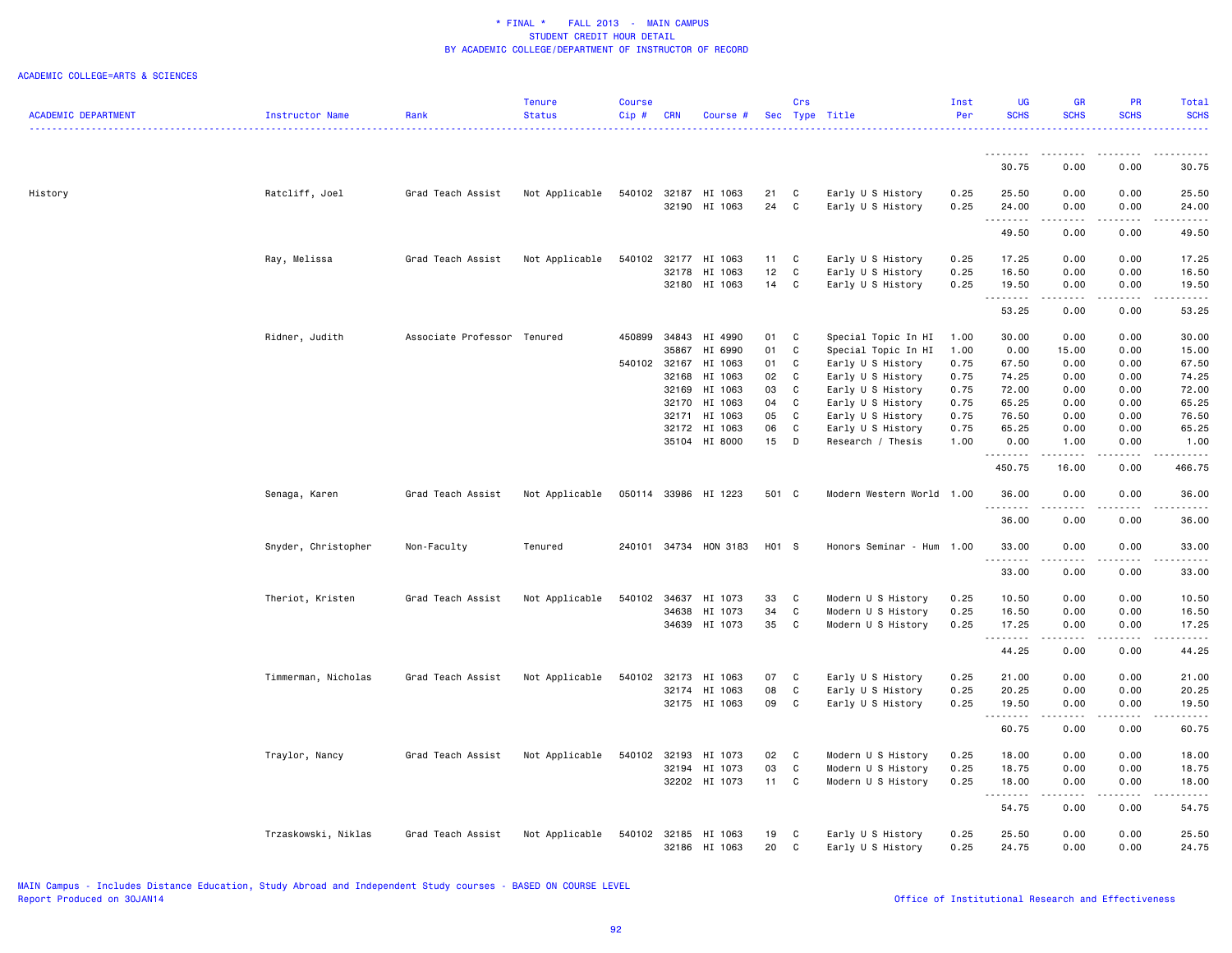|                            |                     |                             | Tenure         | <b>Course</b> |                |                                       |          | Crs               |                                        | Inst         | <b>UG</b>      | GR                                                                                                                        | PR           | Total                       |
|----------------------------|---------------------|-----------------------------|----------------|---------------|----------------|---------------------------------------|----------|-------------------|----------------------------------------|--------------|----------------|---------------------------------------------------------------------------------------------------------------------------|--------------|-----------------------------|
| <b>ACADEMIC DEPARTMENT</b> | Instructor Name     | Rank                        | <b>Status</b>  | $Cip \#$      | <b>CRN</b>     | Course #                              |          |                   | Sec Type Title                         | Per          | <b>SCHS</b>    | <b>SCHS</b>                                                                                                               | <b>SCHS</b>  | <b>SCHS</b><br>. <u>.</u> . |
|                            |                     |                             |                |               |                |                                       |          |                   |                                        |              |                |                                                                                                                           |              |                             |
|                            |                     |                             |                |               |                |                                       |          |                   |                                        |              | .<br>30.75     | 0.00                                                                                                                      | 0.00         | 30.75                       |
| History                    | Ratcliff, Joel      | Grad Teach Assist           | Not Applicable |               |                | 540102 32187 HI 1063                  | 21       | C                 | Early U S History                      | 0.25         | 25.50          | 0.00                                                                                                                      | 0.00         | 25.50                       |
|                            |                     |                             |                |               | 32190          | HI 1063                               | 24       | $\mathtt{C}$      | Early U S History                      | 0.25         | 24.00          | 0.00                                                                                                                      | 0.00         | 24.00                       |
|                            |                     |                             |                |               |                |                                       |          |                   |                                        |              | .              | $\frac{1}{2} \left( \frac{1}{2} \right) \left( \frac{1}{2} \right) \left( \frac{1}{2} \right) \left( \frac{1}{2} \right)$ | .            | $    -$                     |
|                            |                     |                             |                |               |                |                                       |          |                   |                                        |              | 49.50          | 0.00                                                                                                                      | 0.00         | 49.50                       |
|                            | Ray, Melissa        | Grad Teach Assist           | Not Applicable | 540102        | 32177          | HI 1063                               | 11       | C                 | Early U S History                      | 0.25         | 17.25          | 0.00                                                                                                                      | 0.00         | 17.25                       |
|                            |                     |                             |                |               | 32178          | HI 1063                               | 12       | C                 | Early U S History                      | 0.25         | 16.50          | 0.00                                                                                                                      | 0.00         | 16.50                       |
|                            |                     |                             |                |               |                | 32180 HI 1063                         | 14       | C                 | Early U S History                      | 0.25         | 19.50<br>.     | 0.00<br>.                                                                                                                 | 0.00<br>.    | 19.50<br>.                  |
|                            |                     |                             |                |               |                |                                       |          |                   |                                        |              | 53.25          | 0.00                                                                                                                      | 0.00         | 53.25                       |
|                            | Ridner, Judith      | Associate Professor Tenured |                | 450899        | 34843          | HI 4990                               | 01       | C                 | Special Topic In HI                    | 1.00         | 30.00          | 0.00                                                                                                                      | 0.00         | 30.00                       |
|                            |                     |                             |                |               | 35867          | HI 6990                               | 01       | C                 | Special Topic In HI                    | 1.00         | 0.00           | 15.00                                                                                                                     | 0.00         | 15.00                       |
|                            |                     |                             |                | 540102 32167  |                | HI 1063                               | 01       | C                 | Early U S History                      | 0.75         | 67.50          | 0.00                                                                                                                      | 0.00         | 67.50                       |
|                            |                     |                             |                |               | 32168          | HI 1063                               | 02       | C                 | Early U S History                      | 0.75         | 74.25          | 0.00                                                                                                                      | 0.00         | 74.25                       |
|                            |                     |                             |                |               | 32169          | HI 1063                               | 03       | C                 | Early U S History                      | 0.75         | 72.00          | 0.00                                                                                                                      | 0.00         | 72.00                       |
|                            |                     |                             |                |               | 32170          | HI 1063                               | 04       | C                 | Early U S History                      | 0.75         | 65.25          | 0.00                                                                                                                      | 0.00         | 65.25                       |
|                            |                     |                             |                |               | 32171          | HI 1063                               | 05       | C                 | Early U S History                      | 0.75         | 76.50          | 0.00                                                                                                                      | 0.00         | 76.50                       |
|                            |                     |                             |                |               | 32172          | HI 1063                               | 06       | C                 | Early U S History                      | 0.75         | 65.25          | 0.00                                                                                                                      | 0.00         | 65.25                       |
|                            |                     |                             |                |               |                | 35104 HI 8000                         | 15       | D                 | Research / Thesis                      | 1.00         | 0.00           | 1.00                                                                                                                      | 0.00         | 1.00                        |
|                            |                     |                             |                |               |                |                                       |          |                   |                                        |              | .<br>450.75    | 16.00                                                                                                                     | 0.00         | .<br>466.75                 |
|                            | Senaga, Karen       | Grad Teach Assist           | Not Applicable |               |                | 050114 33986 HI 1223                  | 501 C    |                   | Modern Western World 1.00              |              | 36.00          | 0.00                                                                                                                      | 0.00         | 36.00                       |
|                            |                     |                             |                |               |                |                                       |          |                   |                                        |              | .              |                                                                                                                           |              |                             |
|                            |                     |                             |                |               |                |                                       |          |                   |                                        |              | 36.00          | 0.00                                                                                                                      | 0.00         | 36.00                       |
|                            | Snyder, Christopher | Non-Faculty                 | Tenured        |               |                | 240101 34734 HON 3183                 | H01 S    |                   | Honors Seminar - Hum                   | 1.00         | 33.00<br>.     | 0.00<br>. <b>.</b>                                                                                                        | 0.00<br>.    | 33.00<br>.                  |
|                            |                     |                             |                |               |                |                                       |          |                   |                                        |              | 33.00          | 0.00                                                                                                                      | 0.00         | 33.00                       |
|                            | Theriot, Kristen    | Grad Teach Assist           | Not Applicable | 540102        | 34637          | HI 1073                               | 33       | C                 | Modern U S History                     | 0.25         | 10.50          | 0.00                                                                                                                      | 0.00         | 10.50                       |
|                            |                     |                             |                |               | 34638          | HI 1073                               | 34       | $\mathtt{C}$      | Modern U S History                     | 0.25         | 16.50          | 0.00                                                                                                                      | 0.00         | 16.50                       |
|                            |                     |                             |                |               | 34639          | HI 1073                               | 35       | C                 | Modern U S History                     | 0.25         | 17.25<br>.     | 0.00                                                                                                                      | 0.00         | 17.25<br>$    -$            |
|                            |                     |                             |                |               |                |                                       |          |                   |                                        |              | 44.25          | 0.00                                                                                                                      | 0.00         | 44.25                       |
|                            |                     |                             |                |               |                |                                       |          |                   |                                        |              |                |                                                                                                                           |              |                             |
|                            | Timmerman, Nicholas | Grad Teach Assist           | Not Applicable | 540102        | 32173<br>32174 | HI 1063<br>HI 1063                    | 07<br>08 | C<br>$\mathtt{C}$ | Early U S History<br>Early U S History | 0.25<br>0.25 | 21.00<br>20.25 | 0.00<br>0.00                                                                                                              | 0.00<br>0.00 | 21.00<br>20.25              |
|                            |                     |                             |                |               |                | 32175 HI 1063                         | 09       | C                 | Early U S History                      | 0.25         | 19.50          | 0.00                                                                                                                      | 0.00         | 19.50                       |
|                            |                     |                             |                |               |                |                                       |          |                   |                                        |              | .              | .                                                                                                                         | .            | .                           |
|                            |                     |                             |                |               |                |                                       |          |                   |                                        |              | 60.75          | 0.00                                                                                                                      | 0.00         | 60.75                       |
|                            | Traylor, Nancy      | Grad Teach Assist           | Not Applicable | 540102        | 32193          | HI 1073                               | 02       | $\mathbf{C}$      | Modern U S History                     | 0.25         | 18.00          | 0.00                                                                                                                      | 0.00         | 18.00                       |
|                            |                     |                             |                |               | 32194          | HI 1073                               | 03       | $\mathtt{C}$      | Modern U S History                     | 0.25         | 18.75          | 0.00                                                                                                                      | 0.00         | 18.75                       |
|                            |                     |                             |                |               |                | 32202 HI 1073                         | 11       | C                 | Modern U S History                     | 0.25         | 18.00          | 0.00                                                                                                                      | 0.00         | 18.00                       |
|                            |                     |                             |                |               |                |                                       |          |                   |                                        |              | .<br>54.75     | المتماما<br>0.00                                                                                                          | .<br>0.00    | .<br>54.75                  |
|                            |                     |                             |                |               |                |                                       | 19       |                   | Early U S History                      | 0.25         | 25.50          | 0.00                                                                                                                      | 0.00         | 25.50                       |
|                            | Trzaskowski, Niklas | Grad Teach Assist           | Not Applicable |               |                | 540102 32185 HI 1063<br>32186 HI 1063 | 20       | C<br>C            | Early U S History                      | 0.25         | 24.75          | 0.00                                                                                                                      | 0.00         | 24.75                       |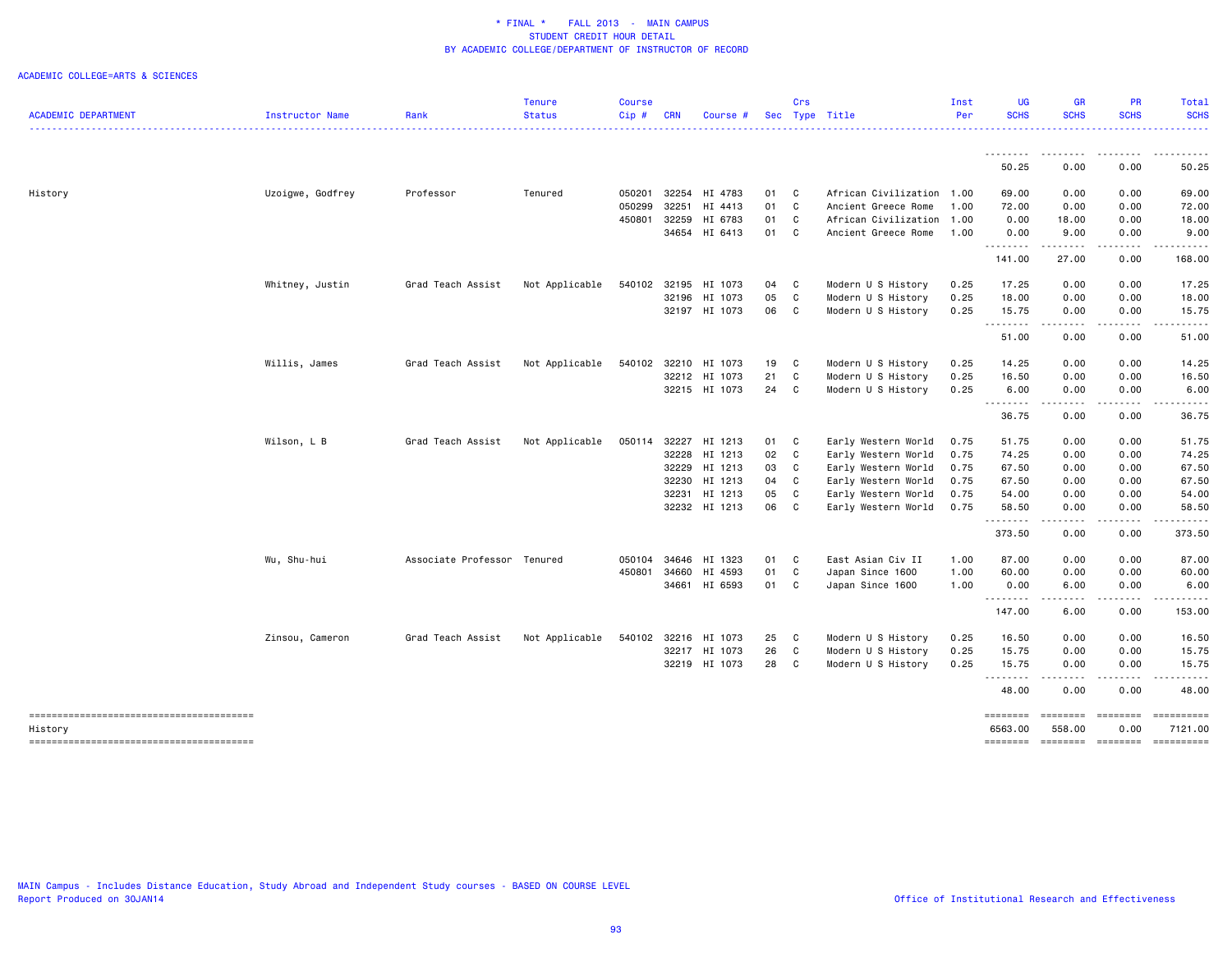### ACADEMIC COLLEGE=ARTS & SCIENCES

|                                                   |                  |                             | <b>Tenure</b>  | <b>Course</b> |            |               |      | Crs          |                      | Inst | <b>UG</b>           | <b>GR</b>                                                                                                                 | PR                                                                                                                                                           | Total                 |
|---------------------------------------------------|------------------|-----------------------------|----------------|---------------|------------|---------------|------|--------------|----------------------|------|---------------------|---------------------------------------------------------------------------------------------------------------------------|--------------------------------------------------------------------------------------------------------------------------------------------------------------|-----------------------|
| <b>ACADEMIC DEPARTMENT</b>                        | Instructor Name  | Rank                        | <b>Status</b>  | Cip#          | <b>CRN</b> | Course #      |      |              | Sec Type Title       | Per  | <b>SCHS</b>         | <b>SCHS</b>                                                                                                               | <b>SCHS</b>                                                                                                                                                  | <b>SCHS</b>           |
|                                                   |                  |                             |                |               |            |               |      |              |                      |      |                     | $\frac{1}{2} \left( \frac{1}{2} \right) \left( \frac{1}{2} \right) \left( \frac{1}{2} \right) \left( \frac{1}{2} \right)$ |                                                                                                                                                              | .                     |
|                                                   |                  |                             |                |               |            |               |      |              |                      |      | 50.25               | 0.00                                                                                                                      | 0.00                                                                                                                                                         | 50.25                 |
| History                                           | Uzoigwe, Godfrey | Professor                   | Tenured        | 050201        | 32254      | HI 4783       | 01 C |              | African Civilization | 1.00 | 69.00               | 0.00                                                                                                                      | 0.00                                                                                                                                                         | 69.00                 |
|                                                   |                  |                             |                | 050299        | 32251      | HI 4413       | 01   | C            | Ancient Greece Rome  | 1.00 | 72.00               | 0.00                                                                                                                      | 0.00                                                                                                                                                         | 72.00                 |
|                                                   |                  |                             |                | 450801        | 32259      | HI 6783       | 01   | C            | African Civilization | 1.00 | 0.00                | 18.00                                                                                                                     | 0.00                                                                                                                                                         | 18.00                 |
|                                                   |                  |                             |                |               |            | 34654 HI 6413 | 01   | C            | Ancient Greece Rome  | 1.00 | 0.00                | 9.00                                                                                                                      | 0.00                                                                                                                                                         | 9.00                  |
|                                                   |                  |                             |                |               |            |               |      |              |                      |      | .<br>141.00         | $\sim$ $\sim$ $\sim$ $\sim$<br>27.00                                                                                      | 0.00                                                                                                                                                         | 168.00                |
|                                                   | Whitney, Justin  | Grad Teach Assist           | Not Applicable | 540102        | 32195      | HI 1073       | 04 C |              | Modern U S History   | 0.25 | 17.25               | 0.00                                                                                                                      | 0.00                                                                                                                                                         | 17.25                 |
|                                                   |                  |                             |                |               |            | 32196 HI 1073 | 05   | C            | Modern U S History   | 0.25 | 18.00               | 0.00                                                                                                                      | 0.00                                                                                                                                                         | 18.00                 |
|                                                   |                  |                             |                |               |            | 32197 HI 1073 | 06   | C            | Modern U S History   | 0.25 | 15.75               | 0.00                                                                                                                      | 0.00                                                                                                                                                         | 15.75                 |
|                                                   |                  |                             |                |               |            |               |      |              |                      |      | .<br>51.00          | $\sim$ $\sim$ $\sim$ $\sim$ $\sim$<br>0.00                                                                                | $\frac{1}{2} \left( \frac{1}{2} \right) \left( \frac{1}{2} \right) \left( \frac{1}{2} \right) \left( \frac{1}{2} \right) \left( \frac{1}{2} \right)$<br>0.00 | 51.00                 |
|                                                   | Willis, James    | Grad Teach Assist           | Not Applicable | 540102        |            | 32210 HI 1073 | 19 C |              | Modern U S History   | 0.25 | 14.25               | 0.00                                                                                                                      | 0.00                                                                                                                                                         | 14.25                 |
|                                                   |                  |                             |                |               |            | 32212 HI 1073 | 21   | C            | Modern U S History   | 0.25 | 16.50               | 0.00                                                                                                                      | 0.00                                                                                                                                                         | 16.50                 |
|                                                   |                  |                             |                |               |            | 32215 HI 1073 | 24   | C            | Modern U S History   | 0.25 | 6.00                | 0.00                                                                                                                      | 0.00                                                                                                                                                         | 6.00                  |
|                                                   |                  |                             |                |               |            |               |      |              |                      |      | .<br>36.75          | 0.00                                                                                                                      | 0.00                                                                                                                                                         | 36.75                 |
|                                                   | Wilson, L B      | Grad Teach Assist           | Not Applicable | 050114        |            | 32227 HI 1213 | 01 C |              | Early Western World  | 0.75 | 51.75               | 0.00                                                                                                                      | 0.00                                                                                                                                                         | 51.75                 |
|                                                   |                  |                             |                |               |            | 32228 HI 1213 | 02   | C            | Early Western World  | 0.75 | 74.25               | 0.00                                                                                                                      | 0.00                                                                                                                                                         | 74.25                 |
|                                                   |                  |                             |                |               |            | 32229 HI 1213 | 03   | C            | Early Western World  | 0.75 | 67.50               | 0.00                                                                                                                      | 0.00                                                                                                                                                         | 67.50                 |
|                                                   |                  |                             |                |               |            | 32230 HI 1213 | 04   | C            | Early Western World  | 0.75 | 67.50               | 0.00                                                                                                                      | 0.00                                                                                                                                                         | 67.50                 |
|                                                   |                  |                             |                |               | 32231      | HI 1213       | 05   | C            | Early Western World  | 0.75 | 54.00               | 0.00                                                                                                                      | 0.00                                                                                                                                                         | 54.00                 |
|                                                   |                  |                             |                |               |            | 32232 HI 1213 | 06   | C            | Early Western World  | 0.75 | 58.50               | 0.00                                                                                                                      | 0.00                                                                                                                                                         | 58.50                 |
|                                                   |                  |                             |                |               |            |               |      |              |                      |      | .<br>373.50         | .<br>0.00                                                                                                                 | .<br>0.00                                                                                                                                                    | .<br>373.50           |
|                                                   | Wu, Shu-hui      | Associate Professor Tenured |                | 050104        |            | 34646 HI 1323 | 01 C |              | East Asian Civ II    | 1.00 | 87.00               | 0.00                                                                                                                      | 0.00                                                                                                                                                         | 87.00                 |
|                                                   |                  |                             |                | 450801        |            | 34660 HI 4593 | 01 C |              | Japan Since 1600     | 1.00 | 60.00               | 0.00                                                                                                                      | 0.00                                                                                                                                                         | 60.00                 |
|                                                   |                  |                             |                |               |            | 34661 HI 6593 | 01 C |              | Japan Since 1600     | 1.00 | 0.00                | 6.00                                                                                                                      | 0.00                                                                                                                                                         | 6.00                  |
|                                                   |                  |                             |                |               |            |               |      |              |                      |      | .<br>147.00         | .<br>6.00                                                                                                                 | .<br>0.00                                                                                                                                                    | .<br>153.00           |
|                                                   | Zinsou, Cameron  | Grad Teach Assist           | Not Applicable | 540102        |            | 32216 HI 1073 | 25   | $\mathbf{C}$ | Modern U S History   | 0.25 | 16.50               | 0.00                                                                                                                      | 0.00                                                                                                                                                         | 16.50                 |
|                                                   |                  |                             |                |               |            | 32217 HI 1073 | 26   | C            | Modern U S History   | 0.25 | 15.75               | 0.00                                                                                                                      | 0.00                                                                                                                                                         | 15.75                 |
|                                                   |                  |                             |                |               |            | 32219 HI 1073 | 28   | C            | Modern U S History   | 0.25 | 15.75               | 0.00                                                                                                                      | 0.00                                                                                                                                                         | 15.75                 |
|                                                   |                  |                             |                |               |            |               |      |              |                      |      | .<br>48.00          | -----<br>0.00                                                                                                             | $\cdots \cdots \cdots$<br>0.00                                                                                                                               | .<br>48.00            |
| --------------------------------------<br>History |                  |                             |                |               |            |               |      |              |                      |      | ========<br>6563.00 | ========<br>558.00                                                                                                        | $=$ ========<br>0.00                                                                                                                                         | ==========<br>7121.00 |
|                                                   |                  |                             |                |               |            |               |      |              |                      |      | ========            | ========                                                                                                                  | $\qquad \qquad \equiv \equiv \equiv \equiv \equiv \equiv \equiv \equiv$                                                                                      | ==========            |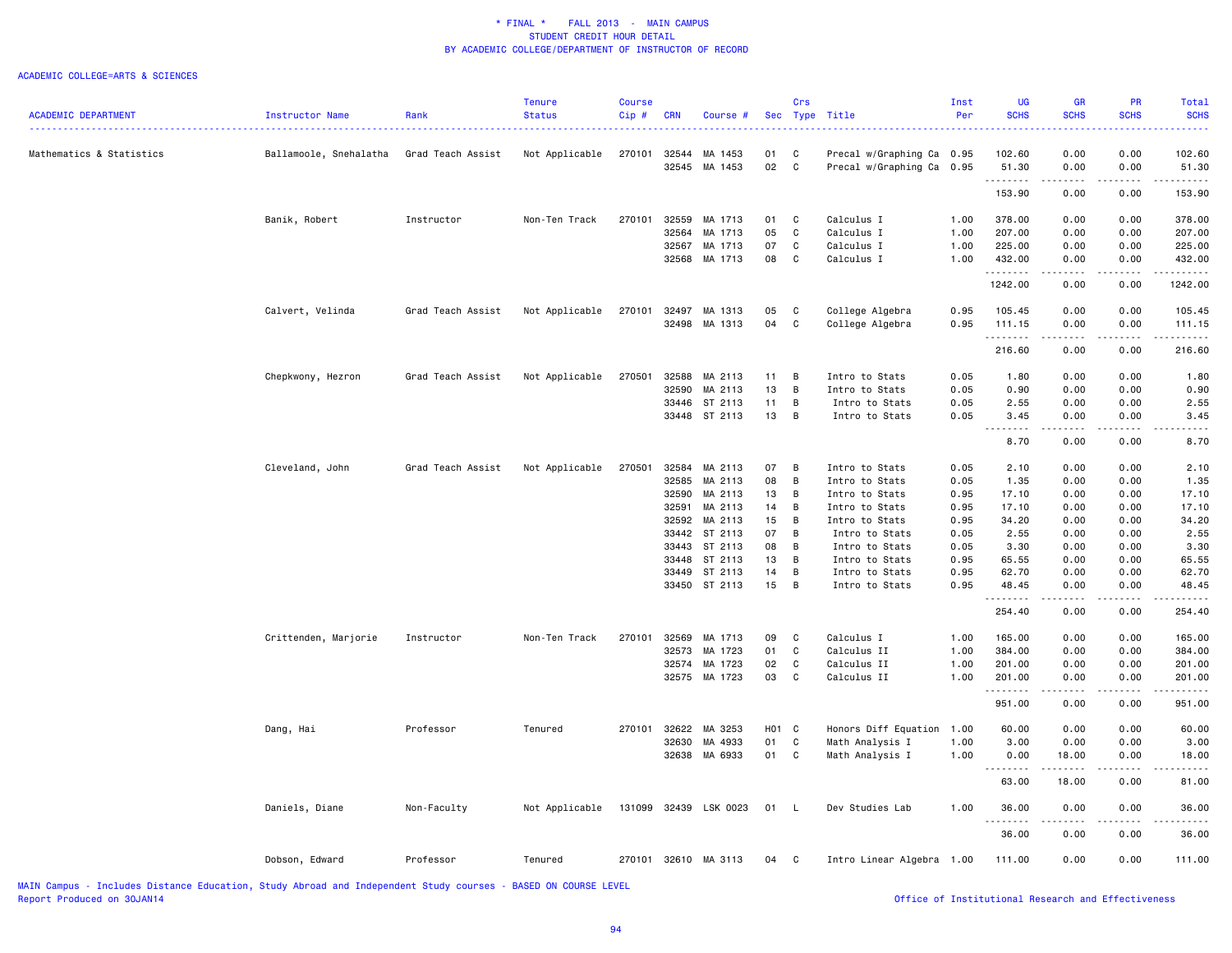#### ACADEMIC COLLEGE=ARTS & SCIENCES

| <b>ACADEMIC DEPARTMENT</b> | <b>Instructor Name</b> | Rank              | Tenure<br><b>Status</b> | Course<br>Cip# | <b>CRN</b> | Course #              |       | Crs            | Sec Type Title            | Inst<br>Per | UG<br><b>SCHS</b>                                                                                                                                                                                                                                                                                                                                                                                                                                                                              | <b>GR</b><br><b>SCHS</b>                                                                                                  | <b>PR</b><br><b>SCHS</b>                                                                                                                                     | Total<br><b>SCHS</b> |
|----------------------------|------------------------|-------------------|-------------------------|----------------|------------|-----------------------|-------|----------------|---------------------------|-------------|------------------------------------------------------------------------------------------------------------------------------------------------------------------------------------------------------------------------------------------------------------------------------------------------------------------------------------------------------------------------------------------------------------------------------------------------------------------------------------------------|---------------------------------------------------------------------------------------------------------------------------|--------------------------------------------------------------------------------------------------------------------------------------------------------------|----------------------|
|                            |                        |                   |                         |                |            |                       |       |                |                           |             |                                                                                                                                                                                                                                                                                                                                                                                                                                                                                                | $\frac{1}{2} \left( \frac{1}{2} \right) \left( \frac{1}{2} \right) \left( \frac{1}{2} \right) \left( \frac{1}{2} \right)$ |                                                                                                                                                              |                      |
| Mathematics & Statistics   | Ballamoole, Snehalatha | Grad Teach Assist | Not Applicable          |                |            | 270101 32544 MA 1453  | 01    | C              | Precal w/Graphing Ca 0.95 |             | 102.60                                                                                                                                                                                                                                                                                                                                                                                                                                                                                         | 0.00                                                                                                                      | 0.00                                                                                                                                                         | 102.60               |
|                            |                        |                   |                         |                |            | 32545 MA 1453         | 02    | C              | Precal w/Graphing Ca      | 0.95        | 51.30<br>.                                                                                                                                                                                                                                                                                                                                                                                                                                                                                     | 0.00<br>.                                                                                                                 | 0.00<br>.                                                                                                                                                    | 51.30<br>. <b>.</b>  |
|                            |                        |                   |                         |                |            |                       |       |                |                           |             | 153.90                                                                                                                                                                                                                                                                                                                                                                                                                                                                                         | 0.00                                                                                                                      | 0.00                                                                                                                                                         | 153.90               |
|                            | Banik, Robert          | Instructor        | Non-Ten Track           | 270101         | 32559      | MA 1713               | 01    | $\mathbf{C}$   | Calculus I                | 1.00        | 378.00                                                                                                                                                                                                                                                                                                                                                                                                                                                                                         | 0.00                                                                                                                      | 0.00                                                                                                                                                         | 378.00               |
|                            |                        |                   |                         |                | 32564      | MA 1713               | 05    | C              | Calculus I                | 1.00        | 207.00                                                                                                                                                                                                                                                                                                                                                                                                                                                                                         | 0.00                                                                                                                      | 0.00                                                                                                                                                         | 207.00               |
|                            |                        |                   |                         |                | 32567      | MA 1713               | 07    | C              | Calculus I                | 1.00        | 225.00                                                                                                                                                                                                                                                                                                                                                                                                                                                                                         | 0.00                                                                                                                      | 0.00                                                                                                                                                         | 225.00               |
|                            |                        |                   |                         |                |            | 32568 MA 1713         | 08    | C              | Calculus I                | 1.00        | 432.00                                                                                                                                                                                                                                                                                                                                                                                                                                                                                         | 0.00                                                                                                                      | 0.00                                                                                                                                                         | 432.00               |
|                            |                        |                   |                         |                |            |                       |       |                |                           |             | .<br>1242.00                                                                                                                                                                                                                                                                                                                                                                                                                                                                                   | د د د د<br>0.00                                                                                                           | $\frac{1}{2} \left( \frac{1}{2} \right) \left( \frac{1}{2} \right) \left( \frac{1}{2} \right) \left( \frac{1}{2} \right) \left( \frac{1}{2} \right)$<br>0.00 | .<br>1242.00         |
|                            | Calvert, Velinda       | Grad Teach Assist | Not Applicable          | 270101         |            | 32497 MA 1313         | 05    | C              | College Algebra           | 0.95        | 105.45                                                                                                                                                                                                                                                                                                                                                                                                                                                                                         | 0.00                                                                                                                      | 0.00                                                                                                                                                         | 105.45               |
|                            |                        |                   |                         |                |            | 32498 MA 1313         | 04    | C              | College Algebra           | 0.95        | 111.15                                                                                                                                                                                                                                                                                                                                                                                                                                                                                         | 0.00                                                                                                                      | 0.00                                                                                                                                                         | 111.15               |
|                            |                        |                   |                         |                |            |                       |       |                |                           |             | .<br>216.60                                                                                                                                                                                                                                                                                                                                                                                                                                                                                    | المتماما<br>0.00                                                                                                          | .<br>0.00                                                                                                                                                    | <u>.</u><br>216.60   |
|                            | Chepkwony, Hezron      | Grad Teach Assist | Not Applicable          | 270501         | 32588      | MA 2113               | 11    | $\overline{B}$ | Intro to Stats            | 0.05        | 1.80                                                                                                                                                                                                                                                                                                                                                                                                                                                                                           | 0.00                                                                                                                      | 0.00                                                                                                                                                         | 1.80                 |
|                            |                        |                   |                         |                | 32590      | MA 2113               | 13    | B              | Intro to Stats            | 0.05        | 0.90                                                                                                                                                                                                                                                                                                                                                                                                                                                                                           | 0.00                                                                                                                      | 0.00                                                                                                                                                         | 0.90                 |
|                            |                        |                   |                         |                |            | 33446 ST 2113         | 11    | $\overline{B}$ | Intro to Stats            | 0.05        | 2.55                                                                                                                                                                                                                                                                                                                                                                                                                                                                                           | 0.00                                                                                                                      | 0.00                                                                                                                                                         | 2.55                 |
|                            |                        |                   |                         |                |            | 33448 ST 2113         | 13 B  |                | Intro to Stats            | 0.05        | 3.45                                                                                                                                                                                                                                                                                                                                                                                                                                                                                           | 0.00                                                                                                                      | 0.00                                                                                                                                                         | 3.45                 |
|                            |                        |                   |                         |                |            |                       |       |                |                           |             | $\begin{array}{cccccccccccccc} \multicolumn{2}{c}{} & \multicolumn{2}{c}{} & \multicolumn{2}{c}{} & \multicolumn{2}{c}{} & \multicolumn{2}{c}{} & \multicolumn{2}{c}{} & \multicolumn{2}{c}{} & \multicolumn{2}{c}{} & \multicolumn{2}{c}{} & \multicolumn{2}{c}{} & \multicolumn{2}{c}{} & \multicolumn{2}{c}{} & \multicolumn{2}{c}{} & \multicolumn{2}{c}{} & \multicolumn{2}{c}{} & \multicolumn{2}{c}{} & \multicolumn{2}{c}{} & \multicolumn{2}{c}{} & \multicolumn{2}{c}{} & \$<br>8.70 | المتمالين<br>0.00                                                                                                         | .<br>0.00                                                                                                                                                    | 8.70                 |
|                            | Cleveland, John        | Grad Teach Assist | Not Applicable          | 270501         |            | 32584 MA 2113         | 07 B  |                | Intro to Stats            | 0.05        | 2.10                                                                                                                                                                                                                                                                                                                                                                                                                                                                                           | 0.00                                                                                                                      | 0.00                                                                                                                                                         | 2.10                 |
|                            |                        |                   |                         |                | 32585      | MA 2113               | 08    | B              | Intro to Stats            | 0.05        | 1.35                                                                                                                                                                                                                                                                                                                                                                                                                                                                                           | 0.00                                                                                                                      | 0.00                                                                                                                                                         | 1.35                 |
|                            |                        |                   |                         |                | 32590      | MA 2113               | 13    | B              | Intro to Stats            | 0.95        | 17.10                                                                                                                                                                                                                                                                                                                                                                                                                                                                                          | 0.00                                                                                                                      | 0.00                                                                                                                                                         | 17.10                |
|                            |                        |                   |                         |                | 32591      | MA 2113               | 14    | $\overline{B}$ | Intro to Stats            | 0.95        | 17.10                                                                                                                                                                                                                                                                                                                                                                                                                                                                                          | 0.00                                                                                                                      | 0.00                                                                                                                                                         | 17.10                |
|                            |                        |                   |                         |                |            | 32592 MA 2113         | 15    | B              | Intro to Stats            | 0.95        | 34.20                                                                                                                                                                                                                                                                                                                                                                                                                                                                                          | 0.00                                                                                                                      | 0.00                                                                                                                                                         | 34.20                |
|                            |                        |                   |                         |                |            | 33442 ST 2113         | 07    | $\overline{B}$ | Intro to Stats            | 0.05        | 2.55                                                                                                                                                                                                                                                                                                                                                                                                                                                                                           | 0.00                                                                                                                      | 0.00                                                                                                                                                         | 2.55                 |
|                            |                        |                   |                         |                |            | 33443 ST 2113         | 08    | B              | Intro to Stats            | 0.05        | 3.30                                                                                                                                                                                                                                                                                                                                                                                                                                                                                           | 0.00                                                                                                                      | 0.00                                                                                                                                                         | 3.30                 |
|                            |                        |                   |                         |                | 33448      | ST 2113               | 13    | B              | Intro to Stats            | 0.95        | 65.55                                                                                                                                                                                                                                                                                                                                                                                                                                                                                          | 0.00                                                                                                                      | 0.00                                                                                                                                                         | 65.55                |
|                            |                        |                   |                         |                |            | 33449 ST 2113         | 14    | B              | Intro to Stats            | 0.95        | 62.70                                                                                                                                                                                                                                                                                                                                                                                                                                                                                          | 0.00                                                                                                                      | 0.00                                                                                                                                                         | 62.70                |
|                            |                        |                   |                         |                |            | 33450 ST 2113         | 15    | $\overline{B}$ | Intro to Stats            | 0.95        | 48.45<br><u>.</u>                                                                                                                                                                                                                                                                                                                                                                                                                                                                              | 0.00<br>.                                                                                                                 | 0.00<br>2.2.2.2.2                                                                                                                                            | 48.45<br><u>.</u>    |
|                            |                        |                   |                         |                |            |                       |       |                |                           |             | 254.40                                                                                                                                                                                                                                                                                                                                                                                                                                                                                         | 0.00                                                                                                                      | 0.00                                                                                                                                                         | 254.40               |
|                            | Crittenden, Marjorie   | Instructor        | Non-Ten Track           | 270101         | 32569      | MA 1713               | 09    | $\mathbf{C}$   | Calculus I                | 1.00        | 165.00                                                                                                                                                                                                                                                                                                                                                                                                                                                                                         | 0.00                                                                                                                      | 0.00                                                                                                                                                         | 165.00               |
|                            |                        |                   |                         |                | 32573      | MA 1723               | 01    | C              | Calculus II               | 1.00        | 384.00                                                                                                                                                                                                                                                                                                                                                                                                                                                                                         | 0.00                                                                                                                      | 0.00                                                                                                                                                         | 384.00               |
|                            |                        |                   |                         |                |            | 32574 MA 1723         | 02    | C              | Calculus II               | 1.00        | 201.00                                                                                                                                                                                                                                                                                                                                                                                                                                                                                         | 0.00                                                                                                                      | 0.00                                                                                                                                                         | 201.00               |
|                            |                        |                   |                         |                |            | 32575 MA 1723         | 03    | C              | Calculus II               | 1.00        | 201.00<br>.                                                                                                                                                                                                                                                                                                                                                                                                                                                                                    | 0.00<br>.                                                                                                                 | 0.00<br>.                                                                                                                                                    | 201.00               |
|                            |                        |                   |                         |                |            |                       |       |                |                           |             | 951.00                                                                                                                                                                                                                                                                                                                                                                                                                                                                                         | 0.00                                                                                                                      | 0.00                                                                                                                                                         | 951.00               |
|                            | Dang, Hai              | Professor         | Tenured                 | 270101         |            | 32622 MA 3253         | H01 C |                | Honors Diff Equation 1.00 |             | 60.00                                                                                                                                                                                                                                                                                                                                                                                                                                                                                          | 0.00                                                                                                                      | 0.00                                                                                                                                                         | 60.00                |
|                            |                        |                   |                         |                | 32630      | MA 4933               | 01    | C              | Math Analysis I           | 1.00        | 3.00                                                                                                                                                                                                                                                                                                                                                                                                                                                                                           | 0.00                                                                                                                      | 0.00                                                                                                                                                         | 3.00                 |
|                            |                        |                   |                         |                |            | 32638 MA 6933         | 01    | $\mathbf{C}$   | Math Analysis I           | 1.00        | 0.00<br>.                                                                                                                                                                                                                                                                                                                                                                                                                                                                                      | 18.00<br>.                                                                                                                | 0.00                                                                                                                                                         | 18.00                |
|                            |                        |                   |                         |                |            |                       |       |                |                           |             | 63.00                                                                                                                                                                                                                                                                                                                                                                                                                                                                                          | 18.00                                                                                                                     | 0.00                                                                                                                                                         | 81.00                |
|                            | Daniels, Diane         | Non-Faculty       | Not Applicable          |                |            | 131099 32439 LSK 0023 | 01    | $\mathsf{L}$   | Dev Studies Lab           | 1.00        | 36.00                                                                                                                                                                                                                                                                                                                                                                                                                                                                                          | 0.00                                                                                                                      | 0.00                                                                                                                                                         | 36.00                |
|                            |                        |                   |                         |                |            |                       |       |                |                           |             | 36.00                                                                                                                                                                                                                                                                                                                                                                                                                                                                                          | 0.00                                                                                                                      | 0.00                                                                                                                                                         | 36.00                |
|                            | Dobson, Edward         | Professor         | Tenured                 |                |            | 270101 32610 MA 3113  | 04 C  |                | Intro Linear Algebra 1.00 |             | 111.00                                                                                                                                                                                                                                                                                                                                                                                                                                                                                         | 0.00                                                                                                                      | 0.00                                                                                                                                                         | 111.00               |
|                            |                        |                   |                         |                |            |                       |       |                |                           |             |                                                                                                                                                                                                                                                                                                                                                                                                                                                                                                |                                                                                                                           |                                                                                                                                                              |                      |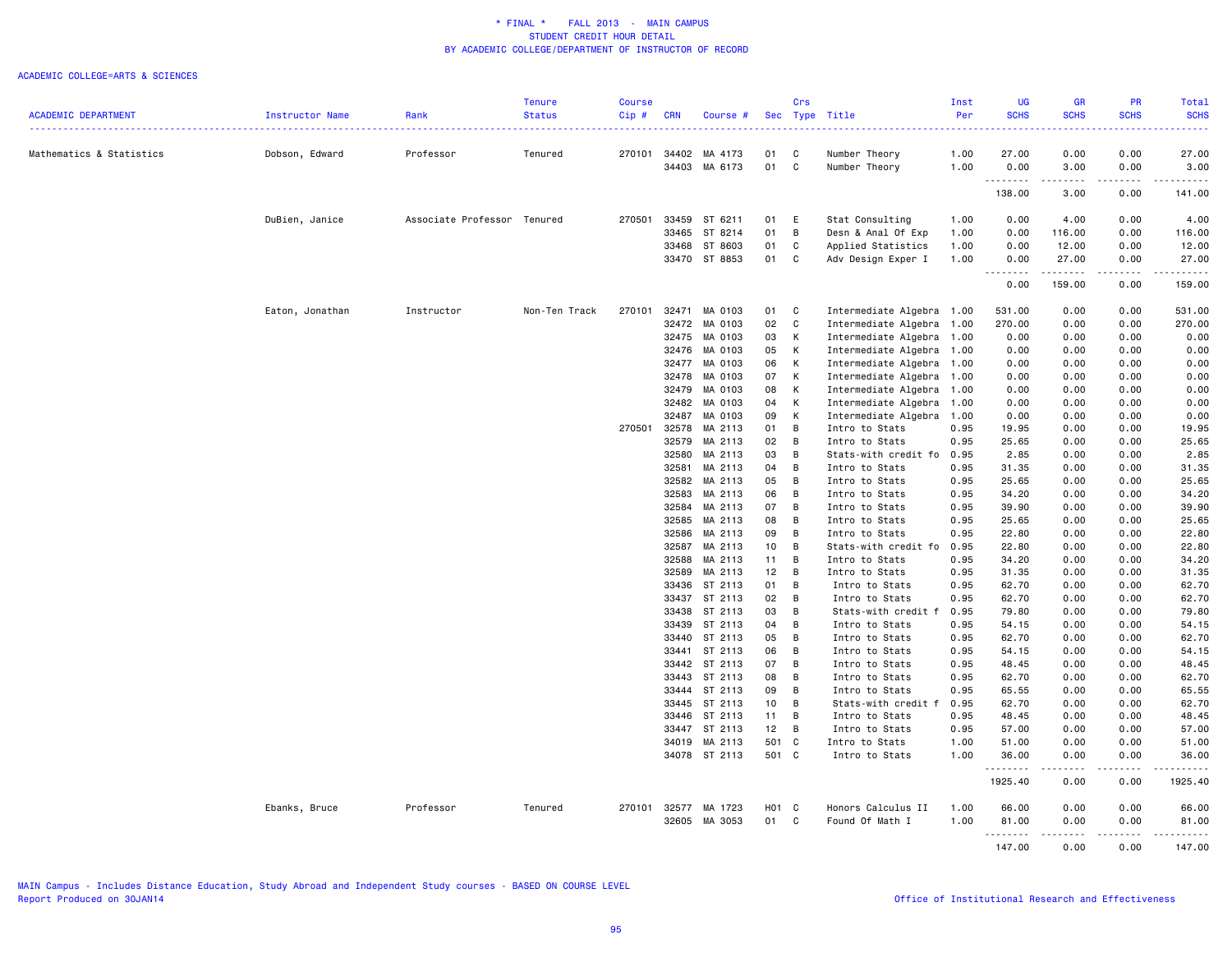|                            |                 |                             | <b>Tenure</b> | <b>Course</b> |            |                                |                 | Crs            |                                | Inst         | UG            | <b>GR</b>                           | PR                  | Total         |
|----------------------------|-----------------|-----------------------------|---------------|---------------|------------|--------------------------------|-----------------|----------------|--------------------------------|--------------|---------------|-------------------------------------|---------------------|---------------|
| <b>ACADEMIC DEPARTMENT</b> | Instructor Name | Rank                        | <b>Status</b> | Cip#          | <b>CRN</b> | Course #                       |                 |                | Sec Type Title                 | Per          | <b>SCHS</b>   | <b>SCHS</b>                         | <b>SCHS</b>         | <b>SCHS</b>   |
|                            |                 |                             |               | 270101        |            |                                |                 |                |                                |              |               |                                     |                     |               |
| Mathematics & Statistics   | Dobson, Edward  | Professor                   | Tenured       |               |            | 34402 MA 4173<br>34403 MA 6173 | 01<br>01        | C<br>C         | Number Theory<br>Number Theory | 1.00<br>1.00 | 27.00<br>0.00 | 0.00<br>3.00                        | 0.00<br>0.00        | 27.00<br>3.00 |
|                            |                 |                             |               |               |            |                                |                 |                |                                |              | .<br>138.00   | $\sim$ $\sim$ $\sim$ $\sim$<br>3.00 | .<br>0.00           | 141.00        |
|                            | DuBien, Janice  | Associate Professor Tenured |               | 270501        | 33459      | ST 6211                        | 01              | E              | Stat Consulting                | 1.00         | 0.00          | 4.00                                | 0.00                | 4.00          |
|                            |                 |                             |               |               |            | 33465 ST 8214                  | 01              | B              | Desn & Anal Of Exp             | 1.00         | 0.00          | 116.00                              | 0.00                | 116.00        |
|                            |                 |                             |               |               |            | 33468 ST 8603                  | 01              | C              | Applied Statistics             | 1.00         | 0.00          | 12.00                               | 0.00                | 12.00         |
|                            |                 |                             |               |               |            | 33470 ST 8853                  | 01              | C              | Adv Design Exper I             | 1.00         | 0.00          | 27.00                               | 0.00                | 27.00         |
|                            |                 |                             |               |               |            |                                |                 |                |                                |              | .<br>0.00     | ------<br>159.00                    | -----<br>0.00       | 159.00        |
|                            | Eaton, Jonathan | Instructor                  | Non-Ten Track | 270101        | 32471      | MA 0103                        | 01              | C              | Intermediate Algebra 1.00      |              | 531.00        | 0.00                                | 0.00                | 531.00        |
|                            |                 |                             |               |               |            | 32472 MA 0103                  | 02              | C              | Intermediate Algebra           | 1.00         | 270.00        | 0.00                                | 0.00                | 270.00        |
|                            |                 |                             |               |               | 32475      | MA 0103                        | 03              | К              | Intermediate Algebra           | 1.00         | 0.00          | 0.00                                | 0.00                | 0.00          |
|                            |                 |                             |               |               |            | 32476 MA 0103                  | 05              | К              | Intermediate Algebra           | 1.00         | 0.00          | 0.00                                | 0.00                | 0.00          |
|                            |                 |                             |               |               | 32477      | MA 0103                        | 06              | К              | Intermediate Algebra           | 1.00         | 0.00          | 0.00                                | 0.00                | 0.00          |
|                            |                 |                             |               |               | 32478      | MA 0103                        | 07              | К              | Intermediate Algebra           | 1.00         | 0.00          | 0.00                                | 0.00                | 0.00          |
|                            |                 |                             |               |               | 32479      | MA 0103                        | 08              | К              | Intermediate Algebra           | 1.00         | 0.00          | 0.00                                | 0.00                | 0.00          |
|                            |                 |                             |               |               |            | 32482 MA 0103                  | 04              | К              | Intermediate Algebra           | 1.00         | 0.00          | 0.00                                | 0.00                | 0.00          |
|                            |                 |                             |               |               | 32487      | MA 0103                        | 09              | К              | Intermediate Algebra           | 1.00         | 0.00          | 0.00                                | 0.00                | 0.00          |
|                            |                 |                             |               | 270501        | 32578      | MA 2113                        | 01              | B              | Intro to Stats                 | 0.95         | 19.95         | 0.00                                | 0.00                | 19.95         |
|                            |                 |                             |               |               | 32579      | MA 2113                        | 02              | B              | Intro to Stats                 | 0.95         | 25.65         | 0.00                                | 0.00                | 25.65         |
|                            |                 |                             |               |               | 32580      | MA 2113                        | 03              | B              | Stats-with credit fo           | 0.95         | 2.85          | 0.00                                | 0.00                | 2.85          |
|                            |                 |                             |               |               | 32581      | MA 2113                        | 04              | B              | Intro to Stats                 | 0.95         | 31.35         | 0.00                                | 0.00                | 31.35         |
|                            |                 |                             |               |               | 32582      | MA 2113                        | 05              | В              | Intro to Stats                 | 0.95         | 25.65         | 0.00                                | 0.00                | 25.65         |
|                            |                 |                             |               |               | 32583      | MA 2113                        | 06              | B              | Intro to Stats                 | 0.95         | 34.20         | 0.00                                | 0.00                | 34.20         |
|                            |                 |                             |               |               |            | 32584 MA 2113                  | 07              | B              | Intro to Stats                 | 0.95         | 39.90         | 0.00                                | 0.00                | 39.90         |
|                            |                 |                             |               |               |            | 32585 MA 2113                  | 08              | B              | Intro to Stats                 | 0.95         | 25.65         | 0.00                                | 0.00                | 25.65         |
|                            |                 |                             |               |               |            | 32586 MA 2113                  | 09              | B              | Intro to Stats                 | 0.95         | 22.80         | 0.00                                | 0.00                | 22.80         |
|                            |                 |                             |               |               | 32587      | MA 2113                        | 10 <sub>1</sub> | В              | Stats-with credit fo           | 0.95         | 22.80         | 0.00                                | 0.00                | 22.80         |
|                            |                 |                             |               |               | 32588      | MA 2113                        | 11              | В              | Intro to Stats                 | 0.95         | 34.20         | 0.00                                | 0.00                | 34.20         |
|                            |                 |                             |               |               | 32589      | MA 2113                        | 12 <sup>7</sup> | $\overline{B}$ | Intro to Stats                 | 0.95         | 31.35         | 0.00                                | 0.00                | 31.35         |
|                            |                 |                             |               |               |            | 33436 ST 2113                  | 01              | B              | Intro to Stats                 | 0.95         | 62.70         | 0.00                                | 0.00                | 62.70         |
|                            |                 |                             |               |               |            | 33437 ST 2113                  | 02              | B              | Intro to Stats                 | 0.95         | 62.70         | 0.00                                | 0.00                | 62.70         |
|                            |                 |                             |               |               |            | 33438 ST 2113                  | 03              | B              | Stats-with credit f            | 0.95         | 79.80         | 0.00                                | 0.00                | 79.80         |
|                            |                 |                             |               |               |            | 33439 ST 2113                  | 04              | B              | Intro to Stats                 | 0.95         | 54.15         | 0.00                                | 0.00                | 54.15         |
|                            |                 |                             |               |               |            | 33440 ST 2113                  | 05              | B              | Intro to Stats                 | 0.95         | 62.70         | 0.00                                | 0.00                | 62.70         |
|                            |                 |                             |               |               | 33441      | ST 2113                        | 06              | B              | Intro to Stats                 | 0.95         | 54.15         | 0.00                                | 0.00                | 54.15         |
|                            |                 |                             |               |               |            | 33442 ST 2113                  | 07              | B              | Intro to Stats                 | 0.95         | 48.45         | 0.00                                | 0.00                | 48.45         |
|                            |                 |                             |               |               |            | 33443 ST 2113                  | 08              | B              | Intro to Stats                 | 0.95         | 62.70         | 0.00                                | 0.00                | 62.70         |
|                            |                 |                             |               |               |            | 33444 ST 2113                  | 09              | B              | Intro to Stats                 | 0.95         | 65.55         | 0.00                                | 0.00                | 65.55         |
|                            |                 |                             |               |               |            | 33445 ST 2113                  | 10 <sub>1</sub> | B              | Stats-with credit f            | 0.95         | 62.70         | 0.00                                | 0.00                | 62.70         |
|                            |                 |                             |               |               |            | 33446 ST 2113                  | 11              | B              | Intro to Stats                 | 0.95         | 48.45         | 0.00                                | 0.00                | 48.45         |
|                            |                 |                             |               |               |            | 33447 ST 2113                  | 12              | B              | Intro to Stats                 | 0.95         | 57.00         | 0.00                                | 0.00                | 57.00         |
|                            |                 |                             |               |               |            | 34019 MA 2113                  | 501 C           |                | Intro to Stats                 | 1.00         | 51.00         | 0.00                                | 0.00                | 51.00         |
|                            |                 |                             |               |               |            | 34078 ST 2113                  | 501 C           |                | Intro to Stats                 | 1.00         | 36.00<br>.    | 0.00<br>.                           | 0.00<br>$- - - - -$ | 36.00         |
|                            |                 |                             |               |               |            |                                |                 |                |                                |              | 1925.40       | 0.00                                | 0.00                | 1925.40       |
|                            | Ebanks, Bruce   | Professor                   | Tenured       | 270101        |            | 32577 MA 1723                  | H01 C           |                | Honors Calculus II             | 1.00         | 66.00         | 0.00                                | 0.00                | 66.00         |
|                            |                 |                             |               |               |            | 32605 MA 3053                  | 01 C            |                | Found Of Math I                | 1.00         | 81.00         | 0.00                                | 0.00                | 81.00         |
|                            |                 |                             |               |               |            |                                |                 |                |                                |              | .<br>147.00   | 0.00                                | 0.00                | 147.00        |
|                            |                 |                             |               |               |            |                                |                 |                |                                |              |               |                                     |                     |               |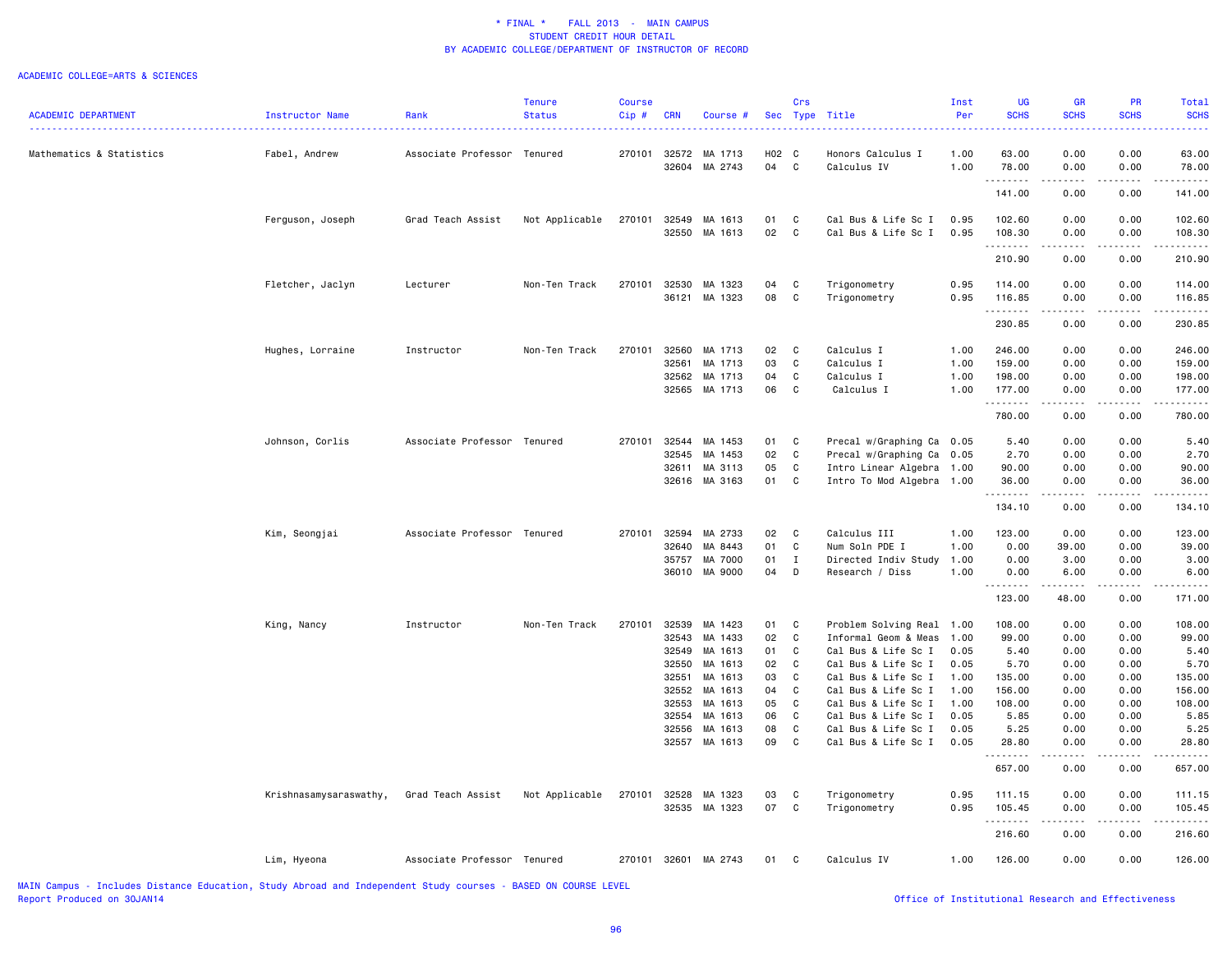#### ACADEMIC COLLEGE=ARTS & SCIENCES

| <b>ACADEMIC DEPARTMENT</b> | <b>Instructor Name</b> | Rank                        | Tenure<br><b>Status</b> | Course<br>Cip# | <b>CRN</b>     | Course #             | <b>Sec</b> | Crs<br>Type                 | Title                                      | Inst<br>Per  | <b>UG</b><br><b>SCHS</b> | <b>GR</b><br><b>SCHS</b>                                                                                                                                                                                                                                                                                                                     | PR<br><b>SCHS</b> | Total<br><b>SCHS</b>       |
|----------------------------|------------------------|-----------------------------|-------------------------|----------------|----------------|----------------------|------------|-----------------------------|--------------------------------------------|--------------|--------------------------|----------------------------------------------------------------------------------------------------------------------------------------------------------------------------------------------------------------------------------------------------------------------------------------------------------------------------------------------|-------------------|----------------------------|
|                            |                        |                             |                         |                |                |                      |            |                             |                                            |              |                          |                                                                                                                                                                                                                                                                                                                                              |                   | ----                       |
| Mathematics & Statistics   | Fabel, Andrew          | Associate Professor Tenured |                         | 270101         | 32572<br>32604 | MA 1713<br>MA 2743   | H02<br>04  | C<br>C                      | Honors Calculus I<br>Calculus IV           | 1.00<br>1.00 | 63.00<br>78.00           | 0.00<br>0.00                                                                                                                                                                                                                                                                                                                                 | 0.00<br>0.00      | 63.00<br>78.00             |
|                            |                        |                             |                         |                |                |                      |            |                             |                                            |              | .<br>141.00              | 0.00                                                                                                                                                                                                                                                                                                                                         | 0.00              | 141.00                     |
|                            | Ferguson, Joseph       | Grad Teach Assist           | Not Applicable          | 270101         | 32549<br>32550 | MA 1613<br>MA 1613   | 01<br>02   | C<br>C                      | Cal Bus & Life Sc I<br>Cal Bus & Life Sc I | 0.95<br>0.95 | 102.60<br>108.30         | 0.00<br>0.00                                                                                                                                                                                                                                                                                                                                 | 0.00<br>0.00      | 102.60<br>108.30           |
|                            |                        |                             |                         |                |                |                      |            |                             |                                            |              | .<br>210.90              | $\frac{1}{2} \left( \begin{array}{ccc} 1 & 0 & 0 & 0 \\ 0 & 0 & 0 & 0 \\ 0 & 0 & 0 & 0 \\ 0 & 0 & 0 & 0 \\ 0 & 0 & 0 & 0 \\ 0 & 0 & 0 & 0 \\ 0 & 0 & 0 & 0 \\ 0 & 0 & 0 & 0 \\ 0 & 0 & 0 & 0 \\ 0 & 0 & 0 & 0 \\ 0 & 0 & 0 & 0 & 0 \\ 0 & 0 & 0 & 0 & 0 \\ 0 & 0 & 0 & 0 & 0 \\ 0 & 0 & 0 & 0 & 0 \\ 0 & 0 & 0 & 0 & 0 \\ 0 & 0 & 0$<br>0.00 | .<br>0.00         | .<br>210.90                |
|                            | Fletcher, Jaclyn       | Lecturer                    | Non-Ten Track           | 270101         | 32530          | MA 1323              | 04         | C                           | Trigonometry                               | 0.95         | 114.00                   | 0.00                                                                                                                                                                                                                                                                                                                                         | 0.00              | 114.00                     |
|                            |                        |                             |                         |                | 36121          | MA 1323              | 08         | C                           | Trigonometry                               | 0.95         | 116.85<br>.              | 0.00<br>$\frac{1}{2} \left( \frac{1}{2} \right) \left( \frac{1}{2} \right) \left( \frac{1}{2} \right) \left( \frac{1}{2} \right)$                                                                                                                                                                                                            | 0.00<br>.         | 116.85<br>المتمام والمناور |
|                            |                        |                             |                         |                |                |                      |            |                             |                                            |              | 230.85                   | 0.00                                                                                                                                                                                                                                                                                                                                         | 0.00              | 230.85                     |
|                            | Hughes, Lorraine       | Instructor                  | Non-Ten Track           | 270101         | 32560          | MA 1713              | 02         | C                           | Calculus I                                 | 1.00         | 246.00                   | 0.00                                                                                                                                                                                                                                                                                                                                         | 0.00              | 246.00                     |
|                            |                        |                             |                         |                | 32561<br>32562 | MA 1713<br>MA 1713   | 03<br>04   | C<br>C                      | Calculus I<br>Calculus I                   | 1.00<br>1.00 | 159.00<br>198.00         | 0.00<br>0.00                                                                                                                                                                                                                                                                                                                                 | 0.00<br>0.00      | 159.00<br>198.00           |
|                            |                        |                             |                         |                |                | 32565 MA 1713        | 06         | C                           | Calculus I                                 | 1.00         | 177.00                   | 0.00                                                                                                                                                                                                                                                                                                                                         | 0.00              | 177.00                     |
|                            |                        |                             |                         |                |                |                      |            |                             |                                            |              | .<br>780.00              | .<br>0.00                                                                                                                                                                                                                                                                                                                                    | .<br>0.00         | .<br>780.00                |
|                            | Johnson, Corlis        | Associate Professor Tenured |                         | 270101         | 32544          | MA 1453              | 01         | C                           | Precal w/Graphing Ca 0.05                  |              | 5.40                     | 0.00                                                                                                                                                                                                                                                                                                                                         | 0.00              | 5.40                       |
|                            |                        |                             |                         |                | 32545          | MA 1453              | 02         | $\mathtt{C}$                | Precal w/Graphing Ca                       | 0.05         | 2.70                     | 0.00                                                                                                                                                                                                                                                                                                                                         | 0.00              | 2.70                       |
|                            |                        |                             |                         |                | 32611          | MA 3113              | 05         | C                           | Intro Linear Algebra                       | 1.00         | 90.00                    | 0.00                                                                                                                                                                                                                                                                                                                                         | 0.00              | 90.00                      |
|                            |                        |                             |                         |                | 32616          | MA 3163              | 01         | $\mathbf C$                 | Intro To Mod Algebra 1.00                  |              | 36.00<br><u>.</u>        | 0.00<br>.                                                                                                                                                                                                                                                                                                                                    | 0.00              | 36.00<br>.                 |
|                            |                        |                             |                         |                |                |                      |            |                             |                                            |              | 134.10                   | 0.00                                                                                                                                                                                                                                                                                                                                         | 0.00              | 134.10                     |
|                            | Kim, Seongjai          | Associate Professor Tenured |                         | 270101         | 32594          | MA 2733              | 02         | C                           | Calculus III                               | 1.00         | 123.00                   | 0.00                                                                                                                                                                                                                                                                                                                                         | 0.00              | 123.00                     |
|                            |                        |                             |                         |                | 32640<br>35757 | MA 8443<br>MA 7000   | 01<br>01   | $\mathtt{C}$<br>$\mathbf I$ | Num Soln PDE I                             | 1.00<br>1.00 | 0.00<br>0.00             | 39.00<br>3.00                                                                                                                                                                                                                                                                                                                                | 0.00<br>0.00      | 39.00<br>3.00              |
|                            |                        |                             |                         |                | 36010          | MA 9000              | 04         | D                           | Directed Indiv Study<br>Research / Diss    | 1.00         | 0.00<br>-----            | 6.00                                                                                                                                                                                                                                                                                                                                         | 0.00              | 6.00                       |
|                            |                        |                             |                         |                |                |                      |            |                             |                                            |              | 123.00                   | 48.00                                                                                                                                                                                                                                                                                                                                        | 0.00              | 171.00                     |
|                            | King, Nancy            | Instructor                  | Non-Ten Track           | 270101         | 32539          | MA 1423              | 01         | C                           | Problem Solving Real                       | 1.00         | 108.00                   | 0.00                                                                                                                                                                                                                                                                                                                                         | 0.00              | 108.00                     |
|                            |                        |                             |                         |                | 32543          | MA 1433              | 02         | C                           | Informal Geom & Meas                       | 1.00         | 99.00                    | 0.00                                                                                                                                                                                                                                                                                                                                         | 0.00              | 99.00                      |
|                            |                        |                             |                         |                | 32549          | MA 1613              | 01         | C                           | Cal Bus & Life Sc I                        | 0.05         | 5.40                     | 0.00                                                                                                                                                                                                                                                                                                                                         | 0.00              | 5.40                       |
|                            |                        |                             |                         |                | 32550          | MA 1613              | 02         | C                           | Cal Bus & Life Sc I                        | 0.05         | 5.70                     | 0.00                                                                                                                                                                                                                                                                                                                                         | 0.00              | 5.70                       |
|                            |                        |                             |                         |                | 32551          | MA 1613              | 03         | C                           | Cal Bus & Life Sc I                        | 1.00         | 135.00                   | 0.00                                                                                                                                                                                                                                                                                                                                         | 0.00              | 135.00                     |
|                            |                        |                             |                         |                | 32552          | MA 1613              | 04         | C                           | Cal Bus & Life Sc I                        | 1.00         | 156.00                   | 0.00                                                                                                                                                                                                                                                                                                                                         | 0.00              | 156.00                     |
|                            |                        |                             |                         |                | 32553          | MA 1613              | 05         | C                           | Cal Bus & Life Sc I                        | 1.00         | 108.00                   | 0.00                                                                                                                                                                                                                                                                                                                                         | 0.00              | 108.00                     |
|                            |                        |                             |                         |                | 32554          | MA 1613              | 06         | C                           | Cal Bus & Life Sc I                        | 0.05         | 5.85                     | 0.00                                                                                                                                                                                                                                                                                                                                         | 0.00              | 5.85                       |
|                            |                        |                             |                         |                | 32556          | MA 1613              | 08         | C                           | Cal Bus & Life Sc I                        | 0.05         | 5.25                     | 0.00                                                                                                                                                                                                                                                                                                                                         | 0.00              | 5.25                       |
|                            |                        |                             |                         |                |                | 32557 MA 1613        | 09         | C                           | Cal Bus & Life Sc I                        | 0.05         | 28.80<br>.               | 0.00<br>.                                                                                                                                                                                                                                                                                                                                    | 0.00<br>د د د د   | 28.80<br>.                 |
|                            |                        |                             |                         |                |                |                      |            |                             |                                            |              | 657.00                   | 0.00                                                                                                                                                                                                                                                                                                                                         | 0.00              | 657.00                     |
|                            | Krishnasamysaraswathy, | Grad Teach Assist           | Not Applicable          | 270101         | 32528          | MA 1323              | 03         | C                           | Trigonometry                               | 0.95         | 111.15                   | 0.00                                                                                                                                                                                                                                                                                                                                         | 0.00              | 111.15                     |
|                            |                        |                             |                         |                |                | 32535 MA 1323        | 07         | C                           | Trigonometry                               | 0.95         | 105.45<br>.              | 0.00<br>$\frac{1}{2} \left( \frac{1}{2} \right) \left( \frac{1}{2} \right) \left( \frac{1}{2} \right) \left( \frac{1}{2} \right)$                                                                                                                                                                                                            | 0.00<br>.         | 105.45<br>.                |
|                            |                        |                             |                         |                |                |                      |            |                             |                                            |              | 216.60                   | 0.00                                                                                                                                                                                                                                                                                                                                         | 0.00              | 216.60                     |
|                            | Lim, Hyeona            | Associate Professor Tenured |                         |                |                | 270101 32601 MA 2743 | 01         | C                           | Calculus IV                                | 1.00         | 126.00                   | 0.00                                                                                                                                                                                                                                                                                                                                         | 0.00              | 126.00                     |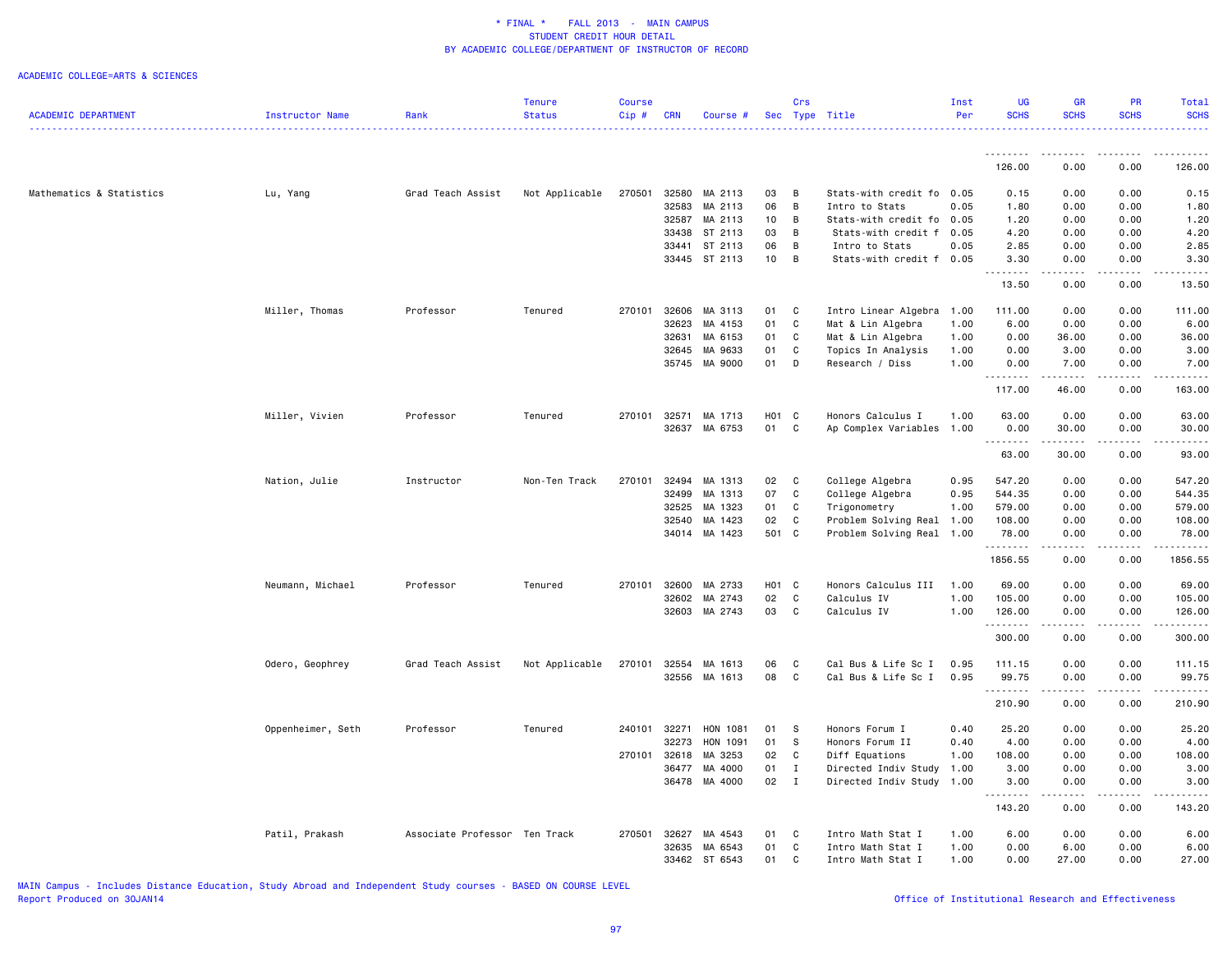|                            |                   |                               | <b>Tenure</b>  | <b>Course</b> |              |               |       | Crs            |                           | Inst | <b>UG</b>          | <b>GR</b>                                                                                                           | <b>PR</b>           | Total            |
|----------------------------|-------------------|-------------------------------|----------------|---------------|--------------|---------------|-------|----------------|---------------------------|------|--------------------|---------------------------------------------------------------------------------------------------------------------|---------------------|------------------|
| <b>ACADEMIC DEPARTMENT</b> | Instructor Name   | Rank                          | <b>Status</b>  | Cip#          | <b>CRN</b>   | Course #      |       |                | Sec Type Title            | Per  | <b>SCHS</b>        | <b>SCHS</b>                                                                                                         | <b>SCHS</b>         | <b>SCHS</b><br>. |
|                            |                   |                               |                |               |              |               |       |                |                           |      | .                  | .                                                                                                                   | <b>.</b>            | .                |
|                            |                   |                               |                |               |              |               |       |                |                           |      | 126.00             | 0.00                                                                                                                | 0.00                | 126.00           |
| Mathematics & Statistics   | Lu, Yang          | Grad Teach Assist             | Not Applicable | 270501        | 32580        | MA 2113       | 03    | B              | Stats-with credit fo 0.05 |      | 0.15               | 0.00                                                                                                                | 0.00                | 0.15             |
|                            |                   |                               |                |               | 32583        | MA 2113       | 06    | B              | Intro to Stats            | 0.05 | 1.80               | 0.00                                                                                                                | 0.00                | 1.80             |
|                            |                   |                               |                |               | 32587        | MA 2113       | 10    | B              | Stats-with credit fo      | 0.05 | 1.20               | 0.00                                                                                                                | 0.00                | 1.20             |
|                            |                   |                               |                |               | 33438        | ST 2113       | 03    | B              | Stats-with credit f       | 0.05 | 4.20               | 0.00                                                                                                                | 0.00                | 4.20             |
|                            |                   |                               |                |               | 33441        | ST 2113       | 06    | B              | Intro to Stats            | 0.05 | 2.85               | 0.00                                                                                                                | 0.00                | 2.85             |
|                            |                   |                               |                |               |              | 33445 ST 2113 | 10    | B              | Stats-with credit f       | 0.05 | 3.30<br>.          | 0.00<br>$\begin{array}{cccccccccc} \bullet & \bullet & \bullet & \bullet & \bullet & \bullet & \bullet \end{array}$ | 0.00<br>.           | 3.30<br>.        |
|                            |                   |                               |                |               |              |               |       |                |                           |      | 13.50              | 0.00                                                                                                                | 0.00                | 13.50            |
|                            | Miller, Thomas    | Professor                     | Tenured        | 270101        | 32606        | MA 3113       | 01    | C              | Intro Linear Algebra 1.00 |      | 111.00             | 0.00                                                                                                                | 0.00                | 111.00           |
|                            |                   |                               |                |               | 32623        | MA 4153       | 01    | $\mathbf c$    | Mat & Lin Algebra         | 1.00 | 6.00               | 0.00                                                                                                                | 0.00                | 6.00             |
|                            |                   |                               |                |               | 32631        | MA 6153       | 01    | C              | Mat & Lin Algebra         | 1.00 | 0.00               | 36.00                                                                                                               | 0.00                | 36.00            |
|                            |                   |                               |                |               | 32645        | MA 9633       | 01    | C              | Topics In Analysis        | 1.00 | 0.00               | 3.00                                                                                                                | 0.00                | 3.00             |
|                            |                   |                               |                |               | 35745        | MA 9000       | 01    | D              | Research / Diss           | 1.00 | 0.00<br>.          | 7.00<br>.                                                                                                           | 0.00<br>.           | 7.00             |
|                            |                   |                               |                |               |              |               |       |                |                           |      | 117.00             | 46.00                                                                                                               | 0.00                | 163.00           |
|                            | Miller, Vivien    | Professor                     | Tenured        | 270101        | 32571        | MA 1713       | H01 C |                | Honors Calculus I         | 1.00 | 63.00              | 0.00                                                                                                                | 0.00                | 63.00            |
|                            |                   |                               |                |               | 32637        | MA 6753       | 01    | $\mathbf{C}$   | Ap Complex Variables 1.00 |      | 0.00               | 30.00                                                                                                               | 0.00                | 30.00            |
|                            |                   |                               |                |               |              |               |       |                |                           |      | .<br>63.00         | .<br>30.00                                                                                                          | .<br>0.00           | .<br>93.00       |
|                            | Nation, Julie     | Instructor                    | Non-Ten Track  | 270101        | 32494        | MA 1313       | 02    | C              | College Algebra           | 0.95 | 547.20             | 0.00                                                                                                                | 0.00                | 547.20           |
|                            |                   |                               |                |               | 32499        | MA 1313       | 07    | C              | College Algebra           | 0.95 | 544.35             | 0.00                                                                                                                | 0.00                | 544.35           |
|                            |                   |                               |                |               | 32525        | MA 1323       | 01    | C              | Trigonometry              | 1.00 | 579.00             | 0.00                                                                                                                | 0.00                | 579.00           |
|                            |                   |                               |                |               | 32540        | MA 1423       | 02    | C              | Problem Solving Real 1.00 |      | 108.00             | 0.00                                                                                                                | 0.00                | 108.00           |
|                            |                   |                               |                |               |              | 34014 MA 1423 | 501 C |                | Problem Solving Real 1.00 |      | 78.00<br>.         | 0.00<br>$\sim$ $\sim$ $\sim$ $\sim$                                                                                 | 0.00<br>.           | 78.00<br>-----   |
|                            |                   |                               |                |               |              |               |       |                |                           |      | 1856.55            | 0.00                                                                                                                | 0.00                | 1856.55          |
|                            | Neumann, Michael  | Professor                     | Tenured        |               | 270101 32600 | MA 2733       | H01 C |                | Honors Calculus III 1.00  |      | 69.00              | 0.00                                                                                                                | 0.00                | 69.00            |
|                            |                   |                               |                |               | 32602        | MA 2743       | 02    | C              | Calculus IV               | 1.00 | 105.00             | 0.00                                                                                                                | 0.00                | 105.00           |
|                            |                   |                               |                |               | 32603        | MA 2743       | 03    | C              | Calculus IV               | 1.00 | 126.00<br>.        | 0.00                                                                                                                | 0.00                | 126.00<br>.      |
|                            |                   |                               |                |               |              |               |       |                |                           |      | 300.00             | 0.00                                                                                                                | 0.00                | 300.00           |
|                            | Odero, Geophrey   | Grad Teach Assist             | Not Applicable | 270101        | 32554        | MA 1613       | 06    | C              | Cal Bus & Life Sc I       | 0.95 | 111.15             | 0.00                                                                                                                | 0.00                | 111.15           |
|                            |                   |                               |                |               |              | 32556 MA 1613 | 08    | C              | Cal Bus & Life Sc I       | 0.95 | 99.75<br>.         | 0.00<br>$\sim$ $\sim$ $\sim$                                                                                        | 0.00                | 99.75            |
|                            |                   |                               |                |               |              |               |       |                |                           |      | 210.90             | 0.00                                                                                                                | 0.00                | 210.90           |
|                            | Oppenheimer, Seth | Professor                     | Tenured        | 240101 32271  |              | HON 1081      | 01    | $^{\circ}$ s   | Honors Forum I            | 0.40 | 25.20              | 0.00                                                                                                                | 0.00                | 25.20            |
|                            |                   |                               |                |               | 32273        | HON 1091      | 01    | S              | Honors Forum II           | 0.40 | 4.00               | 0.00                                                                                                                | 0.00                | 4.00             |
|                            |                   |                               |                | 270101        | 32618        | MA 3253       | 02    | C              | Diff Equations            | 1.00 | 108.00             | 0.00                                                                                                                | 0.00                | 108.00           |
|                            |                   |                               |                |               | 36477        | MA 4000       | 01    | $\mathbf{I}$   | Directed Indiv Study 1.00 |      | 3.00               | 0.00                                                                                                                | 0.00                | 3.00             |
|                            |                   |                               |                |               | 36478        | MA 4000       | 02    | $\blacksquare$ | Directed Indiv Study 1.00 |      | 3.00<br>. <b>.</b> | 0.00<br><b>.</b>                                                                                                    | 0.00<br>$- - - - -$ | 3.00<br>.        |
|                            |                   |                               |                |               |              |               |       |                |                           |      | 143.20             | 0.00                                                                                                                | 0.00                | 143.20           |
|                            | Patil, Prakash    | Associate Professor Ten Track |                | 270501        | 32627        | MA 4543       | 01    | C              | Intro Math Stat I         | 1.00 | 6.00               | 0.00                                                                                                                | 0.00                | 6.00             |
|                            |                   |                               |                |               | 32635        | MA 6543       | 01    | C              | Intro Math Stat I         | 1.00 | 0.00               | 6.00                                                                                                                | 0.00                | 6.00             |
|                            |                   |                               |                |               |              | 33462 ST 6543 | 01    | C              | Intro Math Stat I         | 1.00 | 0.00               | 27.00                                                                                                               | 0.00                | 27.00            |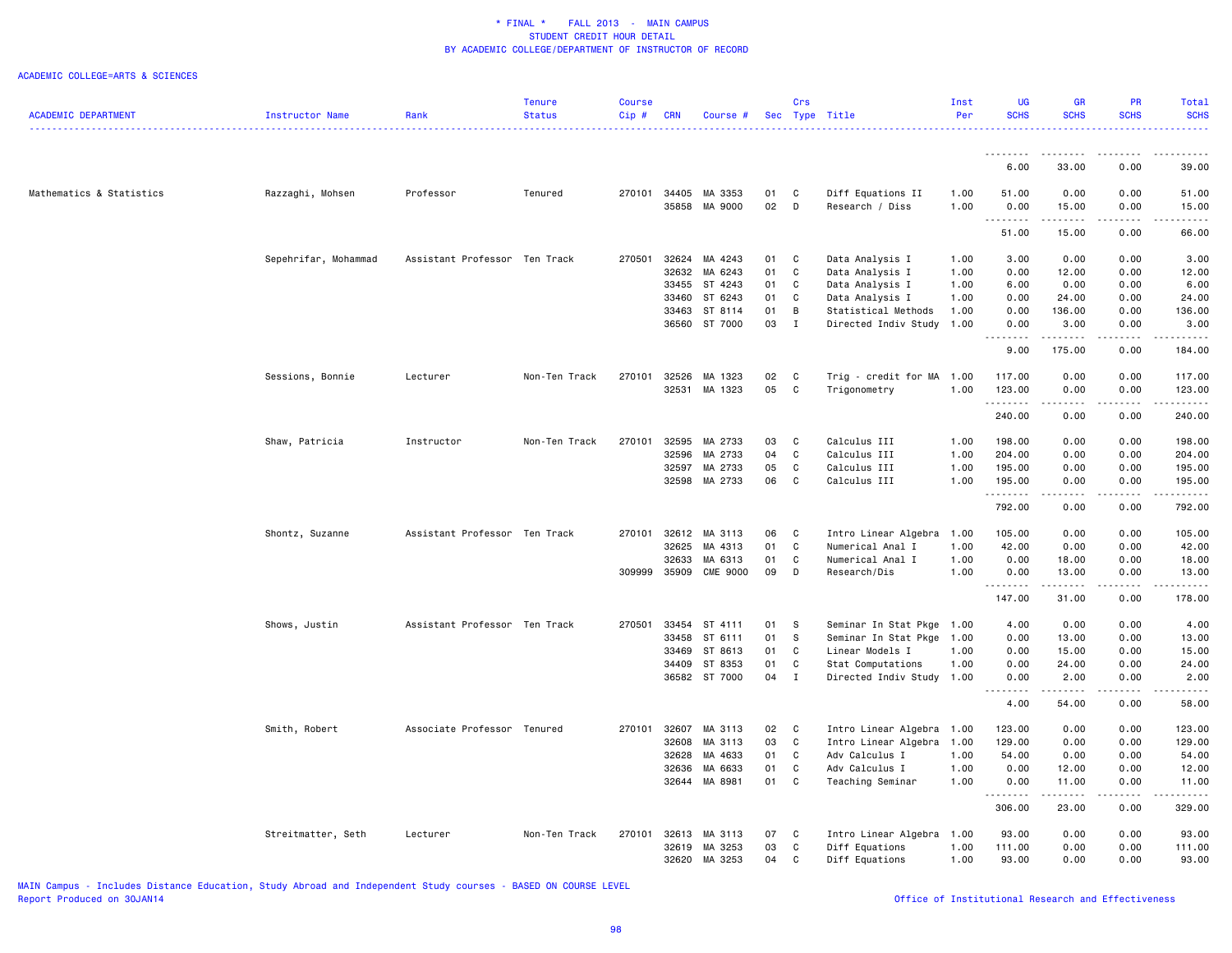|                            |                      |                               | Tenure        | <b>Course</b> |            |                 |    | Crs          |                           | Inst | <b>UG</b>          | GR                 | <b>PR</b>                                                                                                                                                    | Total                    |
|----------------------------|----------------------|-------------------------------|---------------|---------------|------------|-----------------|----|--------------|---------------------------|------|--------------------|--------------------|--------------------------------------------------------------------------------------------------------------------------------------------------------------|--------------------------|
| <b>ACADEMIC DEPARTMENT</b> | Instructor Name      | Rank                          | <b>Status</b> | Cip#          | <b>CRN</b> | Course #        |    |              | Sec Type Title            | Per  | <b>SCHS</b>        | <b>SCHS</b>        | <b>SCHS</b><br>.                                                                                                                                             | <b>SCHS</b><br>2.2.2.2.1 |
|                            |                      |                               |               |               |            |                 |    |              |                           |      |                    |                    |                                                                                                                                                              |                          |
|                            |                      |                               |               |               |            |                 |    |              |                           |      | <u>.</u><br>6.00   | 33.00              | 0.00                                                                                                                                                         | 39.00                    |
|                            |                      |                               |               |               |            |                 |    |              |                           |      |                    |                    |                                                                                                                                                              |                          |
| Mathematics & Statistics   | Razzaghi, Mohsen     | Professor                     | Tenured       | 270101        |            | 34405 MA 3353   | 01 | C            | Diff Equations II         | 1.00 | 51.00              | 0.00               | 0.00                                                                                                                                                         | 51.00                    |
|                            |                      |                               |               |               | 35858      | MA 9000         | 02 | D            | Research / Diss           | 1.00 | 0.00<br>.          | 15.00<br>.         | 0.00<br>.                                                                                                                                                    | 15.00<br>.               |
|                            |                      |                               |               |               |            |                 |    |              |                           |      | 51.00              | 15.00              | 0.00                                                                                                                                                         | 66.00                    |
|                            | Sepehrifar, Mohammad | Assistant Professor Ten Track |               | 270501        | 32624      | MA 4243         | 01 | C            | Data Analysis I           | 1.00 | 3.00               | 0.00               | 0.00                                                                                                                                                         | 3.00                     |
|                            |                      |                               |               |               | 32632      | MA 6243         | 01 | $\mathtt{C}$ | Data Analysis I           | 1.00 | 0.00               | 12.00              | 0.00                                                                                                                                                         | 12.00                    |
|                            |                      |                               |               |               | 33455      | ST 4243         | 01 | $\mathtt{C}$ | Data Analysis I           | 1.00 | 6.00               | 0.00               | 0.00                                                                                                                                                         | 6.00                     |
|                            |                      |                               |               |               | 33460      | ST 6243         | 01 | $\mathtt{C}$ | Data Analysis I           | 1.00 | 0.00               | 24.00              | 0.00                                                                                                                                                         | 24.00                    |
|                            |                      |                               |               |               | 33463      | ST 8114         | 01 | В            | Statistical Methods       | 1.00 | 0.00               | 136.00             | 0.00                                                                                                                                                         | 136.00                   |
|                            |                      |                               |               |               | 36560      | ST 7000         | 03 | $\mathbf{I}$ | Directed Indiv Study      | 1.00 | 0.00               | 3.00<br>.          | 0.00                                                                                                                                                         | 3.00                     |
|                            |                      |                               |               |               |            |                 |    |              |                           |      | 9.00               | 175.00             | 0.00                                                                                                                                                         | 184.00                   |
|                            | Sessions, Bonnie     | Lecturer                      | Non-Ten Track | 270101        | 32526      | MA 1323         | 02 | C            | Trig - credit for MA 1.00 |      | 117.00             | 0.00               | 0.00                                                                                                                                                         | 117.00                   |
|                            |                      |                               |               |               |            | 32531 MA 1323   | 05 | C            | Trigonometry              | 1.00 | 123.00             | 0.00               | 0.00                                                                                                                                                         | 123.00                   |
|                            |                      |                               |               |               |            |                 |    |              |                           |      | .<br>240.00        | -----<br>0.00      | -----<br>0.00                                                                                                                                                | .<br>240.00              |
|                            |                      |                               |               |               |            |                 |    |              |                           |      |                    |                    |                                                                                                                                                              |                          |
|                            | Shaw, Patricia       | Instructor                    | Non-Ten Track | 270101        | 32595      | MA 2733         | 03 | C            | Calculus III              | 1.00 | 198.00             | 0.00               | 0.00                                                                                                                                                         | 198.00                   |
|                            |                      |                               |               |               | 32596      | MA 2733         | 04 | C            | Calculus III              | 1.00 | 204.00             | 0.00               | 0.00                                                                                                                                                         | 204.00                   |
|                            |                      |                               |               |               | 32597      | MA 2733         | 05 | C            | Calculus III              | 1.00 | 195.00             | 0.00               | 0.00                                                                                                                                                         | 195.00                   |
|                            |                      |                               |               |               | 32598      | MA 2733         | 06 | C            | Calculus III              | 1.00 | 195.00<br>.        | 0.00<br>.          | 0.00<br>.                                                                                                                                                    | 195.00<br>.              |
|                            |                      |                               |               |               |            |                 |    |              |                           |      | 792.00             | 0.00               | 0.00                                                                                                                                                         | 792.00                   |
|                            | Shontz, Suzanne      | Assistant Professor Ten Track |               | 270101        | 32612      | MA 3113         | 06 | C            | Intro Linear Algebra      | 1.00 | 105.00             | 0.00               | 0.00                                                                                                                                                         | 105.00                   |
|                            |                      |                               |               |               | 32625      | MA 4313         | 01 | C            | Numerical Anal I          | 1.00 | 42.00              | 0.00               | 0.00                                                                                                                                                         | 42.00                    |
|                            |                      |                               |               |               | 32633      | MA 6313         | 01 | C            | Numerical Anal I          | 1.00 | 0.00               | 18.00              | 0.00                                                                                                                                                         | 18.00                    |
|                            |                      |                               |               | 309999        | 35909      | <b>CME 9000</b> | 09 | D            | Research/Dis              | 1.00 | 0.00<br>.          | 13.00<br>.         | 0.00                                                                                                                                                         | 13.00<br>.               |
|                            |                      |                               |               |               |            |                 |    |              |                           |      | 147.00             | 31.00              | 0.00                                                                                                                                                         | 178.00                   |
|                            | Shows, Justin        | Assistant Professor Ten Track |               | 270501        |            | 33454 ST 4111   | 01 | s            | Seminar In Stat Pkge 1.00 |      | 4.00               | 0.00               | 0.00                                                                                                                                                         | 4.00                     |
|                            |                      |                               |               |               | 33458      | ST 6111         | 01 | S            | Seminar In Stat Pkge      | 1.00 | 0.00               | 13.00              | 0.00                                                                                                                                                         | 13.00                    |
|                            |                      |                               |               |               | 33469      | ST 8613         | 01 | C            | Linear Models I           | 1.00 | 0.00               | 15.00              | 0.00                                                                                                                                                         | 15.00                    |
|                            |                      |                               |               |               | 34409      | ST 8353         | 01 | C            | Stat Computations         | 1.00 | 0.00               | 24.00              | 0.00                                                                                                                                                         | 24.00                    |
|                            |                      |                               |               |               |            | 36582 ST 7000   | 04 | $\mathbf{I}$ | Directed Indiv Study 1.00 |      | 0.00<br>. <b>.</b> | 2.00<br>. <b>.</b> | 0.00<br>.                                                                                                                                                    | 2.00<br>.                |
|                            |                      |                               |               |               |            |                 |    |              |                           |      | 4.00               | 54.00              | 0.00                                                                                                                                                         | 58.00                    |
|                            | Smith, Robert        | Associate Professor Tenured   |               | 270101        | 32607      | MA 3113         | 02 | C            | Intro Linear Algebra 1.00 |      | 123.00             | 0.00               | 0.00                                                                                                                                                         | 123.00                   |
|                            |                      |                               |               |               | 32608      | MA 3113         | 03 | $\mathtt{C}$ | Intro Linear Algebra      | 1.00 | 129.00             | 0.00               | 0.00                                                                                                                                                         | 129.00                   |
|                            |                      |                               |               |               | 32628      | MA 4633         | 01 | C            | Adv Calculus I            | 1.00 | 54.00              | 0.00               | 0.00                                                                                                                                                         | 54.00                    |
|                            |                      |                               |               |               | 32636      | MA 6633         | 01 | C            | Adv Calculus I            | 1.00 | 0.00               | 12.00              | 0.00                                                                                                                                                         | 12.00                    |
|                            |                      |                               |               |               |            | 32644 MA 8981   | 01 | C            | Teaching Seminar          | 1.00 | 0.00<br>.          | 11.00<br>.         | 0.00<br>$\frac{1}{2} \left( \frac{1}{2} \right) \left( \frac{1}{2} \right) \left( \frac{1}{2} \right) \left( \frac{1}{2} \right) \left( \frac{1}{2} \right)$ | 11.00<br>. <b>.</b>      |
|                            |                      |                               |               |               |            |                 |    |              |                           |      | 306.00             | 23.00              | 0.00                                                                                                                                                         | 329.00                   |
|                            | Streitmatter, Seth   | Lecturer                      | Non-Ten Track | 270101        | 32613      | MA 3113         | 07 | C            | Intro Linear Algebra 1.00 |      | 93.00              | 0.00               | 0.00                                                                                                                                                         | 93.00                    |
|                            |                      |                               |               |               | 32619      | MA 3253         | 03 | $\mathtt{C}$ | Diff Equations            | 1.00 | 111.00             | 0.00               | 0.00                                                                                                                                                         | 111.00                   |
|                            |                      |                               |               |               | 32620      | MA 3253         | 04 | C            | Diff Equations            | 1.00 | 93.00              | 0.00               | 0.00                                                                                                                                                         | 93.00                    |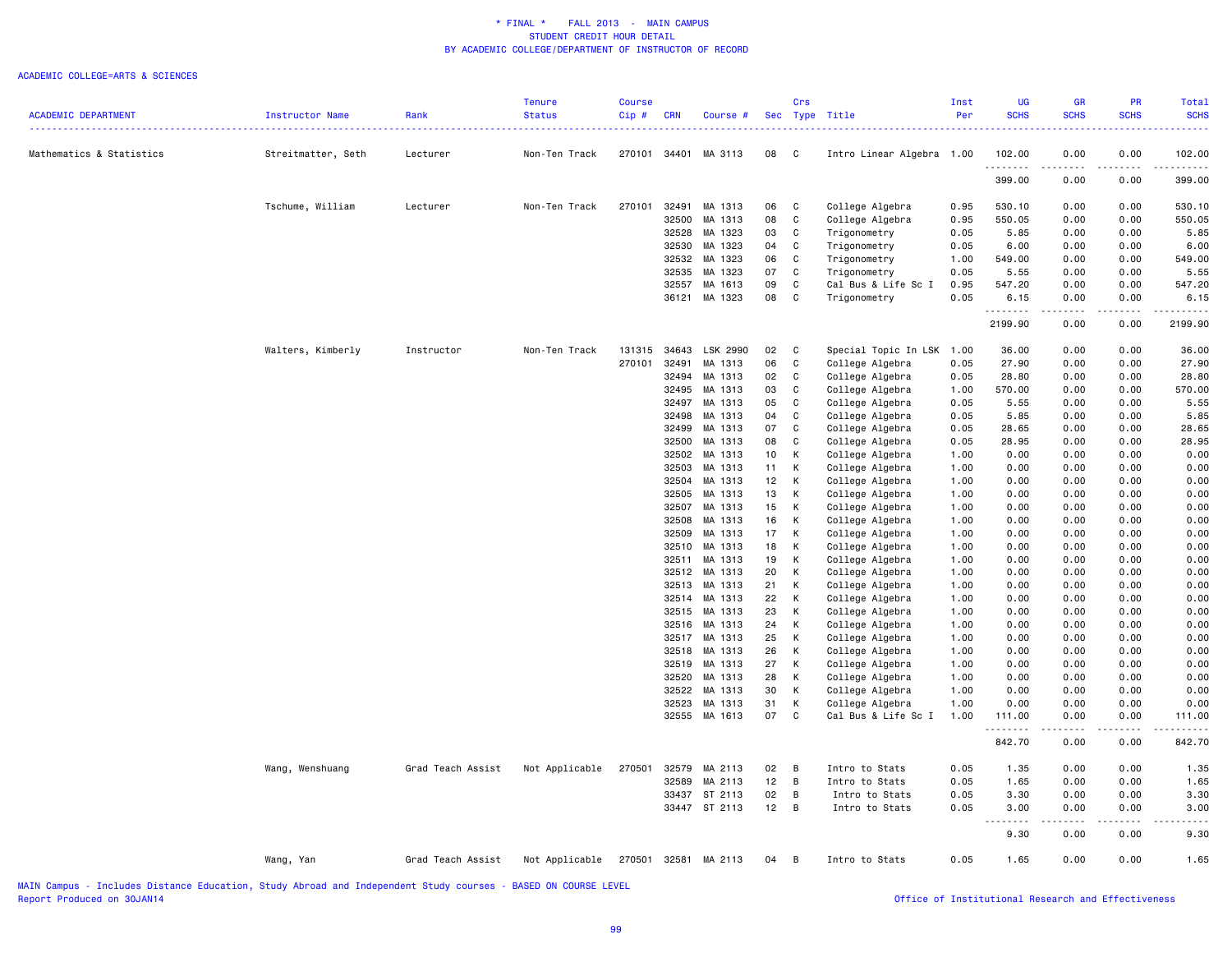#### ACADEMIC COLLEGE=ARTS & SCIENCES

|                            |                    |                   | <b>Tenure</b>  | <b>Course</b> |            |                          |                 | Crs            |                                    | Inst         | UG           | <b>GR</b>                    | PR           | <b>Total</b>              |
|----------------------------|--------------------|-------------------|----------------|---------------|------------|--------------------------|-----------------|----------------|------------------------------------|--------------|--------------|------------------------------|--------------|---------------------------|
| <b>ACADEMIC DEPARTMENT</b> | Instructor Name    | Rank              | <b>Status</b>  | $Cip$ #       | <b>CRN</b> | Course #                 |                 |                | Sec Type Title                     | Per          | <b>SCHS</b>  | <b>SCHS</b>                  | <b>SCHS</b>  | <b>SCHS</b>               |
|                            |                    |                   |                |               |            |                          |                 |                |                                    |              |              |                              |              |                           |
| Mathematics & Statistics   | Streitmatter, Seth | Lecturer          | Non-Ten Track  |               |            | 270101 34401 MA 3113     | 08              | $\mathbf{C}$   | Intro Linear Algebra 1.00          |              | 102.00<br>.  | 0.00<br>$\frac{1}{2}$        | 0.00<br>.    | 102.00<br>$- - - - - - -$ |
|                            |                    |                   |                |               |            |                          |                 |                |                                    |              | 399.00       | 0.00                         | 0.00         | 399.00                    |
|                            | Tschume, William   | Lecturer          | Non-Ten Track  | 270101        | 32491      | MA 1313                  | 06              | C              | College Algebra                    | 0.95         | 530.10       | 0.00                         | 0.00         | 530.10                    |
|                            |                    |                   |                |               | 32500      | MA 1313                  | 08              | C              | College Algebra                    | 0.95         | 550.05       | 0.00                         | 0.00         | 550.05                    |
|                            |                    |                   |                |               | 32528      | MA 1323                  | 03              | C              | Trigonometry                       | 0.05         | 5.85         | 0.00                         | 0.00         | 5.85                      |
|                            |                    |                   |                |               | 32530      | MA 1323                  | 04              | C              | Trigonometry                       | 0.05         | 6.00         | 0.00                         | 0.00         | 6.00                      |
|                            |                    |                   |                |               | 32532      | MA 1323                  | 06              | C              | Trigonometry                       | 1.00         | 549.00       | 0.00                         | 0.00         | 549.00                    |
|                            |                    |                   |                |               | 32535      | MA 1323                  | 07              | C              | Trigonometry                       | 0.05         | 5.55         | 0.00                         | 0.00         | 5.55                      |
|                            |                    |                   |                |               | 32557      | MA 1613                  | 09              | $\mathbb{C}$   | Cal Bus & Life Sc I                | 0.95         | 547.20       | 0.00                         | 0.00         | 547.20                    |
|                            |                    |                   |                |               | 36121      | MA 1323                  | 08              | C              | Trigonometry                       | 0.05         | 6.15<br>.    | 0.00<br>$\sim$ $\sim$ $\sim$ | 0.00<br>.    | 6.15                      |
|                            |                    |                   |                |               |            |                          |                 |                |                                    |              | 2199.90      | 0.00                         | 0.00         | 2199.90                   |
|                            | Walters, Kimberly  | Instructor        | Non-Ten Track  | 131315        | 34643      | LSK 2990                 | 02              | C              | Special Topic In LSK               | 1.00         | 36.00        | 0.00                         | 0.00         | 36.00                     |
|                            |                    |                   |                | 270101        | 32491      | MA 1313                  | 06              | C              | College Algebra                    | 0.05         | 27.90        | 0.00                         | 0.00         | 27.90                     |
|                            |                    |                   |                |               | 32494      | MA 1313                  | 02              | C              | College Algebra                    | 0.05         | 28.80        | 0.00                         | 0.00         | 28.80                     |
|                            |                    |                   |                |               | 32495      | MA 1313                  | 03              | $\mathbb{C}$   | College Algebra                    | 1.00         | 570.00       | 0.00                         | 0.00         | 570.00                    |
|                            |                    |                   |                |               | 32497      | MA 1313                  | 05              | C              | College Algebra                    | 0.05         | 5.55         | 0.00                         | 0.00         | 5.55                      |
|                            |                    |                   |                |               | 32498      | MA 1313                  | 04              | $\mathbb{C}$   | College Algebra                    | 0.05         | 5.85         | 0.00                         | 0.00         | 5.85                      |
|                            |                    |                   |                |               | 32499      | MA 1313                  | 07              | C              | College Algebra                    | 0.05         | 28.65        | 0.00                         | 0.00         | 28.65                     |
|                            |                    |                   |                |               | 32500      | MA 1313                  | 08              | C              | College Algebra                    | 0.05         | 28.95        | 0.00                         | 0.00         | 28.95                     |
|                            |                    |                   |                |               | 32502      | MA 1313                  | 10 <sub>1</sub> | К              | College Algebra                    | 1.00         | 0.00         | 0.00                         | 0.00         | 0.00                      |
|                            |                    |                   |                |               | 32503      | MA 1313                  | 11              | К              | College Algebra                    | 1.00         | 0.00         | 0.00                         | 0.00         | 0.00                      |
|                            |                    |                   |                |               | 32504      | MA 1313                  | 12              | К              | College Algebra                    | 1.00         | 0.00         | 0.00                         | 0.00         | 0.00                      |
|                            |                    |                   |                |               | 32505      | MA 1313                  | 13              | К              | College Algebra                    | 1.00         | 0.00         | 0.00                         | 0.00         | 0.00                      |
|                            |                    |                   |                |               | 32507      | MA 1313                  | 15              | K              | College Algebra                    | 1.00         | 0.00         | 0.00                         | 0.00         | 0.00                      |
|                            |                    |                   |                |               | 32508      | MA 1313                  | 16              | К              | College Algebra                    | 1.00         | 0.00         | 0.00                         | 0.00         | 0.00                      |
|                            |                    |                   |                |               | 32509      | MA 1313                  | 17              | К              | College Algebra                    | 1.00         | 0.00         | 0.00                         | 0.00         | 0.00                      |
|                            |                    |                   |                |               | 32510      | MA 1313                  | 18              | К<br>К         | College Algebra                    | 1.00         | 0.00<br>0.00 | 0.00                         | 0.00         | 0.00<br>0.00              |
|                            |                    |                   |                |               | 32511      | MA 1313<br>32512 MA 1313 | 19<br>20        | К              | College Algebra                    | 1.00<br>1.00 | 0.00         | 0.00<br>0.00                 | 0.00<br>0.00 | 0.00                      |
|                            |                    |                   |                |               | 32513      | MA 1313                  | 21              | К              | College Algebra<br>College Algebra | 1.00         | 0.00         | 0.00                         | 0.00         | 0.00                      |
|                            |                    |                   |                |               | 32514      | MA 1313                  | 22              | К              | College Algebra                    | 1.00         | 0.00         | 0.00                         | 0.00         | 0.00                      |
|                            |                    |                   |                |               | 32515      | MA 1313                  | 23              | K              | College Algebra                    | 1.00         | 0.00         | 0.00                         | 0.00         | 0.00                      |
|                            |                    |                   |                |               | 32516      | MA 1313                  | 24              | К              | College Algebra                    | 1.00         | 0.00         | 0.00                         | 0.00         | 0.00                      |
|                            |                    |                   |                |               | 32517      | MA 1313                  | 25              | К              | College Algebra                    | 1.00         | 0.00         | 0.00                         | 0.00         | 0.00                      |
|                            |                    |                   |                |               | 32518      | MA 1313                  | 26              | К              | College Algebra                    | 1.00         | 0.00         | 0.00                         | 0.00         | 0.00                      |
|                            |                    |                   |                |               |            | 32519 MA 1313            | 27              | К              | College Algebra                    | 1.00         | 0.00         | 0.00                         | 0.00         | 0.00                      |
|                            |                    |                   |                |               | 32520      | MA 1313                  | 28              | К              | College Algebra                    | 1.00         | 0.00         | 0.00                         | 0.00         | 0.00                      |
|                            |                    |                   |                |               | 32522      | MA 1313                  | 30              | К              | College Algebra                    | 1.00         | 0.00         | 0.00                         | 0.00         | 0.00                      |
|                            |                    |                   |                |               | 32523      | MA 1313                  | 31              | К              | College Algebra                    | 1.00         | 0.00         | 0.00                         | 0.00         | 0.00                      |
|                            |                    |                   |                |               |            | 32555 MA 1613            | 07              | C              | Cal Bus & Life Sc I                | 1.00         | 111.00       | 0.00                         | 0.00         | 111.00                    |
|                            |                    |                   |                |               |            |                          |                 |                |                                    |              | .<br>842.70  | .<br>0.00                    | 0.00         | 842.70                    |
|                            | Wang, Wenshuang    | Grad Teach Assist | Not Applicable | 270501        | 32579      | MA 2113                  | 02              | B              | Intro to Stats                     | 0.05         | 1.35         | 0.00                         | 0.00         | 1.35                      |
|                            |                    |                   |                |               | 32589      | MA 2113                  | 12              | $\overline{B}$ | Intro to Stats                     | 0.05         | 1.65         | 0.00                         | 0.00         | 1.65                      |
|                            |                    |                   |                |               | 33437      | ST 2113                  | 02              | В              | Intro to Stats                     | 0.05         | 3.30         | 0.00                         | 0.00         | 3.30                      |
|                            |                    |                   |                |               |            | 33447 ST 2113            | $12 \quad B$    |                | Intro to Stats                     | 0.05         | 3.00         | 0.00                         | 0.00         | 3.00                      |
|                            |                    |                   |                |               |            |                          |                 |                |                                    |              | .<br>9.30    | 0.00                         | 0.00         | 9.30                      |
|                            | Wang, Yan          | Grad Teach Assist | Not Applicable |               |            | 270501 32581 MA 2113     | 04 B            |                | Intro to Stats                     | 0.05         | 1.65         | 0.00                         | 0.00         | 1.65                      |
|                            |                    |                   |                |               |            |                          |                 |                |                                    |              |              |                              |              |                           |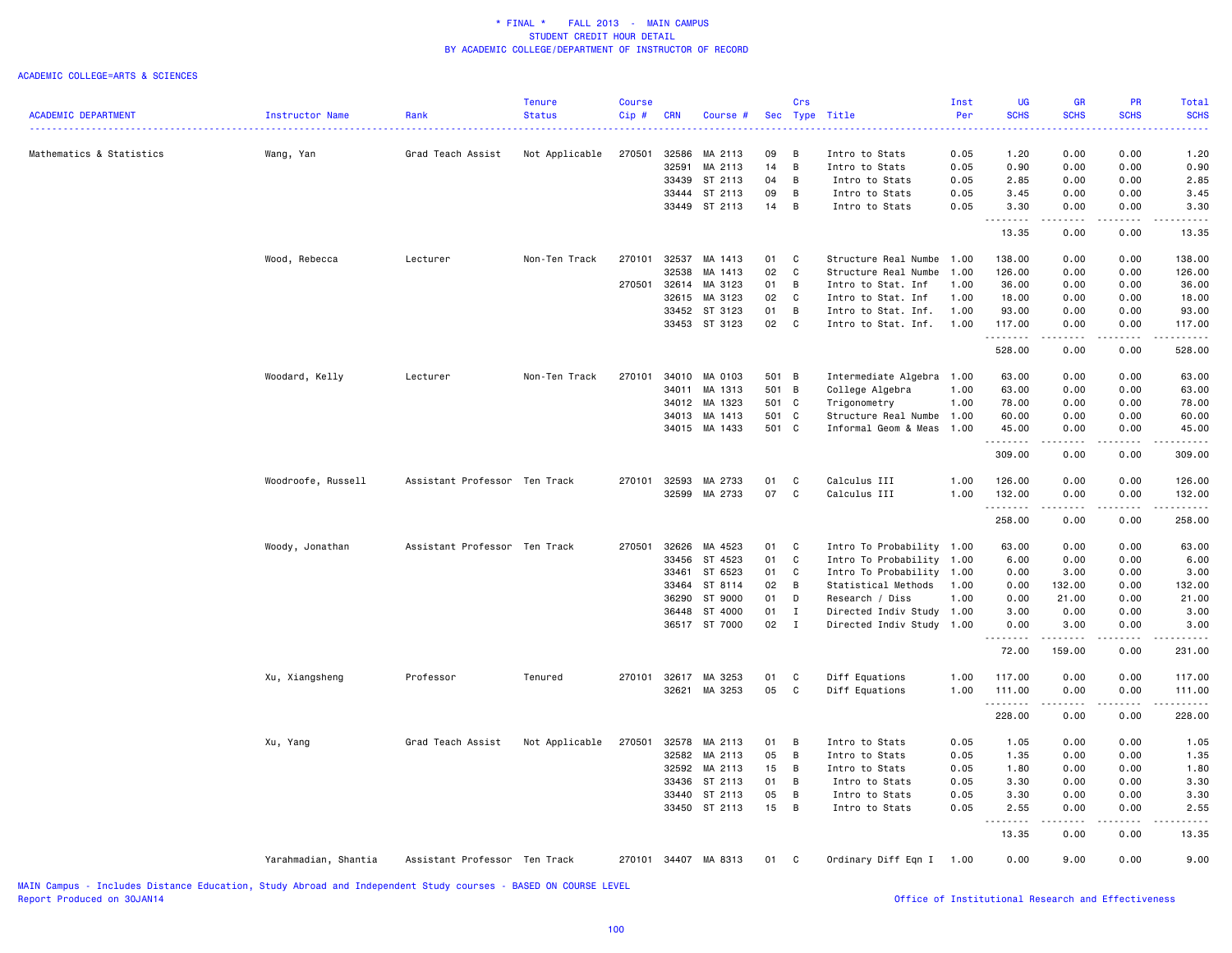#### ACADEMIC COLLEGE=ARTS & SCIENCES

|                            |                      |                               | <b>Tenure</b>  | <b>Course</b> |              |                      |       | Crs          |                           | Inst | UG          | <b>GR</b>                                                                             | PR            | Total                                                                                                                                    |
|----------------------------|----------------------|-------------------------------|----------------|---------------|--------------|----------------------|-------|--------------|---------------------------|------|-------------|---------------------------------------------------------------------------------------|---------------|------------------------------------------------------------------------------------------------------------------------------------------|
| <b>ACADEMIC DEPARTMENT</b> | Instructor Name      | Rank                          | <b>Status</b>  | Cip#          | <b>CRN</b>   | Course #             |       | Sec Type     | Title                     | Per  | <b>SCHS</b> | <b>SCHS</b><br><b></b>                                                                | <b>SCHS</b>   | <b>SCHS</b><br>$\frac{1}{2} \left( \frac{1}{2} \right) \left( \frac{1}{2} \right) \left( \frac{1}{2} \right) \left( \frac{1}{2} \right)$ |
|                            |                      |                               |                |               |              |                      |       |              |                           |      |             |                                                                                       |               |                                                                                                                                          |
| Mathematics & Statistics   | Wang, Yan            | Grad Teach Assist             | Not Applicable | 270501        | 32586        | MA 2113              | 09    | B            | Intro to Stats            | 0.05 | 1.20        | 0.00                                                                                  | 0.00          | 1.20                                                                                                                                     |
|                            |                      |                               |                |               | 32591        | MA 2113              | 14    | B            | Intro to Stats            | 0.05 | 0.90        | 0.00                                                                                  | 0.00          | 0.90                                                                                                                                     |
|                            |                      |                               |                |               | 33439        | ST 2113              | 04    | B            | Intro to Stats            | 0.05 | 2.85        | 0.00                                                                                  | 0.00          | 2.85                                                                                                                                     |
|                            |                      |                               |                |               | 33444        | ST 2113              | 09    | B            | Intro to Stats            | 0.05 | 3.45        | 0.00                                                                                  | 0.00          | 3.45                                                                                                                                     |
|                            |                      |                               |                |               |              | 33449 ST 2113        | 14    | B            | Intro to Stats            | 0.05 | 3.30<br>.   | 0.00<br>.                                                                             | 0.00<br>----- | 3.30<br>.                                                                                                                                |
|                            |                      |                               |                |               |              |                      |       |              |                           |      | 13.35       | 0.00                                                                                  | 0.00          | 13.35                                                                                                                                    |
|                            | Wood, Rebecca        | Lecturer                      | Non-Ten Track  | 270101        | 32537        | MA 1413              | 01    | C            | Structure Real Numbe 1.00 |      | 138.00      | 0.00                                                                                  | 0.00          | 138.00                                                                                                                                   |
|                            |                      |                               |                |               | 32538        | MA 1413              | 02    | C            | Structure Real Numbe      | 1.00 | 126.00      | 0.00                                                                                  | 0.00          | 126.00                                                                                                                                   |
|                            |                      |                               |                | 270501        | 32614        | MA 3123              | 01    | B            | Intro to Stat. Inf        | 1.00 | 36.00       | 0.00                                                                                  | 0.00          | 36.00                                                                                                                                    |
|                            |                      |                               |                |               | 32615        | MA 3123              | 02    | C            | Intro to Stat. Inf        | 1.00 | 18.00       | 0.00                                                                                  | 0.00          | 18.00                                                                                                                                    |
|                            |                      |                               |                |               |              | 33452 ST 3123        | 01    | B            | Intro to Stat. Inf.       | 1.00 | 93.00       | 0.00                                                                                  | 0.00          | 93.00                                                                                                                                    |
|                            |                      |                               |                |               |              | 33453 ST 3123        | 02    | C            | Intro to Stat. Inf.       | 1.00 | 117.00      | 0.00                                                                                  | 0.00          | 117.00                                                                                                                                   |
|                            |                      |                               |                |               |              |                      |       |              |                           |      | .<br>528.00 | .<br>0.00                                                                             | .<br>0.00     | .<br>528.00                                                                                                                              |
|                            |                      |                               |                |               |              |                      |       |              |                           |      |             |                                                                                       |               |                                                                                                                                          |
|                            | Woodard, Kelly       | Lecturer                      | Non-Ten Track  | 270101        | 34010        | MA 0103              | 501 B |              | Intermediate Algebra 1.00 |      | 63.00       | 0.00                                                                                  | 0.00          | 63.00                                                                                                                                    |
|                            |                      |                               |                |               | 34011        | MA 1313              | 501 B |              | College Algebra           | 1.00 | 63.00       | 0.00                                                                                  | 0.00          | 63.00                                                                                                                                    |
|                            |                      |                               |                |               | 34012        | MA 1323              | 501 C |              | Trigonometry              | 1.00 | 78.00       | 0.00                                                                                  | 0.00          | 78.00                                                                                                                                    |
|                            |                      |                               |                |               | 34013        | MA 1413              | 501 C |              | Structure Real Numbe 1.00 |      | 60.00       | 0.00                                                                                  | 0.00          | 60.00                                                                                                                                    |
|                            |                      |                               |                |               |              | 34015 MA 1433        | 501 C |              | Informal Geom & Meas      | 1.00 | 45.00       | 0.00                                                                                  | 0.00<br>.     | 45.00                                                                                                                                    |
|                            |                      |                               |                |               |              |                      |       |              |                           |      | .<br>309.00 | $\sim$ $\sim$ $\sim$<br>0.00                                                          | 0.00          | .<br>309.00                                                                                                                              |
|                            | Woodroofe, Russell   | Assistant Professor Ten Track |                | 270101        | 32593        | MA 2733              | 01    | C            | Calculus III              | 1.00 | 126.00      | 0.00                                                                                  | 0.00          | 126.00                                                                                                                                   |
|                            |                      |                               |                |               | 32599        | MA 2733              | 07    | $\mathbf{C}$ | Calculus III              | 1.00 | 132.00      | 0.00                                                                                  | 0.00          | 132.00                                                                                                                                   |
|                            |                      |                               |                |               |              |                      |       |              |                           |      | .<br>258.00 | 0.00                                                                                  | 0.00          | 258.00                                                                                                                                   |
|                            | Woody, Jonathan      | Assistant Professor Ten Track |                | 270501        | 32626        | MA 4523              | 01    | C            | Intro To Probability 1.00 |      | 63.00       | 0.00                                                                                  | 0.00          | 63.00                                                                                                                                    |
|                            |                      |                               |                |               | 33456        | ST 4523              | 01    | C            | Intro To Probability      | 1.00 | 6.00        | 0.00                                                                                  | 0.00          | 6.00                                                                                                                                     |
|                            |                      |                               |                |               | 33461        | ST 6523              | 01    | C            | Intro To Probability      | 1.00 | 0.00        | 3.00                                                                                  | 0.00          | 3.00                                                                                                                                     |
|                            |                      |                               |                |               | 33464        | ST 8114              | 02    | B            | Statistical Methods       | 1.00 | 0.00        | 132.00                                                                                | 0.00          | 132.00                                                                                                                                   |
|                            |                      |                               |                |               | 36290        | ST 9000              | 01    | D            | Research / Diss           | 1.00 | 0.00        | 21.00                                                                                 | 0.00          | 21.00                                                                                                                                    |
|                            |                      |                               |                |               | 36448        | ST 4000              | 01    | $\mathbf I$  | Directed Indiv Study      | 1.00 | 3.00        | 0.00                                                                                  | 0.00          | 3.00                                                                                                                                     |
|                            |                      |                               |                |               |              | 36517 ST 7000        | 02    | $\mathbf I$  |                           |      |             | 3.00                                                                                  | 0.00          | 3.00                                                                                                                                     |
|                            |                      |                               |                |               |              |                      |       |              | Directed Indiv Study 1.00 |      | 0.00<br>.   | $\begin{array}{cccccccccc} \dots & \dots & \dots & \dots & \dots & \dots \end{array}$ | 22222         | المتمالين                                                                                                                                |
|                            |                      |                               |                |               |              |                      |       |              |                           |      | 72.00       | 159.00                                                                                | 0.00          | 231.00                                                                                                                                   |
|                            | Xu, Xiangsheng       | Professor                     | Tenured        |               | 270101 32617 | MA 3253              | 01    | C            | Diff Equations            | 1.00 | 117.00      | 0.00                                                                                  | 0.00          | 117.00                                                                                                                                   |
|                            |                      |                               |                |               | 32621        | MA 3253              | 05    | C            | Diff Equations            | 1.00 | 111.00      | 0.00                                                                                  | 0.00          | 111.00                                                                                                                                   |
|                            |                      |                               |                |               |              |                      |       |              |                           |      | .<br>228.00 | .<br>0.00                                                                             | .<br>0.00     | $- - - - -$<br>228.00                                                                                                                    |
|                            | Xu, Yang             | Grad Teach Assist             | Not Applicable | 270501        | 32578        | MA 2113              | 01    | B            | Intro to Stats            | 0.05 | 1.05        | 0.00                                                                                  | 0.00          | 1.05                                                                                                                                     |
|                            |                      |                               |                |               | 32582        | MA 2113              | 05    | B            | Intro to Stats            | 0.05 | 1.35        | 0.00                                                                                  | 0.00          | 1.35                                                                                                                                     |
|                            |                      |                               |                |               | 32592        | MA 2113              | 15    | B            | Intro to Stats            | 0.05 | 1.80        | 0.00                                                                                  | 0.00          | 1.80                                                                                                                                     |
|                            |                      |                               |                |               | 33436        | ST 2113              | 01    | B            | Intro to Stats            | 0.05 | 3.30        | 0.00                                                                                  | 0.00          | 3.30                                                                                                                                     |
|                            |                      |                               |                |               | 33440        | ST 2113              | 05    | B            | Intro to Stats            | 0.05 | 3.30        | 0.00                                                                                  | 0.00          | 3.30                                                                                                                                     |
|                            |                      |                               |                |               |              | 33450 ST 2113        | 15    | B            | Intro to Stats            | 0.05 | 2.55        | 0.00                                                                                  | 0.00          | 2.55                                                                                                                                     |
|                            |                      |                               |                |               |              |                      |       |              |                           |      | 13.35       | 0.00                                                                                  | 0.00          | 13.35                                                                                                                                    |
|                            |                      |                               |                |               |              |                      |       |              |                           |      |             |                                                                                       |               |                                                                                                                                          |
|                            | Yarahmadian, Shantia | Assistant Professor Ten Track |                |               |              | 270101 34407 MA 8313 | 01    | C            | Ordinary Diff Eqn I       | 1.00 | 0.00        | 9.00                                                                                  | 0.00          | 9.00                                                                                                                                     |

MAIN Campus - Includes Distance Education, Study Abroad and Independent Study courses - BASED ON COURSE LEVEL

# Office of Institutional Research and Effectiveness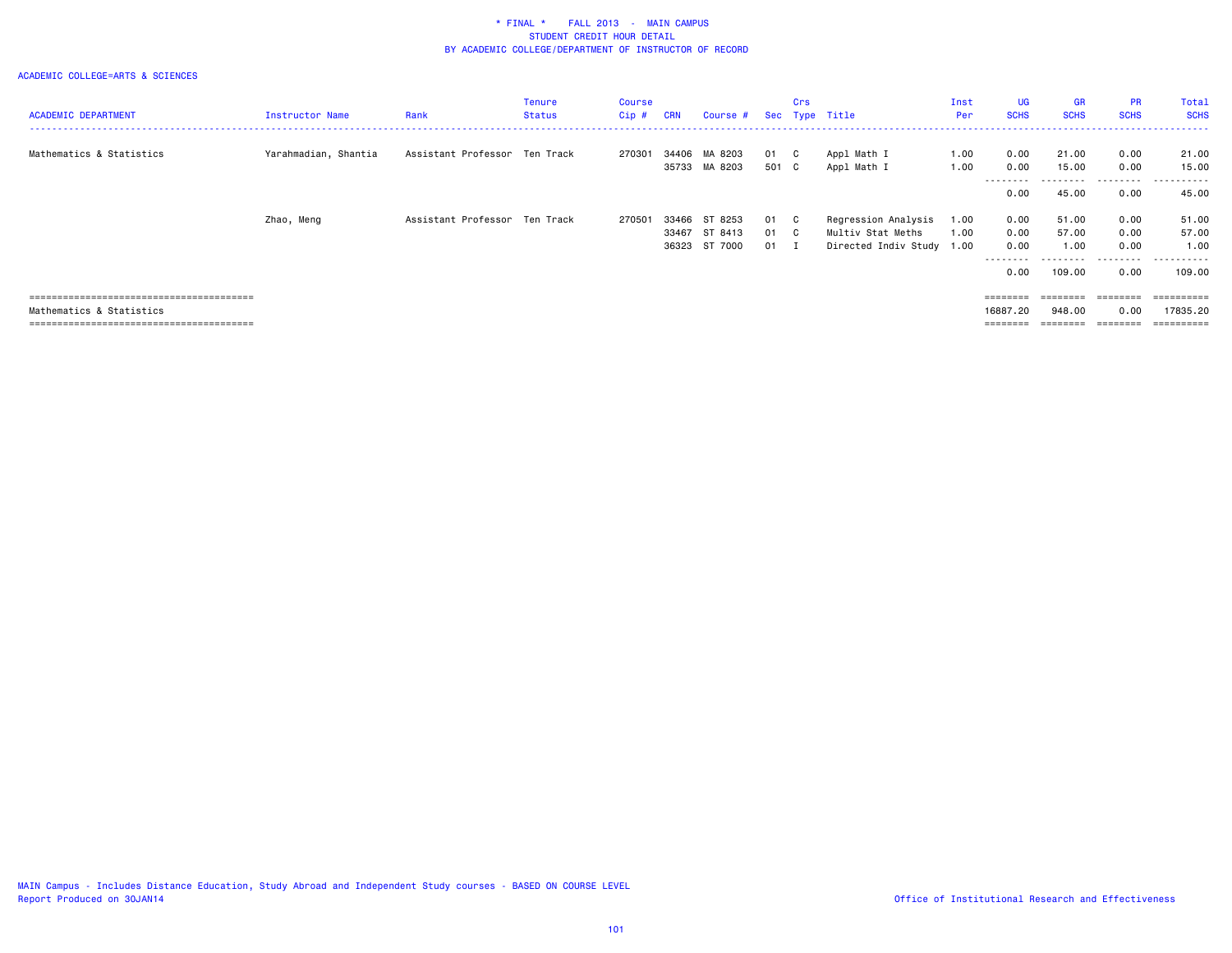| <b>ACADEMIC DEPARTMENT</b> | Instructor Name      | Rank                          | Tenure<br><b>Status</b> | <b>Course</b><br>$Cip$ # | <b>CRN</b>     | Course #                            |                        | Crs | Sec Type Title                                                        | Inst<br>Per  | <b>UG</b><br><b>SCHS</b>                                                                        | GR<br><b>SCHS</b>      | <b>PR</b><br><b>SCHS</b> | Total<br><b>SCHS</b>                            |
|----------------------------|----------------------|-------------------------------|-------------------------|--------------------------|----------------|-------------------------------------|------------------------|-----|-----------------------------------------------------------------------|--------------|-------------------------------------------------------------------------------------------------|------------------------|--------------------------|-------------------------------------------------|
| Mathematics & Statistics   | Yarahmadian, Shantia | Assistant Professor Ten Track |                         | 270301                   | 34406          | MA 8203<br>35733 MA 8203            | 01 C<br>501 C          |     | Appl Math I<br>Appl Math I                                            | 1.00<br>1.00 | 0.00<br>0.00                                                                                    | 21.00<br>15.00         | 0.00<br>0.00             | 21.00<br>15.00                                  |
|                            |                      |                               |                         |                          |                |                                     |                        |     |                                                                       |              | --------<br>0.00                                                                                | 45.00                  | .<br>0.00                | .<br>45.00                                      |
|                            | Zhao, Meng           | Assistant Professor Ten Track |                         | 270501                   | 33466<br>33467 | ST 8253<br>ST 8413<br>36323 ST 7000 | 01 C<br>01 C<br>$01$ I |     | Regression Analysis<br>Multiv Stat Meths<br>Directed Indiv Study 1.00 | 1.00<br>1.00 | 0.00<br>0.00<br>0.00                                                                            | 51.00<br>57.00<br>1.00 | 0.00<br>0.00<br>0.00     | 51.00<br>57.00<br>1.00                          |
|                            |                      |                               |                         |                          |                |                                     |                        |     |                                                                       |              | --------<br>0.00                                                                                | 109.00                 | .<br>0.00                | .<br>109,00                                     |
| Mathematics & Statistics   |                      |                               |                         |                          |                |                                     |                        |     |                                                                       |              | $\qquad \qquad \equiv \equiv \equiv \equiv \equiv \equiv \equiv \equiv$<br>16887,20<br>======== | ========<br>948.00     | 0.00                     | $=$ = = = = = = = = :<br>17835.20<br>========== |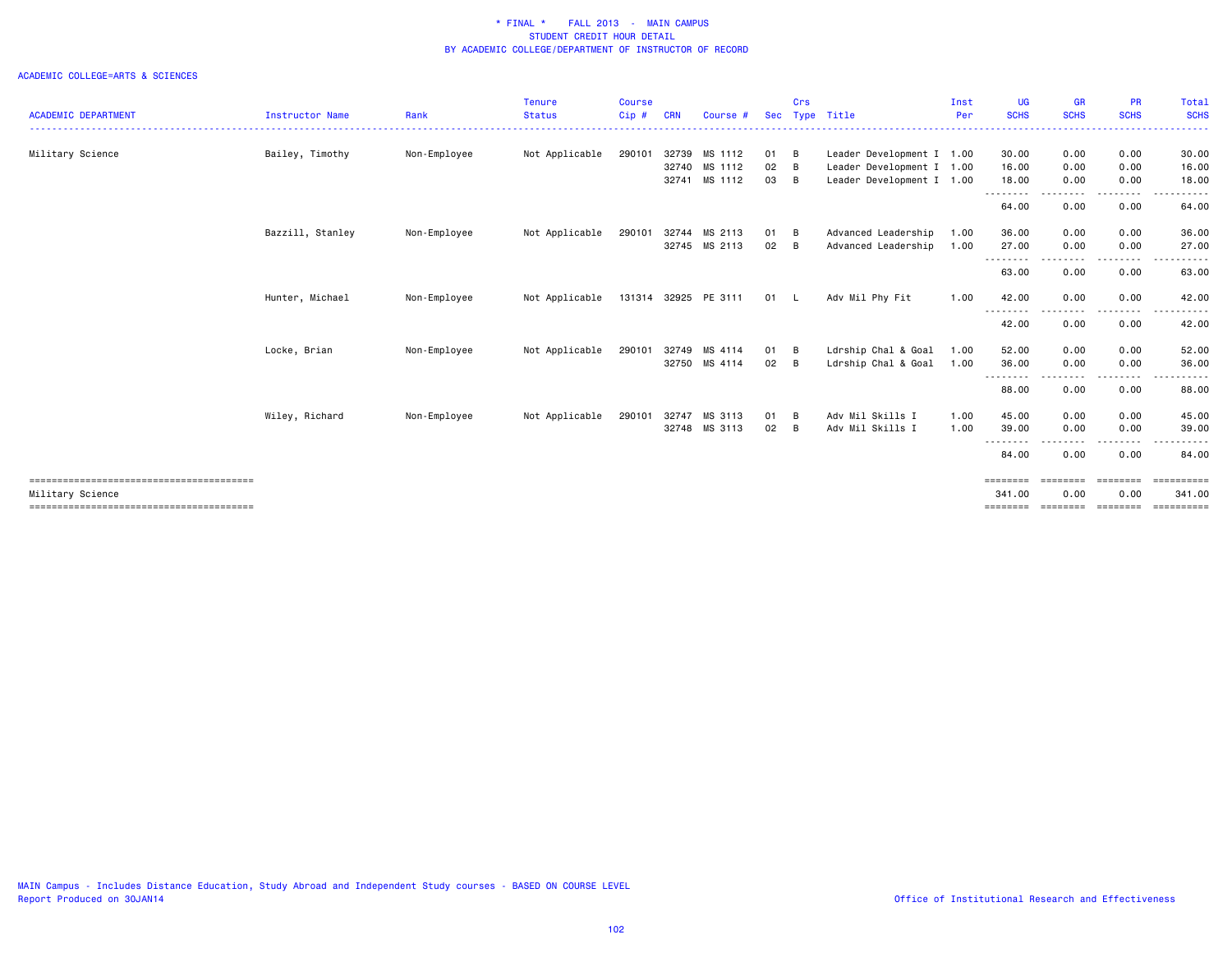|                            |                        |              | <b>Tenure</b>  | <b>Course</b> |            |                      |            | Crs |                           | Inst | UG                    | <b>GR</b>                                                                                                                         | <b>PR</b>        | Total                             |
|----------------------------|------------------------|--------------|----------------|---------------|------------|----------------------|------------|-----|---------------------------|------|-----------------------|-----------------------------------------------------------------------------------------------------------------------------------|------------------|-----------------------------------|
| <b>ACADEMIC DEPARTMENT</b> | <b>Instructor Name</b> | Rank         | <b>Status</b>  | $Cip$ #       | <b>CRN</b> | Course #             | <b>Sec</b> |     | Type Title                | Per  | <b>SCHS</b>           | <b>SCHS</b>                                                                                                                       | <b>SCHS</b>      | <b>SCHS</b>                       |
| Military Science           | Bailey, Timothy        | Non-Employee | Not Applicable | 290101        | 32739      | MS 1112              | 01 B       |     | Leader Development I 1.00 |      | 30.00                 | 0.00                                                                                                                              | 0.00             | 30.00                             |
|                            |                        |              |                |               | 32740      | MS 1112              | 02         | B   | Leader Development I 1.00 |      | 16.00                 | 0.00                                                                                                                              | 0.00             | 16.00                             |
|                            |                        |              |                |               | 32741      | MS 1112              | 03 B       |     | Leader Development I 1.00 |      | 18.00<br>.            | 0.00<br>----                                                                                                                      | 0.00             | 18.00                             |
|                            |                        |              |                |               |            |                      |            |     |                           |      | 64.00                 | 0.00                                                                                                                              | 0.00             | 64.00                             |
|                            | Bazzill, Stanley       | Non-Employee | Not Applicable | 290101        | 32744      | MS 2113              | 01 B       |     | Advanced Leadership       | 1.00 | 36.00                 | 0.00                                                                                                                              | 0.00             | 36.00                             |
|                            |                        |              |                |               |            | 32745 MS 2113        | 02 B       |     | Advanced Leadership       | 1.00 | 27.00                 | 0.00                                                                                                                              | 0.00             | 27.00                             |
|                            |                        |              |                |               |            |                      |            |     |                           |      | --------<br>63.00     | $\frac{1}{2} \left( \frac{1}{2} \right) \left( \frac{1}{2} \right) \left( \frac{1}{2} \right) \left( \frac{1}{2} \right)$<br>0.00 | 0.00             | 63.00                             |
|                            | Hunter, Michael        | Non-Employee | Not Applicable |               |            | 131314 32925 PE 3111 | 01 L       |     | Adv Mil Phy Fit           | 1.00 | 42.00                 | 0.00                                                                                                                              | 0.00             | 42.00                             |
|                            |                        |              |                |               |            |                      |            |     |                           |      | --------<br>42.00     | ----<br>0.00                                                                                                                      | 0.00             | 42.00                             |
|                            | Locke, Brian           | Non-Employee | Not Applicable | 290101        | 32749      | MS 4114              | 01 B       |     | Ldrship Chal & Goal       | 1.00 | 52.00                 | 0.00                                                                                                                              | 0.00             | 52.00                             |
|                            |                        |              |                |               |            | 32750 MS 4114        | 02 B       |     | Ldrship Chal & Goal       | 1.00 | 36.00                 | 0.00                                                                                                                              | 0.00             | 36.00                             |
|                            |                        |              |                |               |            |                      |            |     |                           |      | --------<br>88.00     | 0.00                                                                                                                              | 0.00             | 88.00                             |
|                            | Wiley, Richard         | Non-Employee | Not Applicable | 290101        | 32747      | MS 3113              | 01         | B   | Adv Mil Skills I          | 1.00 | 45.00                 | 0.00                                                                                                                              | 0.00             | 45.00                             |
|                            |                        |              |                |               |            | 32748 MS 3113        | 02         | B   | Adv Mil Skills I          | 1.00 | 39.00                 | 0.00                                                                                                                              | 0.00             | 39.00                             |
|                            |                        |              |                |               |            |                      |            |     |                           |      | --------<br>84.00     | .<br>0.00                                                                                                                         | 0.00             | 84.00                             |
| Military Science           |                        |              |                |               |            |                      |            |     |                           |      | $=$ =======<br>341.00 | $=$ = = = = = = =<br>0.00                                                                                                         | ========<br>0.00 | $=$ = = = = = = = = = =<br>341.00 |
|                            |                        |              |                |               |            |                      |            |     |                           |      | ========              | ========                                                                                                                          | ---------        | ==========                        |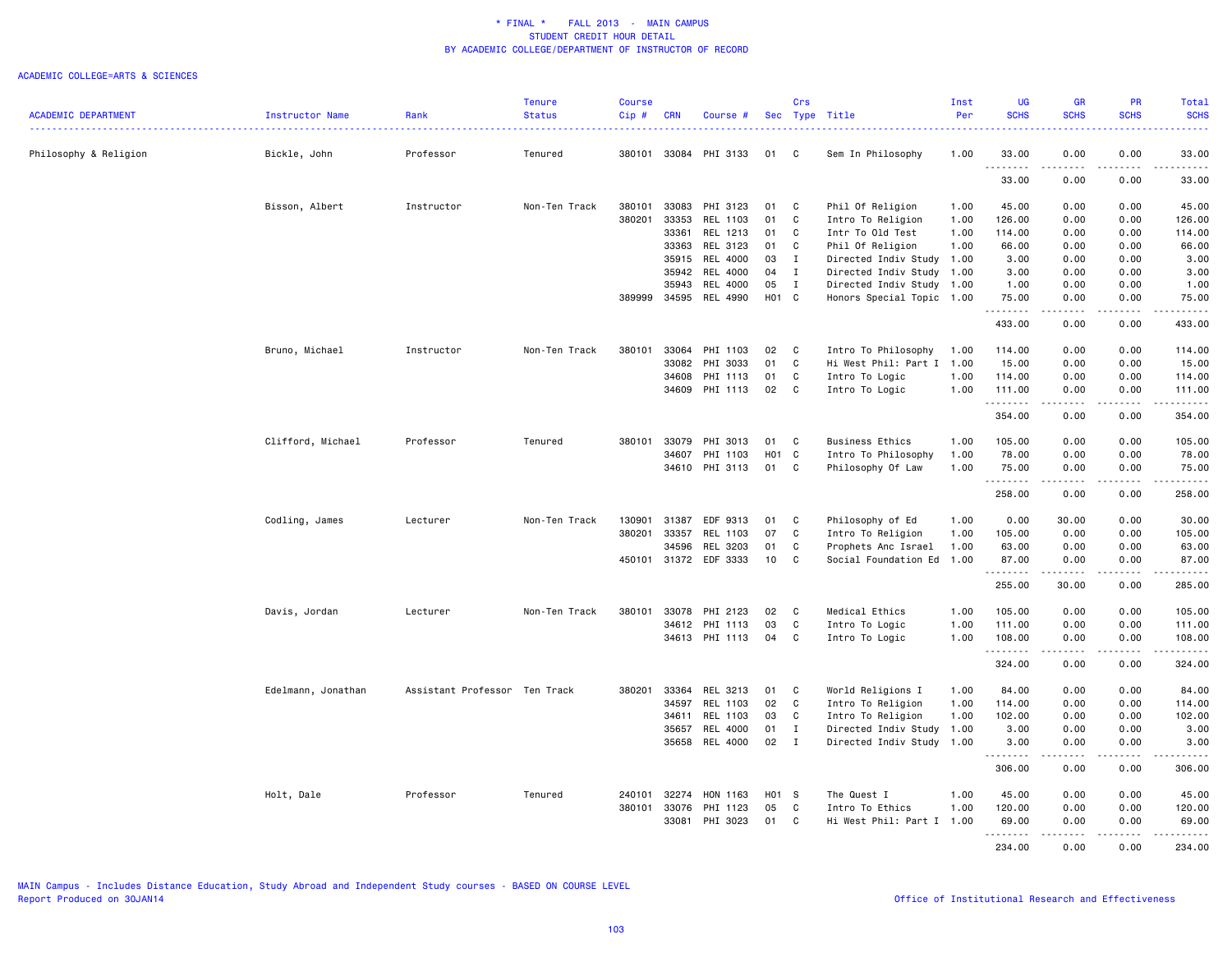|                            |                    |                               | <b>Tenure</b> | <b>Course</b> |            |                 |       | Crs          |                           | Inst | <b>UG</b>          | <b>GR</b>             | <b>PR</b>                    | Total                                                                                                                               |
|----------------------------|--------------------|-------------------------------|---------------|---------------|------------|-----------------|-------|--------------|---------------------------|------|--------------------|-----------------------|------------------------------|-------------------------------------------------------------------------------------------------------------------------------------|
| <b>ACADEMIC DEPARTMENT</b> | Instructor Name    | Rank<br>.                     | <b>Status</b> | $Cip$ #       | <b>CRN</b> | Course #        |       |              | Sec Type Title            | Per  | <b>SCHS</b>        | <b>SCHS</b>           | <b>SCHS</b>                  | <b>SCHS</b><br>وعاعات                                                                                                               |
| Philosophy & Religion      | Bickle, John       | Professor                     | Tenured       | 380101        | 33084      | PHI 3133        | 01    | C            | Sem In Philosophy         | 1.00 | 33.00              | 0.00                  | 0.00                         | 33.00                                                                                                                               |
|                            |                    |                               |               |               |            |                 |       |              |                           |      | .<br>33.00         | .<br>0.00             | $\frac{1}{2}$<br>0.00        | .<br>33.00                                                                                                                          |
|                            | Bisson, Albert     | Instructor                    | Non-Ten Track | 380101        | 33083      | PHI 3123        | 01    | C            | Phil Of Religion          | 1.00 | 45.00              | 0.00                  | 0.00                         | 45.00                                                                                                                               |
|                            |                    |                               |               | 380201        | 33353      | REL 1103        | 01    | C            | Intro To Religion         | 1.00 | 126.00             | 0.00                  | 0.00                         | 126.00                                                                                                                              |
|                            |                    |                               |               |               | 33361      | REL 1213        | 01    | C            | Intr To Old Test          | 1.00 | 114.00             | 0.00                  | 0.00                         | 114.00                                                                                                                              |
|                            |                    |                               |               |               | 33363      | REL 3123        | 01    | C            | Phil Of Religion          | 1.00 | 66.00              | 0.00                  | 0.00                         | 66.00                                                                                                                               |
|                            |                    |                               |               |               | 35915      | REL 4000        | 03    | $\mathbf{I}$ | Directed Indiv Study 1.00 |      | 3.00               | 0.00                  | 0.00                         | 3.00                                                                                                                                |
|                            |                    |                               |               |               | 35942      | REL 4000        | 04    | $\mathbf{I}$ | Directed Indiv Study 1.00 |      | 3.00               | 0.00                  | 0.00                         | 3.00                                                                                                                                |
|                            |                    |                               |               |               | 35943      | <b>REL 4000</b> | 05    | $\mathbf{I}$ | Directed Indiv Study 1.00 |      | 1.00               | 0.00                  | 0.00                         | 1.00                                                                                                                                |
|                            |                    |                               |               | 389999        | 34595      | REL 4990        | H01 C |              | Honors Special Topic 1.00 |      | 75.00<br><u>.</u>  | 0.00                  | 0.00                         | 75.00<br>$\frac{1}{2}$                                                                                                              |
|                            |                    |                               |               |               |            |                 |       |              |                           |      | 433.00             | 0.00                  | 0.00                         | 433.00                                                                                                                              |
|                            | Bruno, Michael     | Instructor                    | Non-Ten Track | 380101        | 33064      | PHI 1103        | 02    | C            | Intro To Philosophy       | 1.00 | 114.00             | 0.00                  | 0.00                         | 114.00                                                                                                                              |
|                            |                    |                               |               |               | 33082      | PHI 3033        | 01    | C            | Hi West Phil: Part I 1.00 |      | 15.00              | 0.00                  | 0.00                         | 15.00                                                                                                                               |
|                            |                    |                               |               |               | 34608      | PHI 1113        | 01    | C            | Intro To Logic            | 1.00 | 114.00             | 0.00                  | 0.00                         | 114.00                                                                                                                              |
|                            |                    |                               |               |               | 34609      | PHI 1113        | 02    | C            | Intro To Logic            | 1.00 | 111.00             | 0.00                  | 0.00                         | 111.00                                                                                                                              |
|                            |                    |                               |               |               |            |                 |       |              |                           |      | .<br>354.00        | 0.00                  | .<br>0.00                    | 354.00                                                                                                                              |
|                            | Clifford, Michael  | Professor                     | Tenured       | 380101        | 33079      | PHI 3013        | 01    | C            | <b>Business Ethics</b>    | 1.00 | 105.00             | 0.00                  | 0.00                         | 105.00                                                                                                                              |
|                            |                    |                               |               |               | 34607      | PHI 1103        | H01   | C            | Intro To Philosophy       | 1.00 | 78.00              | 0.00                  | 0.00                         | 78.00                                                                                                                               |
|                            |                    |                               |               |               | 34610      | PHI 3113        | 01    | C            | Philosophy Of Law         | 1.00 | 75.00              | 0.00                  | 0.00                         | 75.00                                                                                                                               |
|                            |                    |                               |               |               |            |                 |       |              |                           |      | .<br>258.00        | .<br>0.00             | .<br>0.00                    | .<br>258.00                                                                                                                         |
|                            | Codling, James     | Lecturer                      | Non-Ten Track | 130901        | 31387      | EDF 9313        | 01    | C            | Philosophy of Ed          | 1.00 | 0.00               | 30.00                 | 0.00                         | 30.00                                                                                                                               |
|                            |                    |                               |               | 380201        | 33357      | REL 1103        | 07    | C            | Intro To Religion         | 1.00 | 105.00             | 0.00                  | 0.00                         | 105.00                                                                                                                              |
|                            |                    |                               |               |               | 34596      | REL 3203        | 01    | C            | Prophets Anc Israel       | 1.00 | 63.00              | 0.00                  | 0.00                         | 63.00                                                                                                                               |
|                            |                    |                               |               | 450101        | 31372      | EDF 3333        | 10    | C            | Social Foundation Ed      | 1.00 | 87.00              | 0.00                  | 0.00                         | 87.00                                                                                                                               |
|                            |                    |                               |               |               |            |                 |       |              |                           |      | .<br>255.00        | .<br>30.00            | $\frac{1}{2}$<br>0.00        | .<br>285.00                                                                                                                         |
|                            | Davis, Jordan      | Lecturer                      | Non-Ten Track | 380101        | 33078      | PHI 2123        | 02    | C            | Medical Ethics            | 1.00 | 105.00             | 0.00                  | 0.00                         | 105.00                                                                                                                              |
|                            |                    |                               |               |               | 34612      | PHI 1113        | 03    | C            | Intro To Logic            | 1.00 | 111.00             | 0.00                  | 0.00                         | 111.00                                                                                                                              |
|                            |                    |                               |               |               |            | 34613 PHI 1113  | 04    | C            | Intro To Logic            | 1.00 | 108.00             | 0.00                  | 0.00                         | 108.00<br>.                                                                                                                         |
|                            |                    |                               |               |               |            |                 |       |              |                           |      | .<br>324.00        | .<br>0.00             | .<br>0.00                    | 324.00                                                                                                                              |
|                            | Edelmann, Jonathan | Assistant Professor Ten Track |               | 380201        | 33364      | REL 3213        | 01    | C            | World Religions I         | 1.00 | 84.00              | 0.00                  | 0.00                         | 84.00                                                                                                                               |
|                            |                    |                               |               |               | 34597      | REL 1103        | 02    | C            | Intro To Religion         | 1.00 | 114.00             | 0.00                  | 0.00                         | 114.00                                                                                                                              |
|                            |                    |                               |               |               | 34611      | REL 1103        | 03    | C            | Intro To Religion         | 1.00 | 102.00             | 0.00                  | 0.00                         | 102.00                                                                                                                              |
|                            |                    |                               |               |               | 35657      | <b>REL 4000</b> | 01    | $\mathbf{I}$ | Directed Indiv Study 1.00 |      | 3.00               | 0.00                  | 0.00                         | 3.00                                                                                                                                |
|                            |                    |                               |               |               | 35658      | REL 4000        | 02    | $\mathbf{I}$ | Directed Indiv Study      | 1.00 | 3.00<br>. <b>.</b> | 0.00<br>$\frac{1}{2}$ | 0.00<br>$\sim$ $\sim$ $\sim$ | 3.00<br>.                                                                                                                           |
|                            |                    |                               |               |               |            |                 |       |              |                           |      | 306.00             | 0.00                  | 0.00                         | 306.00                                                                                                                              |
|                            | Holt, Dale         | Professor                     | Tenured       | 240101        | 32274      | HON 1163        | H01 S |              | The Quest I               | 1.00 | 45.00              | 0.00                  | 0.00                         | 45.00                                                                                                                               |
|                            |                    |                               |               | 380101        | 33076      | PHI 1123        | 05    | C            | Intro To Ethics           | 1.00 | 120.00             | 0.00                  | 0.00                         | 120.00                                                                                                                              |
|                            |                    |                               |               |               | 33081      | PHI 3023        | 01    | C            | Hi West Phil: Part I 1.00 |      | 69.00              | 0.00                  | 0.00                         | 69.00                                                                                                                               |
|                            |                    |                               |               |               |            |                 |       |              |                           |      | .<br>234.00        | .<br>0.00             | .<br>0.00                    | $\begin{array}{cccccccccccccc} \bullet & \bullet & \bullet & \bullet & \bullet & \bullet & \bullet & \bullet \end{array}$<br>234.00 |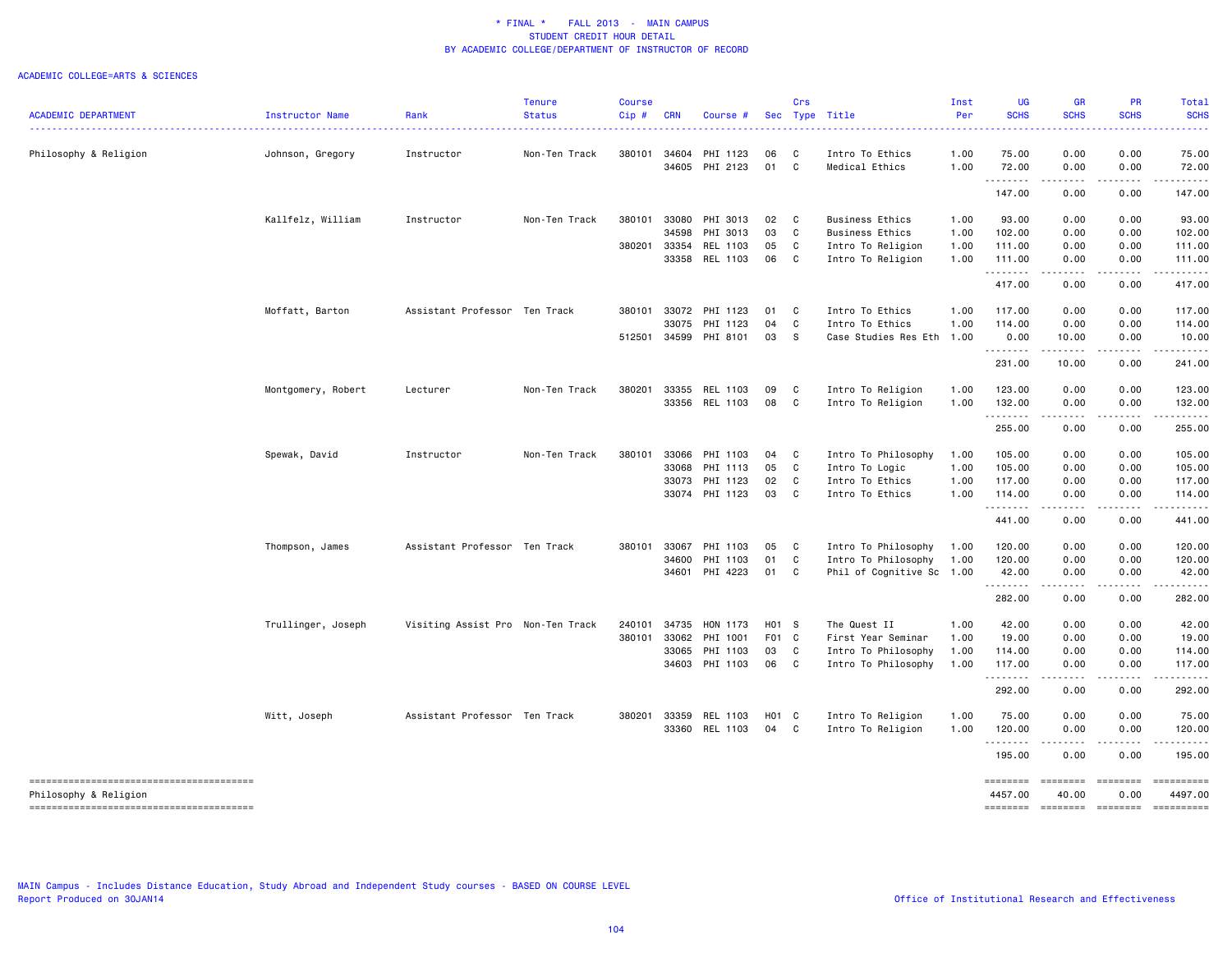### ACADEMIC COLLEGE=ARTS & SCIENCES

| <b>ACADEMIC DEPARTMENT</b> | Instructor Name    | Rank                              | <b>Tenure</b><br><b>Status</b> | <b>Course</b><br>Cip# | <b>CRN</b> | Course #                         |          | Crs               | Sec Type Title                    | Inst<br>Per  | <b>UG</b><br><b>SCHS</b> | <b>GR</b><br><b>SCHS</b>                                                                                                                                      | PR<br><b>SCHS</b> | Total<br><b>SCHS</b>                                                                                                                |
|----------------------------|--------------------|-----------------------------------|--------------------------------|-----------------------|------------|----------------------------------|----------|-------------------|-----------------------------------|--------------|--------------------------|---------------------------------------------------------------------------------------------------------------------------------------------------------------|-------------------|-------------------------------------------------------------------------------------------------------------------------------------|
|                            |                    |                                   | . <b>.</b>                     |                       |            |                                  |          |                   | .                                 | .            |                          | ----                                                                                                                                                          |                   |                                                                                                                                     |
| Philosophy & Religion      | Johnson, Gregory   | Instructor                        | Non-Ten Track                  | 380101                |            | 34604 PHI 1123<br>34605 PHI 2123 | 06<br>01 | C<br>$\mathbf{C}$ | Intro To Ethics<br>Medical Ethics | 1.00<br>1.00 | 75.00<br>72.00           | 0.00<br>0.00                                                                                                                                                  | 0.00<br>0.00      | 75.00<br>72.00                                                                                                                      |
|                            |                    |                                   |                                |                       |            |                                  |          |                   |                                   |              | .                        | .                                                                                                                                                             | -----             | $\begin{array}{cccccccccccccc} \bullet & \bullet & \bullet & \bullet & \bullet & \bullet & \bullet & \bullet \end{array}$           |
|                            |                    |                                   |                                |                       |            |                                  |          |                   |                                   |              | 147.00                   | 0.00                                                                                                                                                          | 0.00              | 147.00                                                                                                                              |
|                            | Kallfelz, William  | Instructor                        | Non-Ten Track                  | 380101                |            | 33080 PHI 3013                   | 02       | $\mathbf{C}$      | <b>Business Ethics</b>            | 1.00         | 93.00                    | 0.00                                                                                                                                                          | 0.00              | 93.00                                                                                                                               |
|                            |                    |                                   |                                |                       | 34598      | PHI 3013                         | 03       | C                 | Business Ethics                   | 1.00         | 102.00                   | 0.00                                                                                                                                                          | 0.00              | 102.00                                                                                                                              |
|                            |                    |                                   |                                | 380201                | 33354      | REL 1103                         | 05       | C                 | Intro To Religion                 | 1.00         | 111.00                   | 0.00                                                                                                                                                          | 0.00              | 111.00                                                                                                                              |
|                            |                    |                                   |                                |                       |            | 33358 REL 1103                   | 06       | $\mathbf{C}$      | Intro To Religion                 | 1.00         | 111.00<br>.              | 0.00<br>-----                                                                                                                                                 | 0.00<br>.         | 111.00<br>.                                                                                                                         |
|                            |                    |                                   |                                |                       |            |                                  |          |                   |                                   |              | 417.00                   | 0.00                                                                                                                                                          | 0.00              | 417.00                                                                                                                              |
|                            | Moffatt, Barton    | Assistant Professor Ten Track     |                                | 380101                |            | 33072 PHI 1123                   | 01       | C                 | Intro To Ethics                   | 1.00         | 117.00                   | 0.00                                                                                                                                                          | 0.00              | 117.00                                                                                                                              |
|                            |                    |                                   |                                |                       | 33075      | PHI 1123                         | 04       | C                 | Intro To Ethics                   | 1.00         | 114.00                   | 0.00                                                                                                                                                          | 0.00              | 114.00                                                                                                                              |
|                            |                    |                                   |                                | 512501                |            | 34599 PHI 8101                   | 03       | - S               | Case Studies Res Eth              | 1.00         | 0.00<br>.                | 10.00<br>$\frac{1}{2} \left( \frac{1}{2} \right) \left( \frac{1}{2} \right) \left( \frac{1}{2} \right) \left( \frac{1}{2} \right) \left( \frac{1}{2} \right)$ | 0.00<br>.         | 10.00                                                                                                                               |
|                            |                    |                                   |                                |                       |            |                                  |          |                   |                                   |              | 231.00                   | 10.00                                                                                                                                                         | 0.00              | 241.00                                                                                                                              |
|                            | Montgomery, Robert | Lecturer                          | Non-Ten Track                  | 380201                | 33355      | REL 1103                         | 09       | C                 | Intro To Religion                 | 1.00         | 123.00                   | 0.00                                                                                                                                                          | 0.00              | 123.00                                                                                                                              |
|                            |                    |                                   |                                |                       |            | 33356 REL 1103                   | 08       | $\mathbf{C}$      | Intro To Religion                 | 1.00         | 132.00<br>.              | 0.00                                                                                                                                                          | 0.00              | 132.00                                                                                                                              |
|                            |                    |                                   |                                |                       |            |                                  |          |                   |                                   |              | 255.00                   | 0.00                                                                                                                                                          | 0.00              | 255.00                                                                                                                              |
|                            | Spewak, David      | Instructor                        | Non-Ten Track                  | 380101                |            | 33066 PHI 1103                   | 04       | C                 | Intro To Philosophy               | 1.00         | 105.00                   | 0.00                                                                                                                                                          | 0.00              | 105.00                                                                                                                              |
|                            |                    |                                   |                                |                       | 33068      | PHI 1113                         | 05       | C                 | Intro To Logic                    | 1.00         | 105.00                   | 0.00                                                                                                                                                          | 0.00              | 105.00                                                                                                                              |
|                            |                    |                                   |                                |                       |            | 33073 PHI 1123                   | 02       | C                 | Intro To Ethics                   | 1.00         | 117.00                   | 0.00                                                                                                                                                          | 0.00              | 117.00                                                                                                                              |
|                            |                    |                                   |                                |                       |            | 33074 PHI 1123                   | 03       | C                 | Intro To Ethics                   | 1.00         | 114.00<br>.              | 0.00<br>.                                                                                                                                                     | 0.00<br>.         | 114.00<br>$\begin{array}{cccccccccccccc} \bullet & \bullet & \bullet & \bullet & \bullet & \bullet & \bullet & \bullet \end{array}$ |
|                            |                    |                                   |                                |                       |            |                                  |          |                   |                                   |              | 441.00                   | 0.00                                                                                                                                                          | 0.00              | 441.00                                                                                                                              |
|                            | Thompson, James    | Assistant Professor Ten Track     |                                | 380101                | 33067      | PHI 1103                         | 05       | C                 | Intro To Philosophy               | 1.00         | 120.00                   | 0.00                                                                                                                                                          | 0.00              | 120.00                                                                                                                              |
|                            |                    |                                   |                                |                       | 34600      | PHI 1103                         | 01       | C                 | Intro To Philosophy               | 1.00         | 120.00                   | 0.00                                                                                                                                                          | 0.00              | 120.00                                                                                                                              |
|                            |                    |                                   |                                |                       | 34601      | PHI 4223                         | 01       | C                 | Phil of Cognitive Sc 1.00         |              | 42.00<br>.               | 0.00                                                                                                                                                          | 0.00<br>.         | 42.00<br><u>.</u>                                                                                                                   |
|                            |                    |                                   |                                |                       |            |                                  |          |                   |                                   |              | 282.00                   | $\sim$ $\sim$ $\sim$ $\sim$<br>0.00                                                                                                                           | 0.00              | 282.00                                                                                                                              |
|                            | Trullinger, Joseph | Visiting Assist Pro Non-Ten Track |                                | 240101                |            | 34735 HON 1173                   | H01 S    |                   | The Quest II                      | 1.00         | 42.00                    | 0.00                                                                                                                                                          | 0.00              | 42.00                                                                                                                               |
|                            |                    |                                   |                                | 380101                |            | 33062 PHI 1001                   | F01 C    |                   | First Year Seminar                | 1.00         | 19.00                    | 0.00                                                                                                                                                          | 0.00              | 19.00                                                                                                                               |
|                            |                    |                                   |                                |                       |            | 33065 PHI 1103                   | 03       | C                 | Intro To Philosophy               | 1.00         | 114.00                   | 0.00                                                                                                                                                          | 0.00              | 114.00                                                                                                                              |
|                            |                    |                                   |                                |                       |            | 34603 PHI 1103                   | 06 C     |                   | Intro To Philosophy               | 1.00         | 117.00<br>.              | 0.00<br>.                                                                                                                                                     | 0.00<br><u>.</u>  | 117.00                                                                                                                              |
|                            |                    |                                   |                                |                       |            |                                  |          |                   |                                   |              | 292.00                   | 0.00                                                                                                                                                          | 0.00              | 292.00                                                                                                                              |
|                            | Witt, Joseph       | Assistant Professor Ten Track     |                                | 380201                |            | 33359 REL 1103                   | H01 C    |                   | Intro To Religion                 | 1.00         | 75.00                    | 0.00                                                                                                                                                          | 0.00              | 75.00                                                                                                                               |
|                            |                    |                                   |                                |                       |            | 33360 REL 1103                   | 04       | $\mathbf{C}$      | Intro To Religion                 | 1.00         | 120.00<br>.              | 0.00                                                                                                                                                          | 0.00              | 120.00                                                                                                                              |
|                            |                    |                                   |                                |                       |            |                                  |          |                   |                                   |              | 195.00                   | 0.00                                                                                                                                                          | 0.00              | 195.00                                                                                                                              |
|                            |                    |                                   |                                |                       |            |                                  |          |                   |                                   |              | ========                 | ========                                                                                                                                                      | $= 122222222$     | ==========                                                                                                                          |
| Philosophy & Religion      |                    |                                   |                                |                       |            |                                  |          |                   |                                   |              | 4457.00                  | 40.00                                                                                                                                                         | 0.00              | 4497.00                                                                                                                             |
|                            |                    |                                   |                                |                       |            |                                  |          |                   |                                   |              | ========                 | ========                                                                                                                                                      | $= 1000000000$    |                                                                                                                                     |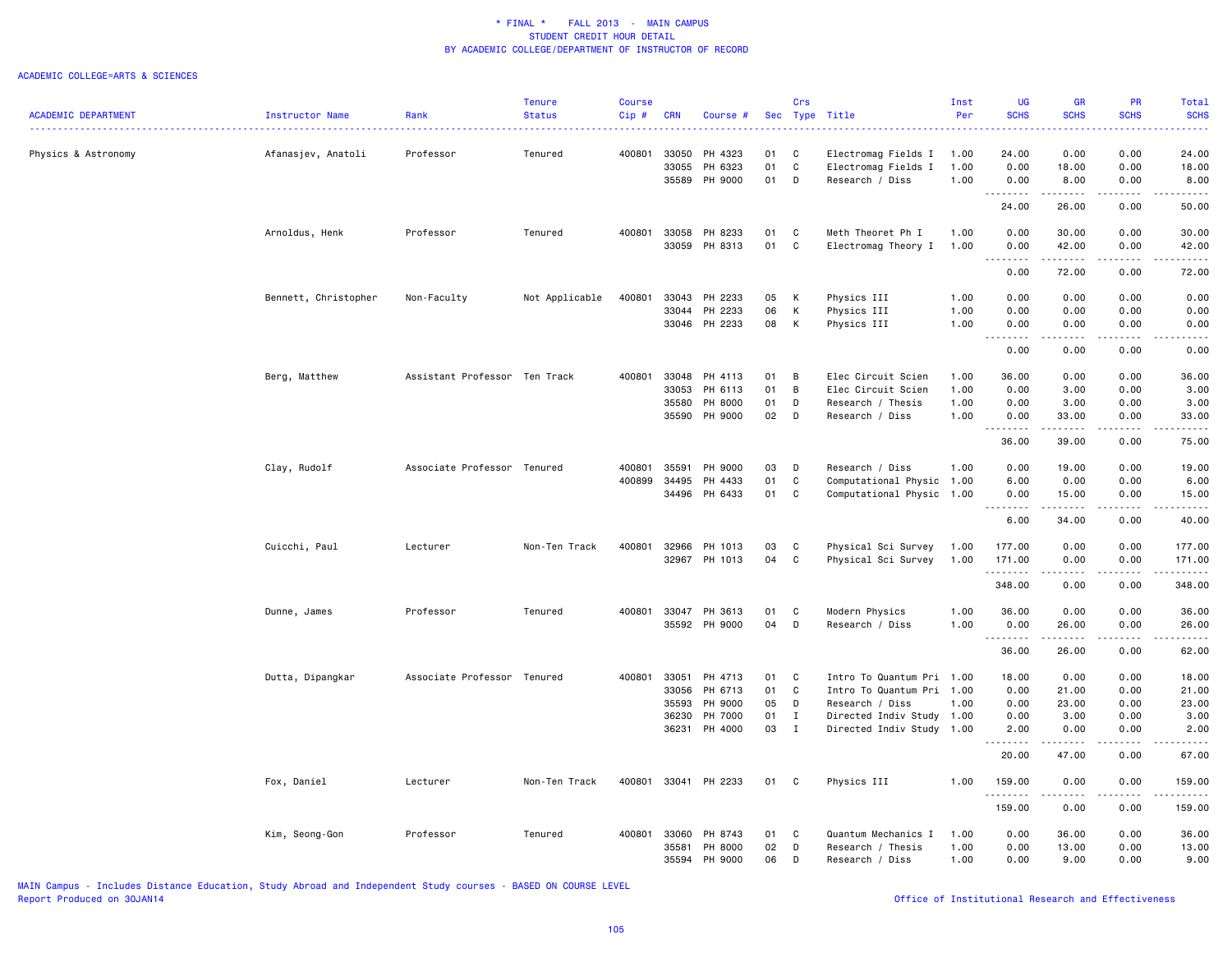### ACADEMIC COLLEGE=ARTS & SCIENCES

|                            |                      |                               | <b>Tenure</b>  | <b>Course</b> |            |               |    | Crs          |                           | Inst | <b>UG</b>                  | <b>GR</b>           | <b>PR</b>       | Total            |
|----------------------------|----------------------|-------------------------------|----------------|---------------|------------|---------------|----|--------------|---------------------------|------|----------------------------|---------------------|-----------------|------------------|
| <b>ACADEMIC DEPARTMENT</b> | Instructor Name      | Rank                          | <b>Status</b>  | Cip#          | <b>CRN</b> | Course #      |    |              | Sec Type Title            | Per  | <b>SCHS</b>                | <b>SCHS</b>         | <b>SCHS</b>     | <b>SCHS</b><br>. |
| Physics & Astronomy        | Afanasjev, Anatoli   | Professor                     | Tenured        | 400801        | 33050      | PH 4323       | 01 | C            | Electromag Fields I       | 1.00 | 24.00                      | 0.00                | 0.00            | 24.00            |
|                            |                      |                               |                |               | 33055      | PH 6323       | 01 | C            | Electromag Fields I       | 1.00 | 0.00                       | 18.00               | 0.00            | 18.00            |
|                            |                      |                               |                |               | 35589      | PH 9000       | 01 | D            | Research / Diss           | 1.00 | 0.00<br>.                  | 8.00<br>.           | 0.00<br>د د د د | 8.00<br>.        |
|                            |                      |                               |                |               |            |               |    |              |                           |      | 24.00                      | 26.00               | 0.00            | 50.00            |
|                            | Arnoldus, Henk       | Professor                     | Tenured        | 400801        | 33058      | PH 8233       | 01 | $\mathbf c$  | Meth Theoret Ph I         | 1.00 | 0.00                       | 30.00               | 0.00            | 30.00            |
|                            |                      |                               |                |               |            | 33059 PH 8313 | 01 | C            | Electromag Theory I       | 1.00 | 0.00<br>.<br>$\sim$ $\sim$ | 42.00<br>. <b>.</b> | 0.00<br>.       | 42.00<br>.       |
|                            |                      |                               |                |               |            |               |    |              |                           |      | 0.00                       | 72.00               | 0.00            | 72.00            |
|                            | Bennett, Christopher | Non-Faculty                   | Not Applicable | 400801        | 33043      | PH 2233       | 05 | K            | Physics III               | 1.00 | 0.00                       | 0.00                | 0.00            | 0.00             |
|                            |                      |                               |                |               | 33044      | PH 2233       | 06 | К            | Physics III               | 1.00 | 0.00                       | 0.00                | 0.00            | 0.00             |
|                            |                      |                               |                |               |            | 33046 PH 2233 | 08 | К            | Physics III               | 1.00 | 0.00<br>.                  | 0.00                | 0.00            | 0.00             |
|                            |                      |                               |                |               |            |               |    |              |                           |      | 0.00                       | 0.00                | 0.00            | 0.00             |
|                            | Berg, Matthew        | Assistant Professor Ten Track |                | 400801        | 33048      | PH 4113       | 01 | B            | Elec Circuit Scien        | 1.00 | 36.00                      | 0.00                | 0.00            | 36.00            |
|                            |                      |                               |                |               | 33053      | PH 6113       | 01 | B            | Elec Circuit Scien        | 1.00 | 0.00                       | 3.00                | 0.00            | 3.00             |
|                            |                      |                               |                |               | 35580      | PH 8000       | 01 | D            | Research / Thesis         | 1.00 | 0.00                       | 3.00                | 0.00            | 3.00             |
|                            |                      |                               |                |               | 35590      | PH 9000       | 02 | D            | Research / Diss           | 1.00 | 0.00                       | 33.00               | 0.00            | 33.00            |
|                            |                      |                               |                |               |            |               |    |              |                           |      | .<br>36.00                 | .<br>39.00          | .<br>0.00       | .<br>75.00       |
|                            | Clay, Rudolf         | Associate Professor Tenured   |                | 400801        | 35591      | PH 9000       | 03 | D            | Research / Diss           | 1.00 | 0.00                       | 19.00               | 0.00            | 19.00            |
|                            |                      |                               |                | 400899        | 34495      | PH 4433       | 01 | $\mathtt{C}$ | Computational Physic 1.00 |      | 6.00                       | 0.00                | 0.00            | 6.00             |
|                            |                      |                               |                |               | 34496      | PH 6433       | 01 | C            | Computational Physic 1.00 |      | 0.00                       | 15.00               | 0.00            | 15.00            |
|                            |                      |                               |                |               |            |               |    |              |                           |      | <b></b><br>6.00            | . <b>.</b><br>34.00 | .<br>0.00       | .<br>40.00       |
|                            |                      |                               |                |               |            |               |    |              |                           |      |                            |                     |                 |                  |
|                            | Cuicchi, Paul        | Lecturer                      | Non-Ten Track  | 400801        | 32966      | PH 1013       | 03 | C            | Physical Sci Survey       | 1.00 | 177.00                     | 0.00                | 0.00            | 177.00           |
|                            |                      |                               |                |               | 32967      | PH 1013       | 04 | C            | Physical Sci Survey       | 1.00 | 171.00<br>.                | 0.00                | 0.00<br>.       | 171.00<br>.      |
|                            |                      |                               |                |               |            |               |    |              |                           |      | 348.00                     | 0.00                | 0.00            | 348.00           |
|                            | Dunne, James         | Professor                     | Tenured        | 400801        | 33047      | PH 3613       | 01 | C            | Modern Physics            | 1.00 | 36.00                      | 0.00                | 0.00            | 36.00            |
|                            |                      |                               |                |               |            | 35592 PH 9000 | 04 | D            | Research / Diss           | 1.00 | 0.00<br>.                  | 26.00<br>.          | 0.00<br>.       | 26.00<br>.       |
|                            |                      |                               |                |               |            |               |    |              |                           |      | 36.00                      | 26.00               | 0.00            | 62.00            |
|                            | Dutta, Dipangkar     | Associate Professor Tenured   |                | 400801        | 33051      | PH 4713       | 01 | C            | Intro To Quantum Pri 1.00 |      | 18.00                      | 0.00                | 0.00            | 18.00            |
|                            |                      |                               |                |               | 33056      | PH 6713       | 01 | C            | Intro To Quantum Pri 1.00 |      | 0.00                       | 21.00               | 0.00            | 21.00            |
|                            |                      |                               |                |               | 35593      | PH 9000       | 05 | D            | Research / Diss           | 1.00 | 0.00                       | 23.00               | 0.00            | 23.00            |
|                            |                      |                               |                |               | 36230      | PH 7000       | 01 | $\mathbf{I}$ | Directed Indiv Study 1.00 |      | 0.00                       | 3.00                | 0.00            | 3.00             |
|                            |                      |                               |                |               |            | 36231 PH 4000 | 03 | $\mathbf{I}$ | Directed Indiv Study 1.00 |      | 2.00                       | 0.00                | 0.00            | 2.00             |
|                            |                      |                               |                |               |            |               |    |              |                           |      | 20.00                      | 47.00               | 0.00            | 67.00            |
|                            | Fox, Daniel          | Lecturer                      | Non-Ten Track  | 400801        |            | 33041 PH 2233 | 01 | $\mathbf{C}$ | Physics III               | 1.00 | 159.00                     | 0.00                | 0.00            | 159.00           |
|                            |                      |                               |                |               |            |               |    |              |                           |      | .<br>159.00                | ------<br>0.00      | .<br>0.00       | .<br>159.00      |
|                            | Kim, Seong-Gon       | Professor                     | Tenured        | 400801        | 33060      | PH 8743       | 01 | $\mathbf{C}$ | Quantum Mechanics I       | 1.00 | 0.00                       | 36.00               | 0.00            | 36.00            |
|                            |                      |                               |                |               | 35581      | PH 8000       | 02 | D            | Research / Thesis         | 1.00 | 0.00                       | 13.00               | 0.00            | 13.00            |
|                            |                      |                               |                |               | 35594      | PH 9000       | 06 | D            | Research / Diss           | 1.00 | 0.00                       | 9.00                | 0.00            | 9.00             |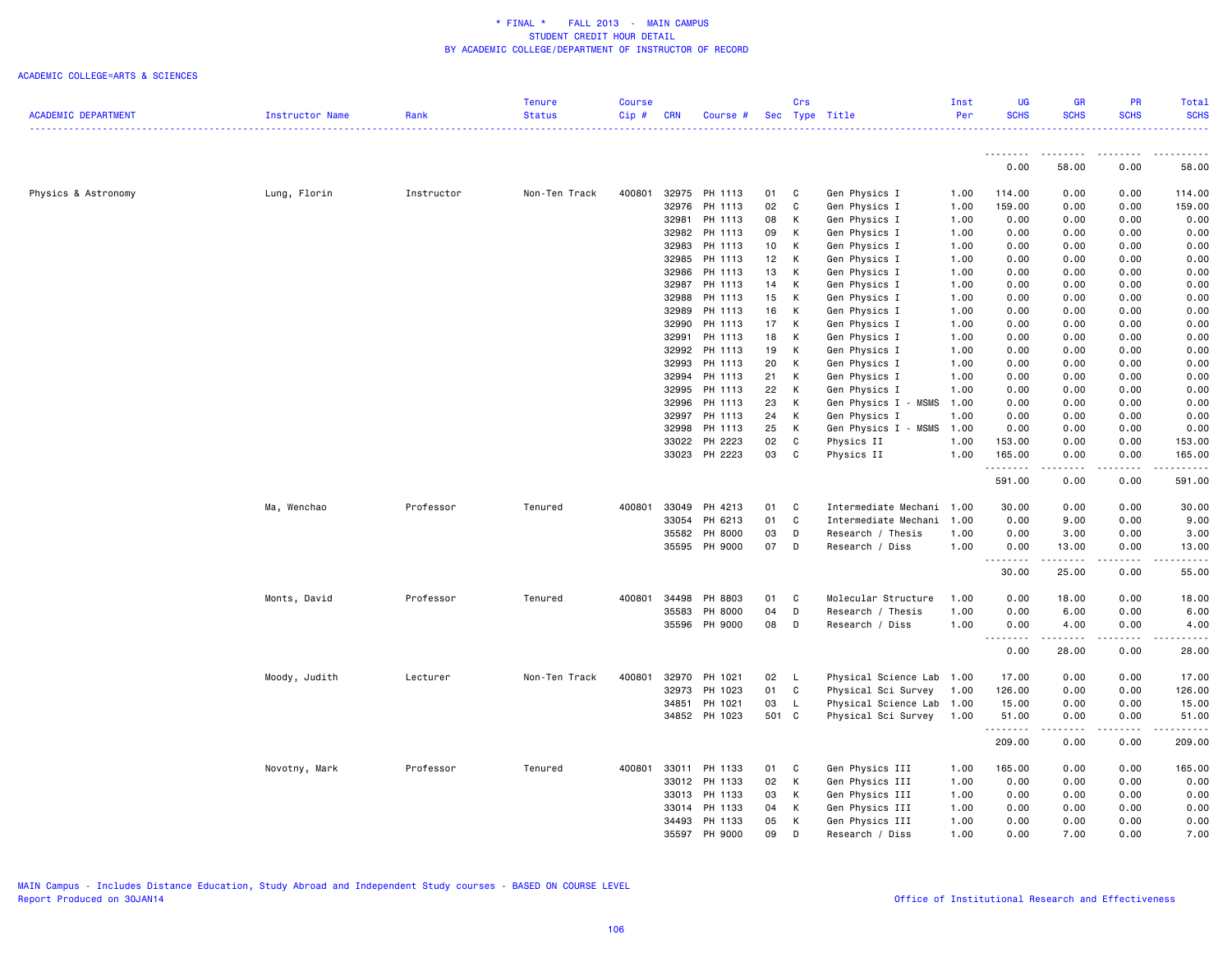### ACADEMIC COLLEGE=ARTS & SCIENCES

|                            |                 |            | Tenure        | <b>Course</b> |            |               |                 | Crs          |                           | Inst | UG               | GR                | <b>PR</b>                                                                                                                                                    | Total                                                                                                                                                          |
|----------------------------|-----------------|------------|---------------|---------------|------------|---------------|-----------------|--------------|---------------------------|------|------------------|-------------------|--------------------------------------------------------------------------------------------------------------------------------------------------------------|----------------------------------------------------------------------------------------------------------------------------------------------------------------|
| <b>ACADEMIC DEPARTMENT</b> | Instructor Name | Rank       | <b>Status</b> | Cip#          | <b>CRN</b> | Course #      |                 |              | Sec Type Title            | Per  | <b>SCHS</b>      | <b>SCHS</b>       | <b>SCHS</b>                                                                                                                                                  | <b>SCHS</b>                                                                                                                                                    |
|                            |                 |            |               |               |            |               |                 |              |                           |      |                  |                   |                                                                                                                                                              |                                                                                                                                                                |
|                            |                 |            |               |               |            |               |                 |              |                           |      | <u>.</u><br>0.00 | <u>.</u><br>58.00 | 0.00                                                                                                                                                         | 58.00                                                                                                                                                          |
| Physics & Astronomy        | Lung, Florin    | Instructor | Non-Ten Track | 400801        |            | 32975 PH 1113 | 01              | C            | Gen Physics I             | 1.00 | 114.00           | 0.00              | 0.00                                                                                                                                                         | 114.00                                                                                                                                                         |
|                            |                 |            |               |               | 32976      | PH 1113       | 02              | C            | Gen Physics I             | 1.00 | 159.00           | 0.00              | 0.00                                                                                                                                                         | 159.00                                                                                                                                                         |
|                            |                 |            |               |               | 32981      | PH 1113       | 08              | К            | Gen Physics I             | 1.00 | 0.00             | 0.00              | 0.00                                                                                                                                                         | 0.00                                                                                                                                                           |
|                            |                 |            |               |               | 32982      | PH 1113       | 09              | К            | Gen Physics I             | 1.00 | 0.00             | 0.00              | 0.00                                                                                                                                                         | 0.00                                                                                                                                                           |
|                            |                 |            |               |               | 32983      | PH 1113       | 10 <sub>1</sub> | К            | Gen Physics I             | 1.00 | 0.00             | 0.00              | 0.00                                                                                                                                                         | 0.00                                                                                                                                                           |
|                            |                 |            |               |               | 32985      | PH 1113       | 12              | К            | Gen Physics I             | 1.00 | 0.00             | 0.00              | 0.00                                                                                                                                                         | 0.00                                                                                                                                                           |
|                            |                 |            |               |               | 32986      | PH 1113       | 13              | К            | Gen Physics I             | 1.00 | 0.00             | 0.00              | 0.00                                                                                                                                                         | 0.00                                                                                                                                                           |
|                            |                 |            |               |               | 32987      | PH 1113       | 14              | К            | Gen Physics I             | 1.00 | 0.00             | 0.00              | 0.00                                                                                                                                                         | 0.00                                                                                                                                                           |
|                            |                 |            |               |               | 32988      | PH 1113       | 15              | К            | Gen Physics I             | 1.00 | 0.00             | 0.00              | 0.00                                                                                                                                                         | 0.00                                                                                                                                                           |
|                            |                 |            |               |               | 32989      | PH 1113       | 16              | К            | Gen Physics I             | 1.00 | 0.00             | 0.00              | 0.00                                                                                                                                                         | 0.00                                                                                                                                                           |
|                            |                 |            |               |               | 32990      | PH 1113       | 17              | К            | Gen Physics I             | 1.00 | 0.00             | 0.00              | 0.00                                                                                                                                                         | 0.00                                                                                                                                                           |
|                            |                 |            |               |               | 32991      | PH 1113       | 18              | К            | Gen Physics I             | 1.00 | 0.00             | 0.00              | 0.00                                                                                                                                                         | 0.00                                                                                                                                                           |
|                            |                 |            |               |               | 32992      | PH 1113       | 19              | К            | Gen Physics I             | 1.00 | 0.00             | 0.00              | 0.00                                                                                                                                                         | 0.00                                                                                                                                                           |
|                            |                 |            |               |               | 32993      | PH 1113       | 20              | К            | Gen Physics I             | 1.00 | 0.00             | 0.00              | 0.00                                                                                                                                                         | 0.00                                                                                                                                                           |
|                            |                 |            |               |               |            | 32994 PH 1113 | 21              | К            | Gen Physics I             | 1.00 | 0.00             | 0.00              | 0.00                                                                                                                                                         | 0.00                                                                                                                                                           |
|                            |                 |            |               |               | 32995      | PH 1113       | 22              | K            | Gen Physics I             | 1.00 | 0.00             | 0.00              | 0.00                                                                                                                                                         | 0.00                                                                                                                                                           |
|                            |                 |            |               |               | 32996      | PH 1113       | 23              | К            | Gen Physics I - MSMS      | 1.00 | 0.00             | 0.00              | 0.00                                                                                                                                                         | 0.00                                                                                                                                                           |
|                            |                 |            |               |               | 32997      | PH 1113       | 24              | К            | Gen Physics I             | 1.00 | 0.00             | 0.00              | 0.00                                                                                                                                                         | 0.00                                                                                                                                                           |
|                            |                 |            |               |               | 32998      | PH 1113       | 25              | К            | Gen Physics I - MSMS      | 1.00 | 0.00             | 0.00              | 0.00                                                                                                                                                         | 0.00                                                                                                                                                           |
|                            |                 |            |               |               | 33022      | PH 2223       | 02              | C            | Physics II                | 1.00 | 153.00           | 0.00              | 0.00                                                                                                                                                         | 153.00                                                                                                                                                         |
|                            |                 |            |               |               |            | 33023 PH 2223 | 03              | C            | Physics II                | 1.00 | 165.00           | 0.00              | 0.00                                                                                                                                                         | 165.00                                                                                                                                                         |
|                            |                 |            |               |               |            |               |                 |              |                           |      | .<br>591.00      | 0.00              | 0.00                                                                                                                                                         | $\frac{1}{2} \left( \frac{1}{2} \right) \left( \frac{1}{2} \right) \left( \frac{1}{2} \right) \left( \frac{1}{2} \right) \left( \frac{1}{2} \right)$<br>591.00 |
|                            | Ma, Wenchao     | Professor  | Tenured       | 400801        | 33049      | PH 4213       | 01              | C            | Intermediate Mechani 1.00 |      | 30.00            | 0.00              | 0.00                                                                                                                                                         | 30.00                                                                                                                                                          |
|                            |                 |            |               |               | 33054      | PH 6213       | 01              | C            | Intermediate Mechani      | 1.00 | 0.00             | 9.00              | 0.00                                                                                                                                                         | 9.00                                                                                                                                                           |
|                            |                 |            |               |               | 35582      | PH 8000       | 03              | D            | Research / Thesis         | 1.00 | 0.00             | 3.00              | 0.00                                                                                                                                                         | 3.00                                                                                                                                                           |
|                            |                 |            |               |               |            | 35595 PH 9000 | 07              | D            | Research / Diss           | 1.00 | 0.00             | 13.00             | 0.00                                                                                                                                                         | 13.00                                                                                                                                                          |
|                            |                 |            |               |               |            |               |                 |              |                           |      | .<br>30.00       | .<br>25.00        | .<br>0.00                                                                                                                                                    | .<br>55.00                                                                                                                                                     |
|                            | Monts, David    | Professor  | Tenured       | 400801        | 34498      | PH 8803       | 01              | C            | Molecular Structure       | 1.00 | 0.00             | 18.00             | 0.00                                                                                                                                                         | 18.00                                                                                                                                                          |
|                            |                 |            |               |               | 35583      | PH 8000       | 04              | D            | Research / Thesis         | 1.00 | 0.00             | 6.00              | 0.00                                                                                                                                                         | 6.00                                                                                                                                                           |
|                            |                 |            |               |               |            | 35596 PH 9000 | 08              | D            | Research / Diss           | 1.00 | 0.00             | 4.00              | 0.00                                                                                                                                                         | 4.00                                                                                                                                                           |
|                            |                 |            |               |               |            |               |                 |              |                           |      | .<br>0.00        | .<br>28.00        | .<br>0.00                                                                                                                                                    | .<br>28.00                                                                                                                                                     |
|                            | Moody, Judith   | Lecturer   | Non-Ten Track | 400801        | 32970      | PH 1021       | 02              | $\mathsf{L}$ | Physical Science Lab      | 1.00 | 17.00            | 0.00              | 0.00                                                                                                                                                         | 17.00                                                                                                                                                          |
|                            |                 |            |               |               | 32973      | PH 1023       | 01              | $\mathtt{C}$ | Physical Sci Survey       | 1.00 | 126.00           | 0.00              | 0.00                                                                                                                                                         | 126.00                                                                                                                                                         |
|                            |                 |            |               |               | 34851      | PH 1021       | 03              | $\mathsf{L}$ | Physical Science Lab      | 1.00 | 15.00            | 0.00              | 0.00                                                                                                                                                         | 15.00                                                                                                                                                          |
|                            |                 |            |               |               |            | 34852 PH 1023 | 501 C           |              | Physical Sci Survey       | 1.00 | 51.00            | 0.00              | 0.00                                                                                                                                                         | 51.00                                                                                                                                                          |
|                            |                 |            |               |               |            |               |                 |              |                           |      | .<br>209.00      | .<br>0.00         | $\frac{1}{2} \left( \frac{1}{2} \right) \left( \frac{1}{2} \right) \left( \frac{1}{2} \right) \left( \frac{1}{2} \right) \left( \frac{1}{2} \right)$<br>0.00 | ------<br>209.00                                                                                                                                               |
|                            | Novotny, Mark   | Professor  | Tenured       | 400801        | 33011      | PH 1133       | 01              | C            | Gen Physics III           | 1.00 | 165,00           | 0.00              | 0.00                                                                                                                                                         | 165.00                                                                                                                                                         |
|                            |                 |            |               |               | 33012      | PH 1133       | 02              | К            | Gen Physics III           | 1.00 | 0.00             | 0.00              | 0.00                                                                                                                                                         | 0.00                                                                                                                                                           |
|                            |                 |            |               |               | 33013      | PH 1133       | 03              | К            | Gen Physics III           | 1.00 | 0.00             | 0.00              | 0.00                                                                                                                                                         | 0.00                                                                                                                                                           |
|                            |                 |            |               |               | 33014      | PH 1133       | 04              | К            | Gen Physics III           | 1.00 | 0.00             | 0.00              | 0.00                                                                                                                                                         | 0.00                                                                                                                                                           |
|                            |                 |            |               |               | 34493      | PH 1133       | 05              | К            | Gen Physics III           | 1.00 | 0.00             | 0.00              | 0.00                                                                                                                                                         | 0.00                                                                                                                                                           |
|                            |                 |            |               |               |            | 35597 PH 9000 | 09              | D            | Research / Diss           | 1.00 | 0.00             | 7.00              | 0.00                                                                                                                                                         | 7.00                                                                                                                                                           |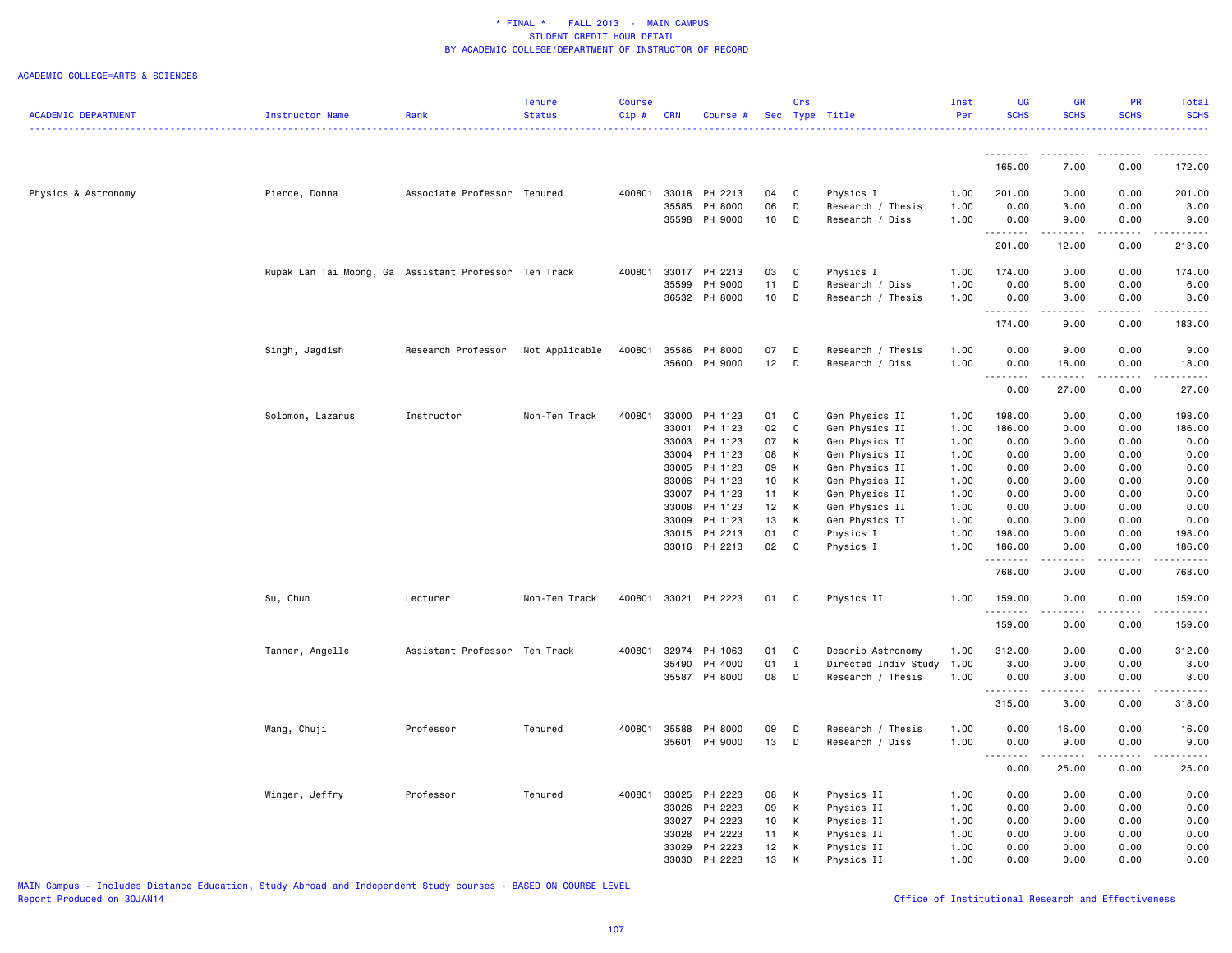### ACADEMIC COLLEGE=ARTS & SCIENCES

|                            |                                                       |                               | <b>Tenure</b>  | Course   |            |                          |          | Crs            |                             | Inst         | UG               | <b>GR</b>              | PR                  | <b>Total</b>                                                 |
|----------------------------|-------------------------------------------------------|-------------------------------|----------------|----------|------------|--------------------------|----------|----------------|-----------------------------|--------------|------------------|------------------------|---------------------|--------------------------------------------------------------|
| <b>ACADEMIC DEPARTMENT</b> | <b>Instructor Name</b>                                | Rank                          | <b>Status</b>  | $Cip \#$ | <b>CRN</b> | Course #                 |          |                | Sec Type Title              | Per          | <b>SCHS</b>      | <b>SCHS</b>            | <b>SCHS</b>         | <b>SCHS</b><br>.                                             |
|                            |                                                       |                               |                |          |            |                          |          |                |                             |              | <u>.</u>         | .                      | .                   |                                                              |
|                            |                                                       |                               |                |          |            |                          |          |                |                             |              | 165.00           | 7.00                   | 0.00                | 172.00                                                       |
| Physics & Astronomy        | Pierce, Donna                                         | Associate Professor Tenured   |                | 400801   |            | 33018 PH 2213            | 04       | C              | Physics I                   | 1.00         | 201.00           | 0.00                   | 0.00                | 201.00                                                       |
|                            |                                                       |                               |                |          | 35585      | PH 8000                  | 06       | D              | Research / Thesis           | 1.00         | 0.00             | 3.00                   | 0.00                | 3.00                                                         |
|                            |                                                       |                               |                |          |            | 35598 PH 9000            | 10       | D              | Research / Diss             | 1.00         | 0.00<br>.        | 9.00<br>-----          | 0.00<br>.           | 9.00<br>.                                                    |
|                            |                                                       |                               |                |          |            |                          |          |                |                             |              | 201.00           | 12.00                  | 0.00                | 213.00                                                       |
|                            | Rupak Lan Tai Moong, Ga Assistant Professor Ten Track |                               |                | 400801   |            | 33017 PH 2213            | 03       | C              | Physics I                   | 1.00         | 174.00           | 0.00                   | 0.00                | 174.00                                                       |
|                            |                                                       |                               |                |          | 35599      | PH 9000                  | 11       | D              | Research / Diss             | 1.00         | 0.00             | 6.00                   | 0.00                | 6.00                                                         |
|                            |                                                       |                               |                |          |            | 36532 PH 8000            | 10       | D              | Research / Thesis           | 1.00         | 0.00<br><u>.</u> | 3.00<br>.              | 0.00<br>-----       | 3.00<br>$\alpha$ , $\alpha$ , $\alpha$ , $\alpha$ , $\alpha$ |
|                            |                                                       |                               |                |          |            |                          |          |                |                             |              | 174.00           | 9.00                   | 0.00                | 183.00                                                       |
|                            | Singh, Jagdish                                        | Research Professor            | Not Applicable | 400801   |            | 35586 PH 8000            | 07       | D              | Research / Thesis           | 1.00         | 0.00             | 9.00                   | 0.00                | 9.00                                                         |
|                            |                                                       |                               |                |          |            | 35600 PH 9000            | 12       | D              | Research / Diss             | 1.00         | 0.00<br>.        | 18.00                  | 0.00                | 18.00                                                        |
|                            |                                                       |                               |                |          |            |                          |          |                |                             |              | 0.00             | 27.00                  | 0.00                | 27.00                                                        |
|                            | Solomon, Lazarus                                      | Instructor                    | Non-Ten Track  | 400801   | 33000      | PH 1123                  | 01       | C              | Gen Physics II              | 1.00         | 198.00           | 0.00                   | 0.00                | 198.00                                                       |
|                            |                                                       |                               |                |          | 33001      | PH 1123                  | 02       | $\mathtt{C}$   | Gen Physics II              | 1.00         | 186.00           | 0.00                   | 0.00                | 186.00                                                       |
|                            |                                                       |                               |                |          | 33003      | PH 1123                  | 07       | К              | Gen Physics II              | 1.00         | 0.00             | 0.00                   | 0.00                | 0.00                                                         |
|                            |                                                       |                               |                |          | 33004      | PH 1123                  | 08       | К              | Gen Physics II              | 1.00         | 0.00             | 0.00                   | 0.00                | 0.00                                                         |
|                            |                                                       |                               |                |          |            | 33005 PH 1123            | 09       | К              | Gen Physics II              | 1.00         | 0.00             | 0.00                   | 0.00                | 0.00                                                         |
|                            |                                                       |                               |                |          |            | 33006 PH 1123            | 10       | К              | Gen Physics II              | 1.00         | 0.00             | 0.00                   | 0.00                | 0.00                                                         |
|                            |                                                       |                               |                |          |            | 33007 PH 1123            | 11       | K              | Gen Physics II              | 1.00         | 0.00             | 0.00                   | 0.00                | 0.00                                                         |
|                            |                                                       |                               |                |          | 33008      | PH 1123                  | 12       | K              | Gen Physics II              | 1.00         | 0.00             | 0.00                   | 0.00                | 0.00                                                         |
|                            |                                                       |                               |                |          | 33009      | PH 1123<br>33015 PH 2213 | 13<br>01 | к<br>C         | Gen Physics II<br>Physics I | 1.00<br>1.00 | 0.00             | 0.00<br>0.00           | 0.00<br>0.00        | 0.00<br>198.00                                               |
|                            |                                                       |                               |                |          |            | 33016 PH 2213            | 02       | C              | Physics I                   | 1.00         | 198.00<br>186.00 | 0.00                   | 0.00                | 186.00                                                       |
|                            |                                                       |                               |                |          |            |                          |          |                |                             |              | .                | $\omega$ is a $\omega$ | .                   | .                                                            |
|                            |                                                       |                               |                |          |            |                          |          |                |                             |              | 768.00           | 0.00                   | 0.00                | 768.00                                                       |
|                            | Su, Chun                                              | Lecturer                      | Non-Ten Track  | 400801   |            | 33021 PH 2223            | 01 C     |                | Physics II                  | 1.00         | 159.00<br>.      | 0.00<br>$\frac{1}{2}$  | 0.00<br>. <b>.</b>  | 159.00<br>$- - - - - - -$                                    |
|                            |                                                       |                               |                |          |            |                          |          |                |                             |              | 159.00           | 0.00                   | 0.00                | 159.00                                                       |
|                            | Tanner, Angelle                                       | Assistant Professor Ten Track |                | 400801   | 32974      | PH 1063                  | 01       | $\overline{c}$ | Descrip Astronomy           | 1.00         | 312.00           | 0.00                   | 0.00                | 312.00                                                       |
|                            |                                                       |                               |                |          | 35490      | PH 4000                  | 01       | $\mathbf{I}$   | Directed Indiv Study        | 1.00         | 3.00             | 0.00                   | 0.00                | 3.00                                                         |
|                            |                                                       |                               |                |          |            | 35587 PH 8000            | 08       | D              | Research / Thesis           | 1.00         | 0.00<br>.        | 3.00<br>.              | 0.00<br>.           | 3.00<br>المتمام المنا                                        |
|                            |                                                       |                               |                |          |            |                          |          |                |                             |              | 315.00           | 3.00                   | 0.00                | 318.00                                                       |
|                            | Wang, Chuji                                           | Professor                     | Tenured        | 400801   |            | 35588 PH 8000            | 09       | D              | Research / Thesis           | 1.00         | 0.00             | 16.00                  | 0.00                | 16.00                                                        |
|                            |                                                       |                               |                |          |            | 35601 PH 9000            | 13       | D              | Research / Diss             | 1.00         | 0.00<br>-----    | 9.00<br>.              | 0.00<br>$- - - - -$ | 9.00<br>.                                                    |
|                            |                                                       |                               |                |          |            |                          |          |                |                             |              | 0.00             | 25.00                  | 0.00                | 25.00                                                        |
|                            | Winger, Jeffry                                        | Professor                     | Tenured        | 400801   |            | 33025 PH 2223            | 08       | К              | Physics II                  | 1.00         | 0.00             | 0.00                   | 0.00                | 0.00                                                         |
|                            |                                                       |                               |                |          | 33026      | PH 2223                  | 09       | К              | Physics II                  | 1.00         | 0.00             | 0.00                   | 0.00                | 0.00                                                         |
|                            |                                                       |                               |                |          |            | 33027 PH 2223            | 10       | К              | Physics II                  | 1.00         | 0.00             | 0.00                   | 0.00                | 0.00                                                         |
|                            |                                                       |                               |                |          | 33028      | PH 2223                  | 11       | К              | Physics II                  | 1.00         | 0.00             | 0.00                   | 0.00                | 0.00                                                         |
|                            |                                                       |                               |                |          | 33029      | PH 2223                  | 12       | К              | Physics II                  | 1.00         | 0.00             | 0.00                   | 0.00                | 0.00                                                         |
|                            |                                                       |                               |                |          |            | 33030 PH 2223            | 13       | K              | Physics II                  | 1.00         | 0.00             | 0.00                   | 0.00                | 0.00                                                         |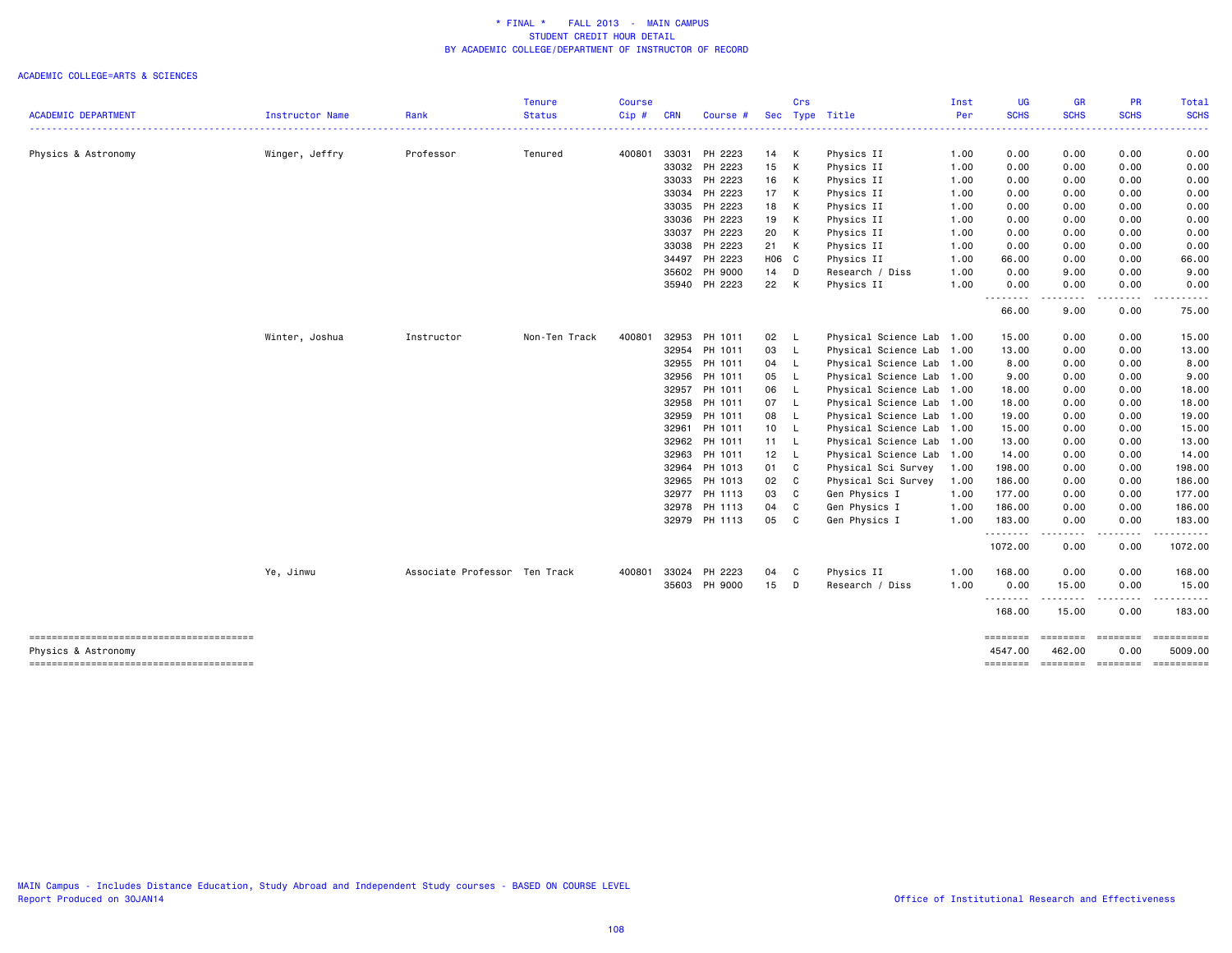|                                                               |                 |                               | <b>Tenure</b> | <b>Course</b> |            |               |       | Crs |                           | Inst     | <b>UG</b>           | GR                 | PR                           | <b>Total</b>          |
|---------------------------------------------------------------|-----------------|-------------------------------|---------------|---------------|------------|---------------|-------|-----|---------------------------|----------|---------------------|--------------------|------------------------------|-----------------------|
| <b>ACADEMIC DEPARTMENT</b>                                    | Instructor Name | Rank                          | <b>Status</b> | Cip#          | <b>CRN</b> | Course #      | Sec   |     | Type Title                | Per<br>. | <b>SCHS</b>         | <b>SCHS</b>        | <b>SCHS</b>                  | <b>SCHS</b>           |
| Physics & Astronomy                                           | Winger, Jeffry  | Professor                     | Tenured       | 400801        | 33031      | PH 2223       | 14 K  |     | Physics II                | 1.00     | 0.00                | 0.00               | 0.00                         | 0.00                  |
|                                                               |                 |                               |               |               | 33032      | PH 2223       | 15 K  |     | Physics II                | 1.00     | 0.00                | 0.00               | 0.00                         | 0.00                  |
|                                                               |                 |                               |               |               |            | 33033 PH 2223 | 16 K  |     | Physics II                | 1.00     | 0.00                | 0.00               | 0.00                         | 0.00                  |
|                                                               |                 |                               |               |               | 33034      | PH 2223       | 17 K  |     | Physics II                | 1.00     | 0.00                | 0.00               | 0.00                         | 0.00                  |
|                                                               |                 |                               |               |               |            | 33035 PH 2223 | 18 K  |     | Physics II                | 1.00     | 0.00                | 0.00               | 0.00                         | 0.00                  |
|                                                               |                 |                               |               |               |            | 33036 PH 2223 | 19 K  |     | Physics II                | 1.00     | 0.00                | 0.00               | 0.00                         | 0.00                  |
|                                                               |                 |                               |               |               | 33037      | PH 2223       | 20 K  |     | Physics II                | 1.00     | 0.00                | 0.00               | 0.00                         | 0.00                  |
|                                                               |                 |                               |               |               | 33038      | PH 2223       | 21 K  |     | Physics II                | 1.00     | 0.00                | 0.00               | 0.00                         | 0.00                  |
|                                                               |                 |                               |               |               |            | 34497 PH 2223 | H06 C |     | Physics II                | 1.00     | 66.00               | 0.00               | 0.00                         | 66.00                 |
|                                                               |                 |                               |               |               |            | 35602 PH 9000 | 14 D  |     | Research / Diss           | 1.00     | 0.00                | 9.00               | 0.00                         | 9.00                  |
|                                                               |                 |                               |               |               |            | 35940 PH 2223 | 22 K  |     | Physics II                | 1.00     | 0.00                | 0.00               | 0.00                         | 0.00                  |
|                                                               |                 |                               |               |               |            |               |       |     |                           |          | .<br>66.00          | .<br>9.00          | . <u>.</u> .<br>0.00         | 75.00                 |
|                                                               | Winter, Joshua  | Instructor                    | Non-Ten Track | 400801        | 32953      | PH 1011       | 02 L  |     | Physical Science Lab 1.00 |          | 15.00               | 0.00               | 0.00                         | 15.00                 |
|                                                               |                 |                               |               |               | 32954      | PH 1011       | 03 L  |     | Physical Science Lab      | 1.00     | 13.00               | 0.00               | 0.00                         | 13.00                 |
|                                                               |                 |                               |               |               | 32955      | PH 1011       | 04 L  |     | Physical Science Lab      | 1.00     | 8.00                | 0.00               | 0.00                         | 8.00                  |
|                                                               |                 |                               |               |               | 32956      | PH 1011       | 05 L  |     | Physical Science Lab      | 1.00     | 9.00                | 0.00               | 0.00                         | 9.00                  |
|                                                               |                 |                               |               |               | 32957      | PH 1011       | 06    | - L | Physical Science Lab      | 1.00     | 18.00               | 0.00               | 0.00                         | 18.00                 |
|                                                               |                 |                               |               |               | 32958      | PH 1011       | 07 L  |     | Physical Science Lab      | 1.00     | 18.00               | 0.00               | 0.00                         | 18.00                 |
|                                                               |                 |                               |               |               | 32959      | PH 1011       | 08 L  |     | Physical Science Lab 1.00 |          | 19.00               | 0.00               | 0.00                         | 19.00                 |
|                                                               |                 |                               |               |               | 32961      | PH 1011       | 10 L  |     | Physical Science Lab      | 1.00     | 15.00               | 0.00               | 0.00                         | 15.00                 |
|                                                               |                 |                               |               |               | 32962      | PH 1011       | 11 L  |     | Physical Science Lab      | 1.00     | 13.00               | 0.00               | 0.00                         | 13.00                 |
|                                                               |                 |                               |               |               | 32963      | PH 1011       | 12 L  |     | Physical Science Lab 1.00 |          | 14.00               | 0.00               | 0.00                         | 14.00                 |
|                                                               |                 |                               |               |               | 32964      | PH 1013       | 01 C  |     | Physical Sci Survey       | 1.00     | 198.00              | 0.00               | 0.00                         | 198.00                |
|                                                               |                 |                               |               |               | 32965      | PH 1013       | 02 C  |     | Physical Sci Survey       | 1.00     | 186.00              | 0.00               | 0.00                         | 186.00                |
|                                                               |                 |                               |               |               | 32977      | PH 1113       | 03 C  |     | Gen Physics I             | 1.00     | 177.00              | 0.00               | 0.00                         | 177.00                |
|                                                               |                 |                               |               |               | 32978      | PH 1113       | 04    | C   | Gen Physics I             | 1.00     | 186.00              | 0.00               | 0.00                         | 186.00                |
|                                                               |                 |                               |               |               |            | 32979 PH 1113 | 05 C  |     | Gen Physics I             | 1.00     | 183.00              | 0.00               | 0.00                         | 183.00                |
|                                                               |                 |                               |               |               |            |               |       |     |                           |          | .<br>1072.00        | $\cdots$<br>0.00   | -----<br>0.00                | ------<br>1072.00     |
|                                                               | Ye, Jinwu       | Associate Professor Ten Track |               | 400801        | 33024      | PH 2223       | 04 C  |     | Physics II                | 1.00     | 168.00              | 0.00               | 0.00                         | 168.00                |
|                                                               |                 |                               |               |               |            | 35603 PH 9000 | 15 D  |     | Research / Diss           | 1.00     | 0.00<br>.           | 15.00              | 0.00                         | 15.00                 |
|                                                               |                 |                               |               |               |            |               |       |     |                           |          | 168.00              | 15.00              | 0.00                         | 183.00                |
| --------------------------------------<br>Physics & Astronomy |                 |                               |               |               |            |               |       |     |                           |          | ========<br>4547.00 | ========<br>462.00 | ========<br>0.00             | ==========<br>5009.00 |
|                                                               |                 |                               |               |               |            |               |       |     |                           |          | <b>EDESSER</b>      |                    | --------- -------- --------- |                       |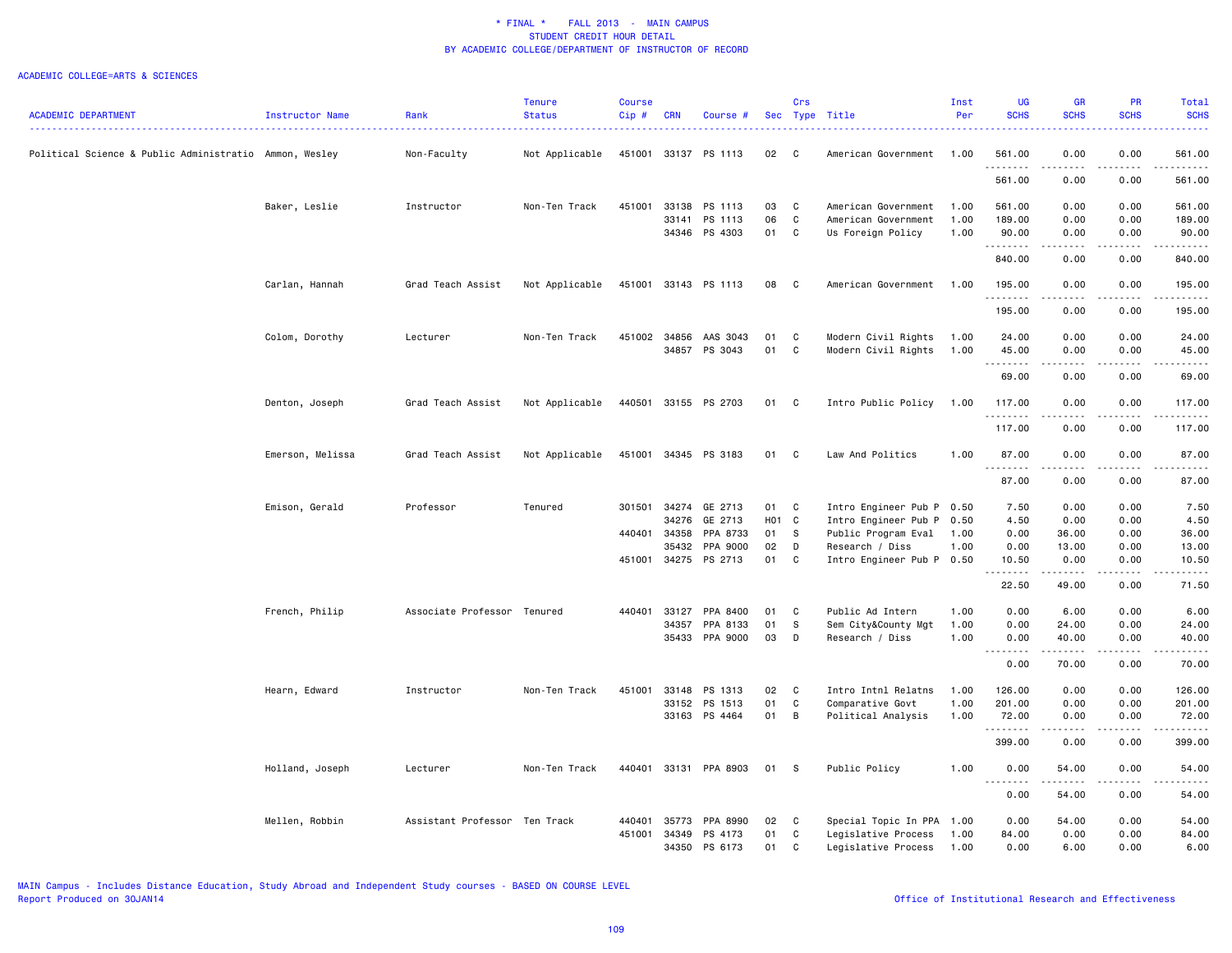|                                                        |                  |                               | <b>Tenure</b>  | <b>Course</b> |              |                       |       | Crs          |                           | Inst | <b>UG</b>   | <b>GR</b>                                                                                                                                                    | <b>PR</b>     | Total                                                                                                                                                          |
|--------------------------------------------------------|------------------|-------------------------------|----------------|---------------|--------------|-----------------------|-------|--------------|---------------------------|------|-------------|--------------------------------------------------------------------------------------------------------------------------------------------------------------|---------------|----------------------------------------------------------------------------------------------------------------------------------------------------------------|
| <b>ACADEMIC DEPARTMENT</b>                             | Instructor Name  | Rank                          | <b>Status</b>  | Cip#          | <b>CRN</b>   | Course #              |       |              | Sec Type Title            | Per  | <b>SCHS</b> | <b>SCHS</b>                                                                                                                                                  | <b>SCHS</b>   | <b>SCHS</b>                                                                                                                                                    |
| Political Science & Public Administratio Ammon, Wesley |                  | Non-Faculty                   | Not Applicable | 451001        | 33137        | PS 1113               | 02    | C            | American Government       | 1.00 | 561.00      | 0.00                                                                                                                                                         | 0.00          | 561.00                                                                                                                                                         |
|                                                        |                  |                               |                |               |              |                       |       |              |                           |      | .<br>561.00 | - - - -<br>0.00                                                                                                                                              | 0.00          | .<br>561.00                                                                                                                                                    |
|                                                        | Baker, Leslie    | Instructor                    | Non-Ten Track  | 451001        | 33138        | PS 1113               | 03    | $\mathbf{C}$ | American Government       | 1.00 | 561.00      | 0.00                                                                                                                                                         | 0.00          | 561.00                                                                                                                                                         |
|                                                        |                  |                               |                |               | 33141        | PS 1113               | 06    | $\mathbf C$  | American Government       | 1.00 | 189.00      | 0.00                                                                                                                                                         | 0.00          | 189.00                                                                                                                                                         |
|                                                        |                  |                               |                |               | 34346        | PS 4303               | 01    | $\mathbf C$  | Us Foreign Policy         | 1.00 | 90.00<br>.  | 0.00<br>.                                                                                                                                                    | 0.00<br>.     | 90.00<br>------                                                                                                                                                |
|                                                        |                  |                               |                |               |              |                       |       |              |                           |      | 840.00      | 0.00                                                                                                                                                         | 0.00          | 840.00                                                                                                                                                         |
|                                                        | Carlan, Hannah   | Grad Teach Assist             | Not Applicable | 451001        |              | 33143 PS 1113         | 08    | $\mathbf{C}$ | American Government       | 1.00 | 195.00<br>. | 0.00<br>.                                                                                                                                                    | 0.00<br>.     | 195.00<br>.                                                                                                                                                    |
|                                                        |                  |                               |                |               |              |                       |       |              |                           |      | 195.00      | 0.00                                                                                                                                                         | 0.00          | 195.00                                                                                                                                                         |
|                                                        | Colom, Dorothy   | Lecturer                      | Non-Ten Track  |               | 451002 34856 | AAS 3043              | 01    | C            | Modern Civil Rights       | 1.00 | 24.00       | 0.00                                                                                                                                                         | 0.00          | 24.00                                                                                                                                                          |
|                                                        |                  |                               |                |               |              | 34857 PS 3043         | 01    | $\mathbf C$  | Modern Civil Rights       | 1.00 | 45.00<br>.  | 0.00<br>$\frac{1}{2} \left( \frac{1}{2} \right) \left( \frac{1}{2} \right) \left( \frac{1}{2} \right) \left( \frac{1}{2} \right) \left( \frac{1}{2} \right)$ | 0.00<br>.     | 45.00<br>.                                                                                                                                                     |
|                                                        |                  |                               |                |               |              |                       |       |              |                           |      | 69.00       | 0.00                                                                                                                                                         | 0.00          | 69.00                                                                                                                                                          |
|                                                        | Denton, Joseph   | Grad Teach Assist             | Not Applicable |               |              | 440501 33155 PS 2703  | 01 C  |              | Intro Public Policy       | 1.00 | 117.00<br>. | 0.00<br>.                                                                                                                                                    | 0.00<br>.     | 117.00<br>$\frac{1}{2} \left( \frac{1}{2} \right) \left( \frac{1}{2} \right) \left( \frac{1}{2} \right) \left( \frac{1}{2} \right) \left( \frac{1}{2} \right)$ |
|                                                        |                  |                               |                |               |              |                       |       |              |                           |      | 117.00      | 0.00                                                                                                                                                         | 0.00          | 117.00                                                                                                                                                         |
|                                                        | Emerson, Melissa | Grad Teach Assist             | Not Applicable |               |              | 451001 34345 PS 3183  | 01 C  |              | Law And Politics          | 1.00 | 87.00<br>.  | 0.00<br>.                                                                                                                                                    | 0.00<br>.     | 87.00<br>.                                                                                                                                                     |
|                                                        |                  |                               |                |               |              |                       |       |              |                           |      | 87.00       | 0.00                                                                                                                                                         | 0.00          | 87.00                                                                                                                                                          |
|                                                        | Emison, Gerald   | Professor                     | Tenured        | 301501        | 34274        | GE 2713               | 01    | C            | Intro Engineer Pub P 0.50 |      | 7.50        | 0.00                                                                                                                                                         | 0.00          | 7.50                                                                                                                                                           |
|                                                        |                  |                               |                |               | 34276        | GE 2713               | H01 C |              | Intro Engineer Pub P      | 0.50 | 4.50        | 0.00                                                                                                                                                         | 0.00          | 4.50                                                                                                                                                           |
|                                                        |                  |                               |                | 440401        | 34358        | PPA 8733              | 01    | - S          | Public Program Eval       | 1.00 | 0.00        | 36.00                                                                                                                                                        | 0.00          | 36.00                                                                                                                                                          |
|                                                        |                  |                               |                |               | 35432        | PPA 9000              | 02    | D            | Research / Diss           | 1.00 | 0.00        | 13.00                                                                                                                                                        | 0.00          | 13.00                                                                                                                                                          |
|                                                        |                  |                               |                | 451001        | 34275        | PS 2713               | 01    | C            | Intro Engineer Pub P      | 0.50 | 10.50       | 0.00<br>-----                                                                                                                                                | 0.00          | 10.50                                                                                                                                                          |
|                                                        |                  |                               |                |               |              |                       |       |              |                           |      | 22.50       | 49.00                                                                                                                                                        | 0.00          | 71.50                                                                                                                                                          |
|                                                        | French, Philip   | Associate Professor Tenured   |                | 440401        | 33127        | PPA 8400              | 01    | C            | Public Ad Intern          | 1.00 | 0.00        | 6.00                                                                                                                                                         | 0.00          | 6.00                                                                                                                                                           |
|                                                        |                  |                               |                |               | 34357        | PPA 8133              | 01    | -S           | Sem City&County Mgt       | 1.00 | 0.00        | 24.00                                                                                                                                                        | 0.00          | 24.00                                                                                                                                                          |
|                                                        |                  |                               |                |               | 35433        | PPA 9000              | 03    | D            | Research / Diss           | 1.00 | 0.00<br>.   | 40.00<br>.                                                                                                                                                   | 0.00<br>.     | 40.00<br>.                                                                                                                                                     |
|                                                        |                  |                               |                |               |              |                       |       |              |                           |      | 0.00        | 70.00                                                                                                                                                        | 0.00          | 70.00                                                                                                                                                          |
|                                                        | Hearn, Edward    | Instructor                    | Non-Ten Track  | 451001        | 33148        | PS 1313               | 02    | C            | Intro Intnl Relatns       | 1.00 | 126.00      | 0.00                                                                                                                                                         | 0.00          | 126.00                                                                                                                                                         |
|                                                        |                  |                               |                |               | 33152        | PS 1513               | 01    | C            | Comparative Govt          | 1.00 | 201.00      | 0.00                                                                                                                                                         | 0.00          | 201.00                                                                                                                                                         |
|                                                        |                  |                               |                |               |              | 33163 PS 4464         | 01    | B            | Political Analysis        | 1.00 | 72.00<br>.  | 0.00<br>.                                                                                                                                                    | 0.00<br>----- | 72.00<br>------                                                                                                                                                |
|                                                        |                  |                               |                |               |              |                       |       |              |                           |      | 399.00      | 0.00                                                                                                                                                         | 0.00          | 399.00                                                                                                                                                         |
|                                                        | Holland, Joseph  | Lecturer                      | Non-Ten Track  |               |              | 440401 33131 PPA 8903 | 01    | <b>S</b>     | Public Policy             | 1.00 | 0.00        | 54.00<br>.                                                                                                                                                   | 0.00<br>.     | 54.00<br>.                                                                                                                                                     |
|                                                        |                  |                               |                |               |              |                       |       |              |                           |      | 0.00        | 54.00                                                                                                                                                        | 0.00          | 54.00                                                                                                                                                          |
|                                                        | Mellen, Robbin   | Assistant Professor Ten Track |                | 440401        | 35773        | PPA 8990              | 02    | C            | Special Topic In PPA 1.00 |      | 0.00        | 54.00                                                                                                                                                        | 0.00          | 54.00                                                                                                                                                          |
|                                                        |                  |                               |                | 451001        | 34349        | PS 4173               | 01    | C            | Legislative Process       | 1.00 | 84.00       | 0.00                                                                                                                                                         | 0.00          | 84.00                                                                                                                                                          |
|                                                        |                  |                               |                |               | 34350        | PS 6173               | 01    | C            | Legislative Process       | 1.00 | 0.00        | 6.00                                                                                                                                                         | 0.00          | 6.00                                                                                                                                                           |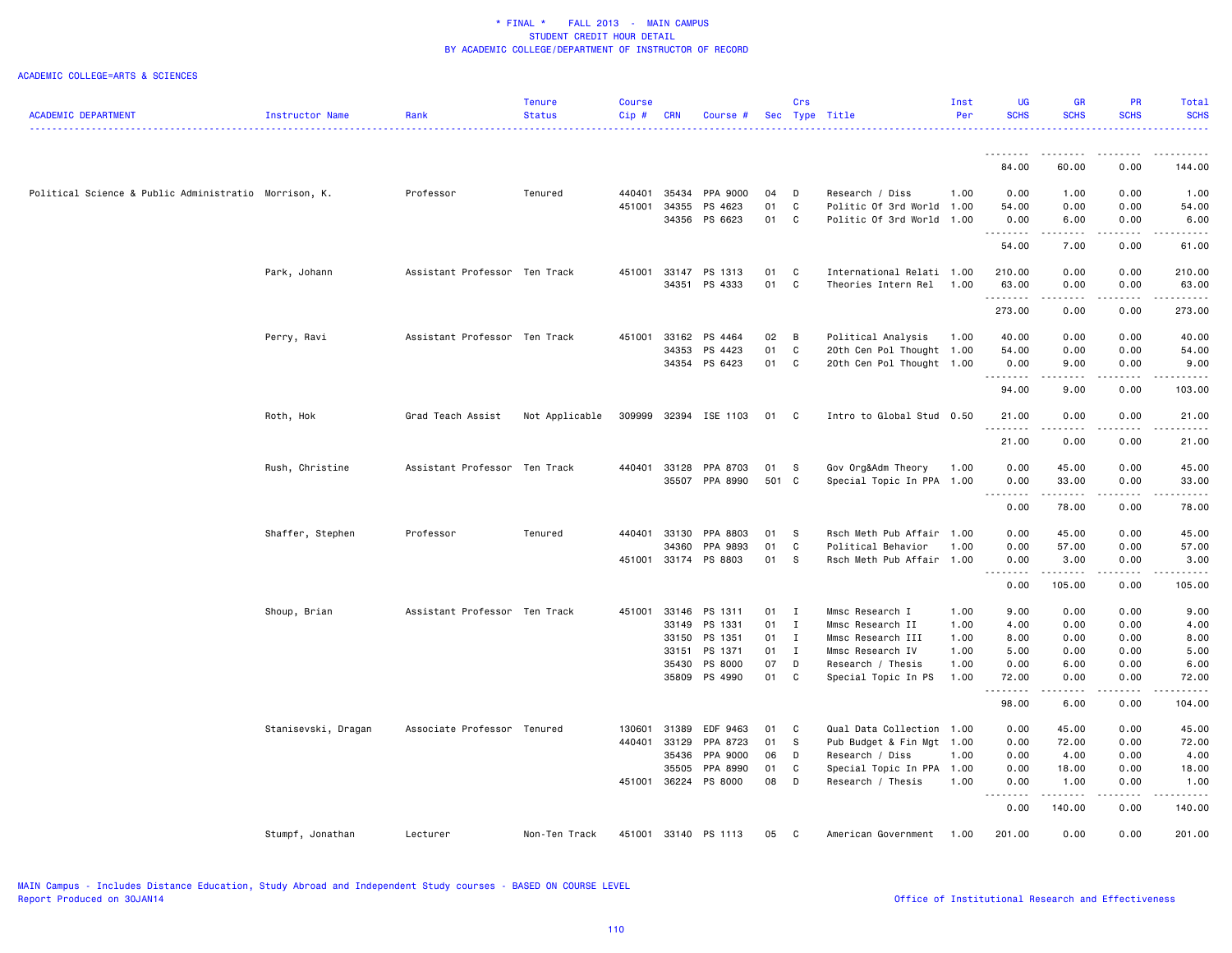|                                                       |                     |                               | Tenure         | <b>Course</b> |              |                       |        | Crs          |                           | Inst | UG               | <b>GR</b>                      | <b>PR</b>                                                                                                                                                    | Total                                                                                                                     |
|-------------------------------------------------------|---------------------|-------------------------------|----------------|---------------|--------------|-----------------------|--------|--------------|---------------------------|------|------------------|--------------------------------|--------------------------------------------------------------------------------------------------------------------------------------------------------------|---------------------------------------------------------------------------------------------------------------------------|
| <b>ACADEMIC DEPARTMENT</b>                            | Instructor Name     | Rank                          | <b>Status</b>  | Cip#          | <b>CRN</b>   | Course #              |        |              | Sec Type Title            | Per  | <b>SCHS</b>      | <b>SCHS</b>                    | <b>SCHS</b>                                                                                                                                                  | <b>SCHS</b><br>. <b>.</b> .                                                                                               |
|                                                       |                     |                               |                |               |              |                       |        |              |                           |      |                  |                                |                                                                                                                                                              |                                                                                                                           |
|                                                       |                     |                               |                |               |              |                       |        |              |                           |      | .<br>84.00       | .<br>60.00                     | $\frac{1}{2} \left( \frac{1}{2} \right) \left( \frac{1}{2} \right) \left( \frac{1}{2} \right) \left( \frac{1}{2} \right) \left( \frac{1}{2} \right)$<br>0.00 | 144.00                                                                                                                    |
| Political Science & Public Administratio Morrison, K. |                     | Professor                     | Tenured        |               | 440401 35434 | PPA 9000              | 04     | D            | Research / Diss           | 1.00 | 0.00             | 1.00                           | 0.00                                                                                                                                                         | 1.00                                                                                                                      |
|                                                       |                     |                               |                | 451001        | 34355        | PS 4623               | 01     | C            | Politic Of 3rd World 1.00 |      | 54.00            | 0.00                           | 0.00                                                                                                                                                         | 54.00                                                                                                                     |
|                                                       |                     |                               |                |               |              | 34356 PS 6623         | 01     | C            | Politic Of 3rd World 1.00 |      | 0.00             | 6.00                           | 0.00                                                                                                                                                         | 6.00                                                                                                                      |
|                                                       |                     |                               |                |               |              |                       |        |              |                           |      | .<br>54.00       | .<br>7.00                      | .<br>0.00                                                                                                                                                    | .<br>61.00                                                                                                                |
|                                                       |                     |                               |                |               |              |                       |        |              |                           |      |                  |                                |                                                                                                                                                              |                                                                                                                           |
|                                                       | Park, Johann        | Assistant Professor Ten Track |                |               | 451001 33147 | PS 1313               | 01     | C            | International Relati 1.00 |      | 210.00           | 0.00                           | 0.00                                                                                                                                                         | 210.00                                                                                                                    |
|                                                       |                     |                               |                |               | 34351        | PS 4333               | 01     | C            | Theories Intern Rel       | 1.00 | 63.00<br>.       | 0.00<br>$\omega$ is a $\omega$ | 0.00<br>.                                                                                                                                                    | 63.00<br>.                                                                                                                |
|                                                       |                     |                               |                |               |              |                       |        |              |                           |      | 273.00           | 0.00                           | 0.00                                                                                                                                                         | 273.00                                                                                                                    |
|                                                       | Perry, Ravi         | Assistant Professor Ten Track |                | 451001        | 33162        | PS 4464               | 02     | B            | Political Analysis        | 1.00 | 40.00            | 0.00                           | 0.00                                                                                                                                                         | 40.00                                                                                                                     |
|                                                       |                     |                               |                |               | 34353        | PS 4423               | 01     | C            | 20th Cen Pol Thought 1.00 |      | 54.00            | 0.00                           | 0.00                                                                                                                                                         | 54.00                                                                                                                     |
|                                                       |                     |                               |                |               |              | 34354 PS 6423         | 01     | C            | 20th Cen Pol Thought 1.00 |      | 0.00<br>.        | 9.00<br>.                      | 0.00<br>.                                                                                                                                                    | 9.00<br>.                                                                                                                 |
|                                                       |                     |                               |                |               |              |                       |        |              |                           |      | 94.00            | 9.00                           | 0.00                                                                                                                                                         | 103.00                                                                                                                    |
|                                                       | Roth, Hok           | Grad Teach Assist             | Not Applicable |               |              | 309999 32394 ISE 1103 | 01 C   |              | Intro to Global Stud 0.50 |      | 21.00            | 0.00                           | 0.00                                                                                                                                                         | 21.00                                                                                                                     |
|                                                       |                     |                               |                |               |              |                       |        |              |                           |      | 21.00            | 0.00                           | 0.00                                                                                                                                                         | 21.00                                                                                                                     |
|                                                       | Rush, Christine     | Assistant Professor Ten Track |                |               | 440401 33128 | PPA 8703              | 01     | - S          | Gov Org&Adm Theory        | 1.00 | 0.00             | 45.00                          | 0.00                                                                                                                                                         | 45.00                                                                                                                     |
|                                                       |                     |                               |                |               |              | 35507 PPA 8990        | 501 C  |              | Special Topic In PPA 1.00 |      | 0.00             | 33.00                          | 0.00                                                                                                                                                         | 33.00                                                                                                                     |
|                                                       |                     |                               |                |               |              |                       |        |              |                           |      | .                | .                              | .                                                                                                                                                            | .                                                                                                                         |
|                                                       |                     |                               |                |               |              |                       |        |              |                           |      | 0.00             | 78.00                          | 0.00                                                                                                                                                         | 78.00                                                                                                                     |
|                                                       | Shaffer, Stephen    | Professor                     | Tenured        | 440401        | 33130        | PPA 8803              | 01     | s s          | Rsch Meth Pub Affair      | 1.00 | 0.00             | 45.00                          | 0.00                                                                                                                                                         | 45.00                                                                                                                     |
|                                                       |                     |                               |                |               | 34360        | PPA 9893              | 01     | C.           | Political Behavior        | 1.00 | 0.00             | 57.00                          | 0.00                                                                                                                                                         | 57.00                                                                                                                     |
|                                                       |                     |                               |                |               |              | 451001 33174 PS 8803  | 01 S   |              | Rsch Meth Pub Affair 1.00 |      | 0.00             | 3.00                           | 0.00                                                                                                                                                         | 3.00                                                                                                                      |
|                                                       |                     |                               |                |               |              |                       |        |              |                           |      | .<br>0.00        | .<br>105.00                    | $\frac{1}{2} \left( \frac{1}{2} \right) \left( \frac{1}{2} \right) \left( \frac{1}{2} \right) \left( \frac{1}{2} \right) \left( \frac{1}{2} \right)$<br>0.00 | $\begin{array}{cccccccccccccc} \bullet & \bullet & \bullet & \bullet & \bullet & \bullet & \bullet \end{array}$<br>105.00 |
|                                                       | Shoup, Brian        | Assistant Professor Ten Track |                |               | 451001 33146 | PS 1311               | $01$ I |              | Mmsc Research I           | 1.00 | 9.00             | 0.00                           | 0.00                                                                                                                                                         | 9.00                                                                                                                      |
|                                                       |                     |                               |                |               | 33149        | PS 1331               | 01     | $\mathbf{I}$ | Mmsc Research II          | 1.00 | 4.00             | 0.00                           | 0.00                                                                                                                                                         | 4.00                                                                                                                      |
|                                                       |                     |                               |                |               | 33150        | PS 1351               | 01 I   |              | Mmsc Research III         | 1.00 | 8.00             | 0.00                           | 0.00                                                                                                                                                         | 8.00                                                                                                                      |
|                                                       |                     |                               |                |               | 33151        | PS 1371               | 01     | $\mathbf{I}$ | Mmsc Research IV          | 1.00 | 5.00             | 0.00                           | 0.00                                                                                                                                                         | 5.00                                                                                                                      |
|                                                       |                     |                               |                |               | 35430        | PS 8000               | 07     | D            | Research / Thesis         | 1.00 | 0.00             | 6.00                           | 0.00                                                                                                                                                         | 6.00                                                                                                                      |
|                                                       |                     |                               |                |               |              | 35809 PS 4990         | 01     | C            | Special Topic In PS       | 1.00 | 72.00            | 0.00                           | 0.00                                                                                                                                                         | 72.00                                                                                                                     |
|                                                       |                     |                               |                |               |              |                       |        |              |                           |      | .<br>98.00       | .<br>6.00                      | .<br>0.00                                                                                                                                                    | .<br>104.00                                                                                                               |
|                                                       | Stanisevski, Dragan | Associate Professor Tenured   |                |               | 130601 31389 | EDF 9463              | 01     | $\mathbf{C}$ | Qual Data Collection 1.00 |      | 0.00             | 45.00                          | 0.00                                                                                                                                                         | 45.00                                                                                                                     |
|                                                       |                     |                               |                | 440401        | 33129        | PPA 8723              | 01     | - S          | Pub Budget & Fin Mgt 1.00 |      | 0.00             | 72.00                          | 0.00                                                                                                                                                         | 72.00                                                                                                                     |
|                                                       |                     |                               |                |               | 35436        | PPA 9000              | 06     | D            | Research / Diss           | 1.00 | 0.00             | 4.00                           | 0.00                                                                                                                                                         | 4.00                                                                                                                      |
|                                                       |                     |                               |                |               | 35505        | PPA 8990              | 01     | C            | Special Topic In PPA 1.00 |      | 0.00             | 18.00                          | 0.00                                                                                                                                                         | 18.00                                                                                                                     |
|                                                       |                     |                               |                |               | 451001 36224 | PS 8000               | 08     | D            | Research / Thesis         | 1.00 | 0.00             | 1.00                           | 0.00                                                                                                                                                         | 1.00                                                                                                                      |
|                                                       |                     |                               |                |               |              |                       |        |              |                           |      | <u>.</u><br>0.00 | .<br>140.00                    | .<br>0.00                                                                                                                                                    | $- - - - - -$<br>140.00                                                                                                   |
|                                                       | Stumpf, Jonathan    | Lecturer                      | Non-Ten Track  |               |              | 451001 33140 PS 1113  | 05     | C.           | American Government       | 1.00 | 201.00           | 0.00                           | 0.00                                                                                                                                                         | 201.00                                                                                                                    |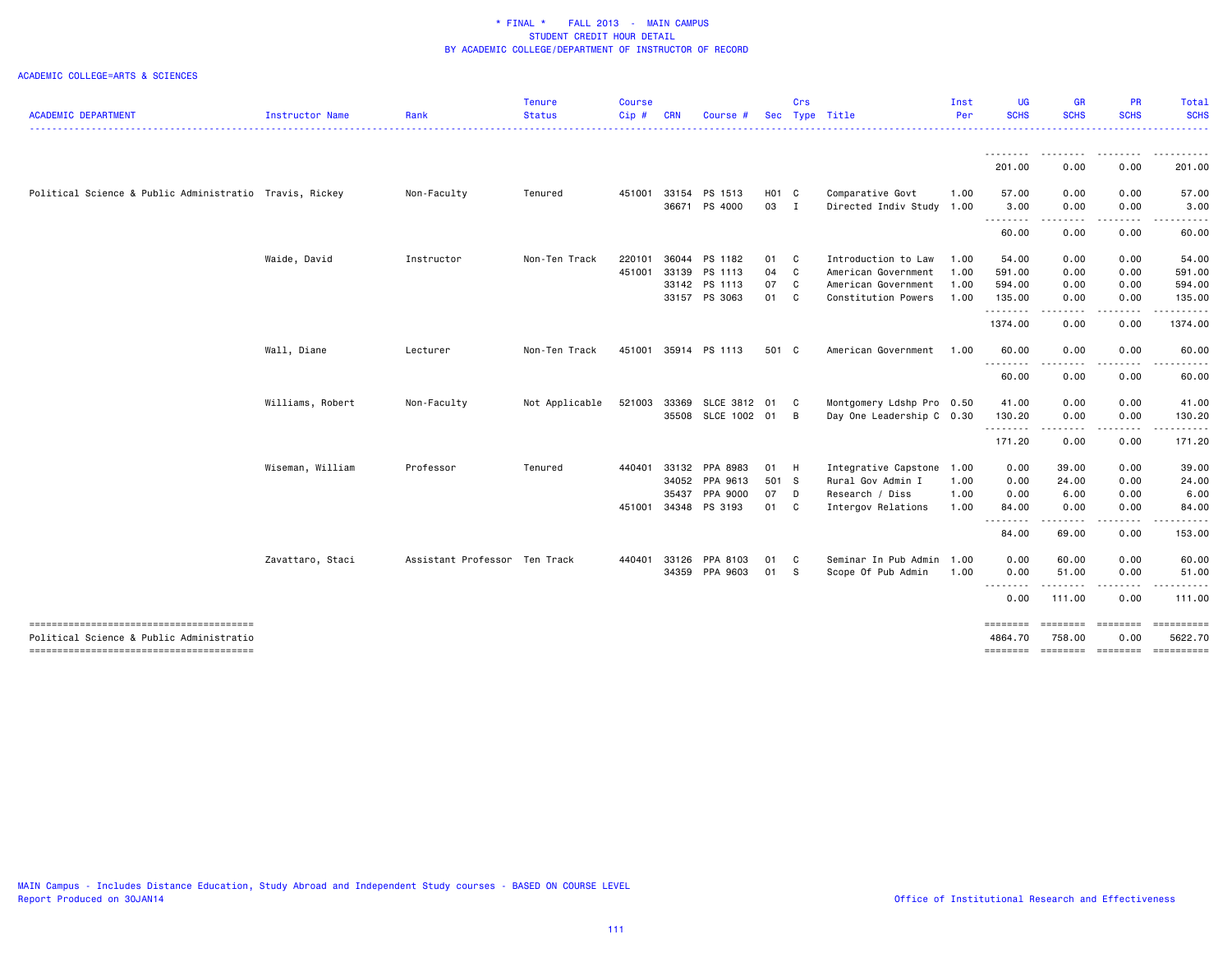|                                                         |                  |                               | <b>Tenure</b>  | <b>Course</b> |            |                      |            | Crs |                           | Inst | <b>UG</b>                                                                                                                                  | <b>GR</b>                                                                                                                         | PR               | <b>Total</b>          |
|---------------------------------------------------------|------------------|-------------------------------|----------------|---------------|------------|----------------------|------------|-----|---------------------------|------|--------------------------------------------------------------------------------------------------------------------------------------------|-----------------------------------------------------------------------------------------------------------------------------------|------------------|-----------------------|
| <b>ACADEMIC DEPARTMENT</b>                              | Instructor Name  | Rank                          | <b>Status</b>  | Cip#          | <b>CRN</b> | Course #             | <b>Sec</b> |     | Type Title                | Per  | <b>SCHS</b>                                                                                                                                | <b>SCHS</b>                                                                                                                       | <b>SCHS</b>      | <b>SCHS</b><br>.      |
|                                                         |                  |                               |                |               |            |                      |            |     |                           |      |                                                                                                                                            | .                                                                                                                                 |                  |                       |
|                                                         |                  |                               |                |               |            |                      |            |     |                           |      | 201.00                                                                                                                                     | 0.00                                                                                                                              | 0.00             | 201.00                |
| Political Science & Public Administratio Travis, Rickey |                  | Non-Faculty                   | Tenured        | 451001        | 33154      | PS 1513              | H01 C      |     | Comparative Govt          | 1.00 | 57.00                                                                                                                                      | 0.00                                                                                                                              | 0.00             | 57.00                 |
|                                                         |                  |                               |                |               |            | 36671 PS 4000        | 03 I       |     | Directed Indiv Study 1.00 |      | 3.00<br>.                                                                                                                                  | 0.00<br>$\frac{1}{2} \left( \frac{1}{2} \right) \left( \frac{1}{2} \right) \left( \frac{1}{2} \right) \left( \frac{1}{2} \right)$ | 0.00             | 3.00                  |
|                                                         |                  |                               |                |               |            |                      |            |     |                           |      | 60.00                                                                                                                                      | 0.00                                                                                                                              | 0.00             | 60.00                 |
|                                                         | Waide, David     | Instructor                    | Non-Ten Track  | 220101        |            | 36044 PS 1182        | 01 C       |     | Introduction to Law       | 1.00 | 54.00                                                                                                                                      | 0.00                                                                                                                              | 0.00             | 54.00                 |
|                                                         |                  |                               |                | 451001        | 33139      | PS 1113              | 04         | C   | American Government       | 1.00 | 591.00                                                                                                                                     | 0.00                                                                                                                              | 0.00             | 591.00                |
|                                                         |                  |                               |                |               |            | 33142 PS 1113        | 07         | C   | American Government       | 1.00 | 594.00                                                                                                                                     | 0.00                                                                                                                              | 0.00             | 594.00                |
|                                                         |                  |                               |                |               |            | 33157 PS 3063        | 01         | C   | Constitution Powers       | 1.00 | 135.00<br>.                                                                                                                                | 0.00<br>$\frac{1}{2} \frac{1}{2} \frac{1}{2} \frac{1}{2} \frac{1}{2} \frac{1}{2} \frac{1}{2} \frac{1}{2}$                         | 0.00<br>.        | 135.00<br>.           |
|                                                         |                  |                               |                |               |            |                      |            |     |                           |      | 1374.00                                                                                                                                    | 0.00                                                                                                                              | 0.00             | 1374.00               |
|                                                         | Wall, Diane      | Lecturer                      | Non-Ten Track  | 451001        |            | 35914 PS 1113        | 501 C      |     | American Government       | 1.00 | 60.00                                                                                                                                      | 0.00                                                                                                                              | 0.00             | 60.00                 |
|                                                         |                  |                               |                |               |            |                      |            |     |                           |      | 60.00                                                                                                                                      | ----<br>0.00                                                                                                                      | 0.00             | 60.00                 |
|                                                         | Williams, Robert | Non-Faculty                   | Not Applicable | 521003        |            | 33369 SLCE 3812 01 C |            |     | Montgomery Ldshp Pro 0.50 |      | 41.00                                                                                                                                      | 0.00                                                                                                                              | 0.00             | 41.00                 |
|                                                         |                  |                               |                |               |            | 35508 SLCE 1002 01 B |            |     | Day One Leadership C 0.30 |      | 130.20<br>.                                                                                                                                | 0.00<br>----                                                                                                                      | 0.00             | 130.20                |
|                                                         |                  |                               |                |               |            |                      |            |     |                           |      | 171.20                                                                                                                                     | 0.00                                                                                                                              | 0.00             | 171.20                |
|                                                         | Wiseman, William | Professor                     | Tenured        | 440401        |            | 33132 PPA 8983       | 01 H       |     | Integrative Capstone      | 1.00 | 0.00                                                                                                                                       | 39.00                                                                                                                             | 0.00             | 39.00                 |
|                                                         |                  |                               |                |               |            | 34052 PPA 9613       | 501 S      |     | Rural Gov Admin I         | 1.00 | 0.00                                                                                                                                       | 24.00                                                                                                                             | 0.00             | 24.00                 |
|                                                         |                  |                               |                |               | 35437      | PPA 9000             | 07 D       |     | Research / Diss           | 1.00 | 0.00                                                                                                                                       | 6.00                                                                                                                              | 0.00             | 6.00                  |
|                                                         |                  |                               |                | 451001        |            | 34348 PS 3193        | 01 C       |     | Intergov Relations        | 1.00 | 84.00<br>----<br>$\frac{1}{2} \left( \frac{1}{2} \right) \left( \frac{1}{2} \right) \left( \frac{1}{2} \right) \left( \frac{1}{2} \right)$ | 0.00<br>----                                                                                                                      | 0.00             | 84.00                 |
|                                                         |                  |                               |                |               |            |                      |            |     |                           |      | 84.00                                                                                                                                      | 69.00                                                                                                                             | 0.00             | 153.00                |
|                                                         | Zavattaro, Staci | Assistant Professor Ten Track |                | 440401        | 33126      | PPA 8103             | 01         | C   | Seminar In Pub Admin      | 1.00 | 0.00                                                                                                                                       | 60.00                                                                                                                             | 0.00             | 60.00                 |
|                                                         |                  |                               |                |               |            | 34359 PPA 9603       | 01 S       |     | Scope Of Pub Admin        | 1.00 | 0.00<br>.                                                                                                                                  | 51.00                                                                                                                             | 0.00             | 51.00                 |
|                                                         |                  |                               |                |               |            |                      |            |     |                           |      | 0.00                                                                                                                                       | 111.00                                                                                                                            | 0.00             | 111.00                |
| Political Science & Public Administratio                |                  |                               |                |               |            |                      |            |     |                           |      | ========<br>4864.70                                                                                                                        | ========<br>758.00                                                                                                                | ========<br>0.00 | ==========<br>5622.70 |
|                                                         |                  |                               |                |               |            |                      |            |     |                           |      | ========                                                                                                                                   | ======== ========                                                                                                                 |                  | ==========            |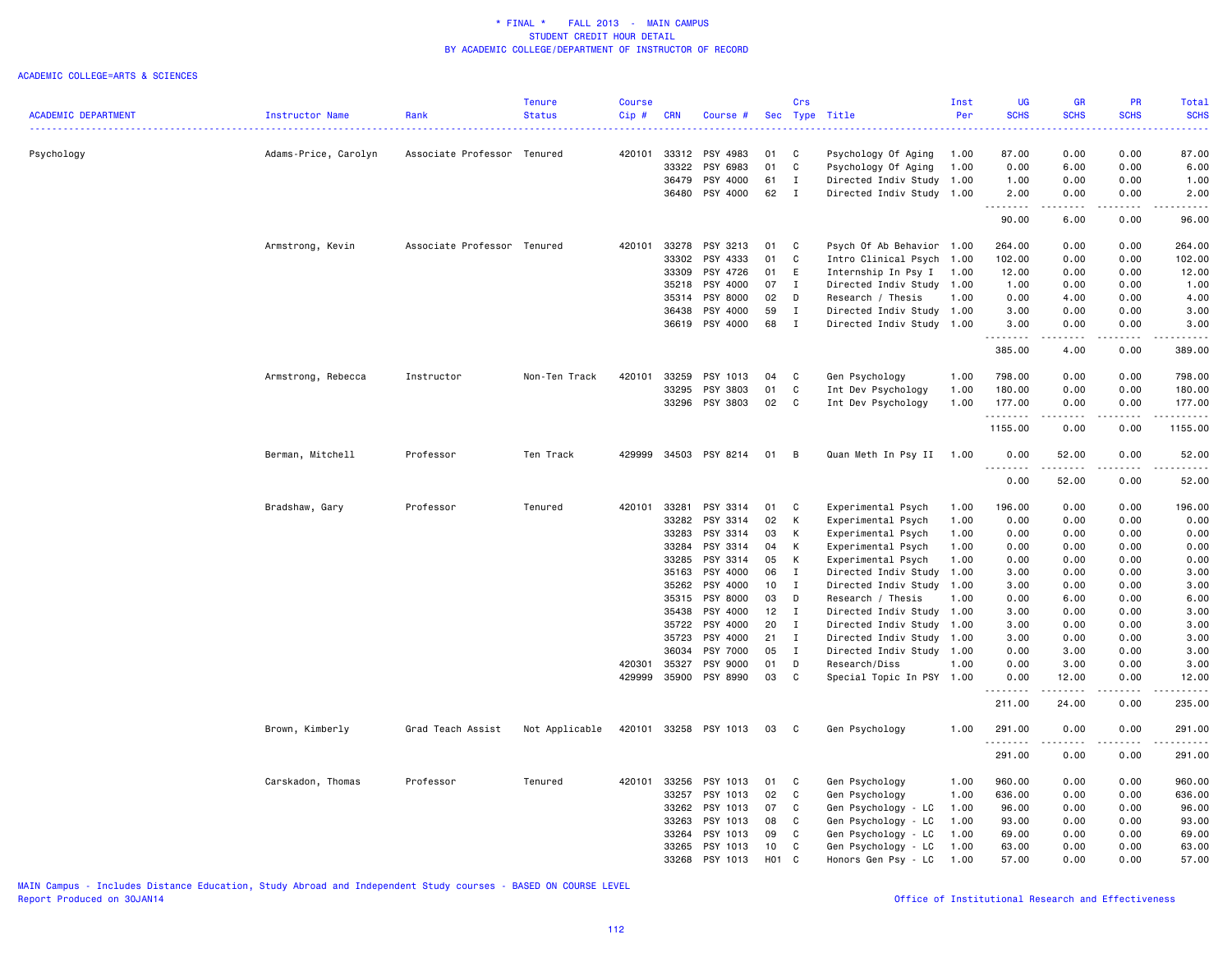#### ACADEMIC COLLEGE=ARTS & SCIENCES

|                            |                      |                             | Tenure         | Course |            |                |       | Crs            |                           | Inst | <b>UG</b>    | <b>GR</b>          | PR          | Total                                                                                                                 |
|----------------------------|----------------------|-----------------------------|----------------|--------|------------|----------------|-------|----------------|---------------------------|------|--------------|--------------------|-------------|-----------------------------------------------------------------------------------------------------------------------|
| <b>ACADEMIC DEPARTMENT</b> | Instructor Name      | Rank                        | <b>Status</b>  | Cip#   | <b>CRN</b> | Course #       |       |                | Sec Type Title            | Per  | <b>SCHS</b>  | <b>SCHS</b>        | <b>SCHS</b> | <b>SCHS</b>                                                                                                           |
| Psychology                 | Adams-Price, Carolyn | Associate Professor Tenured |                | 420101 |            | 33312 PSY 4983 | 01    | C              | Psychology Of Aging       | 1.00 | 87.00        | 0.00               | 0.00        | 87.00                                                                                                                 |
|                            |                      |                             |                |        | 33322      | PSY 6983       | 01    | C              | Psychology Of Aging       | 1.00 | 0.00         | 6.00               | 0.00        | 6.00                                                                                                                  |
|                            |                      |                             |                |        | 36479      | PSY 4000       | 61    | $\mathbf I$    | Directed Indiv Study 1.00 |      | 1.00         | 0.00               | 0.00        | 1.00                                                                                                                  |
|                            |                      |                             |                |        |            | 36480 PSY 4000 | 62    | $\blacksquare$ | Directed Indiv Study 1.00 |      | 2.00         | 0.00               | 0.00        | 2.00                                                                                                                  |
|                            |                      |                             |                |        |            |                |       |                |                           |      | .<br>90.00   | المتمالين<br>6.00  | .<br>0.00   | 96.00                                                                                                                 |
|                            | Armstrong, Kevin     | Associate Professor Tenured |                | 420101 | 33278      | PSY 3213       | 01    | $\overline{c}$ | Psych Of Ab Behavior 1.00 |      | 264.00       | 0.00               | 0.00        | 264.00                                                                                                                |
|                            |                      |                             |                |        | 33302      | PSY 4333       | 01    | C              | Intro Clinical Psych 1.00 |      | 102.00       | 0.00               | 0.00        | 102.00                                                                                                                |
|                            |                      |                             |                |        | 33309      | PSY 4726       | 01    | E              | Internship In Psy I       | 1.00 | 12.00        | 0.00               | 0.00        | 12.00                                                                                                                 |
|                            |                      |                             |                |        | 35218      | PSY 4000       | 07    | $\mathbf{I}$   | Directed Indiv Study 1.00 |      | 1.00         | 0.00               | 0.00        | 1.00                                                                                                                  |
|                            |                      |                             |                |        | 35314      | PSY 8000       | 02    | D              | Research / Thesis         | 1.00 | 0.00         | 4.00               | 0.00        | 4.00                                                                                                                  |
|                            |                      |                             |                |        | 36438      | PSY 4000       | 59    | $\mathbf{I}$   | Directed Indiv Study 1.00 |      | 3.00         | 0.00               | 0.00        | 3.00                                                                                                                  |
|                            |                      |                             |                |        |            | 36619 PSY 4000 | 68    | $\mathbf{I}$   | Directed Indiv Study 1.00 |      | 3.00         | 0.00               | 0.00        | 3.00                                                                                                                  |
|                            |                      |                             |                |        |            |                |       |                |                           |      | 385.00       | 4.00               | 0.00        | 389.00                                                                                                                |
|                            | Armstrong, Rebecca   | Instructor                  | Non-Ten Track  | 420101 | 33259      | PSY 1013       | 04    | C              | Gen Psychology            | 1.00 | 798.00       | 0.00               | 0.00        | 798.00                                                                                                                |
|                            |                      |                             |                |        | 33295      | PSY 3803       | 01    | C              | Int Dev Psychology        | 1.00 | 180.00       | 0.00               | 0.00        | 180.00                                                                                                                |
|                            |                      |                             |                |        | 33296      | PSY 3803       | 02    | C              | Int Dev Psychology        | 1.00 | 177.00       | 0.00               | 0.00        | 177.00                                                                                                                |
|                            |                      |                             |                |        |            |                |       |                |                           |      | .<br>1155.00 | .<br>0.00          | .<br>0.00   | .<br>1155.00                                                                                                          |
|                            | Berman, Mitchell     | Professor                   | Ten Track      | 429999 |            | 34503 PSY 8214 | 01    | B              | Quan Meth In Psy II       | 1.00 | 0.00         | 52.00<br>د د د د د | 0.00        | 52.00                                                                                                                 |
|                            |                      |                             |                |        |            |                |       |                |                           |      | 0.00         | 52.00              | 0.00        | 52.00                                                                                                                 |
|                            | Bradshaw, Gary       | Professor                   | Tenured        | 420101 | 33281      | PSY 3314       | 01    | C              | Experimental Psych        | 1.00 | 196.00       | 0.00               | 0.00        | 196.00                                                                                                                |
|                            |                      |                             |                |        | 33282      | PSY 3314       | 02    | K              | Experimental Psych        | 1.00 | 0.00         | 0.00               | 0.00        | 0.00                                                                                                                  |
|                            |                      |                             |                |        | 33283      | PSY 3314       | 03    | K              | Experimental Psych        | 1.00 | 0.00         | 0.00               | 0.00        | 0.00                                                                                                                  |
|                            |                      |                             |                |        | 33284      | PSY 3314       | 04    | K              | Experimental Psych        | 1.00 | 0.00         | 0.00               | 0.00        | 0.00                                                                                                                  |
|                            |                      |                             |                |        | 33285      | PSY 3314       | 05    | K              | Experimental Psych        | 1.00 | 0.00         | 0.00               | 0.00        | 0.00                                                                                                                  |
|                            |                      |                             |                |        | 35163      | PSY 4000       | 06    | $\mathbf{I}$   | Directed Indiv Study      | 1.00 | 3.00         | 0.00               | 0.00        | 3.00                                                                                                                  |
|                            |                      |                             |                |        |            | 35262 PSY 4000 | 10    | $\mathbf{I}$   | Directed Indiv Study 1.00 |      | 3.00         | 0.00               | 0.00        | 3.00                                                                                                                  |
|                            |                      |                             |                |        |            | 35315 PSY 8000 | 03    | D              | Research / Thesis         | 1.00 | 0.00         | 6.00               | 0.00        | 6.00                                                                                                                  |
|                            |                      |                             |                |        | 35438      | PSY 4000       | 12    | $\mathbf{I}$   | Directed Indiv Study      | 1.00 | 3.00         | 0.00               | 0.00        | 3.00                                                                                                                  |
|                            |                      |                             |                |        |            | 35722 PSY 4000 | 20    | I              | Directed Indiv Study 1.00 |      | 3.00         | 0.00               | 0.00        | 3.00                                                                                                                  |
|                            |                      |                             |                |        | 35723      | PSY 4000       | 21    | $\mathbf{I}$   | Directed Indiv Study 1.00 |      | 3.00         | 0.00               | 0.00        | 3.00                                                                                                                  |
|                            |                      |                             |                |        | 36034      | PSY 7000       | 05    | $\mathbf{I}$   | Directed Indiv Study 1.00 |      | 0.00         | 3.00               | 0.00        | 3.00                                                                                                                  |
|                            |                      |                             |                | 420301 | 35327      | PSY 9000       | 01    | D              | Research/Diss             | 1.00 | 0.00         | 3.00               | 0.00        | 3.00                                                                                                                  |
|                            |                      |                             |                | 429999 | 35900      | PSY 8990       | 03    | C              | Special Topic In PSY 1.00 |      | 0.00         | 12.00              | 0.00        | 12.00                                                                                                                 |
|                            |                      |                             |                |        |            |                |       |                |                           |      | 211.00       | 24.00              | 0.00        | 235.00                                                                                                                |
|                            | Brown, Kimberly      | Grad Teach Assist           | Not Applicable | 420101 |            | 33258 PSY 1013 | 03    | $\mathbf{C}$   | Gen Psychology            | 1.00 | 291.00<br>.  | 0.00               | 0.00        | 291.00<br>$\begin{array}{cccccccccc} \bullet & \bullet & \bullet & \bullet & \bullet & \bullet & \bullet \end{array}$ |
|                            |                      |                             |                |        |            |                |       |                |                           |      | 291.00       | 0.00               | 0.00        | 291.00                                                                                                                |
|                            | Carskadon, Thomas    | Professor                   | Tenured        | 420101 | 33256      | PSY 1013       | 01    | C              | Gen Psychology            | 1.00 | 960.00       | 0.00               | 0.00        | 960.00                                                                                                                |
|                            |                      |                             |                |        | 33257      | PSY 1013       | 02    | C              | Gen Psychology            | 1.00 | 636.00       | 0.00               | 0.00        | 636.00                                                                                                                |
|                            |                      |                             |                |        | 33262      | PSY 1013       | 07    | C              | Gen Psychology - LC       | 1.00 | 96.00        | 0.00               | 0.00        | 96.00                                                                                                                 |
|                            |                      |                             |                |        | 33263      | PSY 1013       | 08    | C              | Gen Psychology - LC       | 1.00 | 93.00        | 0.00               | 0.00        | 93.00                                                                                                                 |
|                            |                      |                             |                |        | 33264      | PSY 1013       | 09    | <b>C</b>       | Gen Psychology - LC       | 1.00 | 69.00        | 0.00               | 0.00        | 69.00                                                                                                                 |
|                            |                      |                             |                |        | 33265      | PSY 1013       | 10    | C              | Gen Psychology - LC       | 1.00 | 63.00        | 0.00               | 0.00        | 63.00                                                                                                                 |
|                            |                      |                             |                |        |            | 33268 PSY 1013 | H01 C |                | Honors Gen Psy - LC       | 1.00 | 57.00        | 0.00               | 0.00        | 57.00                                                                                                                 |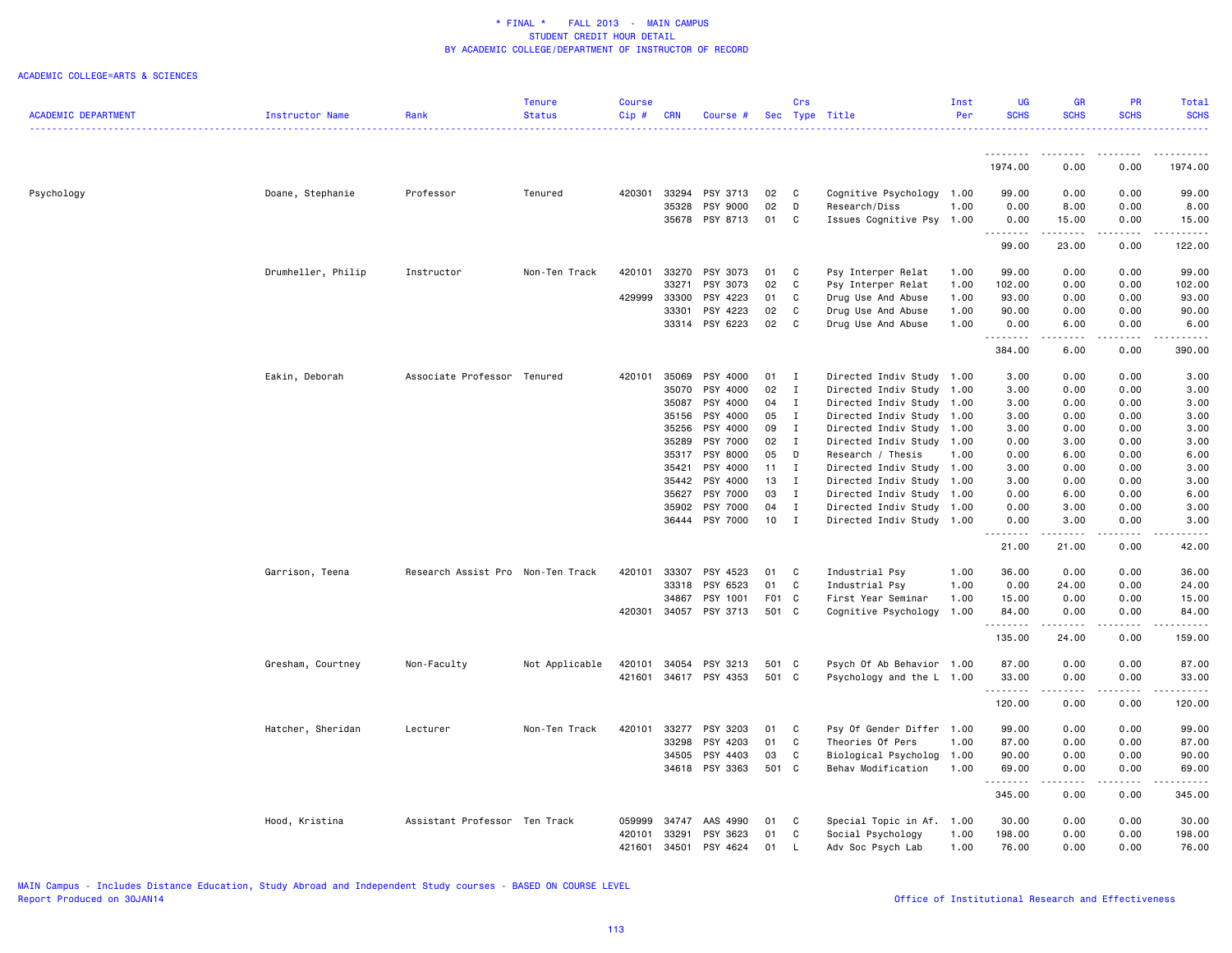|                            |                    |                                   | <b>Tenure</b>  | Course       |                |                      |              | Crs                            |                                              | Inst | UG                  | <b>GR</b>                           | <b>PR</b>    | Total         |
|----------------------------|--------------------|-----------------------------------|----------------|--------------|----------------|----------------------|--------------|--------------------------------|----------------------------------------------|------|---------------------|-------------------------------------|--------------|---------------|
| <b>ACADEMIC DEPARTMENT</b> | Instructor Name    | Rank                              | <b>Status</b>  | Cip#         | <b>CRN</b>     | Course #             |              |                                | Sec Type Title                               | Per  | <b>SCHS</b>         | <b>SCHS</b>                         | <b>SCHS</b>  | <b>SCHS</b>   |
|                            |                    |                                   |                |              |                |                      |              |                                |                                              |      | .                   |                                     |              |               |
|                            |                    |                                   |                |              |                |                      |              |                                |                                              |      | 1974.00             | 0.00                                | 0.00         | 1974.00       |
| Psychology                 | Doane, Stephanie   | Professor                         | Tenured        | 420301 33294 |                | PSY 3713             | 02           | $\mathbf{C}$                   | Cognitive Psychology 1.00                    |      | 99.00               | 0.00                                | 0.00         | 99.00         |
|                            |                    |                                   |                |              | 35328          | PSY 9000             | 02           | D                              | Research/Diss                                | 1.00 | 0.00                | 8.00                                | 0.00         | 8.00          |
|                            |                    |                                   |                |              | 35678          | PSY 8713             | 01           | C                              | Issues Cognitive Psy                         | 1.00 | 0.00                | 15.00                               | 0.00         | 15.00         |
|                            |                    |                                   |                |              |                |                      |              |                                |                                              |      | 99.00               | 23.00                               | 0.00         | 122.00        |
|                            | Drumheller, Philip | Instructor                        | Non-Ten Track  | 420101       | 33270          | PSY 3073             | 01           | C                              | Psy Interper Relat                           | 1.00 | 99.00               | 0.00                                | 0.00         | 99.00         |
|                            |                    |                                   |                |              | 33271          | PSY 3073             | 02           | C                              | Psy Interper Relat                           | 1.00 | 102.00              | 0.00                                | 0.00         | 102.00        |
|                            |                    |                                   |                | 429999       | 33300          | PSY 4223             | 01           | C                              | Drug Use And Abuse                           | 1.00 | 93.00               | 0.00                                | 0.00         | 93.00         |
|                            |                    |                                   |                |              | 33301          | PSY 4223             | 02           | C                              | Drug Use And Abuse                           | 1.00 | 90.00               | 0.00                                | 0.00         | 90.00         |
|                            |                    |                                   |                |              |                | 33314 PSY 6223       | 02           | C                              | Drug Use And Abuse                           | 1.00 | 0.00<br>.           | 6.00<br>.                           | 0.00<br>.    | 6.00<br>----- |
|                            |                    |                                   |                |              |                |                      |              |                                |                                              |      | 384.00              | 6.00                                | 0.00         | 390.00        |
|                            | Eakin, Deborah     | Associate Professor Tenured       |                | 420101       | 35069          | PSY 4000             | 01           | $\blacksquare$                 | Directed Indiv Study 1.00                    |      | 3.00                | 0.00                                | 0.00         | 3.00          |
|                            |                    |                                   |                |              | 35070          | PSY 4000             | 02           | $\mathbf{I}$                   | Directed Indiv Study                         | 1.00 | 3.00                | 0.00                                | 0.00         | 3.00          |
|                            |                    |                                   |                |              | 35087          | PSY 4000             | 04           | $\mathbf{I}$                   | Directed Indiv Study 1.00                    |      | 3.00                | 0.00                                | 0.00         | 3.00          |
|                            |                    |                                   |                |              | 35156          | PSY 4000             | 05           | $\mathbf{I}$                   | Directed Indiv Study                         | 1.00 | 3.00                | 0.00                                | 0.00         | 3.00          |
|                            |                    |                                   |                |              | 35256          | PSY 4000             | 09           | $\mathbf{I}$                   | Directed Indiv Study                         | 1.00 | 3.00                | 0.00                                | 0.00         | 3.00          |
|                            |                    |                                   |                |              | 35289          | PSY 7000             | 02           | $\mathbf{I}$                   | Directed Indiv Study                         | 1.00 | 0.00                | 3.00                                | 0.00         | 3.00          |
|                            |                    |                                   |                |              | 35317          | PSY 8000             | 05           | D                              | Research / Thesis                            | 1.00 | 0.00                | 6.00                                | 0.00         | 6.00          |
|                            |                    |                                   |                |              | 35421          | PSY 4000             | $11 \quad I$ |                                | Directed Indiv Study 1.00                    |      | 3.00                | 0.00                                | 0.00         | 3.00          |
|                            |                    |                                   |                |              | 35442<br>35627 | PSY 4000<br>PSY 7000 | 13<br>03     | $\blacksquare$<br>$\mathbf{I}$ | Directed Indiv Study                         | 1.00 | 3.00<br>0.00        | 0.00                                | 0.00<br>0.00 | 3.00<br>6.00  |
|                            |                    |                                   |                |              | 35902          | PSY 7000             | 04           | $\mathbf{I}$                   | Directed Indiv Study 1.00                    | 1.00 | 0.00                | 6.00<br>3.00                        | 0.00         |               |
|                            |                    |                                   |                |              | 36444          | PSY 7000             | 10           | $\mathbf{I}$                   | Directed Indiv Study<br>Directed Indiv Study | 1.00 | 0.00                | 3.00                                | 0.00         | 3.00<br>3.00  |
|                            |                    |                                   |                |              |                |                      |              |                                |                                              |      | <u>.</u>            | -----                               | .            | المتمام المنا |
|                            |                    |                                   |                |              |                |                      |              |                                |                                              |      | 21.00               | 21.00                               | 0.00         | 42.00         |
|                            | Garrison, Teena    | Research Assist Pro Non-Ten Track |                | 420101       | 33307          | PSY 4523             | 01           | C                              | Industrial Psy                               | 1.00 | 36.00               | 0.00                                | 0.00         | 36.00         |
|                            |                    |                                   |                |              | 33318          | PSY 6523             | 01           | C                              | Industrial Psy                               | 1.00 | 0.00                | 24.00                               | 0.00         | 24.00         |
|                            |                    |                                   |                |              | 34867          | PSY 1001             | F01 C        |                                | First Year Seminar                           | 1.00 | 15.00               | 0.00                                | 0.00         | 15.00         |
|                            |                    |                                   |                | 420301       | 34057          | PSY 3713             | 501 C        |                                | Cognitive Psychology                         | 1.00 | 84.00<br>. <b>.</b> | 0.00<br>$- - - - -$                 | 0.00<br>.    | 84.00<br>.    |
|                            |                    |                                   |                |              |                |                      |              |                                |                                              |      | 135.00              | 24.00                               | 0.00         | 159.00        |
|                            | Gresham, Courtney  | Non-Faculty                       | Not Applicable | 420101       | 34054          | PSY 3213             | 501 C        |                                | Psych Of Ab Behavior 1.00                    |      | 87.00               | 0.00                                | 0.00         | 87.00         |
|                            |                    |                                   |                | 421601       |                | 34617 PSY 4353       | 501 C        |                                | Psychology and the L 1.00                    |      | 33.00               | 0.00                                | 0.00         | 33.00         |
|                            |                    |                                   |                |              |                |                      |              |                                |                                              |      | .<br>120.00         | .<br>0.00                           | .<br>0.00    | .<br>120.00   |
|                            | Hatcher, Sheridan  | Lecturer                          | Non-Ten Track  | 420101       | 33277          | PSY 3203             | 01           | C                              | Psy Of Gender Differ 1.00                    |      | 99.00               | 0.00                                | 0.00         | 99.00         |
|                            |                    |                                   |                |              | 33298          | PSY 4203             | 01           | C                              | Theories Of Pers                             | 1.00 | 87.00               | 0.00                                | 0.00         | 87.00         |
|                            |                    |                                   |                |              | 34505          | PSY 4403             | 03           | C.                             | Biological Psycholog                         | 1.00 | 90.00               | 0.00                                | 0.00         | 90.00         |
|                            |                    |                                   |                |              |                | 34618 PSY 3363       | 501 C        |                                | Behav Modification                           | 1.00 | 69.00<br>.          | 0.00<br>$\sim$ $\sim$ $\sim$ $\sim$ | 0.00<br>.    | 69.00<br>.    |
|                            |                    |                                   |                |              |                |                      |              |                                |                                              |      | 345.00              | 0.00                                | 0.00         | 345.00        |
|                            | Hood, Kristina     | Assistant Professor Ten Track     |                | 059999       | 34747          | AAS 4990             | 01           | C                              | Special Topic in Af. 1.00                    |      | 30.00               | 0.00                                | 0.00         | 30.00         |
|                            |                    |                                   |                | 420101       | 33291          | PSY 3623             | 01           | C                              | Social Psychology                            | 1.00 | 198.00              | 0.00                                | 0.00         | 198.00        |
|                            |                    |                                   |                | 421601       | 34501          | PSY 4624             | 01           | L.                             | Adv Soc Psych Lab                            | 1.00 | 76.00               | 0.00                                | 0.00         | 76.00         |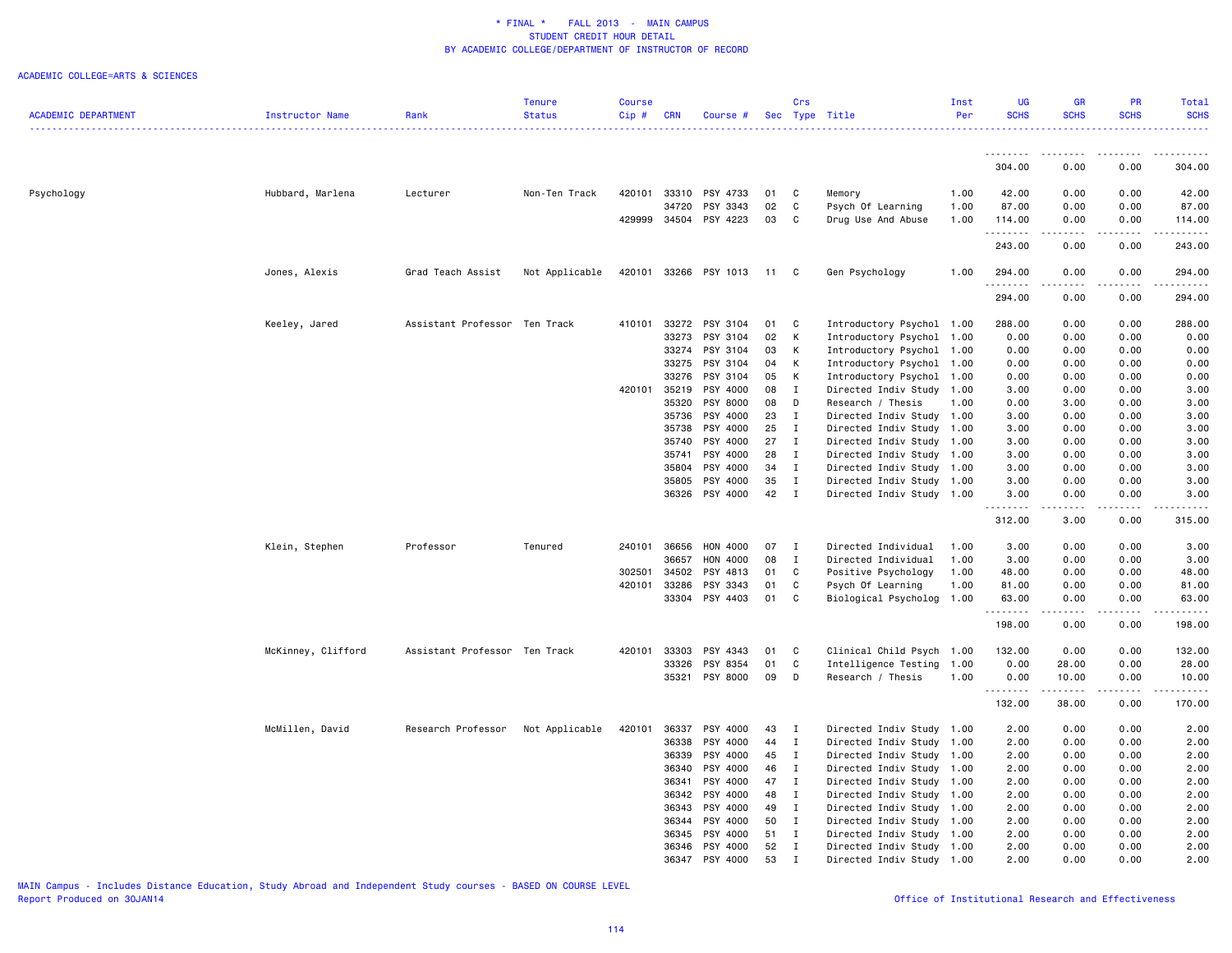### ACADEMIC COLLEGE=ARTS & SCIENCES

|                            |                    |                               | Tenure         | <b>Course</b>    |                |                       |          | Crs                          |                                            | Inst         | UG          | GR                 | <b>PR</b>    | Total                  |
|----------------------------|--------------------|-------------------------------|----------------|------------------|----------------|-----------------------|----------|------------------------------|--------------------------------------------|--------------|-------------|--------------------|--------------|------------------------|
| <b>ACADEMIC DEPARTMENT</b> | Instructor Name    | Rank                          | <b>Status</b>  | Cip#             | <b>CRN</b>     | Course #              |          |                              | Sec Type Title                             | Per          | <b>SCHS</b> | <b>SCHS</b>        | <b>SCHS</b>  | <b>SCHS</b>            |
|                            |                    |                               |                |                  |                |                       |          |                              |                                            |              |             |                    |              | .                      |
|                            |                    |                               |                |                  |                |                       |          |                              |                                            |              |             |                    | .            | . <u>.</u> .           |
|                            |                    |                               |                |                  |                |                       |          |                              |                                            |              | .<br>304.00 | . <u>.</u><br>0.00 | 0.00         | 304.00                 |
|                            |                    |                               |                |                  |                |                       |          |                              |                                            |              |             |                    |              |                        |
| Psychology                 | Hubbard, Marlena   | Lecturer                      | Non-Ten Track  | 420101           | 33310          | PSY 4733              | 01       | C                            | Memory                                     | 1.00         | 42.00       | 0.00               | 0.00         | 42.00                  |
|                            |                    |                               |                |                  | 34720          | PSY 3343              | 02       | C                            | Psych Of Learning                          | 1.00         | 87.00       | 0.00               | 0.00         | 87.00                  |
|                            |                    |                               |                | 429999           | 34504          | PSY 4223              | 03       | C                            | Drug Use And Abuse                         | 1.00         | 114.00      | 0.00               | 0.00         | 114.00                 |
|                            |                    |                               |                |                  |                |                       |          |                              |                                            |              | .           |                    |              |                        |
|                            |                    |                               |                |                  |                |                       |          |                              |                                            |              | 243.00      | 0.00               | 0.00         | 243.00                 |
|                            |                    |                               |                |                  |                |                       |          |                              |                                            |              |             |                    |              |                        |
|                            | Jones, Alexis      | Grad Teach Assist             | Not Applicable |                  |                | 420101 33266 PSY 1013 | 11       | C                            | Gen Psychology                             | 1.00         | 294.00      | 0.00               | 0.00         | 294.00                 |
|                            |                    |                               |                |                  |                |                       |          |                              |                                            |              | .<br>294.00 | 0.00               | 0.00         | 294.00                 |
|                            |                    |                               |                |                  |                |                       |          |                              |                                            |              |             |                    |              |                        |
|                            | Keeley, Jared      | Assistant Professor Ten Track |                | 410101           | 33272          | PSY 3104              | 01       | C                            | Introductory Psychol 1.00                  |              | 288.00      | 0.00               | 0.00         | 288.00                 |
|                            |                    |                               |                |                  | 33273          | PSY 3104              | 02       | K                            | Introductory Psychol                       | 1.00         | 0.00        | 0.00               | 0.00         | 0.00                   |
|                            |                    |                               |                |                  | 33274          | PSY 3104              | 03       | K                            | Introductory Psychol                       | 1.00         | 0.00        | 0.00               | 0.00         | 0.00                   |
|                            |                    |                               |                |                  | 33275          | PSY 3104              | 04       | К                            | Introductory Psychol                       | 1.00         | 0.00        | 0.00               | 0.00         | 0.00                   |
|                            |                    |                               |                |                  | 33276          | PSY 3104              | 05       | K                            | Introductory Psychol 1.00                  |              | 0.00        | 0.00               | 0.00         | 0.00                   |
|                            |                    |                               |                | 420101 35219     |                | PSY 4000              | 08       | $\mathbf I$                  | Directed Indiv Study                       | 1.00         | 3.00        | 0.00               | 0.00         | 3.00                   |
|                            |                    |                               |                |                  | 35320          | PSY 8000              | 08       | D                            | Research / Thesis                          | 1.00         | 0.00        | 3.00               | 0.00         | 3.00                   |
|                            |                    |                               |                |                  | 35736          | PSY 4000              | 23       | $\mathbf{I}$                 | Directed Indiv Study 1.00                  |              | 3.00        | 0.00               | 0.00         | 3.00                   |
|                            |                    |                               |                |                  | 35738          | PSY 4000              | 25       | $\mathbf{I}$                 | Directed Indiv Study 1.00                  |              | 3.00        | 0.00               | 0.00         | 3.00                   |
|                            |                    |                               |                |                  | 35740          | PSY 4000              | 27       | $\mathbf{I}$                 | Directed Indiv Study 1.00                  |              | 3.00        | 0.00               | 0.00         | 3.00                   |
|                            |                    |                               |                |                  | 35741          | PSY 4000              | 28       | $\mathbf{I}$                 | Directed Indiv Study                       | 1.00         | 3.00        | 0.00               | 0.00         | 3.00                   |
|                            |                    |                               |                |                  | 35804          | PSY 4000              | 34       | $\mathbf{I}$                 | Directed Indiv Study 1.00                  |              | 3.00        | 0.00               | 0.00         | 3.00                   |
|                            |                    |                               |                |                  | 35805          | PSY 4000              | 35       | Ι                            | Directed Indiv Study                       | 1.00         | 3.00        | 0.00               | 0.00         | 3.00                   |
|                            |                    |                               |                |                  | 36326          | PSY 4000              | 42       | $\mathbf{I}$                 | Directed Indiv Study 1.00                  |              | 3.00        | 0.00               | 0.00         | 3.00                   |
|                            |                    |                               |                |                  |                |                       |          |                              |                                            |              | .           | .                  | .            | $\omega$ is a $\omega$ |
|                            |                    |                               |                |                  |                |                       |          |                              |                                            |              | 312.00      | 3.00               | 0.00         | 315.00                 |
|                            |                    |                               |                |                  |                |                       |          |                              |                                            |              |             |                    |              |                        |
|                            | Klein, Stephen     | Professor                     | Tenured        | 240101           | 36656<br>36657 | HON 4000              | 07<br>08 | $\mathbf{I}$<br>$\mathbf{I}$ | Directed Individual<br>Directed Individual | 1.00<br>1.00 | 3.00        | 0.00               | 0.00         | 3.00                   |
|                            |                    |                               |                |                  |                | HON 4000              |          |                              |                                            |              | 3.00        | 0.00               | 0.00         | 3.00                   |
|                            |                    |                               |                | 302501<br>420101 | 34502          | PSY 4813<br>PSY 3343  | 01       | C<br>C                       | Positive Psychology                        | 1.00         | 48.00       | 0.00               | 0.00<br>0.00 | 48.00                  |
|                            |                    |                               |                |                  | 33286          | PSY 4403              | 01<br>01 | C                            | Psych Of Learning                          | 1.00<br>1.00 | 81.00       | 0.00               |              | 81.00                  |
|                            |                    |                               |                |                  | 33304          |                       |          |                              | Biological Psycholog                       |              | 63.00<br>.  | 0.00<br>.          | 0.00<br>.    | 63.00<br>.             |
|                            |                    |                               |                |                  |                |                       |          |                              |                                            |              | 198.00      | 0.00               | 0.00         | 198.00                 |
|                            |                    |                               |                |                  |                |                       |          |                              |                                            |              |             |                    |              |                        |
|                            | McKinney, Clifford | Assistant Professor Ten Track |                | 420101           | 33303          | PSY 4343              | 01       | C                            | Clinical Child Psych                       | 1.00         | 132.00      | 0.00               | 0.00         | 132.00                 |
|                            |                    |                               |                |                  | 33326          | PSY 8354              | 01       | C                            | Intelligence Testing 1.00                  |              | 0.00        | 28.00              | 0.00         | 28.00                  |
|                            |                    |                               |                |                  | 35321          | PSY 8000              | 09       | D                            | Research / Thesis                          | 1.00         | 0.00        | 10.00              | 0.00         | 10.00                  |
|                            |                    |                               |                |                  |                |                       |          |                              |                                            |              | .           | .                  | .            | .                      |
|                            |                    |                               |                |                  |                |                       |          |                              |                                            |              | 132.00      | 38.00              | 0.00         | 170.00                 |
|                            | McMillen, David    | Research Professor            |                | 420101           | 36337          | PSY 4000              | 43       | $\mathbf{I}$                 | Directed Indiv Study 1.00                  |              | 2.00        | 0.00               | 0.00         | 2.00                   |
|                            |                    |                               | Not Applicable |                  | 36338          | PSY 4000              | 44       | $\mathbf{I}$                 | Directed Indiv Study                       | 1.00         | 2.00        | 0.00               | 0.00         | 2.00                   |
|                            |                    |                               |                |                  | 36339          | PSY 4000              | 45       | $\mathbf{I}$                 | Directed Indiv Study 1.00                  |              | 2.00        | 0.00               | 0.00         | 2.00                   |
|                            |                    |                               |                |                  | 36340          | PSY 4000              | 46       | I                            | Directed Indiv Study                       | 1.00         | 2.00        | 0.00               | 0.00         | 2.00                   |
|                            |                    |                               |                |                  | 36341          | PSY 4000              | 47       | $\mathbf{I}$                 | Directed Indiv Study 1.00                  |              | 2.00        | 0.00               | 0.00         | 2.00                   |
|                            |                    |                               |                |                  | 36342          | PSY 4000              | 48       | $\mathbf{I}$                 | Directed Indiv Study                       | 1.00         | 2.00        | 0.00               | 0.00         | 2.00                   |
|                            |                    |                               |                |                  | 36343          | PSY 4000              | 49       | $\mathbf{I}$                 | Directed Indiv Study 1.00                  |              | 2.00        | 0.00               | 0.00         | 2.00                   |
|                            |                    |                               |                |                  | 36344          | PSY 4000              | 50       | $\mathbf{I}$                 | Directed Indiv Study 1.00                  |              | 2.00        | 0.00               | 0.00         | 2.00                   |
|                            |                    |                               |                |                  | 36345          | PSY 4000              | 51       | $\mathbf{I}$                 | Directed Indiv Study 1.00                  |              | 2.00        | 0.00               | 0.00         | 2.00                   |
|                            |                    |                               |                |                  | 36346          | PSY 4000              | 52       | $\mathbf{I}$                 | Directed Indiv Study 1.00                  |              | 2.00        | 0.00               | 0.00         | 2.00                   |
|                            |                    |                               |                |                  | 36347          | PSY 4000              | 53       | $\mathbf I$                  | Directed Indiv Study 1.00                  |              | 2.00        | 0.00               | 0.00         | 2.00                   |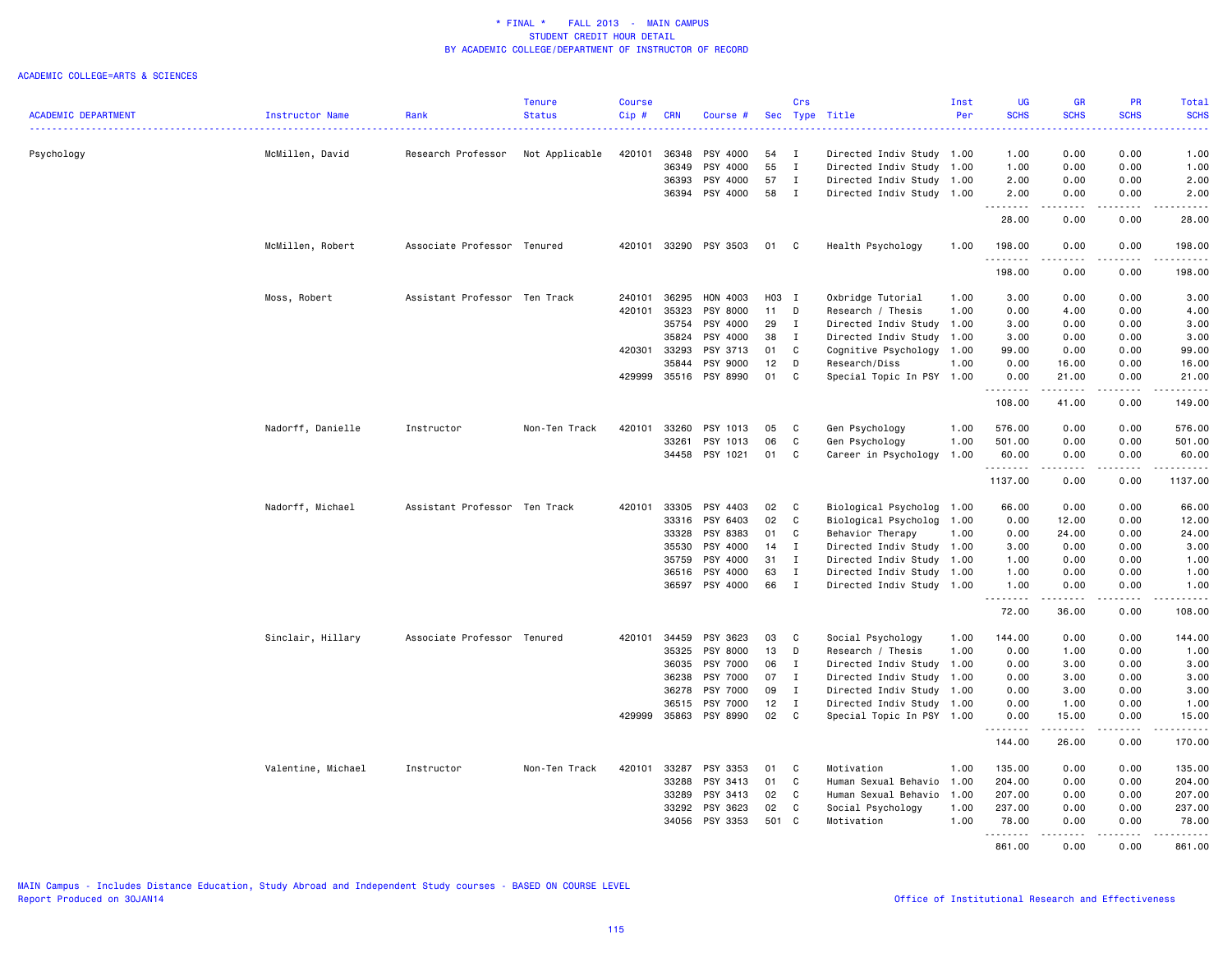|                            |                        |                               | <b>Tenure</b>  | <b>Course</b> |                |          |          | Crs                          |                                                        | Inst | UG           | <b>GR</b>        | <b>PR</b>         | Total            |
|----------------------------|------------------------|-------------------------------|----------------|---------------|----------------|----------|----------|------------------------------|--------------------------------------------------------|------|--------------|------------------|-------------------|------------------|
| <b>ACADEMIC DEPARTMENT</b> | <b>Instructor Name</b> | Rank                          | <b>Status</b>  | Cip#          | <b>CRN</b>     | Course # |          |                              | Sec Type Title                                         | Per  | <b>SCHS</b>  | <b>SCHS</b>      | <b>SCHS</b>       | <b>SCHS</b>      |
|                            |                        | Research Professor            |                | 420101        |                | PSY 4000 |          |                              |                                                        |      | 1.00         | 0.00             | 0.00              | 1.00             |
| Psychology                 | McMillen, David        |                               | Not Applicable |               | 36348<br>36349 | PSY 4000 | 54<br>55 | $\mathbf{I}$<br>$\mathbf{I}$ | Directed Indiv Study 1.00<br>Directed Indiv Study 1.00 |      | 1.00         | 0.00             | 0.00              | 1.00             |
|                            |                        |                               |                |               | 36393          | PSY 4000 | 57       | $\mathbf{I}$                 | Directed Indiv Study 1.00                              |      | 2.00         | 0.00             | 0.00              | 2.00             |
|                            |                        |                               |                |               | 36394          | PSY 4000 | 58       | $\mathbf{I}$                 | Directed Indiv Study 1.00                              |      | 2.00         | 0.00             | 0.00              | 2.00             |
|                            |                        |                               |                |               |                |          |          |                              |                                                        |      | .            | 2.2.2.2.2        | .                 | $    -$          |
|                            |                        |                               |                |               |                |          |          |                              |                                                        |      | 28.00        | 0.00             | 0.00              | 28.00            |
|                            | McMillen, Robert       | Associate Professor Tenured   |                | 420101        | 33290          | PSY 3503 | 01       | C                            | Health Psychology                                      | 1.00 | 198.00<br>.  | 0.00             | 0.00              | 198.00           |
|                            |                        |                               |                |               |                |          |          |                              |                                                        |      | 198.00       | 0.00             | 0.00              | 198.00           |
|                            | Moss, Robert           | Assistant Professor Ten Track |                | 240101        | 36295          | HON 4003 | H03 I    |                              | Oxbridge Tutorial                                      | 1.00 | 3.00         | 0.00             | 0.00              | 3.00             |
|                            |                        |                               |                | 420101        | 35323          | PSY 8000 | 11       | D                            | Research / Thesis                                      | 1.00 | 0.00         | 4.00             | 0.00              | 4.00             |
|                            |                        |                               |                |               | 35754          | PSY 4000 | 29       | $\mathbf{I}$                 | Directed Indiv Study 1.00                              |      | 3.00         | 0.00             | 0.00              | 3.00             |
|                            |                        |                               |                |               | 35824          | PSY 4000 | 38       | I                            | Directed Indiv Study                                   | 1.00 | 3.00         | 0.00             | 0.00              | 3.00             |
|                            |                        |                               |                | 420301        | 33293          | PSY 3713 | 01       | C                            | Cognitive Psychology                                   | 1.00 | 99.00        | 0.00             | 0.00              | 99.00            |
|                            |                        |                               |                |               | 35844          | PSY 9000 | 12       | D                            | Research/Diss                                          | 1.00 | 0.00         | 16.00            | 0.00              | 16.00            |
|                            |                        |                               |                | 429999        | 35516          | PSY 8990 | 01       | C                            | Special Topic In PSY                                   | 1.00 | 0.00<br>.    | 21.00            | 0.00<br>$- - - -$ | 21.00<br>$    -$ |
|                            |                        |                               |                |               |                |          |          |                              |                                                        |      | 108.00       | 41.00            | 0.00              | 149.00           |
|                            | Nadorff, Danielle      | Instructor                    | Non-Ten Track  | 420101        | 33260          | PSY 1013 | 05       | C                            | Gen Psychology                                         | 1.00 | 576.00       | 0.00             | 0.00              | 576.00           |
|                            |                        |                               |                |               | 33261          | PSY 1013 | 06       | C                            | Gen Psychology                                         | 1.00 | 501.00       | 0.00             | 0.00              | 501.00           |
|                            |                        |                               |                |               | 34458          | PSY 1021 | 01       | C                            | Career in Psychology                                   | 1.00 | 60.00        | 0.00             | 0.00              | 60.00            |
|                            |                        |                               |                |               |                |          |          |                              |                                                        |      | .<br>1137.00 | .<br>0.00        | .<br>0.00         | .<br>1137.00     |
|                            | Nadorff, Michael       | Assistant Professor Ten Track |                | 420101        | 33305          | PSY 4403 | 02       | C                            | Biological Psycholog 1.00                              |      | 66.00        | 0.00             | 0.00              | 66.00            |
|                            |                        |                               |                |               | 33316          | PSY 6403 | 02       | $\mathbf{C}$                 | Biological Psycholog 1.00                              |      | 0.00         | 12.00            | 0.00              | 12.00            |
|                            |                        |                               |                |               | 33328          | PSY 8383 | 01       | C                            | Behavior Therapy                                       | 1.00 | 0.00         | 24.00            | 0.00              | 24.00            |
|                            |                        |                               |                |               | 35530          | PSY 4000 | 14       | $\mathbf{I}$                 | Directed Indiv Study 1.00                              |      | 3.00         | 0.00             | 0.00              | 3.00             |
|                            |                        |                               |                |               | 35759          | PSY 4000 | 31       | $\mathbf{I}$                 | Directed Indiv Study 1.00                              |      | 1.00         | 0.00             | 0.00              | 1.00             |
|                            |                        |                               |                |               | 36516          | PSY 4000 | 63       | $\mathbf I$                  | Directed Indiv Study 1.00                              |      | 1.00         | 0.00             | 0.00              | 1.00             |
|                            |                        |                               |                |               | 36597          | PSY 4000 | 66       | $\mathbf{I}$                 | Directed Indiv Study 1.00                              |      | 1.00         | 0.00             | 0.00              | 1.00             |
|                            |                        |                               |                |               |                |          |          |                              |                                                        |      | .<br>72.00   | .<br>36.00       | .<br>0.00         | .<br>108.00      |
|                            | Sinclair, Hillary      | Associate Professor Tenured   |                | 420101        | 34459          | PSY 3623 | 03       | C                            | Social Psychology                                      | 1.00 | 144.00       | 0.00             | 0.00              | 144.00           |
|                            |                        |                               |                |               | 35325          | PSY 8000 | 13       | D                            | Research / Thesis                                      | 1.00 | 0.00         | 1.00             | 0.00              | 1.00             |
|                            |                        |                               |                |               | 36035          | PSY 7000 | 06       | I                            | Directed Indiv Study                                   | 1.00 | 0.00         | 3.00             | 0.00              | 3.00             |
|                            |                        |                               |                |               | 36238          | PSY 7000 | 07       | $\mathbf{I}$                 | Directed Indiv Study                                   | 1.00 | 0.00         | 3.00             | 0.00              | 3.00             |
|                            |                        |                               |                |               | 36278          | PSY 7000 | 09       | $\mathbf{I}$                 | Directed Indiv Study                                   | 1.00 | 0.00         | 3.00             | 0.00              | 3.00             |
|                            |                        |                               |                |               | 36515          | PSY 7000 | 12       | $\mathbf{I}$                 | Directed Indiv Study 1.00                              |      | 0.00         | 1.00             | 0.00              | 1.00             |
|                            |                        |                               |                | 429999        | 35863          | PSY 8990 | 02       | $\mathbb C$                  | Special Topic In PSY 1.00                              |      | 0.00         | 15.00            | 0.00              | 15.00            |
|                            |                        |                               |                |               |                |          |          |                              |                                                        |      | .<br>144.00  | .<br>26.00       | .<br>0.00         | .<br>170.00      |
|                            | Valentine, Michael     | Instructor                    | Non-Ten Track  | 420101        | 33287          | PSY 3353 | 01       | C                            | Motivation                                             | 1.00 | 135.00       | 0.00             | 0.00              | 135.00           |
|                            |                        |                               |                |               | 33288          | PSY 3413 | 01       | C                            | Human Sexual Behavio                                   | 1.00 | 204.00       | 0.00             | 0.00              | 204.00           |
|                            |                        |                               |                |               | 33289          | PSY 3413 | 02       | C                            | Human Sexual Behavio                                   | 1.00 | 207.00       | 0.00             | 0.00              | 207.00           |
|                            |                        |                               |                |               | 33292          | PSY 3623 | 02       | C                            | Social Psychology                                      | 1.00 | 237.00       | 0.00             | 0.00              | 237.00           |
|                            |                        |                               |                |               | 34056          | PSY 3353 | 501 C    |                              | Motivation                                             | 1.00 | 78,00        | 0.00             | 0.00              | 78,00            |
|                            |                        |                               |                |               |                |          |          |                              |                                                        |      | 861.00       | <u>.</u><br>0.00 | .<br>0.00         | .<br>861.00      |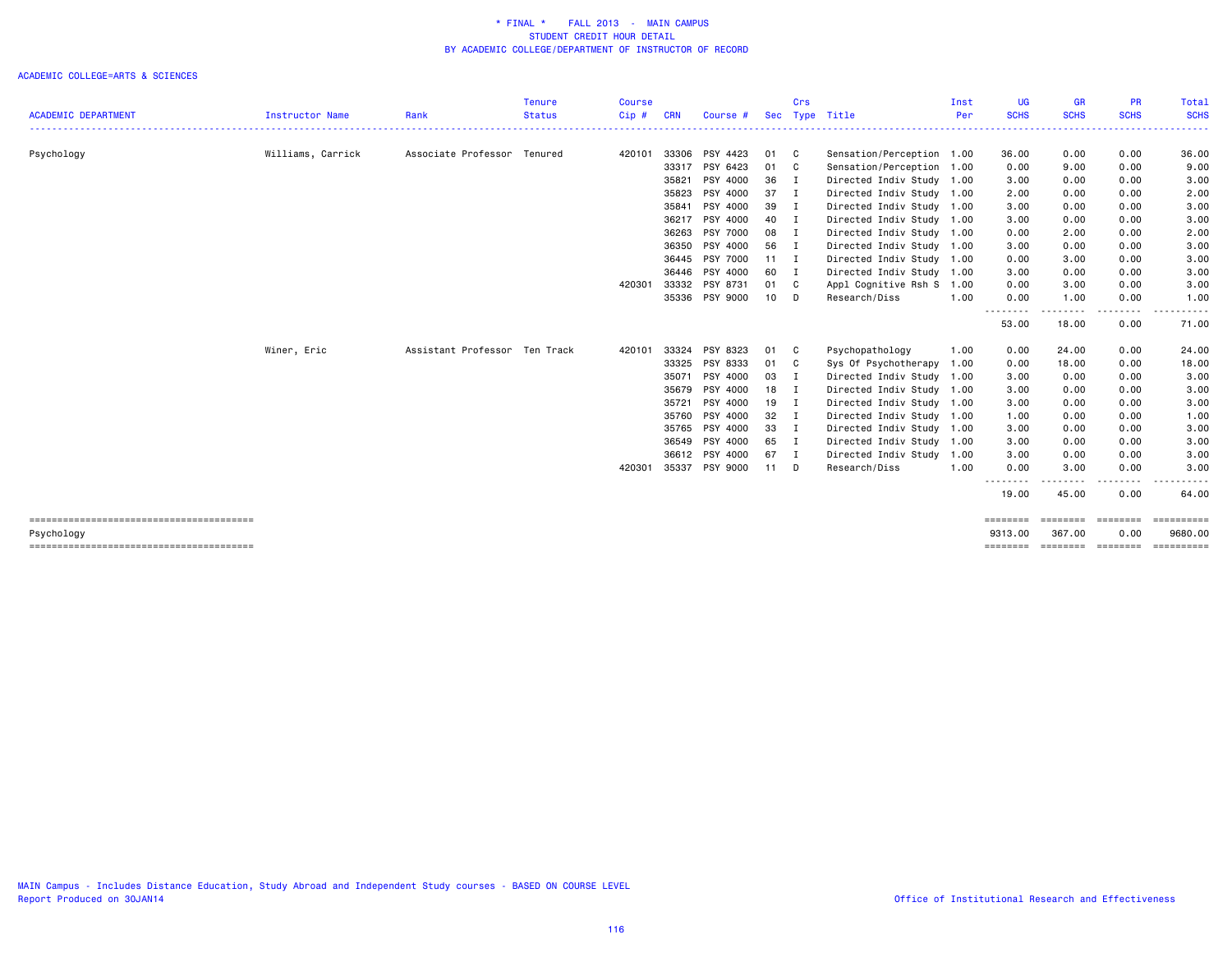|                            |                   |                               | <b>Tenure</b> | <b>Course</b> |            |                |              | Crs            |                                               | Inst | UG                          | <b>GR</b>                                                                                                                                                           | <b>PR</b>        | Total                   |
|----------------------------|-------------------|-------------------------------|---------------|---------------|------------|----------------|--------------|----------------|-----------------------------------------------|------|-----------------------------|---------------------------------------------------------------------------------------------------------------------------------------------------------------------|------------------|-------------------------|
| <b>ACADEMIC DEPARTMENT</b> | Instructor Name   | Rank                          | <b>Status</b> | Cip #         | <b>CRN</b> | Course #       | <b>Sec</b>   |                | Type Title<br>_______________________________ | Per  | <b>SCHS</b><br>. <u>.</u> . | <b>SCHS</b><br>$\frac{1}{2} \left( \frac{1}{2} \right) \left( \frac{1}{2} \right) \left( \frac{1}{2} \right) \left( \frac{1}{2} \right) \left( \frac{1}{2} \right)$ | <b>SCHS</b>      | <b>SCHS</b><br><u>.</u> |
| Psychology                 | Williams, Carrick | Associate Professor Tenured   |               | 420101        | 33306      | PSY 4423       | 01 C         |                | Sensation/Perception 1.00                     |      | 36.00                       | 0.00                                                                                                                                                                | 0.00             | 36.00                   |
|                            |                   |                               |               |               | 33317      | PSY 6423       | 01 C         |                | Sensation/Perception 1.00                     |      | 0.00                        | 9.00                                                                                                                                                                | 0.00             | 9.00                    |
|                            |                   |                               |               |               | 35821      | PSY 4000       | 36 I         |                | Directed Indiv Study 1.00                     |      | 3.00                        | 0.00                                                                                                                                                                | 0.00             | 3.00                    |
|                            |                   |                               |               |               | 35823      | PSY 4000       | 37           | $\mathbf{I}$   | Directed Indiv Study 1.00                     |      | 2.00                        | 0.00                                                                                                                                                                | 0.00             | 2.00                    |
|                            |                   |                               |               |               | 35841      | PSY 4000       | 39 I         |                | Directed Indiv Study 1.00                     |      | 3.00                        | 0.00                                                                                                                                                                | 0.00             | 3.00                    |
|                            |                   |                               |               |               | 36217      | PSY 4000       | 40 I         |                | Directed Indiv Study 1.00                     |      | 3.00                        | 0.00                                                                                                                                                                | 0.00             | 3.00                    |
|                            |                   |                               |               |               | 36263      | PSY 7000       | 08 I         |                | Directed Indiv Study 1.00                     |      | 0.00                        | 2.00                                                                                                                                                                | 0.00             | 2.00                    |
|                            |                   |                               |               |               | 36350      | PSY 4000       | 56 I         |                | Directed Indiv Study 1.00                     |      | 3.00                        | 0.00                                                                                                                                                                | 0.00             | 3.00                    |
|                            |                   |                               |               |               |            | 36445 PSY 7000 | $11 \quad I$ |                | Directed Indiv Study 1.00                     |      | 0.00                        | 3.00                                                                                                                                                                | 0.00             | 3.00                    |
|                            |                   |                               |               |               | 36446      | PSY 4000       | 60 I         |                | Directed Indiv Study 1.00                     |      | 3.00                        | 0.00                                                                                                                                                                | 0.00             | 3.00                    |
|                            |                   |                               |               | 420301        | 33332      | PSY 8731       | 01 C         |                | Appl Cognitive Rsh S                          | 1.00 | 0.00                        | 3.00                                                                                                                                                                | 0.00             | 3.00                    |
|                            |                   |                               |               |               |            | 35336 PSY 9000 | $10$ D       |                | Research/Diss                                 | 1.00 | 0.00<br>- - - - - - - -     | 1.00<br>. <b>.</b>                                                                                                                                                  | 0.00             | 1.00                    |
|                            |                   |                               |               |               |            |                |              |                |                                               |      | 53.00                       | 18.00                                                                                                                                                               | 0.00             | 71.00                   |
|                            | Winer, Eric       | Assistant Professor Ten Track |               | 420101        | 33324      | PSY 8323       | 01           | C              | Psychopathology                               | 1.00 | 0.00                        | 24.00                                                                                                                                                               | 0.00             | 24.00                   |
|                            |                   |                               |               |               | 33325      | PSY 8333       | 01 C         |                | Sys Of Psychotherapy                          | 1.00 | 0.00                        | 18.00                                                                                                                                                               | 0.00             | 18.00                   |
|                            |                   |                               |               |               | 35071      | PSY 4000       | 03           | $\blacksquare$ | Directed Indiv Study 1.00                     |      | 3.00                        | 0.00                                                                                                                                                                | 0.00             | 3.00                    |
|                            |                   |                               |               |               | 35679      | PSY 4000       | 18           | $\blacksquare$ | Directed Indiv Study 1.00                     |      | 3.00                        | 0.00                                                                                                                                                                | 0.00             | 3.00                    |
|                            |                   |                               |               |               | 35721      | PSY 4000       | $19$ I       |                | Directed Indiv Study 1.00                     |      | 3.00                        | 0.00                                                                                                                                                                | 0.00             | 3.00                    |
|                            |                   |                               |               |               | 35760      | PSY 4000       | 32 I         |                | Directed Indiv Study 1.00                     |      | 1.00                        | 0.00                                                                                                                                                                | 0.00             | 1.00                    |
|                            |                   |                               |               |               |            | 35765 PSY 4000 | 33 I         |                | Directed Indiv Study 1.00                     |      | 3.00                        | 0.00                                                                                                                                                                | 0.00             | 3.00                    |
|                            |                   |                               |               |               |            | 36549 PSY 4000 | 65 I         |                | Directed Indiv Study 1.00                     |      | 3.00                        | 0.00                                                                                                                                                                | 0.00             | 3.00                    |
|                            |                   |                               |               |               |            | 36612 PSY 4000 | 67 I         |                | Directed Indiv Study                          | 1.00 | 3.00                        | 0.00                                                                                                                                                                | 0.00             | 3.00                    |
|                            |                   |                               |               | 420301        | 35337      | PSY 9000       | $11$ D       |                | Research/Diss                                 | 1.00 | 0.00                        | 3.00                                                                                                                                                                | 0.00             | 3.00                    |
|                            |                   |                               |               |               |            |                |              |                |                                               |      | 19.00                       | 45.00                                                                                                                                                               | 0.00             | 64.00                   |
| Psychology                 |                   |                               |               |               |            |                |              |                |                                               |      | ========<br>9313.00         | ========<br>367.00                                                                                                                                                  | ========<br>0.00 | ==========<br>9680.00   |
|                            |                   |                               |               |               |            |                |              |                |                                               |      | ========                    | ========                                                                                                                                                            | ========         |                         |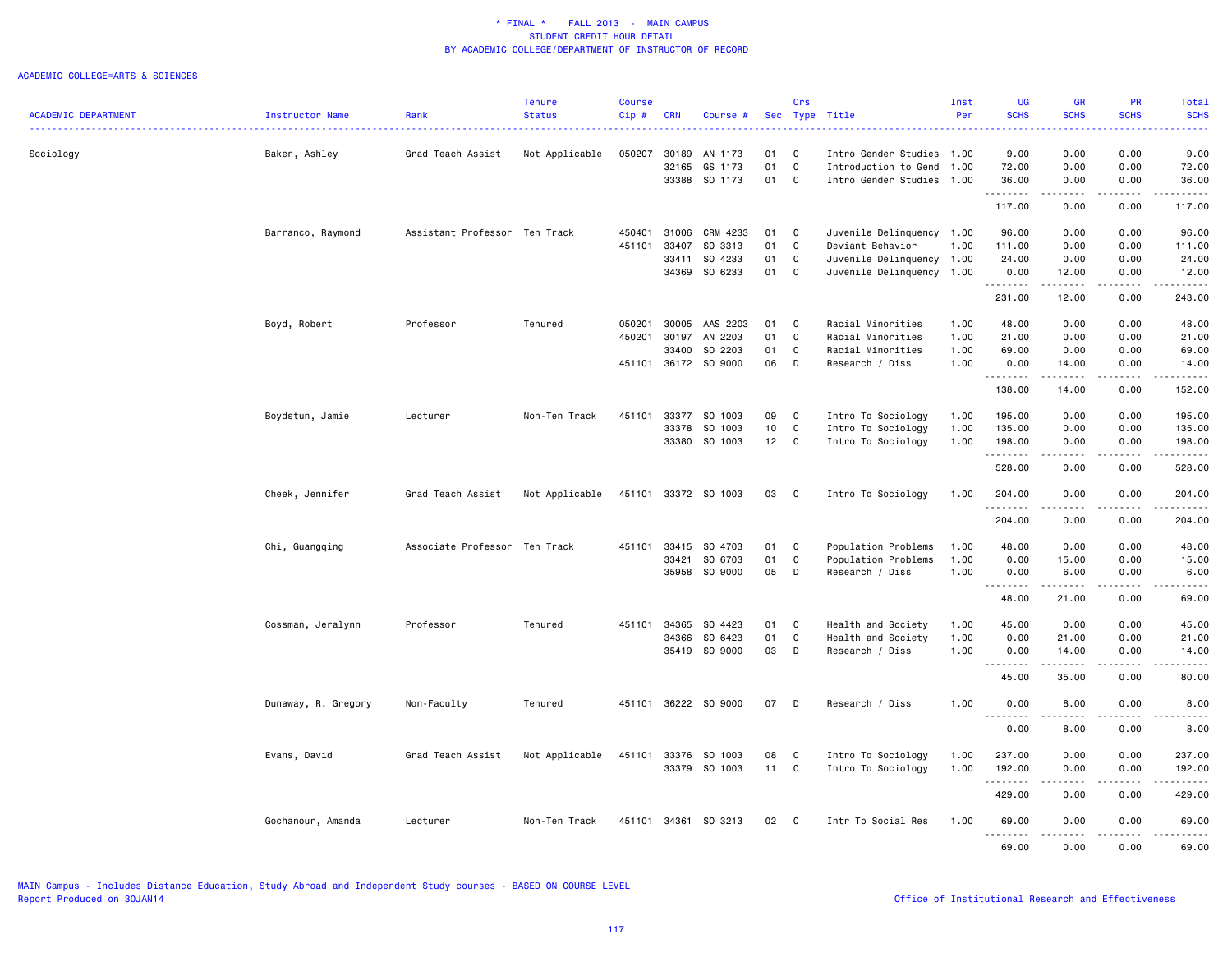|                            |                        |                               | <b>Tenure</b>  | <b>Course</b> |            |                      |    | Crs          |                           | Inst | UG                      | GR                  | PR                    | Total                                                                                                                                    |
|----------------------------|------------------------|-------------------------------|----------------|---------------|------------|----------------------|----|--------------|---------------------------|------|-------------------------|---------------------|-----------------------|------------------------------------------------------------------------------------------------------------------------------------------|
| <b>ACADEMIC DEPARTMENT</b> | <b>Instructor Name</b> | Rank                          | <b>Status</b>  | Cip#          | <b>CRN</b> | Course #             |    |              | Sec Type Title            | Per  | <b>SCHS</b>             | <b>SCHS</b>         | <b>SCHS</b>           | <b>SCHS</b><br>$\frac{1}{2} \left( \frac{1}{2} \right) \left( \frac{1}{2} \right) \left( \frac{1}{2} \right) \left( \frac{1}{2} \right)$ |
|                            |                        |                               |                |               |            |                      |    |              |                           |      |                         |                     |                       |                                                                                                                                          |
| Sociology                  | Baker, Ashley          | Grad Teach Assist             | Not Applicable | 050207        | 30189      | AN 1173              | 01 | C            | Intro Gender Studies 1.00 |      | 9.00                    | 0.00                | 0.00                  | 9.00                                                                                                                                     |
|                            |                        |                               |                |               | 32165      | GS 1173              | 01 | C            | Introduction to Gend      | 1.00 | 72.00                   | 0.00                | 0.00                  | 72.00                                                                                                                                    |
|                            |                        |                               |                |               | 33388      | SO 1173              | 01 | $\mathbf{C}$ | Intro Gender Studies 1.00 |      | 36.00                   | 0.00                | 0.00                  | 36.00                                                                                                                                    |
|                            |                        |                               |                |               |            |                      |    |              |                           |      | 117.00                  | .<br>0.00           | .<br>0.00             | .<br>117.00                                                                                                                              |
|                            |                        |                               |                |               |            |                      |    |              |                           |      |                         |                     |                       |                                                                                                                                          |
|                            | Barranco, Raymond      | Assistant Professor Ten Track |                | 450401        | 31006      | CRM 4233             | 01 | C            | Juvenile Delinquency 1.00 |      | 96.00                   | 0.00                | 0.00                  | 96.00                                                                                                                                    |
|                            |                        |                               |                | 451101        | 33407      | SO 3313              | 01 | C            | Deviant Behavior          | 1.00 | 111.00                  | 0.00                | 0.00                  | 111.00                                                                                                                                   |
|                            |                        |                               |                |               | 33411      | SO 4233              | 01 | C            | Juvenile Delinquency 1.00 |      | 24.00                   | 0.00                | 0.00                  | 24.00                                                                                                                                    |
|                            |                        |                               |                |               |            | 34369 SO 6233        | 01 | C            | Juvenile Delinquency 1.00 |      | 0.00<br>.               | 12.00<br>.          | 0.00<br>.             | 12.00<br>.                                                                                                                               |
|                            |                        |                               |                |               |            |                      |    |              |                           |      | 231.00                  | 12.00               | 0.00                  | 243.00                                                                                                                                   |
|                            | Boyd, Robert           | Professor                     | Tenured        | 050201        | 30005      | AAS 2203             | 01 | C            | Racial Minorities         | 1.00 | 48.00                   | 0.00                | 0.00                  | 48.00                                                                                                                                    |
|                            |                        |                               |                | 450201        | 30197      | AN 2203              | 01 | C            | Racial Minorities         | 1.00 | 21.00                   | 0.00                | 0.00                  | 21.00                                                                                                                                    |
|                            |                        |                               |                |               | 33400      | SO 2203              | 01 | C            | Racial Minorities         | 1.00 | 69.00                   | 0.00                | 0.00                  | 69.00                                                                                                                                    |
|                            |                        |                               |                | 451101        |            | 36172 SO 9000        | 06 | D            | Research / Diss           | 1.00 | 0.00                    | 14.00               | 0.00                  | 14.00                                                                                                                                    |
|                            |                        |                               |                |               |            |                      |    |              |                           |      | 1.1.1.1.1.1.1<br>138.00 | .<br>14.00          | $\frac{1}{2}$<br>0.00 | .<br>152.00                                                                                                                              |
|                            |                        |                               |                |               |            |                      |    |              |                           |      |                         |                     |                       |                                                                                                                                          |
|                            | Boydstun, Jamie        | Lecturer                      | Non-Ten Track  | 451101        | 33377      | SO 1003              | 09 | C            | Intro To Sociology        | 1.00 | 195.00                  | 0.00                | 0.00                  | 195.00                                                                                                                                   |
|                            |                        |                               |                |               | 33378      | SO 1003              | 10 | $\mathtt{C}$ | Intro To Sociology        | 1.00 | 135.00                  | 0.00                | 0.00                  | 135.00                                                                                                                                   |
|                            |                        |                               |                |               | 33380      | SO 1003              | 12 | C            | Intro To Sociology        | 1.00 | 198.00                  | 0.00<br>.           | 0.00<br>.             | 198.00                                                                                                                                   |
|                            |                        |                               |                |               |            |                      |    |              |                           |      | .<br>528.00             | 0.00                | 0.00                  | .<br>528.00                                                                                                                              |
|                            | Cheek, Jennifer        | Grad Teach Assist             | Not Applicable |               |            | 451101 33372 SO 1003 | 03 | $\mathbf{C}$ | Intro To Sociology        | 1.00 | 204.00                  | 0.00                | 0.00                  | 204.00                                                                                                                                   |
|                            |                        |                               |                |               |            |                      |    |              |                           |      | <u>.</u><br>204.00      | .<br>0.00           | .<br>0.00             | .<br>204.00                                                                                                                              |
|                            |                        |                               |                |               |            |                      |    |              |                           |      |                         |                     |                       |                                                                                                                                          |
|                            | Chi, Guangqing         | Associate Professor Ten Track |                | 451101        | 33415      | SO 4703              | 01 | C            | Population Problems       | 1.00 | 48.00                   | 0.00                | 0.00                  | 48.00                                                                                                                                    |
|                            |                        |                               |                |               | 33421      | SO 6703              | 01 | C            | Population Problems       | 1.00 | 0.00                    | 15.00               | 0.00                  | 15.00                                                                                                                                    |
|                            |                        |                               |                |               |            | 35958 SO 9000        | 05 | D            | Research / Diss           | 1.00 | 0.00<br>.               | 6.00<br>.           | 0.00<br>.             | 6.00<br>.                                                                                                                                |
|                            |                        |                               |                |               |            |                      |    |              |                           |      | 48.00                   | 21.00               | 0.00                  | 69.00                                                                                                                                    |
|                            | Cossman, Jeralynn      | Professor                     | Tenured        | 451101        | 34365      | SO 4423              | 01 | C            | Health and Society        | 1.00 | 45.00                   | 0.00                | 0.00                  | 45.00                                                                                                                                    |
|                            |                        |                               |                |               | 34366      | SO 6423              | 01 | C            | Health and Society        | 1.00 | 0.00                    | 21.00               | 0.00                  | 21.00                                                                                                                                    |
|                            |                        |                               |                |               | 35419      | SO 9000              | 03 | D            | Research / Diss           | 1.00 | 0.00                    | 14.00               | 0.00                  | 14.00                                                                                                                                    |
|                            |                        |                               |                |               |            |                      |    |              |                           |      | .<br>45.00              | . <b>.</b><br>35.00 | .<br>0.00             | .<br>80.00                                                                                                                               |
|                            |                        |                               |                |               |            | 36222 SO 9000        |    |              |                           |      |                         |                     |                       |                                                                                                                                          |
|                            | Dunaway, R. Gregory    | Non-Faculty                   | Tenured        | 451101        |            |                      | 07 | D            | Research / Diss           | 1.00 | 0.00                    | 8.00                | 0.00                  | 8.00                                                                                                                                     |
|                            |                        |                               |                |               |            |                      |    |              |                           |      | 0.00                    | 8.00                | 0.00                  | 8.00                                                                                                                                     |
|                            | Evans, David           | Grad Teach Assist             | Not Applicable | 451101        | 33376      | SO 1003              | 08 | C            | Intro To Sociology        | 1.00 | 237.00                  | 0.00                | 0.00                  | 237.00                                                                                                                                   |
|                            |                        |                               |                |               |            | 33379 SO 1003        | 11 | C            | Intro To Sociology        | 1.00 | 192.00                  | 0.00                | 0.00                  | 192.00                                                                                                                                   |
|                            |                        |                               |                |               |            |                      |    |              |                           |      | .                       |                     |                       | .                                                                                                                                        |
|                            |                        |                               |                |               |            |                      |    |              |                           |      | 429.00                  | 0.00                | 0.00                  | 429.00                                                                                                                                   |
|                            | Gochanour, Amanda      | Lecturer                      | Non-Ten Track  |               |            | 451101 34361 SO 3213 | 02 | $\mathbf{C}$ | Intr To Social Res        | 1.00 | 69.00<br>.              | 0.00<br>.           | 0.00<br>.             | 69.00<br>.                                                                                                                               |
|                            |                        |                               |                |               |            |                      |    |              |                           |      | 69.00                   | 0.00                | 0.00                  | 69.00                                                                                                                                    |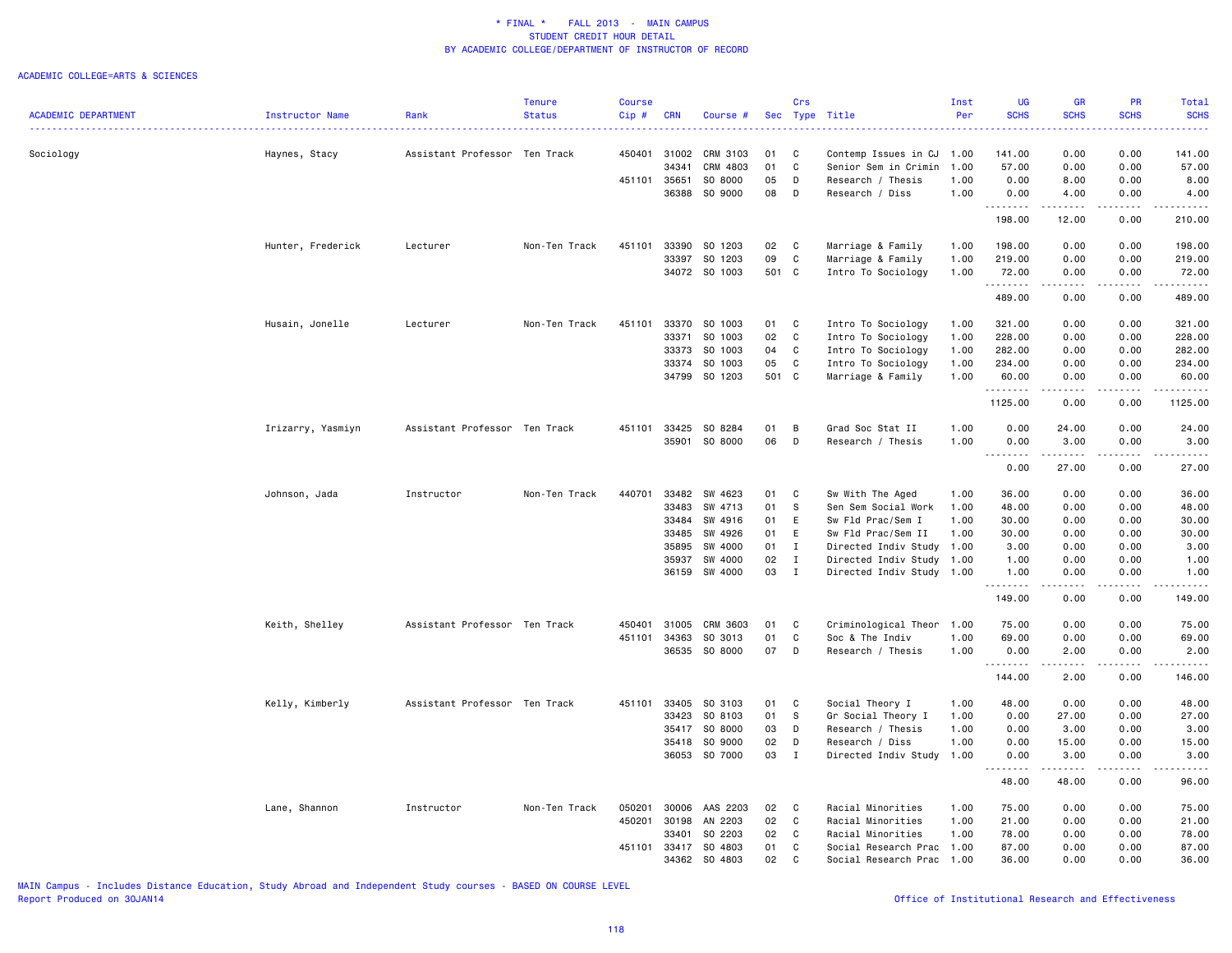### ACADEMIC COLLEGE=ARTS & SCIENCES

|                            |                   |                               | <b>Tenure</b> | <b>Course</b> |            |               |       | Crs          |                           | Inst | <b>UG</b>              | <b>GR</b>                                                                                                                                            | <b>PR</b>   | Total                                                                                                                             |
|----------------------------|-------------------|-------------------------------|---------------|---------------|------------|---------------|-------|--------------|---------------------------|------|------------------------|------------------------------------------------------------------------------------------------------------------------------------------------------|-------------|-----------------------------------------------------------------------------------------------------------------------------------|
| <b>ACADEMIC DEPARTMENT</b> | Instructor Name   | Rank                          | <b>Status</b> | Cip#          | <b>CRN</b> | Course #      |       |              | Sec Type Title            | Per  | <b>SCHS</b>            | <b>SCHS</b>                                                                                                                                          | <b>SCHS</b> | <b>SCHS</b>                                                                                                                       |
|                            |                   |                               |               |               |            |               |       |              |                           |      |                        |                                                                                                                                                      |             |                                                                                                                                   |
| Sociology                  | Haynes, Stacy     | Assistant Professor Ten Track |               | 450401        | 31002      | CRM 3103      | 01    | C            | Contemp Issues in CJ      | 1.00 | 141.00                 | 0.00                                                                                                                                                 | 0.00        | 141.00                                                                                                                            |
|                            |                   |                               |               |               | 34341      | CRM 4803      | 01    | C            | Senior Sem in Crimin      | 1.00 | 57.00                  | 0.00                                                                                                                                                 | 0.00        | 57.00                                                                                                                             |
|                            |                   |                               |               | 451101        | 35651      | SO 8000       | 05    | D            | Research / Thesis         | 1.00 | 0.00                   | 8.00                                                                                                                                                 | 0.00        | 8.00                                                                                                                              |
|                            |                   |                               |               |               | 36388      | SO 9000       | 08    | D            | Research / Diss           | 1.00 | 0.00                   | 4.00                                                                                                                                                 | 0.00        | 4.00                                                                                                                              |
|                            |                   |                               |               |               |            |               |       |              |                           |      | <u>.</u>               | .                                                                                                                                                    | .           | .                                                                                                                                 |
|                            |                   |                               |               |               |            |               |       |              |                           |      | 198.00                 | 12.00                                                                                                                                                | 0.00        | 210.00                                                                                                                            |
|                            | Hunter, Frederick | Lecturer                      | Non-Ten Track | 451101        | 33390      | SO 1203       | 02    | C            | Marriage & Family         | 1.00 | 198.00                 | 0.00                                                                                                                                                 | 0.00        | 198.00                                                                                                                            |
|                            |                   |                               |               |               | 33397      | SO 1203       | 09    | C            | Marriage & Family         | 1.00 | 219.00                 | 0.00                                                                                                                                                 | 0.00        | 219.00                                                                                                                            |
|                            |                   |                               |               |               |            | 34072 SO 1003 | 501 C |              | Intro To Sociology        | 1.00 | 72.00                  | 0.00                                                                                                                                                 | 0.00        | 72.00                                                                                                                             |
|                            |                   |                               |               |               |            |               |       |              |                           |      | .                      | $\frac{1}{2} \left( \frac{1}{2} \right) \left( \frac{1}{2} \right) \left( \frac{1}{2} \right) \left( \frac{1}{2} \right) \left( \frac{1}{2} \right)$ | .           | دددددد                                                                                                                            |
|                            |                   |                               |               |               |            |               |       |              |                           |      | 489.00                 | 0.00                                                                                                                                                 | 0.00        | 489.00                                                                                                                            |
|                            | Husain, Jonelle   | Lecturer                      | Non-Ten Track | 451101        | 33370      | SO 1003       | 01    | C            | Intro To Sociology        | 1.00 | 321.00                 | 0.00                                                                                                                                                 | 0.00        | 321.00                                                                                                                            |
|                            |                   |                               |               |               | 33371      | SO 1003       | 02    | $\mathbf C$  | Intro To Sociology        | 1.00 | 228.00                 | 0.00                                                                                                                                                 | 0.00        | 228.00                                                                                                                            |
|                            |                   |                               |               |               | 33373      | SO 1003       | 04    | C            | Intro To Sociology        | 1.00 | 282.00                 | 0.00                                                                                                                                                 | 0.00        | 282.00                                                                                                                            |
|                            |                   |                               |               |               | 33374      | SO 1003       | 05    | C            | Intro To Sociology        | 1.00 | 234.00                 | 0.00                                                                                                                                                 | 0.00        | 234.00                                                                                                                            |
|                            |                   |                               |               |               |            | 34799 SO 1203 | 501 C |              | Marriage & Family         | 1.00 | 60.00                  | 0.00                                                                                                                                                 | 0.00        | 60.00                                                                                                                             |
|                            |                   |                               |               |               |            |               |       |              |                           |      | <u>.</u>               | .                                                                                                                                                    | .           | .                                                                                                                                 |
|                            |                   |                               |               |               |            |               |       |              |                           |      | 1125.00                | 0.00                                                                                                                                                 | 0.00        | 1125.00                                                                                                                           |
|                            | Irizarry, Yasmiyn | Assistant Professor Ten Track |               | 451101        | 33425      | SO 8284       | 01    | В            | Grad Soc Stat II          | 1.00 | 0.00                   | 24.00                                                                                                                                                | 0.00        | 24.00                                                                                                                             |
|                            |                   |                               |               |               | 35901      | SO 8000       | 06    | D            | Research / Thesis         | 1.00 | 0.00                   | 3.00                                                                                                                                                 | 0.00        | 3.00                                                                                                                              |
|                            |                   |                               |               |               |            |               |       |              |                           |      | $\sim$ $\sim$<br>----- | .                                                                                                                                                    | .           | المستما                                                                                                                           |
|                            |                   |                               |               |               |            |               |       |              |                           |      | 0.00                   | 27.00                                                                                                                                                | 0.00        | 27.00                                                                                                                             |
|                            | Johnson, Jada     | Instructor                    | Non-Ten Track | 440701        | 33482      | SW 4623       | 01    | C            | Sw With The Aged          | 1.00 | 36.00                  | 0.00                                                                                                                                                 | 0.00        | 36.00                                                                                                                             |
|                            |                   |                               |               |               | 33483      | SW 4713       | 01    | -S           | Sen Sem Social Work       | 1.00 | 48.00                  | 0.00                                                                                                                                                 | 0.00        | 48.00                                                                                                                             |
|                            |                   |                               |               |               | 33484      | SW 4916       | 01    | E            | Sw Fld Prac/Sem I         | 1.00 | 30.00                  | 0.00                                                                                                                                                 | 0.00        | 30.00                                                                                                                             |
|                            |                   |                               |               |               | 33485      | SW 4926       | 01    | E            | Sw Fld Prac/Sem II        | 1.00 | 30.00                  | 0.00                                                                                                                                                 | 0.00        | 30.00                                                                                                                             |
|                            |                   |                               |               |               | 35895      | SW 4000       | 01    | $\mathbf{I}$ | Directed Indiv Study      | 1.00 | 3.00                   | 0.00                                                                                                                                                 | 0.00        | 3.00                                                                                                                              |
|                            |                   |                               |               |               | 35937      | SW 4000       | 02    | $\mathbf{I}$ | Directed Indiv Study 1.00 |      | 1.00                   | 0.00                                                                                                                                                 | 0.00        | 1.00                                                                                                                              |
|                            |                   |                               |               |               | 36159      | SW 4000       | 03    | $\mathbf{I}$ | Directed Indiv Study 1.00 |      | 1.00                   | 0.00                                                                                                                                                 | 0.00        | 1.00                                                                                                                              |
|                            |                   |                               |               |               |            |               |       |              |                           |      | .<br>149.00            | $- - - -$<br>0.00                                                                                                                                    | .<br>0.00   | .<br>149.00                                                                                                                       |
|                            | Keith, Shelley    | Assistant Professor Ten Track |               | 450401        | 31005      | CRM 3603      | 01    | C            | Criminological Theor      | 1.00 | 75.00                  | 0.00                                                                                                                                                 | 0.00        | 75.00                                                                                                                             |
|                            |                   |                               |               | 451101        | 34363      | SO 3013       | 01    | C            | Soc & The Indiv           | 1.00 | 69.00                  | 0.00                                                                                                                                                 | 0.00        | 69.00                                                                                                                             |
|                            |                   |                               |               |               | 36535      | SO 8000       | 07    | D            | Research / Thesis         | 1.00 | 0.00                   | 2.00                                                                                                                                                 | 0.00        | 2.00                                                                                                                              |
|                            |                   |                               |               |               |            |               |       |              |                           |      | .<br>144.00            | 2.00                                                                                                                                                 | 0.00        | .<br>146.00                                                                                                                       |
|                            |                   |                               |               |               |            |               |       |              |                           |      |                        |                                                                                                                                                      |             |                                                                                                                                   |
|                            | Kelly, Kimberly   | Assistant Professor Ten Track |               | 451101        | 33405      | SO 3103       | 01    | C            | Social Theory I           | 1.00 | 48.00                  | 0.00                                                                                                                                                 | 0.00        | 48.00                                                                                                                             |
|                            |                   |                               |               |               | 33423      | SO 8103       | 01    | S            | Gr Social Theory I        | 1.00 | 0.00                   | 27.00                                                                                                                                                | 0.00        | 27.00                                                                                                                             |
|                            |                   |                               |               |               | 35417      | SO 8000       | 03    | D            | Research / Thesis         | 1.00 | 0.00                   | 3.00                                                                                                                                                 | 0.00        | 3.00                                                                                                                              |
|                            |                   |                               |               |               | 35418      | SO 9000       | 02    | D            | Research / Diss           | 1.00 | 0.00                   | 15.00                                                                                                                                                | 0.00        | 15.00                                                                                                                             |
|                            |                   |                               |               |               |            | 36053 SO 7000 | 03    | $\mathbf I$  | Directed Indiv Study      | 1.00 | 0.00<br>.              | 3.00                                                                                                                                                 | 0.00        | 3.00<br>$\frac{1}{2} \left( \frac{1}{2} \right) \left( \frac{1}{2} \right) \left( \frac{1}{2} \right) \left( \frac{1}{2} \right)$ |
|                            |                   |                               |               |               |            |               |       |              |                           |      | 48.00                  | 48.00                                                                                                                                                | 0.00        | 96.00                                                                                                                             |
|                            | Lane, Shannon     | Instructor                    | Non-Ten Track | 050201        | 30006      | AAS 2203      | 02    | C            | Racial Minorities         | 1.00 | 75.00                  | 0.00                                                                                                                                                 | 0.00        | 75.00                                                                                                                             |
|                            |                   |                               |               | 450201        | 30198      | AN 2203       | 02    | C            | Racial Minorities         | 1.00 | 21.00                  | 0.00                                                                                                                                                 | 0.00        | 21.00                                                                                                                             |
|                            |                   |                               |               |               | 33401      | SO 2203       | 02    | C            | Racial Minorities         | 1.00 | 78.00                  | 0.00                                                                                                                                                 | 0.00        | 78.00                                                                                                                             |
|                            |                   |                               |               | 451101        | 33417      | SO 4803       | 01    | C            | Social Research Prac      | 1.00 | 87.00                  | 0.00                                                                                                                                                 | 0.00        | 87.00                                                                                                                             |
|                            |                   |                               |               |               | 34362      | SO 4803       | 02    | C            | Social Research Prac      | 1.00 | 36.00                  | 0.00                                                                                                                                                 | 0.00        | 36.00                                                                                                                             |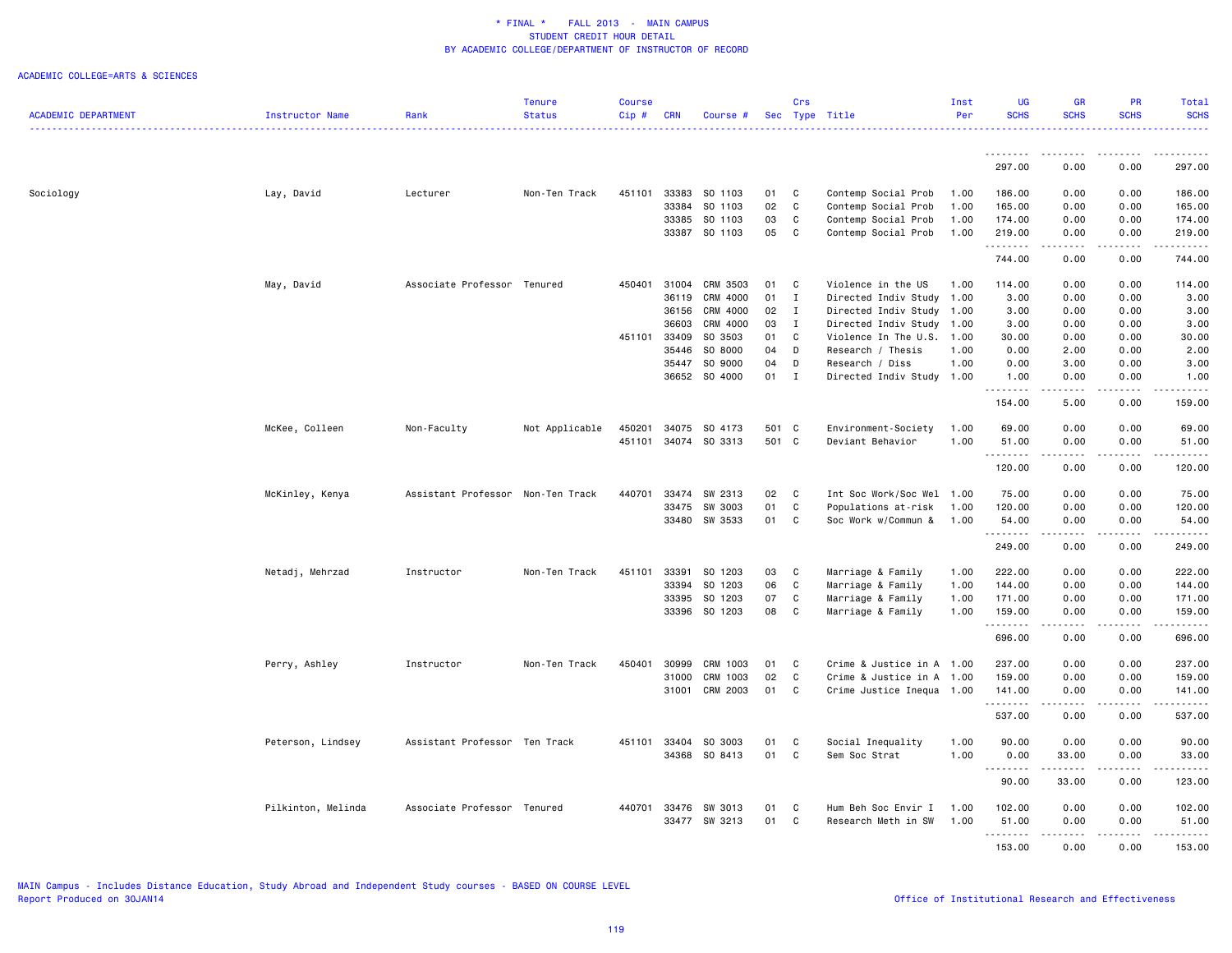|                            |                    |                                   | Tenure         | <b>Course</b> |            |               |       | Crs          |                           | Inst | <b>UG</b>   | GR                                                                                                                                                   | PR              | Total            |
|----------------------------|--------------------|-----------------------------------|----------------|---------------|------------|---------------|-------|--------------|---------------------------|------|-------------|------------------------------------------------------------------------------------------------------------------------------------------------------|-----------------|------------------|
| <b>ACADEMIC DEPARTMENT</b> | Instructor Name    | Rank                              | <b>Status</b>  | $Cip \#$      | <b>CRN</b> | Course #      |       |              | Sec Type Title            | Per  | <b>SCHS</b> | <b>SCHS</b>                                                                                                                                          | <b>SCHS</b>     | <b>SCHS</b><br>. |
|                            |                    |                                   |                |               |            |               |       |              |                           |      | .           | $\frac{1}{2} \left( \frac{1}{2} \right) \left( \frac{1}{2} \right) \left( \frac{1}{2} \right) \left( \frac{1}{2} \right) \left( \frac{1}{2} \right)$ |                 |                  |
|                            |                    |                                   |                |               |            |               |       |              |                           |      | 297.00      | 0.00                                                                                                                                                 | 0.00            | 297.00           |
| Sociology                  | Lay, David         | Lecturer                          | Non-Ten Track  | 451101        | 33383      | SO 1103       | 01    | C            | Contemp Social Prob       | 1.00 | 186.00      | 0.00                                                                                                                                                 | 0.00            | 186.00           |
|                            |                    |                                   |                |               | 33384      | SO 1103       | 02    | C            | Contemp Social Prob       | 1.00 | 165.00      | 0.00                                                                                                                                                 | 0.00            | 165.00           |
|                            |                    |                                   |                |               | 33385      | SO 1103       | 03    | C            | Contemp Social Prob       | 1.00 | 174.00      | 0.00                                                                                                                                                 | 0.00            | 174.00           |
|                            |                    |                                   |                |               |            | 33387 SO 1103 | 05    | C            | Contemp Social Prob       | 1.00 | 219.00      | 0.00                                                                                                                                                 | 0.00            | 219.00           |
|                            |                    |                                   |                |               |            |               |       |              |                           |      | .<br>744.00 | .<br>0.00                                                                                                                                            | .<br>0.00       | .<br>744.00      |
|                            | May, David         | Associate Professor Tenured       |                | 450401        | 31004      | CRM 3503      | 01    | C            | Violence in the US        | 1.00 | 114.00      | 0.00                                                                                                                                                 | 0.00            | 114.00           |
|                            |                    |                                   |                |               | 36119      | CRM 4000      | 01    | $\mathbf{I}$ | Directed Indiv Study      | 1.00 | 3.00        | 0.00                                                                                                                                                 | 0.00            | 3.00             |
|                            |                    |                                   |                |               | 36156      | CRM 4000      | 02    | $\mathbf{I}$ | Directed Indiv Study 1.00 |      | 3.00        | 0.00                                                                                                                                                 | 0.00            | 3.00             |
|                            |                    |                                   |                |               | 36603      | CRM 4000      | 03    | Ι.           | Directed Indiv Study 1.00 |      | 3.00        | 0.00                                                                                                                                                 | 0.00            | 3.00             |
|                            |                    |                                   |                | 451101        | 33409      | SO 3503       | 01    | C            | Violence In The U.S. 1.00 |      | 30.00       | 0.00                                                                                                                                                 | 0.00            | 30.00            |
|                            |                    |                                   |                |               | 35446      | SO 8000       | 04    | D            | Research / Thesis         | 1.00 | 0.00        | 2.00                                                                                                                                                 | 0.00            | 2.00             |
|                            |                    |                                   |                |               | 35447      | SO 9000       | 04    | D            | Research / Diss           | 1.00 | 0.00        | 3.00                                                                                                                                                 | 0.00            | 3.00             |
|                            |                    |                                   |                |               | 36652      | SO 4000       | 01    | $\mathbf I$  | Directed Indiv Study 1.00 |      | 1.00<br>.   | 0.00<br>.                                                                                                                                            | 0.00<br>.       | 1.00<br>.        |
|                            |                    |                                   |                |               |            |               |       |              |                           |      | 154.00      | 5.00                                                                                                                                                 | 0.00            | 159.00           |
|                            | McKee, Colleen     | Non-Faculty                       | Not Applicable | 450201        | 34075      | SO 4173       | 501 C |              | Environment-Society       | 1.00 | 69.00       | 0.00                                                                                                                                                 | 0.00            | 69.00            |
|                            |                    |                                   |                | 451101        |            | 34074 SO 3313 | 501 C |              | Deviant Behavior          | 1.00 | 51.00       | 0.00                                                                                                                                                 | 0.00            | 51.00            |
|                            |                    |                                   |                |               |            |               |       |              |                           |      |             |                                                                                                                                                      |                 |                  |
|                            |                    |                                   |                |               |            |               |       |              |                           |      | 120.00      | 0.00                                                                                                                                                 | 0.00            | 120.00           |
|                            | McKinley, Kenya    | Assistant Professor Non-Ten Track |                | 440701        | 33474      | SW 2313       | 02    | C            | Int Soc Work/Soc Wel 1.00 |      | 75.00       | 0.00                                                                                                                                                 | 0.00            | 75.00            |
|                            |                    |                                   |                |               | 33475      | SW 3003       | 01    | $\mathtt{C}$ | Populations at-risk       | 1.00 | 120.00      | 0.00                                                                                                                                                 | 0.00            | 120.00           |
|                            |                    |                                   |                |               | 33480      | SW 3533       | 01    | C            | Soc Work w/Commun &       | 1.00 | 54.00       | 0.00                                                                                                                                                 | 0.00            | 54.00            |
|                            |                    |                                   |                |               |            |               |       |              |                           |      | .<br>249.00 | 0.00                                                                                                                                                 | 0.00            | 249.00           |
|                            | Netadj, Mehrzad    | Instructor                        | Non-Ten Track  | 451101        | 33391      | SO 1203       | 03    | C            | Marriage & Family         | 1.00 | 222.00      | 0.00                                                                                                                                                 | 0.00            | 222.00           |
|                            |                    |                                   |                |               | 33394      | SO 1203       | 06    | $\mathtt{C}$ | Marriage & Family         | 1.00 | 144.00      | 0.00                                                                                                                                                 | 0.00            | 144.00           |
|                            |                    |                                   |                |               | 33395      | SO 1203       | 07    | C            | Marriage & Family         | 1.00 | 171.00      | 0.00                                                                                                                                                 | 0.00            | 171.00           |
|                            |                    |                                   |                |               |            | 33396 SO 1203 | 08    | C            | Marriage & Family         | 1.00 | 159.00      | 0.00                                                                                                                                                 | 0.00            | 159.00           |
|                            |                    |                                   |                |               |            |               |       |              |                           |      | .<br>696.00 | 0.00                                                                                                                                                 | د د د د<br>0.00 | .<br>696.00      |
|                            |                    |                                   | Non-Ten Track  | 450401        | 30999      | CRM 1003      | 01    | C            | Crime & Justice in A 1.00 |      | 237.00      | 0.00                                                                                                                                                 | 0.00            | 237.00           |
|                            | Perry, Ashley      | Instructor                        |                |               | 31000      | CRM 1003      | 02    | C            | Crime & Justice in A 1.00 |      | 159.00      | 0.00                                                                                                                                                 | 0.00            | 159.00           |
|                            |                    |                                   |                |               | 31001      | CRM 2003      | 01    | C            | Crime Justice Inequa 1.00 |      | 141.00      | 0.00                                                                                                                                                 | 0.00            | 141.00           |
|                            |                    |                                   |                |               |            |               |       |              |                           |      | .           | .                                                                                                                                                    | .               | .                |
|                            |                    |                                   |                |               |            |               |       |              |                           |      | 537.00      | 0.00                                                                                                                                                 | 0.00            | 537.00           |
|                            | Peterson, Lindsey  | Assistant Professor Ten Track     |                | 451101        | 33404      | SO 3003       | 01    | C            | Social Inequality         | 1.00 | 90.00       | 0.00                                                                                                                                                 | 0.00            | 90.00            |
|                            |                    |                                   |                |               | 34368      | SO 8413       | 01    | C            | Sem Soc Strat             | 1.00 | 0.00        | 33.00                                                                                                                                                | 0.00            | 33.00            |
|                            |                    |                                   |                |               |            |               |       |              |                           |      | .<br>90.00  | .<br>33.00                                                                                                                                           | .<br>0.00       | .<br>123.00      |
|                            | Pilkinton, Melinda | Associate Professor Tenured       |                | 440701        |            | 33476 SW 3013 | 01    | C            | Hum Beh Soc Envir I       | 1.00 | 102.00      | 0.00                                                                                                                                                 | 0.00            | 102.00           |
|                            |                    |                                   |                |               |            | 33477 SW 3213 | 01    | $\mathtt{C}$ | Research Meth in SW       | 1.00 | 51.00       | 0.00                                                                                                                                                 | 0.00            | 51.00            |
|                            |                    |                                   |                |               |            |               |       |              |                           |      | .           | $\frac{1}{2} \left( \frac{1}{2} \right) \left( \frac{1}{2} \right) \left( \frac{1}{2} \right) \left( \frac{1}{2} \right) \left( \frac{1}{2} \right)$ | .               | .                |
|                            |                    |                                   |                |               |            |               |       |              |                           |      | 153.00      | 0.00                                                                                                                                                 | 0.00            | 153.00           |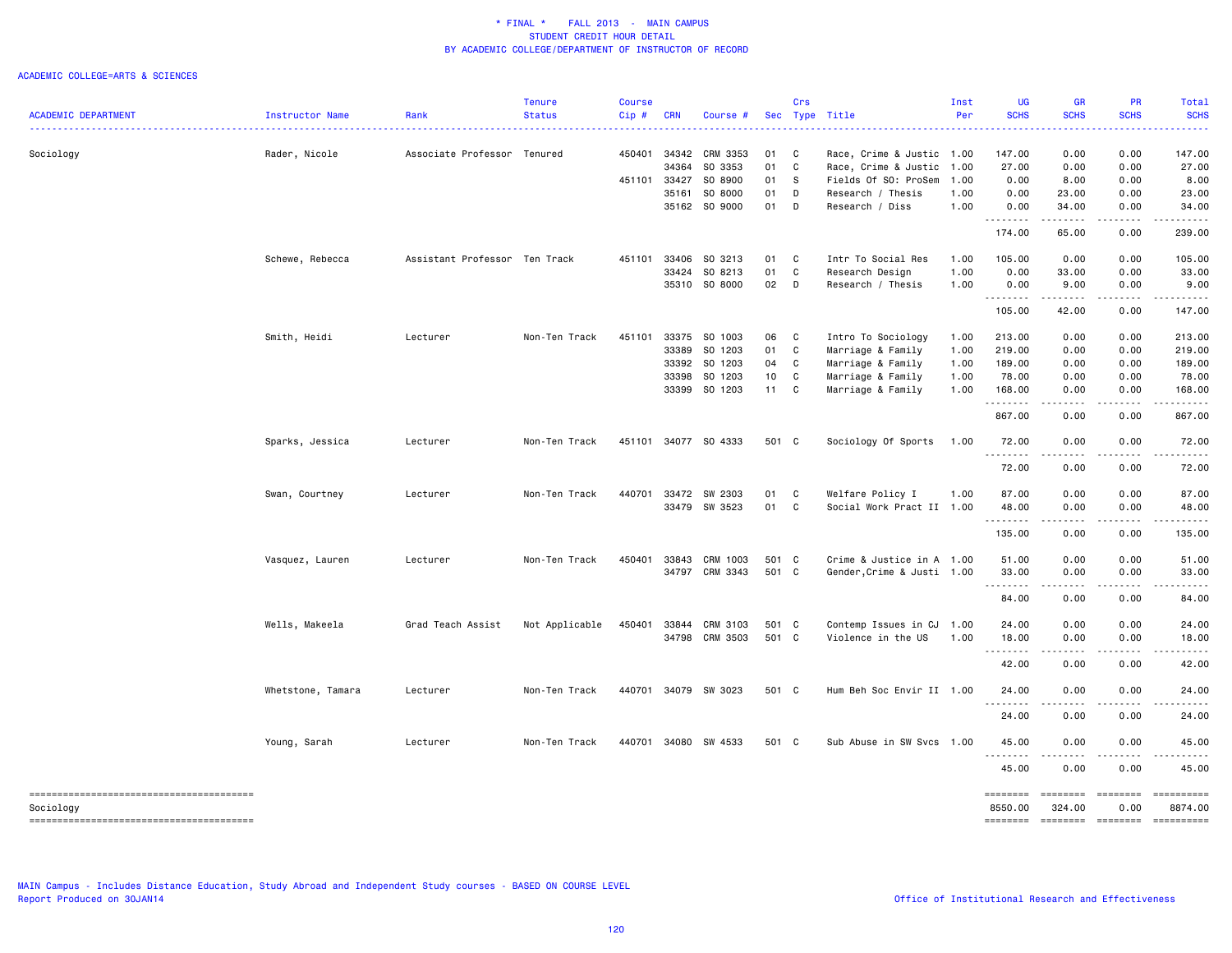### ACADEMIC COLLEGE=ARTS & SCIENCES

| <b>ACADEMIC DEPARTMENT</b> | Instructor Name   | Rank<br>.                     | <b>Tenure</b><br><b>Status</b> | <b>Course</b><br>$Cip$ # | <b>CRN</b> | Course #             |       | Crs | Sec Type Title<br><u>.</u> | Inst<br>Per | <b>UG</b><br><b>SCHS</b>        | <b>GR</b><br><b>SCHS</b>                                                                                                          | PR<br><b>SCHS</b>                                                                        | Total<br><b>SCHS</b>                                                                                                               |
|----------------------------|-------------------|-------------------------------|--------------------------------|--------------------------|------------|----------------------|-------|-----|----------------------------|-------------|---------------------------------|-----------------------------------------------------------------------------------------------------------------------------------|------------------------------------------------------------------------------------------|------------------------------------------------------------------------------------------------------------------------------------|
| Sociology                  | Rader, Nicole     | Associate Professor Tenured   |                                | 450401                   | 34342      | CRM 3353             | 01    | C   | Race, Crime & Justic 1.00  |             | 147.00                          | 0.00                                                                                                                              | 0.00                                                                                     | 147.00                                                                                                                             |
|                            |                   |                               |                                |                          | 34364      | SO 3353              | 01    | C   | Race, Crime & Justic       | 1.00        | 27.00                           | 0.00                                                                                                                              | 0.00                                                                                     | 27.00                                                                                                                              |
|                            |                   |                               |                                | 451101                   | 33427      | SO 8900              | 01    | s   | Fields Of SO: ProSem       | 1.00        | 0.00                            | 8.00                                                                                                                              | 0.00                                                                                     | 8.00                                                                                                                               |
|                            |                   |                               |                                |                          | 35161      | SO 8000              | 01    | D   | Research / Thesis          | 1.00        | 0.00                            | 23.00                                                                                                                             | 0.00                                                                                     | 23.00                                                                                                                              |
|                            |                   |                               |                                |                          |            | 35162 SO 9000        | 01    | D   | Research / Diss            | 1.00        | 0.00<br>.                       | 34.00<br>.                                                                                                                        | 0.00<br>.                                                                                | 34.00<br>$\begin{array}{cccccccccccccc} \bullet & \bullet & \bullet & \bullet & \bullet & \bullet & \bullet & \bullet \end{array}$ |
|                            |                   |                               |                                |                          |            |                      |       |     |                            |             | 174.00                          | 65.00                                                                                                                             | 0.00                                                                                     | 239.00                                                                                                                             |
|                            | Schewe, Rebecca   | Assistant Professor Ten Track |                                | 451101                   | 33406      | SO 3213              | 01    | C   | Intr To Social Res         | 1.00        | 105.00                          | 0.00                                                                                                                              | 0.00                                                                                     | 105.00                                                                                                                             |
|                            |                   |                               |                                |                          | 33424      | SO 8213              | 01    | C   | Research Design            | 1.00        | 0.00                            | 33.00                                                                                                                             | 0.00                                                                                     | 33.00                                                                                                                              |
|                            |                   |                               |                                |                          |            | 35310 SO 8000        | 02    | D   | Research / Thesis          | 1.00        | 0.00<br>.                       | 9.00<br>.                                                                                                                         | 0.00<br><u>.</u>                                                                         | 9.00<br>.                                                                                                                          |
|                            |                   |                               |                                |                          |            |                      |       |     |                            |             | 105.00                          | 42.00                                                                                                                             | 0.00                                                                                     | 147.00                                                                                                                             |
|                            | Smith, Heidi      | Lecturer                      | Non-Ten Track                  | 451101                   | 33375      | SO 1003              | 06    | C   | Intro To Sociology         | 1.00        | 213.00                          | 0.00                                                                                                                              | 0.00                                                                                     | 213.00                                                                                                                             |
|                            |                   |                               |                                |                          | 33389      | SO 1203              | 01    | C   | Marriage & Family          | 1.00        | 219.00                          | 0.00                                                                                                                              | 0.00                                                                                     | 219.00                                                                                                                             |
|                            |                   |                               |                                |                          |            | 33392 SO 1203        | 04    | C   | Marriage & Family          | 1.00        | 189.00                          | 0.00                                                                                                                              | 0.00                                                                                     | 189.00                                                                                                                             |
|                            |                   |                               |                                |                          | 33398      | SO 1203              | 10    | C   | Marriage & Family          | 1.00        | 78.00                           | 0.00                                                                                                                              | 0.00                                                                                     | 78.00                                                                                                                              |
|                            |                   |                               |                                |                          |            | 33399 SO 1203        | 11    | C   | Marriage & Family          | 1.00        | 168.00<br>.                     | 0.00<br>$\sim$ $\sim$ $\sim$ $\sim$                                                                                               | 0.00<br>.                                                                                | 168.00                                                                                                                             |
|                            |                   |                               |                                |                          |            |                      |       |     |                            |             | 867.00                          | 0.00                                                                                                                              | 0.00                                                                                     | 867.00                                                                                                                             |
|                            | Sparks, Jessica   | Lecturer                      | Non-Ten Track                  |                          |            | 451101 34077 SO 4333 | 501 C |     | Sociology Of Sports        | 1.00        | 72.00<br>.                      | 0.00<br>$\frac{1}{2} \left( \frac{1}{2} \right) \left( \frac{1}{2} \right) \left( \frac{1}{2} \right) \left( \frac{1}{2} \right)$ | 0.00<br>.                                                                                | 72.00                                                                                                                              |
|                            |                   |                               |                                |                          |            |                      |       |     |                            |             | 72.00                           | 0.00                                                                                                                              | 0.00                                                                                     | 72.00                                                                                                                              |
|                            | Swan, Courtney    | Lecturer                      | Non-Ten Track                  | 440701                   |            | 33472 SW 2303        | 01    | C   | Welfare Policy I           | 1.00        | 87.00                           | 0.00                                                                                                                              | 0.00                                                                                     | 87.00                                                                                                                              |
|                            |                   |                               |                                |                          |            | 33479 SW 3523        | 01 C  |     | Social Work Pract II 1.00  |             | 48.00                           | 0.00                                                                                                                              | 0.00                                                                                     | 48.00                                                                                                                              |
|                            |                   |                               |                                |                          |            |                      |       |     |                            |             | .                               | $\frac{1}{2}$                                                                                                                     |                                                                                          |                                                                                                                                    |
|                            |                   |                               |                                |                          |            |                      |       |     |                            |             | 135.00                          | 0.00                                                                                                                              | 0.00                                                                                     | 135.00                                                                                                                             |
|                            | Vasquez, Lauren   | Lecturer                      | Non-Ten Track                  | 450401                   |            | 33843 CRM 1003       | 501 C |     | Crime & Justice in A 1.00  |             | 51.00                           | 0.00                                                                                                                              | 0.00                                                                                     | 51.00                                                                                                                              |
|                            |                   |                               |                                |                          |            | 34797 CRM 3343       | 501 C |     | Gender, Crime & Justi 1.00 |             | 33.00                           | 0.00                                                                                                                              | 0.00                                                                                     | 33.00                                                                                                                              |
|                            |                   |                               |                                |                          |            |                      |       |     |                            |             | .<br>84.00                      | .<br>0.00                                                                                                                         | .<br>0.00                                                                                | .<br>84.00                                                                                                                         |
|                            |                   |                               |                                |                          |            |                      |       |     |                            |             |                                 |                                                                                                                                   |                                                                                          |                                                                                                                                    |
|                            | Wells, Makeela    | Grad Teach Assist             | Not Applicable                 | 450401                   | 33844      | CRM 3103             | 501 C |     | Contemp Issues in CJ       | 1.00        | 24.00                           | 0.00                                                                                                                              | 0.00                                                                                     | 24.00                                                                                                                              |
|                            |                   |                               |                                |                          |            | 34798 CRM 3503       | 501 C |     | Violence in the US         | 1.00        | 18.00<br>.                      | 0.00<br>----                                                                                                                      | 0.00                                                                                     | 18.00                                                                                                                              |
|                            |                   |                               |                                |                          |            |                      |       |     |                            |             | 42.00                           | 0.00                                                                                                                              | 0.00                                                                                     | 42.00                                                                                                                              |
|                            | Whetstone, Tamara | Lecturer                      | Non-Ten Track                  | 440701                   |            | 34079 SW 3023        | 501 C |     | Hum Beh Soc Envir II 1.00  |             | 24.00<br>د د د د                | 0.00<br>.                                                                                                                         | 0.00                                                                                     | 24.00                                                                                                                              |
|                            |                   |                               |                                |                          |            |                      |       |     |                            |             | 24.00                           | 0.00                                                                                                                              | 0.00                                                                                     | 24.00                                                                                                                              |
|                            | Young, Sarah      | Lecturer                      | Non-Ten Track                  | 440701                   |            | 34080 SW 4533        | 501 C |     | Sub Abuse in SW Svcs       | 1.00        | 45.00<br>.                      | 0.00                                                                                                                              | 0.00                                                                                     | 45.00                                                                                                                              |
|                            |                   |                               |                                |                          |            |                      |       |     |                            |             | 45.00                           | 0.00                                                                                                                              | 0.00                                                                                     | 45.00                                                                                                                              |
| Sociology                  |                   |                               |                                |                          |            |                      |       |     |                            |             | ========<br>8550.00<br>======== | ========<br>324.00                                                                                                                | $\begin{array}{c} \texttt{m} = \texttt{m} = \texttt{m} = \texttt{m} \end{array}$<br>0.00 | ==========<br>8874.00                                                                                                              |
|                            |                   |                               |                                |                          |            |                      |       |     |                            |             |                                 | <b>ESSESSE</b>                                                                                                                    | $=$ ========                                                                             |                                                                                                                                    |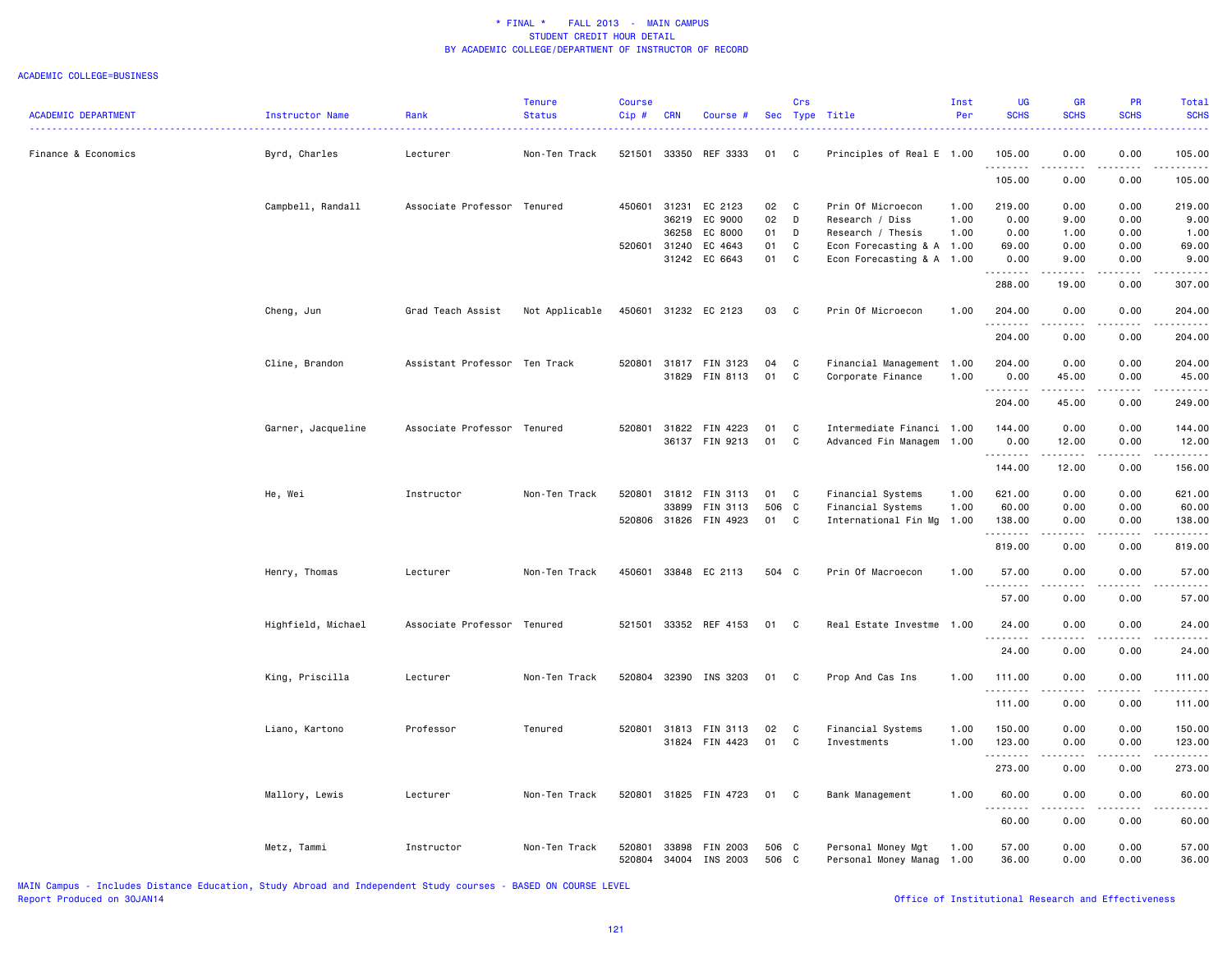#### ACADEMIC COLLEGE=BUSINESS

|                            |                    |                               | <b>Tenure</b>  | Course |              |                       |       | Crs          |                           | Inst | UG                   | <b>GR</b>                                                                                                                         | <b>PR</b>       | <b>Total</b>                                                                                                                                                                    |
|----------------------------|--------------------|-------------------------------|----------------|--------|--------------|-----------------------|-------|--------------|---------------------------|------|----------------------|-----------------------------------------------------------------------------------------------------------------------------------|-----------------|---------------------------------------------------------------------------------------------------------------------------------------------------------------------------------|
| <b>ACADEMIC DEPARTMENT</b> | Instructor Name    | Rank                          | <b>Status</b>  | Cip#   | <b>CRN</b>   | Course #              |       |              | Sec Type Title            | Per  | <b>SCHS</b>          | <b>SCHS</b>                                                                                                                       | <b>SCHS</b>     | <b>SCHS</b>                                                                                                                                                                     |
| Finance & Economics        | Byrd, Charles      | Lecturer                      | Non-Ten Track  |        |              | 521501 33350 REF 3333 | 01    | C            | Principles of Real E 1.00 |      | 105.00               | 0.00                                                                                                                              | 0.00            | 105.00                                                                                                                                                                          |
|                            |                    |                               |                |        |              |                       |       |              |                           |      | .<br>105.00          | .<br>0.00                                                                                                                         | د د د د<br>0.00 | $\frac{1}{2} \left( \frac{1}{2} \right) \left( \frac{1}{2} \right) \left( \frac{1}{2} \right) \left( \frac{1}{2} \right) \left( \frac{1}{2} \right)$<br>105.00                  |
|                            | Campbell, Randall  | Associate Professor           | Tenured        | 450601 | 31231        | EC 2123               | 02    | $\mathbf{C}$ | Prin Of Microecon         | 1.00 | 219.00               | 0.00                                                                                                                              | 0.00            | 219.00                                                                                                                                                                          |
|                            |                    |                               |                |        | 36219        | EC 9000               | 02    | D            | Research / Diss           | 1.00 | 0.00                 | 9.00                                                                                                                              | 0.00            | 9.00                                                                                                                                                                            |
|                            |                    |                               |                |        | 36258        | EC 8000               | 01    | D            | Research / Thesis         | 1.00 | 0.00                 | 1.00                                                                                                                              | 0.00            | 1.00                                                                                                                                                                            |
|                            |                    |                               |                |        | 520601 31240 | EC 4643               | 01    | C            | Econ Forecasting & A 1.00 |      | 69.00                | 0.00                                                                                                                              | 0.00            | 69.00                                                                                                                                                                           |
|                            |                    |                               |                |        |              | 31242 EC 6643         | 01    | C            | Econ Forecasting & A 1.00 |      | 0.00<br>.            | 9.00<br>.                                                                                                                         | 0.00<br>$   -$  | 9.00                                                                                                                                                                            |
|                            |                    |                               |                |        |              |                       |       |              |                           |      | 288.00               | 19.00                                                                                                                             | 0.00            | 307.00                                                                                                                                                                          |
|                            | Cheng, Jun         | Grad Teach Assist             | Not Applicable |        |              | 450601 31232 EC 2123  | 03    | $\mathbf{C}$ | Prin Of Microecon         | 1.00 | 204.00<br>. <b>.</b> | 0.00                                                                                                                              | 0.00            | 204.00                                                                                                                                                                          |
|                            |                    |                               |                |        |              |                       |       |              |                           |      | 204.00               | 0.00                                                                                                                              | 0.00            | 204.00                                                                                                                                                                          |
|                            | Cline, Brandon     | Assistant Professor Ten Track |                |        |              | 520801 31817 FIN 3123 | 04    | $\mathbf{C}$ | Financial Management 1.00 |      | 204.00               | 0.00                                                                                                                              | 0.00            | 204.00                                                                                                                                                                          |
|                            |                    |                               |                |        |              | 31829 FIN 8113        | 01    | $\mathbf{C}$ | Corporate Finance         | 1.00 | 0.00                 | 45.00                                                                                                                             | 0.00            | 45.00                                                                                                                                                                           |
|                            |                    |                               |                |        |              |                       |       |              |                           |      | .                    | $\begin{array}{cccccccccc} \bullet & \bullet & \bullet & \bullet & \bullet & \bullet & \bullet & \bullet \end{array}$             | .               | .                                                                                                                                                                               |
|                            |                    |                               |                |        |              |                       |       |              |                           |      | 204.00               | 45.00                                                                                                                             | 0.00            | 249.00                                                                                                                                                                          |
|                            | Garner, Jacqueline | Associate Professor Tenured   |                |        |              | 520801 31822 FIN 4223 | 01    | C            | Intermediate Financi 1.00 |      | 144.00               | 0.00                                                                                                                              | 0.00            | 144.00                                                                                                                                                                          |
|                            |                    |                               |                |        |              | 36137 FIN 9213        | 01    | C            | Advanced Fin Managem 1.00 |      | 0.00                 | 12.00                                                                                                                             | 0.00            | 12.00                                                                                                                                                                           |
|                            |                    |                               |                |        |              |                       |       |              |                           |      | .<br>144.00          | .<br>12.00                                                                                                                        | .<br>0.00       | .<br>156.00                                                                                                                                                                     |
|                            | He, Wei            | Instructor                    | Non-Ten Track  | 520801 | 31812        | FIN 3113              | 01    | <b>C</b>     | Financial Systems         | 1.00 | 621.00               | 0.00                                                                                                                              | 0.00            | 621.00                                                                                                                                                                          |
|                            |                    |                               |                |        | 33899        | FIN 3113              | 506 C |              | Financial Systems         | 1.00 | 60.00                | 0.00                                                                                                                              | 0.00            | 60.00                                                                                                                                                                           |
|                            |                    |                               |                |        |              | 520806 31826 FIN 4923 | 01 C  |              | International Fin Mg 1.00 |      | 138.00               | 0.00                                                                                                                              | 0.00            | 138.00                                                                                                                                                                          |
|                            |                    |                               |                |        |              |                       |       |              |                           |      | .                    | .                                                                                                                                 | .               | <u>.</u>                                                                                                                                                                        |
|                            |                    |                               |                |        |              |                       |       |              |                           |      | 819.00               | 0.00                                                                                                                              | 0.00            | 819.00                                                                                                                                                                          |
|                            | Henry, Thomas      | Lecturer                      | Non-Ten Track  |        |              | 450601 33848 EC 2113  | 504 C |              | Prin Of Macroecon         | 1.00 | 57.00<br>.           | 0.00<br><u>.</u>                                                                                                                  | 0.00<br>.       | 57.00<br>.                                                                                                                                                                      |
|                            |                    |                               |                |        |              |                       |       |              |                           |      | 57.00                | 0.00                                                                                                                              | 0.00            | 57.00                                                                                                                                                                           |
|                            | Highfield, Michael | Associate Professor Tenured   |                |        |              | 521501 33352 REF 4153 | 01 C  |              | Real Estate Investme 1.00 |      | 24.00                | 0.00                                                                                                                              | 0.00            | 24.00                                                                                                                                                                           |
|                            |                    |                               |                |        |              |                       |       |              |                           |      | <u>.</u>             | $- - - -$                                                                                                                         |                 |                                                                                                                                                                                 |
|                            |                    |                               |                |        |              |                       |       |              |                           |      | 24.00                | 0.00                                                                                                                              | 0.00            | 24.00                                                                                                                                                                           |
|                            | King, Priscilla    | Lecturer                      | Non-Ten Track  |        |              | 520804 32390 INS 3203 | 01 C  |              | Prop And Cas Ins          | 1.00 | 111.00               | 0.00                                                                                                                              | 0.00            | 111.00                                                                                                                                                                          |
|                            |                    |                               |                |        |              |                       |       |              |                           |      | .                    | المتمالين                                                                                                                         | .               | $\frac{1}{2} \left( \frac{1}{2} \right) \left( \frac{1}{2} \right) \left( \frac{1}{2} \right) \left( \frac{1}{2} \right) \left( \frac{1}{2} \right) \left( \frac{1}{2} \right)$ |
|                            |                    |                               |                |        |              |                       |       |              |                           |      | 111.00               | 0.00                                                                                                                              | 0.00            | 111.00                                                                                                                                                                          |
|                            | Liano, Kartono     | Professor                     | Tenured        |        |              | 520801 31813 FIN 3113 | 02    | C            | Financial Systems         | 1.00 | 150.00               | 0.00                                                                                                                              | 0.00            | 150.00                                                                                                                                                                          |
|                            |                    |                               |                |        |              | 31824 FIN 4423        | 01    | C            | Investments               | 1.00 | 123.00               | 0.00                                                                                                                              | 0.00            | 123.00                                                                                                                                                                          |
|                            |                    |                               |                |        |              |                       |       |              |                           |      | .                    | الدامات                                                                                                                           | .               | 2.2.2.2.2                                                                                                                                                                       |
|                            |                    |                               |                |        |              |                       |       |              |                           |      | 273.00               | 0.00                                                                                                                              | 0.00            | 273.00                                                                                                                                                                          |
|                            |                    |                               |                |        |              |                       |       |              |                           |      |                      |                                                                                                                                   |                 |                                                                                                                                                                                 |
|                            | Mallory, Lewis     | Lecturer                      | Non-Ten Track  |        |              | 520801 31825 FIN 4723 | 01    | $\mathbf{C}$ | Bank Management           | 1.00 | 60.00<br>.           | 0.00<br>$\frac{1}{2} \left( \frac{1}{2} \right) \left( \frac{1}{2} \right) \left( \frac{1}{2} \right) \left( \frac{1}{2} \right)$ | 0.00<br>.       | 60.00<br>.                                                                                                                                                                      |
|                            |                    |                               |                |        |              |                       |       |              |                           |      | 60.00                | 0.00                                                                                                                              | 0.00            | 60.00                                                                                                                                                                           |
|                            |                    |                               |                |        |              |                       |       |              |                           |      |                      |                                                                                                                                   |                 |                                                                                                                                                                                 |
|                            | Metz, Tammi        | Instructor                    | Non-Ten Track  | 520801 | 33898        | FIN 2003              | 506 C |              | Personal Money Mgt        | 1.00 | 57.00                | 0.00                                                                                                                              | 0.00            | 57.00                                                                                                                                                                           |
|                            |                    |                               |                | 520804 |              | 34004 INS 2003        | 506 C |              | Personal Money Manag      | 1.00 | 36.00                | 0.00                                                                                                                              | 0.00            | 36.00                                                                                                                                                                           |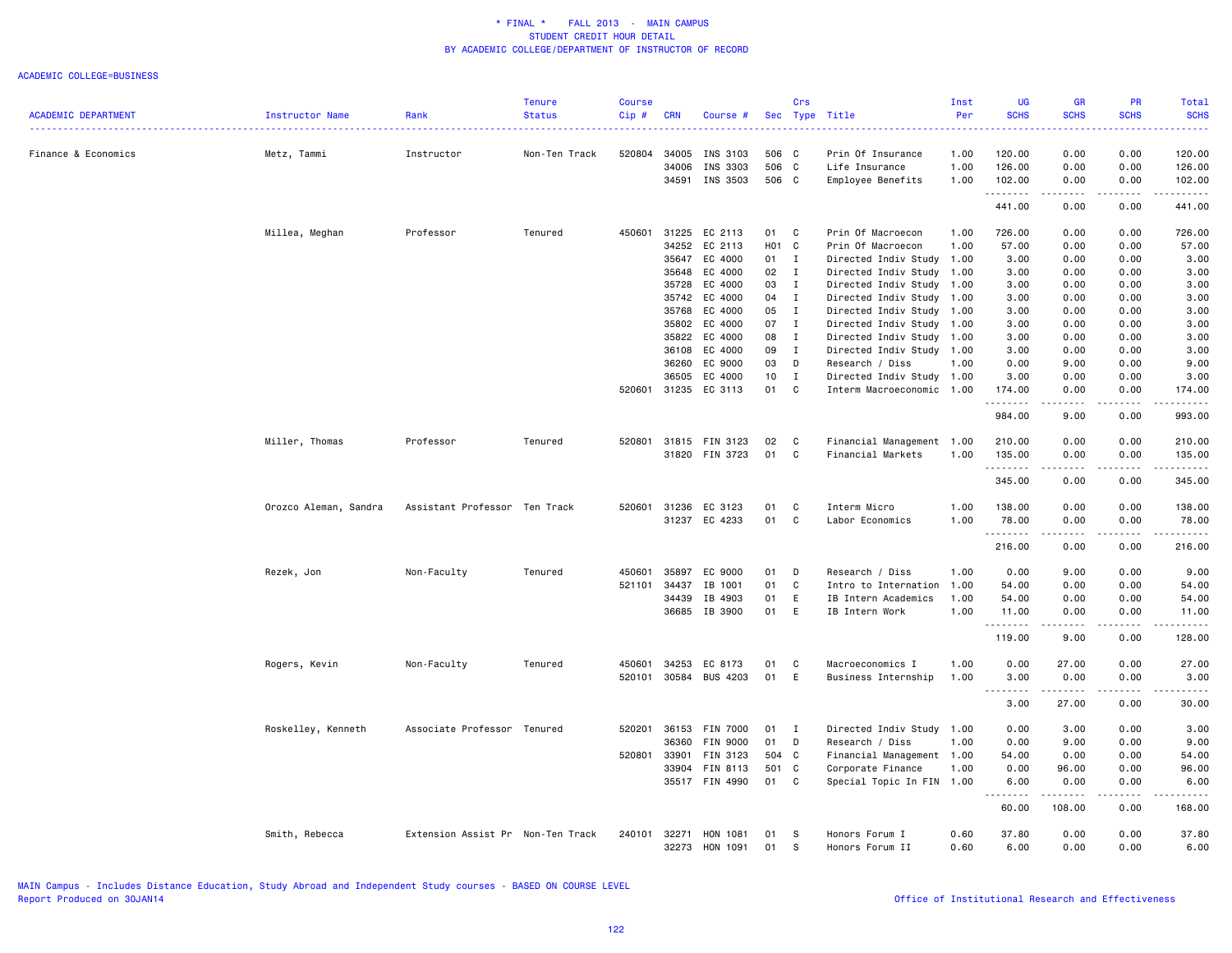|                            |                       |                                   | <b>Tenure</b> | <b>Course</b> |                |                      |          | Crs          |                                   | Inst         | UG                                                                                                                                                           | <b>GR</b>                                                                                                                                                                                                                                                                                                                                                                                            | <b>PR</b>        | Total            |
|----------------------------|-----------------------|-----------------------------------|---------------|---------------|----------------|----------------------|----------|--------------|-----------------------------------|--------------|--------------------------------------------------------------------------------------------------------------------------------------------------------------|------------------------------------------------------------------------------------------------------------------------------------------------------------------------------------------------------------------------------------------------------------------------------------------------------------------------------------------------------------------------------------------------------|------------------|------------------|
| <b>ACADEMIC DEPARTMENT</b> | Instructor Name       | Rank                              | <b>Status</b> | Cip#          | <b>CRN</b>     | Course #             |          |              | Sec Type Title                    | Per          | <b>SCHS</b>                                                                                                                                                  | <b>SCHS</b>                                                                                                                                                                                                                                                                                                                                                                                          | <b>SCHS</b>      | <b>SCHS</b><br>. |
| Finance & Economics        | Metz, Tammi           | Instructor                        | Non-Ten Track | 520804        | 34005          | INS 3103             | 506 C    |              | Prin Of Insurance                 | 1.00         | 120.00                                                                                                                                                       | 0.00                                                                                                                                                                                                                                                                                                                                                                                                 | 0.00             | 120.00           |
|                            |                       |                                   |               |               | 34006          | INS 3303             | 506 C    |              | Life Insurance                    | 1.00         | 126.00                                                                                                                                                       | 0.00                                                                                                                                                                                                                                                                                                                                                                                                 | 0.00             | 126.00           |
|                            |                       |                                   |               |               | 34591          | INS 3503             | 506 C    |              | Employee Benefits                 | 1.00         | 102.00                                                                                                                                                       | 0.00                                                                                                                                                                                                                                                                                                                                                                                                 | 0.00             | 102.00           |
|                            |                       |                                   |               |               |                |                      |          |              |                                   |              | .<br>441.00                                                                                                                                                  | .<br>0.00                                                                                                                                                                                                                                                                                                                                                                                            | .<br>0.00        | .<br>441.00      |
|                            | Millea, Meghan        | Professor                         | Tenured       | 450601        | 31225          | EC 2113              | 01       | $\mathbf{C}$ | Prin Of Macroecon                 | 1.00         | 726.00                                                                                                                                                       | 0.00                                                                                                                                                                                                                                                                                                                                                                                                 | 0.00             | 726.00           |
|                            |                       |                                   |               |               | 34252          | EC 2113              | HO1 C    |              | Prin Of Macroecon                 | 1.00         | 57.00                                                                                                                                                        | 0.00                                                                                                                                                                                                                                                                                                                                                                                                 | 0.00             | 57.00            |
|                            |                       |                                   |               |               | 35647          | EC 4000              | 01       | $\mathbf{I}$ | Directed Indiv Study              | 1.00         | 3.00                                                                                                                                                         | 0.00                                                                                                                                                                                                                                                                                                                                                                                                 | 0.00             | 3.00             |
|                            |                       |                                   |               |               | 35648          | EC 4000              | 02       | I            | Directed Indiv Study              | 1.00         | 3.00                                                                                                                                                         | 0.00                                                                                                                                                                                                                                                                                                                                                                                                 | 0.00             | 3.00             |
|                            |                       |                                   |               |               | 35728          | EC 4000              | 03       | $\mathbf{I}$ | Directed Indiv Study              | 1.00         | 3.00                                                                                                                                                         | 0.00                                                                                                                                                                                                                                                                                                                                                                                                 | 0.00             | 3.00             |
|                            |                       |                                   |               |               | 35742          | EC 4000              | 04       | $\mathbf{I}$ | Directed Indiv Study              | 1.00         | 3.00                                                                                                                                                         | 0.00                                                                                                                                                                                                                                                                                                                                                                                                 | 0.00             | 3.00             |
|                            |                       |                                   |               |               | 35768          | EC 4000              | 05       | $\mathbf{I}$ | Directed Indiv Study              | 1.00         | 3.00                                                                                                                                                         | 0.00                                                                                                                                                                                                                                                                                                                                                                                                 | 0.00             | 3.00             |
|                            |                       |                                   |               |               | 35802          | EC 4000              | 07       | $\mathbf{I}$ | Directed Indiv Study              | 1.00         | 3.00                                                                                                                                                         | 0.00                                                                                                                                                                                                                                                                                                                                                                                                 | 0.00             | 3.00             |
|                            |                       |                                   |               |               | 35822          | EC 4000              | 08       | $\mathbf{I}$ | Directed Indiv Study              | 1.00         | 3.00                                                                                                                                                         | 0.00                                                                                                                                                                                                                                                                                                                                                                                                 | 0.00             | 3.00             |
|                            |                       |                                   |               |               | 36108          | EC 4000              | 09       | $\mathbf{I}$ | Directed Indiv Study 1.00         |              | 3.00                                                                                                                                                         | 0.00                                                                                                                                                                                                                                                                                                                                                                                                 | 0.00             | 3.00             |
|                            |                       |                                   |               |               | 36260          | EC 9000              | 03       | D            | Research / Diss                   | 1.00         | 0.00                                                                                                                                                         | 9.00                                                                                                                                                                                                                                                                                                                                                                                                 | 0.00             | 9.00             |
|                            |                       |                                   |               |               | 36505          | EC 4000              | 10       | $\mathbf{I}$ | Directed Indiv Study 1.00         |              | 3.00                                                                                                                                                         | 0.00                                                                                                                                                                                                                                                                                                                                                                                                 | 0.00             | 3.00             |
|                            |                       |                                   |               | 520601        |                | 31235 EC 3113        | 01       | C            | Interm Macroeconomic 1.00         |              | 174.00<br>.                                                                                                                                                  | 0.00                                                                                                                                                                                                                                                                                                                                                                                                 | 0.00<br>.        | 174.00<br>.      |
|                            |                       |                                   |               |               |                |                      |          |              |                                   |              | 984.00                                                                                                                                                       | 9.00                                                                                                                                                                                                                                                                                                                                                                                                 | 0.00             | 993.00           |
|                            | Miller, Thomas        | Professor                         | Tenured       | 520801        | 31815          | FIN 3123             | 02       | C            | Financial Management 1.00         |              | 210.00                                                                                                                                                       | 0.00                                                                                                                                                                                                                                                                                                                                                                                                 | 0.00             | 210.00           |
|                            |                       |                                   |               |               |                | 31820 FIN 3723       | 01       | C            | Financial Markets                 | 1.00         | 135.00<br>.                                                                                                                                                  | 0.00                                                                                                                                                                                                                                                                                                                                                                                                 | 0.00             | 135.00<br>.      |
|                            |                       |                                   |               |               |                |                      |          |              |                                   |              | 345.00                                                                                                                                                       | 0.00                                                                                                                                                                                                                                                                                                                                                                                                 | 0.00             | 345.00           |
|                            | Orozco Aleman, Sandra | Assistant Professor Ten Track     |               | 520601        | 31236          | EC 3123              | 01       | C            | Interm Micro                      | 1.00         | 138.00                                                                                                                                                       | 0.00                                                                                                                                                                                                                                                                                                                                                                                                 | 0.00             | 138.00           |
|                            |                       |                                   |               |               | 31237          | EC 4233              | 01       | C            | Labor Economics                   | 1.00         | 78.00                                                                                                                                                        | 0.00                                                                                                                                                                                                                                                                                                                                                                                                 | 0.00             | 78.00            |
|                            |                       |                                   |               |               |                |                      |          |              |                                   |              | .<br>216.00                                                                                                                                                  | $\frac{1}{2} \frac{1}{2} \frac{1}{2} \frac{1}{2} \frac{1}{2} \frac{1}{2} \frac{1}{2} \frac{1}{2} \frac{1}{2} \frac{1}{2} \frac{1}{2} \frac{1}{2} \frac{1}{2} \frac{1}{2} \frac{1}{2} \frac{1}{2} \frac{1}{2} \frac{1}{2} \frac{1}{2} \frac{1}{2} \frac{1}{2} \frac{1}{2} \frac{1}{2} \frac{1}{2} \frac{1}{2} \frac{1}{2} \frac{1}{2} \frac{1}{2} \frac{1}{2} \frac{1}{2} \frac{1}{2} \frac{$<br>0.00 | المتماما<br>0.00 | .<br>216.00      |
|                            | Rezek, Jon            | Non-Faculty                       | Tenured       | 450601        | 35897          | EC 9000              | 01       | D            | Research / Diss                   | 1.00         | 0.00                                                                                                                                                         | 9.00                                                                                                                                                                                                                                                                                                                                                                                                 | 0.00             | 9.00             |
|                            |                       |                                   |               | 521101        | 34437          | IB 1001              | 01       | C            | Intro to Internation              | 1.00         | 54.00                                                                                                                                                        | 0.00                                                                                                                                                                                                                                                                                                                                                                                                 | 0.00             | 54.00            |
|                            |                       |                                   |               |               | 34439          | IB 4903              | 01       | Ε            | IB Intern Academics               | 1.00         | 54.00                                                                                                                                                        | 0.00                                                                                                                                                                                                                                                                                                                                                                                                 | 0.00             | 54.00            |
|                            |                       |                                   |               |               | 36685          | IB 3900              | 01       | E            | IB Intern Work                    | 1.00         | 11.00                                                                                                                                                        | 0.00                                                                                                                                                                                                                                                                                                                                                                                                 | 0.00             | 11.00            |
|                            |                       |                                   |               |               |                |                      |          |              |                                   |              | <u>.</u><br>119.00                                                                                                                                           | .<br>9.00                                                                                                                                                                                                                                                                                                                                                                                            | .<br>0.00        | .<br>128.00      |
|                            | Rogers, Kevin         | Non-Faculty                       | Tenured       | 450601        | 34253          | EC 8173              | 01       | C            | Macroeconomics I                  | 1.00         | 0.00                                                                                                                                                         | 27.00                                                                                                                                                                                                                                                                                                                                                                                                | 0.00             | 27.00            |
|                            |                       |                                   |               | 520101        |                | 30584 BUS 4203       | 01       | E            | Business Internship               | 1.00         | 3.00                                                                                                                                                         | 0.00                                                                                                                                                                                                                                                                                                                                                                                                 | 0.00             | 3.00             |
|                            |                       |                                   |               |               |                |                      |          |              |                                   |              | $\frac{1}{2} \left( \frac{1}{2} \right) \left( \frac{1}{2} \right) \left( \frac{1}{2} \right) \left( \frac{1}{2} \right) \left( \frac{1}{2} \right)$<br>3.00 | .<br>27.00                                                                                                                                                                                                                                                                                                                                                                                           | .<br>0.00        | .<br>30.00       |
|                            | Roskelley, Kenneth    | Associate Professor Tenured       |               | 520201        | 36153          | FIN 7000             | 01       | I            | Directed Indiv Study              | 1.00         | 0.00                                                                                                                                                         | 3.00                                                                                                                                                                                                                                                                                                                                                                                                 | 0.00             | 3.00             |
|                            |                       |                                   |               |               | 36360          | FIN 9000             | 01       | D            | Research / Diss                   | 1.00         | 0.00                                                                                                                                                         | 9.00                                                                                                                                                                                                                                                                                                                                                                                                 | 0.00             | 9.00             |
|                            |                       |                                   |               | 520801        | 33901          | FIN 3123             | 504 C    |              | Financial Management 1.00         |              | 54.00                                                                                                                                                        | 0.00                                                                                                                                                                                                                                                                                                                                                                                                 | 0.00             | 54.00            |
|                            |                       |                                   |               |               | 33904          | FIN 8113             | 501 C    |              | Corporate Finance                 | 1.00         | 0.00                                                                                                                                                         | 96.00                                                                                                                                                                                                                                                                                                                                                                                                | 0.00             | 96.00            |
|                            |                       |                                   |               |               |                | 35517 FIN 4990       | 01       | $\mathbf{C}$ | Special Topic In FIN 1.00         |              | 6.00                                                                                                                                                         | 0.00                                                                                                                                                                                                                                                                                                                                                                                                 | 0.00             | 6.00             |
|                            |                       |                                   |               |               |                |                      |          |              |                                   |              | .<br>60.00                                                                                                                                                   | .<br>108.00                                                                                                                                                                                                                                                                                                                                                                                          | -----<br>0.00    | .<br>168.00      |
|                            | Smith, Rebecca        | Extension Assist Pr Non-Ten Track |               | 240101        | 32271<br>32273 | HON 1081<br>HON 1091 | 01<br>01 | -S<br>S      | Honors Forum I<br>Honors Forum II | 0.60<br>0.60 | 37.80<br>6.00                                                                                                                                                | 0.00<br>0.00                                                                                                                                                                                                                                                                                                                                                                                         | 0.00<br>0.00     | 37.80<br>6.00    |
|                            |                       |                                   |               |               |                |                      |          |              |                                   |              |                                                                                                                                                              |                                                                                                                                                                                                                                                                                                                                                                                                      |                  |                  |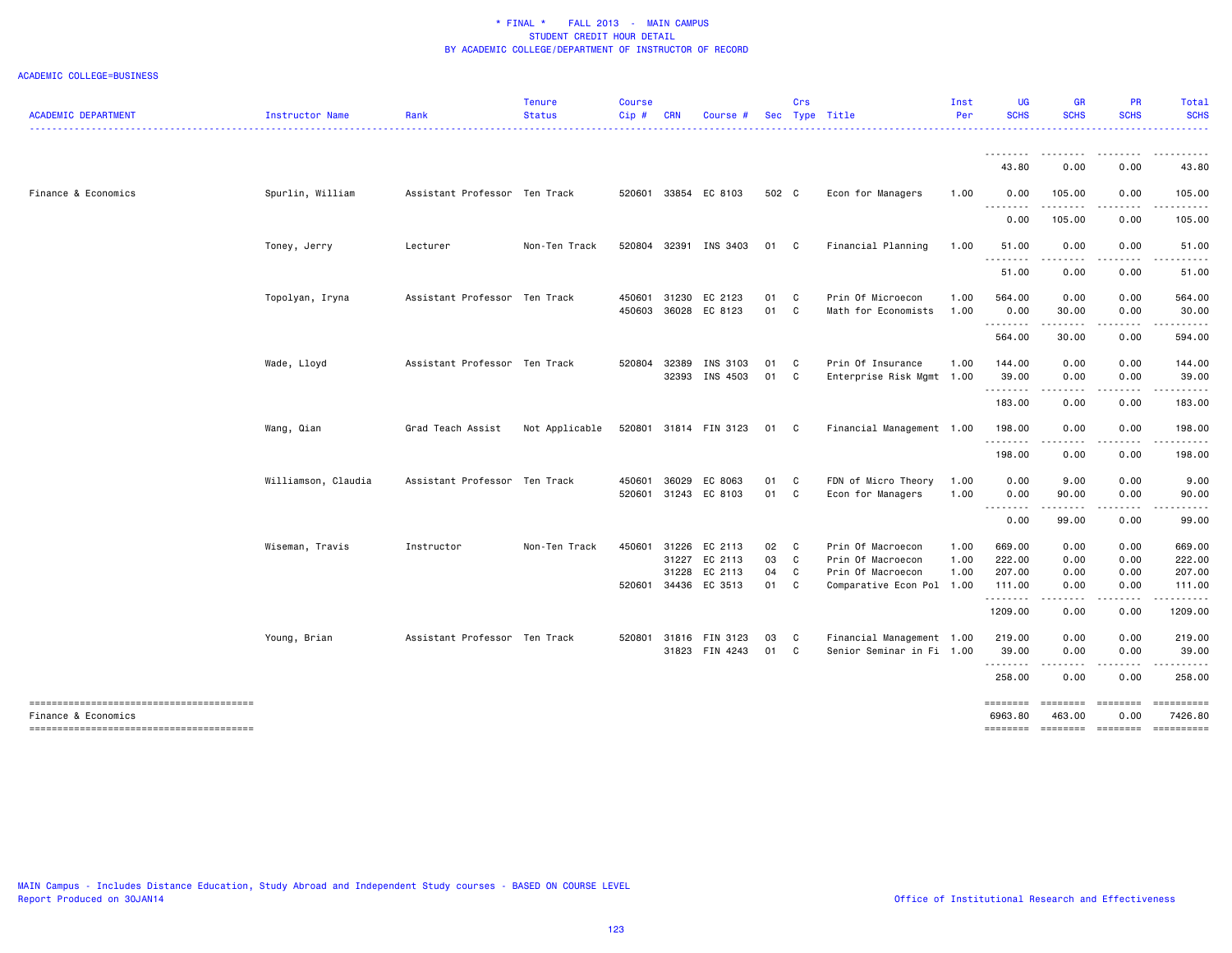ACADEMIC COLLEGE=BUSINESS

| <b>ACADEMIC DEPARTMENT</b> | Instructor Name     | Rank                          | <b>Tenure</b><br><b>Status</b> | <b>Course</b><br>Cip# | <b>CRN</b>   | Course #                 |          | Crs               | Sec Type Title                                 | Inst<br>Per | <b>UG</b><br><b>SCHS</b> | <b>GR</b><br><b>SCHS</b>                                                                                                                                      | <b>PR</b><br><b>SCHS</b>                                                                                                                                                                | Total<br><b>SCHS</b>                |
|----------------------------|---------------------|-------------------------------|--------------------------------|-----------------------|--------------|--------------------------|----------|-------------------|------------------------------------------------|-------------|--------------------------|---------------------------------------------------------------------------------------------------------------------------------------------------------------|-----------------------------------------------------------------------------------------------------------------------------------------------------------------------------------------|-------------------------------------|
|                            |                     |                               |                                |                       |              |                          |          |                   |                                                |             | <u>.</u>                 | --------                                                                                                                                                      |                                                                                                                                                                                         |                                     |
|                            |                     |                               |                                |                       |              |                          |          |                   |                                                |             | 43.80                    | 0.00                                                                                                                                                          | 0.00                                                                                                                                                                                    | 43.80                               |
| Finance & Economics        | Spurlin, William    | Assistant Professor Ten Track |                                |                       |              | 520601 33854 EC 8103     | 502 C    |                   | Econ for Managers                              | 1.00        | 0.00                     | 105.00<br>.                                                                                                                                                   | 0.00<br>-----                                                                                                                                                                           | 105.00<br>.                         |
|                            |                     |                               |                                |                       |              |                          |          |                   |                                                |             | 0.00                     | 105.00                                                                                                                                                        | 0.00                                                                                                                                                                                    | 105.00                              |
|                            | Toney, Jerry        | Lecturer                      | Non-Ten Track                  |                       |              | 520804 32391 INS 3403    | 01 C     |                   | Financial Planning                             | 1.00        | 51.00                    | 0.00                                                                                                                                                          | 0.00                                                                                                                                                                                    | 51.00                               |
|                            |                     |                               |                                |                       |              |                          |          |                   |                                                |             | ---------<br>51.00       | .<br>0.00                                                                                                                                                     | .<br>0.00                                                                                                                                                                               | .<br>51.00                          |
|                            | Topolyan, Iryna     | Assistant Professor Ten Track |                                |                       | 450601 31230 | EC 2123                  | 01       | $\mathbf{C}$      | Prin Of Microecon                              | 1.00        | 564.00                   | 0.00                                                                                                                                                          | 0.00                                                                                                                                                                                    | 564.00                              |
|                            |                     |                               |                                | 450603                | 36028        | EC 8123                  | 01       | C                 | Math for Economists                            | 1.00        | 0.00<br>.                | 30.00<br>$\frac{1}{2} \left( \frac{1}{2} \right) \left( \frac{1}{2} \right) \left( \frac{1}{2} \right) \left( \frac{1}{2} \right) \left( \frac{1}{2} \right)$ | 0.00                                                                                                                                                                                    | 30.00<br>.                          |
|                            |                     |                               |                                |                       |              |                          |          |                   |                                                |             | 564.00                   | 30.00                                                                                                                                                         | 0.00                                                                                                                                                                                    | 594.00                              |
|                            | Wade, Lloyd         | Assistant Professor Ten Track |                                | 520804                | 32389        | INS 3103                 | 01       | $\mathbf{C}$      | Prin Of Insurance                              | 1.00        | 144.00                   | 0.00                                                                                                                                                          | 0.00                                                                                                                                                                                    | 144.00                              |
|                            |                     |                               |                                |                       | 32393        | INS 4503                 | 01       | $\mathbf{C}$      | Enterprise Risk Mgmt 1.00                      |             | 39.00<br>.               | 0.00<br>-----                                                                                                                                                 | 0.00<br>$\frac{1}{2} \left( \frac{1}{2} \right) \left( \frac{1}{2} \right) \left( \frac{1}{2} \right) \left( \frac{1}{2} \right) \left( \frac{1}{2} \right) \left( \frac{1}{2} \right)$ | 39.00<br>. <u>.</u> .               |
|                            |                     |                               |                                |                       |              |                          |          |                   |                                                |             | 183.00                   | 0.00                                                                                                                                                          | 0.00                                                                                                                                                                                    | 183.00                              |
|                            | Wang, Qian          | Grad Teach Assist             | Not Applicable                 |                       |              | 520801 31814 FIN 3123    | 01 C     |                   | Financial Management 1.00                      |             | 198.00<br>.              | 0.00<br>.                                                                                                                                                     | 0.00<br>.                                                                                                                                                                               | 198.00<br>.                         |
|                            |                     |                               |                                |                       |              |                          |          |                   |                                                |             | 198.00                   | 0.00                                                                                                                                                          | 0.00                                                                                                                                                                                    | 198.00                              |
|                            | Williamson, Claudia | Assistant Professor Ten Track |                                | 450601                | 36029        | EC 8063                  | 01 C     |                   | FDN of Micro Theory                            | 1.00        | 0.00                     | 9.00                                                                                                                                                          | 0.00                                                                                                                                                                                    | 9.00                                |
|                            |                     |                               |                                |                       |              | 520601 31243 EC 8103     | 01 C     |                   | Econ for Managers                              | 1.00        | 0.00                     | 90.00<br>------                                                                                                                                               | 0.00<br>.                                                                                                                                                                               | 90.00<br>.                          |
|                            |                     |                               |                                |                       |              |                          |          |                   |                                                |             | 0.00                     | 99.00                                                                                                                                                         | 0.00                                                                                                                                                                                    | 99.00                               |
|                            | Wiseman, Travis     | Instructor                    | Non-Ten Track                  | 450601                | 31226        | EC 2113                  | 02       | $\overline{c}$    | Prin Of Macroecon                              | 1.00        | 669.00                   | 0.00                                                                                                                                                          | 0.00                                                                                                                                                                                    | 669.00                              |
|                            |                     |                               |                                |                       | 31227        | EC 2113                  | 03       | $\mathbf{C}$      | Prin Of Macroecon                              | 1.00        | 222.00                   | 0.00                                                                                                                                                          | 0.00                                                                                                                                                                                    | 222.00                              |
|                            |                     |                               |                                | 520601                | 31228        | EC 2113<br>34436 EC 3513 | 04<br>01 | $\mathbf{C}$<br>C | Prin Of Macroecon<br>Comparative Econ Pol 1.00 | 1.00        | 207.00<br>111.00         | 0.00<br>0.00                                                                                                                                                  | 0.00<br>0.00                                                                                                                                                                            | 207.00<br>111.00                    |
|                            |                     |                               |                                |                       |              |                          |          |                   |                                                |             | . <b>.</b>               |                                                                                                                                                               |                                                                                                                                                                                         | .                                   |
|                            |                     |                               |                                |                       |              |                          |          |                   |                                                |             | 1209.00                  | 0.00                                                                                                                                                          | 0.00                                                                                                                                                                                    | 1209.00                             |
|                            | Young, Brian        | Assistant Professor Ten Track |                                | 520801                | 31816        | FIN 3123                 | 03       | $\mathbf{C}$      | Financial Management 1.00                      |             | 219.00                   | 0.00                                                                                                                                                          | 0.00                                                                                                                                                                                    | 219.00                              |
|                            |                     |                               |                                |                       |              | 31823 FIN 4243           | 01       | $\mathbf{C}$      | Senior Seminar in Fi 1.00                      |             | 39.00<br>.               | 0.00<br>.                                                                                                                                                     | 0.00<br>$\frac{1}{2} \left( \frac{1}{2} \right) \left( \frac{1}{2} \right) \left( \frac{1}{2} \right) \left( \frac{1}{2} \right) \left( \frac{1}{2} \right)$                            | 39.00                               |
|                            |                     |                               |                                |                       |              |                          |          |                   |                                                |             | 258.00                   | 0.00                                                                                                                                                          | 0.00                                                                                                                                                                                    | 258.00                              |
| Finance & Economics        |                     |                               |                                |                       |              |                          |          |                   |                                                |             | ========<br>6963.80      | <b>EEEEEEE</b><br>463.00                                                                                                                                      | <b>EBBEBBBB</b><br>0.00                                                                                                                                                                 | 7426.80                             |
|                            |                     |                               |                                |                       |              |                          |          |                   |                                                |             |                          |                                                                                                                                                               |                                                                                                                                                                                         | -------- ------- -------- --------- |

MAIN Campus - Includes Distance Education, Study Abroad and Independent Study courses - BASED ON COURSE LEVEL Report Produced on 30JAN14 **Office of Institutional Research and Effectiveness Office** of Institutional Research and Effectiveness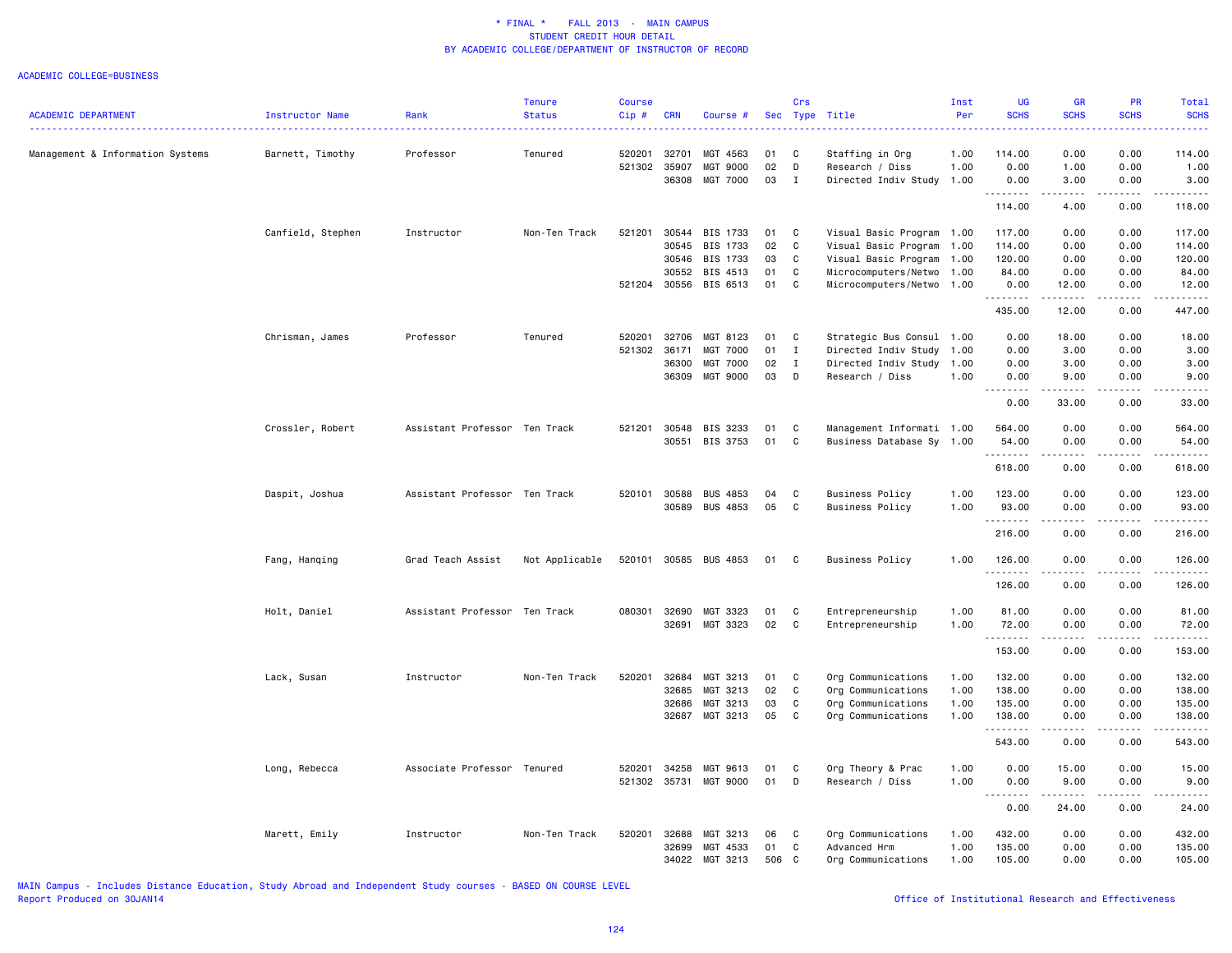#### ACADEMIC COLLEGE=BUSINESS

|                                  |                   |                               | <b>Tenure</b>  | <b>Course</b> |            |                 |     | Crs          |                           | Inst | <b>UG</b>   | <b>GR</b>                                                                                                                                                     | <b>PR</b>   | Total                    |
|----------------------------------|-------------------|-------------------------------|----------------|---------------|------------|-----------------|-----|--------------|---------------------------|------|-------------|---------------------------------------------------------------------------------------------------------------------------------------------------------------|-------------|--------------------------|
| <b>ACADEMIC DEPARTMENT</b>       | Instructor Name   | Rank                          | <b>Status</b>  | Cip#          | <b>CRN</b> | Course #        |     |              | Sec Type Title            | Per  | <b>SCHS</b> | <b>SCHS</b>                                                                                                                                                   | <b>SCHS</b> | <b>SCHS</b><br>المتمامين |
| Management & Information Systems | Barnett, Timothy  | Professor                     | Tenured        | 520201        | 32701      | MGT 4563        | 01  | C            | Staffing in Org           | 1.00 | 114.00      | 0.00                                                                                                                                                          | 0.00        | 114.00                   |
|                                  |                   |                               |                | 521302        | 35907      | MGT 9000        | 02  | D            | Research / Diss           | 1.00 | 0.00        | 1.00                                                                                                                                                          | 0.00        | 1.00                     |
|                                  |                   |                               |                |               | 36308      | MGT 7000        | 03  | $\mathbf{I}$ | Directed Indiv Study 1.00 |      | 0.00<br>.   | 3.00<br>.                                                                                                                                                     | 0.00<br>.   | 3.00<br>.                |
|                                  |                   |                               |                |               |            |                 |     |              |                           |      | 114.00      | 4.00                                                                                                                                                          | 0.00        | 118.00                   |
|                                  | Canfield, Stephen | Instructor                    | Non-Ten Track  | 521201        | 30544      | BIS 1733        | 01  | C            | Visual Basic Program 1.00 |      | 117.00      | 0.00                                                                                                                                                          | 0.00        | 117.00                   |
|                                  |                   |                               |                |               | 30545      | BIS 1733        | 02  | $\mathtt{C}$ | Visual Basic Program      | 1.00 | 114.00      | 0.00                                                                                                                                                          | 0.00        | 114.00                   |
|                                  |                   |                               |                |               | 30546      | BIS 1733        | 03  | C            | Visual Basic Program      | 1.00 | 120.00      | 0.00                                                                                                                                                          | 0.00        | 120.00                   |
|                                  |                   |                               |                |               | 30552      | BIS 4513        | 01  | C            | Microcomputers/Netwo 1.00 |      | 84.00       | 0.00                                                                                                                                                          | 0.00        | 84.00                    |
|                                  |                   |                               |                | 521204        | 30556      | BIS 6513        | 01  | C            | Microcomputers/Netwo 1.00 |      | 0.00<br>.   | 12.00<br>$\frac{1}{2} \left( \frac{1}{2} \right) \left( \frac{1}{2} \right) \left( \frac{1}{2} \right) \left( \frac{1}{2} \right) \left( \frac{1}{2} \right)$ | 0.00<br>.   | 12.00<br>.               |
|                                  |                   |                               |                |               |            |                 |     |              |                           |      | 435.00      | 12.00                                                                                                                                                         | 0.00        | 447.00                   |
|                                  | Chrisman, James   | Professor                     | Tenured        | 520201        | 32706      | MGT 8123        | 01  | C            | Strategic Bus Consul 1.00 |      | 0.00        | 18.00                                                                                                                                                         | 0.00        | 18.00                    |
|                                  |                   |                               |                | 521302        | 36171      | <b>MGT 7000</b> | 01  | $\mathbf I$  | Directed Indiv Study      | 1.00 | 0.00        | 3.00                                                                                                                                                          | 0.00        | 3.00                     |
|                                  |                   |                               |                |               | 36300      | MGT 7000        | 02  | $\mathbf I$  | Directed Indiv Study      | 1.00 | 0.00        | 3.00                                                                                                                                                          | 0.00        | 3.00                     |
|                                  |                   |                               |                |               | 36309      | MGT 9000        | 03  | D            | Research / Diss           | 1.00 | 0.00<br>.   | 9.00<br>.                                                                                                                                                     | 0.00<br>.   | 9.00<br>.                |
|                                  |                   |                               |                |               |            |                 |     |              |                           |      | 0.00        | 33.00                                                                                                                                                         | 0.00        | 33.00                    |
|                                  | Crossler, Robert  | Assistant Professor Ten Track |                | 521201        | 30548      | BIS 3233        | 01  | C            | Management Informati 1.00 |      | 564.00      | 0.00                                                                                                                                                          | 0.00        | 564.00                   |
|                                  |                   |                               |                |               | 30551      | BIS 3753        | 01  | $\mathtt{C}$ | Business Database Sy 1.00 |      | 54.00       | 0.00                                                                                                                                                          | 0.00        | 54.00                    |
|                                  |                   |                               |                |               |            |                 |     |              |                           |      | .           | .                                                                                                                                                             | .           | . <b>.</b>               |
|                                  |                   |                               |                |               |            |                 |     |              |                           |      | 618.00      | 0.00                                                                                                                                                          | 0.00        | 618.00                   |
|                                  | Daspit, Joshua    | Assistant Professor Ten Track |                | 520101        | 30588      | <b>BUS 4853</b> | 04  | C            | <b>Business Policy</b>    | 1.00 | 123.00      | 0.00                                                                                                                                                          | 0.00        | 123.00                   |
|                                  |                   |                               |                |               | 30589      | <b>BUS 4853</b> | 05  | C            | <b>Business Policy</b>    | 1.00 | 93.00       | 0.00                                                                                                                                                          | 0.00        | 93.00                    |
|                                  |                   |                               |                |               |            |                 |     |              |                           |      | .<br>216.00 | $- - - -$<br>0.00                                                                                                                                             | .<br>0.00   | .<br>216.00              |
|                                  |                   |                               |                |               |            |                 |     |              |                           |      |             |                                                                                                                                                               |             |                          |
|                                  | Fang, Hanqing     | Grad Teach Assist             | Not Applicable | 520101        |            | 30585 BUS 4853  | 01  | C            | <b>Business Policy</b>    | 1.00 | 126.00<br>. | 0.00                                                                                                                                                          | 0.00        | 126.00                   |
|                                  |                   |                               |                |               |            |                 |     |              |                           |      | 126.00      | 0.00                                                                                                                                                          | 0.00        | 126.00                   |
|                                  | Holt, Daniel      | Assistant Professor Ten Track |                | 080301        | 32690      | MGT 3323        | 01  | C            | Entrepreneurship          | 1.00 | 81.00       | 0.00                                                                                                                                                          | 0.00        | 81.00                    |
|                                  |                   |                               |                |               | 32691      | MGT 3323        | 02  | C            | Entrepreneurship          | 1.00 | 72.00       | 0.00                                                                                                                                                          | 0.00        | 72.00                    |
|                                  |                   |                               |                |               |            |                 |     |              |                           |      | .<br>153.00 | .<br>0.00                                                                                                                                                     | 0.00        | .<br>153.00              |
|                                  | Lack, Susan       | Instructor                    | Non-Ten Track  | 520201        | 32684      | MGT 3213        | 01  | C            | Org Communications        | 1.00 | 132.00      | 0.00                                                                                                                                                          | 0.00        | 132.00                   |
|                                  |                   |                               |                |               | 32685      | MGT 3213        | 02  | $\mathbf C$  | Org Communications        | 1.00 | 138.00      | 0.00                                                                                                                                                          | 0.00        | 138.00                   |
|                                  |                   |                               |                |               | 32686      | MGT 3213        | 03  | C            | Org Communications        | 1.00 | 135.00      | 0.00                                                                                                                                                          | 0.00        | 135.00                   |
|                                  |                   |                               |                |               | 32687      | MGT 3213        | 05  | C            | Org Communications        | 1.00 | 138.00      | 0.00                                                                                                                                                          | 0.00        | 138.00                   |
|                                  |                   |                               |                |               |            |                 |     |              |                           |      | .           |                                                                                                                                                               |             |                          |
|                                  |                   |                               |                |               |            |                 |     |              |                           |      | 543.00      | 0.00                                                                                                                                                          | 0.00        | 543.00                   |
|                                  | Long, Rebecca     | Associate Professor Tenured   |                | 520201        | 34258      | MGT 9613        | 01  | C            | Org Theory & Prac         | 1.00 | 0.00        | 15.00                                                                                                                                                         | 0.00        | 15.00                    |
|                                  |                   |                               |                | 521302        | 35731      | MGT 9000        | 01  | D            | Research / Diss           | 1.00 | 0.00        | 9.00<br>.                                                                                                                                                     | 0.00<br>.   | 9.00<br>$\frac{1}{2}$    |
|                                  |                   |                               |                |               |            |                 |     |              |                           |      | 0.00        | 24.00                                                                                                                                                         | 0.00        | 24.00                    |
|                                  | Marett, Emily     | Instructor                    | Non-Ten Track  | 520201        | 32688      | MGT 3213        | 06  | C            | Org Communications        | 1.00 | 432.00      | 0.00                                                                                                                                                          | 0.00        | 432.00                   |
|                                  |                   |                               |                |               | 32699      | MGT 4533        | 01  | C            | Advanced Hrm              | 1.00 | 135.00      | 0.00                                                                                                                                                          | 0.00        | 135.00                   |
|                                  |                   |                               |                |               |            | 34022 MGT 3213  | 506 | $\mathbf{C}$ | Org Communications        | 1.00 | 105.00      | 0.00                                                                                                                                                          | 0.00        | 105.00                   |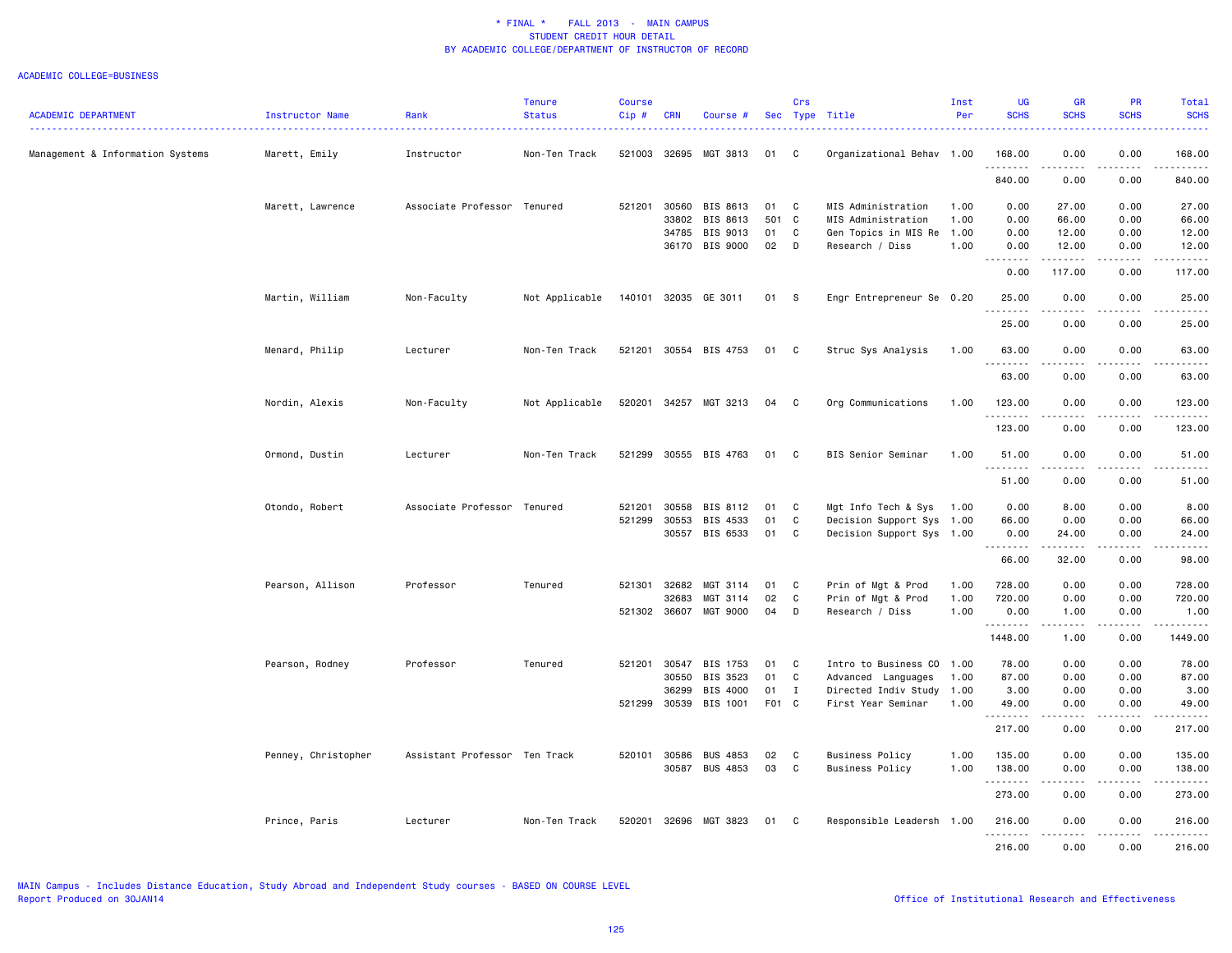|                                  |                     |                               | <b>Tenure</b>  | <b>Course</b> |              |                      |       | Crs          |                           | Inst | UG                           | <b>GR</b>          | <b>PR</b>         | Total        |
|----------------------------------|---------------------|-------------------------------|----------------|---------------|--------------|----------------------|-------|--------------|---------------------------|------|------------------------------|--------------------|-------------------|--------------|
| <b>ACADEMIC DEPARTMENT</b>       | Instructor Name     | Rank                          | <b>Status</b>  | $Cip$ #       | <b>CRN</b>   | Course #             |       |              | Sec Type Title            | Per  | <b>SCHS</b>                  | <b>SCHS</b>        | <b>SCHS</b>       | <b>SCHS</b>  |
| Management & Information Systems | Marett, Emily       | Instructor                    | Non-Ten Track  | 521003        | 32695        | MGT 3813             | 01    | C            | Organizational Behav 1.00 |      | 168.00                       | 0.00               | 0.00              | 168.00       |
|                                  |                     |                               |                |               |              |                      |       |              |                           |      | .<br>840.00                  | $- - - -$<br>0.00  | $- - - -$<br>0.00 | .<br>840.00  |
|                                  | Marett, Lawrence    | Associate Professor Tenured   |                | 521201        | 30560        | BIS 8613             | 01    | C.           | MIS Administration        | 1.00 | 0.00                         | 27.00              | 0.00              | 27.00        |
|                                  |                     |                               |                |               | 33802        | BIS 8613             | 501   | $\mathbf{C}$ | MIS Administration        | 1.00 | 0.00                         | 66.00              | 0.00              | 66.00        |
|                                  |                     |                               |                |               | 34785        | BIS 9013             | 01    | C            | Gen Topics in MIS Re      | 1.00 | 0.00                         | 12.00              | 0.00              | 12.00        |
|                                  |                     |                               |                |               | 36170        | BIS 9000             | 02    | D            | Research / Diss           | 1.00 | 0.00<br>$\sim$ $\sim$ $\sim$ | 12.00              | 0.00<br>$- - - -$ | 12.00<br>.   |
|                                  |                     |                               |                |               |              |                      |       |              |                           |      | 0.00                         | 117.00             | 0.00              | 117.00       |
|                                  | Martin, William     | Non-Faculty                   | Not Applicable |               |              | 140101 32035 GE 3011 | 01 S  |              | Engr Entrepreneur Se 0.20 |      | 25.00<br>.                   | 0.00               | 0.00              | 25.00<br>.   |
|                                  |                     |                               |                |               |              |                      |       |              |                           |      | 25.00                        | 0.00               | 0.00              | 25.00        |
|                                  | Menard, Philip      | Lecturer                      | Non-Ten Track  | 521201        |              | 30554 BIS 4753       | 01    | C            | Struc Sys Analysis        | 1.00 | 63.00                        | 0.00<br>-----      | 0.00              | 63.00<br>.   |
|                                  |                     |                               |                |               |              |                      |       |              |                           |      | 63.00                        | 0.00               | 0.00              | 63.00        |
|                                  | Nordin, Alexis      | Non-Faculty                   | Not Applicable | 520201        |              | 34257 MGT 3213       | 04    | C            | Org Communications        | 1.00 | 123.00<br><u>.</u>           | 0.00<br>----       | 0.00              | 123.00<br>.  |
|                                  |                     |                               |                |               |              |                      |       |              |                           |      | 123.00                       | 0.00               | 0.00              | 123.00       |
|                                  | Ormond, Dustin      | Lecturer                      | Non-Ten Track  | 521299        |              | 30555 BIS 4763       | 01    | C            | BIS Senior Seminar        | 1.00 | 51.00                        | 0.00               | 0.00              | 51.00        |
|                                  |                     |                               |                |               |              |                      |       |              |                           |      | . <b>.</b><br>51.00          | . <u>.</u><br>0.00 | .<br>0.00         | .<br>51.00   |
|                                  | Otondo, Robert      | Associate Professor Tenured   |                | 521201        | 30558        | BIS 8112             | 01    | C            | Mgt Info Tech & Sys       | 1.00 | 0.00                         | 8.00               | 0.00              | 8.00         |
|                                  |                     |                               |                | 521299        | 30553        | BIS 4533             | 01    | C            | Decision Support Sys      | 1.00 | 66.00                        | 0.00               | 0.00              | 66.00        |
|                                  |                     |                               |                |               | 30557        | BIS 6533             | 01    | C            | Decision Support Sys 1.00 |      | 0.00<br>.                    | 24.00<br>.         | 0.00<br>.         | 24.00<br>.   |
|                                  |                     |                               |                |               |              |                      |       |              |                           |      | 66.00                        | 32.00              | 0.00              | 98.00        |
|                                  | Pearson, Allison    | Professor                     | Tenured        | 521301        | 32682        | MGT 3114             | 01    | C            | Prin of Mgt & Prod        | 1.00 | 728.00                       | 0.00               | 0.00              | 728.00       |
|                                  |                     |                               |                |               | 32683        | MGT 3114             | 02    | C            | Prin of Mgt & Prod        | 1.00 | 720.00                       | 0.00               | 0.00              | 720.00       |
|                                  |                     |                               |                |               | 521302 36607 | MGT 9000             | 04    | D            | Research / Diss           | 1.00 | 0.00                         | 1.00               | 0.00              | 1.00         |
|                                  |                     |                               |                |               |              |                      |       |              |                           |      | .<br>1448.00                 | -----<br>1.00      | 0.00              | .<br>1449.00 |
|                                  | Pearson, Rodney     | Professor                     | Tenured        | 521201        | 30547        | BIS 1753             | 01    | C            | Intro to Business CO      | 1.00 | 78.00                        | 0.00               | 0.00              | 78.00        |
|                                  |                     |                               |                |               | 30550        | BIS 3523             | 01    | C            | Advanced Languages        | 1.00 | 87.00                        | 0.00               | 0.00              | 87.00        |
|                                  |                     |                               |                |               | 36299        | BIS 4000             | 01    | $\mathbf{I}$ | Directed Indiv Study 1.00 |      | 3.00                         | 0.00               | 0.00              | 3.00         |
|                                  |                     |                               |                | 521299        | 30539        | BIS 1001             | F01 C |              | First Year Seminar        | 1.00 | 49.00<br>.                   | 0.00               | 0.00              | 49.00<br>.   |
|                                  |                     |                               |                |               |              |                      |       |              |                           |      | 217.00                       | 0.00               | 0.00              | 217.00       |
|                                  | Penney, Christopher | Assistant Professor Ten Track |                | 520101        | 30586        | <b>BUS 4853</b>      | 02    | C            | <b>Business Policy</b>    | 1.00 | 135.00                       | 0.00               | 0.00              | 135.00       |
|                                  |                     |                               |                |               | 30587        | <b>BUS 4853</b>      | 03    | C.           | <b>Business Policy</b>    | 1.00 | 138.00<br>.                  | 0.00<br>.          | 0.00<br>.         | 138.00<br>.  |
|                                  |                     |                               |                |               |              |                      |       |              |                           |      | 273.00                       | 0.00               | 0.00              | 273.00       |
|                                  | Prince, Paris       | Lecturer                      | Non-Ten Track  | 520201        |              | 32696 MGT 3823       | 01    | C.           | Responsible Leadersh 1.00 |      | 216.00<br>.                  | 0.00<br>.          | 0.00<br>.         | 216.00<br>.  |
|                                  |                     |                               |                |               |              |                      |       |              |                           |      | 216.00                       | 0.00               | 0.00              | 216.00       |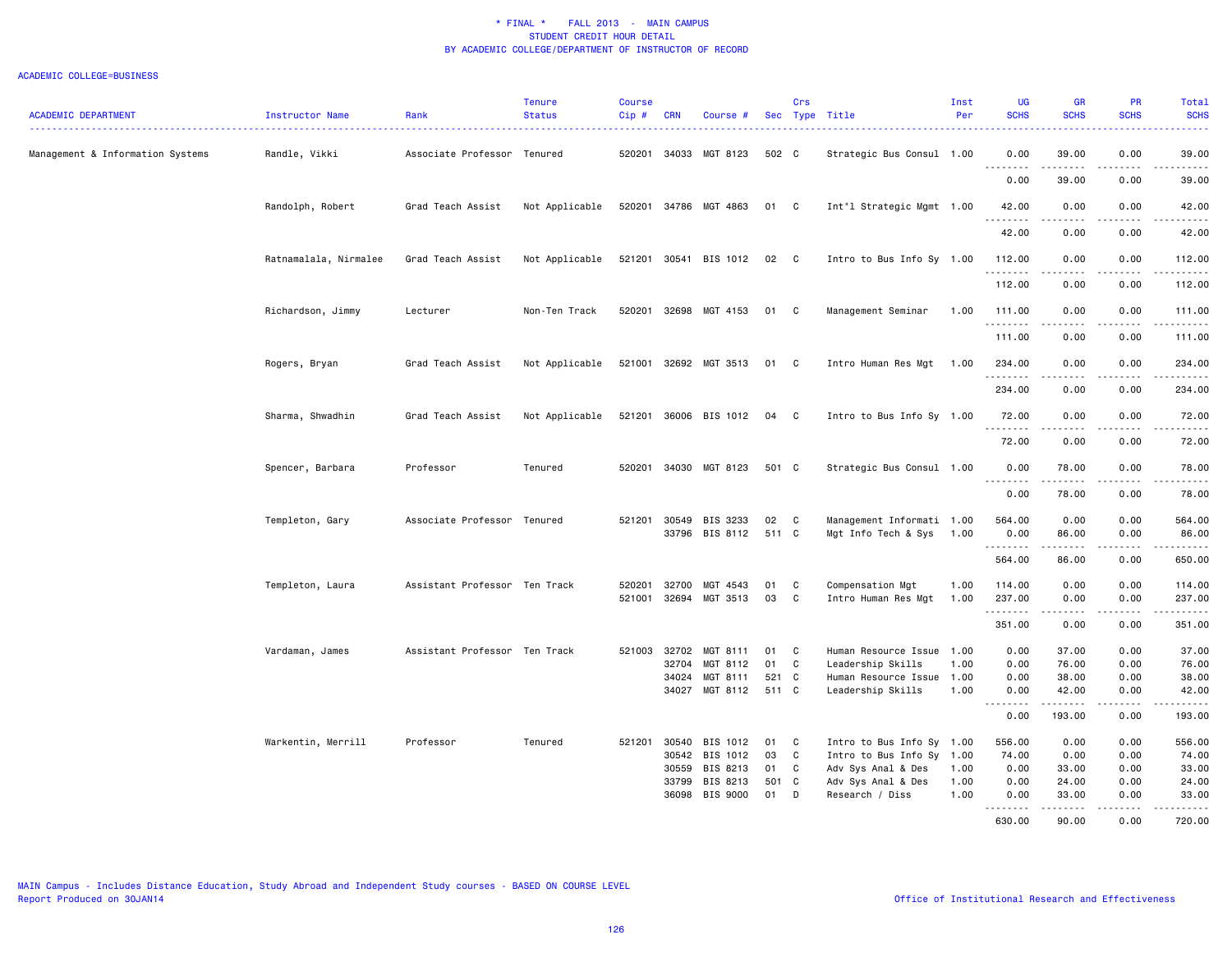#### ACADEMIC COLLEGE=BUSINESS

| <b>ACADEMIC DEPARTMENT</b>       | Instructor Name<br>.  | Rank                          | <b>Tenure</b><br><b>Status</b> | <b>Course</b><br>Cip# | <b>CRN</b>     | Course #              |             | Crs          | Sec Type Title                                   | Inst<br>Per | <b>UG</b><br><b>SCHS</b>     | <b>GR</b><br><b>SCHS</b>                                                                                                                                                                                                                                                                                                                     | PR<br><b>SCHS</b>                                                                                                                 | Total<br><b>SCHS</b><br>.                                                                                                                                     |
|----------------------------------|-----------------------|-------------------------------|--------------------------------|-----------------------|----------------|-----------------------|-------------|--------------|--------------------------------------------------|-------------|------------------------------|----------------------------------------------------------------------------------------------------------------------------------------------------------------------------------------------------------------------------------------------------------------------------------------------------------------------------------------------|-----------------------------------------------------------------------------------------------------------------------------------|---------------------------------------------------------------------------------------------------------------------------------------------------------------|
| Management & Information Systems | Randle, Vikki         | Associate Professor Tenured   |                                | 520201                | 34033          | MGT 8123              | 502 C       |              | Strategic Bus Consul 1.00                        |             | 0.00                         | 39.00                                                                                                                                                                                                                                                                                                                                        | 0.00                                                                                                                              | 39.00                                                                                                                                                         |
|                                  |                       |                               |                                |                       |                |                       |             |              |                                                  |             | .<br>0.00                    | $\frac{1}{2} \left( \frac{1}{2} \right) \left( \frac{1}{2} \right) \left( \frac{1}{2} \right) \left( \frac{1}{2} \right) \left( \frac{1}{2} \right)$<br>39.00                                                                                                                                                                                | $\frac{1}{2}$<br>0.00                                                                                                             | .<br>39.00                                                                                                                                                    |
|                                  | Randolph, Robert      | Grad Teach Assist             | Not Applicable                 |                       |                | 520201 34786 MGT 4863 | 01          | C            | Int"l Strategic Mgmt 1.00                        |             | 42.00<br>--------            | 0.00<br>$\frac{1}{2} \left( \frac{1}{2} \right) \left( \frac{1}{2} \right) \left( \frac{1}{2} \right) \left( \frac{1}{2} \right) \left( \frac{1}{2} \right)$                                                                                                                                                                                 | 0.00<br>.                                                                                                                         | 42.00<br>.                                                                                                                                                    |
|                                  |                       |                               |                                |                       |                |                       |             |              |                                                  |             | 42.00                        | 0.00                                                                                                                                                                                                                                                                                                                                         | 0.00                                                                                                                              | 42.00                                                                                                                                                         |
|                                  | Ratnamalala, Nirmalee | Grad Teach Assist             | Not Applicable                 | 521201                | 30541          | BIS 1012              | 02          | $\mathbf{C}$ | Intro to Bus Info Sy 1.00                        |             | 112.00<br>.                  | 0.00                                                                                                                                                                                                                                                                                                                                         | 0.00<br>$\frac{1}{2} \left( \frac{1}{2} \right) \left( \frac{1}{2} \right) \left( \frac{1}{2} \right) \left( \frac{1}{2} \right)$ | 112.00<br>.                                                                                                                                                   |
|                                  |                       |                               |                                |                       |                |                       |             |              |                                                  |             | 112.00                       | 0.00                                                                                                                                                                                                                                                                                                                                         | 0.00                                                                                                                              | 112.00                                                                                                                                                        |
|                                  | Richardson, Jimmy     | Lecturer                      | Non-Ten Track                  |                       |                | 520201 32698 MGT 4153 | 01          | C            | Management Seminar                               | 1.00        | 111.00<br>.                  | 0.00<br>.                                                                                                                                                                                                                                                                                                                                    | 0.00<br>$\frac{1}{2}$                                                                                                             | 111.00<br><u>.</u>                                                                                                                                            |
|                                  |                       |                               |                                |                       |                |                       |             |              |                                                  |             | 111.00                       | 0.00                                                                                                                                                                                                                                                                                                                                         | 0.00                                                                                                                              | 111.00                                                                                                                                                        |
|                                  | Rogers, Bryan         | Grad Teach Assist             | Not Applicable                 |                       |                | 521001 32692 MGT 3513 | 01          | C            | Intro Human Res Mgt                              | 1.00        | 234.00<br>.                  | 0.00<br>$\frac{1}{2} \left( \begin{array}{ccc} 1 & 0 & 0 & 0 \\ 0 & 0 & 0 & 0 \\ 0 & 0 & 0 & 0 \\ 0 & 0 & 0 & 0 \\ 0 & 0 & 0 & 0 \\ 0 & 0 & 0 & 0 \\ 0 & 0 & 0 & 0 \\ 0 & 0 & 0 & 0 \\ 0 & 0 & 0 & 0 \\ 0 & 0 & 0 & 0 \\ 0 & 0 & 0 & 0 & 0 \\ 0 & 0 & 0 & 0 & 0 \\ 0 & 0 & 0 & 0 & 0 \\ 0 & 0 & 0 & 0 & 0 \\ 0 & 0 & 0 & 0 & 0 \\ 0 & 0 & 0$ | 0.00<br>.                                                                                                                         | 234.00<br>.                                                                                                                                                   |
|                                  |                       |                               |                                |                       |                |                       |             |              |                                                  |             | 234.00                       | 0.00                                                                                                                                                                                                                                                                                                                                         | 0.00                                                                                                                              | 234.00                                                                                                                                                        |
|                                  | Sharma, Shwadhin      | Grad Teach Assist             | Not Applicable                 | 521201                |                | 36006 BIS 1012        | 04          | C            | Intro to Bus Info Sy 1.00                        |             | 72.00<br><u>.</u>            | 0.00                                                                                                                                                                                                                                                                                                                                         | 0.00<br>.                                                                                                                         | 72.00<br>.                                                                                                                                                    |
|                                  |                       |                               |                                |                       |                |                       |             |              |                                                  |             | 72.00                        | 0.00                                                                                                                                                                                                                                                                                                                                         | 0.00                                                                                                                              | 72.00                                                                                                                                                         |
|                                  | Spencer, Barbara      | Professor                     | Tenured                        | 520201                |                | 34030 MGT 8123        | 501 C       |              | Strategic Bus Consul 1.00                        |             | 0.00<br>$\sim$ $\sim$ $\sim$ | 78.00                                                                                                                                                                                                                                                                                                                                        | 0.00                                                                                                                              | 78.00<br>$\frac{1}{2} \left( \frac{1}{2} \right) \left( \frac{1}{2} \right) \left( \frac{1}{2} \right) \left( \frac{1}{2} \right) \left( \frac{1}{2} \right)$ |
|                                  |                       |                               |                                |                       |                |                       |             |              |                                                  |             | 0.00                         | 78.00                                                                                                                                                                                                                                                                                                                                        | 0.00                                                                                                                              | 78.00                                                                                                                                                         |
|                                  | Templeton, Gary       | Associate Professor Tenured   |                                | 521201                | 30549<br>33796 | BIS 3233<br>BIS 8112  | 02<br>511 C | C            | Management Informati 1.00<br>Mgt Info Tech & Sys | 1.00        | 564.00<br>0.00               | 0.00<br>86.00                                                                                                                                                                                                                                                                                                                                | 0.00<br>0.00                                                                                                                      | 564.00<br>86.00                                                                                                                                               |
|                                  |                       |                               |                                |                       |                |                       |             |              |                                                  |             | .<br>564.00                  | .<br>86.00                                                                                                                                                                                                                                                                                                                                   | .<br>0.00                                                                                                                         | ------<br>650.00                                                                                                                                              |
|                                  | Templeton, Laura      | Assistant Professor Ten Track |                                | 520201                | 32700          | MGT 4543              | 01          | C            | Compensation Mgt                                 | 1.00        | 114.00                       | 0.00                                                                                                                                                                                                                                                                                                                                         | 0.00                                                                                                                              | 114.00                                                                                                                                                        |
|                                  |                       |                               |                                | 521001                | 32694          | MGT 3513              | 03          | C            | Intro Human Res Mgt                              | 1.00        | 237.00<br>.                  | 0.00<br>.                                                                                                                                                                                                                                                                                                                                    | 0.00<br>.                                                                                                                         | 237.00<br>.                                                                                                                                                   |
|                                  |                       |                               |                                |                       |                |                       |             |              |                                                  |             | 351.00                       | 0.00                                                                                                                                                                                                                                                                                                                                         | 0.00                                                                                                                              | 351.00                                                                                                                                                        |
|                                  | Vardaman, James       | Assistant Professor Ten Track |                                | 521003                | 32702          | MGT 8111              | 01          | C            | Human Resource Issue 1.00                        |             | 0.00                         | 37.00                                                                                                                                                                                                                                                                                                                                        | 0.00                                                                                                                              | 37.00                                                                                                                                                         |
|                                  |                       |                               |                                |                       | 32704          | MGT 8112              | 01          | C            | Leadership Skills                                | 1.00        | 0.00                         | 76.00                                                                                                                                                                                                                                                                                                                                        | 0.00                                                                                                                              | 76.00                                                                                                                                                         |
|                                  |                       |                               |                                |                       | 34024          | MGT 8111              | 521         | $\mathbf{C}$ | Human Resource Issue 1.00                        |             | 0.00                         | 38.00                                                                                                                                                                                                                                                                                                                                        | 0.00                                                                                                                              | 38.00                                                                                                                                                         |
|                                  |                       |                               |                                |                       | 34027          | MGT 8112              | 511 C       |              | Leadership Skills                                | 1.00        | 0.00<br>.                    | 42.00<br>.                                                                                                                                                                                                                                                                                                                                   | 0.00<br>.                                                                                                                         | 42.00<br>------                                                                                                                                               |
|                                  |                       |                               |                                |                       |                |                       |             |              |                                                  |             | 0.00                         | 193.00                                                                                                                                                                                                                                                                                                                                       | 0.00                                                                                                                              | 193.00                                                                                                                                                        |
|                                  | Warkentin, Merrill    | Professor                     | Tenured                        |                       | 521201 30540   | BIS 1012              | 01          | C            | Intro to Bus Info Sy 1.00                        |             | 556.00                       | 0.00                                                                                                                                                                                                                                                                                                                                         | 0.00                                                                                                                              | 556.00                                                                                                                                                        |
|                                  |                       |                               |                                |                       | 30542          | BIS 1012              | 03          | C            | Intro to Bus Info Sy 1.00                        |             | 74.00                        | 0.00                                                                                                                                                                                                                                                                                                                                         | 0.00                                                                                                                              | 74.00                                                                                                                                                         |
|                                  |                       |                               |                                |                       | 30559          | BIS 8213              | 01          | C            | Adv Sys Anal & Des                               | 1.00        | 0.00                         | 33.00                                                                                                                                                                                                                                                                                                                                        | 0.00                                                                                                                              | 33.00                                                                                                                                                         |
|                                  |                       |                               |                                |                       | 33799          | BIS 8213              | 501 C       |              | Adv Sys Anal & Des                               | 1.00        | 0.00                         | 24.00                                                                                                                                                                                                                                                                                                                                        | 0.00                                                                                                                              | 24.00                                                                                                                                                         |
|                                  |                       |                               |                                |                       | 36098          | BIS 9000              | 01          | D            | Research / Diss                                  | 1.00        | 0.00<br>.                    | 33.00                                                                                                                                                                                                                                                                                                                                        | 0.00                                                                                                                              | 33.00<br>.                                                                                                                                                    |
|                                  |                       |                               |                                |                       |                |                       |             |              |                                                  |             | 630.00                       | 90.00                                                                                                                                                                                                                                                                                                                                        | 0.00                                                                                                                              | 720.00                                                                                                                                                        |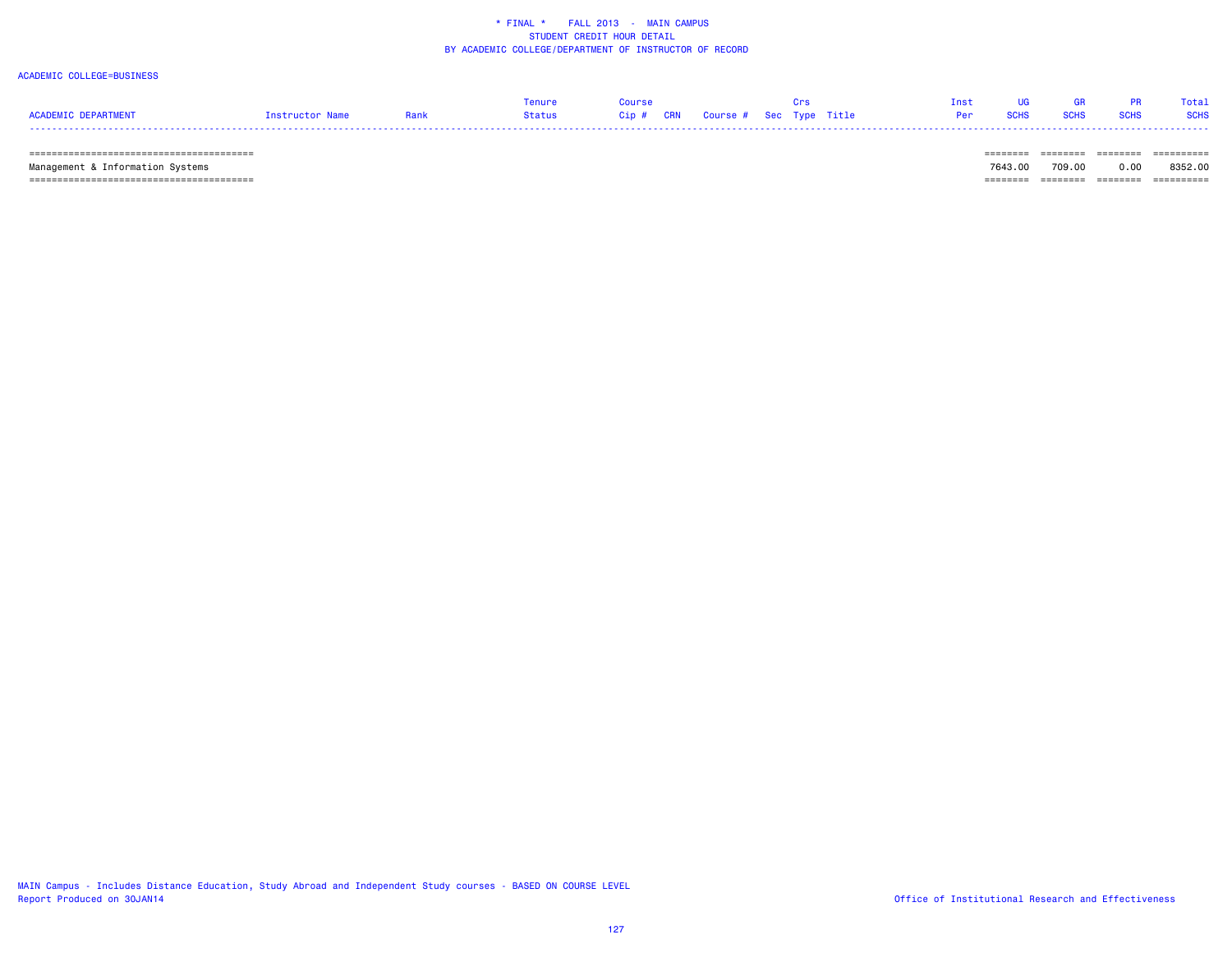### ACADEMIC COLLEGE=BUSINESS

|           |             |      |        |         |                                    |  |  |  | Total       |
|-----------|-------------|------|--------|---------|------------------------------------|--|--|--|-------------|
| FPARTMENT | tructor Nam | Rank | Status | $Cip$ # | CRN    Course #   Sec  Type  Title |  |  |  | <b>SCHS</b> |
| ----      |             |      |        |         |                                    |  |  |  |             |

======================================== ======== ======== ======== ==========

 Management & Information Systems 7643.00 709.00 0.00 8352.00 ======================================== ======== ======== ======== ==========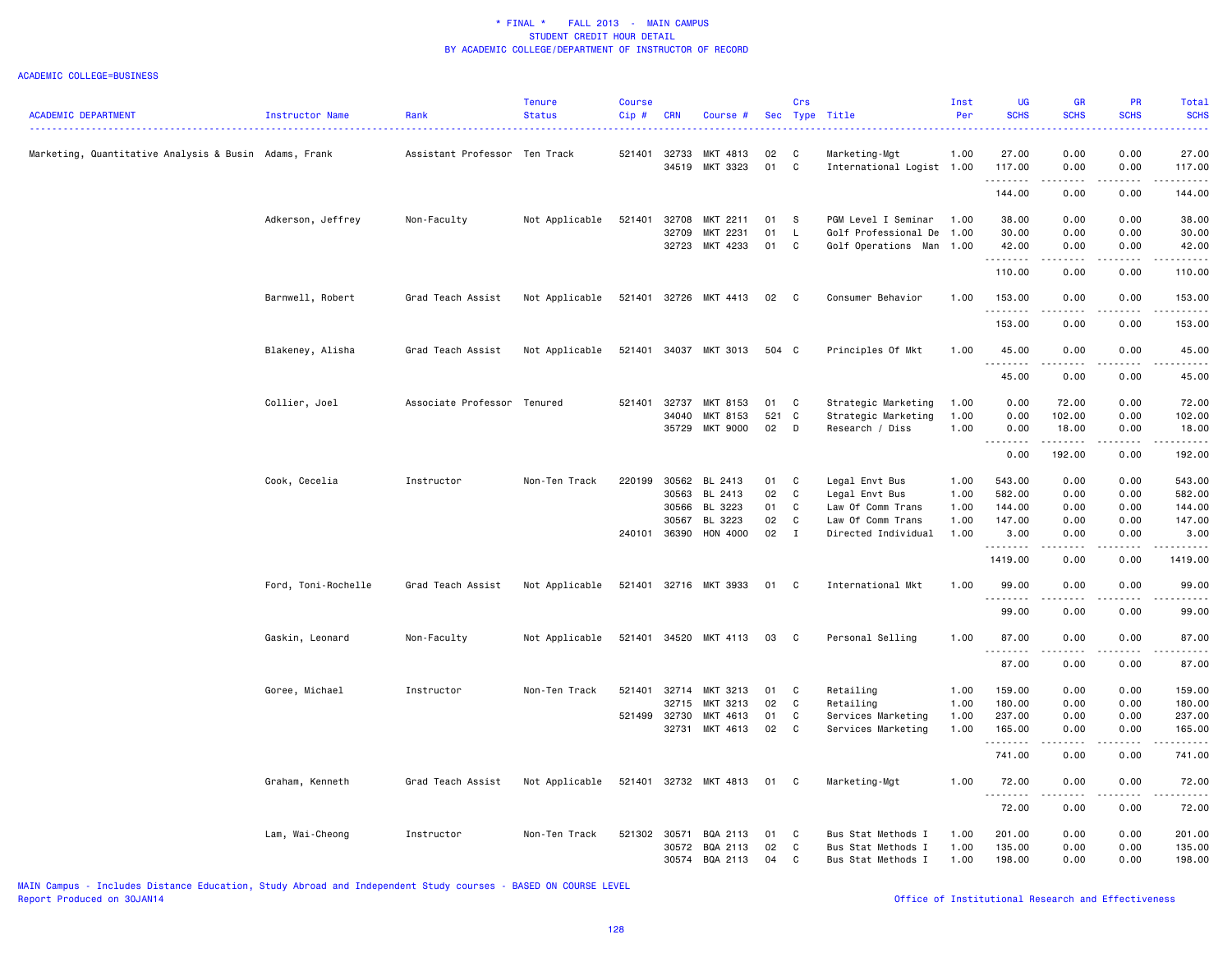|                                                       |                        |                               | <b>Tenure</b>  | <b>Course</b> |            |                |       | Crs          |                           | Inst | UG                                                    | <b>GR</b>                    | <b>PR</b>                           | Total                                                                                                                                                                                                                                                                                                                                                                                                                                                                                            |
|-------------------------------------------------------|------------------------|-------------------------------|----------------|---------------|------------|----------------|-------|--------------|---------------------------|------|-------------------------------------------------------|------------------------------|-------------------------------------|--------------------------------------------------------------------------------------------------------------------------------------------------------------------------------------------------------------------------------------------------------------------------------------------------------------------------------------------------------------------------------------------------------------------------------------------------------------------------------------------------|
| <b>ACADEMIC DEPARTMENT</b>                            | <b>Instructor Name</b> | Rank                          | <b>Status</b>  | $Cip$ #       | <b>CRN</b> | Course #       |       |              | Sec Type Title            | Per  | <b>SCHS</b>                                           | <b>SCHS</b>                  | <b>SCHS</b>                         | <b>SCHS</b>                                                                                                                                                                                                                                                                                                                                                                                                                                                                                      |
| Marketing, Quantitative Analysis & Busin Adams, Frank |                        | Assistant Professor Ten Track |                | 521401        | 32733      | MKT 4813       | 02    | C            | Marketing-Mgt             | 1.00 | 27.00                                                 | 0.00                         | 0.00                                | 27.00                                                                                                                                                                                                                                                                                                                                                                                                                                                                                            |
|                                                       |                        |                               |                |               | 34519      | MKT 3323       | 01    | C            | International Logist 1.00 |      | 117.00<br>.                                           | 0.00<br>. <b>.</b>           | 0.00<br>.                           | 117.00<br>.                                                                                                                                                                                                                                                                                                                                                                                                                                                                                      |
|                                                       |                        |                               |                |               |            |                |       |              |                           |      | 144.00                                                | 0.00                         | 0.00                                | 144.00                                                                                                                                                                                                                                                                                                                                                                                                                                                                                           |
|                                                       | Adkerson, Jeffrey      | Non-Faculty                   | Not Applicable | 521401        | 32708      | MKT 2211       | 01    | -S           | PGM Level I Seminar       | 1.00 | 38.00                                                 | 0.00                         | 0.00                                | 38.00                                                                                                                                                                                                                                                                                                                                                                                                                                                                                            |
|                                                       |                        |                               |                |               | 32709      | MKT 2231       | 01    | L.           | Golf Professional De      | 1.00 | 30.00                                                 | 0.00                         | 0.00                                | 30.00                                                                                                                                                                                                                                                                                                                                                                                                                                                                                            |
|                                                       |                        |                               |                |               | 32723      | MKT 4233       | 01    | C            | Golf Operations Man 1.00  |      | 42.00<br>.                                            | 0.00<br>$\omega$ is a set of | 0.00<br>.                           | 42.00<br>.                                                                                                                                                                                                                                                                                                                                                                                                                                                                                       |
|                                                       |                        |                               |                |               |            |                |       |              |                           |      | 110.00                                                | 0.00                         | 0.00                                | 110.00                                                                                                                                                                                                                                                                                                                                                                                                                                                                                           |
|                                                       | Barnwell, Robert       | Grad Teach Assist             | Not Applicable | 521401        |            | 32726 MKT 4413 | 02    | $\mathbf{C}$ | Consumer Behavior         | 1.00 | 153.00<br>.                                           | 0.00<br><b>.</b>             | 0.00<br>.                           | 153.00<br><u>.</u>                                                                                                                                                                                                                                                                                                                                                                                                                                                                               |
|                                                       |                        |                               |                |               |            |                |       |              |                           |      | 153.00                                                | 0.00                         | 0.00                                | 153.00                                                                                                                                                                                                                                                                                                                                                                                                                                                                                           |
|                                                       | Blakeney, Alisha       | Grad Teach Assist             | Not Applicable | 521401        |            | 34037 MKT 3013 | 504 C |              | Principles Of Mkt         | 1.00 | 45.00                                                 | 0.00<br>-----                | 0.00<br>.                           | 45.00<br>.                                                                                                                                                                                                                                                                                                                                                                                                                                                                                       |
|                                                       |                        |                               |                |               |            |                |       |              |                           |      | 45.00                                                 | 0.00                         | 0.00                                | 45.00                                                                                                                                                                                                                                                                                                                                                                                                                                                                                            |
|                                                       | Collier, Joel          | Associate Professor Tenured   |                | 521401        | 32737      | MKT 8153       | 01    | C            | Strategic Marketing       | 1.00 | 0.00                                                  | 72.00                        | 0.00                                | 72.00                                                                                                                                                                                                                                                                                                                                                                                                                                                                                            |
|                                                       |                        |                               |                |               | 34040      | MKT 8153       | 521   | $\mathbf{C}$ | Strategic Marketing       | 1.00 | 0.00                                                  | 102.00                       | 0.00                                | 102.00                                                                                                                                                                                                                                                                                                                                                                                                                                                                                           |
|                                                       |                        |                               |                |               |            | 35729 MKT 9000 | 02    | D            | Research / Diss           | 1.00 | 0.00<br>$\sim$ $\sim$<br>$\omega$ $\omega$ $\omega$ . | 18.00<br>.                   | 0.00                                | 18.00<br>.                                                                                                                                                                                                                                                                                                                                                                                                                                                                                       |
|                                                       |                        |                               |                |               |            |                |       |              |                           |      | 0.00                                                  | 192.00                       | 0.00                                | 192.00                                                                                                                                                                                                                                                                                                                                                                                                                                                                                           |
|                                                       | Cook, Cecelia          | Instructor                    | Non-Ten Track  | 220199        | 30562      | BL 2413        | 01    | C            | Legal Envt Bus            | 1.00 | 543.00                                                | 0.00                         | 0.00                                | 543.00                                                                                                                                                                                                                                                                                                                                                                                                                                                                                           |
|                                                       |                        |                               |                |               | 30563      | BL 2413        | 02    | C            | Legal Envt Bus            | 1.00 | 582.00                                                | 0.00                         | 0.00                                | 582.00                                                                                                                                                                                                                                                                                                                                                                                                                                                                                           |
|                                                       |                        |                               |                |               | 30566      | BL 3223        | 01    | C            | Law Of Comm Trans         | 1.00 | 144.00                                                | 0.00                         | 0.00                                | 144.00                                                                                                                                                                                                                                                                                                                                                                                                                                                                                           |
|                                                       |                        |                               |                |               | 30567      | BL 3223        | 02    | C            | Law Of Comm Trans         | 1.00 | 147.00                                                | 0.00                         | 0.00                                | 147.00                                                                                                                                                                                                                                                                                                                                                                                                                                                                                           |
|                                                       |                        |                               |                | 240101        | 36390      | HON 4000       | 02    | $\mathbf{I}$ | Directed Individual       | 1.00 | 3.00<br>.                                             | 0.00<br>$\frac{1}{2}$        | 0.00<br>.                           | 3.00<br><u>.</u>                                                                                                                                                                                                                                                                                                                                                                                                                                                                                 |
|                                                       |                        |                               |                |               |            |                |       |              |                           |      | 1419.00                                               | 0.00                         | 0.00                                | 1419.00                                                                                                                                                                                                                                                                                                                                                                                                                                                                                          |
|                                                       | Ford, Toni-Rochelle    | Grad Teach Assist             | Not Applicable | 521401        |            | 32716 MKT 3933 | 01    | C            | International Mkt         | 1.00 | 99.00<br>.                                            | 0.00<br>.                    | 0.00<br>$\sim$ $\sim$ $\sim$ $\sim$ | 99.00<br>.                                                                                                                                                                                                                                                                                                                                                                                                                                                                                       |
|                                                       |                        |                               |                |               |            |                |       |              |                           |      | 99.00                                                 | 0.00                         | 0.00                                | 99.00                                                                                                                                                                                                                                                                                                                                                                                                                                                                                            |
|                                                       | Gaskin, Leonard        | Non-Faculty                   | Not Applicable | 521401        |            | 34520 MKT 4113 | 03    | C            | Personal Selling          | 1.00 | 87.00<br>. <b>.</b>                                   | 0.00<br><b>.</b>             | 0.00<br>.                           | 87.00<br>.                                                                                                                                                                                                                                                                                                                                                                                                                                                                                       |
|                                                       |                        |                               |                |               |            |                |       |              |                           |      | 87.00                                                 | 0.00                         | 0.00                                | 87.00                                                                                                                                                                                                                                                                                                                                                                                                                                                                                            |
|                                                       | Goree, Michael         | Instructor                    | Non-Ten Track  | 521401        | 32714      | MKT 3213       | 01    | C            | Retailing                 | 1.00 | 159.00                                                | 0.00                         | 0.00                                | 159.00                                                                                                                                                                                                                                                                                                                                                                                                                                                                                           |
|                                                       |                        |                               |                |               | 32715      | MKT 3213       | 02    | $\mathbb{C}$ | Retailing                 | 1.00 | 180.00                                                | 0.00                         | 0.00                                | 180.00                                                                                                                                                                                                                                                                                                                                                                                                                                                                                           |
|                                                       |                        |                               |                | 521499 32730  |            | MKT 4613       | 01    | C            | Services Marketing        | 1.00 | 237.00                                                | 0.00                         | 0.00                                | 237.00                                                                                                                                                                                                                                                                                                                                                                                                                                                                                           |
|                                                       |                        |                               |                |               | 32731      | MKT 4613       | 02    | $\mathbb{C}$ | Services Marketing        | 1.00 | 165.00<br>.                                           | 0.00<br>.                    | 0.00<br>.                           | 165.00<br>$\begin{array}{cccccccccccccc} \multicolumn{2}{c}{} & \multicolumn{2}{c}{} & \multicolumn{2}{c}{} & \multicolumn{2}{c}{} & \multicolumn{2}{c}{} & \multicolumn{2}{c}{} & \multicolumn{2}{c}{} & \multicolumn{2}{c}{} & \multicolumn{2}{c}{} & \multicolumn{2}{c}{} & \multicolumn{2}{c}{} & \multicolumn{2}{c}{} & \multicolumn{2}{c}{} & \multicolumn{2}{c}{} & \multicolumn{2}{c}{} & \multicolumn{2}{c}{} & \multicolumn{2}{c}{} & \multicolumn{2}{c}{} & \multicolumn{2}{c}{} & \$ |
|                                                       |                        |                               |                |               |            |                |       |              |                           |      | 741.00                                                | 0.00                         | 0.00                                | 741.00                                                                                                                                                                                                                                                                                                                                                                                                                                                                                           |
|                                                       | Graham, Kenneth        | Grad Teach Assist             | Not Applicable | 521401        |            | 32732 MKT 4813 | 01    | C            | Marketing-Mgt             | 1.00 | 72.00<br>. <b>.</b>                                   | 0.00<br><b>.</b>             | 0.00<br>.                           | 72.00<br>.                                                                                                                                                                                                                                                                                                                                                                                                                                                                                       |
|                                                       |                        |                               |                |               |            |                |       |              |                           |      | 72.00                                                 | 0.00                         | 0.00                                | 72.00                                                                                                                                                                                                                                                                                                                                                                                                                                                                                            |
|                                                       | Lam, Wai-Cheong        | Instructor                    | Non-Ten Track  | 521302        | 30571      | BQA 2113       | 01    | C            | Bus Stat Methods I        | 1.00 | 201.00                                                | 0.00                         | 0.00                                | 201.00                                                                                                                                                                                                                                                                                                                                                                                                                                                                                           |
|                                                       |                        |                               |                |               | 30572      | BQA 2113       | 02    | C            | Bus Stat Methods I        | 1.00 | 135.00                                                | 0.00                         | 0.00                                | 135.00                                                                                                                                                                                                                                                                                                                                                                                                                                                                                           |
|                                                       |                        |                               |                |               | 30574      | BQA 2113       | 04    | C            | Bus Stat Methods I        | 1.00 | 198.00                                                | 0.00                         | 0.00                                | 198.00                                                                                                                                                                                                                                                                                                                                                                                                                                                                                           |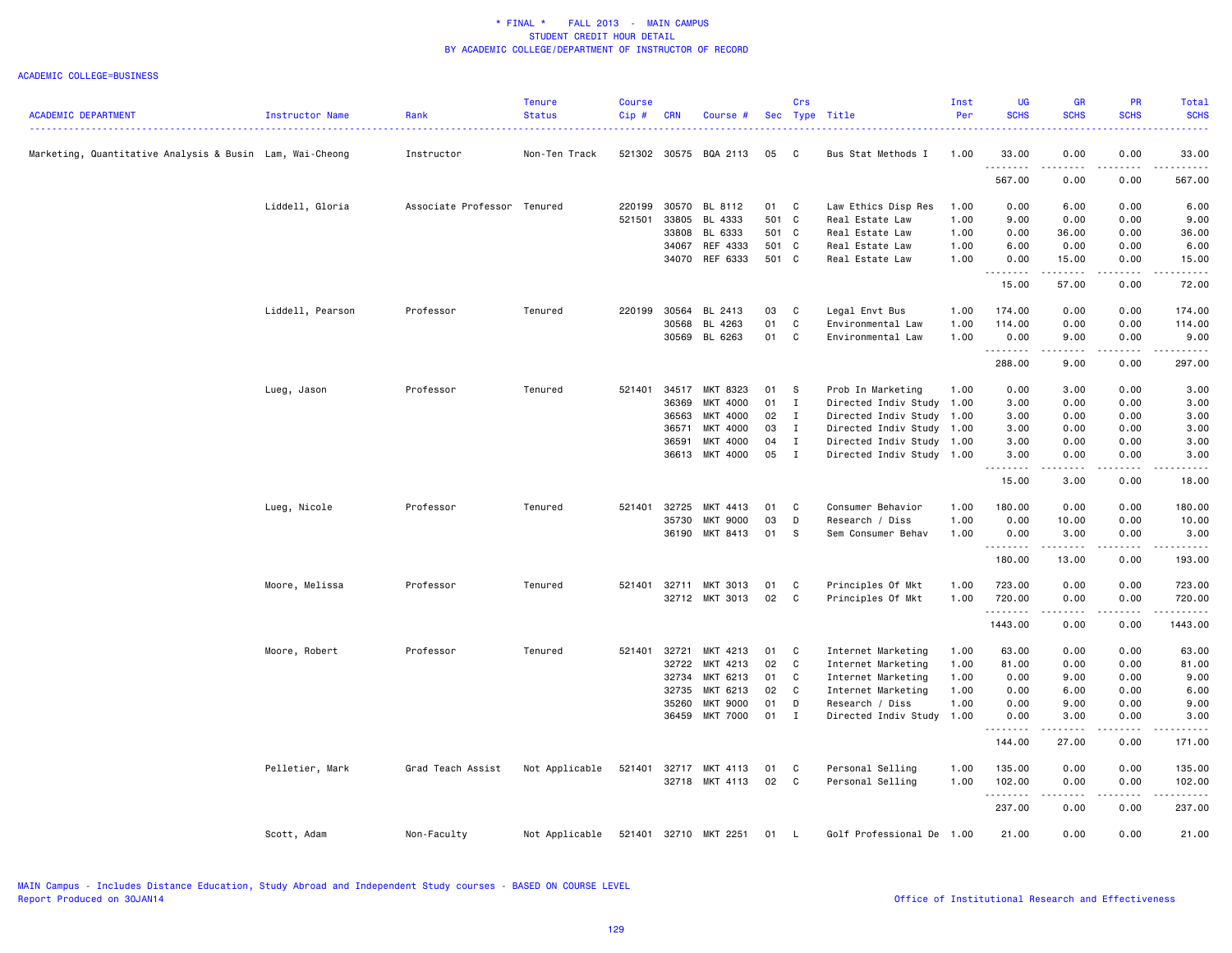|                                                          |                  |                             | <b>Tenure</b>  | <b>Course</b> |                |                                  |          | Crs          |                                      | Inst         | UG                                   | <b>GR</b>                                                                                                                                            | PR           | Total                                                                                                                     |
|----------------------------------------------------------|------------------|-----------------------------|----------------|---------------|----------------|----------------------------------|----------|--------------|--------------------------------------|--------------|--------------------------------------|------------------------------------------------------------------------------------------------------------------------------------------------------|--------------|---------------------------------------------------------------------------------------------------------------------------|
| <b>ACADEMIC DEPARTMENT</b>                               | Instructor Name  | Rank                        | <b>Status</b>  | Cip #         | <b>CRN</b>     | Course #                         |          |              | Sec Type Title                       | Per          | <b>SCHS</b>                          | <b>SCHS</b>                                                                                                                                          | <b>SCHS</b>  | <b>SCHS</b>                                                                                                               |
|                                                          |                  |                             |                |               |                |                                  |          |              |                                      |              |                                      |                                                                                                                                                      |              | $\frac{1}{2} \left( \frac{1}{2} \right) \left( \frac{1}{2} \right) \left( \frac{1}{2} \right) \left( \frac{1}{2} \right)$ |
| Marketing, Quantitative Analysis & Busin Lam, Wai-Cheong |                  | Instructor                  | Non-Ten Track  | 521302 30575  |                | BQA 2113                         | 05       | C            | Bus Stat Methods I                   | 1.00         | 33.00                                | 0.00                                                                                                                                                 | 0.00         | 33.00                                                                                                                     |
|                                                          |                  |                             |                |               |                |                                  |          |              |                                      |              |                                      |                                                                                                                                                      |              |                                                                                                                           |
|                                                          |                  |                             |                |               |                |                                  |          |              |                                      |              | 567.00                               | 0.00                                                                                                                                                 | 0.00         | 567.00                                                                                                                    |
|                                                          | Liddell, Gloria  | Associate Professor Tenured |                | 220199        | 30570          | BL 8112                          | 01       | C            | Law Ethics Disp Res                  | 1.00         | 0.00                                 | 6.00                                                                                                                                                 | 0.00         | 6.00                                                                                                                      |
|                                                          |                  |                             |                | 521501        | 33805          | BL 4333                          | 501 C    |              | Real Estate Law                      | 1.00         | 9.00                                 | 0.00                                                                                                                                                 | 0.00         | 9.00                                                                                                                      |
|                                                          |                  |                             |                |               | 33808          | BL 6333                          | 501 C    |              | Real Estate Law                      | 1.00         | 0.00                                 | 36.00                                                                                                                                                | 0.00         | 36.00                                                                                                                     |
|                                                          |                  |                             |                |               | 34067          | REF 4333                         | 501 C    |              | Real Estate Law                      | 1.00         | 6.00                                 | 0.00                                                                                                                                                 | 0.00         | 6.00                                                                                                                      |
|                                                          |                  |                             |                |               | 34070          | REF 6333                         | 501 C    |              | Real Estate Law                      | 1.00         | 0.00                                 | 15.00                                                                                                                                                | 0.00         | 15.00                                                                                                                     |
|                                                          |                  |                             |                |               |                |                                  |          |              |                                      |              | $\sim$ $\sim$ $\sim$ $\sim$<br>15.00 | .<br>57.00                                                                                                                                           | 0.00         | 72.00                                                                                                                     |
|                                                          |                  |                             |                |               |                |                                  |          |              |                                      |              |                                      |                                                                                                                                                      |              |                                                                                                                           |
|                                                          | Liddell, Pearson | Professor                   | Tenured        | 220199        | 30564<br>30568 | BL 2413<br>BL 4263               | 03<br>01 | C<br>С       | Legal Envt Bus<br>Environmental Law  | 1.00<br>1.00 | 174.00<br>114.00                     | 0.00<br>0.00                                                                                                                                         | 0.00<br>0.00 | 174.00<br>114.00                                                                                                          |
|                                                          |                  |                             |                |               | 30569          | BL 6263                          | 01       | C            | Environmental Law                    | 1.00         | 0.00                                 | 9.00                                                                                                                                                 | 0.00         | 9.00                                                                                                                      |
|                                                          |                  |                             |                |               |                |                                  |          |              |                                      |              |                                      | $\frac{1}{2} \left( \frac{1}{2} \right) \left( \frac{1}{2} \right) \left( \frac{1}{2} \right) \left( \frac{1}{2} \right) \left( \frac{1}{2} \right)$ | $- - - -$    | .                                                                                                                         |
|                                                          |                  |                             |                |               |                |                                  |          |              |                                      |              | 288.00                               | 9.00                                                                                                                                                 | 0.00         | 297.00                                                                                                                    |
|                                                          | Lueg, Jason      | Professor                   | Tenured        | 521401        | 34517          | MKT 8323                         | 01       | - S          | Prob In Marketing                    | 1.00         | 0.00                                 | 3.00                                                                                                                                                 | 0.00         | 3.00                                                                                                                      |
|                                                          |                  |                             |                |               | 36369          | MKT 4000                         | 01       | $\mathbf{I}$ | Directed Indiv Study                 | 1.00         | 3.00                                 | 0.00                                                                                                                                                 | 0.00         | 3.00                                                                                                                      |
|                                                          |                  |                             |                |               | 36563          | MKT 4000                         | 02       | $\mathbf{I}$ | Directed Indiv Study 1.00            |              | 3.00                                 | 0.00                                                                                                                                                 | 0.00         | 3.00                                                                                                                      |
|                                                          |                  |                             |                |               | 36571          | MKT 4000                         | 03       | $\mathbf{I}$ | Directed Indiv Study 1.00            |              | 3.00                                 | 0.00                                                                                                                                                 | 0.00         | 3.00                                                                                                                      |
|                                                          |                  |                             |                |               | 36591          | MKT 4000                         | 04       | $\mathbf{I}$ | Directed Indiv Study 1.00            |              | 3.00                                 | 0.00                                                                                                                                                 | 0.00         | 3.00                                                                                                                      |
|                                                          |                  |                             |                |               | 36613          | MKT 4000                         | 05       | $\mathbf{I}$ | Directed Indiv Study 1.00            |              | 3.00                                 | 0.00                                                                                                                                                 | 0.00         | 3.00                                                                                                                      |
|                                                          |                  |                             |                |               |                |                                  |          |              |                                      |              | .<br>15.00                           | 3.00                                                                                                                                                 | 0.00         | .<br>18.00                                                                                                                |
|                                                          |                  |                             | Tenured        | 521401        | 32725          | MKT 4413                         | 01       | C            | Consumer Behavior                    | 1.00         | 180.00                               |                                                                                                                                                      | 0.00         |                                                                                                                           |
|                                                          | Lueg, Nicole     | Professor                   |                |               | 35730          | <b>MKT 9000</b>                  | 03       | D            | Research / Diss                      | 1.00         | 0.00                                 | 0.00<br>10.00                                                                                                                                        | 0.00         | 180.00<br>10.00                                                                                                           |
|                                                          |                  |                             |                |               | 36190          | MKT 8413                         | 01       | s            | Sem Consumer Behav                   | 1.00         | 0.00                                 | 3.00                                                                                                                                                 | 0.00         | 3.00                                                                                                                      |
|                                                          |                  |                             |                |               |                |                                  |          |              |                                      |              | .                                    | .                                                                                                                                                    | $\cdots$     | .                                                                                                                         |
|                                                          |                  |                             |                |               |                |                                  |          |              |                                      |              | 180.00                               | 13.00                                                                                                                                                | 0.00         | 193.00                                                                                                                    |
|                                                          | Moore, Melissa   | Professor                   | Tenured        | 521401        | 32711          | MKT 3013                         | 01       | C            | Principles Of Mkt                    | 1.00         | 723.00                               | 0.00                                                                                                                                                 | 0.00         | 723.00                                                                                                                    |
|                                                          |                  |                             |                |               |                | 32712 MKT 3013                   | 02       | C            | Principles Of Mkt                    | 1.00         | 720.00                               | 0.00                                                                                                                                                 | 0.00         | 720.00                                                                                                                    |
|                                                          |                  |                             |                |               |                |                                  |          |              |                                      |              | .                                    | $\frac{1}{2}$                                                                                                                                        | $- - - -$    |                                                                                                                           |
|                                                          |                  |                             |                |               |                |                                  |          |              |                                      |              | 1443.00                              | 0.00                                                                                                                                                 | 0.00         | 1443.00                                                                                                                   |
|                                                          | Moore, Robert    | Professor                   | Tenured        | 521401        | 32721          | MKT 4213                         | 01       | C.           | Internet Marketing                   | 1.00         | 63.00                                | 0.00                                                                                                                                                 | 0.00         | 63.00                                                                                                                     |
|                                                          |                  |                             |                |               | 32722          | MKT 4213                         | 02       | $\mathbf c$  | Internet Marketing                   | 1.00         | 81.00                                | 0.00                                                                                                                                                 | 0.00         | 81.00                                                                                                                     |
|                                                          |                  |                             |                |               | 32734          | MKT 6213                         | 01       | C            | Internet Marketing                   | 1.00         | 0.00                                 | 9.00                                                                                                                                                 | 0.00         | 9.00                                                                                                                      |
|                                                          |                  |                             |                |               | 32735          | MKT 6213                         | 02       | C            | Internet Marketing                   | 1.00         | 0.00                                 | 6.00                                                                                                                                                 | 0.00         | 6.00                                                                                                                      |
|                                                          |                  |                             |                |               | 35260          | <b>MKT 9000</b>                  | 01       | D            | Research / Diss                      | 1.00         | 0.00                                 | 9.00                                                                                                                                                 | 0.00         | 9.00                                                                                                                      |
|                                                          |                  |                             |                |               | 36459          | MKT 7000                         | 01       | $\mathbf{I}$ | Directed Indiv Study                 | 1.00         | 0.00                                 | 3.00                                                                                                                                                 | 0.00         | 3.00                                                                                                                      |
|                                                          |                  |                             |                |               |                |                                  |          |              |                                      |              | 144.00                               | 27.00                                                                                                                                                | 0.00         | 171.00                                                                                                                    |
|                                                          |                  |                             |                |               |                |                                  |          |              |                                      |              |                                      |                                                                                                                                                      |              |                                                                                                                           |
|                                                          | Pelletier, Mark  | Grad Teach Assist           | Not Applicable | 521401        |                | 32717 MKT 4113<br>32718 MKT 4113 | 01<br>02 | C<br>C       | Personal Selling<br>Personal Selling | 1.00<br>1.00 | 135.00<br>102.00                     | 0.00<br>0.00                                                                                                                                         | 0.00<br>0.00 | 135.00<br>102.00                                                                                                          |
|                                                          |                  |                             |                |               |                |                                  |          |              |                                      |              | . <b>.</b>                           | .                                                                                                                                                    | $- - - - -$  | .                                                                                                                         |
|                                                          |                  |                             |                |               |                |                                  |          |              |                                      |              | 237.00                               | 0.00                                                                                                                                                 | 0.00         | 237.00                                                                                                                    |
|                                                          | Scott, Adam      | Non-Faculty                 | Not Applicable | 521401        |                | 32710 MKT 2251                   | 01       | L.           | Golf Professional De 1.00            |              | 21.00                                | 0.00                                                                                                                                                 | 0.00         | 21.00                                                                                                                     |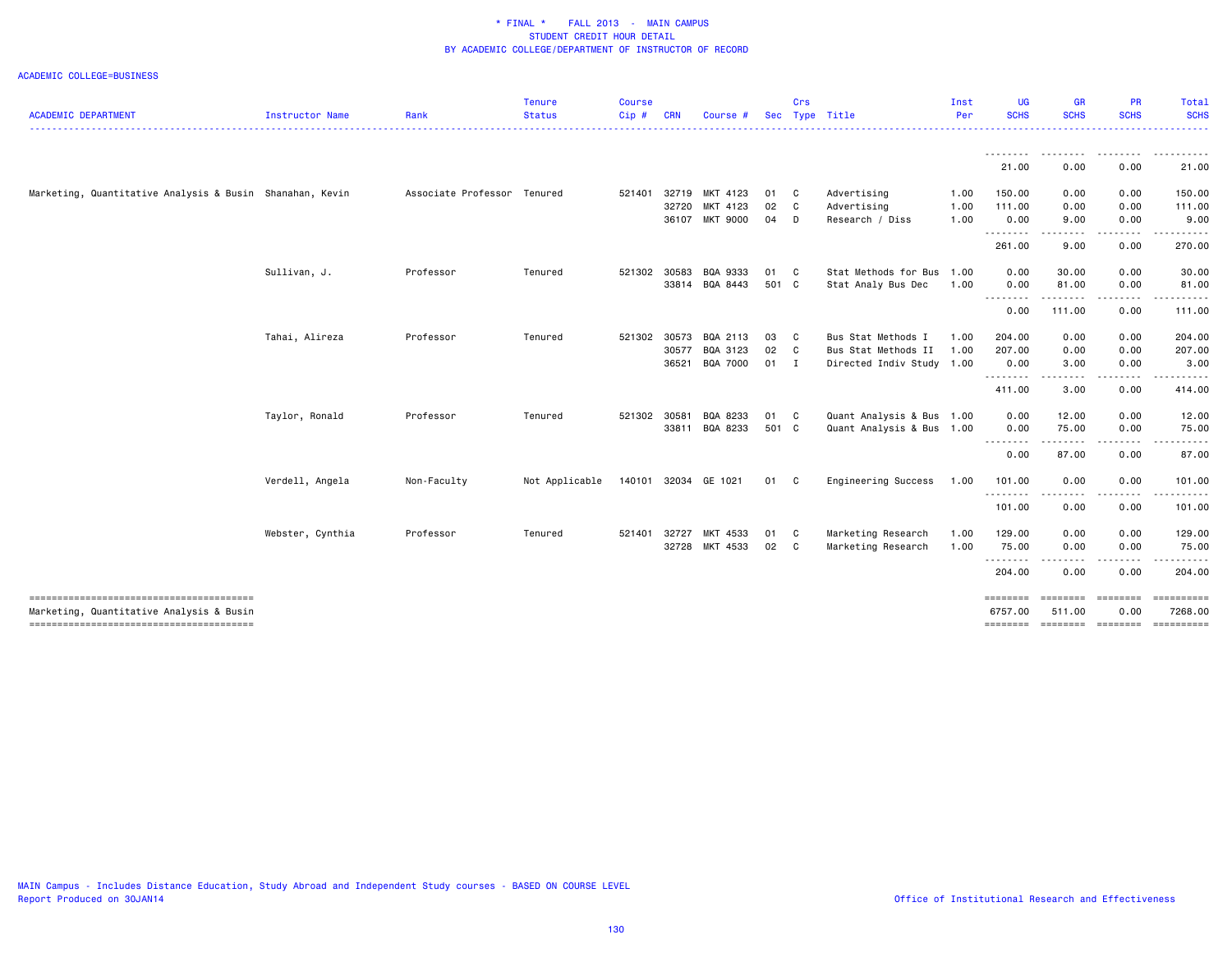| <b>ACADEMIC DEPARTMENT</b>                                                         | <b>Instructor Name</b> | Rank                        | <b>Tenure</b><br><b>Status</b> | <b>Course</b><br>Cip# | <b>CRN</b> | Course #             | <b>Sec</b> | Crs          | Type Title                | Inst<br>Per | UG<br><b>SCHS</b>   | <b>GR</b><br><b>SCHS</b>    | PR<br><b>SCHS</b>                                                                                                       | Total<br><b>SCHS</b>  |
|------------------------------------------------------------------------------------|------------------------|-----------------------------|--------------------------------|-----------------------|------------|----------------------|------------|--------------|---------------------------|-------------|---------------------|-----------------------------|-------------------------------------------------------------------------------------------------------------------------|-----------------------|
|                                                                                    |                        |                             |                                |                       |            |                      |            |              |                           |             |                     | . <u>.</u> .                |                                                                                                                         |                       |
|                                                                                    |                        |                             |                                |                       |            |                      |            |              |                           |             | 21.00               | 0.00                        | 0.00                                                                                                                    | 21.00                 |
| Marketing, Quantitative Analysis & Busin Shanahan, Kevin                           |                        | Associate Professor Tenured |                                | 521401                | 32719      | MKT 4123             | 01 C       |              | Advertising               | 1.00        | 150.00              | 0.00                        | 0.00                                                                                                                    | 150.00                |
|                                                                                    |                        |                             |                                |                       | 32720      | MKT 4123             | 02         | $\mathbf{C}$ | Advertising               | 1.00        | 111.00              | 0.00                        | 0.00                                                                                                                    | 111.00                |
|                                                                                    |                        |                             |                                |                       |            | 36107 MKT 9000       | 04         | D            | Research / Diss           | 1.00        | 0.00<br>---------   | 9.00<br>.                   | 0.00                                                                                                                    | 9.00                  |
|                                                                                    |                        |                             |                                |                       |            |                      |            |              |                           |             | 261.00              | 9.00                        | 0.00                                                                                                                    | 270.00                |
|                                                                                    | Sullivan, J.           | Professor                   | Tenured                        | 521302                | 30583      | BQA 9333             | 01 C       |              | Stat Methods for Bus      | 1.00        | 0.00                | 30.00                       | 0.00                                                                                                                    | 30.00                 |
|                                                                                    |                        |                             |                                |                       |            | 33814 BQA 8443       | 501 C      |              | Stat Analy Bus Dec        | 1.00        | 0.00<br>.           | 81.00<br>.                  | 0.00<br>$- - - - -$                                                                                                     | 81.00<br>. <u>.</u> . |
|                                                                                    |                        |                             |                                |                       |            |                      |            |              |                           |             | 0.00                | 111.00                      | 0.00                                                                                                                    | 111.00                |
|                                                                                    | Tahai, Alireza         | Professor                   | Tenured                        | 521302                | 30573      | BQA 2113             | 03         | $\mathbf{C}$ | Bus Stat Methods I        | 1.00        | 204.00              | 0.00                        | 0.00                                                                                                                    | 204.00                |
|                                                                                    |                        |                             |                                |                       | 30577      | BQA 3123             | 02         | $\mathbf{C}$ | Bus Stat Methods II       | 1.00        | 207.00              | 0.00                        | 0.00                                                                                                                    | 207.00                |
|                                                                                    |                        |                             |                                |                       | 36521      | BQA 7000             | $01$ I     |              | Directed Indiv Study 1.00 |             | 0.00<br>.           | 3.00<br>----                | 0.00                                                                                                                    | 3.00                  |
|                                                                                    |                        |                             |                                |                       |            |                      |            |              |                           |             | 411.00              | 3.00                        | 0.00                                                                                                                    | 414.00                |
|                                                                                    | Taylor, Ronald         | Professor                   | Tenured                        | 521302                | 30581      | BQA 8233             | 01 C       |              | Quant Analysis & Bus      | 1.00        | 0.00                | 12.00                       | 0.00                                                                                                                    | 12.00                 |
|                                                                                    |                        |                             |                                |                       | 33811      | BQA 8233             | 501 C      |              | Quant Analysis & Bus 1.00 |             | 0.00<br>.           | 75.00<br>.                  | 0.00<br>-----                                                                                                           | 75.00<br>.            |
|                                                                                    |                        |                             |                                |                       |            |                      |            |              |                           |             | 0.00                | 87.00                       | 0.00                                                                                                                    | 87.00                 |
|                                                                                    | Verdell, Angela        | Non-Faculty                 | Not Applicable                 |                       |            | 140101 32034 GE 1021 | 01 C       |              | Engineering Success       | 1.00        | 101.00              | 0.00                        | 0.00                                                                                                                    | 101.00                |
|                                                                                    |                        |                             |                                |                       |            |                      |            |              |                           |             | .<br>101.00         | $\frac{1}{2}$<br>0.00       | <u>.</u><br>0.00                                                                                                        | 101.00                |
|                                                                                    | Webster, Cynthia       | Professor                   | Tenured                        | 521401                | 32727      | MKT 4533             | 01 C       |              | Marketing Research        | 1.00        | 129.00              | 0.00                        | 0.00                                                                                                                    | 129.00                |
|                                                                                    |                        |                             |                                |                       |            | 32728 MKT 4533       | 02 C       |              | Marketing Research        | 1.00        | 75.00               | 0.00                        | 0.00                                                                                                                    | 75.00                 |
|                                                                                    |                        |                             |                                |                       |            |                      |            |              |                           |             | .<br>204.00         | .<br>0.00                   | $\begin{array}{cccccccccccccc} \bullet & \bullet & \bullet & \bullet & \bullet & \bullet & \bullet \end{array}$<br>0.00 | .<br>204.00           |
| --------------------------------------<br>Marketing, Quantitative Analysis & Busin |                        |                             |                                |                       |            |                      |            |              |                           |             | ========<br>6757.00 | =================<br>511.00 | 0.00                                                                                                                    | ==========<br>7268.00 |
|                                                                                    |                        |                             |                                |                       |            |                      |            |              |                           |             | ========            |                             |                                                                                                                         | ==========            |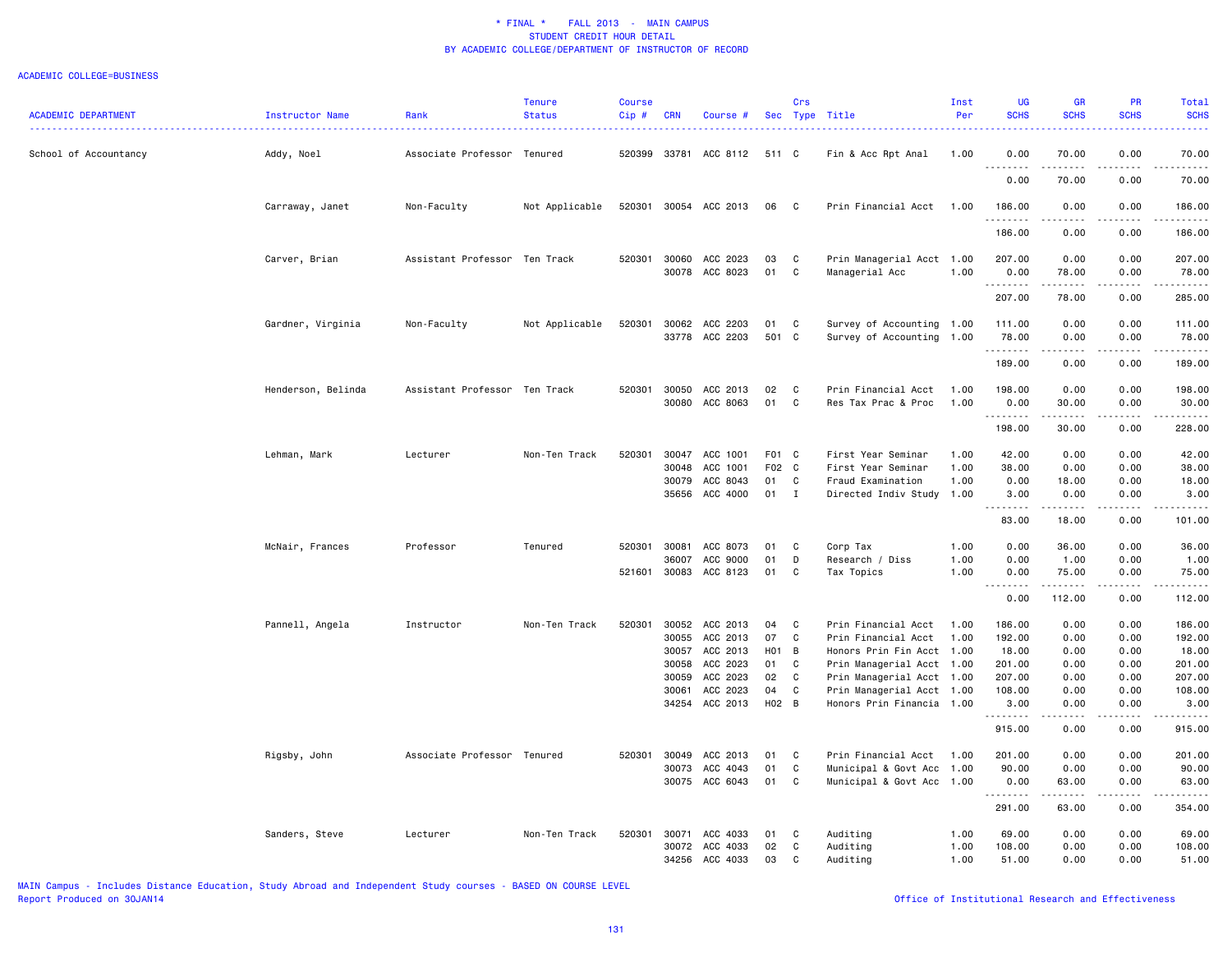| <b>ACADEMIC DEPARTMENT</b> | Instructor Name    | Rank                          | <b>Tenure</b><br><b>Status</b> | <b>Course</b><br>$Cip$ # | <b>CRN</b>     | Course #                   |                | Crs               | Sec Type Title                                         | Inst<br>Per  | <b>UG</b><br><b>SCHS</b><br>. | GR<br><b>SCHS</b>              | PR<br><b>SCHS</b>             | Total<br><b>SCHS</b><br>. |
|----------------------------|--------------------|-------------------------------|--------------------------------|--------------------------|----------------|----------------------------|----------------|-------------------|--------------------------------------------------------|--------------|-------------------------------|--------------------------------|-------------------------------|---------------------------|
| School of Accountancy      | Addy, Noel         | Associate Professor Tenured   |                                | 520399                   | 33781          | ACC 8112                   | 511 C          |                   | Fin & Acc Rpt Anal                                     | 1.00         | 0.00                          | 70.00                          | 0.00                          | 70.00                     |
|                            |                    |                               |                                |                          |                |                            |                |                   |                                                        |              | .<br>0.00                     | .<br>70.00                     | $- - - -$<br>0.00             | .<br>70.00                |
|                            | Carraway, Janet    | Non-Faculty                   | Not Applicable                 | 520301                   |                | 30054 ACC 2013             | 06             | C.                | Prin Financial Acct                                    | 1.00         | 186.00<br>.                   | 0.00                           | 0.00                          | 186.00                    |
|                            |                    |                               |                                |                          |                |                            |                |                   |                                                        |              | 186.00                        | 0.00                           | 0.00                          | 186.00                    |
|                            | Carver, Brian      | Assistant Professor Ten Track |                                | 520301                   | 30060          | ACC 2023<br>30078 ACC 8023 | 03<br>01       | C<br>C            | Prin Managerial Acct 1.00<br>Managerial Acc            | 1.00         | 207.00<br>0.00<br>.           | 0.00<br>78.00<br>.             | 0.00<br>0.00<br>.             | 207.00<br>78.00<br>.      |
|                            |                    |                               |                                |                          |                |                            |                |                   |                                                        |              | 207.00                        | 78.00                          | 0.00                          | 285.00                    |
|                            | Gardner, Virginia  | Non-Faculty                   | Not Applicable                 | 520301                   | 30062          | ACC 2203<br>33778 ACC 2203 | 01<br>501      | C<br>$\mathbf{C}$ | Survey of Accounting 1.00<br>Survey of Accounting 1.00 |              | 111.00<br>78.00<br><u>.</u>   | 0.00<br>0.00<br>-----          | 0.00<br>0.00<br>.             | 111.00<br>78.00<br>.      |
|                            |                    |                               |                                |                          |                |                            |                |                   |                                                        |              | 189.00                        | 0.00                           | 0.00                          | 189.00                    |
|                            | Henderson, Belinda | Assistant Professor Ten Track |                                | 520301                   | 30050<br>30080 | ACC 2013<br>ACC 8063       | 02<br>01       | C<br>C            | Prin Financial Acct<br>Res Tax Prac & Proc             | 1.00<br>1.00 | 198.00<br>0.00<br>.           | 0.00<br>30.00<br>$\frac{1}{2}$ | 0.00<br>0.00<br>$\frac{1}{2}$ | 198.00<br>30.00<br>.      |
|                            |                    |                               |                                |                          |                |                            |                |                   |                                                        |              | 198.00                        | 30.00                          | 0.00                          | 228.00                    |
|                            | Lehman, Mark       | Lecturer                      | Non-Ten Track                  | 520301                   | 30047<br>30048 | ACC 1001<br>ACC 1001       | F01 C<br>F02 C |                   | First Year Seminar<br>First Year Seminar               | 1.00<br>1.00 | 42.00<br>38.00                | 0.00<br>0.00                   | 0.00<br>0.00                  | 42.00<br>38.00            |
|                            |                    |                               |                                |                          | 30079<br>35656 | ACC 8043<br>ACC 4000       | 01<br>01       | C<br>$\mathbf{I}$ | Fraud Examination<br>Directed Indiv Study              | 1.00<br>1.00 | 0.00<br>3.00                  | 18.00<br>0.00                  | 0.00<br>0.00                  | 18.00<br>3.00             |
|                            |                    |                               |                                |                          |                |                            |                |                   |                                                        |              | .<br>83.00                    | 2.2.2.2.2.2<br>18.00           | .<br>0.00                     | .<br>101.00               |
|                            | McNair, Frances    | Professor                     | Tenured                        | 520301                   | 30081          | ACC 8073                   | 01             | C                 | Corp Tax                                               | 1.00         | 0.00                          | 36.00                          | 0.00                          | 36.00                     |
|                            |                    |                               |                                | 521601                   | 36007<br>30083 | ACC 9000<br>ACC 8123       | 01<br>01       | D<br>C            | Research / Diss<br>Tax Topics                          | 1.00<br>1.00 | 0.00<br>0.00                  | 1.00<br>75.00                  | 0.00<br>0.00                  | 1.00<br>75.00             |
|                            |                    |                               |                                |                          |                |                            |                |                   |                                                        |              | .                             | 2.2.2.2.2.2                    | .                             | .                         |
|                            |                    |                               |                                |                          |                |                            |                |                   |                                                        |              | 0.00                          | 112.00                         | 0.00                          | 112.00                    |
|                            | Pannell, Angela    | Instructor                    | Non-Ten Track                  | 520301                   | 30052<br>30055 | ACC 2013<br>ACC 2013       | 04<br>07       | C<br>C            | Prin Financial Acct<br>Prin Financial Acct             | 1.00<br>1.00 | 186.00<br>192.00              | 0.00<br>0.00                   | 0.00<br>0.00                  | 186.00<br>192.00          |
|                            |                    |                               |                                |                          | 30057          | ACC 2013                   | H01            | $\overline{B}$    | Honors Prin Fin Acct 1.00                              |              | 18.00                         | 0.00                           | 0.00                          | 18.00                     |
|                            |                    |                               |                                |                          | 30058          | ACC 2023                   | 01             | C                 | Prin Managerial Acct 1.00                              |              | 201.00                        | 0.00                           | 0.00                          | 201.00                    |
|                            |                    |                               |                                |                          | 30059          | ACC 2023                   | 02             | C                 | Prin Managerial Acct 1.00                              |              | 207.00                        | 0.00                           | 0.00                          | 207.00                    |
|                            |                    |                               |                                |                          | 30061          | ACC 2023                   | 04             | C                 | Prin Managerial Acct 1.00                              |              | 108.00                        | 0.00                           | 0.00                          | 108.00                    |
|                            |                    |                               |                                |                          | 34254          | ACC 2013                   | H02 B          |                   | Honors Prin Financia 1.00                              |              | 3.00<br>.                     | 0.00                           | 0.00<br>$\frac{1}{2}$         | 3.00<br>.                 |
|                            |                    |                               |                                |                          |                |                            |                |                   |                                                        |              | 915.00                        | 0.00                           | 0.00                          | 915.00                    |
|                            | Rigsby, John       | Associate Professor Tenured   |                                | 520301                   | 30049          | ACC 2013                   | 01             | C                 | Prin Financial Acct                                    | 1.00         | 201.00                        | 0.00                           | 0.00                          | 201.00                    |
|                            |                    |                               |                                |                          | 30073          | ACC 4043<br>30075 ACC 6043 | 01<br>01       | C<br>C            | Municipal & Govt Acc<br>Municipal & Govt Acc 1.00      | 1.00         | 90.00<br>0.00                 | 0.00<br>63.00                  | 0.00<br>0.00                  | 90.00<br>63.00            |
|                            |                    |                               |                                |                          |                |                            |                |                   |                                                        |              | .<br>291.00                   | .<br>63.00                     | <u>.</u><br>0.00              | .<br>354.00               |
|                            | Sanders, Steve     | Lecturer                      | Non-Ten Track                  | 520301                   | 30071          | ACC 4033                   | 01             | C                 | Auditing                                               | 1.00         | 69.00                         | 0.00                           | 0.00                          | 69.00                     |
|                            |                    |                               |                                |                          | 30072<br>34256 | ACC 4033<br>ACC 4033       | 02<br>03       | C<br>$\mathbb{C}$ | Auditing<br>Auditing                                   | 1.00<br>1.00 | 108.00<br>51.00               | 0.00<br>0.00                   | 0.00<br>0.00                  | 108.00<br>51.00           |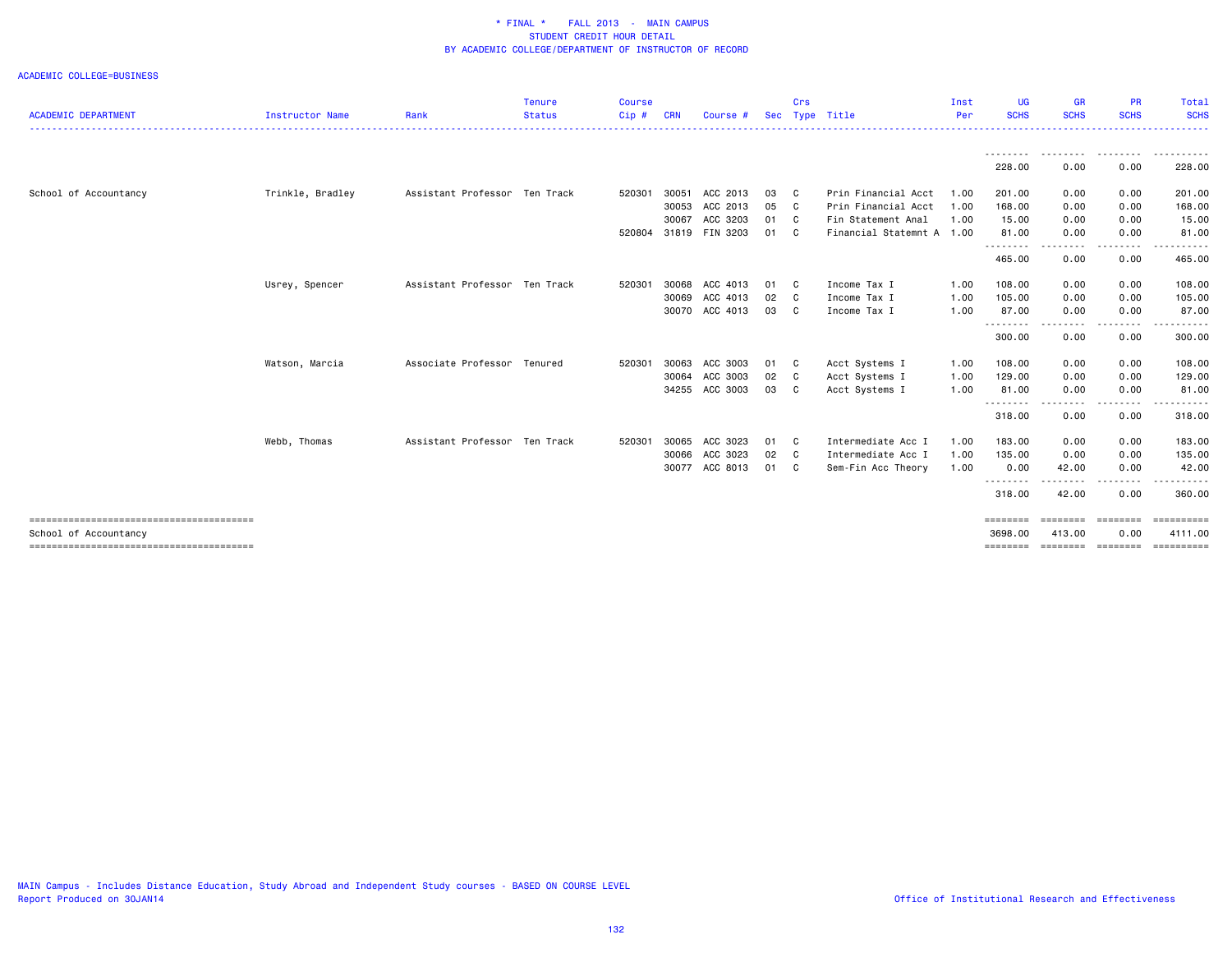| <b>ACADEMIC DEPARTMENT</b> | Instructor Name  | Rank                          | <b>Tenure</b><br><b>Status</b> | <b>Course</b><br>Cip# | <b>CRN</b> | Course #       | <b>Sec</b> | Crs                        | Type Title                | Inst<br>Per | UG<br><b>SCHS</b>         | <b>GR</b><br><b>SCHS</b> | <b>PR</b><br><b>SCHS</b> | Total<br><b>SCHS</b>      |
|----------------------------|------------------|-------------------------------|--------------------------------|-----------------------|------------|----------------|------------|----------------------------|---------------------------|-------------|---------------------------|--------------------------|--------------------------|---------------------------|
|                            |                  |                               |                                |                       |            |                |            |                            |                           |             |                           | .                        |                          |                           |
|                            |                  |                               |                                |                       |            |                |            |                            |                           |             | - - - - - - - -<br>228.00 | --------<br>0.00         | .<br>0.00                | <u>.</u><br>228.00        |
| School of Accountancy      | Trinkle, Bradley | Assistant Professor Ten Track |                                | 520301                | 30051      | ACC 2013       | 03         | $\mathbf{C}$               | Prin Financial Acct       | 1.00        | 201.00                    | 0.00                     | 0.00                     | 201.00                    |
|                            |                  |                               |                                |                       | 30053      | ACC 2013       | 05 C       |                            | Prin Financial Acct       | 1.00        | 168.00                    | 0.00                     | 0.00                     | 168.00                    |
|                            |                  |                               |                                |                       | 30067      | ACC 3203       | 01 C       |                            | Fin Statement Anal        | 1.00        | 15.00                     | 0.00                     | 0.00                     | 15.00                     |
|                            |                  |                               |                                | 520804                |            | 31819 FIN 3203 | 01 C       |                            | Financial Statemnt A 1.00 |             | 81.00<br><u>.</u>         | 0.00<br>.                | 0.00<br>.                | 81.00                     |
|                            |                  |                               |                                |                       |            |                |            |                            |                           |             | 465.00                    | 0.00                     | 0.00                     | 465.00                    |
|                            | Usrey, Spencer   | Assistant Professor Ten Track |                                | 520301                | 30068      | ACC 4013       | 01         | $\overline{\phantom{a}}$ C | Income Tax I              | 1.00        | 108.00                    | 0.00                     | 0.00                     | 108.00                    |
|                            |                  |                               |                                |                       | 30069      | ACC 4013       | 02 C       |                            | Income Tax I              | 1.00        | 105.00                    | 0.00                     | 0.00                     | 105.00                    |
|                            |                  |                               |                                |                       |            | 30070 ACC 4013 | 03 C       |                            | Income Tax I              | 1.00        | 87.00                     | 0.00                     | 0.00                     | 87.00                     |
|                            |                  |                               |                                |                       |            |                |            |                            |                           |             | --------<br>300.00        | - - - -<br>0.00          | 0.00                     | 300.00                    |
|                            | Watson, Marcia   | Associate Professor Tenured   |                                | 520301                | 30063      | ACC 3003       | 01 C       |                            | Acct Systems I            | 1.00        | 108.00                    | 0.00                     | 0.00                     | 108.00                    |
|                            |                  |                               |                                |                       |            | 30064 ACC 3003 | 02 C       |                            | Acct Systems I            | 1.00        | 129.00                    | 0.00                     | 0.00                     | 129.00                    |
|                            |                  |                               |                                |                       |            | 34255 ACC 3003 | 03 C       |                            | Acct Systems I            | 1.00        | 81.00                     | 0.00                     | 0.00                     | 81.00                     |
|                            |                  |                               |                                |                       |            |                |            |                            |                           |             | .<br>318.00               | .<br>0.00                | 0.00                     | 318.00                    |
|                            | Webb, Thomas     | Assistant Professor Ten Track |                                | 520301                | 30065      | ACC 3023       | 01         | $\mathbf{C}$               | Intermediate Acc I        | 1.00        | 183.00                    | 0.00                     | 0.00                     | 183.00                    |
|                            |                  |                               |                                |                       | 30066      | ACC 3023       | 02 C       |                            | Intermediate Acc I        | 1.00        | 135.00                    | 0.00                     | 0.00                     | 135.00                    |
|                            |                  |                               |                                |                       |            | 30077 ACC 8013 | 01 C       |                            | Sem-Fin Acc Theory        | 1.00        | 0.00                      | 42.00                    | 0.00                     | 42.00                     |
|                            |                  |                               |                                |                       |            |                |            |                            |                           |             | - - - - - - - -<br>318.00 | 42.00                    | 0.00                     | 360.00                    |
| School of Accountancy      |                  |                               |                                |                       |            |                |            |                            |                           |             | ========<br>3698,00       | ========<br>413,00       | ========<br>0.00         | $=$ ==========<br>4111.00 |
|                            |                  |                               |                                |                       |            |                |            |                            |                           |             | ========                  |                          | ========= ========       | <b>Expressed</b>          |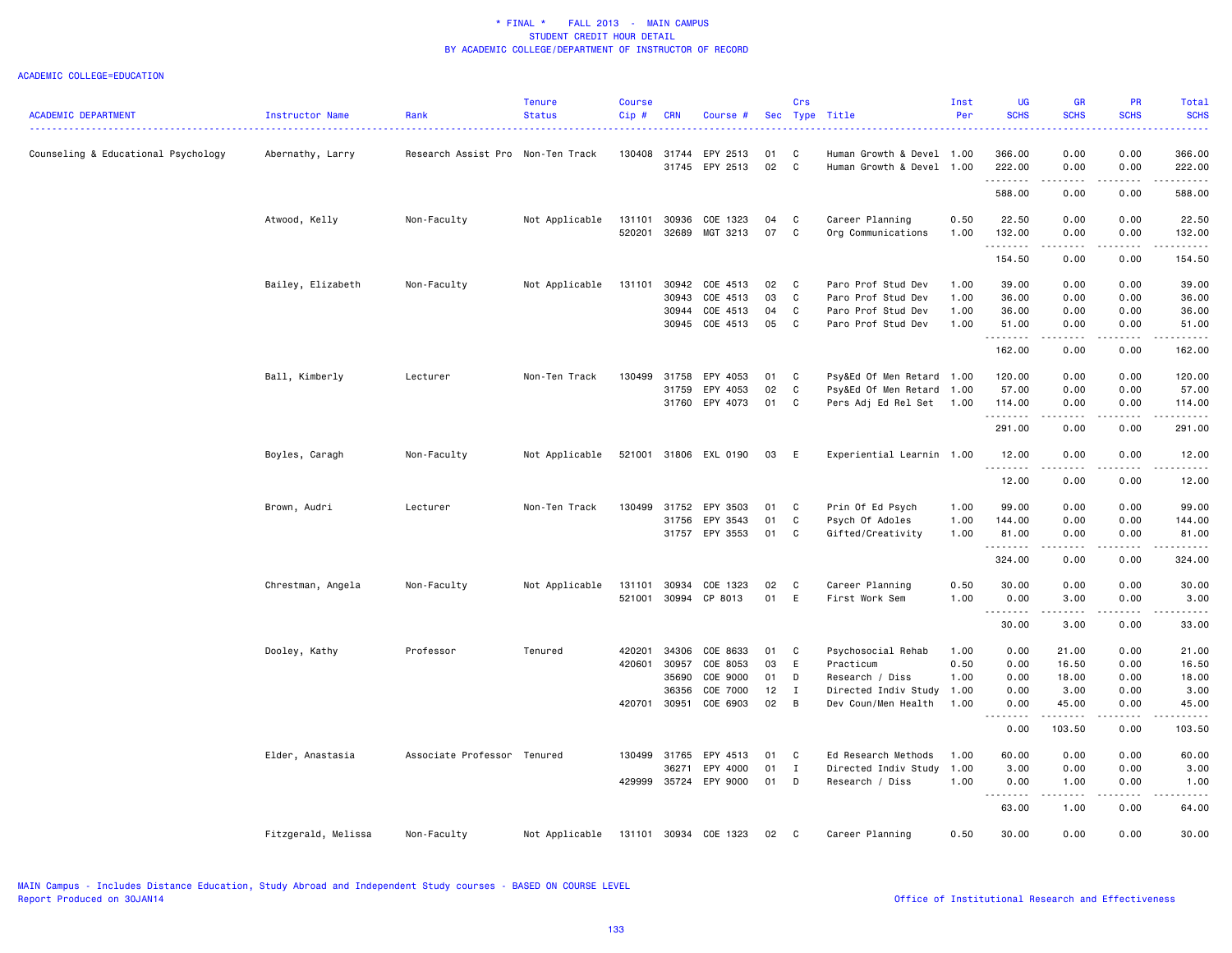|                                     |                     |                                   | <b>Tenure</b>  | Course       |            |                       |    | Crs          |                           | Inst | UG                 | <b>GR</b>                       | <b>PR</b>                           | Total                                                                                                                                                                                                                |
|-------------------------------------|---------------------|-----------------------------------|----------------|--------------|------------|-----------------------|----|--------------|---------------------------|------|--------------------|---------------------------------|-------------------------------------|----------------------------------------------------------------------------------------------------------------------------------------------------------------------------------------------------------------------|
| <b>ACADEMIC DEPARTMENT</b>          | Instructor Name     | Rank                              | <b>Status</b>  | Cip#         | <b>CRN</b> | Course #              |    |              | Sec Type Title            | Per  | <b>SCHS</b>        | <b>SCHS</b>                     | <b>SCHS</b>                         | <b>SCHS</b>                                                                                                                                                                                                          |
| Counseling & Educational Psychology | Abernathy, Larry    | Research Assist Pro Non-Ten Track |                | 130408       | 31744      | EPY 2513              | 01 | C            | Human Growth & Devel 1.00 |      | 366.00             | 0.00                            | 0.00                                | 366.00                                                                                                                                                                                                               |
|                                     |                     |                                   |                |              |            | 31745 EPY 2513        | 02 | $\mathbf{C}$ | Human Growth & Devel 1.00 |      | 222.00<br>.        | 0.00<br>-----                   | 0.00<br>.                           | 222.00<br>$\frac{1}{2} \left( \frac{1}{2} \right) \left( \frac{1}{2} \right) \left( \frac{1}{2} \right) \left( \frac{1}{2} \right) \left( \frac{1}{2} \right) \left( \frac{1}{2} \right) \left( \frac{1}{2} \right)$ |
|                                     |                     |                                   |                |              |            |                       |    |              |                           |      | 588.00             | 0.00                            | 0.00                                | 588.00                                                                                                                                                                                                               |
|                                     | Atwood, Kelly       | Non-Faculty                       | Not Applicable | 131101       | 30936      | COE 1323              | 04 | C            | Career Planning           | 0.50 | 22.50              | 0.00                            | 0.00                                | 22.50                                                                                                                                                                                                                |
|                                     |                     |                                   |                | 520201       |            | 32689 MGT 3213        | 07 | C            | Org Communications        | 1.00 | 132.00             | 0.00                            | 0.00                                | 132.00                                                                                                                                                                                                               |
|                                     |                     |                                   |                |              |            |                       |    |              |                           |      | .<br>154.50        | المتماما<br>0.00                | .<br>0.00                           | .<br>154.50                                                                                                                                                                                                          |
|                                     | Bailey, Elizabeth   | Non-Faculty                       | Not Applicable | 131101       | 30942      | COE 4513              | 02 | C            | Paro Prof Stud Dev        | 1.00 | 39.00              | 0.00                            | 0.00                                | 39.00                                                                                                                                                                                                                |
|                                     |                     |                                   |                |              | 30943      | COE 4513              | 03 | C.           | Paro Prof Stud Dev        | 1.00 | 36.00              | 0.00                            | 0.00                                | 36.00                                                                                                                                                                                                                |
|                                     |                     |                                   |                |              | 30944      | COE 4513              | 04 | C            | Paro Prof Stud Dev        | 1.00 | 36.00              | 0.00                            | 0.00                                | 36.00                                                                                                                                                                                                                |
|                                     |                     |                                   |                |              |            | 30945 COE 4513        | 05 | C            | Paro Prof Stud Dev        | 1.00 | 51.00              | 0.00                            | 0.00                                | 51.00                                                                                                                                                                                                                |
|                                     |                     |                                   |                |              |            |                       |    |              |                           |      | .<br>162.00        | $\omega$ is $\omega$ in<br>0.00 | .<br>0.00                           | .<br>162.00                                                                                                                                                                                                          |
|                                     |                     | Lecturer                          | Non-Ten Track  | 130499       | 31758      | EPY 4053              | 01 | $\mathbf{C}$ | Psy&Ed Of Men Retard 1.00 |      | 120.00             | 0.00                            | 0.00                                | 120.00                                                                                                                                                                                                               |
|                                     | Ball, Kimberly      |                                   |                |              | 31759      | EPY 4053              | 02 | C            | Psy&Ed Of Men Retard 1.00 |      | 57.00              | 0.00                            | 0.00                                | 57.00                                                                                                                                                                                                                |
|                                     |                     |                                   |                |              |            |                       |    |              |                           |      |                    |                                 |                                     |                                                                                                                                                                                                                      |
|                                     |                     |                                   |                |              |            | 31760 EPY 4073        | 01 | C            | Pers Adj Ed Rel Set       | 1.00 | 114.00<br>.        | 0.00<br>.                       | 0.00<br>.                           | 114.00<br>.                                                                                                                                                                                                          |
|                                     |                     |                                   |                |              |            |                       |    |              |                           |      | 291.00             | 0.00                            | 0.00                                | 291.00                                                                                                                                                                                                               |
|                                     | Boyles, Caragh      | Non-Faculty                       | Not Applicable |              |            | 521001 31806 EXL 0190 | 03 | - E          | Experiential Learnin 1.00 |      | 12.00<br>.         | 0.00                            | 0.00                                | 12.00                                                                                                                                                                                                                |
|                                     |                     |                                   |                |              |            |                       |    |              |                           |      | 12.00              | 0.00                            | 0.00                                | 12.00                                                                                                                                                                                                                |
|                                     | Brown, Audri        | Lecturer                          | Non-Ten Track  | 130499       | 31752      | EPY 3503              | 01 | <b>C</b>     | Prin Of Ed Psych          | 1.00 | 99.00              | 0.00                            | 0.00                                | 99.00                                                                                                                                                                                                                |
|                                     |                     |                                   |                |              | 31756      | EPY 3543              | 01 | C            | Psych Of Adoles           | 1.00 | 144.00             | 0.00                            | 0.00                                | 144.00                                                                                                                                                                                                               |
|                                     |                     |                                   |                |              |            | 31757 EPY 3553        | 01 | C            | Gifted/Creativity         | 1.00 | 81.00              | 0.00                            | 0.00                                | 81.00                                                                                                                                                                                                                |
|                                     |                     |                                   |                |              |            |                       |    |              |                           |      | .                  | .                               | .                                   | .                                                                                                                                                                                                                    |
|                                     |                     |                                   |                |              |            |                       |    |              |                           |      | 324.00             | 0.00                            | 0.00                                | 324.00                                                                                                                                                                                                               |
|                                     | Chrestman, Angela   | Non-Faculty                       | Not Applicable | 131101       | 30934      | COE 1323              | 02 | C            | Career Planning           | 0.50 | 30.00              | 0.00                            | 0.00                                | 30.00                                                                                                                                                                                                                |
|                                     |                     |                                   |                | 521001       |            | 30994 CP 8013         | 01 | E            | First Work Sem            | 1.00 | 0.00               | 3.00                            | 0.00                                | 3.00                                                                                                                                                                                                                 |
|                                     |                     |                                   |                |              |            |                       |    |              |                           |      | .                  | .                               | .                                   | .                                                                                                                                                                                                                    |
|                                     |                     |                                   |                |              |            |                       |    |              |                           |      | 30.00              | 3.00                            | 0.00                                | 33.00                                                                                                                                                                                                                |
|                                     | Dooley, Kathy       | Professor                         | Tenured        | 420201       | 34306      | COE 8633              | 01 | C            | Psychosocial Rehab        | 1.00 | 0.00               | 21.00                           | 0.00                                | 21.00                                                                                                                                                                                                                |
|                                     |                     |                                   |                | 420601       | 30957      | COE 8053              | 03 | E            | Practicum                 | 0.50 | 0.00               | 16.50                           | 0.00                                | 16.50                                                                                                                                                                                                                |
|                                     |                     |                                   |                |              | 35690      | COE 9000              | 01 | D            | Research / Diss           | 1.00 | 0.00               | 18.00                           | 0.00                                | 18.00                                                                                                                                                                                                                |
|                                     |                     |                                   |                |              | 36356      | COE 7000              | 12 | $\mathbf{I}$ | Directed Indiv Study      | 1.00 | 0.00               | 3.00                            | 0.00                                | 3.00                                                                                                                                                                                                                 |
|                                     |                     |                                   |                | 420701 30951 |            | COE 6903              | 02 | B            | Dev Coun/Men Health       | 1.00 | 0.00               | 45.00                           | 0.00                                | 45.00                                                                                                                                                                                                                |
|                                     |                     |                                   |                |              |            |                       |    |              |                           |      | . <b>.</b><br>0.00 | .<br>103.50                     | $\sim$ $\sim$ $\sim$ $\sim$<br>0.00 | -----<br>103.50                                                                                                                                                                                                      |
|                                     | Elder, Anastasia    | Associate Professor               | Tenured        | 130499       | 31765      | EPY 4513              | 01 | C            | Ed Research Methods       | 1.00 | 60.00              | 0.00                            | 0.00                                | 60.00                                                                                                                                                                                                                |
|                                     |                     |                                   |                |              | 36271      | EPY 4000              | 01 | $\mathbf{I}$ | Directed Indiv Study      | 1.00 | 3.00               | 0.00                            | 0.00                                | 3.00                                                                                                                                                                                                                 |
|                                     |                     |                                   |                |              |            | 429999 35724 EPY 9000 | 01 | D            | Research / Diss           | 1.00 | 0.00               | 1.00                            | 0.00                                | 1.00                                                                                                                                                                                                                 |
|                                     |                     |                                   |                |              |            |                       |    |              |                           |      | .                  | د د د د                         | .                                   | . <u>.</u> .                                                                                                                                                                                                         |
|                                     |                     |                                   |                |              |            |                       |    |              |                           |      | 63.00              | 1.00                            | 0.00                                | 64.00                                                                                                                                                                                                                |
|                                     | Fitzgerald, Melissa | Non-Faculty                       | Not Applicable |              |            | 131101 30934 COE 1323 | 02 | C            | Career Planning           | 0.50 | 30.00              | 0.00                            | 0.00                                | 30.00                                                                                                                                                                                                                |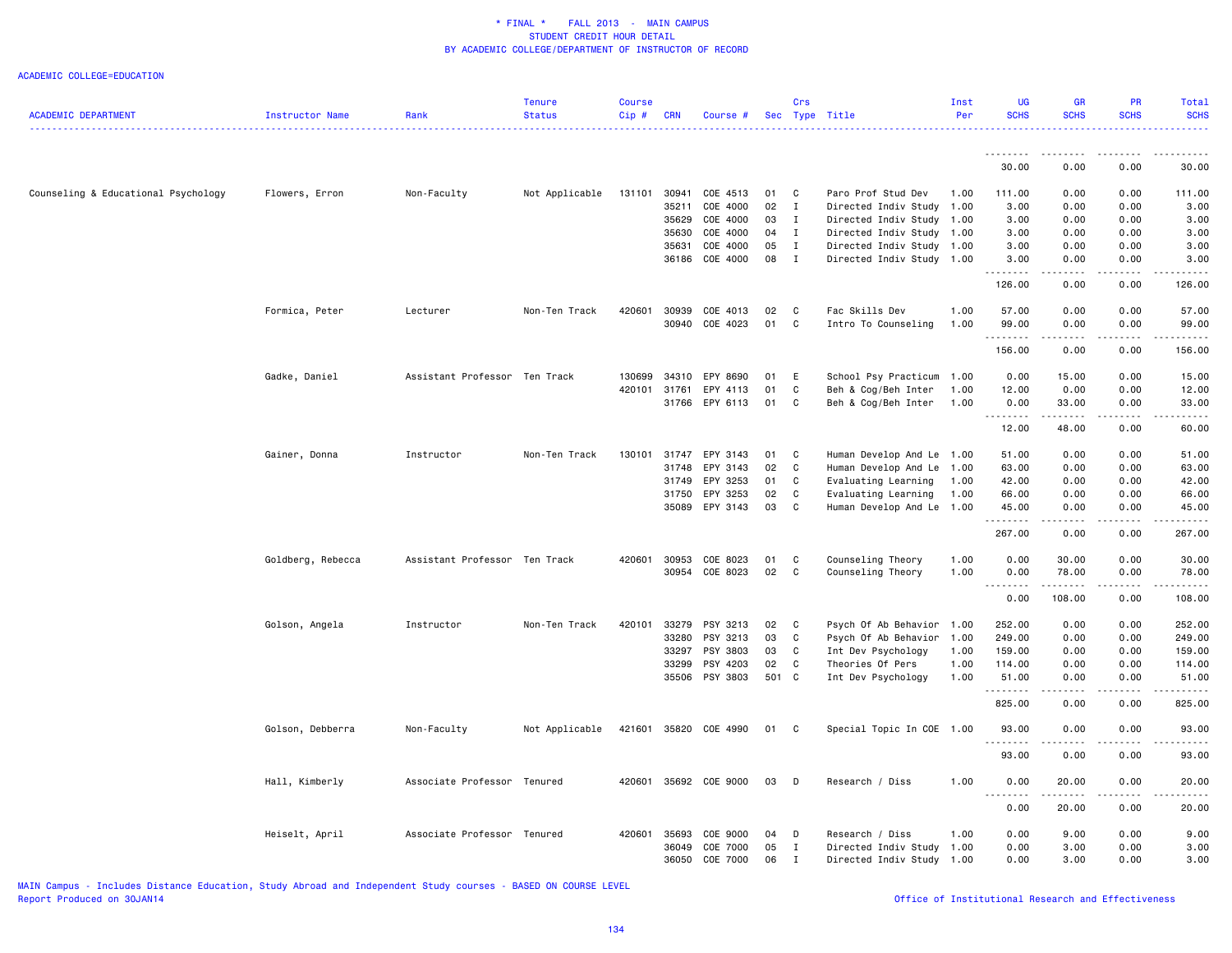ACADEMIC COLLEGE=EDUCATION

| <b>ACADEMIC DEPARTMENT</b>          | Instructor Name   | Rank                          | <b>Tenure</b><br><b>Status</b> | <b>Course</b><br>Cip# | <b>CRN</b> | Course #       |       | Crs            | Sec Type Title            | Inst<br>Per | UG<br><b>SCHS</b> | <b>GR</b><br><b>SCHS</b>     | <b>PR</b><br><b>SCHS</b> | Total<br><b>SCHS</b> |
|-------------------------------------|-------------------|-------------------------------|--------------------------------|-----------------------|------------|----------------|-------|----------------|---------------------------|-------------|-------------------|------------------------------|--------------------------|----------------------|
|                                     |                   |                               |                                |                       |            |                |       |                |                           |             | .                 | د د د د                      | .                        |                      |
|                                     |                   |                               |                                |                       |            |                |       |                |                           |             | 30.00             | 0.00                         | 0.00                     | 30.00                |
| Counseling & Educational Psychology | Flowers, Erron    | Non-Faculty                   | Not Applicable                 | 131101                | 30941      | COE 4513       | 01    | $\mathbf{C}$   | Paro Prof Stud Dev        | 1.00        | 111.00            | 0.00                         | 0.00                     | 111.00               |
|                                     |                   |                               |                                |                       | 35211      | COE 4000       | 02    | $\mathbf{I}$   | Directed Indiv Study      | 1.00        | 3.00              | 0.00                         | 0.00                     | 3.00                 |
|                                     |                   |                               |                                |                       | 35629      | COE 4000       | 03    | $\mathbf{I}$   | Directed Indiv Study      | 1.00        | 3.00              | 0.00                         | 0.00                     | 3.00                 |
|                                     |                   |                               |                                |                       |            | 35630 COE 4000 | 04    | I              | Directed Indiv Study      | 1.00        | 3.00              | 0.00                         | 0.00                     | 3.00                 |
|                                     |                   |                               |                                |                       | 35631      | COE 4000       | 05    | $\mathbf{I}$   | Directed Indiv Study      | 1.00        | 3.00              | 0.00                         | 0.00                     | 3.00                 |
|                                     |                   |                               |                                |                       |            | 36186 COE 4000 | 08    | $\mathbf{I}$   | Directed Indiv Study      | 1.00        | 3.00<br>.         | 0.00                         | 0.00                     | 3.00                 |
|                                     |                   |                               |                                |                       |            |                |       |                |                           |             | 126.00            | 0.00                         | 0.00                     | 126.00               |
|                                     | Formica, Peter    | Lecturer                      | Non-Ten Track                  | 420601                |            | 30939 COE 4013 | 02    | $\mathbf{C}$   | Fac Skills Dev            | 1.00        | 57.00             | 0.00                         | 0.00                     | 57.00                |
|                                     |                   |                               |                                |                       |            | 30940 COE 4023 | 01    | C              | Intro To Counseling       | 1.00        | 99.00<br>.        | 0.00<br>$\sim$ $\sim$ $\sim$ | 0.00                     | 99.00                |
|                                     |                   |                               |                                |                       |            |                |       |                |                           |             | 156.00            | 0.00                         | 0.00                     | 156.00               |
|                                     | Gadke, Daniel     | Assistant Professor Ten Track |                                | 130699                | 34310      | EPY 8690       | 01    | E              | School Psy Practicum      | 1.00        | 0.00              | 15.00                        | 0.00                     | 15.00                |
|                                     |                   |                               |                                | 420101                | 31761      | EPY 4113       | 01    | $\mathtt{C}$   | Beh & Cog/Beh Inter       | 1.00        | 12.00             | 0.00                         | 0.00                     | 12.00                |
|                                     |                   |                               |                                |                       | 31766      | EPY 6113       | 01    | C              | Beh & Cog/Beh Inter       | 1.00        | 0.00<br>.         | 33.00<br>.                   | 0.00<br>$- - - -$        | 33.00                |
|                                     |                   |                               |                                |                       |            |                |       |                |                           |             | 12.00             | 48.00                        | 0.00                     | 60.00                |
|                                     | Gainer, Donna     | Instructor                    | Non-Ten Track                  | 130101                | 31747      | EPY 3143       | 01    | $\mathbf{C}$   | Human Develop And Le      | 1.00        | 51.00             | 0.00                         | 0.00                     | 51.00                |
|                                     |                   |                               |                                |                       | 31748      | EPY 3143       | 02    | $\mathbf{C}$   | Human Develop And Le      | 1.00        | 63.00             | 0.00                         | 0.00                     | 63.00                |
|                                     |                   |                               |                                |                       | 31749      | EPY 3253       | 01    | C              | Evaluating Learning       | 1.00        | 42.00             | 0.00                         | 0.00                     | 42.00                |
|                                     |                   |                               |                                |                       |            | 31750 EPY 3253 | 02    | C              | Evaluating Learning       | 1.00        | 66.00             | 0.00                         | 0.00                     | 66.00                |
|                                     |                   |                               |                                |                       |            | 35089 EPY 3143 | 03    | C              | Human Develop And Le      | 1.00        | 45.00             | 0.00                         | 0.00                     | 45.00                |
|                                     |                   |                               |                                |                       |            |                |       |                |                           |             | 267.00            | 0.00                         | 0.00                     | 267.00               |
|                                     | Goldberg, Rebecca | Assistant Professor Ten Track |                                | 420601                | 30953      | COE 8023       | 01    | C              | Counseling Theory         | 1.00        | 0.00              | 30.00                        | 0.00                     | 30.00                |
|                                     |                   |                               |                                |                       |            | 30954 COE 8023 | 02    | $\mathbf{C}$   | Counseling Theory         | 1.00        | 0.00              | 78.00                        | 0.00                     | 78.00                |
|                                     |                   |                               |                                |                       |            |                |       |                |                           |             | .<br>0.00         | 108.00                       | 0.00                     | 108.00               |
|                                     | Golson, Angela    | Instructor                    | Non-Ten Track                  | 420101                | 33279      | PSY 3213       | 02    | $\mathbf{C}$   | Psych Of Ab Behavior 1.00 |             | 252.00            | 0.00                         | 0.00                     | 252.00               |
|                                     |                   |                               |                                |                       | 33280      | PSY 3213       | 03    | C              | Psych Of Ab Behavior      | 1.00        | 249.00            | 0.00                         | 0.00                     | 249.00               |
|                                     |                   |                               |                                |                       | 33297      | PSY 3803       | 03    | $\mathbf{C}$   | Int Dev Psychology        | 1.00        | 159.00            | 0.00                         | 0.00                     | 159.00               |
|                                     |                   |                               |                                |                       | 33299      | PSY 4203       | 02    | $\mathbf{C}$   | Theories Of Pers          | 1.00        | 114.00            | 0.00                         | 0.00                     | 114.00               |
|                                     |                   |                               |                                |                       |            | 35506 PSY 3803 | 501 C |                | Int Dev Psychology        | 1.00        | 51.00             | 0.00                         | 0.00                     | 51.00                |
|                                     |                   |                               |                                |                       |            |                |       |                |                           |             | .<br>825.00       | 0.00                         | 0.00                     | 825.00               |
|                                     | Golson, Debberra  | Non-Faculty                   | Not Applicable                 | 421601                |            | 35820 COE 4990 | 01    | $\overline{c}$ | Special Topic In COE 1.00 |             | 93.00             | 0.00                         | 0.00                     | 93.00                |
|                                     |                   |                               |                                |                       |            |                |       |                |                           |             | .<br>93.00        | $\sim$ $\sim$ $\sim$<br>0.00 | 0.00                     | 93.00                |
|                                     | Hall, Kimberly    | Associate Professor Tenured   |                                | 420601                |            | 35692 COE 9000 | 03 D  |                | Research / Diss           | 1.00        | 0.00              | 20.00                        | 0.00                     | 20.00                |
|                                     |                   |                               |                                |                       |            |                |       |                |                           |             | .<br>0.00         | $- - - - -$<br>20.00         | 0.00                     | 20.00                |
|                                     | Heiselt, April    | Associate Professor Tenured   |                                | 420601                | 35693      | COE 9000       | 04    | D              | Research / Diss           | 1.00        | 0.00              | 9.00                         | 0.00                     | 9.00                 |
|                                     |                   |                               |                                |                       |            | 36049 COE 7000 | 05    | $\mathbf I$    | Directed Indiv Study      | 1.00        | 0.00              | 3.00                         | 0.00                     | 3.00                 |
|                                     |                   |                               |                                |                       | 36050      | COE 7000       | 06    | I              | Directed Indiv Study      | 1.00        | 0.00              | 3.00                         | 0.00                     | 3.00                 |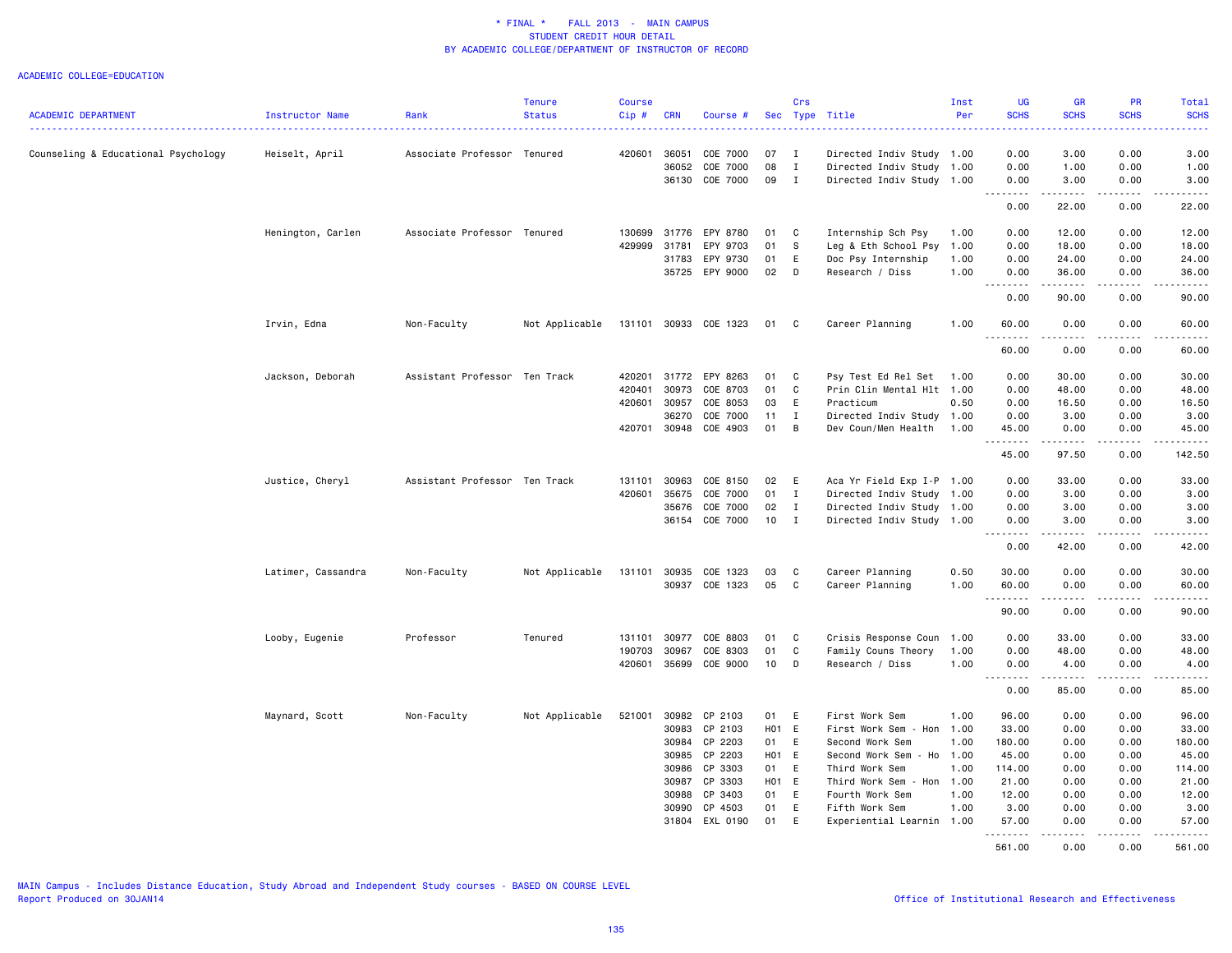|                                     |                    |                               | <b>Tenure</b>  | <b>Course</b> |                |                     |          | Crs          |                           | Inst | <b>UG</b>                              | GR                                                                                                                                                           | PR                    | Total               |
|-------------------------------------|--------------------|-------------------------------|----------------|---------------|----------------|---------------------|----------|--------------|---------------------------|------|----------------------------------------|--------------------------------------------------------------------------------------------------------------------------------------------------------------|-----------------------|---------------------|
| <b>ACADEMIC DEPARTMENT</b>          | Instructor Name    | Rank                          | <b>Status</b>  | Cip#          | <b>CRN</b>     | Course #            | Sec      |              | Type Title                | Per  | <b>SCHS</b>                            | <b>SCHS</b>                                                                                                                                                  | <b>SCHS</b>           | <b>SCHS</b>         |
| Counseling & Educational Psychology | Heiselt, April     | Associate Professor Tenured   |                | 420601        | 36051          | COE 7000            | 07       | I            | Directed Indiv Study 1.00 |      | 0.00                                   | 3.00                                                                                                                                                         | 0.00                  | 3.00                |
|                                     |                    |                               |                |               | 36052          | COE 7000            | 08       | $\mathbf{I}$ | Directed Indiv Study 1.00 |      | 0.00                                   | 1.00                                                                                                                                                         | 0.00                  | 1.00                |
|                                     |                    |                               |                |               |                | 36130 COE 7000      | 09       | $\mathbf{I}$ | Directed Indiv Study 1.00 |      | 0.00                                   | 3.00                                                                                                                                                         | 0.00                  | 3.00                |
|                                     |                    |                               |                |               |                |                     |          |              |                           |      | .<br>$\sim$ $\sim$ .                   | .                                                                                                                                                            | .                     | .                   |
|                                     |                    |                               |                |               |                |                     |          |              |                           |      | 0.00                                   | 22.00                                                                                                                                                        | 0.00                  | 22.00               |
|                                     | Henington, Carlen  | Associate Professor Tenured   |                | 130699        | 31776          | EPY 8780            | 01       | C            | Internship Sch Psy        | 1.00 | 0.00                                   | 12.00                                                                                                                                                        | 0.00                  | 12.00               |
|                                     |                    |                               |                | 429999        | 31781          | EPY 9703            | 01       | <b>S</b>     | Leg & Eth School Psy      | 1.00 | 0.00                                   | 18.00                                                                                                                                                        | 0.00                  | 18.00               |
|                                     |                    |                               |                |               | 31783          | EPY 9730            | 01       | E            | Doc Psy Internship        | 1.00 | 0.00                                   | 24.00                                                                                                                                                        | 0.00                  | 24.00               |
|                                     |                    |                               |                |               | 35725          | EPY 9000            | 02       | D            | Research / Diss           | 1.00 | 0.00<br>.                              | 36.00<br>.                                                                                                                                                   | 0.00<br>.             | 36.00<br>.          |
|                                     |                    |                               |                |               |                |                     |          |              |                           |      | 0.00                                   | 90.00                                                                                                                                                        | 0.00                  | 90.00               |
|                                     | Irvin, Edna        | Non-Faculty                   | Not Applicable |               | 131101 30933   | COE 1323            | 01       | C            | Career Planning           | 1.00 | 60.00<br>.                             | 0.00<br>$\frac{1}{2} \left( \frac{1}{2} \right) \left( \frac{1}{2} \right) \left( \frac{1}{2} \right) \left( \frac{1}{2} \right) \left( \frac{1}{2} \right)$ | 0.00<br>.             | 60.00<br>.          |
|                                     |                    |                               |                |               |                |                     |          |              |                           |      | 60.00                                  | 0.00                                                                                                                                                         | 0.00                  | 60.00               |
|                                     | Jackson, Deborah   | Assistant Professor Ten Track |                | 420201        | 31772          | EPY 8263            | 01       | C            | Psy Test Ed Rel Set       | 1.00 | 0.00                                   | 30.00                                                                                                                                                        | 0.00                  | 30.00               |
|                                     |                    |                               |                | 420401        | 30973          | COE 8703            | 01       | C            | Prin Clin Mental Hlt 1.00 |      | 0.00                                   | 48.00                                                                                                                                                        | 0.00                  | 48.00               |
|                                     |                    |                               |                | 420601        | 30957          | COE 8053            | 03       | E            | Practicum                 | 0.50 | 0.00                                   | 16.50                                                                                                                                                        | 0.00                  | 16.50               |
|                                     |                    |                               |                |               | 36270          | COE 7000            | 11       | $\mathbf{I}$ | Directed Indiv Study 1.00 |      | 0.00                                   | 3.00                                                                                                                                                         | 0.00                  | 3.00                |
|                                     |                    |                               |                |               | 420701 30948   | COE 4903            | 01       | B            | Dev Coun/Men Health 1.00  |      | 45.00<br>.                             | 0.00<br>.                                                                                                                                                    | 0.00<br>.             | 45.00<br>.          |
|                                     |                    |                               |                |               |                |                     |          |              |                           |      | 45.00                                  | 97.50                                                                                                                                                        | 0.00                  | 142.50              |
|                                     | Justice, Cheryl    | Assistant Professor Ten Track |                | 131101        | 30963          | COE 8150            | 02       | Ε            | Aca Yr Field Exp I-P 1.00 |      | 0.00                                   | 33.00                                                                                                                                                        | 0.00                  | 33.00               |
|                                     |                    |                               |                | 420601        | 35675          | COE 7000            | 01       | $\mathbf{I}$ | Directed Indiv Study 1.00 |      | 0.00                                   | 3.00                                                                                                                                                         | 0.00                  | 3.00                |
|                                     |                    |                               |                |               | 35676          | COE 7000            | 02       | $\mathbf{I}$ | Directed Indiv Study 1.00 |      | 0.00                                   | 3.00                                                                                                                                                         | 0.00                  | 3.00                |
|                                     |                    |                               |                |               | 36154          | COE 7000            | 10       | $\;$ I       | Directed Indiv Study 1.00 |      | 0.00                                   | 3.00                                                                                                                                                         | 0.00                  | 3.00                |
|                                     |                    |                               |                |               |                |                     |          |              |                           |      | $\sim$ $\sim$<br>0.00                  | 42.00                                                                                                                                                        | 0.00                  | 42.00               |
|                                     | Latimer, Cassandra | Non-Faculty                   | Not Applicable | 131101        | 30935          | COE 1323            | 03       | C            | Career Planning           | 0.50 | 30.00                                  | 0.00                                                                                                                                                         | 0.00                  | 30.00               |
|                                     |                    |                               |                |               |                | 30937 COE 1323      | 05       | C            | Career Planning           | 1.00 | 60.00                                  | 0.00                                                                                                                                                         | 0.00                  | 60.00               |
|                                     |                    |                               |                |               |                |                     |          |              |                           |      | . <b>.</b>                             | .                                                                                                                                                            | .                     | .                   |
|                                     |                    |                               |                |               |                |                     |          |              |                           |      | 90.00                                  | 0.00                                                                                                                                                         | 0.00                  | 90.00               |
|                                     | Looby, Eugenie     | Professor                     | Tenured        | 131101        | 30977          | COE 8803            | 01       | C            | Crisis Response Coun      | 1.00 | 0.00                                   | 33.00                                                                                                                                                        | 0.00                  | 33.00               |
|                                     |                    |                               |                | 190703        | 30967          | COE 8303            | 01       | C            | Family Couns Theory       | 1.00 | 0.00                                   | 48.00                                                                                                                                                        | 0.00                  | 48.00               |
|                                     |                    |                               |                | 420601        | 35699          | COE 9000            | 10       | D            | Research / Diss           | 1.00 | 0.00<br>$\sim$ $\sim$<br>$\frac{1}{2}$ | 4.00<br>-----                                                                                                                                                | 0.00<br>$\frac{1}{2}$ | 4.00<br>$- - - - -$ |
|                                     |                    |                               |                |               |                |                     |          |              |                           |      | 0.00                                   | 85.00                                                                                                                                                        | 0.00                  | 85.00               |
|                                     | Maynard, Scott     | Non-Faculty                   | Not Applicable | 521001        | 30982          | CP 2103             | 01       | E            | First Work Sem            | 1.00 | 96.00                                  | 0.00                                                                                                                                                         | 0.00                  | 96.00               |
|                                     |                    |                               |                |               | 30983          | CP 2103             | H01 E    |              | First Work Sem - Hon      | 1.00 | 33.00                                  | 0.00                                                                                                                                                         | 0.00                  | 33.00               |
|                                     |                    |                               |                |               | 30984          | CP 2203             | 01       | E            | Second Work Sem           | 1.00 | 180.00                                 | 0.00                                                                                                                                                         | 0.00                  | 180.00              |
|                                     |                    |                               |                |               | 30985          | CP 2203             | H01 E    |              | Second Work Sem - Ho 1.00 |      | 45.00                                  | 0.00                                                                                                                                                         | 0.00                  | 45.00               |
|                                     |                    |                               |                |               | 30986          | CP 3303             | 01       | E            | Third Work Sem            | 1.00 | 114.00                                 | 0.00                                                                                                                                                         | 0.00                  | 114.00              |
|                                     |                    |                               |                |               | 30987          | CP 3303             | H01 E    |              | Third Work Sem - Hon      | 1.00 | 21.00                                  | 0.00                                                                                                                                                         | 0.00                  | 21.00               |
|                                     |                    |                               |                |               | 30988          | CP 3403             | 01       | E            | Fourth Work Sem           | 1.00 | 12.00                                  | 0.00                                                                                                                                                         | 0.00<br>0.00          | 12.00               |
|                                     |                    |                               |                |               | 30990<br>31804 | CP 4503<br>EXL 0190 | 01<br>01 | E<br>E       | Fifth Work Sem            | 1.00 | 3.00<br>57.00                          | 0.00<br>0.00                                                                                                                                                 | 0.00                  | 3.00<br>57.00       |
|                                     |                    |                               |                |               |                |                     |          |              | Experiential Learnin 1.00 |      | <u>.</u>                               | .                                                                                                                                                            | .                     | .                   |
|                                     |                    |                               |                |               |                |                     |          |              |                           |      | 561.00                                 | 0.00                                                                                                                                                         | 0.00                  | 561.00              |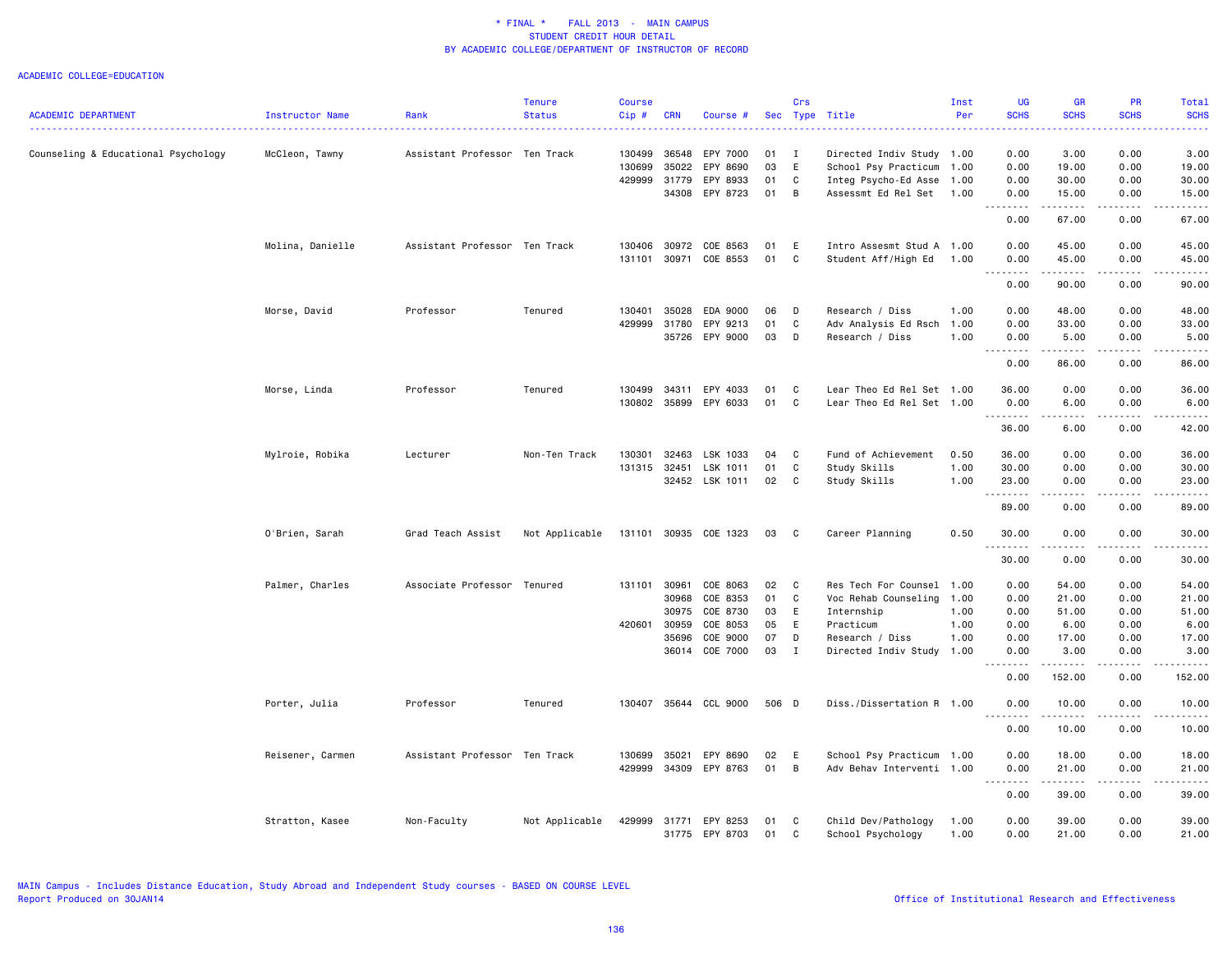| <b>ACADEMIC DEPARTMENT</b>          | Instructor Name  | Rank                          | <b>Tenure</b><br><b>Status</b> | <b>Course</b><br>Cip# | <b>CRN</b>   | Course #       |       | Crs | Sec Type Title            | Inst<br>Per | <b>UG</b><br><b>SCHS</b>                                                                                                                                                                                                                                                                                                                                                                                                                                                                        | <b>GR</b><br><b>SCHS</b> | PR<br><b>SCHS</b>           | <b>Total</b><br><b>SCHS</b>                 |
|-------------------------------------|------------------|-------------------------------|--------------------------------|-----------------------|--------------|----------------|-------|-----|---------------------------|-------------|-------------------------------------------------------------------------------------------------------------------------------------------------------------------------------------------------------------------------------------------------------------------------------------------------------------------------------------------------------------------------------------------------------------------------------------------------------------------------------------------------|--------------------------|-----------------------------|---------------------------------------------|
|                                     |                  |                               |                                |                       |              |                |       |     |                           |             |                                                                                                                                                                                                                                                                                                                                                                                                                                                                                                 |                          |                             |                                             |
| Counseling & Educational Psychology | McCleon, Tawny   | Assistant Professor Ten Track |                                | 130499                | 36548        | EPY 7000       | 01    | - I | Directed Indiv Study 1.00 |             | 0.00                                                                                                                                                                                                                                                                                                                                                                                                                                                                                            | 3.00                     | 0.00                        | 3.00                                        |
|                                     |                  |                               |                                | 130699                | 35022        | EPY 8690       | 03    | E   | School Psy Practicum      | 1.00        | 0.00                                                                                                                                                                                                                                                                                                                                                                                                                                                                                            | 19.00                    | 0.00                        | 19.00                                       |
|                                     |                  |                               |                                | 429999                | 31779        | EPY 8933       | 01    | C   | Integ Psycho-Ed Asse      | 1.00        | 0.00                                                                                                                                                                                                                                                                                                                                                                                                                                                                                            | 30.00                    | 0.00                        | 30.00                                       |
|                                     |                  |                               |                                |                       | 34308        | EPY 8723       | 01    | B   | Assessmt Ed Rel Set       | 1.00        | 0.00<br>$\frac{1}{2} \left( \frac{1}{2} \right) \left( \frac{1}{2} \right) \left( \frac{1}{2} \right) \left( \frac{1}{2} \right) \left( \frac{1}{2} \right)$<br>$\sim$ $\sim$ $\sim$                                                                                                                                                                                                                                                                                                            | 15.00<br>.               | 0.00                        | 15.00                                       |
|                                     |                  |                               |                                |                       |              |                |       |     |                           |             | 0.00                                                                                                                                                                                                                                                                                                                                                                                                                                                                                            | 67.00                    | 0.00                        | 67.00                                       |
|                                     | Molina, Danielle | Assistant Professor Ten Track |                                | 130406                | 30972        | COE 8563       | 01    | E   | Intro Assesmt Stud A 1.00 |             | 0.00                                                                                                                                                                                                                                                                                                                                                                                                                                                                                            | 45.00                    | 0.00                        | 45.00                                       |
|                                     |                  |                               |                                |                       | 131101 30971 | COE 8553       | 01    | C   | Student Aff/High Ed       | 1.00        | 0.00<br>$- - - - -$<br>$\sim$ $\sim$ $\sim$                                                                                                                                                                                                                                                                                                                                                                                                                                                     | 45.00<br>$- - - - - - -$ | 0.00<br>.                   | 45.00<br>.                                  |
|                                     |                  |                               |                                |                       |              |                |       |     |                           |             | 0.00                                                                                                                                                                                                                                                                                                                                                                                                                                                                                            | 90.00                    | 0.00                        | 90.00                                       |
|                                     | Morse, David     | Professor                     | Tenured                        | 130401                | 35028        | EDA 9000       | 06    | D   | Research / Diss           | 1.00        | 0.00                                                                                                                                                                                                                                                                                                                                                                                                                                                                                            | 48.00                    | 0.00                        | 48.00                                       |
|                                     |                  |                               |                                | 429999                | 31780        | EPY 9213       | 01    | C   | Adv Analysis Ed Rsch      | 1.00        | 0.00                                                                                                                                                                                                                                                                                                                                                                                                                                                                                            | 33.00                    | 0.00                        | 33.00                                       |
|                                     |                  |                               |                                |                       | 35726        | EPY 9000       | 03    | D   | Research / Diss           | 1.00        | 0.00<br>.                                                                                                                                                                                                                                                                                                                                                                                                                                                                                       | 5.00<br>$\frac{1}{2}$    | 0.00<br>$   -$              | 5.00<br>.                                   |
|                                     |                  |                               |                                |                       |              |                |       |     |                           |             | 0.00                                                                                                                                                                                                                                                                                                                                                                                                                                                                                            | 86.00                    | 0.00                        | 86.00                                       |
|                                     | Morse, Linda     | Professor                     | Tenured                        | 130499                | 34311        | EPY 4033       | 01    | C   | Lear Theo Ed Rel Set 1.00 |             | 36.00                                                                                                                                                                                                                                                                                                                                                                                                                                                                                           | 0.00                     | 0.00                        | 36.00                                       |
|                                     |                  |                               |                                | 130802                | 35899        | EPY 6033       | 01    | C   | Lear Theo Ed Rel Set 1.00 |             | 0.00                                                                                                                                                                                                                                                                                                                                                                                                                                                                                            | 6.00                     | 0.00                        | 6.00                                        |
|                                     |                  |                               |                                |                       |              |                |       |     |                           |             | $\begin{array}{cccccccccccccc} \multicolumn{2}{c}{} & \multicolumn{2}{c}{} & \multicolumn{2}{c}{} & \multicolumn{2}{c}{} & \multicolumn{2}{c}{} & \multicolumn{2}{c}{} & \multicolumn{2}{c}{} & \multicolumn{2}{c}{} & \multicolumn{2}{c}{} & \multicolumn{2}{c}{} & \multicolumn{2}{c}{} & \multicolumn{2}{c}{} & \multicolumn{2}{c}{} & \multicolumn{2}{c}{} & \multicolumn{2}{c}{} & \multicolumn{2}{c}{} & \multicolumn{2}{c}{} & \multicolumn{2}{c}{} & \multicolumn{2}{c}{} & \$<br>36.00 | .<br>6.00                | .<br>0.00                   | $\sim$ $\sim$ $\sim$ $\sim$ $\sim$<br>42.00 |
|                                     | Mylroie, Robika  | Lecturer                      | Non-Ten Track                  | 130301                | 32463        | LSK 1033       | 04    | C   | Fund of Achievement       | 0.50        | 36.00                                                                                                                                                                                                                                                                                                                                                                                                                                                                                           | 0.00                     | 0.00                        | 36.00                                       |
|                                     |                  |                               |                                |                       | 131315 32451 | LSK 1011       | 01    | C   | Study Skills              | 1.00        | 30.00                                                                                                                                                                                                                                                                                                                                                                                                                                                                                           | 0.00                     | 0.00                        | 30.00                                       |
|                                     |                  |                               |                                |                       |              | 32452 LSK 1011 | 02    | C   | Study Skills              | 1.00        | 23.00                                                                                                                                                                                                                                                                                                                                                                                                                                                                                           | 0.00                     | 0.00                        | 23.00                                       |
|                                     |                  |                               |                                |                       |              |                |       |     |                           |             |                                                                                                                                                                                                                                                                                                                                                                                                                                                                                                 | .                        | .                           | والمستحدث                                   |
|                                     |                  |                               |                                |                       |              |                |       |     |                           |             | 89.00                                                                                                                                                                                                                                                                                                                                                                                                                                                                                           | 0.00                     | 0.00                        | 89.00                                       |
|                                     | O'Brien, Sarah   | Grad Teach Assist             | Not Applicable                 | 131101                |              | 30935 COE 1323 | 03    | C   | Career Planning           | 0.50        | 30.00                                                                                                                                                                                                                                                                                                                                                                                                                                                                                           | 0.00                     | 0.00                        | 30.00                                       |
|                                     |                  |                               |                                |                       |              |                |       |     |                           |             | 30.00                                                                                                                                                                                                                                                                                                                                                                                                                                                                                           | 0.00                     | 0.00                        | 30.00                                       |
|                                     | Palmer, Charles  | Associate Professor Tenured   |                                | 131101 30961          |              | COE 8063       | 02    | C   | Res Tech For Counsel      | 1.00        | 0.00                                                                                                                                                                                                                                                                                                                                                                                                                                                                                            | 54.00                    | 0.00                        | 54.00                                       |
|                                     |                  |                               |                                |                       | 30968        | COE 8353       | 01    | C   | Voc Rehab Counseling      | 1.00        | 0.00                                                                                                                                                                                                                                                                                                                                                                                                                                                                                            | 21.00                    | 0.00                        | 21.00                                       |
|                                     |                  |                               |                                |                       | 30975        | COE 8730       | 03    | E   | Internship                | 1.00        | 0.00                                                                                                                                                                                                                                                                                                                                                                                                                                                                                            | 51.00                    | 0.00                        | 51.00                                       |
|                                     |                  |                               |                                | 420601                | 30959        | COE 8053       | 05    | E   | Practicum                 | 1.00        | 0.00                                                                                                                                                                                                                                                                                                                                                                                                                                                                                            | 6.00                     | 0.00                        | 6.00                                        |
|                                     |                  |                               |                                |                       | 35696        | COE 9000       | 07    | D   | Research / Diss           | 1.00        | 0.00                                                                                                                                                                                                                                                                                                                                                                                                                                                                                            | 17.00                    | 0.00                        | 17.00                                       |
|                                     |                  |                               |                                |                       | 36014        | COE 7000       | 03    | I   | Directed Indiv Study 1.00 |             | 0.00<br>$- - - - -$                                                                                                                                                                                                                                                                                                                                                                                                                                                                             | 3.00<br>.                | 0.00<br>.                   | 3.00<br>.                                   |
|                                     |                  |                               |                                |                       |              |                |       |     |                           |             | 0.00                                                                                                                                                                                                                                                                                                                                                                                                                                                                                            | 152.00                   | 0.00                        | 152.00                                      |
|                                     | Porter, Julia    | Professor                     | Tenured                        | 130407                |              | 35644 CCL 9000 | 506 D |     | Diss./Dissertation R 1.00 |             | 0.00<br>$\frac{1}{2}$                                                                                                                                                                                                                                                                                                                                                                                                                                                                           | 10.00<br>.               | 0.00<br>$\frac{1}{2}$       | 10.00<br>.                                  |
|                                     |                  |                               |                                |                       |              |                |       |     |                           |             | 0.00                                                                                                                                                                                                                                                                                                                                                                                                                                                                                            | 10.00                    | 0.00                        | 10.00                                       |
|                                     | Reisener, Carmen | Assistant Professor Ten Track |                                | 130699                | 35021        | EPY 8690       | 02    | E   | School Psy Practicum 1.00 |             | 0.00                                                                                                                                                                                                                                                                                                                                                                                                                                                                                            | 18.00                    | 0.00                        | 18.00                                       |
|                                     |                  |                               |                                | 429999                |              | 34309 EPY 8763 | 01    | B   | Adv Behav Interventi 1.00 |             | 0.00                                                                                                                                                                                                                                                                                                                                                                                                                                                                                            | 21.00                    | 0.00                        | 21.00                                       |
|                                     |                  |                               |                                |                       |              |                |       |     |                           |             | $\sim$ $\sim$ $\sim$ $\sim$                                                                                                                                                                                                                                                                                                                                                                                                                                                                     | د د د د د                | $\sim$ $\sim$ $\sim$ $\sim$ | $\sim 100$ and $\sim 100$                   |
|                                     |                  |                               |                                |                       |              |                |       |     |                           |             | 0.00                                                                                                                                                                                                                                                                                                                                                                                                                                                                                            | 39.00                    | 0.00                        | 39.00                                       |
|                                     | Stratton, Kasee  | Non-Faculty                   | Not Applicable                 | 429999                | 31771        | EPY 8253       | 01    | C   | Child Dev/Pathology       | 1.00        | 0.00                                                                                                                                                                                                                                                                                                                                                                                                                                                                                            | 39.00                    | 0.00                        | 39.00                                       |
|                                     |                  |                               |                                |                       |              | 31775 EPY 8703 | 01    | C   | School Psychology         | 1.00        | 0.00                                                                                                                                                                                                                                                                                                                                                                                                                                                                                            | 21.00                    | 0.00                        | 21.00                                       |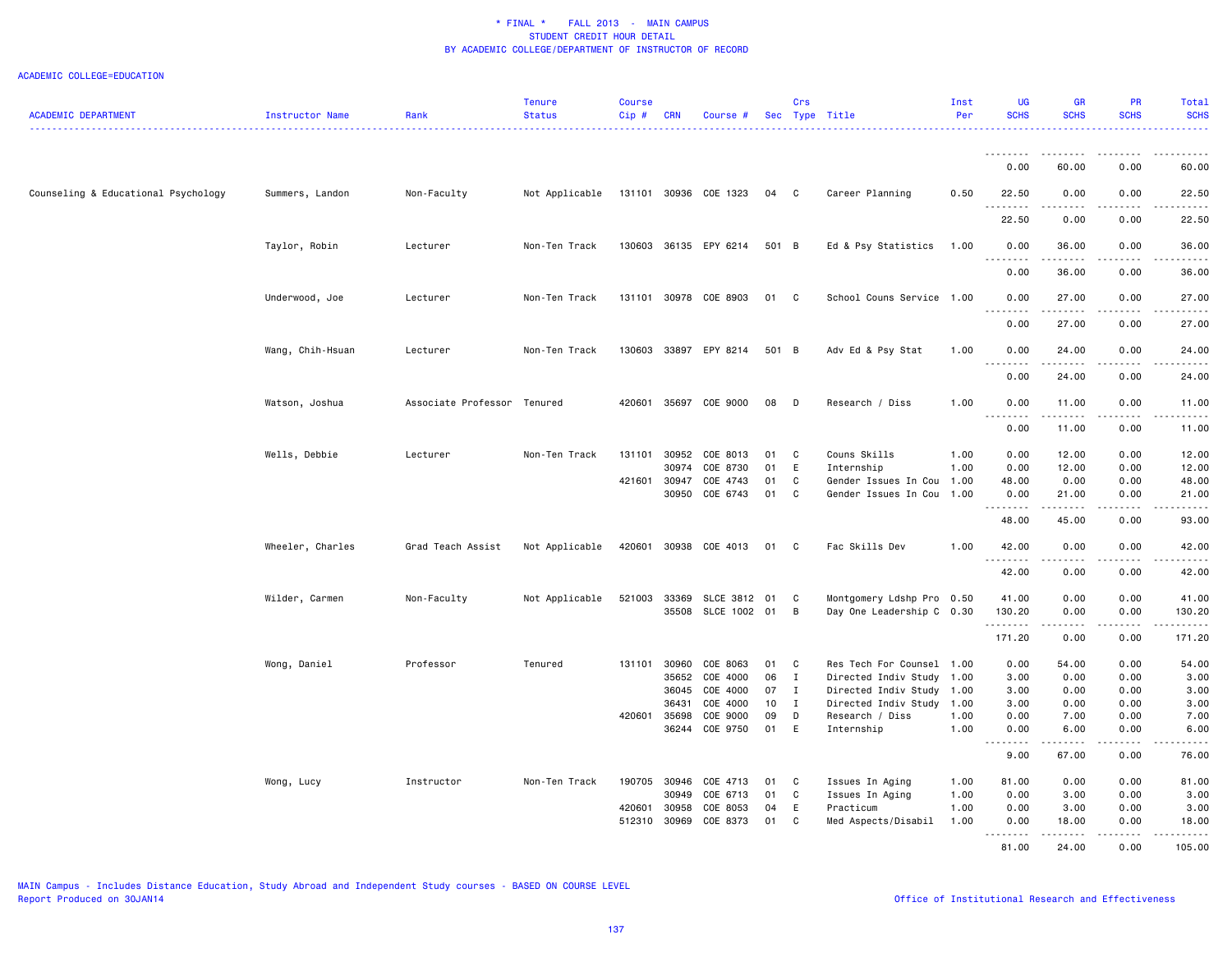| <b>ACADEMIC DEPARTMENT</b>          | Instructor Name  | Rank                        | <b>Tenure</b><br><b>Status</b> | <b>Course</b><br>Cip# | <b>CRN</b>   | Course #              |          | Crs               | Sec Type Title            | Inst<br>Per | <b>UG</b><br><b>SCHS</b>                                                                                                                                              | <b>GR</b><br><b>SCHS</b>                                                                                                                                     | PR<br><b>SCHS</b>     | Total<br><b>SCHS</b>                                                                                                                                 |
|-------------------------------------|------------------|-----------------------------|--------------------------------|-----------------------|--------------|-----------------------|----------|-------------------|---------------------------|-------------|-----------------------------------------------------------------------------------------------------------------------------------------------------------------------|--------------------------------------------------------------------------------------------------------------------------------------------------------------|-----------------------|------------------------------------------------------------------------------------------------------------------------------------------------------|
|                                     |                  |                             |                                |                       |              |                       |          |                   |                           |             |                                                                                                                                                                       |                                                                                                                                                              |                       | $\frac{1}{2} \left( \frac{1}{2} \right) \left( \frac{1}{2} \right) \left( \frac{1}{2} \right) \left( \frac{1}{2} \right) \left( \frac{1}{2} \right)$ |
|                                     |                  |                             |                                |                       |              |                       |          |                   |                           |             |                                                                                                                                                                       | .                                                                                                                                                            |                       |                                                                                                                                                      |
|                                     |                  |                             |                                |                       |              |                       |          |                   |                           |             | 0.00                                                                                                                                                                  | 60.00                                                                                                                                                        | 0.00                  | 60.00                                                                                                                                                |
| Counseling & Educational Psychology | Summers, Landon  | Non-Faculty                 | Not Applicable                 |                       |              | 131101 30936 COE 1323 | 04       | C                 | Career Planning           | 0.50        | 22.50<br>.                                                                                                                                                            | 0.00                                                                                                                                                         | 0.00<br>$\frac{1}{2}$ | 22.50<br>المتمام المنا                                                                                                                               |
|                                     |                  |                             |                                |                       |              |                       |          |                   |                           |             | 22.50                                                                                                                                                                 | 0.00                                                                                                                                                         | 0.00                  | 22.50                                                                                                                                                |
|                                     | Taylor, Robin    | Lecturer                    | Non-Ten Track                  |                       |              | 130603 36135 EPY 6214 | 501 B    |                   | Ed & Psy Statistics       | 1.00        | 0.00                                                                                                                                                                  | 36.00                                                                                                                                                        | 0.00                  | 36.00                                                                                                                                                |
|                                     |                  |                             |                                |                       |              |                       |          |                   |                           |             | .<br>0.00                                                                                                                                                             | 36.00                                                                                                                                                        | 0.00                  | 36.00                                                                                                                                                |
|                                     | Underwood, Joe   | Lecturer                    | Non-Ten Track                  |                       |              | 131101 30978 COE 8903 | 01       | C                 | School Couns Service 1.00 |             | 0.00                                                                                                                                                                  | 27.00                                                                                                                                                        | 0.00                  | 27.00                                                                                                                                                |
|                                     |                  |                             |                                |                       |              |                       |          |                   |                           |             | .<br>0.00                                                                                                                                                             | .<br>27.00                                                                                                                                                   | 0.00                  | .<br>27.00                                                                                                                                           |
|                                     |                  | Lecturer                    | Non-Ten Track                  | 130603                |              | 33897 EPY 8214        | 501 B    |                   | Adv Ed & Psy Stat         | 1.00        | 0.00                                                                                                                                                                  | 24.00                                                                                                                                                        | 0.00                  | 24.00                                                                                                                                                |
|                                     | Wang, Chih-Hsuan |                             |                                |                       |              |                       |          |                   |                           |             |                                                                                                                                                                       |                                                                                                                                                              |                       |                                                                                                                                                      |
|                                     |                  |                             |                                |                       |              |                       |          |                   |                           |             | 0.00                                                                                                                                                                  | 24.00                                                                                                                                                        | 0.00                  | 24.00                                                                                                                                                |
|                                     | Watson, Joshua   | Associate Professor Tenured |                                | 420601                |              | 35697 COE 9000        | 08       | $\mathsf{D}$      | Research / Diss           | 1.00        | 0.00<br>.<br>$-$                                                                                                                                                      | 11.00<br>.                                                                                                                                                   | 0.00<br>.             | 11.00<br>. <b>.</b>                                                                                                                                  |
|                                     |                  |                             |                                |                       |              |                       |          |                   |                           |             | 0.00                                                                                                                                                                  | 11.00                                                                                                                                                        | 0.00                  | 11.00                                                                                                                                                |
|                                     | Wells, Debbie    | Lecturer                    | Non-Ten Track                  | 131101                | 30952        | COE 8013              | 01       | C                 | Couns Skills              | 1.00        | 0.00                                                                                                                                                                  | 12.00                                                                                                                                                        | 0.00                  | 12.00                                                                                                                                                |
|                                     |                  |                             |                                |                       | 30974        | COE 8730              | 01       | E                 | Internship                | 1.00        | 0.00                                                                                                                                                                  | 12.00                                                                                                                                                        | 0.00                  | 12.00                                                                                                                                                |
|                                     |                  |                             |                                | 421601 30947          |              | COE 4743              | 01       | C                 | Gender Issues In Cou      | 1.00        | 48.00                                                                                                                                                                 | 0.00                                                                                                                                                         | 0.00                  | 48.00                                                                                                                                                |
|                                     |                  |                             |                                |                       | 30950        | COE 6743              | 01       | $\mathtt{C}$      | Gender Issues In Cou      | 1.00        | 0.00<br>.                                                                                                                                                             | 21.00<br>.                                                                                                                                                   | 0.00<br>.             | 21.00<br>.                                                                                                                                           |
|                                     |                  |                             |                                |                       |              |                       |          |                   |                           |             | 48.00                                                                                                                                                                 | 45.00                                                                                                                                                        | 0.00                  | 93.00                                                                                                                                                |
|                                     | Wheeler, Charles | Grad Teach Assist           | Not Applicable                 |                       |              | 420601 30938 COE 4013 | 01       | C                 | Fac Skills Dev            | 1.00        | 42.00                                                                                                                                                                 | 0.00                                                                                                                                                         | 0.00                  | 42.00                                                                                                                                                |
|                                     |                  |                             |                                |                       |              |                       |          |                   |                           |             | <u>.</u><br>42.00                                                                                                                                                     | .<br>0.00                                                                                                                                                    | .<br>0.00             | .<br>42.00                                                                                                                                           |
|                                     | Wilder, Carmen   | Non-Faculty                 | Not Applicable                 | 521003                | 33369        | SLCE 3812 01          |          | C                 | Montgomery Ldshp Pro 0.50 |             | 41.00                                                                                                                                                                 | 0.00                                                                                                                                                         | 0.00                  | 41.00                                                                                                                                                |
|                                     |                  |                             |                                |                       | 35508        | SLCE 1002 01          |          | B                 | Day One Leadership C 0.30 |             | 130.20                                                                                                                                                                | 0.00                                                                                                                                                         | 0.00                  | 130.20                                                                                                                                               |
|                                     |                  |                             |                                |                       |              |                       |          |                   |                           |             | .<br>171.20                                                                                                                                                           | $\frac{1}{2} \left( \frac{1}{2} \right) \left( \frac{1}{2} \right) \left( \frac{1}{2} \right) \left( \frac{1}{2} \right) \left( \frac{1}{2} \right)$<br>0.00 | .<br>0.00             | .<br>171.20                                                                                                                                          |
|                                     | Wong, Daniel     | Professor                   | Tenured                        | 131101                | 30960        | COE 8063              | 01       | C                 | Res Tech For Counsel 1.00 |             | 0.00                                                                                                                                                                  | 54.00                                                                                                                                                        | 0.00                  | 54.00                                                                                                                                                |
|                                     |                  |                             |                                |                       | 35652        | COE 4000              | 06       | $\mathbf{I}$      |                           |             |                                                                                                                                                                       | 0.00                                                                                                                                                         | 0.00                  |                                                                                                                                                      |
|                                     |                  |                             |                                |                       | 36045        | COE 4000              | 07       | $\mathbf{I}$      | Directed Indiv Study      | 1.00        | 3.00<br>3.00                                                                                                                                                          |                                                                                                                                                              | 0.00                  | 3.00                                                                                                                                                 |
|                                     |                  |                             |                                |                       | 36431        |                       |          |                   | Directed Indiv Study 1.00 |             | 3.00                                                                                                                                                                  | 0.00                                                                                                                                                         | 0.00                  | 3.00                                                                                                                                                 |
|                                     |                  |                             |                                |                       |              | COE 4000<br>COE 9000  | 10<br>09 | $\mathbf{I}$<br>D | Directed Indiv Study      | 1.00        |                                                                                                                                                                       | 0.00<br>7.00                                                                                                                                                 |                       | 3.00                                                                                                                                                 |
|                                     |                  |                             |                                | 420601                | 35698        |                       |          |                   | Research / Diss           | 1.00        | 0.00                                                                                                                                                                  |                                                                                                                                                              | 0.00                  | 7.00                                                                                                                                                 |
|                                     |                  |                             |                                |                       | 36244        | COE 9750              | 01       | E                 | Internship                | 1.00        | 0.00<br>$\frac{1}{2} \left( \frac{1}{2} \right) \left( \frac{1}{2} \right) \left( \frac{1}{2} \right) \left( \frac{1}{2} \right) \left( \frac{1}{2} \right)$<br>$  -$ | 6.00<br>.                                                                                                                                                    | 0.00<br>.             | 6.00<br>.                                                                                                                                            |
|                                     |                  |                             |                                |                       |              |                       |          |                   |                           |             | 9.00                                                                                                                                                                  | 67.00                                                                                                                                                        | 0.00                  | 76.00                                                                                                                                                |
|                                     | Wong, Lucy       | Instructor                  | Non-Ten Track                  |                       | 190705 30946 | COE 4713              | 01       | C                 | Issues In Aging           | 1.00        | 81.00                                                                                                                                                                 | 0.00                                                                                                                                                         | 0.00                  | 81.00                                                                                                                                                |
|                                     |                  |                             |                                |                       | 30949        | COE 6713              | 01       | C                 | Issues In Aging           | 1.00        | 0.00                                                                                                                                                                  | 3.00                                                                                                                                                         | 0.00                  | 3.00                                                                                                                                                 |
|                                     |                  |                             |                                | 420601                | 30958        | COE 8053              | 04       | $\mathsf E$       | Practicum                 | 1.00        | 0.00                                                                                                                                                                  | 3.00                                                                                                                                                         | 0.00                  | 3.00                                                                                                                                                 |
|                                     |                  |                             |                                | 512310                | 30969        | COE 8373              | 01       | C                 | Med Aspects/Disabil       | 1.00        | 0.00<br>.                                                                                                                                                             | 18.00<br>.                                                                                                                                                   | 0.00<br>.             | 18.00<br>.                                                                                                                                           |
|                                     |                  |                             |                                |                       |              |                       |          |                   |                           |             | 81.00                                                                                                                                                                 | 24.00                                                                                                                                                        | 0.00                  | 105.00                                                                                                                                               |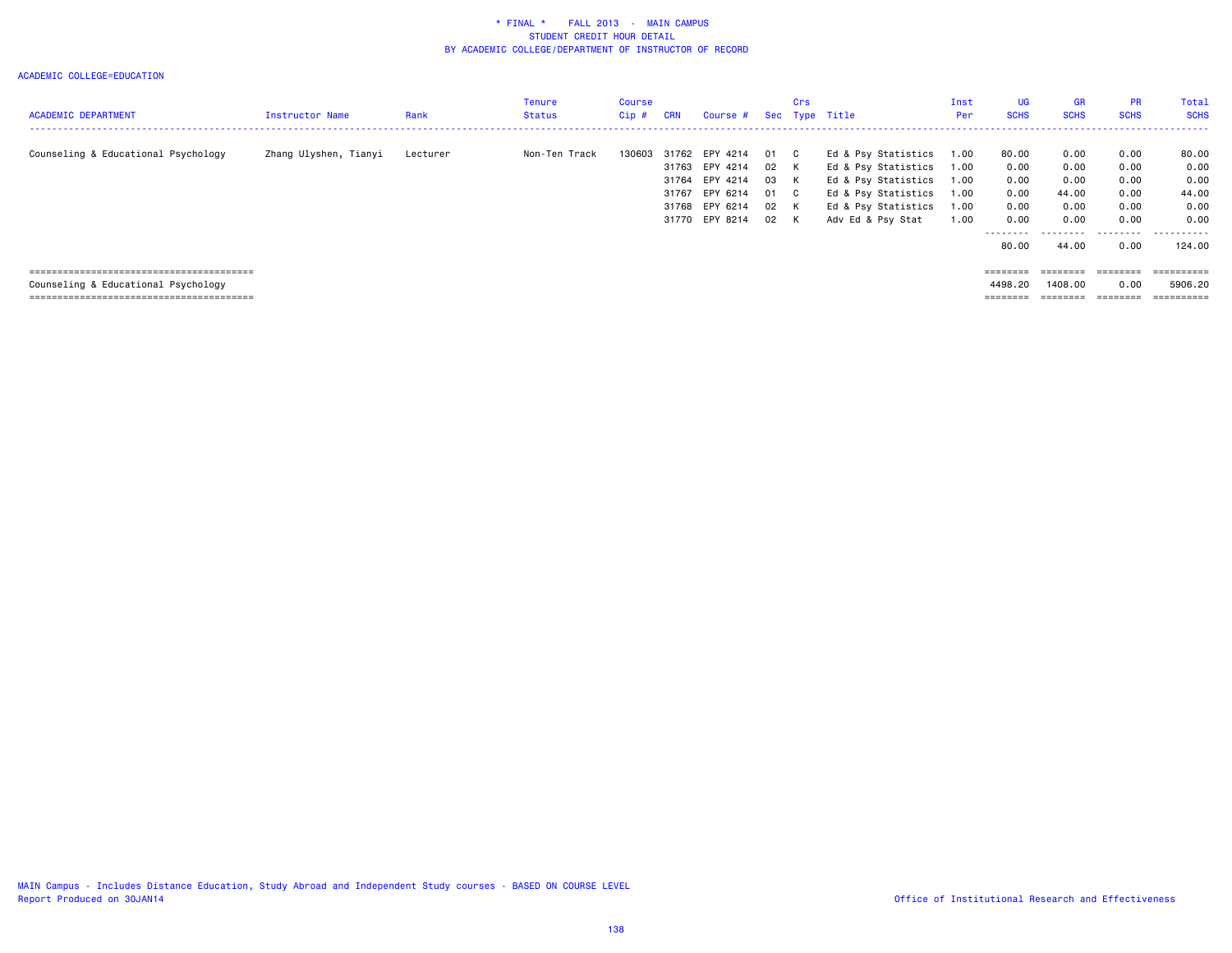| <b>ACADEMIC DEPARTMENT</b>          | Instructor Name       | Rank     | Tenure<br><b>Status</b> | Course<br>$Cip$ # | CRN            | Course #                                                                                     |                                          | Crs                            | Sec Type Title                                                                                                                       | Inst<br>Per                                  | <b>UG</b><br><b>SCHS</b>                                            | <b>GR</b><br><b>SCHS</b>                                            | <b>PR</b><br><b>SCHS</b>                                  | Total<br><b>SCHS</b>                                          |
|-------------------------------------|-----------------------|----------|-------------------------|-------------------|----------------|----------------------------------------------------------------------------------------------|------------------------------------------|--------------------------------|--------------------------------------------------------------------------------------------------------------------------------------|----------------------------------------------|---------------------------------------------------------------------|---------------------------------------------------------------------|-----------------------------------------------------------|---------------------------------------------------------------|
| Counseling & Educational Psychology | Zhang Ulyshen, Tianyi | Lecturer | Non-Ten Track           | 130603            | 31767<br>31768 | 31762 EPY 4214<br>31763 EPY 4214<br>31764 EPY 4214<br>EPY 6214<br>EPY 6214<br>31770 EPY 8214 | 01<br>02 K<br>03 K<br>01<br>02 K<br>02 K | $\overline{c}$<br>$\mathbf{C}$ | Ed & Psy Statistics<br>Ed & Psy Statistics<br>Ed & Psy Statistics<br>Ed & Psy Statistics<br>Ed & Psy Statistics<br>Adv Ed & Psy Stat | 1.00<br>1.00<br>1.00<br>1.00<br>1.00<br>1.00 | 80.00<br>0.00<br>0.00<br>0.00<br>0.00<br>0.00<br>---------<br>80.00 | 0.00<br>0.00<br>0.00<br>44.00<br>0.00<br>0.00<br>---------<br>44.00 | 0.00<br>0.00<br>0.00<br>0.00<br>0.00<br>0.00<br>.<br>0.00 | 80.00<br>0.00<br>0.00<br>44.00<br>0.00<br>0.00<br>.<br>124,00 |
| Counseling & Educational Psychology |                       |          |                         |                   |                |                                                                                              |                                          |                                |                                                                                                                                      |                                              | 4498.20                                                             | ========<br>1408.00                                                 | ========<br>0.00                                          | ==========<br>5906.20<br>==========                           |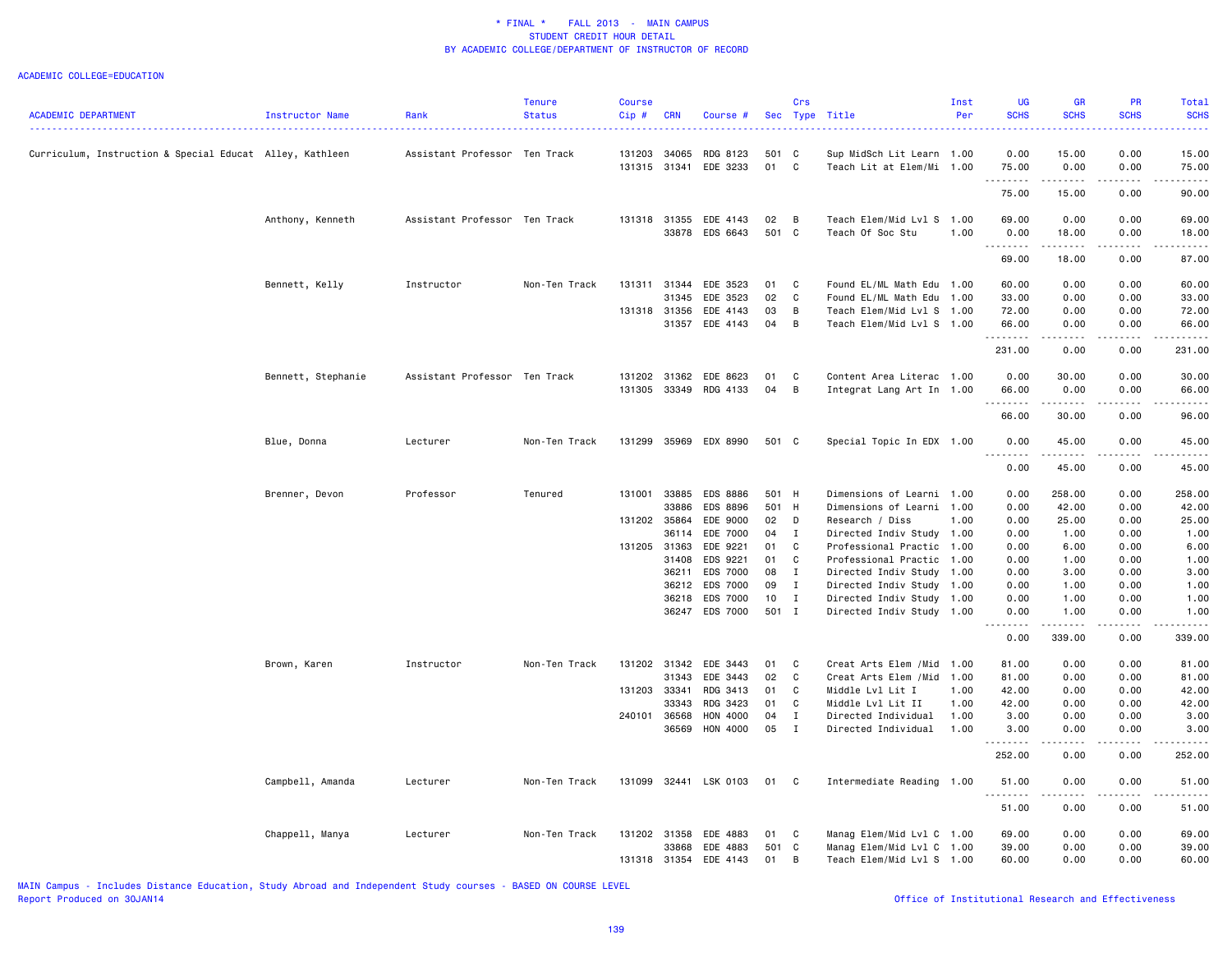|                                                          |                    |                               | <b>Tenure</b> | <b>Course</b> |              |                                   |             | Crs            |                                                        | Inst | UG               | <b>GR</b>                                                                                                                                                    | PR                  | Total              |
|----------------------------------------------------------|--------------------|-------------------------------|---------------|---------------|--------------|-----------------------------------|-------------|----------------|--------------------------------------------------------|------|------------------|--------------------------------------------------------------------------------------------------------------------------------------------------------------|---------------------|--------------------|
| ACADEMIC DEPARTMENT                                      | Instructor Name    | Rank                          | <b>Status</b> | Cip #         | <b>CRN</b>   | Course #                          |             |                | Sec Type Title                                         | Per  | <b>SCHS</b>      | <b>SCHS</b>                                                                                                                                                  | <b>SCHS</b>         | <b>SCHS</b>        |
|                                                          |                    |                               |               |               |              |                                   |             |                |                                                        |      |                  |                                                                                                                                                              |                     |                    |
| Curriculum, Instruction & Special Educat Alley, Kathleen |                    | Assistant Professor Ten Track |               | 131203        | 34065        | RDG 8123<br>131315 31341 EDE 3233 | 501 C<br>01 | C              | Sup MidSch Lit Learn 1.00<br>Teach Lit at Elem/Mi 1.00 |      | 0.00<br>75.00    | 15.00<br>0.00                                                                                                                                                | 0.00<br>0.00        | 15.00<br>75.00     |
|                                                          |                    |                               |               |               |              |                                   |             |                |                                                        |      | .<br>75.00       | 2.2.2.2.2.2<br>15.00                                                                                                                                         | .<br>0.00           | .<br>90.00         |
|                                                          |                    |                               |               |               |              |                                   |             |                |                                                        |      |                  |                                                                                                                                                              |                     |                    |
|                                                          | Anthony, Kenneth   | Assistant Professor Ten Track |               |               |              | 131318 31355 EDE 4143             | 02          | B              | Teach Elem/Mid Lvl S 1.00                              |      | 69.00            | 0.00                                                                                                                                                         | 0.00                | 69.00              |
|                                                          |                    |                               |               |               |              | 33878 EDS 6643                    | 501 C       |                | Teach Of Soc Stu                                       | 1.00 | 0.00<br>.        | 18.00<br>.                                                                                                                                                   | 0.00<br>.           | 18.00<br>.         |
|                                                          |                    |                               |               |               |              |                                   |             |                |                                                        |      | 69.00            | 18.00                                                                                                                                                        | 0.00                | 87.00              |
|                                                          | Bennett, Kelly     | Instructor                    | Non-Ten Track |               | 131311 31344 | EDE 3523                          | 01          | C              | Found EL/ML Math Edu 1.00                              |      | 60.00            | 0.00                                                                                                                                                         | 0.00                | 60.00              |
|                                                          |                    |                               |               |               | 31345        | EDE 3523                          | 02          | C              | Found EL/ML Math Edu 1.00                              |      | 33.00            | 0.00                                                                                                                                                         | 0.00                | 33.00              |
|                                                          |                    |                               |               |               | 131318 31356 | EDE 4143                          | 03          | B              | Teach Elem/Mid Lvl S 1.00                              |      | 72.00            | 0.00                                                                                                                                                         | 0.00                | 72.00              |
|                                                          |                    |                               |               |               |              | 31357 EDE 4143                    | 04          | B              | Teach Elem/Mid Lvl S 1.00                              |      | 66.00<br>.       | 0.00<br>د د د د                                                                                                                                              | 0.00<br>.           | 66.00<br>-----     |
|                                                          |                    |                               |               |               |              |                                   |             |                |                                                        |      | 231.00           | 0.00                                                                                                                                                         | 0.00                | 231.00             |
|                                                          | Bennett, Stephanie | Assistant Professor Ten Track |               |               |              | 131202 31362 EDE 8623             | 01          | C              | Content Area Literac 1.00                              |      | 0.00             | 30.00                                                                                                                                                        | 0.00                | 30.00              |
|                                                          |                    |                               |               |               |              | 131305 33349 RDG 4133             | 04          | B              | Integrat Lang Art In 1.00                              |      | 66.00<br>.       | 0.00<br>.                                                                                                                                                    | 0.00<br>$- - - - -$ | 66.00<br><u>.</u>  |
|                                                          |                    |                               |               |               |              |                                   |             |                |                                                        |      | 66.00            | 30.00                                                                                                                                                        | 0.00                | 96.00              |
|                                                          | Blue, Donna        | Lecturer                      | Non-Ten Track | 131299        | 35969        | EDX 8990                          | 501 C       |                | Special Topic In EDX 1.00                              |      | 0.00             | 45.00                                                                                                                                                        | 0.00                | 45.00              |
|                                                          |                    |                               |               |               |              |                                   |             |                |                                                        |      | .<br>0.00        | .<br>45.00                                                                                                                                                   | .<br>0.00           | .<br>45.00         |
|                                                          | Brenner, Devon     | Professor                     | Tenured       | 131001        | 33885        | EDS 8886                          | 501 H       |                | Dimensions of Learni 1.00                              |      | 0.00             | 258.00                                                                                                                                                       | 0.00                | 258.00             |
|                                                          |                    |                               |               |               | 33886        | EDS 8896                          | 501 H       |                | Dimensions of Learni                                   | 1.00 | 0.00             | 42.00                                                                                                                                                        | 0.00                | 42.00              |
|                                                          |                    |                               |               | 131202 35864  |              | EDE 9000                          | 02 D        |                | Research / Diss                                        | 1.00 | 0.00             | 25.00                                                                                                                                                        | 0.00                | 25.00              |
|                                                          |                    |                               |               |               | 36114        | EDE 7000                          | 04 I        |                | Directed Indiv Study 1.00                              |      | 0.00             | 1.00                                                                                                                                                         | 0.00                | 1.00               |
|                                                          |                    |                               |               |               | 131205 31363 | EDE 9221                          | 01          | C              | Professional Practic                                   | 1.00 | 0.00             | 6.00                                                                                                                                                         | 0.00                | 6.00               |
|                                                          |                    |                               |               |               | 31408        | EDS 9221                          | 01          | C              | Professional Practic 1.00                              |      | 0.00             | 1.00                                                                                                                                                         | 0.00                | 1.00               |
|                                                          |                    |                               |               |               | 36211        | EDS 7000                          | 08          | $\mathbf{I}$   | Directed Indiv Study                                   | 1.00 | 0.00             | 3.00                                                                                                                                                         | 0.00                | 3.00               |
|                                                          |                    |                               |               |               | 36212        | EDS 7000                          | 09          | $\mathbf{I}$   | Directed Indiv Study                                   | 1.00 | 0.00             | 1.00                                                                                                                                                         | 0.00                | 1.00               |
|                                                          |                    |                               |               |               | 36218        | EDS 7000                          | 10          | $\blacksquare$ | Directed Indiv Study 1.00                              |      | 0.00             | 1.00                                                                                                                                                         | 0.00                | 1.00               |
|                                                          |                    |                               |               |               |              | 36247 EDS 7000                    | 501 I       |                | Directed Indiv Study 1.00                              |      | 0.00<br><u>.</u> | 1.00<br>$\frac{1}{2} \left( \frac{1}{2} \right) \left( \frac{1}{2} \right) \left( \frac{1}{2} \right) \left( \frac{1}{2} \right) \left( \frac{1}{2} \right)$ | 0.00<br>.           | 1.00<br>.          |
|                                                          |                    |                               |               |               |              |                                   |             |                |                                                        |      | 0.00             | 339.00                                                                                                                                                       | 0.00                | 339.00             |
|                                                          | Brown, Karen       | Instructor                    | Non-Ten Track |               |              | 131202 31342 EDE 3443             | 01          | C              | Creat Arts Elem / Mid 1.00                             |      | 81.00            | 0.00                                                                                                                                                         | 0.00                | 81.00              |
|                                                          |                    |                               |               |               | 31343        | EDE 3443                          | 02          | C              | Creat Arts Elem /Mid                                   | 1.00 | 81.00            | 0.00                                                                                                                                                         | 0.00                | 81.00              |
|                                                          |                    |                               |               |               | 131203 33341 | RDG 3413                          | 01          | C              | Middle Lvl Lit I                                       | 1.00 | 42.00            | 0.00                                                                                                                                                         | 0.00                | 42.00              |
|                                                          |                    |                               |               |               | 33343        | RDG 3423                          | 01          | C              | Middle Lvl Lit II                                      | 1.00 | 42.00            | 0.00                                                                                                                                                         | 0.00                | 42.00              |
|                                                          |                    |                               |               | 240101 36568  |              | HON 4000                          | 04          | $\mathbf{I}$   | Directed Individual                                    | 1.00 | 3.00             | 0.00                                                                                                                                                         | 0.00                | 3.00               |
|                                                          |                    |                               |               |               | 36569        | HON 4000                          | 05          | $\mathbf{I}$   | Directed Individual                                    | 1.00 | 3.00<br>.        | 0.00<br>.                                                                                                                                                    | 0.00<br>.           | 3.00<br>. <b>.</b> |
|                                                          |                    |                               |               |               |              |                                   |             |                |                                                        |      | 252.00           | 0.00                                                                                                                                                         | 0.00                | 252.00             |
|                                                          | Campbell, Amanda   | Lecturer                      | Non-Ten Track | 131099        | 32441        | LSK 0103                          | 01          | $\mathbf{C}$   | Intermediate Reading 1.00                              |      | 51.00<br>-----   | 0.00                                                                                                                                                         | 0.00                | 51.00              |
|                                                          |                    |                               |               |               |              |                                   |             |                |                                                        |      | 51.00            | 0.00                                                                                                                                                         | 0.00                | 51.00              |
|                                                          | Chappell, Manya    | Lecturer                      | Non-Ten Track |               | 131202 31358 | EDE 4883                          | 01          | C              | Manag Elem/Mid Lvl C 1.00                              |      | 69.00            | 0.00                                                                                                                                                         | 0.00                | 69.00              |
|                                                          |                    |                               |               |               | 33868        | EDE 4883                          | 501 C       |                | Manag Elem/Mid Lvl C 1.00                              |      | 39.00            | 0.00                                                                                                                                                         | 0.00                | 39.00              |
|                                                          |                    |                               |               |               | 131318 31354 | EDE 4143                          | 01          | B              | Teach Elem/Mid Lvl S 1.00                              |      | 60.00            | 0.00                                                                                                                                                         | 0.00                | 60.00              |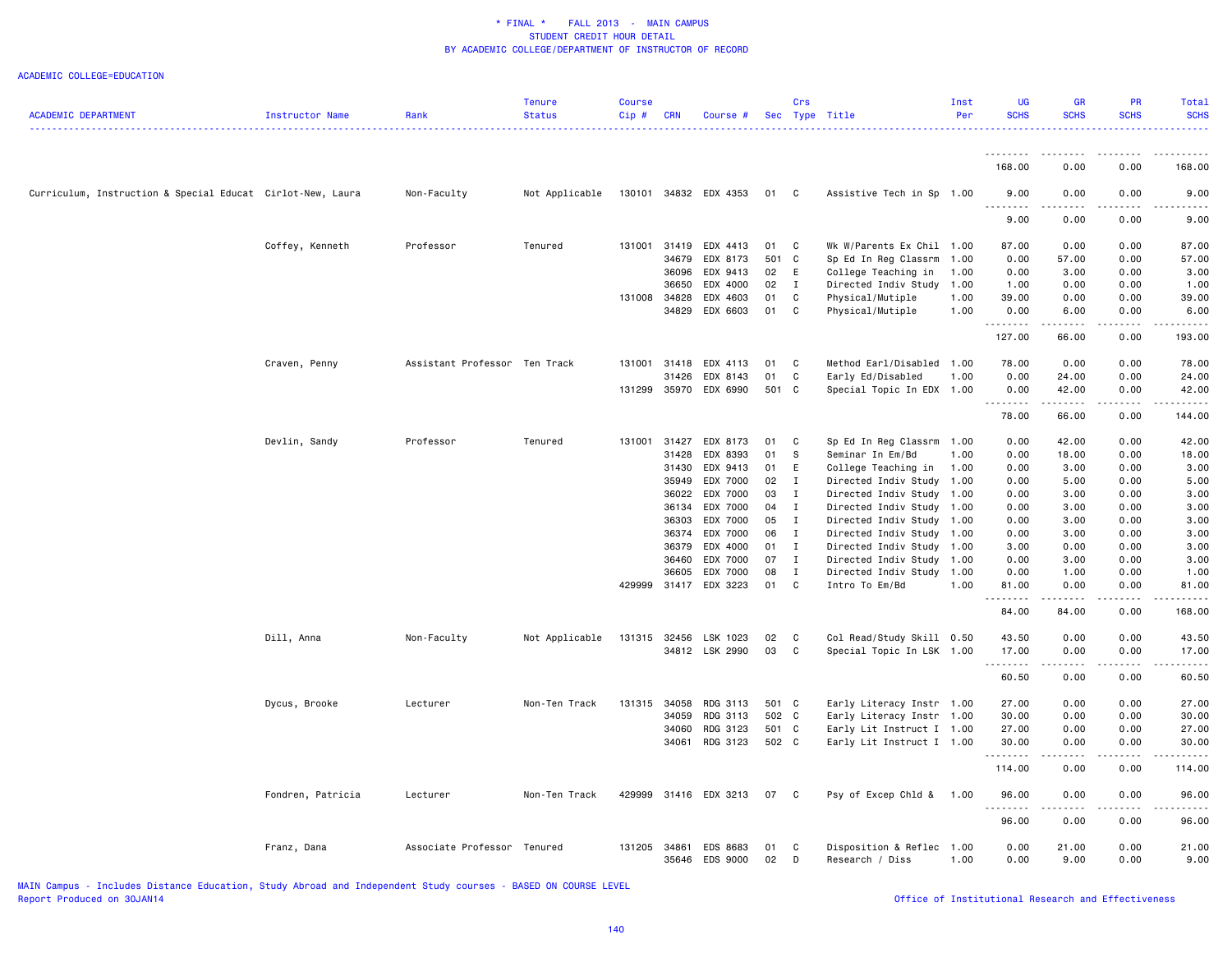| <b>ACADEMIC DEPARTMENT</b>                                 | Instructor Name   | Rank                          | Tenure<br><b>Status</b> | Course<br>Cip# | <b>CRN</b> | Course #                          |            | Crs            | Sec Type Title                              | Inst<br>Per  | <b>UG</b><br><b>SCHS</b> | <b>GR</b><br><b>SCHS</b>                                                                                                  | PR<br><b>SCHS</b> | Total<br><b>SCHS</b> |
|------------------------------------------------------------|-------------------|-------------------------------|-------------------------|----------------|------------|-----------------------------------|------------|----------------|---------------------------------------------|--------------|--------------------------|---------------------------------------------------------------------------------------------------------------------------|-------------------|----------------------|
|                                                            |                   |                               |                         |                |            |                                   |            |                |                                             |              |                          | $\frac{1}{2} \left( \frac{1}{2} \right) \left( \frac{1}{2} \right) \left( \frac{1}{2} \right) \left( \frac{1}{2} \right)$ |                   |                      |
|                                                            |                   |                               |                         |                |            |                                   |            |                |                                             |              | 168.00                   | 0.00                                                                                                                      | 0.00              | 168.00               |
| Curriculum, Instruction & Special Educat Cirlot-New, Laura |                   | Non-Faculty                   | Not Applicable          |                |            | 130101 34832 EDX 4353             | 01         | $\mathbf{C}$   | Assistive Tech in Sp 1.00                   |              | 9.00<br>.                | 0.00<br>$\sim$ $\sim$ $\sim$ $\sim$                                                                                       | 0.00<br>.         | 9.00<br>----         |
|                                                            |                   |                               |                         |                |            |                                   |            |                |                                             |              | 9.00                     | 0.00                                                                                                                      | 0.00              | 9.00                 |
|                                                            | Coffey, Kenneth   | Professor                     | Tenured                 | 131001         | 31419      | EDX 4413                          | 01         | <b>C</b>       | Wk W/Parents Ex Chil 1.00                   |              | 87.00                    | 0.00                                                                                                                      | 0.00              | 87.00                |
|                                                            |                   |                               |                         |                | 34679      | EDX 8173                          | 501 C      |                | Sp Ed In Reg Classrm                        | 1.00         | 0.00                     | 57.00                                                                                                                     | 0.00              | 57.00                |
|                                                            |                   |                               |                         |                | 36096      | EDX 9413                          | 02         | E              | College Teaching in                         | 1.00         | 0.00                     | 3.00                                                                                                                      | 0.00              | 3.00                 |
|                                                            |                   |                               |                         |                | 36650      | EDX 4000                          | 02         | $\blacksquare$ | Directed Indiv Study 1.00                   |              | 1.00                     | 0.00                                                                                                                      | 0.00              | 1.00                 |
|                                                            |                   |                               |                         | 131008         | 34828      | EDX 4603                          | 01         | C              | Physical/Mutiple                            | 1.00         | 39.00                    | 0.00                                                                                                                      | 0.00              | 39.00                |
|                                                            |                   |                               |                         |                | 34829      | EDX 6603                          | 01         | $\mathbf{C}$   | Physical/Mutiple                            | 1.00         | 0.00<br>.                | 6.00                                                                                                                      | 0.00              | 6.00                 |
|                                                            |                   |                               |                         |                |            |                                   |            |                |                                             |              | 127.00                   | 66.00                                                                                                                     | 0.00              | 193.00               |
|                                                            | Craven, Penny     | Assistant Professor Ten Track |                         | 131001         | 31418      | EDX 4113                          | 01         | $\mathbf{C}$   | Method Earl/Disabled 1.00                   |              | 78.00                    | 0.00                                                                                                                      | 0.00              | 78.00                |
|                                                            |                   |                               |                         |                | 31426      | EDX 8143                          | 01         | C              | Early Ed/Disabled                           | 1.00         | 0.00                     | 24.00                                                                                                                     | 0.00              | 24.00                |
|                                                            |                   |                               |                         |                |            | 131299 35970 EDX 6990             | 501 C      |                | Special Topic In EDX 1.00                   |              | 0.00<br>.                | 42.00<br>.                                                                                                                | 0.00<br>.         | 42.00<br>.           |
|                                                            |                   |                               |                         |                |            |                                   |            |                |                                             |              | 78.00                    | 66.00                                                                                                                     | 0.00              | 144.00               |
|                                                            | Devlin, Sandy     | Professor                     | Tenured                 | 131001 31427   |            | EDX 8173                          | 01         | C              | Sp Ed In Reg Classrm 1.00                   |              | 0.00                     | 42.00                                                                                                                     | 0.00              | 42.00                |
|                                                            |                   |                               |                         |                | 31428      | EDX 8393                          | 01         | - S            | Seminar In Em/Bd                            | 1.00         | 0.00                     | 18.00                                                                                                                     | 0.00              | 18.00                |
|                                                            |                   |                               |                         |                | 31430      | EDX 9413                          | 01         | E              | College Teaching in                         | 1.00         | 0.00                     | 3.00                                                                                                                      | 0.00              | 3.00                 |
|                                                            |                   |                               |                         |                | 35949      | EDX 7000                          | 02         | I              | Directed Indiv Study                        | 1.00         | 0.00                     | 5.00                                                                                                                      | 0.00              | 5.00                 |
|                                                            |                   |                               |                         |                | 36022      | EDX 7000                          | 03         | $\mathbf{I}$   | Directed Indiv Study                        | 1.00         | 0.00                     | 3.00                                                                                                                      | 0.00              | 3.00                 |
|                                                            |                   |                               |                         |                | 36134      | EDX 7000                          | 04         | $\mathbf{I}$   | Directed Indiv Study                        | 1.00         | 0.00                     | 3.00                                                                                                                      | 0.00              | 3.00                 |
|                                                            |                   |                               |                         |                | 36303      | EDX 7000                          | 05         | $\mathbf I$    | Directed Indiv Study                        | 1.00         | 0.00                     | 3.00                                                                                                                      | 0.00              | 3.00                 |
|                                                            |                   |                               |                         |                | 36374      | EDX 7000                          | 06         | $\mathbf{I}$   | Directed Indiv Study                        | 1.00         | 0.00                     | 3.00                                                                                                                      | 0.00              | 3.00                 |
|                                                            |                   |                               |                         |                | 36379      | EDX 4000                          | 01         | $\mathbf{I}$   | Directed Indiv Study                        | 1.00         | 3.00                     | 0.00                                                                                                                      | 0.00              | 3.00                 |
|                                                            |                   |                               |                         |                | 36460      | EDX 7000                          | 07         | $\mathbf{I}$   | Directed Indiv Study                        | 1.00         | 0.00                     | 3.00                                                                                                                      | 0.00              | 3.00                 |
|                                                            |                   |                               |                         |                | 36605      | EDX 7000<br>429999 31417 EDX 3223 | 08<br>01 C | $\mathbf I$    | Directed Indiv Study 1.00<br>Intro To Em/Bd | 1.00         | 0.00<br>81.00            | 1.00<br>0.00                                                                                                              | 0.00<br>0.00      | 1.00<br>81.00        |
|                                                            |                   |                               |                         |                |            |                                   |            |                |                                             |              | .<br>84.00               | -----<br>84.00                                                                                                            | .<br>0.00         | .<br>168.00          |
|                                                            | Dill, Anna        | Non-Faculty                   | Not Applicable          | 131315         | 32456      | LSK 1023                          | 02         | <b>C</b>       | Col Read/Study Skill 0.50                   |              | 43.50                    | 0.00                                                                                                                      | 0.00              | 43.50                |
|                                                            |                   |                               |                         |                |            | 34812 LSK 2990                    | 03         | C              | Special Topic In LSK 1.00                   |              | 17.00                    | 0.00                                                                                                                      | 0.00              | 17.00                |
|                                                            |                   |                               |                         |                |            |                                   |            |                |                                             |              | .                        | $\frac{1}{2}$                                                                                                             | $\frac{1}{2}$     | .                    |
|                                                            |                   |                               |                         |                |            |                                   |            |                |                                             |              | 60.50                    | 0.00                                                                                                                      | 0.00              | 60.50                |
|                                                            | Dycus, Brooke     | Lecturer                      | Non-Ten Track           | 131315         | 34058      | RDG 3113                          | 501 C      |                | Early Literacy Instr 1.00                   |              | 27.00                    | 0.00                                                                                                                      | 0.00              | 27.00                |
|                                                            |                   |                               |                         |                | 34059      | RDG 3113                          | 502 C      |                | Early Literacy Instr 1.00                   |              | 30.00                    | 0.00                                                                                                                      | 0.00              | 30.00                |
|                                                            |                   |                               |                         |                | 34060      | RDG 3123                          | 501 C      |                | Early Lit Instruct I 1.00                   |              | 27.00                    | 0.00                                                                                                                      | 0.00              | 27.00                |
|                                                            |                   |                               |                         |                | 34061      | RDG 3123                          | 502 C      |                | Early Lit Instruct I 1.00                   |              | 30.00<br>.               | 0.00<br>.                                                                                                                 | 0.00<br>.         | 30.00<br><u>.</u>    |
|                                                            |                   |                               |                         |                |            |                                   |            |                |                                             |              | 114.00                   | 0.00                                                                                                                      | 0.00              | 114.00               |
|                                                            | Fondren, Patricia | Lecturer                      | Non-Ten Track           | 429999         |            | 31416 EDX 3213                    | 07         | $\mathbf{C}$   | Psy of Excep Chld &                         | 1.00         | 96.00                    | 0.00<br>$\sim$ $\sim$ $\sim$ $\sim$                                                                                       | 0.00              | 96.00                |
|                                                            |                   |                               |                         |                |            |                                   |            |                |                                             |              | 96.00                    | 0.00                                                                                                                      | 0.00              | 96.00                |
|                                                            | Franz, Dana       | Associate Professor           | Tenured                 | 131205         | 34861      | EDS 8683<br>35646 EDS 9000        | 01<br>02   | C<br>D         | Disposition & Reflec<br>Research / Diss     | 1.00<br>1.00 | 0.00<br>0.00             | 21.00<br>9.00                                                                                                             | 0.00<br>0.00      | 21.00<br>9.00        |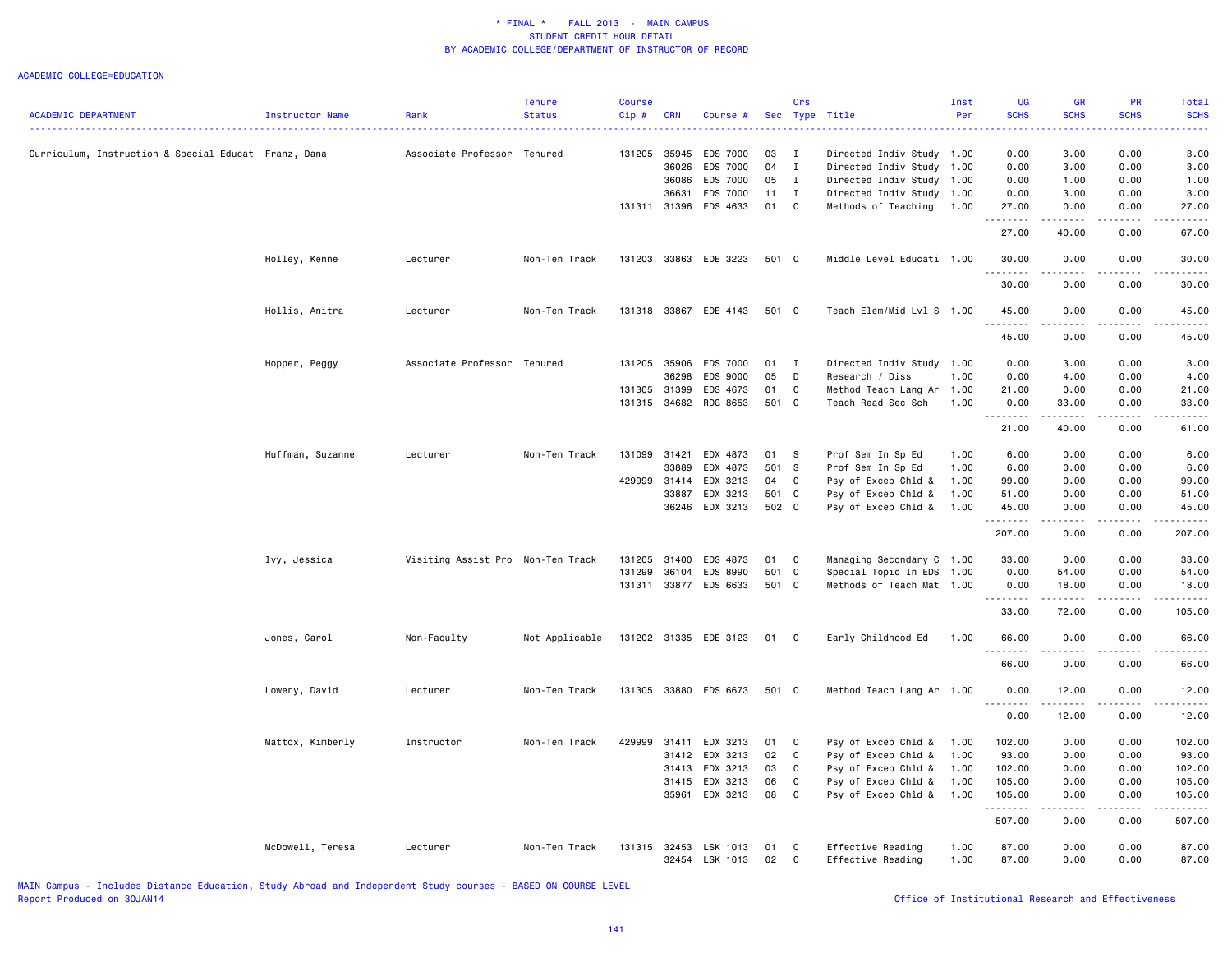| <b>ACADEMIC DEPARTMENT</b>                           | Instructor Name  | Rank                              | Tenure<br><b>Status</b> | <b>Course</b><br>$Cip$ # | <b>CRN</b> | Course #                   |          | Crs          | Sec Type Title                         | Inst<br>Per  | <b>UG</b><br><b>SCHS</b> | <b>GR</b><br><b>SCHS</b> | PR<br><b>SCHS</b>            | Total<br><b>SCHS</b>   |
|------------------------------------------------------|------------------|-----------------------------------|-------------------------|--------------------------|------------|----------------------------|----------|--------------|----------------------------------------|--------------|--------------------------|--------------------------|------------------------------|------------------------|
|                                                      |                  |                                   |                         |                          |            |                            |          |              |                                        |              |                          |                          |                              |                        |
| Curriculum, Instruction & Special Educat Franz, Dana |                  | Associate Professor Tenured       |                         | 131205                   | 35945      | <b>EDS 7000</b>            | 03       | $\mathbf{I}$ | Directed Indiv Study 1.00              |              | 0.00                     | 3.00                     | 0.00                         | 3.00                   |
|                                                      |                  |                                   |                         |                          | 36026      | <b>EDS 7000</b>            | 04       | $\mathbf{I}$ | Directed Indiv Study 1.00              |              | 0.00                     | 3.00                     | 0.00                         | 3.00                   |
|                                                      |                  |                                   |                         |                          | 36086      | <b>EDS 7000</b>            | 05       | $\mathbf{I}$ | Directed Indiv Study 1.00              |              | 0.00                     | 1.00                     | 0.00                         | 1.00                   |
|                                                      |                  |                                   |                         |                          | 36631      | <b>EDS 7000</b>            | 11       | $\mathbf{I}$ | Directed Indiv Study 1.00              |              | 0.00                     | 3.00                     | 0.00                         | 3.00                   |
|                                                      |                  |                                   |                         | 131311 31396             |            | EDS 4633                   | 01       | C            | Methods of Teaching                    | 1.00         | 27.00<br>.               | 0.00<br>.                | 0.00<br>$\frac{1}{2}$        | 27.00<br>$\frac{1}{2}$ |
|                                                      |                  |                                   |                         |                          |            |                            |          |              |                                        |              | 27.00                    | 40.00                    | 0.00                         | 67.00                  |
|                                                      | Holley, Kenne    | Lecturer                          | Non-Ten Track           | 131203                   |            | 33863 EDE 3223             | 501 C    |              | Middle Level Educati 1.00              |              | 30.00<br>.               | 0.00                     | 0.00                         | 30.00                  |
|                                                      |                  |                                   |                         |                          |            |                            |          |              |                                        |              | 30.00                    | 0.00                     | 0.00                         | 30.00                  |
|                                                      | Hollis, Anitra   | Lecturer                          | Non-Ten Track           | 131318                   |            | 33867 EDE 4143             | 501 C    |              | Teach Elem/Mid Lvl S 1.00              |              | 45.00<br>.               | 0.00                     | 0.00<br>$\sim$ $\sim$ $\sim$ | 45.00                  |
|                                                      |                  |                                   |                         |                          |            |                            |          |              |                                        |              | 45.00                    | 0.00                     | 0.00                         | 45.00                  |
|                                                      | Hopper, Peggy    | Associate Professor Tenured       |                         | 131205                   | 35906      | EDS 7000                   | 01       | $\mathbf{I}$ | Directed Indiv Study                   | 1.00         | 0.00                     | 3.00                     | 0.00                         | 3.00                   |
|                                                      |                  |                                   |                         |                          | 36298      | EDS 9000                   | 05       | D            | Research / Diss                        | 1.00         | 0.00                     | 4.00                     | 0.00                         | 4.00                   |
|                                                      |                  |                                   |                         | 131305 31399             |            | EDS 4673                   | 01       | C            | Method Teach Lang Ar 1.00              |              | 21.00                    | 0.00                     | 0.00                         | 21.00                  |
|                                                      |                  |                                   |                         | 131315 34682             |            | RDG 8653                   | 501 C    |              | Teach Read Sec Sch                     | 1.00         | 0.00<br>.                | 33.00<br>.               | 0.00<br>.                    | 33.00<br>.             |
|                                                      |                  |                                   |                         |                          |            |                            |          |              |                                        |              | 21.00                    | 40.00                    | 0.00                         | 61.00                  |
|                                                      | Huffman, Suzanne | Lecturer                          | Non-Ten Track           | 131099                   | 31421      | EDX 4873                   | 01       | S.           | Prof Sem In Sp Ed                      | 1.00         | 6.00                     | 0.00                     | 0.00                         | 6.00                   |
|                                                      |                  |                                   |                         |                          | 33889      | EDX 4873                   | 501 S    |              | Prof Sem In Sp Ed                      | 1.00         | 6.00                     | 0.00                     | 0.00                         | 6.00                   |
|                                                      |                  |                                   |                         | 429999                   | 31414      | EDX 3213                   | 04       | C            | Psy of Excep Chld &                    | 1.00         | 99.00                    | 0.00                     | 0.00                         | 99.00                  |
|                                                      |                  |                                   |                         |                          | 33887      | EDX 3213                   | 501 C    |              | Psy of Excep Chld &                    | 1.00         | 51.00                    | 0.00                     | 0.00                         | 51.00                  |
|                                                      |                  |                                   |                         |                          | 36246      | EDX 3213                   | 502 C    |              | Psy of Excep Chld &                    | 1.00         | 45.00<br>.               | 0.00<br>.                | 0.00<br>.                    | 45.00<br>.             |
|                                                      |                  |                                   |                         |                          |            |                            |          |              |                                        |              | 207.00                   | 0.00                     | 0.00                         | 207.00                 |
|                                                      | Ivy, Jessica     | Visiting Assist Pro Non-Ten Track |                         | 131205                   | 31400      | EDS 4873                   | 01       | $\mathbf c$  | Managing Secondary C 1.00              |              | 33.00                    | 0.00                     | 0.00                         | 33.00                  |
|                                                      |                  |                                   |                         | 131299                   | 36104      | EDS 8990                   | 501 C    |              | Special Topic In EDS 1.00              |              | 0.00                     | 54.00                    | 0.00                         | 54.00                  |
|                                                      |                  |                                   |                         | 131311                   |            | 33877 EDS 6633             | 501 C    |              | Methods of Teach Mat 1.00              |              | 0.00<br>.                | 18.00<br>$- - - - -$     | 0.00<br>.                    | 18.00<br>.             |
|                                                      |                  |                                   |                         |                          |            |                            |          |              |                                        |              | 33.00                    | 72.00                    | 0.00                         | 105.00                 |
|                                                      | Jones, Carol     | Non-Faculty                       | Not Applicable          |                          |            | 131202 31335 EDE 3123      | 01 C     |              | Early Childhood Ed                     | 1.00         | 66.00<br>.               | 0.00<br>----             | 0.00<br>$   -$               | 66.00<br>$- - - - -$   |
|                                                      |                  |                                   |                         |                          |            |                            |          |              |                                        |              | 66.00                    | 0.00                     | 0.00                         | 66.00                  |
|                                                      | Lowery, David    | Lecturer                          | Non-Ten Track           |                          |            | 131305 33880 EDS 6673      | 501 C    |              | Method Teach Lang Ar 1.00              |              | 0.00                     | 12.00                    | 0.00                         | 12.00                  |
|                                                      |                  |                                   |                         |                          |            |                            |          |              |                                        |              | 0.00                     | 12.00                    | 0.00                         | 12.00                  |
|                                                      | Mattox, Kimberly | Instructor                        | Non-Ten Track           | 429999                   | 31411      | EDX 3213                   | 01       | C            | Psy of Excep Chld &                    | 1.00         | 102.00                   | 0.00                     | 0.00                         | 102.00                 |
|                                                      |                  |                                   |                         |                          | 31412      | EDX 3213                   | 02       | $\mathbf{C}$ | Psy of Excep Chld &                    | 1.00         | 93.00                    | 0.00                     | 0.00                         | 93.00                  |
|                                                      |                  |                                   |                         |                          | 31413      | EDX 3213                   | 03       | C            | Psy of Excep Chld &                    | 1.00         | 102.00                   | 0.00                     | 0.00                         | 102.00                 |
|                                                      |                  |                                   |                         |                          | 31415      | EDX 3213                   | 06       | C            | Psy of Excep Chld &                    | 1.00         | 105.00                   | 0.00                     | 0.00                         | 105.00                 |
|                                                      |                  |                                   |                         |                          |            | 35961 EDX 3213             | 08       | $\mathbf c$  | Psy of Excep Chld &                    | 1.00         | 105.00<br>.              | 0.00<br>.                | 0.00<br>.                    | 105.00<br>وعامامات     |
|                                                      |                  |                                   |                         |                          |            |                            |          |              |                                        |              | 507.00                   | 0.00                     | 0.00                         | 507.00                 |
|                                                      | McDowell, Teresa | Lecturer                          | Non-Ten Track           | 131315 32453             |            | LSK 1013<br>32454 LSK 1013 | 01<br>02 | C<br>C       | Effective Reading<br>Effective Reading | 1.00<br>1.00 | 87.00<br>87.00           | 0.00<br>0.00             | 0.00<br>0.00                 | 87.00<br>87.00         |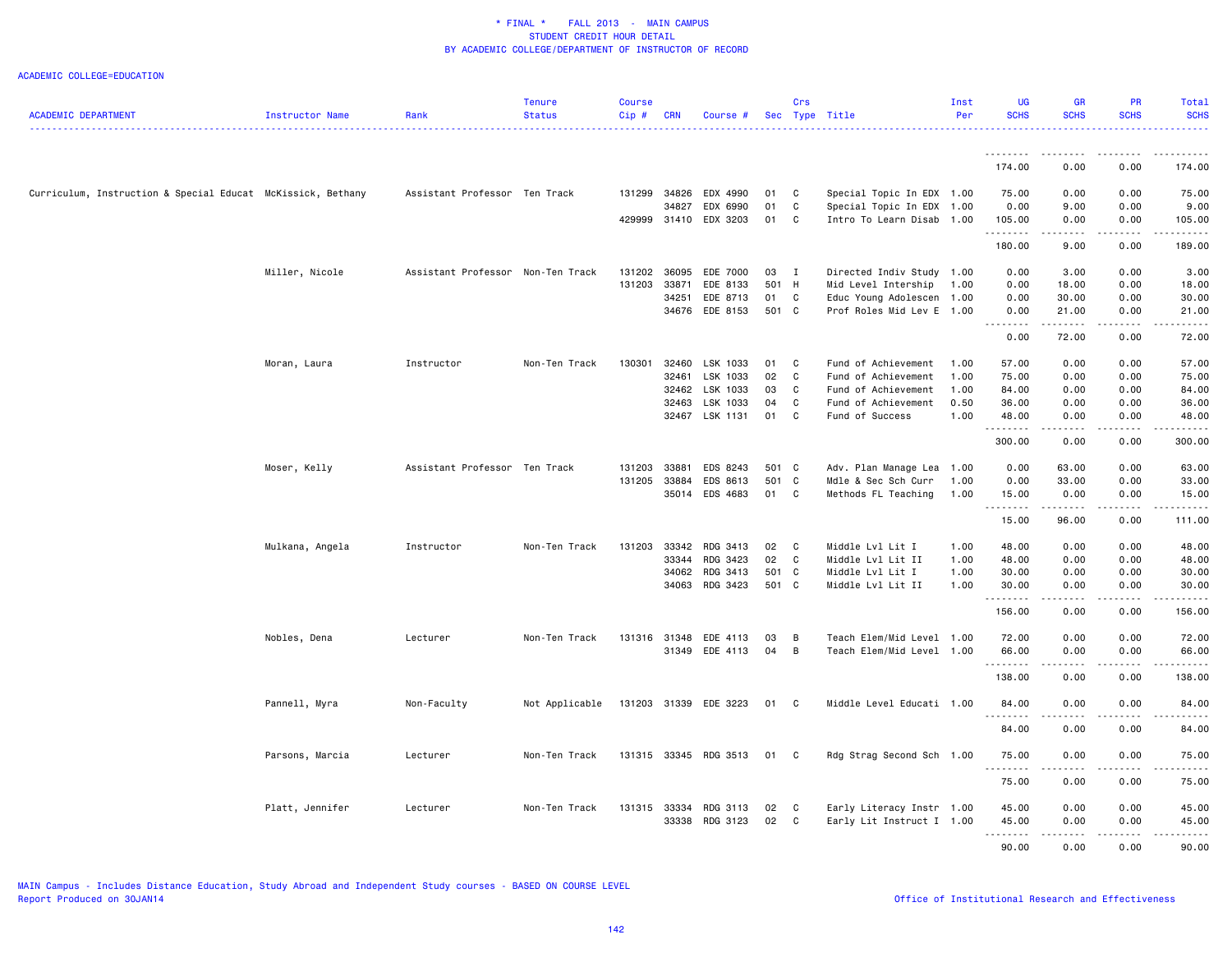|                                                             |                 |                                   | <b>Tenure</b>  | <b>Course</b> |              |                            |          | Crs          |                                                        | Inst | <b>UG</b>      | GR               | <b>PR</b>    | Total                   |
|-------------------------------------------------------------|-----------------|-----------------------------------|----------------|---------------|--------------|----------------------------|----------|--------------|--------------------------------------------------------|------|----------------|------------------|--------------|-------------------------|
| <b>ACADEMIC DEPARTMENT</b>                                  | Instructor Name | Rank                              | <b>Status</b>  | Cip#          | <b>CRN</b>   | Course #                   |          |              | Sec Type Title                                         | Per  | <b>SCHS</b>    | <b>SCHS</b>      | <b>SCHS</b>  | <b>SCHS</b>             |
|                                                             |                 |                                   |                |               |              |                            |          |              |                                                        |      |                |                  |              |                         |
|                                                             |                 |                                   |                |               |              |                            |          |              |                                                        |      | .<br>174.00    | --------<br>0.00 | .<br>0.00    | .<br>174.00             |
| Curriculum, Instruction & Special Educat McKissick, Bethany |                 | Assistant Professor Ten Track     |                |               | 131299 34826 | EDX 4990                   | 01       | C            | Special Topic In EDX 1.00                              |      | 75.00          | 0.00             | 0.00         | 75.00                   |
|                                                             |                 |                                   |                |               | 34827        | EDX 6990                   | 01       | C            | Special Topic In EDX 1.00                              |      | 0.00           | 9.00             | 0.00         | 9.00                    |
|                                                             |                 |                                   |                |               | 429999 31410 | EDX 3203                   | 01       | C            | Intro To Learn Disab 1.00                              |      | 105.00         | 0.00             | 0.00         | 105.00                  |
|                                                             |                 |                                   |                |               |              |                            |          |              |                                                        |      | .              | .                | .            | .                       |
|                                                             |                 |                                   |                |               |              |                            |          |              |                                                        |      | 180.00         | 9.00             | 0.00         | 189.00                  |
|                                                             | Miller, Nicole  | Assistant Professor Non-Ten Track |                | 131202        | 36095        | EDE 7000                   | 03       | $\mathbf{I}$ | Directed Indiv Study 1.00                              |      | 0.00           | 3.00             | 0.00         | 3.00                    |
|                                                             |                 |                                   |                | 131203        | 33871        | EDE 8133                   | 501 H    |              | Mid Level Intership                                    | 1.00 | 0.00           | 18.00            | 0.00         | 18.00                   |
|                                                             |                 |                                   |                |               | 34251        | EDE 8713                   | 01       | C            | Educ Young Adolescen                                   | 1.00 | 0.00           | 30.00            | 0.00         | 30.00                   |
|                                                             |                 |                                   |                |               |              | 34676 EDE 8153             | 501 C    |              | Prof Roles Mid Lev E 1.00                              |      | 0.00<br>.      | 21.00<br>.       | 0.00<br>.    | 21.00<br>.              |
|                                                             |                 |                                   |                |               |              |                            |          |              |                                                        |      | 0.00           | 72.00            | 0.00         | 72.00                   |
|                                                             | Moran, Laura    | Instructor                        | Non-Ten Track  | 130301        | 32460        | LSK 1033                   | 01       | C            | Fund of Achievement                                    | 1.00 | 57.00          | 0.00             | 0.00         | 57.00                   |
|                                                             |                 |                                   |                |               | 32461        | LSK 1033                   | 02       | C            | Fund of Achievement                                    | 1.00 | 75.00          | 0.00             | 0.00         | 75.00                   |
|                                                             |                 |                                   |                |               | 32462        | LSK 1033                   | 03       | C            | Fund of Achievement                                    | 1.00 | 84.00          | 0.00             | 0.00         | 84.00                   |
|                                                             |                 |                                   |                |               | 32463        | LSK 1033                   | 04       | C            | Fund of Achievement                                    | 0.50 | 36.00          | 0.00             | 0.00         | 36.00                   |
|                                                             |                 |                                   |                |               |              | 32467 LSK 1131             | 01       | C            | Fund of Success                                        | 1.00 | 48.00          | 0.00             | 0.00         | 48.00                   |
|                                                             |                 |                                   |                |               |              |                            |          |              |                                                        |      | .<br>300.00    | .<br>0.00        | .<br>0.00    | .<br>300.00             |
|                                                             |                 |                                   |                |               |              |                            |          |              |                                                        |      |                |                  |              |                         |
|                                                             | Moser, Kelly    | Assistant Professor Ten Track     |                | 131203        | 33881        | EDS 8243                   | 501 C    |              | Adv. Plan Manage Lea 1.00                              |      | 0.00           | 63.00            | 0.00         | 63.00                   |
|                                                             |                 |                                   |                | 131205        | 33884        | EDS 8613                   | 501 C    |              | Mdle & Sec Sch Curr                                    | 1.00 | 0.00           | 33.00            | 0.00         | 33.00                   |
|                                                             |                 |                                   |                |               | 35014        | EDS 4683                   | 01 C     |              | Methods FL Teaching                                    | 1.00 | 15.00<br>.     | 0.00<br>.        | 0.00<br>.    | 15.00<br><u>.</u>       |
|                                                             |                 |                                   |                |               |              |                            |          |              |                                                        |      | 15.00          | 96.00            | 0.00         | 111.00                  |
|                                                             | Mulkana, Angela | Instructor                        | Non-Ten Track  | 131203        | 33342        | RDG 3413                   | 02       | $\mathbf{C}$ | Middle Lvl Lit I                                       | 1.00 | 48.00          | 0.00             | 0.00         | 48.00                   |
|                                                             |                 |                                   |                |               | 33344        | RDG 3423                   | 02       | $\mathbf{C}$ | Middle Lvl Lit II                                      | 1.00 | 48.00          | 0.00             | 0.00         | 48.00                   |
|                                                             |                 |                                   |                |               | 34062        | RDG 3413                   | 501 C    |              | Middle Lvl Lit I                                       | 1.00 | 30.00          | 0.00             | 0.00         | 30.00                   |
|                                                             |                 |                                   |                |               |              | 34063 RDG 3423             | 501 C    |              | Middle Lvl Lit II                                      | 1.00 | 30.00          | 0.00             | 0.00         | 30.00                   |
|                                                             |                 |                                   |                |               |              |                            |          |              |                                                        |      | .<br>156.00    | .<br>0.00        | .<br>0.00    | $\frac{1}{2}$<br>156.00 |
|                                                             | Nobles, Dena    | Lecturer                          | Non-Ten Track  |               |              | 131316 31348 EDE 4113      | 03       | B            | Teach Elem/Mid Level 1.00                              |      | 72.00          | 0.00             | 0.00         | 72.00                   |
|                                                             |                 |                                   |                |               |              | 31349 EDE 4113             | 04       | B            | Teach Elem/Mid Level 1.00                              |      | 66.00          | 0.00             | 0.00         | 66.00                   |
|                                                             |                 |                                   |                |               |              |                            |          |              |                                                        |      | .              | المتماما         | .            | .                       |
|                                                             |                 |                                   |                |               |              |                            |          |              |                                                        |      | 138.00         | 0.00             | 0.00         | 138.00                  |
|                                                             | Pannell, Myra   | Non-Faculty                       | Not Applicable |               |              | 131203 31339 EDE 3223      | 01       | C.           | Middle Level Educati 1.00                              |      | 84.00<br>.     | 0.00             | 0.00         | 84.00                   |
|                                                             |                 |                                   |                |               |              |                            |          |              |                                                        |      | 84.00          | 0.00             | 0.00         | 84.00                   |
|                                                             | Parsons, Marcia | Lecturer                          | Non-Ten Track  |               |              | 131315 33345 RDG 3513      | 01       | $\mathbf{C}$ | Rdg Strag Second Sch 1.00                              |      | 75.00          | 0.00             | 0.00         | 75.00                   |
|                                                             |                 |                                   |                |               |              |                            |          |              |                                                        |      | .<br>75.00     | 0.00             | 0.00         | 75.00                   |
|                                                             |                 |                                   |                |               |              |                            |          |              |                                                        |      |                |                  |              |                         |
|                                                             | Platt, Jennifer | Lecturer                          | Non-Ten Track  | 131315 33334  |              | RDG 3113<br>33338 RDG 3123 | 02<br>02 | C<br>C       | Early Literacy Instr 1.00<br>Early Lit Instruct I 1.00 |      | 45.00<br>45.00 | 0.00<br>0.00     | 0.00<br>0.00 | 45.00<br>45.00          |
|                                                             |                 |                                   |                |               |              |                            |          |              |                                                        |      | .              | .                | .            | .                       |
|                                                             |                 |                                   |                |               |              |                            |          |              |                                                        |      | 90.00          | 0.00             | 0.00         | 90.00                   |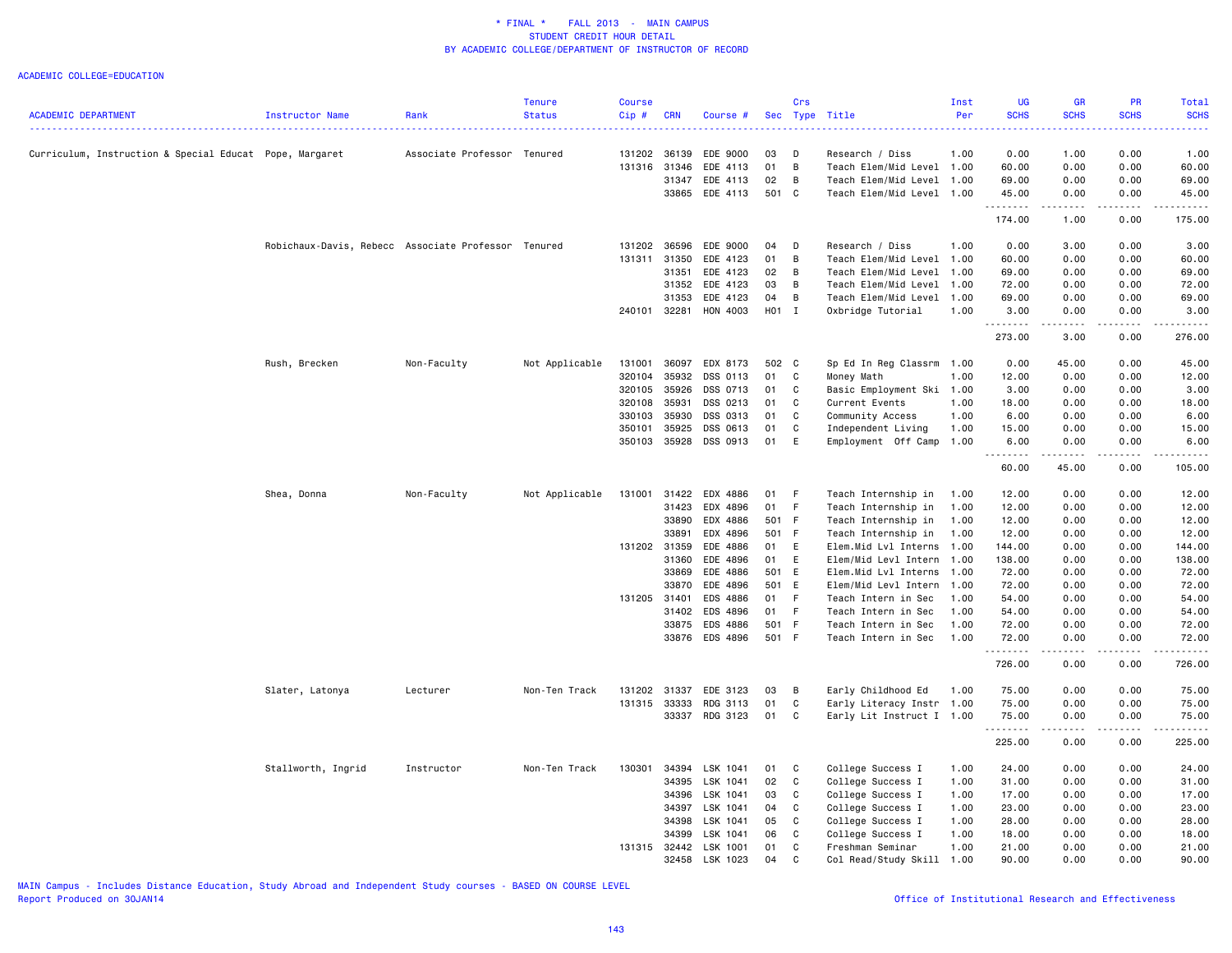#### ACADEMIC COLLEGE=EDUCATION

|                                                         |                                                     |                             | <b>Tenure</b>  | <b>Course</b> |              |                |       | Crs         |                           | Inst | <b>UG</b>   | <b>GR</b>                          | PR                                                                                                                                                           | Total                                                                                                                                                                                     |
|---------------------------------------------------------|-----------------------------------------------------|-----------------------------|----------------|---------------|--------------|----------------|-------|-------------|---------------------------|------|-------------|------------------------------------|--------------------------------------------------------------------------------------------------------------------------------------------------------------|-------------------------------------------------------------------------------------------------------------------------------------------------------------------------------------------|
| <b>ACADEMIC DEPARTMENT</b>                              | <b>Instructor Name</b>                              | Rank                        | <b>Status</b>  | $Cip$ #       | <b>CRN</b>   | Course #       |       |             | Sec Type Title            | Per  | <b>SCHS</b> | <b>SCHS</b>                        | <b>SCHS</b>                                                                                                                                                  | <b>SCHS</b><br>.                                                                                                                                                                          |
| Curriculum, Instruction & Special Educat Pope, Margaret |                                                     | Associate Professor Tenured |                | 131202 36139  |              | EDE 9000       | 03    | D           | Research / Diss           | 1.00 | 0.00        | 1.00                               | 0.00                                                                                                                                                         | 1.00                                                                                                                                                                                      |
|                                                         |                                                     |                             |                | 131316        | 31346        | EDE 4113       | 01    | B           | Teach Elem/Mid Level 1.00 |      | 60.00       | 0.00                               | 0.00                                                                                                                                                         | 60.00                                                                                                                                                                                     |
|                                                         |                                                     |                             |                |               | 31347        | EDE 4113       | 02    | B           | Teach Elem/Mid Level 1.00 |      | 69.00       | 0.00                               | 0.00                                                                                                                                                         | 69.00                                                                                                                                                                                     |
|                                                         |                                                     |                             |                |               | 33865        | EDE 4113       | 501 C |             | Teach Elem/Mid Level 1.00 |      | 45.00       | 0.00                               | 0.00                                                                                                                                                         | 45.00                                                                                                                                                                                     |
|                                                         |                                                     |                             |                |               |              |                |       |             |                           |      | .           | $\sim$ $\sim$ $\sim$ $\sim$ $\sim$ | -----                                                                                                                                                        | $\frac{1}{2} \left( \frac{1}{2} \right) \left( \frac{1}{2} \right) \left( \frac{1}{2} \right) \left( \frac{1}{2} \right) \left( \frac{1}{2} \right) \left( \frac{1}{2} \right)$           |
|                                                         |                                                     |                             |                |               |              |                |       |             |                           |      | 174.00      | 1.00                               | 0.00                                                                                                                                                         | 175.00                                                                                                                                                                                    |
|                                                         | Robichaux-Davis, Rebecc Associate Professor Tenured |                             |                | 131202        | 36596        | EDE 9000       | 04    | D           | Research / Diss           | 1.00 | 0.00        | 3.00                               | 0.00                                                                                                                                                         | 3.00                                                                                                                                                                                      |
|                                                         |                                                     |                             |                | 131311        | 31350        | EDE 4123       | 01    | B           | Teach Elem/Mid Level 1.00 |      | 60.00       | 0.00                               | 0.00                                                                                                                                                         | 60.00                                                                                                                                                                                     |
|                                                         |                                                     |                             |                |               | 31351        | EDE 4123       | 02    | B           | Teach Elem/Mid Level 1.00 |      | 69.00       | 0.00                               | 0.00                                                                                                                                                         | 69.00                                                                                                                                                                                     |
|                                                         |                                                     |                             |                |               | 31352        | EDE 4123       | 03    | B           | Teach Elem/Mid Level      | 1.00 | 72.00       | 0.00                               | 0.00                                                                                                                                                         | 72.00                                                                                                                                                                                     |
|                                                         |                                                     |                             |                |               | 31353        | EDE 4123       | 04    | B           | Teach Elem/Mid Level 1.00 |      | 69.00       | 0.00                               | 0.00                                                                                                                                                         | 69.00                                                                                                                                                                                     |
|                                                         |                                                     |                             |                | 240101 32281  |              | HON 4003       | H01 I |             | Oxbridge Tutorial         | 1.00 | 3.00<br>.   | 0.00<br>.                          | 0.00<br>.                                                                                                                                                    | 3.00<br>.                                                                                                                                                                                 |
|                                                         |                                                     |                             |                |               |              |                |       |             |                           |      | 273.00      | 3.00                               | 0.00                                                                                                                                                         | 276.00                                                                                                                                                                                    |
|                                                         | Rush, Brecken                                       | Non-Faculty                 | Not Applicable | 131001        | 36097        | EDX 8173       | 502 C |             | Sp Ed In Reg Classrm 1.00 |      | 0.00        | 45.00                              | 0.00                                                                                                                                                         | 45.00                                                                                                                                                                                     |
|                                                         |                                                     |                             |                | 320104        | 35932        | DSS 0113       | 01    | C           | Money Math                | 1.00 | 12.00       | 0.00                               | 0.00                                                                                                                                                         | 12.00                                                                                                                                                                                     |
|                                                         |                                                     |                             |                | 320105        | 35926        | DSS 0713       | 01    | C           | Basic Employment Ski 1.00 |      | 3.00        | 0.00                               | 0.00                                                                                                                                                         | 3.00                                                                                                                                                                                      |
|                                                         |                                                     |                             |                | 320108        | 35931        | DSS 0213       | 01    | C           | Current Events            | 1.00 | 18.00       | 0.00                               | 0.00                                                                                                                                                         | 18.00                                                                                                                                                                                     |
|                                                         |                                                     |                             |                | 330103        | 35930        | DSS 0313       | 01    | C           | Community Access          | 1.00 | 6.00        | 0.00                               | 0.00                                                                                                                                                         | 6.00                                                                                                                                                                                      |
|                                                         |                                                     |                             |                | 350101        | 35925        | DSS 0613       | 01    | C           | Independent Living        | 1.00 | 15.00       | 0.00                               | 0.00                                                                                                                                                         | 15.00                                                                                                                                                                                     |
|                                                         |                                                     |                             |                | 350103        | 35928        | DSS 0913       | 01    | E           | Employment Off Camp 1.00  |      | 6.00        | 0.00                               | 0.00                                                                                                                                                         | 6.00                                                                                                                                                                                      |
|                                                         |                                                     |                             |                |               |              |                |       |             |                           |      | .<br>60.00  | .<br>45.00                         | -----<br>0.00                                                                                                                                                | $\frac{1}{2} \left( \frac{1}{2} \right) \left( \frac{1}{2} \right) \left( \frac{1}{2} \right) \left( \frac{1}{2} \right) \left( \frac{1}{2} \right) \left( \frac{1}{2} \right)$<br>105.00 |
|                                                         | Shea, Donna                                         | Non-Faculty                 | Not Applicable | 131001        | 31422        | EDX 4886       | 01    | -F          | Teach Internship in       | 1.00 | 12.00       | 0.00                               | 0.00                                                                                                                                                         | 12.00                                                                                                                                                                                     |
|                                                         |                                                     |                             |                |               | 31423        | EDX 4896       | 01    | F.          | Teach Internship in       | 1.00 | 12.00       | 0.00                               | 0.00                                                                                                                                                         | 12.00                                                                                                                                                                                     |
|                                                         |                                                     |                             |                |               | 33890        | EDX 4886       | 501 F |             | Teach Internship in       | 1.00 | 12.00       | 0.00                               | 0.00                                                                                                                                                         | 12.00                                                                                                                                                                                     |
|                                                         |                                                     |                             |                |               | 33891        | EDX 4896       | 501 F |             | Teach Internship in       | 1.00 | 12.00       | 0.00                               | 0.00                                                                                                                                                         | 12.00                                                                                                                                                                                     |
|                                                         |                                                     |                             |                | 131202 31359  |              | EDE 4886       | 01    | E           | Elem.Mid Lvl Interns 1.00 |      | 144.00      | 0.00                               | 0.00                                                                                                                                                         | 144.00                                                                                                                                                                                    |
|                                                         |                                                     |                             |                |               | 31360        | EDE 4896       | 01    | E           | Elem/Mid Levl Intern 1.00 |      | 138.00      | 0.00                               | 0.00                                                                                                                                                         | 138.00                                                                                                                                                                                    |
|                                                         |                                                     |                             |                |               | 33869        | EDE 4886       | 501 E |             | Elem.Mid Lvl Interns 1.00 |      | 72.00       | 0.00                               | 0.00                                                                                                                                                         | 72.00                                                                                                                                                                                     |
|                                                         |                                                     |                             |                |               | 33870        | EDE 4896       | 501 E |             | Elem/Mid Levl Intern 1.00 |      | 72.00       | 0.00                               | 0.00                                                                                                                                                         | 72.00                                                                                                                                                                                     |
|                                                         |                                                     |                             |                | 131205 31401  |              | EDS 4886       | 01    | $-F$        | Teach Intern in Sec       | 1.00 | 54.00       | 0.00                               | 0.00                                                                                                                                                         | 54.00                                                                                                                                                                                     |
|                                                         |                                                     |                             |                |               | 31402        | EDS 4896       | 01    | F           | Teach Intern in Sec       | 1.00 | 54.00       | 0.00                               | 0.00                                                                                                                                                         | 54.00                                                                                                                                                                                     |
|                                                         |                                                     |                             |                |               | 33875        | EDS 4886       | 501 F |             | Teach Intern in Sec       | 1.00 | 72.00       | 0.00                               | 0.00                                                                                                                                                         | 72.00                                                                                                                                                                                     |
|                                                         |                                                     |                             |                |               |              | 33876 EDS 4896 | 501 F |             | Teach Intern in Sec       | 1.00 | 72.00<br>.  | 0.00<br><b>.</b>                   | 0.00<br>$\frac{1}{2} \left( \frac{1}{2} \right) \left( \frac{1}{2} \right) \left( \frac{1}{2} \right) \left( \frac{1}{2} \right) \left( \frac{1}{2} \right)$ | 72.00<br>.                                                                                                                                                                                |
|                                                         |                                                     |                             |                |               |              |                |       |             |                           |      | 726.00      | 0.00                               | 0.00                                                                                                                                                         | 726.00                                                                                                                                                                                    |
|                                                         | Slater, Latonya                                     | Lecturer                    | Non-Ten Track  | 131202        | 31337        | EDE 3123       | 03    | B           | Early Childhood Ed        | 1.00 | 75.00       | 0.00                               | 0.00                                                                                                                                                         | 75.00                                                                                                                                                                                     |
|                                                         |                                                     |                             |                | 131315        | 33333        | RDG 3113       | 01    | C           | Early Literacy Instr 1.00 |      | 75.00       | 0.00                               | 0.00                                                                                                                                                         | 75.00                                                                                                                                                                                     |
|                                                         |                                                     |                             |                |               |              | 33337 RDG 3123 | 01    | C           | Early Lit Instruct I 1.00 |      | 75.00       | 0.00                               | 0.00                                                                                                                                                         | 75.00                                                                                                                                                                                     |
|                                                         |                                                     |                             |                |               |              |                |       |             |                           |      | .<br>225.00 | $- - - - -$<br>0.00                | .<br>0.00                                                                                                                                                    | <u>.</u><br>225.00                                                                                                                                                                        |
|                                                         | Stallworth, Ingrid                                  | Instructor                  | Non-Ten Track  | 130301        | 34394        | LSK 1041       | 01    | C           | College Success I         | 1.00 | 24.00       | 0.00                               | 0.00                                                                                                                                                         | 24.00                                                                                                                                                                                     |
|                                                         |                                                     |                             |                |               | 34395        | LSK 1041       | 02    | C           | College Success I         | 1.00 | 31.00       | 0.00                               | 0.00                                                                                                                                                         | 31.00                                                                                                                                                                                     |
|                                                         |                                                     |                             |                |               | 34396        | LSK 1041       | 03    | C           | College Success I         | 1.00 | 17.00       | 0.00                               | 0.00                                                                                                                                                         | 17.00                                                                                                                                                                                     |
|                                                         |                                                     |                             |                |               | 34397        | LSK 1041       | 04    | C           | College Success I         | 1.00 | 23.00       | 0.00                               | 0.00                                                                                                                                                         | 23.00                                                                                                                                                                                     |
|                                                         |                                                     |                             |                |               | 34398        | LSK 1041       | 05    | C           | College Success I         | 1.00 | 28.00       | 0.00                               | 0.00                                                                                                                                                         | 28.00                                                                                                                                                                                     |
|                                                         |                                                     |                             |                |               | 34399        | LSK 1041       | 06    | $\mathbf c$ | College Success I         | 1.00 | 18.00       | 0.00                               | 0.00                                                                                                                                                         | 18.00                                                                                                                                                                                     |
|                                                         |                                                     |                             |                |               | 131315 32442 | LSK 1001       | 01    | C           | Freshman Seminar          | 1.00 | 21.00       | 0.00                               | 0.00                                                                                                                                                         | 21.00                                                                                                                                                                                     |
|                                                         |                                                     |                             |                |               | 32458        | LSK 1023       | 04    | $\mathbf c$ | Col Read/Study Skill 1.00 |      | 90.00       | 0.00                               | 0.00                                                                                                                                                         | 90.00                                                                                                                                                                                     |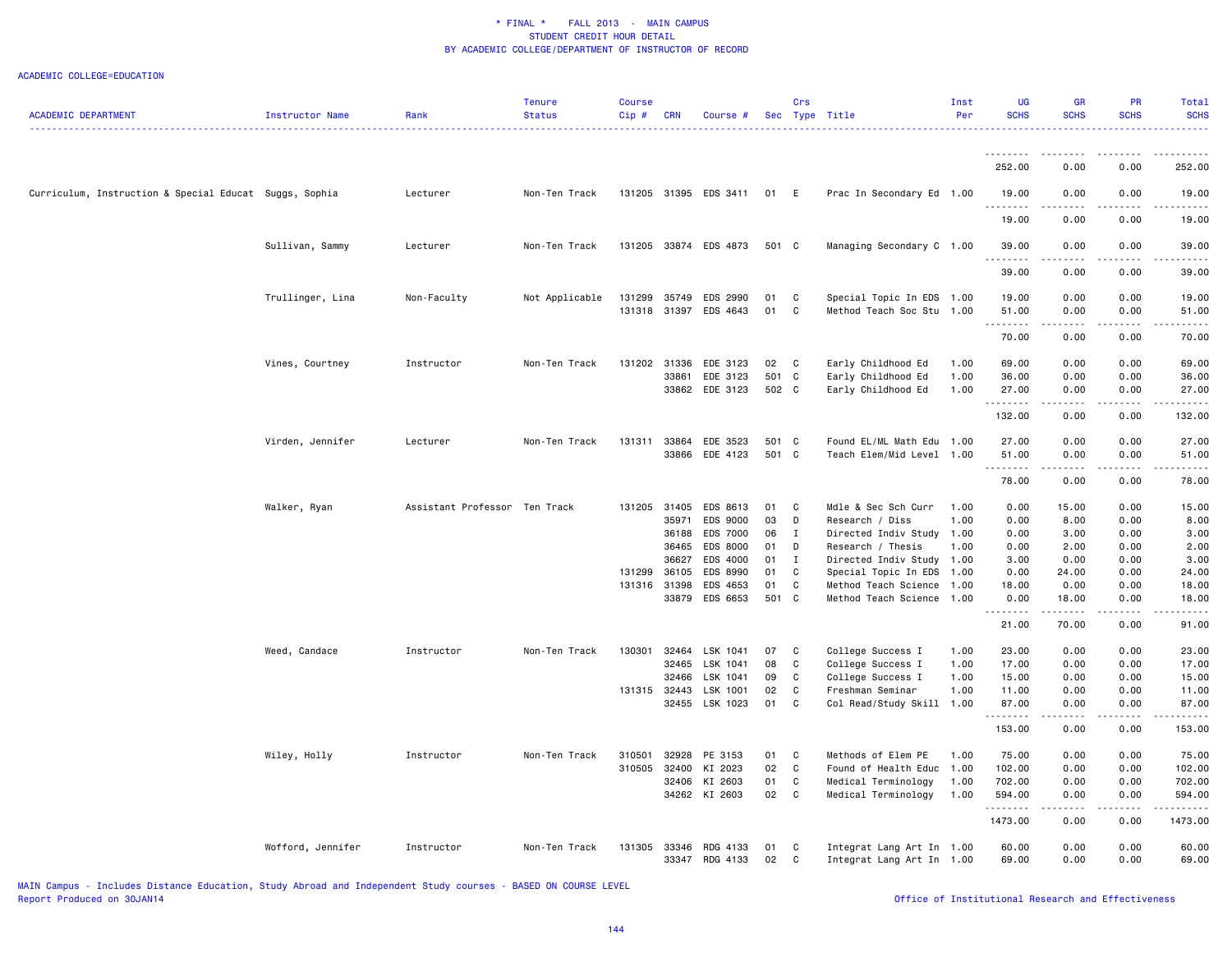|                                                        |                        |                               | Tenure         | <b>Course</b> |                |                       |                | Crs          |                                       | Inst         | <b>UG</b>      | <b>GR</b>                                                                                                                                            | <b>PR</b>                                                                                                                                                    | Total             |
|--------------------------------------------------------|------------------------|-------------------------------|----------------|---------------|----------------|-----------------------|----------------|--------------|---------------------------------------|--------------|----------------|------------------------------------------------------------------------------------------------------------------------------------------------------|--------------------------------------------------------------------------------------------------------------------------------------------------------------|-------------------|
| <b>ACADEMIC DEPARTMENT</b>                             | <b>Instructor Name</b> | Rank                          | <b>Status</b>  | Cip#          | <b>CRN</b>     | Course #              | <b>Sec</b>     |              | Type Title                            | Per          | <b>SCHS</b>    | <b>SCHS</b>                                                                                                                                          | <b>SCHS</b>                                                                                                                                                  | <b>SCHS</b>       |
|                                                        |                        |                               |                |               |                |                       |                |              |                                       |              |                |                                                                                                                                                      |                                                                                                                                                              | .                 |
|                                                        |                        |                               |                |               |                |                       |                |              |                                       |              | .              |                                                                                                                                                      |                                                                                                                                                              | . <b>.</b>        |
|                                                        |                        |                               |                |               |                |                       |                |              |                                       |              | 252.00         | 0.00                                                                                                                                                 | 0.00                                                                                                                                                         | 252.00            |
|                                                        |                        |                               |                |               |                |                       |                |              |                                       |              |                |                                                                                                                                                      |                                                                                                                                                              |                   |
| Curriculum, Instruction & Special Educat Suggs, Sophia |                        | Lecturer                      | Non-Ten Track  |               |                | 131205 31395 EDS 3411 | 01             | E            | Prac In Secondary Ed 1.00             |              | 19.00          | 0.00                                                                                                                                                 | 0.00                                                                                                                                                         | 19.00             |
|                                                        |                        |                               |                |               |                |                       |                |              |                                       |              | .              | د د د                                                                                                                                                |                                                                                                                                                              |                   |
|                                                        |                        |                               |                |               |                |                       |                |              |                                       |              | 19.00          | 0.00                                                                                                                                                 | 0.00                                                                                                                                                         | 19.00             |
|                                                        |                        |                               |                |               |                |                       |                |              |                                       |              |                |                                                                                                                                                      |                                                                                                                                                              |                   |
|                                                        | Sullivan, Sammy        | Lecturer                      | Non-Ten Track  |               |                | 131205 33874 EDS 4873 | 501 C          |              | Managing Secondary C 1.00             |              | 39.00          | 0.00                                                                                                                                                 | 0.00                                                                                                                                                         | 39.00             |
|                                                        |                        |                               |                |               |                |                       |                |              |                                       |              | .              | المتماما                                                                                                                                             | .                                                                                                                                                            | المالم المالية ال |
|                                                        |                        |                               |                |               |                |                       |                |              |                                       |              | 39.00          | 0.00                                                                                                                                                 | 0.00                                                                                                                                                         | 39.00             |
|                                                        | Trullinger, Lina       | Non-Faculty                   | Not Applicable | 131299        | 35749          | EDS 2990              | 01             | C            | Special Topic In EDS 1.00             |              | 19.00          | 0.00                                                                                                                                                 | 0.00                                                                                                                                                         | 19.00             |
|                                                        |                        |                               |                |               | 131318 31397   | EDS 4643              | 01             | C            | Method Teach Soc Stu                  | 1.00         | 51.00          | 0.00                                                                                                                                                 | 0.00                                                                                                                                                         | 51.00             |
|                                                        |                        |                               |                |               |                |                       |                |              |                                       |              | .              | .                                                                                                                                                    | .                                                                                                                                                            | .                 |
|                                                        |                        |                               |                |               |                |                       |                |              |                                       |              | 70.00          | 0.00                                                                                                                                                 | 0.00                                                                                                                                                         | 70.00             |
|                                                        |                        |                               |                |               |                |                       |                |              |                                       |              |                |                                                                                                                                                      |                                                                                                                                                              |                   |
|                                                        | Vines, Courtney        | Instructor                    | Non-Ten Track  |               | 131202 31336   | EDE 3123              | 02             | $\mathbf{C}$ | Early Childhood Ed                    | 1.00         | 69.00          | 0.00                                                                                                                                                 | 0.00                                                                                                                                                         | 69.00             |
|                                                        |                        |                               |                |               | 33861          | EDE 3123              | 501 C          |              | Early Childhood Ed                    | 1.00         | 36.00          | 0.00                                                                                                                                                 | 0.00                                                                                                                                                         | 36.00             |
|                                                        |                        |                               |                |               |                | 33862 EDE 3123        | 502 C          |              | Early Childhood Ed                    | 1.00         | 27.00          | 0.00                                                                                                                                                 | 0.00                                                                                                                                                         | 27.00             |
|                                                        |                        |                               |                |               |                |                       |                |              |                                       |              | .              | $- - - -$                                                                                                                                            |                                                                                                                                                              | .                 |
|                                                        |                        |                               |                |               |                |                       |                |              |                                       |              | 132.00         | 0.00                                                                                                                                                 | 0.00                                                                                                                                                         | 132.00            |
|                                                        |                        |                               |                |               |                |                       |                |              |                                       |              |                |                                                                                                                                                      |                                                                                                                                                              |                   |
|                                                        | Virden, Jennifer       | Lecturer                      | Non-Ten Track  | 131311        | 33864          | EDE 3523              | 501 C<br>501 C |              | Found EL/ML Math Edu 1.00             |              | 27.00          | 0.00                                                                                                                                                 | 0.00                                                                                                                                                         | 27.00             |
|                                                        |                        |                               |                |               | 33866          | EDE 4123              |                |              | Teach Elem/Mid Level 1.00             |              | 51.00<br>.     | 0.00<br>$\omega$ is $\omega$ in $\omega$                                                                                                             | 0.00<br>$\frac{1}{2} \left( \frac{1}{2} \right) \left( \frac{1}{2} \right) \left( \frac{1}{2} \right) \left( \frac{1}{2} \right) \left( \frac{1}{2} \right)$ | 51.00<br>.        |
|                                                        |                        |                               |                |               |                |                       |                |              |                                       |              | 78.00          | 0.00                                                                                                                                                 | 0.00                                                                                                                                                         | 78.00             |
|                                                        |                        |                               |                |               |                |                       |                |              |                                       |              |                |                                                                                                                                                      |                                                                                                                                                              |                   |
|                                                        | Walker, Ryan           | Assistant Professor Ten Track |                | 131205 31405  |                | EDS 8613              | 01             | C            | Mdle & Sec Sch Curr                   | 1.00         | 0.00           | 15.00                                                                                                                                                | 0.00                                                                                                                                                         | 15.00             |
|                                                        |                        |                               |                |               | 35971          | EDS 9000              | 03             | D            | Research / Diss                       | 1.00         | 0.00           | 8.00                                                                                                                                                 | 0.00                                                                                                                                                         | 8.00              |
|                                                        |                        |                               |                |               | 36188          | EDS 7000              | 06             | $\mathbf I$  | Directed Indiv Study 1.00             |              | 0.00           | 3.00                                                                                                                                                 | 0.00                                                                                                                                                         | 3.00              |
|                                                        |                        |                               |                |               | 36465          | EDS 8000              | 01             | D            | Research / Thesis                     | 1.00         | 0.00           | 2.00                                                                                                                                                 | 0.00                                                                                                                                                         | 2.00              |
|                                                        |                        |                               |                |               | 36627          | EDS 4000              | 01             | $\mathbf{I}$ | Directed Indiv Study 1.00             |              | 3.00           | 0.00                                                                                                                                                 | 0.00                                                                                                                                                         | 3.00              |
|                                                        |                        |                               |                | 131299        | 36105          | EDS 8990              | 01             | C            | Special Topic In EDS                  | 1.00         | 0.00           | 24.00                                                                                                                                                | 0.00                                                                                                                                                         | 24.00             |
|                                                        |                        |                               |                | 131316 31398  |                | EDS 4653              | 01             | C            | Method Teach Science                  | 1.00         | 18.00          | 0.00                                                                                                                                                 | 0.00                                                                                                                                                         | 18.00             |
|                                                        |                        |                               |                |               | 33879          | EDS 6653              | 501 C          |              | Method Teach Science 1.00             |              | 0.00           | 18.00                                                                                                                                                | 0.00                                                                                                                                                         | 18.00             |
|                                                        |                        |                               |                |               |                |                       |                |              |                                       |              | .              | .                                                                                                                                                    | .                                                                                                                                                            | .                 |
|                                                        |                        |                               |                |               |                |                       |                |              |                                       |              | 21.00          | 70.00                                                                                                                                                | 0.00                                                                                                                                                         | 91.00             |
|                                                        |                        |                               |                |               |                |                       |                |              |                                       |              |                |                                                                                                                                                      |                                                                                                                                                              |                   |
|                                                        | Weed, Candace          | Instructor                    | Non-Ten Track  | 130301        | 32464          | LSK 1041              | 07             | C            | College Success I                     | 1.00         | 23.00          | 0.00                                                                                                                                                 | 0.00                                                                                                                                                         | 23.00             |
|                                                        |                        |                               |                |               | 32465<br>32466 | LSK 1041<br>LSK 1041  | 08<br>09       | C<br>C       | College Success I                     | 1.00<br>1.00 | 17.00<br>15.00 | 0.00<br>0.00                                                                                                                                         | 0.00<br>0.00                                                                                                                                                 | 17.00<br>15.00    |
|                                                        |                        |                               |                | 131315 32443  |                | LSK 1001              | 02             | C            | College Success I<br>Freshman Seminar | 1.00         | 11.00          | 0.00                                                                                                                                                 | 0.00                                                                                                                                                         | 11.00             |
|                                                        |                        |                               |                |               |                | 32455 LSK 1023        | 01             | C            |                                       |              | 87.00          | 0.00                                                                                                                                                 | 0.00                                                                                                                                                         | 87.00             |
|                                                        |                        |                               |                |               |                |                       |                |              | Col Read/Study Skill 1.00             |              | .              | .                                                                                                                                                    | -----                                                                                                                                                        | .                 |
|                                                        |                        |                               |                |               |                |                       |                |              |                                       |              | 153.00         | 0.00                                                                                                                                                 | 0.00                                                                                                                                                         | 153.00            |
|                                                        |                        |                               |                |               |                |                       |                |              |                                       |              |                |                                                                                                                                                      |                                                                                                                                                              |                   |
|                                                        | Wiley, Holly           | Instructor                    | Non-Ten Track  | 310501        | 32928          | PE 3153               | 01             | C            | Methods of Elem PE                    | 1.00         | 75.00          | 0.00                                                                                                                                                 | 0.00                                                                                                                                                         | 75.00             |
|                                                        |                        |                               |                | 310505        | 32400          | KI 2023               | 02             | C            | Found of Health Educ                  | 1.00         | 102.00         | 0.00                                                                                                                                                 | 0.00                                                                                                                                                         | 102.00            |
|                                                        |                        |                               |                |               | 32406          | KI 2603               | 01             | C            | Medical Terminology                   | 1.00         | 702.00         | 0.00                                                                                                                                                 | 0.00                                                                                                                                                         | 702.00            |
|                                                        |                        |                               |                |               |                | 34262 KI 2603         | 02             | C            | Medical Terminology                   | 1.00         | 594.00         | 0.00                                                                                                                                                 | 0.00                                                                                                                                                         | 594.00            |
|                                                        |                        |                               |                |               |                |                       |                |              |                                       |              | .              | $\frac{1}{2} \left( \frac{1}{2} \right) \left( \frac{1}{2} \right) \left( \frac{1}{2} \right) \left( \frac{1}{2} \right) \left( \frac{1}{2} \right)$ | .                                                                                                                                                            | .                 |
|                                                        |                        |                               |                |               |                |                       |                |              |                                       |              | 1473.00        | 0.00                                                                                                                                                 | 0.00                                                                                                                                                         | 1473.00           |
|                                                        |                        |                               |                |               |                |                       |                |              |                                       |              |                |                                                                                                                                                      |                                                                                                                                                              |                   |
|                                                        | Wofford, Jennifer      | Instructor                    | Non-Ten Track  | 131305        | 33346          | RDG 4133              | 01             | C            | Integrat Lang Art In 1.00             |              | 60.00          | 0.00                                                                                                                                                 | 0.00                                                                                                                                                         | 60.00             |
|                                                        |                        |                               |                |               | 33347          | RDG 4133              | 02             | C            | Integrat Lang Art In 1.00             |              | 69.00          | 0.00                                                                                                                                                 | 0.00                                                                                                                                                         | 69.00             |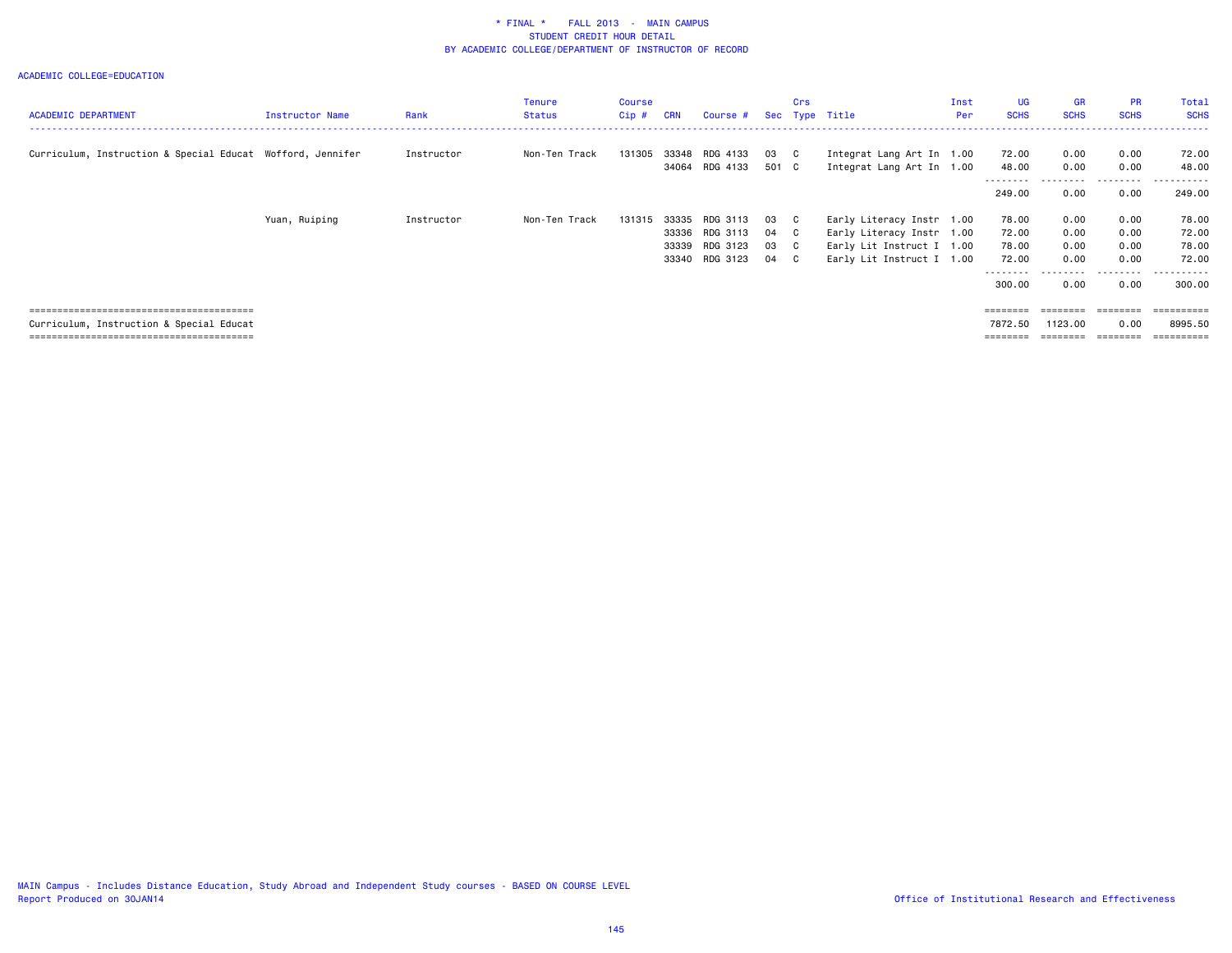| <b>ACADEMIC DEPARTMENT</b>                                 | <b>Instructor Name</b> | Rank       | Tenure<br>Status | Course<br>$Cip$ # | <b>CRN</b> | Course #       |       | Crs | Sec Type Title            | Inst<br>Per | UG.<br><b>SCHS</b> | <b>GR</b><br><b>SCHS</b> | <b>PR</b><br><b>SCHS</b> | Total<br><b>SCHS</b> |
|------------------------------------------------------------|------------------------|------------|------------------|-------------------|------------|----------------|-------|-----|---------------------------|-------------|--------------------|--------------------------|--------------------------|----------------------|
|                                                            |                        |            |                  |                   |            |                |       |     |                           |             |                    |                          |                          |                      |
| Curriculum, Instruction & Special Educat Wofford, Jennifer |                        | Instructor | Non-Ten Track    | 131305            |            | 33348 RDG 4133 | 03 C  |     | Integrat Lang Art In 1.00 |             | 72.00              | 0.00                     | 0.00                     | 72.00                |
|                                                            |                        |            |                  |                   | 34064      | RDG 4133       | 501 C |     | Integrat Lang Art In 1.00 |             | 48.00              | 0.00                     | 0.00                     | 48.00                |
|                                                            |                        |            |                  |                   |            |                |       |     |                           |             | --------<br>249.00 | 0.00                     | 0.00                     | .<br>249,00          |
|                                                            | Yuan, Ruiping          | Instructor | Non-Ten Track    | 131315            | 33335      | RDG 3113       | 03 C  |     | Early Literacy Instr 1.00 |             | 78.00              | 0.00                     | 0.00                     | 78.00                |
|                                                            |                        |            |                  |                   | 33336      | RDG 3113       | 04 C  |     | Early Literacy Instr 1.00 |             | 72.00              | 0.00                     | 0.00                     | 72.00                |
|                                                            |                        |            |                  |                   | 33339      | RDG 3123       | 03 C  |     | Early Lit Instruct I 1.00 |             | 78.00              | 0.00                     | 0.00                     | 78.00                |
|                                                            |                        |            |                  |                   |            | 33340 RDG 3123 | 04 C  |     | Early Lit Instruct I 1.00 |             | 72.00              | 0.00                     | 0.00                     | 72.00                |
|                                                            |                        |            |                  |                   |            |                |       |     |                           |             | 300.00             | 0.00                     | 0.00                     | 300.00               |
|                                                            |                        |            |                  |                   |            |                |       |     |                           |             |                    | ========                 | ========                 | ==========           |
| Curriculum, Instruction & Special Educat                   |                        |            |                  |                   |            |                |       |     |                           |             | 7872.50            | 1123.00                  | 0.00                     | 8995.50              |
|                                                            |                        |            |                  |                   |            |                |       |     |                           |             | ========           |                          |                          |                      |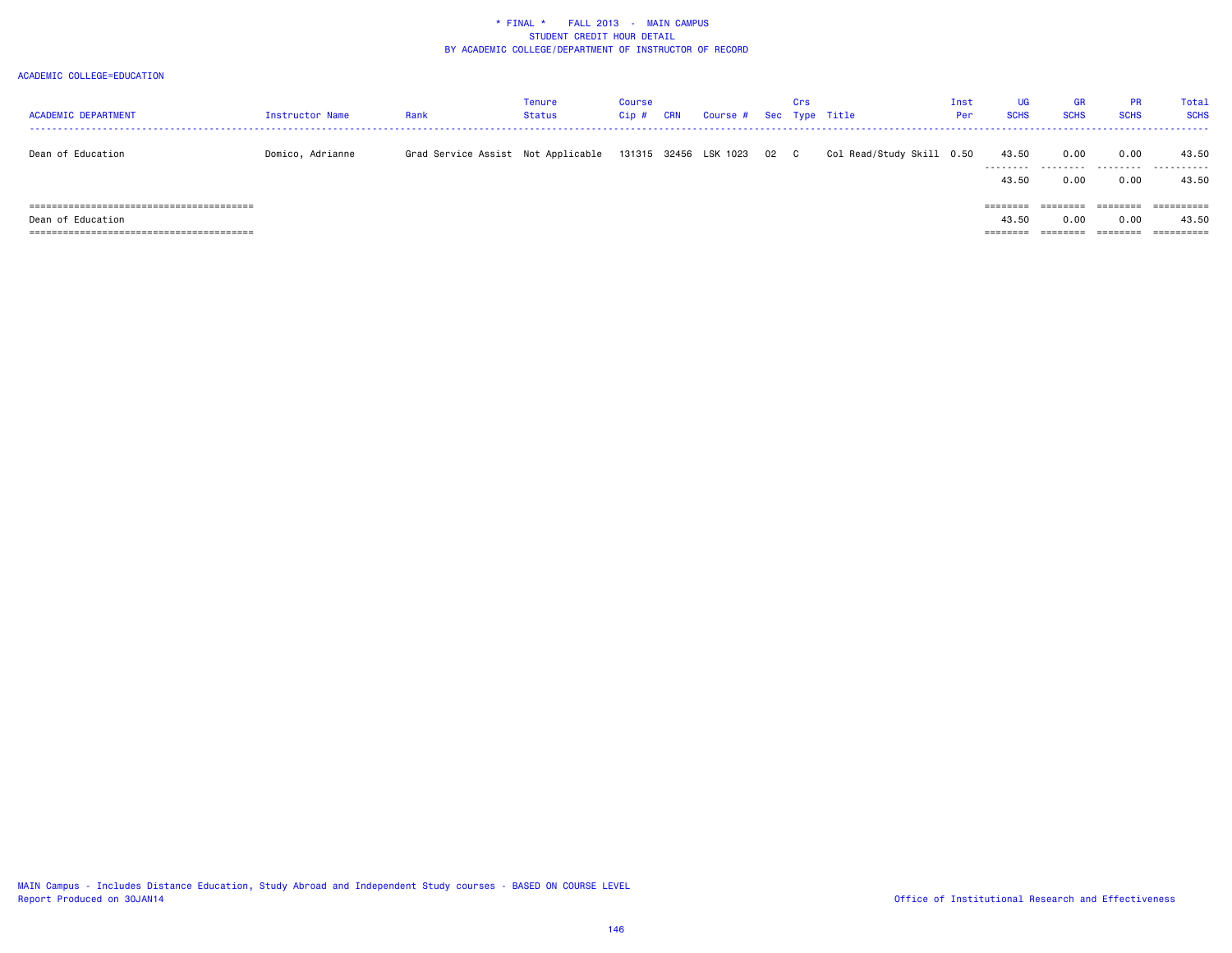| <b>ACADEMIC DEPARTMENT</b> | Instructor Name  | Rank                               | Tenure<br>Status | Course<br>Cip # | CRN | Course # Sec Type Title    | Crs |                           | Inst<br>Per | <b>UG</b><br><b>SCHS</b> | GR<br><b>SCHS</b> | <b>PR</b><br><b>SCHS</b> | Total<br><b>SCHS</b> |
|----------------------------|------------------|------------------------------------|------------------|-----------------|-----|----------------------------|-----|---------------------------|-------------|--------------------------|-------------------|--------------------------|----------------------|
|                            |                  |                                    |                  |                 |     |                            |     |                           |             |                          |                   |                          |                      |
| Dean of Education          | Domico, Adrianne | Grad Service Assist Not Applicable |                  |                 |     | 131315 32456 LSK 1023 02 C |     | Col Read/Study Skill 0.50 |             | 43.50                    | 0.00              | 0.00                     | 43.50                |
|                            |                  |                                    |                  |                 |     |                            |     |                           |             | 43.50                    | 0.00              | 0.00                     | 43.50                |
|                            |                  |                                    |                  |                 |     |                            |     |                           |             | ========                 |                   |                          | =========            |
| Dean of Education          |                  |                                    |                  |                 |     |                            |     |                           |             | 43.50                    | 0.00              | 0.00                     | 43.50                |
|                            |                  |                                    |                  |                 |     |                            |     |                           |             | ========                 |                   |                          | =========            |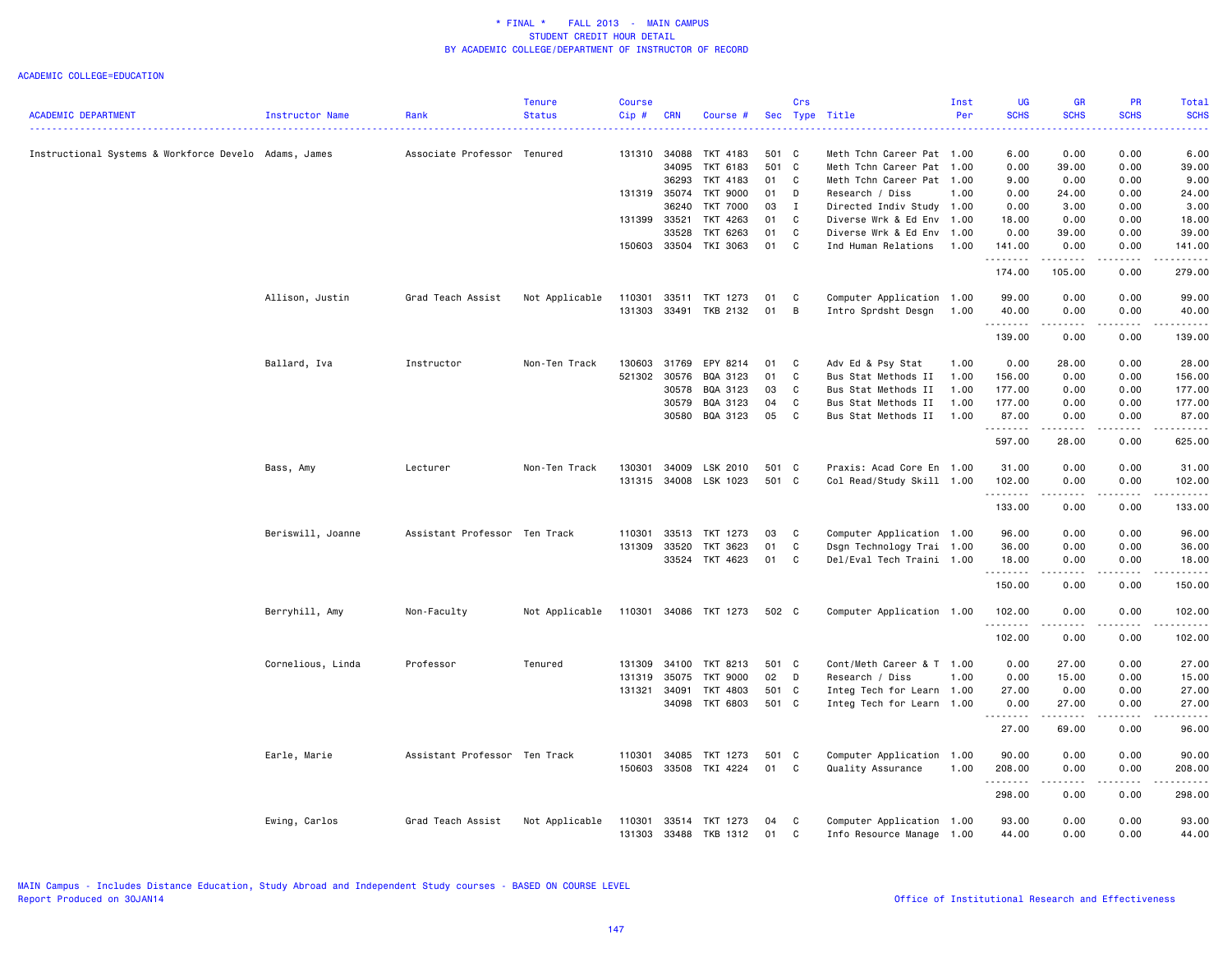|                                                       |                   |                               | <b>Tenure</b>  | <b>Course</b> |              |                 |       | Crs          |                           | Inst | <b>UG</b>         | <b>GR</b>     | <b>PR</b>     | Total                                                                                                                 |
|-------------------------------------------------------|-------------------|-------------------------------|----------------|---------------|--------------|-----------------|-------|--------------|---------------------------|------|-------------------|---------------|---------------|-----------------------------------------------------------------------------------------------------------------------|
| ACADEMIC DEPARTMENT                                   | Instructor Name   | Rank                          | <b>Status</b>  | $Cip \#$      | <b>CRN</b>   | Course #        |       |              | Sec Type Title            | Per  | <b>SCHS</b>       | <b>SCHS</b>   | <b>SCHS</b>   | <b>SCHS</b>                                                                                                           |
| Instructional Systems & Workforce Develo Adams, James |                   | Associate Professor Tenured   |                | 131310        | 34088        | TKT 4183        | 501 C |              | Meth Tchn Career Pat 1.00 |      | 6.00              | 0.00          | 0.00          | 6.00                                                                                                                  |
|                                                       |                   |                               |                |               | 34095        | TKT 6183        | 501 C |              | Meth Tchn Career Pat 1.00 |      | 0.00              | 39.00         | 0.00          | 39.00                                                                                                                 |
|                                                       |                   |                               |                |               | 36293        | TKT 4183        | 01    | C            | Meth Tchn Career Pat 1.00 |      | 9.00              | 0.00          | 0.00          | 9.00                                                                                                                  |
|                                                       |                   |                               |                | 131319        | 35074        | TKT 9000        | 01    | D            | Research / Diss           | 1.00 | 0.00              | 24.00         | 0.00          | 24.00                                                                                                                 |
|                                                       |                   |                               |                |               | 36240        | <b>TKT 7000</b> | 03    | $\mathbf I$  | Directed Indiv Study 1.00 |      | 0.00              | 3.00          | 0.00          | 3.00                                                                                                                  |
|                                                       |                   |                               |                | 131399 33521  |              | TKT 4263        | 01    | $\mathbf C$  | Diverse Wrk & Ed Env 1.00 |      | 18.00             | 0.00          | 0.00          | 18.00                                                                                                                 |
|                                                       |                   |                               |                |               | 33528        | TKT 6263        | 01    | C            | Diverse Wrk & Ed Env      | 1.00 | 0.00              | 39.00         | 0.00          | 39.00                                                                                                                 |
|                                                       |                   |                               |                |               | 150603 33504 | TKI 3063        | 01    | $\mathbf{C}$ | Ind Human Relations       | 1.00 | 141.00<br>.       | 0.00<br>.     | 0.00<br>.     | 141.00<br>$\begin{array}{cccccccccc} \bullet & \bullet & \bullet & \bullet & \bullet & \bullet & \bullet \end{array}$ |
|                                                       |                   |                               |                |               |              |                 |       |              |                           |      | 174.00            | 105.00        | 0.00          | 279.00                                                                                                                |
|                                                       | Allison, Justin   | Grad Teach Assist             | Not Applicable | 110301        | 33511        | TKT 1273        | 01    | C            | Computer Application 1.00 |      | 99.00             | 0.00          | 0.00          | 99.00                                                                                                                 |
|                                                       |                   |                               |                | 131303        | 33491        | TKB 2132        | 01    | B            | Intro Sprdsht Desgn       | 1.00 | 40.00<br>.        | 0.00<br>----- | 0.00<br>.     | 40.00<br>.                                                                                                            |
|                                                       |                   |                               |                |               |              |                 |       |              |                           |      | 139.00            | 0.00          | 0.00          | 139.00                                                                                                                |
|                                                       | Ballard, Iva      | Instructor                    | Non-Ten Track  | 130603        | 31769        | EPY 8214        | 01    | C            | Adv Ed & Psy Stat         | 1.00 | 0.00              | 28.00         | 0.00          | 28.00                                                                                                                 |
|                                                       |                   |                               |                | 521302 30576  |              | BQA 3123        | 01    | C            | Bus Stat Methods II       | 1.00 | 156.00            | 0.00          | 0.00          | 156.00                                                                                                                |
|                                                       |                   |                               |                |               | 30578        | BQA 3123        | 03    | C            | Bus Stat Methods II       | 1.00 | 177.00            | 0.00          | 0.00          | 177.00                                                                                                                |
|                                                       |                   |                               |                |               | 30579        | BQA 3123        | 04    | C            | Bus Stat Methods II       | 1.00 | 177.00            | 0.00          | 0.00          | 177.00                                                                                                                |
|                                                       |                   |                               |                |               | 30580        | BQA 3123        | 05    | C            | Bus Stat Methods II       | 1.00 | 87.00<br><u>.</u> | 0.00<br>.     | 0.00<br>.     | 87.00                                                                                                                 |
|                                                       |                   |                               |                |               |              |                 |       |              |                           |      | 597.00            | 28.00         | 0.00          | 625.00                                                                                                                |
|                                                       | Bass, Amy         | Lecturer                      | Non-Ten Track  | 130301        | 34009        | LSK 2010        | 501 C |              | Praxis: Acad Core En 1.00 |      | 31.00             | 0.00          | 0.00          | 31.00                                                                                                                 |
|                                                       |                   |                               |                | 131315        |              | 34008 LSK 1023  | 501 C |              | Col Read/Study Skill 1.00 |      | 102.00<br>.       | 0.00<br>.     | 0.00<br>.     | 102.00<br>.                                                                                                           |
|                                                       |                   |                               |                |               |              |                 |       |              |                           |      | 133.00            | 0.00          | 0.00          | 133.00                                                                                                                |
|                                                       | Beriswill, Joanne | Assistant Professor Ten Track |                | 110301        | 33513        | TKT 1273        | 03    | C            | Computer Application 1.00 |      | 96.00             | 0.00          | 0.00          | 96.00                                                                                                                 |
|                                                       |                   |                               |                | 131309        | 33520        | TKT 3623        | 01    | C            | Dsgn Technology Trai 1.00 |      | 36.00             | 0.00          | 0.00          | 36.00                                                                                                                 |
|                                                       |                   |                               |                |               | 33524        | TKT 4623        | 01    | C            | Del/Eval Tech Traini 1.00 |      | 18.00<br>.        | 0.00<br>.     | 0.00<br>.     | 18.00<br>.                                                                                                            |
|                                                       |                   |                               |                |               |              |                 |       |              |                           |      | 150.00            | 0.00          | 0.00          | 150.00                                                                                                                |
|                                                       | Berryhill, Amy    | Non-Faculty                   | Not Applicable | 110301        |              | 34086 TKT 1273  | 502 C |              | Computer Application 1.00 |      | 102.00<br>.       | 0.00          | 0.00<br>$  -$ | 102.00<br>$- - - - - - -$                                                                                             |
|                                                       |                   |                               |                |               |              |                 |       |              |                           |      | 102.00            | 0.00          | 0.00          | 102.00                                                                                                                |
|                                                       | Cornelious, Linda | Professor                     | Tenured        | 131309        | 34100        | TKT 8213        | 501 C |              | Cont/Meth Career & T 1.00 |      | 0.00              | 27.00         | 0.00          | 27.00                                                                                                                 |
|                                                       |                   |                               |                | 131319        | 35075        | <b>TKT 9000</b> | 02    | D            | Research / Diss           | 1.00 | 0.00              | 15.00         | 0.00          | 15.00                                                                                                                 |
|                                                       |                   |                               |                | 131321        | 34091        | TKT 4803        | 501 C |              | Integ Tech for Learn 1.00 |      | 27.00             | 0.00          | 0.00          | 27.00                                                                                                                 |
|                                                       |                   |                               |                |               | 34098        | TKT 6803        | 501 C |              | Integ Tech for Learn 1.00 |      | 0.00              | 27.00         | 0.00          | 27.00                                                                                                                 |
|                                                       |                   |                               |                |               |              |                 |       |              |                           |      | .<br>27.00        | .<br>69.00    | .<br>0.00     | .<br>96.00                                                                                                            |
|                                                       | Earle, Marie      | Assistant Professor Ten Track |                | 110301        | 34085        | TKT 1273        | 501   | $\mathbf{C}$ | Computer Application 1.00 |      | 90.00             | 0.00          | 0.00          | 90.00                                                                                                                 |
|                                                       |                   |                               |                | 150603        |              | 33508 TKI 4224  | 01    | C            | Quality Assurance         | 1.00 | 208.00<br>.       | 0.00<br>.     | 0.00<br>.     | 208.00<br>.                                                                                                           |
|                                                       |                   |                               |                |               |              |                 |       |              |                           |      | 298.00            | 0.00          | 0.00          | 298.00                                                                                                                |
|                                                       | Ewing, Carlos     | Grad Teach Assist             | Not Applicable | 110301        |              | 33514 TKT 1273  | 04    | C            | Computer Application 1.00 |      | 93.00             | 0.00          | 0.00          | 93.00                                                                                                                 |
|                                                       |                   |                               |                | 131303        | 33488        | TKB 1312        | 01    | C            | Info Resource Manage      | 1.00 | 44.00             | 0.00          | 0.00          | 44.00                                                                                                                 |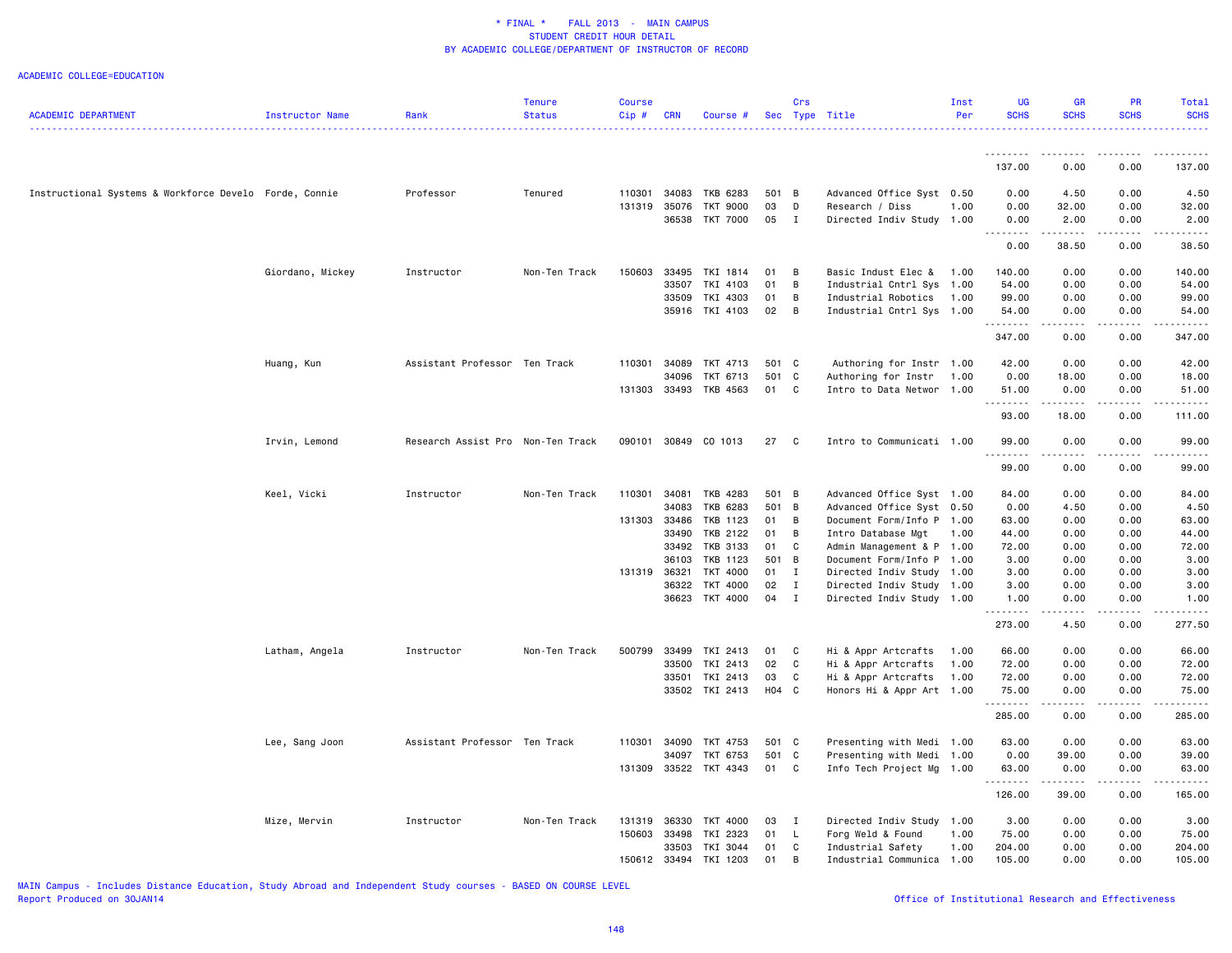#### ACADEMIC COLLEGE=EDUCATION

|                                                        |                  |                                   | <b>Tenure</b> | <b>Course</b> |              |                       |       | Crs          |                           | Inst | UG                | <b>GR</b>                                                                                                                                                    | <b>PR</b>        | Total                                                                                                                                                        |
|--------------------------------------------------------|------------------|-----------------------------------|---------------|---------------|--------------|-----------------------|-------|--------------|---------------------------|------|-------------------|--------------------------------------------------------------------------------------------------------------------------------------------------------------|------------------|--------------------------------------------------------------------------------------------------------------------------------------------------------------|
| <b>ACADEMIC DEPARTMENT</b>                             | Instructor Name  | Rank                              | <b>Status</b> | Cip#          | <b>CRN</b>   | Course #              |       |              | Sec Type Title            | Per  | <b>SCHS</b>       | <b>SCHS</b>                                                                                                                                                  | <b>SCHS</b>      | <b>SCHS</b>                                                                                                                                                  |
|                                                        |                  |                                   |               |               |              |                       |       |              |                           |      |                   |                                                                                                                                                              |                  |                                                                                                                                                              |
|                                                        |                  |                                   |               |               |              |                       |       |              |                           |      | 137.00            | 0.00                                                                                                                                                         | 0.00             | 137.00                                                                                                                                                       |
| Instructional Systems & Workforce Develo Forde, Connie |                  | Professor                         | Tenured       | 110301        | 34083        | TKB 6283              | 501 B |              | Advanced Office Syst 0.50 |      | 0.00              | 4.50                                                                                                                                                         | 0.00             | 4.50                                                                                                                                                         |
|                                                        |                  |                                   |               | 131319        | 35076        | TKT 9000              | 03    | D            | Research / Diss           | 1.00 | 0.00              | 32.00                                                                                                                                                        | 0.00             | 32.00                                                                                                                                                        |
|                                                        |                  |                                   |               |               |              | 36538 TKT 7000        | 05    | $\mathbf{I}$ | Directed Indiv Study      | 1.00 | 0.00<br><u>.</u>  | 2.00<br>$\frac{1}{2} \left( \frac{1}{2} \right) \left( \frac{1}{2} \right) \left( \frac{1}{2} \right) \left( \frac{1}{2} \right) \left( \frac{1}{2} \right)$ | 0.00             | 2.00                                                                                                                                                         |
|                                                        |                  |                                   |               |               |              |                       |       |              |                           |      | 0.00              | 38.50                                                                                                                                                        | 0.00             | 38.50                                                                                                                                                        |
|                                                        | Giordano, Mickey | Instructor                        | Non-Ten Track | 150603        | 33495        | TKI 1814              | 01    | B            | Basic Indust Elec &       | 1.00 | 140.00            | 0.00                                                                                                                                                         | 0.00             | 140.00                                                                                                                                                       |
|                                                        |                  |                                   |               |               | 33507        | TKI 4103              | 01    | B            | Industrial Cntrl Sys 1.00 |      | 54.00             | 0.00                                                                                                                                                         | 0.00             | 54.00                                                                                                                                                        |
|                                                        |                  |                                   |               |               | 33509        | TKI 4303              | 01    | B            | Industrial Robotics       | 1.00 | 99.00             | 0.00                                                                                                                                                         | 0.00             | 99.00                                                                                                                                                        |
|                                                        |                  |                                   |               |               |              | 35916 TKI 4103        | 02    | B            | Industrial Cntrl Sys 1.00 |      | 54.00<br>.        | 0.00<br>$\frac{1}{2}$                                                                                                                                        | 0.00<br>.        | 54.00                                                                                                                                                        |
|                                                        |                  |                                   |               |               |              |                       |       |              |                           |      | 347.00            | 0.00                                                                                                                                                         | 0.00             | 347.00                                                                                                                                                       |
|                                                        | Huang, Kun       | Assistant Professor Ten Track     |               | 110301        | 34089        | TKT 4713              | 501 C |              | Authoring for Instr 1.00  |      | 42.00             | 0.00                                                                                                                                                         | 0.00             | 42.00                                                                                                                                                        |
|                                                        |                  |                                   |               |               | 34096        | TKT 6713              | 501 C |              | Authoring for Instr       | 1.00 | 0.00              | 18.00                                                                                                                                                        | 0.00             | 18.00                                                                                                                                                        |
|                                                        |                  |                                   |               |               |              | 131303 33493 TKB 4563 | 01 C  |              | Intro to Data Networ 1.00 |      | 51.00             | 0.00                                                                                                                                                         | 0.00             | 51.00                                                                                                                                                        |
|                                                        |                  |                                   |               |               |              |                       |       |              |                           |      | .<br>93.00        | .<br>18.00                                                                                                                                                   | .<br>0.00        | .<br>111.00                                                                                                                                                  |
|                                                        | Irvin, Lemond    | Research Assist Pro Non-Ten Track |               |               |              | 090101 30849 CO 1013  | 27    | C            | Intro to Communicati 1.00 |      | 99.00<br><u>.</u> | 0.00<br>.                                                                                                                                                    | 0.00<br>.        | 99.00<br>. <b>.</b>                                                                                                                                          |
|                                                        |                  |                                   |               |               |              |                       |       |              |                           |      | 99.00             | 0.00                                                                                                                                                         | 0.00             | 99.00                                                                                                                                                        |
|                                                        | Keel, Vicki      | Instructor                        | Non-Ten Track | 110301        | 34081        | TKB 4283              | 501 B |              | Advanced Office Syst 1.00 |      | 84.00             | 0.00                                                                                                                                                         | 0.00             | 84.00                                                                                                                                                        |
|                                                        |                  |                                   |               |               | 34083        | TKB 6283              | 501 B |              | Advanced Office Syst 0.50 |      | 0.00              | 4.50                                                                                                                                                         | 0.00             | 4.50                                                                                                                                                         |
|                                                        |                  |                                   |               |               | 131303 33486 | TKB 1123              | 01    | B            | Document Form/Info P 1.00 |      | 63.00             | 0.00                                                                                                                                                         | 0.00             | 63.00                                                                                                                                                        |
|                                                        |                  |                                   |               |               | 33490        | TKB 2122              | 01    | B            | Intro Database Mgt        | 1.00 | 44.00             | 0.00                                                                                                                                                         | 0.00             | 44.00                                                                                                                                                        |
|                                                        |                  |                                   |               |               | 33492        | TKB 3133              | 01    | C            | Admin Management & P 1.00 |      | 72.00             | 0.00                                                                                                                                                         | 0.00             | 72.00                                                                                                                                                        |
|                                                        |                  |                                   |               |               | 36103        | TKB 1123              | 501 B |              | Document Form/Info P 1.00 |      | 3.00              | 0.00                                                                                                                                                         | 0.00             | 3.00                                                                                                                                                         |
|                                                        |                  |                                   |               | 131319        | 36321        | TKT 4000              | 01 I  |              | Directed Indiv Study 1.00 |      | 3.00              | 0.00                                                                                                                                                         | 0.00             | 3.00                                                                                                                                                         |
|                                                        |                  |                                   |               |               | 36322        | TKT 4000              | 02    | $\mathbf{I}$ | Directed Indiv Study 1.00 |      | 3.00              | 0.00                                                                                                                                                         | 0.00             | 3.00                                                                                                                                                         |
|                                                        |                  |                                   |               |               | 36623        | TKT 4000              | 04 I  |              | Directed Indiv Study 1.00 |      | 1.00<br>.         | 0.00<br>.                                                                                                                                                    | 0.00<br><u>.</u> | 1.00<br>$\frac{1}{2} \left( \frac{1}{2} \right) \left( \frac{1}{2} \right) \left( \frac{1}{2} \right) \left( \frac{1}{2} \right) \left( \frac{1}{2} \right)$ |
|                                                        |                  |                                   |               |               |              |                       |       |              |                           |      | 273.00            | 4.50                                                                                                                                                         | 0.00             | 277.50                                                                                                                                                       |
|                                                        | Latham, Angela   | Instructor                        | Non-Ten Track | 500799        | 33499        | TKI 2413              | 01    | C            | Hi & Appr Artcrafts       | 1.00 | 66.00             | 0.00                                                                                                                                                         | 0.00             | 66.00                                                                                                                                                        |
|                                                        |                  |                                   |               |               | 33500        | TKI 2413              | 02    | $\mathbf c$  | Hi & Appr Artcrafts       | 1.00 | 72.00             | 0.00                                                                                                                                                         | 0.00             | 72.00                                                                                                                                                        |
|                                                        |                  |                                   |               |               | 33501        | TKI 2413              | 03    | C            | Hi & Appr Artcrafts       | 1.00 | 72.00             | 0.00                                                                                                                                                         | 0.00             | 72.00                                                                                                                                                        |
|                                                        |                  |                                   |               |               |              | 33502 TKI 2413        | H04 C |              | Honors Hi & Appr Art 1.00 |      | 75.00<br>.        | 0.00<br>الأنابات                                                                                                                                             | 0.00<br>.        | 75.00<br>2.2.2.2.2                                                                                                                                           |
|                                                        |                  |                                   |               |               |              |                       |       |              |                           |      | 285.00            | 0.00                                                                                                                                                         | 0.00             | 285.00                                                                                                                                                       |
|                                                        | Lee, Sang Joon   | Assistant Professor Ten Track     |               | 110301        | 34090        | TKT 4753              | 501 C |              | Presenting with Medi 1.00 |      | 63.00             | 0.00                                                                                                                                                         | 0.00             | 63.00                                                                                                                                                        |
|                                                        |                  |                                   |               |               | 34097        | TKT 6753              | 501 C |              | Presenting with Medi 1.00 |      | 0.00              | 39.00                                                                                                                                                        | 0.00             | 39.00                                                                                                                                                        |
|                                                        |                  |                                   |               | 131309        |              | 33522 TKT 4343        | 01 C  |              | Info Tech Project Mg 1.00 |      | 63.00             | 0.00<br>.                                                                                                                                                    | 0.00<br>.        | 63.00<br>.                                                                                                                                                   |
|                                                        |                  |                                   |               |               |              |                       |       |              |                           |      | .<br>126.00       | 39.00                                                                                                                                                        | 0.00             | 165.00                                                                                                                                                       |
|                                                        | Mize, Mervin     | Instructor                        | Non-Ten Track | 131319        | 36330        | <b>TKT 4000</b>       | 03    | $\mathbf{I}$ | Directed Indiv Study 1.00 |      | 3.00              | 0.00                                                                                                                                                         | 0.00             | 3.00                                                                                                                                                         |
|                                                        |                  |                                   |               | 150603        | 33498        | TKI 2323              | 01    | $\mathsf{L}$ | Forg Weld & Found         | 1.00 | 75.00             | 0.00                                                                                                                                                         | 0.00             | 75.00                                                                                                                                                        |
|                                                        |                  |                                   |               |               | 33503        | TKI 3044              | 01    | C            | Industrial Safety         | 1.00 | 204.00            | 0.00                                                                                                                                                         | 0.00             | 204.00                                                                                                                                                       |
|                                                        |                  |                                   |               | 150612        | 33494        | TKI 1203              | 01    | B            | Industrial Communica 1.00 |      | 105.00            | 0.00                                                                                                                                                         | 0.00             | 105.00                                                                                                                                                       |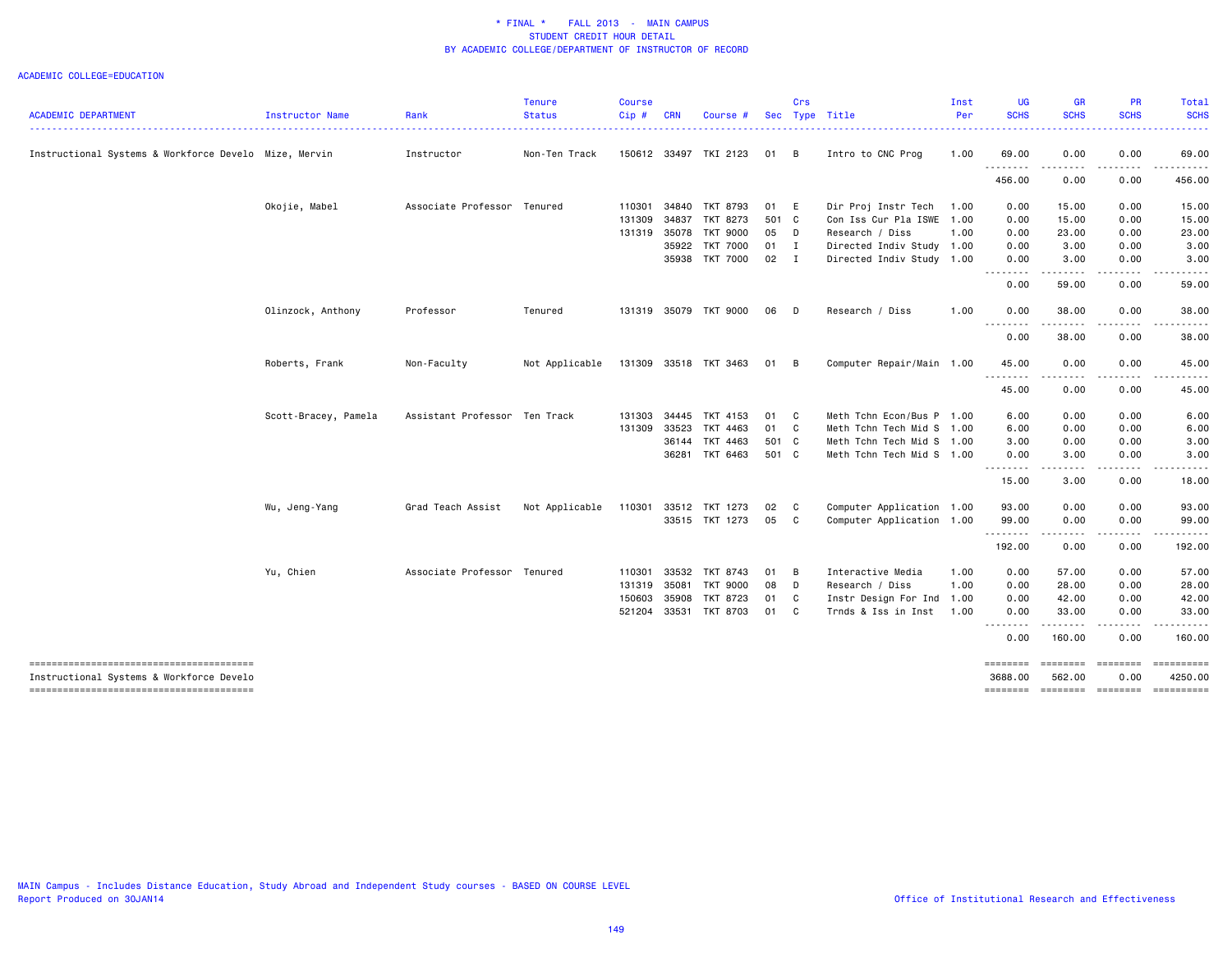| <b>ACADEMIC DEPARTMENT</b>                                                         | Instructor Name      | Rank                          | <b>Tenure</b><br><b>Status</b> | Course<br>$Cip$ # | <b>CRN</b>   | Course                |              | Crs                        | Sec Type Title            | Inst<br>Per | <b>UG</b><br><b>SCHS</b>                                                                                                           | <b>GR</b><br><b>SCHS</b>                                                                                                          | PR<br><b>SCHS</b>  | Total<br><b>SCHS</b>                  |
|------------------------------------------------------------------------------------|----------------------|-------------------------------|--------------------------------|-------------------|--------------|-----------------------|--------------|----------------------------|---------------------------|-------------|------------------------------------------------------------------------------------------------------------------------------------|-----------------------------------------------------------------------------------------------------------------------------------|--------------------|---------------------------------------|
|                                                                                    |                      |                               |                                |                   |              |                       |              |                            |                           |             |                                                                                                                                    |                                                                                                                                   |                    | المتمام المنا                         |
| Instructional Systems & Workforce Develo Mize, Mervin                              |                      | Instructor                    | Non-Ten Track                  |                   |              | 150612 33497 TKI 2123 | 01           | B                          | Intro to CNC Prog         | 1.00        | 69.00<br>$\frac{1}{2} \left( \frac{1}{2} \right) \left( \frac{1}{2} \right) \left( \frac{1}{2} \right) \left( \frac{1}{2} \right)$ | 0.00                                                                                                                              | 0.00               | 69.00                                 |
|                                                                                    |                      |                               |                                |                   |              |                       |              |                            |                           |             | 456.00                                                                                                                             | 0.00                                                                                                                              | 0.00               | 456.00                                |
|                                                                                    | Okojie, Mabel        | Associate Professor Tenured   |                                | 110301            | 34840        | TKT 8793              | 01           | E                          | Dir Proj Instr Tech       | 1.00        | 0.00                                                                                                                               | 15.00                                                                                                                             | 0.00               | 15.00                                 |
|                                                                                    |                      |                               |                                | 131309            | 34837        | TKT 8273              | 501 C        |                            | Con Iss Cur Pla ISWE      | 1.00        | 0.00                                                                                                                               | 15.00                                                                                                                             | 0.00               | 15.00                                 |
|                                                                                    |                      |                               |                                |                   | 131319 35078 | TKT 9000              | 05           | <b>D</b>                   | Research / Diss           | 1.00        | 0.00                                                                                                                               | 23.00                                                                                                                             | 0.00               | 23.00                                 |
|                                                                                    |                      |                               |                                |                   | 35922        | TKT 7000              | $01$ I       |                            | Directed Indiv Study 1.00 |             | 0.00                                                                                                                               | 3.00                                                                                                                              | 0.00               | 3.00                                  |
|                                                                                    |                      |                               |                                |                   |              | 35938 TKT 7000        | $02 \quad I$ |                            | Directed Indiv Study 1.00 |             | 0.00<br>.                                                                                                                          | 3.00<br>.                                                                                                                         | 0.00<br>.          | 3.00                                  |
|                                                                                    |                      |                               |                                |                   |              |                       |              |                            |                           |             | 0.00                                                                                                                               | 59.00                                                                                                                             | 0.00               | 59.00                                 |
|                                                                                    | Olinzock, Anthony    | Professor                     | Tenured                        |                   |              | 131319 35079 TKT 9000 | 06           | <b>D</b>                   | Research / Diss           | 1.00        | 0.00<br><u>.</u>                                                                                                                   | 38.00                                                                                                                             | 0.00               | 38.00                                 |
|                                                                                    |                      |                               |                                |                   |              |                       |              |                            |                           |             | 0.00                                                                                                                               | 38.00                                                                                                                             | 0.00               | 38.00                                 |
|                                                                                    | Roberts, Frank       | Non-Faculty                   | Not Applicable                 |                   |              | 131309 33518 TKT 3463 | 01 B         |                            | Computer Repair/Main 1.00 |             | 45.00                                                                                                                              | 0.00                                                                                                                              | 0.00               | 45.00                                 |
|                                                                                    |                      |                               |                                |                   |              |                       |              |                            |                           |             | .<br>45.00                                                                                                                         | $\frac{1}{2} \left( \frac{1}{2} \right) \left( \frac{1}{2} \right) \left( \frac{1}{2} \right) \left( \frac{1}{2} \right)$<br>0.00 | . <b>.</b><br>0.00 | .<br>45.00                            |
|                                                                                    | Scott-Bracey, Pamela | Assistant Professor Ten Track |                                | 131303            | 34445        | TKT 4153              | 01           | $\mathbf{C}$               | Meth Tchn Econ/Bus P      | 1.00        | 6.00                                                                                                                               | 0.00                                                                                                                              | 0.00               | 6.00                                  |
|                                                                                    |                      |                               |                                | 131309            | 33523        | TKT 4463              | 01 C         |                            | Meth Tchn Tech Mid S 1.00 |             | 6.00                                                                                                                               | 0.00                                                                                                                              | 0.00               | 6.00                                  |
|                                                                                    |                      |                               |                                |                   | 36144        | TKT 4463              | 501 C        |                            | Meth Tchn Tech Mid S 1.00 |             | 3.00                                                                                                                               | 0.00                                                                                                                              | 0.00               | 3.00                                  |
|                                                                                    |                      |                               |                                |                   |              | 36281 TKT 6463        | 501 C        |                            | Meth Tchn Tech Mid S 1.00 |             | 0.00                                                                                                                               | 3.00<br>.                                                                                                                         | 0.00<br>-----      | 3.00<br>.                             |
|                                                                                    |                      |                               |                                |                   |              |                       |              |                            |                           |             | 15.00                                                                                                                              | 3.00                                                                                                                              | 0.00               | 18.00                                 |
|                                                                                    | Wu, Jeng-Yang        | Grad Teach Assist             | Not Applicable                 | 110301            |              | 33512 TKT 1273        | 02           | C                          | Computer Application 1.00 |             | 93.00                                                                                                                              | 0.00                                                                                                                              | 0.00               | 93.00                                 |
|                                                                                    |                      |                               |                                |                   |              | 33515 TKT 1273        | 05           | $\overline{\phantom{a}}$ C | Computer Application 1.00 |             | 99.00                                                                                                                              | 0.00                                                                                                                              | 0.00               | 99.00                                 |
|                                                                                    |                      |                               |                                |                   |              |                       |              |                            |                           |             | .<br>192.00                                                                                                                        | -----<br>0.00                                                                                                                     | $\cdots$<br>0.00   | .<br>192.00                           |
|                                                                                    | Yu, Chien            | Associate Professor Tenured   |                                | 110301            | 33532        | TKT 8743              | 01           | $\blacksquare$             | Interactive Media         | 1.00        | 0.00                                                                                                                               | 57.00                                                                                                                             | 0.00               | 57.00                                 |
|                                                                                    |                      |                               |                                | 131319            | 35081        | TKT 9000              | 08           | <b>D</b>                   | Research / Diss           | 1.00        | 0.00                                                                                                                               | 28.00                                                                                                                             | 0.00               | 28.00                                 |
|                                                                                    |                      |                               |                                | 150603            | 35908        | TKT 8723              | 01           | $\mathbf{C}$               | Instr Design For Ind 1.00 |             | 0.00                                                                                                                               | 42.00                                                                                                                             | 0.00               | 42.00                                 |
|                                                                                    |                      |                               |                                |                   |              | 521204 33531 TKT 8703 | 01           | $\overline{\phantom{a}}$ C | Trnds & Iss in Inst       | 1.00        | 0.00                                                                                                                               | 33.00<br>$\cdots$                                                                                                                 | 0.00<br>.          | 33.00<br><u>.</u>                     |
|                                                                                    |                      |                               |                                |                   |              |                       |              |                            |                           |             | 0.00                                                                                                                               | 160.00                                                                                                                            | 0.00               | 160.00                                |
| --------------------------------------<br>Instructional Systems & Workforce Develo |                      |                               |                                |                   |              |                       |              |                            |                           |             | ========<br>3688.00                                                                                                                | ========<br>562.00                                                                                                                | ========<br>0.00   | 4250.00                               |
| --------------------------------------                                             |                      |                               |                                |                   |              |                       |              |                            |                           |             |                                                                                                                                    |                                                                                                                                   |                    | ======== ======== ======== ========== |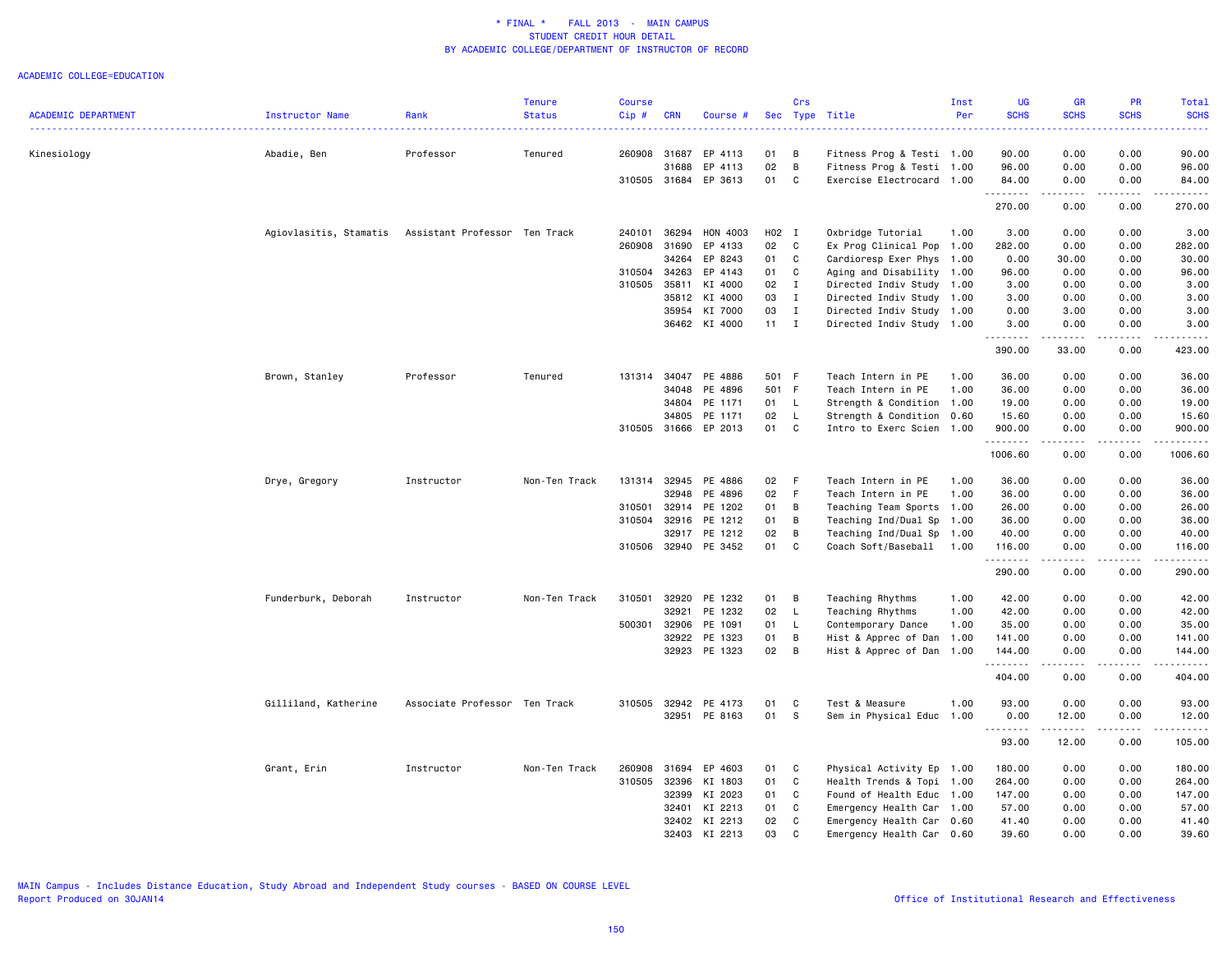|                            |                                                      |                               | <b>Tenure</b> | <b>Course</b> |              |                      |              | Crs          |                           | Inst | <b>UG</b>         | GR                                                                                                                                                            | PR                    | Total                    |
|----------------------------|------------------------------------------------------|-------------------------------|---------------|---------------|--------------|----------------------|--------------|--------------|---------------------------|------|-------------------|---------------------------------------------------------------------------------------------------------------------------------------------------------------|-----------------------|--------------------------|
| <b>ACADEMIC DEPARTMENT</b> | Instructor Name                                      | Rank                          | <b>Status</b> | Cip#          | <b>CRN</b>   | Course #             |              |              | Sec Type Title            | Per  | <b>SCHS</b>       | <b>SCHS</b>                                                                                                                                                   | <b>SCHS</b>           | <b>SCHS</b><br>والمراسات |
| Kinesiology                | Abadie, Ben                                          | Professor                     | Tenured       | 260908        | 31687        | EP 4113              | 01           | В            | Fitness Prog & Testi 1.00 |      | 90.00             | 0.00                                                                                                                                                          | 0.00                  | 90.00                    |
|                            |                                                      |                               |               |               | 31688        | EP 4113              | 02           | В            | Fitness Prog & Testi 1.00 |      | 96.00             | 0.00                                                                                                                                                          | 0.00                  | 96.00                    |
|                            |                                                      |                               |               | 310505 31684  |              | EP 3613              | 01           | C            | Exercise Electrocard 1.00 |      | 84.00             | 0.00                                                                                                                                                          | 0.00                  | 84.00                    |
|                            |                                                      |                               |               |               |              |                      |              |              |                           |      | .<br>270.00       | <u>.</u><br>0.00                                                                                                                                              | .<br>0.00             | .<br>270.00              |
|                            | Agiovlasitis, Stamatis Assistant Professor Ten Track |                               |               | 240101        | 36294        | HON 4003             | H02 I        |              | Oxbridge Tutorial         | 1.00 | 3.00              | 0.00                                                                                                                                                          | 0.00                  | 3.00                     |
|                            |                                                      |                               |               | 260908        | 31690        | EP 4133              | 02           | C            | Ex Prog Clinical Pop 1.00 |      | 282.00            | 0.00                                                                                                                                                          | 0.00                  | 282.00                   |
|                            |                                                      |                               |               |               | 34264        | EP 8243              | 01           | C            | Cardioresp Exer Phys 1.00 |      | 0.00              | 30.00                                                                                                                                                         | 0.00                  | 30.00                    |
|                            |                                                      |                               |               | 310504        | 34263        | EP 4143              | 01           | C            | Aging and Disability 1.00 |      | 96.00             | 0.00                                                                                                                                                          | 0.00                  | 96.00                    |
|                            |                                                      |                               |               | 310505        | 35811        | KI 4000              | 02           | $\mathbf{I}$ | Directed Indiv Study 1.00 |      | 3.00              | 0.00                                                                                                                                                          | 0.00                  | 3.00                     |
|                            |                                                      |                               |               |               | 35812        | KI 4000              | 03           | $\mathbf{I}$ | Directed Indiv Study 1.00 |      | 3.00              | 0.00                                                                                                                                                          | 0.00                  | 3.00                     |
|                            |                                                      |                               |               |               | 35954        | KI 7000              | 03           | $\mathbf{I}$ | Directed Indiv Study 1.00 |      | 0.00              | 3.00                                                                                                                                                          | 0.00                  | 3.00                     |
|                            |                                                      |                               |               |               |              | 36462 KI 4000        | $11 \quad I$ |              | Directed Indiv Study 1.00 |      | 3.00<br><u>.</u>  | 0.00                                                                                                                                                          | 0.00<br>$   -$        | 3.00<br>.                |
|                            |                                                      |                               |               |               |              |                      |              |              |                           |      | 390.00            | 33.00                                                                                                                                                         | 0.00                  | 423.00                   |
|                            | Brown, Stanley                                       | Professor                     | Tenured       |               | 131314 34047 | PE 4886              | 501 F        |              | Teach Intern in PE        | 1.00 | 36.00             | 0.00                                                                                                                                                          | 0.00                  | 36.00                    |
|                            |                                                      |                               |               |               | 34048        | PE 4896              | 501 F        |              | Teach Intern in PE        | 1.00 | 36.00             | 0.00                                                                                                                                                          | 0.00                  | 36.00                    |
|                            |                                                      |                               |               |               | 34804        | PE 1171              | 01           | L.           | Strength & Condition 1.00 |      | 19.00             | 0.00                                                                                                                                                          | 0.00                  | 19.00                    |
|                            |                                                      |                               |               |               | 34805        | PE 1171              | 02           | L            | Strength & Condition 0.60 |      | 15.60             | 0.00                                                                                                                                                          | 0.00                  | 15.60                    |
|                            |                                                      |                               |               |               | 310505 31666 | EP 2013              | 01           | C            | Intro to Exerc Scien 1.00 |      | 900.00            | 0.00                                                                                                                                                          | 0.00                  | 900.00                   |
|                            |                                                      |                               |               |               |              |                      |              |              |                           |      | .<br>1006.60      | .<br>0.00                                                                                                                                                     | .<br>0.00             | .<br>1006.60             |
|                            | Drye, Gregory                                        | Instructor                    | Non-Ten Track | 131314        | 32945        | PE 4886              | 02           | F            | Teach Intern in PE        | 1.00 | 36.00             | 0.00                                                                                                                                                          | 0.00                  | 36.00                    |
|                            |                                                      |                               |               |               | 32948        | PE 4896              | 02           | F            | Teach Intern in PE        | 1.00 | 36.00             | 0.00                                                                                                                                                          | 0.00                  | 36.00                    |
|                            |                                                      |                               |               | 310501        | 32914        | PE 1202              | 01           | В            | Teaching Team Sports 1.00 |      | 26.00             | 0.00                                                                                                                                                          | 0.00                  | 26.00                    |
|                            |                                                      |                               |               | 310504        | 32916        | PE 1212              | 01           | B            | Teaching Ind/Dual Sp 1.00 |      | 36.00             | 0.00                                                                                                                                                          | 0.00                  | 36.00                    |
|                            |                                                      |                               |               |               | 32917        | PE 1212              | 02           | B            | Teaching Ind/Dual Sp 1.00 |      | 40.00             | 0.00                                                                                                                                                          | 0.00                  | 40.00                    |
|                            |                                                      |                               |               |               |              | 310506 32940 PE 3452 | 01           | C            | Coach Soft/Baseball 1.00  |      | 116.00<br>.       | 0.00<br>$\frac{1}{2}$                                                                                                                                         | 0.00<br>$\frac{1}{2}$ | 116.00<br>.              |
|                            |                                                      |                               |               |               |              |                      |              |              |                           |      | 290.00            | 0.00                                                                                                                                                          | 0.00                  | 290.00                   |
|                            | Funderburk, Deborah                                  | Instructor                    | Non-Ten Track | 310501        | 32920        | PE 1232              | 01           | В            | Teaching Rhythms          | 1.00 | 42.00             | 0.00                                                                                                                                                          | 0.00                  | 42.00                    |
|                            |                                                      |                               |               |               | 32921        | PE 1232              | 02           | L.           | Teaching Rhythms          | 1.00 | 42.00             | 0.00                                                                                                                                                          | 0.00                  | 42.00                    |
|                            |                                                      |                               |               | 500301        | 32906        | PE 1091              | 01           | L            | Contemporary Dance        | 1.00 | 35.00             | 0.00                                                                                                                                                          | 0.00                  | 35.00                    |
|                            |                                                      |                               |               |               | 32922        | PE 1323              | 01           | В            | Hist & Apprec of Dan      | 1.00 | 141.00            | 0.00                                                                                                                                                          | 0.00                  | 141.00                   |
|                            |                                                      |                               |               |               | 32923        | PE 1323              | 02           | В            | Hist & Apprec of Dan 1.00 |      | 144.00<br>.       | 0.00                                                                                                                                                          | 0.00                  | 144.00<br>$\frac{1}{2}$  |
|                            |                                                      |                               |               |               |              |                      |              |              |                           |      | 404.00            | 0.00                                                                                                                                                          | 0.00                  | 404.00                   |
|                            | Gilliland, Katherine                                 | Associate Professor Ten Track |               | 310505        | 32942        | PE 4173              | 01           | C            | Test & Measure            | 1.00 | 93.00             | 0.00                                                                                                                                                          | 0.00                  | 93.00                    |
|                            |                                                      |                               |               |               | 32951        | PE 8163              | 01           | <b>S</b>     | Sem in Physical Educ 1.00 |      | 0.00              | 12.00                                                                                                                                                         | 0.00                  | 12.00                    |
|                            |                                                      |                               |               |               |              |                      |              |              |                           |      | <u>.</u><br>93.00 | $\frac{1}{2} \left( \frac{1}{2} \right) \left( \frac{1}{2} \right) \left( \frac{1}{2} \right) \left( \frac{1}{2} \right) \left( \frac{1}{2} \right)$<br>12.00 | .<br>0.00             | .<br>105.00              |
|                            | Grant, Erin                                          | Instructor                    | Non-Ten Track | 260908        | 31694        | EP 4603              | 01           | C            | Physical Activity Ep 1.00 |      | 180.00            | 0.00                                                                                                                                                          | 0.00                  | 180.00                   |
|                            |                                                      |                               |               | 310505        | 32396        | KI 1803              | 01           | C            | Health Trends & Topi 1.00 |      | 264.00            | 0.00                                                                                                                                                          | 0.00                  | 264.00                   |
|                            |                                                      |                               |               |               | 32399        | KI 2023              | 01           | C            | Found of Health Educ 1.00 |      | 147.00            | 0.00                                                                                                                                                          | 0.00                  | 147.00                   |
|                            |                                                      |                               |               |               | 32401        | KI 2213              | 01           | C            | Emergency Health Car 1.00 |      | 57.00             | 0.00                                                                                                                                                          | 0.00                  | 57.00                    |
|                            |                                                      |                               |               |               | 32402        | KI 2213              | 02           | C            | Emergency Health Car 0.60 |      | 41.40             | 0.00                                                                                                                                                          | 0.00                  | 41.40                    |
|                            |                                                      |                               |               |               | 32403        | KI 2213              | 03           | C            | Emergency Health Car 0.60 |      | 39.60             | 0.00                                                                                                                                                          | 0.00                  | 39.60                    |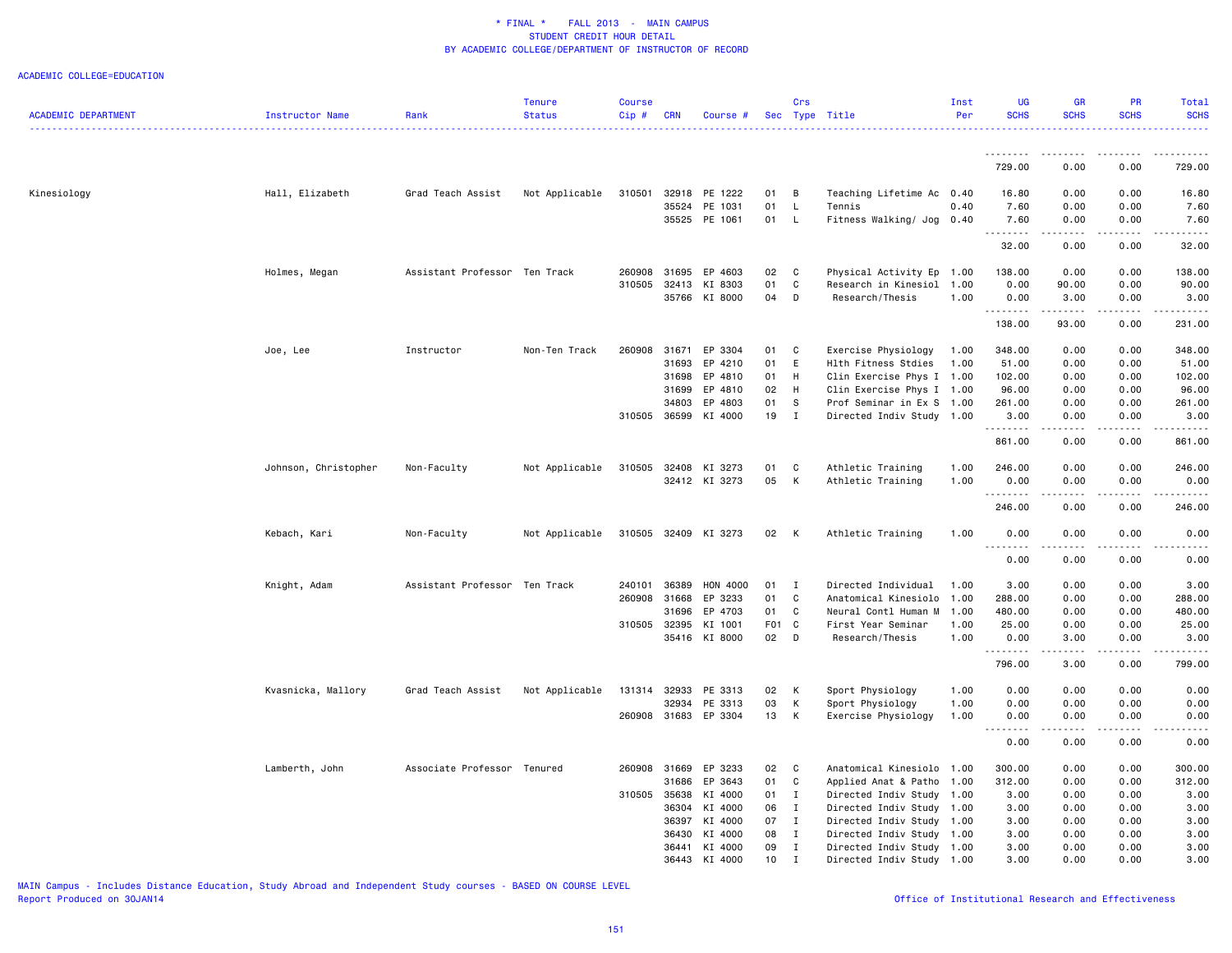#### ACADEMIC COLLEGE=EDUCATION

| ACADEMIC DEPARTMENT | Instructor Name      | Rank                          | <b>Tenure</b><br><b>Status</b> | Course<br>Cip# | <b>CRN</b>   | Course #             |       | Crs            | Sec Type Title            | Inst<br>Per | <b>UG</b><br><b>SCHS</b> | <b>GR</b><br><b>SCHS</b>                                                                                                          | PR<br><b>SCHS</b> | Total<br><b>SCHS</b>                                                                                                              |
|---------------------|----------------------|-------------------------------|--------------------------------|----------------|--------------|----------------------|-------|----------------|---------------------------|-------------|--------------------------|-----------------------------------------------------------------------------------------------------------------------------------|-------------------|-----------------------------------------------------------------------------------------------------------------------------------|
|                     |                      |                               |                                |                |              |                      |       |                |                           |             | .                        | .                                                                                                                                 | <u>.</u>          | $- - - - - -$                                                                                                                     |
|                     |                      |                               |                                |                |              |                      |       |                |                           |             | 729.00                   | 0.00                                                                                                                              | 0.00              | 729.00                                                                                                                            |
| Kinesiology         | Hall, Elizabeth      | Grad Teach Assist             | Not Applicable                 | 310501         |              | 32918 PE 1222        | 01    | B              | Teaching Lifetime Ac 0.40 |             | 16.80                    | 0.00                                                                                                                              | 0.00              | 16.80                                                                                                                             |
|                     |                      |                               |                                |                | 35524        | PE 1031              | 01    | L              | Tennis                    | 0.40        | 7.60                     | 0.00                                                                                                                              | 0.00              | 7.60                                                                                                                              |
|                     |                      |                               |                                |                |              | 35525 PE 1061        | 01    | L              | Fitness Walking/ Jog 0.40 |             | 7.60                     | 0.00                                                                                                                              | 0.00              | 7.60                                                                                                                              |
|                     |                      |                               |                                |                |              |                      |       |                |                           |             | 32.00                    | 0.00                                                                                                                              | 0.00              | 32.00                                                                                                                             |
|                     | Holmes, Megan        | Assistant Professor Ten Track |                                | 260908         | 31695        | EP 4603              | 02    | C              | Physical Activity Ep 1.00 |             | 138.00                   | 0.00                                                                                                                              | 0.00              | 138.00                                                                                                                            |
|                     |                      |                               |                                | 310505         | 32413        | KI 8303              | 01    | C              | Research in Kinesiol 1.00 |             | 0.00                     | 90.00                                                                                                                             | 0.00              | 90.00                                                                                                                             |
|                     |                      |                               |                                |                |              | 35766 KI 8000        | 04    | D              | Research/Thesis           | 1.00        | 0.00<br>.                | 3.00<br>المتمام المتعاد                                                                                                           | 0.00<br>.         | 3.00<br>$\frac{1}{2}$                                                                                                             |
|                     |                      |                               |                                |                |              |                      |       |                |                           |             | 138.00                   | 93.00                                                                                                                             | 0.00              | 231.00                                                                                                                            |
|                     | Joe, Lee             | Instructor                    | Non-Ten Track                  | 260908         | 31671        | EP 3304              | 01    | C              | Exercise Physiology       | 1.00        | 348.00                   | 0.00                                                                                                                              | 0.00              | 348.00                                                                                                                            |
|                     |                      |                               |                                |                | 31693        | EP 4210              | 01    | E              | Hlth Fitness Stdies       | 1.00        | 51.00                    | 0.00                                                                                                                              | 0.00              | 51.00                                                                                                                             |
|                     |                      |                               |                                |                | 31698        | EP 4810              | 01    | H              | Clin Exercise Phys I 1.00 |             | 102.00                   | 0.00                                                                                                                              | 0.00              | 102.00                                                                                                                            |
|                     |                      |                               |                                |                | 31699        | EP 4810              | 02    | H              | Clin Exercise Phys I 1.00 |             | 96.00                    | 0.00                                                                                                                              | 0.00              | 96.00                                                                                                                             |
|                     |                      |                               |                                |                | 34803        | EP 4803              | 01    | s              | Prof Seminar in Ex S      | 1.00        | 261.00                   | 0.00                                                                                                                              | 0.00              | 261.00                                                                                                                            |
|                     |                      |                               |                                | 310505 36599   |              | KI 4000              | 19    | $\mathbf{I}$   | Directed Indiv Study 1.00 |             | 3.00                     | 0.00                                                                                                                              | 0.00              | 3.00                                                                                                                              |
|                     |                      |                               |                                |                |              |                      |       |                |                           |             | 861.00                   | 0.00                                                                                                                              | 0.00              | 861.00                                                                                                                            |
|                     | Johnson, Christopher | Non-Faculty                   | Not Applicable                 | 310505         |              | 32408 KI 3273        | 01    | C              | Athletic Training         | 1.00        | 246.00                   | 0.00                                                                                                                              | 0.00              | 246.00                                                                                                                            |
|                     |                      |                               |                                |                |              | 32412 KI 3273        | 05    | K              | Athletic Training         | 1.00        | 0.00                     | 0.00                                                                                                                              | 0.00              | 0.00                                                                                                                              |
|                     |                      |                               |                                |                |              |                      |       |                |                           |             | .<br>246.00              | $\frac{1}{2} \left( \frac{1}{2} \right) \left( \frac{1}{2} \right) \left( \frac{1}{2} \right) \left( \frac{1}{2} \right)$<br>0.00 | .<br>0.00         | 246.00                                                                                                                            |
|                     | Kebach, Kari         | Non-Faculty                   | Not Applicable                 |                |              | 310505 32409 KI 3273 | 02 K  |                | Athletic Training         | 1.00        | 0.00                     | 0.00                                                                                                                              | 0.00              | 0.00                                                                                                                              |
|                     |                      |                               |                                |                |              |                      |       |                |                           |             | . <b>.</b><br>0.00       | .<br>0.00                                                                                                                         | .<br>0.00         | $\frac{1}{2} \left( \frac{1}{2} \right) \left( \frac{1}{2} \right) \left( \frac{1}{2} \right) \left( \frac{1}{2} \right)$<br>0.00 |
|                     | Knight, Adam         | Assistant Professor Ten Track |                                | 240101         | 36389        | HON 4000             | 01    | $\blacksquare$ | Directed Individual       | 1.00        | 3.00                     | 0.00                                                                                                                              | 0.00              | 3.00                                                                                                                              |
|                     |                      |                               |                                | 260908         | 31668        | EP 3233              | 01    | C              | Anatomical Kinesiolo      | 1.00        | 288.00                   | 0.00                                                                                                                              | 0.00              | 288.00                                                                                                                            |
|                     |                      |                               |                                |                | 31696        | EP 4703              | 01    | C              | Neural Contl Human M      | 1.00        | 480.00                   | 0.00                                                                                                                              | 0.00              | 480.00                                                                                                                            |
|                     |                      |                               |                                | 310505 32395   |              | KI 1001              | F01 C |                | First Year Seminar        | 1.00        | 25.00                    | 0.00                                                                                                                              | 0.00              | 25.00                                                                                                                             |
|                     |                      |                               |                                |                |              | 35416 KI 8000        | 02 D  |                | Research/Thesis           | 1.00        | 0.00<br>.                | 3.00                                                                                                                              | 0.00<br>-----     | 3.00<br><u>.</u>                                                                                                                  |
|                     |                      |                               |                                |                |              |                      |       |                |                           |             | 796.00                   | المتمالين<br>3.00                                                                                                                 | 0.00              | 799.00                                                                                                                            |
|                     | Kvasnicka, Mallory   | Grad Teach Assist             | Not Applicable                 | 131314 32933   |              | PE 3313              | 02    | K              | Sport Physiology          | 1.00        | 0.00                     | 0.00                                                                                                                              | 0.00              | 0.00                                                                                                                              |
|                     |                      |                               |                                |                | 32934        | PE 3313              | 03    | K              | Sport Physiology          | 1.00        | 0.00                     | 0.00                                                                                                                              | 0.00              | 0.00                                                                                                                              |
|                     |                      |                               |                                |                |              | 260908 31683 EP 3304 | 13    | K              | Exercise Physiology       | 1.00        | 0.00                     | 0.00                                                                                                                              | 0.00              | 0.00                                                                                                                              |
|                     |                      |                               |                                |                |              |                      |       |                |                           |             | .<br>0.00                | $\frac{1}{2} \left( \frac{1}{2} \right) \left( \frac{1}{2} \right) \left( \frac{1}{2} \right) \left( \frac{1}{2} \right)$<br>0.00 | 0.00              | -----<br>0.00                                                                                                                     |
|                     | Lamberth, John       | Associate Professor Tenured   |                                |                | 260908 31669 | EP 3233              | 02    | <b>C</b>       | Anatomical Kinesiolo 1.00 |             | 300.00                   | 0.00                                                                                                                              | 0.00              | 300.00                                                                                                                            |
|                     |                      |                               |                                |                | 31686        | EP 3643              | 01    | $\mathbf C$    | Applied Anat & Patho      | 1.00        | 312.00                   | 0.00                                                                                                                              | 0.00              | 312.00                                                                                                                            |
|                     |                      |                               |                                | 310505         | 35638        | KI 4000              | 01    | $\mathbf{I}$   | Directed Indiv Study      | 1.00        | 3.00                     | 0.00                                                                                                                              | 0.00              | 3.00                                                                                                                              |
|                     |                      |                               |                                |                | 36304        | KI 4000              | 06    | $\mathbf{I}$   | Directed Indiv Study 1.00 |             | 3.00                     | 0.00                                                                                                                              | 0.00              | 3.00                                                                                                                              |
|                     |                      |                               |                                |                | 36397        | KI 4000              | 07    | $\mathbf{I}$   | Directed Indiv Study 1.00 |             | 3.00                     | 0.00                                                                                                                              | 0.00              | 3.00                                                                                                                              |
|                     |                      |                               |                                |                | 36430        | KI 4000              | 08    | $\mathbf I$    | Directed Indiv Study 1.00 |             | 3.00                     | 0.00                                                                                                                              | 0.00              | 3.00                                                                                                                              |
|                     |                      |                               |                                |                | 36441        | KI 4000              | 09    | $\mathbf{I}$   | Directed Indiv Study 1.00 |             | 3.00                     | 0.00                                                                                                                              | 0.00              | 3.00                                                                                                                              |
|                     |                      |                               |                                |                | 36443        | KI 4000              | 10    | $\mathbf I$    | Directed Indiv Study 1.00 |             | 3.00                     | 0.00                                                                                                                              | 0.00              | 3.00                                                                                                                              |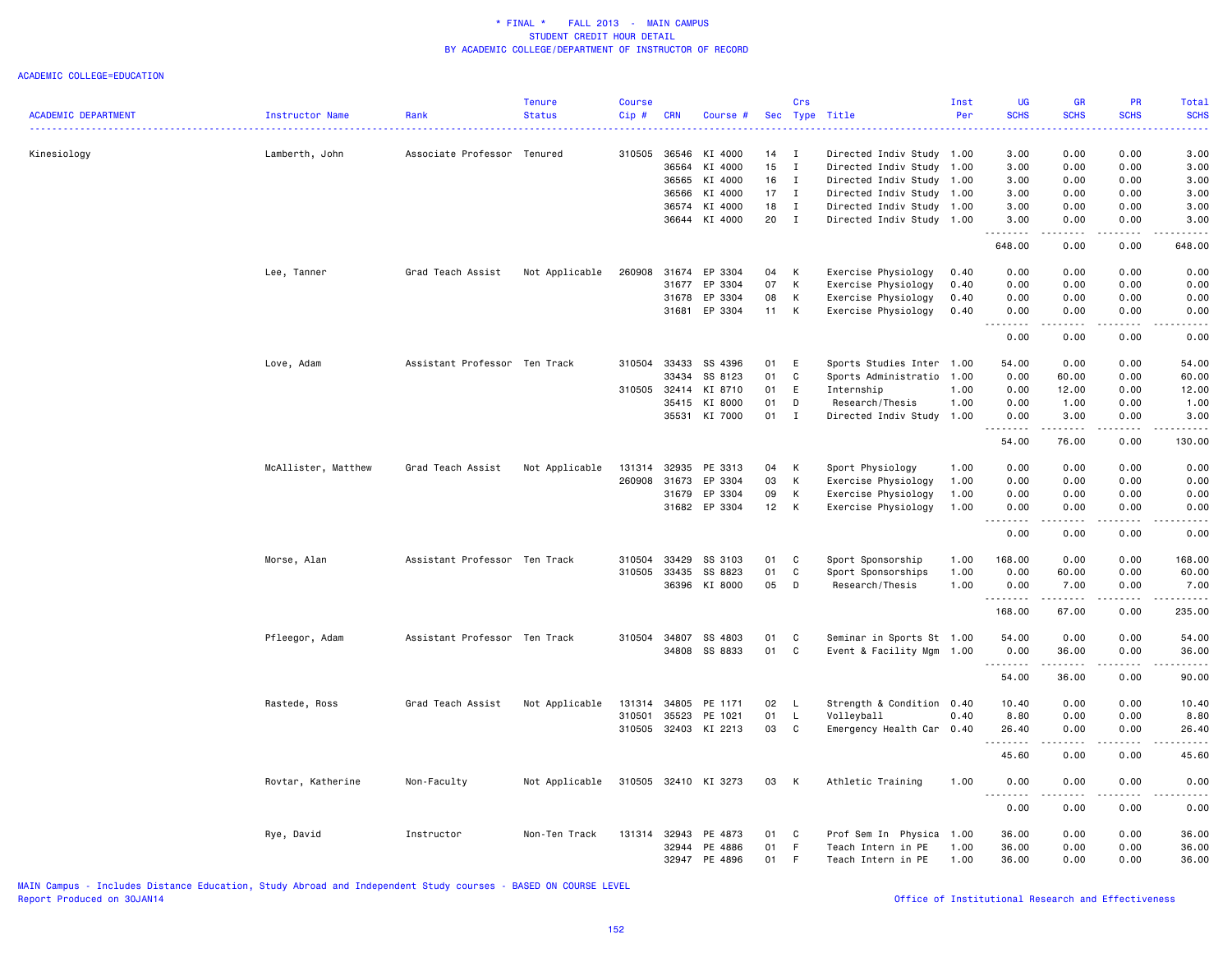|                            |                     |                               | <b>Tenure</b>  | Course       |              |                      |    | Crs          |                           | Inst | <b>UG</b><br><b>SCHS</b>     | GR<br><b>SCHS</b>                                                                                                                                             | PR<br><b>SCHS</b> | Total                                                                                                                                                                                     |
|----------------------------|---------------------|-------------------------------|----------------|--------------|--------------|----------------------|----|--------------|---------------------------|------|------------------------------|---------------------------------------------------------------------------------------------------------------------------------------------------------------|-------------------|-------------------------------------------------------------------------------------------------------------------------------------------------------------------------------------------|
| <b>ACADEMIC DEPARTMENT</b> | Instructor Name     | Rank                          | <b>Status</b>  | Cip #        | <b>CRN</b>   | Course #             |    |              | Sec Type Title            | Per  |                              |                                                                                                                                                               |                   | <b>SCHS</b>                                                                                                                                                                               |
| Kinesiology                | Lamberth, John      | Associate Professor Tenured   |                | 310505       | 36546        | KI 4000              | 14 | $\mathbf{I}$ | Directed Indiv Study 1.00 |      | 3.00                         | 0.00                                                                                                                                                          | 0.00              | 3.00                                                                                                                                                                                      |
|                            |                     |                               |                |              | 36564        | KI 4000              | 15 | $\mathbf{I}$ | Directed Indiv Study 1.00 |      | 3.00                         | 0.00                                                                                                                                                          | 0.00              | 3.00                                                                                                                                                                                      |
|                            |                     |                               |                |              | 36565        | KI 4000              | 16 | $\mathbf{I}$ | Directed Indiv Study 1.00 |      | 3.00                         | 0.00                                                                                                                                                          | 0.00              | 3.00                                                                                                                                                                                      |
|                            |                     |                               |                |              | 36566        | KI 4000              | 17 | $\mathbf{I}$ | Directed Indiv Study 1.00 |      | 3.00                         | 0.00                                                                                                                                                          | 0.00              | 3.00                                                                                                                                                                                      |
|                            |                     |                               |                |              | 36574        | KI 4000              | 18 | $\mathbf{I}$ | Directed Indiv Study 1.00 |      | 3.00                         | 0.00                                                                                                                                                          | 0.00              | 3.00                                                                                                                                                                                      |
|                            |                     |                               |                |              |              | 36644 KI 4000        | 20 | $\mathbf{I}$ | Directed Indiv Study 1.00 |      | 3.00<br>.                    | 0.00<br>.                                                                                                                                                     | 0.00<br>والمالات  | 3.00<br>.                                                                                                                                                                                 |
|                            |                     |                               |                |              |              |                      |    |              |                           |      | 648.00                       | 0.00                                                                                                                                                          | 0.00              | 648.00                                                                                                                                                                                    |
|                            | Lee, Tanner         | Grad Teach Assist             | Not Applicable | 260908       | 31674        | EP 3304              | 04 | К            | Exercise Physiology       | 0.40 | 0.00                         | 0.00                                                                                                                                                          | 0.00              | 0.00                                                                                                                                                                                      |
|                            |                     |                               |                |              | 31677        | EP 3304              | 07 | К            | Exercise Physiology       | 0.40 | 0.00                         | 0.00                                                                                                                                                          | 0.00              | 0.00                                                                                                                                                                                      |
|                            |                     |                               |                |              | 31678        | EP 3304              | 08 | К            | Exercise Physiology       | 0.40 | 0.00                         | 0.00                                                                                                                                                          | 0.00              | 0.00                                                                                                                                                                                      |
|                            |                     |                               |                |              | 31681        | EP 3304              | 11 | К            | Exercise Physiology       | 0.40 | 0.00<br>$\sim$ $\sim$ .<br>. | 0.00<br>.                                                                                                                                                     | 0.00<br>$   -$    | 0.00<br>-----                                                                                                                                                                             |
|                            |                     |                               |                |              |              |                      |    |              |                           |      | 0.00                         | 0.00                                                                                                                                                          | 0.00              | 0.00                                                                                                                                                                                      |
|                            | Love, Adam          | Assistant Professor Ten Track |                | 310504       | 33433        | SS 4396              | 01 | Ε            | Sports Studies Inter      | 1.00 | 54.00                        | 0.00                                                                                                                                                          | 0.00              | 54.00                                                                                                                                                                                     |
|                            |                     |                               |                |              | 33434        | SS 8123              | 01 | $\mathbb{C}$ | Sports Administratio      | 1.00 | 0.00                         | 60.00                                                                                                                                                         | 0.00              | 60.00                                                                                                                                                                                     |
|                            |                     |                               |                | 310505 32414 |              | KI 8710              | 01 | E            | Internship                | 1.00 | 0.00                         | 12.00                                                                                                                                                         | 0.00              | 12.00                                                                                                                                                                                     |
|                            |                     |                               |                |              | 35415        | KI 8000              | 01 | D            | Research/Thesis           | 1.00 | 0.00                         | 1.00                                                                                                                                                          | 0.00              | 1.00                                                                                                                                                                                      |
|                            |                     |                               |                |              |              | 35531 KI 7000        | 01 | $\mathbf{I}$ | Directed Indiv Study 1.00 |      | 0.00                         | 3.00                                                                                                                                                          | 0.00              | 3.00                                                                                                                                                                                      |
|                            |                     |                               |                |              |              |                      |    |              |                           |      | 54.00                        | $\frac{1}{2} \left( \frac{1}{2} \right) \left( \frac{1}{2} \right) \left( \frac{1}{2} \right) \left( \frac{1}{2} \right) \left( \frac{1}{2} \right)$<br>76.00 | .<br>0.00         | د د د د د<br>130.00                                                                                                                                                                       |
|                            | McAllister, Matthew | Grad Teach Assist             | Not Applicable | 131314       | 32935        | PE 3313              | 04 | К            | Sport Physiology          | 1.00 | 0.00                         | 0.00                                                                                                                                                          | 0.00              | 0.00                                                                                                                                                                                      |
|                            |                     |                               |                | 260908       | 31673        | EP 3304              | 03 | Κ            | Exercise Physiology       | 1.00 | 0.00                         | 0.00                                                                                                                                                          | 0.00              | 0.00                                                                                                                                                                                      |
|                            |                     |                               |                |              | 31679        | EP 3304              | 09 | κ            | Exercise Physiology       | 1.00 | 0.00                         | 0.00                                                                                                                                                          | 0.00              | 0.00                                                                                                                                                                                      |
|                            |                     |                               |                |              | 31682        | EP 3304              | 12 | К            | Exercise Physiology       | 1.00 | 0.00                         | 0.00                                                                                                                                                          | 0.00              | 0.00                                                                                                                                                                                      |
|                            |                     |                               |                |              |              |                      |    |              |                           |      | $\sim$ $\sim$ .<br>0.00      | 0.00                                                                                                                                                          | 0.00              | -----<br>0.00                                                                                                                                                                             |
|                            | Morse, Alan         | Assistant Professor Ten Track |                | 310504       | 33429        | SS 3103              | 01 | C            | Sport Sponsorship         | 1.00 | 168.00                       | 0.00                                                                                                                                                          | 0.00              | 168.00                                                                                                                                                                                    |
|                            |                     |                               |                | 310505       | 33435        | SS 8823              | 01 | C            | Sport Sponsorships        | 1.00 | 0.00                         | 60.00                                                                                                                                                         | 0.00              | 60.00                                                                                                                                                                                     |
|                            |                     |                               |                |              | 36396        | KI 8000              | 05 | D            | Research/Thesis           | 1.00 | 0.00                         | 7.00                                                                                                                                                          | 0.00              | 7.00                                                                                                                                                                                      |
|                            |                     |                               |                |              |              |                      |    |              |                           |      | .<br>168.00                  | .<br>67.00                                                                                                                                                    | .<br>0.00         | $\frac{1}{2} \left( \frac{1}{2} \right) \left( \frac{1}{2} \right) \left( \frac{1}{2} \right) \left( \frac{1}{2} \right) \left( \frac{1}{2} \right) \left( \frac{1}{2} \right)$<br>235.00 |
|                            | Pfleegor, Adam      | Assistant Professor Ten Track |                | 310504       | 34807        | SS 4803              | 01 | $\mathtt{C}$ | Seminar in Sports St 1.00 |      | 54.00                        | 0.00                                                                                                                                                          | 0.00              | 54.00                                                                                                                                                                                     |
|                            |                     |                               |                |              | 34808        | SS 8833              | 01 | C            | Event & Facility Mgm      | 1.00 | 0.00                         | 36.00                                                                                                                                                         | 0.00              | 36.00                                                                                                                                                                                     |
|                            |                     |                               |                |              |              |                      |    |              |                           |      | .<br>54.00                   | 36.00                                                                                                                                                         | 0.00              | .<br>90.00                                                                                                                                                                                |
|                            | Rastede, Ross       | Grad Teach Assist             | Not Applicable | 131314       | 34805        | PE 1171              | 02 | L            | Strength & Condition 0.40 |      | 10.40                        | 0.00                                                                                                                                                          | 0.00              | 10.40                                                                                                                                                                                     |
|                            |                     |                               |                | 310501       | 35523        | PE 1021              | 01 | L            | Volleyball                | 0.40 | 8.80                         | 0.00                                                                                                                                                          | 0.00              | 8.80                                                                                                                                                                                      |
|                            |                     |                               |                | 310505       | 32403        | KI 2213              | 03 | C            | Emergency Health Car 0.40 |      | 26.40                        | 0.00                                                                                                                                                          | 0.00              | 26.40                                                                                                                                                                                     |
|                            |                     |                               |                |              |              |                      |    |              |                           |      | . <b>.</b><br>45.60          | -----<br>0.00                                                                                                                                                 | .<br>0.00         | .<br>45.60                                                                                                                                                                                |
|                            | Rovtar, Katherine   | Non-Faculty                   | Not Applicable |              |              | 310505 32410 KI 3273 | 03 | К            | Athletic Training         | 1.00 | 0.00                         | 0.00                                                                                                                                                          | 0.00              | 0.00                                                                                                                                                                                      |
|                            |                     |                               |                |              |              |                      |    |              |                           |      | 0.00                         | 0.00                                                                                                                                                          | 0.00              | .<br>0.00                                                                                                                                                                                 |
|                            | Rye, David          | Instructor                    | Non-Ten Track  |              | 131314 32943 | PE 4873              | 01 | C            | Prof Sem In Physica       | 1.00 | 36.00                        | 0.00                                                                                                                                                          | 0.00              | 36.00                                                                                                                                                                                     |
|                            |                     |                               |                |              | 32944        | PE 4886              | 01 | F            | Teach Intern in PE        | 1.00 | 36.00                        | 0.00                                                                                                                                                          | 0.00              | 36.00                                                                                                                                                                                     |
|                            |                     |                               |                |              | 32947        | PE 4896              | 01 | E            | Teach Intern in PE        | 1.00 | 36.00                        | 0.00                                                                                                                                                          | 0.00              | 36.00                                                                                                                                                                                     |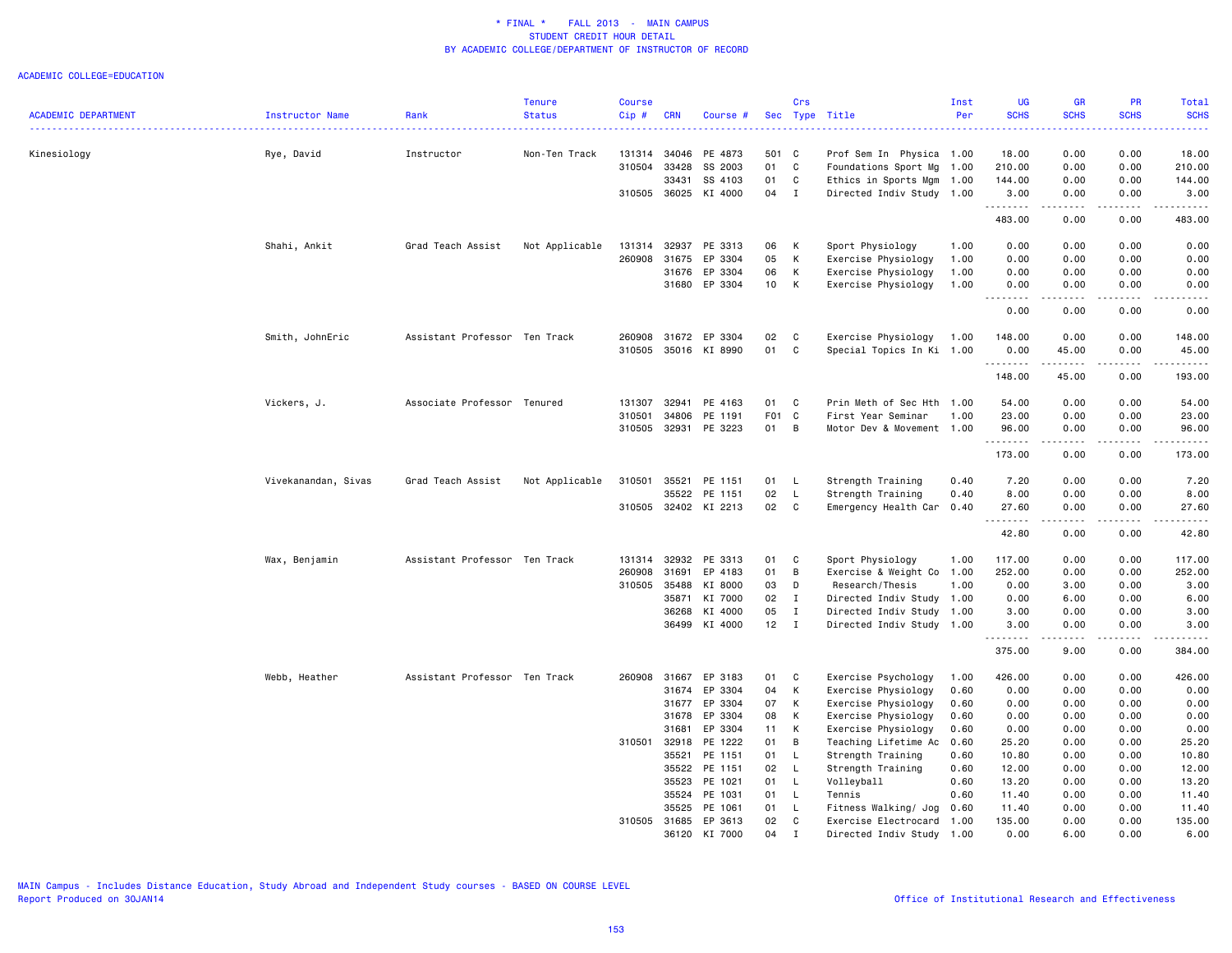|                            |                        |                               | <b>Tenure</b>  | <b>Course</b> |                |                    |          | Crs          |                                                   | Inst | <b>UG</b>        | <b>GR</b>                                                                                                 | <b>PR</b>    | <b>Total</b>                                                                                                                                                 |
|----------------------------|------------------------|-------------------------------|----------------|---------------|----------------|--------------------|----------|--------------|---------------------------------------------------|------|------------------|-----------------------------------------------------------------------------------------------------------|--------------|--------------------------------------------------------------------------------------------------------------------------------------------------------------|
| <b>ACADEMIC DEPARTMENT</b> | <b>Instructor Name</b> | Rank                          | <b>Status</b>  | $Cip$ #       | <b>CRN</b>     | Course #           | Sec      |              | Type Title                                        | Per  | <b>SCHS</b>      | <b>SCHS</b>                                                                                               | <b>SCHS</b>  | <b>SCHS</b>                                                                                                                                                  |
| Kinesiology                | Rye, David             | Instructor                    | Non-Ten Track  | 131314        | 34046          | PE 4873            | 501 C    |              | Prof Sem In Physica 1.00                          |      | 18.00            | 0.00                                                                                                      | 0.00         | 18.00                                                                                                                                                        |
|                            |                        |                               |                | 310504        | 33428          | SS 2003            | 01       | C            | Foundations Sport Mg                              | 1.00 | 210.00           | 0.00                                                                                                      | 0.00         | 210.00                                                                                                                                                       |
|                            |                        |                               |                |               | 33431          | SS 4103            | 01       | C            | Ethics in Sports Mgm                              | 1.00 | 144.00           | 0.00                                                                                                      | 0.00         | 144.00                                                                                                                                                       |
|                            |                        |                               |                | 310505        | 36025          | KI 4000            | 04       | $\mathbf{I}$ | Directed Indiv Study 1.00                         |      | 3.00<br>.        | 0.00                                                                                                      | 0.00         | 3.00<br>.                                                                                                                                                    |
|                            |                        |                               |                |               |                |                    |          |              |                                                   |      | 483.00           | 0.00                                                                                                      | 0.00         | 483.00                                                                                                                                                       |
|                            | Shahi, Ankit           | Grad Teach Assist             | Not Applicable |               | 131314 32937   | PE 3313            | 06       | К            | Sport Physiology                                  | 1.00 | 0.00             | 0.00                                                                                                      | 0.00         | 0.00                                                                                                                                                         |
|                            |                        |                               |                | 260908        | 31675          | EP 3304            | 05       | К            | Exercise Physiology                               | 1.00 | 0.00             | 0.00                                                                                                      | 0.00         | 0.00                                                                                                                                                         |
|                            |                        |                               |                |               | 31676          | EP 3304            | 06       | К            | Exercise Physiology                               | 1.00 | 0.00             | 0.00                                                                                                      | 0.00         | 0.00                                                                                                                                                         |
|                            |                        |                               |                |               |                | 31680 EP 3304      | 10       | К            | Exercise Physiology                               | 1.00 | 0.00             | 0.00<br>$\begin{array}{cccccccccc} \bullet & \bullet & \bullet & \bullet & \bullet & \bullet \end{array}$ | 0.00<br>.    | 0.00<br>$\frac{1}{2} \left( \frac{1}{2} \right) \left( \frac{1}{2} \right) \left( \frac{1}{2} \right) \left( \frac{1}{2} \right) \left( \frac{1}{2} \right)$ |
|                            |                        |                               |                |               |                |                    |          |              |                                                   |      | 0.00             | 0.00                                                                                                      | 0.00         | 0.00                                                                                                                                                         |
|                            | Smith, JohnEric        | Assistant Professor Ten Track |                | 260908        | 31672          | EP 3304            | 02       | C            | Exercise Physiology                               | 1.00 | 148.00           | 0.00                                                                                                      | 0.00         | 148.00                                                                                                                                                       |
|                            |                        |                               |                | 310505        |                | 35016 KI 8990      | 01       | C            | Special Topics In Ki                              | 1.00 | 0.00<br>.        | 45.00<br>.                                                                                                | 0.00<br>.    | 45.00<br>.                                                                                                                                                   |
|                            |                        |                               |                |               |                |                    |          |              |                                                   |      | 148.00           | 45.00                                                                                                     | 0.00         | 193.00                                                                                                                                                       |
|                            | Vickers, J.            | Associate Professor Tenured   |                | 131307        | 32941          | PE 4163            | 01       | C            | Prin Meth of Sec Hth                              | 1.00 | 54.00            | 0.00                                                                                                      | 0.00         | 54.00                                                                                                                                                        |
|                            |                        |                               |                | 310501        | 34806          | PE 1191            | F01      | C            | First Year Seminar                                | 1.00 | 23.00            | 0.00                                                                                                      | 0.00         | 23.00                                                                                                                                                        |
|                            |                        |                               |                | 310505        | 32931          | PE 3223            | 01       | B            | Motor Dev & Movement 1.00                         |      | 96.00            | 0.00                                                                                                      | 0.00         | 96.00                                                                                                                                                        |
|                            |                        |                               |                |               |                |                    |          |              |                                                   |      | .<br>173.00      | .<br>0.00                                                                                                 | .<br>0.00    | .<br>173.00                                                                                                                                                  |
|                            | Vivekanandan, Sivas    | Grad Teach Assist             | Not Applicable | 310501        | 35521          | PE 1151            | 01       | L            | Strength Training                                 | 0.40 | 7.20             | 0.00                                                                                                      | 0.00         | 7.20                                                                                                                                                         |
|                            |                        |                               |                |               | 35522          | PE 1151            | 02       | L            | Strength Training                                 | 0.40 | 8.00             | 0.00                                                                                                      | 0.00         | 8.00                                                                                                                                                         |
|                            |                        |                               |                | 310505        |                | 32402 KI 2213      | 02       | C            | Emergency Health Car 0.40                         |      | 27.60<br>.       | 0.00<br>-----                                                                                             | 0.00<br>.    | 27.60<br>.                                                                                                                                                   |
|                            |                        |                               |                |               |                |                    |          |              |                                                   |      | 42.80            | 0.00                                                                                                      | 0.00         | 42.80                                                                                                                                                        |
|                            | Wax, Benjamin          | Assistant Professor Ten Track |                | 131314        | 32932          | PE 3313            | 01       | C            | Sport Physiology                                  | 1.00 | 117.00           | 0.00                                                                                                      | 0.00         | 117.00                                                                                                                                                       |
|                            |                        |                               |                | 260908        | 31691          | EP 4183            | 01       | B            | Exercise & Weight Co                              | 1.00 | 252.00           | 0.00                                                                                                      | 0.00         | 252.00                                                                                                                                                       |
|                            |                        |                               |                | 310505 35488  |                | KI 8000            | 03       | D            | Research/Thesis                                   | 1.00 | 0.00             | 3.00                                                                                                      | 0.00         | 3.00                                                                                                                                                         |
|                            |                        |                               |                |               | 35871          | KI 7000            | 02       | $\mathbf{I}$ | Directed Indiv Study 1.00                         |      | 0.00             | 6.00                                                                                                      | 0.00         | 6.00                                                                                                                                                         |
|                            |                        |                               |                |               | 36268          | KI 4000            | 05       | $\mathbf{I}$ | Directed Indiv Study                              | 1.00 | 3.00             | 0.00                                                                                                      | 0.00         | 3.00                                                                                                                                                         |
|                            |                        |                               |                |               |                | 36499 KI 4000      | 12       | $\mathbf{I}$ | Directed Indiv Study 1.00                         |      | 3.00<br>-------- | 0.00<br>.                                                                                                 | 0.00<br>.    | 3.00<br>-----                                                                                                                                                |
|                            |                        |                               |                |               |                |                    |          |              |                                                   |      | 375.00           | 9.00                                                                                                      | 0.00         | 384.00                                                                                                                                                       |
|                            | Webb, Heather          | Assistant Professor Ten Track |                | 260908        | 31667          | EP 3183            | 01       | C            | Exercise Psychology                               | 1.00 | 426.00           | 0.00                                                                                                      | 0.00         | 426.00                                                                                                                                                       |
|                            |                        |                               |                |               | 31674          | EP 3304            | 04       | К            | Exercise Physiology                               | 0.60 | 0.00             | 0.00                                                                                                      | 0.00         | 0.00                                                                                                                                                         |
|                            |                        |                               |                |               | 31677          | EP 3304            | 07       | К            | Exercise Physiology                               | 0.60 | 0.00             | 0.00                                                                                                      | 0.00         | 0.00                                                                                                                                                         |
|                            |                        |                               |                |               | 31678          | EP 3304            | 08       | K            | Exercise Physiology                               | 0.60 | 0.00             | 0.00                                                                                                      | 0.00         | 0.00                                                                                                                                                         |
|                            |                        |                               |                |               | 31681          | EP 3304            | 11       | к            | Exercise Physiology                               | 0.60 | 0.00             | 0.00                                                                                                      | 0.00         | 0.00                                                                                                                                                         |
|                            |                        |                               |                | 310501 32918  |                | PE 1222            | 01       | B            | Teaching Lifetime Ac                              | 0.60 | 25.20            | 0.00                                                                                                      | 0.00         | 25.20                                                                                                                                                        |
|                            |                        |                               |                |               | 35521          | PE 1151            | 01       | L            | Strength Training                                 | 0.60 | 10.80            | 0.00                                                                                                      | 0.00         | 10.80                                                                                                                                                        |
|                            |                        |                               |                |               | 35522          | PE 1151            | 02       | L            | Strength Training                                 | 0.60 | 12.00            | 0.00                                                                                                      | 0.00         | 12.00                                                                                                                                                        |
|                            |                        |                               |                |               | 35523          | PE 1021            | 01       | L            | Volleyball                                        | 0.60 | 13.20            | 0.00                                                                                                      | 0.00         | 13.20                                                                                                                                                        |
|                            |                        |                               |                |               | 35524          | PE 1031            | 01       | - L          | Tennis                                            | 0.60 | 11.40            | 0.00                                                                                                      | 0.00         | 11.40                                                                                                                                                        |
|                            |                        |                               |                | 310505        | 35525<br>31685 | PE 1061<br>EP 3613 | 01<br>02 | L<br>C       | Fitness Walking/ Jog<br>Exercise Electrocard 1.00 | 0.60 | 11.40<br>135.00  | 0.00<br>0.00                                                                                              | 0.00<br>0.00 | 11.40<br>135.00                                                                                                                                              |
|                            |                        |                               |                |               | 36120          | KI 7000            | 04       | $\mathbf{r}$ | Directed Indiv Study                              | 1.00 | 0.00             | 6.00                                                                                                      | 0.00         | 6.00                                                                                                                                                         |
|                            |                        |                               |                |               |                |                    |          |              |                                                   |      |                  |                                                                                                           |              |                                                                                                                                                              |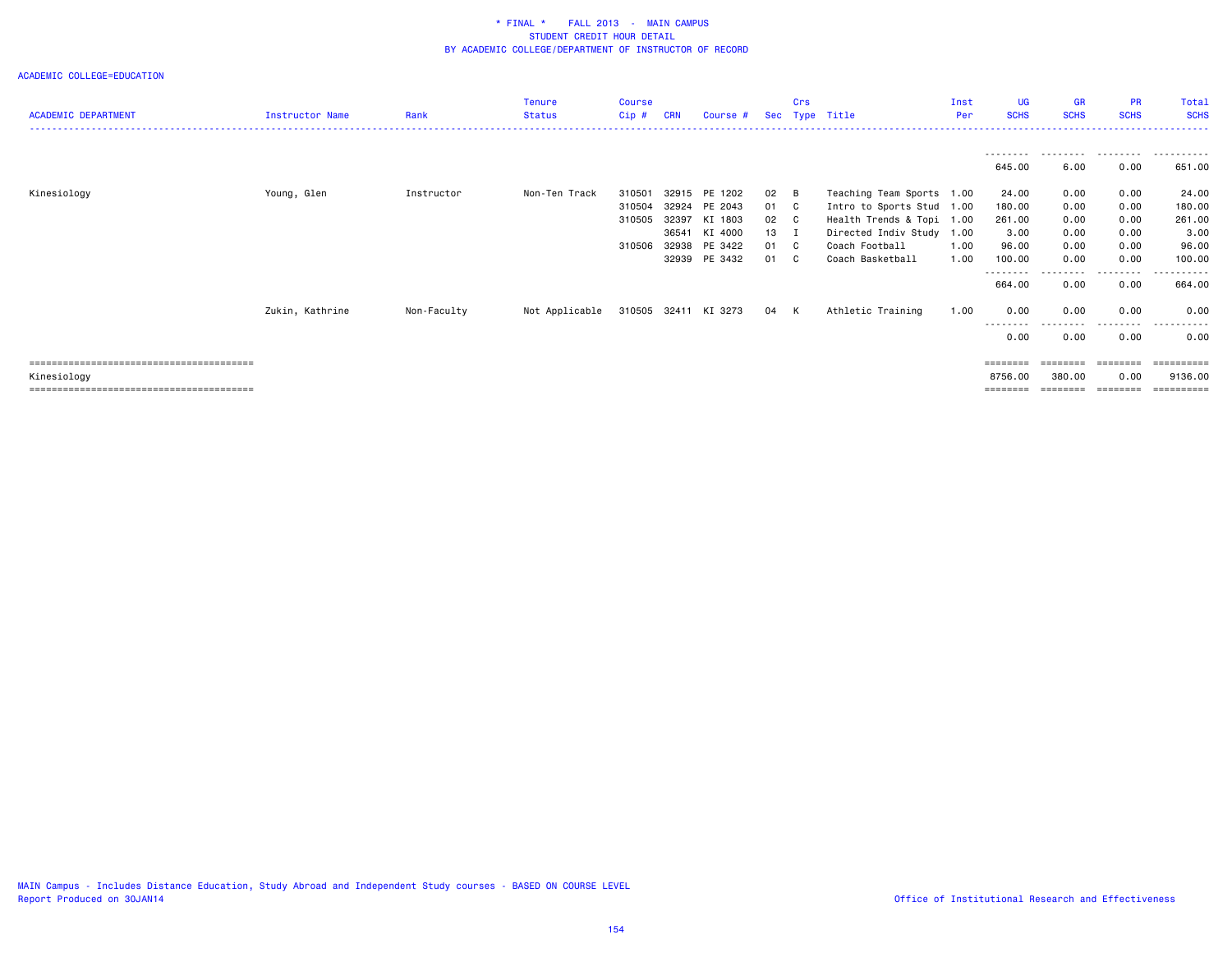| <b>ACADEMIC DEPARTMENT</b> | <b>Instructor Name</b> | Rank        | <b>Tenure</b><br><b>Status</b> | Course<br>Cip# | <b>CRN</b> | Course #             | Sec  | Crs | Type Title                | Inst<br>Per | UG<br><b>SCHS</b> | GR<br><b>SCHS</b> | <b>PR</b><br><b>SCHS</b> | Total<br><b>SCHS</b>  |
|----------------------------|------------------------|-------------|--------------------------------|----------------|------------|----------------------|------|-----|---------------------------|-------------|-------------------|-------------------|--------------------------|-----------------------|
|                            |                        |             |                                |                |            |                      |      |     |                           |             | --------          | .                 | .                        | .                     |
|                            |                        |             |                                |                |            |                      |      |     |                           |             | 645.00            | 6.00              | 0.00                     | 651.00                |
| Kinesiology                | Young, Glen            | Instructor  | Non-Ten Track                  | 310501         |            | 32915 PE 1202        | 02   | B   | Teaching Team Sports 1.00 |             | 24.00             | 0.00              | 0.00                     | 24.00                 |
|                            |                        |             |                                | 310504         |            | 32924 PE 2043        | 01 C |     | Intro to Sports Stud 1.00 |             | 180.00            | 0.00              | 0.00                     | 180.00                |
|                            |                        |             |                                | 310505         | 32397      | KI 1803              | 02 C |     | Health Trends & Topi 1.00 |             | 261.00            | 0.00              | 0.00                     | 261.00                |
|                            |                        |             |                                |                | 36541      | KI 4000              | 13 I |     | Directed Indiv Study 1.00 |             | 3.00              | 0.00              | 0.00                     | 3.00                  |
|                            |                        |             |                                | 310506         | 32938      | PE 3422              | 01 C |     | Coach Football            | 1.00        | 96.00             | 0.00              | 0.00                     | 96.00                 |
|                            |                        |             |                                |                |            | 32939 PE 3432        | 01 C |     | Coach Basketball          | 1.00        | 100.00            | 0.00              | 0.00                     | 100.00                |
|                            |                        |             |                                |                |            |                      |      |     |                           |             | --------          |                   | . <b>.</b> .             | -------               |
|                            |                        |             |                                |                |            |                      |      |     |                           |             | 664.00            | 0.00              | 0.00                     | 664.00                |
|                            | Zukin, Kathrine        | Non-Faculty | Not Applicable                 |                |            | 310505 32411 KI 3273 | 04 K |     | Athletic Training         | 1.00        | 0.00              | 0.00              | 0.00                     | 0.00                  |
|                            |                        |             |                                |                |            |                      |      |     |                           |             | --------          |                   | - - - - - - - - -        | .                     |
|                            |                        |             |                                |                |            |                      |      |     |                           |             | 0.00              | 0.00              | 0.00                     | 0.00                  |
|                            |                        |             |                                |                |            |                      |      |     |                           |             | ========          | ========          | ========                 | $=$ = = = = = = = = = |
| Kinesiology                |                        |             |                                |                |            |                      |      |     |                           |             | 8756.00           | 380.00            | 0.00                     | 9136.00               |
|                            |                        |             |                                |                |            |                      |      |     |                           |             | ========          | --------          | ========                 | $=$ = = = = = = = = : |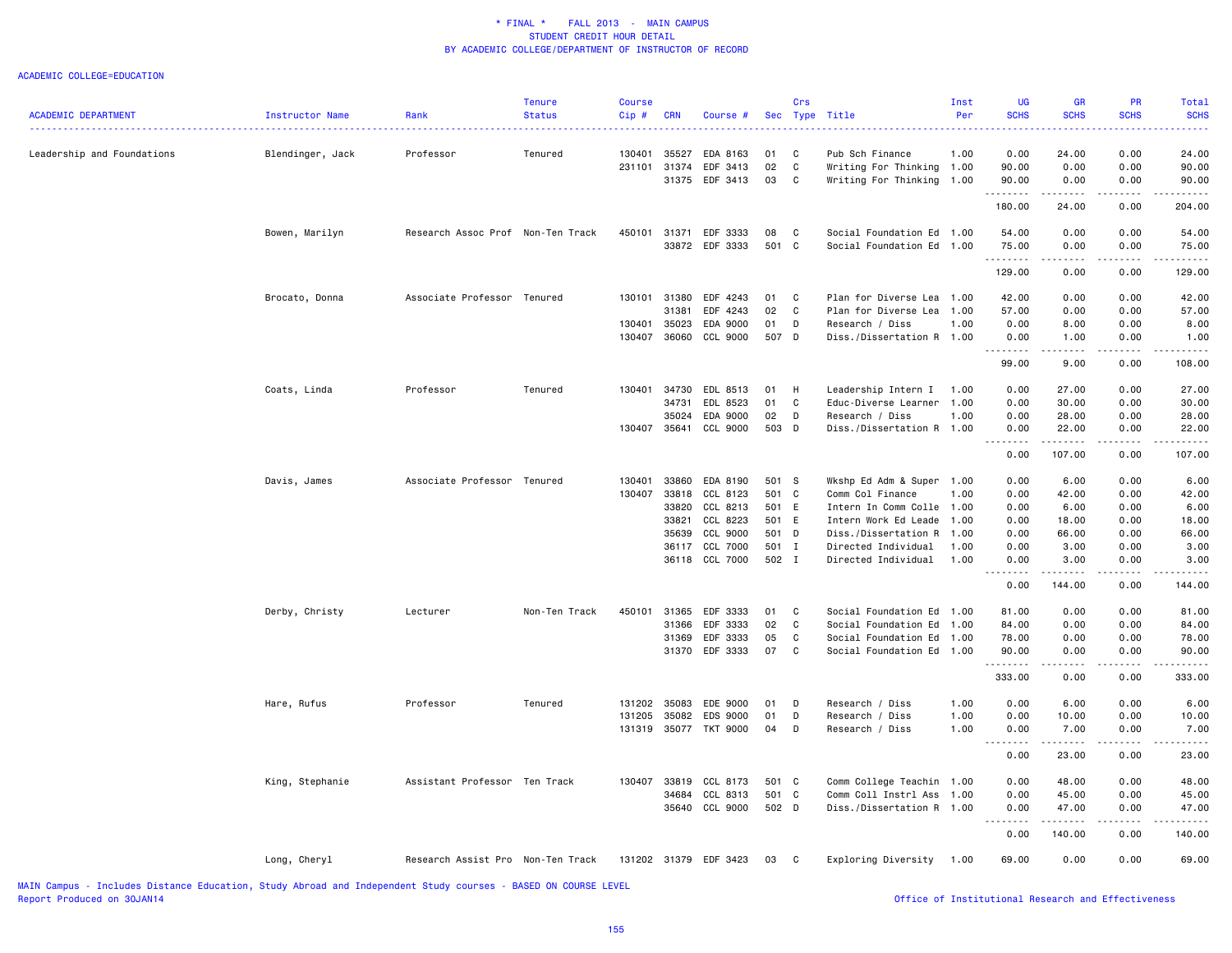#### ACADEMIC COLLEGE=EDUCATION

| <b>ACADEMIC DEPARTMENT</b> | Instructor Name  | Rank                              | <b>Tenure</b><br><b>Status</b> | <b>Course</b><br>Cip# | <b>CRN</b>   | Course #              | Sec   | Crs          | Type Title                | Inst<br>Per | UG<br><b>SCHS</b> | <b>GR</b><br><b>SCHS</b>                                                                                                                  | PR<br><b>SCHS</b> | Total<br><b>SCHS</b> |
|----------------------------|------------------|-----------------------------------|--------------------------------|-----------------------|--------------|-----------------------|-------|--------------|---------------------------|-------------|-------------------|-------------------------------------------------------------------------------------------------------------------------------------------|-------------------|----------------------|
| Leadership and Foundations | Blendinger, Jack | Professor                         | Tenured                        | 130401                | 35527        | EDA 8163              | 01    | C            | Pub Sch Finance           | 1.00        | 0.00              | 24.00                                                                                                                                     | 0.00              | .<br>24.00           |
|                            |                  |                                   |                                | 231101                | 31374        | EDF 3413              | 02    | $\mathbf c$  | Writing For Thinking 1.00 |             | 90.00             | 0.00                                                                                                                                      | 0.00              | 90.00                |
|                            |                  |                                   |                                |                       |              | 31375 EDF 3413        | 03    | <b>C</b>     | Writing For Thinking 1.00 |             | 90.00             | 0.00                                                                                                                                      | 0.00              | 90.00                |
|                            |                  |                                   |                                |                       |              |                       |       |              |                           |             | .                 | .                                                                                                                                         | .                 | <u>.</u>             |
|                            |                  |                                   |                                |                       |              |                       |       |              |                           |             | 180.00            | 24.00                                                                                                                                     | 0.00              | 204.00               |
|                            | Bowen, Marilyn   | Research Assoc Prof Non-Ten Track |                                | 450101 31371          |              | EDF 3333              | 08    | C            | Social Foundation Ed 1.00 |             | 54.00             | 0.00                                                                                                                                      | 0.00              | 54.00                |
|                            |                  |                                   |                                |                       |              | 33872 EDF 3333        | 501 C |              | Social Foundation Ed 1.00 |             | 75.00<br>.        | 0.00<br>----                                                                                                                              | 0.00              | 75.00                |
|                            |                  |                                   |                                |                       |              |                       |       |              |                           |             | 129.00            | 0.00                                                                                                                                      | 0.00              | 129.00               |
|                            | Brocato, Donna   | Associate Professor Tenured       |                                | 130101 31380          |              | EDF 4243              | 01    | C            | Plan for Diverse Lea 1.00 |             | 42.00             | 0.00                                                                                                                                      | 0.00              | 42.00                |
|                            |                  |                                   |                                |                       | 31381        | EDF 4243              | 02    | C            | Plan for Diverse Lea      | 1.00        | 57.00             | 0.00                                                                                                                                      | 0.00              | 57.00                |
|                            |                  |                                   |                                | 130401                | 35023        | EDA 9000              | 01    | D            | Research / Diss           | 1.00        | 0.00              | 8.00                                                                                                                                      | 0.00              | 8.00                 |
|                            |                  |                                   |                                | 130407                | 36060        | CCL 9000              | 507 D |              | Diss./Dissertation R 1.00 |             | 0.00              | 1.00<br>.                                                                                                                                 | 0.00              | 1.00<br>.            |
|                            |                  |                                   |                                |                       |              |                       |       |              |                           |             | 99.00             | 9.00                                                                                                                                      | 0.00              | 108.00               |
|                            | Coats, Linda     | Professor                         | Tenured                        | 130401                | 34730        | EDL 8513              | 01    | H            | Leadership Intern I       | 1.00        | 0.00              | 27.00                                                                                                                                     | 0.00              | 27.00                |
|                            |                  |                                   |                                |                       | 34731        | EDL 8523              | 01    | C            | Educ-Diverse Learner      | 1.00        | 0.00              | 30.00                                                                                                                                     | 0.00              | 30.00                |
|                            |                  |                                   |                                |                       | 35024        | EDA 9000              | 02    | D            | Research / Diss           | 1.00        | 0.00              | 28.00                                                                                                                                     | 0.00              | 28.00                |
|                            |                  |                                   |                                | 130407                | 35641        | CCL 9000              | 503 D |              | Diss./Dissertation R 1.00 |             | 0.00<br>.         | 22.00<br>$- - - - - - -$                                                                                                                  | 0.00<br>.         | 22.00<br>.           |
|                            |                  |                                   |                                |                       |              |                       |       |              |                           |             | 0.00              | 107.00                                                                                                                                    | 0.00              | 107.00               |
|                            | Davis, James     | Associate Professor Tenured       |                                | 130401                | 33860        | EDA 8190              | 501 S |              | Wkshp Ed Adm & Super 1.00 |             | 0.00              | 6.00                                                                                                                                      | 0.00              | 6.00                 |
|                            |                  |                                   |                                | 130407                | 33818        | CCL 8123              | 501 C |              | Comm Col Finance          | 1.00        | 0.00              | 42.00                                                                                                                                     | 0.00              | 42.00                |
|                            |                  |                                   |                                |                       | 33820        | CCL 8213              | 501 E |              | Intern In Comm Colle 1.00 |             | 0.00              | 6.00                                                                                                                                      | 0.00              | 6.00                 |
|                            |                  |                                   |                                |                       | 33821        | CCL 8223              | 501 E |              | Intern Work Ed Leade 1.00 |             | 0.00              | 18.00                                                                                                                                     | 0.00              | 18.00                |
|                            |                  |                                   |                                |                       | 35639        | CCL 9000              | 501 D |              | Diss./Dissertation R      | 1.00        | 0.00              | 66.00                                                                                                                                     | 0.00              | 66.00                |
|                            |                  |                                   |                                |                       | 36117        | CCL 7000              | 501 I |              | Directed Individual       | 1.00        | 0.00              | 3.00                                                                                                                                      | 0.00              | 3.00                 |
|                            |                  |                                   |                                |                       |              | 36118 CCL 7000        | 502 I |              | Directed Individual       | 1.00        | 0.00<br>.         | 3.00                                                                                                                                      | 0.00              | 3.00<br>.            |
|                            |                  |                                   |                                |                       |              |                       |       |              |                           |             | 0.00              | 144.00                                                                                                                                    | 0.00              | 144.00               |
|                            | Derby, Christy   | Lecturer                          | Non-Ten Track                  | 450101                | 31365        | EDF 3333              | 01    | C            | Social Foundation Ed 1.00 |             | 81.00             | 0.00                                                                                                                                      | 0.00              | 81.00                |
|                            |                  |                                   |                                |                       | 31366        | EDF 3333              | 02    | C            | Social Foundation Ed      | 1.00        | 84.00             | 0.00                                                                                                                                      | 0.00              | 84.00                |
|                            |                  |                                   |                                |                       | 31369        | EDF 3333              | 05    | C            | Social Foundation Ed      | 1.00        | 78.00             | 0.00                                                                                                                                      | 0.00              | 78.00                |
|                            |                  |                                   |                                |                       | 31370        | EDF 3333              | 07    | C            | Social Foundation Ed      | 1.00        | 90.00<br>.        | 0.00<br>.                                                                                                                                 | 0.00<br>.         | 90.00<br>.           |
|                            |                  |                                   |                                |                       |              |                       |       |              |                           |             | 333.00            | 0.00                                                                                                                                      | 0.00              | 333.00               |
|                            | Hare, Rufus      | Professor                         | Tenured                        | 131202                | 35083        | EDE 9000              | 01    | D            | Research / Diss           | 1.00        | 0.00              | 6.00                                                                                                                                      | 0.00              | 6.00                 |
|                            |                  |                                   |                                | 131205                | 35082        | EDS 9000              | 01    | D            | Research / Diss           | 1.00        | 0.00              | 10.00                                                                                                                                     | 0.00              | 10.00                |
|                            |                  |                                   |                                | 131319                |              | 35077 TKT 9000        | 04    | D            | Research / Diss           | 1.00        | 0.00              | 7.00                                                                                                                                      | 0.00              | 7.00                 |
|                            |                  |                                   |                                |                       |              |                       |       |              |                           |             | <u>.</u><br>0.00  | .<br>23.00                                                                                                                                | .<br>0.00         | . <b>.</b><br>23.00  |
|                            | King, Stephanie  | Assistant Professor Ten Track     |                                |                       | 130407 33819 | CCL 8173              | 501 C |              | Comm College Teachin 1.00 |             | 0.00              | 48.00                                                                                                                                     | 0.00              | 48.00                |
|                            |                  |                                   |                                |                       | 34684        | CCL 8313              | 501 C |              | Comm Coll Instrl Ass      | 1.00        | 0.00              | 45.00                                                                                                                                     | 0.00              | 45.00                |
|                            |                  |                                   |                                |                       | 35640        | CCL 9000              | 502 D |              | Diss./Dissertation R 1.00 |             | 0.00              | 47.00                                                                                                                                     | 0.00              | 47.00                |
|                            |                  |                                   |                                |                       |              |                       |       |              |                           |             | .<br>0.00         | $\begin{array}{cccccccccc} \bullet & \bullet & \bullet & \bullet & \bullet & \bullet & \bullet & \bullet & \bullet \end{array}$<br>140.00 | .<br>0.00         | .<br>140.00          |
|                            | Long, Cheryl     | Research Assist Pro Non-Ten Track |                                |                       |              | 131202 31379 EDF 3423 | 03    | $\mathbf{C}$ | Exploring Diversity       | 1.00        | 69.00             | 0.00                                                                                                                                      | 0.00              | 69.00                |
|                            |                  |                                   |                                |                       |              |                       |       |              |                           |             |                   |                                                                                                                                           |                   |                      |

MAIN Campus - Includes Distance Education, Study Abroad and Independent Study courses - BASED ON COURSE LEVEL Report Produced on 30JAN14 **Office of Institutional Research and Effectiveness Office** of Institutional Research and Effectiveness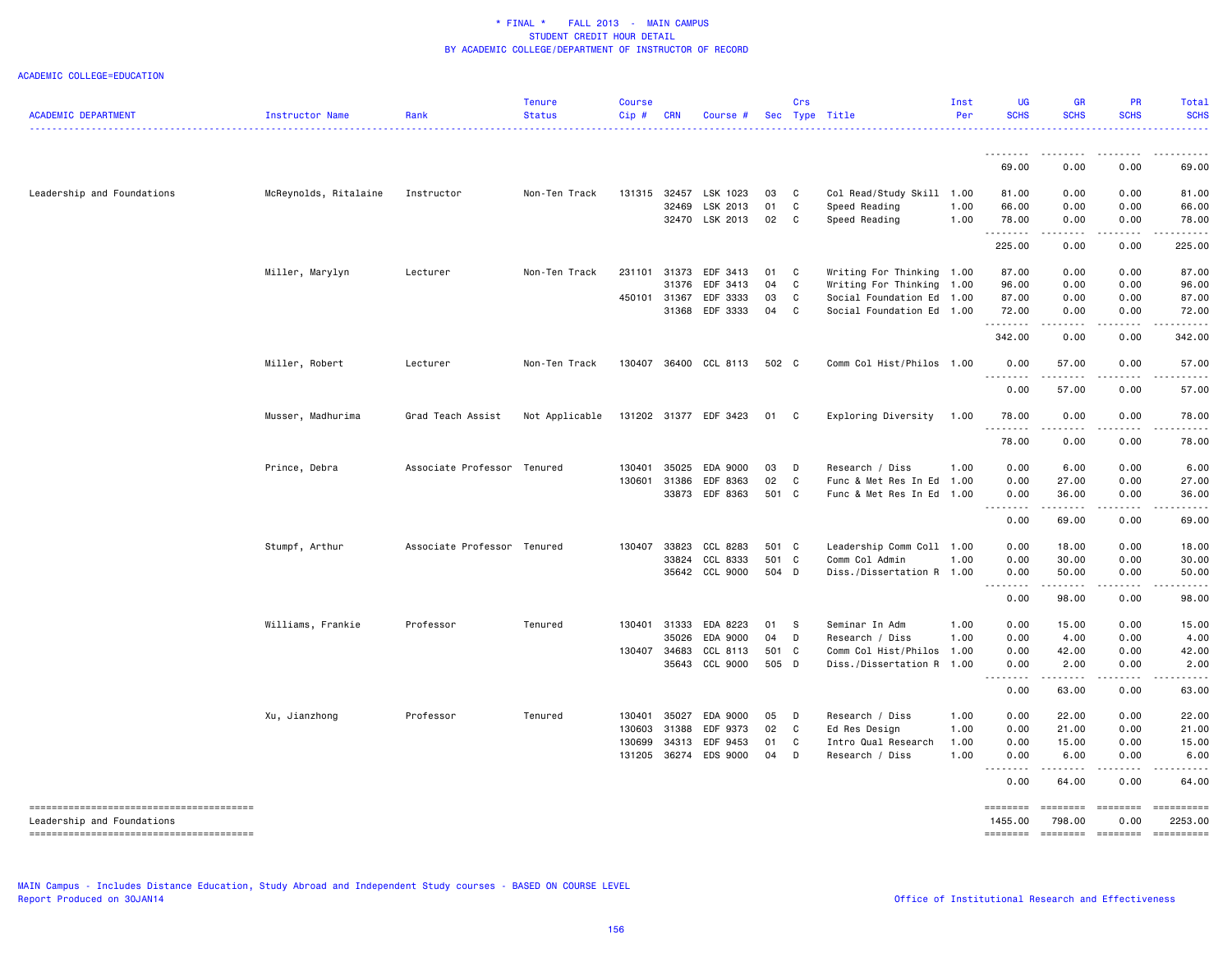| <b>ACADEMIC DEPARTMENT</b> | Instructor Name       | Rank                        | <b>Tenure</b><br><b>Status</b> | <b>Course</b><br>Cip# | <b>CRN</b> | Course #              |       | Crs          | Sec Type Title            | Inst<br>Per | <b>UG</b><br><b>SCHS</b>                                                                                                                                                | <b>GR</b><br><b>SCHS</b>                                                                                                                                     | <b>PR</b><br><b>SCHS</b> | Total<br><b>SCHS</b>                                                                                                              |
|----------------------------|-----------------------|-----------------------------|--------------------------------|-----------------------|------------|-----------------------|-------|--------------|---------------------------|-------------|-------------------------------------------------------------------------------------------------------------------------------------------------------------------------|--------------------------------------------------------------------------------------------------------------------------------------------------------------|--------------------------|-----------------------------------------------------------------------------------------------------------------------------------|
|                            |                       |                             |                                |                       |            |                       |       |              |                           |             | .                                                                                                                                                                       | $\frac{1}{2} \left( \frac{1}{2} \right) \left( \frac{1}{2} \right) \left( \frac{1}{2} \right) \left( \frac{1}{2} \right)$                                    | .                        | .                                                                                                                                 |
|                            |                       |                             |                                |                       |            |                       |       |              |                           |             | 69.00                                                                                                                                                                   | 0.00                                                                                                                                                         | 0.00                     | 69.00                                                                                                                             |
| Leadership and Foundations | McReynolds, Ritalaine | Instructor                  | Non-Ten Track                  | 131315                | 32457      | LSK 1023              | 03    | $\mathbf{C}$ | Col Read/Study Skill 1.00 |             | 81.00                                                                                                                                                                   | 0.00                                                                                                                                                         | 0.00                     | 81.00                                                                                                                             |
|                            |                       |                             |                                |                       | 32469      | LSK 2013              | 01    | C            | Speed Reading             | 1.00        | 66.00                                                                                                                                                                   | 0.00                                                                                                                                                         | 0.00                     | 66.00                                                                                                                             |
|                            |                       |                             |                                |                       |            | 32470 LSK 2013        | 02    | C            | Speed Reading             | 1.00        | 78.00<br>.                                                                                                                                                              | 0.00<br>.                                                                                                                                                    | 0.00<br>.                | 78,00<br>.                                                                                                                        |
|                            |                       |                             |                                |                       |            |                       |       |              |                           |             | 225.00                                                                                                                                                                  | 0.00                                                                                                                                                         | 0.00                     | 225.00                                                                                                                            |
|                            | Miller, Marylyn       | Lecturer                    | Non-Ten Track                  | 231101                | 31373      | EDF 3413              | 01    | C            | Writing For Thinking 1.00 |             | 87.00                                                                                                                                                                   | 0.00                                                                                                                                                         | 0.00                     | 87.00                                                                                                                             |
|                            |                       |                             |                                |                       | 31376      | EDF 3413              | 04    | C            | Writing For Thinking      | 1.00        | 96.00                                                                                                                                                                   | 0.00                                                                                                                                                         | 0.00                     | 96.00                                                                                                                             |
|                            |                       |                             |                                | 450101 31367          |            | EDF 3333              | 03    | C            | Social Foundation Ed 1.00 |             | 87.00                                                                                                                                                                   | 0.00                                                                                                                                                         | 0.00                     | 87.00                                                                                                                             |
|                            |                       |                             |                                |                       | 31368      | EDF 3333              | 04    | C            | Social Foundation Ed 1.00 |             | 72.00<br>.                                                                                                                                                              | 0.00<br>.                                                                                                                                                    | 0.00<br>.                | 72.00<br>.                                                                                                                        |
|                            |                       |                             |                                |                       |            |                       |       |              |                           |             | 342.00                                                                                                                                                                  | 0.00                                                                                                                                                         | 0.00                     | 342.00                                                                                                                            |
|                            | Miller, Robert        | Lecturer                    | Non-Ten Track                  | 130407                |            | 36400 CCL 8113        | 502 C |              | Comm Col Hist/Philos 1.00 |             | 0.00                                                                                                                                                                    | 57.00                                                                                                                                                        | 0.00                     | 57.00                                                                                                                             |
|                            |                       |                             |                                |                       |            |                       |       |              |                           |             | 0.00                                                                                                                                                                    | 57.00                                                                                                                                                        | 0.00                     | 57.00                                                                                                                             |
|                            | Musser, Madhurima     | Grad Teach Assist           | Not Applicable                 |                       |            | 131202 31377 EDF 3423 | 01    | C            | Exploring Diversity       | 1.00        | 78.00<br>.                                                                                                                                                              | 0.00<br>$\frac{1}{2}$                                                                                                                                        | 0.00                     | 78.00<br>.                                                                                                                        |
|                            |                       |                             |                                |                       |            |                       |       |              |                           |             | 78.00                                                                                                                                                                   | 0.00                                                                                                                                                         | 0.00                     | 78.00                                                                                                                             |
|                            | Prince, Debra         | Associate Professor Tenured |                                | 130401                | 35025      | EDA 9000              | 03    | D            | Research / Diss           | 1.00        | 0.00                                                                                                                                                                    | 6.00                                                                                                                                                         | 0.00                     | 6.00                                                                                                                              |
|                            |                       |                             |                                | 130601                | 31386      | EDF 8363              | 02    | C            | Func & Met Res In Ed      | 1.00        | 0.00                                                                                                                                                                    | 27.00                                                                                                                                                        | 0.00                     | 27.00                                                                                                                             |
|                            |                       |                             |                                |                       | 33873      | EDF 8363              | 501 C |              | Func & Met Res In Ed      | 1.00        | 0.00<br>.                                                                                                                                                               | 36.00<br>.                                                                                                                                                   | 0.00<br>الأعامات         | 36.00<br>والمناصبات                                                                                                               |
|                            |                       |                             |                                |                       |            |                       |       |              |                           |             | 0.00                                                                                                                                                                    | 69.00                                                                                                                                                        | 0.00                     | 69.00                                                                                                                             |
|                            | Stumpf, Arthur        | Associate Professor Tenured |                                | 130407                | 33823      | CCL 8283              | 501 C |              | Leadership Comm Coll 1.00 |             | 0.00                                                                                                                                                                    | 18.00                                                                                                                                                        | 0.00                     | 18.00                                                                                                                             |
|                            |                       |                             |                                |                       | 33824      | CCL 8333              | 501 C |              | Comm Col Admin            | 1.00        | 0.00                                                                                                                                                                    | 30.00                                                                                                                                                        | 0.00                     | 30.00                                                                                                                             |
|                            |                       |                             |                                |                       |            | 35642 CCL 9000        | 504 D |              | Diss./Dissertation R 1.00 |             | 0.00<br>.                                                                                                                                                               | 50.00<br>.                                                                                                                                                   | 0.00<br>.                | 50.00<br>$\sim$ $\sim$ $\sim$ $\sim$ $\sim$                                                                                       |
|                            |                       |                             |                                |                       |            |                       |       |              |                           |             | 0.00                                                                                                                                                                    | 98.00                                                                                                                                                        | 0.00                     | 98.00                                                                                                                             |
|                            | Williams, Frankie     | Professor                   | Tenured                        | 130401                | 31333      | EDA 8223              | 01    | $\mathbf{s}$ | Seminar In Adm            | 1.00        | 0.00                                                                                                                                                                    | 15.00                                                                                                                                                        | 0.00                     | 15.00                                                                                                                             |
|                            |                       |                             |                                |                       | 35026      | EDA 9000              | 04    | D            | Research / Diss           | 1.00        | 0.00                                                                                                                                                                    | 4.00                                                                                                                                                         | 0.00                     | 4.00                                                                                                                              |
|                            |                       |                             |                                | 130407                | 34683      | CCL 8113              | 501 C |              | Comm Col Hist/Philos      | 1.00        | 0.00                                                                                                                                                                    | 42.00                                                                                                                                                        | 0.00                     | 42.00                                                                                                                             |
|                            |                       |                             |                                |                       | 35643      | CCL 9000              | 505 D |              | Diss./Dissertation R 1.00 |             | 0.00<br>$\frac{1}{2} \left( \frac{1}{2} \right) \left( \frac{1}{2} \right) \left( \frac{1}{2} \right) \left( \frac{1}{2} \right) \left( \frac{1}{2} \right)$<br>$- - -$ | 2.00<br>.                                                                                                                                                    | 0.00<br>. <b>.</b>       | 2.00<br>.                                                                                                                         |
|                            |                       |                             |                                |                       |            |                       |       |              |                           |             | 0.00                                                                                                                                                                    | 63.00                                                                                                                                                        | 0.00                     | 63.00                                                                                                                             |
|                            | Xu, Jianzhong         | Professor                   | Tenured                        | 130401                | 35027      | EDA 9000              | 05    | D            | Research / Diss           | 1.00        | 0.00                                                                                                                                                                    | 22.00                                                                                                                                                        | 0.00                     | 22.00                                                                                                                             |
|                            |                       |                             |                                | 130603                | 31388      | EDF 9373              | 02    | C            | Ed Res Design             | 1.00        | 0.00                                                                                                                                                                    | 21.00                                                                                                                                                        | 0.00                     | 21.00                                                                                                                             |
|                            |                       |                             |                                | 130699                | 34313      | EDF 9453              | 01    | C            | Intro Qual Research       | 1.00        | 0.00                                                                                                                                                                    | 15.00                                                                                                                                                        | 0.00                     | 15.00                                                                                                                             |
|                            |                       |                             |                                | 131205                |            | 36274 EDS 9000        | 04    | D            | Research / Diss           | 1.00        | 0.00<br><u>.</u>                                                                                                                                                        | 6.00<br>$\frac{1}{2} \left( \frac{1}{2} \right) \left( \frac{1}{2} \right) \left( \frac{1}{2} \right) \left( \frac{1}{2} \right) \left( \frac{1}{2} \right)$ | 0.00<br>.                | 6.00<br>$\frac{1}{2} \left( \frac{1}{2} \right) \left( \frac{1}{2} \right) \left( \frac{1}{2} \right) \left( \frac{1}{2} \right)$ |
|                            |                       |                             |                                |                       |            |                       |       |              |                           |             | 0.00                                                                                                                                                                    | 64.00                                                                                                                                                        | 0.00                     | 64.00                                                                                                                             |
| Leadership and Foundations |                       |                             |                                |                       |            |                       |       |              |                           |             | ========<br>1455.00                                                                                                                                                     | ========<br>798.00                                                                                                                                           | ========<br>0.00         | ==========<br>2253.00                                                                                                             |
|                            |                       |                             |                                |                       |            |                       |       |              |                           |             | ========                                                                                                                                                                |                                                                                                                                                              | =================        | ==========                                                                                                                        |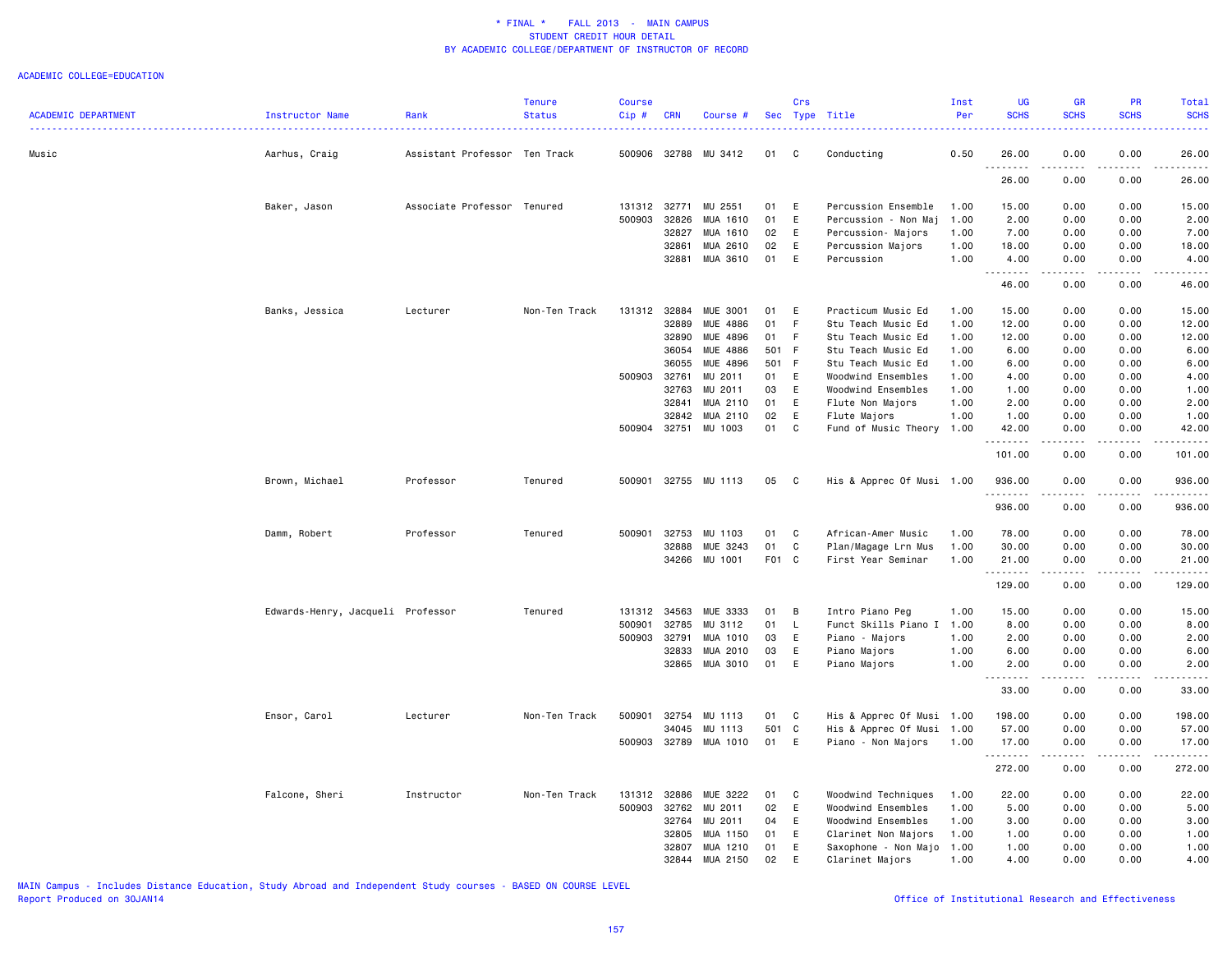#### ACADEMIC COLLEGE=EDUCATION

| Music<br>Aarhus, Craig<br>Assistant Professor Ten Track<br>500906<br>32788<br>MU 3412<br>C<br>Conducting<br>0.50<br>26.00<br>0.00<br>0.00<br>26.00<br>01<br>.<br>26.00<br>0.00<br>0.00<br>26.00<br>MU 2551<br>Percussion Ensemble<br>Baker, Jason<br>Associate Professor Tenured<br>131312<br>32771<br>01<br>E<br>1.00<br>15.00<br>0.00<br>0.00<br>15.00<br>500903<br>01<br>E<br>2.00<br>32826<br>MUA 1610<br>Percussion - Non Maj<br>1.00<br>2.00<br>0.00<br>0.00<br>32827<br>MUA 1610<br>02<br>E<br>0.00<br>0.00<br>7.00<br>Percussion- Majors<br>1.00<br>7.00<br>32861<br>MUA 2610<br>02<br>E<br>Percussion Majors<br>1.00<br>18.00<br>0.00<br>0.00<br>18.00<br>MUA 3610<br>E<br>32881<br>01<br>Percussion<br>1.00<br>4.00<br>0.00<br>0.00<br>4.00<br>.<br>. <u>.</u> .<br>46.00<br>0.00<br>0.00<br>46.00<br><b>MUE 3001</b><br>Non-Ten Track<br>131312<br>32884<br>01<br>E<br>Practicum Music Ed<br>15.00<br>0.00<br>0.00<br>15.00<br>Banks, Jessica<br>Lecturer<br>1.00<br>MUE 4886<br>01<br>F<br>32889<br>Stu Teach Music Ed<br>1.00<br>12.00<br>0.00<br>0.00<br>12.00<br>MUE 4896<br>F.<br>32890<br>01<br>Stu Teach Music Ed<br>1.00<br>12.00<br>0.00<br>0.00<br>12.00<br>36054<br>MUE 4886<br>501 F<br>0.00<br>6.00<br>Stu Teach Music Ed<br>1.00<br>6.00<br>0.00<br>MUE 4896<br>36055<br>501 F<br>6.00<br>6.00<br>Stu Teach Music Ed<br>1.00<br>0.00<br>0.00<br>500903<br>32761<br>MU 2011<br>01<br>E<br>Woodwind Ensembles<br>0.00<br>0.00<br>4.00<br>1.00<br>4.00<br>MU 2011<br>32763<br>03<br>E<br>Woodwind Ensembles<br>1.00<br>0.00<br>0.00<br>1.00<br>1.00<br>MUA 2110<br>32841<br>01<br>E<br>Flute Non Majors<br>1.00<br>2.00<br>0.00<br>0.00<br>2.00<br>32842<br>MUA 2110<br>02<br>E<br>Flute Majors<br>1.00<br>1.00<br>0.00<br>0.00<br>1.00<br>500904 32751<br>MU 1003<br>01<br>C<br>Fund of Music Theory<br>1.00<br>42.00<br>0.00<br>0.00<br>42.00<br>$\omega$ is a $\omega$<br>$\sim$ $\sim$ $\sim$ $\sim$<br>101.00<br>0.00<br>0.00<br>101.00<br>Brown, Michael<br>Professor<br>Tenured<br>500901<br>32755 MU 1113<br>05<br>$\mathbf{C}$<br>His & Apprec Of Musi 1.00<br>936.00<br>0.00<br>0.00<br>936.00<br>المتمام<br>936.00<br>0.00<br>0.00<br>936.00<br>Professor<br>500901<br>32753<br>MU 1103<br>01<br>C<br>African-Amer Music<br>1.00<br>78.00<br>0.00<br>0.00<br>78.00<br>Damm, Robert<br>Tenured<br>32888<br>MUE 3243<br>01<br>C<br>Plan/Magage Lrn Mus<br>1.00<br>30.00<br>0.00<br>0.00<br>30.00<br>34266 MU 1001<br>F01 C<br>First Year Seminar<br>1.00<br>21.00<br>0.00<br>0.00<br>21.00<br><u>.</u><br>.<br>.<br>$\frac{1}{2} \left( \frac{1}{2} \right) \left( \frac{1}{2} \right) \left( \frac{1}{2} \right) \left( \frac{1}{2} \right) \left( \frac{1}{2} \right)$<br>0.00<br>129.00<br>0.00<br>129.00<br>131312 34563<br>Edwards-Henry, Jacqueli Professor<br>MUE 3333<br>В<br>Intro Piano Peg<br>15.00<br>0.00<br>0.00<br>15.00<br>Tenured<br>01<br>1.00<br>01<br>Funct Skills Piano I 1.00<br>8.00<br>500901<br>32785<br>MU 3112<br>$\mathsf{L}$<br>8.00<br>0.00<br>0.00<br>E<br>500903<br>32791<br>MUA 1010<br>03<br>Piano - Majors<br>1.00<br>2.00<br>0.00<br>0.00<br>2.00<br>MUA 2010<br>03<br>32833<br>E<br>Piano Majors<br>1.00<br>6.00<br>0.00<br>0.00<br>6.00<br>MUA 3010<br>01<br>E<br>1.00<br>32865<br>Piano Majors<br>2.00<br>0.00<br>0.00<br>2.00<br>$\sim$ $\sim$ $\sim$<br>.<br>.<br>$   -$<br>.<br>0.00<br>33.00<br>0.00<br>33.00<br>His & Apprec Of Musi 1.00<br>Ensor, Carol<br>Lecturer<br>Non-Ten Track<br>500901<br>32754<br>MU 1113<br>01<br>C<br>198.00<br>0.00<br>0.00<br>198.00<br>34045<br>MU 1113<br>501<br>C.<br>His & Apprec Of Musi 1.00<br>57.00<br>0.00<br>0.00<br>57.00<br>500903 32789<br>MUA 1010<br>01<br>E<br>Piano - Non Majors<br>1.00<br>17.00<br>0.00<br>0.00<br>17.00<br>.<br>.<br>.<br>.<br>272.00<br>272.00<br>0.00<br>0.00<br>Falcone, Sheri<br>Instructor<br>Non-Ten Track<br>131312<br>32886<br>MUE 3222<br>01<br>C<br>Woodwind Techniques<br>1.00<br>22.00<br>0.00<br>0.00<br>22.00<br>02<br>500903<br>32762<br>MU 2011<br>E<br>Woodwind Ensembles<br>1.00<br>5.00<br>0.00<br>0.00<br>5.00<br>MU 2011<br>32764<br>04<br>E<br>Woodwind Ensembles<br>1.00<br>3.00<br>0.00<br>0.00<br>3.00<br>32805<br>MUA 1150<br>01<br>E<br>1.00<br>0.00<br>0.00<br>1.00<br>Clarinet Non Majors<br>1.00<br>32807<br>MUA 1210<br>01<br>E<br>1.00<br>1.00<br>0.00<br>0.00<br>1.00<br>Saxophone - Non Majo<br>32844<br>MUA 2150<br>02<br>E<br>Clarinet Majors<br>1.00<br>4.00<br>0.00<br>0.00<br>4.00 | <b>ACADEMIC DEPARTMENT</b> | Instructor Name | Rank | <b>Tenure</b><br><b>Status</b> | <b>Course</b><br>Cip# | <b>CRN</b> | Course # | Crs | Sec Type Title | Inst<br>Per | UG<br><b>SCHS</b> | GR<br><b>SCHS</b> | PR<br><b>SCHS</b> | Total<br><b>SCHS</b> |
|-------------------------------------------------------------------------------------------------------------------------------------------------------------------------------------------------------------------------------------------------------------------------------------------------------------------------------------------------------------------------------------------------------------------------------------------------------------------------------------------------------------------------------------------------------------------------------------------------------------------------------------------------------------------------------------------------------------------------------------------------------------------------------------------------------------------------------------------------------------------------------------------------------------------------------------------------------------------------------------------------------------------------------------------------------------------------------------------------------------------------------------------------------------------------------------------------------------------------------------------------------------------------------------------------------------------------------------------------------------------------------------------------------------------------------------------------------------------------------------------------------------------------------------------------------------------------------------------------------------------------------------------------------------------------------------------------------------------------------------------------------------------------------------------------------------------------------------------------------------------------------------------------------------------------------------------------------------------------------------------------------------------------------------------------------------------------------------------------------------------------------------------------------------------------------------------------------------------------------------------------------------------------------------------------------------------------------------------------------------------------------------------------------------------------------------------------------------------------------------------------------------------------------------------------------------------------------------------------------------------------------------------------------------------------------------------------------------------------------------------------------------------------------------------------------------------------------------------------------------------------------------------------------------------------------------------------------------------------------------------------------------------------------------------------------------------------------------------------------------------------------------------------------------------------------------------------------------------------------------------------------------------------------------------------------------------------------------------------------------------------------------------------------------------------------------------------------------------------------------------------------------------------------------------------------------------------------------------------------------------------------------------------------------------------------------------------------------------------------------------------------------------------------------------------------------------------------------------------------------------------------------------------------------------------------------------------------------------------------------------------------------------------------------------------------------------------------------------------------------------------------------------------------------------------------------------------------------------------------------------------------------------------------------------------------------------------------------------------------------------------------------------------------------------------------------------------------------------------|----------------------------|-----------------|------|--------------------------------|-----------------------|------------|----------|-----|----------------|-------------|-------------------|-------------------|-------------------|----------------------|
|                                                                                                                                                                                                                                                                                                                                                                                                                                                                                                                                                                                                                                                                                                                                                                                                                                                                                                                                                                                                                                                                                                                                                                                                                                                                                                                                                                                                                                                                                                                                                                                                                                                                                                                                                                                                                                                                                                                                                                                                                                                                                                                                                                                                                                                                                                                                                                                                                                                                                                                                                                                                                                                                                                                                                                                                                                                                                                                                                                                                                                                                                                                                                                                                                                                                                                                                                                                                                                                                                                                                                                                                                                                                                                                                                                                                                                                                                                                                                                                                                                                                                                                                                                                                                                                                                                                                                                                                                                                                         |                            |                 |      |                                |                       |            |          |     |                |             |                   |                   |                   |                      |
|                                                                                                                                                                                                                                                                                                                                                                                                                                                                                                                                                                                                                                                                                                                                                                                                                                                                                                                                                                                                                                                                                                                                                                                                                                                                                                                                                                                                                                                                                                                                                                                                                                                                                                                                                                                                                                                                                                                                                                                                                                                                                                                                                                                                                                                                                                                                                                                                                                                                                                                                                                                                                                                                                                                                                                                                                                                                                                                                                                                                                                                                                                                                                                                                                                                                                                                                                                                                                                                                                                                                                                                                                                                                                                                                                                                                                                                                                                                                                                                                                                                                                                                                                                                                                                                                                                                                                                                                                                                                         |                            |                 |      |                                |                       |            |          |     |                |             |                   |                   |                   |                      |
|                                                                                                                                                                                                                                                                                                                                                                                                                                                                                                                                                                                                                                                                                                                                                                                                                                                                                                                                                                                                                                                                                                                                                                                                                                                                                                                                                                                                                                                                                                                                                                                                                                                                                                                                                                                                                                                                                                                                                                                                                                                                                                                                                                                                                                                                                                                                                                                                                                                                                                                                                                                                                                                                                                                                                                                                                                                                                                                                                                                                                                                                                                                                                                                                                                                                                                                                                                                                                                                                                                                                                                                                                                                                                                                                                                                                                                                                                                                                                                                                                                                                                                                                                                                                                                                                                                                                                                                                                                                                         |                            |                 |      |                                |                       |            |          |     |                |             |                   |                   |                   |                      |
|                                                                                                                                                                                                                                                                                                                                                                                                                                                                                                                                                                                                                                                                                                                                                                                                                                                                                                                                                                                                                                                                                                                                                                                                                                                                                                                                                                                                                                                                                                                                                                                                                                                                                                                                                                                                                                                                                                                                                                                                                                                                                                                                                                                                                                                                                                                                                                                                                                                                                                                                                                                                                                                                                                                                                                                                                                                                                                                                                                                                                                                                                                                                                                                                                                                                                                                                                                                                                                                                                                                                                                                                                                                                                                                                                                                                                                                                                                                                                                                                                                                                                                                                                                                                                                                                                                                                                                                                                                                                         |                            |                 |      |                                |                       |            |          |     |                |             |                   |                   |                   |                      |
|                                                                                                                                                                                                                                                                                                                                                                                                                                                                                                                                                                                                                                                                                                                                                                                                                                                                                                                                                                                                                                                                                                                                                                                                                                                                                                                                                                                                                                                                                                                                                                                                                                                                                                                                                                                                                                                                                                                                                                                                                                                                                                                                                                                                                                                                                                                                                                                                                                                                                                                                                                                                                                                                                                                                                                                                                                                                                                                                                                                                                                                                                                                                                                                                                                                                                                                                                                                                                                                                                                                                                                                                                                                                                                                                                                                                                                                                                                                                                                                                                                                                                                                                                                                                                                                                                                                                                                                                                                                                         |                            |                 |      |                                |                       |            |          |     |                |             |                   |                   |                   |                      |
|                                                                                                                                                                                                                                                                                                                                                                                                                                                                                                                                                                                                                                                                                                                                                                                                                                                                                                                                                                                                                                                                                                                                                                                                                                                                                                                                                                                                                                                                                                                                                                                                                                                                                                                                                                                                                                                                                                                                                                                                                                                                                                                                                                                                                                                                                                                                                                                                                                                                                                                                                                                                                                                                                                                                                                                                                                                                                                                                                                                                                                                                                                                                                                                                                                                                                                                                                                                                                                                                                                                                                                                                                                                                                                                                                                                                                                                                                                                                                                                                                                                                                                                                                                                                                                                                                                                                                                                                                                                                         |                            |                 |      |                                |                       |            |          |     |                |             |                   |                   |                   |                      |
|                                                                                                                                                                                                                                                                                                                                                                                                                                                                                                                                                                                                                                                                                                                                                                                                                                                                                                                                                                                                                                                                                                                                                                                                                                                                                                                                                                                                                                                                                                                                                                                                                                                                                                                                                                                                                                                                                                                                                                                                                                                                                                                                                                                                                                                                                                                                                                                                                                                                                                                                                                                                                                                                                                                                                                                                                                                                                                                                                                                                                                                                                                                                                                                                                                                                                                                                                                                                                                                                                                                                                                                                                                                                                                                                                                                                                                                                                                                                                                                                                                                                                                                                                                                                                                                                                                                                                                                                                                                                         |                            |                 |      |                                |                       |            |          |     |                |             |                   |                   |                   |                      |
|                                                                                                                                                                                                                                                                                                                                                                                                                                                                                                                                                                                                                                                                                                                                                                                                                                                                                                                                                                                                                                                                                                                                                                                                                                                                                                                                                                                                                                                                                                                                                                                                                                                                                                                                                                                                                                                                                                                                                                                                                                                                                                                                                                                                                                                                                                                                                                                                                                                                                                                                                                                                                                                                                                                                                                                                                                                                                                                                                                                                                                                                                                                                                                                                                                                                                                                                                                                                                                                                                                                                                                                                                                                                                                                                                                                                                                                                                                                                                                                                                                                                                                                                                                                                                                                                                                                                                                                                                                                                         |                            |                 |      |                                |                       |            |          |     |                |             |                   |                   |                   |                      |
|                                                                                                                                                                                                                                                                                                                                                                                                                                                                                                                                                                                                                                                                                                                                                                                                                                                                                                                                                                                                                                                                                                                                                                                                                                                                                                                                                                                                                                                                                                                                                                                                                                                                                                                                                                                                                                                                                                                                                                                                                                                                                                                                                                                                                                                                                                                                                                                                                                                                                                                                                                                                                                                                                                                                                                                                                                                                                                                                                                                                                                                                                                                                                                                                                                                                                                                                                                                                                                                                                                                                                                                                                                                                                                                                                                                                                                                                                                                                                                                                                                                                                                                                                                                                                                                                                                                                                                                                                                                                         |                            |                 |      |                                |                       |            |          |     |                |             |                   |                   |                   |                      |
|                                                                                                                                                                                                                                                                                                                                                                                                                                                                                                                                                                                                                                                                                                                                                                                                                                                                                                                                                                                                                                                                                                                                                                                                                                                                                                                                                                                                                                                                                                                                                                                                                                                                                                                                                                                                                                                                                                                                                                                                                                                                                                                                                                                                                                                                                                                                                                                                                                                                                                                                                                                                                                                                                                                                                                                                                                                                                                                                                                                                                                                                                                                                                                                                                                                                                                                                                                                                                                                                                                                                                                                                                                                                                                                                                                                                                                                                                                                                                                                                                                                                                                                                                                                                                                                                                                                                                                                                                                                                         |                            |                 |      |                                |                       |            |          |     |                |             |                   |                   |                   |                      |
|                                                                                                                                                                                                                                                                                                                                                                                                                                                                                                                                                                                                                                                                                                                                                                                                                                                                                                                                                                                                                                                                                                                                                                                                                                                                                                                                                                                                                                                                                                                                                                                                                                                                                                                                                                                                                                                                                                                                                                                                                                                                                                                                                                                                                                                                                                                                                                                                                                                                                                                                                                                                                                                                                                                                                                                                                                                                                                                                                                                                                                                                                                                                                                                                                                                                                                                                                                                                                                                                                                                                                                                                                                                                                                                                                                                                                                                                                                                                                                                                                                                                                                                                                                                                                                                                                                                                                                                                                                                                         |                            |                 |      |                                |                       |            |          |     |                |             |                   |                   |                   |                      |
|                                                                                                                                                                                                                                                                                                                                                                                                                                                                                                                                                                                                                                                                                                                                                                                                                                                                                                                                                                                                                                                                                                                                                                                                                                                                                                                                                                                                                                                                                                                                                                                                                                                                                                                                                                                                                                                                                                                                                                                                                                                                                                                                                                                                                                                                                                                                                                                                                                                                                                                                                                                                                                                                                                                                                                                                                                                                                                                                                                                                                                                                                                                                                                                                                                                                                                                                                                                                                                                                                                                                                                                                                                                                                                                                                                                                                                                                                                                                                                                                                                                                                                                                                                                                                                                                                                                                                                                                                                                                         |                            |                 |      |                                |                       |            |          |     |                |             |                   |                   |                   |                      |
|                                                                                                                                                                                                                                                                                                                                                                                                                                                                                                                                                                                                                                                                                                                                                                                                                                                                                                                                                                                                                                                                                                                                                                                                                                                                                                                                                                                                                                                                                                                                                                                                                                                                                                                                                                                                                                                                                                                                                                                                                                                                                                                                                                                                                                                                                                                                                                                                                                                                                                                                                                                                                                                                                                                                                                                                                                                                                                                                                                                                                                                                                                                                                                                                                                                                                                                                                                                                                                                                                                                                                                                                                                                                                                                                                                                                                                                                                                                                                                                                                                                                                                                                                                                                                                                                                                                                                                                                                                                                         |                            |                 |      |                                |                       |            |          |     |                |             |                   |                   |                   |                      |
|                                                                                                                                                                                                                                                                                                                                                                                                                                                                                                                                                                                                                                                                                                                                                                                                                                                                                                                                                                                                                                                                                                                                                                                                                                                                                                                                                                                                                                                                                                                                                                                                                                                                                                                                                                                                                                                                                                                                                                                                                                                                                                                                                                                                                                                                                                                                                                                                                                                                                                                                                                                                                                                                                                                                                                                                                                                                                                                                                                                                                                                                                                                                                                                                                                                                                                                                                                                                                                                                                                                                                                                                                                                                                                                                                                                                                                                                                                                                                                                                                                                                                                                                                                                                                                                                                                                                                                                                                                                                         |                            |                 |      |                                |                       |            |          |     |                |             |                   |                   |                   |                      |
|                                                                                                                                                                                                                                                                                                                                                                                                                                                                                                                                                                                                                                                                                                                                                                                                                                                                                                                                                                                                                                                                                                                                                                                                                                                                                                                                                                                                                                                                                                                                                                                                                                                                                                                                                                                                                                                                                                                                                                                                                                                                                                                                                                                                                                                                                                                                                                                                                                                                                                                                                                                                                                                                                                                                                                                                                                                                                                                                                                                                                                                                                                                                                                                                                                                                                                                                                                                                                                                                                                                                                                                                                                                                                                                                                                                                                                                                                                                                                                                                                                                                                                                                                                                                                                                                                                                                                                                                                                                                         |                            |                 |      |                                |                       |            |          |     |                |             |                   |                   |                   |                      |
|                                                                                                                                                                                                                                                                                                                                                                                                                                                                                                                                                                                                                                                                                                                                                                                                                                                                                                                                                                                                                                                                                                                                                                                                                                                                                                                                                                                                                                                                                                                                                                                                                                                                                                                                                                                                                                                                                                                                                                                                                                                                                                                                                                                                                                                                                                                                                                                                                                                                                                                                                                                                                                                                                                                                                                                                                                                                                                                                                                                                                                                                                                                                                                                                                                                                                                                                                                                                                                                                                                                                                                                                                                                                                                                                                                                                                                                                                                                                                                                                                                                                                                                                                                                                                                                                                                                                                                                                                                                                         |                            |                 |      |                                |                       |            |          |     |                |             |                   |                   |                   |                      |
|                                                                                                                                                                                                                                                                                                                                                                                                                                                                                                                                                                                                                                                                                                                                                                                                                                                                                                                                                                                                                                                                                                                                                                                                                                                                                                                                                                                                                                                                                                                                                                                                                                                                                                                                                                                                                                                                                                                                                                                                                                                                                                                                                                                                                                                                                                                                                                                                                                                                                                                                                                                                                                                                                                                                                                                                                                                                                                                                                                                                                                                                                                                                                                                                                                                                                                                                                                                                                                                                                                                                                                                                                                                                                                                                                                                                                                                                                                                                                                                                                                                                                                                                                                                                                                                                                                                                                                                                                                                                         |                            |                 |      |                                |                       |            |          |     |                |             |                   |                   |                   |                      |
|                                                                                                                                                                                                                                                                                                                                                                                                                                                                                                                                                                                                                                                                                                                                                                                                                                                                                                                                                                                                                                                                                                                                                                                                                                                                                                                                                                                                                                                                                                                                                                                                                                                                                                                                                                                                                                                                                                                                                                                                                                                                                                                                                                                                                                                                                                                                                                                                                                                                                                                                                                                                                                                                                                                                                                                                                                                                                                                                                                                                                                                                                                                                                                                                                                                                                                                                                                                                                                                                                                                                                                                                                                                                                                                                                                                                                                                                                                                                                                                                                                                                                                                                                                                                                                                                                                                                                                                                                                                                         |                            |                 |      |                                |                       |            |          |     |                |             |                   |                   |                   |                      |
|                                                                                                                                                                                                                                                                                                                                                                                                                                                                                                                                                                                                                                                                                                                                                                                                                                                                                                                                                                                                                                                                                                                                                                                                                                                                                                                                                                                                                                                                                                                                                                                                                                                                                                                                                                                                                                                                                                                                                                                                                                                                                                                                                                                                                                                                                                                                                                                                                                                                                                                                                                                                                                                                                                                                                                                                                                                                                                                                                                                                                                                                                                                                                                                                                                                                                                                                                                                                                                                                                                                                                                                                                                                                                                                                                                                                                                                                                                                                                                                                                                                                                                                                                                                                                                                                                                                                                                                                                                                                         |                            |                 |      |                                |                       |            |          |     |                |             |                   |                   |                   |                      |
|                                                                                                                                                                                                                                                                                                                                                                                                                                                                                                                                                                                                                                                                                                                                                                                                                                                                                                                                                                                                                                                                                                                                                                                                                                                                                                                                                                                                                                                                                                                                                                                                                                                                                                                                                                                                                                                                                                                                                                                                                                                                                                                                                                                                                                                                                                                                                                                                                                                                                                                                                                                                                                                                                                                                                                                                                                                                                                                                                                                                                                                                                                                                                                                                                                                                                                                                                                                                                                                                                                                                                                                                                                                                                                                                                                                                                                                                                                                                                                                                                                                                                                                                                                                                                                                                                                                                                                                                                                                                         |                            |                 |      |                                |                       |            |          |     |                |             |                   |                   |                   |                      |
|                                                                                                                                                                                                                                                                                                                                                                                                                                                                                                                                                                                                                                                                                                                                                                                                                                                                                                                                                                                                                                                                                                                                                                                                                                                                                                                                                                                                                                                                                                                                                                                                                                                                                                                                                                                                                                                                                                                                                                                                                                                                                                                                                                                                                                                                                                                                                                                                                                                                                                                                                                                                                                                                                                                                                                                                                                                                                                                                                                                                                                                                                                                                                                                                                                                                                                                                                                                                                                                                                                                                                                                                                                                                                                                                                                                                                                                                                                                                                                                                                                                                                                                                                                                                                                                                                                                                                                                                                                                                         |                            |                 |      |                                |                       |            |          |     |                |             |                   |                   |                   |                      |
|                                                                                                                                                                                                                                                                                                                                                                                                                                                                                                                                                                                                                                                                                                                                                                                                                                                                                                                                                                                                                                                                                                                                                                                                                                                                                                                                                                                                                                                                                                                                                                                                                                                                                                                                                                                                                                                                                                                                                                                                                                                                                                                                                                                                                                                                                                                                                                                                                                                                                                                                                                                                                                                                                                                                                                                                                                                                                                                                                                                                                                                                                                                                                                                                                                                                                                                                                                                                                                                                                                                                                                                                                                                                                                                                                                                                                                                                                                                                                                                                                                                                                                                                                                                                                                                                                                                                                                                                                                                                         |                            |                 |      |                                |                       |            |          |     |                |             |                   |                   |                   |                      |
|                                                                                                                                                                                                                                                                                                                                                                                                                                                                                                                                                                                                                                                                                                                                                                                                                                                                                                                                                                                                                                                                                                                                                                                                                                                                                                                                                                                                                                                                                                                                                                                                                                                                                                                                                                                                                                                                                                                                                                                                                                                                                                                                                                                                                                                                                                                                                                                                                                                                                                                                                                                                                                                                                                                                                                                                                                                                                                                                                                                                                                                                                                                                                                                                                                                                                                                                                                                                                                                                                                                                                                                                                                                                                                                                                                                                                                                                                                                                                                                                                                                                                                                                                                                                                                                                                                                                                                                                                                                                         |                            |                 |      |                                |                       |            |          |     |                |             |                   |                   |                   |                      |
|                                                                                                                                                                                                                                                                                                                                                                                                                                                                                                                                                                                                                                                                                                                                                                                                                                                                                                                                                                                                                                                                                                                                                                                                                                                                                                                                                                                                                                                                                                                                                                                                                                                                                                                                                                                                                                                                                                                                                                                                                                                                                                                                                                                                                                                                                                                                                                                                                                                                                                                                                                                                                                                                                                                                                                                                                                                                                                                                                                                                                                                                                                                                                                                                                                                                                                                                                                                                                                                                                                                                                                                                                                                                                                                                                                                                                                                                                                                                                                                                                                                                                                                                                                                                                                                                                                                                                                                                                                                                         |                            |                 |      |                                |                       |            |          |     |                |             |                   |                   |                   |                      |
|                                                                                                                                                                                                                                                                                                                                                                                                                                                                                                                                                                                                                                                                                                                                                                                                                                                                                                                                                                                                                                                                                                                                                                                                                                                                                                                                                                                                                                                                                                                                                                                                                                                                                                                                                                                                                                                                                                                                                                                                                                                                                                                                                                                                                                                                                                                                                                                                                                                                                                                                                                                                                                                                                                                                                                                                                                                                                                                                                                                                                                                                                                                                                                                                                                                                                                                                                                                                                                                                                                                                                                                                                                                                                                                                                                                                                                                                                                                                                                                                                                                                                                                                                                                                                                                                                                                                                                                                                                                                         |                            |                 |      |                                |                       |            |          |     |                |             |                   |                   |                   |                      |
|                                                                                                                                                                                                                                                                                                                                                                                                                                                                                                                                                                                                                                                                                                                                                                                                                                                                                                                                                                                                                                                                                                                                                                                                                                                                                                                                                                                                                                                                                                                                                                                                                                                                                                                                                                                                                                                                                                                                                                                                                                                                                                                                                                                                                                                                                                                                                                                                                                                                                                                                                                                                                                                                                                                                                                                                                                                                                                                                                                                                                                                                                                                                                                                                                                                                                                                                                                                                                                                                                                                                                                                                                                                                                                                                                                                                                                                                                                                                                                                                                                                                                                                                                                                                                                                                                                                                                                                                                                                                         |                            |                 |      |                                |                       |            |          |     |                |             |                   |                   |                   |                      |
|                                                                                                                                                                                                                                                                                                                                                                                                                                                                                                                                                                                                                                                                                                                                                                                                                                                                                                                                                                                                                                                                                                                                                                                                                                                                                                                                                                                                                                                                                                                                                                                                                                                                                                                                                                                                                                                                                                                                                                                                                                                                                                                                                                                                                                                                                                                                                                                                                                                                                                                                                                                                                                                                                                                                                                                                                                                                                                                                                                                                                                                                                                                                                                                                                                                                                                                                                                                                                                                                                                                                                                                                                                                                                                                                                                                                                                                                                                                                                                                                                                                                                                                                                                                                                                                                                                                                                                                                                                                                         |                            |                 |      |                                |                       |            |          |     |                |             |                   |                   |                   |                      |
|                                                                                                                                                                                                                                                                                                                                                                                                                                                                                                                                                                                                                                                                                                                                                                                                                                                                                                                                                                                                                                                                                                                                                                                                                                                                                                                                                                                                                                                                                                                                                                                                                                                                                                                                                                                                                                                                                                                                                                                                                                                                                                                                                                                                                                                                                                                                                                                                                                                                                                                                                                                                                                                                                                                                                                                                                                                                                                                                                                                                                                                                                                                                                                                                                                                                                                                                                                                                                                                                                                                                                                                                                                                                                                                                                                                                                                                                                                                                                                                                                                                                                                                                                                                                                                                                                                                                                                                                                                                                         |                            |                 |      |                                |                       |            |          |     |                |             |                   |                   |                   |                      |
|                                                                                                                                                                                                                                                                                                                                                                                                                                                                                                                                                                                                                                                                                                                                                                                                                                                                                                                                                                                                                                                                                                                                                                                                                                                                                                                                                                                                                                                                                                                                                                                                                                                                                                                                                                                                                                                                                                                                                                                                                                                                                                                                                                                                                                                                                                                                                                                                                                                                                                                                                                                                                                                                                                                                                                                                                                                                                                                                                                                                                                                                                                                                                                                                                                                                                                                                                                                                                                                                                                                                                                                                                                                                                                                                                                                                                                                                                                                                                                                                                                                                                                                                                                                                                                                                                                                                                                                                                                                                         |                            |                 |      |                                |                       |            |          |     |                |             |                   |                   |                   |                      |
|                                                                                                                                                                                                                                                                                                                                                                                                                                                                                                                                                                                                                                                                                                                                                                                                                                                                                                                                                                                                                                                                                                                                                                                                                                                                                                                                                                                                                                                                                                                                                                                                                                                                                                                                                                                                                                                                                                                                                                                                                                                                                                                                                                                                                                                                                                                                                                                                                                                                                                                                                                                                                                                                                                                                                                                                                                                                                                                                                                                                                                                                                                                                                                                                                                                                                                                                                                                                                                                                                                                                                                                                                                                                                                                                                                                                                                                                                                                                                                                                                                                                                                                                                                                                                                                                                                                                                                                                                                                                         |                            |                 |      |                                |                       |            |          |     |                |             |                   |                   |                   |                      |
|                                                                                                                                                                                                                                                                                                                                                                                                                                                                                                                                                                                                                                                                                                                                                                                                                                                                                                                                                                                                                                                                                                                                                                                                                                                                                                                                                                                                                                                                                                                                                                                                                                                                                                                                                                                                                                                                                                                                                                                                                                                                                                                                                                                                                                                                                                                                                                                                                                                                                                                                                                                                                                                                                                                                                                                                                                                                                                                                                                                                                                                                                                                                                                                                                                                                                                                                                                                                                                                                                                                                                                                                                                                                                                                                                                                                                                                                                                                                                                                                                                                                                                                                                                                                                                                                                                                                                                                                                                                                         |                            |                 |      |                                |                       |            |          |     |                |             |                   |                   |                   |                      |
|                                                                                                                                                                                                                                                                                                                                                                                                                                                                                                                                                                                                                                                                                                                                                                                                                                                                                                                                                                                                                                                                                                                                                                                                                                                                                                                                                                                                                                                                                                                                                                                                                                                                                                                                                                                                                                                                                                                                                                                                                                                                                                                                                                                                                                                                                                                                                                                                                                                                                                                                                                                                                                                                                                                                                                                                                                                                                                                                                                                                                                                                                                                                                                                                                                                                                                                                                                                                                                                                                                                                                                                                                                                                                                                                                                                                                                                                                                                                                                                                                                                                                                                                                                                                                                                                                                                                                                                                                                                                         |                            |                 |      |                                |                       |            |          |     |                |             |                   |                   |                   |                      |
|                                                                                                                                                                                                                                                                                                                                                                                                                                                                                                                                                                                                                                                                                                                                                                                                                                                                                                                                                                                                                                                                                                                                                                                                                                                                                                                                                                                                                                                                                                                                                                                                                                                                                                                                                                                                                                                                                                                                                                                                                                                                                                                                                                                                                                                                                                                                                                                                                                                                                                                                                                                                                                                                                                                                                                                                                                                                                                                                                                                                                                                                                                                                                                                                                                                                                                                                                                                                                                                                                                                                                                                                                                                                                                                                                                                                                                                                                                                                                                                                                                                                                                                                                                                                                                                                                                                                                                                                                                                                         |                            |                 |      |                                |                       |            |          |     |                |             |                   |                   |                   |                      |
|                                                                                                                                                                                                                                                                                                                                                                                                                                                                                                                                                                                                                                                                                                                                                                                                                                                                                                                                                                                                                                                                                                                                                                                                                                                                                                                                                                                                                                                                                                                                                                                                                                                                                                                                                                                                                                                                                                                                                                                                                                                                                                                                                                                                                                                                                                                                                                                                                                                                                                                                                                                                                                                                                                                                                                                                                                                                                                                                                                                                                                                                                                                                                                                                                                                                                                                                                                                                                                                                                                                                                                                                                                                                                                                                                                                                                                                                                                                                                                                                                                                                                                                                                                                                                                                                                                                                                                                                                                                                         |                            |                 |      |                                |                       |            |          |     |                |             |                   |                   |                   |                      |
|                                                                                                                                                                                                                                                                                                                                                                                                                                                                                                                                                                                                                                                                                                                                                                                                                                                                                                                                                                                                                                                                                                                                                                                                                                                                                                                                                                                                                                                                                                                                                                                                                                                                                                                                                                                                                                                                                                                                                                                                                                                                                                                                                                                                                                                                                                                                                                                                                                                                                                                                                                                                                                                                                                                                                                                                                                                                                                                                                                                                                                                                                                                                                                                                                                                                                                                                                                                                                                                                                                                                                                                                                                                                                                                                                                                                                                                                                                                                                                                                                                                                                                                                                                                                                                                                                                                                                                                                                                                                         |                            |                 |      |                                |                       |            |          |     |                |             |                   |                   |                   |                      |
|                                                                                                                                                                                                                                                                                                                                                                                                                                                                                                                                                                                                                                                                                                                                                                                                                                                                                                                                                                                                                                                                                                                                                                                                                                                                                                                                                                                                                                                                                                                                                                                                                                                                                                                                                                                                                                                                                                                                                                                                                                                                                                                                                                                                                                                                                                                                                                                                                                                                                                                                                                                                                                                                                                                                                                                                                                                                                                                                                                                                                                                                                                                                                                                                                                                                                                                                                                                                                                                                                                                                                                                                                                                                                                                                                                                                                                                                                                                                                                                                                                                                                                                                                                                                                                                                                                                                                                                                                                                                         |                            |                 |      |                                |                       |            |          |     |                |             |                   |                   |                   |                      |
|                                                                                                                                                                                                                                                                                                                                                                                                                                                                                                                                                                                                                                                                                                                                                                                                                                                                                                                                                                                                                                                                                                                                                                                                                                                                                                                                                                                                                                                                                                                                                                                                                                                                                                                                                                                                                                                                                                                                                                                                                                                                                                                                                                                                                                                                                                                                                                                                                                                                                                                                                                                                                                                                                                                                                                                                                                                                                                                                                                                                                                                                                                                                                                                                                                                                                                                                                                                                                                                                                                                                                                                                                                                                                                                                                                                                                                                                                                                                                                                                                                                                                                                                                                                                                                                                                                                                                                                                                                                                         |                            |                 |      |                                |                       |            |          |     |                |             |                   |                   |                   |                      |
|                                                                                                                                                                                                                                                                                                                                                                                                                                                                                                                                                                                                                                                                                                                                                                                                                                                                                                                                                                                                                                                                                                                                                                                                                                                                                                                                                                                                                                                                                                                                                                                                                                                                                                                                                                                                                                                                                                                                                                                                                                                                                                                                                                                                                                                                                                                                                                                                                                                                                                                                                                                                                                                                                                                                                                                                                                                                                                                                                                                                                                                                                                                                                                                                                                                                                                                                                                                                                                                                                                                                                                                                                                                                                                                                                                                                                                                                                                                                                                                                                                                                                                                                                                                                                                                                                                                                                                                                                                                                         |                            |                 |      |                                |                       |            |          |     |                |             |                   |                   |                   |                      |
|                                                                                                                                                                                                                                                                                                                                                                                                                                                                                                                                                                                                                                                                                                                                                                                                                                                                                                                                                                                                                                                                                                                                                                                                                                                                                                                                                                                                                                                                                                                                                                                                                                                                                                                                                                                                                                                                                                                                                                                                                                                                                                                                                                                                                                                                                                                                                                                                                                                                                                                                                                                                                                                                                                                                                                                                                                                                                                                                                                                                                                                                                                                                                                                                                                                                                                                                                                                                                                                                                                                                                                                                                                                                                                                                                                                                                                                                                                                                                                                                                                                                                                                                                                                                                                                                                                                                                                                                                                                                         |                            |                 |      |                                |                       |            |          |     |                |             |                   |                   |                   |                      |
|                                                                                                                                                                                                                                                                                                                                                                                                                                                                                                                                                                                                                                                                                                                                                                                                                                                                                                                                                                                                                                                                                                                                                                                                                                                                                                                                                                                                                                                                                                                                                                                                                                                                                                                                                                                                                                                                                                                                                                                                                                                                                                                                                                                                                                                                                                                                                                                                                                                                                                                                                                                                                                                                                                                                                                                                                                                                                                                                                                                                                                                                                                                                                                                                                                                                                                                                                                                                                                                                                                                                                                                                                                                                                                                                                                                                                                                                                                                                                                                                                                                                                                                                                                                                                                                                                                                                                                                                                                                                         |                            |                 |      |                                |                       |            |          |     |                |             |                   |                   |                   |                      |
|                                                                                                                                                                                                                                                                                                                                                                                                                                                                                                                                                                                                                                                                                                                                                                                                                                                                                                                                                                                                                                                                                                                                                                                                                                                                                                                                                                                                                                                                                                                                                                                                                                                                                                                                                                                                                                                                                                                                                                                                                                                                                                                                                                                                                                                                                                                                                                                                                                                                                                                                                                                                                                                                                                                                                                                                                                                                                                                                                                                                                                                                                                                                                                                                                                                                                                                                                                                                                                                                                                                                                                                                                                                                                                                                                                                                                                                                                                                                                                                                                                                                                                                                                                                                                                                                                                                                                                                                                                                                         |                            |                 |      |                                |                       |            |          |     |                |             |                   |                   |                   |                      |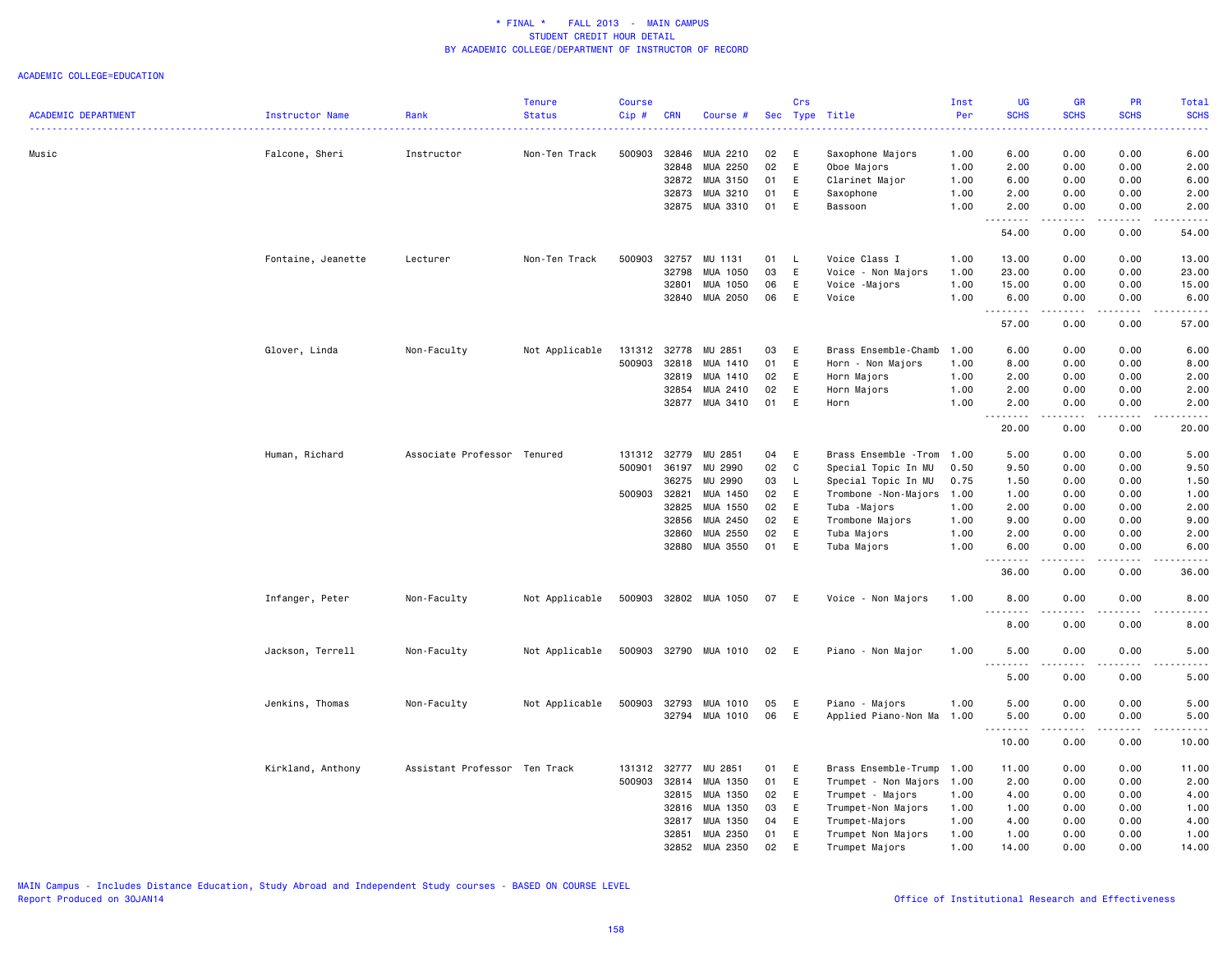| <b>ACADEMIC DEPARTMENT</b> | Instructor Name    | Rank                          | <b>Tenure</b><br><b>Status</b> | <b>Course</b><br>Cip# | <b>CRN</b>              | Course #                         |                | Crs          | Sec Type Title                                    | Inst<br>Per          | <b>UG</b><br><b>SCHS</b> | <b>GR</b><br><b>SCHS</b> | PR<br><b>SCHS</b>                   | Total<br><b>SCHS</b>                                                                                                                                         |
|----------------------------|--------------------|-------------------------------|--------------------------------|-----------------------|-------------------------|----------------------------------|----------------|--------------|---------------------------------------------------|----------------------|--------------------------|--------------------------|-------------------------------------|--------------------------------------------------------------------------------------------------------------------------------------------------------------|
| Music                      | Falcone, Sheri     | Instructor                    | Non-Ten Track                  | 500903                | 32846<br>32848<br>32872 | MUA 2210<br>MUA 2250<br>MUA 3150 | 02<br>02<br>01 | E<br>E<br>E  | Saxophone Majors<br>Oboe Majors<br>Clarinet Major | 1.00<br>1.00<br>1.00 | 6.00<br>2.00<br>6.00     | 0.00<br>0.00<br>0.00     | 0.00<br>0.00<br>0.00                | 6.00<br>2.00<br>6.00                                                                                                                                         |
|                            |                    |                               |                                |                       | 32873                   | MUA 3210<br>32875 MUA 3310       | 01<br>01       | E<br>E       | Saxophone<br>Bassoon                              | 1.00<br>1.00         | 2.00<br>2.00             | 0.00<br>0.00             | 0.00<br>0.00                        | 2.00<br>2.00                                                                                                                                                 |
|                            |                    |                               |                                |                       |                         |                                  |                |              |                                                   |                      | 54.00                    | 0.00                     | 0.00                                | 54.00                                                                                                                                                        |
|                            | Fontaine, Jeanette | Lecturer                      | Non-Ten Track                  | 500903                | 32757<br>32798          | MU 1131<br>MUA 1050              | 01<br>03       | L.<br>E      | Voice Class I<br>Voice - Non Majors               | 1.00<br>1.00         | 13.00<br>23.00           | 0.00<br>0.00             | 0.00<br>0.00                        | 13.00<br>23.00                                                                                                                                               |
|                            |                    |                               |                                |                       | 32801                   | MUA 1050                         | 06             | E            | Voice -Majors                                     | 1.00                 | 15.00                    | 0.00                     | 0.00                                | 15.00                                                                                                                                                        |
|                            |                    |                               |                                |                       | 32840                   | MUA 2050                         | 06             | E            | Voice                                             | 1.00                 | 6.00                     | 0.00                     | 0.00                                | 6.00<br>$\frac{1}{2}$                                                                                                                                        |
|                            |                    |                               |                                |                       |                         |                                  |                |              |                                                   |                      | 57.00                    | 0.00                     | 0.00                                | 57.00                                                                                                                                                        |
|                            | Glover, Linda      | Non-Faculty                   | Not Applicable                 | 131312 32778          |                         | MU 2851                          | 03             | E            | Brass Ensemble-Chamb                              | 1.00                 | 6.00                     | 0.00                     | 0.00                                | 6.00                                                                                                                                                         |
|                            |                    |                               |                                | 500903                | 32818                   | MUA 1410                         | 01             | E            | Horn - Non Majors                                 | 1.00                 | 8.00                     | 0.00                     | 0.00                                | 8.00                                                                                                                                                         |
|                            |                    |                               |                                |                       | 32819                   | MUA 1410                         | 02             | E            | Horn Majors                                       | 1.00                 | 2.00                     | 0.00                     | 0.00                                | 2.00                                                                                                                                                         |
|                            |                    |                               |                                |                       | 32854                   | MUA 2410                         | 02             | E            | Horn Majors                                       | 1.00                 | 2.00                     | 0.00                     | 0.00                                | 2.00                                                                                                                                                         |
|                            |                    |                               |                                |                       | 32877                   | MUA 3410                         | 01             | E            | Horn                                              | 1.00                 | 2.00<br>. <b>.</b>       | 0.00<br>.                | 0.00<br>$\sim$ $\sim$ $\sim$ $\sim$ | 2.00<br>$\frac{1}{2} \left( \frac{1}{2} \right) \left( \frac{1}{2} \right) \left( \frac{1}{2} \right) \left( \frac{1}{2} \right) \left( \frac{1}{2} \right)$ |
|                            |                    |                               |                                |                       |                         |                                  |                |              |                                                   |                      | 20.00                    | 0.00                     | 0.00                                | 20.00                                                                                                                                                        |
|                            | Human, Richard     | Associate Professor Tenured   |                                | 131312 32779          |                         | MU 2851                          | 04             | E            | Brass Ensemble - Trom                             | 1.00                 | 5.00                     | 0.00                     | 0.00                                | 5.00                                                                                                                                                         |
|                            |                    |                               |                                | 500901                | 36197                   | MU 2990                          | 02             | C            | Special Topic In MU                               | 0.50                 | 9.50                     | 0.00                     | 0.00                                | 9.50                                                                                                                                                         |
|                            |                    |                               |                                |                       | 36275                   | MU 2990                          | 03             | $\mathsf{L}$ | Special Topic In MU                               | 0.75                 | 1.50                     | 0.00                     | 0.00                                | 1.50                                                                                                                                                         |
|                            |                    |                               |                                | 500903 32821          |                         | MUA 1450                         | 02             | E            | Trombone - Non-Majors                             | 1.00                 | 1.00                     | 0.00                     | 0.00                                | 1.00                                                                                                                                                         |
|                            |                    |                               |                                |                       | 32825                   | MUA 1550                         | 02             | E            | Tuba -Majors                                      | 1.00                 | 2.00                     | 0.00                     | 0.00                                | 2.00                                                                                                                                                         |
|                            |                    |                               |                                |                       | 32856                   | MUA 2450                         | 02             | E            | Trombone Majors                                   | 1.00                 | 9.00                     | 0.00                     | 0.00                                | 9.00                                                                                                                                                         |
|                            |                    |                               |                                |                       | 32860                   | MUA 2550                         | 02             | E            | Tuba Majors                                       | 1.00                 | 2.00                     | 0.00                     | 0.00                                | 2.00                                                                                                                                                         |
|                            |                    |                               |                                |                       |                         | 32880 MUA 3550                   | 01             | E            | Tuba Majors                                       | 1.00                 | 6.00                     | 0.00                     | 0.00                                | 6.00                                                                                                                                                         |
|                            |                    |                               |                                |                       |                         |                                  |                |              |                                                   |                      | 36.00                    | 0.00                     | 0.00                                | 36.00                                                                                                                                                        |
|                            | Infanger, Peter    | Non-Faculty                   | Not Applicable                 |                       |                         | 500903 32802 MUA 1050            | 07             | - E          | Voice - Non Majors                                | 1.00                 | 8.00<br>----             | 0.00<br>$   -$           | 0.00<br>.                           | 8.00<br>----                                                                                                                                                 |
|                            |                    |                               |                                |                       |                         |                                  |                |              |                                                   |                      | 8.00                     | 0.00                     | 0.00                                | 8.00                                                                                                                                                         |
|                            | Jackson, Terrell   | Non-Faculty                   | Not Applicable                 |                       |                         | 500903 32790 MUA 1010            | 02             | E            | Piano - Non Major                                 | 1.00                 | 5.00<br>.                | 0.00<br>.                | 0.00<br>.                           | 5.00<br>.                                                                                                                                                    |
|                            |                    |                               |                                |                       |                         |                                  |                |              |                                                   |                      | 5.00                     | 0.00                     | 0.00                                | 5.00                                                                                                                                                         |
|                            | Jenkins, Thomas    | Non-Faculty                   | Not Applicable                 | 500903                | 32793                   | MUA 1010                         | 05             | E            | Piano - Majors                                    | 1.00                 | 5.00                     | 0.00                     | 0.00                                | 5.00                                                                                                                                                         |
|                            |                    |                               |                                |                       |                         | 32794 MUA 1010                   | 06             | E            | Applied Piano-Non Ma                              | 1.00                 | 5.00                     | 0.00                     | 0.00<br>$\sim$ $\sim$ $\sim$ $\sim$ | 5.00<br>$\frac{1}{2}$                                                                                                                                        |
|                            |                    |                               |                                |                       |                         |                                  |                |              |                                                   |                      | 10.00                    | 0.00                     | 0.00                                | 10.00                                                                                                                                                        |
|                            | Kirkland, Anthony  | Assistant Professor Ten Track |                                | 131312                | 32777                   | MU 2851                          | 01             | Ε            | Brass Ensemble-Trump                              | 1.00                 | 11.00                    | 0.00                     | 0.00                                | 11.00                                                                                                                                                        |
|                            |                    |                               |                                | 500903 32814          |                         | MUA 1350                         | 01             | E            | Trumpet - Non Majors 1.00                         |                      | 2.00                     | 0.00                     | 0.00                                | 2.00                                                                                                                                                         |
|                            |                    |                               |                                |                       | 32815                   | MUA 1350                         | 02             | E            | Trumpet - Majors                                  | 1.00                 | 4.00                     | 0.00                     | 0.00                                | 4.00                                                                                                                                                         |
|                            |                    |                               |                                |                       | 32816                   | MUA 1350                         | 03             | E            | Trumpet-Non Majors                                | 1.00                 | 1.00                     | 0.00                     | 0.00                                | 1.00                                                                                                                                                         |
|                            |                    |                               |                                |                       | 32817                   | MUA 1350                         | 04             | E            | Trumpet-Majors                                    | 1.00                 | 4.00                     | 0.00                     | 0.00                                | 4.00                                                                                                                                                         |
|                            |                    |                               |                                |                       | 32851                   | MUA 2350                         | 01             | E            | Trumpet Non Majors                                | 1.00                 | 1.00                     | 0.00                     | 0.00                                | 1.00                                                                                                                                                         |
|                            |                    |                               |                                |                       | 32852                   | MUA 2350                         | 02             | E            | Trumpet Majors                                    | 1.00                 | 14.00                    | 0.00                     | 0.00                                | 14.00                                                                                                                                                        |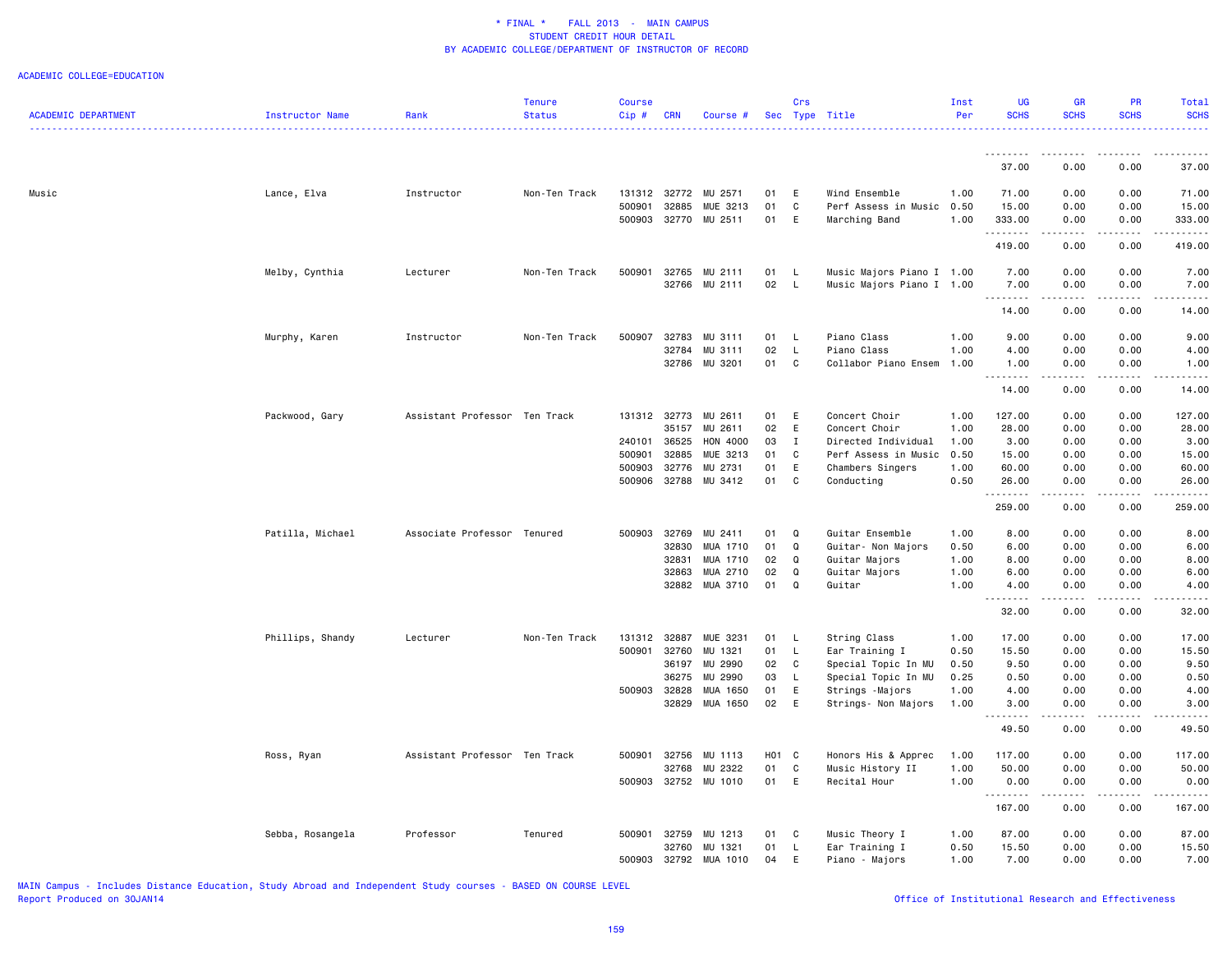#### ACADEMIC COLLEGE=EDUCATION

|                            |                  |                               | <b>Tenure</b> | <b>Course</b> |            |                      |                   | Crs          |                           | Inst | <b>UG</b>         | <b>GR</b>                                     | <b>PR</b>   | <b>Total</b>                                                                                                                                         |
|----------------------------|------------------|-------------------------------|---------------|---------------|------------|----------------------|-------------------|--------------|---------------------------|------|-------------------|-----------------------------------------------|-------------|------------------------------------------------------------------------------------------------------------------------------------------------------|
| <b>ACADEMIC DEPARTMENT</b> | Instructor Name  | Rank                          | <b>Status</b> | Cip#          | <b>CRN</b> | Course #             |                   |              | Sec Type Title            | Per  | <b>SCHS</b>       | <b>SCHS</b>                                   | <b>SCHS</b> | <b>SCHS</b>                                                                                                                                          |
|                            |                  |                               |               |               |            |                      |                   |              |                           |      | .                 | ----                                          |             |                                                                                                                                                      |
|                            |                  |                               |               |               |            |                      |                   |              |                           |      | 37.00             | 0.00                                          | 0.00        | 37.00                                                                                                                                                |
| Music                      | Lance, Elva      | Instructor                    | Non-Ten Track |               |            | 131312 32772 MU 2571 | 01                | E            | Wind Ensemble             | 1.00 | 71.00             | 0.00                                          | 0.00        | 71.00                                                                                                                                                |
|                            |                  |                               |               | 500901        | 32885      | MUE 3213             | 01                | $\mathtt{C}$ | Perf Assess in Music 0.50 |      | 15.00             | 0.00                                          | 0.00        | 15.00                                                                                                                                                |
|                            |                  |                               |               | 500903        | 32770      | MU 2511              | 01                | E            | Marching Band             | 1.00 | 333.00            | 0.00                                          | 0.00        | 333.00                                                                                                                                               |
|                            |                  |                               |               |               |            |                      |                   |              |                           |      | .                 | .                                             | .           | $\frac{1}{2} \left( \frac{1}{2} \right) \left( \frac{1}{2} \right) \left( \frac{1}{2} \right) \left( \frac{1}{2} \right) \left( \frac{1}{2} \right)$ |
|                            |                  |                               |               |               |            |                      |                   |              |                           |      | 419.00            | 0.00                                          | 0.00        | 419.00                                                                                                                                               |
|                            | Melby, Cynthia   | Lecturer                      | Non-Ten Track | 500901        | 32765      | MU 2111              | 01                | $\mathsf{L}$ | Music Majors Piano I 1.00 |      | 7.00              | 0.00                                          | 0.00        | 7.00                                                                                                                                                 |
|                            |                  |                               |               |               |            | 32766 MU 2111        | 02                | - L          | Music Majors Piano I 1.00 |      | 7.00              | 0.00                                          | 0.00        | 7.00                                                                                                                                                 |
|                            |                  |                               |               |               |            |                      |                   |              |                           |      | .<br>14.00        | $\omega_{\rm c}$ and $\omega_{\rm c}$<br>0.00 | .<br>0.00   | ----<br>14.00                                                                                                                                        |
|                            | Murphy, Karen    | Instructor                    | Non-Ten Track | 500907        | 32783      | MU 3111              | 01                | $\mathsf{L}$ | Piano Class               | 1.00 | 9.00              | 0.00                                          | 0.00        | 9.00                                                                                                                                                 |
|                            |                  |                               |               |               | 32784      | MU 3111              | 02                | L.           | Piano Class               | 1.00 | 4.00              | 0.00                                          | 0.00        | 4.00                                                                                                                                                 |
|                            |                  |                               |               |               | 32786      | MU 3201              | 01                | C            | Collabor Piano Ensem      | 1.00 | 1.00              | 0.00                                          | 0.00        | 1.00                                                                                                                                                 |
|                            |                  |                               |               |               |            |                      |                   |              |                           |      | .                 |                                               |             |                                                                                                                                                      |
|                            |                  |                               |               |               |            |                      |                   |              |                           |      | 14.00             | 0.00                                          | 0.00        | 14.00                                                                                                                                                |
|                            | Packwood, Gary   | Assistant Professor Ten Track |               | 131312 32773  |            | MU 2611              | 01                | E            | Concert Choir             | 1.00 | 127.00            | 0.00                                          | 0.00        | 127.00                                                                                                                                               |
|                            |                  |                               |               |               | 35157      | MU 2611              | 02                | E            | Concert Choir             | 1.00 | 28.00             | 0.00                                          | 0.00        | 28.00                                                                                                                                                |
|                            |                  |                               |               | 240101        | 36525      | HON 4000             | 03                | $\mathbf I$  | Directed Individual       | 1.00 | 3.00              | 0.00                                          | 0.00        | 3.00                                                                                                                                                 |
|                            |                  |                               |               | 500901        | 32885      | MUE 3213             | 01                | C            | Perf Assess in Music      | 0.50 | 15.00             | 0.00                                          | 0.00        | 15.00                                                                                                                                                |
|                            |                  |                               |               | 500903        | 32776      | MU 2731              | 01                | E            | Chambers Singers          | 1.00 | 60.00             | 0.00                                          | 0.00        | 60.00                                                                                                                                                |
|                            |                  |                               |               | 500906        | 32788      | MU 3412              | 01                | C            | Conducting                | 0.50 | 26.00             | 0.00                                          | 0.00        | 26.00                                                                                                                                                |
|                            |                  |                               |               |               |            |                      |                   |              |                           |      | .<br>259.00       | .<br>0.00                                     | .<br>0.00   | .<br>259.00                                                                                                                                          |
|                            | Patilla, Michael | Associate Professor Tenured   |               | 500903        | 32769      | MU 2411              | 01                | Q            | Guitar Ensemble           | 1.00 | 8.00              | 0.00                                          | 0.00        | 8.00                                                                                                                                                 |
|                            |                  |                               |               |               | 32830      | MUA 1710             | 01                | Q            | Guitar- Non Majors        | 0.50 | 6.00              | 0.00                                          | 0.00        | 6.00                                                                                                                                                 |
|                            |                  |                               |               |               | 32831      | MUA 1710             | 02                | Q            | Guitar Majors             | 1.00 | 8.00              | 0.00                                          | 0.00        | 8.00                                                                                                                                                 |
|                            |                  |                               |               |               | 32863      | MUA 2710             | 02                | Q            | Guitar Majors             | 1.00 | 6.00              | 0.00                                          | 0.00        | 6.00                                                                                                                                                 |
|                            |                  |                               |               |               |            | 32882 MUA 3710       | 01                | Q            | Guitar                    | 1.00 | 4.00              | 0.00                                          | 0.00        | 4.00                                                                                                                                                 |
|                            |                  |                               |               |               |            |                      |                   |              |                           |      | -----<br>32.00    | $\sim$ $\sim$ $\sim$ $\sim$<br>0.00           | .<br>0.00   | $\sim$ $\sim$ $\sim$ $\sim$<br>32.00                                                                                                                 |
|                            |                  |                               |               |               |            |                      |                   |              |                           |      |                   |                                               |             |                                                                                                                                                      |
|                            | Phillips, Shandy | Lecturer                      | Non-Ten Track | 131312 32887  |            | MUE 3231             | 01                | $\mathsf{L}$ | String Class              | 1.00 | 17.00             | 0.00                                          | 0.00        | 17.00                                                                                                                                                |
|                            |                  |                               |               | 500901        | 32760      | MU 1321              | 01                | $\mathsf{L}$ | Ear Training I            | 0.50 | 15.50             | 0.00                                          | 0.00        | 15.50                                                                                                                                                |
|                            |                  |                               |               |               | 36197      | MU 2990              | 02                | $\mathbf{C}$ | Special Topic In MU       | 0.50 | 9.50              | 0.00                                          | 0.00        | 9.50                                                                                                                                                 |
|                            |                  |                               |               |               | 36275      | MU 2990              | 03                | $\mathsf{L}$ | Special Topic In MU       | 0.25 | 0.50              | 0.00                                          | 0.00        | 0.50                                                                                                                                                 |
|                            |                  |                               |               | 500903 32828  |            | MUA 1650             | 01                | E            | Strings - Majors          | 1.00 | 4.00              | 0.00                                          | 0.00        | 4.00                                                                                                                                                 |
|                            |                  |                               |               |               | 32829      | MUA 1650             | 02                | E            | Strings- Non Majors       | 1.00 | 3.00<br>الداعات ب | 0.00<br>.                                     | 0.00<br>.   | 3.00<br>.                                                                                                                                            |
|                            |                  |                               |               |               |            |                      |                   |              |                           |      | 49.50             | 0.00                                          | 0.00        | 49.50                                                                                                                                                |
|                            | Ross, Ryan       | Assistant Professor Ten Track |               | 500901        | 32756      | MU 1113              | H <sub>01</sub> C |              | Honors His & Apprec       | 1.00 | 117.00            | 0.00                                          | 0.00        | 117.00                                                                                                                                               |
|                            |                  |                               |               |               | 32768      | MU 2322              | 01                | C            | Music History II          | 1.00 | 50.00             | 0.00                                          | 0.00        | 50.00                                                                                                                                                |
|                            |                  |                               |               |               |            | 500903 32752 MU 1010 | 01 E              |              | Recital Hour              | 1.00 | 0.00<br>.         | 0.00                                          | 0.00        | 0.00                                                                                                                                                 |
|                            |                  |                               |               |               |            |                      |                   |              |                           |      | 167.00            | 0.00                                          | 0.00        | 167.00                                                                                                                                               |
|                            | Sebba, Rosangela | Professor                     | Tenured       | 500901        | 32759      | MU 1213              | 01                | C            | Music Theory I            | 1.00 | 87.00             | 0.00                                          | 0.00        | 87.00                                                                                                                                                |
|                            |                  |                               |               |               | 32760      | MU 1321              | 01                | $\mathsf{L}$ | Ear Training I            | 0.50 | 15.50             | 0.00                                          | 0.00        | 15.50                                                                                                                                                |
|                            |                  |                               |               | 500903        | 32792      | MUA 1010             | 04                | E            | Piano - Majors            | 1.00 | 7.00              | 0.00                                          | 0.00        | 7.00                                                                                                                                                 |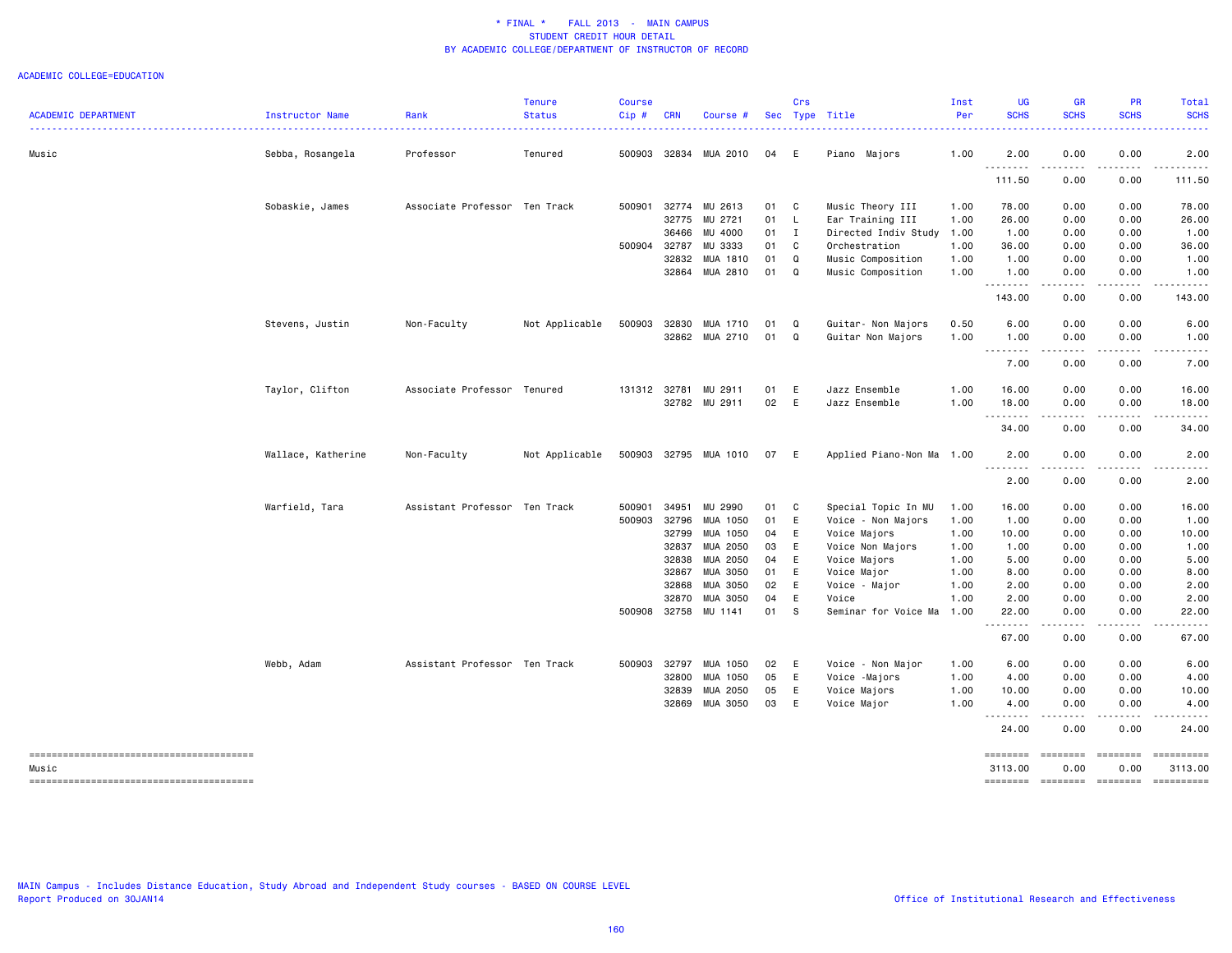#### ACADEMIC COLLEGE=EDUCATION

| <b>ACADEMIC DEPARTMENT</b> | Instructor Name    | Rank                          | <b>Tenure</b><br><b>Status</b> | <b>Course</b><br>Cip# | <b>CRN</b> | Course #             |      | Crs | Sec Type Title            | Inst<br>Per | <b>UG</b><br><b>SCHS</b> | <b>GR</b><br><b>SCHS</b>                                                                                                                                                                                                                                                                                                                                                                                                                                                                     | PR<br><b>SCHS</b>                                                                                                                                            | Total<br><b>SCHS</b>  |
|----------------------------|--------------------|-------------------------------|--------------------------------|-----------------------|------------|----------------------|------|-----|---------------------------|-------------|--------------------------|----------------------------------------------------------------------------------------------------------------------------------------------------------------------------------------------------------------------------------------------------------------------------------------------------------------------------------------------------------------------------------------------------------------------------------------------------------------------------------------------|--------------------------------------------------------------------------------------------------------------------------------------------------------------|-----------------------|
|                            |                    |                               |                                |                       |            |                      |      |     |                           |             |                          |                                                                                                                                                                                                                                                                                                                                                                                                                                                                                              |                                                                                                                                                              |                       |
| Music                      | Sebba, Rosangela   | Professor                     | Tenured                        | 500903                | 32834      | MUA 2010             | 04   | E   | Piano Majors              | 1.00        | 2.00<br>.                | 0.00<br>----                                                                                                                                                                                                                                                                                                                                                                                                                                                                                 | 0.00                                                                                                                                                         | 2.00                  |
|                            |                    |                               |                                |                       |            |                      |      |     |                           |             | 111.50                   | 0.00                                                                                                                                                                                                                                                                                                                                                                                                                                                                                         | 0.00                                                                                                                                                         | 111.50                |
|                            | Sobaskie, James    | Associate Professor Ten Track |                                | 500901                |            | 32774 MU 2613        | 01   | C   | Music Theory III          | 1.00        | 78.00                    | 0.00                                                                                                                                                                                                                                                                                                                                                                                                                                                                                         | 0.00                                                                                                                                                         | 78.00                 |
|                            |                    |                               |                                |                       | 32775      | MU 2721              | 01   | L   | Ear Training III          | 1.00        | 26.00                    | 0.00                                                                                                                                                                                                                                                                                                                                                                                                                                                                                         | 0.00                                                                                                                                                         | 26.00                 |
|                            |                    |                               |                                |                       | 36466      | MU 4000              | 01   | I   | Directed Indiv Study      | 1.00        | 1.00                     | 0.00                                                                                                                                                                                                                                                                                                                                                                                                                                                                                         | 0.00                                                                                                                                                         | 1.00                  |
|                            |                    |                               |                                | 500904                | 32787      | MU 3333              | 01   | C   | Orchestration             | 1.00        | 36.00                    | 0.00                                                                                                                                                                                                                                                                                                                                                                                                                                                                                         | 0.00                                                                                                                                                         | 36.00                 |
|                            |                    |                               |                                |                       | 32832      | MUA 1810             | 01   | Q   | Music Composition         | 1.00        | 1.00                     | 0.00                                                                                                                                                                                                                                                                                                                                                                                                                                                                                         | 0.00                                                                                                                                                         | 1.00                  |
|                            |                    |                               |                                |                       |            | 32864 MUA 2810       | 01   | Q   | Music Composition         | 1.00        | 1.00                     | 0.00                                                                                                                                                                                                                                                                                                                                                                                                                                                                                         | 0.00                                                                                                                                                         | 1.00                  |
|                            |                    |                               |                                |                       |            |                      |      |     |                           |             | .<br>143.00              | الأعامات<br>0.00                                                                                                                                                                                                                                                                                                                                                                                                                                                                             | .<br>0.00                                                                                                                                                    | .<br>143.00           |
|                            | Stevens, Justin    | Non-Faculty                   | Not Applicable                 | 500903                | 32830      | MUA 1710             | 01   | Q   | Guitar- Non Majors        | 0.50        | 6.00                     | 0.00                                                                                                                                                                                                                                                                                                                                                                                                                                                                                         | 0.00                                                                                                                                                         | 6.00                  |
|                            |                    |                               |                                |                       |            | 32862 MUA 2710       | 01 Q |     | Guitar Non Majors         | 1.00        | 1.00                     | 0.00                                                                                                                                                                                                                                                                                                                                                                                                                                                                                         | 0.00                                                                                                                                                         | 1.00                  |
|                            |                    |                               |                                |                       |            |                      |      |     |                           |             | .<br>7.00                | المتمالين<br>0.00                                                                                                                                                                                                                                                                                                                                                                                                                                                                            | $\frac{1}{2} \left( \frac{1}{2} \right) \left( \frac{1}{2} \right) \left( \frac{1}{2} \right) \left( \frac{1}{2} \right) \left( \frac{1}{2} \right)$<br>0.00 | .<br>7.00             |
|                            | Taylor, Clifton    | Associate Professor Tenured   |                                |                       |            | 131312 32781 MU 2911 | 01   | Ε   | Jazz Ensemble             | 1.00        | 16.00                    | 0.00                                                                                                                                                                                                                                                                                                                                                                                                                                                                                         | 0.00                                                                                                                                                         | 16.00                 |
|                            |                    |                               |                                |                       |            | 32782 MU 2911        | 02   | E   | Jazz Ensemble             | 1.00        | 18.00                    | 0.00                                                                                                                                                                                                                                                                                                                                                                                                                                                                                         | 0.00                                                                                                                                                         | 18.00                 |
|                            |                    |                               |                                |                       |            |                      |      |     |                           |             | .<br>34.00               | .<br>0.00                                                                                                                                                                                                                                                                                                                                                                                                                                                                                    | .<br>0.00                                                                                                                                                    | .<br>34.00            |
|                            | Wallace, Katherine | Non-Faculty                   | Not Applicable                 | 500903                |            | 32795 MUA 1010       | 07 E |     | Applied Piano-Non Ma 1.00 |             | 2.00                     | 0.00                                                                                                                                                                                                                                                                                                                                                                                                                                                                                         | 0.00                                                                                                                                                         | 2.00                  |
|                            |                    |                               |                                |                       |            |                      |      |     |                           |             | $- - -$<br>----<br>2.00  | ----<br>0.00                                                                                                                                                                                                                                                                                                                                                                                                                                                                                 | 0.00                                                                                                                                                         | 2.00                  |
|                            | Warfield, Tara     | Assistant Professor Ten Track |                                | 500901                | 34951      | MU 2990              | 01   | C   | Special Topic In MU       | 1.00        | 16.00                    | 0.00                                                                                                                                                                                                                                                                                                                                                                                                                                                                                         | 0.00                                                                                                                                                         | 16.00                 |
|                            |                    |                               |                                | 500903                | 32796      | MUA 1050             | 01   | Ε   | Voice - Non Majors        | 1.00        | 1.00                     | 0.00                                                                                                                                                                                                                                                                                                                                                                                                                                                                                         | 0.00                                                                                                                                                         | 1.00                  |
|                            |                    |                               |                                |                       | 32799      | MUA 1050             | 04   | E   | Voice Majors              | 1.00        | 10.00                    | 0.00                                                                                                                                                                                                                                                                                                                                                                                                                                                                                         | 0.00                                                                                                                                                         | 10.00                 |
|                            |                    |                               |                                |                       |            | 32837 MUA 2050       | 03   | E   | Voice Non Majors          | 1.00        | 1.00                     | 0.00                                                                                                                                                                                                                                                                                                                                                                                                                                                                                         | 0.00                                                                                                                                                         | 1.00                  |
|                            |                    |                               |                                |                       | 32838      | MUA 2050             | 04   | E   | Voice Majors              | 1.00        | 5.00                     | 0.00                                                                                                                                                                                                                                                                                                                                                                                                                                                                                         | 0.00                                                                                                                                                         | 5.00                  |
|                            |                    |                               |                                |                       | 32867      | MUA 3050             | 01   | E   | Voice Major               | 1.00        | 8.00                     | 0.00                                                                                                                                                                                                                                                                                                                                                                                                                                                                                         | 0.00                                                                                                                                                         | 8.00                  |
|                            |                    |                               |                                |                       | 32868      | MUA 3050             | 02   | E   | Voice - Major             | 1.00        | 2.00                     | 0.00                                                                                                                                                                                                                                                                                                                                                                                                                                                                                         | 0.00                                                                                                                                                         | 2.00                  |
|                            |                    |                               |                                |                       | 32870      | MUA 3050             | 04   | E   | Voice                     | 1.00        | 2.00                     | 0.00                                                                                                                                                                                                                                                                                                                                                                                                                                                                                         | 0.00                                                                                                                                                         | 2.00                  |
|                            |                    |                               |                                | 500908                |            | 32758 MU 1141        | 01   | -S  | Seminar for Voice Ma      | 1.00        | 22.00                    | 0.00                                                                                                                                                                                                                                                                                                                                                                                                                                                                                         | 0.00                                                                                                                                                         | 22.00                 |
|                            |                    |                               |                                |                       |            |                      |      |     |                           |             | .<br>67.00               | $\frac{1}{2} \frac{1}{2} \frac{1}{2} \frac{1}{2} \frac{1}{2} \frac{1}{2} \frac{1}{2} \frac{1}{2} \frac{1}{2} \frac{1}{2} \frac{1}{2} \frac{1}{2} \frac{1}{2} \frac{1}{2} \frac{1}{2} \frac{1}{2} \frac{1}{2} \frac{1}{2} \frac{1}{2} \frac{1}{2} \frac{1}{2} \frac{1}{2} \frac{1}{2} \frac{1}{2} \frac{1}{2} \frac{1}{2} \frac{1}{2} \frac{1}{2} \frac{1}{2} \frac{1}{2} \frac{1}{2} \frac{$<br>0.00                                                                                         | .<br>0.00                                                                                                                                                    | 67.00                 |
|                            | Webb, Adam         | Assistant Professor Ten Track |                                | 500903                | 32797      | MUA 1050             | 02   | E   | Voice - Non Major         | 1.00        | 6.00                     | 0.00                                                                                                                                                                                                                                                                                                                                                                                                                                                                                         | 0.00                                                                                                                                                         | 6.00                  |
|                            |                    |                               |                                |                       | 32800      | MUA 1050             | 05   | Ε   | Voice -Majors             | 1.00        | 4.00                     | 0.00                                                                                                                                                                                                                                                                                                                                                                                                                                                                                         | 0.00                                                                                                                                                         | 4.00                  |
|                            |                    |                               |                                |                       | 32839      | MUA 2050             | 05   | Ε   | Voice Majors              | 1.00        | 10.00                    | 0.00                                                                                                                                                                                                                                                                                                                                                                                                                                                                                         | 0.00                                                                                                                                                         | 10.00                 |
|                            |                    |                               |                                |                       | 32869      | MUA 3050             | 03   | E   | Voice Major               | 1.00        | 4.00                     | 0.00                                                                                                                                                                                                                                                                                                                                                                                                                                                                                         | 0.00                                                                                                                                                         | 4.00                  |
|                            |                    |                               |                                |                       |            |                      |      |     |                           |             | .<br>24.00               | $\sim$ $\sim$ $\sim$<br>0.00                                                                                                                                                                                                                                                                                                                                                                                                                                                                 | .<br>0.00                                                                                                                                                    | 24.00                 |
| Music                      |                    |                               |                                |                       |            |                      |      |     |                           |             | ========<br>3113.00      | $\begin{array}{c} \multicolumn{3}{c}{}\\ \multicolumn{3}{c}{}\\ \multicolumn{3}{c}{}\\ \multicolumn{3}{c}{}\\ \multicolumn{3}{c}{}\\ \multicolumn{3}{c}{}\\ \multicolumn{3}{c}{}\\ \multicolumn{3}{c}{}\\ \multicolumn{3}{c}{}\\ \multicolumn{3}{c}{}\\ \multicolumn{3}{c}{}\\ \multicolumn{3}{c}{}\\ \multicolumn{3}{c}{}\\ \multicolumn{3}{c}{}\\ \multicolumn{3}{c}{}\\ \multicolumn{3}{c}{}\\ \multicolumn{3}{c}{}\\ \multicolumn{3}{c}{}\\ \multicolumn{3}{c}{}\\ \multicolumn$<br>0.00 | ========<br>0.00                                                                                                                                             | ==========<br>3113.00 |
|                            |                    |                               |                                |                       |            |                      |      |     |                           |             | ========                 | $=$ ========                                                                                                                                                                                                                                                                                                                                                                                                                                                                                 |                                                                                                                                                              | ==========            |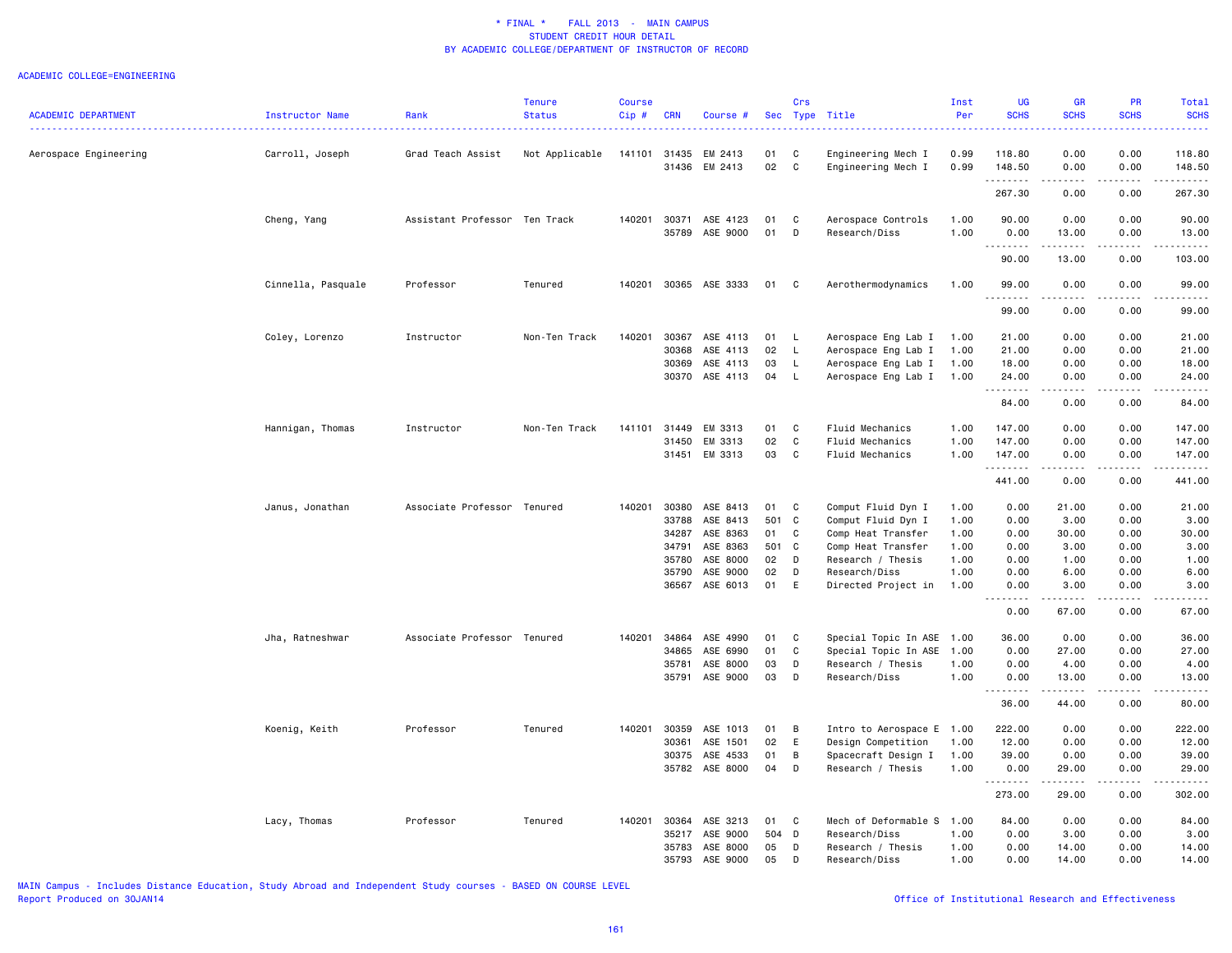#### ACADEMIC COLLEGE=ENGINEERING

|                            |                        |                               | <b>Tenure</b>  | <b>Course</b> |            |                |       | Crs          |                           | Inst | <b>UG</b>       | <b>GR</b>                                                                                                                                                     | <b>PR</b>     | <b>Total</b>     |
|----------------------------|------------------------|-------------------------------|----------------|---------------|------------|----------------|-------|--------------|---------------------------|------|-----------------|---------------------------------------------------------------------------------------------------------------------------------------------------------------|---------------|------------------|
| <b>ACADEMIC DEPARTMENT</b> | <b>Instructor Name</b> | Rank                          | <b>Status</b>  | Cip#          | <b>CRN</b> | Course #       |       |              | Sec Type Title            | Per  | <b>SCHS</b>     | <b>SCHS</b>                                                                                                                                                   | <b>SCHS</b>   | <b>SCHS</b><br>. |
| Aerospace Engineering      | Carroll, Joseph        | Grad Teach Assist             | Not Applicable | 141101        | 31435      | EM 2413        | 01    | C            | Engineering Mech I        | 0.99 | 118.80          | 0.00                                                                                                                                                          | 0.00          | 118.80           |
|                            |                        |                               |                |               | 31436      | EM 2413        | 02    | C            | Engineering Mech I        | 0.99 | 148.50<br>.     | 0.00<br>$\frac{1}{2} \left( \frac{1}{2} \right) \left( \frac{1}{2} \right) \left( \frac{1}{2} \right) \left( \frac{1}{2} \right) \left( \frac{1}{2} \right)$  | 0.00<br>.     | 148.50<br>.      |
|                            |                        |                               |                |               |            |                |       |              |                           |      | 267.30          | 0.00                                                                                                                                                          | 0.00          | 267.30           |
|                            | Cheng, Yang            | Assistant Professor Ten Track |                | 140201        | 30371      | ASE 4123       | 01    | C            | Aerospace Controls        | 1.00 | 90.00           | 0.00                                                                                                                                                          | 0.00          | 90.00            |
|                            |                        |                               |                |               | 35789      | ASE 9000       | 01    | D            | Research/Diss             | 1.00 | 0.00<br>.       | 13.00<br>.                                                                                                                                                    | 0.00<br>.     | 13.00<br>.       |
|                            |                        |                               |                |               |            |                |       |              |                           |      | 90.00           | 13.00                                                                                                                                                         | 0.00          | 103.00           |
|                            | Cinnella, Pasquale     | Professor                     | Tenured        | 140201        |            | 30365 ASE 3333 | 01 C  |              | Aerothermodynamics        | 1.00 | 99.00<br>.      | 0.00<br><u>.</u>                                                                                                                                              | 0.00<br>.     | 99.00<br>.       |
|                            |                        |                               |                |               |            |                |       |              |                           |      | 99.00           | 0.00                                                                                                                                                          | 0.00          | 99.00            |
|                            | Coley, Lorenzo         | Instructor                    | Non-Ten Track  | 140201        | 30367      | ASE 4113       | 01    | <b>L</b>     | Aerospace Eng Lab I       | 1.00 | 21.00           | 0.00                                                                                                                                                          | 0.00          | 21.00            |
|                            |                        |                               |                |               | 30368      | ASE 4113       | 02    | L.           | Aerospace Eng Lab I       | 1.00 | 21.00           | 0.00                                                                                                                                                          | 0.00          | 21.00            |
|                            |                        |                               |                |               | 30369      | ASE 4113       | 03    | L.           | Aerospace Eng Lab I       | 1.00 | 18.00           | 0.00                                                                                                                                                          | 0.00          | 18.00            |
|                            |                        |                               |                |               | 30370      | ASE 4113       | 04    | L.           | Aerospace Eng Lab I       | 1.00 | 24.00           | 0.00<br>المتمام المنا                                                                                                                                         | 0.00<br>.     | 24.00<br>.       |
|                            |                        |                               |                |               |            |                |       |              |                           |      | 84.00           | 0.00                                                                                                                                                          | 0.00          | 84.00            |
|                            | Hannigan, Thomas       | Instructor                    | Non-Ten Track  | 141101        | 31449      | EM 3313        | 01    | C            | Fluid Mechanics           | 1.00 | 147.00          | 0.00                                                                                                                                                          | 0.00          | 147.00           |
|                            |                        |                               |                |               | 31450      | EM 3313        | 02    | $\mathbf c$  | Fluid Mechanics           | 1.00 | 147.00          | 0.00                                                                                                                                                          | 0.00          | 147.00           |
|                            |                        |                               |                |               |            | 31451 EM 3313  | 03    | C            | Fluid Mechanics           | 1.00 | 147.00          | 0.00                                                                                                                                                          | 0.00          | 147.00           |
|                            |                        |                               |                |               |            |                |       |              |                           |      | .               | -----                                                                                                                                                         | .             | .                |
|                            |                        |                               |                |               |            |                |       |              |                           |      | 441.00          | 0.00                                                                                                                                                          | 0.00          | 441.00           |
|                            | Janus, Jonathan        | Associate Professor Tenured   |                | 140201        | 30380      | ASE 8413       | 01    | C            | Comput Fluid Dyn I        | 1.00 | 0.00            | 21.00                                                                                                                                                         | 0.00          | 21.00            |
|                            |                        |                               |                |               | 33788      | ASE 8413       | 501 C |              | Comput Fluid Dyn I        | 1.00 | 0.00            | 3.00                                                                                                                                                          | 0.00          | 3.00             |
|                            |                        |                               |                |               | 34287      | ASE 8363       | 01    | $\mathbf{C}$ | Comp Heat Transfer        | 1.00 | 0.00            | 30.00                                                                                                                                                         | 0.00          | 30.00            |
|                            |                        |                               |                |               | 34791      | ASE 8363       | 501 C |              | Comp Heat Transfer        | 1.00 | 0.00            | 3.00                                                                                                                                                          | 0.00          | 3.00             |
|                            |                        |                               |                |               | 35780      | ASE 8000       | 02    | D            | Research / Thesis         | 1.00 | 0.00            | 1.00                                                                                                                                                          | 0.00          | 1.00             |
|                            |                        |                               |                |               | 35790      | ASE 9000       | 02    | D            | Research/Diss             | 1.00 | 0.00            | 6.00                                                                                                                                                          | 0.00          | 6.00             |
|                            |                        |                               |                |               | 36567      | ASE 6013       | 01    | E            | Directed Project in       | 1.00 | 0.00<br>-----   | 3.00<br>.                                                                                                                                                     | 0.00<br>----- | 3.00<br>.        |
|                            |                        |                               |                |               |            |                |       |              |                           |      | 0.00            | 67.00                                                                                                                                                         | 0.00          | 67.00            |
|                            | Jha, Ratneshwar        | Associate Professor Tenured   |                | 140201        | 34864      | ASE 4990       | 01    | C            | Special Topic In ASE      | 1.00 | 36.00           | 0.00                                                                                                                                                          | 0.00          | 36.00            |
|                            |                        |                               |                |               | 34865      | ASE 6990       | 01    | C            | Special Topic In ASE      | 1.00 | 0.00            | 27.00                                                                                                                                                         | 0.00          | 27.00            |
|                            |                        |                               |                |               | 35781      | ASE 8000       | 03    | D            | Research / Thesis         | 1.00 | 0.00            | 4.00                                                                                                                                                          | 0.00          | 4.00             |
|                            |                        |                               |                |               | 35791      | ASE 9000       | 03    | D            | Research/Diss             | 1.00 | 0.00<br>$- - -$ | 13.00<br>$\frac{1}{2} \left( \frac{1}{2} \right) \left( \frac{1}{2} \right) \left( \frac{1}{2} \right) \left( \frac{1}{2} \right) \left( \frac{1}{2} \right)$ | 0.00          | 13.00            |
|                            |                        |                               |                |               |            |                |       |              |                           |      | 36.00           | 44.00                                                                                                                                                         | 0.00          | 80.00            |
|                            | Koenig, Keith          | Professor                     | Tenured        | 140201        | 30359      | ASE 1013       | 01    | B            | Intro to Aerospace E 1.00 |      | 222.00          | 0.00                                                                                                                                                          | 0.00          | 222.00           |
|                            |                        |                               |                |               | 30361      | ASE 1501       | 02    | E            | Design Competition        | 1.00 | 12.00           | 0.00                                                                                                                                                          | 0.00          | 12.00            |
|                            |                        |                               |                |               | 30375      | ASE 4533       | 01    | B            | Spacecraft Design I       | 1.00 | 39.00           | 0.00                                                                                                                                                          | 0.00          | 39.00            |
|                            |                        |                               |                |               |            | 35782 ASE 8000 | 04    | D            | Research / Thesis         | 1.00 | 0.00<br>.       | 29.00<br>.                                                                                                                                                    | 0.00<br>.     | 29.00            |
|                            |                        |                               |                |               |            |                |       |              |                           |      | 273.00          | 29.00                                                                                                                                                         | 0.00          | 302.00           |
|                            | Lacy, Thomas           | Professor                     | Tenured        | 140201        | 30364      | ASE 3213       | 01    | $\mathbf{C}$ | Mech of Deformable S      | 1.00 | 84.00           | 0.00                                                                                                                                                          | 0.00          | 84.00            |
|                            |                        |                               |                |               | 35217      | ASE 9000       | 504 D |              | Research/Diss             | 1.00 | 0.00            | 3.00                                                                                                                                                          | 0.00          | 3.00             |
|                            |                        |                               |                |               | 35783      | ASE 8000       | 05    | D            | Research / Thesis         | 1.00 | 0.00            | 14.00                                                                                                                                                         | 0.00          | 14.00            |
|                            |                        |                               |                |               | 35793      | ASE 9000       | 05    | D            | Research/Diss             | 1.00 | 0.00            | 14.00                                                                                                                                                         | 0.00          | 14.00            |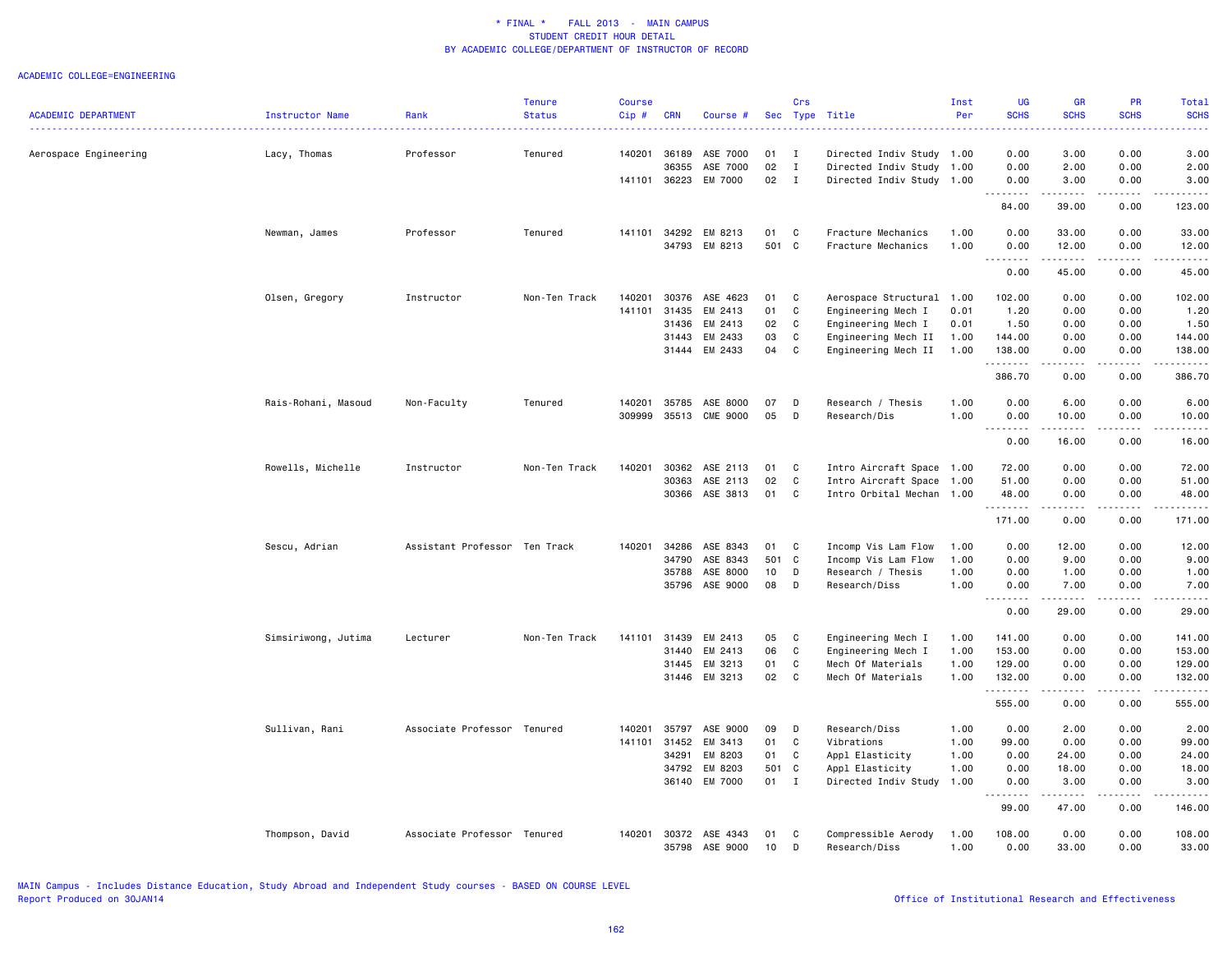|                            |                     |                               | <b>Tenure</b> | <b>Course</b> |                |                      |          | Crs          |                                      | Inst         | <b>UG</b>                        | <b>GR</b>                                                                                                                     | <b>PR</b>             | Total                                                                                                                                                                                    |
|----------------------------|---------------------|-------------------------------|---------------|---------------|----------------|----------------------|----------|--------------|--------------------------------------|--------------|----------------------------------|-------------------------------------------------------------------------------------------------------------------------------|-----------------------|------------------------------------------------------------------------------------------------------------------------------------------------------------------------------------------|
| <b>ACADEMIC DEPARTMENT</b> | Instructor Name     | Rank                          | <b>Status</b> | Cip#          | <b>CRN</b>     | Course #             |          |              | Sec Type Title                       | Per          | <b>SCHS</b>                      | <b>SCHS</b>                                                                                                                   | <b>SCHS</b>           | <b>SCHS</b>                                                                                                                                                                              |
| Aerospace Engineering      | Lacy, Thomas        | Professor                     | Tenured       | 140201        | 36189          | ASE 7000             | 01       | $\mathbf{I}$ | Directed Indiv Study 1.00            |              | 0.00                             | 3.00                                                                                                                          | 0.00                  | 3.00                                                                                                                                                                                     |
|                            |                     |                               |               |               | 36355          | ASE 7000             | 02       | $\mathbf{I}$ | Directed Indiv Study 1.00            |              | 0.00                             | 2.00                                                                                                                          | 0.00                  | 2.00                                                                                                                                                                                     |
|                            |                     |                               |               | 141101        | 36223          | EM 7000              | 02       | $\mathbf{I}$ | Directed Indiv Study 1.00            |              | 0.00                             | 3.00                                                                                                                          | 0.00                  | 3.00                                                                                                                                                                                     |
|                            |                     |                               |               |               |                |                      |          |              |                                      |              | .<br>84.00                       | $- - - - -$<br>39.00                                                                                                          | .<br>0.00             | .<br>123.00                                                                                                                                                                              |
|                            | Newman, James       | Professor                     | Tenured       | 141101        | 34292          | EM 8213              | 01       | C            | Fracture Mechanics                   | 1.00         | 0.00                             | 33.00                                                                                                                         | 0.00                  | 33.00                                                                                                                                                                                    |
|                            |                     |                               |               |               | 34793          | EM 8213              | 501 C    |              | Fracture Mechanics                   | 1.00         | 0.00<br><b></b>                  | 12.00<br>. <b>.</b>                                                                                                           | 0.00<br>.             | 12.00<br>.                                                                                                                                                                               |
|                            |                     |                               |               |               |                |                      |          |              |                                      |              | 0.00                             | 45.00                                                                                                                         | 0.00                  | 45.00                                                                                                                                                                                    |
|                            | Olsen, Gregory      | Instructor                    | Non-Ten Track | 140201        | 30376          | ASE 4623             | 01       | C            | Aerospace Structural                 | 1.00         | 102.00                           | 0.00                                                                                                                          | 0.00                  | 102.00                                                                                                                                                                                   |
|                            |                     |                               |               | 141101        | 31435          | EM 2413              | 01       | C            | Engineering Mech I                   | 0.01         | 1.20                             | 0.00                                                                                                                          | 0.00                  | 1.20                                                                                                                                                                                     |
|                            |                     |                               |               |               | 31436          | EM 2413              | 02       | $\mathbf c$  | Engineering Mech I                   | 0.01         | 1.50                             | 0.00                                                                                                                          | 0.00                  | 1.50                                                                                                                                                                                     |
|                            |                     |                               |               |               | 31443          | EM 2433              | 03       | $\mathtt{C}$ | Engineering Mech II                  | 1.00         | 144.00                           | 0.00                                                                                                                          | 0.00                  | 144.00                                                                                                                                                                                   |
|                            |                     |                               |               |               | 31444          | EM 2433              | 04       | C            | Engineering Mech II                  | 1.00         | 138.00<br>.                      | 0.00                                                                                                                          | 0.00                  | 138.00<br>$- - - - - - -$                                                                                                                                                                |
|                            |                     |                               |               |               |                |                      |          |              |                                      |              | 386.70                           | 0.00                                                                                                                          | 0.00                  | 386.70                                                                                                                                                                                   |
|                            | Rais-Rohani, Masoud | Non-Faculty                   | Tenured       | 140201        | 35785          | ASE 8000             | 07       | D            | Research / Thesis                    | 1.00         | 0.00                             | 6.00                                                                                                                          | 0.00                  | 6.00                                                                                                                                                                                     |
|                            |                     |                               |               | 309999        |                | 35513 CME 9000       | 05       | D            | Research/Dis                         | 1.00         | 0.00<br>-----<br>$\sim$ $\sim$ . | 10.00<br>.                                                                                                                    | 0.00<br>.             | 10.00<br>.                                                                                                                                                                               |
|                            |                     |                               |               |               |                |                      |          |              |                                      |              | 0.00                             | 16.00                                                                                                                         | 0.00                  | 16.00                                                                                                                                                                                    |
|                            | Rowells, Michelle   | Instructor                    | Non-Ten Track | 140201        | 30362          | ASE 2113             | 01       | C            | Intro Aircraft Space 1.00            |              | 72.00                            | 0.00                                                                                                                          | 0.00                  | 72.00                                                                                                                                                                                    |
|                            |                     |                               |               |               | 30363          | ASE 2113             | 02       | C            | Intro Aircraft Space                 | 1.00         | 51.00                            | 0.00                                                                                                                          | 0.00                  | 51.00                                                                                                                                                                                    |
|                            |                     |                               |               |               |                | 30366 ASE 3813       | 01       | C            | Intro Orbital Mechan 1.00            |              | 48.00<br>.                       | 0.00<br>-----                                                                                                                 | 0.00<br>.             | 48.00<br>$\frac{1}{2} \left( \frac{1}{2} \right) \left( \frac{1}{2} \right) \left( \frac{1}{2} \right) \left( \frac{1}{2} \right) \left( \frac{1}{2} \right) \left( \frac{1}{2} \right)$ |
|                            |                     |                               |               |               |                |                      |          |              |                                      |              | 171.00                           | 0.00                                                                                                                          | 0.00                  | 171.00                                                                                                                                                                                   |
|                            | Sescu, Adrian       | Assistant Professor Ten Track |               | 140201        | 34286          | ASE 8343             | 01       | C            | Incomp Vis Lam Flow                  | 1.00         | 0.00                             | 12.00                                                                                                                         | 0.00                  | 12.00                                                                                                                                                                                    |
|                            |                     |                               |               |               | 34790          | ASE 8343             | 501 C    |              | Incomp Vis Lam Flow                  | 1.00         | 0.00                             | 9.00                                                                                                                          | 0.00                  | 9.00                                                                                                                                                                                     |
|                            |                     |                               |               |               | 35788          | ASE 8000             | 10       | D            | Research / Thesis                    | 1.00         | 0.00                             | 1.00                                                                                                                          | 0.00                  | 1.00                                                                                                                                                                                     |
|                            |                     |                               |               |               | 35796          | ASE 9000             | 08       | D            | Research/Diss                        | 1.00         | 0.00<br>.                        | 7.00<br>$- - - - -$                                                                                                           | 0.00<br>$\frac{1}{2}$ | 7.00<br>.                                                                                                                                                                                |
|                            |                     |                               |               |               |                |                      |          |              |                                      |              | 0.00                             | 29.00                                                                                                                         | 0.00                  | 29.00                                                                                                                                                                                    |
|                            | Simsiriwong, Jutima | Lecturer                      | Non-Ten Track | 141101        | 31439          | EM 2413              | 05       | C            | Engineering Mech I                   | 1.00         | 141.00                           | 0.00                                                                                                                          | 0.00                  | 141.00                                                                                                                                                                                   |
|                            |                     |                               |               |               | 31440          | EM 2413              | 06       | C            | Engineering Mech I                   | 1.00         | 153.00                           | 0.00                                                                                                                          | 0.00                  | 153.00                                                                                                                                                                                   |
|                            |                     |                               |               |               | 31445          | EM 3213              | 01       | C            | Mech Of Materials                    | 1.00         | 129.00                           | 0.00                                                                                                                          | 0.00                  | 129.00                                                                                                                                                                                   |
|                            |                     |                               |               |               |                | 31446 EM 3213        | 02       | C            | Mech Of Materials                    | 1.00         | 132.00<br>.                      | 0.00<br>.                                                                                                                     | 0.00<br>.             | 132.00<br>.                                                                                                                                                                              |
|                            |                     |                               |               |               |                |                      |          |              |                                      |              | 555.00                           | 0.00                                                                                                                          | 0.00                  | 555.00                                                                                                                                                                                   |
|                            | Sullivan, Rani      | Associate Professor Tenured   |               | 140201        | 35797          | ASE 9000             | 09       | D            | Research/Diss                        | 1.00         | 0.00                             | 2.00                                                                                                                          | 0.00                  | 2.00                                                                                                                                                                                     |
|                            |                     |                               |               | 141101        | 31452          | EM 3413              | 01       | C            | Vibrations                           | 1.00         | 99.00                            | 0.00                                                                                                                          | 0.00                  | 99.00                                                                                                                                                                                    |
|                            |                     |                               |               |               | 34291          | EM 8203              | 01       | C            | Appl Elasticity                      | 1.00         | 0.00                             | 24.00                                                                                                                         | 0.00                  | 24.00                                                                                                                                                                                    |
|                            |                     |                               |               |               | 34792          | EM 8203              | 501      | $\mathbf{C}$ | Appl Elasticity                      | 1.00         | 0.00                             | 18.00                                                                                                                         | 0.00                  | 18.00                                                                                                                                                                                    |
|                            |                     |                               |               |               | 36140          | EM 7000              | 01       | $\mathbf I$  | Directed Indiv Study 1.00            |              | 0.00<br>.                        | 3.00<br>$\begin{array}{cccccccccc} \bullet & \bullet & \bullet & \bullet & \bullet & \bullet & \bullet & \bullet \end{array}$ | 0.00<br>-----         | 3.00<br>.                                                                                                                                                                                |
|                            |                     |                               |               |               |                |                      |          |              |                                      |              | 99.00                            | 47.00                                                                                                                         | 0.00                  | 146.00                                                                                                                                                                                   |
|                            | Thompson, David     | Associate Professor Tenured   |               | 140201        | 30372<br>35798 | ASE 4343<br>ASE 9000 | 01<br>10 | C<br>D       | Compressible Aerody<br>Research/Diss | 1.00<br>1.00 | 108.00<br>0.00                   | 0.00<br>33.00                                                                                                                 | 0.00<br>0.00          | 108.00<br>33.00                                                                                                                                                                          |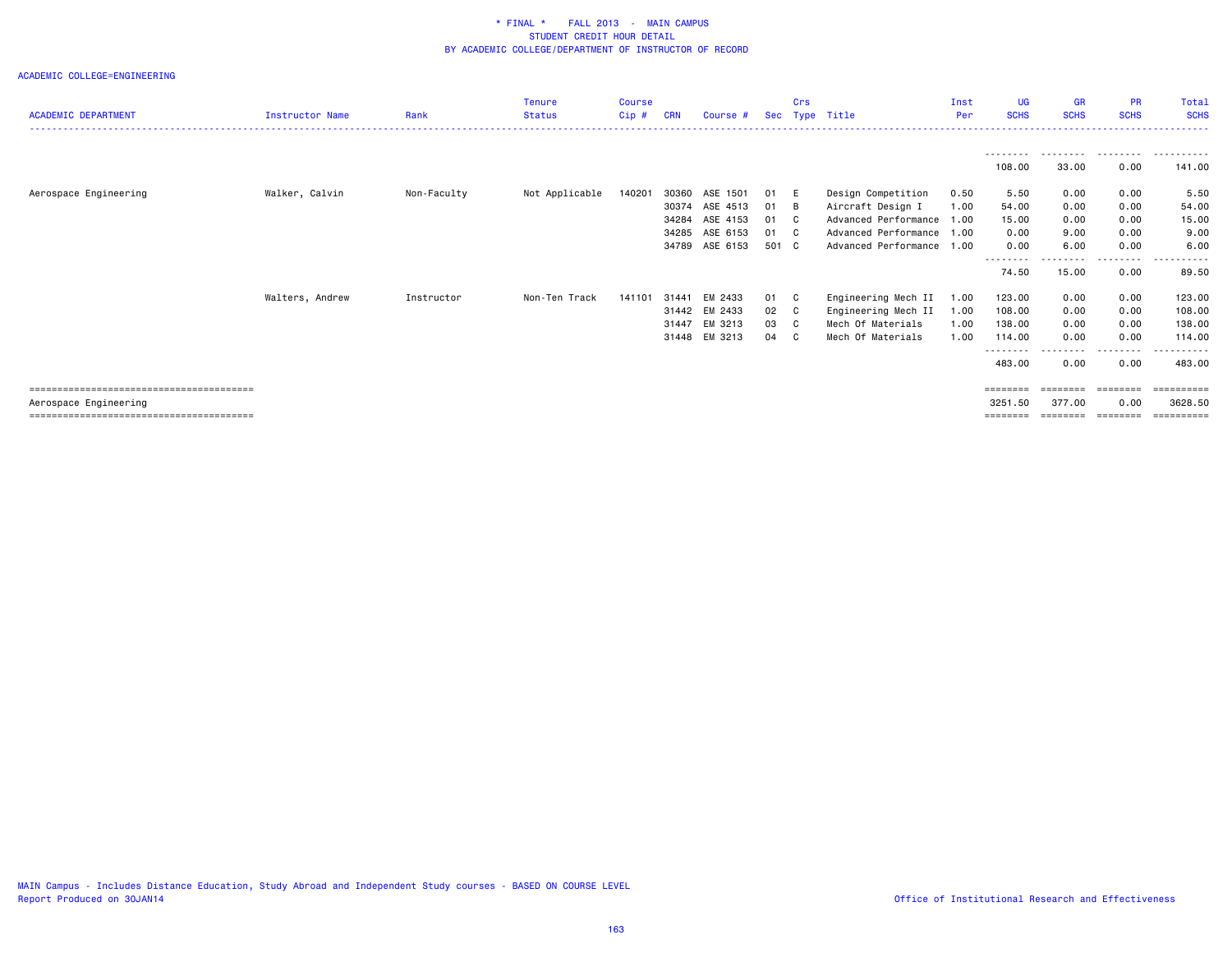|                            |                        |             | <b>Tenure</b>  | <b>Course</b> |            |          |       | Crs      |                      | Inst | <b>UG</b>           | <b>GR</b>   | <b>PR</b>   | Total       |
|----------------------------|------------------------|-------------|----------------|---------------|------------|----------|-------|----------|----------------------|------|---------------------|-------------|-------------|-------------|
| <b>ACADEMIC DEPARTMENT</b> | <b>Instructor Name</b> | Rank        | <b>Status</b>  | Cip#          | <b>CRN</b> | Course # |       |          | Sec Type Title       | Per  | <b>SCHS</b>         | <b>SCHS</b> | <b>SCHS</b> | <b>SCHS</b> |
|                            |                        |             |                |               |            |          |       |          |                      |      |                     |             |             |             |
|                            |                        |             |                |               |            |          |       |          |                      |      | ---------<br>108.00 | .<br>33.00  | .<br>0.00   | .<br>141.00 |
| Aerospace Engineering      | Walker, Calvin         | Non-Faculty | Not Applicable | 140201        | 30360      | ASE 1501 | 01    | - E      | Design Competition   | 0.50 | 5.50                | 0.00        | 0.00        | 5.50        |
|                            |                        |             |                |               | 30374      | ASE 4513 | 01    | - в      | Aircraft Design I    | 1.00 | 54.00               | 0.00        | 0.00        | 54.00       |
|                            |                        |             |                |               | 34284      | ASE 4153 | 01    | <b>C</b> | Advanced Performance | 1.00 | 15.00               | 0.00        | 0.00        | 15.00       |
|                            |                        |             |                |               | 34285      | ASE 6153 | 01    | C        | Advanced Performance | 1.00 | 0.00                | 9.00        | 0.00        | 9.00        |
|                            |                        |             |                |               | 34789      | ASE 6153 | 501 C |          | Advanced Performance | 1.00 | 0.00                | 6.00        | 0.00        | 6.00        |
|                            |                        |             |                |               |            |          |       |          |                      |      | --------<br>74.50   | 15.00       | .<br>0.00   | 89.50       |
|                            | Walters, Andrew        | Instructor  | Non-Ten Track  | 141101        | 31441      | EM 2433  | 01    | C.       | Engineering Mech II  | 1.00 | 123.00              | 0.00        | 0.00        | 123.00      |
|                            |                        |             |                |               | 31442      | EM 2433  | 02    | C.       | Engineering Mech II  | 1.00 | 108.00              | 0.00        | 0.00        | 108.00      |
|                            |                        |             |                |               | 31447      | EM 3213  | 03    | C        | Mech Of Materials    | 1.00 | 138.00              | 0.00        | 0.00        | 138.00      |
|                            |                        |             |                |               | 31448      | EM 3213  | 04    | C.       | Mech Of Materials    | 1.00 | 114.00              | 0.00        | 0.00        | 114.00      |
|                            |                        |             |                |               |            |          |       |          |                      |      | --------<br>483.00  | 0.00        | 0.00        | 483.00      |
|                            |                        |             |                |               |            |          |       |          |                      |      | ========            | ========    | ========    | ==========  |
| Aerospace Engineering      |                        |             |                |               |            |          |       |          |                      |      | 3251.50             | 377.00      | 0.00        | 3628.50     |
|                            |                        |             |                |               |            |          |       |          |                      |      | ========            | ========    | ========    | ==========  |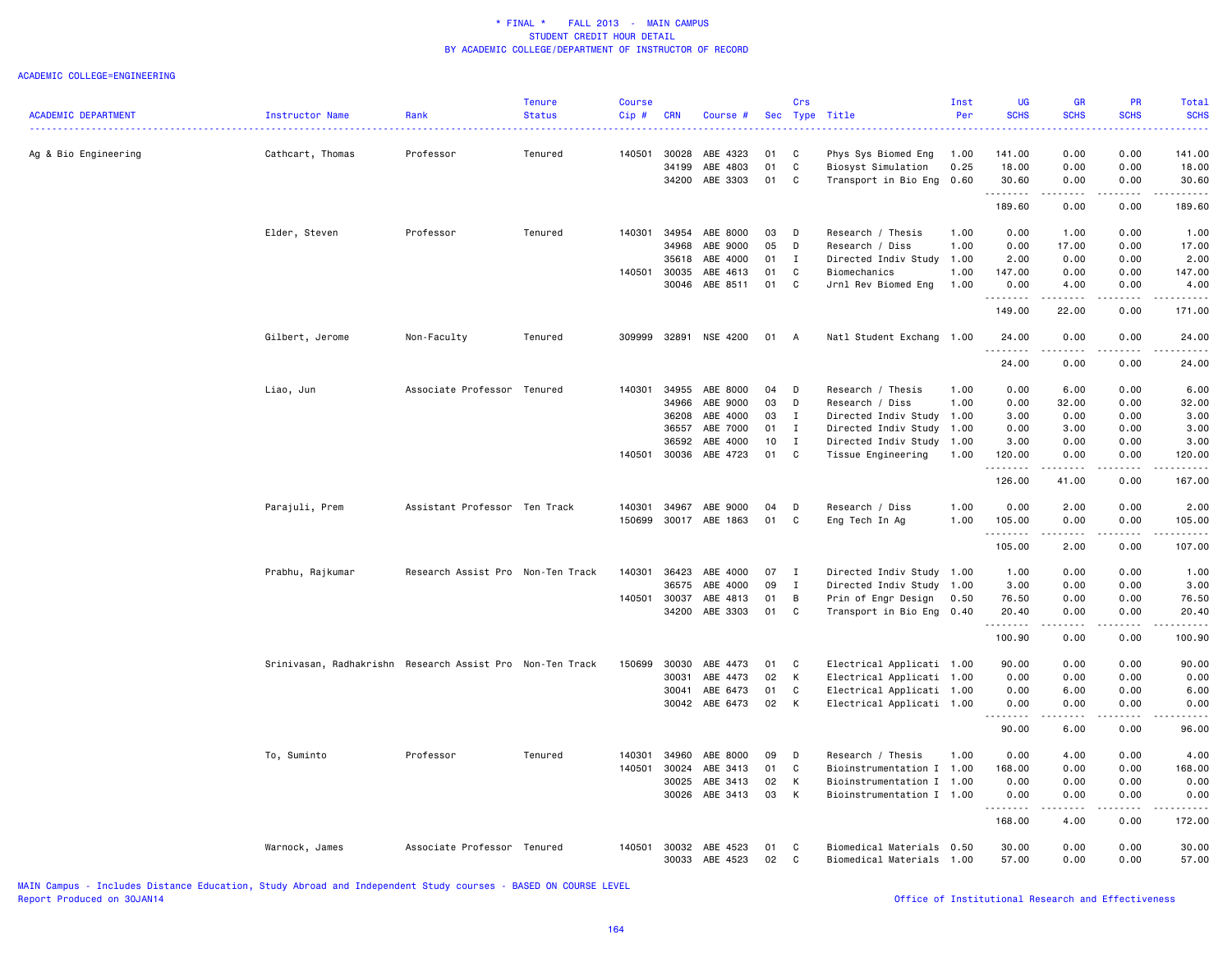#### ACADEMIC COLLEGE=ENGINEERING

|                            |                                                           |                                   | <b>Tenure</b> | <b>Course</b> |              |                            |          | Crs          |                                                   | Inst | <b>UG</b>                    | <b>GR</b>                                  | <b>PR</b>        | Total              |
|----------------------------|-----------------------------------------------------------|-----------------------------------|---------------|---------------|--------------|----------------------------|----------|--------------|---------------------------------------------------|------|------------------------------|--------------------------------------------|------------------|--------------------|
| <b>ACADEMIC DEPARTMENT</b> | <b>Instructor Name</b>                                    | Rank                              | <b>Status</b> | Cip#          | <b>CRN</b>   | Course #                   |          | Sec Type     | Title                                             | Per  | <b>SCHS</b>                  | <b>SCHS</b><br>$\sim$ $\sim$ $\sim$ $\sim$ | <b>SCHS</b><br>. | <b>SCHS</b><br>.   |
|                            |                                                           |                                   |               |               |              |                            |          |              |                                                   |      |                              |                                            |                  |                    |
| Ag & Bio Engineering       | Cathcart, Thomas                                          | Professor                         | Tenured       | 140501        | 30028        | ABE 4323                   | 01       | C            | Phys Sys Biomed Eng                               | 1.00 | 141.00                       | 0.00                                       | 0.00             | 141.00             |
|                            |                                                           |                                   |               |               | 34199        | ABE 4803                   | 01       | C            | Biosyst Simulation                                | 0.25 | 18.00                        | 0.00                                       | 0.00             | 18.00              |
|                            |                                                           |                                   |               |               | 34200        | ABE 3303                   | 01       | C            | Transport in Bio Eng                              | 0.60 | 30.60<br><u>.</u>            | 0.00                                       | 0.00             | 30.60              |
|                            |                                                           |                                   |               |               |              |                            |          |              |                                                   |      | 189.60                       | 0.00                                       | 0.00             | 189.60             |
|                            | Elder, Steven                                             | Professor                         | Tenured       | 140301        | 34954        | ABE 8000                   | 03       | D            | Research / Thesis                                 | 1.00 | 0.00                         | 1.00                                       | 0.00             | 1.00               |
|                            |                                                           |                                   |               |               | 34968        | ABE 9000                   | 05       | D            | Research / Diss                                   | 1.00 | 0.00                         | 17.00                                      | 0.00             | 17.00              |
|                            |                                                           |                                   |               |               | 35618        | ABE 4000                   | 01       | $\mathbf{I}$ | Directed Indiv Study 1.00                         |      | 2.00                         | 0.00                                       | 0.00             | 2.00               |
|                            |                                                           |                                   |               | 140501        | 30035        | ABE 4613                   | 01       | C            | Biomechanics                                      | 1.00 | 147.00                       | 0.00                                       | 0.00             | 147.00             |
|                            |                                                           |                                   |               |               | 30046        | ABE 8511                   | 01       | C            | Jrnl Rev Biomed Eng                               | 1.00 | 0.00                         | 4.00                                       | 0.00             | 4.00               |
|                            |                                                           |                                   |               |               |              |                            |          |              |                                                   |      | 149.00                       | 22.00                                      | 0.00             | 171.00             |
|                            | Gilbert, Jerome                                           | Non-Faculty                       | Tenured       | 309999        |              | 32891 NSE 4200             | 01       | A            | Natl Student Exchang 1.00                         |      | 24.00                        | 0.00                                       | 0.00             | 24.00              |
|                            |                                                           |                                   |               |               |              |                            |          |              |                                                   |      | .<br>24.00                   | $\omega$ is a set of<br>0.00               | 0.00             | 24.00              |
|                            |                                                           |                                   |               |               |              |                            |          |              |                                                   |      |                              |                                            |                  |                    |
|                            | Liao, Jun                                                 | Associate Professor               | Tenured       | 140301        | 34955        | ABE 8000                   | 04       | D            | Research / Thesis                                 | 1.00 | 0.00                         | 6.00                                       | 0.00             | 6.00               |
|                            |                                                           |                                   |               |               | 34966        | ABE 9000                   | 03       | D            | Research / Diss                                   | 1.00 | 0.00                         | 32.00                                      | 0.00             | 32.00              |
|                            |                                                           |                                   |               |               | 36208        | ABE 4000                   | 03       | $\mathbf{I}$ | Directed Indiv Study 1.00                         |      | 3.00                         | 0.00                                       | 0.00             | 3.00               |
|                            |                                                           |                                   |               |               | 36557        | ABE 7000                   | 01       | $\mathbf{I}$ | Directed Indiv Study                              | 1.00 | 0.00                         | 3.00                                       | 0.00             | 3.00               |
|                            |                                                           |                                   |               |               | 36592        | ABE 4000                   | 10       | $\mathbf{I}$ | Directed Indiv Study 1.00                         |      | 3.00                         | 0.00                                       | 0.00             | 3.00               |
|                            |                                                           |                                   |               |               | 140501 30036 | ABE 4723                   | 01       | C            | Tissue Engineering                                | 1.00 | 120.00                       | 0.00                                       | 0.00             | 120.00             |
|                            |                                                           |                                   |               |               |              |                            |          |              |                                                   |      | .<br>126.00                  | .<br>41.00                                 | -----<br>0.00    | <b>.</b><br>167.00 |
|                            | Parajuli, Prem                                            | Assistant Professor Ten Track     |               | 140301        | 34967        | ABE 9000                   | 04       | D            | Research / Diss                                   | 1.00 | 0.00                         | 2.00                                       | 0.00             | 2.00               |
|                            |                                                           |                                   |               | 150699        |              | 30017 ABE 1863             | 01       | C            | Eng Tech In Ag                                    | 1.00 | 105.00                       | 0.00                                       | 0.00             | 105.00             |
|                            |                                                           |                                   |               |               |              |                            |          |              |                                                   |      | .<br>105.00                  | <u>.</u><br>2.00                           | <b>.</b><br>0.00 | .<br>107.00        |
|                            |                                                           |                                   |               |               |              |                            |          |              |                                                   |      |                              |                                            |                  |                    |
|                            | Prabhu, Rajkumar                                          | Research Assist Pro Non-Ten Track |               | 140301        | 36423        | ABE 4000                   | 07       | $\mathbf{I}$ | Directed Indiv Study 1.00                         |      | 1.00                         | 0.00                                       | 0.00             | 1.00               |
|                            |                                                           |                                   |               |               | 36575        | ABE 4000                   | 09       | $\mathbf{I}$ | Directed Indiv Study 1.00                         |      | 3.00                         | 0.00                                       | 0.00             | 3.00               |
|                            |                                                           |                                   |               | 140501        | 30037        | ABE 4813                   | 01       | B            | Prin of Engr Design                               | 0.50 | 76.50                        | 0.00                                       | 0.00             | 76.50              |
|                            |                                                           |                                   |               |               | 34200        | ABE 3303                   | 01       | $\mathbf c$  | Transport in Bio Eng                              | 0.40 | 20.40<br>. <b>.</b>          | 0.00<br>.                                  | 0.00<br>.        | 20.40<br><u>.</u>  |
|                            |                                                           |                                   |               |               |              |                            |          |              |                                                   |      | 100.90                       | 0.00                                       | 0.00             | 100.90             |
|                            | Srinivasan, Radhakrishn Research Assist Pro Non-Ten Track |                                   |               | 150699        | 30030        | ABE 4473                   | 01       | C            | Electrical Applicati 1.00                         |      | 90.00                        | 0.00                                       | 0.00             | 90.00              |
|                            |                                                           |                                   |               |               | 30031        | ABE 4473                   | 02       | К            | Electrical Applicati 1.00                         |      | 0.00                         | 0.00                                       | 0.00             | 0.00               |
|                            |                                                           |                                   |               |               | 30041        | ABE 6473                   | 01       | $\mathbf c$  | Electrical Applicati 1.00                         |      | 0.00                         | 6.00                                       | 0.00             | 6.00               |
|                            |                                                           |                                   |               |               |              | 30042 ABE 6473             | 02       | K            | Electrical Applicati 1.00                         |      | 0.00<br>$\omega$ is a set of | 0.00<br>$\sim$ $\sim$ $\sim$               | 0.00<br>.        | 0.00               |
|                            |                                                           |                                   |               |               |              |                            |          |              |                                                   |      | 90.00                        | 6.00                                       | 0.00             | 96.00              |
|                            | To, Suminto                                               | Professor                         | Tenured       | 140301        | 34960        | ABE 8000                   | 09       | D            | Research / Thesis                                 | 1.00 | 0.00                         | 4.00                                       | 0.00             | 4.00               |
|                            |                                                           |                                   |               | 140501        | 30024        | ABE 3413                   | 01       | C            | Bioinstrumentation I 1.00                         |      | 168.00                       | 0.00                                       | 0.00             | 168.00             |
|                            |                                                           |                                   |               |               | 30025        | ABE 3413                   | 02       | K            | Bioinstrumentation I 1.00                         |      | 0.00                         | 0.00                                       | 0.00             | 0.00               |
|                            |                                                           |                                   |               |               | 30026        | ABE 3413                   | 03       | K            | Bioinstrumentation I 1.00                         |      | 0.00                         | 0.00                                       | 0.00             | 0.00               |
|                            |                                                           |                                   |               |               |              |                            |          |              |                                                   |      | .<br>168.00                  | $- - - - -$<br>4.00                        | .<br>0.00        | <u>.</u><br>172.00 |
|                            |                                                           |                                   |               |               |              |                            |          |              |                                                   |      |                              |                                            |                  |                    |
|                            | Warnock, James                                            | Associate Professor Tenured       |               | 140501        | 30032        | ABE 4523<br>30033 ABE 4523 | 01<br>02 | C<br>C       | Biomedical Materials<br>Biomedical Materials 1.00 | 0.50 | 30.00<br>57.00               | 0.00<br>0.00                               | 0.00<br>0.00     | 30.00<br>57.00     |
|                            |                                                           |                                   |               |               |              |                            |          |              |                                                   |      |                              |                                            |                  |                    |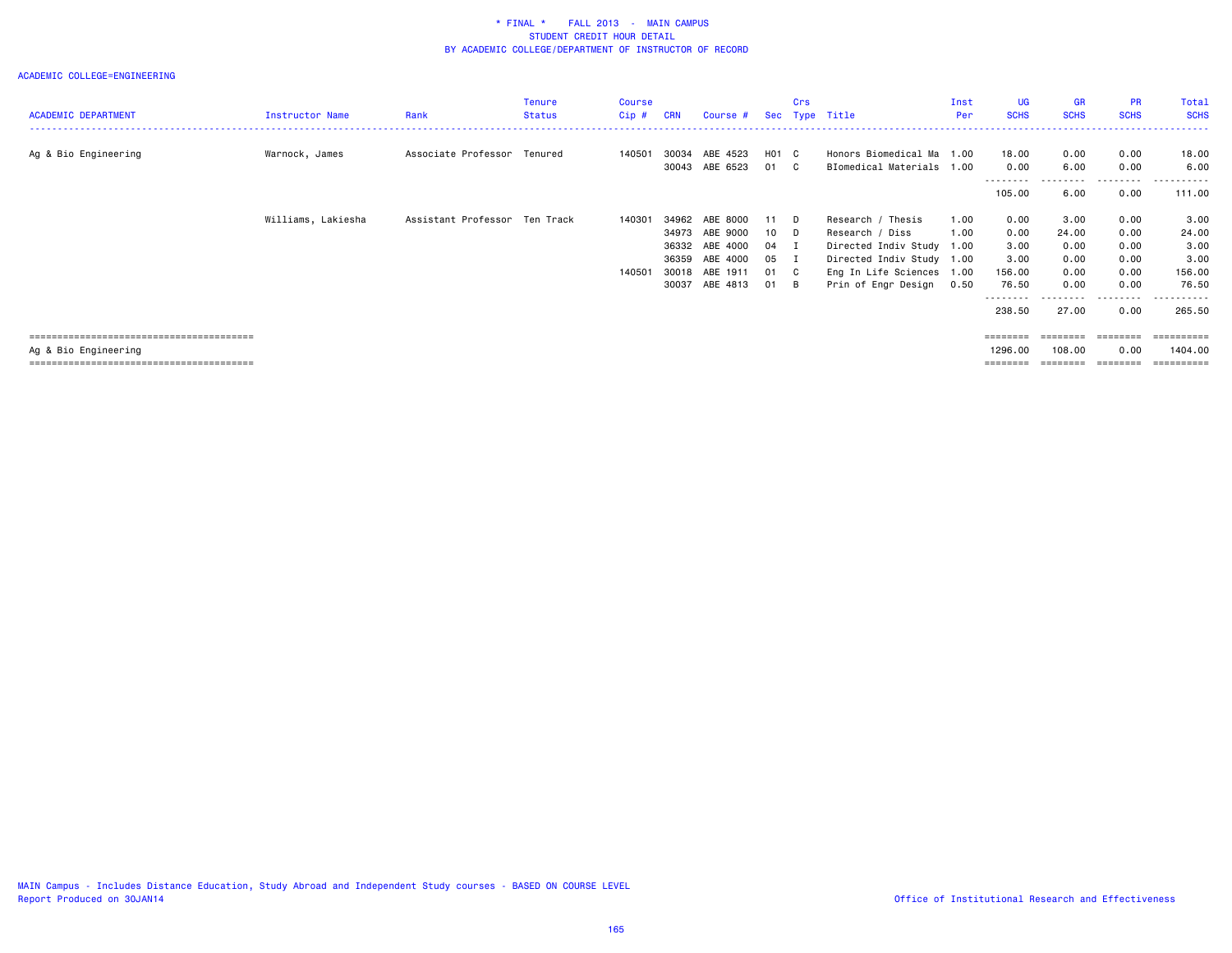| <b>ACADEMIC DEPARTMENT</b> | <b>Instructor Name</b> | Rank                          | Tenure<br><b>Status</b> | Course<br>Cip# | <b>CRN</b> | Course #       |                   | Crs | Sec Type Title            | Inst<br>Per | UG.<br><b>SCHS</b>  | <b>GR</b><br><b>SCHS</b> | <b>PR</b><br><b>SCHS</b> | Total<br><b>SCHS</b> |
|----------------------------|------------------------|-------------------------------|-------------------------|----------------|------------|----------------|-------------------|-----|---------------------------|-------------|---------------------|--------------------------|--------------------------|----------------------|
|                            |                        |                               |                         |                |            |                |                   |     |                           |             |                     |                          |                          |                      |
| Ag & Bio Engineering       | Warnock, James         | Associate Professor           | Tenured                 | 140501         | 30034      | ABE 4523       | H <sub>01</sub> C |     | Honors Biomedical Ma 1.00 |             | 18.00               | 0.00                     | 0.00                     | 18.00                |
|                            |                        |                               |                         |                | 30043      | ABE 6523       | 01 C              |     | BIomedical Materials 1.00 |             | 0.00                | 6.00                     | 0.00                     | 6.00                 |
|                            |                        |                               |                         |                |            |                |                   |     |                           |             | ---------<br>105.00 | 6.00                     | 0.00                     | 111.00               |
|                            | Williams, Lakiesha     | Assistant Professor Ten Track |                         | 140301         | 34962      | ABE 8000       | 11 D              |     | Research / Thesis         | 1.00        | 0.00                | 3.00                     | 0.00                     | 3.00                 |
|                            |                        |                               |                         |                | 34973      | ABE 9000       | 10 D              |     | Research / Diss           | 1.00        | 0.00                | 24.00                    | 0.00                     | 24.00                |
|                            |                        |                               |                         |                |            | 36332 ABE 4000 | 04 I              |     | Directed Indiv Study 1.00 |             | 3.00                | 0.00                     | 0.00                     | 3.00                 |
|                            |                        |                               |                         |                | 36359      | ABE 4000       | 05 I              |     | Directed Indiv Study 1.00 |             | 3.00                | 0.00                     | 0.00                     | 3.00                 |
|                            |                        |                               |                         | 140501         | 30018      | ABE 1911       | 01 C              |     | Eng In Life Sciences 1.00 |             | 156.00              | 0.00                     | 0.00                     | 156.00               |
|                            |                        |                               |                         |                | 30037      | ABE 4813       | 01 B              |     | Prin of Engr Design       | 0.50        | 76.50               | 0.00                     | 0.00                     | 76.50                |
|                            |                        |                               |                         |                |            |                |                   |     |                           |             | --------<br>238.50  | 27.00                    | 0.00                     | 265.50               |
|                            |                        |                               |                         |                |            |                |                   |     |                           |             | ========            | ========                 |                          |                      |
| Ag & Bio Engineering       |                        |                               |                         |                |            |                |                   |     |                           |             | 1296.00             | 108.00                   | 0.00                     | 1404.00              |
|                            |                        |                               |                         |                |            |                |                   |     |                           |             | ========            |                          |                          | ==========           |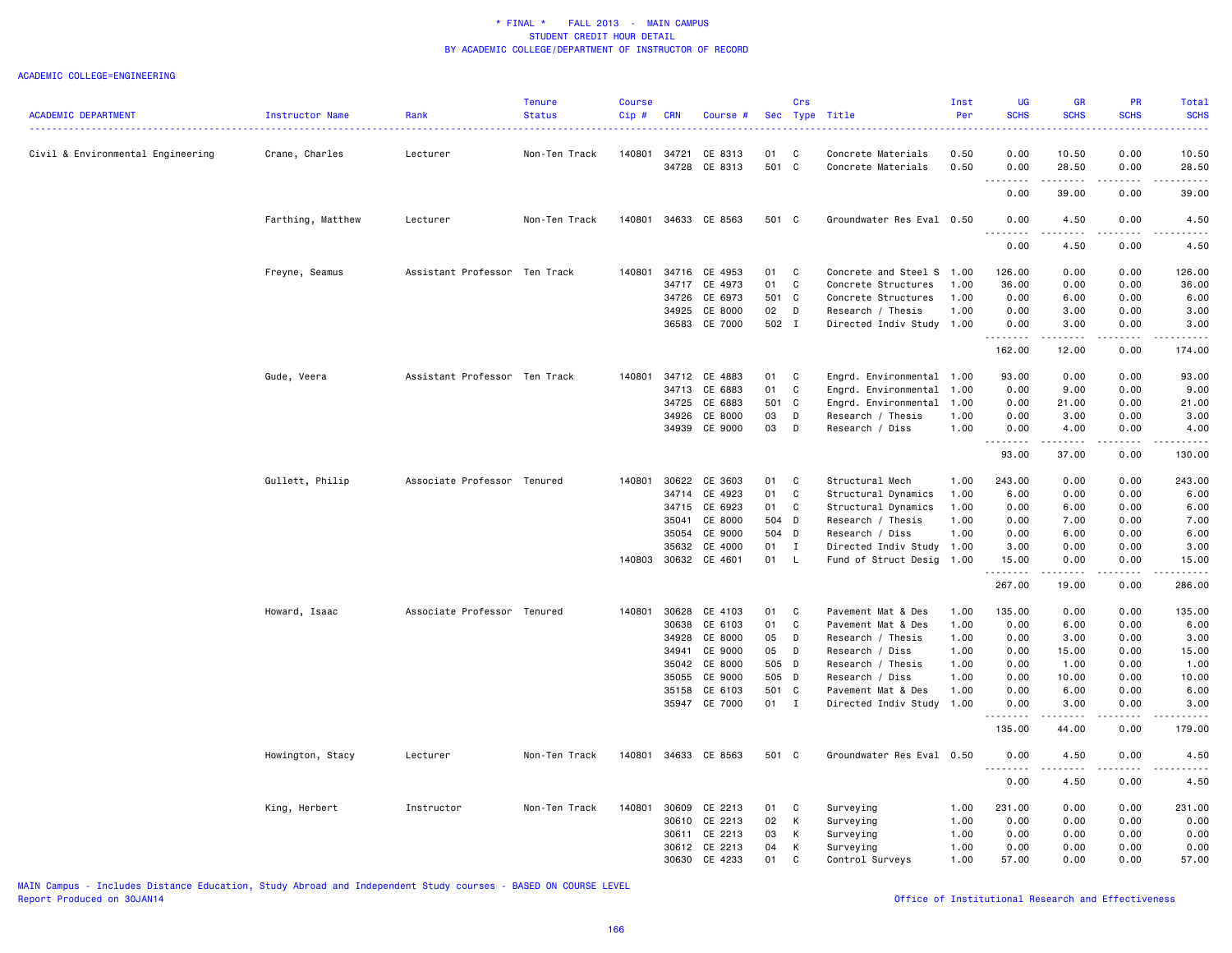#### ACADEMIC COLLEGE=ENGINEERING

|                                   |                   |                               | <b>Tenure</b> | <b>Course</b> |            |                      |        | Crs          |                           | Inst | <b>UG</b>        | <b>GR</b>                    | PR            | <b>Total</b>                                                                                                                                                 |
|-----------------------------------|-------------------|-------------------------------|---------------|---------------|------------|----------------------|--------|--------------|---------------------------|------|------------------|------------------------------|---------------|--------------------------------------------------------------------------------------------------------------------------------------------------------------|
| <b>ACADEMIC DEPARTMENT</b>        | Instructor Name   | Rank                          | <b>Status</b> | Cip#          | <b>CRN</b> | Course #             |        |              | Sec Type Title            | Per  | <b>SCHS</b>      | <b>SCHS</b>                  | <b>SCHS</b>   | <b>SCHS</b>                                                                                                                                                  |
| Civil & Environmental Engineering | Crane, Charles    | Lecturer                      | Non-Ten Track | 140801        |            | 34721 CE 8313        | 01     | C            | Concrete Materials        | 0.50 | 0.00             | 10.50                        | 0.00          | 10.50                                                                                                                                                        |
|                                   |                   |                               |               |               |            | 34728 CE 8313        | 501 C  |              | Concrete Materials        | 0.50 | 0.00<br>.        | 28.50<br>د د د د د           | 0.00<br>.     | 28.50                                                                                                                                                        |
|                                   |                   |                               |               |               |            |                      |        |              |                           |      | 0.00             | 39.00                        | 0.00          | 39.00                                                                                                                                                        |
|                                   | Farthing, Matthew | Lecturer                      | Non-Ten Track |               |            | 140801 34633 CE 8563 | 501 C  |              | Groundwater Res Eval 0.50 |      | 0.00             | 4.50                         | 0.00          | 4.50                                                                                                                                                         |
|                                   |                   |                               |               |               |            |                      |        |              |                           |      | 0.00             | 4.50                         | 0.00          | 4.50                                                                                                                                                         |
|                                   | Freyne, Seamus    | Assistant Professor Ten Track |               | 140801        |            | 34716 CE 4953        | 01     | $\mathbf{C}$ | Concrete and Steel S 1.00 |      | 126.00           | 0.00                         | 0.00          | 126.00                                                                                                                                                       |
|                                   |                   |                               |               |               |            | 34717 CE 4973        | 01     | C            | Concrete Structures       | 1.00 | 36.00            | 0.00                         | 0.00          | 36.00                                                                                                                                                        |
|                                   |                   |                               |               |               |            | 34726 CE 6973        | 501 C  |              | Concrete Structures       | 1.00 | 0.00             | 6.00                         | 0.00          | 6.00                                                                                                                                                         |
|                                   |                   |                               |               |               | 34925      | CE 8000              | 02     | D            | Research / Thesis         | 1.00 | 0.00             | 3.00                         | 0.00          | 3.00                                                                                                                                                         |
|                                   |                   |                               |               |               |            | 36583 CE 7000        | 502 I  |              | Directed Indiv Study 1.00 |      | 0.00<br>.        | 3.00<br>.                    | 0.00<br>.     | 3.00<br>.                                                                                                                                                    |
|                                   |                   |                               |               |               |            |                      |        |              |                           |      | 162.00           | 12.00                        | 0.00          | 174.00                                                                                                                                                       |
|                                   | Gude, Veera       | Assistant Professor Ten Track |               | 140801        |            | 34712 CE 4883        | 01     | C            | Engrd. Environmental 1.00 |      | 93.00            | 0.00                         | 0.00          | 93.00                                                                                                                                                        |
|                                   |                   |                               |               |               | 34713      | CE 6883              | 01     | C            | Engrd. Environmental 1.00 |      | 0.00             | 9.00                         | 0.00          | 9.00                                                                                                                                                         |
|                                   |                   |                               |               |               | 34725      | CE 6883              | 501 C  |              | Engrd. Environmental 1.00 |      | 0.00             | 21.00                        | 0.00          | 21.00                                                                                                                                                        |
|                                   |                   |                               |               |               | 34926      | CE 8000              | 03     | D            | Research / Thesis         | 1.00 | 0.00             | 3.00                         | 0.00          | 3.00                                                                                                                                                         |
|                                   |                   |                               |               |               |            | 34939 CE 9000        | 03     | D            | Research / Diss           | 1.00 | 0.00<br>.        | 4.00<br>د د د د د            | 0.00<br>.     | 4.00<br>$\frac{1}{2} \left( \frac{1}{2} \right) \left( \frac{1}{2} \right) \left( \frac{1}{2} \right) \left( \frac{1}{2} \right) \left( \frac{1}{2} \right)$ |
|                                   |                   |                               |               |               |            |                      |        |              |                           |      | 93.00            | 37.00                        | 0.00          | 130.00                                                                                                                                                       |
|                                   | Gullett, Philip   | Associate Professor Tenured   |               | 140801        | 30622      | CE 3603              | 01     | C            | Structural Mech           | 1.00 | 243.00           | 0.00                         | 0.00          | 243.00                                                                                                                                                       |
|                                   |                   |                               |               |               | 34714      | CE 4923              | 01     | C            | Structural Dynamics       | 1.00 | 6.00             | 0.00                         | 0.00          | 6.00                                                                                                                                                         |
|                                   |                   |                               |               |               | 34715      | CE 6923              | 01     | C            | Structural Dynamics       | 1.00 | 0.00             | 6.00                         | 0.00          | 6.00                                                                                                                                                         |
|                                   |                   |                               |               |               | 35041      | CE 8000              | 504 D  |              | Research / Thesis         | 1.00 | 0.00             | 7.00                         | 0.00          | 7.00                                                                                                                                                         |
|                                   |                   |                               |               |               | 35054      | CE 9000              | 504 D  |              | Research / Diss           | 1.00 | 0.00             | 6.00                         | 0.00          | 6.00                                                                                                                                                         |
|                                   |                   |                               |               |               | 35632      | CE 4000              | 01     | $\mathbf{I}$ | Directed Indiv Study 1.00 |      | 3.00             | 0.00                         | 0.00          | 3.00                                                                                                                                                         |
|                                   |                   |                               |               |               |            | 140803 30632 CE 4601 | 01     | L            | Fund of Struct Desig      | 1.00 | 15.00<br>.       | 0.00<br>$\omega$ is a set of | 0.00<br>.     | 15.00<br>.                                                                                                                                                   |
|                                   |                   |                               |               |               |            |                      |        |              |                           |      | 267.00           | 19.00                        | 0.00          | 286.00                                                                                                                                                       |
|                                   | Howard, Isaac     | Associate Professor Tenured   |               | 140801        |            | 30628 CE 4103        | 01     | <b>C</b>     | Pavement Mat & Des        | 1.00 | 135.00           | 0.00                         | 0.00          | 135.00                                                                                                                                                       |
|                                   |                   |                               |               |               | 30638      | CE 6103              | 01     | C            | Pavement Mat & Des        | 1.00 | 0.00             | 6.00                         | 0.00          | 6.00                                                                                                                                                         |
|                                   |                   |                               |               |               | 34928      | CE 8000              | 05     | D            | Research / Thesis         | 1.00 | 0.00             | 3.00                         | 0.00          | 3.00                                                                                                                                                         |
|                                   |                   |                               |               |               | 34941      | CE 9000              | 05     | D            | Research / Diss           | 1.00 | 0.00             | 15.00                        | 0.00          | 15.00                                                                                                                                                        |
|                                   |                   |                               |               |               |            | 35042 CE 8000        | 505 D  |              | Research / Thesis         | 1.00 | 0.00             | 1.00                         | 0.00          | 1.00                                                                                                                                                         |
|                                   |                   |                               |               |               |            | 35055 CE 9000        | 505 D  |              | Research / Diss           | 1.00 | 0.00             | 10.00                        | 0.00          | 10.00                                                                                                                                                        |
|                                   |                   |                               |               |               |            | 35158 CE 6103        | 501 C  |              | Pavement Mat & Des        | 1.00 | 0.00             | 6.00                         | 0.00          | 6.00                                                                                                                                                         |
|                                   |                   |                               |               |               |            | 35947 CE 7000        | $01$ I |              | Directed Indiv Study 1.00 |      | 0.00<br><u>.</u> | 3.00<br>.                    | 0.00<br>----- | 3.00<br>$\frac{1}{2}$                                                                                                                                        |
|                                   |                   |                               |               |               |            |                      |        |              |                           |      | 135.00           | 44.00                        | 0.00          | 179.00                                                                                                                                                       |
|                                   | Howington, Stacy  | Lecturer                      | Non-Ten Track |               |            | 140801 34633 CE 8563 | 501 C  |              | Groundwater Res Eval 0.50 |      | 0.00<br><u>.</u> | 4.50<br>.                    | 0.00<br>.     | 4.50                                                                                                                                                         |
|                                   |                   |                               |               |               |            |                      |        |              |                           |      | 0.00             | 4.50                         | 0.00          | 4.50                                                                                                                                                         |
|                                   | King, Herbert     | Instructor                    | Non-Ten Track | 140801        | 30609      | CE 2213              | 01     | C            | Surveying                 | 1.00 | 231.00           | 0.00                         | 0.00          | 231.00                                                                                                                                                       |
|                                   |                   |                               |               |               | 30610      | CE 2213              | 02     | K            | Surveying                 | 1.00 | 0.00             | 0.00                         | 0.00          | 0.00                                                                                                                                                         |
|                                   |                   |                               |               |               | 30611      | CE 2213              | 03     | K            | Surveying                 | 1.00 | 0.00             | 0.00                         | 0.00          | 0.00                                                                                                                                                         |
|                                   |                   |                               |               |               | 30612      | CE 2213              | 04     | K            | Surveying                 | 1.00 | 0.00             | 0.00                         | 0.00          | 0.00                                                                                                                                                         |
|                                   |                   |                               |               |               |            | 30630 CE 4233        | 01     | C            | Control Surveys           | 1.00 | 57.00            | 0.00                         | 0.00          | 57.00                                                                                                                                                        |

MAIN Campus - Includes Distance Education, Study Abroad and Independent Study courses - BASED ON COURSE LEVEL

Office of Institutional Research and Effectiveness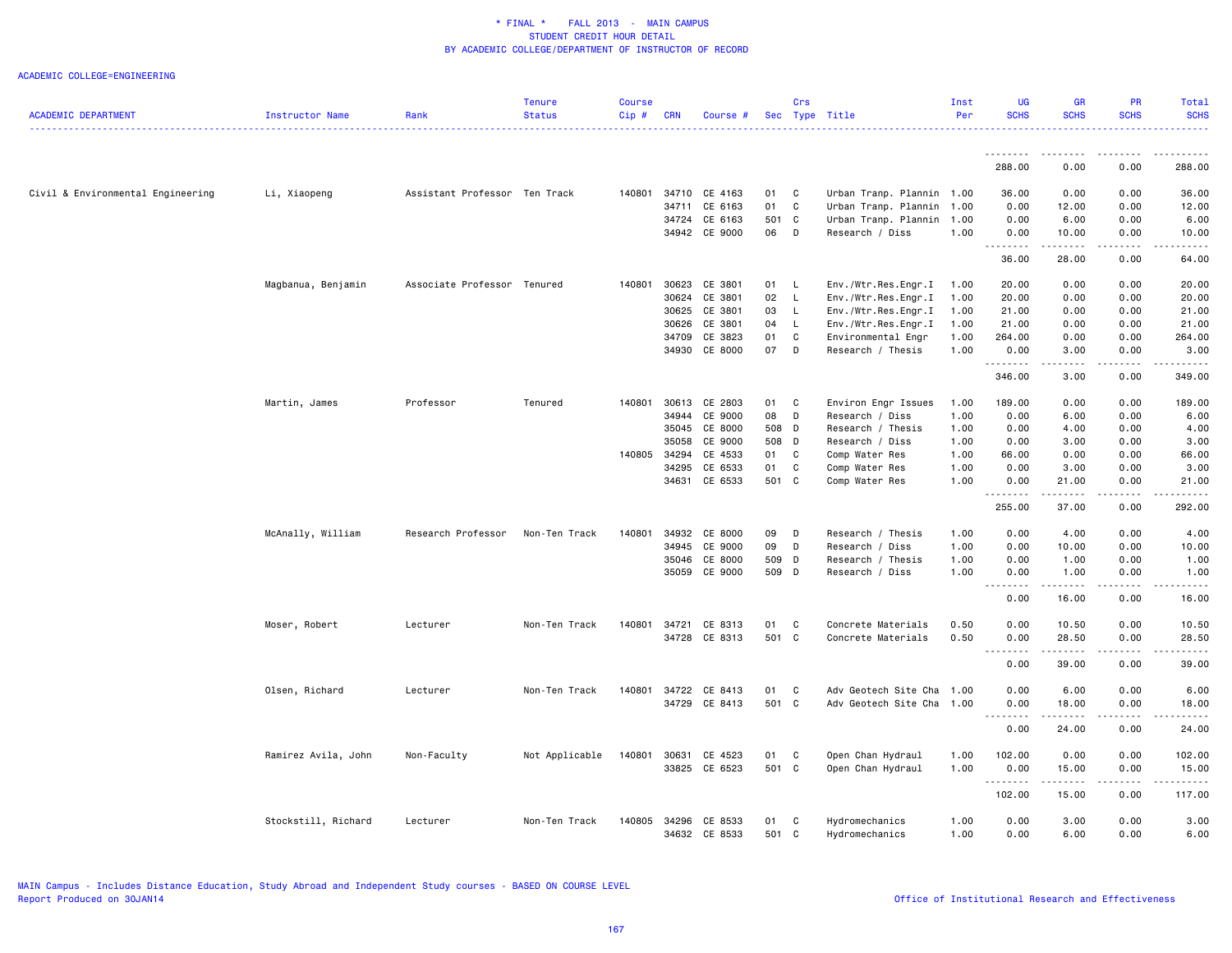|                                   |                     |                               | <b>Tenure</b>  | <b>Course</b> |            |                          |             | Crs          |                                         | Inst         | UG               | <b>GR</b>     | <b>PR</b>       | Total                  |
|-----------------------------------|---------------------|-------------------------------|----------------|---------------|------------|--------------------------|-------------|--------------|-----------------------------------------|--------------|------------------|---------------|-----------------|------------------------|
| <b>ACADEMIC DEPARTMENT</b>        | Instructor Name     | Rank                          | <b>Status</b>  | Cip#          | <b>CRN</b> | Course #                 |             |              | Sec Type Title                          | Per          | <b>SCHS</b>      | <b>SCHS</b>   | <b>SCHS</b>     | <b>SCHS</b><br>.       |
|                                   |                     |                               |                |               |            |                          |             |              |                                         |              |                  |               |                 |                        |
|                                   |                     |                               |                |               |            |                          |             |              |                                         |              | .<br>288.00      | .<br>0.00     | .<br>0.00       | .<br>288.00            |
| Civil & Environmental Engineering |                     | Assistant Professor Ten Track |                | 140801        |            | 34710 CE 4163            | 01          | $\mathbf{C}$ | Urban Tranp. Plannin 1.00               |              | 36.00            | 0.00          | 0.00            | 36.00                  |
|                                   | Li, Xiaopeng        |                               |                |               |            |                          | 01          | C            |                                         |              |                  |               |                 |                        |
|                                   |                     |                               |                |               | 34711      | CE 6163                  |             |              | Urban Tranp. Plannin                    | 1.00         | 0.00             | 12.00         | 0.00            | 12.00                  |
|                                   |                     |                               |                |               | 34724      | CE 6163<br>34942 CE 9000 | 501 C<br>06 | D            | Urban Tranp. Plannin<br>Research / Diss | 1.00<br>1.00 | 0.00<br>0.00     | 6.00<br>10.00 | 0.00<br>0.00    | 6.00<br>10.00          |
|                                   |                     |                               |                |               |            |                          |             |              |                                         |              | <b></b>          | . <b>.</b>    | .               | .                      |
|                                   |                     |                               |                |               |            |                          |             |              |                                         |              | 36.00            | 28.00         | 0.00            | 64.00                  |
|                                   | Magbanua, Benjamin  | Associate Professor Tenured   |                | 140801        | 30623      | CE 3801                  | 01          | L.           | Env./Wtr.Res.Engr.I                     | 1.00         | 20.00            | 0.00          | 0.00            | 20.00                  |
|                                   |                     |                               |                |               | 30624      | CE 3801                  | 02          | L.           | Env./Wtr.Res.Engr.I                     | 1.00         | 20.00            | 0.00          | 0.00            | 20.00                  |
|                                   |                     |                               |                |               | 30625      | CE 3801                  | 03          | $\mathsf{L}$ | Env./Wtr.Res.Engr.I                     | 1.00         | 21.00            | 0.00          | 0.00            | 21.00                  |
|                                   |                     |                               |                |               | 30626      | CE 3801                  | 04          | L.           | Env./Wtr.Res.Engr.I                     | 1.00         | 21.00            | 0.00          | 0.00            | 21.00                  |
|                                   |                     |                               |                |               | 34709      | CE 3823                  | 01          | C            | Environmental Engr                      | 1.00         | 264.00           | 0.00          | 0.00            | 264.00                 |
|                                   |                     |                               |                |               |            | 34930 CE 8000            | 07          | D            | Research / Thesis                       | 1.00         | 0.00<br><u>.</u> | 3.00<br>.     | 0.00<br>.       | 3.00<br>$- - - - - -$  |
|                                   |                     |                               |                |               |            |                          |             |              |                                         |              | 346.00           | 3.00          | 0.00            | 349.00                 |
|                                   | Martin, James       | Professor                     | Tenured        | 140801        | 30613      | CE 2803                  | 01          | $\mathbf{C}$ | Environ Engr Issues                     | 1.00         | 189.00           | 0.00          | 0.00            | 189.00                 |
|                                   |                     |                               |                |               | 34944      | CE 9000                  | 08          | D            | Research / Diss                         | 1.00         | 0.00             | 6.00          | 0.00            | 6.00                   |
|                                   |                     |                               |                |               | 35045      | CE 8000                  | 508 D       |              | Research / Thesis                       | 1.00         | 0.00             | 4.00          | 0.00            | 4.00                   |
|                                   |                     |                               |                |               | 35058      | CE 9000                  | 508 D       |              | Research / Diss                         | 1.00         | 0.00             | 3.00          | 0.00            | 3.00                   |
|                                   |                     |                               |                | 140805        | 34294      | CE 4533                  | 01          | $\mathbf{C}$ | Comp Water Res                          | 1.00         | 66.00            | 0.00          | 0.00            | 66.00                  |
|                                   |                     |                               |                |               | 34295      | CE 6533                  | 01          | $\mathbf c$  | Comp Water Res                          | 1.00         | 0.00             | 3.00          | 0.00            | 3.00                   |
|                                   |                     |                               |                |               | 34631      | CE 6533                  | 501 C       |              | Comp Water Res                          | 1.00         | 0.00             | 21.00         | 0.00            | 21.00                  |
|                                   |                     |                               |                |               |            |                          |             |              |                                         |              | .<br>255.00      | .<br>37.00    | .<br>0.00       | .<br>292.00            |
|                                   | McAnally, William   | Research Professor            | Non-Ten Track  | 140801        | 34932      | CE 8000                  | 09          | D            | Research / Thesis                       | 1.00         | 0.00             | 4.00          | 0.00            | 4.00                   |
|                                   |                     |                               |                |               | 34945      | CE 9000                  | 09          | D            | Research / Diss                         | 1.00         | 0.00             | 10.00         | 0.00            | 10.00                  |
|                                   |                     |                               |                |               | 35046      | CE 8000                  | 509 D       |              | Research / Thesis                       | 1.00         | 0.00             | 1.00          | 0.00            | 1.00                   |
|                                   |                     |                               |                |               | 35059      | CE 9000                  | 509 D       |              | Research / Diss                         | 1.00         | 0.00             | 1.00          | 0.00            | 1.00                   |
|                                   |                     |                               |                |               |            |                          |             |              |                                         |              | . <b>.</b>       | . <b>.</b>    | .               | .                      |
|                                   |                     |                               |                |               |            |                          |             |              |                                         |              | 0.00             | 16.00         | 0.00            | 16.00                  |
|                                   | Moser, Robert       | Lecturer                      | Non-Ten Track  | 140801        | 34721      | CE 8313                  | 01          | C            | Concrete Materials                      | 0.50         | 0.00             | 10.50         | 0.00            | 10.50                  |
|                                   |                     |                               |                |               |            | 34728 CE 8313            | 501 C       |              | Concrete Materials                      | 0.50         | 0.00<br>----     | 28.50<br>.    | 0.00            | 28.50<br>$\frac{1}{2}$ |
|                                   |                     |                               |                |               |            |                          |             |              |                                         |              | 0.00             | 39.00         | 0.00            | 39.00                  |
|                                   | Olsen, Richard      | Lecturer                      | Non-Ten Track  | 140801        |            | 34722 CE 8413            | 01          | $\mathbf{C}$ | Adv Geotech Site Cha 1.00               |              | 0.00             | 6.00          | 0.00            | 6.00                   |
|                                   |                     |                               |                |               |            | 34729 CE 8413            | 501 C       |              | Adv Geotech Site Cha                    | 1.00         | 0.00             | 18.00         | 0.00            | 18.00                  |
|                                   |                     |                               |                |               |            |                          |             |              |                                         |              | 0.00             | 24.00         | بالمحام<br>0.00 | ه د د د د<br>24.00     |
|                                   | Ramirez Avila, John | Non-Faculty                   | Not Applicable | 140801        | 30631      | CE 4523                  | 01          | $\mathbf{C}$ | Open Chan Hydraul                       | 1.00         | 102.00           | 0.00          | 0.00            | 102.00                 |
|                                   |                     |                               |                |               |            | 33825 CE 6523            | 501 C       |              | Open Chan Hydraul                       | 1.00         | 0.00             | 15.00         | 0.00            | 15.00                  |
|                                   |                     |                               |                |               |            |                          |             |              |                                         |              | .<br>102.00      | .<br>15.00    | .<br>0.00       | .<br>117.00            |
|                                   |                     |                               |                | 140805        | 34296      |                          | 01          |              |                                         |              |                  |               |                 |                        |
|                                   | Stockstill, Richard | Lecturer                      | Non-Ten Track  |               |            | CE 8533<br>34632 CE 8533 | 501 C       | C            | Hydromechanics<br>Hydromechanics        | 1.00<br>1.00 | 0.00<br>0.00     | 3.00<br>6.00  | 0.00<br>0.00    | 3.00<br>6.00           |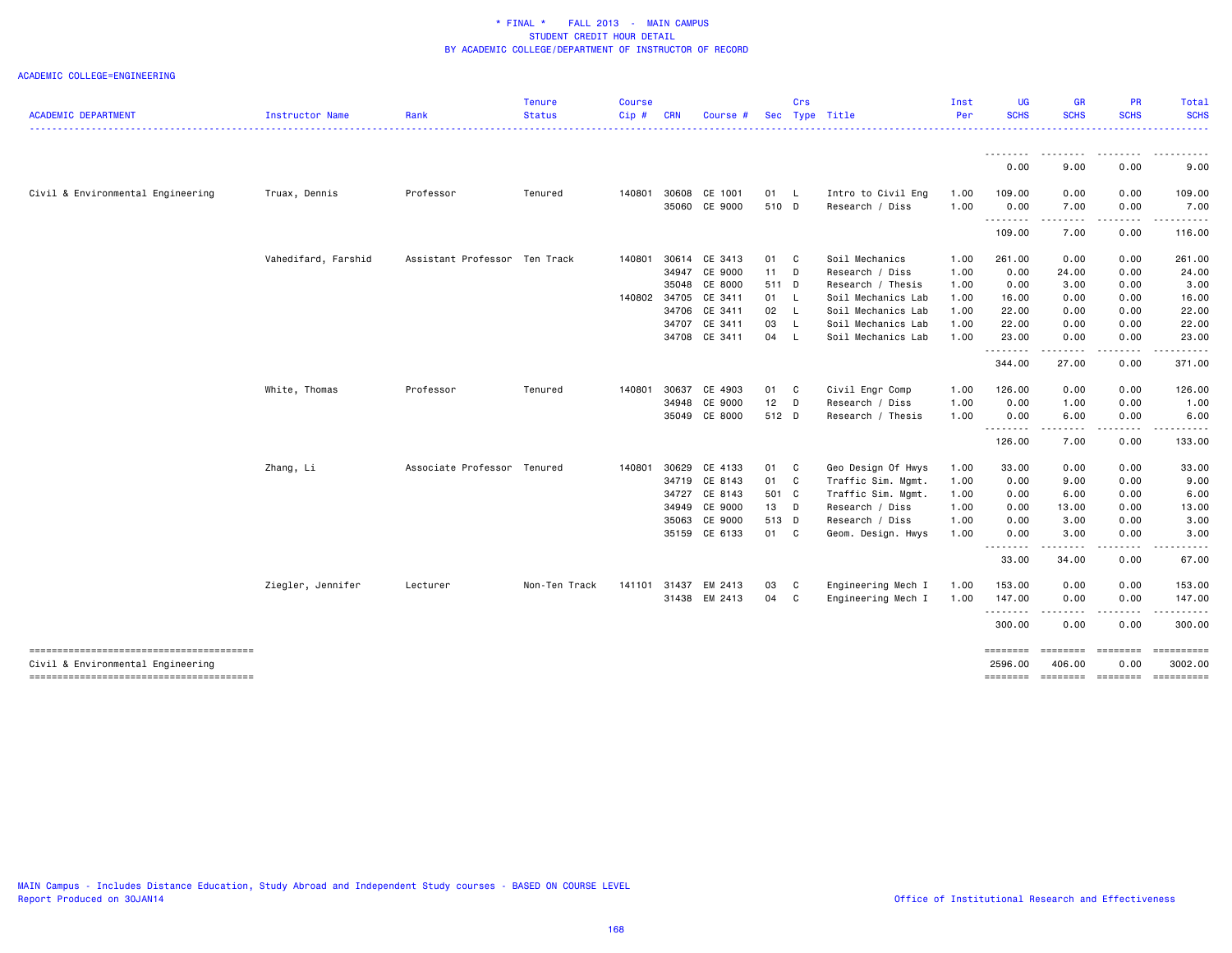|                                        |                     |                               | <b>Tenure</b> | <b>Course</b> |            |                      |        | Crs          |                    | Inst | <b>UG</b>                                                                                                                                                                                                                                                                                                                                                                                                         | <b>GR</b>                                                                                                                                                    | PR               | Total       |
|----------------------------------------|---------------------|-------------------------------|---------------|---------------|------------|----------------------|--------|--------------|--------------------|------|-------------------------------------------------------------------------------------------------------------------------------------------------------------------------------------------------------------------------------------------------------------------------------------------------------------------------------------------------------------------------------------------------------------------|--------------------------------------------------------------------------------------------------------------------------------------------------------------|------------------|-------------|
| <b>ACADEMIC DEPARTMENT</b>             | Instructor Name     | Rank                          | <b>Status</b> | $Cip$ #       | <b>CRN</b> | Course #             |        |              | Sec Type Title     | Per  | <b>SCHS</b>                                                                                                                                                                                                                                                                                                                                                                                                       | <b>SCHS</b>                                                                                                                                                  | <b>SCHS</b>      | <b>SCHS</b> |
|                                        |                     |                               |               |               |            |                      |        |              |                    |      | --------                                                                                                                                                                                                                                                                                                                                                                                                          |                                                                                                                                                              |                  |             |
|                                        |                     |                               |               |               |            |                      |        |              |                    |      | 0.00                                                                                                                                                                                                                                                                                                                                                                                                              | 9.00                                                                                                                                                         | 0.00             | 9.00        |
| Civil & Environmental Engineering      | Truax, Dennis       | Professor                     | Tenured       | 140801        |            | 30608 CE 1001        | 01 L   |              | Intro to Civil Eng | 1.00 | 109.00                                                                                                                                                                                                                                                                                                                                                                                                            | 0.00                                                                                                                                                         | 0.00             | 109.00      |
|                                        |                     |                               |               |               |            | 35060 CE 9000        | 510 D  |              | Research / Diss    | 1.00 | 0.00<br>.                                                                                                                                                                                                                                                                                                                                                                                                         | 7.00<br>- - - -                                                                                                                                              | 0.00<br>$\cdots$ | 7.00        |
|                                        |                     |                               |               |               |            |                      |        |              |                    |      | 109.00                                                                                                                                                                                                                                                                                                                                                                                                            | 7.00                                                                                                                                                         | 0.00             | 116.00      |
|                                        | Vahedifard, Farshid | Assistant Professor Ten Track |               | 140801        | 30614      | CE 3413              | 01 C   |              | Soil Mechanics     | 1.00 | 261.00                                                                                                                                                                                                                                                                                                                                                                                                            | 0.00                                                                                                                                                         | 0.00             | 261.00      |
|                                        |                     |                               |               |               |            | 34947 CE 9000        | $11$ D |              | Research / Diss    | 1.00 | 0.00                                                                                                                                                                                                                                                                                                                                                                                                              | 24.00                                                                                                                                                        | 0.00             | 24.00       |
|                                        |                     |                               |               |               | 35048      | CE 8000              | 511 D  |              | Research / Thesis  | 1.00 | 0.00                                                                                                                                                                                                                                                                                                                                                                                                              | 3.00                                                                                                                                                         | 0.00             | 3.00        |
|                                        |                     |                               |               |               |            | 140802 34705 CE 3411 | 01 L   |              | Soil Mechanics Lab | 1.00 | 16.00                                                                                                                                                                                                                                                                                                                                                                                                             | 0.00                                                                                                                                                         | 0.00             | 16.00       |
|                                        |                     |                               |               |               |            | 34706 CE 3411        | 02     | <b>L</b>     | Soil Mechanics Lab | 1.00 | 22.00                                                                                                                                                                                                                                                                                                                                                                                                             | 0.00                                                                                                                                                         | 0.00             | 22.00       |
|                                        |                     |                               |               |               | 34707      | CE 3411              | 03     | L.           | Soil Mechanics Lab | 1.00 | 22.00                                                                                                                                                                                                                                                                                                                                                                                                             | 0.00                                                                                                                                                         | 0.00             | 22.00       |
|                                        |                     |                               |               |               |            | 34708 CE 3411        | 04     | -L           | Soil Mechanics Lab | 1.00 | 23.00<br>.                                                                                                                                                                                                                                                                                                                                                                                                        | 0.00<br>والأساء                                                                                                                                              | 0.00             | 23.00       |
|                                        |                     |                               |               |               |            |                      |        |              |                    |      | 344.00                                                                                                                                                                                                                                                                                                                                                                                                            | 27.00                                                                                                                                                        | 0.00             | 371.00      |
|                                        | White, Thomas       | Professor                     | Tenured       | 140801        | 30637      | CE 4903              | 01 C   |              | Civil Engr Comp    | 1.00 | 126.00                                                                                                                                                                                                                                                                                                                                                                                                            | 0.00                                                                                                                                                         | 0.00             | 126.00      |
|                                        |                     |                               |               |               | 34948      | CE 9000              | $12$ D |              | Research / Diss    | 1.00 | 0.00                                                                                                                                                                                                                                                                                                                                                                                                              | 1.00                                                                                                                                                         | 0.00             | 1.00        |
|                                        |                     |                               |               |               |            | 35049 CE 8000        | 512 D  |              | Research / Thesis  | 1.00 | 0.00                                                                                                                                                                                                                                                                                                                                                                                                              | 6.00                                                                                                                                                         | 0.00             | 6.00        |
|                                        |                     |                               |               |               |            |                      |        |              |                    |      | .<br>126.00                                                                                                                                                                                                                                                                                                                                                                                                       | $\frac{1}{2} \frac{1}{2} \frac{1}{2} \frac{1}{2} \frac{1}{2} \frac{1}{2} \frac{1}{2} \frac{1}{2}$<br>7.00                                                    | .<br>0.00        | 133.00      |
|                                        | Zhang, Li           | Associate Professor Tenured   |               | 140801        | 30629      | CE 4133              | 01 C   |              | Geo Design Of Hwys | 1.00 | 33.00                                                                                                                                                                                                                                                                                                                                                                                                             | 0.00                                                                                                                                                         | 0.00             | 33.00       |
|                                        |                     |                               |               |               |            | 34719 CE 8143        | 01 C   |              | Traffic Sim. Mgmt. | 1.00 | 0.00                                                                                                                                                                                                                                                                                                                                                                                                              | 9.00                                                                                                                                                         | 0.00             | 9.00        |
|                                        |                     |                               |               |               | 34727      | CE 8143              | 501 C  |              | Traffic Sim. Mgmt. | 1.00 | 0.00                                                                                                                                                                                                                                                                                                                                                                                                              | 6.00                                                                                                                                                         | 0.00             | 6.00        |
|                                        |                     |                               |               |               | 34949      | CE 9000              | 13 D   |              | Research / Diss    | 1.00 | 0.00                                                                                                                                                                                                                                                                                                                                                                                                              | 13.00                                                                                                                                                        | 0.00             | 13.00       |
|                                        |                     |                               |               |               |            | 35063 CE 9000        | 513 D  |              | Research / Diss    | 1.00 | 0.00                                                                                                                                                                                                                                                                                                                                                                                                              | 3.00                                                                                                                                                         | 0.00             | 3.00        |
|                                        |                     |                               |               |               |            | 35159 CE 6133        | 01 C   |              | Geom. Design. Hwys | 1.00 | 0.00                                                                                                                                                                                                                                                                                                                                                                                                              | 3.00                                                                                                                                                         | 0.00             | 3.00        |
|                                        |                     |                               |               |               |            |                      |        |              |                    |      | $\cdots$<br>$\frac{1}{2} \frac{1}{2} \frac{1}{2} \frac{1}{2} \frac{1}{2} \frac{1}{2} \frac{1}{2} \frac{1}{2} \frac{1}{2} \frac{1}{2} \frac{1}{2} \frac{1}{2} \frac{1}{2} \frac{1}{2} \frac{1}{2} \frac{1}{2} \frac{1}{2} \frac{1}{2} \frac{1}{2} \frac{1}{2} \frac{1}{2} \frac{1}{2} \frac{1}{2} \frac{1}{2} \frac{1}{2} \frac{1}{2} \frac{1}{2} \frac{1}{2} \frac{1}{2} \frac{1}{2} \frac{1}{2} \frac{$<br>33.00 | 34.00                                                                                                                                                        | 0.00             | 67.00       |
|                                        | Ziegler, Jennifer   | Lecturer                      | Non-Ten Track | 141101        |            | 31437 EM 2413        | 03     | C            | Engineering Mech I | 1.00 | 153.00                                                                                                                                                                                                                                                                                                                                                                                                            | 0.00                                                                                                                                                         | 0.00             | 153.00      |
|                                        |                     |                               |               |               |            | 31438 EM 2413        | 04     | $\mathbf{C}$ | Engineering Mech I | 1.00 | 147.00                                                                                                                                                                                                                                                                                                                                                                                                            | 0.00                                                                                                                                                         | 0.00             | 147.00      |
|                                        |                     |                               |               |               |            |                      |        |              |                    |      | .<br>300.00                                                                                                                                                                                                                                                                                                                                                                                                       | $\frac{1}{2} \left( \frac{1}{2} \right) \left( \frac{1}{2} \right) \left( \frac{1}{2} \right) \left( \frac{1}{2} \right) \left( \frac{1}{2} \right)$<br>0.00 | ----<br>0.00     | 300.00      |
| -------------------------------------- |                     |                               |               |               |            |                      |        |              |                    |      | ========                                                                                                                                                                                                                                                                                                                                                                                                          | <b>ESSESSE</b>                                                                                                                                               | <b>ESSESSES</b>  | ==========  |
| Civil & Environmental Engineering      |                     |                               |               |               |            |                      |        |              |                    |      | 2596.00                                                                                                                                                                                                                                                                                                                                                                                                           | 406.00                                                                                                                                                       | 0.00             | 3002.00     |
|                                        |                     |                               |               |               |            |                      |        |              |                    |      | ========                                                                                                                                                                                                                                                                                                                                                                                                          | ======== ========                                                                                                                                            |                  | ==========  |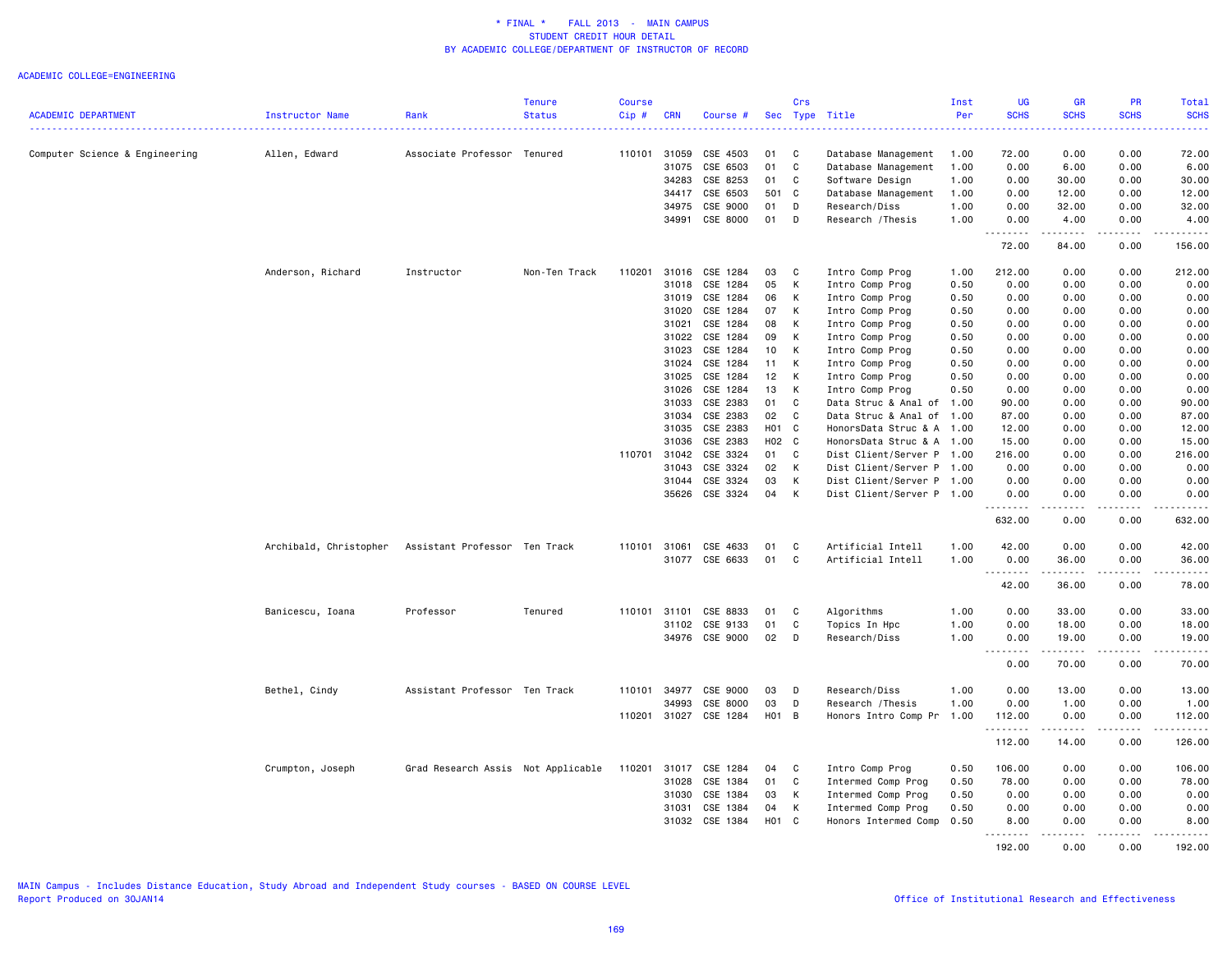|                                |                        |                                    | <b>Tenure</b> | Course |                |                      |          | Crs            |                                            | Inst         | <b>UG</b>     | <b>GR</b>           | PR                | Total               |
|--------------------------------|------------------------|------------------------------------|---------------|--------|----------------|----------------------|----------|----------------|--------------------------------------------|--------------|---------------|---------------------|-------------------|---------------------|
| <b>ACADEMIC DEPARTMENT</b>     | Instructor Name        | Rank                               | <b>Status</b> | Cip#   | <b>CRN</b>     | Course #             |          |                | Sec Type Title                             | Per          | <b>SCHS</b>   | <b>SCHS</b>         | <b>SCHS</b>       | <b>SCHS</b>         |
|                                |                        |                                    |               |        |                |                      |          |                |                                            |              |               |                     |                   |                     |
| Computer Science & Engineering | Allen, Edward          | Associate Professor Tenured        |               | 110101 | 31059<br>31075 | CSE 4503<br>CSE 6503 | 01<br>01 | C<br>C         | Database Management<br>Database Management | 1.00<br>1.00 | 72.00<br>0.00 | 0.00<br>6.00        | 0.00<br>0.00      | 72.00<br>6.00       |
|                                |                        |                                    |               |        | 34283          | CSE 8253             | 01       | C              | Software Design                            | 1.00         | 0.00          | 30.00               | 0.00              | 30.00               |
|                                |                        |                                    |               |        | 34417          | CSE 6503             | 501      | C              | Database Management                        | 1.00         | 0.00          | 12.00               | 0.00              | 12.00               |
|                                |                        |                                    |               |        | 34975          | CSE 9000             | 01       | D              | Research/Diss                              | 1.00         | 0.00          | 32.00               | 0.00              | 32.00               |
|                                |                        |                                    |               |        | 34991          | CSE 8000             | 01       | D              | Research / Thesis                          | 1.00         | 0.00          | 4.00                | 0.00              | 4.00                |
|                                |                        |                                    |               |        |                |                      |          |                |                                            |              | .<br>72.00    | -----<br>84.00      | .<br>0.00         | .<br>156.00         |
|                                | Anderson, Richard      | Instructor                         | Non-Ten Track | 110201 | 31016          | CSE 1284             | 03       | C              | Intro Comp Prog                            | 1.00         | 212.00        | 0.00                | 0.00              | 212.00              |
|                                |                        |                                    |               |        | 31018          | CSE 1284             | 05       | К              | Intro Comp Prog                            | 0.50         | 0.00          | 0.00                | 0.00              | 0.00                |
|                                |                        |                                    |               |        | 31019          | CSE 1284             | 06       | К              | Intro Comp Prog                            | 0.50         | 0.00          | 0.00                | 0.00              | 0.00                |
|                                |                        |                                    |               |        | 31020          | CSE 1284             | 07       | К              | Intro Comp Prog                            | 0.50         | 0.00          | 0.00                | 0.00              | 0.00                |
|                                |                        |                                    |               |        | 31021          | CSE 1284             | 08       | K              | Intro Comp Prog                            | 0.50         | 0.00          | 0.00                | 0.00              | 0.00                |
|                                |                        |                                    |               |        | 31022          | CSE 1284             | 09       | К              | Intro Comp Prog                            | 0.50         | 0.00          | 0.00                | 0.00              | 0.00                |
|                                |                        |                                    |               |        | 31023          | CSE 1284             | 10       | К              | Intro Comp Prog                            | 0.50         | 0.00          | 0.00                | 0.00              | 0.00                |
|                                |                        |                                    |               |        | 31024          | CSE 1284             | 11       | К              | Intro Comp Prog                            | 0.50         | 0.00          | 0.00                | 0.00              | 0.00                |
|                                |                        |                                    |               |        | 31025          | CSE 1284             | 12       | К              | Intro Comp Prog                            | 0.50         | 0.00          | 0.00                | 0.00              | 0.00                |
|                                |                        |                                    |               |        | 31026          | CSE 1284             | 13       | K              | Intro Comp Prog                            | 0.50         | 0.00          | 0.00                | 0.00              | 0.00                |
|                                |                        |                                    |               |        | 31033          | CSE 2383             | 01       | C              | Data Struc & Anal of 1.00                  |              | 90.00         | 0.00                | 0.00              | 90.00               |
|                                |                        |                                    |               |        | 31034          | CSE 2383             | 02       | C              | Data Struc & Anal of 1.00                  |              | 87.00         | 0.00                | 0.00              | 87.00               |
|                                |                        |                                    |               |        | 31035          | CSE 2383             | H01      | C              | HonorsData Struc & A 1.00                  |              | 12.00         | 0.00                | 0.00              | 12.00               |
|                                |                        |                                    |               |        | 31036          | CSE 2383             | H02 C    |                | HonorsData Struc & A 1.00                  |              | 15.00         | 0.00                | 0.00              | 15.00               |
|                                |                        |                                    |               |        | 110701 31042   | CSE 3324             | 01       | C              | Dist Client/Server P 1.00                  |              | 216.00        | 0.00                | 0.00              | 216.00              |
|                                |                        |                                    |               |        | 31043          | CSE 3324             | 02       | К              | Dist Client/Server P 1.00                  |              | 0.00          | 0.00                | 0.00              | 0.00                |
|                                |                        |                                    |               |        | 31044          | CSE 3324             | 03       | К              | Dist Client/Server P 1.00                  |              | 0.00          | 0.00                | 0.00              | 0.00                |
|                                |                        |                                    |               |        | 35626          | CSE 3324             | 04       | К              | Dist Client/Server P 1.00                  |              | 0.00<br>.     | 0.00<br>$- - - - -$ | 0.00<br>.         | 0.00<br>.           |
|                                |                        |                                    |               |        |                |                      |          |                |                                            |              | 632.00        | 0.00                | 0.00              | 632.00              |
|                                | Archibald, Christopher | Assistant Professor Ten Track      |               | 110101 | 31061          | CSE 4633             | 01       | C              | Artificial Intell                          | 1.00         | 42.00         | 0.00                | 0.00              | 42.00               |
|                                |                        |                                    |               |        | 31077          | CSE 6633             | 01       | C              | Artificial Intell                          | 1.00         | 0.00          | 36.00               | 0.00              | 36.00               |
|                                |                        |                                    |               |        |                |                      |          |                |                                            |              | .<br>42.00    | 36.00               | .<br>0.00         | .<br>78.00          |
|                                | Banicescu, Ioana       | Professor                          | Tenured       | 110101 | 31101          | CSE 8833             | 01       | C              | Algorithms                                 | 1.00         | 0.00          | 33.00               | 0.00              | 33.00               |
|                                |                        |                                    |               |        | 31102          | CSE 9133             | 01       | C              | Topics In Hpc                              | 1.00         | 0.00          | 18.00               | 0.00              | 18.00               |
|                                |                        |                                    |               |        | 34976          | CSE 9000             | 02       | D              | Research/Diss                              | 1.00         | 0.00          | 19.00               | 0.00              | 19.00               |
|                                |                        |                                    |               |        |                |                      |          |                |                                            |              | .             | .                   | .                 | .                   |
|                                |                        |                                    |               |        |                |                      |          |                |                                            |              | 0.00          | 70.00               | 0.00              | 70.00               |
|                                | Bethel, Cindy          | Assistant Professor Ten Track      |               | 110101 | 34977          | CSE 9000             | 03       | D              | Research/Diss                              | 1.00         | 0.00          | 13.00               | 0.00              | 13.00               |
|                                |                        |                                    |               |        | 34993          | CSE 8000             | 03       | D              | Research / Thesis                          | 1.00         | 0.00          | 1.00                | 0.00              | 1.00                |
|                                |                        |                                    |               |        | 110201 31027   | CSE 1284             | H01      | $\overline{B}$ | Honors Intro Comp Pr 1.00                  |              | 112.00<br>.   | 0.00<br>.           | 0.00<br>.         | 112.00<br>.         |
|                                |                        |                                    |               |        |                |                      |          |                |                                            |              | 112.00        | 14.00               | 0.00              | 126.00              |
|                                | Crumpton, Joseph       | Grad Research Assis Not Applicable |               | 110201 | 31017          | CSE 1284             | 04       | C              | Intro Comp Prog                            | 0.50         | 106.00        | 0.00                | 0.00              | 106.00              |
|                                |                        |                                    |               |        | 31028          | CSE 1384             | 01       | C              | Intermed Comp Prog                         | 0.50         | 78.00         | 0.00                | 0.00              | 78.00               |
|                                |                        |                                    |               |        | 31030          | CSE 1384             | 03       | К              | Intermed Comp Prog                         | 0.50         | 0.00          | 0.00                | 0.00              | 0.00                |
|                                |                        |                                    |               |        | 31031          | CSE 1384             | 04       | К              | Intermed Comp Prog                         | 0.50         | 0.00          | 0.00                | 0.00              | 0.00                |
|                                |                        |                                    |               |        | 31032          | CSE 1384             | H01      | C              | Honors Intermed Comp                       | 0.50         | 8.00          | 0.00                | 0.00              | 8.00                |
|                                |                        |                                    |               |        |                |                      |          |                |                                            |              | .<br>192.00   | .<br>0.00           | $- - - -$<br>0.00 | $- - - -$<br>192.00 |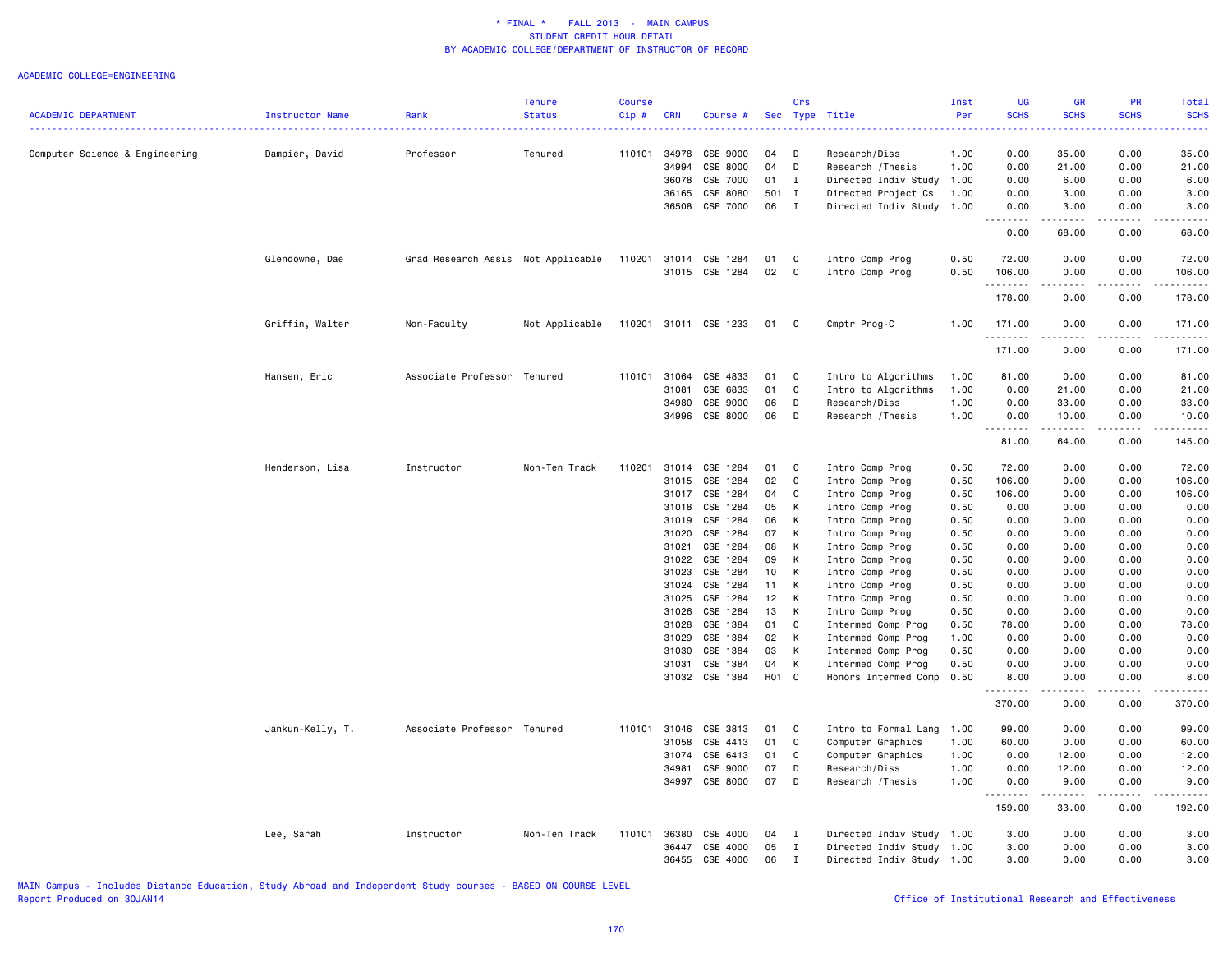#### ACADEMIC COLLEGE=ENGINEERING

| <b>ACADEMIC DEPARTMENT</b>     | <b>Instructor Name</b> | Rank                               | <b>Tenure</b><br><b>Status</b> | <b>Course</b><br>Cip# | <b>CRN</b>     | Course #              | Sec             | Crs          | Type Title                         | Inst<br>Per  | UG<br><b>SCHS</b> | <b>GR</b><br><b>SCHS</b> | PR<br><b>SCHS</b> | <b>Total</b><br><b>SCHS</b> |
|--------------------------------|------------------------|------------------------------------|--------------------------------|-----------------------|----------------|-----------------------|-----------------|--------------|------------------------------------|--------------|-------------------|--------------------------|-------------------|-----------------------------|
|                                |                        |                                    |                                |                       |                |                       |                 |              |                                    |              | .                 |                          |                   | المالم عامان                |
| Computer Science & Engineering | Dampier, David         | Professor                          | Tenured                        | 110101                | 34978          | CSE 9000              | 04              | D            | Research/Diss                      | 1.00         | 0.00              | 35.00                    | 0.00              | 35.00                       |
|                                |                        |                                    |                                |                       | 34994          | CSE 8000              | 04              | D            | Research / Thesis                  | 1.00         | 0.00              | 21.00                    | 0.00              | 21.00                       |
|                                |                        |                                    |                                |                       | 36078          | CSE 7000<br>CSE 8080  | 01              | Ι.           | Directed Indiv Study               | 1.00         | 0.00              | 6.00<br>3.00             | 0.00              | 6.00                        |
|                                |                        |                                    |                                |                       | 36165          |                       | 501 I           |              | Directed Project Cs                | 1.00         | 0.00              |                          | 0.00              | 3.00                        |
|                                |                        |                                    |                                |                       | 36508          | CSE 7000              | 06              | $\mathbf{I}$ | Directed Indiv Study               | 1.00         | 0.00<br>.         | 3.00                     | 0.00              | 3.00                        |
|                                |                        |                                    |                                |                       |                |                       |                 |              |                                    |              | 0.00              | 68.00                    | 0.00              | 68.00                       |
|                                | Glendowne, Dae         | Grad Research Assis Not Applicable |                                | 110201                | 31014          | CSE 1284              | 01              | C            | Intro Comp Prog                    | 0.50         | 72.00             | 0.00                     | 0.00              | 72.00                       |
|                                |                        |                                    |                                |                       |                | 31015 CSE 1284        | 02              | $\mathbf{C}$ | Intro Comp Prog                    | 0.50         | 106.00<br>.       | 0.00<br>.                | 0.00<br>.         | 106.00<br>.                 |
|                                |                        |                                    |                                |                       |                |                       |                 |              |                                    |              | 178.00            | 0.00                     | 0.00              | 178.00                      |
|                                | Griffin, Walter        | Non-Faculty                        | Not Applicable                 |                       |                | 110201 31011 CSE 1233 | 01              | C            | Cmptr Prog-C                       | 1.00         | 171.00<br>.       | 0.00<br>.                | 0.00<br>-----     | 171.00<br>.                 |
|                                |                        |                                    |                                |                       |                |                       |                 |              |                                    |              | 171.00            | 0.00                     | 0.00              | 171.00                      |
|                                | Hansen, Eric           | Associate Professor Tenured        |                                | 110101                | 31064          | CSE 4833              | 01              | C            | Intro to Algorithms                | 1.00         | 81.00             | 0.00                     | 0.00              | 81.00                       |
|                                |                        |                                    |                                |                       | 31081          | CSE 6833              | 01              | $\mathtt{C}$ | Intro to Algorithms                | 1.00         | 0.00              | 21.00                    | 0.00              | 21.00                       |
|                                |                        |                                    |                                |                       | 34980          | CSE 9000              | 06              | D            | Research/Diss                      | 1.00         | 0.00              | 33.00                    | 0.00              | 33.00                       |
|                                |                        |                                    |                                |                       | 34996          | CSE 8000              | 06              | D            | Research / Thesis                  | 1.00         | 0.00              | 10.00                    | 0.00              | 10.00                       |
|                                |                        |                                    |                                |                       |                |                       |                 |              |                                    |              | 81.00             | .<br>64.00               | .<br>0.00         | .<br>145.00                 |
|                                |                        |                                    |                                |                       |                |                       |                 |              |                                    |              |                   |                          |                   |                             |
|                                | Henderson, Lisa        | Instructor                         | Non-Ten Track                  | 110201                | 31014          | CSE 1284              | 01<br>02        | C<br>C       | Intro Comp Prog                    | 0.50         | 72.00             | 0.00                     | 0.00              | 72.00                       |
|                                |                        |                                    |                                |                       | 31015<br>31017 | CSE 1284              | 04              | C            | Intro Comp Prog                    | 0.50         | 106.00            | 0.00                     | 0.00              | 106.00                      |
|                                |                        |                                    |                                |                       |                | CSE 1284<br>CSE 1284  |                 |              | Intro Comp Prog                    | 0.50         | 106.00            | 0.00                     | 0.00              | 106.00                      |
|                                |                        |                                    |                                |                       | 31018<br>31019 | CSE 1284              | 05<br>06        | К<br>К       | Intro Comp Prog<br>Intro Comp Prog | 0.50<br>0.50 | 0.00<br>0.00      | 0.00<br>0.00             | 0.00<br>0.00      | 0.00<br>0.00                |
|                                |                        |                                    |                                |                       | 31020          | CSE 1284              | 07              | К            | Intro Comp Prog                    | 0.50         | 0.00              | 0.00                     | 0.00              | 0.00                        |
|                                |                        |                                    |                                |                       | 31021          | CSE 1284              | 08              | К            | Intro Comp Prog                    | 0.50         | 0.00              | 0.00                     | 0.00              | 0.00                        |
|                                |                        |                                    |                                |                       | 31022          | CSE 1284              | 09              | К            | Intro Comp Prog                    | 0.50         | 0.00              | 0.00                     | 0.00              | 0.00                        |
|                                |                        |                                    |                                |                       | 31023          | CSE 1284              | 10 <sub>1</sub> | К            | Intro Comp Prog                    | 0.50         | 0.00              | 0.00                     | 0.00              | 0.00                        |
|                                |                        |                                    |                                |                       | 31024          | CSE 1284              | 11              | К            | Intro Comp Prog                    | 0.50         | 0.00              | 0.00                     | 0.00              | 0.00                        |
|                                |                        |                                    |                                |                       | 31025          | CSE 1284              | 12              | K            | Intro Comp Prog                    | 0.50         | 0.00              | 0.00                     | 0.00              | 0.00                        |
|                                |                        |                                    |                                |                       | 31026          | CSE 1284              | 13              | К            | Intro Comp Prog                    | 0.50         | 0.00              | 0.00                     | 0.00              | 0.00                        |
|                                |                        |                                    |                                |                       | 31028          | CSE 1384              | 01              | C            | Intermed Comp Prog                 | 0.50         | 78.00             | 0.00                     | 0.00              | 78.00                       |
|                                |                        |                                    |                                |                       | 31029          | CSE 1384              | 02              | K            | Intermed Comp Prog                 | 1.00         | 0.00              | 0.00                     | 0.00              | 0.00                        |
|                                |                        |                                    |                                |                       | 31030          | CSE 1384              | 03              | К            | Intermed Comp Prog                 | 0.50         | 0.00              | 0.00                     | 0.00              | 0.00                        |
|                                |                        |                                    |                                |                       | 31031          | CSE 1384              | 04              | К            | Intermed Comp Prog                 | 0.50         | 0.00              | 0.00                     | 0.00              | 0.00                        |
|                                |                        |                                    |                                |                       |                | 31032 CSE 1384        | H01 C           |              | Honors Intermed Comp               | 0.50         | 8.00              | 0.00                     | 0.00              | 8.00                        |
|                                |                        |                                    |                                |                       |                |                       |                 |              |                                    |              | .<br>370.00       | .<br>0.00                | .<br>0.00         | .<br>370.00                 |
|                                | Jankun-Kelly, T.       | Associate Professor Tenured        |                                | 110101                | 31046          | CSE 3813              | 01              | C            | Intro to Formal Lang               | 1.00         | 99.00             | 0.00                     | 0.00              | 99.00                       |
|                                |                        |                                    |                                |                       | 31058          | CSE 4413              | 01              | C            | Computer Graphics                  | 1.00         | 60.00             | 0.00                     | 0.00              | 60.00                       |
|                                |                        |                                    |                                |                       | 31074          | CSE 6413              | 01              | C            | Computer Graphics                  | 1.00         | 0.00              | 12.00                    | 0.00              | 12.00                       |
|                                |                        |                                    |                                |                       | 34981          | CSE 9000              | 07              | D            | Research/Diss                      | 1.00         | 0.00              | 12.00                    | 0.00              | 12.00                       |
|                                |                        |                                    |                                |                       | 34997          | CSE 8000              | 07              | D            | Research / Thesis                  | 1.00         | 0.00              | 9.00                     | 0.00              | 9.00                        |
|                                |                        |                                    |                                |                       |                |                       |                 |              |                                    |              | .                 |                          | د د د د           |                             |
|                                |                        |                                    |                                |                       |                |                       |                 |              |                                    |              | 159.00            | 33.00                    | 0.00              | 192.00                      |
|                                | Lee, Sarah             | Instructor                         | Non-Ten Track                  | 110101                | 36380          | CSE 4000              | 04              | $\mathbf{I}$ | Directed Indiv Study               | 1.00         | 3.00              | 0.00                     | 0.00              | 3.00                        |
|                                |                        |                                    |                                |                       | 36447          | CSE 4000              | 05              | I            | Directed Indiv Study               | 1.00         | 3.00              | 0.00                     | 0.00              | 3.00                        |
|                                |                        |                                    |                                |                       | 36455          | CSE 4000              | 06              | $\mathbf I$  | Directed Indiv Study 1.00          |              | 3.00              | 0.00                     | 0.00              | 3.00                        |

MAIN Campus - Includes Distance Education, Study Abroad and Independent Study courses - BASED ON COURSE LEVEL

# Office of Institutional Research and Effectiveness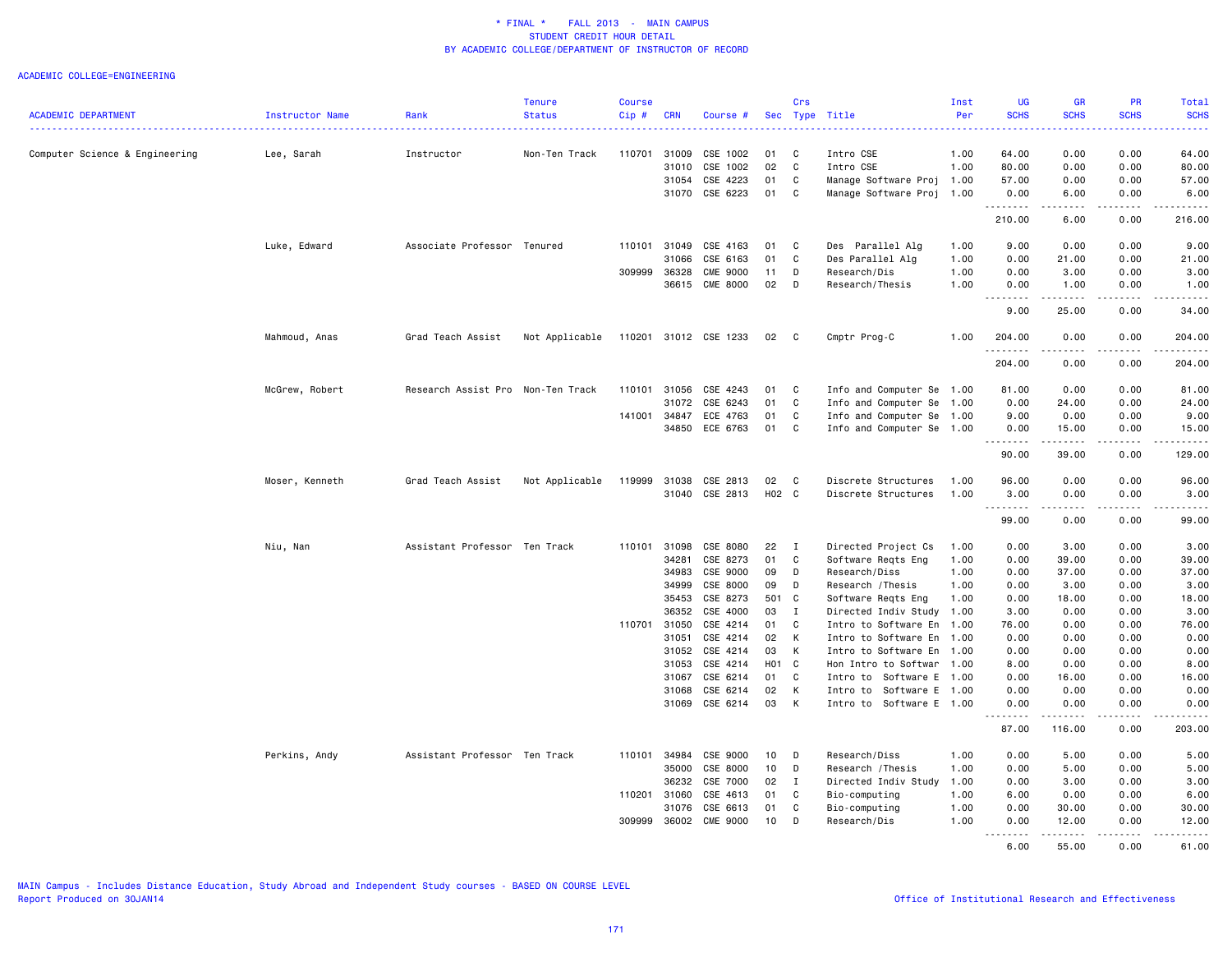|                                |                 |                                   | <b>Tenure</b>  | <b>Course</b> |                |                       |          | Crs            |                                              | Inst         | UG                     | GR                                                                                                                                                             | <b>PR</b>                                                                                                                                                    | Total             |
|--------------------------------|-----------------|-----------------------------------|----------------|---------------|----------------|-----------------------|----------|----------------|----------------------------------------------|--------------|------------------------|----------------------------------------------------------------------------------------------------------------------------------------------------------------|--------------------------------------------------------------------------------------------------------------------------------------------------------------|-------------------|
| <b>ACADEMIC DEPARTMENT</b>     | Instructor Name | Rank                              | <b>Status</b>  | Cip#          | <b>CRN</b>     | Course #              |          |                | Sec Type Title                               | Per          | <b>SCHS</b>            | <b>SCHS</b>                                                                                                                                                    | <b>SCHS</b>                                                                                                                                                  | <b>SCHS</b>       |
| Computer Science & Engineering | Lee, Sarah      | Instructor                        | Non-Ten Track  | 110701        | 31009          | CSE 1002              | 01       | C              | Intro CSE                                    | 1.00         | 64.00                  | 0.00                                                                                                                                                           | 0.00                                                                                                                                                         | 64.00             |
|                                |                 |                                   |                |               | 31010          | CSE 1002              | 02       | C              | Intro CSE                                    | 1.00         | 80.00                  | 0.00                                                                                                                                                           | 0.00                                                                                                                                                         | 80.00             |
|                                |                 |                                   |                |               | 31054          | CSE 4223              | 01       | C              | Manage Software Proj                         | 1.00         | 57.00                  | 0.00                                                                                                                                                           | 0.00                                                                                                                                                         | 57.00             |
|                                |                 |                                   |                |               | 31070          | CSE 6223              | 01       | C              | Manage Software Proj                         | 1.00         | 0.00                   | 6.00                                                                                                                                                           | 0.00                                                                                                                                                         | 6.00              |
|                                |                 |                                   |                |               |                |                       |          |                |                                              |              | .<br>210.00            | .<br>6.00                                                                                                                                                      | .<br>0.00                                                                                                                                                    | .<br>216.00       |
|                                | Luke, Edward    | Associate Professor Tenured       |                | 110101        | 31049          | CSE 4163              | 01       | C              | Des Parallel Alg                             | 1.00         | 9.00                   | 0.00                                                                                                                                                           | 0.00                                                                                                                                                         | 9.00              |
|                                |                 |                                   |                |               | 31066          | CSE 6163              | 01       | C              | Des Parallel Alg                             | 1.00         | 0.00                   | 21.00                                                                                                                                                          | 0.00                                                                                                                                                         | 21.00             |
|                                |                 |                                   |                | 309999 36328  |                | <b>CME 9000</b>       | 11       | D              | Research/Dis                                 | 1.00         | 0.00                   | 3.00                                                                                                                                                           | 0.00                                                                                                                                                         | 3.00              |
|                                |                 |                                   |                |               | 36615          | <b>CME 8000</b>       | 02       | D              | Research/Thesis                              | 1.00         | 0.00                   | 1.00                                                                                                                                                           | 0.00                                                                                                                                                         | 1.00              |
|                                |                 |                                   |                |               |                |                       |          |                |                                              |              | <u>.</u><br>9.00       | .<br>25.00                                                                                                                                                     | $\frac{1}{2} \left( \frac{1}{2} \right) \left( \frac{1}{2} \right) \left( \frac{1}{2} \right) \left( \frac{1}{2} \right) \left( \frac{1}{2} \right)$<br>0.00 | .<br>34.00        |
|                                | Mahmoud, Anas   | Grad Teach Assist                 | Not Applicable |               |                | 110201 31012 CSE 1233 | 02       | $\mathbf{C}$   | Cmptr Prog-C                                 | 1.00         | 204.00                 | 0.00                                                                                                                                                           | 0.00                                                                                                                                                         | 204.00            |
|                                |                 |                                   |                |               |                |                       |          |                |                                              |              | .<br>204.00            | 0.00                                                                                                                                                           | 0.00                                                                                                                                                         | 204.00            |
|                                | McGrew, Robert  | Research Assist Pro Non-Ten Track |                | 110101        | 31056          | CSE 4243              | 01       | C              | Info and Computer Se 1.00                    |              | 81.00                  | 0.00                                                                                                                                                           | 0.00                                                                                                                                                         | 81.00             |
|                                |                 |                                   |                |               | 31072          | CSE 6243              | 01       | C              | Info and Computer Se                         | 1.00         | 0.00                   | 24.00                                                                                                                                                          | 0.00                                                                                                                                                         | 24.00             |
|                                |                 |                                   |                | 141001        | 34847          | ECE 4763              | 01       | C              | Info and Computer Se                         | 1.00         | 9.00                   | 0.00                                                                                                                                                           | 0.00                                                                                                                                                         | 9.00              |
|                                |                 |                                   |                |               | 34850          | ECE 6763              | 01       | C              | Info and Computer Se 1.00                    |              | 0.00<br>--------       | 15.00<br>.                                                                                                                                                     | 0.00<br><u>.</u>                                                                                                                                             | 15.00<br><u>.</u> |
|                                |                 |                                   |                |               |                |                       |          |                |                                              |              | 90.00                  | 39.00                                                                                                                                                          | 0.00                                                                                                                                                         | 129.00            |
|                                | Moser, Kenneth  | Grad Teach Assist                 | Not Applicable | 119999        | 31038          | CSE 2813              | 02       | C              | Discrete Structures                          | 1.00         | 96.00                  | 0.00                                                                                                                                                           | 0.00                                                                                                                                                         | 96.00             |
|                                |                 |                                   |                |               |                | 31040 CSE 2813        | H02 C    |                | Discrete Structures                          | 1.00         | 3.00<br>.              | 0.00<br>.                                                                                                                                                      | 0.00<br>-----                                                                                                                                                | 3.00<br>.         |
|                                |                 |                                   |                |               |                |                       |          |                |                                              |              | 99.00                  | 0.00                                                                                                                                                           | 0.00                                                                                                                                                         | 99.00             |
|                                | Niu, Nan        | Assistant Professor Ten Track     |                | 110101        | 31098          | CSE 8080              | 22       | $\blacksquare$ | Directed Project Cs                          | 1.00         | 0.00                   | 3.00                                                                                                                                                           | 0.00                                                                                                                                                         | 3.00              |
|                                |                 |                                   |                |               | 34281          | CSE 8273              | 01       | C              | Software Reqts Eng                           | 1.00         | 0.00                   | 39.00                                                                                                                                                          | 0.00                                                                                                                                                         | 39.00             |
|                                |                 |                                   |                |               | 34983          | CSE 9000              | 09       | D              | Research/Diss                                | 1.00         | 0.00                   | 37.00                                                                                                                                                          | 0.00                                                                                                                                                         | 37.00             |
|                                |                 |                                   |                |               | 34999          | CSE 8000              | 09       | D              | Research / Thesis                            | 1.00         | 0.00                   | 3.00                                                                                                                                                           | 0.00                                                                                                                                                         | 3.00              |
|                                |                 |                                   |                |               | 35453          | CSE 8273              | 501 C    |                | Software Reqts Eng                           | 1.00         | 0.00                   | 18.00                                                                                                                                                          | 0.00                                                                                                                                                         | 18.00             |
|                                |                 |                                   |                |               | 36352          | CSE 4000              | 03       | I              | Directed Indiv Study 1.00                    |              | 3.00                   | 0.00                                                                                                                                                           | 0.00                                                                                                                                                         | 3.00              |
|                                |                 |                                   |                | 110701 31050  |                | CSE 4214              | 01       | C              | Intro to Software En                         | 1.00         | 76.00                  | 0.00                                                                                                                                                           | 0.00                                                                                                                                                         | 76.00             |
|                                |                 |                                   |                |               | 31051<br>31052 | CSE 4214<br>CSE 4214  | 02<br>03 | K<br>K         | Intro to Software En<br>Intro to Software En | 1.00<br>1.00 | 0.00<br>0.00           | 0.00<br>0.00                                                                                                                                                   | 0.00<br>0.00                                                                                                                                                 | 0.00<br>0.00      |
|                                |                 |                                   |                |               | 31053          | CSE 4214              | H01 C    |                | Hon Intro to Softwar                         | 1.00         | 8.00                   | 0.00                                                                                                                                                           | 0.00                                                                                                                                                         | 8.00              |
|                                |                 |                                   |                |               | 31067          | CSE 6214              | 01       | C              | Intro to Software E 1.00                     |              | 0.00                   | 16.00                                                                                                                                                          | 0.00                                                                                                                                                         | 16.00             |
|                                |                 |                                   |                |               | 31068          | CSE 6214              | 02       | K              | Intro to Software E 1.00                     |              | 0.00                   | 0.00                                                                                                                                                           | 0.00                                                                                                                                                         | 0.00              |
|                                |                 |                                   |                |               | 31069          | CSE 6214              | 03       | K              | Intro to Software E 1.00                     |              | 0.00                   | 0.00                                                                                                                                                           | 0.00                                                                                                                                                         | 0.00              |
|                                |                 |                                   |                |               |                |                       |          |                |                                              |              | $\frac{1}{2}$<br>87.00 | $\frac{1}{2} \left( \frac{1}{2} \right) \left( \frac{1}{2} \right) \left( \frac{1}{2} \right) \left( \frac{1}{2} \right) \left( \frac{1}{2} \right)$<br>116.00 | .<br>0.00                                                                                                                                                    | .<br>203.00       |
|                                | Perkins, Andy   | Assistant Professor Ten Track     |                |               | 110101 34984   | CSE 9000              | 10       | D              | Research/Diss                                | 1.00         | 0.00                   | 5.00                                                                                                                                                           | 0.00                                                                                                                                                         | 5.00              |
|                                |                 |                                   |                |               | 35000          | CSE 8000              | 10       | D              | Research / Thesis                            | 1.00         | 0.00                   | 5.00                                                                                                                                                           | 0.00                                                                                                                                                         | 5.00              |
|                                |                 |                                   |                |               | 36232          | CSE 7000              | 02       | $\mathbf{I}$   | Directed Indiv Study                         | 1.00         | 0.00                   | 3.00                                                                                                                                                           | 0.00                                                                                                                                                         | 3.00              |
|                                |                 |                                   |                | 110201        | 31060          | CSE 4613              | 01       | C              | Bio-computing                                | 1.00         | 6.00                   | 0.00                                                                                                                                                           | 0.00                                                                                                                                                         | 6.00              |
|                                |                 |                                   |                |               | 31076          | CSE 6613              | 01       | C              | Bio-computing                                | 1.00         | 0.00                   | 30.00                                                                                                                                                          | 0.00                                                                                                                                                         | 30.00             |
|                                |                 |                                   |                | 309999        | 36002          | <b>CME 9000</b>       | 10       | D              | Research/Dis                                 | 1.00         | 0.00<br>.              | 12.00<br>.                                                                                                                                                     | 0.00<br>.                                                                                                                                                    | 12.00<br>.        |
|                                |                 |                                   |                |               |                |                       |          |                |                                              |              | 6.00                   | 55.00                                                                                                                                                          | 0.00                                                                                                                                                         | 61.00             |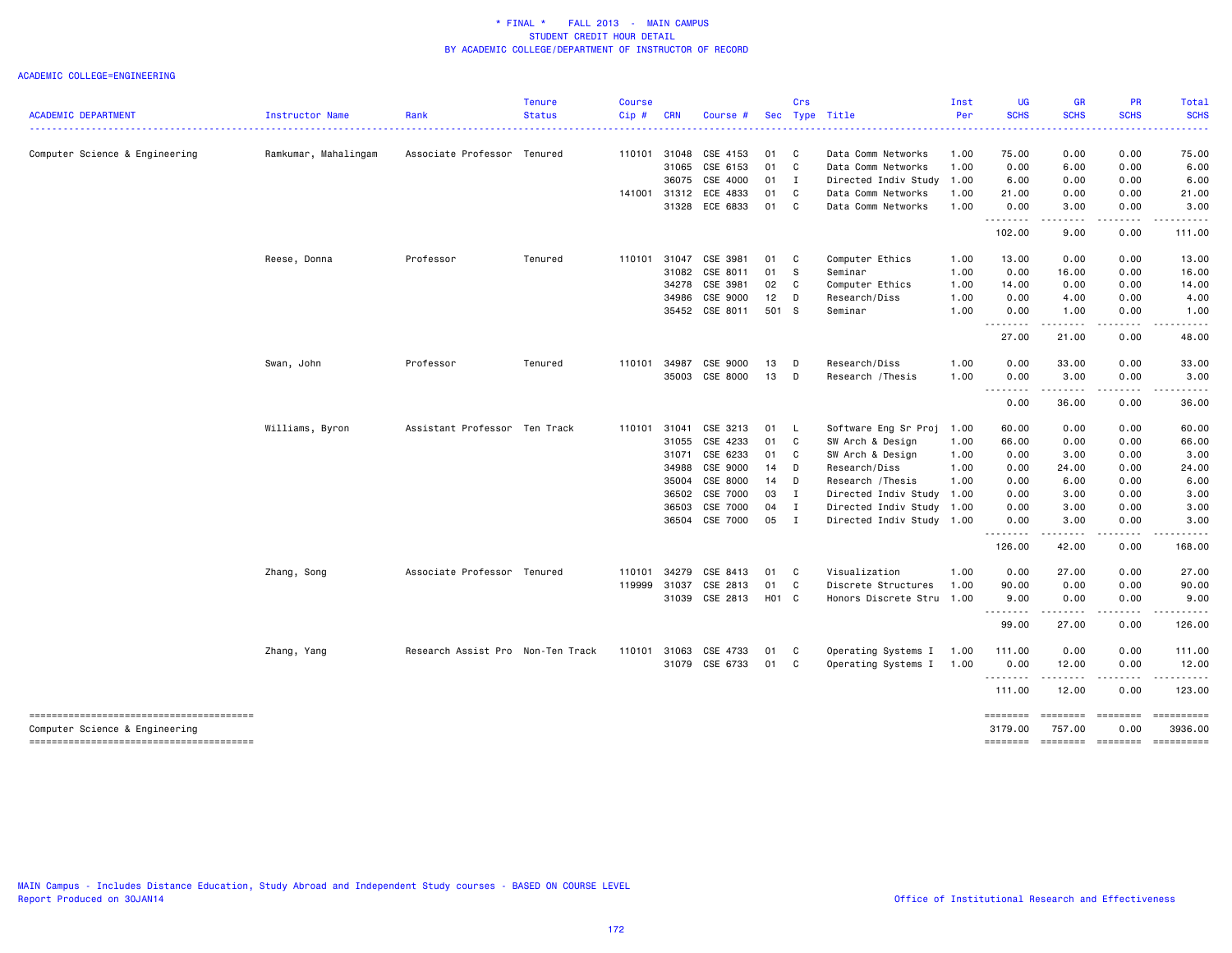|                                                                          |                      |                                   | <b>Tenure</b> | <b>Course</b> |            |                       |        | Crs            |                      | Inst                                                                                                                             | <b>UG</b>           | <b>GR</b>          | PR                                                                                                                                                           | Total                 |
|--------------------------------------------------------------------------|----------------------|-----------------------------------|---------------|---------------|------------|-----------------------|--------|----------------|----------------------|----------------------------------------------------------------------------------------------------------------------------------|---------------------|--------------------|--------------------------------------------------------------------------------------------------------------------------------------------------------------|-----------------------|
| <b>ACADEMIC DEPARTMENT</b>                                               | Instructor Name      | Rank                              | <b>Status</b> | Cip#          | <b>CRN</b> | Course #              | Sec    |                | Type Title           | Per<br>$\frac{1}{2} \left( \frac{1}{2} \right) \left( \frac{1}{2} \right) \left( \frac{1}{2} \right) \left( \frac{1}{2} \right)$ | <b>SCHS</b>         | <b>SCHS</b>        | <b>SCHS</b>                                                                                                                                                  | <b>SCHS</b>           |
| Computer Science & Engineering                                           | Ramkumar, Mahalingam | Associate Professor Tenured       |               | 110101        | 31048      | CSE 4153              | 01     | $\mathbf{C}$   | Data Comm Networks   | 1.00                                                                                                                             | 75.00               | 0.00               | 0.00                                                                                                                                                         | 75.00                 |
|                                                                          |                      |                                   |               |               | 31065      | CSE 6153              | 01 C   |                | Data Comm Networks   | 1.00                                                                                                                             | 0.00                | 6.00               | 0.00                                                                                                                                                         | 6.00                  |
|                                                                          |                      |                                   |               |               | 36075      | CSE 4000              | $01$ I |                | Directed Indiv Study | 1.00                                                                                                                             | 6.00                | 0.00               | 0.00                                                                                                                                                         | 6.00                  |
|                                                                          |                      |                                   |               |               |            | 141001 31312 ECE 4833 | 01 C   |                | Data Comm Networks   | 1.00                                                                                                                             | 21.00               | 0.00               | 0.00                                                                                                                                                         | 21.00                 |
|                                                                          |                      |                                   |               |               |            | 31328 ECE 6833        | 01 C   |                | Data Comm Networks   | 1.00                                                                                                                             | 0.00<br>.           | 3.00<br>.          | 0.00<br>$\frac{1}{2} \left( \frac{1}{2} \right) \left( \frac{1}{2} \right) \left( \frac{1}{2} \right) \left( \frac{1}{2} \right) \left( \frac{1}{2} \right)$ | 3.00<br>.             |
|                                                                          |                      |                                   |               |               |            |                       |        |                |                      |                                                                                                                                  | 102.00              | 9.00               | 0.00                                                                                                                                                         | 111.00                |
|                                                                          | Reese, Donna         | Professor                         | Tenured       | 110101        | 31047      | CSE 3981              | 01 C   |                | Computer Ethics      | 1.00                                                                                                                             | 13.00               | 0.00               | 0.00                                                                                                                                                         | 13.00                 |
|                                                                          |                      |                                   |               |               | 31082      | CSE 8011              | 01     | S              | Seminar              | 1.00                                                                                                                             | 0.00                | 16.00              | 0.00                                                                                                                                                         | 16.00                 |
|                                                                          |                      |                                   |               |               | 34278      | CSE 3981              | 02     | C              | Computer Ethics      | 1.00                                                                                                                             | 14.00               | 0.00               | 0.00                                                                                                                                                         | 14.00                 |
|                                                                          |                      |                                   |               |               | 34986      | CSE 9000              | 12     | D              | Research/Diss        | 1.00                                                                                                                             | 0.00                | 4.00               | 0.00                                                                                                                                                         | 4.00                  |
|                                                                          |                      |                                   |               |               |            | 35452 CSE 8011        | 501 S  |                | Seminar              | 1.00                                                                                                                             | 0.00<br>.           | 1.00<br>.          | 0.00<br>-----                                                                                                                                                | 1.00                  |
|                                                                          |                      |                                   |               |               |            |                       |        |                |                      |                                                                                                                                  | 27.00               | 21.00              | 0.00                                                                                                                                                         | 48.00                 |
|                                                                          | Swan, John           | Professor                         | Tenured       | 110101        | 34987      | CSE 9000              | 13     | <b>D</b>       | Research/Diss        | 1.00                                                                                                                             | 0.00                | 33.00              | 0.00                                                                                                                                                         | 33.00                 |
|                                                                          |                      |                                   |               |               |            | 35003 CSE 8000        | 13 D   |                | Research / Thesis    | 1.00                                                                                                                             | 0.00                | 3.00               | 0.00                                                                                                                                                         | 3.00                  |
|                                                                          |                      |                                   |               |               |            |                       |        |                |                      |                                                                                                                                  | .<br>0.00           | .<br>36.00         | -----<br>0.00                                                                                                                                                | .<br>36.00            |
|                                                                          | Williams, Byron      | Assistant Professor Ten Track     |               | 110101        | 31041      | CSE 3213              | 01     | - L            | Software Eng Sr Proj | 1.00                                                                                                                             | 60.00               | 0.00               | 0.00                                                                                                                                                         | 60.00                 |
|                                                                          |                      |                                   |               |               | 31055      | CSE 4233              | 01     | $\mathbf{C}$   | SW Arch & Design     | 1.00                                                                                                                             | 66.00               | 0.00               | 0.00                                                                                                                                                         | 66.00                 |
|                                                                          |                      |                                   |               |               | 31071      | CSE 6233              | 01     | C              | SW Arch & Design     | 1.00                                                                                                                             | 0.00                | 3.00               | 0.00                                                                                                                                                         | 3.00                  |
|                                                                          |                      |                                   |               |               | 34988      | CSE 9000              | 14     | D              | Research/Diss        | 1.00                                                                                                                             | 0.00                | 24.00              | 0.00                                                                                                                                                         | 24.00                 |
|                                                                          |                      |                                   |               |               | 35004      | CSE 8000              | 14     | D              | Research / Thesis    | 1.00                                                                                                                             | 0.00                | 6.00               | 0.00                                                                                                                                                         | 6.00                  |
|                                                                          |                      |                                   |               |               | 36502      | CSE 7000              | 03     | $\mathbf{I}$   | Directed Indiv Study | 1.00                                                                                                                             | 0.00                | 3.00               | 0.00                                                                                                                                                         | 3.00                  |
|                                                                          |                      |                                   |               |               | 36503      | CSE 7000              | 04     | Ι              | Directed Indiv Study | 1.00                                                                                                                             | 0.00                | 3.00               | 0.00                                                                                                                                                         | 3.00                  |
|                                                                          |                      |                                   |               |               |            | 36504 CSE 7000        | 05     | $\blacksquare$ | Directed Indiv Study | 1.00                                                                                                                             | 0.00                | 3.00               | 0.00<br>$\frac{1}{2} \left( \frac{1}{2} \right) \left( \frac{1}{2} \right) \left( \frac{1}{2} \right) \left( \frac{1}{2} \right) \left( \frac{1}{2} \right)$ | 3.00                  |
|                                                                          |                      |                                   |               |               |            |                       |        |                |                      |                                                                                                                                  | .<br>126.00         | -----<br>42.00     | 0.00                                                                                                                                                         | 168.00                |
|                                                                          | Zhang, Song          | Associate Professor Tenured       |               | 110101        | 34279      | CSE 8413              | 01     | $\mathbf{C}$   | Visualization        | 1.00                                                                                                                             | 0.00                | 27.00              | 0.00                                                                                                                                                         | 27.00                 |
|                                                                          |                      |                                   |               | 119999        | 31037      | CSE 2813              | 01     | C              | Discrete Structures  | 1.00                                                                                                                             | 90.00               | 0.00               | 0.00                                                                                                                                                         | 90.00                 |
|                                                                          |                      |                                   |               |               |            | 31039 CSE 2813        | H01 C  |                | Honors Discrete Stru | 1.00                                                                                                                             | 9.00<br>.           | 0.00               | 0.00                                                                                                                                                         | 9.00                  |
|                                                                          |                      |                                   |               |               |            |                       |        |                |                      |                                                                                                                                  | 99.00               | 27.00              | 0.00                                                                                                                                                         | 126.00                |
|                                                                          | Zhang, Yang          | Research Assist Pro Non-Ten Track |               | 110101        | 31063      | CSE 4733              | 01 C   |                | Operating Systems I  | 1.00                                                                                                                             | 111.00              | 0.00               | 0.00                                                                                                                                                         | 111.00                |
|                                                                          |                      |                                   |               |               |            | 31079 CSE 6733        | 01 C   |                | Operating Systems I  | 1.00                                                                                                                             | 0.00<br>.           | 12.00<br>.         | 0.00<br>.                                                                                                                                                    | 12.00                 |
|                                                                          |                      |                                   |               |               |            |                       |        |                |                      |                                                                                                                                  | 111.00              | 12.00              | 0.00                                                                                                                                                         | 123.00                |
| --------------------------------------<br>Computer Science & Engineering |                      |                                   |               |               |            |                       |        |                |                      |                                                                                                                                  | ========<br>3179.00 | ========<br>757.00 | <b>ESSESSE</b><br>0.00                                                                                                                                       | ==========<br>3936.00 |
| --------------------------------------                                   |                      |                                   |               |               |            |                       |        |                |                      |                                                                                                                                  | ========            | <b>ESSESSE</b>     | ========                                                                                                                                                     | ==========            |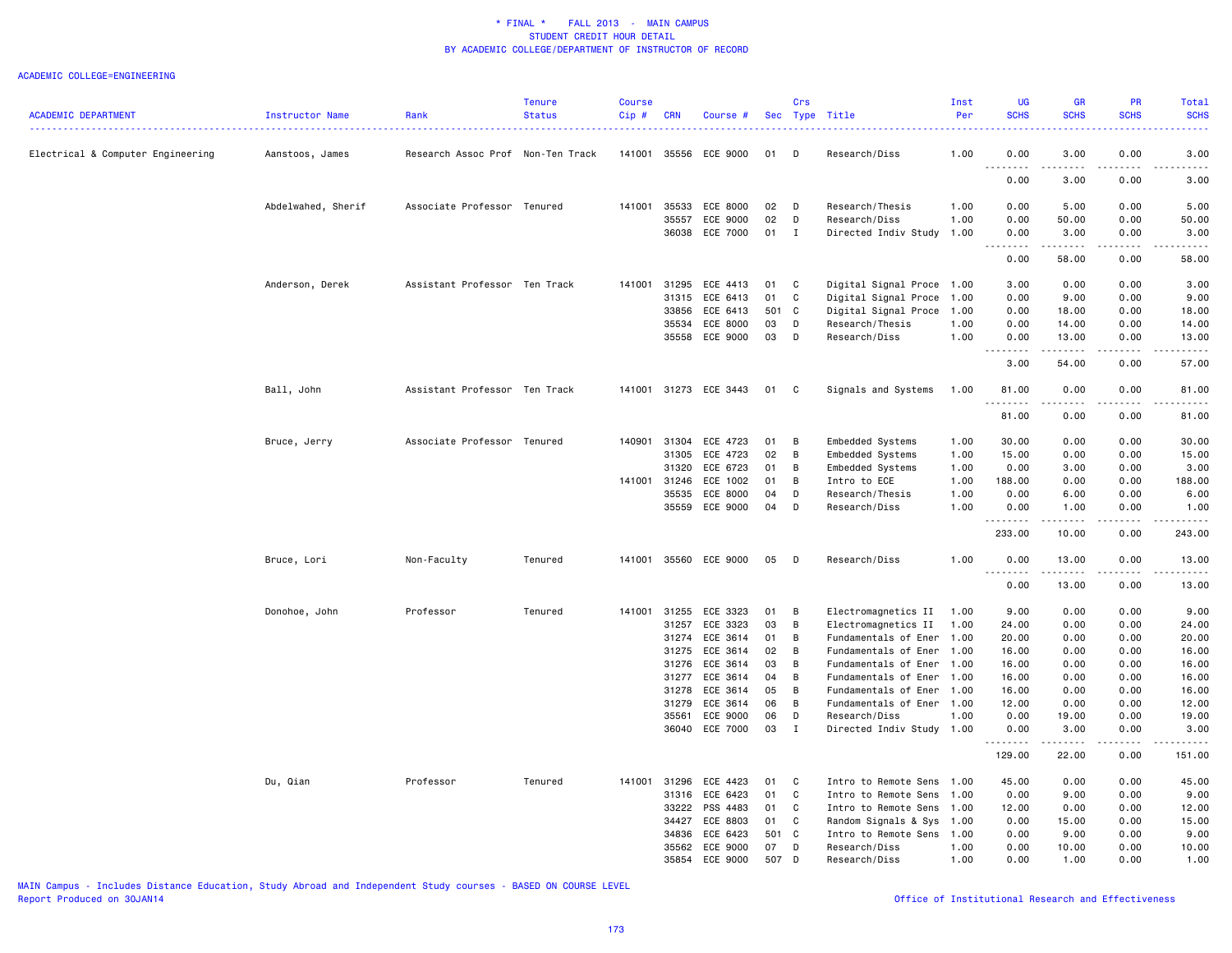#### ACADEMIC COLLEGE=ENGINEERING

| <b>ACADEMIC DEPARTMENT</b>        | Instructor Name    | Rank                              | <b>Tenure</b><br><b>Status</b> | <b>Course</b><br>Cip# | <b>CRN</b>   | Course #              |        | Crs          | Sec Type Title            | Inst<br>Per | UG<br><b>SCHS</b> | <b>GR</b><br><b>SCHS</b>                                                                                                                                                                | PR<br><b>SCHS</b>                                                                                                                                            | <b>Total</b><br><b>SCHS</b> |
|-----------------------------------|--------------------|-----------------------------------|--------------------------------|-----------------------|--------------|-----------------------|--------|--------------|---------------------------|-------------|-------------------|-----------------------------------------------------------------------------------------------------------------------------------------------------------------------------------------|--------------------------------------------------------------------------------------------------------------------------------------------------------------|-----------------------------|
| Electrical & Computer Engineering | Aanstoos, James    | Research Assoc Prof Non-Ten Track |                                | 141001                |              | 35556 ECE 9000        | 01     | D            | Research/Diss             | 1.00        | 0.00              | 3.00                                                                                                                                                                                    | 0.00                                                                                                                                                         | 3.00                        |
|                                   |                    |                                   |                                |                       |              |                       |        |              |                           |             | 0.00              | 3.00                                                                                                                                                                                    | 0.00                                                                                                                                                         | 3.00                        |
|                                   |                    |                                   |                                |                       |              |                       |        |              |                           |             |                   |                                                                                                                                                                                         |                                                                                                                                                              |                             |
|                                   | Abdelwahed, Sherif | Associate Professor Tenured       |                                | 141001                | 35533        | ECE 8000              | 02     | $\mathsf{D}$ | Research/Thesis           | 1.00        | 0.00              | 5.00                                                                                                                                                                                    | 0.00                                                                                                                                                         | 5.00                        |
|                                   |                    |                                   |                                |                       | 35557        | ECE 9000              | 02     | D            | Research/Diss             | 1.00        | 0.00              | 50.00                                                                                                                                                                                   | 0.00                                                                                                                                                         | 50.00                       |
|                                   |                    |                                   |                                |                       |              | 36038 ECE 7000        | $01$ I |              | Directed Indiv Study      | 1.00        | 0.00<br>-----     | 3.00<br>$\frac{1}{2} \left( \frac{1}{2} \right) \left( \frac{1}{2} \right) \left( \frac{1}{2} \right) \left( \frac{1}{2} \right) \left( \frac{1}{2} \right)$                            | 0.00<br>-----                                                                                                                                                | 3.00                        |
|                                   |                    |                                   |                                |                       |              |                       |        |              |                           |             | 0.00              | 58.00                                                                                                                                                                                   | 0.00                                                                                                                                                         | 58.00                       |
|                                   | Anderson, Derek    | Assistant Professor Ten Track     |                                | 141001                | 31295        | ECE 4413              | 01     | $\mathbf{C}$ | Digital Signal Proce 1.00 |             | 3.00              | 0.00                                                                                                                                                                                    | 0.00                                                                                                                                                         | 3.00                        |
|                                   |                    |                                   |                                |                       | 31315        | ECE 6413              | 01     | C            | Digital Signal Proce      | 1.00        | 0.00              | 9.00                                                                                                                                                                                    | 0.00                                                                                                                                                         | 9.00                        |
|                                   |                    |                                   |                                |                       | 33856        | ECE 6413              | 501 C  |              | Digital Signal Proce      | 1.00        | 0.00              | 18.00                                                                                                                                                                                   | 0.00                                                                                                                                                         | 18.00                       |
|                                   |                    |                                   |                                |                       |              | 35534 ECE 8000        | 03     | D            | Research/Thesis           | 1.00        | 0.00              | 14.00                                                                                                                                                                                   | 0.00                                                                                                                                                         | 14.00                       |
|                                   |                    |                                   |                                |                       |              | 35558 ECE 9000        | 03     | D            | Research/Diss             | 1.00        | 0.00<br>.         | 13.00<br>.                                                                                                                                                                              | 0.00<br>$- - - - -$                                                                                                                                          | 13.00<br>.                  |
|                                   |                    |                                   |                                |                       |              |                       |        |              |                           |             | 3.00              | 54.00                                                                                                                                                                                   | 0.00                                                                                                                                                         | 57.00                       |
|                                   | Ball, John         | Assistant Professor Ten Track     |                                | 141001                |              | 31273 ECE 3443        | 01     | $\mathbf{C}$ | Signals and Systems       | 1.00        | 81.00<br>.        | 0.00<br>.                                                                                                                                                                               | 0.00<br>$\frac{1}{2} \left( \frac{1}{2} \right) \left( \frac{1}{2} \right) \left( \frac{1}{2} \right) \left( \frac{1}{2} \right) \left( \frac{1}{2} \right)$ | 81.00<br>.                  |
|                                   |                    |                                   |                                |                       |              |                       |        |              |                           |             | 81.00             | 0.00                                                                                                                                                                                    | 0.00                                                                                                                                                         | 81.00                       |
|                                   | Bruce, Jerry       | Associate Professor Tenured       |                                | 140901                |              | 31304 ECE 4723        | 01     | B            | Embedded Systems          | 1.00        | 30.00             | 0.00                                                                                                                                                                                    | 0.00                                                                                                                                                         | 30.00                       |
|                                   |                    |                                   |                                |                       | 31305        | ECE 4723              | 02     | B            | Embedded Systems          | 1.00        | 15.00             | 0.00                                                                                                                                                                                    | 0.00                                                                                                                                                         | 15.00                       |
|                                   |                    |                                   |                                |                       | 31320        | ECE 6723              | 01     | B            | Embedded Systems          | 1.00        | 0.00              | 3.00                                                                                                                                                                                    | 0.00                                                                                                                                                         | 3.00                        |
|                                   |                    |                                   |                                |                       | 141001 31246 | ECE 1002              | 01     | B            | Intro to ECE              | 1.00        | 188.00            | 0.00                                                                                                                                                                                    | 0.00                                                                                                                                                         | 188.00                      |
|                                   |                    |                                   |                                |                       | 35535        | ECE 8000              | 04     | D            | Research/Thesis           | 1.00        | 0.00              | 6.00                                                                                                                                                                                    | 0.00                                                                                                                                                         | 6.00                        |
|                                   |                    |                                   |                                |                       |              | 35559 ECE 9000        | 04     | D            | Research/Diss             | 1.00        | 0.00<br><u>.</u>  | 1.00                                                                                                                                                                                    | 0.00                                                                                                                                                         | 1.00                        |
|                                   |                    |                                   |                                |                       |              |                       |        |              |                           |             | 233.00            | 10.00                                                                                                                                                                                   | 0.00                                                                                                                                                         | 243.00                      |
|                                   | Bruce, Lori        | Non-Faculty                       | Tenured                        |                       |              | 141001 35560 ECE 9000 | 05     | $\mathsf{D}$ | Research/Diss             | 1.00        | 0.00<br><u>.</u>  | 13.00<br>. <b>.</b>                                                                                                                                                                     | 0.00<br>$- - - -$                                                                                                                                            | 13.00                       |
|                                   |                    |                                   |                                |                       |              |                       |        |              |                           |             | 0.00              | 13.00                                                                                                                                                                                   | 0.00                                                                                                                                                         | 13.00                       |
|                                   | Donohoe, John      | Professor                         | Tenured                        | 141001                | 31255        | ECE 3323              | 01     | B            | Electromagnetics II       | 1.00        | 9.00              | 0.00                                                                                                                                                                                    | 0.00                                                                                                                                                         | 9.00                        |
|                                   |                    |                                   |                                |                       | 31257        | ECE 3323              | 03     | B            | Electromagnetics II       | 1.00        | 24.00             | 0.00                                                                                                                                                                                    | 0.00                                                                                                                                                         | 24.00                       |
|                                   |                    |                                   |                                |                       |              | 31274 ECE 3614        | 01     | B            | Fundamentals of Ener      | 1.00        | 20.00             | 0.00                                                                                                                                                                                    | 0.00                                                                                                                                                         | 20.00                       |
|                                   |                    |                                   |                                |                       | 31275        | ECE 3614              | 02     | B            | Fundamentals of Ener      | 1.00        | 16.00             | 0.00                                                                                                                                                                                    | 0.00                                                                                                                                                         | 16.00                       |
|                                   |                    |                                   |                                |                       | 31276        | ECE 3614              | 03     | B            | Fundamentals of Ener      | 1.00        | 16.00             | 0.00                                                                                                                                                                                    | 0.00                                                                                                                                                         | 16.00                       |
|                                   |                    |                                   |                                |                       | 31277        | ECE 3614              | 04     | B            | Fundamentals of Ener      | 1.00        | 16.00             | 0.00                                                                                                                                                                                    | 0.00                                                                                                                                                         | 16.00                       |
|                                   |                    |                                   |                                |                       | 31278        | ECE 3614              | 05     | B            | Fundamentals of Ener      | 1.00        | 16.00             | 0.00                                                                                                                                                                                    | 0.00                                                                                                                                                         | 16.00                       |
|                                   |                    |                                   |                                |                       | 31279        | ECE 3614              | 06     | B            | Fundamentals of Ener      | 1.00        | 12.00             | 0.00                                                                                                                                                                                    | 0.00                                                                                                                                                         | 12.00                       |
|                                   |                    |                                   |                                |                       | 35561        | ECE 9000              | 06     | D            | Research/Diss             | 1.00        | 0.00              | 19.00                                                                                                                                                                                   | 0.00                                                                                                                                                         | 19.00                       |
|                                   |                    |                                   |                                |                       |              | 36040 ECE 7000        | 03     | I            | Directed Indiv Study 1.00 |             | 0.00<br>.         | 3.00<br>$\frac{1}{2} \left( \frac{1}{2} \right) \left( \frac{1}{2} \right) \left( \frac{1}{2} \right) \left( \frac{1}{2} \right) \left( \frac{1}{2} \right) \left( \frac{1}{2} \right)$ | 0.00<br>.                                                                                                                                                    | 3.00                        |
|                                   |                    |                                   |                                |                       |              |                       |        |              |                           |             | 129.00            | 22.00                                                                                                                                                                                   | 0.00                                                                                                                                                         | 151.00                      |
|                                   | Du, Qian           | Professor                         | Tenured                        |                       |              | 141001 31296 ECE 4423 | 01     | $\mathbf{C}$ | Intro to Remote Sens      | 1.00        | 45.00             | 0.00                                                                                                                                                                                    | 0.00                                                                                                                                                         | 45.00                       |
|                                   |                    |                                   |                                |                       | 31316        | ECE 6423              | 01     | $\mathbf{C}$ | Intro to Remote Sens      | 1.00        | 0.00              | 9.00                                                                                                                                                                                    | 0.00                                                                                                                                                         | 9.00                        |
|                                   |                    |                                   |                                |                       | 33222        | PSS 4483              | 01     | $\mathbf{C}$ | Intro to Remote Sens      | 1.00        | 12.00             | 0.00                                                                                                                                                                                    | 0.00                                                                                                                                                         | 12.00                       |
|                                   |                    |                                   |                                |                       | 34427        | ECE 8803              | 01     | $\mathbf{C}$ | Random Signals & Sys      | 1.00        | 0.00              | 15.00                                                                                                                                                                                   | 0.00                                                                                                                                                         | 15.00                       |
|                                   |                    |                                   |                                |                       | 34836        | ECE 6423              | 501 C  |              | Intro to Remote Sens      | 1.00        | 0.00              | 9.00                                                                                                                                                                                    | 0.00                                                                                                                                                         | 9.00                        |
|                                   |                    |                                   |                                |                       | 35562        | ECE 9000              | 07     | D            | Research/Diss             | 1.00        | 0.00              | 10.00                                                                                                                                                                                   | 0.00                                                                                                                                                         | 10.00                       |
|                                   |                    |                                   |                                |                       |              | 35854 ECE 9000        | 507 D  |              | Research/Diss             | 1.00        | 0.00              | 1.00                                                                                                                                                                                    | 0.00                                                                                                                                                         | 1.00                        |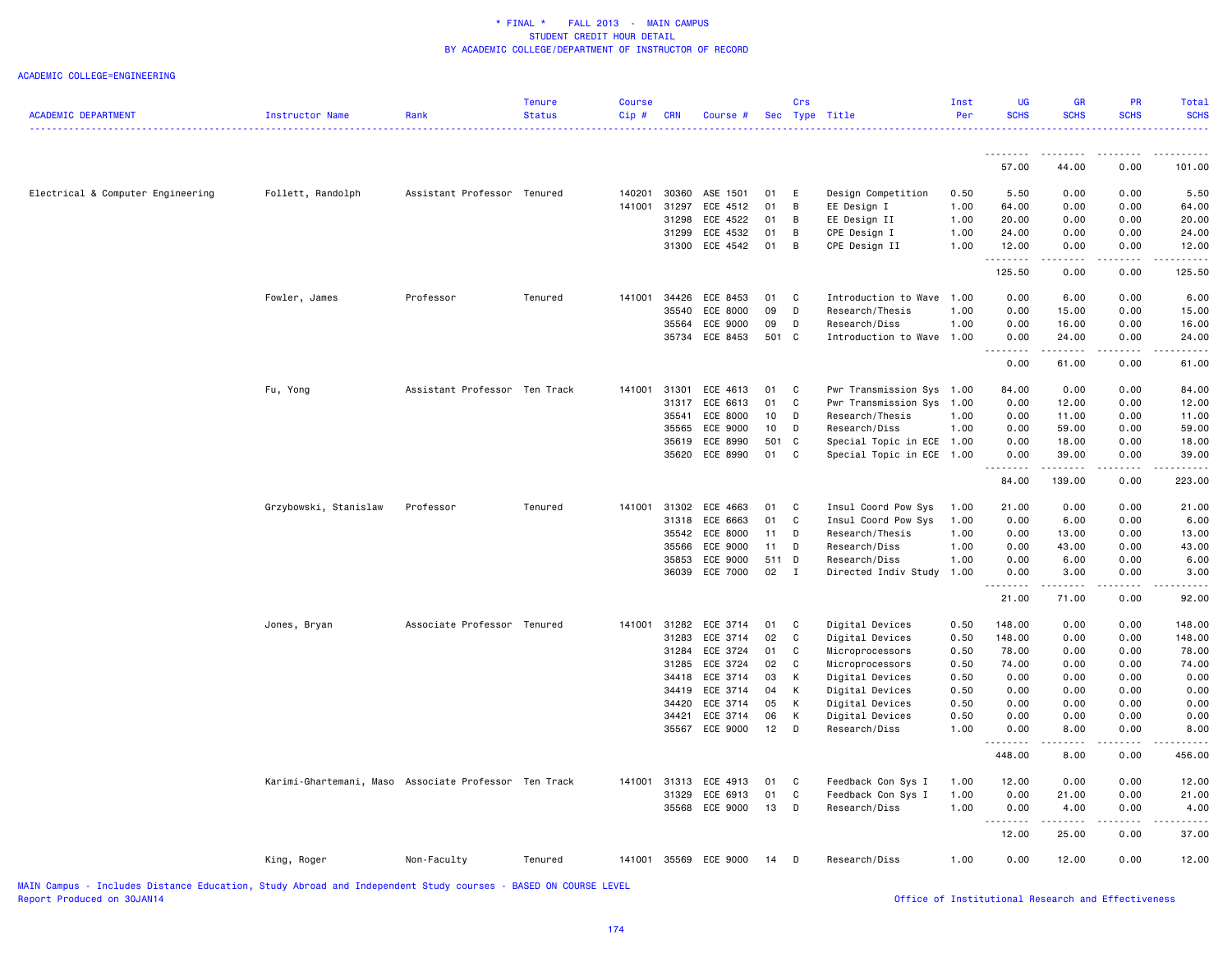#### ACADEMIC COLLEGE=ENGINEERING

| <b>ACADEMIC DEPARTMENT</b>        | <b>Instructor Name</b>                                | Rank                          | <b>Tenure</b><br><b>Status</b> | Course<br>Cip# | <b>CRN</b> | Course #                   |                       | Crs            | Sec Type Title                     | Inst<br>Per  | <b>UG</b><br><b>SCHS</b> | <b>GR</b><br><b>SCHS</b> | <b>PR</b><br><b>SCHS</b>                                                                                                                                     | Total<br><b>SCHS</b>                                                                                                                                                                      |
|-----------------------------------|-------------------------------------------------------|-------------------------------|--------------------------------|----------------|------------|----------------------------|-----------------------|----------------|------------------------------------|--------------|--------------------------|--------------------------|--------------------------------------------------------------------------------------------------------------------------------------------------------------|-------------------------------------------------------------------------------------------------------------------------------------------------------------------------------------------|
|                                   |                                                       |                               |                                |                |            |                            |                       |                |                                    |              |                          |                          |                                                                                                                                                              |                                                                                                                                                                                           |
|                                   |                                                       |                               |                                |                |            |                            |                       |                |                                    |              | 57.00                    | -----<br>44.00           | 0.00                                                                                                                                                         | 101.00                                                                                                                                                                                    |
|                                   |                                                       |                               |                                |                |            |                            |                       |                |                                    |              |                          |                          |                                                                                                                                                              |                                                                                                                                                                                           |
| Electrical & Computer Engineering | Follett, Randolph                                     | Assistant Professor Tenured   |                                | 140201         | 30360      | ASE 1501                   | 01                    | E              | Design Competition                 | 0.50         | 5.50                     | 0.00                     | 0.00                                                                                                                                                         | 5.50                                                                                                                                                                                      |
|                                   |                                                       |                               |                                | 141001         | 31297      | ECE 4512                   | 01                    | $\overline{B}$ | EE Design I                        | 1.00         | 64.00                    | 0.00                     | 0.00                                                                                                                                                         | 64.00                                                                                                                                                                                     |
|                                   |                                                       |                               |                                |                | 31298      | ECE 4522<br>31299 ECE 4532 | 01<br>01              | B<br>B         | EE Design II<br>CPE Design I       | 1.00<br>1.00 | 20.00<br>24.00           | 0.00<br>0.00             | 0.00<br>0.00                                                                                                                                                 | 20.00<br>24.00                                                                                                                                                                            |
|                                   |                                                       |                               |                                |                |            | 31300 ECE 4542             | 01                    | $\overline{B}$ | CPE Design II                      | 1.00         | 12.00                    | 0.00                     | 0.00                                                                                                                                                         | 12.00                                                                                                                                                                                     |
|                                   |                                                       |                               |                                |                |            |                            |                       |                |                                    |              | .<br>125.50              | .<br>0.00                | 0.00                                                                                                                                                         | 125.50                                                                                                                                                                                    |
|                                   |                                                       |                               |                                |                |            |                            |                       |                |                                    |              |                          |                          |                                                                                                                                                              |                                                                                                                                                                                           |
|                                   | Fowler, James                                         | Professor                     | Tenured                        | 141001         | 34426      | ECE 8453                   | 01                    | $\mathbf{C}$   | Introduction to Wave               | 1.00         | 0.00                     | 6.00                     | 0.00                                                                                                                                                         | 6.00                                                                                                                                                                                      |
|                                   |                                                       |                               |                                |                | 35540      | ECE 8000                   | 09                    | D              | Research/Thesis                    | 1.00         | 0.00                     | 15.00                    | 0.00                                                                                                                                                         | 15.00                                                                                                                                                                                     |
|                                   |                                                       |                               |                                |                | 35564      | ECE 9000                   | 09                    | D              | Research/Diss                      | 1.00         | 0.00                     | 16.00                    | 0.00                                                                                                                                                         | 16.00                                                                                                                                                                                     |
|                                   |                                                       |                               |                                |                |            | 35734 ECE 8453             | 501 C                 |                | Introduction to Wave 1.00          |              | 0.00<br>.                | 24.00<br>.               | 0.00<br>$\frac{1}{2} \left( \frac{1}{2} \right) \left( \frac{1}{2} \right) \left( \frac{1}{2} \right) \left( \frac{1}{2} \right) \left( \frac{1}{2} \right)$ | 24.00                                                                                                                                                                                     |
|                                   |                                                       |                               |                                |                |            |                            |                       |                |                                    |              | 0.00                     | 61.00                    | 0.00                                                                                                                                                         | 61.00                                                                                                                                                                                     |
|                                   | Fu, Yong                                              | Assistant Professor Ten Track |                                | 141001         | 31301      | ECE 4613                   | 01                    | C              | Pwr Transmission Sys 1.00          |              | 84.00                    | 0.00                     | 0.00                                                                                                                                                         | 84.00                                                                                                                                                                                     |
|                                   |                                                       |                               |                                |                | 31317      | ECE 6613                   | 01                    | $\mathbf c$    | Pwr Transmission Sys               | 1.00         | 0.00                     | 12.00                    | 0.00                                                                                                                                                         | 12.00                                                                                                                                                                                     |
|                                   |                                                       |                               |                                |                | 35541      | ECE 8000                   | 10 <sub>1</sub>       | D              | Research/Thesis                    | 1.00         | 0.00                     | 11.00                    | 0.00                                                                                                                                                         | 11.00                                                                                                                                                                                     |
|                                   |                                                       |                               |                                |                | 35565      | ECE 9000                   | 10 <sub>1</sub>       | D              | Research/Diss                      | 1.00         | 0.00                     | 59.00                    | 0.00                                                                                                                                                         | 59.00                                                                                                                                                                                     |
|                                   |                                                       |                               |                                |                | 35619      | ECE 8990                   | 501 C                 |                | Special Topic in ECE 1.00          |              | 0.00                     | 18.00                    | 0.00                                                                                                                                                         | 18.00                                                                                                                                                                                     |
|                                   |                                                       |                               |                                |                |            | 35620 ECE 8990             | 01 C                  |                | Special Topic in ECE 1.00          |              | 0.00                     | 39.00<br>.               | 0.00                                                                                                                                                         | 39.00                                                                                                                                                                                     |
|                                   |                                                       |                               |                                |                |            |                            |                       |                |                                    |              | 84.00                    | 139.00                   | 0.00                                                                                                                                                         | 223.00                                                                                                                                                                                    |
|                                   | Grzybowski, Stanislaw                                 | Professor                     | Tenured                        | 141001         | 31302      | ECE 4663                   | 01                    | $\mathbf{C}$   | Insul Coord Pow Sys                | 1.00         | 21.00                    | 0.00                     | 0.00                                                                                                                                                         | 21.00                                                                                                                                                                                     |
|                                   |                                                       |                               |                                |                |            | 31318 ECE 6663             | 01                    | $\mathbf{C}$   | Insul Coord Pow Sys                | 1.00         | 0.00                     | 6.00                     | 0.00                                                                                                                                                         | 6.00                                                                                                                                                                                      |
|                                   |                                                       |                               |                                |                | 35542      | ECE 8000                   | 11                    | D              | Research/Thesis                    | 1.00         | 0.00                     | 13.00                    | 0.00                                                                                                                                                         | 13.00                                                                                                                                                                                     |
|                                   |                                                       |                               |                                |                | 35566      | ECE 9000                   | 11                    | D              | Research/Diss                      | 1.00         | 0.00                     | 43.00                    | 0.00                                                                                                                                                         | 43.00                                                                                                                                                                                     |
|                                   |                                                       |                               |                                |                | 35853      | ECE 9000                   | 511 D<br>$02 \quad I$ |                | Research/Diss                      | 1.00         | 0.00                     | 6.00                     | 0.00                                                                                                                                                         | 6.00                                                                                                                                                                                      |
|                                   |                                                       |                               |                                |                |            | 36039 ECE 7000             |                       |                | Directed Indiv Study               | 1.00         | 0.00<br>.                | 3.00<br>$- - - - -$      | 0.00<br>$- - - - -$                                                                                                                                          | 3.00<br>.                                                                                                                                                                                 |
|                                   |                                                       |                               |                                |                |            |                            |                       |                |                                    |              | 21.00                    | 71.00                    | 0.00                                                                                                                                                         | 92.00                                                                                                                                                                                     |
|                                   | Jones, Bryan                                          | Associate Professor Tenured   |                                |                |            | 141001 31282 ECE 3714      | 01 C                  |                | Digital Devices                    | 0.50         | 148.00                   | 0.00                     | 0.00                                                                                                                                                         | 148.00                                                                                                                                                                                    |
|                                   |                                                       |                               |                                |                | 31283      | ECE 3714                   | 02                    | $\mathbf{C}$   | Digital Devices                    | 0.50         | 148.00                   | 0.00                     | 0.00                                                                                                                                                         | 148.00                                                                                                                                                                                    |
|                                   |                                                       |                               |                                |                | 31284      | ECE 3724                   | 01                    | C              | Microprocessors                    | 0.50         | 78.00                    | 0.00                     | 0.00                                                                                                                                                         | 78.00                                                                                                                                                                                     |
|                                   |                                                       |                               |                                |                | 31285      | ECE 3724                   | 02                    | C              | Microprocessors                    | 0.50         | 74.00                    | 0.00                     | 0.00                                                                                                                                                         | 74.00                                                                                                                                                                                     |
|                                   |                                                       |                               |                                |                | 34419      | 34418 ECE 3714<br>ECE 3714 | 03<br>04              | K<br>K         | Digital Devices<br>Digital Devices | 0.50<br>0.50 | 0.00<br>0.00             | 0.00<br>0.00             | 0.00<br>0.00                                                                                                                                                 | 0.00<br>0.00                                                                                                                                                                              |
|                                   |                                                       |                               |                                |                | 34420      | ECE 3714                   | 05                    | K              | Digital Devices                    | 0.50         | 0.00                     | 0.00                     | 0.00                                                                                                                                                         | 0.00                                                                                                                                                                                      |
|                                   |                                                       |                               |                                |                | 34421      | ECE 3714                   | 06                    | К              | Digital Devices                    | 0.50         | 0.00                     | 0.00                     | 0.00                                                                                                                                                         | 0.00                                                                                                                                                                                      |
|                                   |                                                       |                               |                                |                |            | 35567 ECE 9000             | $12$ D                |                | Research/Diss                      | 1.00         | 0.00                     | 8.00                     | 0.00                                                                                                                                                         | 8.00                                                                                                                                                                                      |
|                                   |                                                       |                               |                                |                |            |                            |                       |                |                                    |              | .<br>448.00              | .<br>8.00                | $- - - - -$<br>0.00                                                                                                                                          | $\frac{1}{2} \left( \frac{1}{2} \right) \left( \frac{1}{2} \right) \left( \frac{1}{2} \right) \left( \frac{1}{2} \right) \left( \frac{1}{2} \right) \left( \frac{1}{2} \right)$<br>456.00 |
|                                   | Karimi-Ghartemani, Maso Associate Professor Ten Track |                               |                                |                |            | 141001 31313 ECE 4913      | 01                    | $\mathbf{C}$   | Feedback Con Sys I                 | 1.00         | 12.00                    | 0.00                     | 0.00                                                                                                                                                         | 12.00                                                                                                                                                                                     |
|                                   |                                                       |                               |                                |                | 31329      | ECE 6913                   | 01                    | C              | Feedback Con Sys I                 | 1.00         | 0.00                     | 21.00                    | 0.00                                                                                                                                                         | 21.00                                                                                                                                                                                     |
|                                   |                                                       |                               |                                |                |            | 35568 ECE 9000             | 13                    | D              | Research/Diss                      | 1.00         | 0.00                     | 4.00                     | 0.00                                                                                                                                                         | 4.00                                                                                                                                                                                      |
|                                   |                                                       |                               |                                |                |            |                            |                       |                |                                    |              | .<br>12.00               | 25.00                    | 0.00                                                                                                                                                         | 37.00                                                                                                                                                                                     |
|                                   | King, Roger                                           | Non-Faculty                   | Tenured                        |                |            | 141001 35569 ECE 9000      | 14                    | $\Box$         | Research/Diss                      | 1.00         | 0.00                     | 12.00                    | 0.00                                                                                                                                                         | 12.00                                                                                                                                                                                     |
|                                   |                                                       |                               |                                |                |            |                            |                       |                |                                    |              |                          |                          |                                                                                                                                                              |                                                                                                                                                                                           |

MAIN Campus - Includes Distance Education, Study Abroad and Independent Study courses - BASED ON COURSE LEVEL

Office of Institutional Research and Effectiveness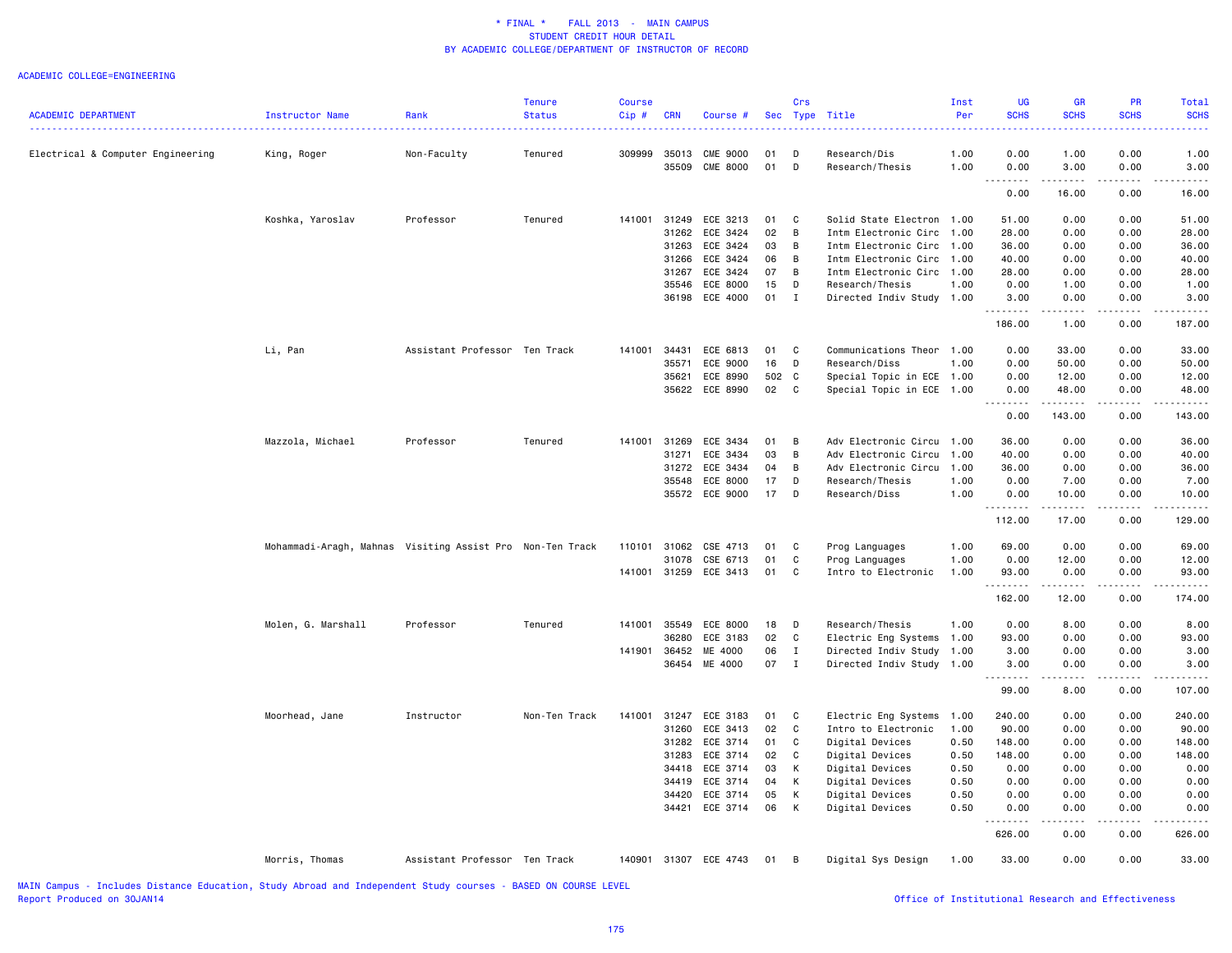#### ACADEMIC COLLEGE=ENGINEERING

| <b>ACADEMIC DEPARTMENT</b>        | Instructor Name                                           | Rank                          | <b>Tenure</b><br><b>Status</b> | <b>Course</b><br>Cip# | <b>CRN</b>     | Course #                          |          | Crs            | Sec Type Title                               | Inst<br>Per  | <b>UG</b><br><b>SCHS</b> | <b>GR</b><br><b>SCHS</b> | PR<br><b>SCHS</b> | Total<br><b>SCHS</b>                                                                                                                                           |
|-----------------------------------|-----------------------------------------------------------|-------------------------------|--------------------------------|-----------------------|----------------|-----------------------------------|----------|----------------|----------------------------------------------|--------------|--------------------------|--------------------------|-------------------|----------------------------------------------------------------------------------------------------------------------------------------------------------------|
| Electrical & Computer Engineering | King, Roger                                               | Non-Faculty                   | Tenured                        | 309999                | 35509          | 35013 CME 9000<br><b>CME 8000</b> | 01<br>01 | D<br>D         | Research/Dis<br>Research/Thesis              | 1.00<br>1.00 | 0.00<br>0.00             | 1.00<br>3.00             | 0.00<br>0.00      | 1.00<br>3.00                                                                                                                                                   |
|                                   |                                                           |                               |                                |                       |                |                                   |          |                |                                              |              | 0.00                     | 16.00                    | 0.00              | 16.00                                                                                                                                                          |
|                                   |                                                           |                               |                                |                       |                |                                   |          |                |                                              |              |                          |                          |                   |                                                                                                                                                                |
|                                   | Koshka, Yaroslav                                          | Professor                     | Tenured                        | 141001                | 31249          | ECE 3213                          | 01       | C              | Solid State Electron                         | 1.00         | 51.00                    | 0.00                     | 0.00              | 51.00                                                                                                                                                          |
|                                   |                                                           |                               |                                |                       | 31262          | ECE 3424                          | 02       | B              | Intm Electronic Circ 1.00                    |              | 28.00                    | 0.00                     | 0.00              | 28.00                                                                                                                                                          |
|                                   |                                                           |                               |                                |                       | 31263<br>31266 | ECE 3424<br>ECE 3424              | 03<br>06 | B<br>B         | Intm Electronic Circ                         | 1.00<br>1.00 | 36.00                    | 0.00<br>0.00             | 0.00<br>0.00      | 36.00<br>40.00                                                                                                                                                 |
|                                   |                                                           |                               |                                |                       | 31267          | ECE 3424                          | 07       | B              | Intm Electronic Circ<br>Intm Electronic Circ | 1.00         | 40.00<br>28.00           | 0.00                     | 0.00              | 28.00                                                                                                                                                          |
|                                   |                                                           |                               |                                |                       | 35546          | ECE 8000                          | 15       | D              | Research/Thesis                              | 1.00         | 0.00                     | 1.00                     | 0.00              | 1.00                                                                                                                                                           |
|                                   |                                                           |                               |                                |                       |                | 36198 ECE 4000                    | 01       | $\blacksquare$ | Directed Indiv Study 1.00                    |              | 3.00                     | 0.00                     | 0.00              | 3.00                                                                                                                                                           |
|                                   |                                                           |                               |                                |                       |                |                                   |          |                |                                              |              | .<br>186.00              | .<br>1.00                | .<br>0.00         | $\frac{1}{2} \left( \frac{1}{2} \right) \left( \frac{1}{2} \right) \left( \frac{1}{2} \right) \left( \frac{1}{2} \right) \left( \frac{1}{2} \right)$<br>187.00 |
|                                   | Li, Pan                                                   | Assistant Professor Ten Track |                                | 141001                | 34431          | ECE 6813                          | 01       | C              | Communications Theor 1.00                    |              | 0.00                     | 33.00                    | 0.00              | 33.00                                                                                                                                                          |
|                                   |                                                           |                               |                                |                       | 35571          | ECE 9000                          | 16       | D              | Research/Diss                                | 1.00         | 0.00                     | 50.00                    | 0.00              | 50.00                                                                                                                                                          |
|                                   |                                                           |                               |                                |                       | 35621          | ECE 8990                          | 502 C    |                | Special Topic in ECE                         | 1.00         | 0.00                     | 12.00                    | 0.00              | 12.00                                                                                                                                                          |
|                                   |                                                           |                               |                                |                       |                | 35622 ECE 8990                    | 02       | $\mathbf{C}$   | Special Topic in ECE 1.00                    |              | 0.00                     | 48.00                    | 0.00              | 48.00                                                                                                                                                          |
|                                   |                                                           |                               |                                |                       |                |                                   |          |                |                                              |              | .<br>0.00                | .<br>143.00              | .<br>0.00         | . <u>.</u> .<br>143.00                                                                                                                                         |
|                                   | Mazzola, Michael                                          | Professor                     | Tenured                        | 141001                | 31269          | ECE 3434                          | 01       | B              | Adv Electronic Circu                         | 1.00         | 36.00                    | 0.00                     | 0.00              | 36.00                                                                                                                                                          |
|                                   |                                                           |                               |                                |                       | 31271          | ECE 3434                          | 03       | B              | Adv Electronic Circu                         | 1.00         | 40.00                    | 0.00                     | 0.00              | 40.00                                                                                                                                                          |
|                                   |                                                           |                               |                                |                       |                | 31272 ECE 3434                    | 04       | B              | Adv Electronic Circu                         | 1.00         | 36.00                    | 0.00                     | 0.00              | 36.00                                                                                                                                                          |
|                                   |                                                           |                               |                                |                       |                | 35548 ECE 8000                    | 17       | D              | Research/Thesis                              | 1.00         | 0.00                     | 7.00                     | 0.00              | 7.00                                                                                                                                                           |
|                                   |                                                           |                               |                                |                       |                | 35572 ECE 9000                    | 17       | D              | Research/Diss                                | 1.00         | 0.00                     | 10.00                    | 0.00              | 10.00                                                                                                                                                          |
|                                   |                                                           |                               |                                |                       |                |                                   |          |                |                                              |              | .<br>112.00              | 17.00                    | 0.00              | 129.00                                                                                                                                                         |
|                                   | Mohammadi-Aragh, Mahnas Visiting Assist Pro Non-Ten Track |                               |                                | 110101                |                | 31062 CSE 4713                    | 01       | $\mathbf{C}$   | Prog Languages                               | 1.00         | 69.00                    | 0.00                     | 0.00              | 69.00                                                                                                                                                          |
|                                   |                                                           |                               |                                |                       | 31078          | CSE 6713                          | 01       | C              | Prog Languages                               | 1.00         | 0.00                     | 12.00                    | 0.00              | 12.00                                                                                                                                                          |
|                                   |                                                           |                               |                                |                       |                | 141001 31259 ECE 3413             | 01       | $\overline{c}$ | Intro to Electronic                          | 1.00         | 93.00                    | 0.00                     | 0.00              | 93.00                                                                                                                                                          |
|                                   |                                                           |                               |                                |                       |                |                                   |          |                |                                              |              | .<br>162.00              | .<br>12.00               | .<br>0.00         | .<br>174.00                                                                                                                                                    |
|                                   | Molen, G. Marshall                                        | Professor                     | Tenured                        | 141001                | 35549          | ECE 8000                          | 18       | D              | Research/Thesis                              | 1.00         | 0.00                     | 8.00                     | 0.00              | 8,00                                                                                                                                                           |
|                                   |                                                           |                               |                                |                       | 36280          | ECE 3183                          | 02       | $\mathbf C$    | Electric Eng Systems 1.00                    |              | 93.00                    | 0.00                     | 0.00              | 93.00                                                                                                                                                          |
|                                   |                                                           |                               |                                | 141901                | 36452          | ME 4000                           | 06       | I              | Directed Indiv Study 1.00                    |              | 3.00                     | 0.00                     | 0.00              | 3.00                                                                                                                                                           |
|                                   |                                                           |                               |                                |                       | 36454          | ME 4000                           | 07       | $\blacksquare$ | Directed Indiv Study 1.00                    |              | 3.00<br>.                | 0.00                     | 0.00              | 3.00                                                                                                                                                           |
|                                   |                                                           |                               |                                |                       |                |                                   |          |                |                                              |              | 99.00                    | 8.00                     | 0.00              | 107.00                                                                                                                                                         |
|                                   | Moorhead, Jane                                            | Instructor                    | Non-Ten Track                  | 141001                | 31247          | ECE 3183                          | 01       | C              | Electric Eng Systems 1.00                    |              | 240.00                   | 0.00                     | 0.00              | 240.00                                                                                                                                                         |
|                                   |                                                           |                               |                                |                       | 31260          | ECE 3413                          | 02       | C              | Intro to Electronic                          | 1.00         | 90.00                    | 0.00                     | 0.00              | 90.00                                                                                                                                                          |
|                                   |                                                           |                               |                                |                       | 31282          | ECE 3714                          | 01       | C              | Digital Devices                              | 0.50         | 148.00                   | 0.00                     | 0.00              | 148.00                                                                                                                                                         |
|                                   |                                                           |                               |                                |                       | 31283          | ECE 3714                          | 02       | C              | Digital Devices                              | 0.50         | 148.00                   | 0.00                     | 0.00              | 148.00                                                                                                                                                         |
|                                   |                                                           |                               |                                |                       | 34418          | ECE 3714                          | 03       | K              | Digital Devices                              | 0.50         | 0.00                     | 0.00                     | 0.00              | 0.00                                                                                                                                                           |
|                                   |                                                           |                               |                                |                       | 34419          | ECE 3714                          | 04       | K              | Digital Devices                              | 0.50         | 0.00                     | 0.00                     | 0.00              | 0.00                                                                                                                                                           |
|                                   |                                                           |                               |                                |                       | 34420<br>34421 | ECE 3714<br>ECE 3714              | 05<br>06 | K<br>K         | Digital Devices<br>Digital Devices           | 0.50<br>0.50 | 0.00<br>0.00             | 0.00<br>0.00             | 0.00<br>0.00      | 0.00<br>0.00                                                                                                                                                   |
|                                   |                                                           |                               |                                |                       |                |                                   |          |                |                                              |              | 626.00                   | 0.00                     | 0.00              | 626.00                                                                                                                                                         |
|                                   |                                                           |                               |                                |                       |                |                                   |          |                |                                              |              |                          |                          |                   |                                                                                                                                                                |
|                                   | Morris, Thomas                                            | Assistant Professor Ten Track |                                |                       |                | 140901 31307 ECE 4743             | 01       | $\overline{B}$ | Digital Sys Design                           | 1.00         | 33.00                    | 0.00                     | 0.00              | 33.00                                                                                                                                                          |

MAIN Campus - Includes Distance Education, Study Abroad and Independent Study courses - BASED ON COURSE LEVEL

# Office of Institutional Research and Effectiveness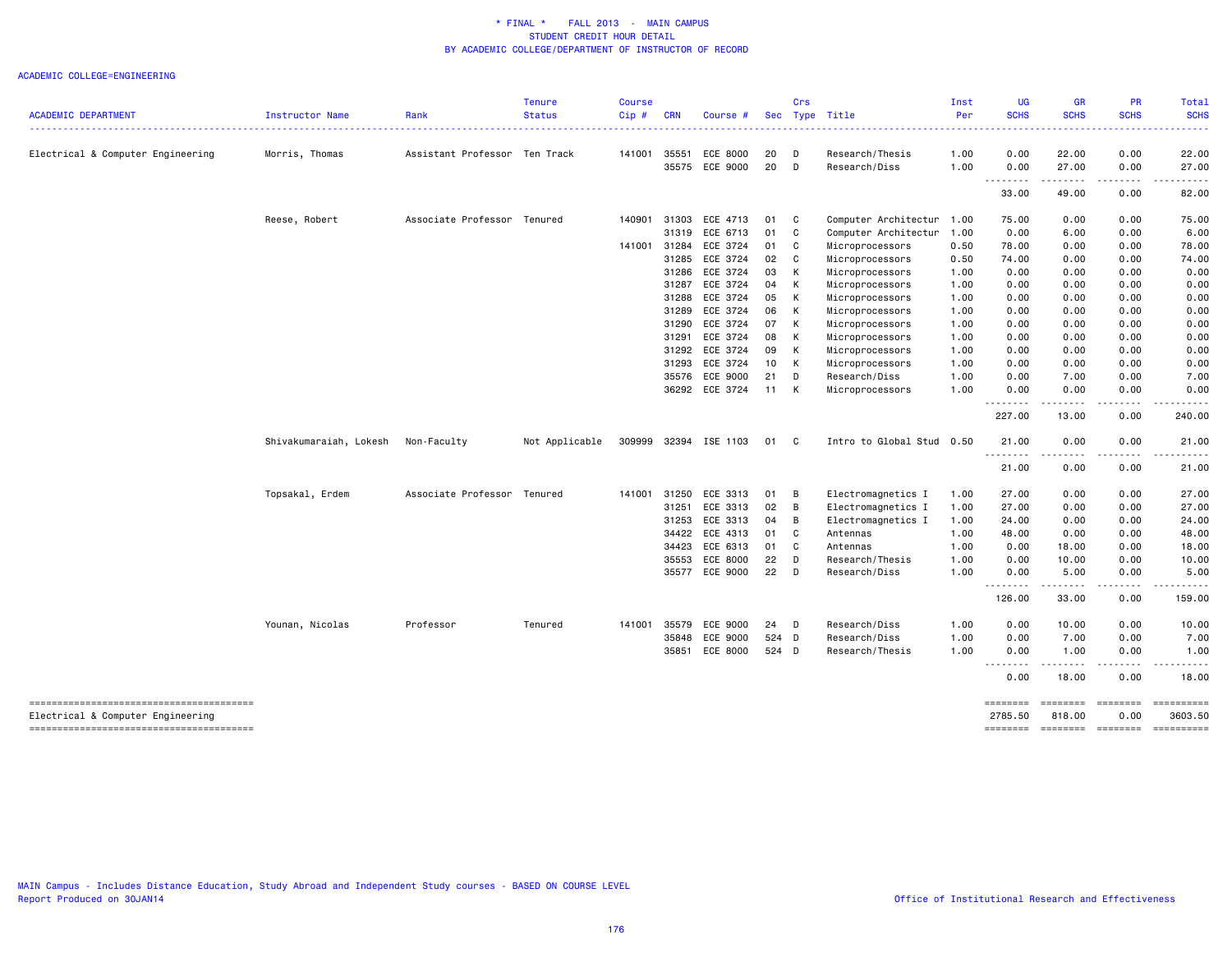| <b>ACADEMIC DEPARTMENT</b>                                                  | Instructor Name        | Rank                          | <b>Tenure</b><br><b>Status</b> | <b>Course</b><br>Cip# | <b>CRN</b> | Course #       |       | Crs | Sec Type Title            | Inst<br>Per | <b>UG</b><br><b>SCHS</b> | <b>GR</b><br><b>SCHS</b> | <b>PR</b><br><b>SCHS</b> | Total<br><b>SCHS</b> |
|-----------------------------------------------------------------------------|------------------------|-------------------------------|--------------------------------|-----------------------|------------|----------------|-------|-----|---------------------------|-------------|--------------------------|--------------------------|--------------------------|----------------------|
|                                                                             |                        |                               |                                |                       |            |                |       |     |                           |             | <u> - - - - - - - -</u>  | .                        | .                        | .                    |
| Electrical & Computer Engineering                                           | Morris, Thomas         | Assistant Professor Ten Track |                                | 141001                | 35551      | ECE 8000       | 20    | D   | Research/Thesis           | 1.00        | 0.00                     | 22.00                    | 0.00                     | 22.00                |
|                                                                             |                        |                               |                                |                       | 35575      | ECE 9000       | 20    | D   | Research/Diss             | 1.00        | 0.00                     | 27.00                    | 0.00                     | 27.00                |
|                                                                             |                        |                               |                                |                       |            |                |       |     |                           |             | .<br>33.00               | .<br>49.00               | .<br>0.00                | 82.00                |
|                                                                             | Reese, Robert          | Associate Professor Tenured   |                                | 140901                | 31303      | ECE 4713       | 01    | C   | Computer Architectur      | 1.00        | 75.00                    | 0.00                     | 0.00                     | 75.00                |
|                                                                             |                        |                               |                                |                       | 31319      | ECE 6713       | 01    | C   | Computer Architectur      | 1.00        | 0.00                     | 6.00                     | 0.00                     | 6.00                 |
|                                                                             |                        |                               |                                | 141001                | 31284      | ECE 3724       | 01    | C   | Microprocessors           | 0.50        | 78.00                    | 0.00                     | 0.00                     | 78.00                |
|                                                                             |                        |                               |                                |                       | 31285      | ECE 3724       | 02    | C   | Microprocessors           | 0.50        | 74.00                    | 0.00                     | 0.00                     | 74.00                |
|                                                                             |                        |                               |                                |                       | 31286      | ECE 3724       | 03    | К   | Microprocessors           | 1.00        | 0.00                     | 0.00                     | 0.00                     | 0.00                 |
|                                                                             |                        |                               |                                |                       | 31287      | ECE 3724       | 04    | К   | Microprocessors           | 1.00        | 0.00                     | 0.00                     | 0.00                     | 0.00                 |
|                                                                             |                        |                               |                                |                       | 31288      | ECE 3724       | 05    | К   | Microprocessors           | 1.00        | 0.00                     | 0.00                     | 0.00                     | 0.00                 |
|                                                                             |                        |                               |                                |                       | 31289      | ECE 3724       | 06    | К   | Microprocessors           | 1.00        | 0.00                     | 0.00                     | 0.00                     | 0.00                 |
|                                                                             |                        |                               |                                |                       | 31290      | ECE 3724       | 07    | К   | Microprocessors           | 1.00        | 0.00                     | 0.00                     | 0.00                     | 0.00                 |
|                                                                             |                        |                               |                                |                       | 31291      | ECE 3724       | 08    | К   | Microprocessors           | 1.00        | 0.00                     | 0.00                     | 0.00                     | 0.00                 |
|                                                                             |                        |                               |                                |                       | 31292      | ECE 3724       | 09    | К   | Microprocessors           | 1.00        | 0.00                     | 0.00                     | 0.00                     | 0.00                 |
|                                                                             |                        |                               |                                |                       | 31293      | ECE 3724       | 10    | К   | Microprocessors           | 1.00        | 0.00                     | 0.00                     | 0.00                     | 0.00                 |
|                                                                             |                        |                               |                                |                       | 35576      | ECE 9000       | 21    | D   | Research/Diss             | 1.00        | 0.00                     | 7.00                     | 0.00                     | 7.00                 |
|                                                                             |                        |                               |                                |                       |            | 36292 ECE 3724 | 11    | К   | Microprocessors           | 1.00        | 0.00<br>.                | 0.00<br>-----            | 0.00<br>. <b>.</b>       | 0.00<br>. <b>.</b> . |
|                                                                             |                        |                               |                                |                       |            |                |       |     |                           |             | 227.00                   | 13.00                    | 0.00                     | 240.00               |
|                                                                             | Shivakumaraiah, Lokesh | Non-Faculty                   | Not Applicable                 | 309999                |            | 32394 ISE 1103 | 01    | C   | Intro to Global Stud 0.50 |             | 21.00<br>--------        | 0.00                     | 0.00                     | 21.00                |
|                                                                             |                        |                               |                                |                       |            |                |       |     |                           |             | 21.00                    | 0.00                     | 0.00                     | 21.00                |
|                                                                             | Topsakal, Erdem        | Associate Professor Tenured   |                                | 141001                | 31250      | ECE 3313       | 01    | B   | Electromagnetics I        | 1.00        | 27.00                    | 0.00                     | 0.00                     | 27.00                |
|                                                                             |                        |                               |                                |                       | 31251      | ECE 3313       | 02    | B   | Electromagnetics I        | 1.00        | 27.00                    | 0.00                     | 0.00                     | 27.00                |
|                                                                             |                        |                               |                                |                       | 31253      | ECE 3313       | 04    | B   | Electromagnetics I        | 1.00        | 24.00                    | 0.00                     | 0.00                     | 24.00                |
|                                                                             |                        |                               |                                |                       | 34422      | ECE 4313       | 01    | C   | Antennas                  | 1.00        | 48.00                    | 0.00                     | 0.00                     | 48.00                |
|                                                                             |                        |                               |                                |                       | 34423      | ECE 6313       | 01    | C   | Antennas                  | 1.00        | 0.00                     | 18.00                    | 0.00                     | 18.00                |
|                                                                             |                        |                               |                                |                       | 35553      | ECE 8000       | 22    | D   | Research/Thesis           | 1.00        | 0.00                     | 10.00                    | 0.00                     | 10.00                |
|                                                                             |                        |                               |                                |                       | 35577      | ECE 9000       | 22    | D   | Research/Diss             | 1.00        | 0.00                     | 5.00<br>.                | 0.00<br>.                | 5.00<br>.            |
|                                                                             |                        |                               |                                |                       |            |                |       |     |                           |             | 126.00                   | 33.00                    | 0.00                     | 159.00               |
|                                                                             | Younan, Nicolas        | Professor                     | Tenured                        | 141001                | 35579      | ECE 9000       | 24    | D   | Research/Diss             | 1.00        | 0.00                     | 10.00                    | 0.00                     | 10.00                |
|                                                                             |                        |                               |                                |                       | 35848      | ECE 9000       | 524 D |     | Research/Diss             | 1.00        | 0.00                     | 7.00                     | 0.00                     | 7.00                 |
|                                                                             |                        |                               |                                |                       | 35851      | ECE 8000       | 524 D |     | Research/Thesis           | 1.00        | 0.00                     | 1.00                     | 0.00                     | 1.00                 |
|                                                                             |                        |                               |                                |                       |            |                |       |     |                           |             | --------<br>0.00         | .<br>18.00               | .<br>0.00                | .<br>18.00           |
|                                                                             |                        |                               |                                |                       |            |                |       |     |                           |             | ========                 |                          | ======== =======         | ==========           |
| Electrical & Computer Engineering<br>-------------------------------------- |                        |                               |                                |                       |            |                |       |     |                           |             | 2785.50<br>========      | 818.00<br>========       | 0.00<br><b>ESSESSES</b>  | 3603.50              |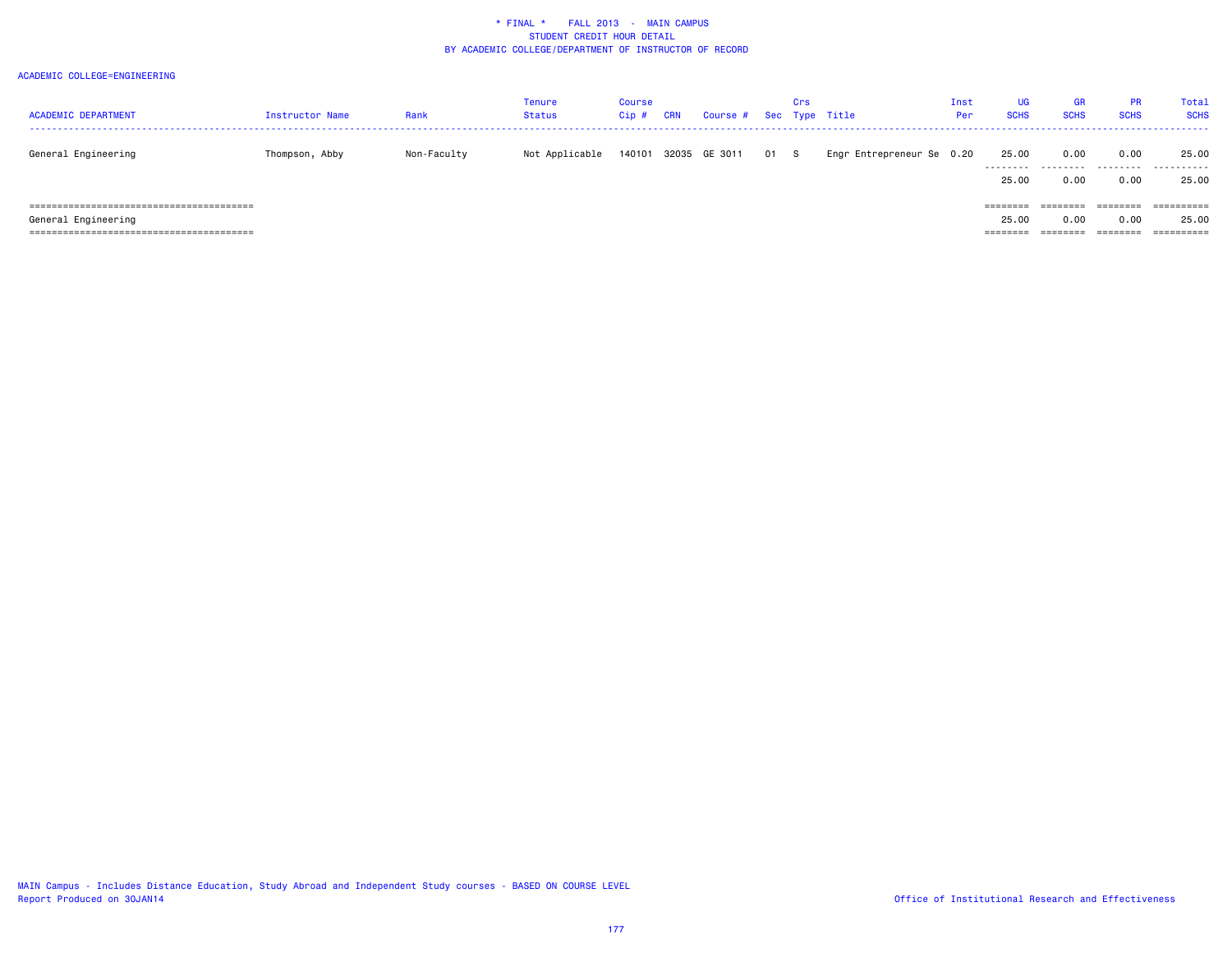| <b>ACADEMIC DEPARTMENT</b> | Instructor Name | Rank        | Tenure<br><b>Status</b> | <b>Course</b><br>$Cip$ # | CRN | Course # Sec Type Title |      | Crs |                           | Inst<br><b>Per</b> | UG<br><b>SCHS</b> | <b>GR</b><br><b>SCHS</b> | <b>PR</b><br><b>SCHS</b> | Tota:<br><b>SCHS</b> |
|----------------------------|-----------------|-------------|-------------------------|--------------------------|-----|-------------------------|------|-----|---------------------------|--------------------|-------------------|--------------------------|--------------------------|----------------------|
| General Engineering        | Thompson, Abby  | Non-Faculty | Not Applicable          | 140101                   |     | 32035 GE 3011           | 01 S |     | Engr Entrepreneur Se 0.20 |                    | 25.00<br>.        | 0.00<br>.                | 0.00<br>.                | 25.00<br>.           |
|                            |                 |             |                         |                          |     |                         |      |     |                           |                    | 25.00             | 0.00                     | 0.00                     | 25.00                |
|                            |                 |             |                         |                          |     |                         |      |     |                           |                    | ========          | ========                 | ========                 | ==========           |
| General Engineering        |                 |             |                         |                          |     |                         |      |     |                           |                    | 25.00             | 0.00                     | 0.00                     | 25.00                |
|                            |                 |             |                         |                          |     |                         |      |     |                           |                    | ========          | ========                 | ========                 |                      |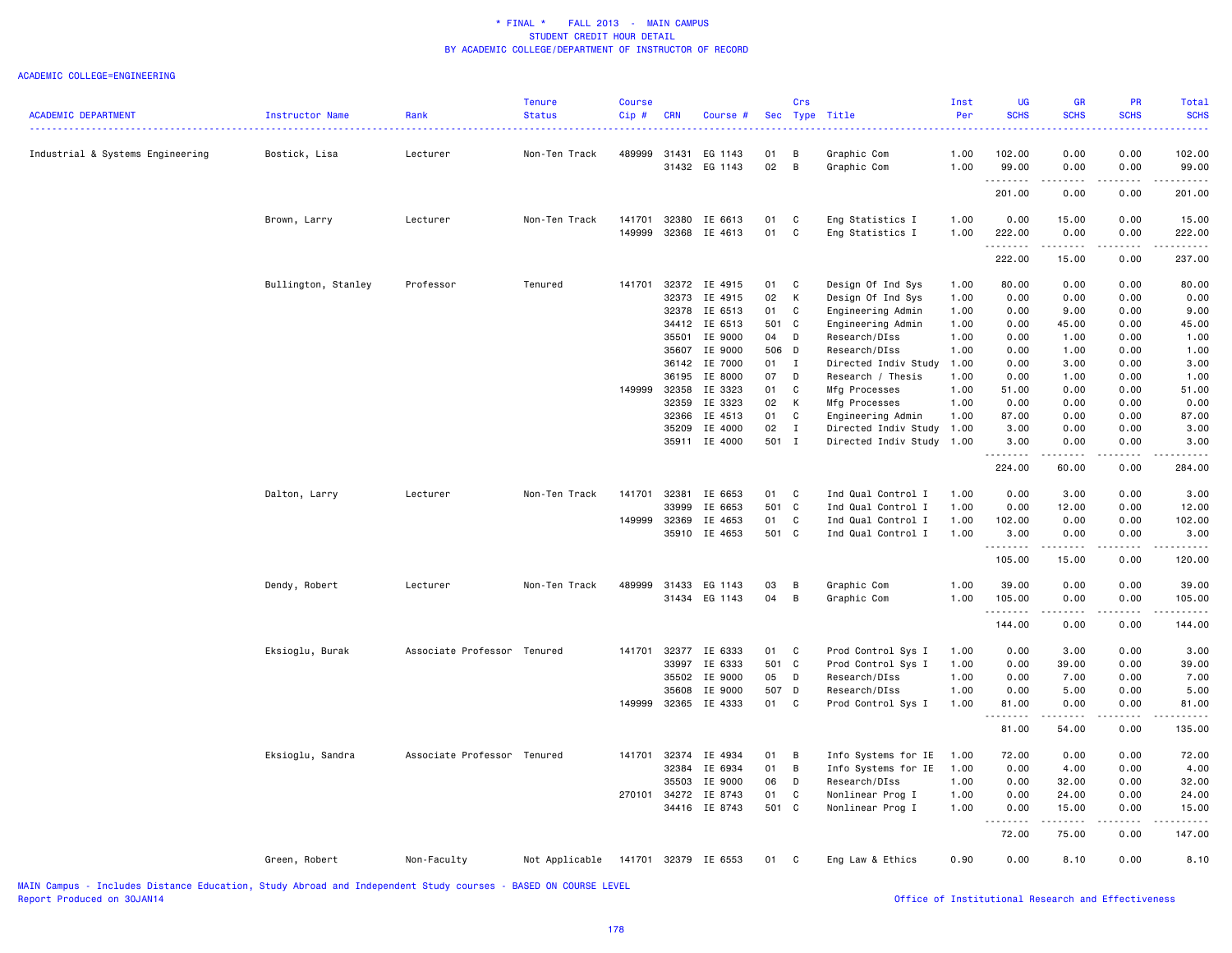#### ACADEMIC COLLEGE=ENGINEERING

| <b>ACADEMIC DEPARTMENT</b>                                                                                                                                                                                                    | Instructor Name     | Rank                                           | <b>Tenure</b><br><b>Status</b> | Course<br>Cip# | <b>CRN</b> | Course #                 | Sec      | Crs          | Type Title                             | Inst<br>Per  | UG<br><b>SCHS</b> | GR<br><b>SCHS</b>               | PR<br><b>SCHS</b>                                                                                                                       | <b>Total</b><br><b>SCHS</b> |
|-------------------------------------------------------------------------------------------------------------------------------------------------------------------------------------------------------------------------------|---------------------|------------------------------------------------|--------------------------------|----------------|------------|--------------------------|----------|--------------|----------------------------------------|--------------|-------------------|---------------------------------|-----------------------------------------------------------------------------------------------------------------------------------------|-----------------------------|
| Industrial & Systems Engineering                                                                                                                                                                                              | Bostick, Lisa       | Lecturer                                       | Non-Ten Track                  | 489999         | 31431      | EG 1143<br>31432 EG 1143 | 01<br>02 | B<br>B       | Graphic Com<br>Graphic Com             | 1.00<br>1.00 | 102.00<br>99.00   | 0.00<br>0.00                    | 0.00<br>0.00                                                                                                                            | 102.00<br>99.00             |
|                                                                                                                                                                                                                               |                     |                                                |                                |                |            |                          |          |              |                                        |              | 201.00            | 0.00                            | 0.00                                                                                                                                    | 201.00                      |
|                                                                                                                                                                                                                               | Brown, Larry        | Lecturer                                       | Non-Ten Track                  | 141701         | 32380      | IE 6613                  | 01       | C            | Eng Statistics I                       | 1.00         | 0.00              | 15.00                           | 0.00                                                                                                                                    | 15.00                       |
|                                                                                                                                                                                                                               |                     |                                                |                                | 149999         |            | 32368 IE 4613            | 01       | $\mathtt{C}$ | Eng Statistics I                       | 1.00         | 222.00<br>.       | 0.00<br>.                       | 0.00<br>.                                                                                                                               | 222.00                      |
|                                                                                                                                                                                                                               |                     |                                                |                                |                |            |                          |          |              |                                        |              | 222.00            | 15.00                           | 0.00                                                                                                                                    | 237.00                      |
|                                                                                                                                                                                                                               | Bullington, Stanley | Professor                                      | Tenured                        | 141701         | 32373      | 32372 IE 4915<br>IE 4915 | 01<br>02 | C<br>К       | Design Of Ind Sys<br>Design Of Ind Sys | 1.00<br>1.00 | 80.00<br>0.00     | 0.00<br>0.00                    | 0.00<br>0.00                                                                                                                            | 80.00<br>0.00               |
|                                                                                                                                                                                                                               |                     |                                                |                                |                |            | 32378 IE 6513            | 01       | $\mathtt{C}$ | Engineering Admin                      | 1.00         | 0.00              | 9.00                            | 0.00                                                                                                                                    | 9.00                        |
|                                                                                                                                                                                                                               |                     |                                                |                                |                |            | 34412 IE 6513            | 501 C    |              | Engineering Admin                      | 1.00         | 0.00              | 45.00                           | 0.00                                                                                                                                    | 45.00                       |
|                                                                                                                                                                                                                               |                     |                                                |                                |                | 35501      | IE 9000                  | 04       | D            | Research/DIss                          | 1.00         | 0.00              | 1.00                            | 0.00                                                                                                                                    | 1.00                        |
|                                                                                                                                                                                                                               |                     |                                                |                                |                |            | 35607 IE 9000            | 506 D    |              | Research/DIss                          | 1.00         | 0.00              | 1.00                            | 0.00                                                                                                                                    | 1.00                        |
|                                                                                                                                                                                                                               |                     |                                                |                                |                |            | 36142 IE 7000            | 01       | Ι.           | Directed Indiv Study                   | 1.00         | 0.00              | 3.00                            | 0.00                                                                                                                                    | 3.00                        |
|                                                                                                                                                                                                                               |                     |                                                |                                |                | 36195      | IE 8000                  | 07       | D            | Research / Thesis                      | 1.00         | 0.00              | 1.00                            | 0.00                                                                                                                                    | 1.00                        |
|                                                                                                                                                                                                                               |                     |                                                |                                | 149999         | 32358      | IE 3323                  | 01       | C            | Mfg Processes                          | 1.00         | 51.00             | 0.00                            | 0.00                                                                                                                                    | 51.00                       |
|                                                                                                                                                                                                                               |                     |                                                |                                |                | 32359      | IE 3323                  | 02       | К            | Mfg Processes                          | 1.00         | 0.00              | 0.00                            | 0.00                                                                                                                                    | 0.00                        |
|                                                                                                                                                                                                                               |                     |                                                |                                |                |            | 32366 IE 4513            | 01       | C            | Engineering Admin                      | 1.00         | 87.00             | 0.00                            | 0.00                                                                                                                                    | 87.00                       |
|                                                                                                                                                                                                                               |                     |                                                |                                |                | 35209      | IE 4000                  | 02       | Ι.           | Directed Indiv Study                   | 1.00         | 3.00              | 0.00                            | 0.00                                                                                                                                    | 3.00                        |
|                                                                                                                                                                                                                               |                     |                                                |                                |                |            | 35911 IE 4000            | 501 I    |              | Directed Indiv Study                   | 1.00         | 3.00<br>-----     | 0.00<br>.                       | 0.00<br>.                                                                                                                               | 3.00                        |
|                                                                                                                                                                                                                               |                     |                                                |                                |                |            |                          |          |              |                                        |              | 224.00            | 60.00                           | 0.00                                                                                                                                    | 284.00                      |
|                                                                                                                                                                                                                               | Dalton, Larry       | Lecturer                                       | Non-Ten Track                  | 141701         | 32381      | IE 6653                  | 01       | C            | Ind Qual Control I                     | 1.00         | 0.00              | 3.00                            | 0.00                                                                                                                                    | 3.00                        |
|                                                                                                                                                                                                                               |                     |                                                |                                |                | 33999      | IE 6653                  | 501 C    |              | Ind Qual Control I                     | 1.00         | 0.00              | 12.00                           | 0.00                                                                                                                                    | 12.00                       |
|                                                                                                                                                                                                                               |                     |                                                |                                | 149999         | 32369      | IE 4653                  | 01       | C            | Ind Qual Control I                     | 1.00         | 102.00            | 0.00                            | 0.00                                                                                                                                    | 102.00                      |
|                                                                                                                                                                                                                               |                     |                                                |                                |                |            | 35910 IE 4653            | 501 C    |              | Ind Qual Control I                     | 1.00         | 3.00<br>.         | 0.00<br>.                       | 0.00<br>$\mathcal{L}^{\mathcal{A}}\mathcal{L}^{\mathcal{A}}\mathcal{L}^{\mathcal{A}}\mathcal{L}^{\mathcal{A}}\mathcal{L}^{\mathcal{A}}$ | 3.00<br>$- - - - - - -$     |
|                                                                                                                                                                                                                               |                     |                                                |                                |                |            |                          |          |              |                                        |              | 105.00            | 15.00                           | 0.00                                                                                                                                    | 120.00                      |
|                                                                                                                                                                                                                               | Dendy, Robert       | Lecturer                                       | Non-Ten Track                  | 489999         | 31433      | EG 1143                  | 03       | B            | Graphic Com                            | 1.00         | 39.00             | 0.00                            | 0.00                                                                                                                                    | 39.00                       |
|                                                                                                                                                                                                                               |                     |                                                |                                |                | 31434      | EG 1143                  | 04       | B            | Graphic Com                            | 1.00         | 105.00<br>.       | 0.00<br>$\omega$ is $\omega$ in | 0.00<br>.                                                                                                                               | 105.00<br><u>.</u>          |
|                                                                                                                                                                                                                               |                     |                                                |                                |                |            |                          |          |              |                                        |              | 144.00            | 0.00                            | 0.00                                                                                                                                    | 144.00                      |
|                                                                                                                                                                                                                               | Eksioglu, Burak     | Associate Professor Tenured                    |                                | 141701         | 32377      | IE 6333                  | 01       | $\mathbf{C}$ | Prod Control Sys I                     | 1.00         | 0.00              | 3.00                            | 0.00                                                                                                                                    | 3.00                        |
|                                                                                                                                                                                                                               |                     |                                                |                                |                | 33997      | IE 6333                  | 501 C    |              | Prod Control Sys I                     | 1.00         | 0.00              | 39.00                           | 0.00                                                                                                                                    | 39.00                       |
|                                                                                                                                                                                                                               |                     |                                                |                                |                | 35502      | IE 9000                  | 05       | D            | Research/DIss                          | 1.00         | 0.00              | 7.00                            | 0.00                                                                                                                                    | 7.00                        |
|                                                                                                                                                                                                                               |                     |                                                |                                |                | 35608      | IE 9000                  | 507      | D            | Research/DIss                          | 1.00         | 0.00              | 5.00                            | 0.00                                                                                                                                    | 5.00                        |
|                                                                                                                                                                                                                               |                     |                                                |                                | 149999         |            | 32365 IE 4333            | 01       | C            | Prod Control Sys I                     | 1.00         | 81.00<br>.        | 0.00<br>.                       | 0.00<br>$\omega$ is a set of                                                                                                            | 81.00<br>.                  |
|                                                                                                                                                                                                                               |                     |                                                |                                |                |            |                          |          |              |                                        |              | 81.00             | 54.00                           | 0.00                                                                                                                                    | 135.00                      |
|                                                                                                                                                                                                                               | Eksioglu, Sandra    | Associate Professor Tenured                    |                                | 141701         |            | 32374 IE 4934            | 01       | В            | Info Systems for IE                    | 1.00         | 72.00             | 0.00                            | 0.00                                                                                                                                    | 72.00                       |
|                                                                                                                                                                                                                               |                     |                                                |                                |                | 32384      | IE 6934                  | 01       | B            | Info Systems for IE                    | 1.00         | 0.00              | 4.00                            | 0.00                                                                                                                                    | 4.00                        |
|                                                                                                                                                                                                                               |                     |                                                |                                |                | 35503      | IE 9000                  | 06       | D            | Research/DIss                          | 1.00         | 0.00              | 32.00                           | 0.00                                                                                                                                    | 32.00                       |
|                                                                                                                                                                                                                               |                     |                                                |                                | 270101         | 34272      | IE 8743                  | 01       | C            | Nonlinear Prog I                       | 1.00         | 0.00              | 24.00                           | 0.00                                                                                                                                    | 24.00                       |
|                                                                                                                                                                                                                               |                     |                                                |                                |                |            | 34416 IE 8743            | 501 C    |              | Nonlinear Prog I                       | 1.00         | 0.00<br>.         | 15.00<br>.                      | 0.00<br>.                                                                                                                               | 15.00<br>.                  |
|                                                                                                                                                                                                                               |                     |                                                |                                |                |            |                          |          |              |                                        |              | 72.00             | 75.00                           | 0.00                                                                                                                                    | 147.00                      |
|                                                                                                                                                                                                                               | Green, Robert       | Non-Faculty                                    | Not Applicable                 |                |            | 141701 32379 IE 6553     | 01 C     |              | Eng Law & Ethics                       | 0.90         | 0.00              | 8.10                            | 0.00                                                                                                                                    | 8.10                        |
| . Which is a local complete that the contract of the contract of the contract of the contract of the contract of the contract of the contract of the contract of the contract of the contract of the contract of the contract |                     | المتواصل والمتحدث والمتحافظ المتعاطف والمتحاول | <b>BASED ON COURSE LEVEL</b>   |                |            |                          |          |              |                                        |              |                   |                                 |                                                                                                                                         |                             |

Office of Institutional Research and Effectiveness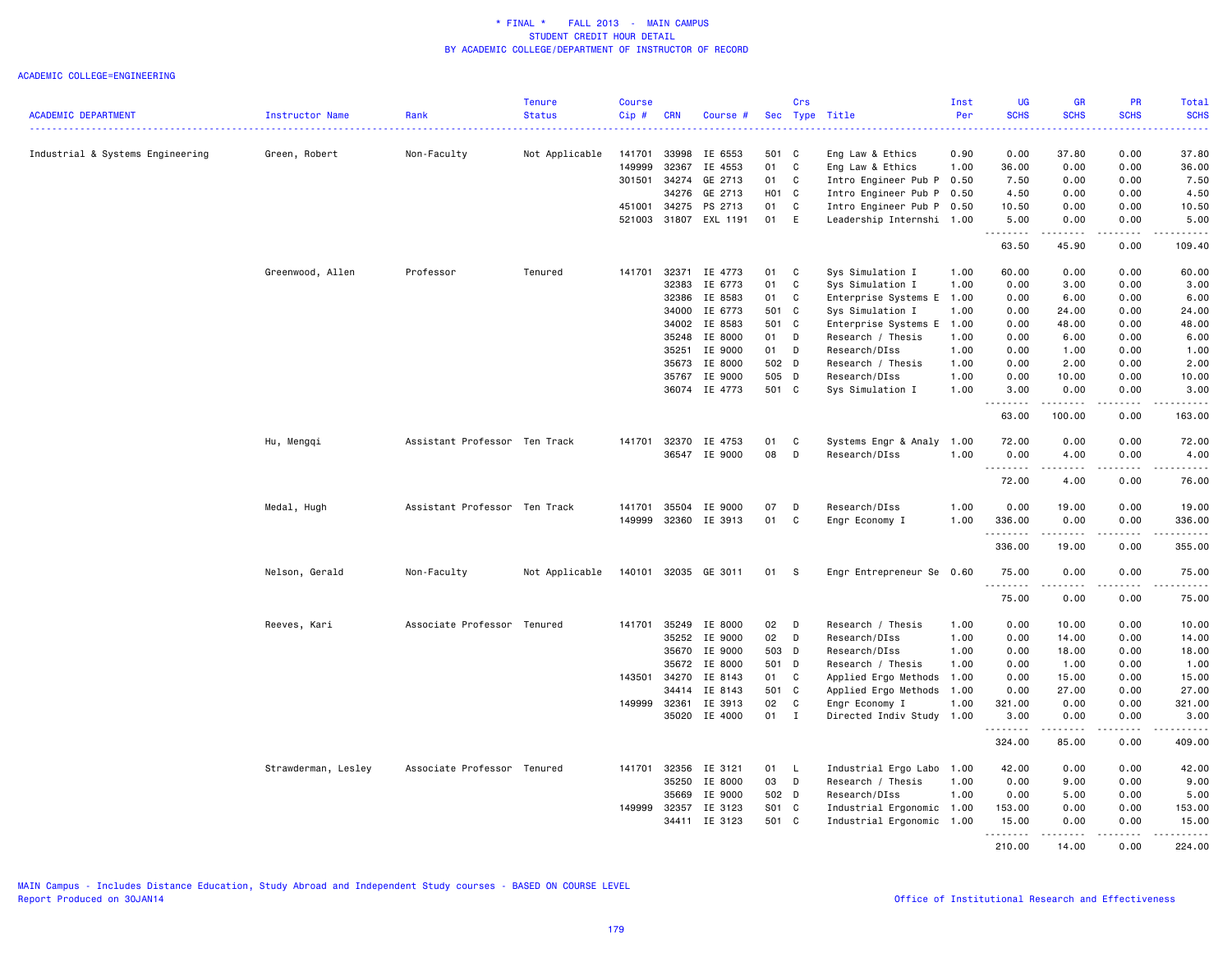|                                  |                     |                               | <b>Tenure</b>  | <b>Course</b> |              |                |       | Crs          |                           | Inst | <b>UG</b>        | <b>GR</b>     | PR                                  | Total                                                                                                                 |
|----------------------------------|---------------------|-------------------------------|----------------|---------------|--------------|----------------|-------|--------------|---------------------------|------|------------------|---------------|-------------------------------------|-----------------------------------------------------------------------------------------------------------------------|
| <b>ACADEMIC DEPARTMENT</b>       | Instructor Name     | Rank                          | <b>Status</b>  | $Cip$ #       | <b>CRN</b>   | Course #       | Sec   | Type         | Title                     | Per  | <b>SCHS</b><br>. | <b>SCHS</b>   | <b>SCHS</b>                         | <b>SCHS</b><br>.                                                                                                      |
| Industrial & Systems Engineering | Green, Robert       | Non-Faculty                   | Not Applicable | 141701        | 33998        | IE 6553        | 501   | C            | Eng Law & Ethics          | 0.90 | 0.00             | 37.80         | 0.00                                | 37.80                                                                                                                 |
|                                  |                     |                               |                | 149999        | 32367        | IE 4553        | 01    | C            | Eng Law & Ethics          | 1.00 | 36.00            | 0.00          | 0.00                                | 36.00                                                                                                                 |
|                                  |                     |                               |                | 301501        | 34274        | GE 2713        | 01    | C            | Intro Engineer Pub P 0.50 |      | 7.50             | 0.00          | 0.00                                | 7.50                                                                                                                  |
|                                  |                     |                               |                |               | 34276        | GE 2713        | H01 C |              | Intro Engineer Pub P      | 0.50 | 4.50             | 0.00          | 0.00                                | 4.50                                                                                                                  |
|                                  |                     |                               |                | 451001        | 34275        | PS 2713        | 01    | C            | Intro Engineer Pub P 0.50 |      | 10.50            | 0.00          | 0.00                                | 10.50                                                                                                                 |
|                                  |                     |                               |                | 521003        |              | 31807 EXL 1191 | 01    | E            | Leadership Internshi 1.00 |      | 5.00             | 0.00          | 0.00                                | 5.00                                                                                                                  |
|                                  |                     |                               |                |               |              |                |       |              |                           |      | 63.50            | 45.90         | 0.00                                | 109.40                                                                                                                |
|                                  | Greenwood, Allen    | Professor                     | Tenured        | 141701        | 32371        | IE 4773        | 01    | C            | Sys Simulation I          | 1.00 | 60.00            | 0.00          | 0.00                                | 60.00                                                                                                                 |
|                                  |                     |                               |                |               | 32383        | IE 6773        | 01    | C            | Sys Simulation I          | 1.00 | 0.00             | 3.00          | 0.00                                | 3.00                                                                                                                  |
|                                  |                     |                               |                |               | 32386        | IE 8583        | 01    | C            | Enterprise Systems E      | 1.00 | 0.00             | 6.00          | 0.00                                | 6.00                                                                                                                  |
|                                  |                     |                               |                |               | 34000        | IE 6773        | 501 C |              | Sys Simulation I          | 1.00 | 0.00             | 24.00         | 0.00                                | 24.00                                                                                                                 |
|                                  |                     |                               |                |               | 34002        | IE 8583        | 501 C |              | Enterprise Systems<br>E   | 1.00 | 0.00             | 48.00         | 0.00                                | 48.00                                                                                                                 |
|                                  |                     |                               |                |               | 35248        | IE 8000        | 01    | D            | Research / Thesis         | 1.00 | 0.00             | 6.00          | 0.00                                | 6.00                                                                                                                  |
|                                  |                     |                               |                |               | 35251        | IE 9000        | 01    | D            | Research/DIss             | 1.00 | 0.00             | 1.00          | 0.00                                | 1.00                                                                                                                  |
|                                  |                     |                               |                |               | 35673        | IE 8000        | 502 D |              | Research / Thesis         | 1.00 | 0.00             | 2.00          | 0.00                                | 2.00                                                                                                                  |
|                                  |                     |                               |                |               | 35767        | IE 9000        | 505 D |              | Research/DIss             | 1.00 | 0.00             | 10.00         | 0.00                                | 10.00                                                                                                                 |
|                                  |                     |                               |                |               |              | 36074 IE 4773  | 501 C |              | Sys Simulation I          | 1.00 | 3.00<br>.        | 0.00<br>.     | 0.00<br>.                           | 3.00<br><b>.</b>                                                                                                      |
|                                  |                     |                               |                |               |              |                |       |              |                           |      | 63.00            | 100.00        | 0.00                                | 163.00                                                                                                                |
|                                  | Hu, Mengqi          | Assistant Professor Ten Track |                | 141701        | 32370        | IE 4753        | 01    | C            | Systems Engr & Analy      | 1.00 | 72.00            | 0.00          | 0.00                                | 72.00                                                                                                                 |
|                                  |                     |                               |                |               | 36547        | IE 9000        | 08    | D            | Research/DIss             | 1.00 | 0.00             | 4.00          | 0.00                                | 4.00                                                                                                                  |
|                                  |                     |                               |                |               |              |                |       |              |                           |      | .<br>72.00       | .<br>4.00     | $\sim$ $\sim$ $\sim$<br>0.00        | $    -$<br>76.00                                                                                                      |
|                                  | Medal, Hugh         | Assistant Professor Ten Track |                | 141701        | 35504        | IE 9000        | 07    | D            | Research/DIss             | 1.00 | 0.00             | 19.00         | 0.00                                | 19.00                                                                                                                 |
|                                  |                     |                               |                | 149999        | 32360        | IE 3913        | 01    | C            | Engr Economy I            | 1.00 | 336.00           | 0.00          | 0.00                                | 336.00                                                                                                                |
|                                  |                     |                               |                |               |              |                |       |              |                           |      | .<br>336.00      | .<br>19.00    | $\sim$ $\sim$ $\sim$<br>0.00        | $\begin{array}{cccccccccc} \bullet & \bullet & \bullet & \bullet & \bullet & \bullet & \bullet \end{array}$<br>355.00 |
|                                  | Nelson, Gerald      | Non-Faculty                   | Not Applicable | 140101        | 32035        | GE 3011        | 01    | - S          | Engr Entrepreneur Se 0.60 |      | 75.00            | 0.00          | 0.00                                | 75.00                                                                                                                 |
|                                  |                     |                               |                |               |              |                |       |              |                           |      | 75.00            | -----<br>0.00 | $- - - -$<br>0.00                   | .<br>75.00                                                                                                            |
|                                  | Reeves, Kari        | Associate Professor Tenured   |                | 141701        | 35249        | IE 8000        | 02    | D            | Research / Thesis         | 1.00 | 0.00             | 10.00         | 0.00                                | 10.00                                                                                                                 |
|                                  |                     |                               |                |               | 35252        | IE 9000        | 02    | D            | Research/DIss             | 1.00 | 0.00             | 14.00         | 0.00                                | 14.00                                                                                                                 |
|                                  |                     |                               |                |               | 35670        | IE 9000        | 503 D |              | Research/DIss             | 1.00 | 0.00             | 18.00         | 0.00                                | 18.00                                                                                                                 |
|                                  |                     |                               |                |               | 35672        | IE 8000        | 501 D |              | Research / Thesis         | 1.00 | 0.00             | 1.00          | 0.00                                | 1.00                                                                                                                  |
|                                  |                     |                               |                |               | 143501 34270 | IE 8143        | 01    | C            | Applied Ergo Methods      | 1.00 | 0.00             | 15.00         | 0.00                                | 15.00                                                                                                                 |
|                                  |                     |                               |                |               | 34414        | IE 8143        | 501   | $\mathbf{C}$ | Applied Ergo Methods      | 1.00 | 0.00             | 27.00         | 0.00                                | 27.00                                                                                                                 |
|                                  |                     |                               |                | 149999        | 32361        | IE 3913        | 02    | C            | Engr Economy I            | 1.00 | 321.00           | 0.00          | 0.00                                | 321.00                                                                                                                |
|                                  |                     |                               |                |               | 35020        | IE 4000        | 01    | $\mathbf{I}$ | Directed Indiv Study 1.00 |      | 3.00             | 0.00          | 0.00                                | 3.00                                                                                                                  |
|                                  |                     |                               |                |               |              |                |       |              |                           |      | .<br>324.00      | .<br>85.00    | .<br>0.00                           | <u>.</u><br>409.00                                                                                                    |
|                                  | Strawderman, Lesley | Associate Professor Tenured   |                | 141701        | 32356        | IE 3121        | 01 L  |              | Industrial Ergo Labo 1.00 |      | 42.00            | 0.00          | 0.00                                | 42.00                                                                                                                 |
|                                  |                     |                               |                |               | 35250        | IE 8000        | 03    | D            | Research / Thesis         | 1.00 | 0.00             | 9.00          | 0.00                                | 9.00                                                                                                                  |
|                                  |                     |                               |                |               | 35669        | IE 9000        | 502 D |              | Research/DIss             | 1.00 | 0.00             | 5.00          | 0.00                                | 5.00                                                                                                                  |
|                                  |                     |                               |                | 149999 32357  |              | IE 3123        | S01 C |              | Industrial Ergonomic 1.00 |      | 153.00           | 0.00          | 0.00                                | 153.00                                                                                                                |
|                                  |                     |                               |                |               | 34411        | IE 3123        | 501 C |              | Industrial Ergonomic      | 1.00 | 15.00            | 0.00          | 0.00                                | 15.00                                                                                                                 |
|                                  |                     |                               |                |               |              |                |       |              |                           |      | .<br>210.00      | 14.00         | $\sim$ $\sim$ $\sim$ $\sim$<br>0.00 | .<br>224.00                                                                                                           |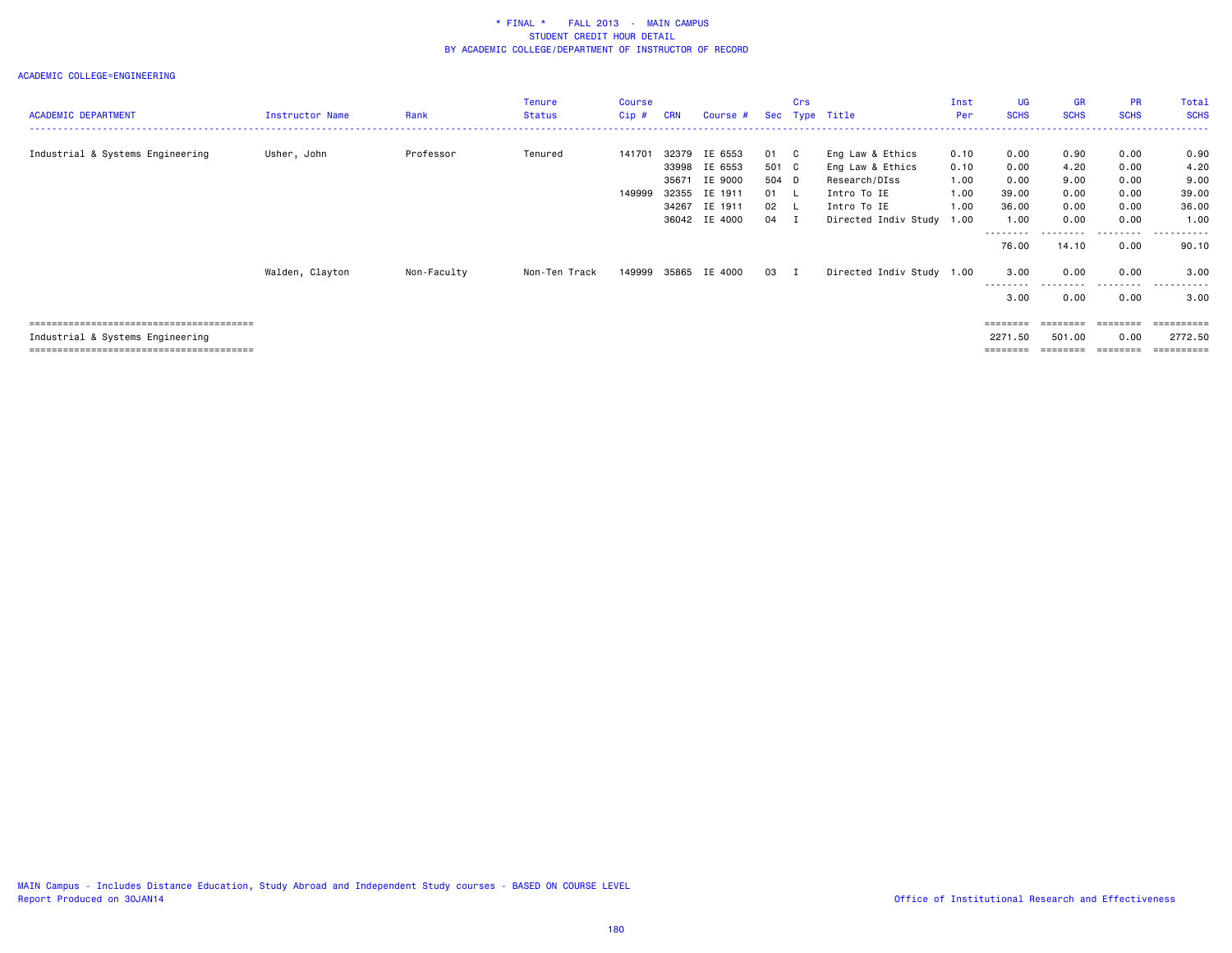| <b>ACADEMIC DEPARTMENT</b>       | <b>Instructor Name</b> | Rank        | <b>Tenure</b><br><b>Status</b> | <b>Course</b><br>$Cip$ # | <b>CRN</b>                                | Course #                                                             |                                                        | Crs | Sec Type Title                                                                                              | Inst<br>Per                                  | <b>UG</b><br><b>SCHS</b>                       | <b>GR</b><br><b>SCHS</b>                     | PR<br><b>SCHS</b>                            | Total<br><b>SCHS</b>                           |
|----------------------------------|------------------------|-------------|--------------------------------|--------------------------|-------------------------------------------|----------------------------------------------------------------------|--------------------------------------------------------|-----|-------------------------------------------------------------------------------------------------------------|----------------------------------------------|------------------------------------------------|----------------------------------------------|----------------------------------------------|------------------------------------------------|
| Industrial & Systems Engineering | Usher, John            | Professor   | Tenured                        | 141701<br>149999         | 32379<br>33998<br>35671<br>32355<br>34267 | IE 6553<br>IE 6553<br>IE 9000<br>IE 1911<br>IE 1911<br>36042 IE 4000 | 01 C<br>501 C<br>504 D<br>$01 \quad L$<br>02 L<br>04 I |     | Eng Law & Ethics<br>Eng Law & Ethics<br>Research/DIss<br>Intro To IE<br>Intro To IE<br>Directed Indiv Study | 0.10<br>0.10<br>1.00<br>1.00<br>1.00<br>1.00 | 0.00<br>0.00<br>0.00<br>39.00<br>36.00<br>1.00 | 0.90<br>4.20<br>9.00<br>0.00<br>0.00<br>0.00 | 0.00<br>0.00<br>0.00<br>0.00<br>0.00<br>0.00 | 0.90<br>4.20<br>9.00<br>39.00<br>36.00<br>1.00 |
|                                  | Walden, Clayton        | Non-Faculty | Non-Ten Track                  | 149999                   |                                           | 35865 IE 4000                                                        | 03 I                                                   |     | Directed Indiv Study 1.00                                                                                   |                                              | --------<br>76.00<br>3.00<br>.<br>3.00         | 14.10<br>0.00<br>.<br>0.00                   | ---------<br>0.00<br>0.00<br>.<br>0.00       | ----------<br>90.10<br>3.00<br>.<br>3.00       |
| Industrial & Systems Engineering |                        |             |                                |                          |                                           |                                                                      |                                                        |     |                                                                                                             |                                              | 2271.50<br>========                            | 501.00<br>--------                           | 0.00<br>========                             | =========<br>2772.50<br>==========             |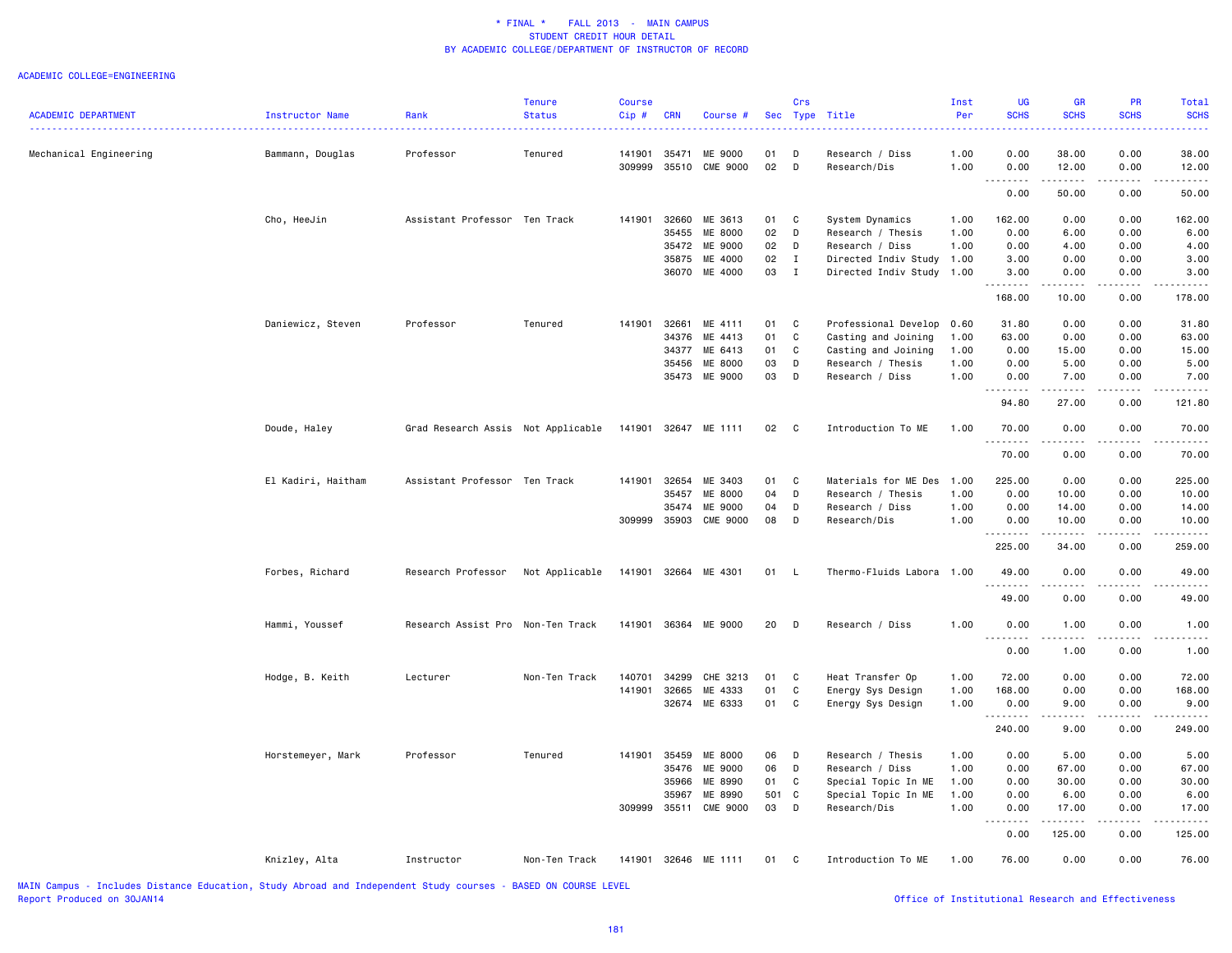|                                                                                     |                    |                                    | <b>Tenure</b>                | <b>Course</b> |            |                      |       | Crs          |                           | Inst | <b>UG</b>                           | <b>GR</b>                                                                                                                                                      | PR                                                                                                                                                           | Total                                                                                                                              |
|-------------------------------------------------------------------------------------|--------------------|------------------------------------|------------------------------|---------------|------------|----------------------|-------|--------------|---------------------------|------|-------------------------------------|----------------------------------------------------------------------------------------------------------------------------------------------------------------|--------------------------------------------------------------------------------------------------------------------------------------------------------------|------------------------------------------------------------------------------------------------------------------------------------|
| <b>ACADEMIC DEPARTMENT</b>                                                          | Instructor Name    | Rank                               | <b>Status</b>                | Cip#          | <b>CRN</b> | Course #             |       |              | Sec Type Title            | Per  | <b>SCHS</b>                         | <b>SCHS</b>                                                                                                                                                    | <b>SCHS</b>                                                                                                                                                  | <b>SCHS</b>                                                                                                                        |
| Mechanical Engineering                                                              | Bammann, Douglas   | Professor                          | Tenured                      | 141901        | 35471      | ME 9000              | 01    | D            | Research / Diss           | 1.00 | 0.00                                | 38.00                                                                                                                                                          | 0.00                                                                                                                                                         | 38.00                                                                                                                              |
|                                                                                     |                    |                                    |                              | 309999        | 35510      | CME 9000             | 02    | D            | Research/Dis              | 1.00 | 0.00<br>$\sim$ $\sim$ $\sim$ $\sim$ | 12.00                                                                                                                                                          | 0.00                                                                                                                                                         | 12.00                                                                                                                              |
|                                                                                     |                    |                                    |                              |               |            |                      |       |              |                           |      | 0.00                                | 50.00                                                                                                                                                          | 0.00                                                                                                                                                         | 50.00                                                                                                                              |
|                                                                                     | Cho, HeeJin        | Assistant Professor Ten Track      |                              | 141901        | 32660      | ME 3613              | 01    | C            | System Dynamics           | 1.00 | 162.00                              | 0.00                                                                                                                                                           | 0.00                                                                                                                                                         | 162.00                                                                                                                             |
|                                                                                     |                    |                                    |                              |               | 35455      | ME 8000              | 02    | D            | Research / Thesis         | 1.00 | 0.00                                | 6.00                                                                                                                                                           | 0.00                                                                                                                                                         | 6.00                                                                                                                               |
|                                                                                     |                    |                                    |                              |               |            | 35472 ME 9000        | 02    | D            | Research / Diss           | 1.00 | 0.00                                | 4.00                                                                                                                                                           | 0.00                                                                                                                                                         | 4.00                                                                                                                               |
|                                                                                     |                    |                                    |                              |               |            | 35875 ME 4000        | 02    | Ι.           | Directed Indiv Study      | 1.00 | 3.00                                | 0.00                                                                                                                                                           | 0.00                                                                                                                                                         | 3.00                                                                                                                               |
|                                                                                     |                    |                                    |                              |               | 36070      | ME 4000              | 03    | I            | Directed Indiv Study      | 1.00 | 3.00<br>.                           | 0.00<br>.                                                                                                                                                      | 0.00<br>-----                                                                                                                                                | 3.00<br>.                                                                                                                          |
|                                                                                     |                    |                                    |                              |               |            |                      |       |              |                           |      | 168.00                              | 10.00                                                                                                                                                          | 0.00                                                                                                                                                         | 178.00                                                                                                                             |
|                                                                                     | Daniewicz, Steven  | Professor                          | Tenured                      | 141901        | 32661      | ME 4111              | 01 C  |              | Professional Develop      | 0.60 | 31.80                               | 0.00                                                                                                                                                           | 0.00                                                                                                                                                         | 31.80                                                                                                                              |
|                                                                                     |                    |                                    |                              |               | 34376      | ME 4413              | 01    | C            | Casting and Joining       | 1.00 | 63.00                               | 0.00                                                                                                                                                           | 0.00                                                                                                                                                         | 63.00                                                                                                                              |
|                                                                                     |                    |                                    |                              |               | 34377      | ME 6413              | 01    | C            | Casting and Joining       | 1.00 | 0.00                                | 15.00                                                                                                                                                          | 0.00                                                                                                                                                         | 15.00                                                                                                                              |
|                                                                                     |                    |                                    |                              |               |            | 35456 ME 8000        | 03    | D            | Research / Thesis         | 1.00 | 0.00                                | 5.00                                                                                                                                                           | 0.00                                                                                                                                                         | 5.00                                                                                                                               |
|                                                                                     |                    |                                    |                              |               |            | 35473 ME 9000        | 03    | D            | Research / Diss           | 1.00 | 0.00<br>.                           | 7.00<br>.                                                                                                                                                      | 0.00<br>-----                                                                                                                                                | 7.00<br>.                                                                                                                          |
|                                                                                     |                    |                                    |                              |               |            |                      |       |              |                           |      | 94.80                               | 27.00                                                                                                                                                          | 0.00                                                                                                                                                         | 121.80                                                                                                                             |
|                                                                                     | Doude, Haley       | Grad Research Assis Not Applicable |                              |               |            | 141901 32647 ME 1111 | 02 C  |              | Introduction To ME        | 1.00 | 70.00<br>.                          | 0.00                                                                                                                                                           | 0.00<br>$\frac{1}{2} \left( \frac{1}{2} \right) \left( \frac{1}{2} \right) \left( \frac{1}{2} \right) \left( \frac{1}{2} \right) \left( \frac{1}{2} \right)$ | 70.00<br>$\begin{array}{cccccccccccccc} \bullet & \bullet & \bullet & \bullet & \bullet & \bullet & \bullet & \bullet \end{array}$ |
|                                                                                     |                    |                                    |                              |               |            |                      |       |              |                           |      | 70.00                               | .<br>0.00                                                                                                                                                      | 0.00                                                                                                                                                         | 70.00                                                                                                                              |
|                                                                                     | El Kadiri, Haitham | Assistant Professor Ten Track      |                              | 141901        | 32654      | ME 3403              | 01    | C            | Materials for ME Des      | 1.00 | 225.00                              | 0.00                                                                                                                                                           | 0.00                                                                                                                                                         | 225.00                                                                                                                             |
|                                                                                     |                    |                                    |                              |               | 35457      | ME 8000              | 04    | D            | Research / Thesis         | 1.00 | 0.00                                | 10.00                                                                                                                                                          | 0.00                                                                                                                                                         | 10.00                                                                                                                              |
|                                                                                     |                    |                                    |                              |               | 35474      | ME 9000              | 04    | D            | Research / Diss           | 1.00 | 0.00                                | 14.00                                                                                                                                                          | 0.00                                                                                                                                                         | 14.00                                                                                                                              |
|                                                                                     |                    |                                    |                              | 309999        | 35903      | <b>CME 9000</b>      | 08    | D            | Research/Dis              | 1.00 | 0.00<br>.                           | 10.00<br>.                                                                                                                                                     | 0.00<br>.                                                                                                                                                    | 10.00                                                                                                                              |
|                                                                                     |                    |                                    |                              |               |            |                      |       |              |                           |      | 225.00                              | 34.00                                                                                                                                                          | 0.00                                                                                                                                                         | 259.00                                                                                                                             |
|                                                                                     | Forbes, Richard    | Research Professor                 | Not Applicable               |               |            | 141901 32664 ME 4301 | 01 L  |              | Thermo-Fluids Labora 1.00 |      | 49.00                               | 0.00                                                                                                                                                           | 0.00                                                                                                                                                         | 49.00                                                                                                                              |
|                                                                                     |                    |                                    |                              |               |            |                      |       |              |                           |      | .<br>49.00                          | $\sim$ $\sim$ $\sim$ $\sim$<br>0.00                                                                                                                            | 0.00                                                                                                                                                         | 49.00                                                                                                                              |
|                                                                                     | Hammi, Youssef     | Research Assist Pro Non-Ten Track  |                              |               |            | 141901 36364 ME 9000 | 20    | <b>D</b>     | Research / Diss           | 1.00 | 0.00                                | 1.00                                                                                                                                                           | 0.00                                                                                                                                                         | 1.00                                                                                                                               |
|                                                                                     |                    |                                    |                              |               |            |                      |       |              |                           |      | . <b>.</b><br>0.00                  | 1.00                                                                                                                                                           | 0.00                                                                                                                                                         | 1.00                                                                                                                               |
|                                                                                     | Hodge, B. Keith    | Lecturer                           | Non-Ten Track                | 140701        | 34299      | CHE 3213             | 01    | C            | Heat Transfer Op          | 1.00 | 72.00                               | 0.00                                                                                                                                                           | 0.00                                                                                                                                                         | 72.00                                                                                                                              |
|                                                                                     |                    |                                    |                              | 141901        | 32665      | ME 4333              | 01    | C            | Energy Sys Design         | 1.00 | 168.00                              | 0.00                                                                                                                                                           | 0.00                                                                                                                                                         | 168.00                                                                                                                             |
|                                                                                     |                    |                                    |                              |               |            | 32674 ME 6333        | 01    | C            | Energy Sys Design         | 1.00 | 0.00                                | 9.00                                                                                                                                                           | 0.00                                                                                                                                                         | 9.00                                                                                                                               |
|                                                                                     |                    |                                    |                              |               |            |                      |       |              |                           |      | .<br>240.00                         | .<br>9.00                                                                                                                                                      | $\frac{1}{2} \left( \frac{1}{2} \right) \left( \frac{1}{2} \right) \left( \frac{1}{2} \right) \left( \frac{1}{2} \right) \left( \frac{1}{2} \right)$<br>0.00 | $\frac{1}{2}$<br>249.00                                                                                                            |
|                                                                                     | Horstemeyer, Mark  | Professor                          | Tenured                      | 141901        |            | 35459 ME 8000        | 06    | D            | Research / Thesis         | 1.00 | 0.00                                | 5.00                                                                                                                                                           | 0.00                                                                                                                                                         | 5.00                                                                                                                               |
|                                                                                     |                    |                                    |                              |               | 35476      | ME 9000              | 06    | D            | Research / Diss           | 1.00 | 0.00                                | 67.00                                                                                                                                                          | 0.00                                                                                                                                                         | 67.00                                                                                                                              |
|                                                                                     |                    |                                    |                              |               | 35966      | ME 8990              | 01    | C            | Special Topic In ME       | 1.00 | 0.00                                | 30.00                                                                                                                                                          | 0.00                                                                                                                                                         | 30.00                                                                                                                              |
|                                                                                     |                    |                                    |                              |               | 35967      | ME 8990              | 501 C |              | Special Topic In ME       | 1.00 | 0.00                                | 6.00                                                                                                                                                           | 0.00                                                                                                                                                         | 6.00                                                                                                                               |
|                                                                                     |                    |                                    |                              | 309999        |            | 35511 CME 9000       | 03    | $\mathsf{D}$ | Research/Dis              | 1.00 | 0.00                                | 17.00                                                                                                                                                          | 0.00                                                                                                                                                         | 17.00                                                                                                                              |
|                                                                                     |                    |                                    |                              |               |            |                      |       |              |                           |      | .<br>0.00                           | $\frac{1}{2} \left( \frac{1}{2} \right) \left( \frac{1}{2} \right) \left( \frac{1}{2} \right) \left( \frac{1}{2} \right) \left( \frac{1}{2} \right)$<br>125.00 | .<br>0.00                                                                                                                                                    | 125.00                                                                                                                             |
|                                                                                     | Knizley, Alta      | Instructor                         | Non-Ten Track                |               |            | 141901 32646 ME 1111 | 01 C  |              | Introduction To ME        | 1.00 | 76.00                               | 0.00                                                                                                                                                           | 0.00                                                                                                                                                         | 76.00                                                                                                                              |
| MAIN Compus Traludes Distance Education, Study Abnoad and Indonesdant Study coupoes |                    |                                    | <b>DACED ON COUDER LEVEL</b> |               |            |                      |       |              |                           |      |                                     |                                                                                                                                                                |                                                                                                                                                              |                                                                                                                                    |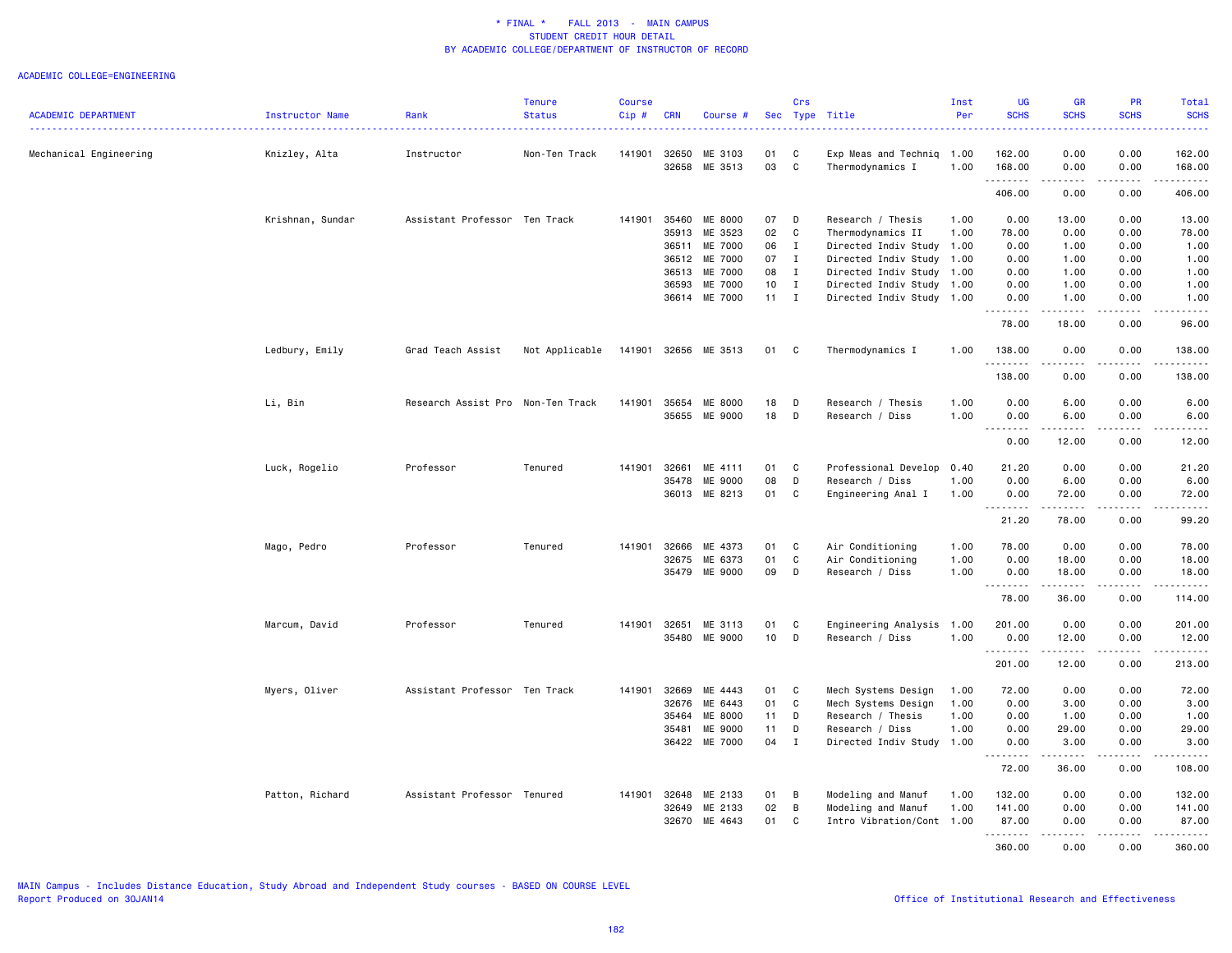|                            |                  |                                   | <b>Tenure</b>  | <b>Course</b> |              |                      |    | Crs          |                           | Inst | <b>UG</b>                    | <b>GR</b>           | PR                    | Total                               |
|----------------------------|------------------|-----------------------------------|----------------|---------------|--------------|----------------------|----|--------------|---------------------------|------|------------------------------|---------------------|-----------------------|-------------------------------------|
| <b>ACADEMIC DEPARTMENT</b> | Instructor Name  | Rank                              | <b>Status</b>  | Cip#          | <b>CRN</b>   | Course #             |    |              | Sec Type Title            | Per  | <b>SCHS</b>                  | <b>SCHS</b>         | <b>SCHS</b>           | <b>SCHS</b><br>.                    |
| Mechanical Engineering     | Knizley, Alta    | Instructor                        | Non-Ten Track  | 141901        | 32650        | ME 3103              | 01 | C            | Exp Meas and Techniq      | 1.00 | 162.00                       | 0.00                | 0.00                  | 162.00                              |
|                            |                  |                                   |                |               | 32658        | ME 3513              | 03 | C            | Thermodynamics I          | 1.00 | 168.00<br>.                  | 0.00<br>.           | 0.00<br>.             | 168.00                              |
|                            |                  |                                   |                |               |              |                      |    |              |                           |      | 406.00                       | 0.00                | 0.00                  | 406.00                              |
|                            | Krishnan, Sundar | Assistant Professor Ten Track     |                | 141901        | 35460        | ME 8000              | 07 | D            | Research / Thesis         | 1.00 | 0.00                         | 13.00               | 0.00                  | 13.00                               |
|                            |                  |                                   |                |               | 35913        | ME 3523              | 02 | C            | Thermodynamics II         | 1.00 | 78.00                        | 0.00                | 0.00                  | 78.00                               |
|                            |                  |                                   |                |               | 36511        | ME 7000              | 06 | $\mathbf{I}$ | Directed Indiv Study      | 1.00 | 0.00                         | 1.00                | 0.00                  | 1.00                                |
|                            |                  |                                   |                |               | 36512        | ME 7000              | 07 | $\mathbf{I}$ | Directed Indiv Study 1.00 |      | 0.00                         | 1.00                | 0.00                  | 1.00                                |
|                            |                  |                                   |                |               | 36513        | ME 7000              | 08 | $\mathbf{I}$ | Directed Indiv Study 1.00 |      | 0.00                         | 1.00                | 0.00                  | 1.00                                |
|                            |                  |                                   |                |               | 36593        | ME 7000              | 10 | $\mathbf{I}$ | Directed Indiv Study 1.00 |      | 0.00                         | 1.00                | 0.00                  | 1.00                                |
|                            |                  |                                   |                |               | 36614        | ME 7000              | 11 | $\mathbf{I}$ | Directed Indiv Study 1.00 |      | 0.00<br><u>.</u>             | 1.00                | 0.00                  | 1.00<br>$\sim$ $\sim$ $\sim$ $\sim$ |
|                            |                  |                                   |                |               |              |                      |    |              |                           |      | 78.00                        | 18.00               | 0.00                  | 96.00                               |
|                            | Ledbury, Emily   | Grad Teach Assist                 | Not Applicable |               |              | 141901 32656 ME 3513 | 01 | C            | Thermodynamics I          | 1.00 | 138.00<br>.                  | 0.00<br>$- - - - -$ | 0.00<br>$\frac{1}{2}$ | 138.00<br><u>.</u>                  |
|                            |                  |                                   |                |               |              |                      |    |              |                           |      | 138.00                       | 0.00                | 0.00                  | 138.00                              |
|                            | Li, Bin          | Research Assist Pro Non-Ten Track |                | 141901        | 35654        | ME 8000              | 18 | D            | Research / Thesis         | 1.00 | 0.00                         | 6.00                | 0.00                  | 6.00                                |
|                            |                  |                                   |                |               | 35655        | ME 9000              | 18 | D            | Research / Diss           | 1.00 | 0.00                         | 6.00<br>.           | 0.00<br>.             | 6.00                                |
|                            |                  |                                   |                |               |              |                      |    |              |                           |      | .<br>0.00                    | 12.00               | 0.00                  | .<br>12.00                          |
|                            | Luck, Rogelio    | Professor                         | Tenured        | 141901        | 32661        | ME 4111              | 01 | C            | Professional Develop      | 0.40 | 21.20                        | 0.00                | 0.00                  | 21.20                               |
|                            |                  |                                   |                |               | 35478        | <b>ME 9000</b>       | 08 | D            | Research / Diss           | 1.00 | 0.00                         | 6.00                | 0.00                  | 6.00                                |
|                            |                  |                                   |                |               | 36013        | ME 8213              | 01 | C            | Engineering Anal I        | 1.00 | 0.00                         | 72.00               | 0.00                  | 72.00                               |
|                            |                  |                                   |                |               |              |                      |    |              |                           |      | .<br>21.20                   | <u>.</u><br>78.00   | .<br>0.00             | .<br>99.20                          |
|                            | Mago, Pedro      | Professor                         | Tenured        | 141901        | 32666        | ME 4373              | 01 | C            | Air Conditioning          | 1.00 | 78.00                        | 0.00                | 0.00                  | 78.00                               |
|                            |                  |                                   |                |               | 32675        | ME 6373              | 01 | C            | Air Conditioning          | 1.00 | 0.00                         | 18.00               | 0.00                  | 18.00                               |
|                            |                  |                                   |                |               | 35479        | ME 9000              | 09 | D            | Research / Diss           | 1.00 | 0.00                         | 18.00               | 0.00                  | 18.00                               |
|                            |                  |                                   |                |               |              |                      |    |              |                           |      | .<br>78.00                   | .<br>36.00          | .<br>0.00             | <u>.</u><br>114.00                  |
|                            | Marcum, David    | Professor                         | Tenured        | 141901        | 32651        | ME 3113              | 01 | C            | Engineering Analysis 1.00 |      | 201.00                       | 0.00                | 0.00                  | 201.00                              |
|                            |                  |                                   |                |               | 35480        | ME 9000              | 10 | D            | Research / Diss           | 1.00 | 0.00<br>.                    | 12.00<br>.          | 0.00<br>.             | 12.00<br>.                          |
|                            |                  |                                   |                |               |              |                      |    |              |                           |      | 201.00                       | 12.00               | 0.00                  | 213.00                              |
|                            | Myers, Oliver    | Assistant Professor Ten Track     |                | 141901        | 32669        | ME 4443              | 01 | C            | Mech Systems Design       | 1.00 | 72.00                        | 0.00                | 0.00                  | 72.00                               |
|                            |                  |                                   |                |               | 32676        | ME 6443              | 01 | C            | Mech Systems Design       | 1.00 | 0.00                         | 3.00                | 0.00                  | 3.00                                |
|                            |                  |                                   |                |               | 35464        | ME 8000              | 11 | D            | Research / Thesis         | 1.00 | 0.00                         | 1.00                | 0.00                  | 1.00                                |
|                            |                  |                                   |                |               | 35481        | ME 9000              | 11 | D            | Research / Diss           | 1.00 | 0.00                         | 29.00               | 0.00                  | 29.00                               |
|                            |                  |                                   |                |               | 36422        | ME 7000              | 04 | $\bf{I}$     | Directed Indiv Study 1.00 |      | 0.00<br>$\sim$ $\sim$ $\sim$ | 3.00                | 0.00                  | 3.00<br>.                           |
|                            |                  |                                   |                |               |              |                      |    |              |                           |      | 72.00                        | 36.00               | 0.00                  | 108.00                              |
|                            | Patton, Richard  | Assistant Professor Tenured       |                |               | 141901 32648 | ME 2133              | 01 | B            | Modeling and Manuf        | 1.00 | 132.00                       | 0.00                | 0.00                  | 132.00                              |
|                            |                  |                                   |                |               | 32649        | ME 2133              | 02 | B            | Modeling and Manuf        | 1.00 | 141.00                       | 0.00                | 0.00                  | 141.00                              |
|                            |                  |                                   |                |               | 32670        | ME 4643              | 01 | C            | Intro Vibration/Cont 1.00 |      | 87.00                        | 0.00                | 0.00                  | 87.00                               |
|                            |                  |                                   |                |               |              |                      |    |              |                           |      | <u>.</u><br>360,00           | -----<br>0.00       | .<br>0.00             | $- - - - - - -$<br>360,00           |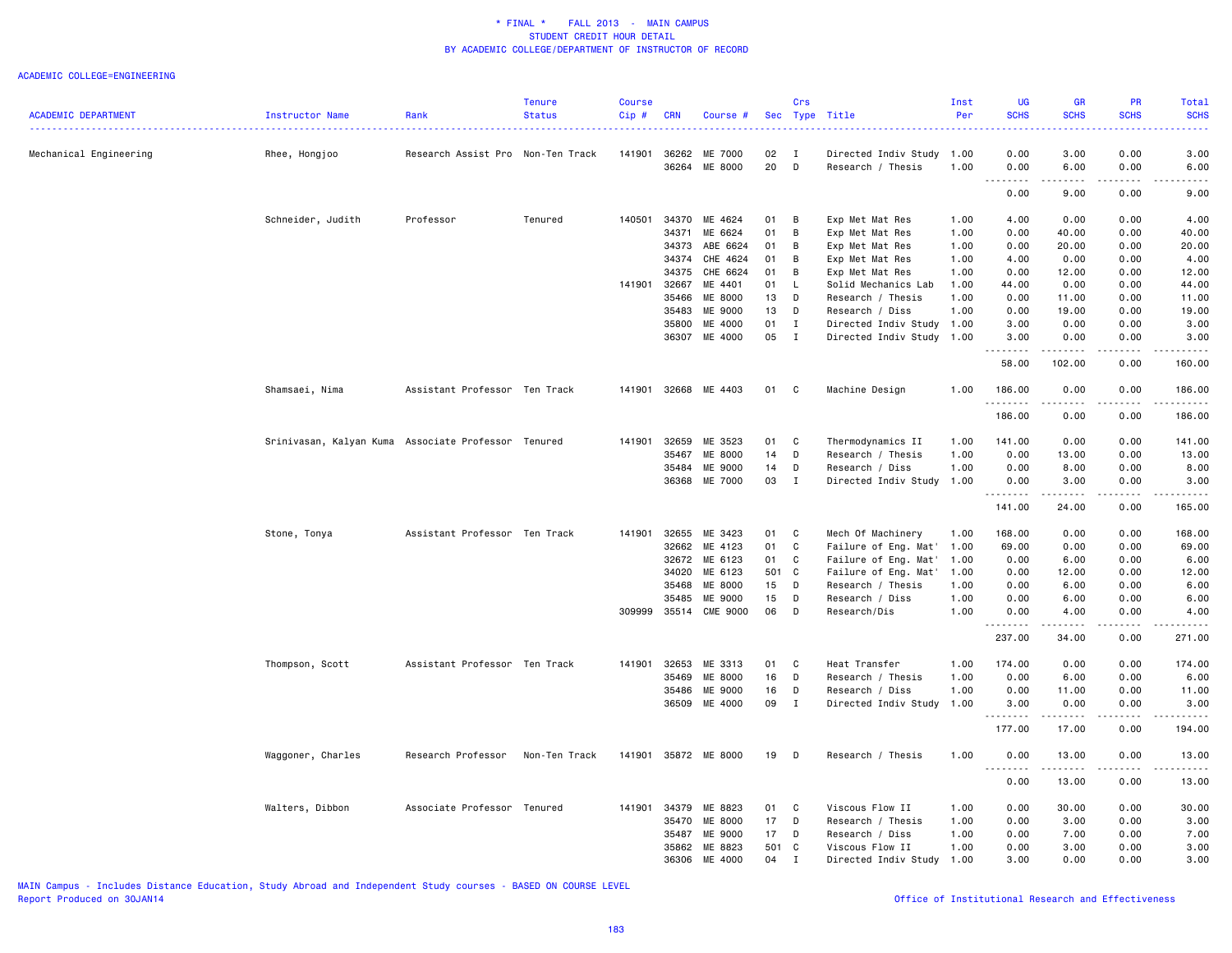#### ACADEMIC COLLEGE=ENGINEERING

|                            |                                                     |                                   | <b>Tenure</b> | <b>Course</b> |              |                          |                 | <b>Crs</b>        |                                                | Inst | <b>UG</b>        | <b>GR</b>          | PR            | Total                                                                                                               |
|----------------------------|-----------------------------------------------------|-----------------------------------|---------------|---------------|--------------|--------------------------|-----------------|-------------------|------------------------------------------------|------|------------------|--------------------|---------------|---------------------------------------------------------------------------------------------------------------------|
| <b>ACADEMIC DEPARTMENT</b> | <b>Instructor Name</b>                              | Rank                              | <b>Status</b> | Cip#          | <b>CRN</b>   | Course #                 |                 |                   | Sec Type Title                                 | Per  | <b>SCHS</b>      | <b>SCHS</b>        | <b>SCHS</b>   | <b>SCHS</b>                                                                                                         |
|                            |                                                     |                                   |               |               |              |                          |                 |                   |                                                |      |                  |                    |               |                                                                                                                     |
| Mechanical Engineering     | Rhee, Hongjoo                                       | Research Assist Pro Non-Ten Track |               | 141901        | 36264        | 36262 ME 7000<br>ME 8000 | 02<br>20        | $\mathbf{I}$<br>D | Directed Indiv Study 1.00<br>Research / Thesis | 1.00 | 0.00<br>0.00     | 3.00<br>6.00       | 0.00<br>0.00  | 3.00<br>6.00                                                                                                        |
|                            |                                                     |                                   |               |               |              |                          |                 |                   |                                                |      | .                | .                  |               |                                                                                                                     |
|                            |                                                     |                                   |               |               |              |                          |                 |                   |                                                |      | 0.00             | 9.00               | 0.00          | 9.00                                                                                                                |
|                            | Schneider, Judith                                   | Professor                         | Tenured       | 140501        | 34370        | ME 4624                  | 01              | B                 | Exp Met Mat Res                                | 1.00 | 4.00             | 0.00               | 0.00          | 4.00                                                                                                                |
|                            |                                                     |                                   |               |               | 34371        | ME 6624                  | 01              | B                 | Exp Met Mat Res                                | 1.00 | 0.00             | 40.00              | 0.00          | 40.00                                                                                                               |
|                            |                                                     |                                   |               |               | 34373        | ABE 6624                 | 01              | B                 | Exp Met Mat Res                                | 1.00 | 0.00             | 20.00              | 0.00          | 20.00                                                                                                               |
|                            |                                                     |                                   |               |               | 34374        | CHE 4624                 | 01              | B                 | Exp Met Mat Res                                | 1.00 | 4.00             | 0.00               | 0.00          | 4.00                                                                                                                |
|                            |                                                     |                                   |               |               | 34375        | CHE 6624                 | 01              | B                 | Exp Met Mat Res                                | 1.00 | 0.00             | 12.00              | 0.00          | 12.00                                                                                                               |
|                            |                                                     |                                   |               | 141901        | 32667        | ME 4401                  | 01              | -L                | Solid Mechanics Lab                            | 1.00 | 44.00            | 0.00               | 0.00          | 44.00                                                                                                               |
|                            |                                                     |                                   |               |               | 35466        | ME 8000                  | 13              | D                 | Research / Thesis                              | 1.00 | 0.00             | 11.00              | 0.00          | 11.00                                                                                                               |
|                            |                                                     |                                   |               |               | 35483        | ME 9000                  | 13              | D                 | Research / Diss                                | 1.00 | 0.00             | 19.00              | 0.00          | 19.00                                                                                                               |
|                            |                                                     |                                   |               |               | 35800        | ME 4000                  | 01              | I                 | Directed Indiv Study 1.00                      |      | 3.00             | 0.00               | 0.00          | 3.00                                                                                                                |
|                            |                                                     |                                   |               |               |              | 36307 ME 4000            | 05              | $\blacksquare$    | Directed Indiv Study 1.00                      |      | 3.00<br>.        | 0.00<br>.          | 0.00<br>.     | 3.00                                                                                                                |
|                            |                                                     |                                   |               |               |              |                          |                 |                   |                                                |      | 58.00            | 102.00             | 0.00          | 160.00                                                                                                              |
|                            | Shamsaei, Nima                                      | Assistant Professor Ten Track     |               |               |              | 141901 32668 ME 4403     | 01 C            |                   | Machine Design                                 | 1.00 | 186.00<br>.      | 0.00<br>.          | 0.00<br>----- | 186.00<br>.                                                                                                         |
|                            |                                                     |                                   |               |               |              |                          |                 |                   |                                                |      | 186.00           | 0.00               | 0.00          | 186.00                                                                                                              |
|                            | Srinivasan, Kalyan Kuma Associate Professor Tenured |                                   |               |               | 141901 32659 | ME 3523                  | 01              | <b>C</b>          | Thermodynamics II                              | 1.00 | 141.00           | 0.00               | 0.00          | 141.00                                                                                                              |
|                            |                                                     |                                   |               |               | 35467        | ME 8000                  | 14              | D                 | Research / Thesis                              | 1.00 | 0.00             | 13.00              | 0.00          | 13.00                                                                                                               |
|                            |                                                     |                                   |               |               | 35484        | ME 9000                  | 14              | D                 | Research / Diss                                | 1.00 | 0.00             | 8.00               | 0.00          | 8.00                                                                                                                |
|                            |                                                     |                                   |               |               |              | 36368 ME 7000            | 03              | $\mathbf I$       | Directed Indiv Study 1.00                      |      | 0.00<br><u>.</u> | 3.00<br>. <u>.</u> | 0.00<br>.     | 3.00                                                                                                                |
|                            |                                                     |                                   |               |               |              |                          |                 |                   |                                                |      | 141.00           | 24.00              | 0.00          | 165.00                                                                                                              |
|                            | Stone, Tonya                                        | Assistant Professor Ten Track     |               | 141901        | 32655        | ME 3423                  | 01              | C <sub>c</sub>    | Mech Of Machinery                              | 1.00 | 168.00           | 0.00               | 0.00          | 168.00                                                                                                              |
|                            |                                                     |                                   |               |               |              | 32662 ME 4123            | 01              | C                 | Failure of Eng. Mat'                           | 1.00 | 69.00            | 0.00               | 0.00          | 69.00                                                                                                               |
|                            |                                                     |                                   |               |               | 32672        | ME 6123                  | 01              | C                 | Failure of Eng. Mat'                           | 1.00 | 0.00             | 6.00               | 0.00          | 6.00                                                                                                                |
|                            |                                                     |                                   |               |               | 34020        | ME 6123                  | 501 C           |                   | Failure of Eng. Mat'                           | 1.00 | 0.00             | 12.00              | 0.00          | 12.00                                                                                                               |
|                            |                                                     |                                   |               |               | 35468        | ME 8000                  | 15              | D                 | Research / Thesis                              | 1.00 | 0.00             | 6.00               | 0.00          | 6.00                                                                                                                |
|                            |                                                     |                                   |               |               | 35485        | ME 9000                  | 15              | D                 | Research / Diss                                | 1.00 | 0.00             | 6.00               | 0.00          | 6.00                                                                                                                |
|                            |                                                     |                                   |               | 309999        | 35514        | <b>CME 9000</b>          | 06              | D                 | Research/Dis                                   | 1.00 | 0.00             | 4.00               | 0.00          | 4.00                                                                                                                |
|                            |                                                     |                                   |               |               |              |                          |                 |                   |                                                |      | 237.00           | 34.00              | 0.00          | 271.00                                                                                                              |
|                            | Thompson, Scott                                     | Assistant Professor Ten Track     |               | 141901        | 32653        | ME 3313                  | 01              | $\mathbf{C}$      | Heat Transfer                                  | 1.00 | 174.00           | 0.00               | 0.00          | 174.00                                                                                                              |
|                            |                                                     |                                   |               |               | 35469        | ME 8000                  | 16              | D                 | Research / Thesis                              | 1.00 | 0.00             | 6.00               | 0.00          | 6.00                                                                                                                |
|                            |                                                     |                                   |               |               |              | 35486 ME 9000            | 16              | D                 | Research / Diss                                | 1.00 | 0.00             | 11.00              | 0.00          | 11.00                                                                                                               |
|                            |                                                     |                                   |               |               |              | 36509 ME 4000            | 09              | $\mathbf{I}$      | Directed Indiv Study                           | 1.00 | 3.00<br>.        | 0.00<br>.          | 0.00<br>----- | 3.00<br>$\begin{array}{cccccccccc} \bullet & \bullet & \bullet & \bullet & \bullet & \bullet & \bullet \end{array}$ |
|                            |                                                     |                                   |               |               |              |                          |                 |                   |                                                |      | 177.00           | 17.00              | 0.00          | 194.00                                                                                                              |
|                            | Waggoner, Charles                                   | Research Professor                | Non-Ten Track | 141901        |              | 35872 ME 8000            | 19              | D                 | Research / Thesis                              | 1.00 | 0.00             | 13.00<br>.         | 0.00          | 13.00                                                                                                               |
|                            |                                                     |                                   |               |               |              |                          |                 |                   |                                                |      | 0.00             | 13.00              | 0.00          | 13.00                                                                                                               |
|                            | Walters, Dibbon                                     | Associate Professor Tenured       |               | 141901        | 34379        | ME 8823                  | 01              | C                 | Viscous Flow II                                | 1.00 | 0.00             | 30.00              | 0.00          | 30.00                                                                                                               |
|                            |                                                     |                                   |               |               | 35470        | ME 8000                  | 17              | D                 | Research / Thesis                              | 1.00 | 0.00             | 3.00               | 0.00          | 3.00                                                                                                                |
|                            |                                                     |                                   |               |               | 35487        | ME 9000                  | 17 <sub>1</sub> | D                 | Research / Diss                                | 1.00 | 0.00             | 7.00               | 0.00          | 7.00                                                                                                                |
|                            |                                                     |                                   |               |               |              | 35862 ME 8823            | 501 C           |                   | Viscous Flow II                                | 1.00 | 0.00             | 3.00               | 0.00          | 3.00                                                                                                                |
|                            |                                                     |                                   |               |               |              | 36306 ME 4000            | 04              | $\mathbf I$       | Directed Indiv Study                           | 1.00 | 3.00             | 0.00               | 0.00          | 3.00                                                                                                                |

MAIN Campus - Includes Distance Education, Study Abroad and Independent Study courses - BASED ON COURSE LEVEL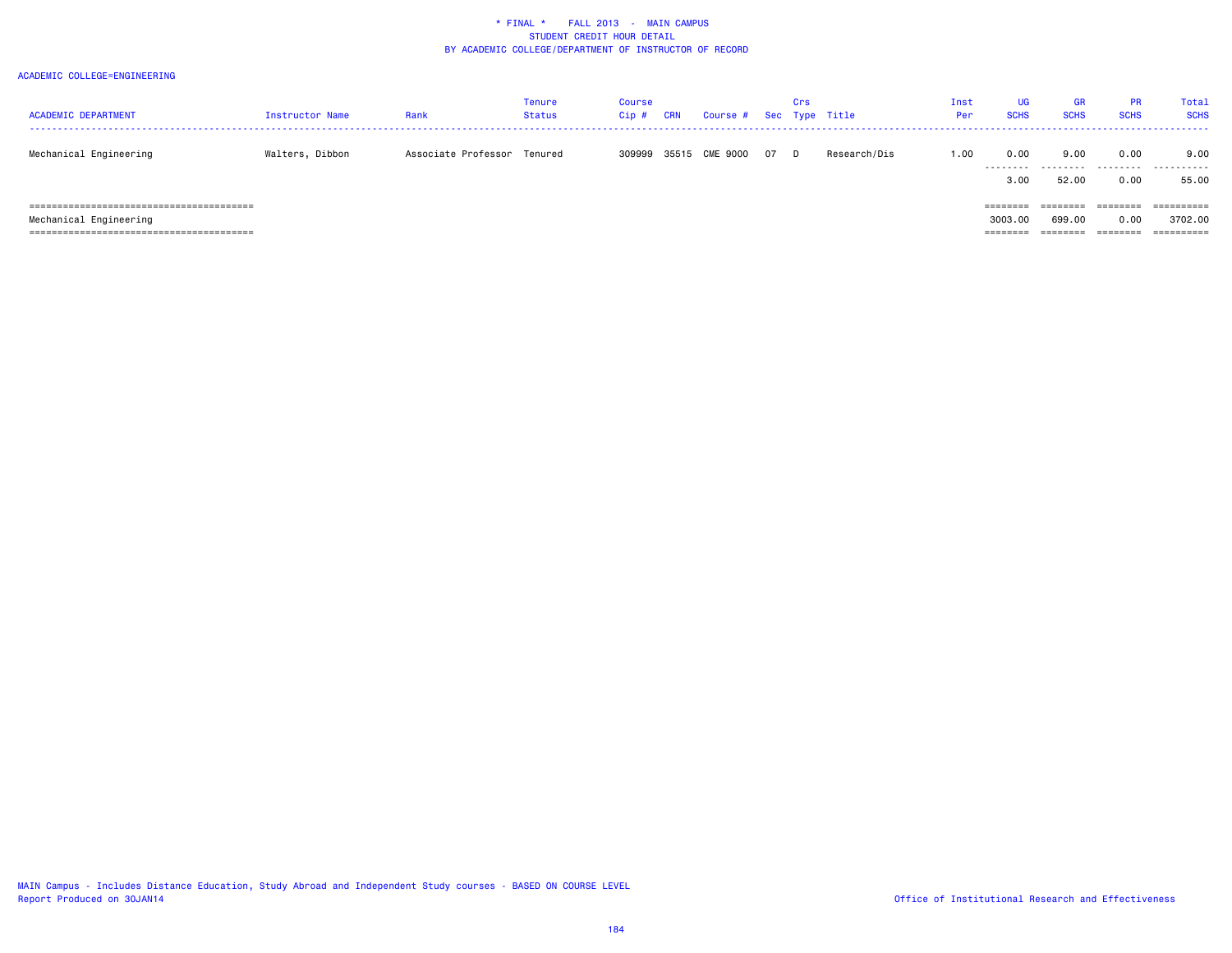| <b>ACADEMIC DEPARTMENT</b> | Instructor Name | Rank                        | Tenure<br>Status | Course<br>Cip # | CRN | Course # Sec Type Title |    | Crs |              | Inst<br>Per | UG<br><b>SCHS</b>   | <b>GR</b><br><b>SCHS</b> | <b>PR</b><br><b>SCHS</b> | Total<br><b>SCHS</b>                |
|----------------------------|-----------------|-----------------------------|------------------|-----------------|-----|-------------------------|----|-----|--------------|-------------|---------------------|--------------------------|--------------------------|-------------------------------------|
| Mechanical Engineering     | Walters, Dibbon | Associate Professor Tenured |                  | 309999          |     | 35515 CME 9000          | 07 | D.  | Research/Dis | 1.00        | 0.00<br>3.00        | 9.00<br><br>52.00        | 0.00<br>0.00             | 9.00<br>.<br>55.00                  |
| Mechanical Engineering     |                 |                             |                  |                 |     |                         |    |     |              |             | 3003.00<br>======== | ========<br>699.00       | ========<br>0.00         | ==========<br>3702.00<br>========== |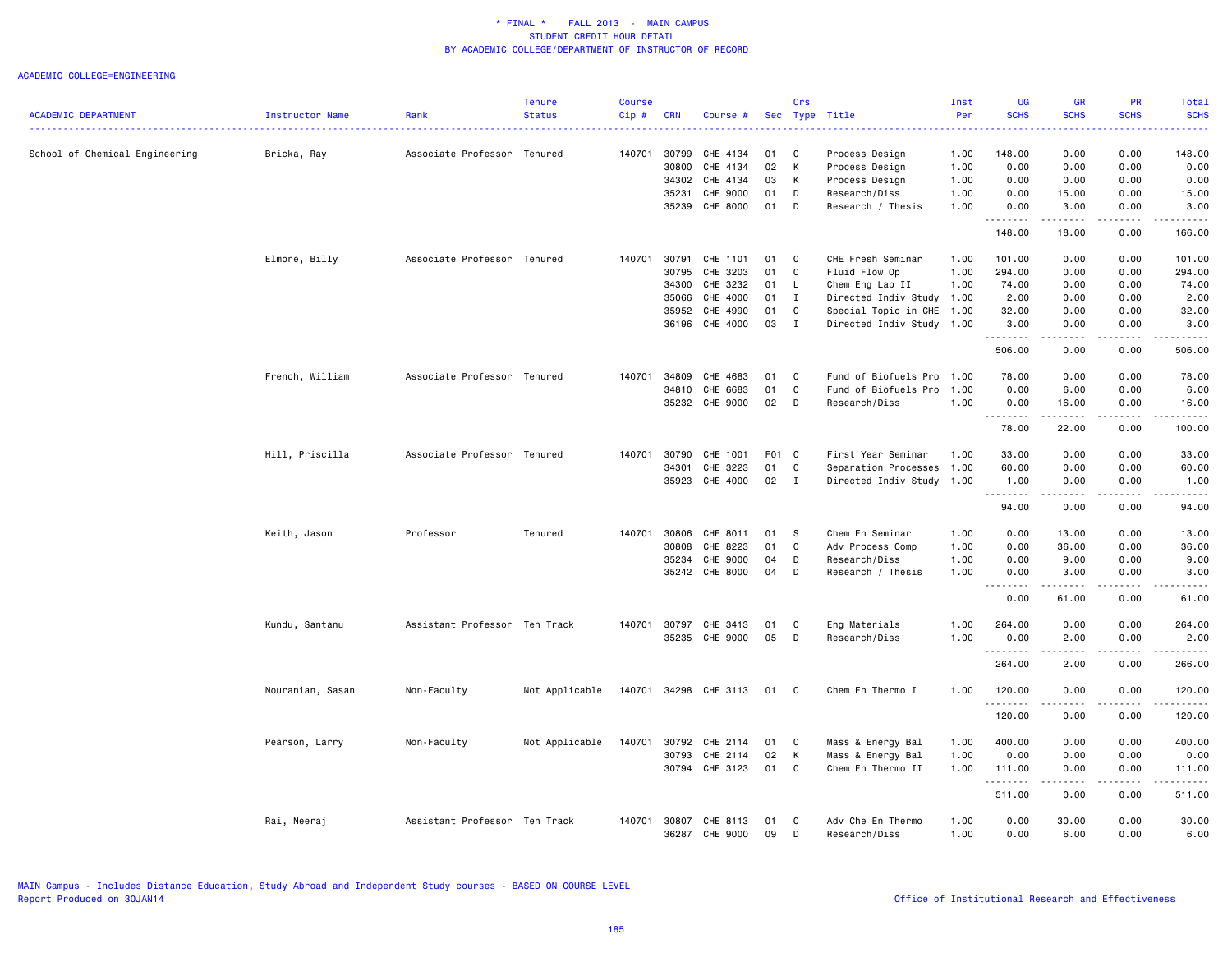|                                |                  |                               | <b>Tenure</b>  | <b>Course</b> |                |                      |          | Crs          |                                    | Inst         | <b>UG</b>                                                                                                                         | <b>GR</b>                                                                                                                                                    | <b>PR</b>    | Total         |
|--------------------------------|------------------|-------------------------------|----------------|---------------|----------------|----------------------|----------|--------------|------------------------------------|--------------|-----------------------------------------------------------------------------------------------------------------------------------|--------------------------------------------------------------------------------------------------------------------------------------------------------------|--------------|---------------|
| <b>ACADEMIC DEPARTMENT</b>     | Instructor Name  | Rank                          | <b>Status</b>  | Cip#          | <b>CRN</b>     | Course #             |          |              | Sec Type Title                     | Per          | <b>SCHS</b>                                                                                                                       | <b>SCHS</b>                                                                                                                                                  | <b>SCHS</b>  | <b>SCHS</b>   |
| School of Chemical Engineering | Bricka, Ray      | Associate Professor Tenured   |                | 140701        | 30799          | CHE 4134             | 01       | C            | Process Design                     | 1.00         | 148.00                                                                                                                            | 0.00                                                                                                                                                         | 0.00         | 148.00        |
|                                |                  |                               |                |               | 30800          | CHE 4134             | 02       | К            | Process Design                     | 1.00         | 0.00                                                                                                                              | 0.00                                                                                                                                                         | 0.00         | 0.00          |
|                                |                  |                               |                |               | 34302          | CHE 4134             | 03       | К            | Process Design                     | 1.00         | 0.00                                                                                                                              | 0.00                                                                                                                                                         | 0.00         | 0.00          |
|                                |                  |                               |                |               | 35231          | CHE 9000             | 01       | D            | Research/Diss                      | 1.00         | 0.00                                                                                                                              | 15.00                                                                                                                                                        | 0.00         | 15.00         |
|                                |                  |                               |                |               | 35239          | CHE 8000             | 01       | D            | Research / Thesis                  | 1.00         | 0.00<br><u>.</u>                                                                                                                  | 3.00<br>. <b>.</b>                                                                                                                                           | 0.00<br>.    | 3.00<br>.     |
|                                |                  |                               |                |               |                |                      |          |              |                                    |              | 148.00                                                                                                                            | 18.00                                                                                                                                                        | 0.00         | 166.00        |
|                                | Elmore, Billy    | Associate Professor Tenured   |                | 140701        | 30791          | CHE 1101             | 01       | C            | CHE Fresh Seminar                  | 1.00         | 101.00                                                                                                                            | 0.00                                                                                                                                                         | 0.00         | 101.00        |
|                                |                  |                               |                |               | 30795          | CHE 3203             | 01       | C            | Fluid Flow Op                      | 1.00         | 294.00                                                                                                                            | 0.00                                                                                                                                                         | 0.00         | 294.00        |
|                                |                  |                               |                |               | 34300          | CHE 3232             | 01       | L.           | Chem Eng Lab II                    | 1.00         | 74.00                                                                                                                             | 0.00                                                                                                                                                         | 0.00         | 74.00         |
|                                |                  |                               |                |               | 35066          | CHE 4000             | 01       | $\mathbf I$  | Directed Indiv Study 1.00          |              | 2.00                                                                                                                              | 0.00                                                                                                                                                         | 0.00         | 2.00          |
|                                |                  |                               |                |               | 35952          | CHE 4990             | 01       | C            | Special Topic in CHE 1.00          |              | 32.00                                                                                                                             | 0.00                                                                                                                                                         | 0.00         | 32.00         |
|                                |                  |                               |                |               |                | 36196 CHE 4000       | 03       | $\mathbf{I}$ | Directed Indiv Study 1.00          |              | 3.00<br>.                                                                                                                         | 0.00<br>.                                                                                                                                                    | 0.00<br>.    | 3.00<br>.     |
|                                |                  |                               |                |               |                |                      |          |              |                                    |              | 506.00                                                                                                                            | 0.00                                                                                                                                                         | 0.00         | 506.00        |
|                                | French, William  | Associate Professor Tenured   |                | 140701        | 34809          | CHE 4683             | 01       | C            | Fund of Biofuels Pro               | 1.00         | 78.00                                                                                                                             | 0.00                                                                                                                                                         | 0.00         | 78.00         |
|                                |                  |                               |                |               | 34810          | CHE 6683             | 01       | C            | Fund of Biofuels Pro               | 1.00         | 0.00                                                                                                                              | 6.00                                                                                                                                                         | 0.00         | 6.00          |
|                                |                  |                               |                |               |                | 35232 CHE 9000       | 02       | D            | Research/Diss                      | 1.00         | 0.00<br>$\frac{1}{2} \left( \frac{1}{2} \right) \left( \frac{1}{2} \right) \left( \frac{1}{2} \right) \left( \frac{1}{2} \right)$ | 16.00                                                                                                                                                        | 0.00         | 16.00         |
|                                |                  |                               |                |               |                |                      |          |              |                                    |              | 78.00                                                                                                                             | 22.00                                                                                                                                                        | 0.00         | 100.00        |
|                                | Hill, Priscilla  | Associate Professor Tenured   |                | 140701        | 30790          | CHE 1001             | F01 C    |              | First Year Seminar                 | 1.00         | 33.00                                                                                                                             | 0.00                                                                                                                                                         | 0.00         | 33.00         |
|                                |                  |                               |                |               | 34301          | CHE 3223             | 01       | C            | Separation Processes               | 1.00         | 60.00                                                                                                                             | 0.00                                                                                                                                                         | 0.00         | 60.00         |
|                                |                  |                               |                |               | 35923          | CHE 4000             | 02       | $\mathbf{I}$ | Directed Indiv Study 1.00          |              | 1.00<br>.                                                                                                                         | 0.00<br>$\frac{1}{2} \left( \frac{1}{2} \right) \left( \frac{1}{2} \right) \left( \frac{1}{2} \right) \left( \frac{1}{2} \right) \left( \frac{1}{2} \right)$ | 0.00<br>.    | 1.00<br>.     |
|                                |                  |                               |                |               |                |                      |          |              |                                    |              | 94.00                                                                                                                             | 0.00                                                                                                                                                         | 0.00         | 94.00         |
|                                | Keith, Jason     | Professor                     | Tenured        | 140701        | 30806          | CHE 8011             | 01       | -S           | Chem En Seminar                    | 1.00         | 0.00                                                                                                                              | 13.00                                                                                                                                                        | 0.00         | 13.00         |
|                                |                  |                               |                |               | 30808          | CHE 8223             | 01       | C            | Adv Process Comp                   | 1.00         | 0.00                                                                                                                              | 36.00                                                                                                                                                        | 0.00         | 36.00         |
|                                |                  |                               |                |               | 35234          | CHE 9000             | 04       | D            | Research/Diss                      | 1.00         | 0.00                                                                                                                              | 9.00                                                                                                                                                         | 0.00         | 9.00          |
|                                |                  |                               |                |               | 35242          | CHE 8000             | 04       | D            | Research / Thesis                  | 1.00         | 0.00                                                                                                                              | 3.00                                                                                                                                                         | 0.00         | 3.00          |
|                                |                  |                               |                |               |                |                      |          |              |                                    |              | 0.00                                                                                                                              | 61.00                                                                                                                                                        | 0.00         | 61.00         |
|                                | Kundu, Santanu   | Assistant Professor Ten Track |                | 140701        | 30797          | CHE 3413             | 01       | C            | Eng Materials                      | 1.00         | 264.00                                                                                                                            | 0.00                                                                                                                                                         | 0.00         | 264.00        |
|                                |                  |                               |                |               |                | 35235 CHE 9000       | 05       | D            | Research/Diss                      | 1.00         | 0.00<br>.                                                                                                                         | 2.00                                                                                                                                                         | 0.00         | 2.00<br>.     |
|                                |                  |                               |                |               |                |                      |          |              |                                    |              | 264.00                                                                                                                            | .<br>2.00                                                                                                                                                    | .<br>0.00    | 266.00        |
|                                | Nouranian, Sasan | Non-Faculty                   | Not Applicable | 140701        |                | 34298 CHE 3113       | 01       | C            | Chem En Thermo I                   | 1.00         | 120.00<br>.                                                                                                                       | 0.00<br>د د د د                                                                                                                                              | 0.00<br>.    | 120.00<br>.   |
|                                |                  |                               |                |               |                |                      |          |              |                                    |              | 120.00                                                                                                                            | 0.00                                                                                                                                                         | 0.00         | 120.00        |
|                                | Pearson, Larry   | Non-Faculty                   | Not Applicable | 140701        | 30792          | CHE 2114             | 01       | C            | Mass & Energy Bal                  | 1.00         | 400.00                                                                                                                            | 0.00                                                                                                                                                         | 0.00         | 400.00        |
|                                |                  |                               |                |               | 30793          | CHE 2114             | 02       | К            | Mass & Energy Bal                  | 1.00         | 0.00                                                                                                                              | 0.00                                                                                                                                                         | 0.00         | 0.00          |
|                                |                  |                               |                |               |                | 30794 CHE 3123       | 01       | C            | Chem En Thermo II                  | 1.00         | 111.00<br>.                                                                                                                       | 0.00<br>$\frac{1}{2} \left( \frac{1}{2} \right) \left( \frac{1}{2} \right) \left( \frac{1}{2} \right) \left( \frac{1}{2} \right) \left( \frac{1}{2} \right)$ | 0.00<br>.    | 111.00<br>.   |
|                                |                  |                               |                |               |                |                      |          |              |                                    |              | 511.00                                                                                                                            | 0.00                                                                                                                                                         | 0.00         | 511.00        |
|                                | Rai, Neeraj      | Assistant Professor Ten Track |                | 140701        | 30807<br>36287 | CHE 8113<br>CHE 9000 | 01<br>09 | C<br>D       | Adv Che En Thermo<br>Research/Diss | 1.00<br>1.00 | 0.00<br>0.00                                                                                                                      | 30.00<br>6.00                                                                                                                                                | 0.00<br>0.00 | 30.00<br>6.00 |
|                                |                  |                               |                |               |                |                      |          |              |                                    |              |                                                                                                                                   |                                                                                                                                                              |              |               |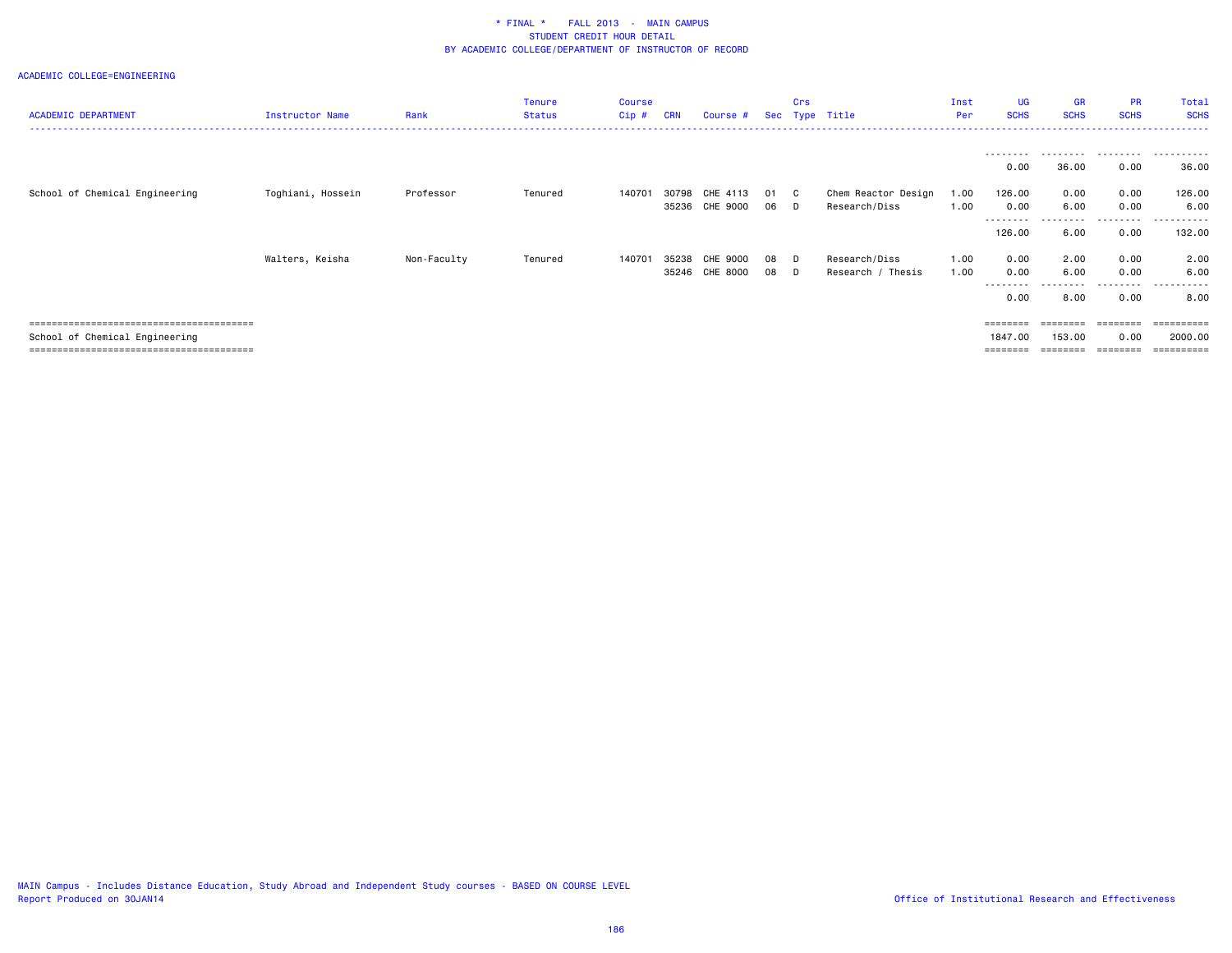| <b>ACADEMIC DEPARTMENT</b>     | <b>Instructor Name</b> | Rank        | Tenure<br><b>Status</b> | Course<br>$Cip$ # | <b>CRN</b>     | Course #             |          | Crs       | Sec Type Title                       | Inst<br>Per  | UG<br><b>SCHS</b>             | <b>GR</b><br><b>SCHS</b>      | <b>PR</b><br><b>SCHS</b>      | Total<br><b>SCHS</b>   |
|--------------------------------|------------------------|-------------|-------------------------|-------------------|----------------|----------------------|----------|-----------|--------------------------------------|--------------|-------------------------------|-------------------------------|-------------------------------|------------------------|
|                                |                        |             |                         |                   |                |                      |          |           |                                      |              | ---------<br>0.00             | 36.00                         | .<br>0.00                     | .<br>36.00             |
| School of Chemical Engineering | Toghiani, Hossein      | Professor   | Tenured                 | 140701            | 30798<br>35236 | CHE 4113<br>CHE 9000 | 01<br>06 | - C<br>D. | Chem Reactor Design<br>Research/Diss | 1.00<br>1.00 | 126.00<br>0.00<br>.           | 0.00<br>6.00<br>.             | 0.00<br>0.00<br>.             | 126.00<br>6.00<br>.    |
|                                | Walters, Keisha        | Non-Faculty | Tenured                 | 140701            | 35238<br>35246 | CHE 9000<br>CHE 8000 | 08<br>08 | D<br>D    | Research/Diss<br>Research / Thesis   | 1.00<br>1.00 | 126.00<br>0.00<br>0.00        | 6.00<br>2.00<br>6.00          | 0.00<br>0.00<br>0.00          | 132.00<br>2.00<br>6.00 |
|                                |                        |             |                         |                   |                |                      |          |           |                                      |              | ---------<br>0.00<br>======== | ---------<br>8.00<br>======== | ---------<br>0.00<br>======== | .<br>8.00<br>========= |
| School of Chemical Engineering |                        |             |                         |                   |                |                      |          |           |                                      |              | 1847,00                       | 153.00                        | 0.00                          | 2000.00                |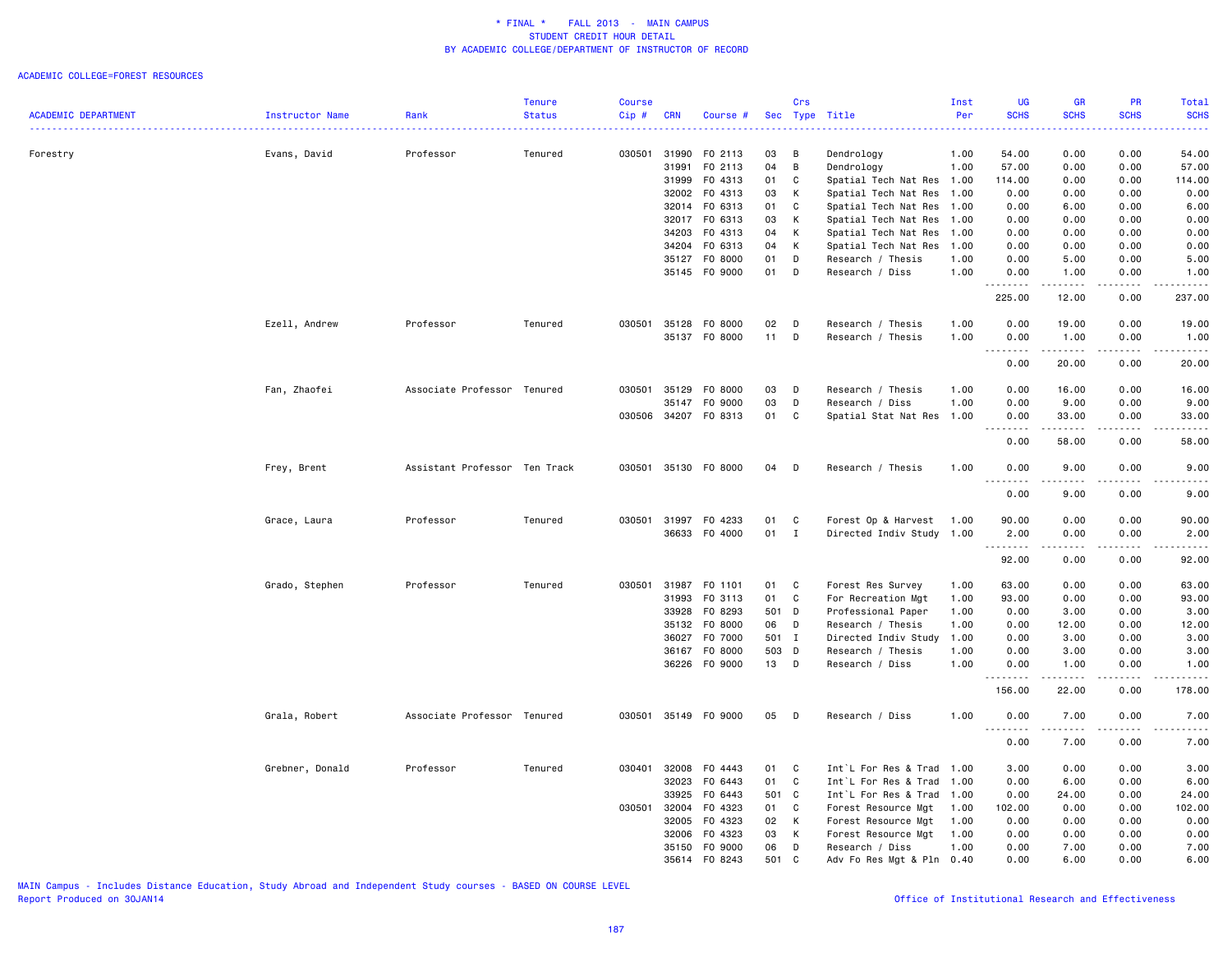#### ACADEMIC COLLEGE=FOREST RESOURCES

|                            |                 |                               | <b>Tenure</b> | <b>Course</b> |              |                      |       | Crs          |                           | Inst | <b>UG</b>                           | <b>GR</b>                                                                                                                                                    | PR          | Total                                      |
|----------------------------|-----------------|-------------------------------|---------------|---------------|--------------|----------------------|-------|--------------|---------------------------|------|-------------------------------------|--------------------------------------------------------------------------------------------------------------------------------------------------------------|-------------|--------------------------------------------|
| <b>ACADEMIC DEPARTMENT</b> | Instructor Name | Rank                          | <b>Status</b> | Cip#          | <b>CRN</b>   | Course #             | Sec   |              | Type Title                | Per  | <b>SCHS</b>                         | <b>SCHS</b>                                                                                                                                                  | <b>SCHS</b> | <b>SCHS</b><br>$\sim$ $\sim$ $\sim$ $\sim$ |
| Forestry                   | Evans, David    | Professor                     | Tenured       |               | 030501 31990 | F0 2113              | 03    | B            | Dendrology                | 1.00 | 54.00                               | 0.00                                                                                                                                                         | 0.00        | 54.00                                      |
|                            |                 |                               |               |               | 31991        | F0 2113              | 04    | В            | Dendrology                | 1.00 | 57.00                               | 0.00                                                                                                                                                         | 0.00        | 57.00                                      |
|                            |                 |                               |               |               | 31999        | F0 4313              | 01    | C            | Spatial Tech Nat Res 1.00 |      | 114.00                              | 0.00                                                                                                                                                         | 0.00        | 114.00                                     |
|                            |                 |                               |               |               |              | 32002 F0 4313        | 03    | К            | Spatial Tech Nat Res      | 1.00 | 0.00                                | 0.00                                                                                                                                                         | 0.00        | 0.00                                       |
|                            |                 |                               |               |               |              | 32014 FO 6313        | 01    | $\mathbf C$  | Spatial Tech Nat Res      | 1.00 | 0.00                                | 6.00                                                                                                                                                         | 0.00        | 6.00                                       |
|                            |                 |                               |               |               |              | 32017 FO 6313        | 03    | К            | Spatial Tech Nat Res      | 1.00 | 0.00                                | 0.00                                                                                                                                                         | 0.00        | 0.00                                       |
|                            |                 |                               |               |               | 34203        | F0 4313              | 04    | К            | Spatial Tech Nat Res      | 1.00 | 0.00                                | 0.00                                                                                                                                                         | 0.00        | 0.00                                       |
|                            |                 |                               |               |               | 34204        | F0 6313              | 04    | К            | Spatial Tech Nat Res      | 1.00 | 0.00                                | 0.00                                                                                                                                                         | 0.00        | 0.00                                       |
|                            |                 |                               |               |               | 35127        | F0 8000              | 01    | D            | Research / Thesis         | 1.00 | 0.00                                | 5.00                                                                                                                                                         | 0.00        | 5.00                                       |
|                            |                 |                               |               |               |              | 35145 FO 9000        | 01    | D            | Research / Diss           | 1.00 | 0.00                                | 1.00                                                                                                                                                         | 0.00        | 1.00                                       |
|                            |                 |                               |               |               |              |                      |       |              |                           |      | <u>.</u><br>225.00                  | .<br>12.00                                                                                                                                                   | .<br>0.00   | $- - - - - -$<br>237.00                    |
|                            |                 |                               |               |               |              |                      |       |              |                           |      |                                     |                                                                                                                                                              |             |                                            |
|                            | Ezell, Andrew   | Professor                     | Tenured       | 030501        |              | 35128 F0 8000        | 02    | D            | Research / Thesis         | 1.00 | 0.00                                | 19.00                                                                                                                                                        | 0.00        | 19.00                                      |
|                            |                 |                               |               |               |              | 35137 FO 8000        | 11    | D            | Research / Thesis         | 1.00 | 0.00<br>$\sim$ $\sim$ $\sim$ $\sim$ | 1.00<br>$\frac{1}{2} \left( \frac{1}{2} \right) \left( \frac{1}{2} \right) \left( \frac{1}{2} \right) \left( \frac{1}{2} \right) \left( \frac{1}{2} \right)$ | 0.00<br>.   | 1.00                                       |
|                            |                 |                               |               |               |              |                      |       |              |                           |      | 0.00                                | 20.00                                                                                                                                                        | 0.00        | 20.00                                      |
|                            | Fan, Zhaofei    | Associate Professor Tenured   |               | 030501        | 35129        | F0 8000              | 03    | D            | Research / Thesis         | 1.00 | 0.00                                | 16.00                                                                                                                                                        | 0.00        | 16.00                                      |
|                            |                 |                               |               |               | 35147        | F0 9000              | 03    | D            | Research / Diss           | 1.00 | 0.00                                | 9.00                                                                                                                                                         | 0.00        | 9.00                                       |
|                            |                 |                               |               |               |              | 030506 34207 F0 8313 | 01    | C            | Spatial Stat Nat Res      | 1.00 | 0.00                                | 33.00                                                                                                                                                        | 0.00        | 33.00                                      |
|                            |                 |                               |               |               |              |                      |       |              |                           |      | .<br>$\sim$ $\sim$ $\sim$<br>0.00   | .<br>58.00                                                                                                                                                   | .<br>0.00   | .<br>58.00                                 |
|                            | Frey, Brent     | Assistant Professor Ten Track |               |               |              | 030501 35130 F0 8000 | 04    | D            | Research / Thesis         | 1.00 | 0.00                                | 9.00                                                                                                                                                         | 0.00        | 9.00                                       |
|                            |                 |                               |               |               |              |                      |       |              |                           |      | 0.00                                | 9.00                                                                                                                                                         | 0.00        | 9.00                                       |
|                            | Grace, Laura    | Professor                     | Tenured       | 030501        | 31997        | F0 4233              | 01    | C            | Forest Op & Harvest       | 1.00 | 90.00                               | 0.00                                                                                                                                                         | 0.00        | 90.00                                      |
|                            |                 |                               |               |               |              | 36633 F0 4000        | 01    | $\mathbf{I}$ | Directed Indiv Study      | 1.00 | 2.00                                | 0.00                                                                                                                                                         | 0.00        | 2.00                                       |
|                            |                 |                               |               |               |              |                      |       |              |                           |      | .                                   | $\frac{1}{2} \left( \frac{1}{2} \right) \left( \frac{1}{2} \right) \left( \frac{1}{2} \right) \left( \frac{1}{2} \right)$                                    | .           | $- - - -$                                  |
|                            |                 |                               |               |               |              |                      |       |              |                           |      | 92.00                               | 0.00                                                                                                                                                         | 0.00        | 92.00                                      |
|                            | Grado, Stephen  | Professor                     | Tenured       | 030501        | 31987        | F0 1101              | 01    | C            | Forest Res Survey         | 1.00 | 63.00                               | 0.00                                                                                                                                                         | 0.00        | 63.00                                      |
|                            |                 |                               |               |               | 31993        | F0 3113              | 01    | C            | For Recreation Mgt        | 1.00 | 93.00                               | 0.00                                                                                                                                                         | 0.00        | 93.00                                      |
|                            |                 |                               |               |               | 33928        | F0 8293              | 501 D |              | Professional Paper        | 1.00 | 0.00                                | 3.00                                                                                                                                                         | 0.00        | 3.00                                       |
|                            |                 |                               |               |               | 35132        | F0 8000              | 06    | D            | Research / Thesis         | 1.00 | 0.00                                | 12.00                                                                                                                                                        | 0.00        | 12.00                                      |
|                            |                 |                               |               |               | 36027        | F0 7000              | 501 I |              | Directed Indiv Study      | 1.00 | 0.00                                | 3.00                                                                                                                                                         | 0.00        | 3.00                                       |
|                            |                 |                               |               |               | 36167        | F0 8000              | 503 D |              | Research / Thesis         | 1.00 | 0.00                                | 3.00                                                                                                                                                         | 0.00        | 3.00                                       |
|                            |                 |                               |               |               |              | 36226 F0 9000        | 13 D  |              | Research / Diss           | 1.00 | 0.00                                | 1.00                                                                                                                                                         | 0.00        | 1.00                                       |
|                            |                 |                               |               |               |              |                      |       |              |                           |      | <u>.</u><br>156.00                  | $- - - - -$<br>22.00                                                                                                                                         | .<br>0.00   | . <b>.</b><br>178.00                       |
|                            | Grala, Robert   | Associate Professor Tenured   |               | 030501        |              | 35149 FO 9000        | 05    | D            | Research / Diss           | 1.00 | 0.00                                | 7.00                                                                                                                                                         | 0.00        | 7.00                                       |
|                            |                 |                               |               |               |              |                      |       |              |                           |      | .<br>0.00                           | 7.00                                                                                                                                                         | 0.00        | .<br>7.00                                  |
|                            | Grebner, Donald | Professor                     | Tenured       | 030401        | 32008        | F0 4443              | 01    | C            | Int`L For Res & Trad      | 1.00 | 3.00                                | 0.00                                                                                                                                                         | 0.00        | 3.00                                       |
|                            |                 |                               |               |               | 32023        | F0 6443              | 01    | C            | Int`L For Res & Trad      | 1.00 | 0.00                                | 6.00                                                                                                                                                         | 0.00        | 6.00                                       |
|                            |                 |                               |               |               | 33925        | F0 6443              | 501 C |              | Int`L For Res & Trad      | 1.00 | 0.00                                | 24.00                                                                                                                                                        | 0.00        | 24.00                                      |
|                            |                 |                               |               | 030501        | 32004        | F0 4323              | 01    | C            | Forest Resource Mgt       | 1.00 | 102.00                              | 0.00                                                                                                                                                         | 0.00        | 102.00                                     |
|                            |                 |                               |               |               | 32005        | F0 4323              | 02    | К            | Forest Resource Mgt       | 1.00 | 0.00                                | 0.00                                                                                                                                                         | 0.00        | 0.00                                       |
|                            |                 |                               |               |               | 32006        | F0 4323              | 03    | К            | Forest Resource Mgt       | 1.00 | 0.00                                | 0.00                                                                                                                                                         | 0.00        | 0.00                                       |
|                            |                 |                               |               |               | 35150        | F0 9000              | 06    | D            | Research / Diss           | 1.00 | 0.00                                | 7.00                                                                                                                                                         | 0.00        | 7.00                                       |
|                            |                 |                               |               |               |              | 35614 FO 8243        | 501 C |              | Adv Fo Res Mgt & Pln      | 0.40 | 0.00                                | 6.00                                                                                                                                                         | 0.00        | 6.00                                       |
|                            |                 |                               |               |               |              |                      |       |              |                           |      |                                     |                                                                                                                                                              |             |                                            |

MAIN Campus - Includes Distance Education, Study Abroad and Independent Study courses - BASED ON COURSE LEVEL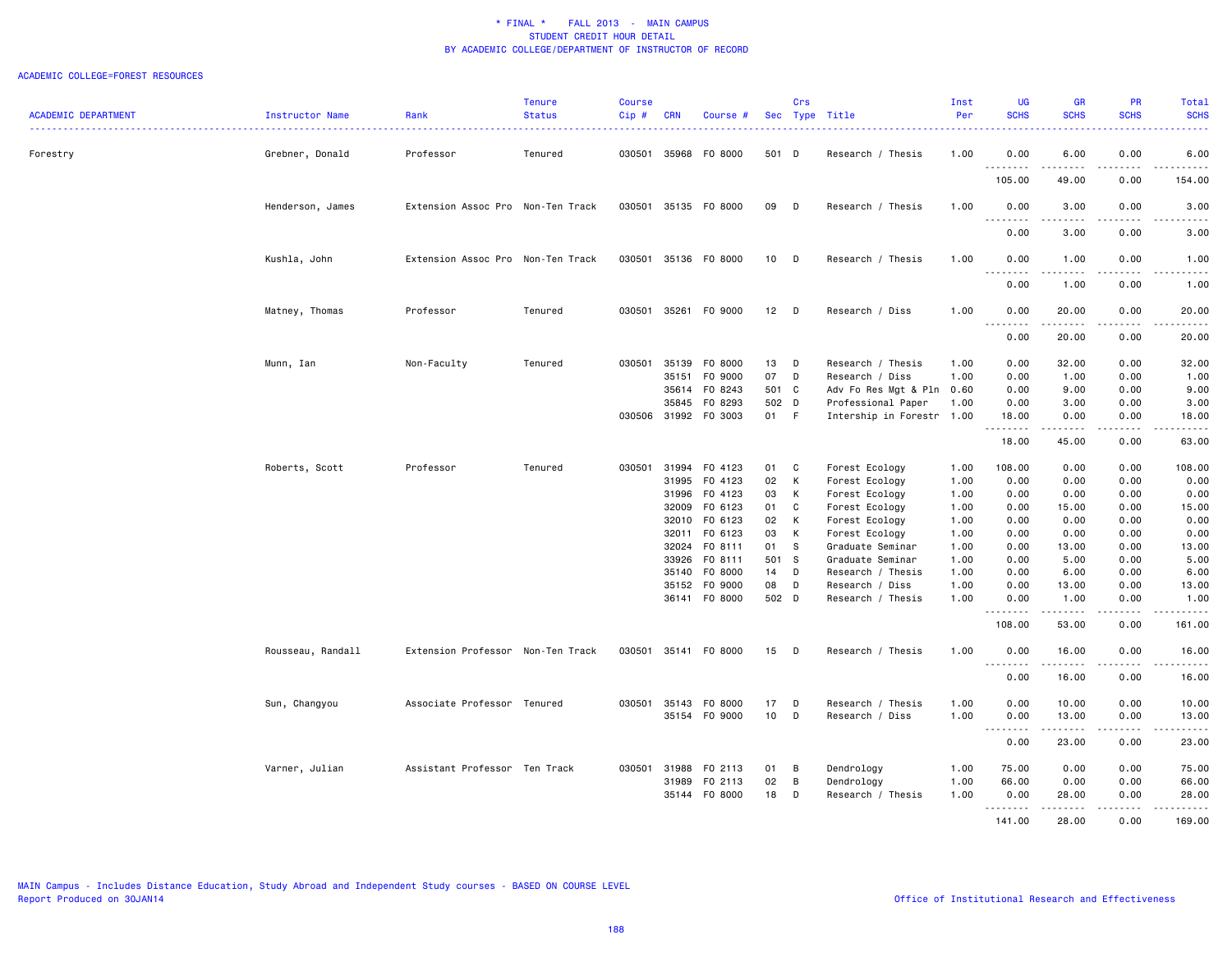#### ACADEMIC COLLEGE=FOREST RESOURCES

|                            |                   |                                   | <b>Tenure</b> | <b>Course</b> |                                                                                                 |                                                                                                                       |                                                                      | Crs                                              |                                                                                                                                                                                                               | Inst                                                                                 | <b>UG</b>                                                                              | <b>GR</b>                                                                               | <b>PR</b>                                                                                                                         | Total                                                                                                                                                        |
|----------------------------|-------------------|-----------------------------------|---------------|---------------|-------------------------------------------------------------------------------------------------|-----------------------------------------------------------------------------------------------------------------------|----------------------------------------------------------------------|--------------------------------------------------|---------------------------------------------------------------------------------------------------------------------------------------------------------------------------------------------------------------|--------------------------------------------------------------------------------------|----------------------------------------------------------------------------------------|-----------------------------------------------------------------------------------------|-----------------------------------------------------------------------------------------------------------------------------------|--------------------------------------------------------------------------------------------------------------------------------------------------------------|
| <b>ACADEMIC DEPARTMENT</b> | Instructor Name   | Rank                              | <b>Status</b> | $Cip$ #       | <b>CRN</b>                                                                                      | Course #                                                                                                              |                                                                      |                                                  | Sec Type Title                                                                                                                                                                                                | Per                                                                                  | <b>SCHS</b>                                                                            | <b>SCHS</b>                                                                             | <b>SCHS</b>                                                                                                                       | <b>SCHS</b><br>$\frac{1}{2} \left( \frac{1}{2} \right) \left( \frac{1}{2} \right) \left( \frac{1}{2} \right) \left( \frac{1}{2} \right)$                     |
| Forestry                   | Grebner, Donald   | Professor                         | Tenured       | 030501        | 35968                                                                                           | F0 8000                                                                                                               | 501 D                                                                |                                                  | Research / Thesis                                                                                                                                                                                             | 1.00                                                                                 | 0.00                                                                                   | 6.00                                                                                    | 0.00                                                                                                                              | 6.00                                                                                                                                                         |
|                            |                   |                                   |               |               |                                                                                                 |                                                                                                                       |                                                                      |                                                  |                                                                                                                                                                                                               |                                                                                      | <u>.</u><br>105.00                                                                     | .<br>49.00                                                                              | .<br>0.00                                                                                                                         | .<br>154.00                                                                                                                                                  |
|                            | Henderson, James  | Extension Assoc Pro Non-Ten Track |               |               |                                                                                                 | 030501 35135 F0 8000                                                                                                  | 09                                                                   | D                                                | Research / Thesis                                                                                                                                                                                             | 1.00                                                                                 | 0.00                                                                                   | 3.00                                                                                    | 0.00                                                                                                                              | 3.00                                                                                                                                                         |
|                            |                   |                                   |               |               |                                                                                                 |                                                                                                                       |                                                                      |                                                  |                                                                                                                                                                                                               |                                                                                      | .<br>0.00                                                                              | .<br>3.00                                                                               | $\frac{1}{2}$<br>0.00                                                                                                             | .<br>3.00                                                                                                                                                    |
|                            | Kushla, John      | Extension Assoc Pro Non-Ten Track |               | 030501        |                                                                                                 | 35136 FO 8000                                                                                                         | 10 <sub>1</sub>                                                      | D                                                | Research / Thesis                                                                                                                                                                                             | 1.00                                                                                 | 0.00<br>$\sim$ $\sim$ $\sim$<br>د د د د                                                | 1.00<br>.                                                                               | 0.00<br>$\frac{1}{2} \left( \frac{1}{2} \right) \left( \frac{1}{2} \right) \left( \frac{1}{2} \right) \left( \frac{1}{2} \right)$ | 1.00<br>$\frac{1}{2} \left( \frac{1}{2} \right) \left( \frac{1}{2} \right) \left( \frac{1}{2} \right) \left( \frac{1}{2} \right) \left( \frac{1}{2} \right)$ |
|                            |                   |                                   |               |               |                                                                                                 |                                                                                                                       |                                                                      |                                                  |                                                                                                                                                                                                               |                                                                                      | 0.00                                                                                   | 1.00                                                                                    | 0.00                                                                                                                              | 1.00                                                                                                                                                         |
|                            | Matney, Thomas    | Professor                         | Tenured       | 030501 35261  |                                                                                                 | F0 9000                                                                                                               | 12                                                                   | D                                                | Research / Diss                                                                                                                                                                                               | 1.00                                                                                 | 0.00<br>.                                                                              | 20.00<br>.                                                                              | 0.00<br>.                                                                                                                         | 20.00<br>.                                                                                                                                                   |
|                            |                   |                                   |               |               |                                                                                                 |                                                                                                                       |                                                                      |                                                  |                                                                                                                                                                                                               |                                                                                      | 0.00                                                                                   | 20.00                                                                                   | 0.00                                                                                                                              | 20.00                                                                                                                                                        |
|                            | Munn, Ian         | Non-Faculty                       | Tenured       | 030501 35139  | 35151<br>35614<br>35845                                                                         | F0 8000<br>F0 9000<br>F0 8243<br>F0 8293<br>030506 31992 F0 3003                                                      | 13<br>07<br>501 C<br>502 D<br>01 F                                   | $\mathsf D$<br>D                                 | Research / Thesis<br>Research / Diss<br>Adv Fo Res Mgt & Pln 0.60<br>Professional Paper<br>Intership in Forestr 1.00                                                                                          | 1.00<br>1.00<br>1.00                                                                 | 0.00<br>0.00<br>0.00<br>0.00<br>18.00                                                  | 32.00<br>1.00<br>9.00<br>3.00<br>0.00                                                   | 0.00<br>0.00<br>0.00<br>0.00<br>0.00                                                                                              | 32.00<br>1.00<br>9.00<br>3.00<br>18.00                                                                                                                       |
|                            |                   |                                   |               |               |                                                                                                 |                                                                                                                       |                                                                      |                                                  |                                                                                                                                                                                                               |                                                                                      | .<br>18.00                                                                             | 45.00                                                                                   | 0.00                                                                                                                              | $- - - - -$<br>63.00                                                                                                                                         |
|                            | Roberts, Scott    | Professor                         | Tenured       | 030501        | 31994<br>31995<br>31996<br>32009<br>32010<br>32011<br>32024<br>33926<br>35140<br>35152<br>36141 | F0 4123<br>F0 4123<br>F0 4123<br>F0 6123<br>F0 6123<br>F0 6123<br>FO 8111<br>FO 8111<br>F0 8000<br>F0 9000<br>F0 8000 | 01<br>02<br>03<br>01<br>02<br>03<br>01<br>501 S<br>14<br>08<br>502 D | C<br>K<br>К<br>C<br>K<br>К<br><b>S</b><br>D<br>D | Forest Ecology<br>Forest Ecology<br>Forest Ecology<br>Forest Ecology<br>Forest Ecology<br>Forest Ecology<br>Graduate Seminar<br>Graduate Seminar<br>Research / Thesis<br>Research / Diss<br>Research / Thesis | 1.00<br>1.00<br>1.00<br>1.00<br>1.00<br>1.00<br>1.00<br>1.00<br>1.00<br>1.00<br>1.00 | 108.00<br>0.00<br>0.00<br>0.00<br>0.00<br>0.00<br>0.00<br>0.00<br>0.00<br>0.00<br>0.00 | 0.00<br>0.00<br>0.00<br>15.00<br>0.00<br>0.00<br>13.00<br>5.00<br>6.00<br>13.00<br>1.00 | 0.00<br>0.00<br>0.00<br>0.00<br>0.00<br>0.00<br>0.00<br>0.00<br>0.00<br>0.00<br>0.00                                              | 108.00<br>0.00<br>0.00<br>15.00<br>0.00<br>0.00<br>13.00<br>5.00<br>6.00<br>13.00<br>1.00                                                                    |
|                            |                   |                                   |               |               |                                                                                                 |                                                                                                                       |                                                                      |                                                  |                                                                                                                                                                                                               |                                                                                      | .<br>108.00                                                                            | .<br>53.00                                                                              | .<br>0.00                                                                                                                         | .<br>161.00                                                                                                                                                  |
|                            | Rousseau, Randall | Extension Professor Non-Ten Track |               | 030501        |                                                                                                 | 35141 FO 8000                                                                                                         | 15                                                                   | D                                                | Research / Thesis                                                                                                                                                                                             | 1.00                                                                                 | 0.00<br>.<br>0.00                                                                      | 16.00<br>.<br>16.00                                                                     | 0.00<br>$\sim$ $\sim$ $\sim$ $\sim$<br>0.00                                                                                       | 16.00<br>.<br>16.00                                                                                                                                          |
|                            | Sun, Changyou     | Associate Professor Tenured       |               | 030501        | 35143                                                                                           | F0 8000                                                                                                               | 17                                                                   | D                                                | Research / Thesis                                                                                                                                                                                             | 1.00                                                                                 | 0.00                                                                                   | 10.00                                                                                   | 0.00                                                                                                                              | 10.00                                                                                                                                                        |
|                            |                   |                                   |               |               | 35154                                                                                           | F0 9000                                                                                                               | 10                                                                   | D                                                | Research / Diss                                                                                                                                                                                               | 1.00                                                                                 | 0.00<br>$\sim$ $\sim$ $\sim$<br>.<br>0.00                                              | 13.00<br>.<br>23.00                                                                     | 0.00<br>$\sim$ $\sim$ $\sim$ $\sim$<br>0.00                                                                                       | 13.00<br>$\sim$ $\sim$ $\sim$ $\sim$ $\sim$<br>23.00                                                                                                         |
|                            | Varner, Julian    | Assistant Professor Ten Track     |               | 030501 31988  | 31989<br>35144                                                                                  | F0 2113<br>F0 2113<br>F0 8000                                                                                         | 01<br>02<br>18                                                       | В<br>В<br>D                                      | Dendrology<br>Dendrology<br>Research / Thesis                                                                                                                                                                 | 1.00<br>1.00<br>1.00                                                                 | 75.00<br>66.00<br>0.00<br>.<br>141.00                                                  | 0.00<br>0.00<br>28.00<br>28,00                                                          | 0.00<br>0.00<br>0.00<br>0.00                                                                                                      | 75.00<br>66.00<br>28.00<br>169.00                                                                                                                            |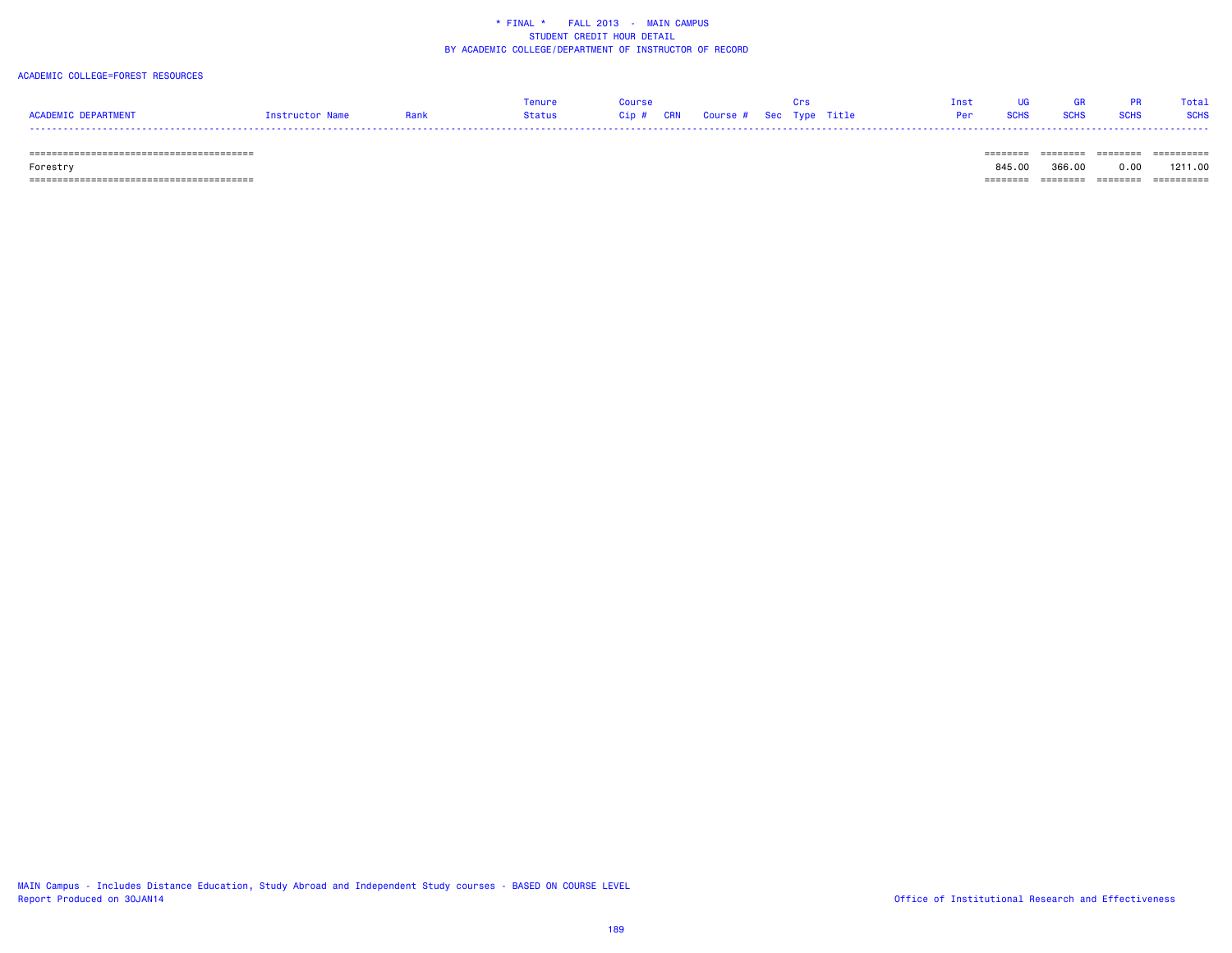### ACADEMIC COLLEGE=FOREST RESOURCES

|                     |                 |      | Tenure |  |                                   |  | Tnet.                | <b>UG</b> | <b>GR</b> |           | Total |
|---------------------|-----------------|------|--------|--|-----------------------------------|--|----------------------|-----------|-----------|-----------|-------|
| ACADEMIC DEPARTMENT | Instructor Name | Rank | Status |  | Cip # CRN Course # Sec Type Title |  | <b>Per SCHS SCHS</b> |           |           | SCHS SCHS |       |
|                     |                 |      |        |  |                                   |  |                      |           |           |           |       |

======================================== ======== ======== ======== ==========

Forestry 845.00 366.00 0.00 1211.00

======================================== ======== ======== ======== ==========

MAIN Campus - Includes Distance Education, Study Abroad and Independent Study courses - BASED ON COURSE LEVEL Report Produced on 30JAN14 **Contract and Effectiveness** of Institutional Research and Effectiveness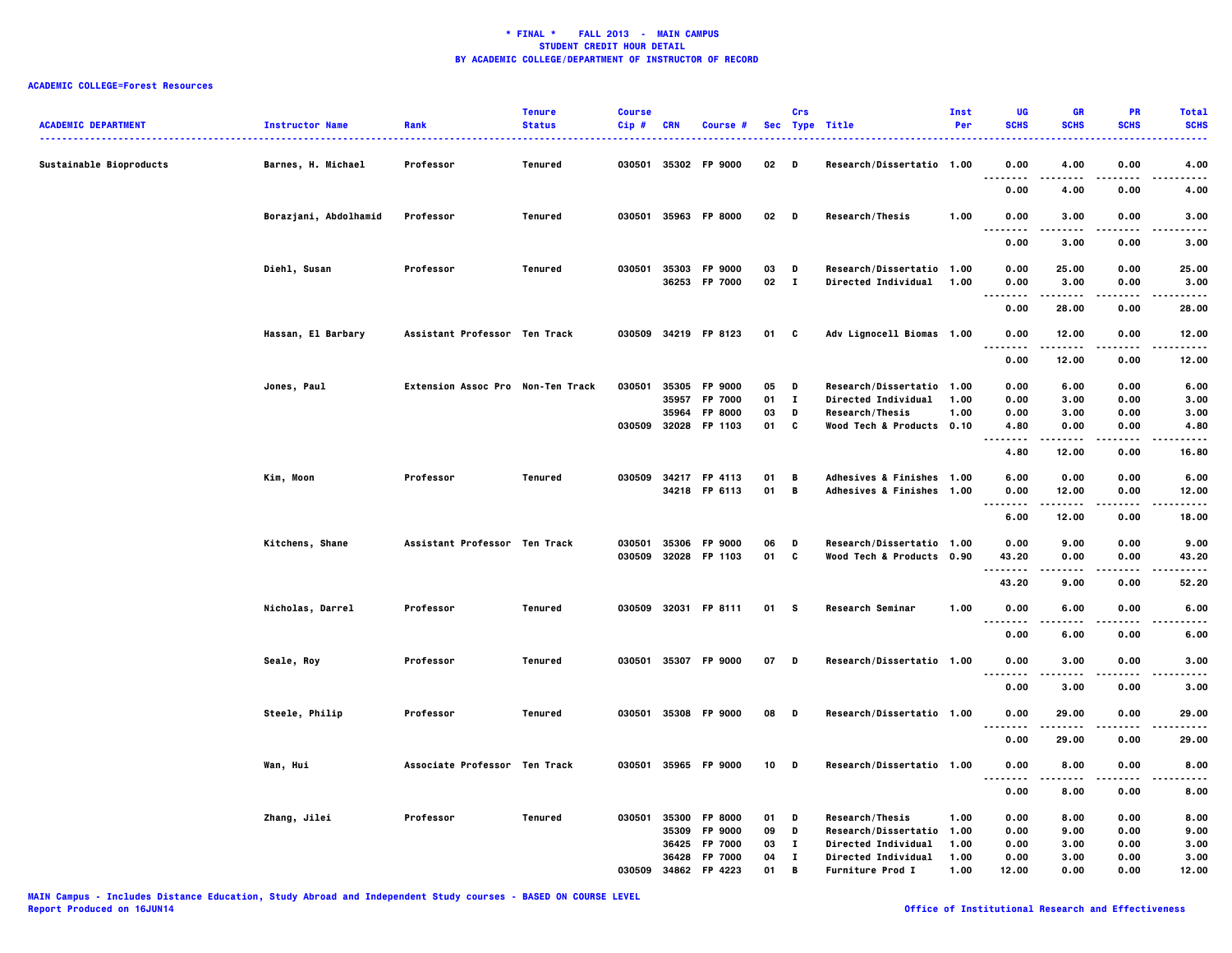# **ACADEMIC COLLEGE=Forest Resources**

| <b>ACADEMIC DEPARTMENT</b> | <b>Instructor Name</b> | Rank                              | <b>Tenure</b><br><b>Status</b> | <b>Course</b><br>$Cip$ # | <b>CRN</b>              | Course #                                              | <b>Sec</b>           | Crs                        | Type Title                                                                                                  | Inst<br>Per          | UG<br><b>SCHS</b>            | GR<br><b>SCHS</b>            | PR<br><b>SCHS</b>            | <b>Total</b><br><b>SCHS</b>  |
|----------------------------|------------------------|-----------------------------------|--------------------------------|--------------------------|-------------------------|-------------------------------------------------------|----------------------|----------------------------|-------------------------------------------------------------------------------------------------------------|----------------------|------------------------------|------------------------------|------------------------------|------------------------------|
| Sustainable Bioproducts    | Barnes, H. Michael     | Professor                         | Tenured                        | 030501                   | 35302                   | FP 9000                                               | 02                   | D                          | Research/Dissertatio 1.00                                                                                   |                      | 0.00<br>. .                  | 4.00                         | 0.00                         | 4.00                         |
|                            |                        |                                   |                                |                          |                         |                                                       |                      |                            |                                                                                                             |                      | 0.00                         | 4.00                         | 0.00                         | 4.00                         |
|                            | Borazjani, Abdolhamid  | Professor                         | Tenured                        |                          |                         | 030501 35963 FP 8000                                  | 02                   | $\blacksquare$             | Research/Thesis                                                                                             | 1.00                 | 0.00<br>٠.                   | 3.00                         | 0.00                         | 3.00                         |
|                            |                        |                                   |                                |                          |                         |                                                       |                      |                            |                                                                                                             |                      | 0.00                         | 3.00                         | 0.00                         | 3.00                         |
|                            | Diehl, Susan           | Professor                         | Tenured                        |                          | 030501 35303            | FP 9000<br>36253 FP 7000                              | 03<br>02             | D<br>$\mathbf{I}$          | Research/Dissertatio 1.00<br>Directed Individual                                                            | 1.00                 | 0.00<br>0.00                 | 25.00<br>3.00                | 0.00<br>0.00                 | 25.00<br>3.00                |
|                            |                        |                                   |                                |                          |                         |                                                       |                      |                            |                                                                                                             |                      | .<br>0.00                    | .<br>28.00                   | .<br>0.00                    | .<br>28.00                   |
|                            | Hassan, El Barbary     | Assistant Professor Ten Track     |                                |                          |                         | 030509 34219 FP 8123                                  | 01                   | C                          | Adv Lignocell Biomas 1.00                                                                                   |                      | 0.00<br>.                    | 12.00<br>.                   | 0.00<br>----                 | 12.00<br>.                   |
|                            |                        |                                   |                                |                          |                         |                                                       |                      |                            |                                                                                                             |                      | 0.00                         | 12.00                        | 0.00                         | 12.00                        |
|                            | Jones, Paul            | Extension Assoc Pro Non-Ten Track |                                | 030501                   | 35305<br>35957<br>35964 | FP 9000<br>FP 7000<br>FP 8000<br>030509 32028 FP 1103 | 05<br>01<br>03<br>01 | D<br>$\mathbf I$<br>D<br>C | Research/Dissertatio 1.00<br>Directed Individual<br>Research/Thesis<br><b>Wood Tech &amp; Products 0.10</b> | 1.00<br>1.00         | 0.00<br>0.00<br>0.00<br>4.80 | 6.00<br>3.00<br>3.00<br>0.00 | 0.00<br>0.00<br>0.00<br>0.00 | 6.00<br>3.00<br>3.00<br>4.80 |
|                            |                        |                                   |                                |                          |                         |                                                       |                      |                            |                                                                                                             |                      |                              |                              |                              | .                            |
|                            |                        |                                   |                                |                          |                         |                                                       |                      |                            |                                                                                                             |                      | 4.80                         | 12.00                        | 0.00                         | 16.80                        |
|                            | Kim, Moon              | Professor                         | Tenured                        | 030509 34217             |                         | FP 4113<br>34218 FP 6113                              | 01<br>01             | В<br>В                     | Adhesives & Finishes 1.00<br>Adhesives & Finishes 1.00                                                      |                      | 6.00<br>0.00                 | 0.00<br>12.00                | 0.00<br>0.00                 | 6.00<br>12.00                |
|                            |                        |                                   |                                |                          |                         |                                                       |                      |                            |                                                                                                             |                      | . .<br>----<br>6.00          | 12.00                        | $- - -$<br>0.00              | $\cdots$<br>18.00            |
|                            | Kitchens, Shane        | Assistant Professor Ten Track     |                                | 030501<br>030509         | 35306<br>32028          | FP 9000<br>FP 1103                                    | 06<br>01             | D<br>C                     | Research/Dissertatio 1.00<br><b>Wood Tech &amp; Products 0.90</b>                                           |                      | 0.00<br>43.20                | 9.00<br>0.00                 | 0.00<br>0.00                 | 9.00<br>43.20                |
|                            |                        |                                   |                                |                          |                         |                                                       |                      |                            |                                                                                                             |                      | .<br>43.20                   | .<br>9.00                    | .<br>0.00                    | .<br>52.20                   |
|                            | Nicholas, Darrel       | Professor                         | Tenured                        |                          |                         | 030509 32031 FP 8111                                  | 01                   | <b>S</b>                   | <b>Research Seminar</b>                                                                                     | 1.00                 | 0.00<br>.<br>$- - -$         | 6.00<br>----                 | 0.00<br>$- - - -$            | 6.00<br>.                    |
|                            |                        |                                   |                                |                          |                         |                                                       |                      |                            |                                                                                                             |                      | 0.00                         | 6.00                         | 0.00                         | 6.00                         |
|                            | Seale, Roy             | Professor                         | Tenured                        | 030501                   | 35307                   | FP 9000                                               | 07                   | D                          | Research/Dissertatio 1.00                                                                                   |                      | 0.00<br>$- - - -$<br>.       | 3.00                         | 0.00                         | 3.00<br>- - - - -            |
|                            |                        |                                   |                                |                          |                         |                                                       |                      |                            |                                                                                                             |                      | 0.00                         | 3.00                         | 0.00                         | 3.00                         |
|                            | Steele, Philip         | Professor                         | Tenured                        | 030501                   |                         | 35308 FP 9000                                         | 08                   | D                          | Research/Dissertatio 1.00                                                                                   |                      | 0.00                         | 29.00                        | 0.00                         | 29.00                        |
|                            |                        |                                   |                                |                          |                         |                                                       |                      |                            |                                                                                                             |                      | 0.00                         | 29.00                        | 0.00                         | 29.00                        |
|                            | Wan, Hui               | Associate Professor Ten Track     |                                | 030501 35965             |                         | FP 9000                                               | 10                   | D                          | Research/Dissertatio 1.00                                                                                   |                      | 0.00<br>                     | 8.00                         | 0.00                         | 8.00                         |
|                            |                        |                                   |                                |                          |                         |                                                       |                      |                            |                                                                                                             |                      | 0.00                         | 8.00                         | 0.00                         | 8.00                         |
|                            | Zhang, Jilei           | Professor                         | Tenured                        | 030501                   | 35300<br>35309<br>36425 | FP 8000<br>FP 9000<br>FP 7000                         | 01<br>09<br>03       | D<br>D<br>л.               | Research/Thesis<br>Research/Dissertatio<br>Directed Individual                                              | 1.00<br>1.00<br>1.00 | 0.00<br>0.00<br>0.00         | 8.00<br>9.00<br>3.00         | 0.00<br>0.00<br>0.00         | 8.00<br>9.00<br>3.00         |
|                            |                        |                                   |                                |                          | 36428<br>030509 34862   | FP 7000<br>FP 4223                                    | 04<br>01             | $\mathbf{I}$<br>В          | Directed Individual<br>Furniture Prod I                                                                     | 1.00<br>1.00         | 0.00<br>12.00                | 3.00<br>0.00                 | 0.00<br>0.00                 | 3.00<br>12.00                |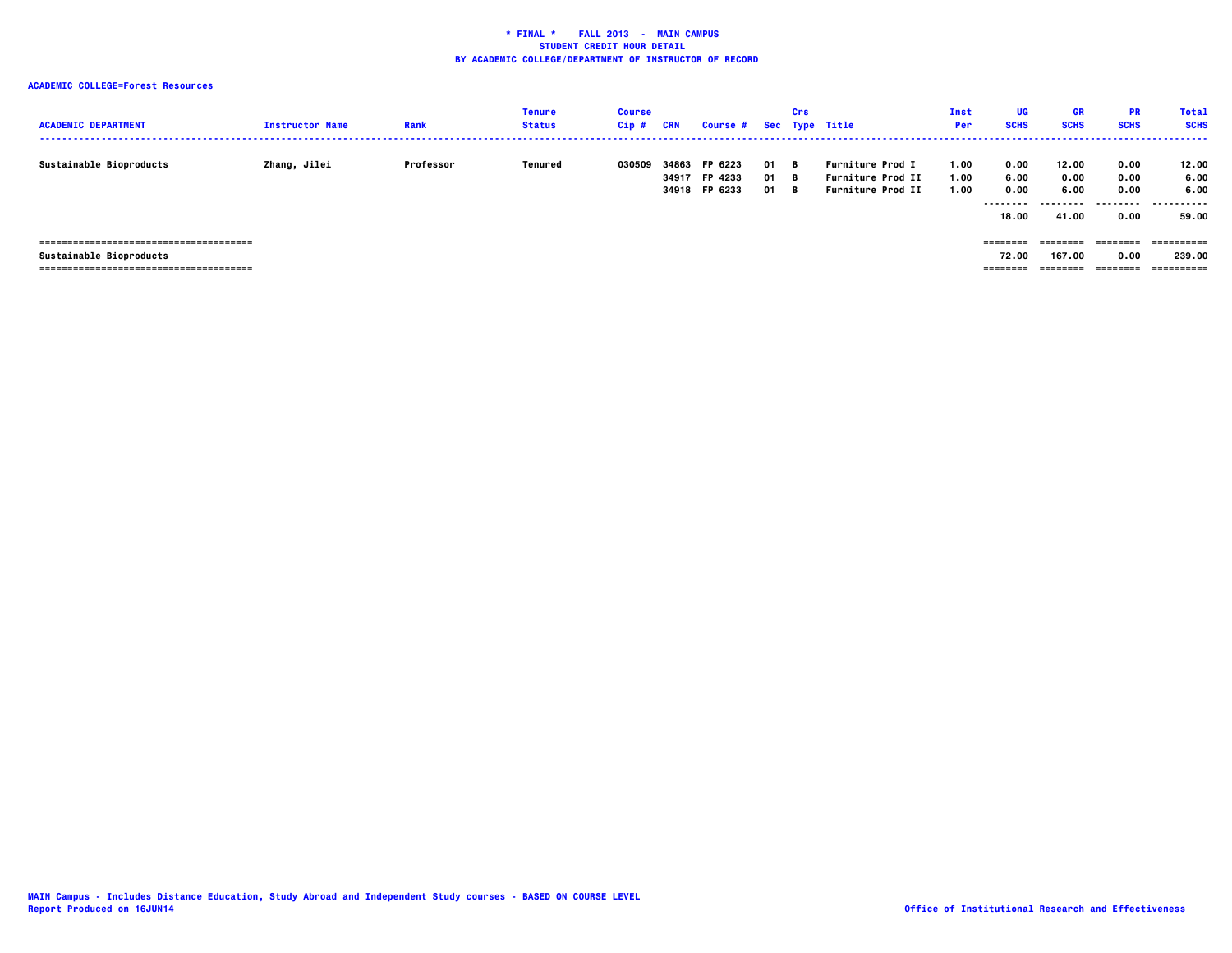# **ACADEMIC COLLEGE=Forest Resources**

| <b>ACADEMIC DEPARTMENT</b> | <b>Instructor Name</b> | Rank      | <b>Tenure</b><br><b>Status</b> | <b>Course</b><br>$Cip$ # | CRN            | Course # Sec Type Title             |                | Crs              |                                                                                 | Inst<br>Per          | UG<br><b>SCHS</b>                          | <b>GR</b><br><b>SCHS</b>                    | <b>PR</b><br><b>SCHS</b>          | <b>Total</b><br><b>SCHS</b>         |
|----------------------------|------------------------|-----------|--------------------------------|--------------------------|----------------|-------------------------------------|----------------|------------------|---------------------------------------------------------------------------------|----------------------|--------------------------------------------|---------------------------------------------|-----------------------------------|-------------------------------------|
| Sustainable Bioproducts    | Zhang, Jilei           | Professor | Tenured                        | 030509                   | 34863<br>34917 | FP 6223<br>FP 4233<br>34918 FP 6233 | 01<br>01<br>01 | в.<br>- в<br>— в | <b>Furniture Prod I</b><br><b>Furniture Prod II</b><br><b>Furniture Prod II</b> | 1.00<br>1.00<br>1.00 | 0.00<br>6.00<br>0.00<br>---------<br>18.00 | 12.00<br>0.00<br>6.00<br>---------<br>41.00 | 0.00<br>0.00<br>0.00<br>.<br>0.00 | 12.00<br>6.00<br>6.00<br>.<br>59.00 |
|                            |                        |           |                                |                          |                |                                     |                |                  |                                                                                 |                      | ========                                   | ========                                    | ========                          | -==========                         |
| Sustainable Bioproducts    |                        |           |                                |                          |                |                                     |                |                  |                                                                                 |                      | 72.00                                      | 167.00                                      | 0.00                              | 239.00                              |
|                            |                        |           |                                |                          |                |                                     |                |                  |                                                                                 |                      | --------                                   | ========                                    | ---------                         | ==========                          |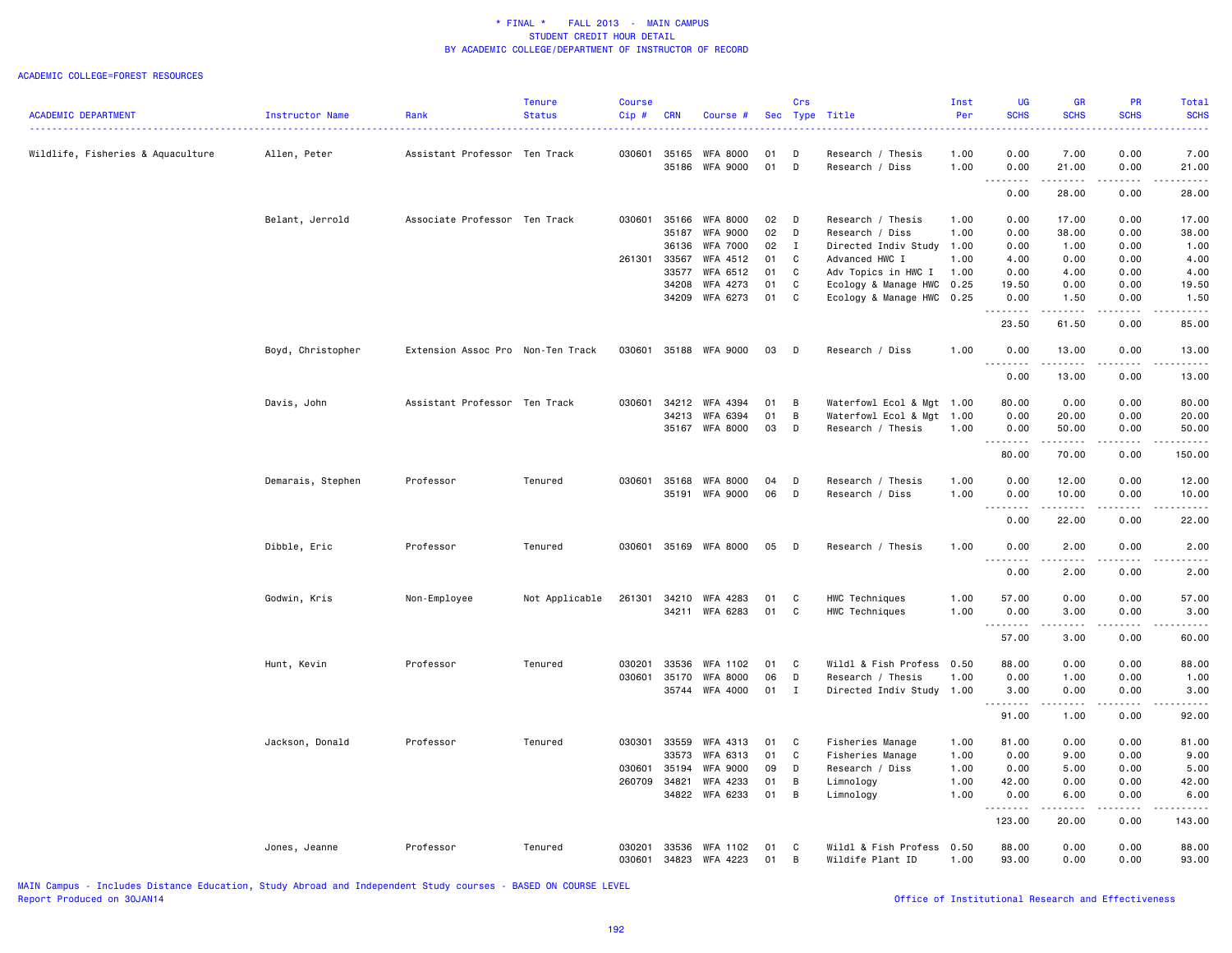#### ACADEMIC COLLEGE=FOREST RESOURCES

|                                   |                   |                                   | <b>Tenure</b>  | <b>Course</b> |                |                             |          | Crs               |                                        | Inst         | <b>UG</b>                                                                                                                         | <b>GR</b>                    | PR                                  | Total                                                                                                                                    |
|-----------------------------------|-------------------|-----------------------------------|----------------|---------------|----------------|-----------------------------|----------|-------------------|----------------------------------------|--------------|-----------------------------------------------------------------------------------------------------------------------------------|------------------------------|-------------------------------------|------------------------------------------------------------------------------------------------------------------------------------------|
| <b>ACADEMIC DEPARTMENT</b>        | Instructor Name   | Rank                              | <b>Status</b>  | Cip#          | <b>CRN</b>     | Course #                    |          | Sec Type          | Title                                  | Per          | <b>SCHS</b><br>المتمام المنا                                                                                                      | <b>SCHS</b><br>$- - - -$     | <b>SCHS</b>                         | <b>SCHS</b><br>$\frac{1}{2} \left( \frac{1}{2} \right) \left( \frac{1}{2} \right) \left( \frac{1}{2} \right) \left( \frac{1}{2} \right)$ |
|                                   |                   |                                   |                |               |                |                             |          |                   |                                        |              |                                                                                                                                   |                              |                                     |                                                                                                                                          |
| Wildlife, Fisheries & Aquaculture | Allen, Peter      | Assistant Professor Ten Track     |                | 030601 35165  | 35186          | WFA 8000<br>WFA 9000        | 01<br>01 | D<br>D            | Research / Thesis<br>Research / Diss   | 1.00<br>1.00 | 0.00<br>0.00                                                                                                                      | 7.00<br>21.00                | 0.00<br>0.00                        | 7.00<br>21.00                                                                                                                            |
|                                   |                   |                                   |                |               |                |                             |          |                   |                                        |              | .<br>0.00                                                                                                                         | .<br>28.00                   | .<br>0.00                           | .<br>28.00                                                                                                                               |
|                                   |                   |                                   |                |               |                |                             |          |                   |                                        |              |                                                                                                                                   |                              |                                     |                                                                                                                                          |
|                                   | Belant, Jerrold   | Associate Professor Ten Track     |                | 030601        | 35166          | <b>WFA 8000</b>             | 02       | D                 | Research / Thesis                      | 1.00         | 0.00                                                                                                                              | 17.00                        | 0.00                                | 17.00                                                                                                                                    |
|                                   |                   |                                   |                |               | 35187<br>36136 | <b>WFA 9000</b>             | 02<br>02 | D<br>$\mathbf{I}$ | Research / Diss                        | 1.00         | 0.00                                                                                                                              | 38.00                        | 0.00<br>0.00                        | 38.00                                                                                                                                    |
|                                   |                   |                                   |                | 261301 33567  |                | <b>WFA 7000</b><br>WFA 4512 | 01       | C                 | Directed Indiv Study<br>Advanced HWC I | 1.00<br>1.00 | 0.00<br>4.00                                                                                                                      | 1.00<br>0.00                 | 0.00                                | 1.00<br>4.00                                                                                                                             |
|                                   |                   |                                   |                |               | 33577          | WFA 6512                    | 01       | C                 | Adv Topics in HWC I                    | 1.00         | 0.00                                                                                                                              | 4.00                         | 0.00                                | 4.00                                                                                                                                     |
|                                   |                   |                                   |                |               | 34208          | WFA 4273                    | 01       | C                 | Ecology & Manage HWC                   | 0.25         | 19.50                                                                                                                             | 0.00                         | 0.00                                | 19.50                                                                                                                                    |
|                                   |                   |                                   |                |               | 34209          | WFA 6273                    | 01 C     |                   | Ecology & Manage HWC 0.25              |              | 0.00                                                                                                                              | 1.50                         | 0.00                                | 1.50                                                                                                                                     |
|                                   |                   |                                   |                |               |                |                             |          |                   |                                        |              | .<br>23.50                                                                                                                        | .<br>61.50                   | -----<br>0.00                       | .<br>85.00                                                                                                                               |
|                                   | Boyd, Christopher | Extension Assoc Pro Non-Ten Track |                |               |                | 030601 35188 WFA 9000       | 03       | $\Box$            | Research / Diss                        | 1.00         | 0.00                                                                                                                              | 13.00                        | 0.00                                | 13.00                                                                                                                                    |
|                                   |                   |                                   |                |               |                |                             |          |                   |                                        |              | <u>.</u><br>0.00                                                                                                                  | .<br>13.00                   | -----<br>0.00                       | .<br>13.00                                                                                                                               |
|                                   | Davis, John       | Assistant Professor Ten Track     |                | 030601        |                | 34212 WFA 4394              | 01       | B                 | Waterfowl Ecol & Mgt 1.00              |              | 80.00                                                                                                                             | 0.00                         | 0.00                                | 80.00                                                                                                                                    |
|                                   |                   |                                   |                |               | 34213          | WFA 6394                    | 01       | B                 | Waterfowl Ecol & Mgt                   | 1.00         | 0.00                                                                                                                              | 20.00                        | 0.00                                | 20.00                                                                                                                                    |
|                                   |                   |                                   |                |               | 35167          | WFA 8000                    | 03       | D                 | Research / Thesis                      | 1.00         | 0.00                                                                                                                              | 50.00                        | 0.00                                | 50.00                                                                                                                                    |
|                                   |                   |                                   |                |               |                |                             |          |                   |                                        |              | 80.00                                                                                                                             | 70.00                        | 0.00                                | 150.00                                                                                                                                   |
|                                   | Demarais, Stephen | Professor                         | Tenured        | 030601        | 35168          | <b>WFA 8000</b>             | 04       | D                 | Research / Thesis                      | 1.00         | 0.00                                                                                                                              | 12.00                        | 0.00                                | 12.00                                                                                                                                    |
|                                   |                   |                                   |                |               |                | 35191 WFA 9000              | 06       | D                 | Research / Diss                        | 1.00         | 0.00                                                                                                                              | 10.00<br>.                   | 0.00                                | 10.00                                                                                                                                    |
|                                   |                   |                                   |                |               |                |                             |          |                   |                                        |              | $\sim$ $\sim$ $\sim$<br>0.00                                                                                                      | 22.00                        | .<br>0.00                           | د د د د<br>22.00                                                                                                                         |
|                                   | Dibble, Eric      | Professor                         | Tenured        | 030601        |                | 35169 WFA 8000              | 05       | $\Box$            | Research / Thesis                      | 1.00         | 0.00                                                                                                                              | 2.00                         | 0.00                                | 2.00                                                                                                                                     |
|                                   |                   |                                   |                |               |                |                             |          |                   |                                        |              | $\frac{1}{2} \left( \frac{1}{2} \right) \left( \frac{1}{2} \right) \left( \frac{1}{2} \right) \left( \frac{1}{2} \right)$<br>0.00 | $\sim$ $\sim$ $\sim$<br>2.00 | $\sim$ $\sim$ $\sim$ $\sim$<br>0.00 | 2.00                                                                                                                                     |
|                                   |                   |                                   |                |               |                |                             |          |                   |                                        |              |                                                                                                                                   |                              |                                     |                                                                                                                                          |
|                                   | Godwin, Kris      | Non-Employee                      | Not Applicable | 261301        | 34210<br>34211 | WFA 4283<br>WFA 6283        | 01<br>01 | C<br>C            | HWC Techniques<br>HWC Techniques       | 1.00<br>1.00 | 57.00<br>0.00                                                                                                                     | 0.00<br>3.00                 | 0.00<br>0.00                        | 57.00<br>3.00                                                                                                                            |
|                                   |                   |                                   |                |               |                |                             |          |                   |                                        |              | .                                                                                                                                 | 2.2.2.2.2                    | .                                   | المتمام                                                                                                                                  |
|                                   |                   |                                   |                |               |                |                             |          |                   |                                        |              | 57.00                                                                                                                             | 3.00                         | 0.00                                | 60.00                                                                                                                                    |
|                                   | Hunt, Kevin       | Professor                         | Tenured        | 030201        | 33536          | WFA 1102                    | 01       | C                 | Wildl & Fish Profess                   | 0.50         | 88.00                                                                                                                             | 0.00                         | 0.00                                | 88.00                                                                                                                                    |
|                                   |                   |                                   |                | 030601        | 35170          | <b>WFA 8000</b>             | 06       | D                 | Research / Thesis                      | 1.00         | 0.00                                                                                                                              | 1.00                         | 0.00                                | 1.00                                                                                                                                     |
|                                   |                   |                                   |                |               |                | 35744 WFA 4000              | 01       | $\mathbf{I}$      | Directed Indiv Study 1.00              |              | 3.00<br>.                                                                                                                         | 0.00<br>.                    | 0.00<br>.                           | 3.00<br>.                                                                                                                                |
|                                   |                   |                                   |                |               |                |                             |          |                   |                                        |              | 91.00                                                                                                                             | 1.00                         | 0.00                                | 92.00                                                                                                                                    |
|                                   | Jackson, Donald   | Professor                         | Tenured        | 030301        | 33559          | WFA 4313                    | 01       | C                 | Fisheries Manage                       | 1.00         | 81.00                                                                                                                             | 0.00                         | 0.00                                | 81.00                                                                                                                                    |
|                                   |                   |                                   |                |               | 33573          | WFA 6313                    | 01       | C                 | Fisheries Manage                       | 1.00         | 0.00                                                                                                                              | 9.00                         | 0.00                                | 9.00                                                                                                                                     |
|                                   |                   |                                   |                | 030601        | 35194          | <b>WFA 9000</b>             | 09       | D                 | Research / Diss                        | 1.00         | 0.00                                                                                                                              | 5.00                         | 0.00                                | 5.00                                                                                                                                     |
|                                   |                   |                                   |                | 260709        | 34821          | WFA 4233                    | 01       | В                 | Limnology                              | 1.00         | 42.00                                                                                                                             | 0.00                         | 0.00                                | 42.00                                                                                                                                    |
|                                   |                   |                                   |                |               |                | 34822 WFA 6233              | 01       | B                 | Limnology                              | 1.00         | 0.00<br>.                                                                                                                         | 6.00<br>.                    | 0.00<br>.                           | 6.00<br>-----                                                                                                                            |
|                                   |                   |                                   |                |               |                |                             |          |                   |                                        |              | 123.00                                                                                                                            | 20.00                        | 0.00                                | 143.00                                                                                                                                   |
|                                   | Jones, Jeanne     | Professor                         | Tenured        | 030201        | 33536          | WFA 1102                    | 01       | C                 | Wildl & Fish Profess                   | 0.50         | 88.00                                                                                                                             | 0.00                         | 0.00                                | 88.00                                                                                                                                    |
|                                   |                   |                                   |                | 030601        | 34823          | WFA 4223                    | 01       | В                 | Wildife Plant ID                       | 1.00         | 93.00                                                                                                                             | 0.00                         | 0.00                                | 93.00                                                                                                                                    |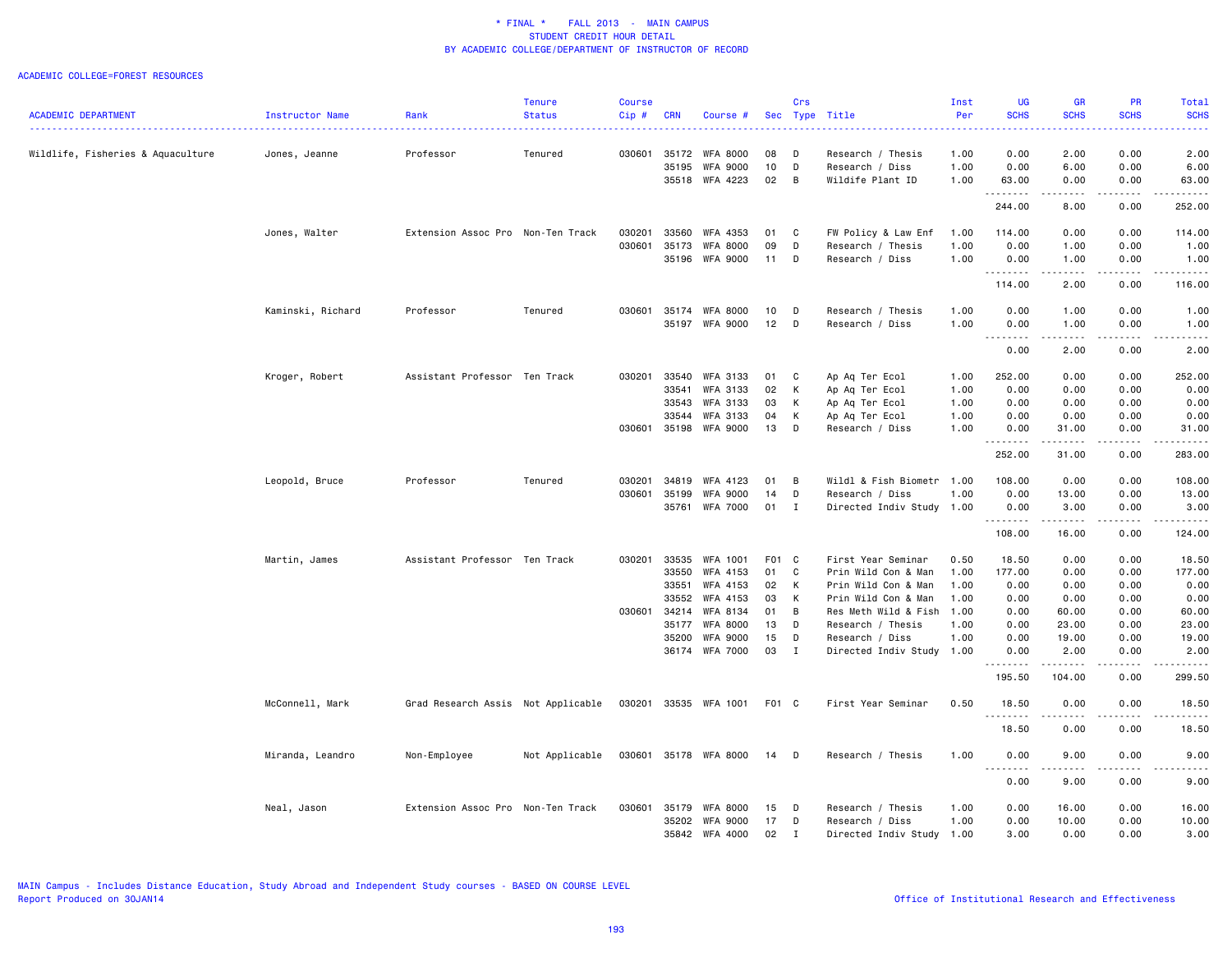#### ACADEMIC COLLEGE=FOREST RESOURCES

|                                   |                   |                                    | Tenure         | Course  |            |                 |       | Crs          |                           | Inst | UG                    | <b>GR</b>                           | <b>PR</b>                    | Total                   |
|-----------------------------------|-------------------|------------------------------------|----------------|---------|------------|-----------------|-------|--------------|---------------------------|------|-----------------------|-------------------------------------|------------------------------|-------------------------|
| <b>ACADEMIC DEPARTMENT</b>        | Instructor Name   | Rank                               | <b>Status</b>  | $Cip$ # | <b>CRN</b> | Course #        |       |              | Sec Type Title            | Per  | <b>SCHS</b>           | <b>SCHS</b>                         | <b>SCHS</b>                  | <b>SCHS</b>             |
| Wildlife, Fisheries & Aquaculture | Jones, Jeanne     | Professor                          | Tenured        | 030601  | 35172      | <b>WFA 8000</b> | 08    | D            | Research / Thesis         | 1.00 | 0.00                  | 2.00                                | 0.00                         | 2.00                    |
|                                   |                   |                                    |                |         | 35195      | WFA 9000        | 10    | D            | Research / Diss           | 1.00 | 0.00                  | 6.00                                | 0.00                         | 6.00                    |
|                                   |                   |                                    |                |         |            | 35518 WFA 4223  | 02    | B            | Wildife Plant ID          | 1.00 | 63.00                 | 0.00                                | 0.00                         | 63.00                   |
|                                   |                   |                                    |                |         |            |                 |       |              |                           |      | 244.00                | $\sim$ $\sim$ $\sim$ $\sim$<br>8.00 | $\sim$ $\sim$ $\sim$<br>0.00 | .<br>252.00             |
|                                   | Jones, Walter     | Extension Assoc Pro Non-Ten Track  |                | 030201  | 33560      | WFA 4353        | 01    | C            | FW Policy & Law Enf       | 1.00 | 114.00                | 0.00                                | 0.00                         | 114.00                  |
|                                   |                   |                                    |                | 030601  | 35173      | WFA 8000        | 09    | D            | Research / Thesis         | 1.00 | 0.00                  | 1.00                                | 0.00                         | 1.00                    |
|                                   |                   |                                    |                |         |            | 35196 WFA 9000  | 11    | D            | Research / Diss           | 1.00 | 0.00                  | 1.00<br><b>.</b>                    | 0.00<br>$\frac{1}{2}$        | 1.00<br>$- - - - - - -$ |
|                                   |                   |                                    |                |         |            |                 |       |              |                           |      | 114.00                | 2.00                                | 0.00                         | 116.00                  |
|                                   | Kaminski, Richard | Professor                          | Tenured        | 030601  | 35174      | <b>WFA 8000</b> | 10    | D            | Research / Thesis         | 1.00 | 0.00                  | 1.00                                | 0.00                         | 1.00                    |
|                                   |                   |                                    |                |         | 35197      | <b>WFA 9000</b> | 12    | D            | Research / Diss           | 1.00 | 0.00<br>.             | 1.00<br>$- - - -$                   | 0.00<br>$- - - -$            | 1.00<br>.               |
|                                   |                   |                                    |                |         |            |                 |       |              |                           |      | 0.00                  | 2.00                                | 0.00                         | 2.00                    |
|                                   | Kroger, Robert    | Assistant Professor Ten Track      |                | 030201  | 33540      | WFA 3133        | 01    | C            | Ap Aq Ter Ecol            | 1.00 | 252.00                | 0.00                                | 0.00                         | 252.00                  |
|                                   |                   |                                    |                |         | 33541      | WFA 3133        | 02    | Κ            | Ap Aq Ter Ecol            | 1.00 | 0.00                  | 0.00                                | 0.00                         | 0.00                    |
|                                   |                   |                                    |                |         | 33543      | <b>WFA 3133</b> | 03    | K            | Ap Aq Ter Ecol            | 1.00 | 0.00                  | 0.00                                | 0.00                         | 0.00                    |
|                                   |                   |                                    |                |         | 33544      | WFA 3133        | 04    | K            | Ap Aq Ter Ecol            | 1.00 | 0.00                  | 0.00                                | 0.00                         | 0.00                    |
|                                   |                   |                                    |                | 030601  |            | 35198 WFA 9000  | 13    | D            | Research / Diss           | 1.00 | 0.00<br>.             | 31.00<br>.                          | 0.00<br>$- - - -$            | 31.00<br>.              |
|                                   |                   |                                    |                |         |            |                 |       |              |                           |      | 252.00                | 31.00                               | 0.00                         | 283.00                  |
|                                   | Leopold, Bruce    | Professor                          | Tenured        | 030201  | 34819      | WFA 4123        | 01    | B            | Wildl & Fish Biometr 1.00 |      | 108.00                | 0.00                                | 0.00                         | 108.00                  |
|                                   |                   |                                    |                | 030601  | 35199      | <b>WFA 9000</b> | 14    | D            | Research / Diss           | 1.00 | 0.00                  | 13.00                               | 0.00                         | 13.00                   |
|                                   |                   |                                    |                |         | 35761      | WFA 7000        | 01    | I            | Directed Indiv Study 1.00 |      | 0.00<br>.             | 3.00<br>.                           | 0.00                         | 3,00<br>.               |
|                                   |                   |                                    |                |         |            |                 |       |              |                           |      | 108.00                | 16.00                               | 0.00                         | 124.00                  |
|                                   | Martin, James     | Assistant Professor Ten Track      |                | 030201  | 33535      | WFA 1001        | F01 C |              | First Year Seminar        | 0.50 | 18.50                 | 0.00                                | 0.00                         | 18.50                   |
|                                   |                   |                                    |                |         | 33550      | WFA 4153        | 01    | C            | Prin Wild Con & Man       | 1.00 | 177.00                | 0.00                                | 0.00                         | 177.00                  |
|                                   |                   |                                    |                |         | 33551      | WFA 4153        | 02    | K            | Prin Wild Con & Man       | 1.00 | 0.00                  | 0.00                                | 0.00                         | 0.00                    |
|                                   |                   |                                    |                |         | 33552      | WFA 4153        | 03    | К            | Prin Wild Con & Man       | 1.00 | 0.00                  | 0.00                                | 0.00                         | 0.00                    |
|                                   |                   |                                    |                | 030601  | 34214      | WFA 8134        | 01    | B            | Res Meth Wild & Fish 1.00 |      | 0.00                  | 60.00                               | 0.00                         | 60.00                   |
|                                   |                   |                                    |                |         | 35177      | WFA 8000        | 13    | D            | Research / Thesis         | 1.00 | 0.00                  | 23.00                               | 0.00                         | 23.00                   |
|                                   |                   |                                    |                |         | 35200      | <b>WFA 9000</b> | 15    | D            | Research / Diss           | 1.00 | 0.00                  | 19.00                               | 0.00                         | 19.00                   |
|                                   |                   |                                    |                |         |            | 36174 WFA 7000  | 03    | $\mathbf{I}$ | Directed Indiv Study 1.00 |      | 0.00                  | 2.00<br>.                           | 0.00<br>.                    | 2.00<br>.               |
|                                   |                   |                                    |                |         |            |                 |       |              |                           |      | 195.50                | 104.00                              | 0.00                         | 299.50                  |
|                                   | McConnell, Mark   | Grad Research Assis Not Applicable |                | 030201  |            | 33535 WFA 1001  | F01 C |              | First Year Seminar        | 0.50 | 18.50                 | 0.00                                | 0.00                         | 18.50<br>والمستحدث      |
|                                   |                   |                                    |                |         |            |                 |       |              |                           |      | 18.50                 | 0.00                                | 0.00                         | 18.50                   |
|                                   | Miranda, Leandro  | Non-Employee                       | Not Applicable | 030601  |            | 35178 WFA 8000  | 14    | D            | Research / Thesis         | 1.00 | 0.00<br>$\sim$ $\sim$ | 9.00                                | 0.00                         | 9.00                    |
|                                   |                   |                                    |                |         |            |                 |       |              |                           |      | 0.00                  | 9.00                                | 0.00                         | 9.00                    |
|                                   | Neal, Jason       | Extension Assoc Pro Non-Ten Track  |                | 030601  | 35179      | <b>WFA 8000</b> | 15    | D            | Research / Thesis         | 1.00 | 0.00                  | 16.00                               | 0.00                         | 16.00                   |
|                                   |                   |                                    |                |         | 35202      | <b>WFA 9000</b> | 17    | D            | Research / Diss           | 1.00 | 0.00                  | 10.00                               | 0.00                         | 10.00                   |
|                                   |                   |                                    |                |         |            | 35842 WFA 4000  | 02    | $\mathbf{I}$ | Directed Indiv Study 1.00 |      | 3.00                  | 0.00                                | 0.00                         | 3.00                    |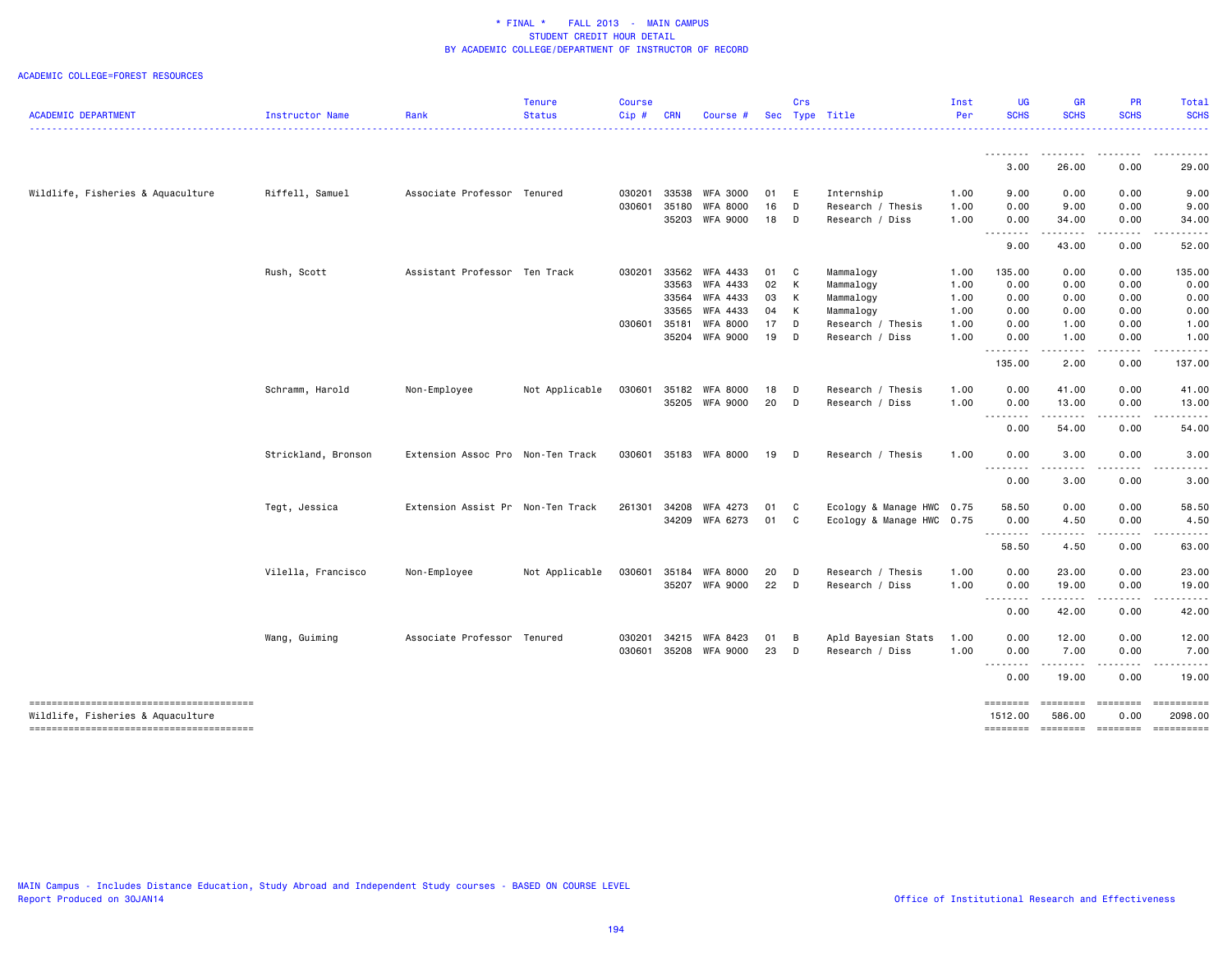#### ACADEMIC COLLEGE=FOREST RESOURCES

|                                   |                     |                                   | <b>Tenure</b>  | <b>Course</b> |            |                                   |            | Crs          |                                      | Inst         | UG                  | GR                 | PR                | <b>Total</b>          |
|-----------------------------------|---------------------|-----------------------------------|----------------|---------------|------------|-----------------------------------|------------|--------------|--------------------------------------|--------------|---------------------|--------------------|-------------------|-----------------------|
| <b>ACADEMIC DEPARTMENT</b>        | Instructor Name     | Rank                              | <b>Status</b>  | Cip#          | <b>CRN</b> | Course #                          | <b>Sec</b> |              | Type Title                           | Per          | <b>SCHS</b>         | <b>SCHS</b>        | <b>SCHS</b>       | <b>SCHS</b>           |
|                                   |                     |                                   |                |               |            |                                   |            |              |                                      |              | <u>.</u><br>3.00    | .<br>26.00         | -----<br>0.00     | .<br>29.00            |
|                                   |                     |                                   |                |               |            |                                   |            |              |                                      |              |                     |                    |                   |                       |
| Wildlife, Fisheries & Aquaculture | Riffell, Samuel     | Associate Professor Tenured       |                | 030201        | 33538      | <b>WFA 3000</b>                   | 01         | E            | Internship                           | 1.00         | 9.00                | 0.00               | 0.00              | 9.00                  |
|                                   |                     |                                   |                | 030601        | 35180      | <b>WFA 8000</b><br>35203 WFA 9000 | 16<br>18 D | D            | Research / Thesis<br>Research / Diss | 1.00<br>1.00 | 0.00<br>0.00        | 9.00<br>34.00      | 0.00<br>0.00      | 9.00<br>34.00         |
|                                   |                     |                                   |                |               |            |                                   |            |              |                                      |              | .                   |                    |                   |                       |
|                                   |                     |                                   |                |               |            |                                   |            |              |                                      |              | 9.00                | 43.00              | 0.00              | 52.00                 |
|                                   | Rush, Scott         | Assistant Professor Ten Track     |                | 030201        | 33562      | WFA 4433                          | 01         | $\mathbf{C}$ | Mammalogy                            | 1.00         | 135.00              | 0.00               | 0.00              | 135.00                |
|                                   |                     |                                   |                |               | 33563      | WFA 4433                          | 02         | $\mathsf{K}$ | Mammalogy                            | 1.00         | 0.00                | 0.00               | 0.00              | 0.00                  |
|                                   |                     |                                   |                |               | 33564      | WFA 4433                          | 03         | $\mathsf{K}$ | Mammalogy                            | 1.00         | 0.00                | 0.00               | 0.00              | 0.00                  |
|                                   |                     |                                   |                |               | 33565      | WFA 4433                          | 04 K       |              | Mammalogy                            | 1.00         | 0.00                | 0.00               | 0.00              | 0.00                  |
|                                   |                     |                                   |                | 030601        | 35181      | <b>WFA 8000</b>                   | $17$ D     |              | Research / Thesis                    | 1.00         | 0.00                | 1.00               | 0.00              | 1.00                  |
|                                   |                     |                                   |                |               |            | 35204 WFA 9000                    | 19 D       |              | Research / Diss                      | 1.00         | 0.00<br>.           | 1.00<br>.          | 0.00<br>بالمستعاد | 1.00                  |
|                                   |                     |                                   |                |               |            |                                   |            |              |                                      |              | 135.00              | 2.00               | 0.00              | 137.00                |
|                                   | Schramm, Harold     | Non-Employee                      | Not Applicable | 030601        | 35182      | <b>WFA 8000</b>                   | 18         | $\Box$       | Research / Thesis                    | 1.00         | 0.00                | 41.00              | 0.00              | 41.00                 |
|                                   |                     |                                   |                |               |            | 35205 WFA 9000                    | 20 D       |              | Research / Diss                      | 1.00         | 0.00                | 13.00              | 0.00              | 13.00                 |
|                                   |                     |                                   |                |               |            |                                   |            |              |                                      |              | .<br>0.00           | .<br>54.00         | $\cdots$<br>0.00  | 54.00                 |
|                                   | Strickland, Bronson | Extension Assoc Pro Non-Ten Track |                | 030601        |            | 35183 WFA 8000                    | 19 D       |              | Research / Thesis                    | 1.00         | 0.00                | 3.00               | 0.00              | 3.00                  |
|                                   |                     |                                   |                |               |            |                                   |            |              |                                      |              | .                   | - - - -            | .                 |                       |
|                                   |                     |                                   |                |               |            |                                   |            |              |                                      |              | 0.00                | 3.00               | 0.00              | 3.00                  |
|                                   | Tegt, Jessica       | Extension Assist Pr Non-Ten Track |                | 261301        | 34208      | WFA 4273                          | 01         | C            | Ecology & Manage HWC 0.75            |              | 58.50               | 0.00               | 0.00              | 58.50                 |
|                                   |                     |                                   |                |               |            | 34209 WFA 6273                    | 01         | $\mathbf{C}$ | Ecology & Manage HWC 0.75            |              | 0.00                | 4.50               | 0.00              | 4.50                  |
|                                   |                     |                                   |                |               |            |                                   |            |              |                                      |              | .<br>58.50          | والمرامين<br>4.50  | 0.00              | 63.00                 |
|                                   |                     |                                   |                |               |            |                                   |            |              |                                      |              |                     |                    |                   |                       |
|                                   | Vilella, Francisco  | Non-Employee                      | Not Applicable | 030601        | 35184      | <b>WFA 8000</b>                   | 20         | D            | Research / Thesis                    | 1.00         | 0.00                | 23.00              | 0.00              | 23.00                 |
|                                   |                     |                                   |                |               |            | 35207 WFA 9000                    | 22 D       |              | Research / Diss                      | 1.00         | 0.00<br>--------    | 19.00              | 0.00              | 19.00                 |
|                                   |                     |                                   |                |               |            |                                   |            |              |                                      |              | 0.00                | 42.00              | 0.00              | 42.00                 |
|                                   | Wang, Guiming       | Associate Professor Tenured       |                | 030201        | 34215      | WFA 8423                          | 01         | B            | Apld Bayesian Stats                  | 1.00         | 0.00                | 12.00              | 0.00              | 12.00                 |
|                                   |                     |                                   |                | 030601        |            | 35208 WFA 9000                    | 23         | D            | Research / Diss                      | 1.00         | 0.00                | 7.00               | 0.00              | 7.00                  |
|                                   |                     |                                   |                |               |            |                                   |            |              |                                      |              | . <b>.</b><br>0.00  | -----<br>19.00     | $   -$<br>0.00    | 19.00                 |
|                                   |                     |                                   |                |               |            |                                   |            |              |                                      |              | ========<br>1512.00 | ========<br>586.00 | ========<br>0.00  | ==========<br>2098.00 |
| Wildlife, Fisheries & Aquaculture |                     |                                   |                |               |            |                                   |            |              |                                      |              | ========            | $=$ ========       | $=$ ========      |                       |

MAIN Campus - Includes Distance Education, Study Abroad and Independent Study courses - BASED ON COURSE LEVEL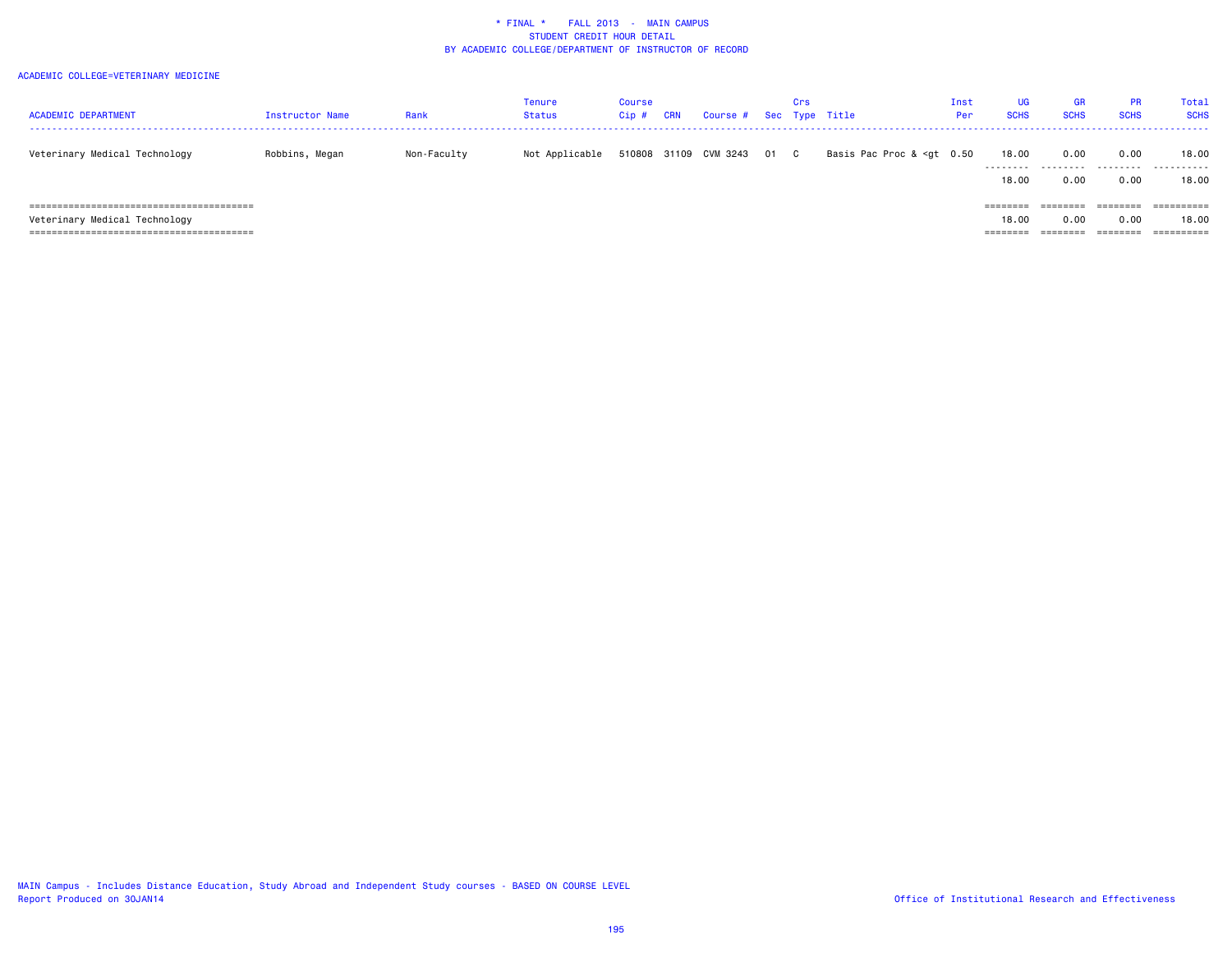| <b>ACADEMIC DEPARTMENT</b>    | Instructor Name | Rank        | Tenure<br><b>Status</b> | <b>Course</b><br>Cip# | <b>CRN</b> | Course # Sec Type Title |      | Crs |                                                                                                                                  | Inst<br>Per | <b>UG</b><br><b>SCHS</b> | <b>GR</b><br><b>SCHS</b> | <b>PR</b><br><b>SCHS</b> | Total<br><b>SCHS</b> |
|-------------------------------|-----------------|-------------|-------------------------|-----------------------|------------|-------------------------|------|-----|----------------------------------------------------------------------------------------------------------------------------------|-------------|--------------------------|--------------------------|--------------------------|----------------------|
| Veterinary Medical Technology | Robbins, Megan  | Non-Faculty | Not Applicable          |                       |            | 510808 31109 CVM 3243   | 01 C |     | Basis Pac Proc & <gt 0.50<="" td=""><td></td><td>18.00<br/>.</td><td>0.00<br/>.</td><td>0.00<br/>.</td><td>18.00<br/>.</td></gt> |             | 18.00<br>.               | 0.00<br>.                | 0.00<br>.                | 18.00<br>.           |
|                               |                 |             |                         |                       |            |                         |      |     |                                                                                                                                  |             | 18,00                    | 0.00                     | 0.00                     | 18.00                |
|                               |                 |             |                         |                       |            |                         |      |     |                                                                                                                                  |             | ========                 | ========                 | ========                 |                      |
| Veterinary Medical Technology |                 |             |                         |                       |            |                         |      |     |                                                                                                                                  |             | 18,00                    | 0.00                     | 0.00                     | 18.00                |
|                               |                 |             |                         |                       |            |                         |      |     |                                                                                                                                  |             | ========                 | ========                 | ========                 | ==========           |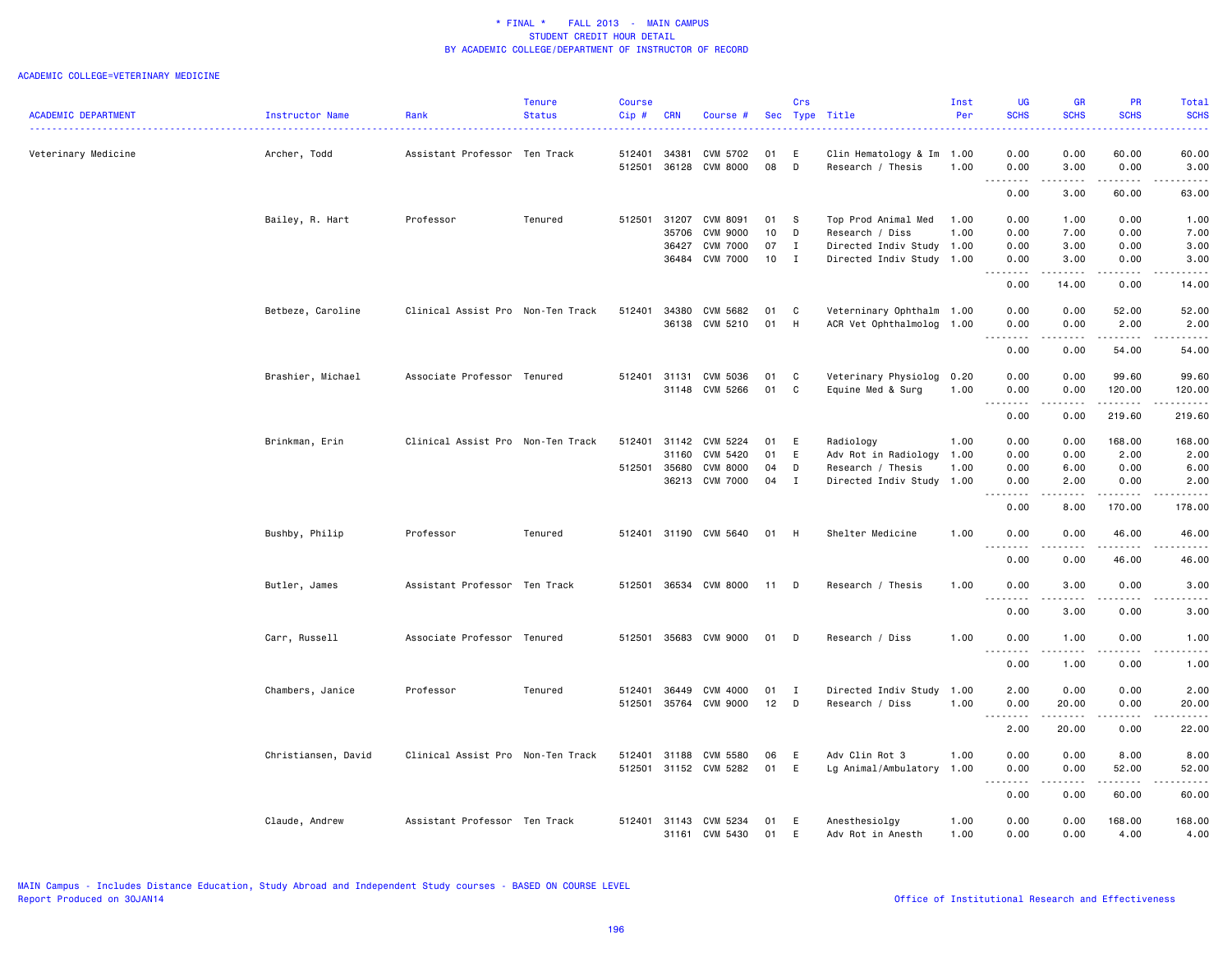|                            |                     |                                   | <b>Tenure</b> | <b>Course</b> |              |                            |          | Crs          |                                    | Inst         | UG                                       | <b>GR</b>       | <b>PR</b>                    | Total               |
|----------------------------|---------------------|-----------------------------------|---------------|---------------|--------------|----------------------------|----------|--------------|------------------------------------|--------------|------------------------------------------|-----------------|------------------------------|---------------------|
| <b>ACADEMIC DEPARTMENT</b> | Instructor Name     | Rank                              | <b>Status</b> | Cip#          | <b>CRN</b>   | Course #                   |          |              | Sec Type Title                     | Per          | <b>SCHS</b>                              | <b>SCHS</b>     | <b>SCHS</b>                  | <b>SCHS</b>         |
| Veterinary Medicine        | Archer, Todd        | Assistant Professor Ten Track     |               | 512401        | 34381        | CVM 5702                   | 01       | E            | Clin Hematology & Im               | 1.00         | 0.00                                     | 0.00            | 60.00                        | 60.00               |
|                            |                     |                                   |               | 512501        | 36128        | <b>CVM 8000</b>            | 08       | D            | Research / Thesis                  | 1.00         | 0.00<br>-----                            | 3.00<br>.       | 0.00<br>.                    | 3.00<br>.           |
|                            |                     |                                   |               |               |              |                            |          |              |                                    |              | 0.00                                     | 3.00            | 60.00                        | 63.00               |
|                            | Bailey, R. Hart     | Professor                         | Tenured       | 512501        | 31207        | CVM 8091                   | 01       | - S          | Top Prod Animal Med                | 1.00         | 0.00                                     | 1.00            | 0.00                         | 1.00                |
|                            |                     |                                   |               |               | 35706        | <b>CVM 9000</b>            | 10       | D            | Research / Diss                    | 1.00         | 0.00                                     | 7.00            | 0.00                         | 7.00                |
|                            |                     |                                   |               |               | 36427        | <b>CVM 7000</b>            | 07       | $\mathbf{I}$ | Directed Indiv Study 1.00          |              | 0.00                                     | 3.00            | 0.00                         | 3.00                |
|                            |                     |                                   |               |               | 36484        | <b>CVM 7000</b>            | 10       | $\mathbf{I}$ | Directed Indiv Study 1.00          |              | 0.00<br>.                                | 3.00<br>.       | 0.00<br>$\sim$ $\sim$ $\sim$ | 3.00                |
|                            |                     |                                   |               |               |              |                            |          |              |                                    |              | 0.00                                     | 14.00           | 0.00                         | 14.00               |
|                            | Betbeze, Caroline   | Clinical Assist Pro Non-Ten Track |               | 512401        | 34380        | CVM 5682                   | 01       | C            | Veterninary Ophthalm 1.00          |              | 0.00                                     | 0.00            | 52.00                        | 52.00               |
|                            |                     |                                   |               |               | 36138        | CVM 5210                   | 01       | H            | ACR Vet Ophthalmolog               | 1.00         | 0.00<br>$\sim$ $\sim$ $\sim$             | 0.00            | 2.00<br>.                    | 2.00<br>.           |
|                            |                     |                                   |               |               |              |                            |          |              |                                    |              | 0.00                                     | 0.00            | 54.00                        | 54.00               |
|                            | Brashier, Michael   | Associate Professor Tenured       |               | 512401        | 31131        | CVM 5036                   | 01       | C            | Veterinary Physiolog               | 0.20         | 0.00                                     | 0.00            | 99.60                        | 99.60               |
|                            |                     |                                   |               |               |              | 31148 CVM 5266             | 01       | C            | Equine Med & Surg                  | 1.00         | 0.00<br>-----<br>$\sim$ $\sim$ .         | 0.00<br>.       | 120.00<br>.                  | 120.00<br>.         |
|                            |                     |                                   |               |               |              |                            |          |              |                                    |              | 0.00                                     | 0.00            | 219.60                       | 219.60              |
|                            | Brinkman, Erin      | Clinical Assist Pro Non-Ten Track |               | 512401        | 31142        | CVM 5224                   | 01       | E            | Radiology                          | 1.00         | 0.00                                     | 0.00            | 168.00                       | 168.00              |
|                            |                     |                                   |               |               | 31160        | CVM 5420                   | 01       | E            | Adv Rot in Radiology               | 1.00         | 0.00                                     | 0.00            | 2.00                         | 2.00                |
|                            |                     |                                   |               |               | 512501 35680 | <b>CVM 8000</b>            | 04       | D            | Research / Thesis                  | 1.00         | 0.00                                     | 6.00            | 0.00                         | 6.00                |
|                            |                     |                                   |               |               |              | 36213 CVM 7000             | 04       | $\mathbf I$  | Directed Indiv Study 1.00          |              | 0.00<br>.                                | 2.00<br>.       | 0.00<br>.                    | 2.00<br>.           |
|                            |                     |                                   |               |               |              |                            |          |              |                                    |              | 0.00                                     | 8.00            | 170.00                       | 178.00              |
|                            | Bushby, Philip      | Professor                         | Tenured       | 512401        |              | 31190 CVM 5640             | 01       | - H          | Shelter Medicine                   | 1.00         | 0.00<br>.<br>$  -$                       | 0.00            | 46.00<br>-----               | 46.00<br>.          |
|                            |                     |                                   |               |               |              |                            |          |              |                                    |              | 0.00                                     | 0.00            | 46.00                        | 46.00               |
|                            | Butler, James       | Assistant Professor Ten Track     |               | 512501        |              | 36534 CVM 8000             | 11 D     |              | Research / Thesis                  | 1.00         | 0.00                                     | 3.00            | 0.00                         | 3.00                |
|                            |                     |                                   |               |               |              |                            |          |              |                                    |              | 0.00                                     | 3.00            | 0.00                         | 3.00                |
|                            | Carr, Russell       | Associate Professor Tenured       |               | 512501        |              | 35683 CVM 9000             | 01       | D            | Research / Diss                    | 1.00         | 0.00                                     | 1.00            | 0.00                         | 1.00                |
|                            |                     |                                   |               |               |              |                            |          |              |                                    |              | $\sim$ $\sim$ $\sim$<br><u>.</u><br>0.00 | <b></b><br>1.00 | .<br>0.00                    | $- - - - -$<br>1.00 |
|                            | Chambers, Janice    | Professor                         | Tenured       | 512401        | 36449        | CVM 4000                   | 01       | $\mathbf{I}$ | Directed Indiv Study               | 1.00         | 2.00                                     | 0.00            | 0.00                         | 2.00                |
|                            |                     |                                   |               | 512501        |              | 35764 CVM 9000             | 12       | D            | Research / Diss                    | 1.00         | 0.00                                     | 20.00           | 0.00                         | 20.00               |
|                            |                     |                                   |               |               |              |                            |          |              |                                    |              | د د د د<br>2.00                          | .<br>20.00      | .<br>0.00                    | .<br>22.00          |
|                            | Christiansen, David | Clinical Assist Pro Non-Ten Track |               | 512401        | 31188        | CVM 5580                   | 06       | E            | Adv Clin Rot 3                     | 1.00         | 0.00                                     | 0.00            | 8.00                         | 8.00                |
|                            |                     |                                   |               | 512501        |              | 31152 CVM 5282             | 01       | E            | Lg Animal/Ambulatory               | 1.00         | 0.00                                     | 0.00            | 52.00                        | 52.00               |
|                            |                     |                                   |               |               |              |                            |          |              |                                    |              | 0.00                                     | 0.00            | .<br>60.00                   | 60.00               |
|                            |                     |                                   |               |               |              |                            |          |              |                                    |              |                                          |                 |                              |                     |
|                            | Claude, Andrew      | Assistant Professor Ten Track     |               | 512401        | 31143        | CVM 5234<br>31161 CVM 5430 | 01<br>01 | E<br>E       | Anesthesiolgy<br>Adv Rot in Anesth | 1.00<br>1.00 | 0.00<br>0.00                             | 0.00<br>0.00    | 168.00<br>4.00               | 168.00<br>4.00      |
|                            |                     |                                   |               |               |              |                            |          |              |                                    |              |                                          |                 |                              |                     |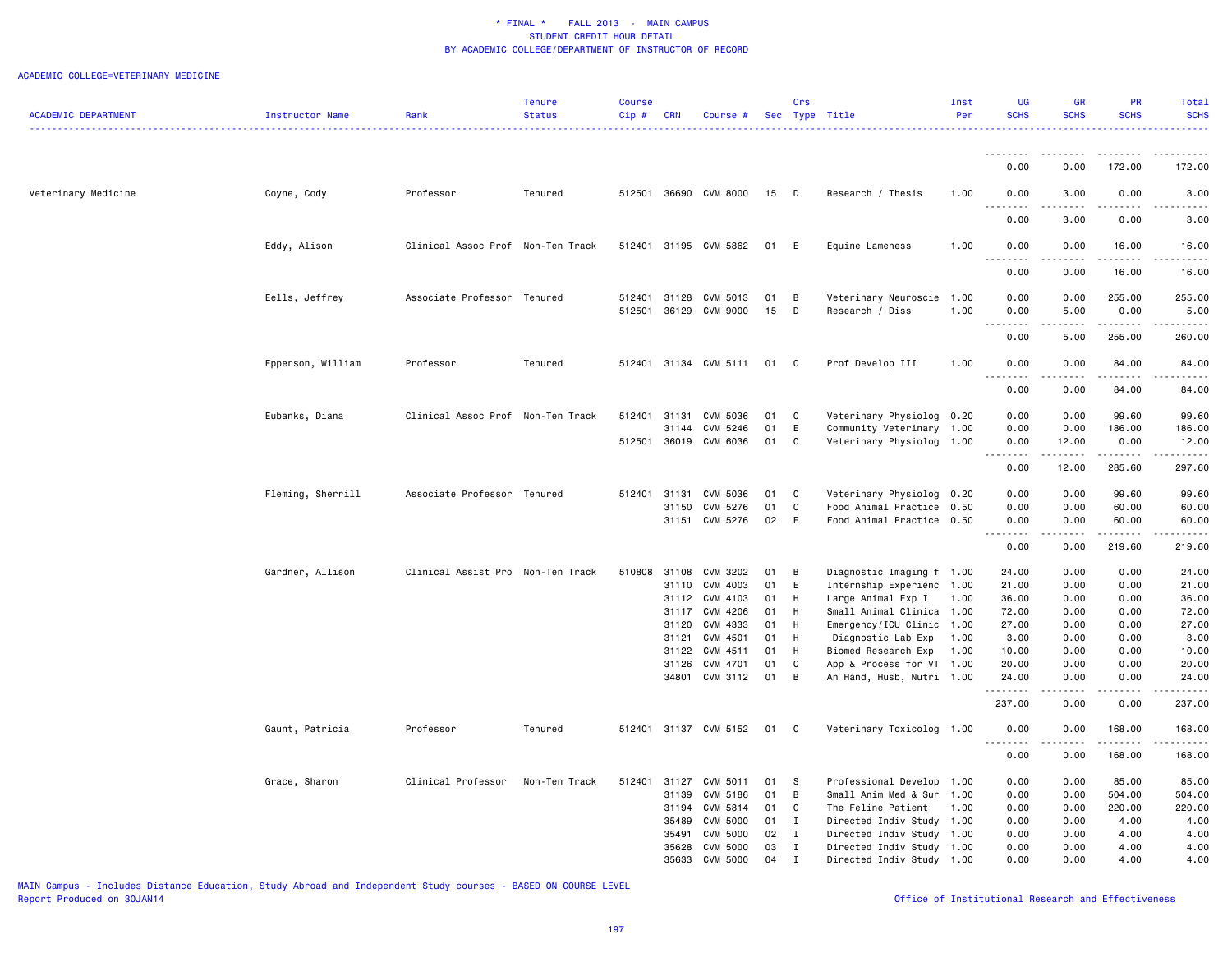#### ACADEMIC COLLEGE=VETERINARY MEDICINE

| <b>ACADEMIC DEPARTMENT</b> | Instructor Name   | Rank                              | Tenure<br><b>Status</b> | Course<br>$Cip$ # | <b>CRN</b>     | Course #                          |          | Crs                 | Sec Type Title                                         | Inst<br>Per | UG<br><b>SCHS</b>              | <b>GR</b><br><b>SCHS</b>            | <b>PR</b><br><b>SCHS</b> | Total<br><b>SCHS</b> |
|----------------------------|-------------------|-----------------------------------|-------------------------|-------------------|----------------|-----------------------------------|----------|---------------------|--------------------------------------------------------|-------------|--------------------------------|-------------------------------------|--------------------------|----------------------|
|                            |                   |                                   |                         |                   |                |                                   |          |                     |                                                        |             |                                |                                     |                          | <u>.</u>             |
|                            |                   |                                   |                         |                   |                |                                   |          |                     |                                                        |             | <u>.</u><br>0.00               | <u>--------</u><br>0.00             | .<br>172.00              | .<br>172.00          |
|                            |                   |                                   |                         |                   |                |                                   |          |                     |                                                        |             |                                |                                     |                          |                      |
| Veterinary Medicine        | Coyne, Cody       | Professor                         | Tenured                 |                   |                | 512501 36690 CVM 8000             | 15 D     |                     | Research / Thesis                                      | 1.00        | 0.00<br>- - -                  | 3.00<br>.                           | 0.00                     | 3.00                 |
|                            |                   |                                   |                         |                   |                |                                   |          |                     |                                                        |             | 0.00                           | 3.00                                | 0.00                     | 3.00                 |
|                            | Eddy, Alison      | Clinical Assoc Prof Non-Ten Track |                         |                   |                | 512401 31195 CVM 5862             | 01 E     |                     | Equine Lameness                                        | 1.00        | 0.00<br>.                      | 0.00<br>$\sim$ $\sim$ $\sim$ $\sim$ | 16.00<br>.               | 16.00<br>.           |
|                            |                   |                                   |                         |                   |                |                                   |          |                     |                                                        |             | 0.00                           | 0.00                                | 16.00                    | 16.00                |
|                            | Eells, Jeffrey    | Associate Professor Tenured       |                         |                   | 512401 31128   | CVM 5013                          | 01       | B                   | Veterinary Neuroscie 1.00                              |             | 0.00                           | 0.00                                | 255.00                   | 255.00               |
|                            |                   |                                   |                         |                   |                | 512501 36129 CVM 9000             | 15       | D                   | Research / Diss                                        | 1.00        | 0.00<br>$- - - - -$            | 5.00<br>$\frac{1}{2}$               | 0.00<br><u>.</u>         | 5.00<br>.            |
|                            |                   |                                   |                         |                   |                |                                   |          |                     |                                                        |             | 0.00                           | 5.00                                | 255.00                   | 260.00               |
|                            | Epperson, William | Professor                         | Tenured                 |                   |                | 512401 31134 CVM 5111             | 01 C     |                     | Prof Develop III                                       | 1.00        | 0.00<br>.                      | 0.00<br>$\sim$ $\sim$ $\sim$ $\sim$ | 84.00<br>.               | 84.00                |
|                            |                   |                                   |                         |                   |                |                                   |          |                     |                                                        |             | 0.00                           | 0.00                                | 84.00                    | 84.00                |
|                            | Eubanks, Diana    | Clinical Assoc Prof Non-Ten Track |                         | 512401            | 31131          | CVM 5036                          | 01 C     |                     | Veterinary Physiolog                                   | 0.20        | 0.00                           | 0.00                                | 99.60                    | 99.60                |
|                            |                   |                                   |                         |                   | 31144          | CVM 5246<br>512501 36019 CVM 6036 | 01<br>01 | E<br>$\mathbf{C}$   | Community Veterinary<br>Veterinary Physiolog 1.00      | 1.00        | 0.00<br>0.00                   | 0.00<br>12.00                       | 186.00<br>0.00           | 186.00<br>12.00      |
|                            |                   |                                   |                         |                   |                |                                   |          |                     |                                                        |             | .<br>0.00                      | .<br>12.00                          | .<br>285.60              | .<br>297.60          |
|                            |                   |                                   |                         |                   |                |                                   |          |                     |                                                        |             |                                |                                     |                          |                      |
|                            | Fleming, Sherrill | Associate Professor Tenured       |                         | 512401            | 31131          | CVM 5036                          | 01       | $\mathbf{C}$        | Veterinary Physiolog 0.20                              |             | 0.00                           | 0.00                                | 99.60                    | 99.60                |
|                            |                   |                                   |                         |                   | 31150          | CVM 5276<br>31151 CVM 5276        | 01<br>02 | C<br>E              | Food Animal Practice<br>Food Animal Practice 0.50      | 0.50        | 0.00<br>0.00                   | 0.00<br>0.00                        | 60.00<br>60.00           | 60.00<br>60.00       |
|                            |                   |                                   |                         |                   |                |                                   |          |                     |                                                        |             | 22222<br>0.00                  | د د د د<br>0.00                     | .<br>219.60              | .<br>219.60          |
|                            |                   |                                   |                         |                   |                |                                   |          |                     |                                                        |             |                                |                                     |                          |                      |
|                            | Gardner, Allison  | Clinical Assist Pro Non-Ten Track |                         | 510808            | 31108<br>31110 | CVM 3202<br>CVM 4003              | 01<br>01 | $\overline{B}$<br>E | Diagnostic Imaging f 1.00<br>Internship Experienc 1.00 |             | 24.00<br>21.00                 | 0.00<br>0.00                        | 0.00<br>0.00             | 24.00<br>21.00       |
|                            |                   |                                   |                         |                   | 31112          | CVM 4103                          | 01       | H                   | Large Animal Exp I                                     | 1.00        | 36.00                          | 0.00                                | 0.00                     | 36.00                |
|                            |                   |                                   |                         |                   | 31117          | CVM 4206                          | 01       | H                   | Small Animal Clinica 1.00                              |             | 72.00                          | 0.00                                | 0.00                     | 72.00                |
|                            |                   |                                   |                         |                   | 31120          | CVM 4333                          | 01 H     |                     | Emergency/ICU Clinic 1.00                              |             | 27.00                          | 0.00                                | 0.00                     | 27.00                |
|                            |                   |                                   |                         |                   | 31121          | CVM 4501                          | 01       | <b>H</b>            | Diagnostic Lab Exp                                     | 1.00        | 3.00                           | 0.00                                | 0.00                     | 3.00                 |
|                            |                   |                                   |                         |                   |                | 31122 CVM 4511                    | 01       | H                   | Biomed Research Exp                                    | 1.00        | 10.00                          | 0.00                                | 0.00                     | 10.00                |
|                            |                   |                                   |                         |                   |                | 31126 CVM 4701                    | 01       | C                   | App & Process for VT 1.00                              |             | 20.00                          | 0.00                                | 0.00                     | 20.00                |
|                            |                   |                                   |                         |                   | 34801          | CVM 3112                          | 01       | $\overline{B}$      | An Hand, Husb, Nutri 1.00                              |             | 24.00<br><b><i><u></u></i></b> | 0.00<br>.                           | 0.00<br>$- - - - -$      | 24.00<br>.           |
|                            |                   |                                   |                         |                   |                |                                   |          |                     |                                                        |             | 237.00                         | 0.00                                | 0.00                     | 237.00               |
|                            | Gaunt, Patricia   | Professor                         | Tenured                 |                   |                | 512401 31137 CVM 5152             | 01 C     |                     | Veterinary Toxicolog 1.00                              |             | 0.00<br>.                      | 0.00<br>.                           | 168.00<br>.              | 168.00               |
|                            |                   |                                   |                         |                   |                |                                   |          |                     |                                                        |             | 0.00                           | 0.00                                | 168.00                   | 168.00               |
|                            | Grace, Sharon     | Clinical Professor                | Non-Ten Track           | 512401            | 31127          | CVM 5011                          | 01 S     |                     | Professional Develop                                   | 1.00        | 0.00                           | 0.00                                | 85.00                    | 85.00                |
|                            |                   |                                   |                         |                   | 31139          | CVM 5186                          | 01       | $\overline{B}$      | Small Anim Med & Sur                                   | 1.00        | 0.00                           | 0.00                                | 504.00                   | 504.00               |
|                            |                   |                                   |                         |                   | 31194          | CVM 5814                          | 01       | C                   | The Feline Patient                                     | 1.00        | 0.00                           | 0.00                                | 220.00                   | 220.00               |
|                            |                   |                                   |                         |                   |                | 35489 CVM 5000                    | 01 I     |                     | Directed Indiv Study 1.00                              |             | 0.00                           | 0.00                                | 4.00                     | 4.00                 |
|                            |                   |                                   |                         |                   | 35491          | CVM 5000                          | 02       | $\mathbf{I}$        | Directed Indiv Study                                   | 1.00        | 0.00                           | 0.00                                | 4.00                     | 4.00                 |
|                            |                   |                                   |                         |                   | 35628          | CVM 5000                          | 03       | $\mathbf{I}$        | Directed Indiv Study                                   | 1.00        | 0.00                           | 0.00                                | 4.00                     | 4.00                 |
|                            |                   |                                   |                         |                   |                | 35633 CVM 5000                    | 04 I     |                     | Directed Indiv Study 1.00                              |             | 0.00                           | 0.00                                | 4.00                     | 4.00                 |

MAIN Campus - Includes Distance Education, Study Abroad and Independent Study courses - BASED ON COURSE LEVEL

Office of Institutional Research and Effectiveness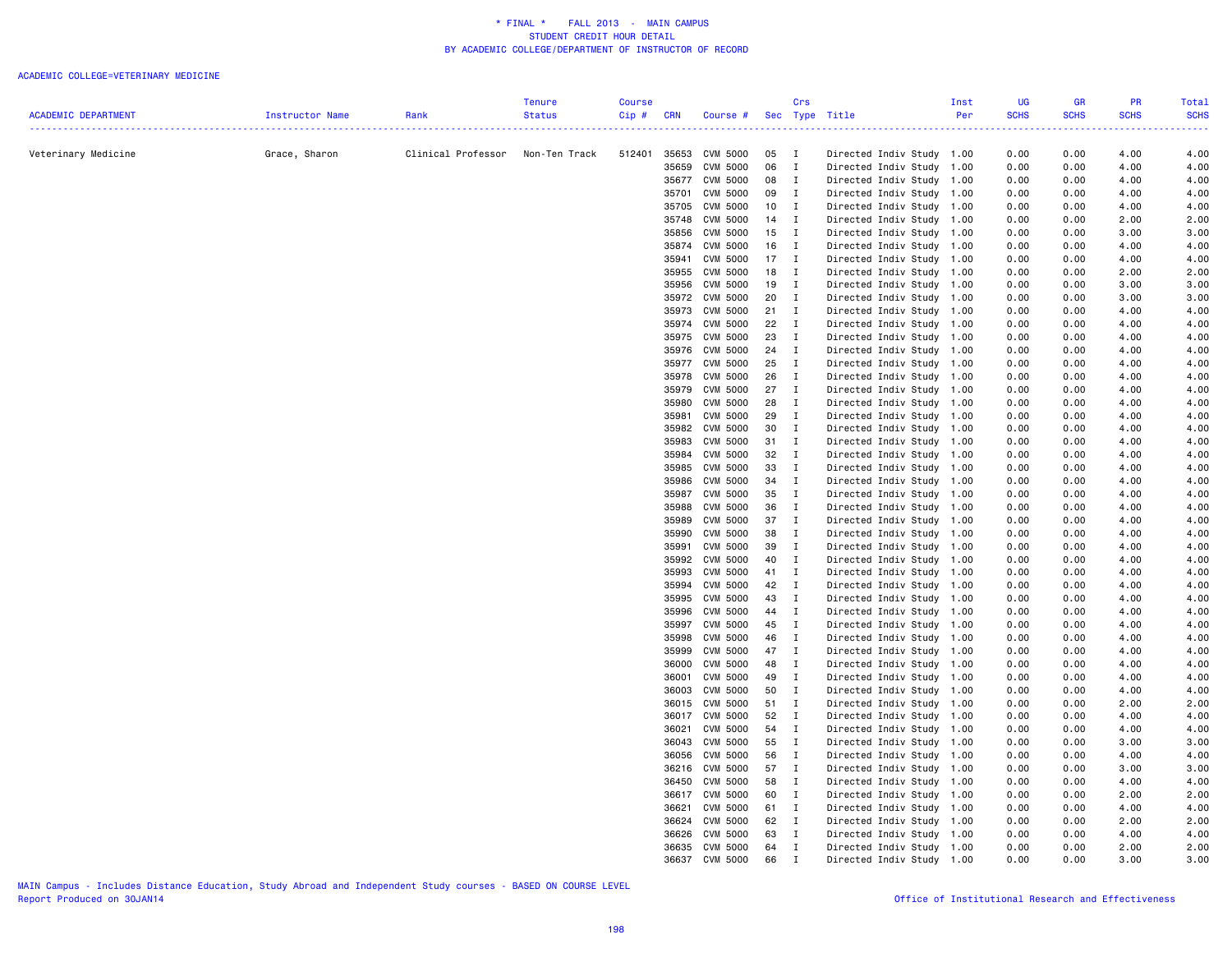|                            |                 |                    | <b>Tenure</b> | <b>Course</b> |                |                                    |            | Crs            |                                                   | Inst         | UG           | <b>GR</b>    | <b>PR</b>    | Total        |
|----------------------------|-----------------|--------------------|---------------|---------------|----------------|------------------------------------|------------|----------------|---------------------------------------------------|--------------|--------------|--------------|--------------|--------------|
| <b>ACADEMIC DEPARTMENT</b> | Instructor Name | Rank               | <b>Status</b> | Cip #         | <b>CRN</b>     | Course #                           |            |                | Sec Type Title                                    | Per          | <b>SCHS</b>  | <b>SCHS</b>  | <b>SCHS</b>  | <b>SCHS</b>  |
|                            |                 |                    |               |               |                |                                    |            |                |                                                   |              | .            |              |              |              |
|                            |                 |                    |               |               |                |                                    |            |                |                                                   |              |              |              |              |              |
| Veterinary Medicine        | Grace, Sharon   | Clinical Professor | Non-Ten Track | 512401        | 35653          | CVM 5000                           | 05         | $\blacksquare$ | Directed Indiv Study 1.00                         |              | 0.00         | 0.00         | 4.00         | 4.00         |
|                            |                 |                    |               |               | 35659          | CVM 5000                           | 06         | $\mathbf{I}$   | Directed Indiv Study                              | 1.00         | 0.00         | 0.00         | 4.00         | 4.00         |
|                            |                 |                    |               |               | 35677          | CVM 5000                           | 08         | $\blacksquare$ | Directed Indiv Study 1.00                         |              | 0.00         | 0.00         | 4.00         | 4.00         |
|                            |                 |                    |               |               | 35701          | CVM 5000                           | 09         | $\mathbf{I}$   | Directed Indiv Study 1.00                         |              | 0.00         | 0.00         | 4.00         | 4.00         |
|                            |                 |                    |               |               | 35705<br>35748 | CVM 5000<br>CVM 5000               | 10<br>14 I | $\mathbf{I}$   | Directed Indiv Study                              | 1.00<br>1.00 | 0.00<br>0.00 | 0.00<br>0.00 | 4.00<br>2.00 | 4.00         |
|                            |                 |                    |               |               | 35856          | CVM 5000                           | 15         | $\blacksquare$ | Directed Indiv Study<br>Directed Indiv Study 1.00 |              | 0.00         | 0.00         | 3.00         | 2.00<br>3.00 |
|                            |                 |                    |               |               | 35874          | CVM 5000                           | 16         | $\blacksquare$ | Directed Indiv Study                              | 1.00         | 0.00         | 0.00         | 4.00         | 4.00         |
|                            |                 |                    |               |               | 35941          | CVM 5000                           | 17         | $\blacksquare$ | Directed Indiv Study                              | 1.00         | 0.00         | 0.00         | 4.00         | 4.00         |
|                            |                 |                    |               |               | 35955          | CVM 5000                           | 18         | $\blacksquare$ | Directed Indiv Study                              | 1.00         | 0.00         | 0.00         | 2.00         | 2.00         |
|                            |                 |                    |               |               | 35956          | CVM 5000                           | 19         | $\blacksquare$ | Directed Indiv Study 1.00                         |              | 0.00         | 0.00         | 3.00         | 3.00         |
|                            |                 |                    |               |               | 35972          | CVM 5000                           | 20         | $\blacksquare$ | Directed Indiv Study 1.00                         |              | 0.00         | 0.00         | 3.00         | 3.00         |
|                            |                 |                    |               |               | 35973          | CVM 5000                           | 21         | $\blacksquare$ | Directed Indiv Study                              | 1.00         | 0.00         | 0.00         | 4.00         | 4.00         |
|                            |                 |                    |               |               | 35974          | CVM 5000                           | 22         | $\mathbf{I}$   | Directed Indiv Study 1.00                         |              | 0.00         | 0.00         | 4.00         | 4.00         |
|                            |                 |                    |               |               | 35975          | CVM 5000                           | 23         | $\blacksquare$ | Directed Indiv Study 1.00                         |              | 0.00         | 0.00         | 4.00         | 4.00         |
|                            |                 |                    |               |               | 35976          | CVM 5000                           | 24 I       |                | Directed Indiv Study                              | 1.00         | 0.00         | 0.00         | 4.00         | 4.00         |
|                            |                 |                    |               |               | 35977          | CVM 5000                           | 25         | $\blacksquare$ | Directed Indiv Study                              | 1.00         | 0.00         | 0.00         | 4.00         | 4.00         |
|                            |                 |                    |               |               | 35978          | CVM 5000                           | 26         | I              | Directed Indiv Study 1.00                         |              | 0.00         | 0.00         | 4.00         | 4.00         |
|                            |                 |                    |               |               | 35979          | CVM 5000                           | 27         | $\blacksquare$ | Directed Indiv Study                              | 1.00         | 0.00         | 0.00         | 4.00         | 4.00         |
|                            |                 |                    |               |               | 35980          | CVM 5000                           | 28         | $\mathbf{I}$   | Directed Indiv Study                              | 1.00         | 0.00         | 0.00         | 4.00         | 4.00         |
|                            |                 |                    |               |               | 35981          | CVM 5000                           | 29         | $\mathbf{I}$   | Directed Indiv Study                              | 1.00         | 0.00         | 0.00         | 4.00         | 4.00         |
|                            |                 |                    |               |               | 35982          | CVM 5000                           | 30         | $\mathbf{I}$   | Directed Indiv Study 1.00                         |              | 0.00         | 0.00         | 4.00         | 4.00         |
|                            |                 |                    |               |               | 35983          | CVM 5000                           | $31$ I     |                | Directed Indiv Study                              | 1.00         | 0.00         | 0.00         | 4.00         | 4.00         |
|                            |                 |                    |               |               | 35984          | CVM 5000                           | 32         | $\mathbf{I}$   | Directed Indiv Study                              | 1.00         | 0.00         | 0.00         | 4.00         | 4.00         |
|                            |                 |                    |               |               | 35985          | CVM 5000                           | 33         | $\mathbf{I}$   | Directed Indiv Study 1.00                         |              | 0.00         | 0.00         | 4.00         | 4.00         |
|                            |                 |                    |               |               | 35986          | <b>CVM 5000</b>                    | 34         | $\mathbf{I}$   | Directed Indiv Study                              | 1.00         | 0.00         | 0.00         | 4.00         | 4.00         |
|                            |                 |                    |               |               | 35987          | <b>CVM 5000</b>                    | 35         | $\mathbf{I}$   | Directed Indiv Study                              | 1.00         | 0.00         | 0.00         | 4.00         | 4.00         |
|                            |                 |                    |               |               | 35988          | CVM 5000                           | 36         | $\mathbf{I}$   | Directed Indiv Study                              | 1.00         | 0.00         | 0.00         | 4.00         | 4.00         |
|                            |                 |                    |               |               | 35989          | CVM 5000                           | 37         | $\mathbf{I}$   | Directed Indiv Study 1.00                         |              | 0.00         | 0.00         | 4.00         | 4.00         |
|                            |                 |                    |               |               | 35990          | CVM 5000                           | 38         | $\mathbf{I}$   | Directed Indiv Study                              | 1.00         | 0.00         | 0.00         | 4.00         | 4.00         |
|                            |                 |                    |               |               | 35991<br>35992 | CVM 5000                           | 39<br>40 I | $\mathbf{I}$   | Directed Indiv Study                              | 1.00         | 0.00         | 0.00<br>0.00 | 4.00<br>4.00 | 4.00<br>4.00 |
|                            |                 |                    |               |               | 35993          | <b>CVM 5000</b><br><b>CVM 5000</b> | 41 I       |                | Directed Indiv Study<br>Directed Indiv Study 1.00 | 1.00         | 0.00<br>0.00 | 0.00         | 4.00         | 4.00         |
|                            |                 |                    |               |               | 35994          | CVM 5000                           | 42         | $\mathbf{I}$   | Directed Indiv Study                              | 1.00         | 0.00         | 0.00         | 4.00         | 4.00         |
|                            |                 |                    |               |               | 35995          | CVM 5000                           | 43         | $\mathbf{I}$   | Directed Indiv Study                              | 1.00         | 0.00         | 0.00         | 4.00         | 4.00         |
|                            |                 |                    |               |               | 35996          | CVM 5000                           | 44 I       |                | Directed Indiv Study 1.00                         |              | 0.00         | 0.00         | 4.00         | 4.00         |
|                            |                 |                    |               |               | 35997          | <b>CVM 5000</b>                    | 45         | $\mathbf{I}$   | Directed Indiv Study                              | 1.00         | 0.00         | 0.00         | 4.00         | 4.00         |
|                            |                 |                    |               |               | 35998          | CVM 5000                           | 46         | $\mathbf{I}$   | Directed Indiv Study                              | 1.00         | 0.00         | 0.00         | 4.00         | 4.00         |
|                            |                 |                    |               |               | 35999          | CVM 5000                           | 47         | $\mathbf{I}$   | Directed Indiv Study                              | 1.00         | 0.00         | 0.00         | 4.00         | 4.00         |
|                            |                 |                    |               |               | 36000          | CVM 5000                           | 48         | $\mathbf{I}$   | Directed Indiv Study 1.00                         |              | 0.00         | 0.00         | 4.00         | 4.00         |
|                            |                 |                    |               |               | 36001          | CVM 5000                           | 49         | $\blacksquare$ | Directed Indiv Study                              | 1.00         | 0.00         | 0.00         | 4.00         | 4.00         |
|                            |                 |                    |               |               | 36003          | CVM 5000                           | 50         | $\blacksquare$ | Directed Indiv Study                              | 1.00         | 0.00         | 0.00         | 4.00         | 4.00         |
|                            |                 |                    |               |               | 36015          | CVM 5000                           | 51 I       |                | Directed Indiv Study                              | 1.00         | 0.00         | 0.00         | 2.00         | 2.00         |
|                            |                 |                    |               |               | 36017          | CVM 5000                           | 52         | $\mathbf{I}$   | Directed Indiv Study 1.00                         |              | 0.00         | 0.00         | 4.00         | 4.00         |
|                            |                 |                    |               |               | 36021          | CVM 5000                           | 54 I       |                | Directed Indiv Study                              | 1.00         | 0.00         | 0.00         | 4.00         | 4.00         |
|                            |                 |                    |               |               | 36043          | CVM 5000                           | 55         | $\mathbf{I}$   | Directed Indiv Study                              | 1.00         | 0.00         | 0.00         | 3.00         | 3.00         |
|                            |                 |                    |               |               | 36056          | CVM 5000                           | 56         | $\blacksquare$ | Directed Indiv Study 1.00                         |              | 0.00         | 0.00         | 4.00         | 4.00         |
|                            |                 |                    |               |               | 36216          | CVM 5000                           | 57         | $\blacksquare$ | Directed Indiv Study                              | 1.00         | 0.00         | 0.00         | 3.00         | 3.00         |
|                            |                 |                    |               |               | 36450          | CVM 5000                           | 58         | $\blacksquare$ | Directed Indiv Study                              | 1.00         | 0.00         | 0.00         | 4.00         | 4.00         |
|                            |                 |                    |               |               | 36617          | CVM 5000                           | 60         | $\blacksquare$ | Directed Indiv Study                              | 1.00         | 0.00         | 0.00         | 2.00         | 2.00         |
|                            |                 |                    |               |               | 36621          | CVM 5000                           | 61 I       |                | Directed Indiv Study 1.00                         |              | 0.00         | 0.00         | 4.00         | 4.00         |
|                            |                 |                    |               |               | 36624          | CVM 5000                           | 62         | $\blacksquare$ | Directed Indiv Study                              | 1.00         | 0.00         | 0.00         | 2.00         | 2.00         |
|                            |                 |                    |               |               | 36626          | CVM 5000                           | 63         | $\mathbf{I}$   | Directed Indiv Study                              | 1.00         | 0.00         | 0.00         | 4.00         | 4.00         |
|                            |                 |                    |               |               | 36635          | CVM 5000                           | 64 I       |                | Directed Indiv Study 1.00                         |              | 0.00         | 0.00         | 2.00         | 2.00         |
|                            |                 |                    |               |               | 36637          | CVM 5000                           | 66         | $\mathbf I$    | Directed Indiv Study 1.00                         |              | 0.00         | 0.00         | 3.00         | 3.00         |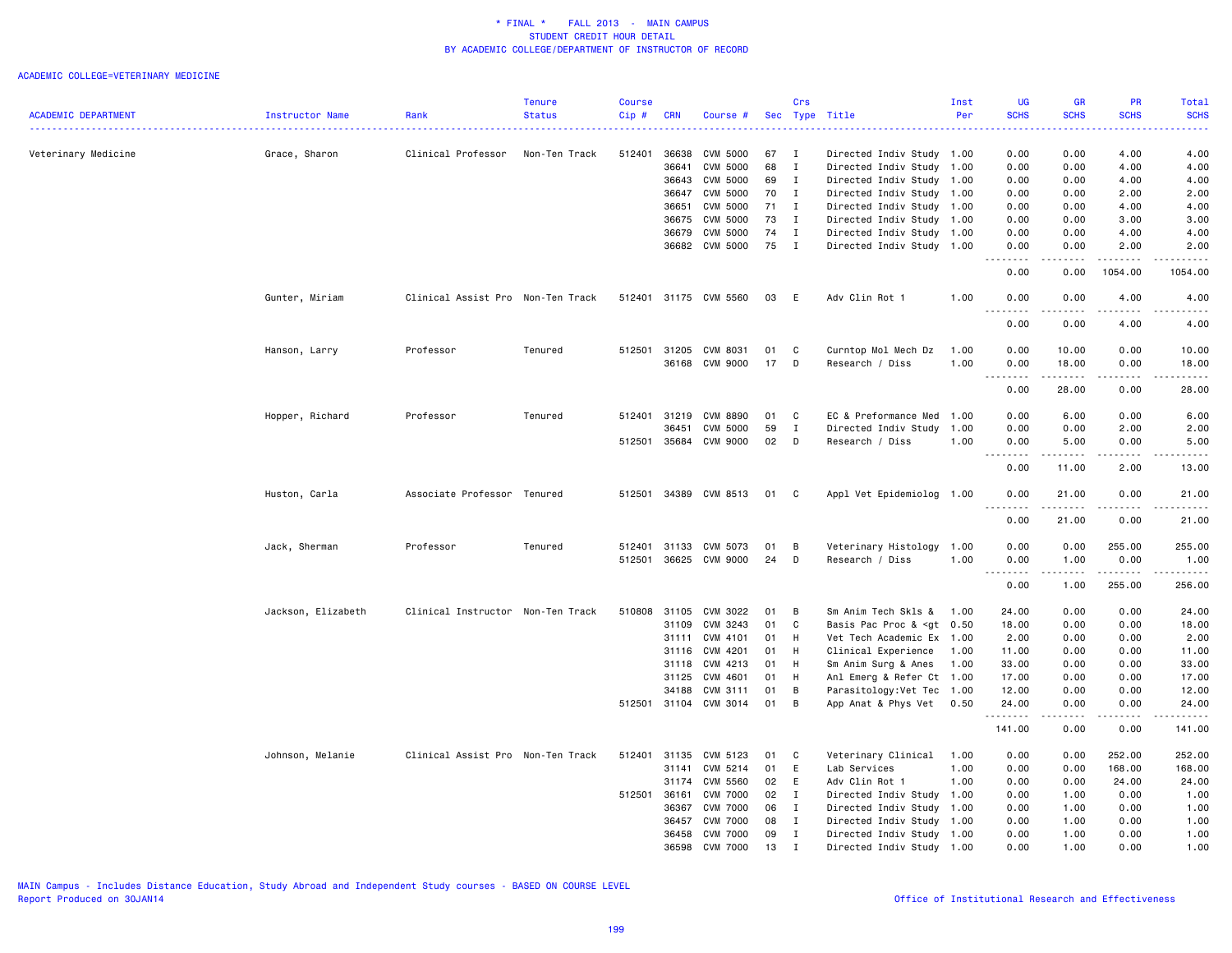|                            |                    |                                   | Tenure        | <b>Course</b> |            |                       |     | Crs          |                                                                                                          | Inst | <b>UG</b>                                                                                                     | GR                     | PR                                                                                                                                                           | Total                                |
|----------------------------|--------------------|-----------------------------------|---------------|---------------|------------|-----------------------|-----|--------------|----------------------------------------------------------------------------------------------------------|------|---------------------------------------------------------------------------------------------------------------|------------------------|--------------------------------------------------------------------------------------------------------------------------------------------------------------|--------------------------------------|
| <b>ACADEMIC DEPARTMENT</b> | Instructor Name    | Rank                              | <b>Status</b> | Cip#          | <b>CRN</b> | Course #              | Sec |              | Type Title                                                                                               | Per  | <b>SCHS</b><br>$\frac{1}{2} \left( \frac{1}{2} \right) \left( \frac{1}{2} \right) \left( \frac{1}{2} \right)$ | <b>SCHS</b>            | <b>SCHS</b>                                                                                                                                                  | <b>SCHS</b><br>.                     |
| Veterinary Medicine        | Grace, Sharon      | Clinical Professor                | Non-Ten Track | 512401        | 36638      | <b>CVM 5000</b>       | 67  | $\mathbf{I}$ | Directed Indiv Study 1.00                                                                                |      | 0.00                                                                                                          | 0.00                   | 4.00                                                                                                                                                         | 4.00                                 |
|                            |                    |                                   |               |               | 36641      | <b>CVM 5000</b>       | 68  | $\mathbf{I}$ | Directed Indiv Study 1.00                                                                                |      | 0.00                                                                                                          | 0.00                   | 4.00                                                                                                                                                         | 4.00                                 |
|                            |                    |                                   |               |               | 36643      | CVM 5000              | 69  | $\mathbf{I}$ | Directed Indiv Study 1.00                                                                                |      | 0.00                                                                                                          | 0.00                   | 4.00                                                                                                                                                         | 4.00                                 |
|                            |                    |                                   |               |               | 36647      | <b>CVM 5000</b>       | 70  | $\mathbf{I}$ | Directed Indiv Study 1.00                                                                                |      | 0.00                                                                                                          | 0.00                   | 2.00                                                                                                                                                         | 2.00                                 |
|                            |                    |                                   |               |               | 36651      | CVM 5000              | 71  | $\mathbf{I}$ | Directed Indiv Study                                                                                     | 1.00 | 0.00                                                                                                          | 0.00                   | 4.00                                                                                                                                                         | 4.00                                 |
|                            |                    |                                   |               |               | 36675      | <b>CVM 5000</b>       | 73  | $\mathbf{I}$ | Directed Indiv Study 1.00                                                                                |      | 0.00                                                                                                          | 0.00                   | 3.00                                                                                                                                                         | 3.00                                 |
|                            |                    |                                   |               |               | 36679      | CVM 5000              | 74  | $\mathbf{I}$ | Directed Indiv Study 1.00                                                                                |      | 0.00                                                                                                          | 0.00                   | 4.00                                                                                                                                                         | 4.00                                 |
|                            |                    |                                   |               |               | 36682      | CVM 5000              | 75  | $\mathbf{I}$ | Directed Indiv Study 1.00                                                                                |      | 0.00<br><u>.</u> .                                                                                            | 0.00<br>.              | 2.00<br>$\frac{1}{2} \left( \frac{1}{2} \right) \left( \frac{1}{2} \right) \left( \frac{1}{2} \right) \left( \frac{1}{2} \right) \left( \frac{1}{2} \right)$ | 2.00<br>. <u>.</u>                   |
|                            |                    |                                   |               |               |            |                       |     |              |                                                                                                          |      | 0.00                                                                                                          | 0.00                   | 1054.00                                                                                                                                                      | 1054.00                              |
|                            | Gunter, Miriam     | Clinical Assist Pro Non-Ten Track |               |               |            | 512401 31175 CVM 5560 | 03  | E            | Adv Clin Rot 1                                                                                           | 1.00 | 0.00                                                                                                          | 0.00                   | 4.00                                                                                                                                                         | 4.00                                 |
|                            |                    |                                   |               |               |            |                       |     |              |                                                                                                          |      | $\frac{1}{2}$<br>0.00                                                                                         | 0.00                   | 4.00                                                                                                                                                         | 4.00                                 |
|                            | Hanson, Larry      | Professor                         | Tenured       | 512501        | 31205      | CVM 8031              | 01  | C            | Curntop Mol Mech Dz                                                                                      | 1.00 | 0.00                                                                                                          | 10.00                  | 0.00                                                                                                                                                         | 10.00                                |
|                            |                    |                                   |               |               |            | 36168 CVM 9000        | 17  | D            | Research / Diss                                                                                          | 1.00 | 0.00                                                                                                          | 18.00                  | 0.00                                                                                                                                                         | 18.00                                |
|                            |                    |                                   |               |               |            |                       |     |              |                                                                                                          |      | .<br>0.00                                                                                                     | -----<br>28.00         | .<br>0.00                                                                                                                                                    | $\sim$ $\sim$ $\sim$ $\sim$<br>28.00 |
|                            | Hopper, Richard    | Professor                         | Tenured       | 512401 31219  |            | <b>CVM 8890</b>       | 01  | C            | EC & Preformance Med                                                                                     | 1.00 | 0.00                                                                                                          | 6.00                   | 0.00                                                                                                                                                         | 6.00                                 |
|                            |                    |                                   |               |               | 36451      | <b>CVM 5000</b>       | 59  | $\mathbf{I}$ | Directed Indiv Study                                                                                     | 1.00 | 0.00                                                                                                          | 0.00                   | 2.00                                                                                                                                                         | 2.00                                 |
|                            |                    |                                   |               | 512501        | 35684      | CVM 9000              | 02  | D            | Research / Diss                                                                                          | 1.00 | 0.00                                                                                                          | 5.00                   | 0.00                                                                                                                                                         | 5.00                                 |
|                            |                    |                                   |               |               |            |                       |     |              |                                                                                                          |      | $\sim$ $\sim$ $\sim$                                                                                          |                        |                                                                                                                                                              | وعاعات                               |
|                            |                    |                                   |               |               |            |                       |     |              |                                                                                                          |      | 0.00                                                                                                          | 11.00                  | 2.00                                                                                                                                                         | 13.00                                |
|                            | Huston, Carla      | Associate Professor Tenured       |               |               |            | 512501 34389 CVM 8513 | 01  | C            | Appl Vet Epidemiolog 1.00                                                                                |      | 0.00                                                                                                          | 21.00<br>$\frac{1}{2}$ | 0.00                                                                                                                                                         | 21.00                                |
|                            |                    |                                   |               |               |            |                       |     |              |                                                                                                          |      | 0.00                                                                                                          | 21.00                  | 0.00                                                                                                                                                         | 21.00                                |
|                            | Jack, Sherman      | Professor                         | Tenured       | 512401        | 31133      | CVM 5073              | 01  | B            | Veterinary Histology                                                                                     | 1.00 | 0.00                                                                                                          | 0.00                   | 255.00                                                                                                                                                       | 255.00                               |
|                            |                    |                                   |               | 512501        |            | 36625 CVM 9000        | 24  | D            | Research / Diss                                                                                          | 1.00 | 0.00                                                                                                          | 1.00                   | 0.00<br>.                                                                                                                                                    | 1.00<br>$- - - - - -$                |
|                            |                    |                                   |               |               |            |                       |     |              |                                                                                                          |      | $\sim$ $\sim$ $\sim$<br>.<br>0.00                                                                             | .<br>1.00              | 255.00                                                                                                                                                       | 256.00                               |
|                            | Jackson, Elizabeth | Clinical Instructor Non-Ten Track |               | 510808        | 31105      | CVM 3022              | 01  | B            | Sm Anim Tech Skls &                                                                                      | 1.00 | 24.00                                                                                                         | 0.00                   | 0.00                                                                                                                                                         | 24.00                                |
|                            |                    |                                   |               |               | 31109      | CVM 3243              | 01  | C            | Basis Pac Proc & <gt 0.50<="" td=""><td></td><td>18.00</td><td>0.00</td><td>0.00</td><td>18.00</td></gt> |      | 18.00                                                                                                         | 0.00                   | 0.00                                                                                                                                                         | 18.00                                |
|                            |                    |                                   |               |               | 31111      | CVM 4101              | 01  | H            | Vet Tech Academic Ex 1.00                                                                                |      | 2.00                                                                                                          | 0.00                   | 0.00                                                                                                                                                         | 2.00                                 |
|                            |                    |                                   |               |               | 31116      | CVM 4201              | 01  | H            | Clinical Experience                                                                                      | 1.00 | 11.00                                                                                                         | 0.00                   | 0.00                                                                                                                                                         | 11.00                                |
|                            |                    |                                   |               |               | 31118      | CVM 4213              | 01  | H            | Sm Anim Surg & Anes                                                                                      | 1.00 | 33.00                                                                                                         | 0.00                   | 0.00                                                                                                                                                         | 33.00                                |
|                            |                    |                                   |               |               | 31125      | CVM 4601              | 01  | H            | Anl Emerg & Refer Ct 1.00                                                                                |      | 17.00                                                                                                         | 0.00                   | 0.00                                                                                                                                                         | 17.00                                |
|                            |                    |                                   |               |               | 34188      | CVM 3111              | 01  | B            | Parasitology: Vet Tec 1.00                                                                               |      | 12.00                                                                                                         | 0.00                   | 0.00                                                                                                                                                         | 12.00                                |
|                            |                    |                                   |               | 512501 31104  |            | CVM 3014              | 01  | B            | App Anat & Phys Vet                                                                                      | 0.50 | 24.00<br><u>.</u>                                                                                             | 0.00                   | 0.00                                                                                                                                                         | 24.00                                |
|                            |                    |                                   |               |               |            |                       |     |              |                                                                                                          |      | 141.00                                                                                                        | 0.00                   | 0.00                                                                                                                                                         | 141.00                               |
|                            | Johnson, Melanie   | Clinical Assist Pro Non-Ten Track |               | 512401        | 31135      | CVM 5123              | 01  | C            | Veterinary Clinical                                                                                      | 1.00 | 0.00                                                                                                          | 0.00                   | 252.00                                                                                                                                                       | 252.00                               |
|                            |                    |                                   |               |               | 31141      | CVM 5214              | 01  | E            | Lab Services                                                                                             | 1.00 | 0.00                                                                                                          | 0.00                   | 168.00                                                                                                                                                       | 168.00                               |
|                            |                    |                                   |               |               | 31174      | CVM 5560              | 02  | E            | Adv Clin Rot 1                                                                                           | 1.00 | 0.00                                                                                                          | 0.00                   | 24.00                                                                                                                                                        | 24.00                                |
|                            |                    |                                   |               | 512501 36161  |            | <b>CVM 7000</b>       | 02  | $\mathbf{I}$ | Directed Indiv Study 1.00                                                                                |      | 0.00                                                                                                          | 1.00                   | 0.00                                                                                                                                                         | 1.00                                 |
|                            |                    |                                   |               |               | 36367      | <b>CVM 7000</b>       | 06  | $\mathbf{I}$ | Directed Indiv Study                                                                                     | 1.00 | 0.00                                                                                                          | 1.00                   | 0.00                                                                                                                                                         | 1.00                                 |
|                            |                    |                                   |               |               | 36457      | <b>CVM 7000</b>       | 08  | $\mathbf{I}$ | Directed Indiv Study 1.00                                                                                |      | 0.00                                                                                                          | 1.00                   | 0.00                                                                                                                                                         | 1.00                                 |
|                            |                    |                                   |               |               | 36458      | <b>CVM 7000</b>       | 09  | $\mathbf{I}$ | Directed Indiv Study                                                                                     | 1.00 | 0.00                                                                                                          | 1.00                   | 0.00                                                                                                                                                         | 1.00                                 |
|                            |                    |                                   |               |               | 36598      | <b>CVM 7000</b>       | 13  | $\mathbf I$  | Directed Indiv Study 1.00                                                                                |      | 0.00                                                                                                          | 1.00                   | 0.00                                                                                                                                                         | 1.00                                 |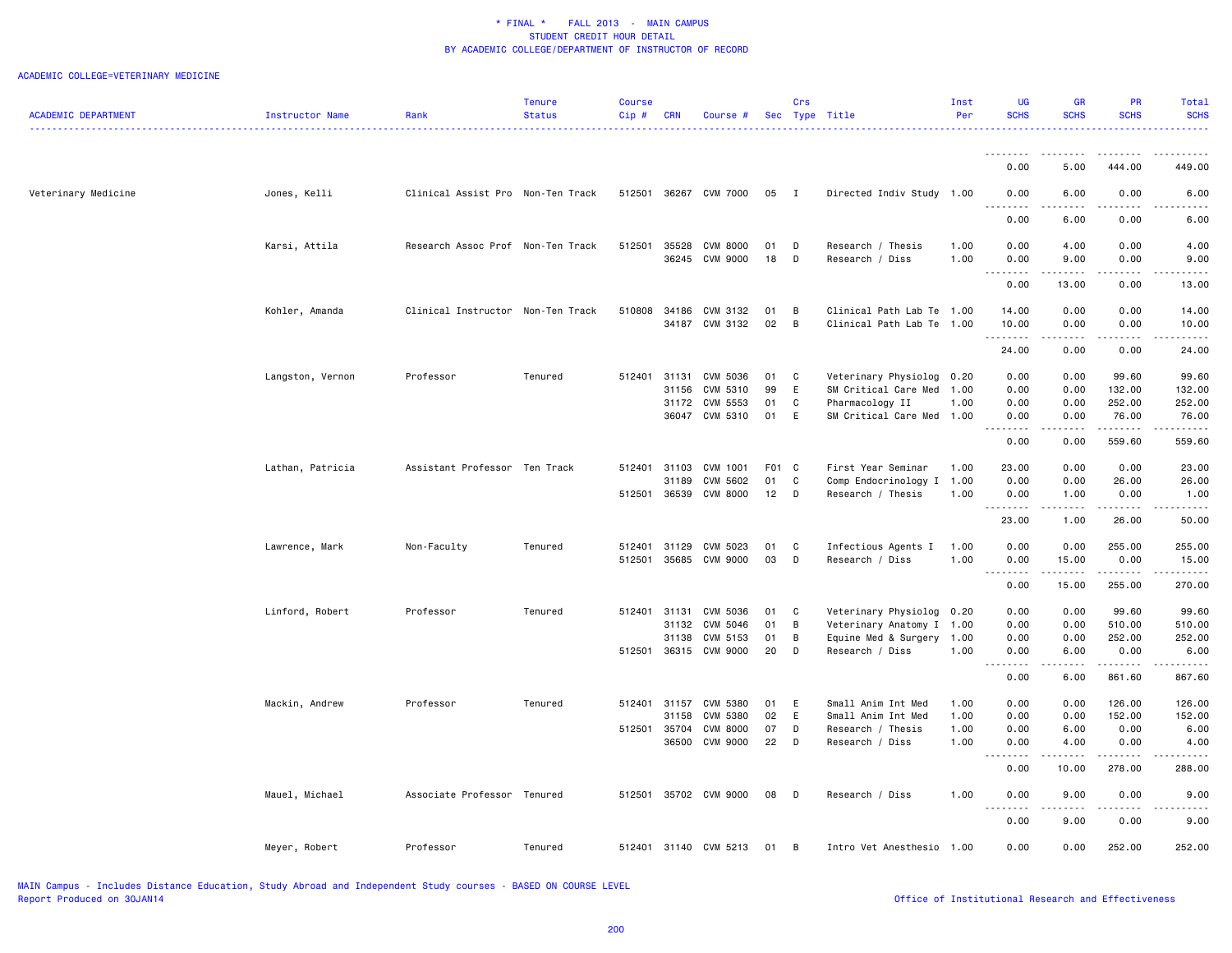| <b>ACADEMIC DEPARTMENT</b> | <b>Instructor Name</b> | Rank                              | Tenure<br><b>Status</b> | Course<br>$Cip$ # | <b>CRN</b>     | Course #                          |              | Crs<br>Sec Type Title           | _______________________________                | Inst<br>Per  | <b>UG</b><br><b>SCHS</b>                                                                                                          | <b>GR</b><br><b>SCHS</b>            | <b>PR</b><br><b>SCHS</b> | Total<br><b>SCHS</b><br><u>.</u>                                                                                                                               |
|----------------------------|------------------------|-----------------------------------|-------------------------|-------------------|----------------|-----------------------------------|--------------|---------------------------------|------------------------------------------------|--------------|-----------------------------------------------------------------------------------------------------------------------------------|-------------------------------------|--------------------------|----------------------------------------------------------------------------------------------------------------------------------------------------------------|
|                            |                        |                                   |                         |                   |                |                                   |              |                                 |                                                |              | .                                                                                                                                 | $\sim$ $\sim$ $\sim$ $\sim$         | .                        |                                                                                                                                                                |
|                            |                        |                                   |                         |                   |                |                                   |              |                                 |                                                |              | 0.00                                                                                                                              | 5.00                                | 444.00                   | 449.00                                                                                                                                                         |
| Veterinary Medicine        | Jones, Kelli           | Clinical Assist Pro Non-Ten Track |                         |                   |                | 512501 36267 CVM 7000             | 05           | $\blacksquare$                  | Directed Indiv Study 1.00                      |              | 0.00<br>$\frac{1}{2} \left( \frac{1}{2} \right) \left( \frac{1}{2} \right) \left( \frac{1}{2} \right) \left( \frac{1}{2} \right)$ | 6.00<br>$- - - -$                   | 0.00<br>.                | 6.00                                                                                                                                                           |
|                            |                        |                                   |                         |                   |                |                                   |              |                                 |                                                |              | 0.00                                                                                                                              | 6.00                                | 0.00                     | 6.00                                                                                                                                                           |
|                            | Karsi, Attila          | Research Assoc Prof Non-Ten Track |                         | 512501            | 35528<br>36245 | <b>CVM 8000</b><br>CVM 9000       | 01<br>18     | D<br>D                          | Research / Thesis<br>Research / Diss           | 1.00<br>1.00 | 0.00<br>0.00                                                                                                                      | 4.00<br>9.00                        | 0.00<br>0.00             | 4.00<br>9.00                                                                                                                                                   |
|                            |                        |                                   |                         |                   |                |                                   |              |                                 |                                                |              | .<br>0.00                                                                                                                         | 13.00                               | 0.00                     | 13.00                                                                                                                                                          |
|                            | Kohler, Amanda         | Clinical Instructor Non-Ten Track |                         | 510808            |                | 34186 CVM 3132                    | 01           | $\overline{B}$                  | Clinical Path Lab Te 1.00                      |              | 14.00                                                                                                                             | 0.00                                | 0.00                     | 14.00                                                                                                                                                          |
|                            |                        |                                   |                         |                   |                | 34187 CVM 3132                    | 02           | $\overline{B}$                  | Clinical Path Lab Te 1.00                      |              | 10.00<br>.                                                                                                                        | 0.00<br>$\sim$ $\sim$ $\sim$ $\sim$ | 0.00<br>.                | 10.00                                                                                                                                                          |
|                            |                        |                                   |                         |                   |                |                                   |              |                                 |                                                |              | 24.00                                                                                                                             | 0.00                                | 0.00                     | 24.00                                                                                                                                                          |
|                            | Langston, Vernon       | Professor                         | Tenured                 |                   | 31156          | 512401 31131 CVM 5036<br>CVM 5310 | 01<br>99     | $\overline{\phantom{a}}$ C<br>E | Veterinary Physiolog<br>SM Critical Care Med   | 0.20<br>1.00 | 0.00<br>0.00                                                                                                                      | 0.00<br>0.00                        | 99.60<br>132.00          | 99.60<br>132.00                                                                                                                                                |
|                            |                        |                                   |                         |                   |                | 31172 CVM 5553                    | 01           | C                               | Pharmacology II                                | 1.00         | 0.00                                                                                                                              | 0.00                                | 252.00                   | 252.00                                                                                                                                                         |
|                            |                        |                                   |                         |                   |                | 36047 CVM 5310                    | 01           | E                               | SM Critical Care Med 1.00                      |              | 0.00<br>.                                                                                                                         | 0.00<br>.                           | 76.00<br>.               | 76.00<br>$\frac{1}{2} \left( \frac{1}{2} \right) \left( \frac{1}{2} \right) \left( \frac{1}{2} \right) \left( \frac{1}{2} \right) \left( \frac{1}{2} \right)$  |
|                            |                        |                                   |                         |                   |                |                                   |              |                                 |                                                |              | 0.00                                                                                                                              | 0.00                                | 559.60                   | 559.60                                                                                                                                                         |
|                            | Lathan, Patricia       | Assistant Professor Ten Track     |                         | 512401 31103      |                | CVM 1001                          | F01 C        |                                 | First Year Seminar                             | 1.00         | 23.00                                                                                                                             | 0.00                                | 0.00                     | 23.00                                                                                                                                                          |
|                            |                        |                                   |                         |                   | 31189          | CVM 5602<br>512501 36539 CVM 8000 | 01<br>$12$ D | ${\bf C}$                       | Comp Endocrinology I 1.00<br>Research / Thesis | 1.00         | 0.00<br>0.00                                                                                                                      | 0.00<br>1.00                        | 26.00<br>0.00            | 26.00<br>1.00                                                                                                                                                  |
|                            |                        |                                   |                         |                   |                |                                   |              |                                 |                                                |              | .                                                                                                                                 | .                                   | $- - - - -$              | <u>.</u>                                                                                                                                                       |
|                            |                        |                                   |                         |                   |                |                                   |              |                                 |                                                |              | 23.00                                                                                                                             | 1.00                                | 26.00                    | 50.00                                                                                                                                                          |
|                            | Lawrence, Mark         | Non-Faculty                       | Tenured                 | 512401<br>512501  | 31129          | CVM 5023<br>35685 CVM 9000        | 01<br>03     | C<br>$\Box$                     | Infectious Agents I<br>Research / Diss         | 1.00<br>1.00 | 0.00<br>0.00                                                                                                                      | 0.00<br>15.00                       | 255.00<br>0.00           | 255.00<br>15.00                                                                                                                                                |
|                            |                        |                                   |                         |                   |                |                                   |              |                                 |                                                |              | $\begin{array}{cccccccccccccc} \bullet & \bullet & \bullet & \bullet & \bullet & \bullet & \bullet \end{array}$                   | -----                               | <u>.</u>                 | $- - - - -$                                                                                                                                                    |
|                            |                        |                                   |                         |                   |                |                                   |              |                                 |                                                |              | 0.00                                                                                                                              | 15.00                               | 255.00                   | 270.00                                                                                                                                                         |
|                            | Linford, Robert        | Professor                         | Tenured                 | 512401 31131      |                | CVM 5036                          | 01           | <b>C</b>                        | Veterinary Physiolog                           | 0.20         | 0.00                                                                                                                              | 0.00                                | 99.60                    | 99.60                                                                                                                                                          |
|                            |                        |                                   |                         |                   | 31132          | CVM 5046                          | 01           | B                               | Veterinary Anatomy I                           | 1.00         | 0.00                                                                                                                              | 0.00                                | 510.00                   | 510.00                                                                                                                                                         |
|                            |                        |                                   |                         |                   | 31138          | CVM 5153<br>512501 36315 CVM 9000 | 01<br>20     | B<br>$\Box$                     | Equine Med & Surgery<br>Research / Diss        | 1.00<br>1.00 | 0.00<br>0.00                                                                                                                      | 0.00<br>6.00                        | 252.00<br>0.00           | 252.00<br>6.00                                                                                                                                                 |
|                            |                        |                                   |                         |                   |                |                                   |              |                                 |                                                |              | .<br>0.00                                                                                                                         | $\sim$ $\sim$ $\sim$ $\sim$<br>6.00 | .<br>861.60              | $\frac{1}{2} \left( \frac{1}{2} \right) \left( \frac{1}{2} \right) \left( \frac{1}{2} \right) \left( \frac{1}{2} \right) \left( \frac{1}{2} \right)$<br>867.60 |
|                            | Mackin, Andrew         | Professor                         | Tenured                 | 512401 31157      |                | CVM 5380                          | 01           | - E                             | Small Anim Int Med                             | 1.00         | 0.00                                                                                                                              | 0.00                                | 126.00                   | 126.00                                                                                                                                                         |
|                            |                        |                                   |                         |                   | 31158          | CVM 5380                          | 02           | E                               | Small Anim Int Med                             | 1.00         | 0.00                                                                                                                              | 0.00                                | 152.00                   | 152.00                                                                                                                                                         |
|                            |                        |                                   |                         | 512501 35704      |                | <b>CVM 8000</b>                   | 07           | D                               | Research / Thesis                              | 1.00         | 0.00                                                                                                                              | 6.00                                | 0.00                     | 6.00                                                                                                                                                           |
|                            |                        |                                   |                         |                   | 36500          | CVM 9000                          | 22           | $\Box$                          | Research / Diss                                | 1.00         | 0.00<br>.                                                                                                                         | 4.00<br>.                           | 0.00<br>.                | 4.00                                                                                                                                                           |
|                            |                        |                                   |                         |                   |                |                                   |              |                                 |                                                |              | 0.00                                                                                                                              | 10.00                               | 278.00                   | 288.00                                                                                                                                                         |
|                            | Mauel, Michael         | Associate Professor Tenured       |                         | 512501            |                | 35702 CVM 9000                    | 08           | $\Box$                          | Research / Diss                                | 1.00         | 0.00<br>.                                                                                                                         | 9.00<br>.                           | 0.00<br>-----            | 9.00<br>.                                                                                                                                                      |
|                            |                        |                                   |                         |                   |                |                                   |              |                                 |                                                |              | 0.00                                                                                                                              | 9.00                                | 0.00                     | 9.00                                                                                                                                                           |
|                            | Meyer, Robert          | Professor                         | Tenured                 |                   |                | 512401 31140 CVM 5213             | 01           | B                               | Intro Vet Anesthesio                           | 1.00         | 0.00                                                                                                                              | 0.00                                | 252.00                   | 252.00                                                                                                                                                         |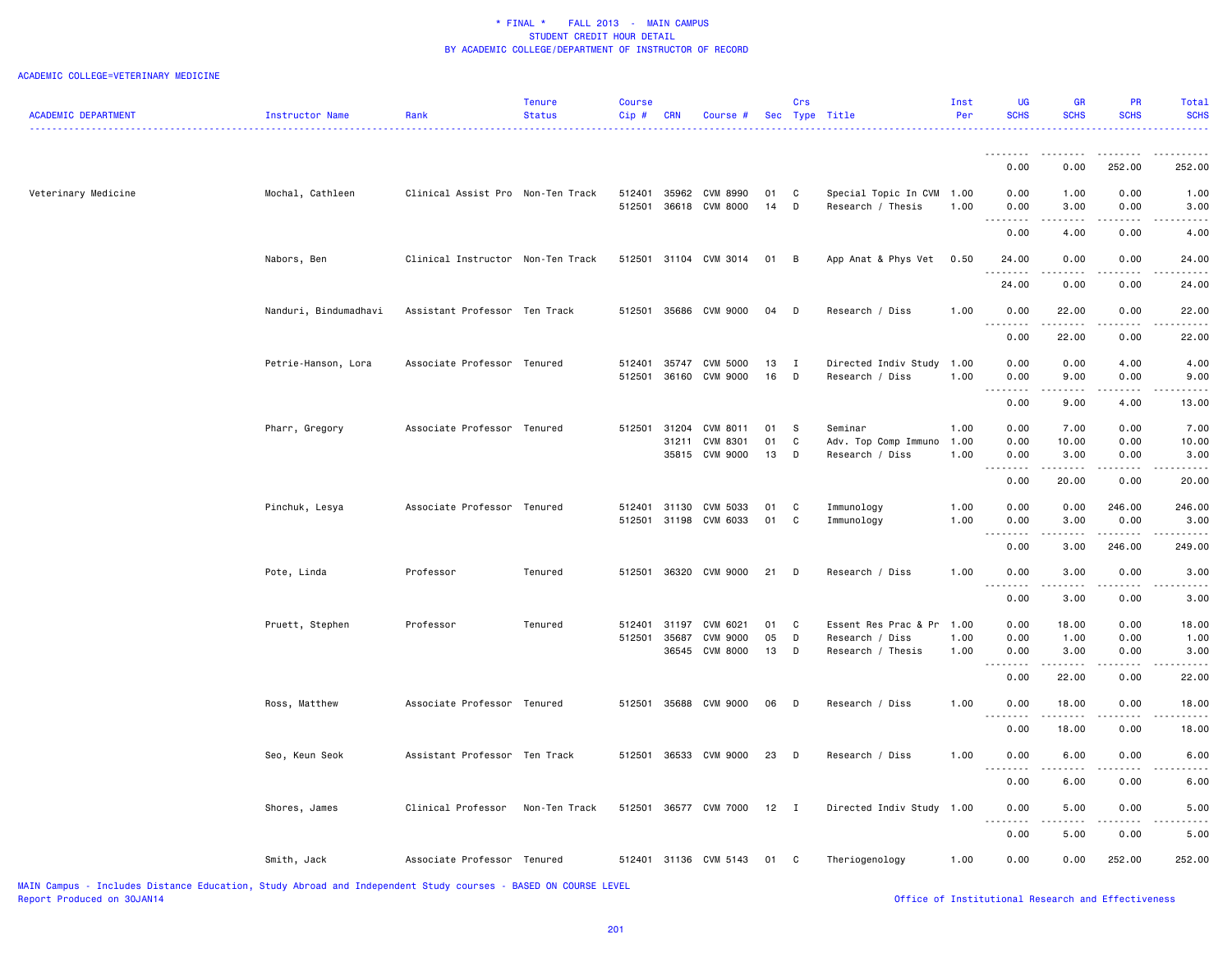#### ACADEMIC COLLEGE=VETERINARY MEDICINE

|                                                                                                               |                       |                                   | Tenure        | <b>Course</b> |            |                       |        | Crs            |                           | Inst | UG                   | GR                                   | <b>PR</b>   | Total       |
|---------------------------------------------------------------------------------------------------------------|-----------------------|-----------------------------------|---------------|---------------|------------|-----------------------|--------|----------------|---------------------------|------|----------------------|--------------------------------------|-------------|-------------|
| <b>ACADEMIC DEPARTMENT</b>                                                                                    | Instructor Name       | Rank                              | <b>Status</b> | $Cip$ #       | <b>CRN</b> | Course #              |        |                | Sec Type Title            | Per  | <b>SCHS</b>          | <b>SCHS</b>                          | <b>SCHS</b> | <b>SCHS</b> |
|                                                                                                               |                       |                                   |               |               |            |                       |        |                |                           |      |                      |                                      |             |             |
|                                                                                                               |                       |                                   |               |               |            |                       |        |                |                           |      | 0.00                 | 0.00                                 | 252.00      | 252.00      |
| Veterinary Medicine                                                                                           | Mochal, Cathleen      | Clinical Assist Pro Non-Ten Track |               | 512401        |            | 35962 CVM 8990        | 01     | $\mathbf{C}$   | Special Topic In CVM      | 1.00 | 0.00                 | 1.00                                 | 0.00        | 1.00        |
|                                                                                                               |                       |                                   |               | 512501        |            | 36618 CVM 8000        | $14$ D |                | Research / Thesis         | 1.00 | 0.00<br><u>.</u>     | 3.00<br>$- - - -$                    | 0.00        | 3.00        |
|                                                                                                               |                       |                                   |               |               |            |                       |        |                |                           |      | 0.00                 | 4.00                                 | 0.00        | 4.00        |
|                                                                                                               | Nabors, Ben           | Clinical Instructor Non-Ten Track |               |               |            | 512501 31104 CVM 3014 | 01 B   |                | App Anat & Phys Vet       | 0.50 | 24.00<br>$- - - - -$ | 0.00<br>.                            | 0.00        | 24.00       |
|                                                                                                               |                       |                                   |               |               |            |                       |        |                |                           |      | 24.00                | 0.00                                 | 0.00        | 24.00       |
|                                                                                                               | Nanduri, Bindumadhavi | Assistant Professor Ten Track     |               |               |            | 512501 35686 CVM 9000 | 04 D   |                | Research / Diss           | 1.00 | 0.00<br>.            | 22.00                                | 0.00        | 22.00       |
|                                                                                                               |                       |                                   |               |               |            |                       |        |                |                           |      | 0.00                 | 22.00                                | 0.00        | 22.00       |
|                                                                                                               | Petrie-Hanson, Lora   | Associate Professor Tenured       |               | 512401        |            | 35747 CVM 5000        | 13     | $\blacksquare$ | Directed Indiv Study      | 1.00 | 0.00                 | 0.00                                 | 4.00        | 4.00        |
|                                                                                                               |                       |                                   |               | 512501        |            | 36160 CVM 9000        | 16 D   |                | Research / Diss           | 1.00 | 0.00                 | 9.00                                 | 0.00        | 9.00        |
|                                                                                                               |                       |                                   |               |               |            |                       |        |                |                           |      | 0.00                 | 9.00                                 | 4.00        | 13.00       |
|                                                                                                               | Pharr, Gregory        | Associate Professor Tenured       |               | 512501        |            | 31204 CVM 8011        | 01     | <b>S</b>       | Seminar                   | 1.00 | 0.00                 | 7.00                                 | 0.00        | 7.00        |
|                                                                                                               |                       |                                   |               |               | 31211      | CVM 8301              | 01     | $\mathtt{C}$   | Adv. Top Comp Immuno      | 1.00 | 0.00                 | 10.00                                | 0.00        | 10.00       |
|                                                                                                               |                       |                                   |               |               | 35815      | CVM 9000              | 13     | D              | Research / Diss           | 1.00 | 0.00                 | 3.00                                 | 0.00        | 3.00        |
|                                                                                                               |                       |                                   |               |               |            |                       |        |                |                           |      | .<br>0.00            | -----<br>20.00                       | .<br>0.00   | 20.00       |
|                                                                                                               | Pinchuk, Lesya        | Associate Professor Tenured       |               | 512401        |            | 31130 CVM 5033        | 01     | C              | Immunology                | 1.00 | 0.00                 | 0.00                                 | 246.00      | 246.00      |
|                                                                                                               |                       |                                   |               | 512501        |            | 31198 CVM 6033        | 01     | C              | Immunology                | 1.00 | 0.00                 | 3.00                                 | 0.00        | 3.00        |
|                                                                                                               |                       |                                   |               |               |            |                       |        |                |                           |      | .<br>0.00            | 3.00                                 | 246.00      | 249.00      |
|                                                                                                               | Pote, Linda           | Professor                         | Tenured       | 512501        |            | 36320 CVM 9000        | 21     | $\mathsf{D}$   | Research / Diss           | 1.00 | 0.00                 | 3.00                                 | 0.00        | 3.00        |
|                                                                                                               |                       |                                   |               |               |            |                       |        |                |                           |      | .<br>0.00            | 3.00                                 | 0.00        | 3.00        |
|                                                                                                               | Pruett, Stephen       | Professor                         | Tenured       | 512401        | 31197      | CVM 6021              | 01     | C              | Essent Res Prac & Pr      | 1.00 | 0.00                 | 18.00                                | 0.00        | 18.00       |
|                                                                                                               |                       |                                   |               | 512501        | 35687      | CVM 9000              | 05     | D              | Research / Diss           | 1.00 | 0.00                 | 1.00                                 | 0.00        | 1.00        |
|                                                                                                               |                       |                                   |               |               |            | 36545 CVM 8000        | 13     | $\Box$         | Research / Thesis         | 1.00 | 0.00                 | 3.00                                 | 0.00        | 3.00        |
|                                                                                                               |                       |                                   |               |               |            |                       |        |                |                           |      | <u>.</u><br>0.00     | $\sim$ $\sim$ $\sim$ $\sim$<br>22.00 | 0.00        | 22.00       |
|                                                                                                               | Ross, Matthew         | Associate Professor Tenured       |               | 512501        |            | 35688 CVM 9000        | 06 D   |                | Research / Diss           | 1.00 | 0.00                 | 18.00                                | 0.00        | 18.00       |
|                                                                                                               |                       |                                   |               |               |            |                       |        |                |                           |      | <u>.</u><br>0.00     | .<br>18.00                           | .<br>0.00   | 18.00       |
|                                                                                                               | Seo, Keun Seok        | Assistant Professor Ten Track     |               |               |            | 512501 36533 CVM 9000 | 23     | $\mathsf{D}$   | Research / Diss           | 1.00 | 0.00                 | 6.00                                 | 0.00        | 6.00        |
|                                                                                                               |                       |                                   |               |               |            |                       |        |                |                           |      | .<br>0.00            | .<br>6.00                            | 0.00        | 6.00        |
|                                                                                                               | Shores, James         | Clinical Professor                | Non-Ten Track |               |            | 512501 36577 CVM 7000 | $12$ I |                | Directed Indiv Study 1.00 |      | 0.00                 | 5.00                                 | 0.00        | 5.00        |
|                                                                                                               |                       |                                   |               |               |            |                       |        |                |                           |      | 0.00                 | 5.00                                 | 0.00        | 5.00        |
|                                                                                                               | Smith, Jack           | Associate Professor Tenured       |               |               |            | 512401 31136 CVM 5143 | 01 C   |                | Theriogenology            | 1.00 | 0.00                 | 0.00                                 | 252.00      | 252.00      |
|                                                                                                               |                       |                                   |               |               |            |                       |        |                |                           |      |                      |                                      |             |             |
| MAIN Campus - Includes Distance Education, Study Abroad and Independent Study courses - BASED ON COURSE LEVEL |                       |                                   |               |               |            |                       |        |                |                           |      |                      |                                      |             |             |

MAIN Campus - Includes Distance Education, Study Abroad and Independent Study Report Produced on 30JAN14

Office of Institutional Research and Effectiveness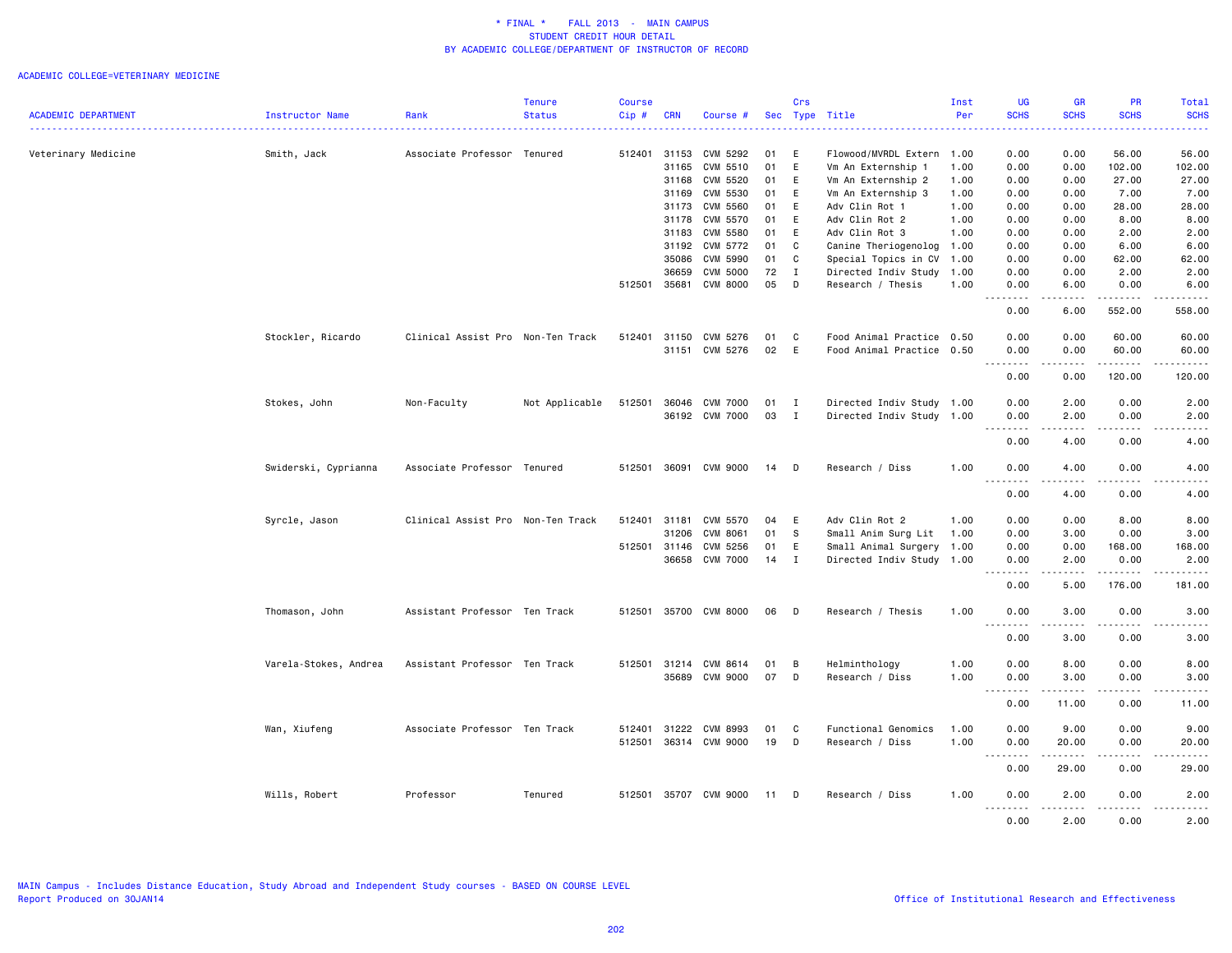#### ACADEMIC COLLEGE=VETERINARY MEDICINE

|                            |                        |                                   | <b>Tenure</b>  | <b>Course</b> |            |                       |    | Crs          |                           | Inst | <b>UG</b>                                           | GR                                                                                                                                | <b>PR</b>   | Total            |
|----------------------------|------------------------|-----------------------------------|----------------|---------------|------------|-----------------------|----|--------------|---------------------------|------|-----------------------------------------------------|-----------------------------------------------------------------------------------------------------------------------------------|-------------|------------------|
| <b>ACADEMIC DEPARTMENT</b> | <b>Instructor Name</b> | Rank                              | <b>Status</b>  | Cip#          | <b>CRN</b> | Course #              |    |              | Sec Type Title            | Per  | <b>SCHS</b><br>.                                    | <b>SCHS</b>                                                                                                                       | <b>SCHS</b> | <b>SCHS</b><br>. |
| Veterinary Medicine        | Smith, Jack            | Associate Professor Tenured       |                | 512401        | 31153      | CVM 5292              | 01 | E            | Flowood/MVRDL Extern      | 1.00 | 0.00                                                | 0.00                                                                                                                              | 56.00       | 56.00            |
|                            |                        |                                   |                |               | 31165      | CVM 5510              | 01 | E            | Vm An Externship 1        | 1.00 | 0.00                                                | 0.00                                                                                                                              | 102.00      | 102.00           |
|                            |                        |                                   |                |               | 31168      | CVM 5520              | 01 | E            | Vm An Externship 2        | 1.00 | 0.00                                                | 0.00                                                                                                                              | 27.00       | 27.00            |
|                            |                        |                                   |                |               | 31169      | CVM 5530              | 01 | E            | Vm An Externship 3        | 1.00 | 0.00                                                | 0.00                                                                                                                              | 7.00        | 7.00             |
|                            |                        |                                   |                |               | 31173      | <b>CVM 5560</b>       | 01 | E            | Adv Clin Rot 1            | 1.00 | 0.00                                                | 0.00                                                                                                                              | 28.00       | 28.00            |
|                            |                        |                                   |                |               | 31178      | CVM 5570              | 01 | E            | Adv Clin Rot 2            | 1.00 | 0.00                                                | 0.00                                                                                                                              | 8.00        | 8.00             |
|                            |                        |                                   |                |               | 31183      | CVM 5580              | 01 | E            | Adv Clin Rot 3            | 1.00 | 0.00                                                | 0.00                                                                                                                              | 2.00        | 2.00             |
|                            |                        |                                   |                |               | 31192      | CVM 5772              | 01 | C            | Canine Theriogenolog      | 1.00 | 0.00                                                | 0.00                                                                                                                              | 6.00        | 6.00             |
|                            |                        |                                   |                |               | 35086      | CVM 5990              | 01 | C            | Special Topics in CV      | 1.00 | 0.00                                                | 0.00                                                                                                                              | 62.00       | 62.00            |
|                            |                        |                                   |                |               | 36659      | <b>CVM 5000</b>       | 72 | I            | Directed Indiv Study      | 1.00 | 0.00                                                | 0.00                                                                                                                              | 2.00        | 2.00             |
|                            |                        |                                   |                | 512501        | 35681      | CVM 8000              | 05 | D            | Research / Thesis         | 1.00 | 0.00                                                | 6.00                                                                                                                              | 0.00        | 6.00             |
|                            |                        |                                   |                |               |            |                       |    |              |                           |      | .<br>0.00                                           | .<br>6.00                                                                                                                         | .<br>552.00 | .<br>558.00      |
|                            | Stockler, Ricardo      | Clinical Assist Pro Non-Ten Track |                | 512401        | 31150      | CVM 5276              | 01 | C            | Food Animal Practice 0.50 |      | 0.00                                                | 0.00                                                                                                                              | 60.00       | 60.00            |
|                            |                        |                                   |                |               | 31151      | CVM 5276              | 02 | E            | Food Animal Practice      | 0.50 | 0.00<br>$\omega$ is $\omega$ in $\omega$ .<br>$  -$ | 0.00<br>$\frac{1}{2} \left( \frac{1}{2} \right) \left( \frac{1}{2} \right) \left( \frac{1}{2} \right) \left( \frac{1}{2} \right)$ | 60.00<br>.  | 60.00            |
|                            |                        |                                   |                |               |            |                       |    |              |                           |      | 0.00                                                | 0.00                                                                                                                              | 120.00      | 120.00           |
|                            | Stokes, John           | Non-Faculty                       | Not Applicable | 512501        |            | 36046 CVM 7000        | 01 | <b>I</b>     | Directed Indiv Study 1.00 |      | 0.00                                                | 2.00                                                                                                                              | 0.00        | 2.00             |
|                            |                        |                                   |                |               |            | 36192 CVM 7000        | 03 | $\mathbf I$  | Directed Indiv Study 1.00 |      | 0.00                                                | 2.00                                                                                                                              | 0.00        | 2.00             |
|                            |                        |                                   |                |               |            |                       |    |              |                           |      | .<br>0.00                                           | $- - - -$<br>4.00                                                                                                                 | .<br>0.00   | ----<br>4.00     |
|                            | Swiderski, Cyprianna   | Associate Professor Tenured       |                | 512501        | 36091      | CVM 9000              | 14 | D            | Research / Diss           | 1.00 | 0.00                                                | 4.00                                                                                                                              | 0.00        | 4.00             |
|                            |                        |                                   |                |               |            |                       |    |              |                           |      | .                                                   |                                                                                                                                   |             |                  |
|                            |                        |                                   |                |               |            |                       |    |              |                           |      | 0.00                                                | 4.00                                                                                                                              | 0.00        | 4.00             |
|                            | Syrcle, Jason          | Clinical Assist Pro Non-Ten Track |                | 512401        | 31181      | CVM 5570              | 04 | E            | Adv Clin Rot 2            | 1.00 | 0.00                                                | 0.00                                                                                                                              | 8.00        | 8.00             |
|                            |                        |                                   |                |               | 31206      | CVM 8061              | 01 | S            | Small Anim Surg Lit       | 1.00 | 0.00                                                | 3.00                                                                                                                              | 0.00        | 3.00             |
|                            |                        |                                   |                | 512501        | 31146      | CVM 5256              | 01 | E            | Small Animal Surgery      | 1.00 | 0.00                                                | 0.00                                                                                                                              | 168.00      | 168.00           |
|                            |                        |                                   |                |               | 36658      | CVM 7000              | 14 | $\mathbf{I}$ | Directed Indiv Study 1.00 |      | 0.00<br><u>.</u>                                    | 2.00<br>.                                                                                                                         | 0.00<br>.   | 2.00<br>.        |
|                            |                        |                                   |                |               |            |                       |    |              |                           |      | 0.00                                                | 5.00                                                                                                                              | 176.00      | 181.00           |
|                            | Thomason, John         | Assistant Professor Ten Track     |                | 512501        |            | 35700 CVM 8000        | 06 | $\mathsf{D}$ | Research / Thesis         | 1.00 | 0.00<br>.                                           | 3.00<br>.                                                                                                                         | 0.00<br>.   | 3.00<br>.        |
|                            |                        |                                   |                |               |            |                       |    |              |                           |      | 0.00                                                | 3.00                                                                                                                              | 0.00        | 3.00             |
|                            | Varela-Stokes, Andrea  | Assistant Professor Ten Track     |                | 512501        | 31214      | CVM 8614              | 01 | B            | Helminthology             | 1.00 | 0.00                                                | 8.00                                                                                                                              | 0.00        | 8.00             |
|                            |                        |                                   |                |               | 35689      | CVM 9000              | 07 | D            | Research / Diss           | 1.00 | 0.00                                                | 3.00                                                                                                                              | 0.00        | 3.00             |
|                            |                        |                                   |                |               |            |                       |    |              |                           |      | .                                                   |                                                                                                                                   | .           | .                |
|                            |                        |                                   |                |               |            |                       |    |              |                           |      | 0.00                                                | 11.00                                                                                                                             | 0.00        | 11.00            |
|                            | Wan, Xiufeng           | Associate Professor Ten Track     |                | 512401        | 31222      | CVM 8993              | 01 | C            | Functional Genomics       | 1.00 | 0.00                                                | 9.00                                                                                                                              | 0.00        | 9.00             |
|                            |                        |                                   |                | 512501        | 36314      | CVM 9000              | 19 | D            | Research / Diss           | 1.00 | 0.00                                                | 20.00                                                                                                                             | 0.00        | 20.00            |
|                            |                        |                                   |                |               |            |                       |    |              |                           |      |                                                     |                                                                                                                                   |             |                  |
|                            |                        |                                   |                |               |            |                       |    |              |                           |      | 0.00                                                | 29.00                                                                                                                             | 0.00        | 29.00            |
|                            |                        |                                   |                |               |            |                       |    |              |                           |      |                                                     |                                                                                                                                   |             |                  |
|                            | Wills, Robert          | Professor                         | Tenured        |               |            | 512501 35707 CVM 9000 | 11 | D            | Research / Diss           | 1.00 | 0.00<br>.                                           | 2.00<br>.                                                                                                                         | 0.00<br>.   | 2.00<br>.        |
|                            |                        |                                   |                |               |            |                       |    |              |                           |      | 0.00                                                | 2.00                                                                                                                              | 0.00        | 2.00             |

MAIN Campus - Includes Distance Education, Study Abroad and Independent Study courses - BASED ON COURSE LEVEL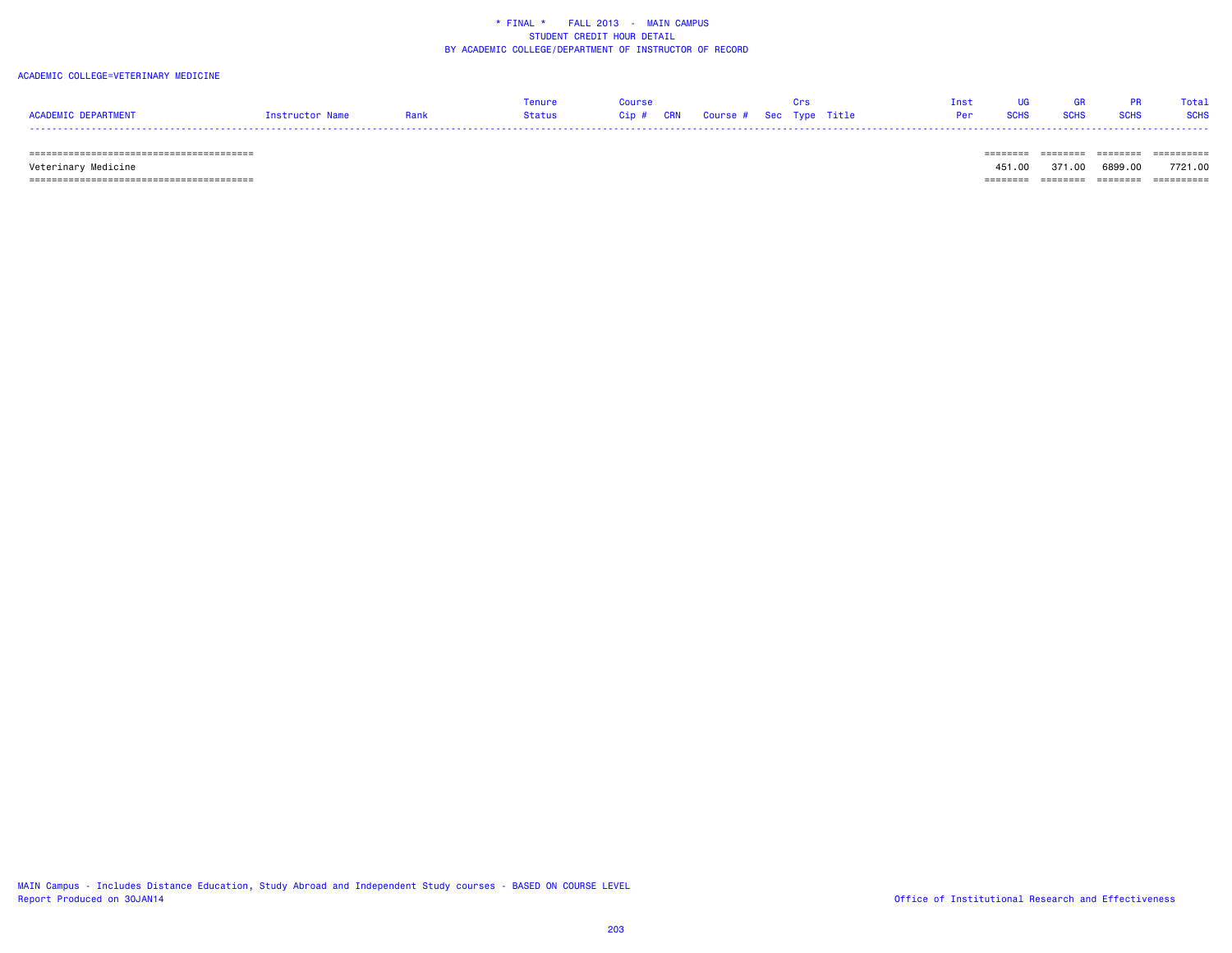#### ACADEMIC COLLEGE=VETERINARY MEDICINE

|                     |            |        |      |            |                             |  |  |  | Total.      |
|---------------------|------------|--------|------|------------|-----------------------------|--|--|--|-------------|
| ACADEMIC DEPARTMENT | $+$ ructor | Status | Cip# | <b>CRN</b> | Course #   Sec  Type  Title |  |  |  | <b>SCHS</b> |
| ----                |            |        |      |            |                             |  |  |  |             |

======================================== ======== ======== ======== ==========

 Veterinary Medicine 451.00 371.00 6899.00 7721.00 ======================================== ======== ======== ======== ==========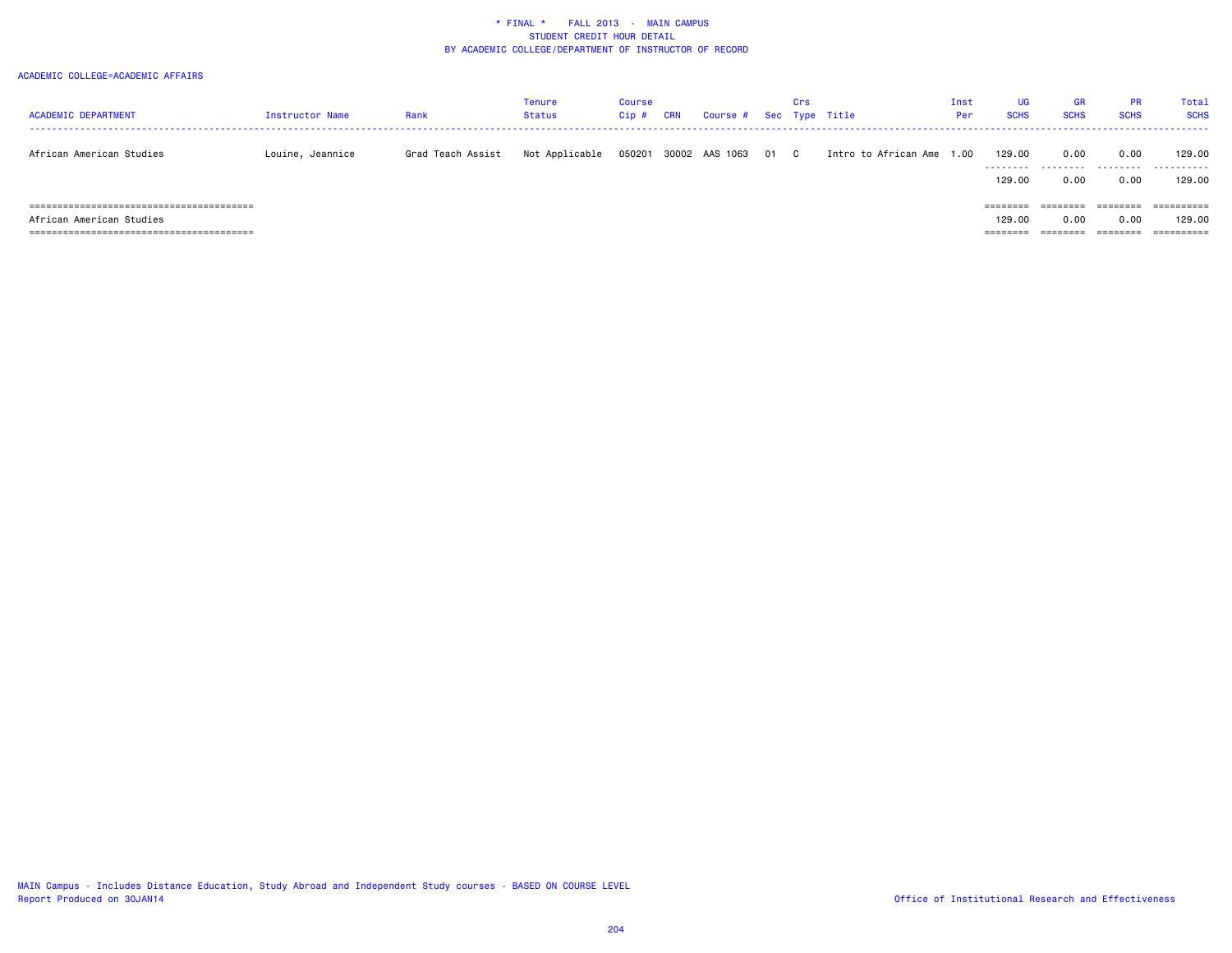#### ACADEMIC COLLEGE=ACADEMIC AFFAIRS

| <b>ACADEMIC DEPARTMENT</b> | Instructor Name  | Rank              | Tenure<br><b>Status</b> | Course<br>$Cip$ # | CRN | Course # Sec Type Title |      | Crs |                           | Inst<br>Per | UG<br><b>SCHS</b>              | <b>GR</b><br><b>SCHS</b>  | <b>PR</b><br><b>SCHS</b>     | Total<br><b>SCHS</b>               |
|----------------------------|------------------|-------------------|-------------------------|-------------------|-----|-------------------------|------|-----|---------------------------|-------------|--------------------------------|---------------------------|------------------------------|------------------------------------|
| African American Studies   | Louine, Jeannice | Grad Teach Assist | Not Applicable          | 050201            |     | 30002 AAS 1063          | 01 C |     | Intro to African Ame 1.00 |             | 129.00<br>.<br>129.00          | 0.00<br>---------<br>0.00 | 0.00<br>.<br>0.00            | 129.00<br>.<br>129.00              |
| African American Studies   |                  |                   |                         |                   |     |                         |      |     |                           |             | ========<br>129.00<br>======== | ========<br>0.00          | ========<br>0.00<br>======== | ==========<br>129,00<br>========== |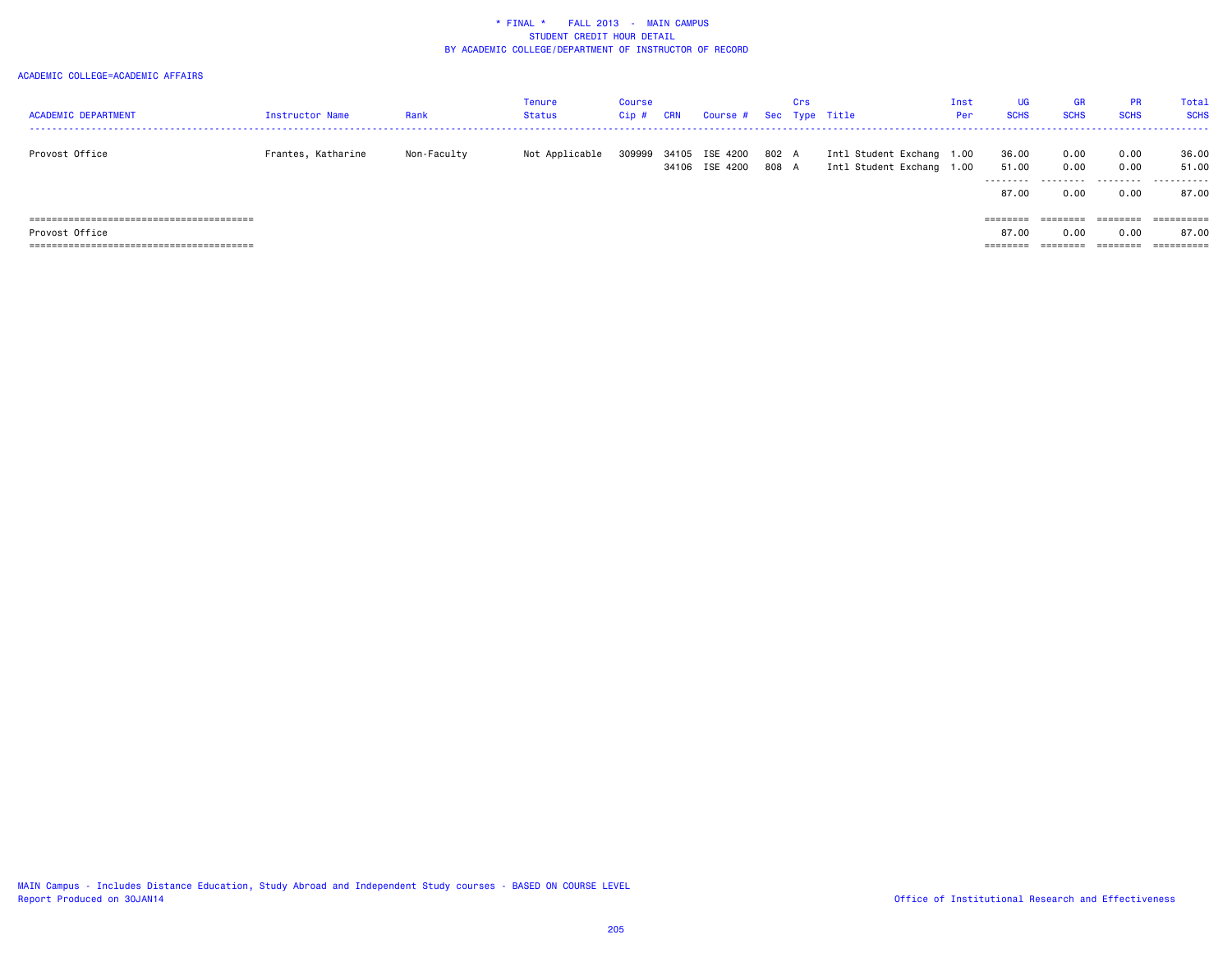#### ACADEMIC COLLEGE=ACADEMIC AFFAIRS

| <b>ACADEMIC DEPARTMENT</b> | Instructor Name    | Rank        | Tenure<br>Status | Course<br>Cip # | CRN   | Course # Sec Type Title    |                | Crs |                                                        | Inst<br>Per | UG<br><b>SCHS</b>            | <b>GR</b><br><b>SCHS</b> | <b>PR</b><br><b>SCHS</b>  | Total<br><b>SCHS</b>         |
|----------------------------|--------------------|-------------|------------------|-----------------|-------|----------------------------|----------------|-----|--------------------------------------------------------|-------------|------------------------------|--------------------------|---------------------------|------------------------------|
| Provost Office             | Frantes, Katharine | Non-Faculty | Not Applicable   | 309999          | 34105 | ISE 4200<br>34106 ISE 4200 | 802 A<br>808 A |     | Intl Student Exchang 1.00<br>Intl Student Exchang 1.00 |             | 36.00<br>51.00<br>.<br>87.00 | 0.00<br>0.00<br>0.00     | 0.00<br>0.00<br>.<br>0.00 | 36.00<br>51.00<br>.<br>87.00 |
|                            |                    |             |                  |                 |       |                            |                |     |                                                        |             | $=$ = = = = = = =            | ========                 | ========                  | $=$ = = = = = = = = =        |
| Provost Office             |                    |             |                  |                 |       |                            |                |     |                                                        |             | 87.00                        | 0.00                     | 0.00                      | 87.00                        |
|                            |                    |             |                  |                 |       |                            |                |     |                                                        |             | ========                     | ========                 | ========                  | $=$ = = = = = = = = =        |